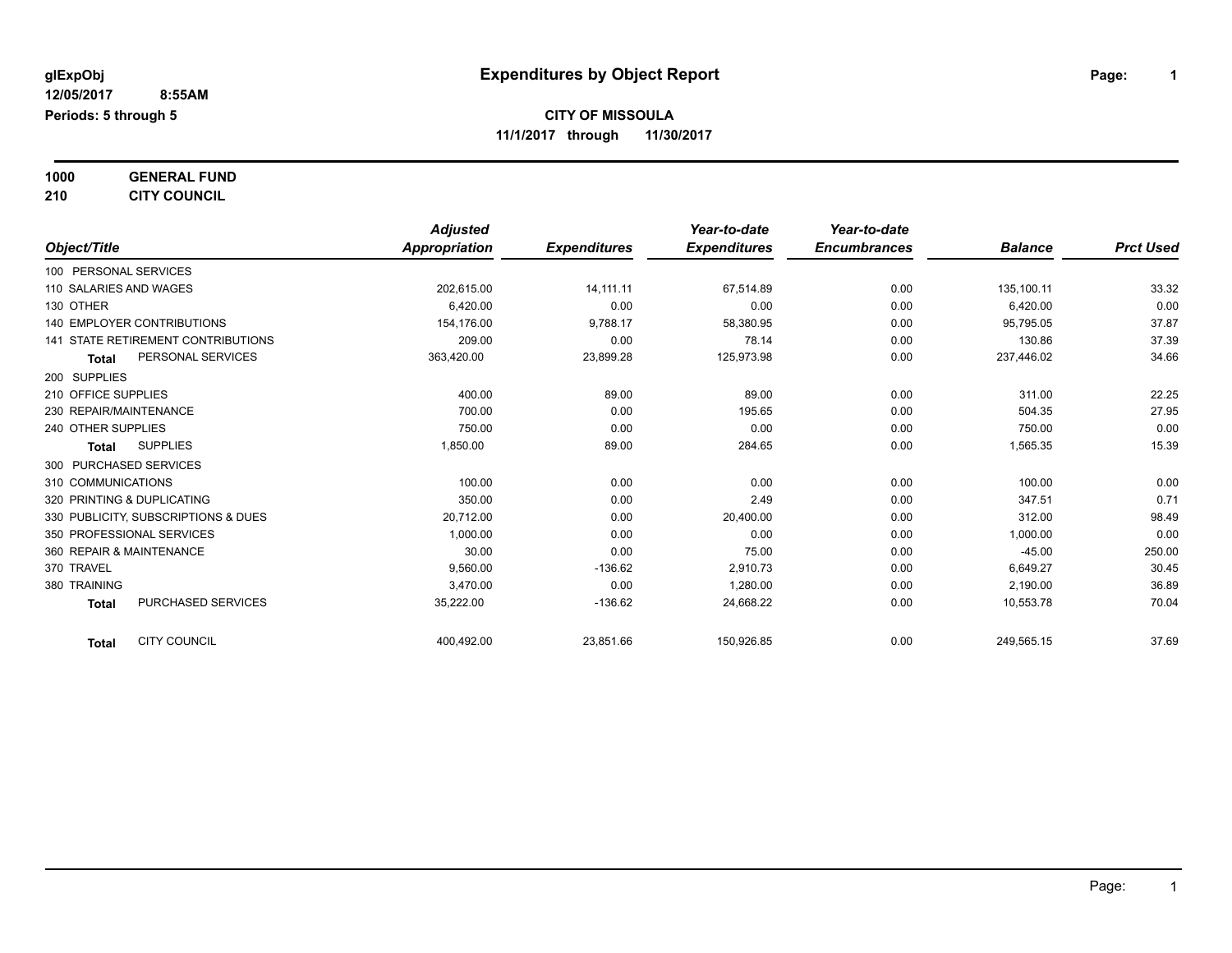## **1000 GENERAL FUND**

**210 CITY COUNCIL**

|                                           | <b>Adjusted</b> |                     | Year-to-date        | Year-to-date        |                |                  |
|-------------------------------------------|-----------------|---------------------|---------------------|---------------------|----------------|------------------|
| Object/Title                              | Appropriation   | <b>Expenditures</b> | <b>Expenditures</b> | <b>Encumbrances</b> | <b>Balance</b> | <b>Prct Used</b> |
| 100 PERSONAL SERVICES                     |                 |                     |                     |                     |                |                  |
| 110 SALARIES AND WAGES                    | 202,615.00      | 14,111.11           | 67,514.89           | 0.00                | 135,100.11     | 33.32            |
| 130 OTHER                                 | 6.420.00        | 0.00                | 0.00                | 0.00                | 6,420.00       | 0.00             |
| <b>140 EMPLOYER CONTRIBUTIONS</b>         | 154.176.00      | 9,788.17            | 58,380.95           | 0.00                | 95,795.05      | 37.87            |
| <b>141 STATE RETIREMENT CONTRIBUTIONS</b> | 209.00          | 0.00                | 78.14               | 0.00                | 130.86         | 37.39            |
| PERSONAL SERVICES<br><b>Total</b>         | 363,420.00      | 23,899.28           | 125,973.98          | 0.00                | 237,446.02     | 34.66            |
| 200 SUPPLIES                              |                 |                     |                     |                     |                |                  |
| 210 OFFICE SUPPLIES                       | 400.00          | 89.00               | 89.00               | 0.00                | 311.00         | 22.25            |
| 230 REPAIR/MAINTENANCE                    | 700.00          | 0.00                | 195.65              | 0.00                | 504.35         | 27.95            |
| 240 OTHER SUPPLIES                        | 750.00          | 0.00                | 0.00                | 0.00                | 750.00         | 0.00             |
| <b>SUPPLIES</b><br><b>Total</b>           | 1,850.00        | 89.00               | 284.65              | 0.00                | 1,565.35       | 15.39            |
| 300 PURCHASED SERVICES                    |                 |                     |                     |                     |                |                  |
| 310 COMMUNICATIONS                        | 100.00          | 0.00                | 0.00                | 0.00                | 100.00         | 0.00             |
| 320 PRINTING & DUPLICATING                | 350.00          | 0.00                | 2.49                | 0.00                | 347.51         | 0.71             |
| 330 PUBLICITY, SUBSCRIPTIONS & DUES       | 20,712.00       | 0.00                | 20,400.00           | 0.00                | 312.00         | 98.49            |
| 350 PROFESSIONAL SERVICES                 | 1,000.00        | 0.00                | 0.00                | 0.00                | 1,000.00       | 0.00             |
| 360 REPAIR & MAINTENANCE                  | 30.00           | 0.00                | 75.00               | 0.00                | $-45.00$       | 250.00           |
| 370 TRAVEL                                | 9.560.00        | $-136.62$           | 2.910.73            | 0.00                | 6,649.27       | 30.45            |
| 380 TRAINING                              | 3,470.00        | 0.00                | 1,280.00            | 0.00                | 2,190.00       | 36.89            |
| <b>PURCHASED SERVICES</b><br><b>Total</b> | 35,222.00       | $-136.62$           | 24,668.22           | 0.00                | 10,553.78      | 70.04            |
| <b>CITY COUNCIL</b><br><b>Total</b>       | 400,492.00      | 23,851.66           | 150,926.85          | 0.00                | 249,565.15     | 37.69            |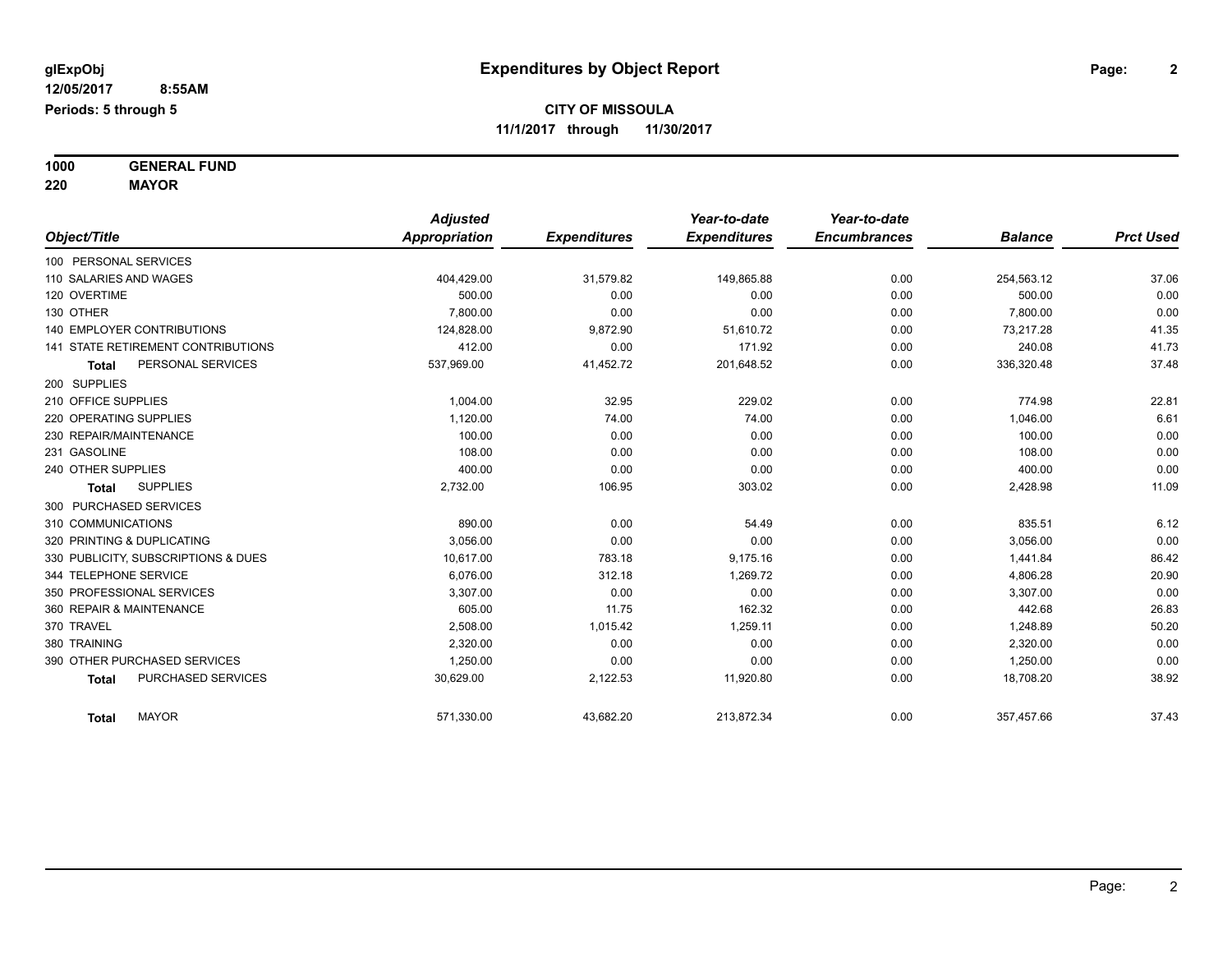**1000 GENERAL FUND 220 MAYOR**

*Object/Title Adjusted Appropriation Expenditures Year-to-date Expenditures Year-to-date Encumbrances Balance Prct Used* 100 PERSONAL SERVICES 110 SALARIES AND WAGES 404,429.00 31,579.82 149,865.88 0.00 254,563.12 37.06 120 OVERTIME 500.00 0.00 0.00 0.00 500.00 0.00 130 OTHER 7,800.00 0.00 0.00 0.00 7,800.00 0.00 140 EMPLOYER CONTRIBUTIONS 124,828.00 9,872.90 51,610.72 0.00 73,217.28 41.35 141 STATE RETIREMENT CONTRIBUTIONS 412.00 0.00 171.92 0.00 240.08 41.73 **Total** PERSONAL SERVICES 637,969.00 537,969.00 41,452.72 201,648.52 0.00 336,320.48 37.48 200 SUPPLIES 210 OFFICE SUPPLIES 1,004.00 32.95 229.02 0.00 774.98 22.81 220 OPERATING SUPPLIES **1,120.00** 1,120.00 74.00 74.00 74.00 0.00 1,046.00 6.61  $230$  REPAIR/MAINTENANCE  $\hphantom{-}0.00$   $\hphantom{-}0.00$   $\hphantom{-}0.00$   $\hphantom{-}0.00$   $\hphantom{-}0.00$   $\hphantom{-}0.00$   $\hphantom{-}0.00$ 231 GASOLINE 108.00 0.00 0.00 0.00 108.00 0.00 240 OTHER SUPPLIES 400.00 0.00 0.00 0.00 400.00 0.00 **Total** SUPPLIES 2,732.00 106.95 303.02 0.00 2,428.98 11.09 300 PURCHASED SERVICES 310 COMMUNICATIONS 890.00 54.49 0.00 835.51 6.12 320 PRINTING & DUPLICATING 3,056.00 0.00 0.00 0.00 3,056.00 0.00 330 PUBLICITY, SUBSCRIPTIONS & DUES 10,617.00 783.18 9,175.16 0.00 1,441.84 86.42 344 TELEPHONE SERVICE 6,076.00 312.18 1,269.72 0.00 4,806.28 20.90 350 PROFESSIONAL SERVICES 3,307.00 0.00 0.00 0.00 3,307.00 0.00 360 REPAIR & MAINTENANCE 26.83 26.83 26.83 26.83 26.83 26.83 26.83 26.83 26.83 26.83 370 TRAVEL 2,508.00 1,015.42 1,259.11 0.00 1,248.89 50.20 380 TRAINING 2,320.00 0.00 0.00 0.00 2,320.00 0.00 390 OTHER PURCHASED SERVICES 1,250.00 0.00 0.00 0.00 1,250.00 0.00 **Total** PURCHASED SERVICES 30,629.00 2,122.53 11,920.80 0.00 18,708.20 38.92 **Total** MAYOR 571,330.00 43,682.20 213,872.34 0.00 357,457.66 37.43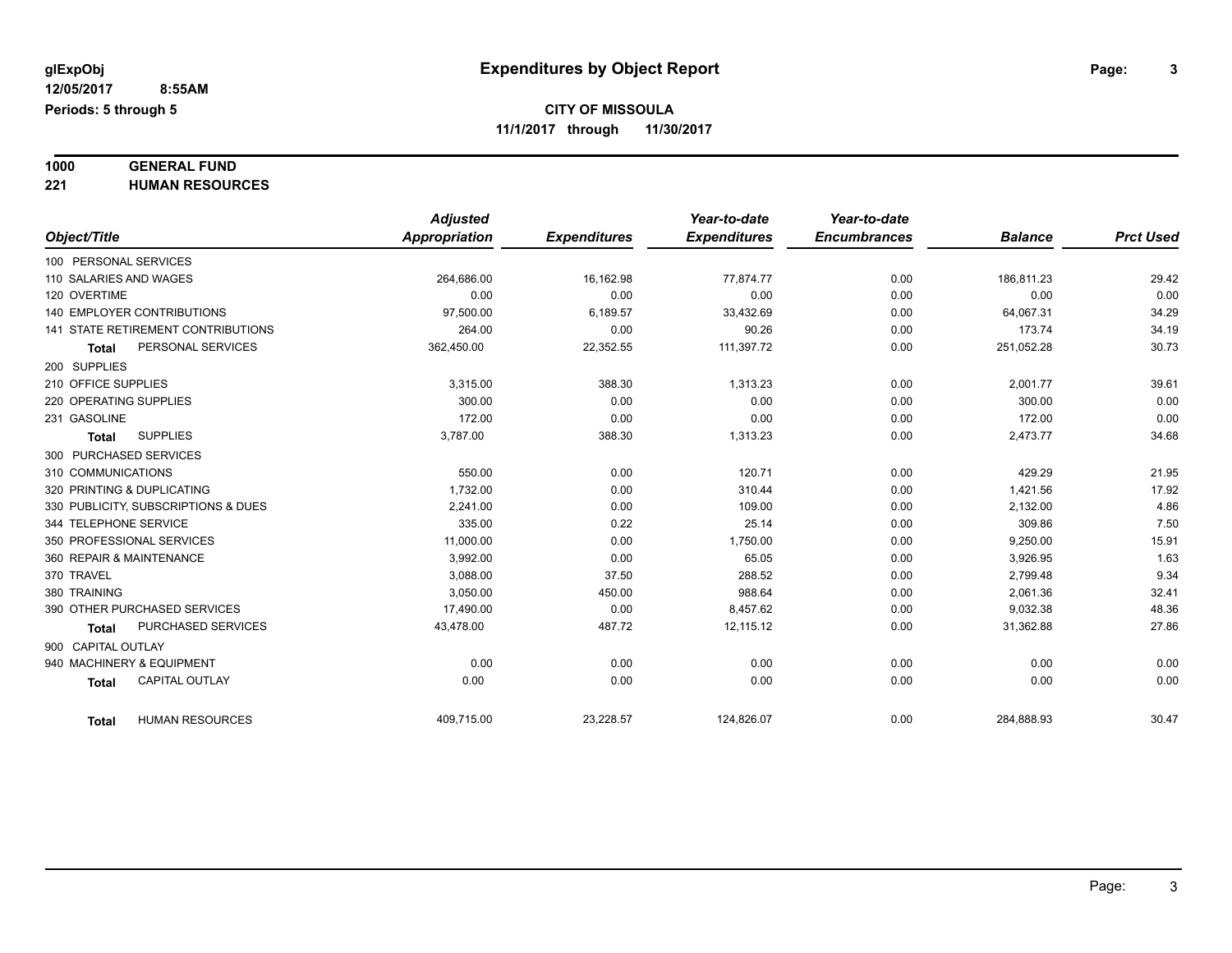# **1000 GENERAL FUND**

**221 HUMAN RESOURCES**

|                                           | <b>Adjusted</b> |                     | Year-to-date        | Year-to-date        |                |                  |
|-------------------------------------------|-----------------|---------------------|---------------------|---------------------|----------------|------------------|
| Object/Title                              | Appropriation   | <b>Expenditures</b> | <b>Expenditures</b> | <b>Encumbrances</b> | <b>Balance</b> | <b>Prct Used</b> |
| 100 PERSONAL SERVICES                     |                 |                     |                     |                     |                |                  |
| 110 SALARIES AND WAGES                    | 264,686.00      | 16,162.98           | 77,874.77           | 0.00                | 186.811.23     | 29.42            |
| 120 OVERTIME                              | 0.00            | 0.00                | 0.00                | 0.00                | 0.00           | 0.00             |
| <b>140 EMPLOYER CONTRIBUTIONS</b>         | 97,500.00       | 6,189.57            | 33,432.69           | 0.00                | 64,067.31      | 34.29            |
| <b>141 STATE RETIREMENT CONTRIBUTIONS</b> | 264.00          | 0.00                | 90.26               | 0.00                | 173.74         | 34.19            |
| PERSONAL SERVICES<br><b>Total</b>         | 362,450.00      | 22,352.55           | 111,397.72          | 0.00                | 251,052.28     | 30.73            |
| 200 SUPPLIES                              |                 |                     |                     |                     |                |                  |
| 210 OFFICE SUPPLIES                       | 3,315.00        | 388.30              | 1,313.23            | 0.00                | 2,001.77       | 39.61            |
| 220 OPERATING SUPPLIES                    | 300.00          | 0.00                | 0.00                | 0.00                | 300.00         | 0.00             |
| 231 GASOLINE                              | 172.00          | 0.00                | 0.00                | 0.00                | 172.00         | 0.00             |
| <b>SUPPLIES</b><br><b>Total</b>           | 3,787.00        | 388.30              | 1,313.23            | 0.00                | 2,473.77       | 34.68            |
| 300 PURCHASED SERVICES                    |                 |                     |                     |                     |                |                  |
| 310 COMMUNICATIONS                        | 550.00          | 0.00                | 120.71              | 0.00                | 429.29         | 21.95            |
| 320 PRINTING & DUPLICATING                | 1,732.00        | 0.00                | 310.44              | 0.00                | 1,421.56       | 17.92            |
| 330 PUBLICITY, SUBSCRIPTIONS & DUES       | 2.241.00        | 0.00                | 109.00              | 0.00                | 2,132.00       | 4.86             |
| 344 TELEPHONE SERVICE                     | 335.00          | 0.22                | 25.14               | 0.00                | 309.86         | 7.50             |
| 350 PROFESSIONAL SERVICES                 | 11,000.00       | 0.00                | 1,750.00            | 0.00                | 9,250.00       | 15.91            |
| 360 REPAIR & MAINTENANCE                  | 3,992.00        | 0.00                | 65.05               | 0.00                | 3,926.95       | 1.63             |
| 370 TRAVEL                                | 3,088.00        | 37.50               | 288.52              | 0.00                | 2,799.48       | 9.34             |
| 380 TRAINING                              | 3,050.00        | 450.00              | 988.64              | 0.00                | 2,061.36       | 32.41            |
| 390 OTHER PURCHASED SERVICES              | 17,490.00       | 0.00                | 8,457.62            | 0.00                | 9,032.38       | 48.36            |
| <b>PURCHASED SERVICES</b><br><b>Total</b> | 43,478.00       | 487.72              | 12,115.12           | 0.00                | 31,362.88      | 27.86            |
| 900 CAPITAL OUTLAY                        |                 |                     |                     |                     |                |                  |
| 940 MACHINERY & EQUIPMENT                 | 0.00            | 0.00                | 0.00                | 0.00                | 0.00           | 0.00             |
| <b>CAPITAL OUTLAY</b><br><b>Total</b>     | 0.00            | 0.00                | 0.00                | 0.00                | 0.00           | 0.00             |
| <b>HUMAN RESOURCES</b><br><b>Total</b>    | 409,715.00      | 23,228.57           | 124,826.07          | 0.00                | 284,888.93     | 30.47            |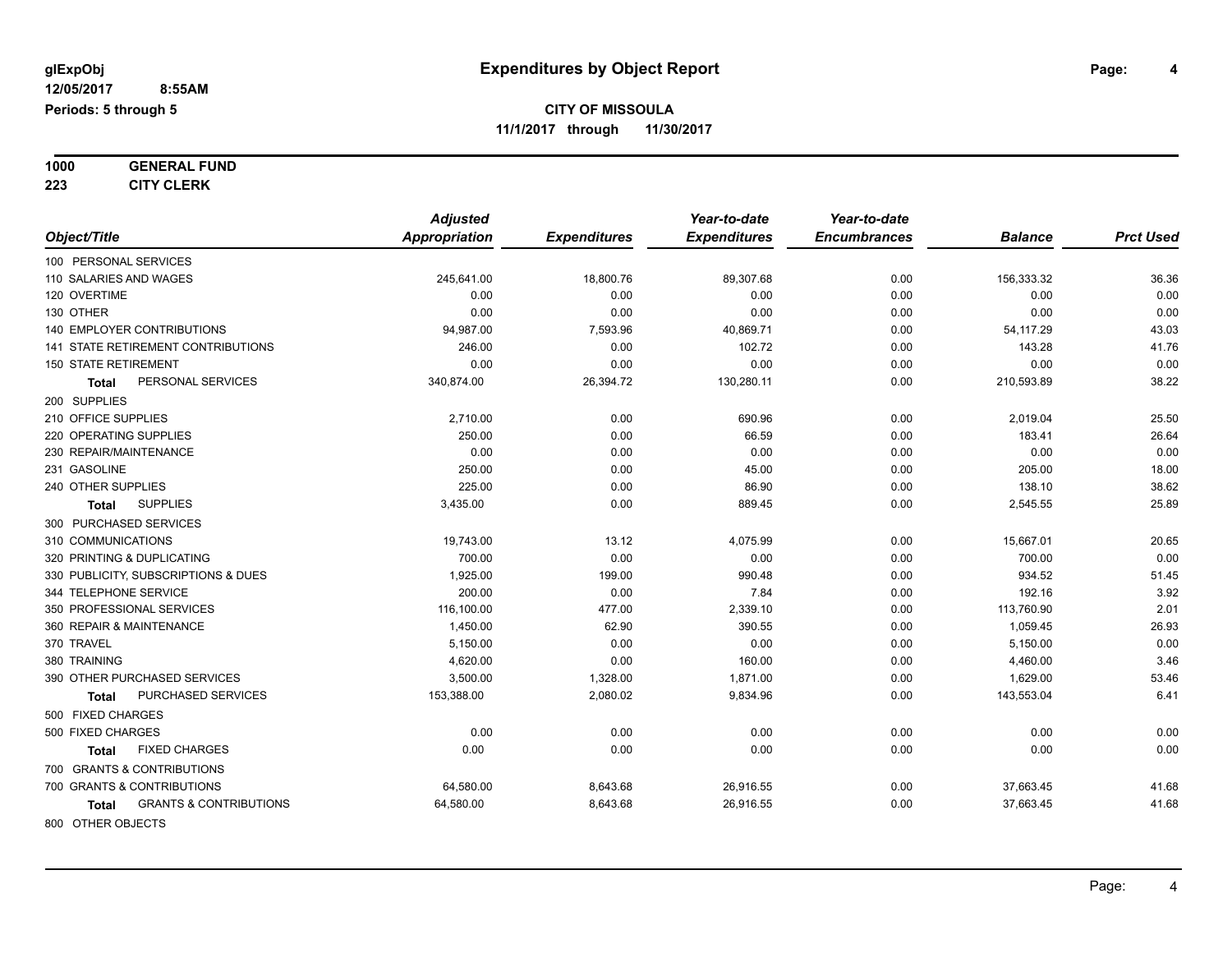**1000 GENERAL FUND**

**223 CITY CLERK**

|                                            | <b>Adjusted</b>      |                     | Year-to-date        | Year-to-date        |                |                  |
|--------------------------------------------|----------------------|---------------------|---------------------|---------------------|----------------|------------------|
| Object/Title                               | <b>Appropriation</b> | <b>Expenditures</b> | <b>Expenditures</b> | <b>Encumbrances</b> | <b>Balance</b> | <b>Prct Used</b> |
| 100 PERSONAL SERVICES                      |                      |                     |                     |                     |                |                  |
| 110 SALARIES AND WAGES                     | 245,641.00           | 18,800.76           | 89,307.68           | 0.00                | 156,333.32     | 36.36            |
| 120 OVERTIME                               | 0.00                 | 0.00                | 0.00                | 0.00                | 0.00           | 0.00             |
| 130 OTHER                                  | 0.00                 | 0.00                | 0.00                | 0.00                | 0.00           | 0.00             |
| <b>140 EMPLOYER CONTRIBUTIONS</b>          | 94,987.00            | 7,593.96            | 40,869.71           | 0.00                | 54,117.29      | 43.03            |
| <b>141 STATE RETIREMENT CONTRIBUTIONS</b>  | 246.00               | 0.00                | 102.72              | 0.00                | 143.28         | 41.76            |
| <b>150 STATE RETIREMENT</b>                | 0.00                 | 0.00                | 0.00                | 0.00                | 0.00           | 0.00             |
| PERSONAL SERVICES<br>Total                 | 340,874.00           | 26,394.72           | 130,280.11          | 0.00                | 210,593.89     | 38.22            |
| 200 SUPPLIES                               |                      |                     |                     |                     |                |                  |
| 210 OFFICE SUPPLIES                        | 2,710.00             | 0.00                | 690.96              | 0.00                | 2,019.04       | 25.50            |
| 220 OPERATING SUPPLIES                     | 250.00               | 0.00                | 66.59               | 0.00                | 183.41         | 26.64            |
| 230 REPAIR/MAINTENANCE                     | 0.00                 | 0.00                | 0.00                | 0.00                | 0.00           | 0.00             |
| 231 GASOLINE                               | 250.00               | 0.00                | 45.00               | 0.00                | 205.00         | 18.00            |
| 240 OTHER SUPPLIES                         | 225.00               | 0.00                | 86.90               | 0.00                | 138.10         | 38.62            |
| <b>SUPPLIES</b><br>Total                   | 3,435.00             | 0.00                | 889.45              | 0.00                | 2,545.55       | 25.89            |
| 300 PURCHASED SERVICES                     |                      |                     |                     |                     |                |                  |
| 310 COMMUNICATIONS                         | 19,743.00            | 13.12               | 4,075.99            | 0.00                | 15,667.01      | 20.65            |
| 320 PRINTING & DUPLICATING                 | 700.00               | 0.00                | 0.00                | 0.00                | 700.00         | 0.00             |
| 330 PUBLICITY, SUBSCRIPTIONS & DUES        | 1,925.00             | 199.00              | 990.48              | 0.00                | 934.52         | 51.45            |
| 344 TELEPHONE SERVICE                      | 200.00               | 0.00                | 7.84                | 0.00                | 192.16         | 3.92             |
| 350 PROFESSIONAL SERVICES                  | 116,100.00           | 477.00              | 2,339.10            | 0.00                | 113,760.90     | 2.01             |
| 360 REPAIR & MAINTENANCE                   | 1,450.00             | 62.90               | 390.55              | 0.00                | 1,059.45       | 26.93            |
| 370 TRAVEL                                 | 5,150.00             | 0.00                | 0.00                | 0.00                | 5,150.00       | 0.00             |
| 380 TRAINING                               | 4,620.00             | 0.00                | 160.00              | 0.00                | 4,460.00       | 3.46             |
| 390 OTHER PURCHASED SERVICES               | 3,500.00             | 1,328.00            | 1,871.00            | 0.00                | 1,629.00       | 53.46            |
| PURCHASED SERVICES<br><b>Total</b>         | 153,388.00           | 2,080.02            | 9,834.96            | 0.00                | 143,553.04     | 6.41             |
| 500 FIXED CHARGES                          |                      |                     |                     |                     |                |                  |
| 500 FIXED CHARGES                          | 0.00                 | 0.00                | 0.00                | 0.00                | 0.00           | 0.00             |
| <b>FIXED CHARGES</b><br>Total              | 0.00                 | 0.00                | 0.00                | 0.00                | 0.00           | 0.00             |
| 700 GRANTS & CONTRIBUTIONS                 |                      |                     |                     |                     |                |                  |
| 700 GRANTS & CONTRIBUTIONS                 | 64,580.00            | 8,643.68            | 26,916.55           | 0.00                | 37,663.45      | 41.68            |
| <b>GRANTS &amp; CONTRIBUTIONS</b><br>Total | 64,580.00            | 8,643.68            | 26,916.55           | 0.00                | 37,663.45      | 41.68            |
| 800 OTHER OBJECTS                          |                      |                     |                     |                     |                |                  |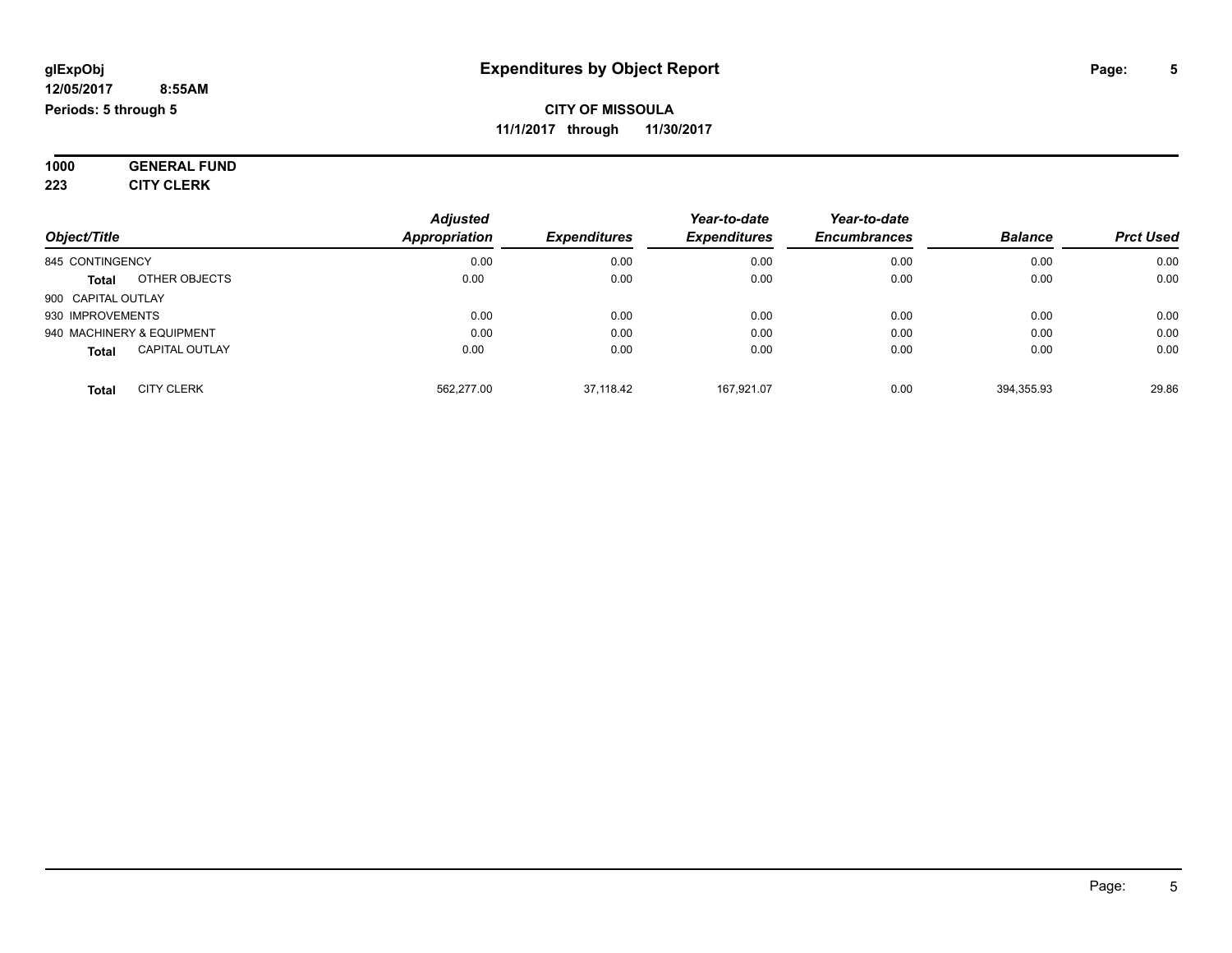**1000 GENERAL FUND 223 CITY CLERK**

| Object/Title                          | <b>Adjusted</b><br><b>Appropriation</b> | <b>Expenditures</b> | Year-to-date<br><b>Expenditures</b> | Year-to-date<br><b>Encumbrances</b> | <b>Balance</b> | <b>Prct Used</b> |
|---------------------------------------|-----------------------------------------|---------------------|-------------------------------------|-------------------------------------|----------------|------------------|
| 845 CONTINGENCY                       | 0.00                                    | 0.00                | 0.00                                | 0.00                                | 0.00           | 0.00             |
| OTHER OBJECTS<br>Total                | 0.00                                    | 0.00                | 0.00                                | 0.00                                | 0.00           | 0.00             |
| 900 CAPITAL OUTLAY                    |                                         |                     |                                     |                                     |                |                  |
| 930 IMPROVEMENTS                      | 0.00                                    | 0.00                | 0.00                                | 0.00                                | 0.00           | 0.00             |
| 940 MACHINERY & EQUIPMENT             | 0.00                                    | 0.00                | 0.00                                | 0.00                                | 0.00           | 0.00             |
| <b>CAPITAL OUTLAY</b><br><b>Total</b> | 0.00                                    | 0.00                | 0.00                                | 0.00                                | 0.00           | 0.00             |
| <b>CITY CLERK</b><br><b>Total</b>     | 562,277.00                              | 37.118.42           | 167.921.07                          | 0.00                                | 394,355.93     | 29.86            |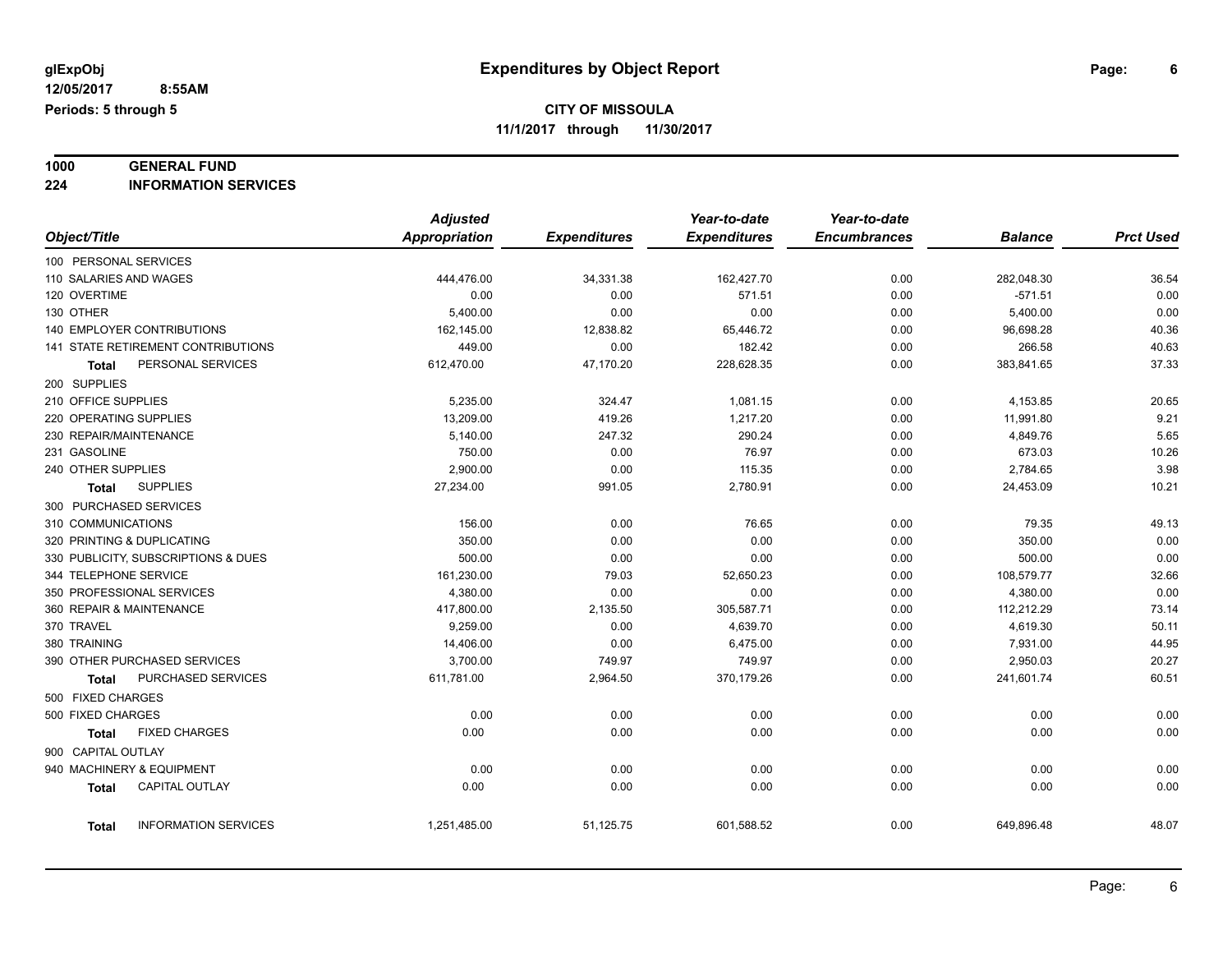# **1000 GENERAL FUND**

**224 INFORMATION SERVICES**

|                                       | <b>Adjusted</b> |                     | Year-to-date        | Year-to-date        |                |                  |
|---------------------------------------|-----------------|---------------------|---------------------|---------------------|----------------|------------------|
| Object/Title                          | Appropriation   | <b>Expenditures</b> | <b>Expenditures</b> | <b>Encumbrances</b> | <b>Balance</b> | <b>Prct Used</b> |
| 100 PERSONAL SERVICES                 |                 |                     |                     |                     |                |                  |
| 110 SALARIES AND WAGES                | 444,476.00      | 34,331.38           | 162,427.70          | 0.00                | 282,048.30     | 36.54            |
| 120 OVERTIME                          | 0.00            | 0.00                | 571.51              | 0.00                | $-571.51$      | 0.00             |
| 130 OTHER                             | 5,400.00        | 0.00                | 0.00                | 0.00                | 5,400.00       | 0.00             |
| <b>140 EMPLOYER CONTRIBUTIONS</b>     | 162,145.00      | 12,838.82           | 65,446.72           | 0.00                | 96,698.28      | 40.36            |
| 141 STATE RETIREMENT CONTRIBUTIONS    | 449.00          | 0.00                | 182.42              | 0.00                | 266.58         | 40.63            |
| PERSONAL SERVICES<br>Total            | 612,470.00      | 47,170.20           | 228,628.35          | 0.00                | 383,841.65     | 37.33            |
| 200 SUPPLIES                          |                 |                     |                     |                     |                |                  |
| 210 OFFICE SUPPLIES                   | 5,235.00        | 324.47              | 1,081.15            | 0.00                | 4,153.85       | 20.65            |
| 220 OPERATING SUPPLIES                | 13,209.00       | 419.26              | 1,217.20            | 0.00                | 11,991.80      | 9.21             |
| 230 REPAIR/MAINTENANCE                | 5,140.00        | 247.32              | 290.24              | 0.00                | 4,849.76       | 5.65             |
| 231 GASOLINE                          | 750.00          | 0.00                | 76.97               | 0.00                | 673.03         | 10.26            |
| 240 OTHER SUPPLIES                    | 2,900.00        | 0.00                | 115.35              | 0.00                | 2,784.65       | 3.98             |
| <b>SUPPLIES</b><br><b>Total</b>       | 27,234.00       | 991.05              | 2,780.91            | 0.00                | 24,453.09      | 10.21            |
| 300 PURCHASED SERVICES                |                 |                     |                     |                     |                |                  |
| 310 COMMUNICATIONS                    | 156.00          | 0.00                | 76.65               | 0.00                | 79.35          | 49.13            |
| 320 PRINTING & DUPLICATING            | 350.00          | 0.00                | 0.00                | 0.00                | 350.00         | 0.00             |
| 330 PUBLICITY, SUBSCRIPTIONS & DUES   | 500.00          | 0.00                | 0.00                | 0.00                | 500.00         | 0.00             |
| 344 TELEPHONE SERVICE                 | 161,230.00      | 79.03               | 52,650.23           | 0.00                | 108,579.77     | 32.66            |
| 350 PROFESSIONAL SERVICES             | 4,380.00        | 0.00                | 0.00                | 0.00                | 4,380.00       | 0.00             |
| 360 REPAIR & MAINTENANCE              | 417,800.00      | 2,135.50            | 305,587.71          | 0.00                | 112,212.29     | 73.14            |
| 370 TRAVEL                            | 9.259.00        | 0.00                | 4,639.70            | 0.00                | 4,619.30       | 50.11            |
| 380 TRAINING                          | 14,406.00       | 0.00                | 6,475.00            | 0.00                | 7,931.00       | 44.95            |
| 390 OTHER PURCHASED SERVICES          | 3,700.00        | 749.97              | 749.97              | 0.00                | 2,950.03       | 20.27            |
| PURCHASED SERVICES<br>Total           | 611,781.00      | 2,964.50            | 370,179.26          | 0.00                | 241,601.74     | 60.51            |
| 500 FIXED CHARGES                     |                 |                     |                     |                     |                |                  |
| 500 FIXED CHARGES                     | 0.00            | 0.00                | 0.00                | 0.00                | 0.00           | 0.00             |
| <b>FIXED CHARGES</b><br><b>Total</b>  | 0.00            | 0.00                | 0.00                | 0.00                | 0.00           | 0.00             |
| 900 CAPITAL OUTLAY                    |                 |                     |                     |                     |                |                  |
| 940 MACHINERY & EQUIPMENT             | 0.00            | 0.00                | 0.00                | 0.00                | 0.00           | 0.00             |
| <b>CAPITAL OUTLAY</b><br><b>Total</b> | 0.00            | 0.00                | 0.00                | 0.00                | 0.00           | 0.00             |
|                                       |                 |                     |                     |                     |                |                  |
| <b>INFORMATION SERVICES</b><br>Total  | 1,251,485.00    | 51,125.75           | 601,588.52          | 0.00                | 649,896.48     | 48.07            |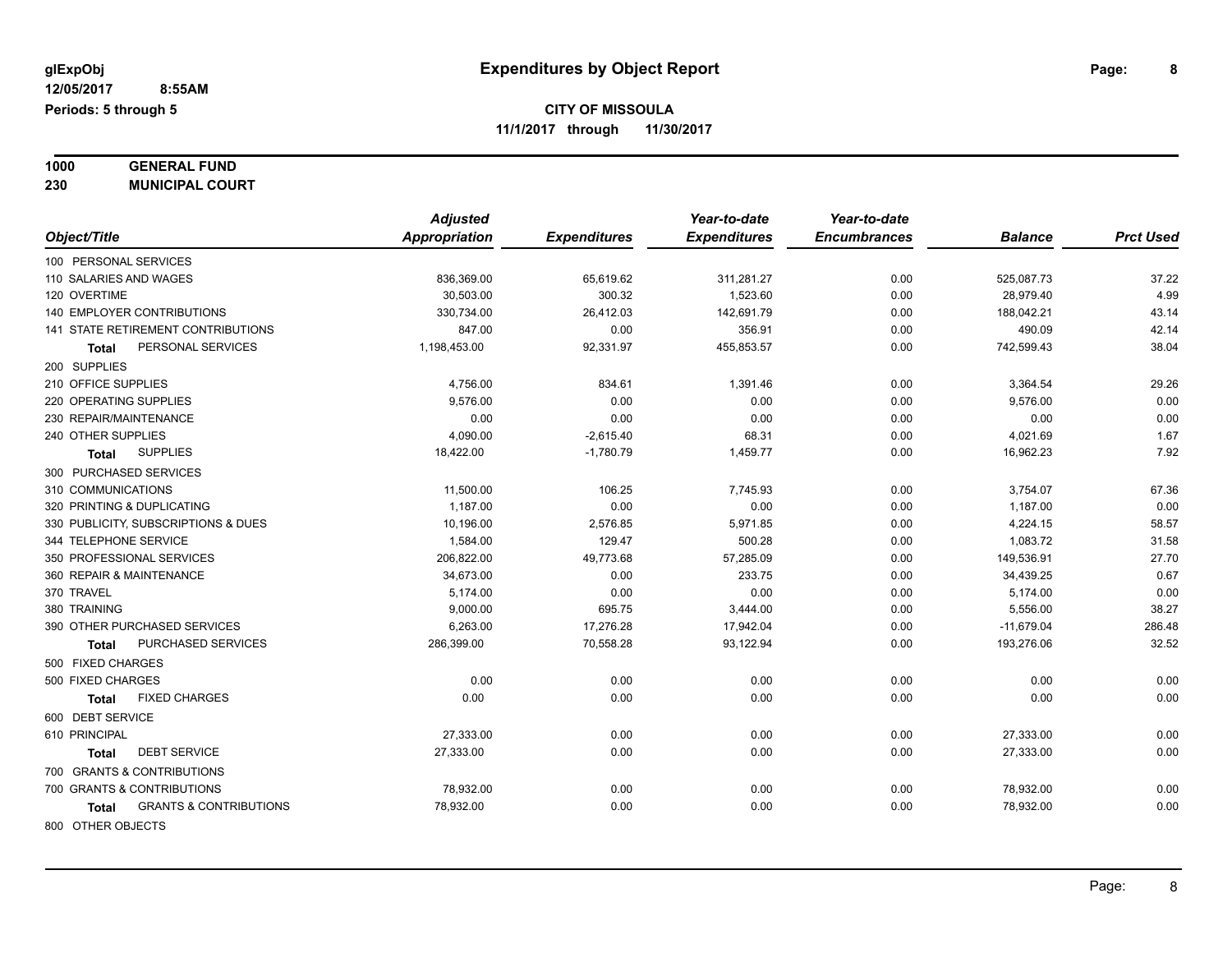| 1000 | <b>GENERAL FUND</b>    |
|------|------------------------|
| 230  | <b>MUNICIPAL COURT</b> |

| Object/Title                                      | <b>Adjusted</b><br><b>Appropriation</b> | <b>Expenditures</b> | Year-to-date<br><b>Expenditures</b> | Year-to-date<br><b>Encumbrances</b> | <b>Balance</b> | <b>Prct Used</b> |
|---------------------------------------------------|-----------------------------------------|---------------------|-------------------------------------|-------------------------------------|----------------|------------------|
| 100 PERSONAL SERVICES                             |                                         |                     |                                     |                                     |                |                  |
| 110 SALARIES AND WAGES                            | 836,369.00                              | 65,619.62           | 311.281.27                          | 0.00                                | 525.087.73     | 37.22            |
| 120 OVERTIME                                      | 30,503.00                               | 300.32              | 1.523.60                            | 0.00                                | 28.979.40      | 4.99             |
| <b>140 EMPLOYER CONTRIBUTIONS</b>                 | 330,734.00                              | 26,412.03           | 142,691.79                          | 0.00                                | 188,042.21     | 43.14            |
| <b>141 STATE RETIREMENT CONTRIBUTIONS</b>         | 847.00                                  | 0.00                | 356.91                              | 0.00                                | 490.09         | 42.14            |
| PERSONAL SERVICES<br>Total                        | 1.198.453.00                            | 92,331.97           | 455,853.57                          | 0.00                                | 742,599.43     | 38.04            |
| 200 SUPPLIES                                      |                                         |                     |                                     |                                     |                |                  |
| 210 OFFICE SUPPLIES                               | 4,756.00                                | 834.61              | 1,391.46                            | 0.00                                | 3,364.54       | 29.26            |
| 220 OPERATING SUPPLIES                            | 9,576.00                                | 0.00                | 0.00                                | 0.00                                | 9,576.00       | 0.00             |
| 230 REPAIR/MAINTENANCE                            | 0.00                                    | 0.00                | 0.00                                | 0.00                                | 0.00           | 0.00             |
| 240 OTHER SUPPLIES                                | 4,090.00                                | $-2,615.40$         | 68.31                               | 0.00                                | 4,021.69       | 1.67             |
| <b>SUPPLIES</b><br>Total                          | 18,422.00                               | $-1,780.79$         | 1,459.77                            | 0.00                                | 16,962.23      | 7.92             |
| 300 PURCHASED SERVICES                            |                                         |                     |                                     |                                     |                |                  |
| 310 COMMUNICATIONS                                | 11,500.00                               | 106.25              | 7,745.93                            | 0.00                                | 3,754.07       | 67.36            |
| 320 PRINTING & DUPLICATING                        | 1,187.00                                | 0.00                | 0.00                                | 0.00                                | 1,187.00       | 0.00             |
| 330 PUBLICITY, SUBSCRIPTIONS & DUES               | 10,196.00                               | 2,576.85            | 5,971.85                            | 0.00                                | 4,224.15       | 58.57            |
| 344 TELEPHONE SERVICE                             | 1,584.00                                | 129.47              | 500.28                              | 0.00                                | 1,083.72       | 31.58            |
| 350 PROFESSIONAL SERVICES                         | 206,822.00                              | 49,773.68           | 57,285.09                           | 0.00                                | 149,536.91     | 27.70            |
| 360 REPAIR & MAINTENANCE                          | 34,673.00                               | 0.00                | 233.75                              | 0.00                                | 34,439.25      | 0.67             |
| 370 TRAVEL                                        | 5,174.00                                | 0.00                | 0.00                                | 0.00                                | 5,174.00       | 0.00             |
| 380 TRAINING                                      | 9,000.00                                | 695.75              | 3,444.00                            | 0.00                                | 5,556.00       | 38.27            |
| 390 OTHER PURCHASED SERVICES                      | 6,263.00                                | 17,276.28           | 17,942.04                           | 0.00                                | $-11,679.04$   | 286.48           |
| <b>PURCHASED SERVICES</b><br>Total                | 286,399.00                              | 70,558.28           | 93,122.94                           | 0.00                                | 193,276.06     | 32.52            |
| 500 FIXED CHARGES                                 |                                         |                     |                                     |                                     |                |                  |
| 500 FIXED CHARGES                                 | 0.00                                    | 0.00                | 0.00                                | 0.00                                | 0.00           | 0.00             |
| <b>FIXED CHARGES</b><br><b>Total</b>              | 0.00                                    | 0.00                | 0.00                                | 0.00                                | 0.00           | 0.00             |
| 600 DEBT SERVICE                                  |                                         |                     |                                     |                                     |                |                  |
| 610 PRINCIPAL                                     | 27,333.00                               | 0.00                | 0.00                                | 0.00                                | 27,333.00      | 0.00             |
| <b>DEBT SERVICE</b><br>Total                      | 27,333.00                               | 0.00                | 0.00                                | 0.00                                | 27,333.00      | 0.00             |
| 700 GRANTS & CONTRIBUTIONS                        |                                         |                     |                                     |                                     |                |                  |
| 700 GRANTS & CONTRIBUTIONS                        | 78,932.00                               | 0.00                | 0.00                                | 0.00                                | 78,932.00      | 0.00             |
| <b>GRANTS &amp; CONTRIBUTIONS</b><br><b>Total</b> | 78,932.00                               | 0.00                | 0.00                                | 0.00                                | 78,932.00      | 0.00             |
| 800 OTHER OBJECTS                                 |                                         |                     |                                     |                                     |                |                  |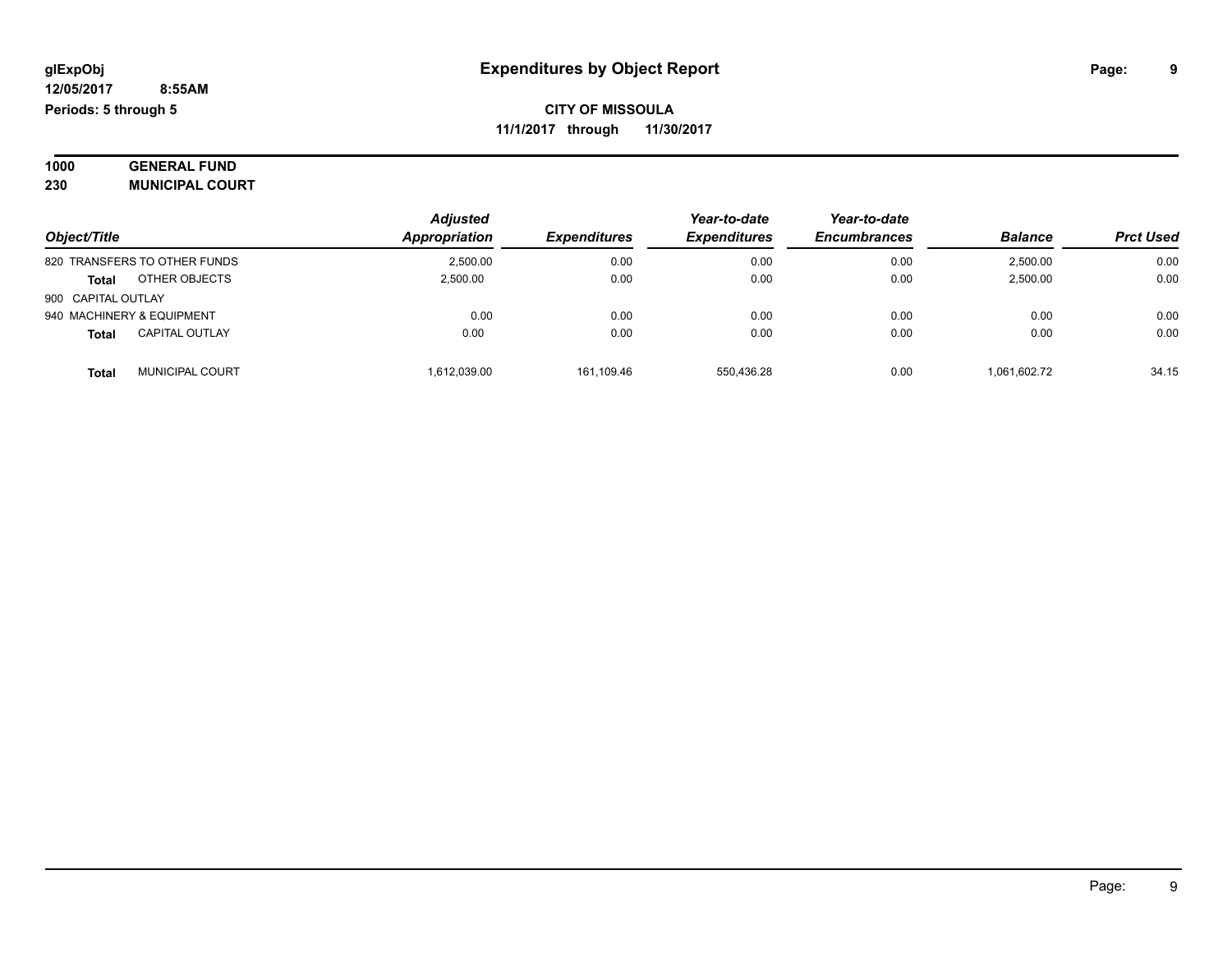| 1000 | <b>GENERAL FUND</b>    |  |
|------|------------------------|--|
| 230  | <b>MUNICIPAL COURT</b> |  |

|                                | <b>Adjusted</b>      |                            | Year-to-date        | Year-to-date        |                |                  |
|--------------------------------|----------------------|----------------------------|---------------------|---------------------|----------------|------------------|
| Object/Title                   | <b>Appropriation</b> | <i><b>Expenditures</b></i> | <b>Expenditures</b> | <b>Encumbrances</b> | <b>Balance</b> | <b>Prct Used</b> |
| 820 TRANSFERS TO OTHER FUNDS   | 2.500.00             | 0.00                       | 0.00                | 0.00                | 2.500.00       | 0.00             |
| OTHER OBJECTS<br><b>Total</b>  | 2.500.00             | 0.00                       | 0.00                | 0.00                | 2,500.00       | 0.00             |
| 900 CAPITAL OUTLAY             |                      |                            |                     |                     |                |                  |
| 940 MACHINERY & EQUIPMENT      | 0.00                 | 0.00                       | 0.00                | 0.00                | 0.00           | 0.00             |
| <b>CAPITAL OUTLAY</b><br>Total | 0.00                 | 0.00                       | 0.00                | 0.00                | 0.00           | 0.00             |
| <b>MUNICIPAL COURT</b><br>Tota | 1.612.039.00         | 161.109.46                 | 550.436.28          | 0.00                | 1.061.602.72   | 34.15            |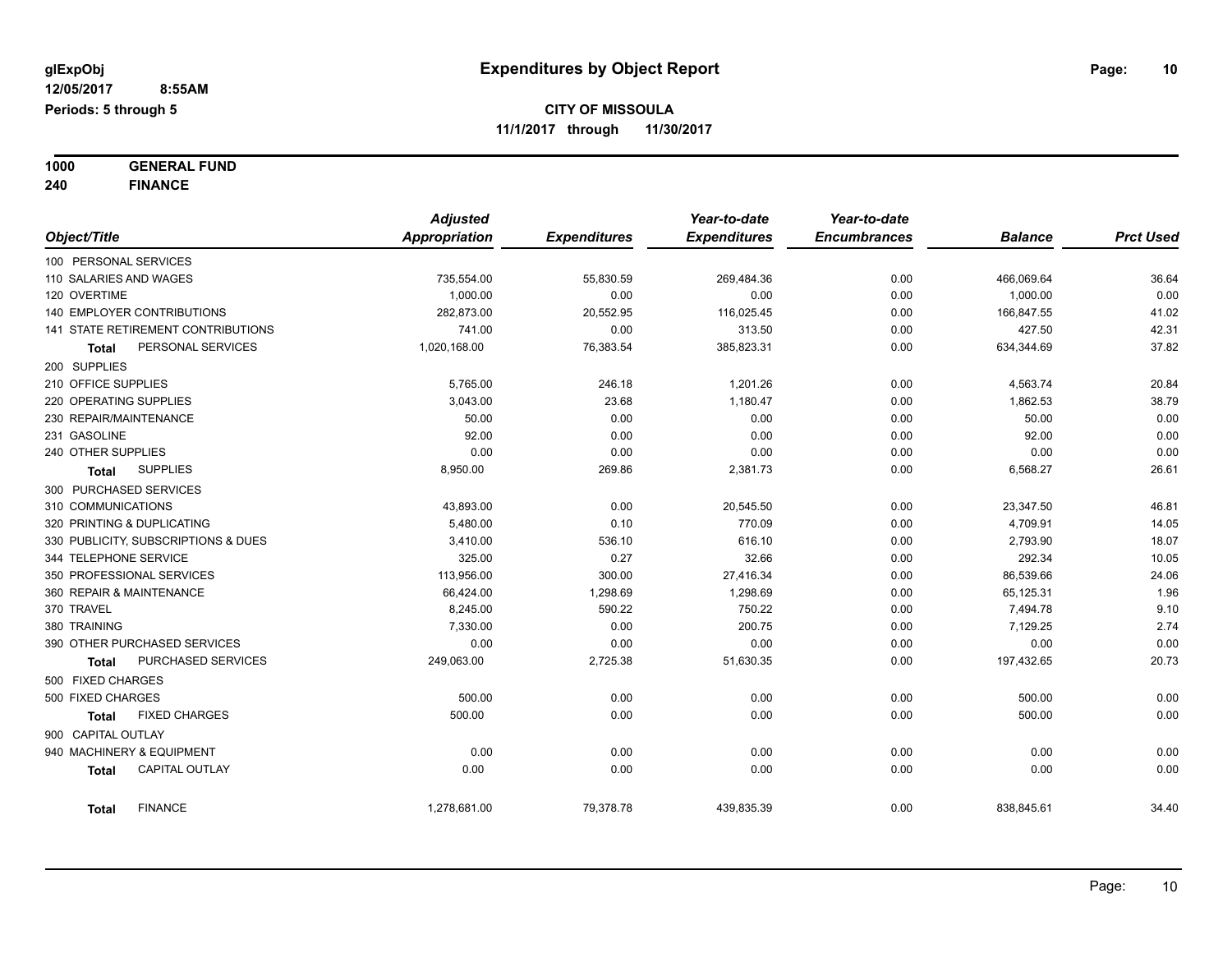**1000 GENERAL FUND 240 FINANCE**

|                          |                                     | <b>Adjusted</b> |                     | Year-to-date        | Year-to-date        |                |                  |
|--------------------------|-------------------------------------|-----------------|---------------------|---------------------|---------------------|----------------|------------------|
| Object/Title             |                                     | Appropriation   | <b>Expenditures</b> | <b>Expenditures</b> | <b>Encumbrances</b> | <b>Balance</b> | <b>Prct Used</b> |
| 100 PERSONAL SERVICES    |                                     |                 |                     |                     |                     |                |                  |
| 110 SALARIES AND WAGES   |                                     | 735,554.00      | 55,830.59           | 269,484.36          | 0.00                | 466,069.64     | 36.64            |
| 120 OVERTIME             |                                     | 1,000.00        | 0.00                | 0.00                | 0.00                | 1,000.00       | 0.00             |
|                          | 140 EMPLOYER CONTRIBUTIONS          | 282,873.00      | 20,552.95           | 116,025.45          | 0.00                | 166,847.55     | 41.02            |
|                          | 141 STATE RETIREMENT CONTRIBUTIONS  | 741.00          | 0.00                | 313.50              | 0.00                | 427.50         | 42.31            |
| Total                    | PERSONAL SERVICES                   | 1,020,168.00    | 76,383.54           | 385,823.31          | 0.00                | 634,344.69     | 37.82            |
| 200 SUPPLIES             |                                     |                 |                     |                     |                     |                |                  |
| 210 OFFICE SUPPLIES      |                                     | 5,765.00        | 246.18              | 1,201.26            | 0.00                | 4,563.74       | 20.84            |
| 220 OPERATING SUPPLIES   |                                     | 3,043.00        | 23.68               | 1,180.47            | 0.00                | 1,862.53       | 38.79            |
| 230 REPAIR/MAINTENANCE   |                                     | 50.00           | 0.00                | 0.00                | 0.00                | 50.00          | 0.00             |
| 231 GASOLINE             |                                     | 92.00           | 0.00                | 0.00                | 0.00                | 92.00          | 0.00             |
| 240 OTHER SUPPLIES       |                                     | 0.00            | 0.00                | 0.00                | 0.00                | 0.00           | 0.00             |
| Total                    | <b>SUPPLIES</b>                     | 8,950.00        | 269.86              | 2,381.73            | 0.00                | 6,568.27       | 26.61            |
| 300 PURCHASED SERVICES   |                                     |                 |                     |                     |                     |                |                  |
| 310 COMMUNICATIONS       |                                     | 43,893.00       | 0.00                | 20,545.50           | 0.00                | 23,347.50      | 46.81            |
|                          | 320 PRINTING & DUPLICATING          | 5,480.00        | 0.10                | 770.09              | 0.00                | 4,709.91       | 14.05            |
|                          | 330 PUBLICITY, SUBSCRIPTIONS & DUES | 3,410.00        | 536.10              | 616.10              | 0.00                | 2,793.90       | 18.07            |
| 344 TELEPHONE SERVICE    |                                     | 325.00          | 0.27                | 32.66               | 0.00                | 292.34         | 10.05            |
|                          | 350 PROFESSIONAL SERVICES           | 113,956.00      | 300.00              | 27,416.34           | 0.00                | 86,539.66      | 24.06            |
| 360 REPAIR & MAINTENANCE |                                     | 66,424.00       | 1,298.69            | 1,298.69            | 0.00                | 65,125.31      | 1.96             |
| 370 TRAVEL               |                                     | 8,245.00        | 590.22              | 750.22              | 0.00                | 7,494.78       | 9.10             |
| 380 TRAINING             |                                     | 7,330.00        | 0.00                | 200.75              | 0.00                | 7,129.25       | 2.74             |
|                          | 390 OTHER PURCHASED SERVICES        | 0.00            | 0.00                | 0.00                | 0.00                | 0.00           | 0.00             |
| <b>Total</b>             | PURCHASED SERVICES                  | 249,063.00      | 2,725.38            | 51,630.35           | 0.00                | 197,432.65     | 20.73            |
| 500 FIXED CHARGES        |                                     |                 |                     |                     |                     |                |                  |
| 500 FIXED CHARGES        |                                     | 500.00          | 0.00                | 0.00                | 0.00                | 500.00         | 0.00             |
| <b>Total</b>             | <b>FIXED CHARGES</b>                | 500.00          | 0.00                | 0.00                | 0.00                | 500.00         | 0.00             |
| 900 CAPITAL OUTLAY       |                                     |                 |                     |                     |                     |                |                  |
|                          | 940 MACHINERY & EQUIPMENT           | 0.00            | 0.00                | 0.00                | 0.00                | 0.00           | 0.00             |
| <b>Total</b>             | <b>CAPITAL OUTLAY</b>               | 0.00            | 0.00                | 0.00                | 0.00                | 0.00           | 0.00             |
| <b>Total</b>             | <b>FINANCE</b>                      | 1,278,681.00    | 79,378.78           | 439,835.39          | 0.00                | 838,845.61     | 34.40            |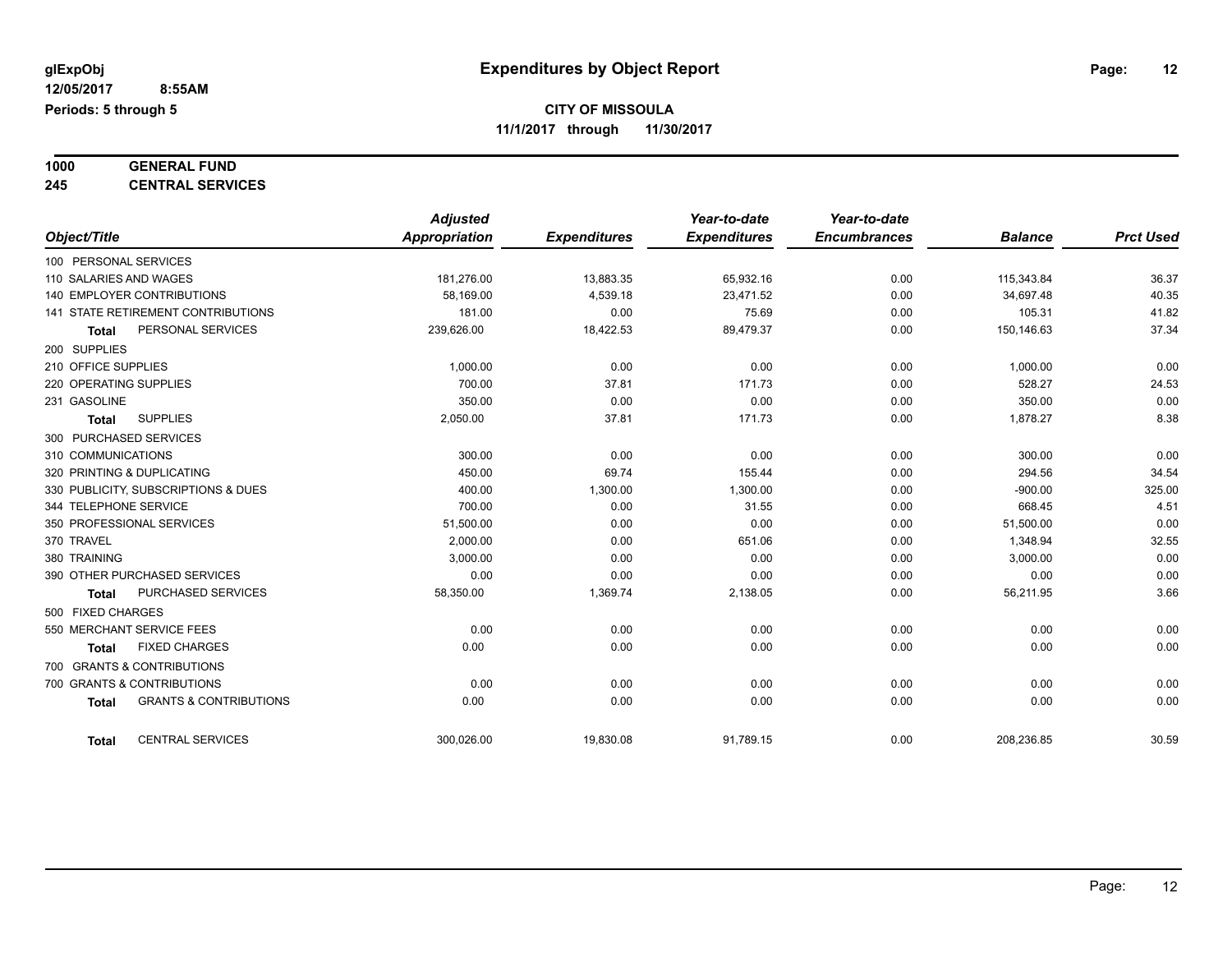#### **1000 GENERAL FUND 245 CENTRAL SERVICES**

|                                                   | <b>Adjusted</b> |                     | Year-to-date        | Year-to-date        |                |                  |
|---------------------------------------------------|-----------------|---------------------|---------------------|---------------------|----------------|------------------|
| Object/Title                                      | Appropriation   | <b>Expenditures</b> | <b>Expenditures</b> | <b>Encumbrances</b> | <b>Balance</b> | <b>Prct Used</b> |
| 100 PERSONAL SERVICES                             |                 |                     |                     |                     |                |                  |
| 110 SALARIES AND WAGES                            | 181,276.00      | 13,883.35           | 65,932.16           | 0.00                | 115,343.84     | 36.37            |
| <b>140 EMPLOYER CONTRIBUTIONS</b>                 | 58,169.00       | 4,539.18            | 23,471.52           | 0.00                | 34,697.48      | 40.35            |
| 141 STATE RETIREMENT CONTRIBUTIONS                | 181.00          | 0.00                | 75.69               | 0.00                | 105.31         | 41.82            |
| PERSONAL SERVICES<br><b>Total</b>                 | 239,626.00      | 18,422.53           | 89,479.37           | 0.00                | 150,146.63     | 37.34            |
| 200 SUPPLIES                                      |                 |                     |                     |                     |                |                  |
| 210 OFFICE SUPPLIES                               | 1,000.00        | 0.00                | 0.00                | 0.00                | 1,000.00       | 0.00             |
| 220 OPERATING SUPPLIES                            | 700.00          | 37.81               | 171.73              | 0.00                | 528.27         | 24.53            |
| 231 GASOLINE                                      | 350.00          | 0.00                | 0.00                | 0.00                | 350.00         | 0.00             |
| <b>SUPPLIES</b><br><b>Total</b>                   | 2,050.00        | 37.81               | 171.73              | 0.00                | 1,878.27       | 8.38             |
| 300 PURCHASED SERVICES                            |                 |                     |                     |                     |                |                  |
| 310 COMMUNICATIONS                                | 300.00          | 0.00                | 0.00                | 0.00                | 300.00         | 0.00             |
| 320 PRINTING & DUPLICATING                        | 450.00          | 69.74               | 155.44              | 0.00                | 294.56         | 34.54            |
| 330 PUBLICITY, SUBSCRIPTIONS & DUES               | 400.00          | 1,300.00            | 1,300.00            | 0.00                | $-900.00$      | 325.00           |
| 344 TELEPHONE SERVICE                             | 700.00          | 0.00                | 31.55               | 0.00                | 668.45         | 4.51             |
| 350 PROFESSIONAL SERVICES                         | 51,500.00       | 0.00                | 0.00                | 0.00                | 51,500.00      | 0.00             |
| 370 TRAVEL                                        | 2,000.00        | 0.00                | 651.06              | 0.00                | 1,348.94       | 32.55            |
| 380 TRAINING                                      | 3,000.00        | 0.00                | 0.00                | 0.00                | 3,000.00       | 0.00             |
| 390 OTHER PURCHASED SERVICES                      | 0.00            | 0.00                | 0.00                | 0.00                | 0.00           | 0.00             |
| PURCHASED SERVICES<br><b>Total</b>                | 58,350.00       | 1,369.74            | 2,138.05            | 0.00                | 56,211.95      | 3.66             |
| 500 FIXED CHARGES                                 |                 |                     |                     |                     |                |                  |
| 550 MERCHANT SERVICE FEES                         | 0.00            | 0.00                | 0.00                | 0.00                | 0.00           | 0.00             |
| <b>FIXED CHARGES</b><br><b>Total</b>              | 0.00            | 0.00                | 0.00                | 0.00                | 0.00           | 0.00             |
| 700 GRANTS & CONTRIBUTIONS                        |                 |                     |                     |                     |                |                  |
| 700 GRANTS & CONTRIBUTIONS                        | 0.00            | 0.00                | 0.00                | 0.00                | 0.00           | 0.00             |
| <b>GRANTS &amp; CONTRIBUTIONS</b><br><b>Total</b> | 0.00            | 0.00                | 0.00                | 0.00                | 0.00           | 0.00             |
| <b>CENTRAL SERVICES</b><br><b>Total</b>           | 300.026.00      | 19,830.08           | 91,789.15           | 0.00                | 208,236.85     | 30.59            |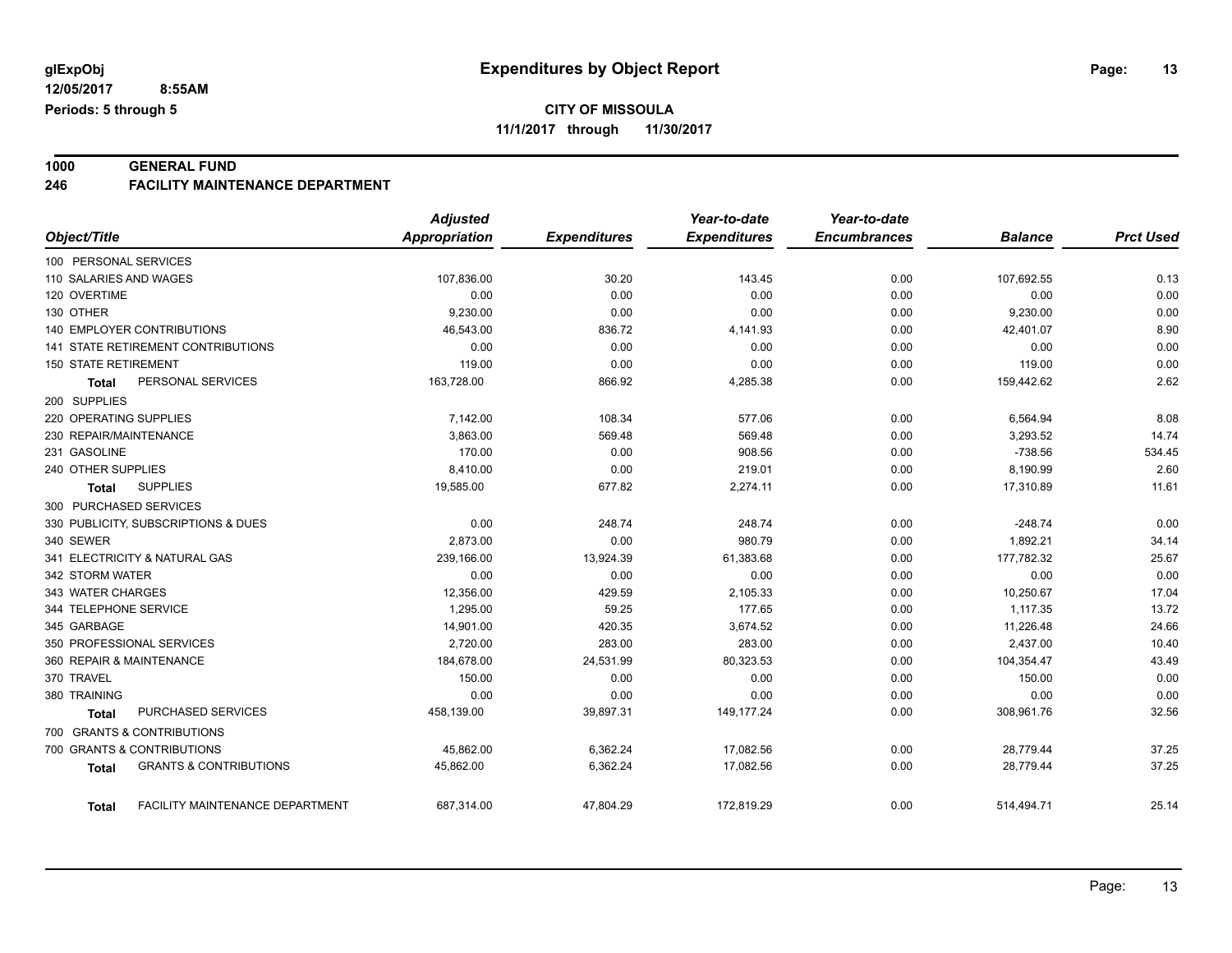# **1000 GENERAL FUND**

#### **246 FACILITY MAINTENANCE DEPARTMENT**

|                                                   | <b>Adjusted</b>      |                     | Year-to-date        | Year-to-date        |                |                  |
|---------------------------------------------------|----------------------|---------------------|---------------------|---------------------|----------------|------------------|
| Object/Title                                      | <b>Appropriation</b> | <b>Expenditures</b> | <b>Expenditures</b> | <b>Encumbrances</b> | <b>Balance</b> | <b>Prct Used</b> |
| 100 PERSONAL SERVICES                             |                      |                     |                     |                     |                |                  |
| 110 SALARIES AND WAGES                            | 107,836.00           | 30.20               | 143.45              | 0.00                | 107,692.55     | 0.13             |
| 120 OVERTIME                                      | 0.00                 | 0.00                | 0.00                | 0.00                | 0.00           | 0.00             |
| 130 OTHER                                         | 9,230.00             | 0.00                | 0.00                | 0.00                | 9,230.00       | 0.00             |
| <b>140 EMPLOYER CONTRIBUTIONS</b>                 | 46,543.00            | 836.72              | 4,141.93            | 0.00                | 42,401.07      | 8.90             |
| 141 STATE RETIREMENT CONTRIBUTIONS                | 0.00                 | 0.00                | 0.00                | 0.00                | 0.00           | 0.00             |
| <b>150 STATE RETIREMENT</b>                       | 119.00               | 0.00                | 0.00                | 0.00                | 119.00         | 0.00             |
| PERSONAL SERVICES<br><b>Total</b>                 | 163,728.00           | 866.92              | 4,285.38            | 0.00                | 159,442.62     | 2.62             |
| 200 SUPPLIES                                      |                      |                     |                     |                     |                |                  |
| 220 OPERATING SUPPLIES                            | 7,142.00             | 108.34              | 577.06              | 0.00                | 6,564.94       | 8.08             |
| 230 REPAIR/MAINTENANCE                            | 3,863.00             | 569.48              | 569.48              | 0.00                | 3,293.52       | 14.74            |
| 231 GASOLINE                                      | 170.00               | 0.00                | 908.56              | 0.00                | $-738.56$      | 534.45           |
| 240 OTHER SUPPLIES                                | 8,410.00             | 0.00                | 219.01              | 0.00                | 8,190.99       | 2.60             |
| <b>SUPPLIES</b><br>Total                          | 19,585.00            | 677.82              | 2,274.11            | 0.00                | 17,310.89      | 11.61            |
| 300 PURCHASED SERVICES                            |                      |                     |                     |                     |                |                  |
| 330 PUBLICITY, SUBSCRIPTIONS & DUES               | 0.00                 | 248.74              | 248.74              | 0.00                | $-248.74$      | 0.00             |
| 340 SEWER                                         | 2,873.00             | 0.00                | 980.79              | 0.00                | 1,892.21       | 34.14            |
| 341 ELECTRICITY & NATURAL GAS                     | 239,166.00           | 13,924.39           | 61,383.68           | 0.00                | 177,782.32     | 25.67            |
| 342 STORM WATER                                   | 0.00                 | 0.00                | 0.00                | 0.00                | 0.00           | 0.00             |
| 343 WATER CHARGES                                 | 12,356.00            | 429.59              | 2,105.33            | 0.00                | 10,250.67      | 17.04            |
| 344 TELEPHONE SERVICE                             | 1,295.00             | 59.25               | 177.65              | 0.00                | 1,117.35       | 13.72            |
| 345 GARBAGE                                       | 14,901.00            | 420.35              | 3,674.52            | 0.00                | 11,226.48      | 24.66            |
| 350 PROFESSIONAL SERVICES                         | 2,720.00             | 283.00              | 283.00              | 0.00                | 2,437.00       | 10.40            |
| 360 REPAIR & MAINTENANCE                          | 184,678.00           | 24,531.99           | 80,323.53           | 0.00                | 104,354.47     | 43.49            |
| 370 TRAVEL                                        | 150.00               | 0.00                | 0.00                | 0.00                | 150.00         | 0.00             |
| 380 TRAINING                                      | 0.00                 | 0.00                | 0.00                | 0.00                | 0.00           | 0.00             |
| <b>PURCHASED SERVICES</b><br>Total                | 458,139.00           | 39,897.31           | 149, 177. 24        | 0.00                | 308,961.76     | 32.56            |
| 700 GRANTS & CONTRIBUTIONS                        |                      |                     |                     |                     |                |                  |
| 700 GRANTS & CONTRIBUTIONS                        | 45,862.00            | 6,362.24            | 17,082.56           | 0.00                | 28,779.44      | 37.25            |
| <b>GRANTS &amp; CONTRIBUTIONS</b><br><b>Total</b> | 45,862.00            | 6,362.24            | 17,082.56           | 0.00                | 28,779.44      | 37.25            |
| FACILITY MAINTENANCE DEPARTMENT<br>Total          | 687,314.00           | 47,804.29           | 172,819.29          | 0.00                | 514,494.71     | 25.14            |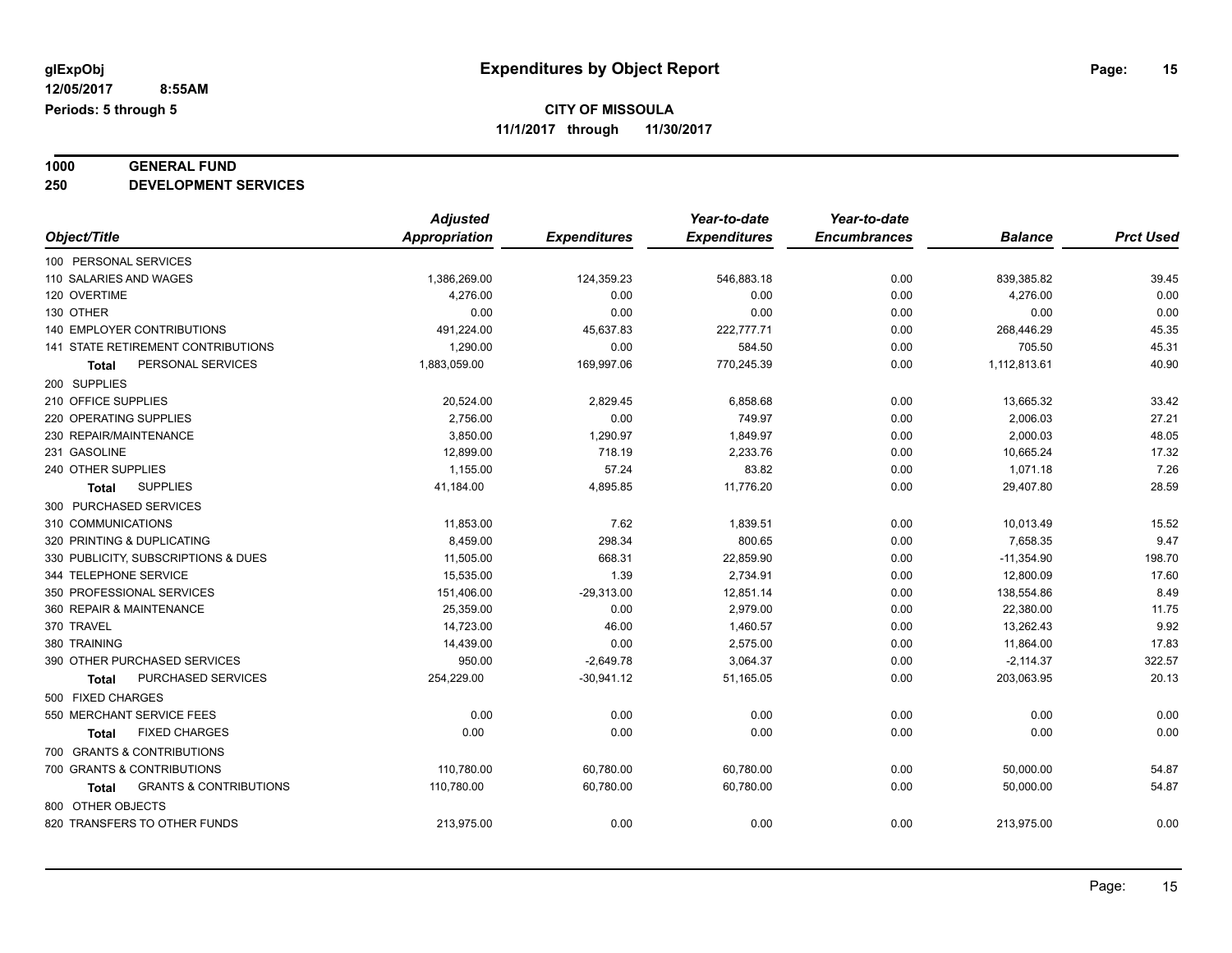# **1000 GENERAL FUND**

**250 DEVELOPMENT SERVICES**

|                                                   | <b>Adjusted</b> |                     | Year-to-date        | Year-to-date        |                |                  |
|---------------------------------------------------|-----------------|---------------------|---------------------|---------------------|----------------|------------------|
| Object/Title                                      | Appropriation   | <b>Expenditures</b> | <b>Expenditures</b> | <b>Encumbrances</b> | <b>Balance</b> | <b>Prct Used</b> |
| 100 PERSONAL SERVICES                             |                 |                     |                     |                     |                |                  |
| 110 SALARIES AND WAGES                            | 1,386,269.00    | 124,359.23          | 546,883.18          | 0.00                | 839,385.82     | 39.45            |
| 120 OVERTIME                                      | 4,276.00        | 0.00                | 0.00                | 0.00                | 4,276.00       | 0.00             |
| 130 OTHER                                         | 0.00            | 0.00                | 0.00                | 0.00                | 0.00           | 0.00             |
| 140 EMPLOYER CONTRIBUTIONS                        | 491,224.00      | 45,637.83           | 222,777.71          | 0.00                | 268,446.29     | 45.35            |
| 141 STATE RETIREMENT CONTRIBUTIONS                | 1,290.00        | 0.00                | 584.50              | 0.00                | 705.50         | 45.31            |
| PERSONAL SERVICES<br>Total                        | 1,883,059.00    | 169,997.06          | 770,245.39          | 0.00                | 1,112,813.61   | 40.90            |
| 200 SUPPLIES                                      |                 |                     |                     |                     |                |                  |
| 210 OFFICE SUPPLIES                               | 20,524.00       | 2,829.45            | 6,858.68            | 0.00                | 13,665.32      | 33.42            |
| 220 OPERATING SUPPLIES                            | 2,756.00        | 0.00                | 749.97              | 0.00                | 2,006.03       | 27.21            |
| 230 REPAIR/MAINTENANCE                            | 3,850.00        | 1,290.97            | 1,849.97            | 0.00                | 2,000.03       | 48.05            |
| 231 GASOLINE                                      | 12,899.00       | 718.19              | 2,233.76            | 0.00                | 10,665.24      | 17.32            |
| 240 OTHER SUPPLIES                                | 1,155.00        | 57.24               | 83.82               | 0.00                | 1,071.18       | 7.26             |
| <b>SUPPLIES</b><br><b>Total</b>                   | 41,184.00       | 4,895.85            | 11,776.20           | 0.00                | 29,407.80      | 28.59            |
| 300 PURCHASED SERVICES                            |                 |                     |                     |                     |                |                  |
| 310 COMMUNICATIONS                                | 11,853.00       | 7.62                | 1,839.51            | 0.00                | 10,013.49      | 15.52            |
| 320 PRINTING & DUPLICATING                        | 8,459.00        | 298.34              | 800.65              | 0.00                | 7,658.35       | 9.47             |
| 330 PUBLICITY, SUBSCRIPTIONS & DUES               | 11,505.00       | 668.31              | 22,859.90           | 0.00                | $-11,354.90$   | 198.70           |
| 344 TELEPHONE SERVICE                             | 15,535.00       | 1.39                | 2,734.91            | 0.00                | 12,800.09      | 17.60            |
| 350 PROFESSIONAL SERVICES                         | 151,406.00      | $-29,313.00$        | 12,851.14           | 0.00                | 138,554.86     | 8.49             |
| 360 REPAIR & MAINTENANCE                          | 25,359.00       | 0.00                | 2,979.00            | 0.00                | 22,380.00      | 11.75            |
| 370 TRAVEL                                        | 14.723.00       | 46.00               | 1,460.57            | 0.00                | 13,262.43      | 9.92             |
| 380 TRAINING                                      | 14,439.00       | 0.00                | 2,575.00            | 0.00                | 11,864.00      | 17.83            |
| 390 OTHER PURCHASED SERVICES                      | 950.00          | $-2,649.78$         | 3,064.37            | 0.00                | $-2,114.37$    | 322.57           |
| PURCHASED SERVICES<br>Total                       | 254,229.00      | $-30,941.12$        | 51,165.05           | 0.00                | 203,063.95     | 20.13            |
| 500 FIXED CHARGES                                 |                 |                     |                     |                     |                |                  |
| 550 MERCHANT SERVICE FEES                         | 0.00            | 0.00                | 0.00                | 0.00                | 0.00           | 0.00             |
| <b>FIXED CHARGES</b><br><b>Total</b>              | 0.00            | 0.00                | 0.00                | 0.00                | 0.00           | 0.00             |
| 700 GRANTS & CONTRIBUTIONS                        |                 |                     |                     |                     |                |                  |
| 700 GRANTS & CONTRIBUTIONS                        | 110,780.00      | 60,780.00           | 60,780.00           | 0.00                | 50,000.00      | 54.87            |
| <b>GRANTS &amp; CONTRIBUTIONS</b><br><b>Total</b> | 110,780.00      | 60,780.00           | 60,780.00           | 0.00                | 50,000.00      | 54.87            |
| 800 OTHER OBJECTS                                 |                 |                     |                     |                     |                |                  |
| 820 TRANSFERS TO OTHER FUNDS                      | 213,975.00      | 0.00                | 0.00                | 0.00                | 213,975.00     | 0.00             |
|                                                   |                 |                     |                     |                     |                |                  |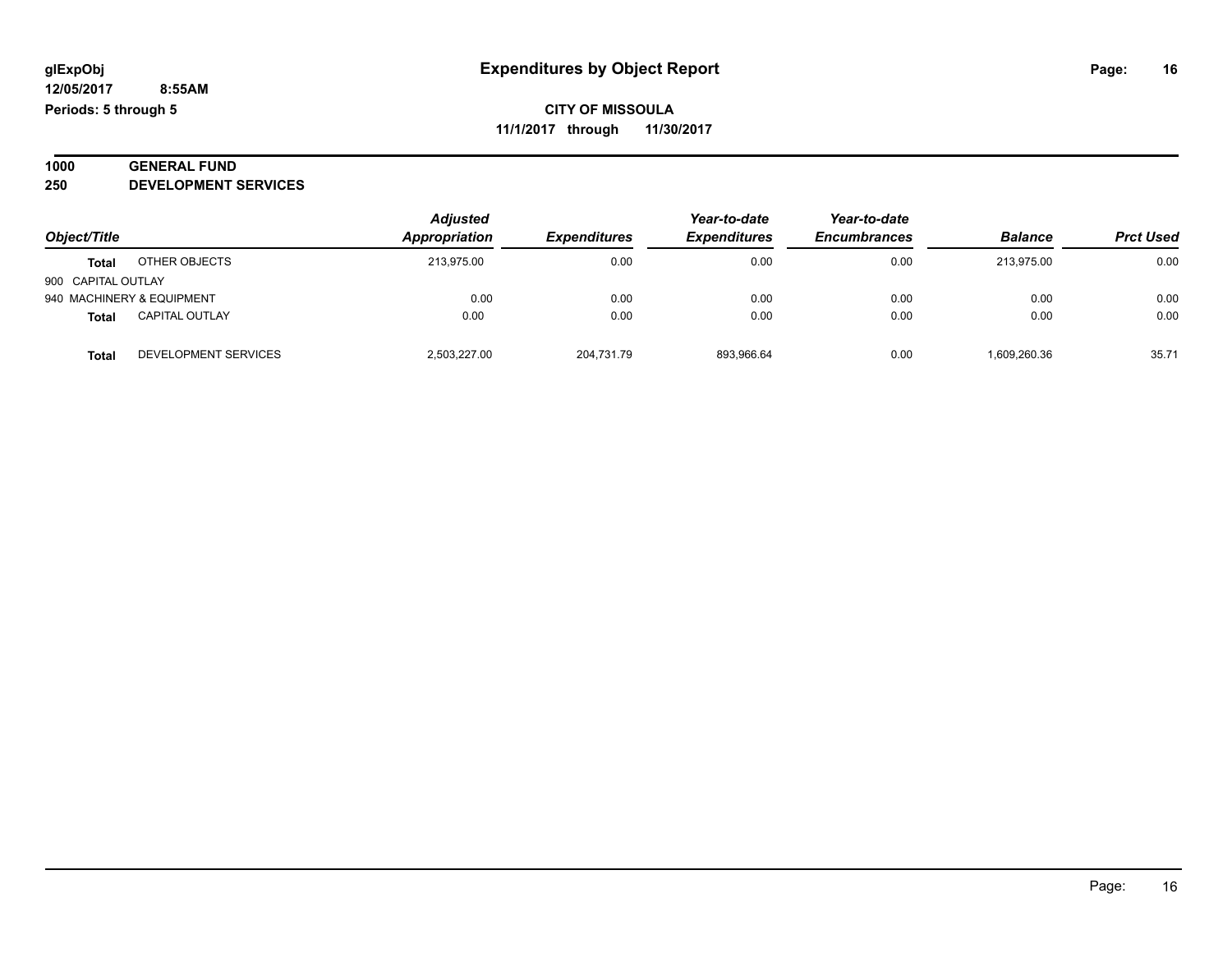#### **1000 GENERAL FUND 250 DEVELOPMENT SERVICES**

| Object/Title       |                           | <b>Adjusted</b><br>Appropriation | <b>Expenditures</b> | Year-to-date<br><b>Expenditures</b> | Year-to-date<br><b>Encumbrances</b> | <b>Balance</b> | <b>Prct Used</b> |
|--------------------|---------------------------|----------------------------------|---------------------|-------------------------------------|-------------------------------------|----------------|------------------|
| Total              | OTHER OBJECTS             | 213.975.00                       | 0.00                | 0.00                                | 0.00                                | 213.975.00     | 0.00             |
| 900 CAPITAL OUTLAY |                           |                                  |                     |                                     |                                     |                |                  |
|                    | 940 MACHINERY & EQUIPMENT | 0.00                             | 0.00                | 0.00                                | 0.00                                | 0.00           | 0.00             |
| <b>Total</b>       | <b>CAPITAL OUTLAY</b>     | 0.00                             | 0.00                | 0.00                                | 0.00                                | 0.00           | 0.00             |
| Total              | DEVELOPMENT SERVICES      | 2.503.227.00                     | 204,731.79          | 893.966.64                          | 0.00                                | 1,609,260.36   | 35.71            |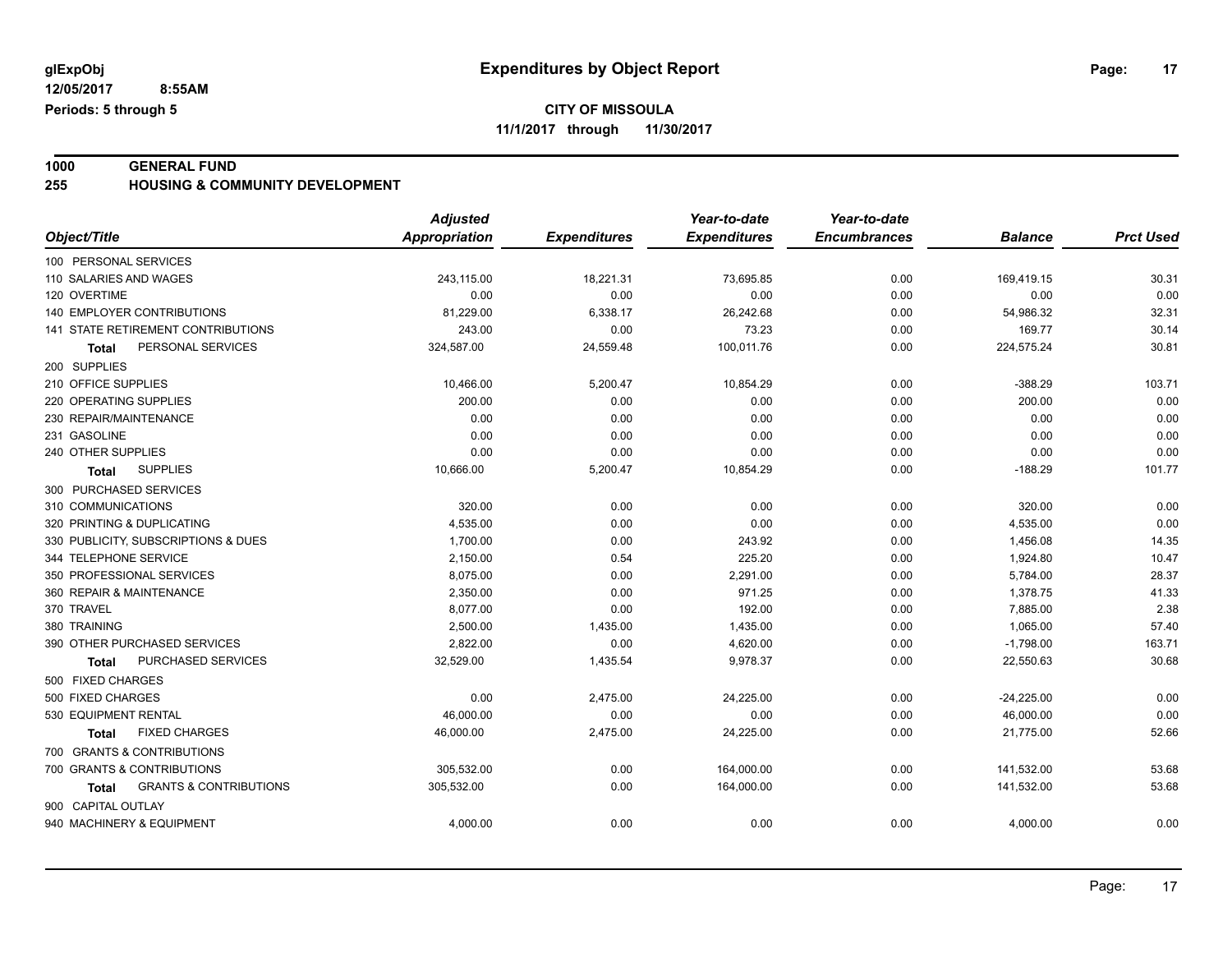**1000 GENERAL FUND 255 HOUSING & COMMUNITY DEVELOPMENT**

|                                            | <b>Adjusted</b>      |                     | Year-to-date        | Year-to-date        |                |                  |
|--------------------------------------------|----------------------|---------------------|---------------------|---------------------|----------------|------------------|
| Object/Title                               | <b>Appropriation</b> | <b>Expenditures</b> | <b>Expenditures</b> | <b>Encumbrances</b> | <b>Balance</b> | <b>Prct Used</b> |
| 100 PERSONAL SERVICES                      |                      |                     |                     |                     |                |                  |
| 110 SALARIES AND WAGES                     | 243,115.00           | 18,221.31           | 73,695.85           | 0.00                | 169,419.15     | 30.31            |
| 120 OVERTIME                               | 0.00                 | 0.00                | 0.00                | 0.00                | 0.00           | 0.00             |
| 140 EMPLOYER CONTRIBUTIONS                 | 81,229.00            | 6,338.17            | 26,242.68           | 0.00                | 54,986.32      | 32.31            |
| 141 STATE RETIREMENT CONTRIBUTIONS         | 243.00               | 0.00                | 73.23               | 0.00                | 169.77         | 30.14            |
| PERSONAL SERVICES<br>Total                 | 324,587.00           | 24,559.48           | 100,011.76          | 0.00                | 224,575.24     | 30.81            |
| 200 SUPPLIES                               |                      |                     |                     |                     |                |                  |
| 210 OFFICE SUPPLIES                        | 10,466.00            | 5,200.47            | 10,854.29           | 0.00                | $-388.29$      | 103.71           |
| 220 OPERATING SUPPLIES                     | 200.00               | 0.00                | 0.00                | 0.00                | 200.00         | 0.00             |
| 230 REPAIR/MAINTENANCE                     | 0.00                 | 0.00                | 0.00                | 0.00                | 0.00           | 0.00             |
| 231 GASOLINE                               | 0.00                 | 0.00                | 0.00                | 0.00                | 0.00           | 0.00             |
| 240 OTHER SUPPLIES                         | 0.00                 | 0.00                | 0.00                | 0.00                | 0.00           | 0.00             |
| <b>SUPPLIES</b><br>Total                   | 10,666.00            | 5,200.47            | 10,854.29           | 0.00                | $-188.29$      | 101.77           |
| 300 PURCHASED SERVICES                     |                      |                     |                     |                     |                |                  |
| 310 COMMUNICATIONS                         | 320.00               | 0.00                | 0.00                | 0.00                | 320.00         | 0.00             |
| 320 PRINTING & DUPLICATING                 | 4,535.00             | 0.00                | 0.00                | 0.00                | 4,535.00       | 0.00             |
| 330 PUBLICITY, SUBSCRIPTIONS & DUES        | 1,700.00             | 0.00                | 243.92              | 0.00                | 1,456.08       | 14.35            |
| 344 TELEPHONE SERVICE                      | 2,150.00             | 0.54                | 225.20              | 0.00                | 1,924.80       | 10.47            |
| 350 PROFESSIONAL SERVICES                  | 8,075.00             | 0.00                | 2,291.00            | 0.00                | 5,784.00       | 28.37            |
| 360 REPAIR & MAINTENANCE                   | 2,350.00             | 0.00                | 971.25              | 0.00                | 1,378.75       | 41.33            |
| 370 TRAVEL                                 | 8,077.00             | 0.00                | 192.00              | 0.00                | 7,885.00       | 2.38             |
| 380 TRAINING                               | 2,500.00             | 1,435.00            | 1,435.00            | 0.00                | 1,065.00       | 57.40            |
| 390 OTHER PURCHASED SERVICES               | 2,822.00             | 0.00                | 4,620.00            | 0.00                | $-1,798.00$    | 163.71           |
| PURCHASED SERVICES<br><b>Total</b>         | 32,529.00            | 1,435.54            | 9,978.37            | 0.00                | 22,550.63      | 30.68            |
| 500 FIXED CHARGES                          |                      |                     |                     |                     |                |                  |
| 500 FIXED CHARGES                          | 0.00                 | 2,475.00            | 24,225.00           | 0.00                | $-24,225.00$   | 0.00             |
| 530 EQUIPMENT RENTAL                       | 46,000.00            | 0.00                | 0.00                | 0.00                | 46,000.00      | 0.00             |
| <b>FIXED CHARGES</b><br>Total              | 46,000.00            | 2,475.00            | 24,225.00           | 0.00                | 21,775.00      | 52.66            |
| 700 GRANTS & CONTRIBUTIONS                 |                      |                     |                     |                     |                |                  |
| 700 GRANTS & CONTRIBUTIONS                 | 305,532.00           | 0.00                | 164,000.00          | 0.00                | 141,532.00     | 53.68            |
| <b>GRANTS &amp; CONTRIBUTIONS</b><br>Total | 305,532.00           | 0.00                | 164,000.00          | 0.00                | 141,532.00     | 53.68            |
| 900 CAPITAL OUTLAY                         |                      |                     |                     |                     |                |                  |
| 940 MACHINERY & EQUIPMENT                  | 4,000.00             | 0.00                | 0.00                | 0.00                | 4,000.00       | 0.00             |
|                                            |                      |                     |                     |                     |                |                  |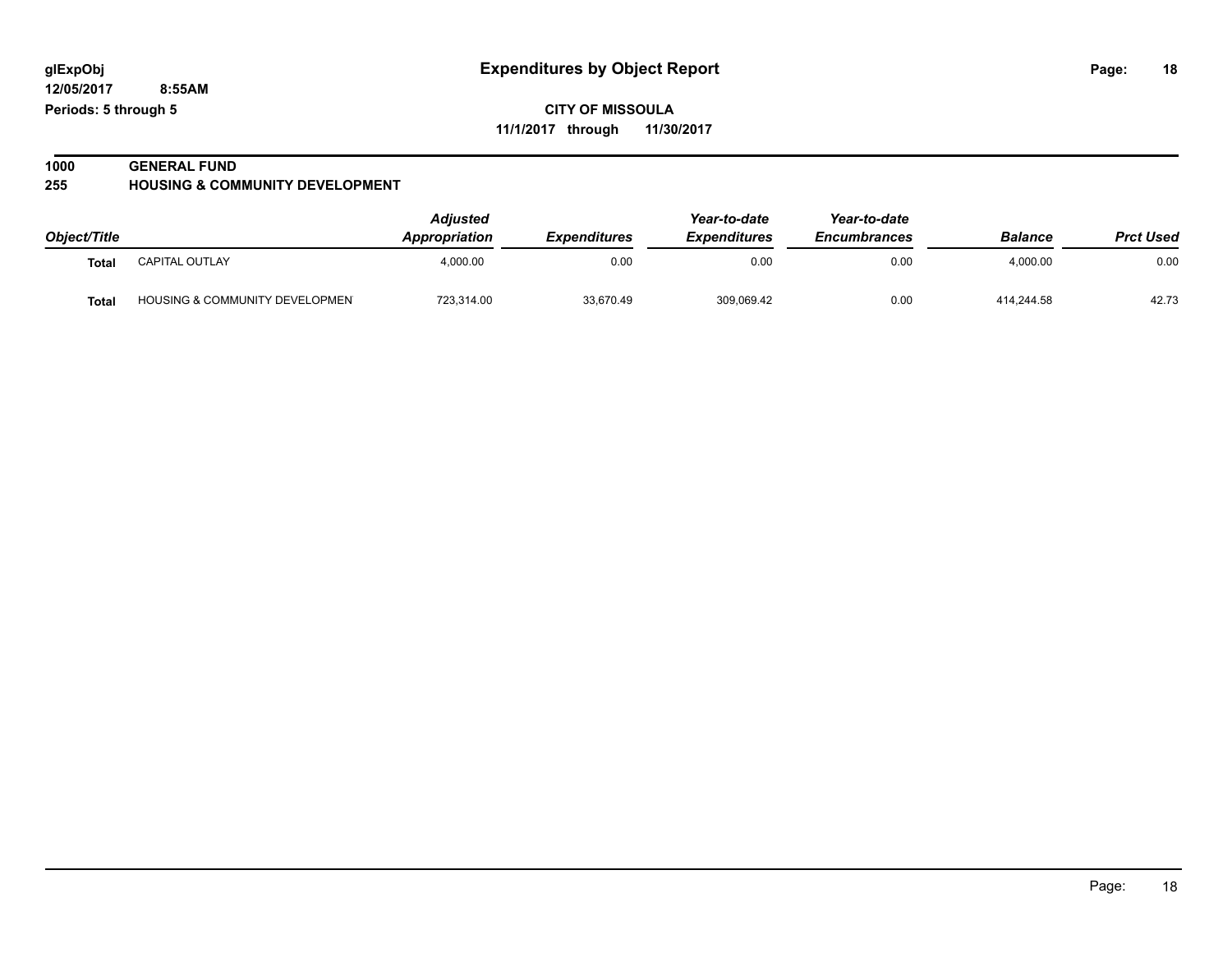# **1000 GENERAL FUND**

**255 HOUSING & COMMUNITY DEVELOPMENT**

|              |                                           | Adjusted             |                            | Year-to-date        | Year-to-date        |                |                  |
|--------------|-------------------------------------------|----------------------|----------------------------|---------------------|---------------------|----------------|------------------|
| Object/Title |                                           | <b>Appropriation</b> | <i><b>Expenditures</b></i> | <b>Expenditures</b> | <b>Encumbrances</b> | <b>Balance</b> | <b>Prct Used</b> |
| Tota.        | <b>CAPITAL OUTLAY</b>                     | 4,000.00             | 0.00                       | 0.00                | 0.00                | 4,000.00       | 0.00             |
| Tota         | <b>HOUSING &amp; COMMUNITY DEVELOPMEN</b> | 723,314.00           | 33,670.49                  | 309,069.42          | 0.00                | 414.244.58     | 42.73            |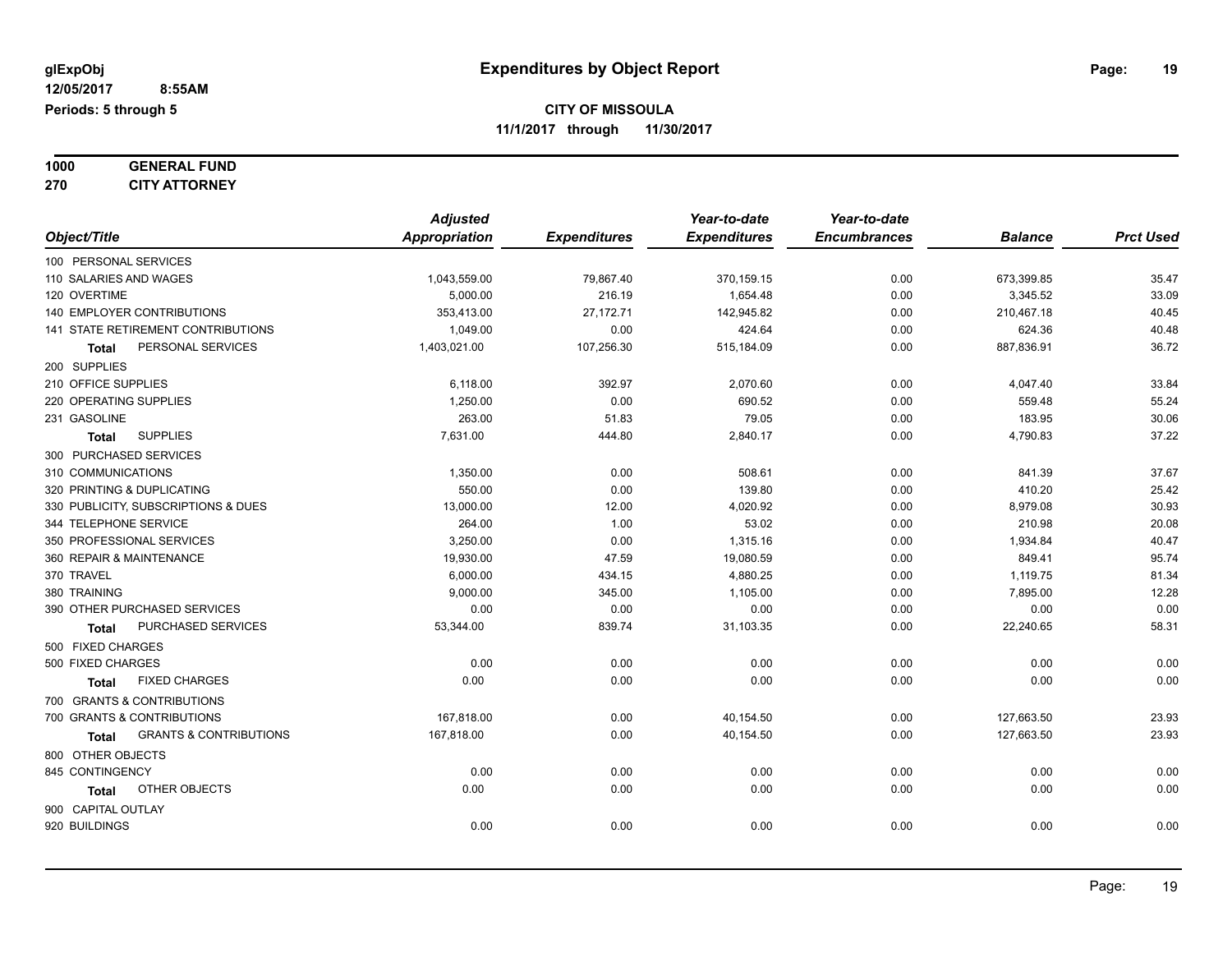| 1000 | <b>GENERAL FUND</b>  |
|------|----------------------|
| 270  | <b>CITY ATTORNEY</b> |

|                                            | <b>Adjusted</b>      |                     | Year-to-date        | Year-to-date        |                |                  |
|--------------------------------------------|----------------------|---------------------|---------------------|---------------------|----------------|------------------|
| Object/Title                               | <b>Appropriation</b> | <b>Expenditures</b> | <b>Expenditures</b> | <b>Encumbrances</b> | <b>Balance</b> | <b>Prct Used</b> |
| 100 PERSONAL SERVICES                      |                      |                     |                     |                     |                |                  |
| 110 SALARIES AND WAGES                     | 1,043,559.00         | 79,867.40           | 370,159.15          | 0.00                | 673,399.85     | 35.47            |
| 120 OVERTIME                               | 5,000.00             | 216.19              | 1,654.48            | 0.00                | 3,345.52       | 33.09            |
| 140 EMPLOYER CONTRIBUTIONS                 | 353,413.00           | 27,172.71           | 142,945.82          | 0.00                | 210,467.18     | 40.45            |
| 141 STATE RETIREMENT CONTRIBUTIONS         | 1,049.00             | 0.00                | 424.64              | 0.00                | 624.36         | 40.48            |
| PERSONAL SERVICES<br>Total                 | 1,403,021.00         | 107,256.30          | 515,184.09          | 0.00                | 887,836.91     | 36.72            |
| 200 SUPPLIES                               |                      |                     |                     |                     |                |                  |
| 210 OFFICE SUPPLIES                        | 6,118.00             | 392.97              | 2,070.60            | 0.00                | 4,047.40       | 33.84            |
| 220 OPERATING SUPPLIES                     | 1,250.00             | 0.00                | 690.52              | 0.00                | 559.48         | 55.24            |
| 231 GASOLINE                               | 263.00               | 51.83               | 79.05               | 0.00                | 183.95         | 30.06            |
| <b>SUPPLIES</b><br><b>Total</b>            | 7,631.00             | 444.80              | 2,840.17            | 0.00                | 4,790.83       | 37.22            |
| 300 PURCHASED SERVICES                     |                      |                     |                     |                     |                |                  |
| 310 COMMUNICATIONS                         | 1,350.00             | 0.00                | 508.61              | 0.00                | 841.39         | 37.67            |
| 320 PRINTING & DUPLICATING                 | 550.00               | 0.00                | 139.80              | 0.00                | 410.20         | 25.42            |
| 330 PUBLICITY, SUBSCRIPTIONS & DUES        | 13,000.00            | 12.00               | 4,020.92            | 0.00                | 8,979.08       | 30.93            |
| 344 TELEPHONE SERVICE                      | 264.00               | 1.00                | 53.02               | 0.00                | 210.98         | 20.08            |
| 350 PROFESSIONAL SERVICES                  | 3,250.00             | 0.00                | 1,315.16            | 0.00                | 1,934.84       | 40.47            |
| 360 REPAIR & MAINTENANCE                   | 19,930.00            | 47.59               | 19,080.59           | 0.00                | 849.41         | 95.74            |
| 370 TRAVEL                                 | 6,000.00             | 434.15              | 4,880.25            | 0.00                | 1,119.75       | 81.34            |
| 380 TRAINING                               | 9,000.00             | 345.00              | 1,105.00            | 0.00                | 7,895.00       | 12.28            |
| 390 OTHER PURCHASED SERVICES               | 0.00                 | 0.00                | 0.00                | 0.00                | 0.00           | 0.00             |
| PURCHASED SERVICES<br><b>Total</b>         | 53,344.00            | 839.74              | 31,103.35           | 0.00                | 22,240.65      | 58.31            |
| 500 FIXED CHARGES                          |                      |                     |                     |                     |                |                  |
| 500 FIXED CHARGES                          | 0.00                 | 0.00                | 0.00                | 0.00                | 0.00           | 0.00             |
| <b>FIXED CHARGES</b><br>Total              | 0.00                 | 0.00                | 0.00                | 0.00                | 0.00           | 0.00             |
| 700 GRANTS & CONTRIBUTIONS                 |                      |                     |                     |                     |                |                  |
| 700 GRANTS & CONTRIBUTIONS                 | 167,818.00           | 0.00                | 40,154.50           | 0.00                | 127,663.50     | 23.93            |
| <b>GRANTS &amp; CONTRIBUTIONS</b><br>Total | 167,818.00           | 0.00                | 40,154.50           | 0.00                | 127,663.50     | 23.93            |
| 800 OTHER OBJECTS                          |                      |                     |                     |                     |                |                  |
| 845 CONTINGENCY                            | 0.00                 | 0.00                | 0.00                | 0.00                | 0.00           | 0.00             |
| <b>OTHER OBJECTS</b><br><b>Total</b>       | 0.00                 | 0.00                | 0.00                | 0.00                | 0.00           | 0.00             |
| 900 CAPITAL OUTLAY                         |                      |                     |                     |                     |                |                  |
| 920 BUILDINGS                              | 0.00                 | 0.00                | 0.00                | 0.00                | 0.00           | 0.00             |
|                                            |                      |                     |                     |                     |                |                  |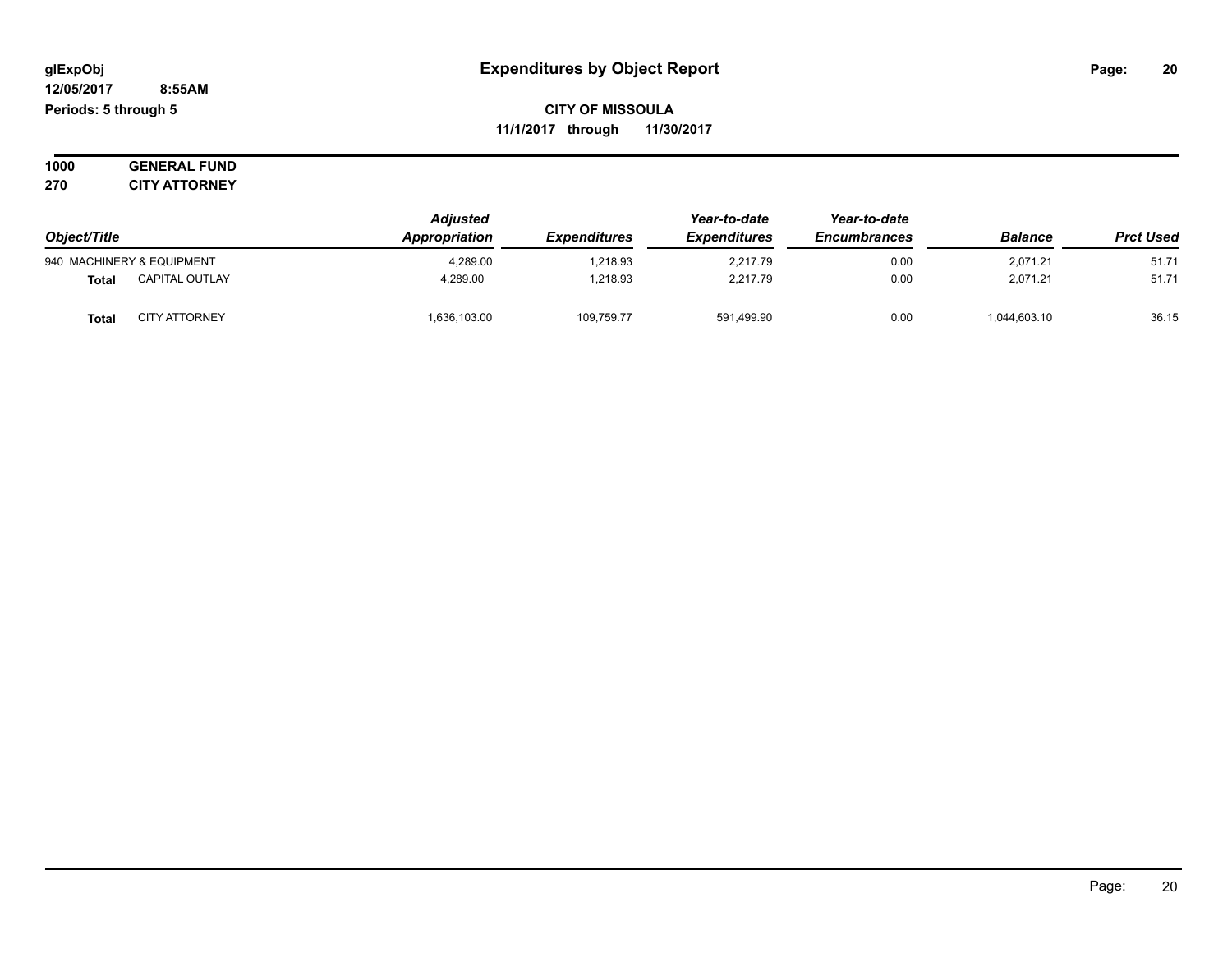**1000 GENERAL FUND 270 CITY ATTORNEY**

| Object/Title |                           | <b>Adjusted</b> |                            | Year-to-date                               | Year-to-date |                |                  |
|--------------|---------------------------|-----------------|----------------------------|--------------------------------------------|--------------|----------------|------------------|
|              |                           | Appropriation   | <i><b>Expenditures</b></i> | <b>Expenditures</b><br><b>Encumbrances</b> |              | <b>Balance</b> | <b>Prct Used</b> |
|              | 940 MACHINERY & EQUIPMENT | 4.289.00        | 1.218.93                   | 2.217.79                                   | 0.00         | 2,071.21       | 51.71            |
| <b>Total</b> | <b>CAPITAL OUTLAY</b>     | 4.289.00        | 1.218.93                   | 2.217.79                                   | 0.00         | 2.071.21       | 51.71            |
| Total        | <b>CITY ATTORNEY</b>      | 1,636,103.00    | 109,759.77                 | 591,499.90                                 | 0.00         | 1,044,603.10   | 36.15            |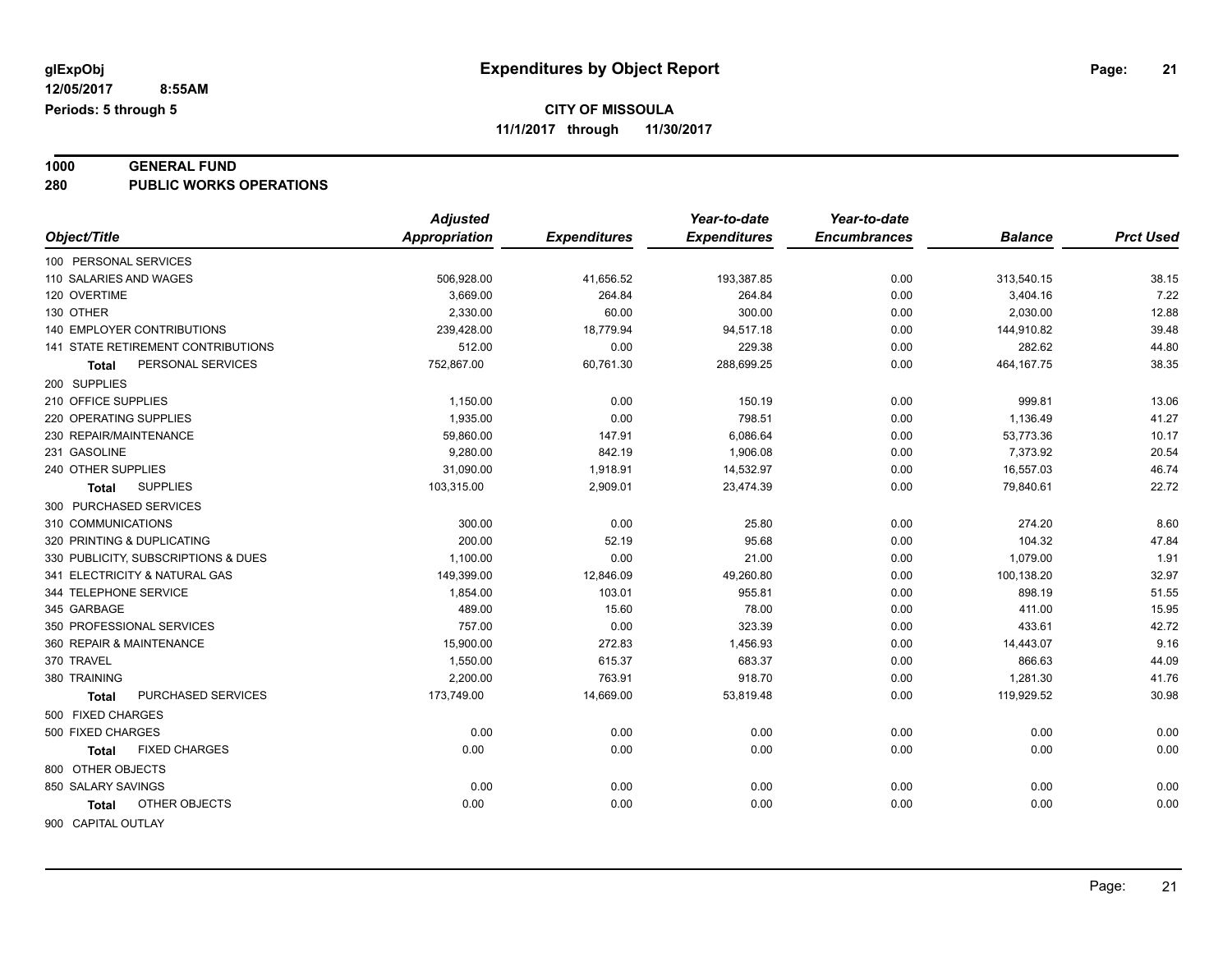# **1000 GENERAL FUND**

**280 PUBLIC WORKS OPERATIONS**

|                                      | <b>Adjusted</b>      |                     | Year-to-date        | Year-to-date        |                |                  |
|--------------------------------------|----------------------|---------------------|---------------------|---------------------|----------------|------------------|
| Object/Title                         | <b>Appropriation</b> | <b>Expenditures</b> | <b>Expenditures</b> | <b>Encumbrances</b> | <b>Balance</b> | <b>Prct Used</b> |
| 100 PERSONAL SERVICES                |                      |                     |                     |                     |                |                  |
| 110 SALARIES AND WAGES               | 506,928.00           | 41,656.52           | 193,387.85          | 0.00                | 313,540.15     | 38.15            |
| 120 OVERTIME                         | 3,669.00             | 264.84              | 264.84              | 0.00                | 3,404.16       | 7.22             |
| 130 OTHER                            | 2,330.00             | 60.00               | 300.00              | 0.00                | 2,030.00       | 12.88            |
| <b>140 EMPLOYER CONTRIBUTIONS</b>    | 239,428.00           | 18,779.94           | 94,517.18           | 0.00                | 144,910.82     | 39.48            |
| 141 STATE RETIREMENT CONTRIBUTIONS   | 512.00               | 0.00                | 229.38              | 0.00                | 282.62         | 44.80            |
| PERSONAL SERVICES<br><b>Total</b>    | 752,867.00           | 60,761.30           | 288,699.25          | 0.00                | 464, 167. 75   | 38.35            |
| 200 SUPPLIES                         |                      |                     |                     |                     |                |                  |
| 210 OFFICE SUPPLIES                  | 1,150.00             | 0.00                | 150.19              | 0.00                | 999.81         | 13.06            |
| 220 OPERATING SUPPLIES               | 1,935.00             | 0.00                | 798.51              | 0.00                | 1,136.49       | 41.27            |
| 230 REPAIR/MAINTENANCE               | 59,860.00            | 147.91              | 6,086.64            | 0.00                | 53,773.36      | 10.17            |
| 231 GASOLINE                         | 9,280.00             | 842.19              | 1,906.08            | 0.00                | 7,373.92       | 20.54            |
| 240 OTHER SUPPLIES                   | 31,090.00            | 1,918.91            | 14,532.97           | 0.00                | 16,557.03      | 46.74            |
| <b>SUPPLIES</b><br><b>Total</b>      | 103,315.00           | 2,909.01            | 23,474.39           | 0.00                | 79,840.61      | 22.72            |
| 300 PURCHASED SERVICES               |                      |                     |                     |                     |                |                  |
| 310 COMMUNICATIONS                   | 300.00               | 0.00                | 25.80               | 0.00                | 274.20         | 8.60             |
| 320 PRINTING & DUPLICATING           | 200.00               | 52.19               | 95.68               | 0.00                | 104.32         | 47.84            |
| 330 PUBLICITY, SUBSCRIPTIONS & DUES  | 1,100.00             | 0.00                | 21.00               | 0.00                | 1,079.00       | 1.91             |
| 341 ELECTRICITY & NATURAL GAS        | 149,399.00           | 12,846.09           | 49,260.80           | 0.00                | 100,138.20     | 32.97            |
| 344 TELEPHONE SERVICE                | 1,854.00             | 103.01              | 955.81              | 0.00                | 898.19         | 51.55            |
| 345 GARBAGE                          | 489.00               | 15.60               | 78.00               | 0.00                | 411.00         | 15.95            |
| 350 PROFESSIONAL SERVICES            | 757.00               | 0.00                | 323.39              | 0.00                | 433.61         | 42.72            |
| 360 REPAIR & MAINTENANCE             | 15,900.00            | 272.83              | 1,456.93            | 0.00                | 14,443.07      | 9.16             |
| 370 TRAVEL                           | 1,550.00             | 615.37              | 683.37              | 0.00                | 866.63         | 44.09            |
| 380 TRAINING                         | 2,200.00             | 763.91              | 918.70              | 0.00                | 1,281.30       | 41.76            |
| PURCHASED SERVICES<br><b>Total</b>   | 173,749.00           | 14,669.00           | 53,819.48           | 0.00                | 119,929.52     | 30.98            |
| 500 FIXED CHARGES                    |                      |                     |                     |                     |                |                  |
| 500 FIXED CHARGES                    | 0.00                 | 0.00                | 0.00                | 0.00                | 0.00           | 0.00             |
| <b>FIXED CHARGES</b><br><b>Total</b> | 0.00                 | 0.00                | 0.00                | 0.00                | 0.00           | 0.00             |
| 800 OTHER OBJECTS                    |                      |                     |                     |                     |                |                  |
| 850 SALARY SAVINGS                   | 0.00                 | 0.00                | 0.00                | 0.00                | 0.00           | 0.00             |
| OTHER OBJECTS<br><b>Total</b>        | 0.00                 | 0.00                | 0.00                | 0.00                | 0.00           | 0.00             |
| 900 CAPITAL OUTLAY                   |                      |                     |                     |                     |                |                  |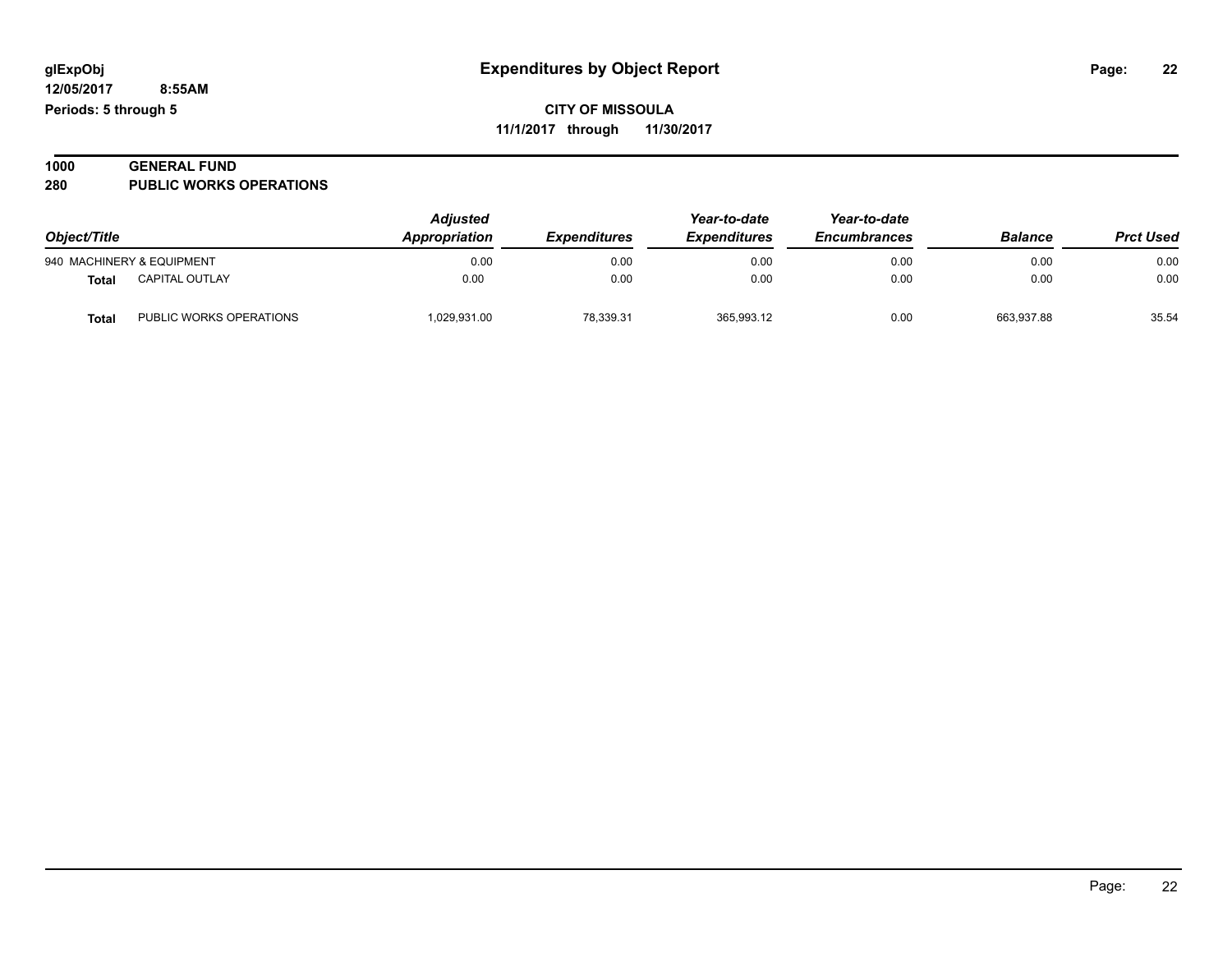| 1000 | <b>GENERAL FUND</b>            |
|------|--------------------------------|
| 280  | <b>PUBLIC WORKS OPERATIONS</b> |

| Object/Title |                           | <b>Adjusted</b><br>Appropriation | Year-to-date<br><b>Expenditures</b><br><i><b>Expenditures</b></i> | Year-to-date<br><b>Encumbrances</b> | <b>Balance</b> | <b>Prct Used</b> |       |
|--------------|---------------------------|----------------------------------|-------------------------------------------------------------------|-------------------------------------|----------------|------------------|-------|
|              | 940 MACHINERY & EQUIPMENT | 0.00                             | 0.00                                                              | 0.00                                | 0.00           | 0.00             | 0.00  |
| Total        | <b>CAPITAL OUTLAY</b>     | 0.00                             | 0.00                                                              | 0.00                                | 0.00           | 0.00             | 0.00  |
| <b>Total</b> | PUBLIC WORKS OPERATIONS   | 1,029,931.00                     | 78.339.31                                                         | 365,993.12                          | 0.00           | 663.937.88       | 35.54 |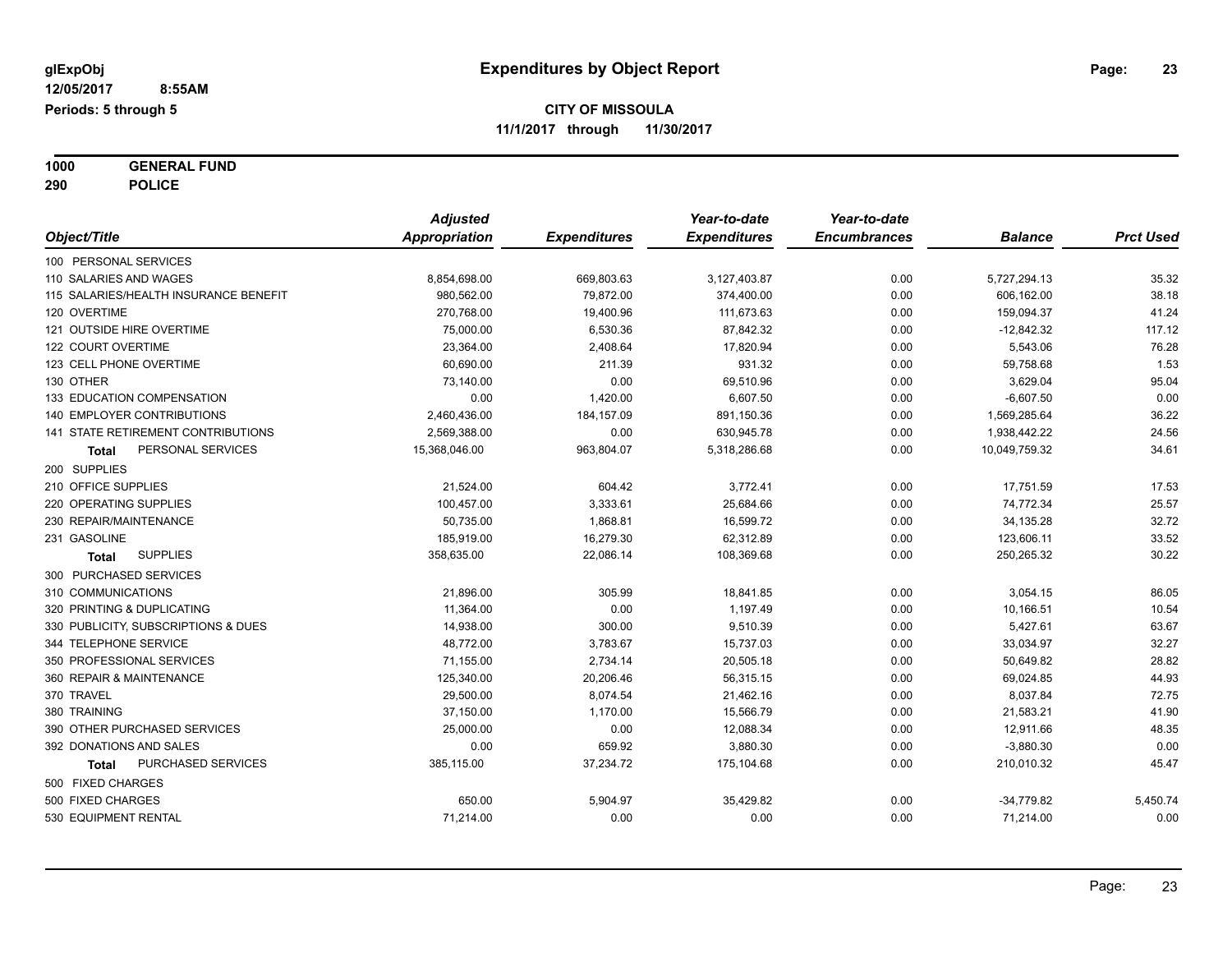**1000 GENERAL FUND 290 POLICE**

|                                       | <b>Adjusted</b> |                     | Year-to-date        | Year-to-date        |                |                  |
|---------------------------------------|-----------------|---------------------|---------------------|---------------------|----------------|------------------|
| Object/Title                          | Appropriation   | <b>Expenditures</b> | <b>Expenditures</b> | <b>Encumbrances</b> | <b>Balance</b> | <b>Prct Used</b> |
| 100 PERSONAL SERVICES                 |                 |                     |                     |                     |                |                  |
| 110 SALARIES AND WAGES                | 8,854,698.00    | 669,803.63          | 3,127,403.87        | 0.00                | 5,727,294.13   | 35.32            |
| 115 SALARIES/HEALTH INSURANCE BENEFIT | 980,562.00      | 79,872.00           | 374,400.00          | 0.00                | 606,162.00     | 38.18            |
| 120 OVERTIME                          | 270,768.00      | 19,400.96           | 111,673.63          | 0.00                | 159,094.37     | 41.24            |
| 121 OUTSIDE HIRE OVERTIME             | 75,000.00       | 6,530.36            | 87,842.32           | 0.00                | $-12,842.32$   | 117.12           |
| 122 COURT OVERTIME                    | 23,364.00       | 2,408.64            | 17,820.94           | 0.00                | 5,543.06       | 76.28            |
| 123 CELL PHONE OVERTIME               | 60,690.00       | 211.39              | 931.32              | 0.00                | 59,758.68      | 1.53             |
| 130 OTHER                             | 73,140.00       | 0.00                | 69,510.96           | 0.00                | 3,629.04       | 95.04            |
| 133 EDUCATION COMPENSATION            | 0.00            | 1,420.00            | 6,607.50            | 0.00                | $-6,607.50$    | 0.00             |
| 140 EMPLOYER CONTRIBUTIONS            | 2,460,436.00    | 184, 157.09         | 891,150.36          | 0.00                | 1,569,285.64   | 36.22            |
| 141 STATE RETIREMENT CONTRIBUTIONS    | 2,569,388.00    | 0.00                | 630,945.78          | 0.00                | 1,938,442.22   | 24.56            |
| PERSONAL SERVICES<br><b>Total</b>     | 15,368,046.00   | 963,804.07          | 5,318,286.68        | 0.00                | 10,049,759.32  | 34.61            |
| 200 SUPPLIES                          |                 |                     |                     |                     |                |                  |
| 210 OFFICE SUPPLIES                   | 21,524.00       | 604.42              | 3,772.41            | 0.00                | 17,751.59      | 17.53            |
| 220 OPERATING SUPPLIES                | 100,457.00      | 3,333.61            | 25,684.66           | 0.00                | 74,772.34      | 25.57            |
| 230 REPAIR/MAINTENANCE                | 50,735.00       | 1,868.81            | 16,599.72           | 0.00                | 34,135.28      | 32.72            |
| 231 GASOLINE                          | 185,919.00      | 16,279.30           | 62,312.89           | 0.00                | 123,606.11     | 33.52            |
| <b>SUPPLIES</b><br><b>Total</b>       | 358,635.00      | 22,086.14           | 108,369.68          | 0.00                | 250,265.32     | 30.22            |
| 300 PURCHASED SERVICES                |                 |                     |                     |                     |                |                  |
| 310 COMMUNICATIONS                    | 21,896.00       | 305.99              | 18,841.85           | 0.00                | 3,054.15       | 86.05            |
| 320 PRINTING & DUPLICATING            | 11,364.00       | 0.00                | 1,197.49            | 0.00                | 10,166.51      | 10.54            |
| 330 PUBLICITY, SUBSCRIPTIONS & DUES   | 14,938.00       | 300.00              | 9,510.39            | 0.00                | 5,427.61       | 63.67            |
| 344 TELEPHONE SERVICE                 | 48,772.00       | 3,783.67            | 15,737.03           | 0.00                | 33,034.97      | 32.27            |
| 350 PROFESSIONAL SERVICES             | 71,155.00       | 2,734.14            | 20,505.18           | 0.00                | 50,649.82      | 28.82            |
| 360 REPAIR & MAINTENANCE              | 125,340.00      | 20,206.46           | 56,315.15           | 0.00                | 69,024.85      | 44.93            |
| 370 TRAVEL                            | 29,500.00       | 8,074.54            | 21,462.16           | 0.00                | 8,037.84       | 72.75            |
| 380 TRAINING                          | 37,150.00       | 1,170.00            | 15,566.79           | 0.00                | 21,583.21      | 41.90            |
| 390 OTHER PURCHASED SERVICES          | 25,000.00       | 0.00                | 12,088.34           | 0.00                | 12,911.66      | 48.35            |
| 392 DONATIONS AND SALES               | 0.00            | 659.92              | 3,880.30            | 0.00                | $-3,880.30$    | 0.00             |
| PURCHASED SERVICES<br>Total           | 385,115.00      | 37,234.72           | 175,104.68          | 0.00                | 210,010.32     | 45.47            |
| 500 FIXED CHARGES                     |                 |                     |                     |                     |                |                  |
| 500 FIXED CHARGES                     | 650.00          | 5,904.97            | 35,429.82           | 0.00                | $-34,779.82$   | 5,450.74         |
| 530 EQUIPMENT RENTAL                  | 71,214.00       | 0.00                | 0.00                | 0.00                | 71,214.00      | 0.00             |
|                                       |                 |                     |                     |                     |                |                  |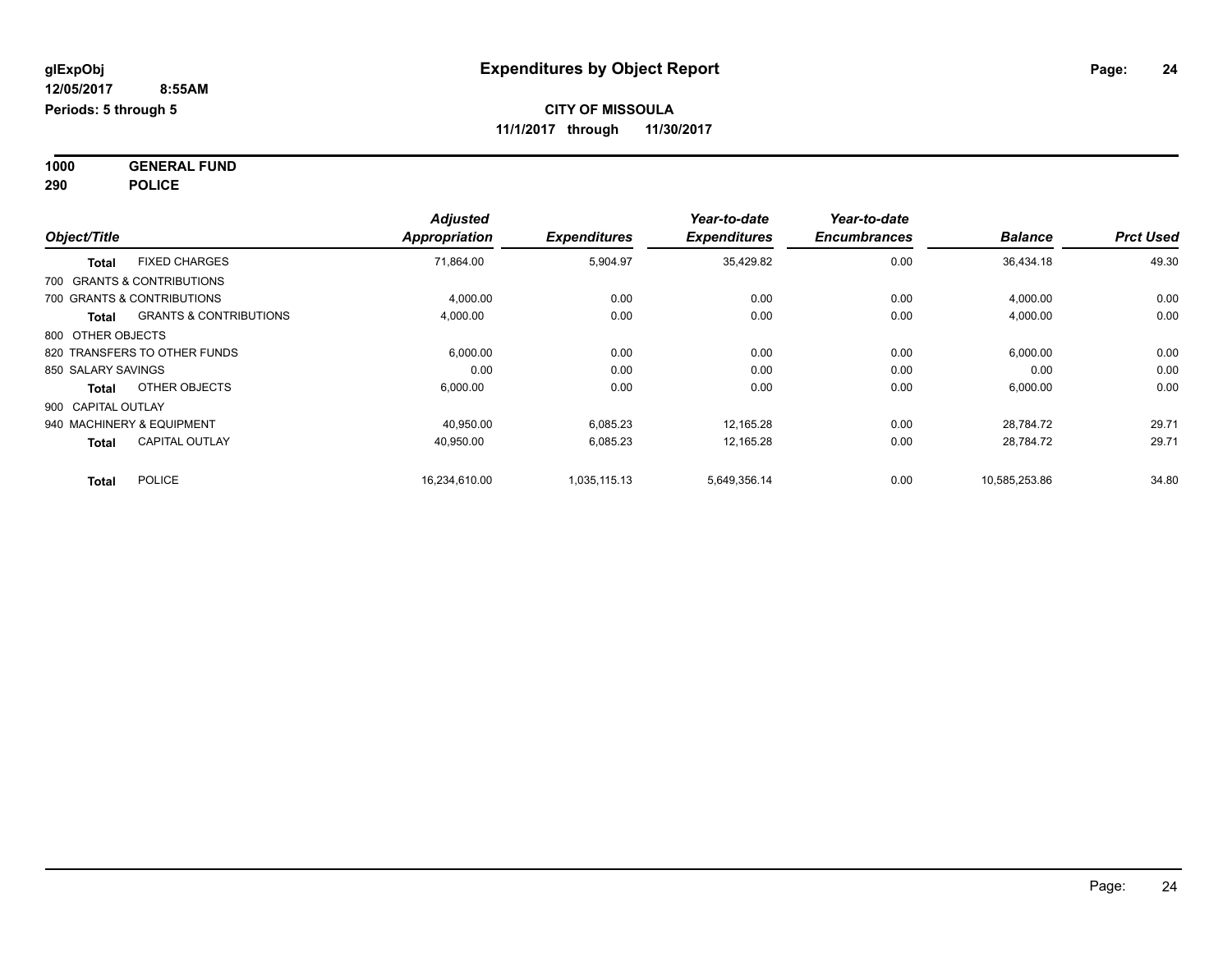**1000 GENERAL FUND 290 POLICE**

| Object/Title       |                                   | <b>Adjusted</b><br><b>Appropriation</b> | <b>Expenditures</b> | Year-to-date<br><b>Expenditures</b> | Year-to-date<br><b>Encumbrances</b> | <b>Balance</b> | <b>Prct Used</b> |
|--------------------|-----------------------------------|-----------------------------------------|---------------------|-------------------------------------|-------------------------------------|----------------|------------------|
|                    |                                   |                                         |                     |                                     |                                     |                |                  |
| <b>Total</b>       | <b>FIXED CHARGES</b>              | 71,864.00                               | 5,904.97            | 35,429.82                           | 0.00                                | 36,434.18      | 49.30            |
|                    | 700 GRANTS & CONTRIBUTIONS        |                                         |                     |                                     |                                     |                |                  |
|                    | 700 GRANTS & CONTRIBUTIONS        | 4,000.00                                | 0.00                | 0.00                                | 0.00                                | 4,000.00       | 0.00             |
| Total              | <b>GRANTS &amp; CONTRIBUTIONS</b> | 4,000.00                                | 0.00                | 0.00                                | 0.00                                | 4,000.00       | 0.00             |
| 800 OTHER OBJECTS  |                                   |                                         |                     |                                     |                                     |                |                  |
|                    | 820 TRANSFERS TO OTHER FUNDS      | 6,000.00                                | 0.00                | 0.00                                | 0.00                                | 6,000.00       | 0.00             |
| 850 SALARY SAVINGS |                                   | 0.00                                    | 0.00                | 0.00                                | 0.00                                | 0.00           | 0.00             |
| <b>Total</b>       | OTHER OBJECTS                     | 6,000.00                                | 0.00                | 0.00                                | 0.00                                | 6,000.00       | 0.00             |
| 900 CAPITAL OUTLAY |                                   |                                         |                     |                                     |                                     |                |                  |
|                    | 940 MACHINERY & EQUIPMENT         | 40,950.00                               | 6,085.23            | 12,165.28                           | 0.00                                | 28,784.72      | 29.71            |
| <b>Total</b>       | <b>CAPITAL OUTLAY</b>             | 40,950.00                               | 6,085.23            | 12,165.28                           | 0.00                                | 28,784.72      | 29.71            |
| <b>Total</b>       | <b>POLICE</b>                     | 16,234,610.00                           | 1,035,115.13        | 5,649,356.14                        | 0.00                                | 10,585,253.86  | 34.80            |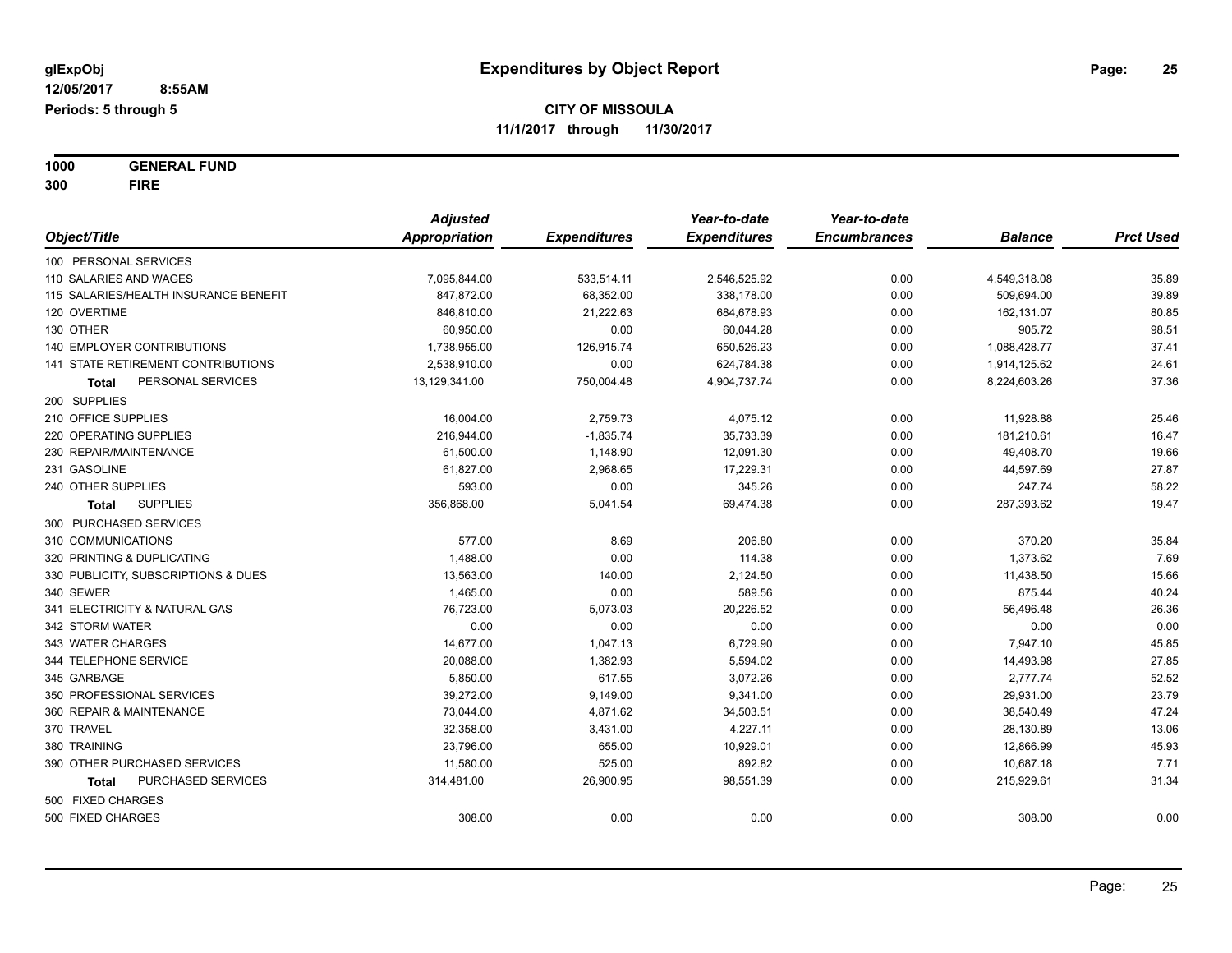**1000 GENERAL FUND 300 FIRE**

|                                       | <b>Adjusted</b> |                     | Year-to-date        | Year-to-date        |                |                  |
|---------------------------------------|-----------------|---------------------|---------------------|---------------------|----------------|------------------|
| Object/Title                          | Appropriation   | <b>Expenditures</b> | <b>Expenditures</b> | <b>Encumbrances</b> | <b>Balance</b> | <b>Prct Used</b> |
| 100 PERSONAL SERVICES                 |                 |                     |                     |                     |                |                  |
| 110 SALARIES AND WAGES                | 7,095,844.00    | 533,514.11          | 2,546,525.92        | 0.00                | 4,549,318.08   | 35.89            |
| 115 SALARIES/HEALTH INSURANCE BENEFIT | 847.872.00      | 68,352.00           | 338.178.00          | 0.00                | 509,694.00     | 39.89            |
| 120 OVERTIME                          | 846,810.00      | 21,222.63           | 684,678.93          | 0.00                | 162,131.07     | 80.85            |
| 130 OTHER                             | 60,950.00       | 0.00                | 60,044.28           | 0.00                | 905.72         | 98.51            |
| <b>140 EMPLOYER CONTRIBUTIONS</b>     | 1,738,955.00    | 126,915.74          | 650,526.23          | 0.00                | 1,088,428.77   | 37.41            |
| 141 STATE RETIREMENT CONTRIBUTIONS    | 2,538,910.00    | 0.00                | 624,784.38          | 0.00                | 1,914,125.62   | 24.61            |
| PERSONAL SERVICES<br>Total            | 13,129,341.00   | 750,004.48          | 4,904,737.74        | 0.00                | 8,224,603.26   | 37.36            |
| 200 SUPPLIES                          |                 |                     |                     |                     |                |                  |
| 210 OFFICE SUPPLIES                   | 16,004.00       | 2,759.73            | 4,075.12            | 0.00                | 11,928.88      | 25.46            |
| 220 OPERATING SUPPLIES                | 216,944.00      | $-1,835.74$         | 35,733.39           | 0.00                | 181,210.61     | 16.47            |
| 230 REPAIR/MAINTENANCE                | 61,500.00       | 1,148.90            | 12,091.30           | 0.00                | 49,408.70      | 19.66            |
| 231 GASOLINE                          | 61,827.00       | 2,968.65            | 17,229.31           | 0.00                | 44,597.69      | 27.87            |
| 240 OTHER SUPPLIES                    | 593.00          | 0.00                | 345.26              | 0.00                | 247.74         | 58.22            |
| <b>SUPPLIES</b><br><b>Total</b>       | 356,868.00      | 5,041.54            | 69,474.38           | 0.00                | 287,393.62     | 19.47            |
| 300 PURCHASED SERVICES                |                 |                     |                     |                     |                |                  |
| 310 COMMUNICATIONS                    | 577.00          | 8.69                | 206.80              | 0.00                | 370.20         | 35.84            |
| 320 PRINTING & DUPLICATING            | 1,488.00        | 0.00                | 114.38              | 0.00                | 1,373.62       | 7.69             |
| 330 PUBLICITY, SUBSCRIPTIONS & DUES   | 13,563.00       | 140.00              | 2,124.50            | 0.00                | 11,438.50      | 15.66            |
| 340 SEWER                             | 1,465.00        | 0.00                | 589.56              | 0.00                | 875.44         | 40.24            |
| 341 ELECTRICITY & NATURAL GAS         | 76,723.00       | 5,073.03            | 20,226.52           | 0.00                | 56,496.48      | 26.36            |
| 342 STORM WATER                       | 0.00            | 0.00                | 0.00                | 0.00                | 0.00           | 0.00             |
| 343 WATER CHARGES                     | 14,677.00       | 1,047.13            | 6,729.90            | 0.00                | 7,947.10       | 45.85            |
| 344 TELEPHONE SERVICE                 | 20,088.00       | 1,382.93            | 5,594.02            | 0.00                | 14,493.98      | 27.85            |
| 345 GARBAGE                           | 5,850.00        | 617.55              | 3,072.26            | 0.00                | 2,777.74       | 52.52            |
| 350 PROFESSIONAL SERVICES             | 39,272.00       | 9,149.00            | 9,341.00            | 0.00                | 29,931.00      | 23.79            |
| 360 REPAIR & MAINTENANCE              | 73,044.00       | 4,871.62            | 34,503.51           | 0.00                | 38,540.49      | 47.24            |
| 370 TRAVEL                            | 32,358.00       | 3,431.00            | 4,227.11            | 0.00                | 28,130.89      | 13.06            |
| 380 TRAINING                          | 23,796.00       | 655.00              | 10,929.01           | 0.00                | 12,866.99      | 45.93            |
| 390 OTHER PURCHASED SERVICES          | 11,580.00       | 525.00              | 892.82              | 0.00                | 10,687.18      | 7.71             |
| PURCHASED SERVICES<br><b>Total</b>    | 314,481.00      | 26,900.95           | 98,551.39           | 0.00                | 215,929.61     | 31.34            |
| 500 FIXED CHARGES                     |                 |                     |                     |                     |                |                  |
| 500 FIXED CHARGES                     | 308.00          | 0.00                | 0.00                | 0.00                | 308.00         | 0.00             |
|                                       |                 |                     |                     |                     |                |                  |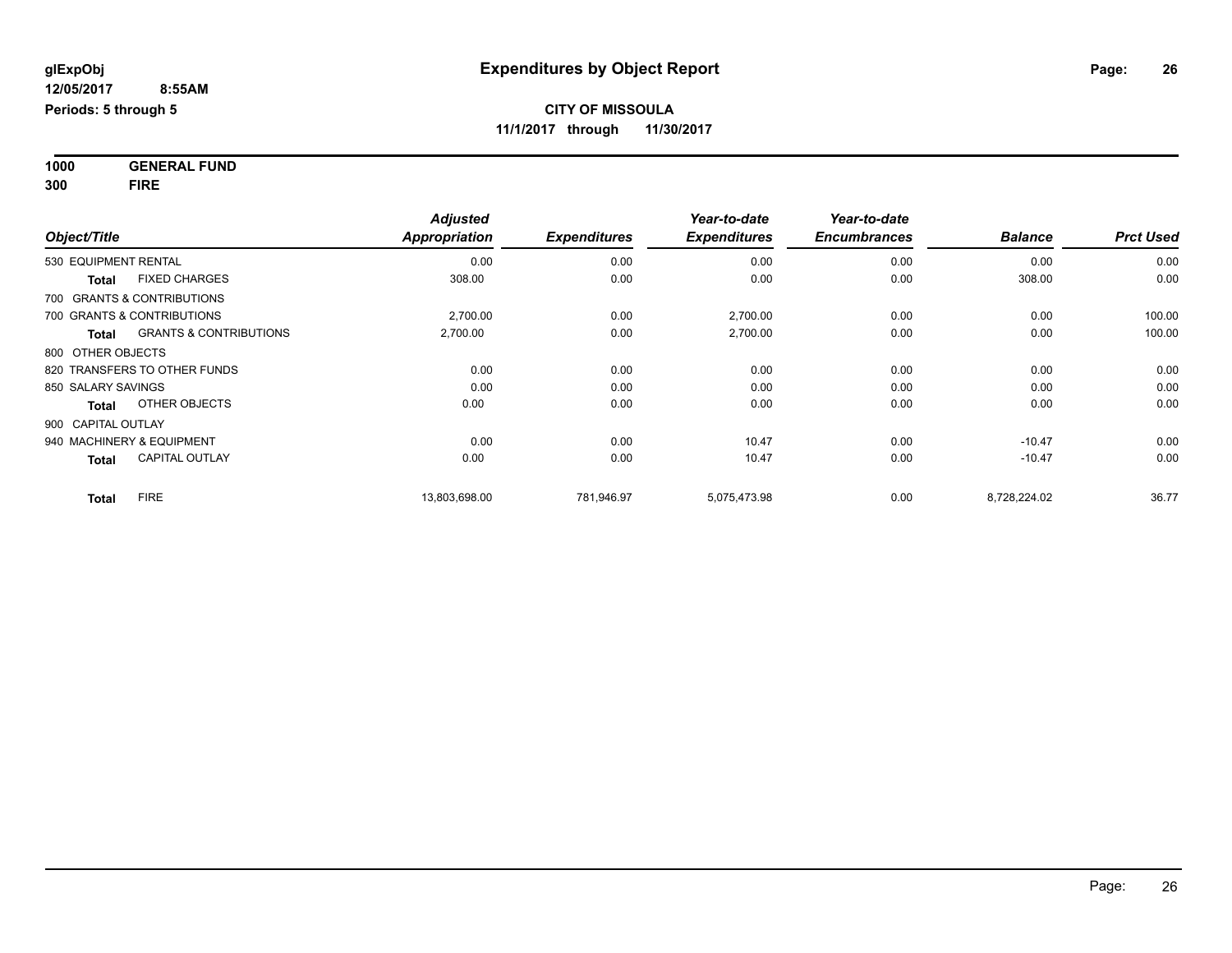**1000 GENERAL FUND 300 FIRE**

|                                                   | <b>Adjusted</b>      |                     | Year-to-date        | Year-to-date        |                |                  |
|---------------------------------------------------|----------------------|---------------------|---------------------|---------------------|----------------|------------------|
| Object/Title                                      | <b>Appropriation</b> | <b>Expenditures</b> | <b>Expenditures</b> | <b>Encumbrances</b> | <b>Balance</b> | <b>Prct Used</b> |
| 530 EQUIPMENT RENTAL                              | 0.00                 | 0.00                | 0.00                | 0.00                | 0.00           | 0.00             |
| <b>FIXED CHARGES</b><br><b>Total</b>              | 308.00               | 0.00                | 0.00                | 0.00                | 308.00         | 0.00             |
| 700 GRANTS & CONTRIBUTIONS                        |                      |                     |                     |                     |                |                  |
| 700 GRANTS & CONTRIBUTIONS                        | 2,700.00             | 0.00                | 2,700.00            | 0.00                | 0.00           | 100.00           |
| <b>GRANTS &amp; CONTRIBUTIONS</b><br><b>Total</b> | 2,700.00             | 0.00                | 2,700.00            | 0.00                | 0.00           | 100.00           |
| 800 OTHER OBJECTS                                 |                      |                     |                     |                     |                |                  |
| 820 TRANSFERS TO OTHER FUNDS                      | 0.00                 | 0.00                | 0.00                | 0.00                | 0.00           | 0.00             |
| 850 SALARY SAVINGS                                | 0.00                 | 0.00                | 0.00                | 0.00                | 0.00           | 0.00             |
| OTHER OBJECTS<br><b>Total</b>                     | 0.00                 | 0.00                | 0.00                | 0.00                | 0.00           | 0.00             |
| 900 CAPITAL OUTLAY                                |                      |                     |                     |                     |                |                  |
| 940 MACHINERY & EQUIPMENT                         | 0.00                 | 0.00                | 10.47               | 0.00                | $-10.47$       | 0.00             |
| <b>CAPITAL OUTLAY</b><br><b>Total</b>             | 0.00                 | 0.00                | 10.47               | 0.00                | $-10.47$       | 0.00             |
| <b>FIRE</b><br><b>Total</b>                       | 13,803,698.00        | 781.946.97          | 5,075,473.98        | 0.00                | 8,728,224.02   | 36.77            |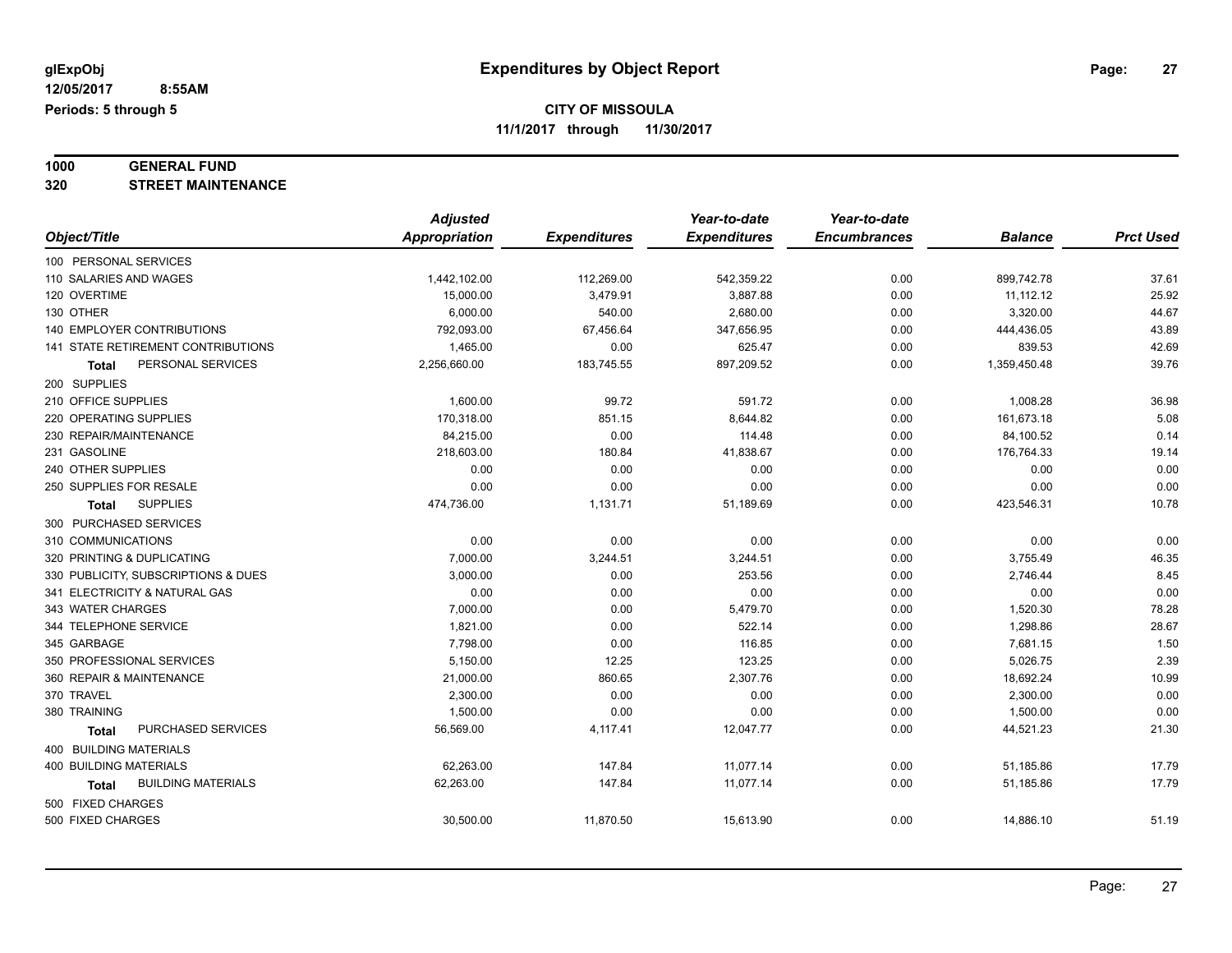# **1000 GENERAL FUND**

**320 STREET MAINTENANCE**

|                                           | <b>Adjusted</b> |                     | Year-to-date        | Year-to-date        |                |                  |
|-------------------------------------------|-----------------|---------------------|---------------------|---------------------|----------------|------------------|
| Object/Title                              | Appropriation   | <b>Expenditures</b> | <b>Expenditures</b> | <b>Encumbrances</b> | <b>Balance</b> | <b>Prct Used</b> |
| 100 PERSONAL SERVICES                     |                 |                     |                     |                     |                |                  |
| 110 SALARIES AND WAGES                    | 1,442,102.00    | 112,269.00          | 542,359.22          | 0.00                | 899,742.78     | 37.61            |
| 120 OVERTIME                              | 15,000.00       | 3,479.91            | 3,887.88            | 0.00                | 11,112.12      | 25.92            |
| 130 OTHER                                 | 6,000.00        | 540.00              | 2,680.00            | 0.00                | 3,320.00       | 44.67            |
| 140 EMPLOYER CONTRIBUTIONS                | 792,093.00      | 67,456.64           | 347,656.95          | 0.00                | 444,436.05     | 43.89            |
| <b>141 STATE RETIREMENT CONTRIBUTIONS</b> | 1.465.00        | 0.00                | 625.47              | 0.00                | 839.53         | 42.69            |
| PERSONAL SERVICES<br>Total                | 2,256,660.00    | 183,745.55          | 897,209.52          | 0.00                | 1,359,450.48   | 39.76            |
| 200 SUPPLIES                              |                 |                     |                     |                     |                |                  |
| 210 OFFICE SUPPLIES                       | 1,600.00        | 99.72               | 591.72              | 0.00                | 1,008.28       | 36.98            |
| 220 OPERATING SUPPLIES                    | 170,318.00      | 851.15              | 8,644.82            | 0.00                | 161,673.18     | 5.08             |
| 230 REPAIR/MAINTENANCE                    | 84,215.00       | 0.00                | 114.48              | 0.00                | 84,100.52      | 0.14             |
| 231 GASOLINE                              | 218,603.00      | 180.84              | 41,838.67           | 0.00                | 176,764.33     | 19.14            |
| 240 OTHER SUPPLIES                        | 0.00            | 0.00                | 0.00                | 0.00                | 0.00           | 0.00             |
| 250 SUPPLIES FOR RESALE                   | 0.00            | 0.00                | 0.00                | 0.00                | 0.00           | 0.00             |
| <b>SUPPLIES</b><br><b>Total</b>           | 474,736.00      | 1,131.71            | 51,189.69           | 0.00                | 423,546.31     | 10.78            |
| 300 PURCHASED SERVICES                    |                 |                     |                     |                     |                |                  |
| 310 COMMUNICATIONS                        | 0.00            | 0.00                | 0.00                | 0.00                | 0.00           | 0.00             |
| 320 PRINTING & DUPLICATING                | 7,000.00        | 3,244.51            | 3,244.51            | 0.00                | 3,755.49       | 46.35            |
| 330 PUBLICITY, SUBSCRIPTIONS & DUES       | 3,000.00        | 0.00                | 253.56              | 0.00                | 2,746.44       | 8.45             |
| 341 ELECTRICITY & NATURAL GAS             | 0.00            | 0.00                | 0.00                | 0.00                | 0.00           | 0.00             |
| 343 WATER CHARGES                         | 7,000.00        | 0.00                | 5,479.70            | 0.00                | 1,520.30       | 78.28            |
| 344 TELEPHONE SERVICE                     | 1,821.00        | 0.00                | 522.14              | 0.00                | 1,298.86       | 28.67            |
| 345 GARBAGE                               | 7,798.00        | 0.00                | 116.85              | 0.00                | 7,681.15       | 1.50             |
| 350 PROFESSIONAL SERVICES                 | 5,150.00        | 12.25               | 123.25              | 0.00                | 5,026.75       | 2.39             |
| 360 REPAIR & MAINTENANCE                  | 21,000.00       | 860.65              | 2,307.76            | 0.00                | 18,692.24      | 10.99            |
| 370 TRAVEL                                | 2,300.00        | 0.00                | 0.00                | 0.00                | 2,300.00       | 0.00             |
| 380 TRAINING                              | 1,500.00        | 0.00                | 0.00                | 0.00                | 1,500.00       | 0.00             |
| PURCHASED SERVICES<br><b>Total</b>        | 56,569.00       | 4,117.41            | 12,047.77           | 0.00                | 44,521.23      | 21.30            |
| <b>400 BUILDING MATERIALS</b>             |                 |                     |                     |                     |                |                  |
| <b>400 BUILDING MATERIALS</b>             | 62,263.00       | 147.84              | 11,077.14           | 0.00                | 51,185.86      | 17.79            |
| <b>BUILDING MATERIALS</b><br>Total        | 62,263.00       | 147.84              | 11,077.14           | 0.00                | 51,185.86      | 17.79            |
| 500 FIXED CHARGES                         |                 |                     |                     |                     |                |                  |
| 500 FIXED CHARGES                         | 30,500.00       | 11,870.50           | 15,613.90           | 0.00                | 14,886.10      | 51.19            |
|                                           |                 |                     |                     |                     |                |                  |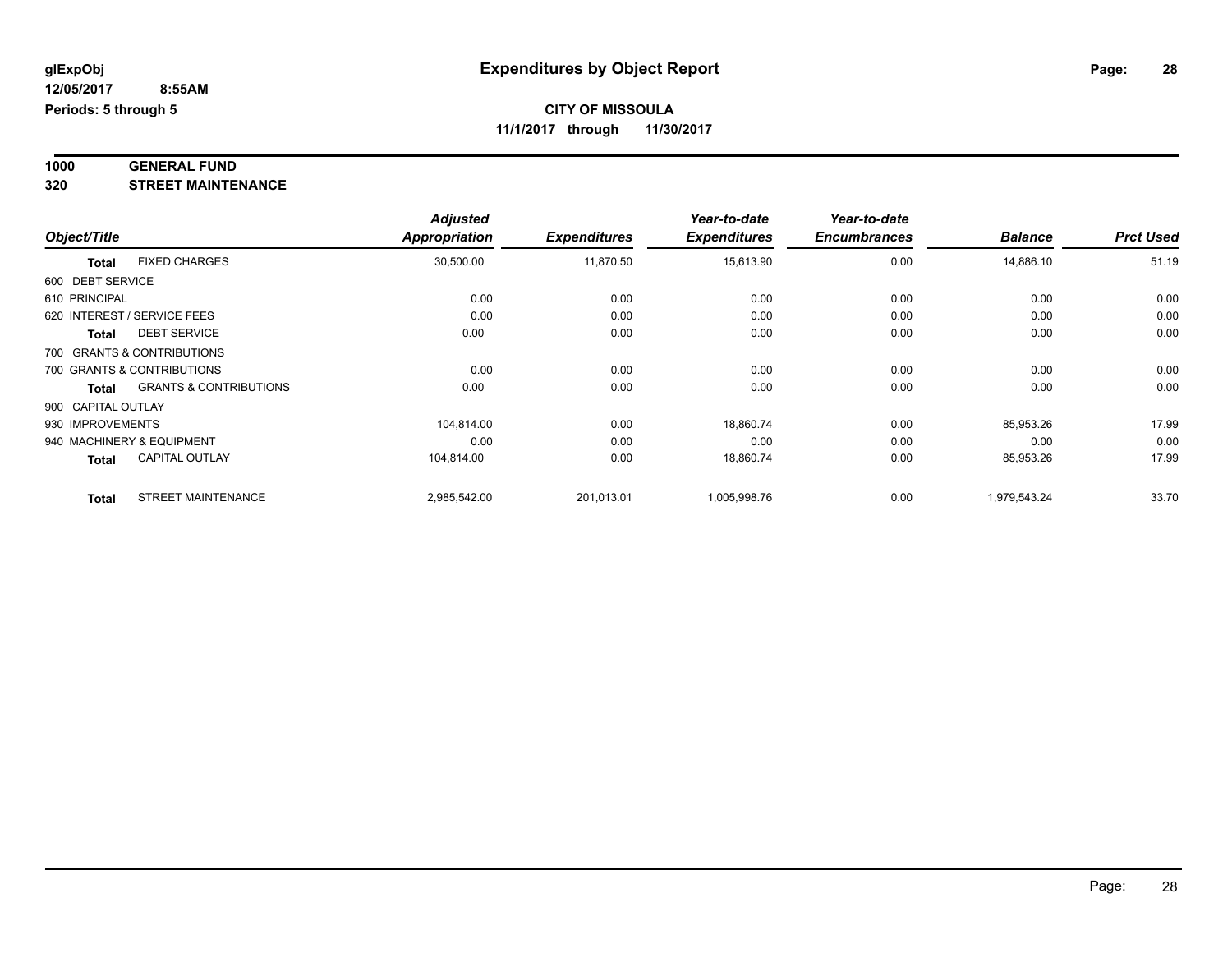#### **1000 GENERAL FUND 320 STREET MAINTENANCE**

|                    |                                   | <b>Adjusted</b> |                     | Year-to-date        | Year-to-date        |                |                  |
|--------------------|-----------------------------------|-----------------|---------------------|---------------------|---------------------|----------------|------------------|
| Object/Title       |                                   | Appropriation   | <b>Expenditures</b> | <b>Expenditures</b> | <b>Encumbrances</b> | <b>Balance</b> | <b>Prct Used</b> |
| <b>Total</b>       | <b>FIXED CHARGES</b>              | 30,500.00       | 11,870.50           | 15,613.90           | 0.00                | 14,886.10      | 51.19            |
| 600 DEBT SERVICE   |                                   |                 |                     |                     |                     |                |                  |
| 610 PRINCIPAL      |                                   | 0.00            | 0.00                | 0.00                | 0.00                | 0.00           | 0.00             |
|                    | 620 INTEREST / SERVICE FEES       | 0.00            | 0.00                | 0.00                | 0.00                | 0.00           | 0.00             |
| <b>Total</b>       | <b>DEBT SERVICE</b>               | 0.00            | 0.00                | 0.00                | 0.00                | 0.00           | 0.00             |
|                    | 700 GRANTS & CONTRIBUTIONS        |                 |                     |                     |                     |                |                  |
|                    | 700 GRANTS & CONTRIBUTIONS        | 0.00            | 0.00                | 0.00                | 0.00                | 0.00           | 0.00             |
| <b>Total</b>       | <b>GRANTS &amp; CONTRIBUTIONS</b> | 0.00            | 0.00                | 0.00                | 0.00                | 0.00           | 0.00             |
| 900 CAPITAL OUTLAY |                                   |                 |                     |                     |                     |                |                  |
| 930 IMPROVEMENTS   |                                   | 104,814.00      | 0.00                | 18,860.74           | 0.00                | 85,953.26      | 17.99            |
|                    | 940 MACHINERY & EQUIPMENT         | 0.00            | 0.00                | 0.00                | 0.00                | 0.00           | 0.00             |
| <b>Total</b>       | <b>CAPITAL OUTLAY</b>             | 104,814.00      | 0.00                | 18,860.74           | 0.00                | 85,953.26      | 17.99            |
| <b>Total</b>       | <b>STREET MAINTENANCE</b>         | 2,985,542.00    | 201,013.01          | 1,005,998.76        | 0.00                | 1,979,543.24   | 33.70            |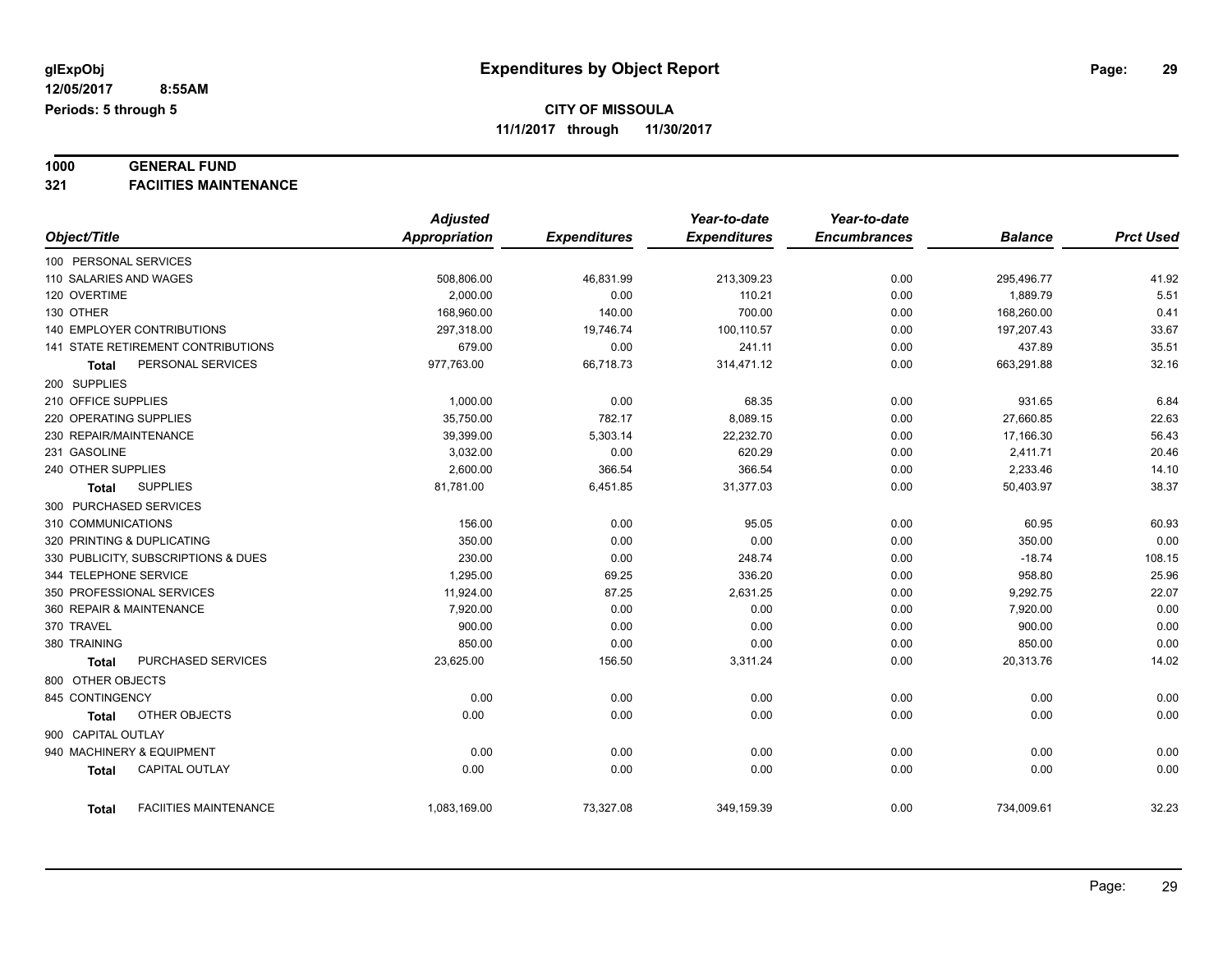# **1000 GENERAL FUND**

**321 FACIITIES MAINTENANCE**

|                                              | <b>Adjusted</b>      |                     | Year-to-date        | Year-to-date        |                |                  |
|----------------------------------------------|----------------------|---------------------|---------------------|---------------------|----------------|------------------|
| Object/Title                                 | <b>Appropriation</b> | <b>Expenditures</b> | <b>Expenditures</b> | <b>Encumbrances</b> | <b>Balance</b> | <b>Prct Used</b> |
| 100 PERSONAL SERVICES                        |                      |                     |                     |                     |                |                  |
| 110 SALARIES AND WAGES                       | 508,806.00           | 46,831.99           | 213,309.23          | 0.00                | 295,496.77     | 41.92            |
| 120 OVERTIME                                 | 2.000.00             | 0.00                | 110.21              | 0.00                | 1,889.79       | 5.51             |
| 130 OTHER                                    | 168,960.00           | 140.00              | 700.00              | 0.00                | 168,260.00     | 0.41             |
| <b>140 EMPLOYER CONTRIBUTIONS</b>            | 297,318.00           | 19,746.74           | 100,110.57          | 0.00                | 197,207.43     | 33.67            |
| 141 STATE RETIREMENT CONTRIBUTIONS           | 679.00               | 0.00                | 241.11              | 0.00                | 437.89         | 35.51            |
| PERSONAL SERVICES<br><b>Total</b>            | 977,763.00           | 66,718.73           | 314,471.12          | 0.00                | 663,291.88     | 32.16            |
| 200 SUPPLIES                                 |                      |                     |                     |                     |                |                  |
| 210 OFFICE SUPPLIES                          | 1,000.00             | 0.00                | 68.35               | 0.00                | 931.65         | 6.84             |
| 220 OPERATING SUPPLIES                       | 35,750.00            | 782.17              | 8,089.15            | 0.00                | 27,660.85      | 22.63            |
| 230 REPAIR/MAINTENANCE                       | 39,399.00            | 5,303.14            | 22,232.70           | 0.00                | 17,166.30      | 56.43            |
| 231 GASOLINE                                 | 3,032.00             | 0.00                | 620.29              | 0.00                | 2,411.71       | 20.46            |
| 240 OTHER SUPPLIES                           | 2,600.00             | 366.54              | 366.54              | 0.00                | 2,233.46       | 14.10            |
| <b>SUPPLIES</b><br>Total                     | 81,781.00            | 6,451.85            | 31,377.03           | 0.00                | 50,403.97      | 38.37            |
| 300 PURCHASED SERVICES                       |                      |                     |                     |                     |                |                  |
| 310 COMMUNICATIONS                           | 156.00               | 0.00                | 95.05               | 0.00                | 60.95          | 60.93            |
| 320 PRINTING & DUPLICATING                   | 350.00               | 0.00                | 0.00                | 0.00                | 350.00         | 0.00             |
| 330 PUBLICITY, SUBSCRIPTIONS & DUES          | 230.00               | 0.00                | 248.74              | 0.00                | $-18.74$       | 108.15           |
| 344 TELEPHONE SERVICE                        | 1,295.00             | 69.25               | 336.20              | 0.00                | 958.80         | 25.96            |
| 350 PROFESSIONAL SERVICES                    | 11,924.00            | 87.25               | 2,631.25            | 0.00                | 9,292.75       | 22.07            |
| 360 REPAIR & MAINTENANCE                     | 7,920.00             | 0.00                | 0.00                | 0.00                | 7,920.00       | 0.00             |
| 370 TRAVEL                                   | 900.00               | 0.00                | 0.00                | 0.00                | 900.00         | 0.00             |
| 380 TRAINING                                 | 850.00               | 0.00                | 0.00                | 0.00                | 850.00         | 0.00             |
| PURCHASED SERVICES<br><b>Total</b>           | 23,625.00            | 156.50              | 3,311.24            | 0.00                | 20,313.76      | 14.02            |
| 800 OTHER OBJECTS                            |                      |                     |                     |                     |                |                  |
| 845 CONTINGENCY                              | 0.00                 | 0.00                | 0.00                | 0.00                | 0.00           | 0.00             |
| OTHER OBJECTS<br>Total                       | 0.00                 | 0.00                | 0.00                | 0.00                | 0.00           | 0.00             |
| 900 CAPITAL OUTLAY                           |                      |                     |                     |                     |                |                  |
| 940 MACHINERY & EQUIPMENT                    | 0.00                 | 0.00                | 0.00                | 0.00                | 0.00           | 0.00             |
| <b>CAPITAL OUTLAY</b><br><b>Total</b>        | 0.00                 | 0.00                | 0.00                | 0.00                | 0.00           | 0.00             |
|                                              |                      |                     |                     |                     |                |                  |
| <b>FACIITIES MAINTENANCE</b><br><b>Total</b> | 1,083,169.00         | 73,327.08           | 349,159.39          | 0.00                | 734,009.61     | 32.23            |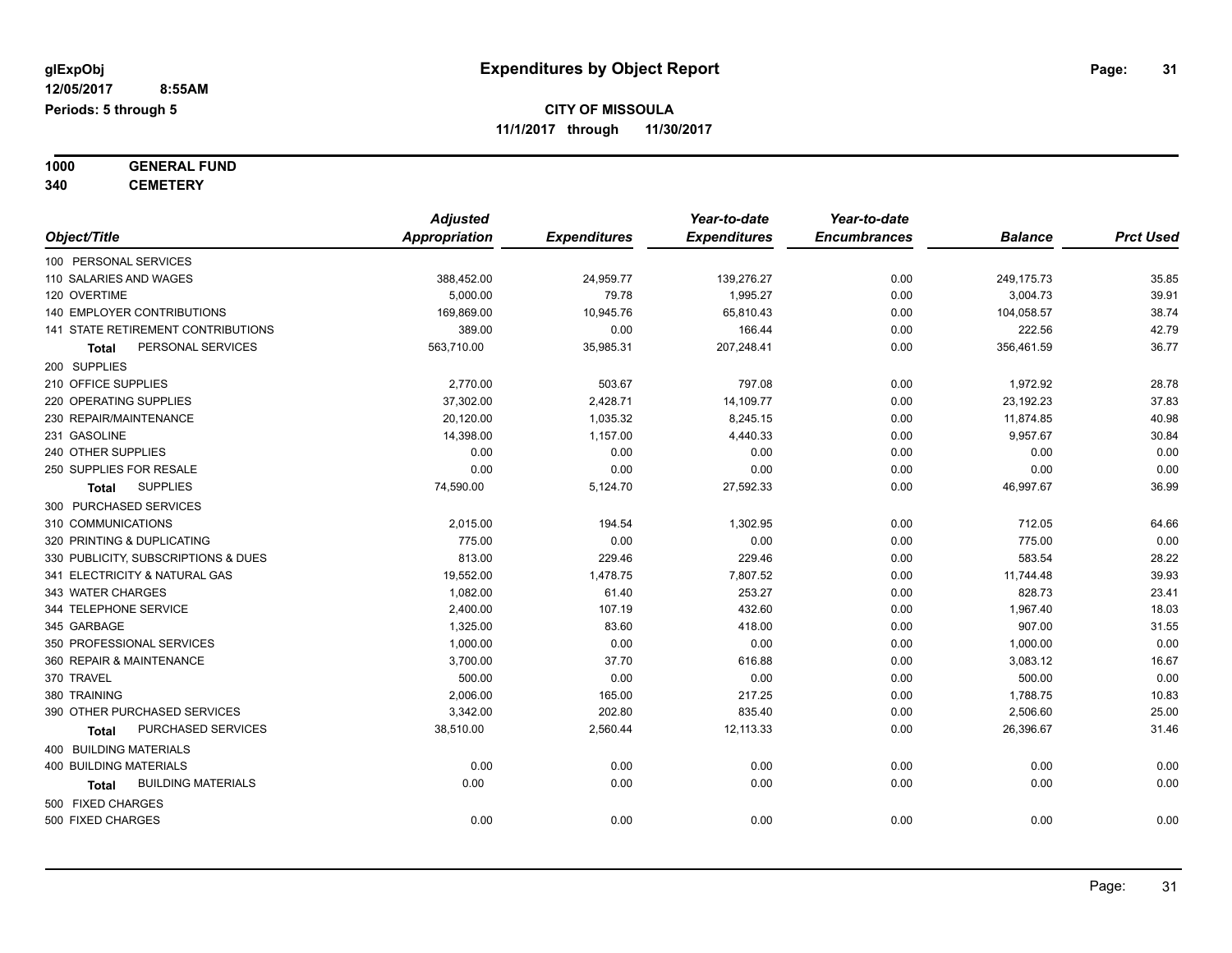**1000 GENERAL FUND**

**340 CEMETERY**

|                                     | <b>Adjusted</b>      |                     | Year-to-date        | Year-to-date        |                |                  |
|-------------------------------------|----------------------|---------------------|---------------------|---------------------|----------------|------------------|
| Object/Title                        | <b>Appropriation</b> | <b>Expenditures</b> | <b>Expenditures</b> | <b>Encumbrances</b> | <b>Balance</b> | <b>Prct Used</b> |
| 100 PERSONAL SERVICES               |                      |                     |                     |                     |                |                  |
| 110 SALARIES AND WAGES              | 388,452.00           | 24,959.77           | 139,276.27          | 0.00                | 249,175.73     | 35.85            |
| 120 OVERTIME                        | 5,000.00             | 79.78               | 1,995.27            | 0.00                | 3,004.73       | 39.91            |
| 140 EMPLOYER CONTRIBUTIONS          | 169,869.00           | 10,945.76           | 65,810.43           | 0.00                | 104,058.57     | 38.74            |
| 141 STATE RETIREMENT CONTRIBUTIONS  | 389.00               | 0.00                | 166.44              | 0.00                | 222.56         | 42.79            |
| PERSONAL SERVICES<br>Total          | 563,710.00           | 35,985.31           | 207,248.41          | 0.00                | 356,461.59     | 36.77            |
| 200 SUPPLIES                        |                      |                     |                     |                     |                |                  |
| 210 OFFICE SUPPLIES                 | 2,770.00             | 503.67              | 797.08              | 0.00                | 1,972.92       | 28.78            |
| 220 OPERATING SUPPLIES              | 37,302.00            | 2,428.71            | 14,109.77           | 0.00                | 23,192.23      | 37.83            |
| 230 REPAIR/MAINTENANCE              | 20,120.00            | 1,035.32            | 8,245.15            | 0.00                | 11,874.85      | 40.98            |
| 231 GASOLINE                        | 14,398.00            | 1,157.00            | 4,440.33            | 0.00                | 9,957.67       | 30.84            |
| 240 OTHER SUPPLIES                  | 0.00                 | 0.00                | 0.00                | 0.00                | 0.00           | 0.00             |
| 250 SUPPLIES FOR RESALE             | 0.00                 | 0.00                | 0.00                | 0.00                | 0.00           | 0.00             |
| <b>SUPPLIES</b><br><b>Total</b>     | 74,590.00            | 5,124.70            | 27,592.33           | 0.00                | 46,997.67      | 36.99            |
| 300 PURCHASED SERVICES              |                      |                     |                     |                     |                |                  |
| 310 COMMUNICATIONS                  | 2,015.00             | 194.54              | 1,302.95            | 0.00                | 712.05         | 64.66            |
| 320 PRINTING & DUPLICATING          | 775.00               | 0.00                | 0.00                | 0.00                | 775.00         | 0.00             |
| 330 PUBLICITY, SUBSCRIPTIONS & DUES | 813.00               | 229.46              | 229.46              | 0.00                | 583.54         | 28.22            |
| 341 ELECTRICITY & NATURAL GAS       | 19,552.00            | 1,478.75            | 7,807.52            | 0.00                | 11,744.48      | 39.93            |
| 343 WATER CHARGES                   | 1,082.00             | 61.40               | 253.27              | 0.00                | 828.73         | 23.41            |
| 344 TELEPHONE SERVICE               | 2,400.00             | 107.19              | 432.60              | 0.00                | 1,967.40       | 18.03            |
| 345 GARBAGE                         | 1,325.00             | 83.60               | 418.00              | 0.00                | 907.00         | 31.55            |
| 350 PROFESSIONAL SERVICES           | 1,000.00             | 0.00                | 0.00                | 0.00                | 1,000.00       | 0.00             |
| 360 REPAIR & MAINTENANCE            | 3,700.00             | 37.70               | 616.88              | 0.00                | 3,083.12       | 16.67            |
| 370 TRAVEL                          | 500.00               | 0.00                | 0.00                | 0.00                | 500.00         | 0.00             |
| 380 TRAINING                        | 2,006.00             | 165.00              | 217.25              | 0.00                | 1,788.75       | 10.83            |
| 390 OTHER PURCHASED SERVICES        | 3,342.00             | 202.80              | 835.40              | 0.00                | 2,506.60       | 25.00            |
| PURCHASED SERVICES<br>Total         | 38,510.00            | 2,560.44            | 12,113.33           | 0.00                | 26,396.67      | 31.46            |
| 400 BUILDING MATERIALS              |                      |                     |                     |                     |                |                  |
| <b>400 BUILDING MATERIALS</b>       | 0.00                 | 0.00                | 0.00                | 0.00                | 0.00           | 0.00             |
| <b>BUILDING MATERIALS</b><br>Total  | 0.00                 | 0.00                | 0.00                | 0.00                | 0.00           | 0.00             |
| 500 FIXED CHARGES                   |                      |                     |                     |                     |                |                  |
| 500 FIXED CHARGES                   | 0.00                 | 0.00                | 0.00                | 0.00                | 0.00           | 0.00             |
|                                     |                      |                     |                     |                     |                |                  |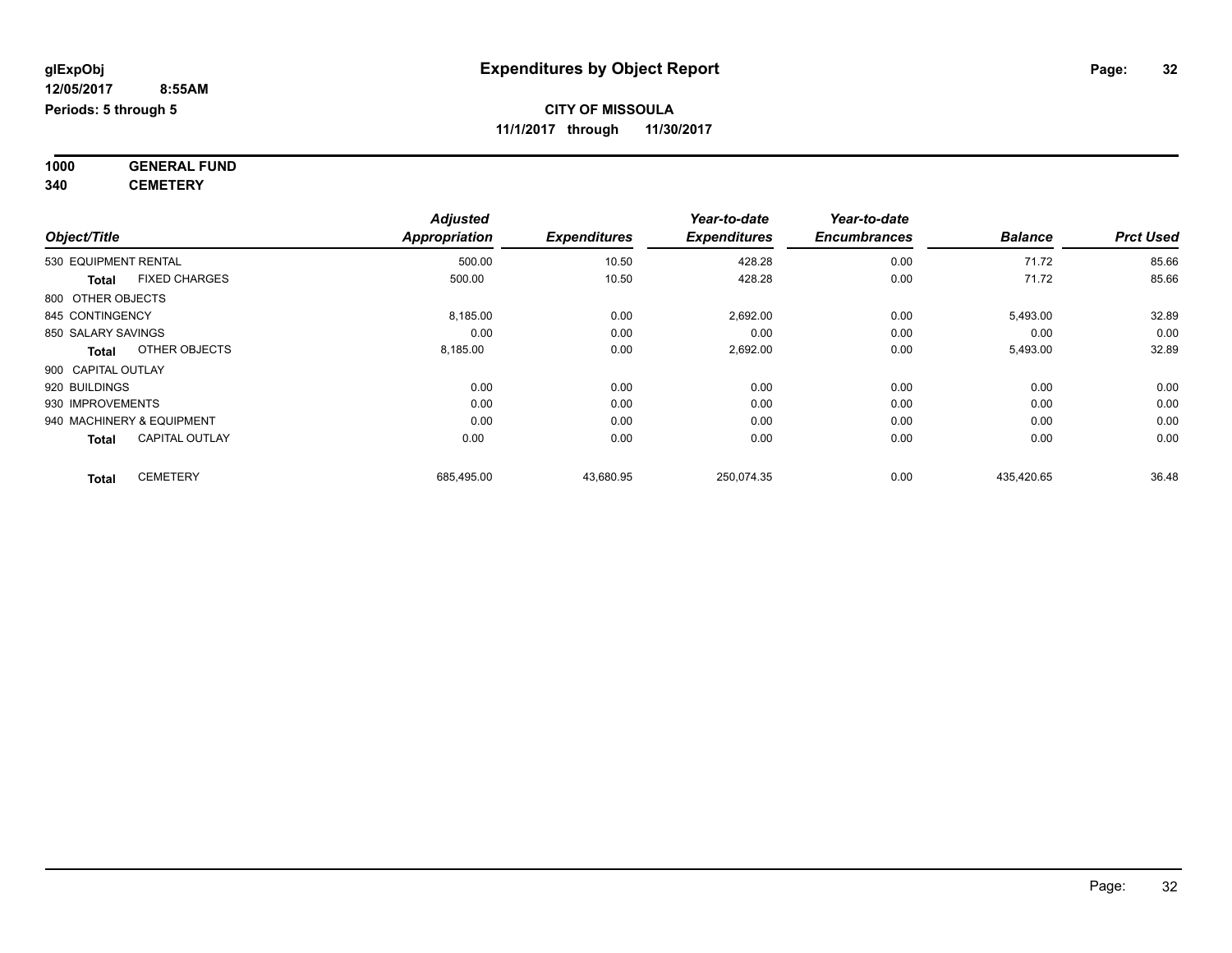**1000 GENERAL FUND 340 CEMETERY**

*Object/Title Adjusted Appropriation Expenditures Year-to-date Expenditures Year-to-date Encumbrances Balance Prct Used* 530 EQUIPMENT RENTAL 500.00 10.50 428.28 0.00 71.72 85.66 **Total** FIXED CHARGES 500.00 10.50 428.28 0.00 71.72 85.66 800 OTHER OBJECTS 845 CONTINGENCY 8,185.00 0.00 2,692.00 5,493.00 32.89 850 SALARY SAVINGS 0.00 0.00 0.00 0.00 0.00 0.00 **Total** OTHER OBJECTS 8,185.00 0.00 2,692.00 0.00 5,493.00 32.89 900 CAPITAL OUTLAY 920 BUILDINGS 0.00 0.00 0.00 0.00 0.00 0.00 930 IMPROVEMENTS 0.00 0.00 0.00 0.00 0.00 0.00 940 MACHINERY & EQUIPMENT 0.00 0.00 0.00 0.00 0.00 0.00 **Total** CAPITAL OUTLAY 0.00 0.00 0.00 0.00 0.00 0.00 **Total** CEMETERY 685,495.00 43,680.95 250,074.35 0.00 435,420.65 36.48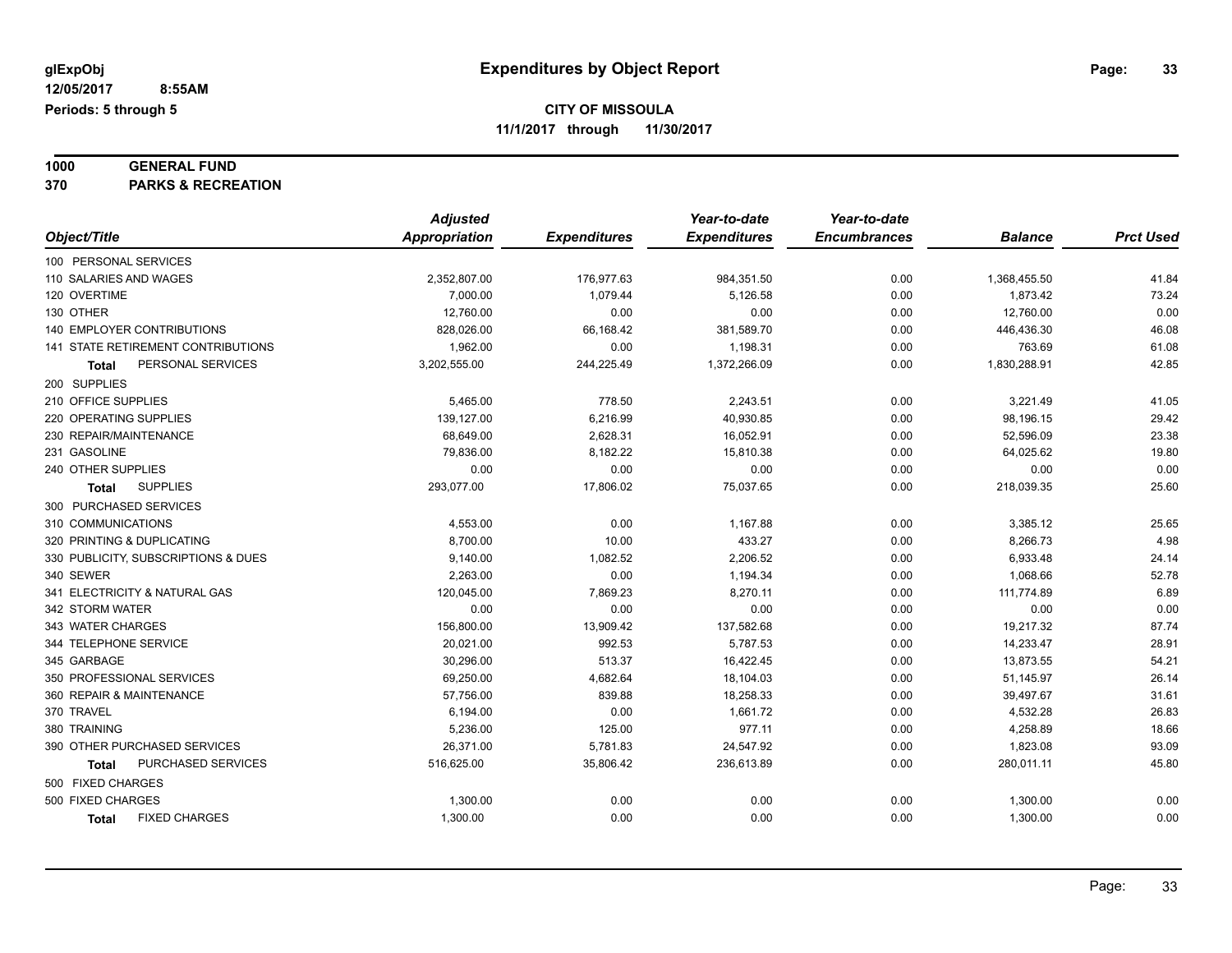# **1000 GENERAL FUND**

**370 PARKS & RECREATION**

|                                           | <b>Adjusted</b> |                     | Year-to-date        | Year-to-date        |                |                  |
|-------------------------------------------|-----------------|---------------------|---------------------|---------------------|----------------|------------------|
| Object/Title                              | Appropriation   | <b>Expenditures</b> | <b>Expenditures</b> | <b>Encumbrances</b> | <b>Balance</b> | <b>Prct Used</b> |
| 100 PERSONAL SERVICES                     |                 |                     |                     |                     |                |                  |
| 110 SALARIES AND WAGES                    | 2,352,807.00    | 176,977.63          | 984,351.50          | 0.00                | 1,368,455.50   | 41.84            |
| 120 OVERTIME                              | 7,000.00        | 1,079.44            | 5,126.58            | 0.00                | 1,873.42       | 73.24            |
| 130 OTHER                                 | 12,760.00       | 0.00                | 0.00                | 0.00                | 12,760.00      | 0.00             |
| <b>140 EMPLOYER CONTRIBUTIONS</b>         | 828,026.00      | 66,168.42           | 381,589.70          | 0.00                | 446,436.30     | 46.08            |
| <b>141 STATE RETIREMENT CONTRIBUTIONS</b> | 1,962.00        | 0.00                | 1,198.31            | 0.00                | 763.69         | 61.08            |
| PERSONAL SERVICES<br><b>Total</b>         | 3,202,555.00    | 244,225.49          | 1,372,266.09        | 0.00                | 1,830,288.91   | 42.85            |
| 200 SUPPLIES                              |                 |                     |                     |                     |                |                  |
| 210 OFFICE SUPPLIES                       | 5,465.00        | 778.50              | 2,243.51            | 0.00                | 3,221.49       | 41.05            |
| 220 OPERATING SUPPLIES                    | 139,127.00      | 6,216.99            | 40,930.85           | 0.00                | 98,196.15      | 29.42            |
| 230 REPAIR/MAINTENANCE                    | 68,649.00       | 2,628.31            | 16,052.91           | 0.00                | 52,596.09      | 23.38            |
| 231 GASOLINE                              | 79,836.00       | 8,182.22            | 15,810.38           | 0.00                | 64,025.62      | 19.80            |
| 240 OTHER SUPPLIES                        | 0.00            | 0.00                | 0.00                | 0.00                | 0.00           | 0.00             |
| <b>SUPPLIES</b><br><b>Total</b>           | 293,077.00      | 17,806.02           | 75,037.65           | 0.00                | 218,039.35     | 25.60            |
| 300 PURCHASED SERVICES                    |                 |                     |                     |                     |                |                  |
| 310 COMMUNICATIONS                        | 4,553.00        | 0.00                | 1,167.88            | 0.00                | 3,385.12       | 25.65            |
| 320 PRINTING & DUPLICATING                | 8,700.00        | 10.00               | 433.27              | 0.00                | 8,266.73       | 4.98             |
| 330 PUBLICITY, SUBSCRIPTIONS & DUES       | 9,140.00        | 1,082.52            | 2,206.52            | 0.00                | 6,933.48       | 24.14            |
| 340 SEWER                                 | 2,263.00        | 0.00                | 1,194.34            | 0.00                | 1,068.66       | 52.78            |
| 341 ELECTRICITY & NATURAL GAS             | 120,045.00      | 7,869.23            | 8,270.11            | 0.00                | 111,774.89     | 6.89             |
| 342 STORM WATER                           | 0.00            | 0.00                | 0.00                | 0.00                | 0.00           | 0.00             |
| 343 WATER CHARGES                         | 156,800.00      | 13,909.42           | 137,582.68          | 0.00                | 19,217.32      | 87.74            |
| 344 TELEPHONE SERVICE                     | 20,021.00       | 992.53              | 5,787.53            | 0.00                | 14,233.47      | 28.91            |
| 345 GARBAGE                               | 30,296.00       | 513.37              | 16,422.45           | 0.00                | 13,873.55      | 54.21            |
| 350 PROFESSIONAL SERVICES                 | 69,250.00       | 4,682.64            | 18,104.03           | 0.00                | 51,145.97      | 26.14            |
| 360 REPAIR & MAINTENANCE                  | 57,756.00       | 839.88              | 18,258.33           | 0.00                | 39,497.67      | 31.61            |
| 370 TRAVEL                                | 6,194.00        | 0.00                | 1,661.72            | 0.00                | 4,532.28       | 26.83            |
| 380 TRAINING                              | 5,236.00        | 125.00              | 977.11              | 0.00                | 4,258.89       | 18.66            |
| 390 OTHER PURCHASED SERVICES              | 26,371.00       | 5,781.83            | 24,547.92           | 0.00                | 1,823.08       | 93.09            |
| PURCHASED SERVICES<br><b>Total</b>        | 516,625.00      | 35,806.42           | 236,613.89          | 0.00                | 280,011.11     | 45.80            |
| 500 FIXED CHARGES                         |                 |                     |                     |                     |                |                  |
| 500 FIXED CHARGES                         | 1,300.00        | 0.00                | 0.00                | 0.00                | 1,300.00       | 0.00             |
| <b>FIXED CHARGES</b><br><b>Total</b>      | 1,300.00        | 0.00                | 0.00                | 0.00                | 1,300.00       | 0.00             |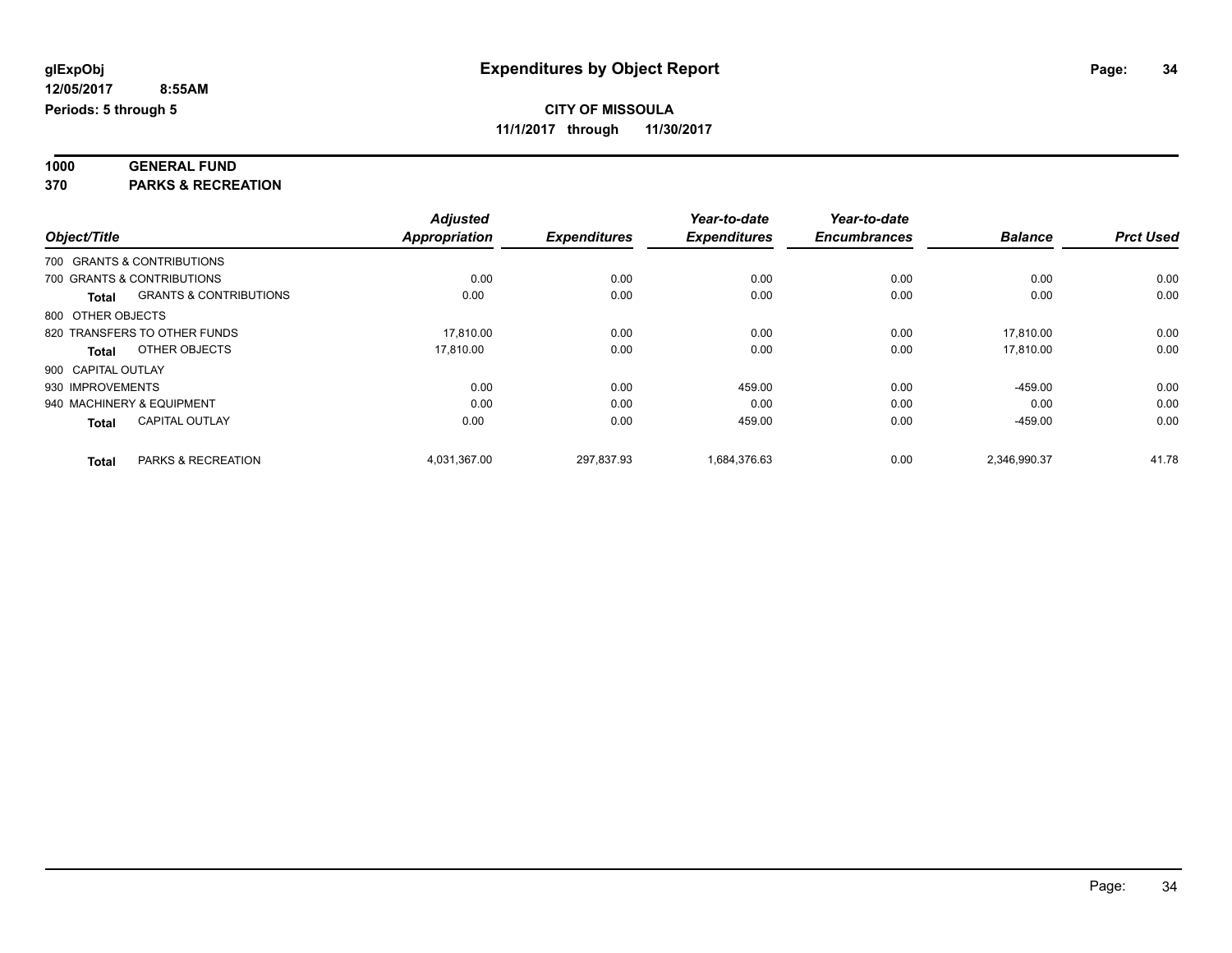| 1000       | <b>GENERAL FUND</b>        |  |
|------------|----------------------------|--|
| <b>070</b> | <b>DADIZO 8 DEGREATION</b> |  |

**370 PARKS & RECREATION**

|                    |                                   | <b>Adjusted</b>      |                     | Year-to-date        | Year-to-date        |                |                  |
|--------------------|-----------------------------------|----------------------|---------------------|---------------------|---------------------|----------------|------------------|
| Object/Title       |                                   | <b>Appropriation</b> | <b>Expenditures</b> | <b>Expenditures</b> | <b>Encumbrances</b> | <b>Balance</b> | <b>Prct Used</b> |
|                    | 700 GRANTS & CONTRIBUTIONS        |                      |                     |                     |                     |                |                  |
|                    | 700 GRANTS & CONTRIBUTIONS        | 0.00                 | 0.00                | 0.00                | 0.00                | 0.00           | 0.00             |
| <b>Total</b>       | <b>GRANTS &amp; CONTRIBUTIONS</b> | 0.00                 | 0.00                | 0.00                | 0.00                | 0.00           | 0.00             |
| 800 OTHER OBJECTS  |                                   |                      |                     |                     |                     |                |                  |
|                    | 820 TRANSFERS TO OTHER FUNDS      | 17.810.00            | 0.00                | 0.00                | 0.00                | 17.810.00      | 0.00             |
| <b>Total</b>       | OTHER OBJECTS                     | 17.810.00            | 0.00                | 0.00                | 0.00                | 17.810.00      | 0.00             |
| 900 CAPITAL OUTLAY |                                   |                      |                     |                     |                     |                |                  |
| 930 IMPROVEMENTS   |                                   | 0.00                 | 0.00                | 459.00              | 0.00                | $-459.00$      | 0.00             |
|                    | 940 MACHINERY & EQUIPMENT         | 0.00                 | 0.00                | 0.00                | 0.00                | 0.00           | 0.00             |
| <b>Total</b>       | <b>CAPITAL OUTLAY</b>             | 0.00                 | 0.00                | 459.00              | 0.00                | $-459.00$      | 0.00             |
| <b>Total</b>       | PARKS & RECREATION                | 4,031,367.00         | 297.837.93          | 1.684.376.63        | 0.00                | 2,346,990.37   | 41.78            |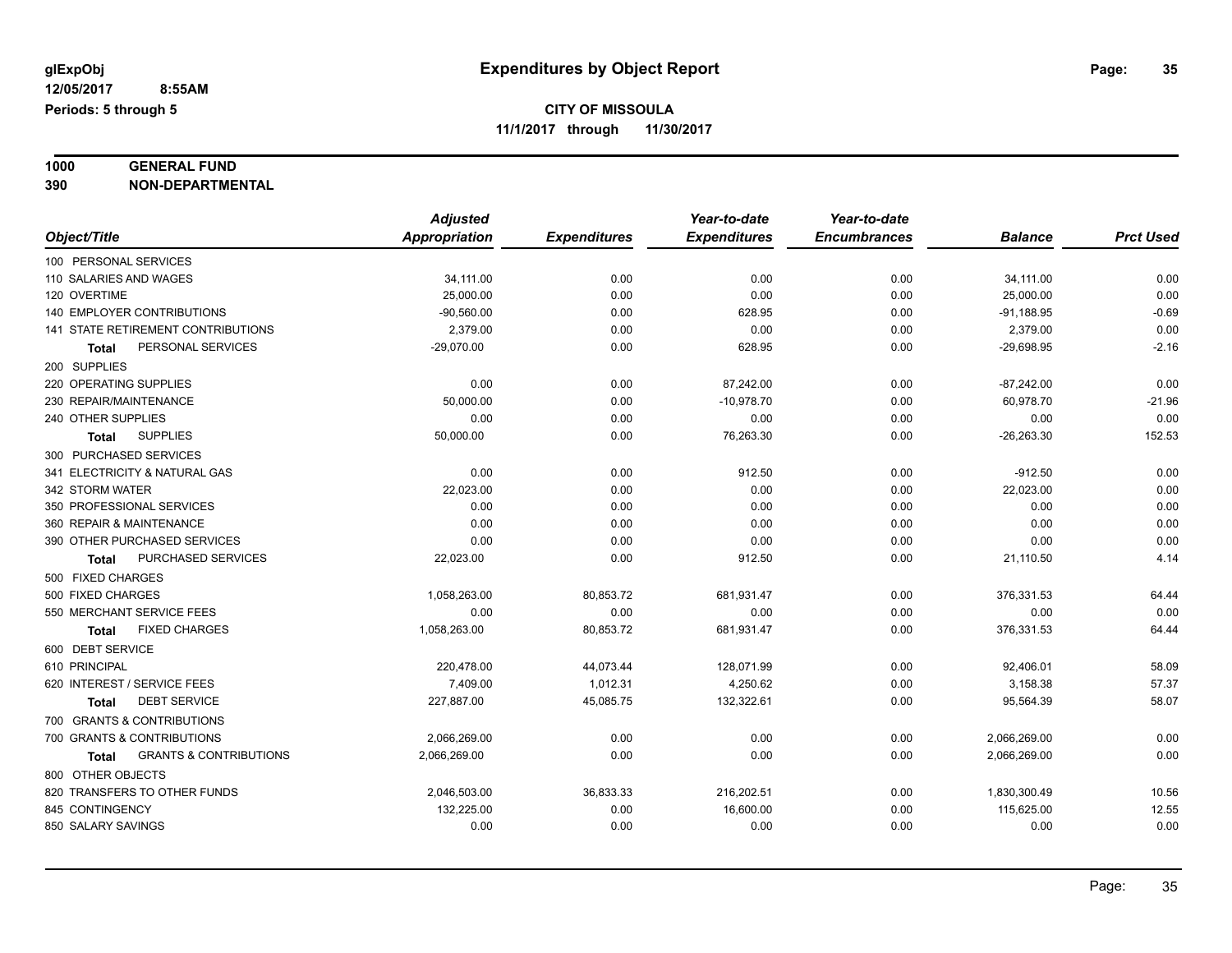#### **1000 GENERAL FUND 390 NON-DEPARTMENTAL**

|                                            | <b>Adjusted</b> |                     | Year-to-date        | Year-to-date        |                |                  |
|--------------------------------------------|-----------------|---------------------|---------------------|---------------------|----------------|------------------|
| Object/Title                               | Appropriation   | <b>Expenditures</b> | <b>Expenditures</b> | <b>Encumbrances</b> | <b>Balance</b> | <b>Prct Used</b> |
| 100 PERSONAL SERVICES                      |                 |                     |                     |                     |                |                  |
| 110 SALARIES AND WAGES                     | 34,111.00       | 0.00                | 0.00                | 0.00                | 34,111.00      | 0.00             |
| 120 OVERTIME                               | 25,000.00       | 0.00                | 0.00                | 0.00                | 25,000.00      | 0.00             |
| 140 EMPLOYER CONTRIBUTIONS                 | $-90,560.00$    | 0.00                | 628.95              | 0.00                | $-91,188.95$   | $-0.69$          |
| 141 STATE RETIREMENT CONTRIBUTIONS         | 2,379.00        | 0.00                | 0.00                | 0.00                | 2,379.00       | 0.00             |
| PERSONAL SERVICES<br><b>Total</b>          | $-29,070.00$    | 0.00                | 628.95              | 0.00                | $-29,698.95$   | $-2.16$          |
| 200 SUPPLIES                               |                 |                     |                     |                     |                |                  |
| 220 OPERATING SUPPLIES                     | 0.00            | 0.00                | 87,242.00           | 0.00                | $-87,242.00$   | 0.00             |
| 230 REPAIR/MAINTENANCE                     | 50,000.00       | 0.00                | $-10,978.70$        | 0.00                | 60,978.70      | $-21.96$         |
| 240 OTHER SUPPLIES                         | 0.00            | 0.00                | 0.00                | 0.00                | 0.00           | 0.00             |
| <b>SUPPLIES</b><br>Total                   | 50,000.00       | 0.00                | 76,263.30           | 0.00                | $-26,263.30$   | 152.53           |
| 300 PURCHASED SERVICES                     |                 |                     |                     |                     |                |                  |
| 341 ELECTRICITY & NATURAL GAS              | 0.00            | 0.00                | 912.50              | 0.00                | $-912.50$      | 0.00             |
| 342 STORM WATER                            | 22,023.00       | 0.00                | 0.00                | 0.00                | 22,023.00      | 0.00             |
| 350 PROFESSIONAL SERVICES                  | 0.00            | 0.00                | 0.00                | 0.00                | 0.00           | 0.00             |
| 360 REPAIR & MAINTENANCE                   | 0.00            | 0.00                | 0.00                | 0.00                | 0.00           | 0.00             |
| 390 OTHER PURCHASED SERVICES               | 0.00            | 0.00                | 0.00                | 0.00                | 0.00           | 0.00             |
| PURCHASED SERVICES<br><b>Total</b>         | 22,023.00       | 0.00                | 912.50              | 0.00                | 21,110.50      | 4.14             |
| 500 FIXED CHARGES                          |                 |                     |                     |                     |                |                  |
| 500 FIXED CHARGES                          | 1,058,263.00    | 80,853.72           | 681,931.47          | 0.00                | 376,331.53     | 64.44            |
| 550 MERCHANT SERVICE FEES                  | 0.00            | 0.00                | 0.00                | 0.00                | 0.00           | 0.00             |
| <b>FIXED CHARGES</b><br><b>Total</b>       | 1,058,263.00    | 80,853.72           | 681,931.47          | 0.00                | 376,331.53     | 64.44            |
| 600 DEBT SERVICE                           |                 |                     |                     |                     |                |                  |
| 610 PRINCIPAL                              | 220.478.00      | 44,073.44           | 128,071.99          | 0.00                | 92,406.01      | 58.09            |
| 620 INTEREST / SERVICE FEES                | 7.409.00        | 1,012.31            | 4,250.62            | 0.00                | 3,158.38       | 57.37            |
| <b>DEBT SERVICE</b><br><b>Total</b>        | 227,887.00      | 45,085.75           | 132,322.61          | 0.00                | 95,564.39      | 58.07            |
| 700 GRANTS & CONTRIBUTIONS                 |                 |                     |                     |                     |                |                  |
| 700 GRANTS & CONTRIBUTIONS                 | 2,066,269.00    | 0.00                | 0.00                | 0.00                | 2,066,269.00   | 0.00             |
| <b>GRANTS &amp; CONTRIBUTIONS</b><br>Total | 2,066,269.00    | 0.00                | 0.00                | 0.00                | 2,066,269.00   | 0.00             |
| 800 OTHER OBJECTS                          |                 |                     |                     |                     |                |                  |
| 820 TRANSFERS TO OTHER FUNDS               | 2,046,503.00    | 36,833.33           | 216,202.51          | 0.00                | 1,830,300.49   | 10.56            |
| 845 CONTINGENCY                            | 132,225.00      | 0.00                | 16,600.00           | 0.00                | 115,625.00     | 12.55            |
| 850 SALARY SAVINGS                         | 0.00            | 0.00                | 0.00                | 0.00                | 0.00           | 0.00             |
|                                            |                 |                     |                     |                     |                |                  |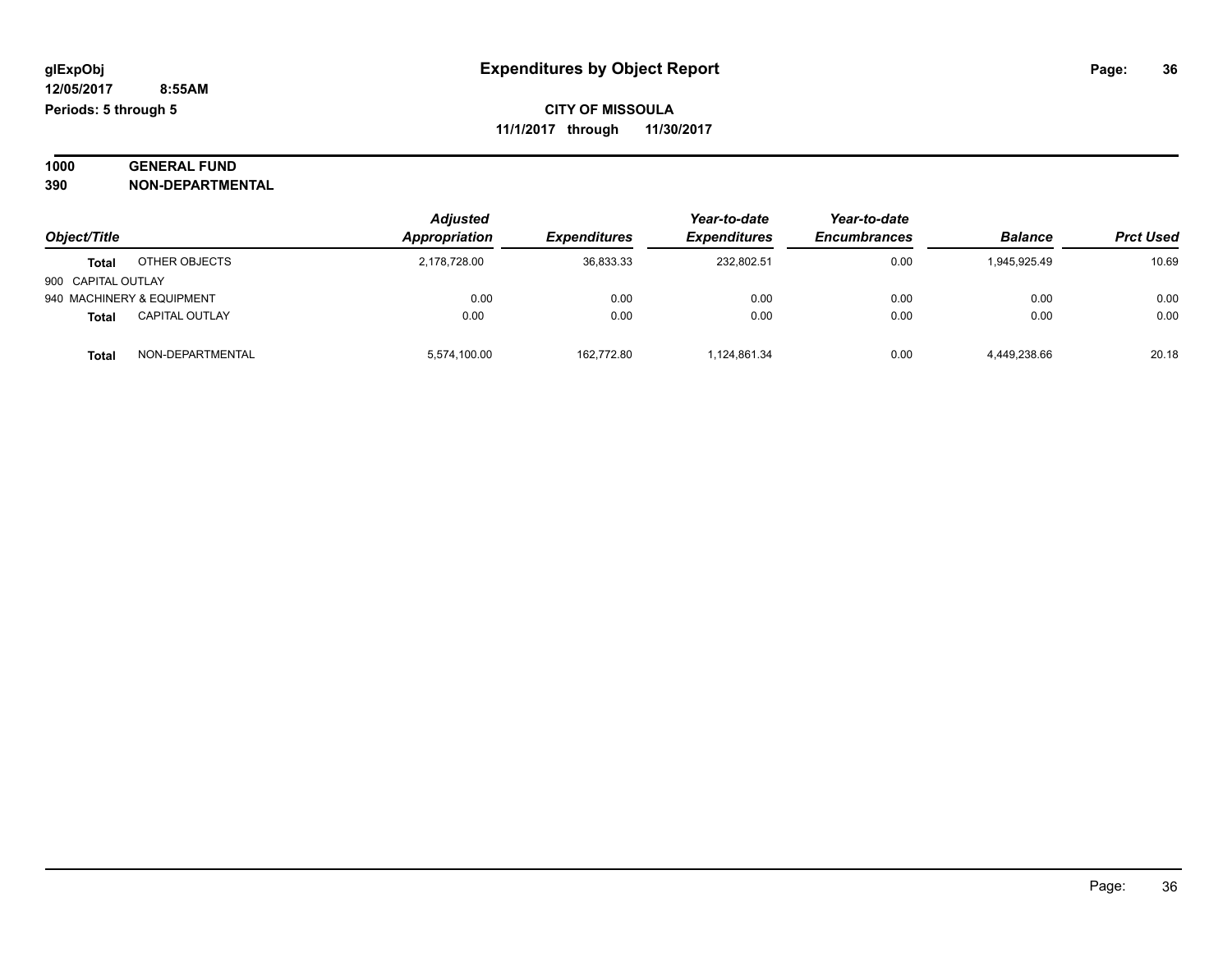#### **1000 GENERAL FUND 390 NON-DEPARTMENTAL**

| Object/Title              |                       | <b>Adjusted</b><br>Appropriation | <b>Expenditures</b> | Year-to-date<br><b>Expenditures</b> | Year-to-date<br><b>Encumbrances</b> | <b>Balance</b> | <b>Prct Used</b> |
|---------------------------|-----------------------|----------------------------------|---------------------|-------------------------------------|-------------------------------------|----------------|------------------|
| Total                     | OTHER OBJECTS         | 2,178,728.00                     | 36,833.33           | 232.802.51                          | 0.00                                | 1,945,925.49   | 10.69            |
| 900 CAPITAL OUTLAY        |                       |                                  |                     |                                     |                                     |                |                  |
| 940 MACHINERY & EQUIPMENT |                       | 0.00                             | 0.00                | 0.00                                | 0.00                                | 0.00           | 0.00             |
| Total                     | <b>CAPITAL OUTLAY</b> | 0.00                             | 0.00                | 0.00                                | 0.00                                | 0.00           | 0.00             |
| Total                     | NON-DEPARTMENTAL      | 5,574,100.00                     | 162.772.80          | 1.124.861.34                        | 0.00                                | 4,449,238.66   | 20.18            |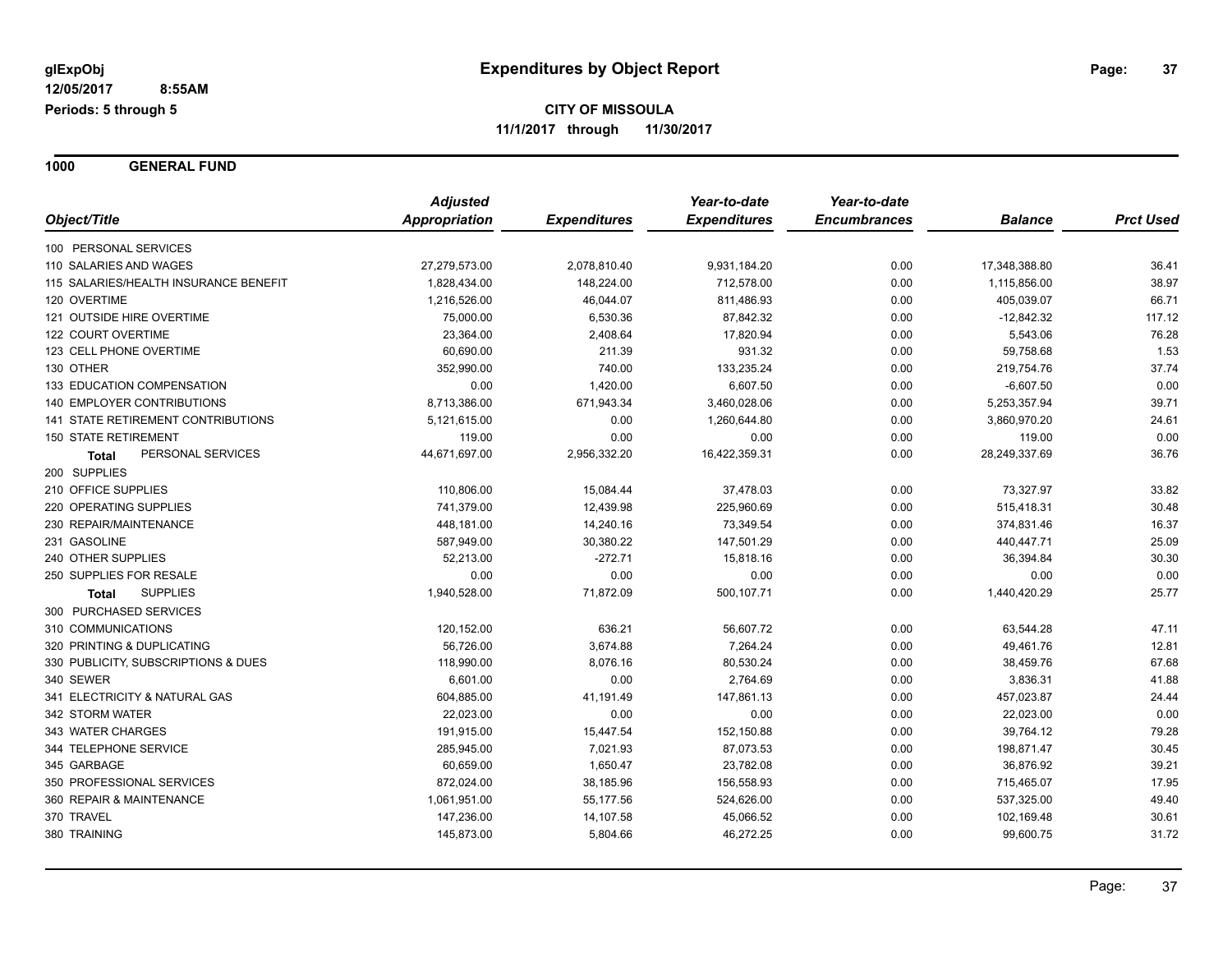**1000 GENERAL FUND**

|                                           | <b>Adjusted</b>      |                     | Year-to-date        | Year-to-date        |                |                  |
|-------------------------------------------|----------------------|---------------------|---------------------|---------------------|----------------|------------------|
| Object/Title                              | <b>Appropriation</b> | <b>Expenditures</b> | <b>Expenditures</b> | <b>Encumbrances</b> | <b>Balance</b> | <b>Prct Used</b> |
| 100 PERSONAL SERVICES                     |                      |                     |                     |                     |                |                  |
| 110 SALARIES AND WAGES                    | 27,279,573.00        | 2,078,810.40        | 9,931,184.20        | 0.00                | 17,348,388.80  | 36.41            |
| 115 SALARIES/HEALTH INSURANCE BENEFIT     | 1,828,434.00         | 148,224.00          | 712,578.00          | 0.00                | 1,115,856.00   | 38.97            |
| 120 OVERTIME                              | 1,216,526.00         | 46,044.07           | 811,486.93          | 0.00                | 405,039.07     | 66.71            |
| 121 OUTSIDE HIRE OVERTIME                 | 75,000.00            | 6,530.36            | 87,842.32           | 0.00                | $-12,842.32$   | 117.12           |
| 122 COURT OVERTIME                        | 23,364.00            | 2,408.64            | 17,820.94           | 0.00                | 5,543.06       | 76.28            |
| 123 CELL PHONE OVERTIME                   | 60,690.00            | 211.39              | 931.32              | 0.00                | 59,758.68      | 1.53             |
| 130 OTHER                                 | 352,990.00           | 740.00              | 133,235.24          | 0.00                | 219,754.76     | 37.74            |
| 133 EDUCATION COMPENSATION                | 0.00                 | 1,420.00            | 6,607.50            | 0.00                | $-6,607.50$    | 0.00             |
| <b>140 EMPLOYER CONTRIBUTIONS</b>         | 8,713,386.00         | 671,943.34          | 3,460,028.06        | 0.00                | 5,253,357.94   | 39.71            |
| <b>141 STATE RETIREMENT CONTRIBUTIONS</b> | 5,121,615.00         | 0.00                | 1,260,644.80        | 0.00                | 3,860,970.20   | 24.61            |
| <b>150 STATE RETIREMENT</b>               | 119.00               | 0.00                | 0.00                | 0.00                | 119.00         | 0.00             |
| PERSONAL SERVICES<br><b>Total</b>         | 44,671,697.00        | 2,956,332.20        | 16,422,359.31       | 0.00                | 28,249,337.69  | 36.76            |
| 200 SUPPLIES                              |                      |                     |                     |                     |                |                  |
| 210 OFFICE SUPPLIES                       | 110,806.00           | 15,084.44           | 37,478.03           | 0.00                | 73,327.97      | 33.82            |
| 220 OPERATING SUPPLIES                    | 741,379.00           | 12,439.98           | 225,960.69          | 0.00                | 515,418.31     | 30.48            |
| 230 REPAIR/MAINTENANCE                    | 448,181.00           | 14,240.16           | 73,349.54           | 0.00                | 374,831.46     | 16.37            |
| 231 GASOLINE                              | 587,949.00           | 30,380.22           | 147,501.29          | 0.00                | 440,447.71     | 25.09            |
| 240 OTHER SUPPLIES                        | 52,213.00            | $-272.71$           | 15,818.16           | 0.00                | 36,394.84      | 30.30            |
| 250 SUPPLIES FOR RESALE                   | 0.00                 | 0.00                | 0.00                | 0.00                | 0.00           | 0.00             |
| <b>SUPPLIES</b><br>Total                  | 1,940,528.00         | 71,872.09           | 500,107.71          | 0.00                | 1,440,420.29   | 25.77            |
| 300 PURCHASED SERVICES                    |                      |                     |                     |                     |                |                  |
| 310 COMMUNICATIONS                        | 120,152.00           | 636.21              | 56,607.72           | 0.00                | 63,544.28      | 47.11            |
| 320 PRINTING & DUPLICATING                | 56,726.00            | 3,674.88            | 7,264.24            | 0.00                | 49,461.76      | 12.81            |
| 330 PUBLICITY, SUBSCRIPTIONS & DUES       | 118,990.00           | 8,076.16            | 80,530.24           | 0.00                | 38,459.76      | 67.68            |
| 340 SEWER                                 | 6,601.00             | 0.00                | 2,764.69            | 0.00                | 3,836.31       | 41.88            |
| 341 ELECTRICITY & NATURAL GAS             | 604,885.00           | 41,191.49           | 147,861.13          | 0.00                | 457,023.87     | 24.44            |
| 342 STORM WATER                           | 22,023.00            | 0.00                | 0.00                | 0.00                | 22,023.00      | 0.00             |
| 343 WATER CHARGES                         | 191,915.00           | 15,447.54           | 152,150.88          | 0.00                | 39,764.12      | 79.28            |
| 344 TELEPHONE SERVICE                     | 285,945.00           | 7,021.93            | 87,073.53           | 0.00                | 198,871.47     | 30.45            |
| 345 GARBAGE                               | 60,659.00            | 1,650.47            | 23,782.08           | 0.00                | 36,876.92      | 39.21            |
| 350 PROFESSIONAL SERVICES                 | 872,024.00           | 38,185.96           | 156,558.93          | 0.00                | 715,465.07     | 17.95            |
| 360 REPAIR & MAINTENANCE                  | 1,061,951.00         | 55,177.56           | 524,626.00          | 0.00                | 537,325.00     | 49.40            |
| 370 TRAVEL                                | 147,236.00           | 14,107.58           | 45,066.52           | 0.00                | 102,169.48     | 30.61            |
| 380 TRAINING                              | 145,873.00           | 5,804.66            | 46,272.25           | 0.00                | 99,600.75      | 31.72            |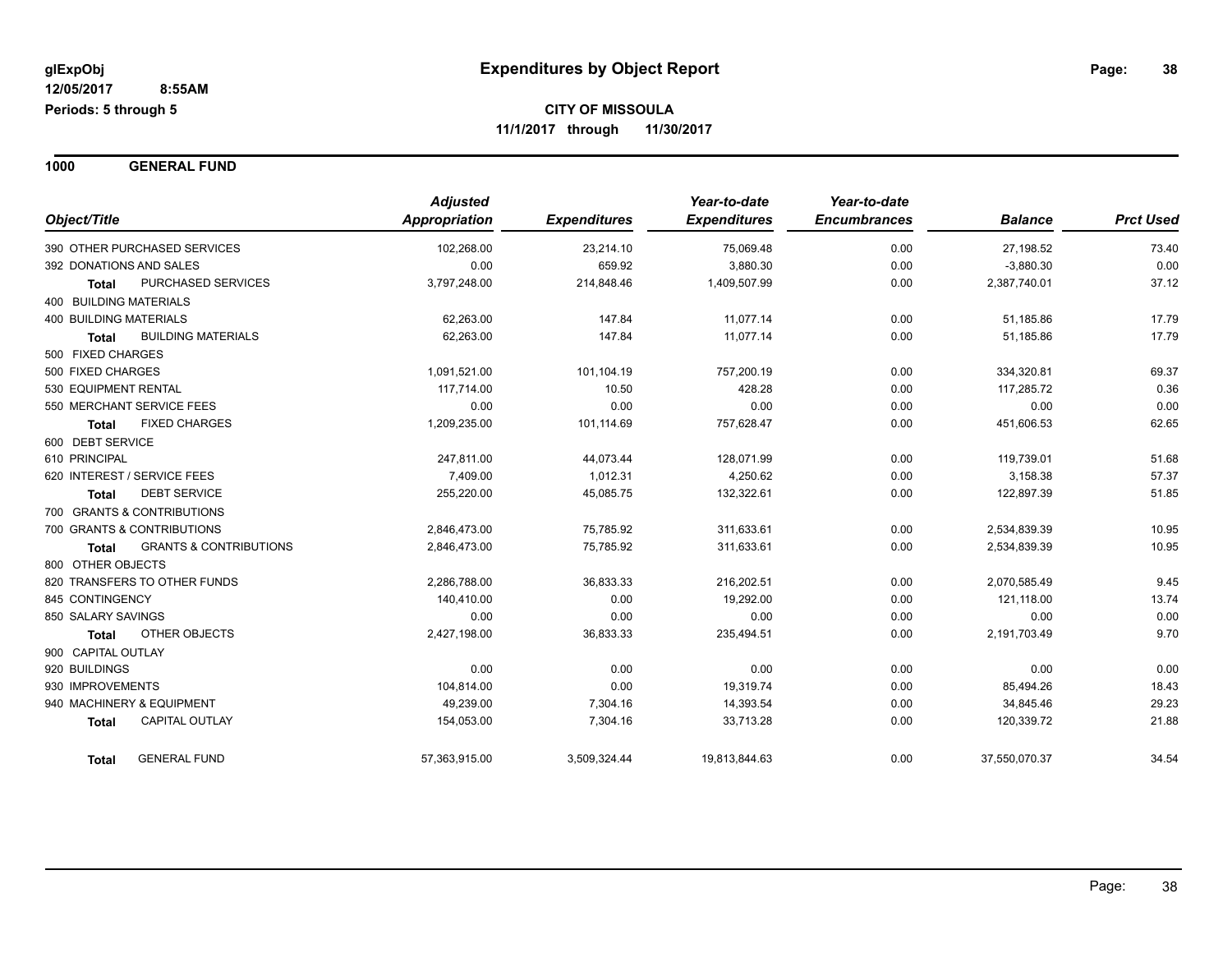**1000 GENERAL FUND**

| Object/Title                                      | <b>Adjusted</b><br><b>Appropriation</b> | <b>Expenditures</b> | Year-to-date<br><b>Expenditures</b> | Year-to-date<br><b>Encumbrances</b> | <b>Balance</b> | <b>Prct Used</b> |
|---------------------------------------------------|-----------------------------------------|---------------------|-------------------------------------|-------------------------------------|----------------|------------------|
| 390 OTHER PURCHASED SERVICES                      | 102,268.00                              | 23,214.10           | 75,069.48                           | 0.00                                | 27,198.52      | 73.40            |
| 392 DONATIONS AND SALES                           | 0.00                                    | 659.92              | 3,880.30                            | 0.00                                | $-3,880.30$    | 0.00             |
| PURCHASED SERVICES<br><b>Total</b>                | 3,797,248.00                            | 214,848.46          | 1,409,507.99                        | 0.00                                | 2,387,740.01   | 37.12            |
| <b>400 BUILDING MATERIALS</b>                     |                                         |                     |                                     |                                     |                |                  |
| <b>400 BUILDING MATERIALS</b>                     | 62,263.00                               | 147.84              | 11,077.14                           | 0.00                                | 51,185.86      | 17.79            |
| <b>BUILDING MATERIALS</b><br><b>Total</b>         | 62,263.00                               | 147.84              | 11.077.14                           | 0.00                                | 51,185.86      | 17.79            |
| 500 FIXED CHARGES                                 |                                         |                     |                                     |                                     |                |                  |
| 500 FIXED CHARGES                                 | 1,091,521.00                            | 101,104.19          | 757,200.19                          | 0.00                                | 334,320.81     | 69.37            |
| 530 EQUIPMENT RENTAL                              | 117,714.00                              | 10.50               | 428.28                              | 0.00                                | 117,285.72     | 0.36             |
| 550 MERCHANT SERVICE FEES                         | 0.00                                    | 0.00                | 0.00                                | 0.00                                | 0.00           | 0.00             |
| <b>FIXED CHARGES</b><br><b>Total</b>              | 1,209,235.00                            | 101,114.69          | 757,628.47                          | 0.00                                | 451,606.53     | 62.65            |
| 600 DEBT SERVICE                                  |                                         |                     |                                     |                                     |                |                  |
| 610 PRINCIPAL                                     | 247,811.00                              | 44,073.44           | 128,071.99                          | 0.00                                | 119,739.01     | 51.68            |
| 620 INTEREST / SERVICE FEES                       | 7,409.00                                | 1,012.31            | 4,250.62                            | 0.00                                | 3,158.38       | 57.37            |
| <b>DEBT SERVICE</b><br><b>Total</b>               | 255,220.00                              | 45,085.75           | 132,322.61                          | 0.00                                | 122,897.39     | 51.85            |
| 700 GRANTS & CONTRIBUTIONS                        |                                         |                     |                                     |                                     |                |                  |
| 700 GRANTS & CONTRIBUTIONS                        | 2,846,473.00                            | 75,785.92           | 311,633.61                          | 0.00                                | 2,534,839.39   | 10.95            |
| <b>GRANTS &amp; CONTRIBUTIONS</b><br><b>Total</b> | 2,846,473.00                            | 75,785.92           | 311,633.61                          | 0.00                                | 2,534,839.39   | 10.95            |
| 800 OTHER OBJECTS                                 |                                         |                     |                                     |                                     |                |                  |
| 820 TRANSFERS TO OTHER FUNDS                      | 2,286,788.00                            | 36,833.33           | 216,202.51                          | 0.00                                | 2,070,585.49   | 9.45             |
| 845 CONTINGENCY                                   | 140,410.00                              | 0.00                | 19,292.00                           | 0.00                                | 121,118.00     | 13.74            |
| 850 SALARY SAVINGS                                | 0.00                                    | 0.00                | 0.00                                | 0.00                                | 0.00           | 0.00             |
| <b>OTHER OBJECTS</b><br><b>Total</b>              | 2,427,198.00                            | 36,833.33           | 235,494.51                          | 0.00                                | 2,191,703.49   | 9.70             |
| 900 CAPITAL OUTLAY                                |                                         |                     |                                     |                                     |                |                  |
| 920 BUILDINGS                                     | 0.00                                    | 0.00                | 0.00                                | 0.00                                | 0.00           | 0.00             |
| 930 IMPROVEMENTS                                  | 104,814.00                              | 0.00                | 19,319.74                           | 0.00                                | 85,494.26      | 18.43            |
| 940 MACHINERY & EQUIPMENT                         | 49,239.00                               | 7,304.16            | 14,393.54                           | 0.00                                | 34,845.46      | 29.23            |
| <b>CAPITAL OUTLAY</b><br><b>Total</b>             | 154,053.00                              | 7,304.16            | 33,713.28                           | 0.00                                | 120,339.72     | 21.88            |
| <b>GENERAL FUND</b><br><b>Total</b>               | 57,363,915.00                           | 3,509,324.44        | 19,813,844.63                       | 0.00                                | 37,550,070.37  | 34.54            |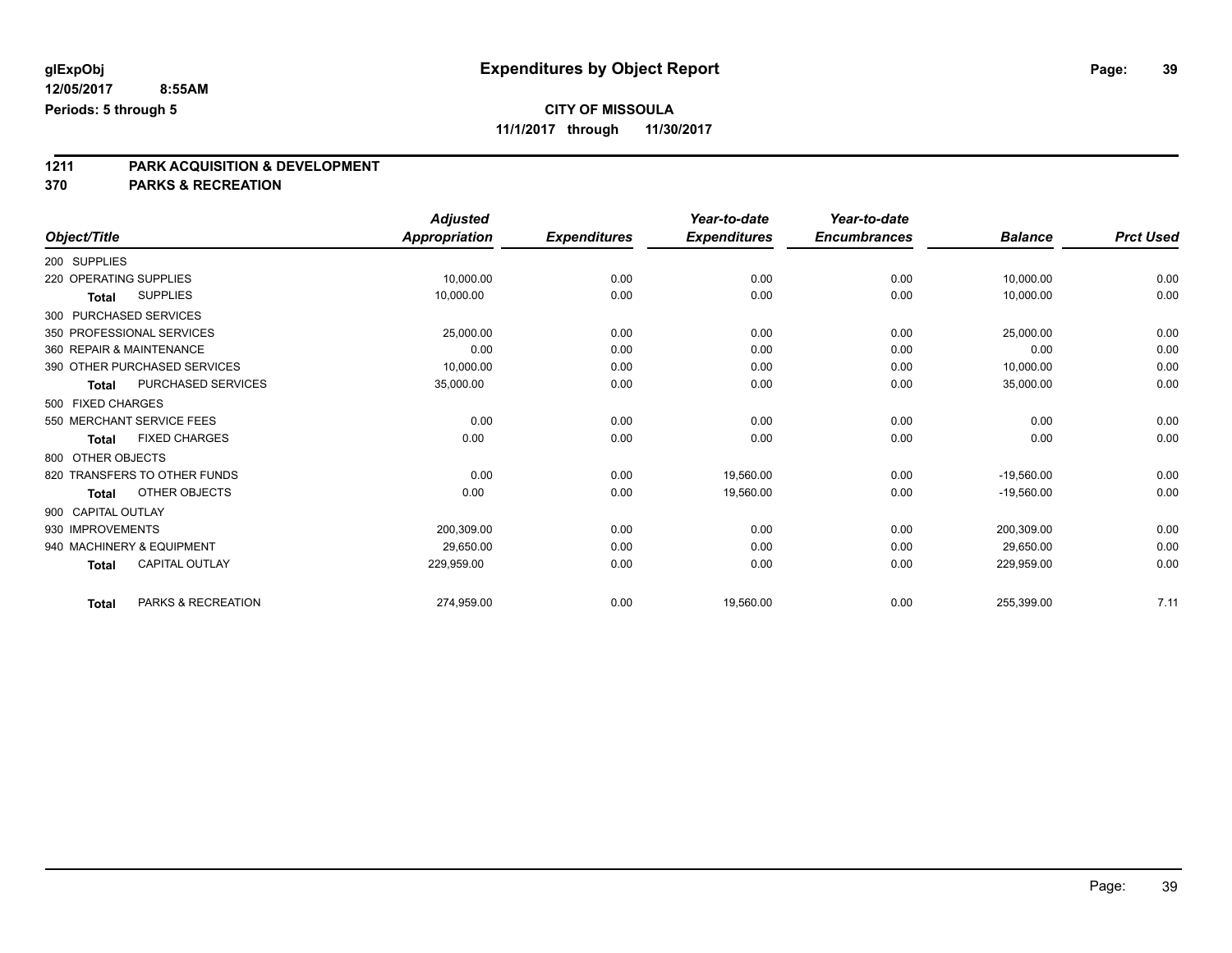## **CITY OF MISSOULA**

**11/1/2017 through 11/30/2017**

# **1211 PARK ACQUISITION & DEVELOPMENT**

|                           |                              | <b>Adjusted</b>      |                     | Year-to-date        | Year-to-date        |                |                  |
|---------------------------|------------------------------|----------------------|---------------------|---------------------|---------------------|----------------|------------------|
| Object/Title              |                              | <b>Appropriation</b> | <b>Expenditures</b> | <b>Expenditures</b> | <b>Encumbrances</b> | <b>Balance</b> | <b>Prct Used</b> |
| 200 SUPPLIES              |                              |                      |                     |                     |                     |                |                  |
| 220 OPERATING SUPPLIES    |                              | 10,000.00            | 0.00                | 0.00                | 0.00                | 10,000.00      | 0.00             |
| Total                     | <b>SUPPLIES</b>              | 10,000.00            | 0.00                | 0.00                | 0.00                | 10,000.00      | 0.00             |
| 300 PURCHASED SERVICES    |                              |                      |                     |                     |                     |                |                  |
| 350 PROFESSIONAL SERVICES |                              | 25,000.00            | 0.00                | 0.00                | 0.00                | 25,000.00      | 0.00             |
| 360 REPAIR & MAINTENANCE  |                              | 0.00                 | 0.00                | 0.00                | 0.00                | 0.00           | 0.00             |
|                           | 390 OTHER PURCHASED SERVICES | 10,000.00            | 0.00                | 0.00                | 0.00                | 10,000.00      | 0.00             |
| <b>Total</b>              | PURCHASED SERVICES           | 35,000.00            | 0.00                | 0.00                | 0.00                | 35,000.00      | 0.00             |
| 500 FIXED CHARGES         |                              |                      |                     |                     |                     |                |                  |
| 550 MERCHANT SERVICE FEES |                              | 0.00                 | 0.00                | 0.00                | 0.00                | 0.00           | 0.00             |
| <b>Total</b>              | <b>FIXED CHARGES</b>         | 0.00                 | 0.00                | 0.00                | 0.00                | 0.00           | 0.00             |
| 800 OTHER OBJECTS         |                              |                      |                     |                     |                     |                |                  |
|                           | 820 TRANSFERS TO OTHER FUNDS | 0.00                 | 0.00                | 19,560.00           | 0.00                | $-19,560.00$   | 0.00             |
| <b>Total</b>              | OTHER OBJECTS                | 0.00                 | 0.00                | 19,560.00           | 0.00                | $-19,560.00$   | 0.00             |
| 900 CAPITAL OUTLAY        |                              |                      |                     |                     |                     |                |                  |
| 930 IMPROVEMENTS          |                              | 200,309.00           | 0.00                | 0.00                | 0.00                | 200,309.00     | 0.00             |
| 940 MACHINERY & EQUIPMENT |                              | 29,650.00            | 0.00                | 0.00                | 0.00                | 29,650.00      | 0.00             |
| <b>Total</b>              | <b>CAPITAL OUTLAY</b>        | 229,959.00           | 0.00                | 0.00                | 0.00                | 229,959.00     | 0.00             |
| <b>Total</b>              | PARKS & RECREATION           | 274,959.00           | 0.00                | 19,560.00           | 0.00                | 255,399.00     | 7.11             |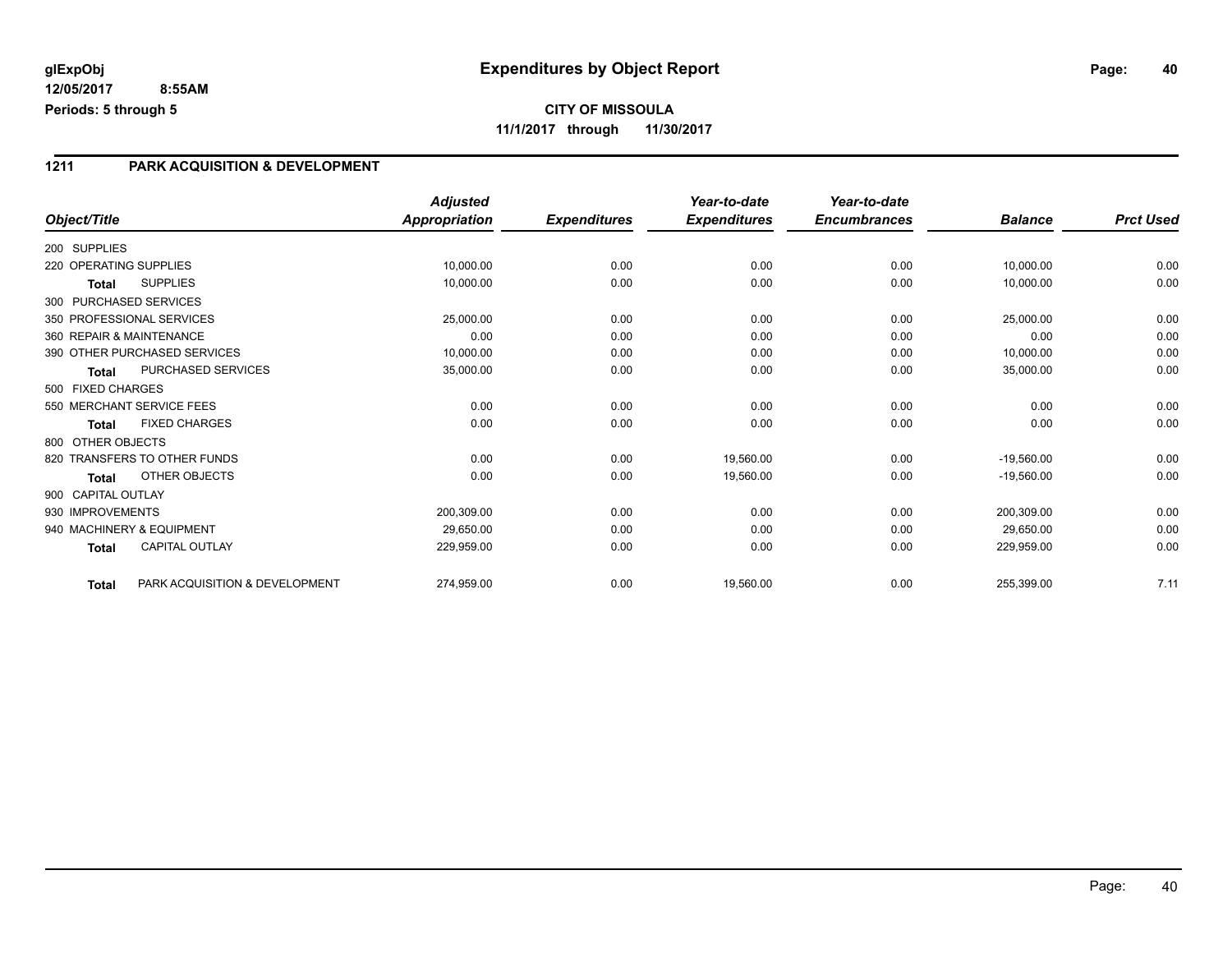#### **CITY OF MISSOULA 11/1/2017 through 11/30/2017**

#### **1211 PARK ACQUISITION & DEVELOPMENT**

|                        |                                | <b>Adjusted</b>      |                     | Year-to-date        | Year-to-date        |                |                  |
|------------------------|--------------------------------|----------------------|---------------------|---------------------|---------------------|----------------|------------------|
| Object/Title           |                                | <b>Appropriation</b> | <b>Expenditures</b> | <b>Expenditures</b> | <b>Encumbrances</b> | <b>Balance</b> | <b>Prct Used</b> |
| 200 SUPPLIES           |                                |                      |                     |                     |                     |                |                  |
| 220 OPERATING SUPPLIES |                                | 10,000.00            | 0.00                | 0.00                | 0.00                | 10,000.00      | 0.00             |
| Total                  | <b>SUPPLIES</b>                | 10,000.00            | 0.00                | 0.00                | 0.00                | 10,000.00      | 0.00             |
| 300 PURCHASED SERVICES |                                |                      |                     |                     |                     |                |                  |
|                        | 350 PROFESSIONAL SERVICES      | 25,000.00            | 0.00                | 0.00                | 0.00                | 25,000.00      | 0.00             |
|                        | 360 REPAIR & MAINTENANCE       | 0.00                 | 0.00                | 0.00                | 0.00                | 0.00           | 0.00             |
|                        | 390 OTHER PURCHASED SERVICES   | 10,000.00            | 0.00                | 0.00                | 0.00                | 10,000.00      | 0.00             |
| <b>Total</b>           | PURCHASED SERVICES             | 35,000.00            | 0.00                | 0.00                | 0.00                | 35,000.00      | 0.00             |
| 500 FIXED CHARGES      |                                |                      |                     |                     |                     |                |                  |
|                        | 550 MERCHANT SERVICE FEES      | 0.00                 | 0.00                | 0.00                | 0.00                | 0.00           | 0.00             |
| <b>Total</b>           | <b>FIXED CHARGES</b>           | 0.00                 | 0.00                | 0.00                | 0.00                | 0.00           | 0.00             |
| 800 OTHER OBJECTS      |                                |                      |                     |                     |                     |                |                  |
|                        | 820 TRANSFERS TO OTHER FUNDS   | 0.00                 | 0.00                | 19,560.00           | 0.00                | $-19,560.00$   | 0.00             |
| <b>Total</b>           | <b>OTHER OBJECTS</b>           | 0.00                 | 0.00                | 19,560.00           | 0.00                | $-19,560.00$   | 0.00             |
| 900 CAPITAL OUTLAY     |                                |                      |                     |                     |                     |                |                  |
| 930 IMPROVEMENTS       |                                | 200,309.00           | 0.00                | 0.00                | 0.00                | 200,309.00     | 0.00             |
|                        | 940 MACHINERY & EQUIPMENT      | 29,650.00            | 0.00                | 0.00                | 0.00                | 29,650.00      | 0.00             |
| <b>Total</b>           | <b>CAPITAL OUTLAY</b>          | 229,959.00           | 0.00                | 0.00                | 0.00                | 229,959.00     | 0.00             |
| <b>Total</b>           | PARK ACQUISITION & DEVELOPMENT | 274.959.00           | 0.00                | 19,560.00           | 0.00                | 255,399.00     | 7.11             |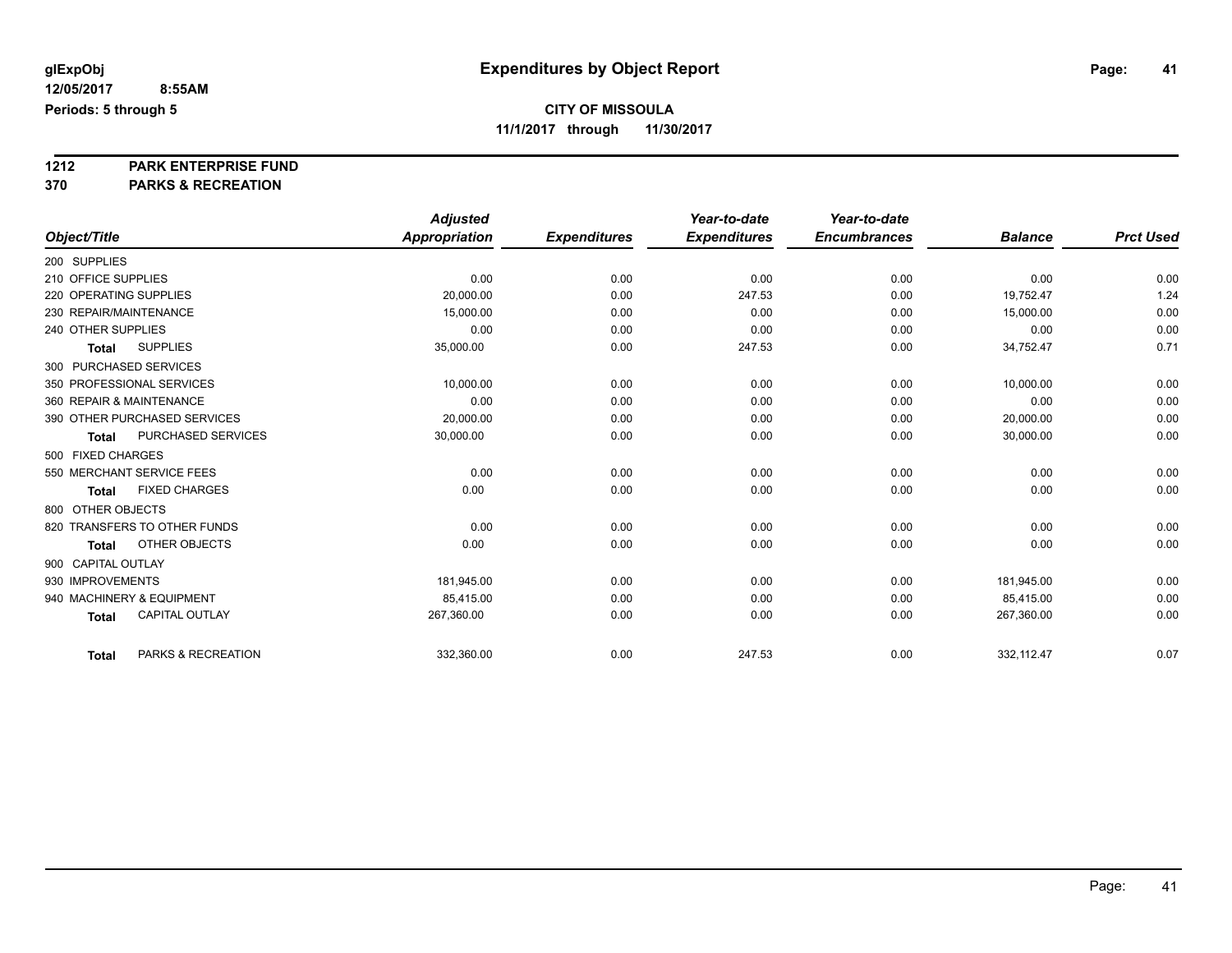**1212 PARK ENTERPRISE FUND**

|                                       | <b>Adjusted</b>      |                     | Year-to-date        | Year-to-date        |                |                  |
|---------------------------------------|----------------------|---------------------|---------------------|---------------------|----------------|------------------|
| Object/Title                          | <b>Appropriation</b> | <b>Expenditures</b> | <b>Expenditures</b> | <b>Encumbrances</b> | <b>Balance</b> | <b>Prct Used</b> |
| 200 SUPPLIES                          |                      |                     |                     |                     |                |                  |
| 210 OFFICE SUPPLIES                   | 0.00                 | 0.00                | 0.00                | 0.00                | 0.00           | 0.00             |
| 220 OPERATING SUPPLIES                | 20,000.00            | 0.00                | 247.53              | 0.00                | 19,752.47      | 1.24             |
| 230 REPAIR/MAINTENANCE                | 15,000.00            | 0.00                | 0.00                | 0.00                | 15,000.00      | 0.00             |
| 240 OTHER SUPPLIES                    | 0.00                 | 0.00                | 0.00                | 0.00                | 0.00           | 0.00             |
| <b>SUPPLIES</b><br><b>Total</b>       | 35,000.00            | 0.00                | 247.53              | 0.00                | 34,752.47      | 0.71             |
| 300 PURCHASED SERVICES                |                      |                     |                     |                     |                |                  |
| 350 PROFESSIONAL SERVICES             | 10,000.00            | 0.00                | 0.00                | 0.00                | 10,000.00      | 0.00             |
| 360 REPAIR & MAINTENANCE              | 0.00                 | 0.00                | 0.00                | 0.00                | 0.00           | 0.00             |
| 390 OTHER PURCHASED SERVICES          | 20,000.00            | 0.00                | 0.00                | 0.00                | 20,000.00      | 0.00             |
| PURCHASED SERVICES<br><b>Total</b>    | 30,000.00            | 0.00                | 0.00                | 0.00                | 30,000.00      | 0.00             |
| 500 FIXED CHARGES                     |                      |                     |                     |                     |                |                  |
| 550 MERCHANT SERVICE FEES             | 0.00                 | 0.00                | 0.00                | 0.00                | 0.00           | 0.00             |
| <b>FIXED CHARGES</b><br><b>Total</b>  | 0.00                 | 0.00                | 0.00                | 0.00                | 0.00           | 0.00             |
| 800 OTHER OBJECTS                     |                      |                     |                     |                     |                |                  |
| 820 TRANSFERS TO OTHER FUNDS          | 0.00                 | 0.00                | 0.00                | 0.00                | 0.00           | 0.00             |
| OTHER OBJECTS<br><b>Total</b>         | 0.00                 | 0.00                | 0.00                | 0.00                | 0.00           | 0.00             |
| 900 CAPITAL OUTLAY                    |                      |                     |                     |                     |                |                  |
| 930 IMPROVEMENTS                      | 181,945.00           | 0.00                | 0.00                | 0.00                | 181,945.00     | 0.00             |
| 940 MACHINERY & EQUIPMENT             | 85,415.00            | 0.00                | 0.00                | 0.00                | 85,415.00      | 0.00             |
| <b>CAPITAL OUTLAY</b><br><b>Total</b> | 267,360.00           | 0.00                | 0.00                | 0.00                | 267,360.00     | 0.00             |
| PARKS & RECREATION<br><b>Total</b>    | 332,360.00           | 0.00                | 247.53              | 0.00                | 332,112.47     | 0.07             |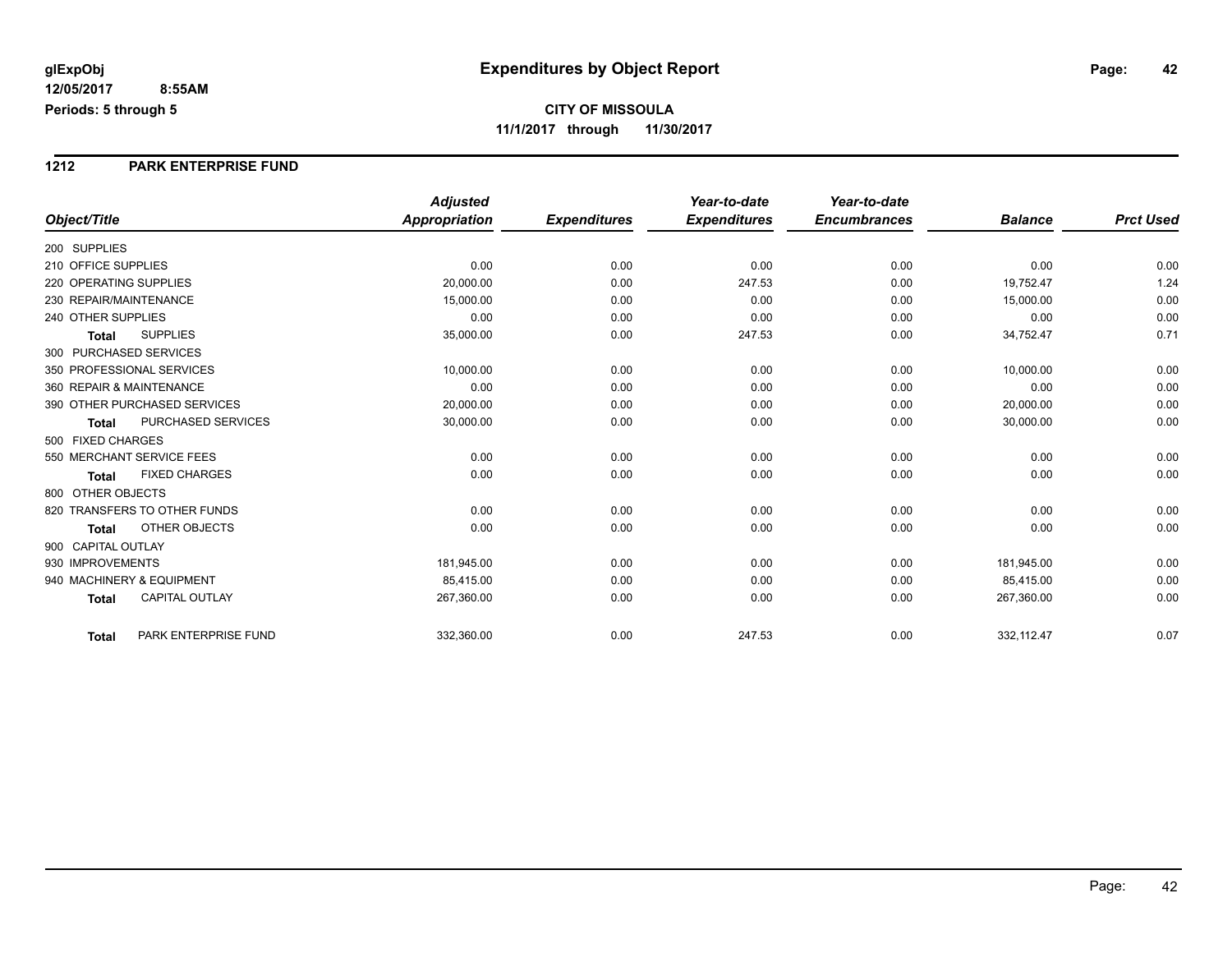#### **1212 PARK ENTERPRISE FUND**

|                                       | <b>Adjusted</b> |                     | Year-to-date        | Year-to-date        |                |                  |
|---------------------------------------|-----------------|---------------------|---------------------|---------------------|----------------|------------------|
| Object/Title                          | Appropriation   | <b>Expenditures</b> | <b>Expenditures</b> | <b>Encumbrances</b> | <b>Balance</b> | <b>Prct Used</b> |
| 200 SUPPLIES                          |                 |                     |                     |                     |                |                  |
| 210 OFFICE SUPPLIES                   | 0.00            | 0.00                | 0.00                | 0.00                | 0.00           | 0.00             |
| 220 OPERATING SUPPLIES                | 20,000.00       | 0.00                | 247.53              | 0.00                | 19,752.47      | 1.24             |
| 230 REPAIR/MAINTENANCE                | 15,000.00       | 0.00                | 0.00                | 0.00                | 15,000.00      | 0.00             |
| 240 OTHER SUPPLIES                    | 0.00            | 0.00                | 0.00                | 0.00                | 0.00           | 0.00             |
| <b>SUPPLIES</b><br><b>Total</b>       | 35,000.00       | 0.00                | 247.53              | 0.00                | 34,752.47      | 0.71             |
| 300 PURCHASED SERVICES                |                 |                     |                     |                     |                |                  |
| 350 PROFESSIONAL SERVICES             | 10,000.00       | 0.00                | 0.00                | 0.00                | 10,000.00      | 0.00             |
| 360 REPAIR & MAINTENANCE              | 0.00            | 0.00                | 0.00                | 0.00                | 0.00           | 0.00             |
| 390 OTHER PURCHASED SERVICES          | 20,000.00       | 0.00                | 0.00                | 0.00                | 20,000.00      | 0.00             |
| PURCHASED SERVICES<br><b>Total</b>    | 30,000.00       | 0.00                | 0.00                | 0.00                | 30,000.00      | 0.00             |
| 500 FIXED CHARGES                     |                 |                     |                     |                     |                |                  |
| 550 MERCHANT SERVICE FEES             | 0.00            | 0.00                | 0.00                | 0.00                | 0.00           | 0.00             |
| <b>FIXED CHARGES</b><br><b>Total</b>  | 0.00            | 0.00                | 0.00                | 0.00                | 0.00           | 0.00             |
| 800 OTHER OBJECTS                     |                 |                     |                     |                     |                |                  |
| 820 TRANSFERS TO OTHER FUNDS          | 0.00            | 0.00                | 0.00                | 0.00                | 0.00           | 0.00             |
| <b>OTHER OBJECTS</b><br><b>Total</b>  | 0.00            | 0.00                | 0.00                | 0.00                | 0.00           | 0.00             |
| 900 CAPITAL OUTLAY                    |                 |                     |                     |                     |                |                  |
| 930 IMPROVEMENTS                      | 181,945.00      | 0.00                | 0.00                | 0.00                | 181,945.00     | 0.00             |
| 940 MACHINERY & EQUIPMENT             | 85.415.00       | 0.00                | 0.00                | 0.00                | 85,415.00      | 0.00             |
| <b>CAPITAL OUTLAY</b><br><b>Total</b> | 267,360.00      | 0.00                | 0.00                | 0.00                | 267,360.00     | 0.00             |
| PARK ENTERPRISE FUND<br>Total         | 332,360.00      | 0.00                | 247.53              | 0.00                | 332,112.47     | 0.07             |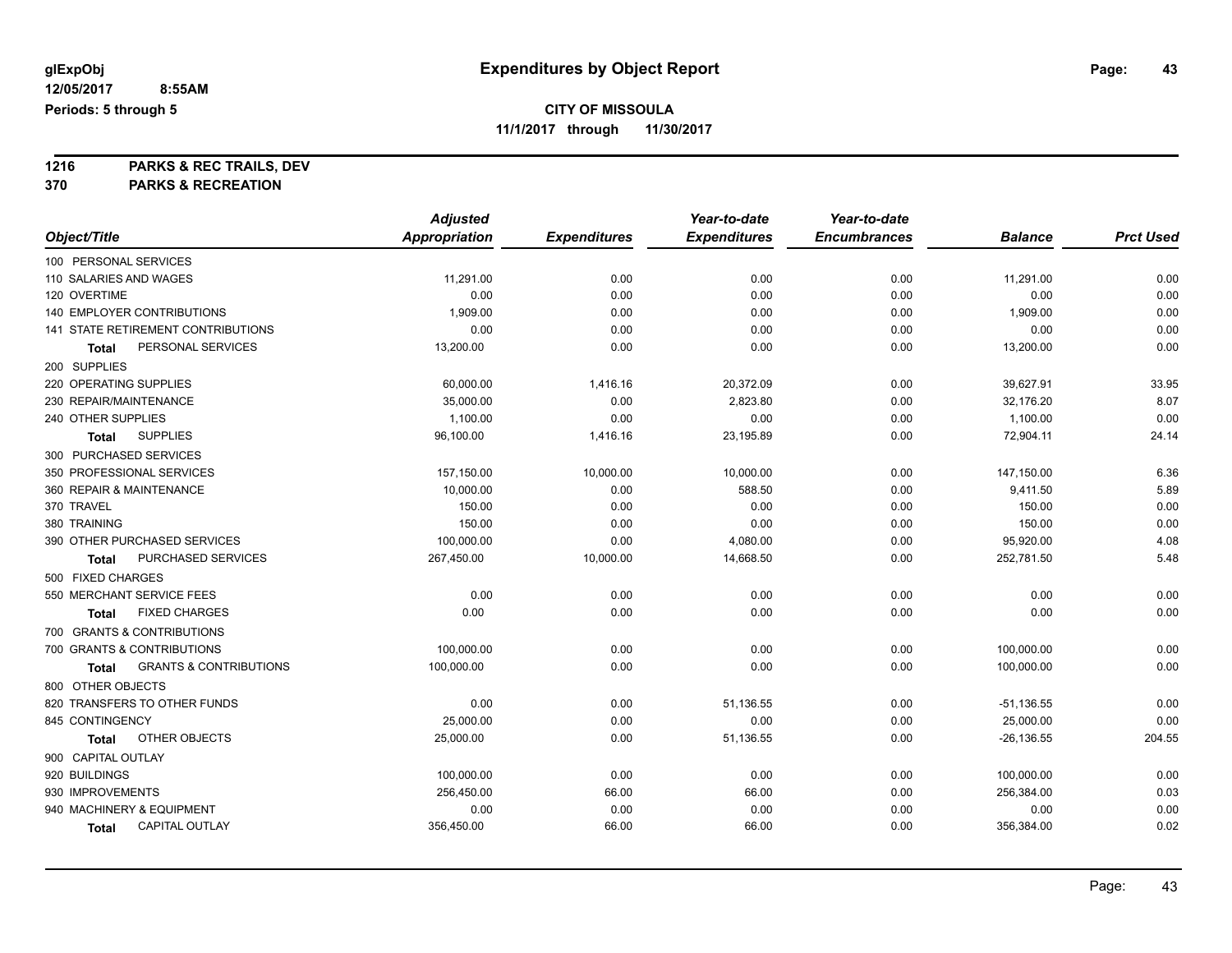## **CITY OF MISSOULA**

**11/1/2017 through 11/30/2017**

**1216 PARKS & REC TRAILS, DEV**

|                                            | <b>Adjusted</b> |                     | Year-to-date        | Year-to-date        |                |                  |
|--------------------------------------------|-----------------|---------------------|---------------------|---------------------|----------------|------------------|
| Object/Title                               | Appropriation   | <b>Expenditures</b> | <b>Expenditures</b> | <b>Encumbrances</b> | <b>Balance</b> | <b>Prct Used</b> |
| 100 PERSONAL SERVICES                      |                 |                     |                     |                     |                |                  |
| 110 SALARIES AND WAGES                     | 11,291.00       | 0.00                | 0.00                | 0.00                | 11,291.00      | 0.00             |
| 120 OVERTIME                               | 0.00            | 0.00                | 0.00                | 0.00                | 0.00           | 0.00             |
| <b>140 EMPLOYER CONTRIBUTIONS</b>          | 1,909.00        | 0.00                | 0.00                | 0.00                | 1,909.00       | 0.00             |
| 141 STATE RETIREMENT CONTRIBUTIONS         | 0.00            | 0.00                | 0.00                | 0.00                | 0.00           | 0.00             |
| PERSONAL SERVICES<br>Total                 | 13,200.00       | 0.00                | 0.00                | 0.00                | 13,200.00      | 0.00             |
| 200 SUPPLIES                               |                 |                     |                     |                     |                |                  |
| 220 OPERATING SUPPLIES                     | 60,000.00       | 1,416.16            | 20,372.09           | 0.00                | 39,627.91      | 33.95            |
| 230 REPAIR/MAINTENANCE                     | 35,000.00       | 0.00                | 2,823.80            | 0.00                | 32,176.20      | 8.07             |
| 240 OTHER SUPPLIES                         | 1,100.00        | 0.00                | 0.00                | 0.00                | 1,100.00       | 0.00             |
| <b>SUPPLIES</b><br>Total                   | 96,100.00       | 1,416.16            | 23,195.89           | 0.00                | 72,904.11      | 24.14            |
| 300 PURCHASED SERVICES                     |                 |                     |                     |                     |                |                  |
| 350 PROFESSIONAL SERVICES                  | 157,150.00      | 10,000.00           | 10,000.00           | 0.00                | 147,150.00     | 6.36             |
| 360 REPAIR & MAINTENANCE                   | 10,000.00       | 0.00                | 588.50              | 0.00                | 9,411.50       | 5.89             |
| 370 TRAVEL                                 | 150.00          | 0.00                | 0.00                | 0.00                | 150.00         | 0.00             |
| 380 TRAINING                               | 150.00          | 0.00                | 0.00                | 0.00                | 150.00         | 0.00             |
| 390 OTHER PURCHASED SERVICES               | 100,000.00      | 0.00                | 4,080.00            | 0.00                | 95,920.00      | 4.08             |
| PURCHASED SERVICES<br><b>Total</b>         | 267,450.00      | 10,000.00           | 14,668.50           | 0.00                | 252,781.50     | 5.48             |
| 500 FIXED CHARGES                          |                 |                     |                     |                     |                |                  |
| 550 MERCHANT SERVICE FEES                  | 0.00            | 0.00                | 0.00                | 0.00                | 0.00           | 0.00             |
| <b>FIXED CHARGES</b><br>Total              | 0.00            | 0.00                | 0.00                | 0.00                | 0.00           | 0.00             |
| 700 GRANTS & CONTRIBUTIONS                 |                 |                     |                     |                     |                |                  |
| 700 GRANTS & CONTRIBUTIONS                 | 100,000.00      | 0.00                | 0.00                | 0.00                | 100,000.00     | 0.00             |
| <b>GRANTS &amp; CONTRIBUTIONS</b><br>Total | 100,000.00      | 0.00                | 0.00                | 0.00                | 100,000.00     | 0.00             |
| 800 OTHER OBJECTS                          |                 |                     |                     |                     |                |                  |
| 820 TRANSFERS TO OTHER FUNDS               | 0.00            | 0.00                | 51,136.55           | 0.00                | $-51,136.55$   | 0.00             |
| 845 CONTINGENCY                            | 25,000.00       | 0.00                | 0.00                | 0.00                | 25,000.00      | 0.00             |
| OTHER OBJECTS<br>Total                     | 25,000.00       | 0.00                | 51,136.55           | 0.00                | $-26, 136.55$  | 204.55           |
| 900 CAPITAL OUTLAY                         |                 |                     |                     |                     |                |                  |
| 920 BUILDINGS                              | 100,000.00      | 0.00                | 0.00                | 0.00                | 100,000.00     | 0.00             |
| 930 IMPROVEMENTS                           | 256,450.00      | 66.00               | 66.00               | 0.00                | 256,384.00     | 0.03             |
| 940 MACHINERY & EQUIPMENT                  | 0.00            | 0.00                | 0.00                | 0.00                | 0.00           | 0.00             |
| <b>CAPITAL OUTLAY</b><br><b>Total</b>      | 356,450.00      | 66.00               | 66.00               | 0.00                | 356,384.00     | 0.02             |
|                                            |                 |                     |                     |                     |                |                  |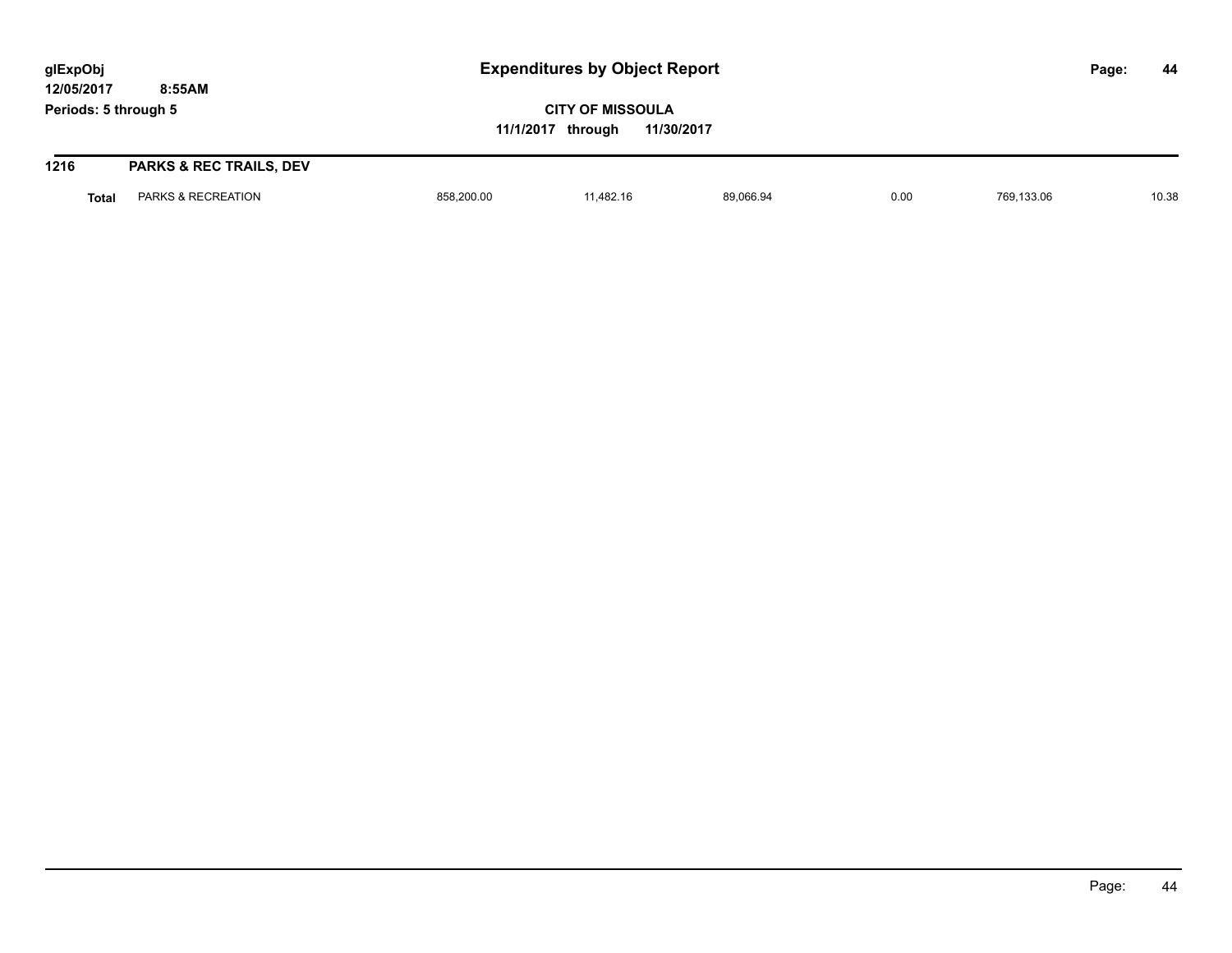**CITY OF MISSOULA 11/1/2017 through 11/30/2017**

| 1216  | <b>PARKS &amp; REC TRAILS, DEV</b> |            |          |           |      |            |       |
|-------|------------------------------------|------------|----------|-----------|------|------------|-------|
| Total | PARKS & RECREATION                 | 858,200.00 | 1,482.16 | 89,066.94 | 0.00 | 769,133.06 | 10.38 |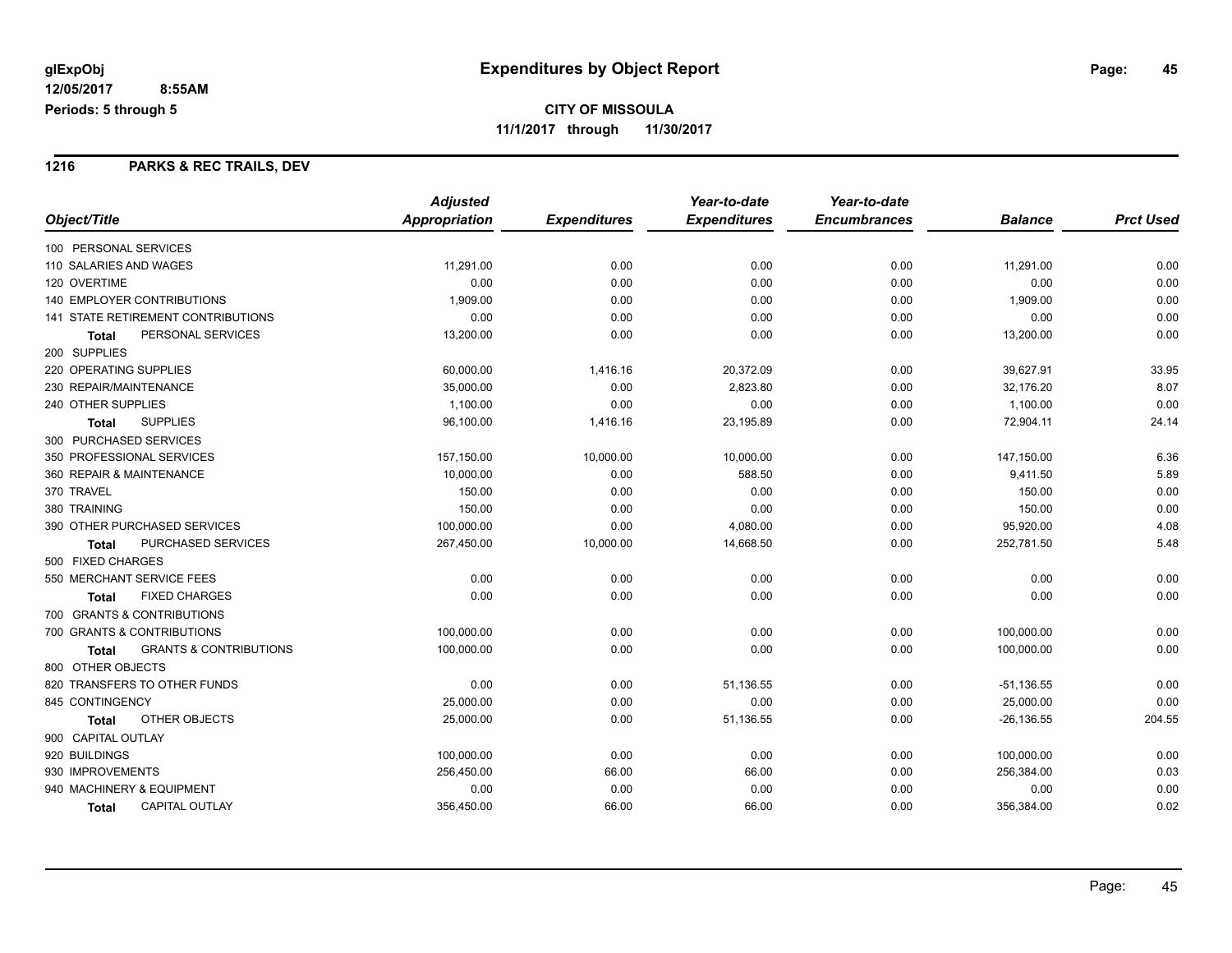#### **1216 PARKS & REC TRAILS, DEV**

|                                                   | <b>Adjusted</b> |                     | Year-to-date        | Year-to-date        |                |                  |
|---------------------------------------------------|-----------------|---------------------|---------------------|---------------------|----------------|------------------|
| Object/Title                                      | Appropriation   | <b>Expenditures</b> | <b>Expenditures</b> | <b>Encumbrances</b> | <b>Balance</b> | <b>Prct Used</b> |
| 100 PERSONAL SERVICES                             |                 |                     |                     |                     |                |                  |
| 110 SALARIES AND WAGES                            | 11,291.00       | 0.00                | 0.00                | 0.00                | 11,291.00      | 0.00             |
| 120 OVERTIME                                      | 0.00            | 0.00                | 0.00                | 0.00                | 0.00           | 0.00             |
| <b>140 EMPLOYER CONTRIBUTIONS</b>                 | 1,909.00        | 0.00                | 0.00                | 0.00                | 1,909.00       | 0.00             |
| 141 STATE RETIREMENT CONTRIBUTIONS                | 0.00            | 0.00                | 0.00                | 0.00                | 0.00           | 0.00             |
| PERSONAL SERVICES<br><b>Total</b>                 | 13,200.00       | 0.00                | 0.00                | 0.00                | 13,200.00      | 0.00             |
| 200 SUPPLIES                                      |                 |                     |                     |                     |                |                  |
| 220 OPERATING SUPPLIES                            | 60,000.00       | 1,416.16            | 20,372.09           | 0.00                | 39,627.91      | 33.95            |
| 230 REPAIR/MAINTENANCE                            | 35,000.00       | 0.00                | 2,823.80            | 0.00                | 32,176.20      | 8.07             |
| 240 OTHER SUPPLIES                                | 1,100.00        | 0.00                | 0.00                | 0.00                | 1,100.00       | 0.00             |
| <b>SUPPLIES</b><br><b>Total</b>                   | 96,100.00       | 1,416.16            | 23,195.89           | 0.00                | 72,904.11      | 24.14            |
| 300 PURCHASED SERVICES                            |                 |                     |                     |                     |                |                  |
| 350 PROFESSIONAL SERVICES                         | 157,150.00      | 10,000.00           | 10,000.00           | 0.00                | 147,150.00     | 6.36             |
| 360 REPAIR & MAINTENANCE                          | 10,000.00       | 0.00                | 588.50              | 0.00                | 9,411.50       | 5.89             |
| 370 TRAVEL                                        | 150.00          | 0.00                | 0.00                | 0.00                | 150.00         | 0.00             |
| 380 TRAINING                                      | 150.00          | 0.00                | 0.00                | 0.00                | 150.00         | 0.00             |
| 390 OTHER PURCHASED SERVICES                      | 100,000.00      | 0.00                | 4,080.00            | 0.00                | 95,920.00      | 4.08             |
| PURCHASED SERVICES<br><b>Total</b>                | 267,450.00      | 10,000.00           | 14,668.50           | 0.00                | 252,781.50     | 5.48             |
| 500 FIXED CHARGES                                 |                 |                     |                     |                     |                |                  |
| 550 MERCHANT SERVICE FEES                         | 0.00            | 0.00                | 0.00                | 0.00                | 0.00           | 0.00             |
| <b>FIXED CHARGES</b><br><b>Total</b>              | 0.00            | 0.00                | 0.00                | 0.00                | 0.00           | 0.00             |
| 700 GRANTS & CONTRIBUTIONS                        |                 |                     |                     |                     |                |                  |
| 700 GRANTS & CONTRIBUTIONS                        | 100,000.00      | 0.00                | 0.00                | 0.00                | 100,000.00     | 0.00             |
| <b>GRANTS &amp; CONTRIBUTIONS</b><br><b>Total</b> | 100,000.00      | 0.00                | 0.00                | 0.00                | 100,000.00     | 0.00             |
| 800 OTHER OBJECTS                                 |                 |                     |                     |                     |                |                  |
| 820 TRANSFERS TO OTHER FUNDS                      | 0.00            | 0.00                | 51,136.55           | 0.00                | $-51,136.55$   | 0.00             |
| 845 CONTINGENCY                                   | 25,000.00       | 0.00                | 0.00                | 0.00                | 25,000.00      | 0.00             |
| OTHER OBJECTS<br>Total                            | 25,000.00       | 0.00                | 51,136.55           | 0.00                | $-26, 136.55$  | 204.55           |
| 900 CAPITAL OUTLAY                                |                 |                     |                     |                     |                |                  |
| 920 BUILDINGS                                     | 100,000.00      | 0.00                | 0.00                | 0.00                | 100,000.00     | 0.00             |
| 930 IMPROVEMENTS                                  | 256,450.00      | 66.00               | 66.00               | 0.00                | 256,384.00     | 0.03             |
| 940 MACHINERY & EQUIPMENT                         | 0.00            | 0.00                | 0.00                | 0.00                | 0.00           | 0.00             |
| <b>CAPITAL OUTLAY</b><br><b>Total</b>             | 356,450.00      | 66.00               | 66.00               | 0.00                | 356,384.00     | 0.02             |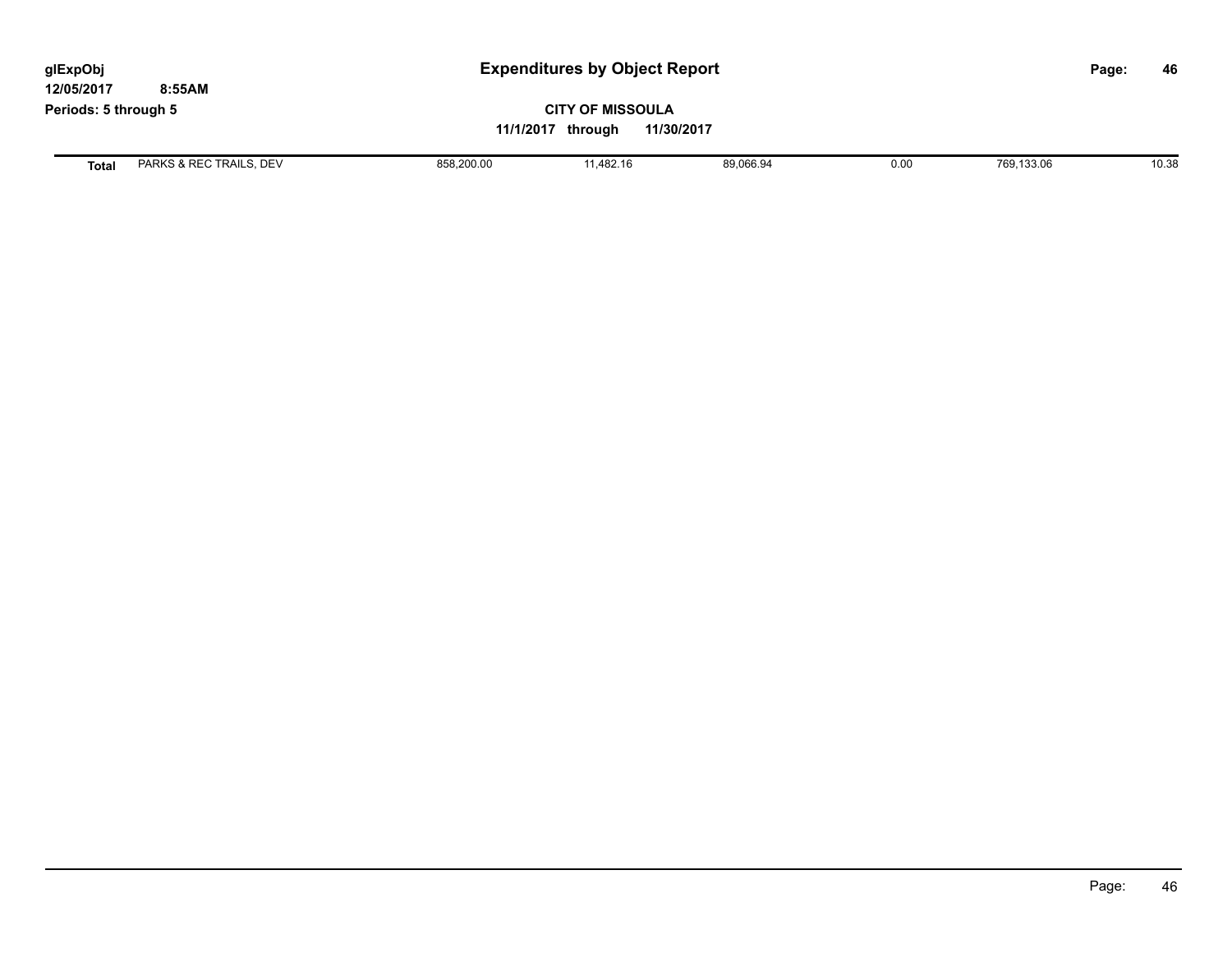| glExpObj<br>12/05/2017 | 8:55AM                  | <b>Expenditures by Object Report</b> |                                                            |           |      |            | 46<br>Page: |  |
|------------------------|-------------------------|--------------------------------------|------------------------------------------------------------|-----------|------|------------|-------------|--|
| Periods: 5 through 5   |                         |                                      | <b>CITY OF MISSOULA</b><br>11/30/2017<br>11/1/2017 through |           |      |            |             |  |
| <b>Total</b>           | PARKS & REC TRAILS, DEV | 858,200.00                           | 11.482.16                                                  | 89,066.94 | 0.00 | 769,133.06 | 10.38       |  |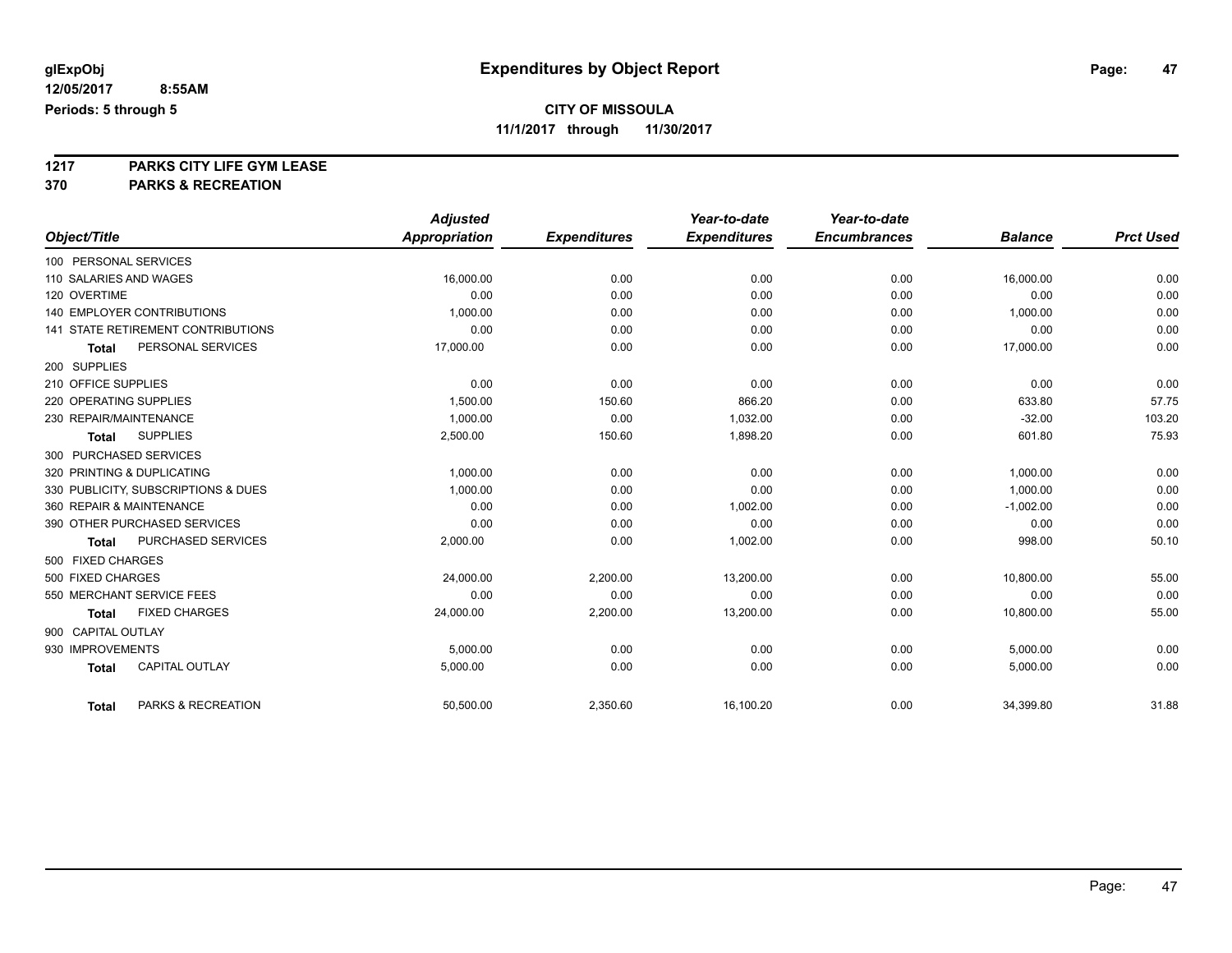## **CITY OF MISSOULA**

**11/1/2017 through 11/30/2017**

# **1217 PARKS CITY LIFE GYM LEASE**

|                                     |                       | <b>Adjusted</b>      |                     | Year-to-date        | Year-to-date        |                |                  |
|-------------------------------------|-----------------------|----------------------|---------------------|---------------------|---------------------|----------------|------------------|
| Object/Title                        |                       | <b>Appropriation</b> | <b>Expenditures</b> | <b>Expenditures</b> | <b>Encumbrances</b> | <b>Balance</b> | <b>Prct Used</b> |
| 100 PERSONAL SERVICES               |                       |                      |                     |                     |                     |                |                  |
| 110 SALARIES AND WAGES              |                       | 16,000.00            | 0.00                | 0.00                | 0.00                | 16,000.00      | 0.00             |
| 120 OVERTIME                        |                       | 0.00                 | 0.00                | 0.00                | 0.00                | 0.00           | 0.00             |
| <b>140 EMPLOYER CONTRIBUTIONS</b>   |                       | 1.000.00             | 0.00                | 0.00                | 0.00                | 1,000.00       | 0.00             |
| 141 STATE RETIREMENT CONTRIBUTIONS  |                       | 0.00                 | 0.00                | 0.00                | 0.00                | 0.00           | 0.00             |
| <b>Total</b>                        | PERSONAL SERVICES     | 17,000.00            | 0.00                | 0.00                | 0.00                | 17,000.00      | 0.00             |
| 200 SUPPLIES                        |                       |                      |                     |                     |                     |                |                  |
| 210 OFFICE SUPPLIES                 |                       | 0.00                 | 0.00                | 0.00                | 0.00                | 0.00           | 0.00             |
| 220 OPERATING SUPPLIES              |                       | 1,500.00             | 150.60              | 866.20              | 0.00                | 633.80         | 57.75            |
| 230 REPAIR/MAINTENANCE              |                       | 1,000.00             | 0.00                | 1,032.00            | 0.00                | $-32.00$       | 103.20           |
| <b>SUPPLIES</b><br><b>Total</b>     |                       | 2,500.00             | 150.60              | 1,898.20            | 0.00                | 601.80         | 75.93            |
| 300 PURCHASED SERVICES              |                       |                      |                     |                     |                     |                |                  |
| 320 PRINTING & DUPLICATING          |                       | 1,000.00             | 0.00                | 0.00                | 0.00                | 1,000.00       | 0.00             |
| 330 PUBLICITY, SUBSCRIPTIONS & DUES |                       | 1,000.00             | 0.00                | 0.00                | 0.00                | 1,000.00       | 0.00             |
| 360 REPAIR & MAINTENANCE            |                       | 0.00                 | 0.00                | 1,002.00            | 0.00                | $-1,002.00$    | 0.00             |
| 390 OTHER PURCHASED SERVICES        |                       | 0.00                 | 0.00                | 0.00                | 0.00                | 0.00           | 0.00             |
| <b>Total</b>                        | PURCHASED SERVICES    | 2,000.00             | 0.00                | 1,002.00            | 0.00                | 998.00         | 50.10            |
| 500 FIXED CHARGES                   |                       |                      |                     |                     |                     |                |                  |
| 500 FIXED CHARGES                   |                       | 24,000.00            | 2,200.00            | 13,200.00           | 0.00                | 10,800.00      | 55.00            |
| 550 MERCHANT SERVICE FEES           |                       | 0.00                 | 0.00                | 0.00                | 0.00                | 0.00           | 0.00             |
| <b>Total</b>                        | <b>FIXED CHARGES</b>  | 24,000.00            | 2,200.00            | 13,200.00           | 0.00                | 10,800.00      | 55.00            |
| 900 CAPITAL OUTLAY                  |                       |                      |                     |                     |                     |                |                  |
| 930 IMPROVEMENTS                    |                       | 5,000.00             | 0.00                | 0.00                | 0.00                | 5,000.00       | 0.00             |
| <b>Total</b>                        | <b>CAPITAL OUTLAY</b> | 5,000.00             | 0.00                | 0.00                | 0.00                | 5,000.00       | 0.00             |
| <b>Total</b>                        | PARKS & RECREATION    | 50,500.00            | 2,350.60            | 16,100.20           | 0.00                | 34,399.80      | 31.88            |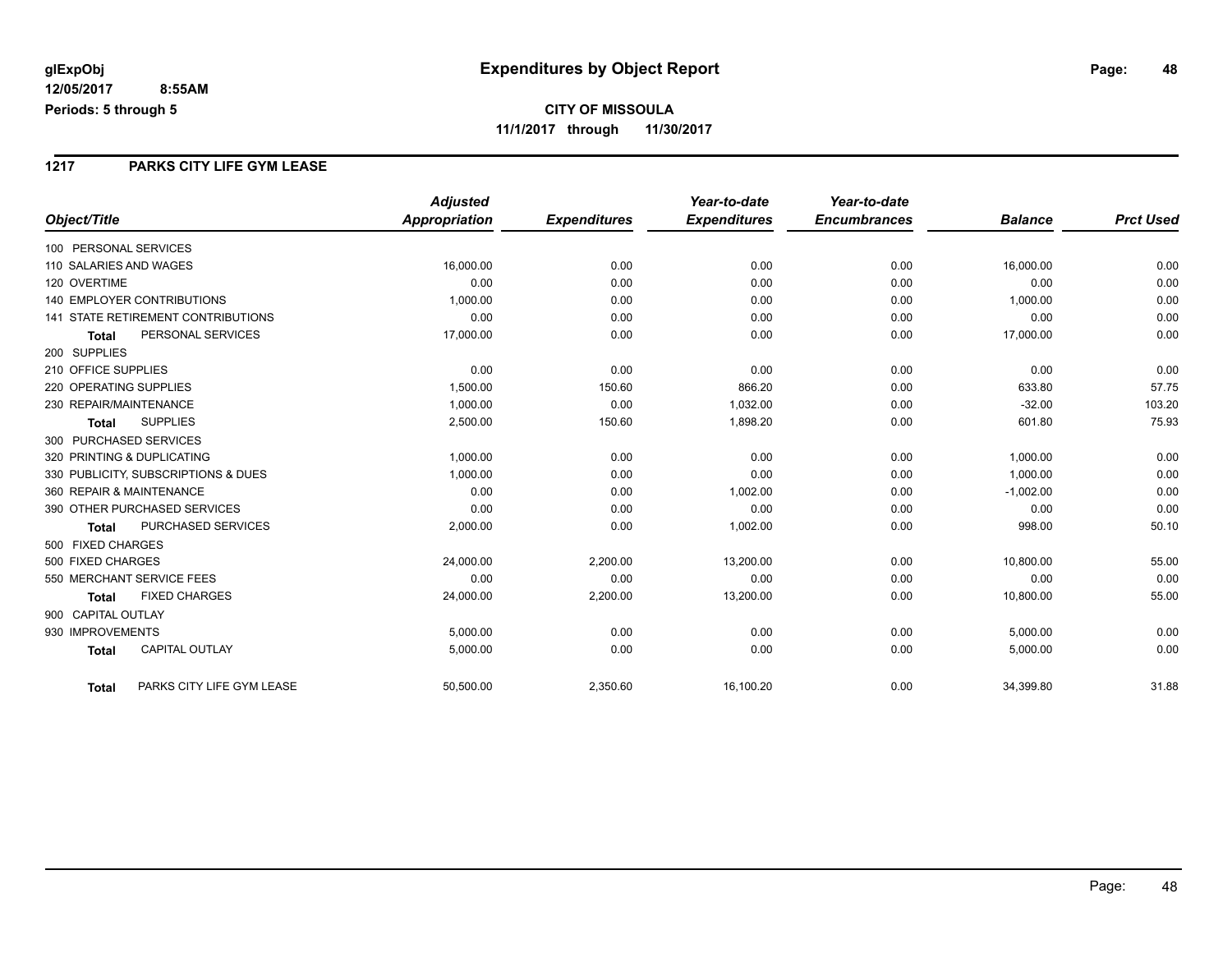#### **1217 PARKS CITY LIFE GYM LEASE**

|                                           | <b>Adjusted</b>      |                     | Year-to-date        | Year-to-date        |                |                  |
|-------------------------------------------|----------------------|---------------------|---------------------|---------------------|----------------|------------------|
| Object/Title                              | <b>Appropriation</b> | <b>Expenditures</b> | <b>Expenditures</b> | <b>Encumbrances</b> | <b>Balance</b> | <b>Prct Used</b> |
| 100 PERSONAL SERVICES                     |                      |                     |                     |                     |                |                  |
| 110 SALARIES AND WAGES                    | 16,000.00            | 0.00                | 0.00                | 0.00                | 16,000.00      | 0.00             |
| 120 OVERTIME                              | 0.00                 | 0.00                | 0.00                | 0.00                | 0.00           | 0.00             |
| <b>140 EMPLOYER CONTRIBUTIONS</b>         | 1,000.00             | 0.00                | 0.00                | 0.00                | 1,000.00       | 0.00             |
| <b>141 STATE RETIREMENT CONTRIBUTIONS</b> | 0.00                 | 0.00                | 0.00                | 0.00                | 0.00           | 0.00             |
| PERSONAL SERVICES<br><b>Total</b>         | 17,000.00            | 0.00                | 0.00                | 0.00                | 17,000.00      | 0.00             |
| 200 SUPPLIES                              |                      |                     |                     |                     |                |                  |
| 210 OFFICE SUPPLIES                       | 0.00                 | 0.00                | 0.00                | 0.00                | 0.00           | 0.00             |
| 220 OPERATING SUPPLIES                    | 1,500.00             | 150.60              | 866.20              | 0.00                | 633.80         | 57.75            |
| 230 REPAIR/MAINTENANCE                    | 1,000.00             | 0.00                | 1,032.00            | 0.00                | $-32.00$       | 103.20           |
| <b>SUPPLIES</b><br><b>Total</b>           | 2,500.00             | 150.60              | 1,898.20            | 0.00                | 601.80         | 75.93            |
| 300 PURCHASED SERVICES                    |                      |                     |                     |                     |                |                  |
| 320 PRINTING & DUPLICATING                | 1,000.00             | 0.00                | 0.00                | 0.00                | 1,000.00       | 0.00             |
| 330 PUBLICITY, SUBSCRIPTIONS & DUES       | 1,000.00             | 0.00                | 0.00                | 0.00                | 1.000.00       | 0.00             |
| 360 REPAIR & MAINTENANCE                  | 0.00                 | 0.00                | 1,002.00            | 0.00                | $-1,002.00$    | 0.00             |
| 390 OTHER PURCHASED SERVICES              | 0.00                 | 0.00                | 0.00                | 0.00                | 0.00           | 0.00             |
| PURCHASED SERVICES<br><b>Total</b>        | 2,000.00             | 0.00                | 1,002.00            | 0.00                | 998.00         | 50.10            |
| 500 FIXED CHARGES                         |                      |                     |                     |                     |                |                  |
| 500 FIXED CHARGES                         | 24,000.00            | 2,200.00            | 13,200.00           | 0.00                | 10,800.00      | 55.00            |
| 550 MERCHANT SERVICE FEES                 | 0.00                 | 0.00                | 0.00                | 0.00                | 0.00           | 0.00             |
| <b>FIXED CHARGES</b><br><b>Total</b>      | 24,000.00            | 2,200.00            | 13,200.00           | 0.00                | 10,800.00      | 55.00            |
| 900 CAPITAL OUTLAY                        |                      |                     |                     |                     |                |                  |
| 930 IMPROVEMENTS                          | 5,000.00             | 0.00                | 0.00                | 0.00                | 5,000.00       | 0.00             |
| <b>CAPITAL OUTLAY</b><br><b>Total</b>     | 5,000.00             | 0.00                | 0.00                | 0.00                | 5,000.00       | 0.00             |
| PARKS CITY LIFE GYM LEASE<br><b>Total</b> | 50,500.00            | 2,350.60            | 16,100.20           | 0.00                | 34,399.80      | 31.88            |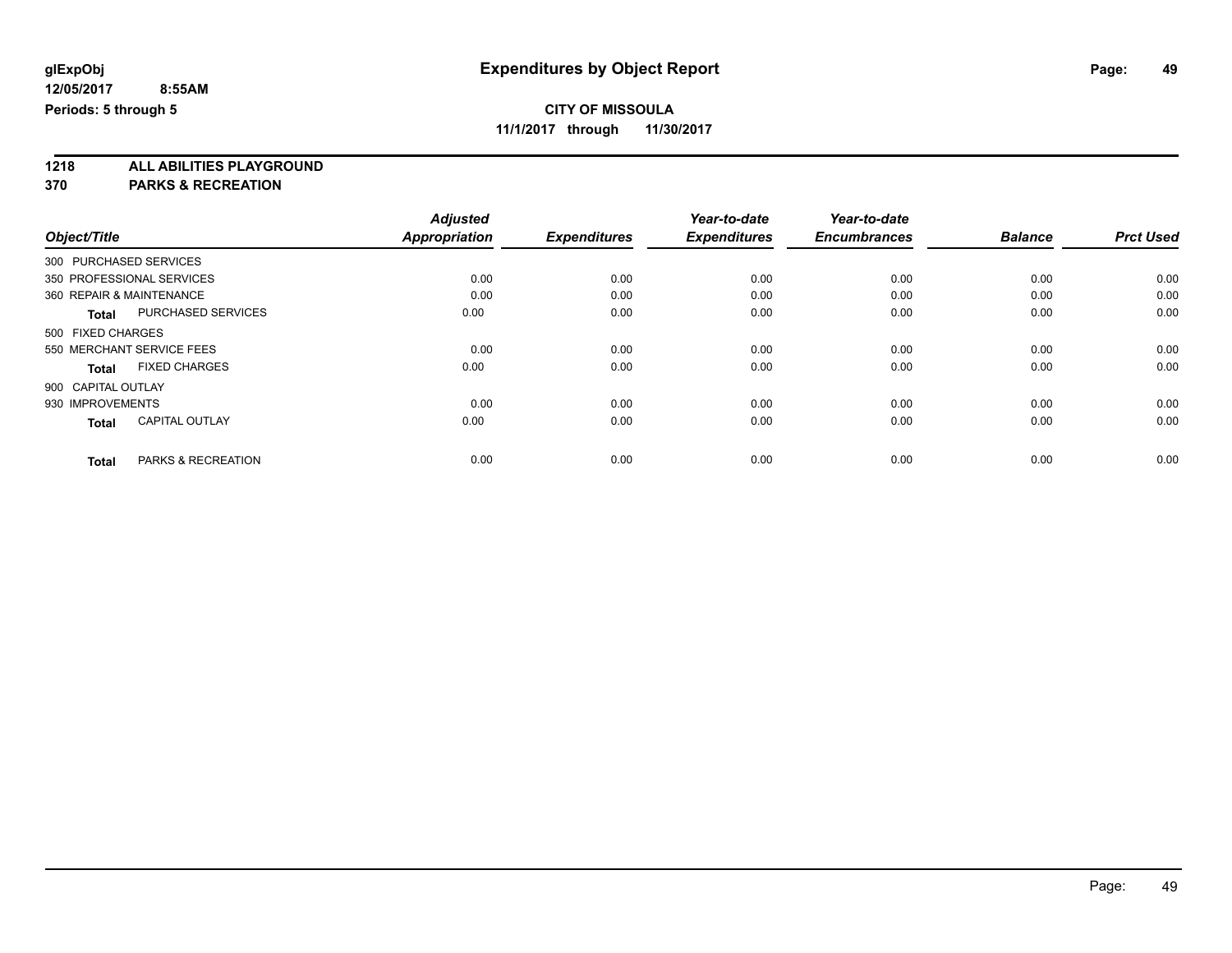## **CITY OF MISSOULA**

**11/1/2017 through 11/30/2017**

**1218 ALL ABILITIES PLAYGROUND**

|                          |                           | <b>Adjusted</b>      |                     | Year-to-date        | Year-to-date        |                |                  |
|--------------------------|---------------------------|----------------------|---------------------|---------------------|---------------------|----------------|------------------|
| Object/Title             |                           | <b>Appropriation</b> | <b>Expenditures</b> | <b>Expenditures</b> | <b>Encumbrances</b> | <b>Balance</b> | <b>Prct Used</b> |
| 300 PURCHASED SERVICES   |                           |                      |                     |                     |                     |                |                  |
|                          | 350 PROFESSIONAL SERVICES | 0.00                 | 0.00                | 0.00                | 0.00                | 0.00           | 0.00             |
| 360 REPAIR & MAINTENANCE |                           | 0.00                 | 0.00                | 0.00                | 0.00                | 0.00           | 0.00             |
| <b>Total</b>             | <b>PURCHASED SERVICES</b> | 0.00                 | 0.00                | 0.00                | 0.00                | 0.00           | 0.00             |
| 500 FIXED CHARGES        |                           |                      |                     |                     |                     |                |                  |
|                          | 550 MERCHANT SERVICE FEES | 0.00                 | 0.00                | 0.00                | 0.00                | 0.00           | 0.00             |
| <b>Total</b>             | <b>FIXED CHARGES</b>      | 0.00                 | 0.00                | 0.00                | 0.00                | 0.00           | 0.00             |
| 900 CAPITAL OUTLAY       |                           |                      |                     |                     |                     |                |                  |
| 930 IMPROVEMENTS         |                           | 0.00                 | 0.00                | 0.00                | 0.00                | 0.00           | 0.00             |
| <b>Total</b>             | <b>CAPITAL OUTLAY</b>     | 0.00                 | 0.00                | 0.00                | 0.00                | 0.00           | 0.00             |
|                          |                           |                      |                     |                     |                     |                |                  |
| <b>Total</b>             | PARKS & RECREATION        | 0.00                 | 0.00                | 0.00                | 0.00                | 0.00           | 0.00             |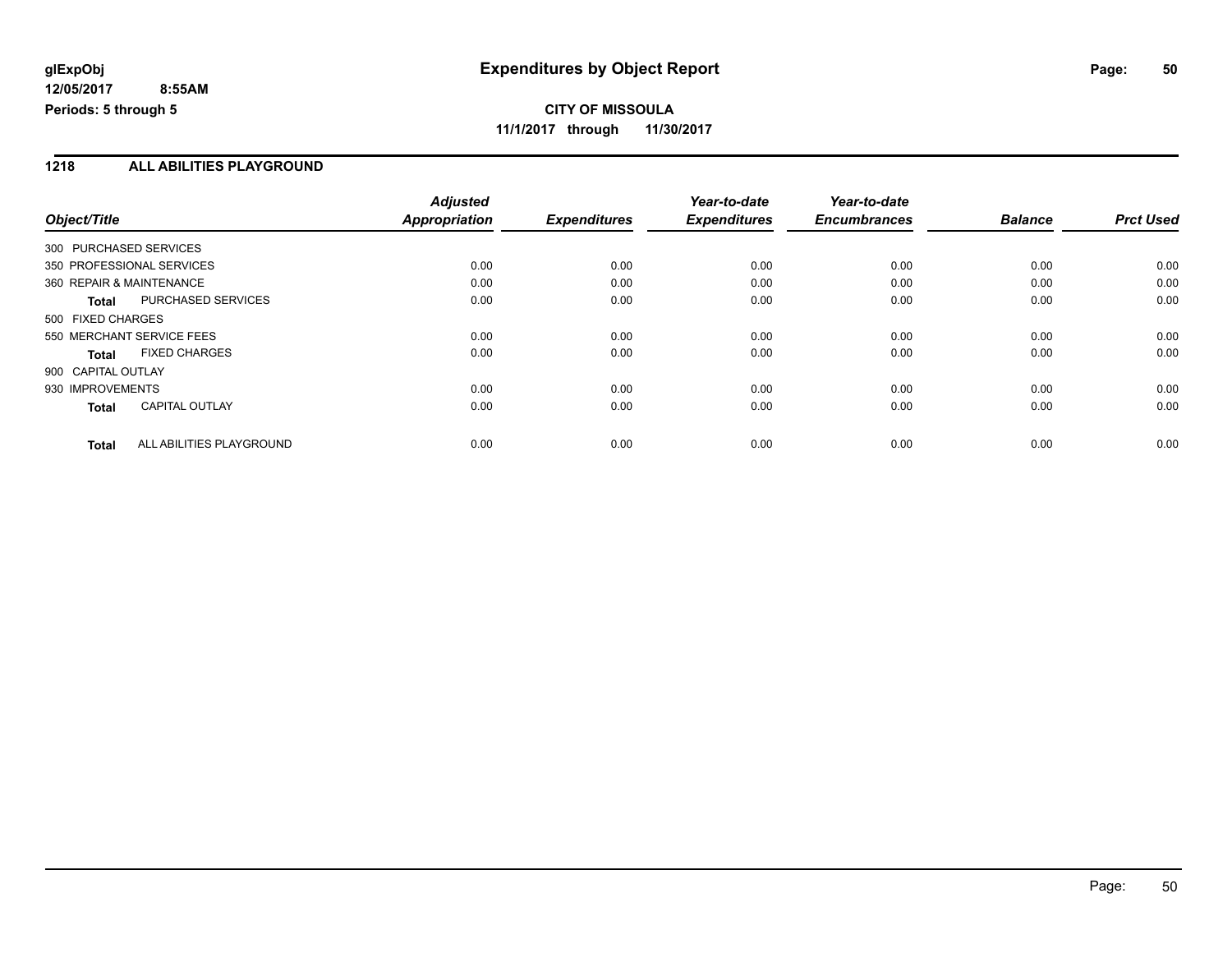**CITY OF MISSOULA 11/1/2017 through 11/30/2017**

#### **1218 ALL ABILITIES PLAYGROUND**

|                                          | <b>Adjusted</b> |                     | Year-to-date        | Year-to-date        |                |                  |
|------------------------------------------|-----------------|---------------------|---------------------|---------------------|----------------|------------------|
| Object/Title                             | Appropriation   | <b>Expenditures</b> | <b>Expenditures</b> | <b>Encumbrances</b> | <b>Balance</b> | <b>Prct Used</b> |
| 300 PURCHASED SERVICES                   |                 |                     |                     |                     |                |                  |
| 350 PROFESSIONAL SERVICES                | 0.00            | 0.00                | 0.00                | 0.00                | 0.00           | 0.00             |
| 360 REPAIR & MAINTENANCE                 | 0.00            | 0.00                | 0.00                | 0.00                | 0.00           | 0.00             |
| PURCHASED SERVICES<br><b>Total</b>       | 0.00            | 0.00                | 0.00                | 0.00                | 0.00           | 0.00             |
| 500 FIXED CHARGES                        |                 |                     |                     |                     |                |                  |
| 550 MERCHANT SERVICE FEES                | 0.00            | 0.00                | 0.00                | 0.00                | 0.00           | 0.00             |
| <b>FIXED CHARGES</b><br>Total            | 0.00            | 0.00                | 0.00                | 0.00                | 0.00           | 0.00             |
| 900 CAPITAL OUTLAY                       |                 |                     |                     |                     |                |                  |
| 930 IMPROVEMENTS                         | 0.00            | 0.00                | 0.00                | 0.00                | 0.00           | 0.00             |
| <b>CAPITAL OUTLAY</b><br><b>Total</b>    | 0.00            | 0.00                | 0.00                | 0.00                | 0.00           | 0.00             |
| ALL ABILITIES PLAYGROUND<br><b>Total</b> | 0.00            | 0.00                | 0.00                | 0.00                | 0.00           | 0.00             |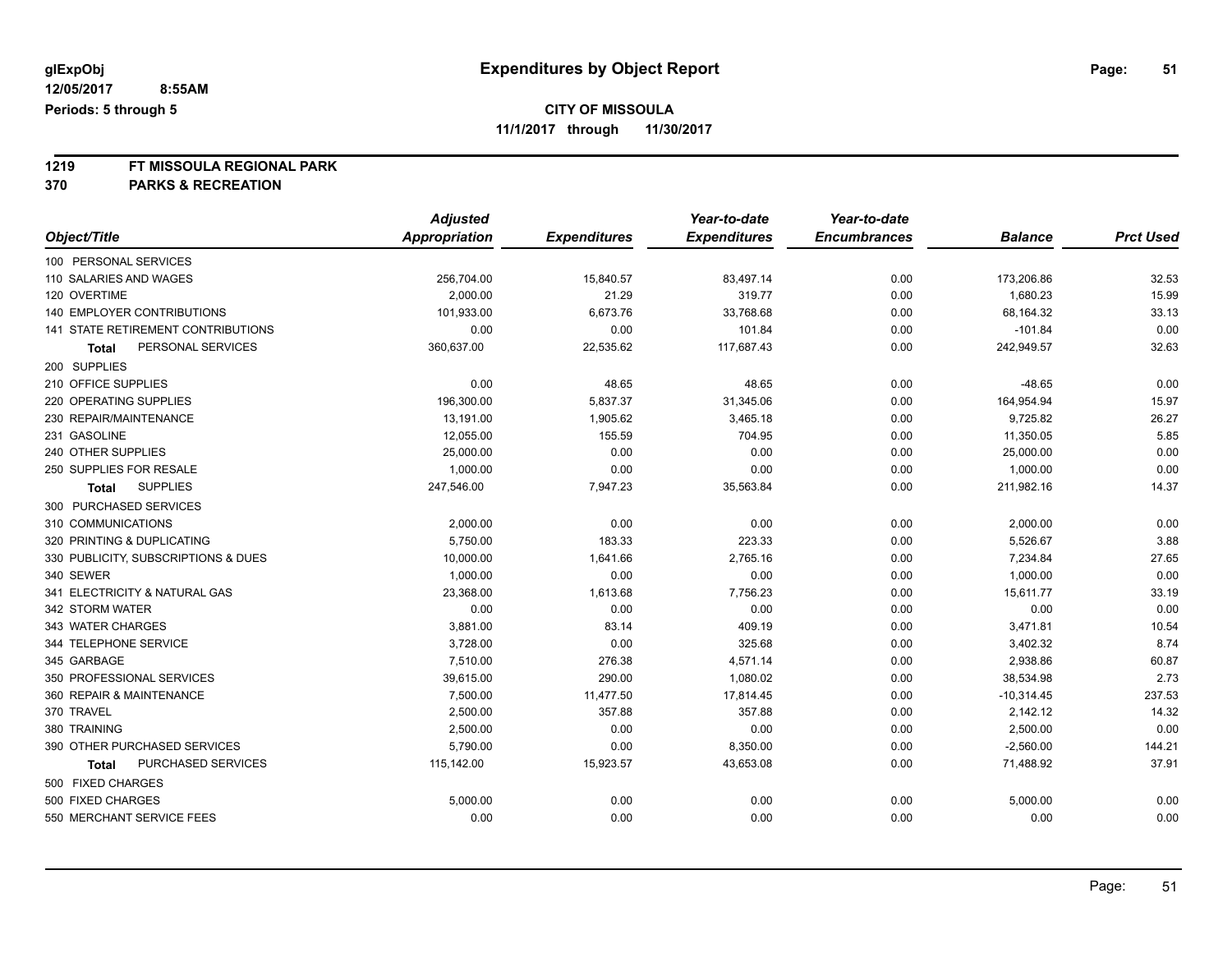### **CITY OF MISSOULA**

**11/1/2017 through 11/30/2017**

# **1219 FT MISSOULA REGIONAL PARK**

|                                     | <b>Adjusted</b> |                     | Year-to-date        | Year-to-date        |                |                  |
|-------------------------------------|-----------------|---------------------|---------------------|---------------------|----------------|------------------|
| Object/Title                        | Appropriation   | <b>Expenditures</b> | <b>Expenditures</b> | <b>Encumbrances</b> | <b>Balance</b> | <b>Prct Used</b> |
| 100 PERSONAL SERVICES               |                 |                     |                     |                     |                |                  |
| 110 SALARIES AND WAGES              | 256,704.00      | 15,840.57           | 83,497.14           | 0.00                | 173,206.86     | 32.53            |
| 120 OVERTIME                        | 2.000.00        | 21.29               | 319.77              | 0.00                | 1,680.23       | 15.99            |
| 140 EMPLOYER CONTRIBUTIONS          | 101,933.00      | 6,673.76            | 33,768.68           | 0.00                | 68,164.32      | 33.13            |
| 141 STATE RETIREMENT CONTRIBUTIONS  | 0.00            | 0.00                | 101.84              | 0.00                | $-101.84$      | 0.00             |
| PERSONAL SERVICES<br><b>Total</b>   | 360,637.00      | 22,535.62           | 117,687.43          | 0.00                | 242,949.57     | 32.63            |
| 200 SUPPLIES                        |                 |                     |                     |                     |                |                  |
| 210 OFFICE SUPPLIES                 | 0.00            | 48.65               | 48.65               | 0.00                | $-48.65$       | 0.00             |
| 220 OPERATING SUPPLIES              | 196,300.00      | 5,837.37            | 31,345.06           | 0.00                | 164,954.94     | 15.97            |
| 230 REPAIR/MAINTENANCE              | 13,191.00       | 1,905.62            | 3,465.18            | 0.00                | 9,725.82       | 26.27            |
| 231 GASOLINE                        | 12,055.00       | 155.59              | 704.95              | 0.00                | 11,350.05      | 5.85             |
| 240 OTHER SUPPLIES                  | 25,000.00       | 0.00                | 0.00                | 0.00                | 25,000.00      | 0.00             |
| 250 SUPPLIES FOR RESALE             | 1,000.00        | 0.00                | 0.00                | 0.00                | 1,000.00       | 0.00             |
| <b>SUPPLIES</b><br><b>Total</b>     | 247,546.00      | 7,947.23            | 35,563.84           | 0.00                | 211,982.16     | 14.37            |
| 300 PURCHASED SERVICES              |                 |                     |                     |                     |                |                  |
| 310 COMMUNICATIONS                  | 2,000.00        | 0.00                | 0.00                | 0.00                | 2,000.00       | 0.00             |
| 320 PRINTING & DUPLICATING          | 5,750.00        | 183.33              | 223.33              | 0.00                | 5,526.67       | 3.88             |
| 330 PUBLICITY, SUBSCRIPTIONS & DUES | 10,000.00       | 1,641.66            | 2,765.16            | 0.00                | 7,234.84       | 27.65            |
| 340 SEWER                           | 1,000.00        | 0.00                | 0.00                | 0.00                | 1,000.00       | 0.00             |
| 341 ELECTRICITY & NATURAL GAS       | 23,368.00       | 1,613.68            | 7,756.23            | 0.00                | 15,611.77      | 33.19            |
| 342 STORM WATER                     | 0.00            | 0.00                | 0.00                | 0.00                | 0.00           | 0.00             |
| 343 WATER CHARGES                   | 3,881.00        | 83.14               | 409.19              | 0.00                | 3,471.81       | 10.54            |
| 344 TELEPHONE SERVICE               | 3,728.00        | 0.00                | 325.68              | 0.00                | 3,402.32       | 8.74             |
| 345 GARBAGE                         | 7,510.00        | 276.38              | 4,571.14            | 0.00                | 2,938.86       | 60.87            |
| 350 PROFESSIONAL SERVICES           | 39,615.00       | 290.00              | 1,080.02            | 0.00                | 38,534.98      | 2.73             |
| 360 REPAIR & MAINTENANCE            | 7,500.00        | 11,477.50           | 17,814.45           | 0.00                | $-10,314.45$   | 237.53           |
| 370 TRAVEL                          | 2,500.00        | 357.88              | 357.88              | 0.00                | 2,142.12       | 14.32            |
| 380 TRAINING                        | 2,500.00        | 0.00                | 0.00                | 0.00                | 2,500.00       | 0.00             |
| 390 OTHER PURCHASED SERVICES        | 5,790.00        | 0.00                | 8,350.00            | 0.00                | $-2,560.00$    | 144.21           |
| PURCHASED SERVICES<br>Total         | 115,142.00      | 15,923.57           | 43,653.08           | 0.00                | 71,488.92      | 37.91            |
| 500 FIXED CHARGES                   |                 |                     |                     |                     |                |                  |
| 500 FIXED CHARGES                   | 5,000.00        | 0.00                | 0.00                | 0.00                | 5,000.00       | 0.00             |
| 550 MERCHANT SERVICE FEES           | 0.00            | 0.00                | 0.00                | 0.00                | 0.00           | 0.00             |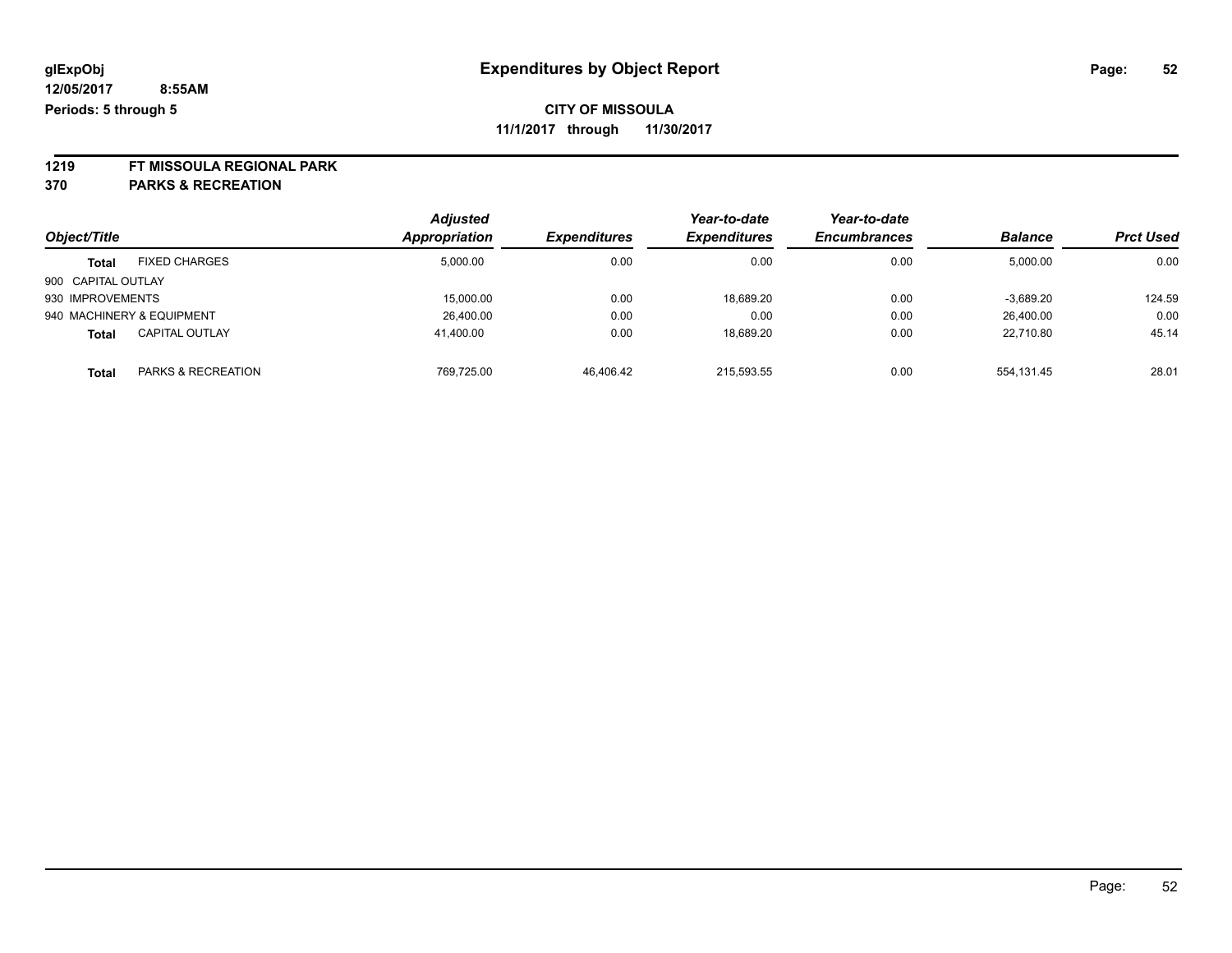**1219 FT MISSOULA REGIONAL PARK**

|                    |                           | <b>Adjusted</b> |                     | Year-to-date               | Year-to-date        |                |                  |
|--------------------|---------------------------|-----------------|---------------------|----------------------------|---------------------|----------------|------------------|
| Object/Title       |                           | Appropriation   | <b>Expenditures</b> | <i><b>Expenditures</b></i> | <b>Encumbrances</b> | <b>Balance</b> | <b>Prct Used</b> |
| <b>Total</b>       | <b>FIXED CHARGES</b>      | 5,000.00        | 0.00                | 0.00                       | 0.00                | 5,000.00       | 0.00             |
| 900 CAPITAL OUTLAY |                           |                 |                     |                            |                     |                |                  |
| 930 IMPROVEMENTS   |                           | 15,000.00       | 0.00                | 18,689.20                  | 0.00                | $-3,689.20$    | 124.59           |
|                    | 940 MACHINERY & EQUIPMENT | 26,400.00       | 0.00                | 0.00                       | 0.00                | 26,400.00      | 0.00             |
| <b>Total</b>       | <b>CAPITAL OUTLAY</b>     | 41.400.00       | 0.00                | 18,689.20                  | 0.00                | 22.710.80      | 45.14            |
| <b>Total</b>       | PARKS & RECREATION        | 769.725.00      | 46.406.42           | 215.593.55                 | 0.00                | 554.131.45     | 28.01            |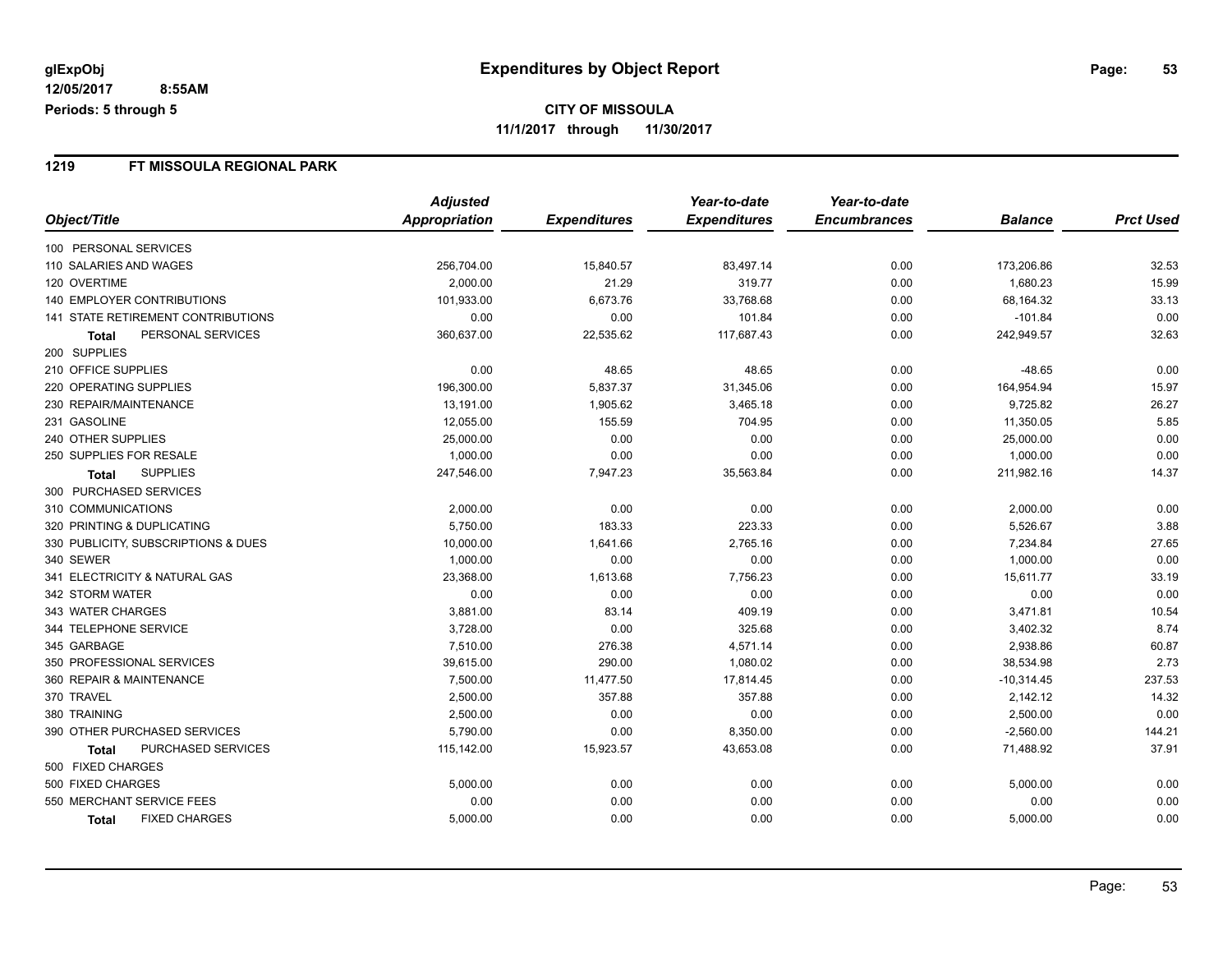#### **1219 FT MISSOULA REGIONAL PARK**

|                                           | <b>Adjusted</b> |                     | Year-to-date        | Year-to-date        |                |                  |
|-------------------------------------------|-----------------|---------------------|---------------------|---------------------|----------------|------------------|
| Object/Title                              | Appropriation   | <b>Expenditures</b> | <b>Expenditures</b> | <b>Encumbrances</b> | <b>Balance</b> | <b>Prct Used</b> |
| 100 PERSONAL SERVICES                     |                 |                     |                     |                     |                |                  |
| 110 SALARIES AND WAGES                    | 256,704.00      | 15,840.57           | 83,497.14           | 0.00                | 173,206.86     | 32.53            |
| 120 OVERTIME                              | 2,000.00        | 21.29               | 319.77              | 0.00                | 1,680.23       | 15.99            |
| <b>140 EMPLOYER CONTRIBUTIONS</b>         | 101,933.00      | 6,673.76            | 33,768.68           | 0.00                | 68,164.32      | 33.13            |
| <b>141 STATE RETIREMENT CONTRIBUTIONS</b> | 0.00            | 0.00                | 101.84              | 0.00                | $-101.84$      | 0.00             |
| PERSONAL SERVICES<br>Total                | 360,637.00      | 22,535.62           | 117,687.43          | 0.00                | 242,949.57     | 32.63            |
| 200 SUPPLIES                              |                 |                     |                     |                     |                |                  |
| 210 OFFICE SUPPLIES                       | 0.00            | 48.65               | 48.65               | 0.00                | $-48.65$       | 0.00             |
| 220 OPERATING SUPPLIES                    | 196,300.00      | 5,837.37            | 31,345.06           | 0.00                | 164,954.94     | 15.97            |
| 230 REPAIR/MAINTENANCE                    | 13,191.00       | 1,905.62            | 3,465.18            | 0.00                | 9,725.82       | 26.27            |
| 231 GASOLINE                              | 12,055.00       | 155.59              | 704.95              | 0.00                | 11,350.05      | 5.85             |
| 240 OTHER SUPPLIES                        | 25,000.00       | 0.00                | 0.00                | 0.00                | 25,000.00      | 0.00             |
| 250 SUPPLIES FOR RESALE                   | 1,000.00        | 0.00                | 0.00                | 0.00                | 1,000.00       | 0.00             |
| <b>SUPPLIES</b><br>Total                  | 247,546.00      | 7,947.23            | 35,563.84           | 0.00                | 211,982.16     | 14.37            |
| 300 PURCHASED SERVICES                    |                 |                     |                     |                     |                |                  |
| 310 COMMUNICATIONS                        | 2,000.00        | 0.00                | 0.00                | 0.00                | 2,000.00       | 0.00             |
| 320 PRINTING & DUPLICATING                | 5,750.00        | 183.33              | 223.33              | 0.00                | 5,526.67       | 3.88             |
| 330 PUBLICITY, SUBSCRIPTIONS & DUES       | 10,000.00       | 1,641.66            | 2,765.16            | 0.00                | 7,234.84       | 27.65            |
| 340 SEWER                                 | 1,000.00        | 0.00                | 0.00                | 0.00                | 1,000.00       | 0.00             |
| 341 ELECTRICITY & NATURAL GAS             | 23,368.00       | 1,613.68            | 7,756.23            | 0.00                | 15,611.77      | 33.19            |
| 342 STORM WATER                           | 0.00            | 0.00                | 0.00                | 0.00                | 0.00           | 0.00             |
| 343 WATER CHARGES                         | 3,881.00        | 83.14               | 409.19              | 0.00                | 3,471.81       | 10.54            |
| 344 TELEPHONE SERVICE                     | 3,728.00        | 0.00                | 325.68              | 0.00                | 3,402.32       | 8.74             |
| 345 GARBAGE                               | 7,510.00        | 276.38              | 4,571.14            | 0.00                | 2,938.86       | 60.87            |
| 350 PROFESSIONAL SERVICES                 | 39,615.00       | 290.00              | 1,080.02            | 0.00                | 38,534.98      | 2.73             |
| 360 REPAIR & MAINTENANCE                  | 7,500.00        | 11,477.50           | 17,814.45           | 0.00                | $-10,314.45$   | 237.53           |
| 370 TRAVEL                                | 2,500.00        | 357.88              | 357.88              | 0.00                | 2,142.12       | 14.32            |
| 380 TRAINING                              | 2,500.00        | 0.00                | 0.00                | 0.00                | 2,500.00       | 0.00             |
| 390 OTHER PURCHASED SERVICES              | 5,790.00        | 0.00                | 8,350.00            | 0.00                | $-2,560.00$    | 144.21           |
| PURCHASED SERVICES<br>Total               | 115,142.00      | 15,923.57           | 43,653.08           | 0.00                | 71,488.92      | 37.91            |
| 500 FIXED CHARGES                         |                 |                     |                     |                     |                |                  |
| 500 FIXED CHARGES                         | 5,000.00        | 0.00                | 0.00                | 0.00                | 5,000.00       | 0.00             |
| 550 MERCHANT SERVICE FEES                 | 0.00            | 0.00                | 0.00                | 0.00                | 0.00           | 0.00             |
| <b>FIXED CHARGES</b><br><b>Total</b>      | 5,000.00        | 0.00                | 0.00                | 0.00                | 5,000.00       | 0.00             |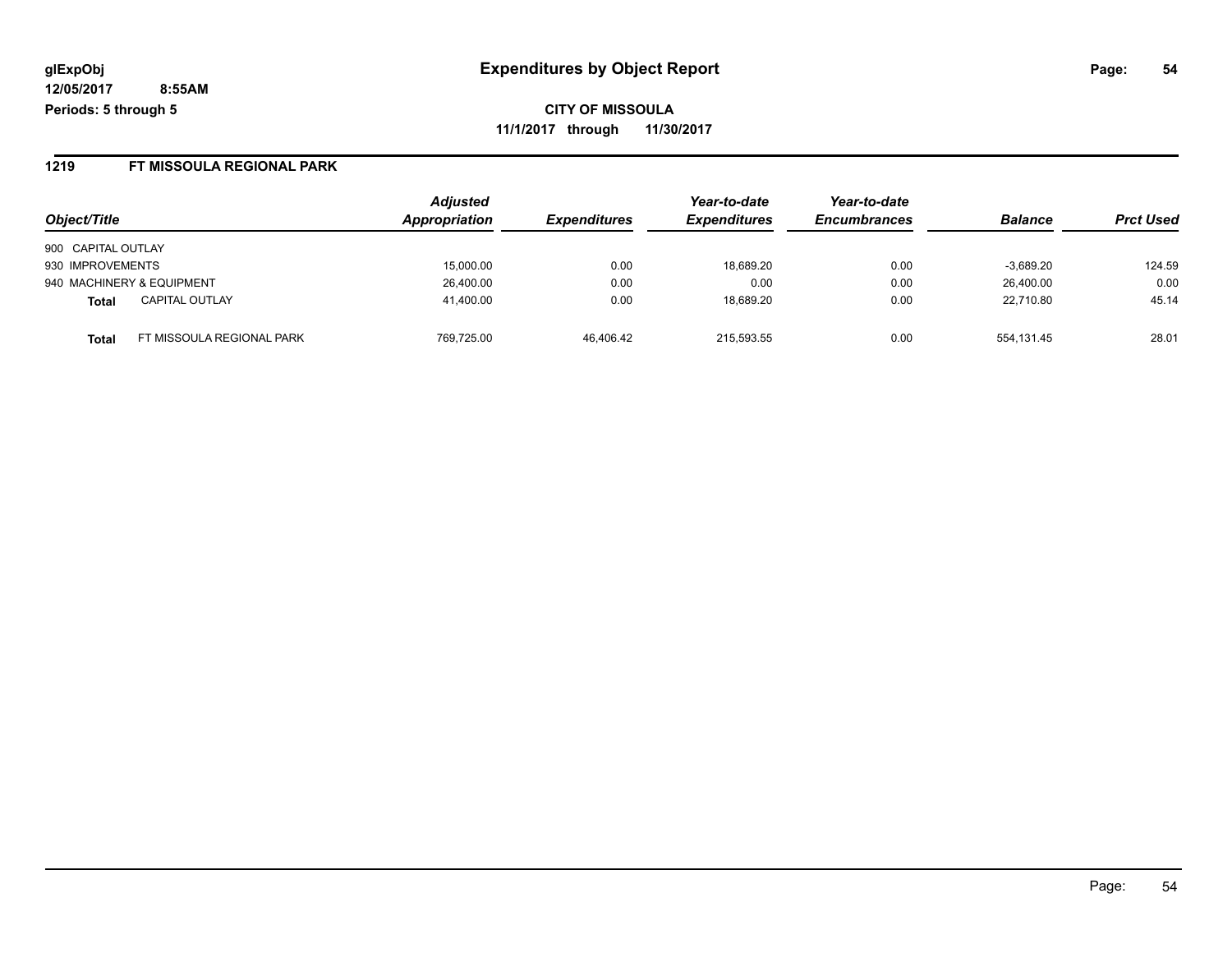**CITY OF MISSOULA 11/1/2017 through 11/30/2017**

#### **1219 FT MISSOULA REGIONAL PARK**

| Object/Title       |                           | <b>Adjusted</b><br>Appropriation | <b>Expenditures</b> | Year-to-date<br><b>Expenditures</b> | Year-to-date<br><b>Encumbrances</b> | <b>Balance</b> | <b>Prct Used</b> |
|--------------------|---------------------------|----------------------------------|---------------------|-------------------------------------|-------------------------------------|----------------|------------------|
| 900 CAPITAL OUTLAY |                           |                                  |                     |                                     |                                     |                |                  |
| 930 IMPROVEMENTS   |                           | 15,000.00                        | 0.00                | 18,689.20                           | 0.00                                | $-3,689.20$    | 124.59           |
|                    | 940 MACHINERY & EQUIPMENT | 26,400.00                        | 0.00                | 0.00                                | 0.00                                | 26,400.00      | 0.00             |
| <b>Total</b>       | <b>CAPITAL OUTLAY</b>     | 41,400.00                        | 0.00                | 18.689.20                           | 0.00                                | 22.710.80      | 45.14            |
| <b>Total</b>       | FT MISSOULA REGIONAL PARK | 769.725.00                       | 46.406.42           | 215.593.55                          | 0.00                                | 554.131.45     | 28.01            |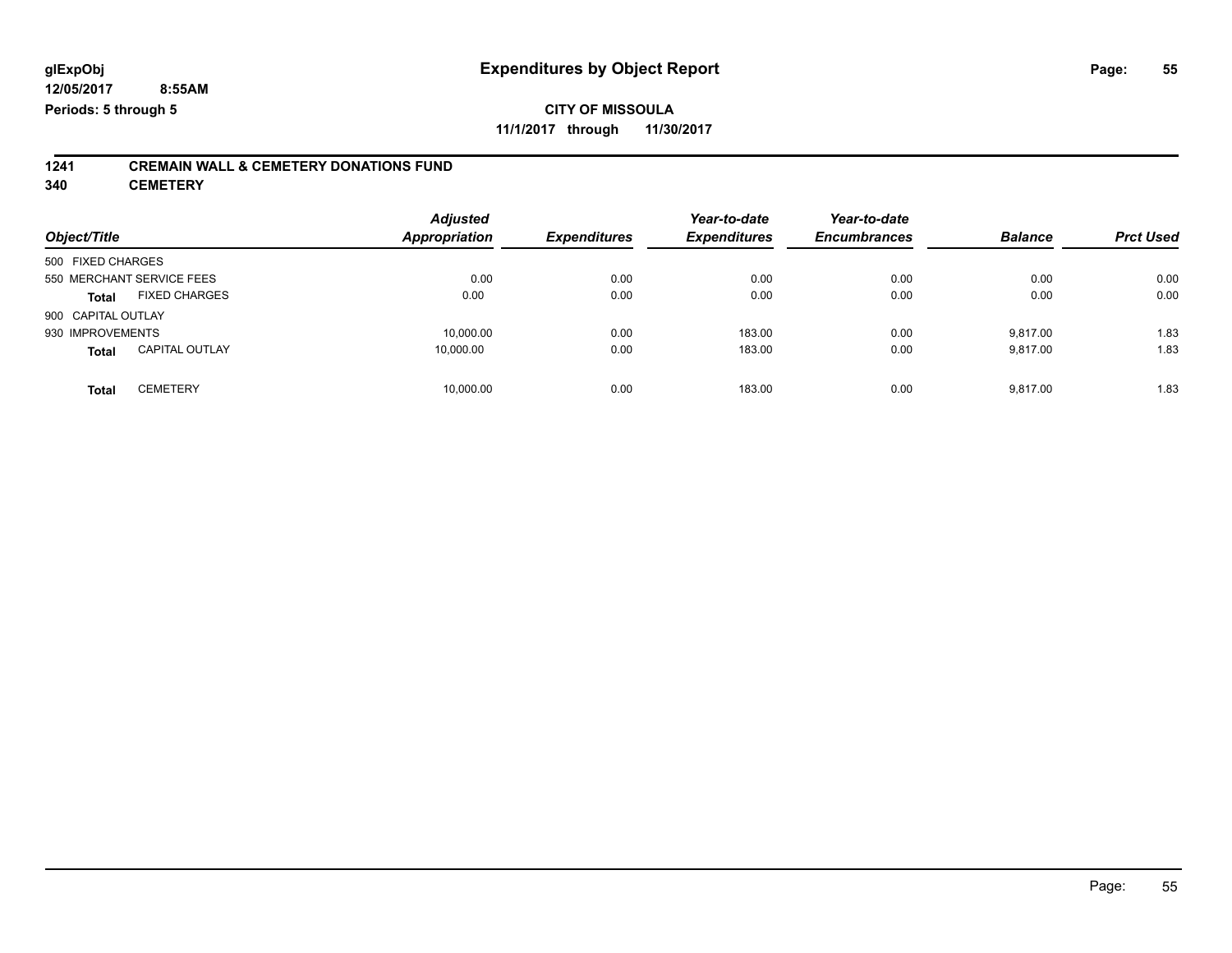**1241 CREMAIN WALL & CEMETERY DONATIONS FUND**

**340 CEMETERY**

| Object/Title              |                       | <b>Adjusted</b><br>Appropriation | <b>Expenditures</b> | Year-to-date<br><b>Expenditures</b> | Year-to-date<br><b>Encumbrances</b> | <b>Balance</b> | <b>Prct Used</b> |
|---------------------------|-----------------------|----------------------------------|---------------------|-------------------------------------|-------------------------------------|----------------|------------------|
| 500 FIXED CHARGES         |                       |                                  |                     |                                     |                                     |                |                  |
| 550 MERCHANT SERVICE FEES |                       | 0.00                             | 0.00                | 0.00                                | 0.00                                | 0.00           | 0.00             |
| <b>Total</b>              | <b>FIXED CHARGES</b>  | 0.00                             | 0.00                | 0.00                                | 0.00                                | 0.00           | 0.00             |
| 900 CAPITAL OUTLAY        |                       |                                  |                     |                                     |                                     |                |                  |
| 930 IMPROVEMENTS          |                       | 10,000.00                        | 0.00                | 183.00                              | 0.00                                | 9.817.00       | 1.83             |
| <b>Total</b>              | <b>CAPITAL OUTLAY</b> | 10.000.00                        | 0.00                | 183.00                              | 0.00                                | 9.817.00       | 1.83             |
| <b>Total</b>              | <b>CEMETERY</b>       | 10,000.00                        | 0.00                | 183.00                              | 0.00                                | 9.817.00       | 1.83             |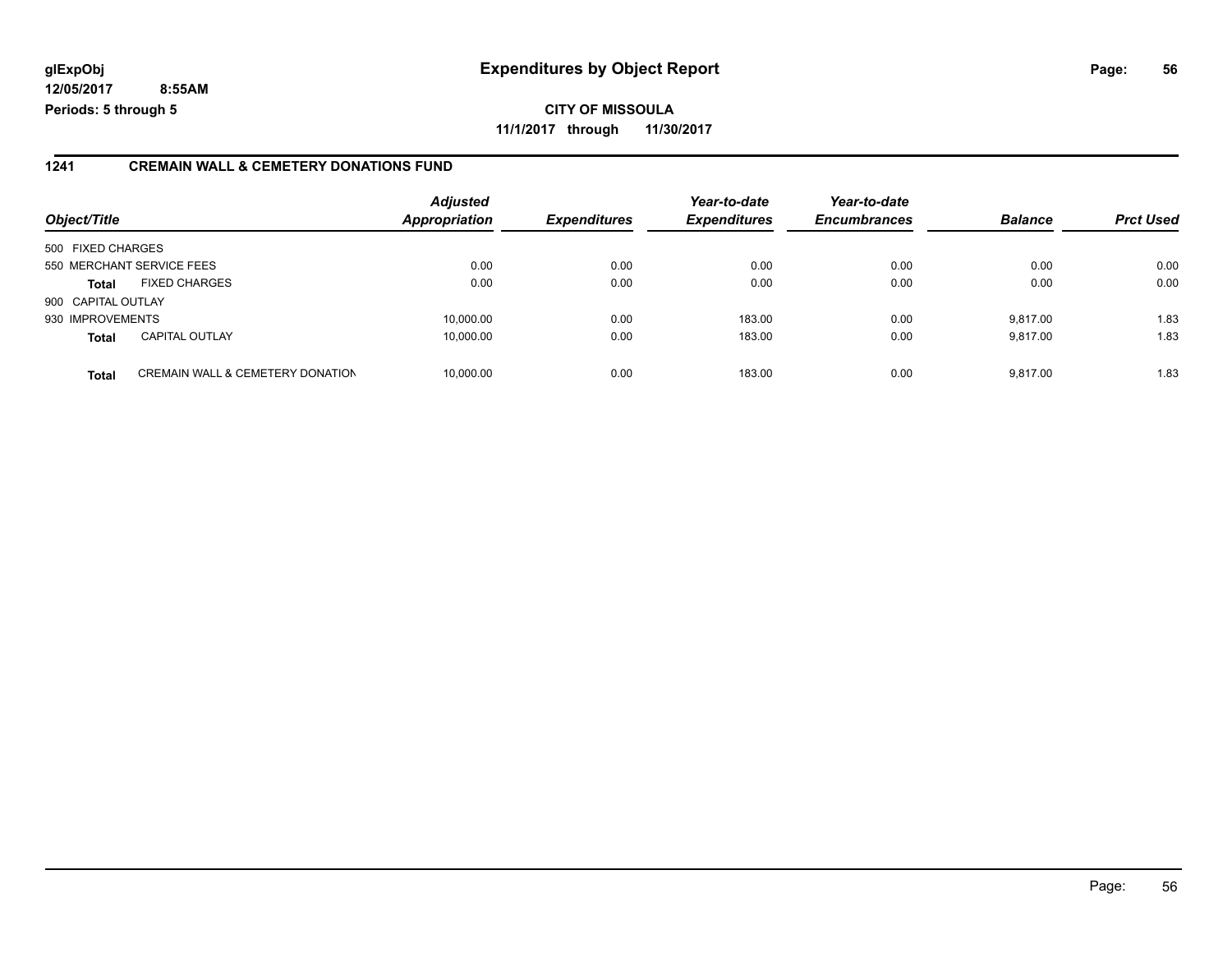#### **1241 CREMAIN WALL & CEMETERY DONATIONS FUND**

| Object/Title       |                                             | <b>Adjusted</b><br><b>Appropriation</b> | <b>Expenditures</b> | Year-to-date<br><b>Expenditures</b> | Year-to-date<br><b>Encumbrances</b> | <b>Balance</b> | <b>Prct Used</b> |
|--------------------|---------------------------------------------|-----------------------------------------|---------------------|-------------------------------------|-------------------------------------|----------------|------------------|
| 500 FIXED CHARGES  |                                             |                                         |                     |                                     |                                     |                |                  |
|                    | 550 MERCHANT SERVICE FEES                   | 0.00                                    | 0.00                | 0.00                                | 0.00                                | 0.00           | 0.00             |
| <b>Total</b>       | <b>FIXED CHARGES</b>                        | 0.00                                    | 0.00                | 0.00                                | 0.00                                | 0.00           | 0.00             |
| 900 CAPITAL OUTLAY |                                             |                                         |                     |                                     |                                     |                |                  |
| 930 IMPROVEMENTS   |                                             | 10,000.00                               | 0.00                | 183.00                              | 0.00                                | 9.817.00       | 1.83             |
| <b>Total</b>       | <b>CAPITAL OUTLAY</b>                       | 10.000.00                               | 0.00                | 183.00                              | 0.00                                | 9.817.00       | 1.83             |
| <b>Total</b>       | <b>CREMAIN WALL &amp; CEMETERY DONATION</b> | 10,000.00                               | 0.00                | 183.00                              | 0.00                                | 9.817.00       | 1.83             |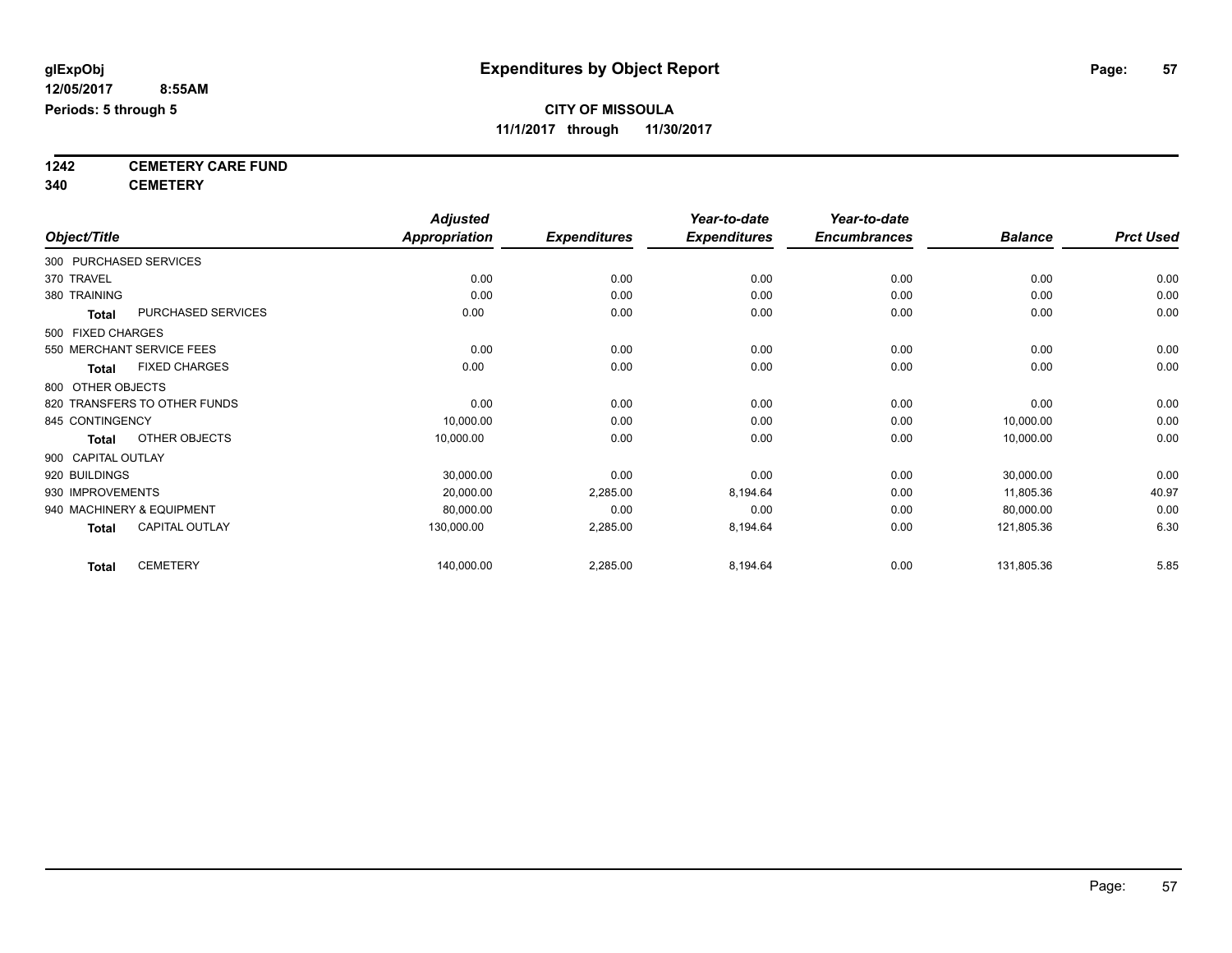**1242 CEMETERY CARE FUND**

**340 CEMETERY**

|                                       | <b>Adjusted</b>      |                     | Year-to-date        | Year-to-date        |                |                  |
|---------------------------------------|----------------------|---------------------|---------------------|---------------------|----------------|------------------|
| Object/Title                          | <b>Appropriation</b> | <b>Expenditures</b> | <b>Expenditures</b> | <b>Encumbrances</b> | <b>Balance</b> | <b>Prct Used</b> |
| 300 PURCHASED SERVICES                |                      |                     |                     |                     |                |                  |
| 370 TRAVEL                            | 0.00                 | 0.00                | 0.00                | 0.00                | 0.00           | 0.00             |
| 380 TRAINING                          | 0.00                 | 0.00                | 0.00                | 0.00                | 0.00           | 0.00             |
| PURCHASED SERVICES<br><b>Total</b>    | 0.00                 | 0.00                | 0.00                | 0.00                | 0.00           | 0.00             |
| 500 FIXED CHARGES                     |                      |                     |                     |                     |                |                  |
| 550 MERCHANT SERVICE FEES             | 0.00                 | 0.00                | 0.00                | 0.00                | 0.00           | 0.00             |
| <b>FIXED CHARGES</b><br><b>Total</b>  | 0.00                 | 0.00                | 0.00                | 0.00                | 0.00           | 0.00             |
| 800 OTHER OBJECTS                     |                      |                     |                     |                     |                |                  |
| 820 TRANSFERS TO OTHER FUNDS          | 0.00                 | 0.00                | 0.00                | 0.00                | 0.00           | 0.00             |
| 845 CONTINGENCY                       | 10,000.00            | 0.00                | 0.00                | 0.00                | 10,000.00      | 0.00             |
| OTHER OBJECTS<br><b>Total</b>         | 10,000.00            | 0.00                | 0.00                | 0.00                | 10,000.00      | 0.00             |
| 900 CAPITAL OUTLAY                    |                      |                     |                     |                     |                |                  |
| 920 BUILDINGS                         | 30,000.00            | 0.00                | 0.00                | 0.00                | 30,000.00      | 0.00             |
| 930 IMPROVEMENTS                      | 20,000.00            | 2,285.00            | 8,194.64            | 0.00                | 11,805.36      | 40.97            |
| 940 MACHINERY & EQUIPMENT             | 80,000.00            | 0.00                | 0.00                | 0.00                | 80,000.00      | 0.00             |
| <b>CAPITAL OUTLAY</b><br><b>Total</b> | 130,000.00           | 2,285.00            | 8,194.64            | 0.00                | 121,805.36     | 6.30             |
| <b>CEMETERY</b><br><b>Total</b>       | 140,000.00           | 2,285.00            | 8,194.64            | 0.00                | 131,805.36     | 5.85             |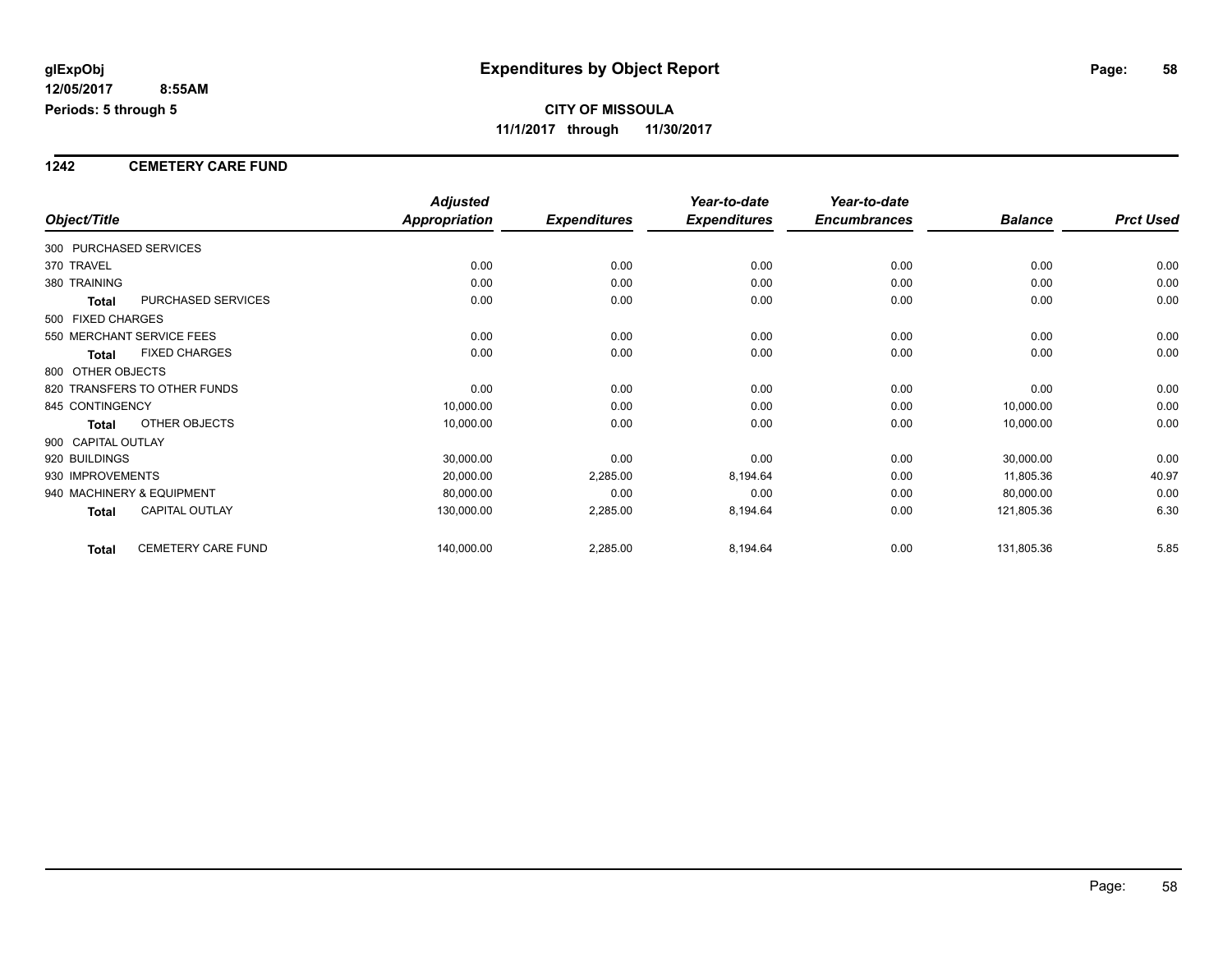#### **1242 CEMETERY CARE FUND**

|                                           | <b>Adjusted</b>      |                     | Year-to-date        | Year-to-date        |                |                  |
|-------------------------------------------|----------------------|---------------------|---------------------|---------------------|----------------|------------------|
| Object/Title                              | <b>Appropriation</b> | <b>Expenditures</b> | <b>Expenditures</b> | <b>Encumbrances</b> | <b>Balance</b> | <b>Prct Used</b> |
| 300 PURCHASED SERVICES                    |                      |                     |                     |                     |                |                  |
| 370 TRAVEL                                | 0.00                 | 0.00                | 0.00                | 0.00                | 0.00           | 0.00             |
| 380 TRAINING                              | 0.00                 | 0.00                | 0.00                | 0.00                | 0.00           | 0.00             |
| PURCHASED SERVICES<br>Total               | 0.00                 | 0.00                | 0.00                | 0.00                | 0.00           | 0.00             |
| 500 FIXED CHARGES                         |                      |                     |                     |                     |                |                  |
| 550 MERCHANT SERVICE FEES                 | 0.00                 | 0.00                | 0.00                | 0.00                | 0.00           | 0.00             |
| <b>FIXED CHARGES</b><br><b>Total</b>      | 0.00                 | 0.00                | 0.00                | 0.00                | 0.00           | 0.00             |
| 800 OTHER OBJECTS                         |                      |                     |                     |                     |                |                  |
| 820 TRANSFERS TO OTHER FUNDS              | 0.00                 | 0.00                | 0.00                | 0.00                | 0.00           | 0.00             |
| 845 CONTINGENCY                           | 10,000.00            | 0.00                | 0.00                | 0.00                | 10,000.00      | 0.00             |
| <b>OTHER OBJECTS</b><br>Total             | 10,000.00            | 0.00                | 0.00                | 0.00                | 10,000.00      | 0.00             |
| 900 CAPITAL OUTLAY                        |                      |                     |                     |                     |                |                  |
| 920 BUILDINGS                             | 30,000.00            | 0.00                | 0.00                | 0.00                | 30,000.00      | 0.00             |
| 930 IMPROVEMENTS                          | 20,000.00            | 2,285.00            | 8,194.64            | 0.00                | 11,805.36      | 40.97            |
| 940 MACHINERY & EQUIPMENT                 | 80,000.00            | 0.00                | 0.00                | 0.00                | 80,000.00      | 0.00             |
| <b>CAPITAL OUTLAY</b><br>Total            | 130,000.00           | 2,285.00            | 8,194.64            | 0.00                | 121,805.36     | 6.30             |
| <b>CEMETERY CARE FUND</b><br><b>Total</b> | 140,000.00           | 2,285.00            | 8,194.64            | 0.00                | 131,805.36     | 5.85             |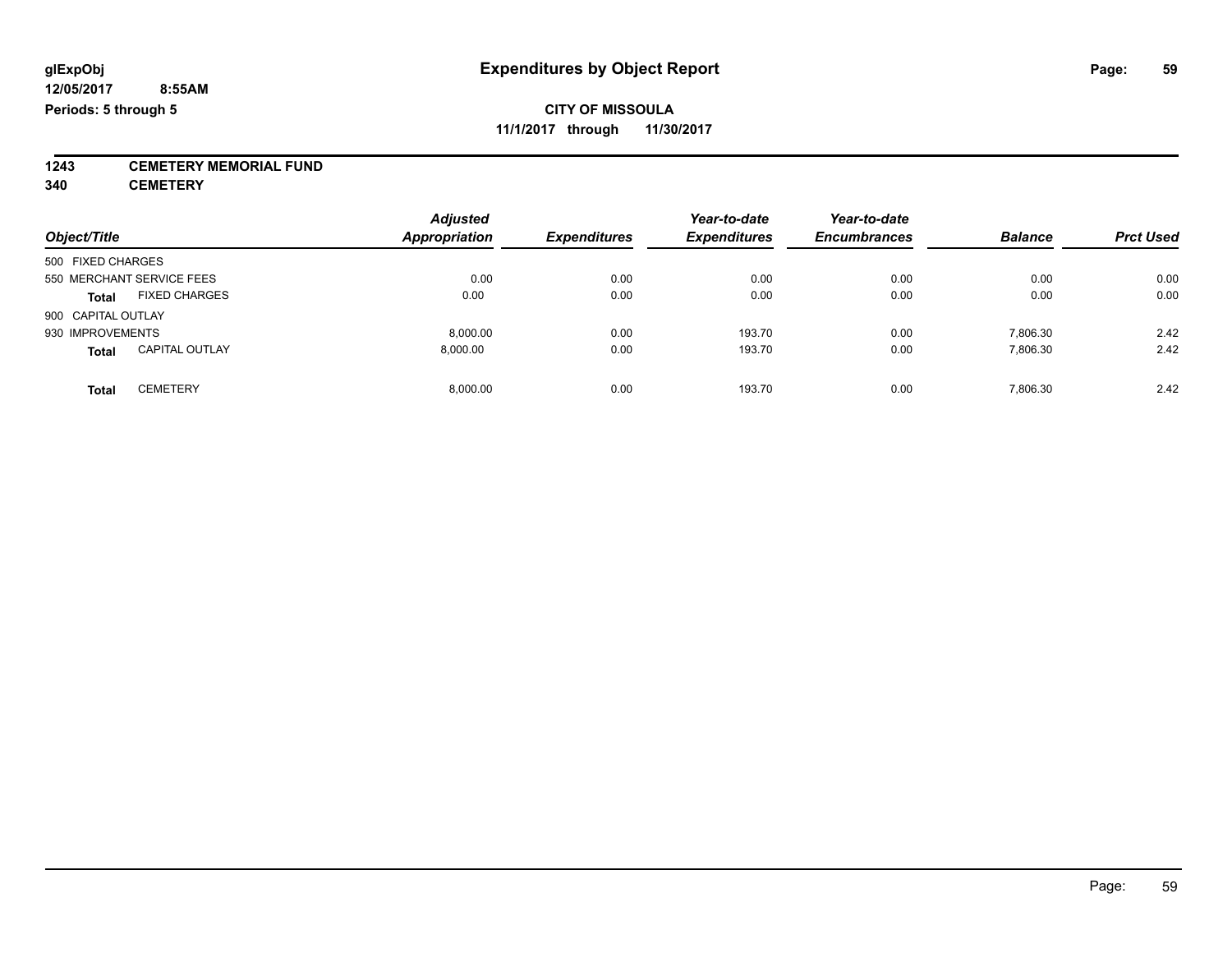**1243 CEMETERY MEMORIAL FUND**

**340 CEMETERY**

| Object/Title                          | <b>Adjusted</b><br><b>Appropriation</b> | <b>Expenditures</b> | Year-to-date<br><b>Expenditures</b> | Year-to-date<br><b>Encumbrances</b> | <b>Balance</b> | <b>Prct Used</b> |
|---------------------------------------|-----------------------------------------|---------------------|-------------------------------------|-------------------------------------|----------------|------------------|
| 500 FIXED CHARGES                     |                                         |                     |                                     |                                     |                |                  |
| 550 MERCHANT SERVICE FEES             | 0.00                                    | 0.00                | 0.00                                | 0.00                                | 0.00           | 0.00             |
| <b>FIXED CHARGES</b><br><b>Total</b>  | 0.00                                    | 0.00                | 0.00                                | 0.00                                | 0.00           | 0.00             |
| 900 CAPITAL OUTLAY                    |                                         |                     |                                     |                                     |                |                  |
| 930 IMPROVEMENTS                      | 8.000.00                                | 0.00                | 193.70                              | 0.00                                | 7,806.30       | 2.42             |
| <b>CAPITAL OUTLAY</b><br><b>Total</b> | 8.000.00                                | 0.00                | 193.70                              | 0.00                                | 7,806.30       | 2.42             |
| <b>CEMETERY</b><br>Total              | 8.000.00                                | 0.00                | 193.70                              | 0.00                                | 7.806.30       | 2.42             |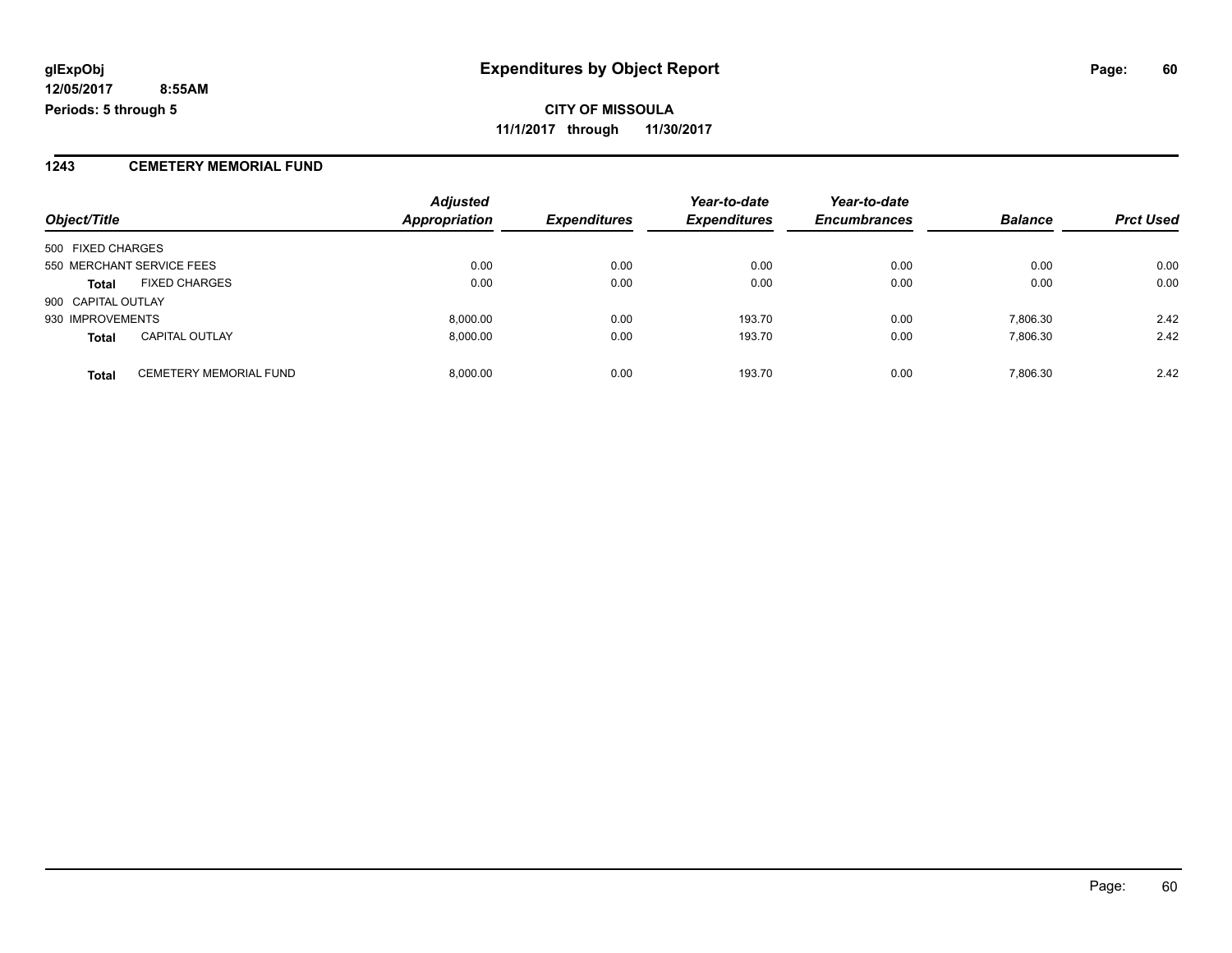**CITY OF MISSOULA 11/1/2017 through 11/30/2017**

#### **1243 CEMETERY MEMORIAL FUND**

| Object/Title       |                               | <b>Adjusted</b><br><b>Appropriation</b> | <b>Expenditures</b> | Year-to-date<br><b>Expenditures</b> | Year-to-date<br><b>Encumbrances</b> | <b>Balance</b> | <b>Prct Used</b> |
|--------------------|-------------------------------|-----------------------------------------|---------------------|-------------------------------------|-------------------------------------|----------------|------------------|
|                    |                               |                                         |                     |                                     |                                     |                |                  |
| 500 FIXED CHARGES  |                               |                                         |                     |                                     |                                     |                |                  |
|                    | 550 MERCHANT SERVICE FEES     | 0.00                                    | 0.00                | 0.00                                | 0.00                                | 0.00           | 0.00             |
| <b>Total</b>       | <b>FIXED CHARGES</b>          | 0.00                                    | 0.00                | 0.00                                | 0.00                                | 0.00           | 0.00             |
| 900 CAPITAL OUTLAY |                               |                                         |                     |                                     |                                     |                |                  |
| 930 IMPROVEMENTS   |                               | 8,000.00                                | 0.00                | 193.70                              | 0.00                                | 7,806.30       | 2.42             |
| <b>Total</b>       | <b>CAPITAL OUTLAY</b>         | 8.000.00                                | 0.00                | 193.70                              | 0.00                                | 7.806.30       | 2.42             |
| <b>Total</b>       | <b>CEMETERY MEMORIAL FUND</b> | 8,000.00                                | 0.00                | 193.70                              | 0.00                                | 7,806.30       | 2.42             |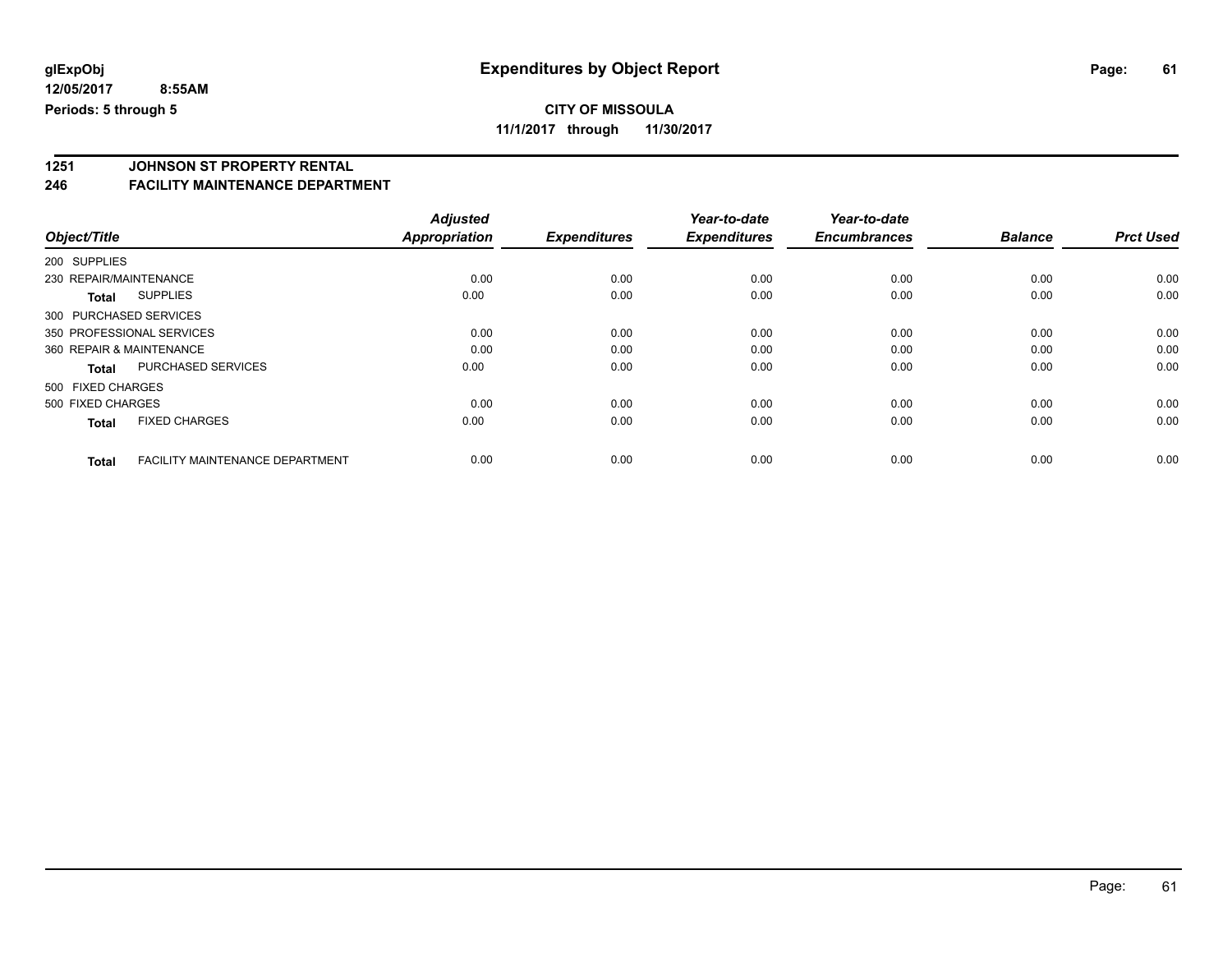## **CITY OF MISSOULA**

**11/1/2017 through 11/30/2017**

# **1251 JOHNSON ST PROPERTY RENTAL**

#### **246 FACILITY MAINTENANCE DEPARTMENT**

|                          |                                        | <b>Adjusted</b>      |                     | Year-to-date        | Year-to-date        |                |                  |
|--------------------------|----------------------------------------|----------------------|---------------------|---------------------|---------------------|----------------|------------------|
| Object/Title             |                                        | <b>Appropriation</b> | <b>Expenditures</b> | <b>Expenditures</b> | <b>Encumbrances</b> | <b>Balance</b> | <b>Prct Used</b> |
| 200 SUPPLIES             |                                        |                      |                     |                     |                     |                |                  |
| 230 REPAIR/MAINTENANCE   |                                        | 0.00                 | 0.00                | 0.00                | 0.00                | 0.00           | 0.00             |
| <b>Total</b>             | <b>SUPPLIES</b>                        | 0.00                 | 0.00                | 0.00                | 0.00                | 0.00           | 0.00             |
| 300 PURCHASED SERVICES   |                                        |                      |                     |                     |                     |                |                  |
|                          | 350 PROFESSIONAL SERVICES              | 0.00                 | 0.00                | 0.00                | 0.00                | 0.00           | 0.00             |
| 360 REPAIR & MAINTENANCE |                                        | 0.00                 | 0.00                | 0.00                | 0.00                | 0.00           | 0.00             |
| <b>Total</b>             | <b>PURCHASED SERVICES</b>              | 0.00                 | 0.00                | 0.00                | 0.00                | 0.00           | 0.00             |
| 500 FIXED CHARGES        |                                        |                      |                     |                     |                     |                |                  |
| 500 FIXED CHARGES        |                                        | 0.00                 | 0.00                | 0.00                | 0.00                | 0.00           | 0.00             |
| <b>Total</b>             | <b>FIXED CHARGES</b>                   | 0.00                 | 0.00                | 0.00                | 0.00                | 0.00           | 0.00             |
|                          |                                        |                      |                     |                     |                     |                |                  |
| <b>Total</b>             | <b>FACILITY MAINTENANCE DEPARTMENT</b> | 0.00                 | 0.00                | 0.00                | 0.00                | 0.00           | 0.00             |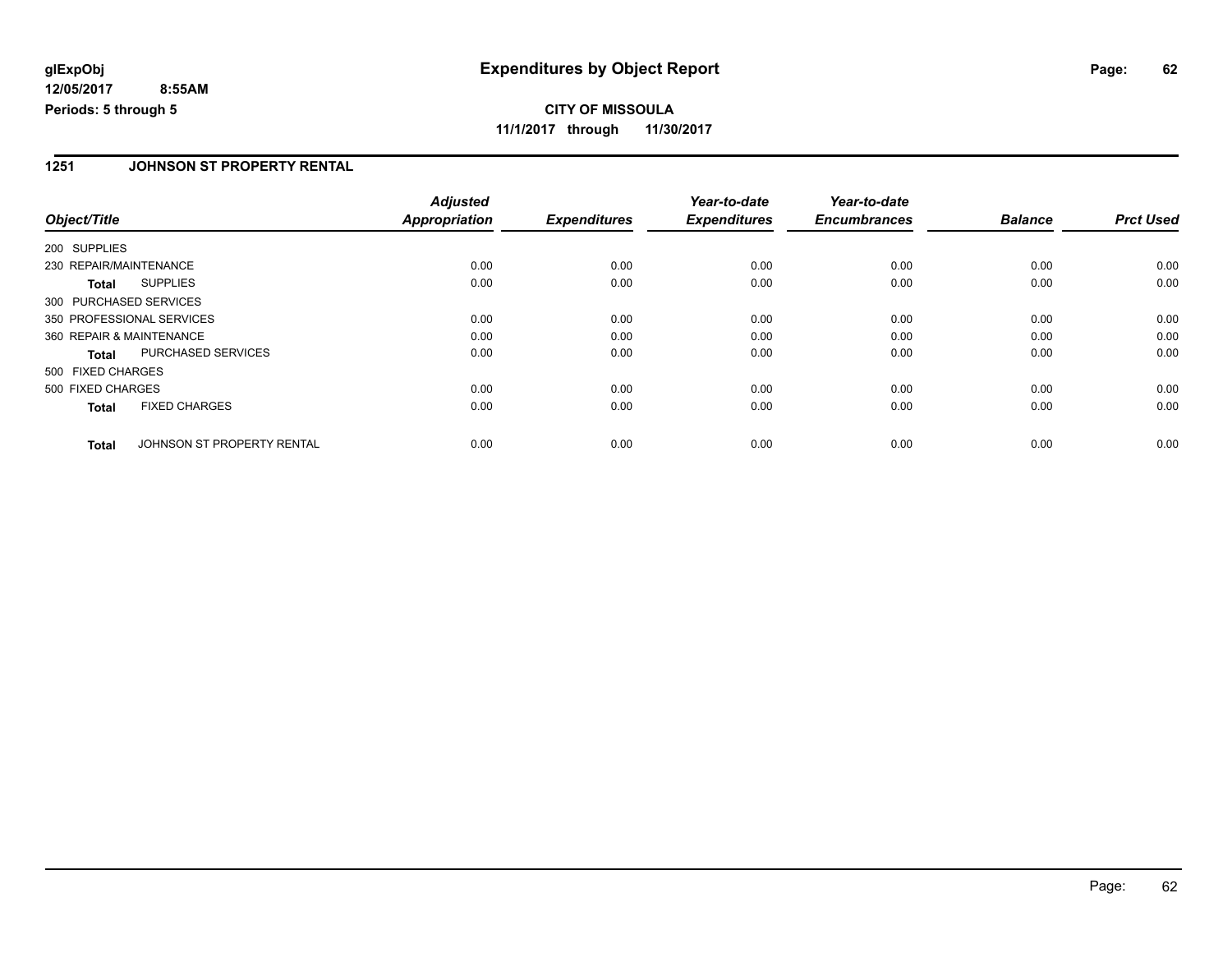**CITY OF MISSOULA 11/1/2017 through 11/30/2017**

#### **1251 JOHNSON ST PROPERTY RENTAL**

|                        |                            | <b>Adjusted</b>      |                     | Year-to-date        | Year-to-date        |                |                  |
|------------------------|----------------------------|----------------------|---------------------|---------------------|---------------------|----------------|------------------|
| Object/Title           |                            | <b>Appropriation</b> | <b>Expenditures</b> | <b>Expenditures</b> | <b>Encumbrances</b> | <b>Balance</b> | <b>Prct Used</b> |
| 200 SUPPLIES           |                            |                      |                     |                     |                     |                |                  |
| 230 REPAIR/MAINTENANCE |                            | 0.00                 | 0.00                | 0.00                | 0.00                | 0.00           | 0.00             |
| <b>Total</b>           | <b>SUPPLIES</b>            | 0.00                 | 0.00                | 0.00                | 0.00                | 0.00           | 0.00             |
| 300 PURCHASED SERVICES |                            |                      |                     |                     |                     |                |                  |
|                        | 350 PROFESSIONAL SERVICES  | 0.00                 | 0.00                | 0.00                | 0.00                | 0.00           | 0.00             |
|                        | 360 REPAIR & MAINTENANCE   | 0.00                 | 0.00                | 0.00                | 0.00                | 0.00           | 0.00             |
| Total                  | PURCHASED SERVICES         | 0.00                 | 0.00                | 0.00                | 0.00                | 0.00           | 0.00             |
| 500 FIXED CHARGES      |                            |                      |                     |                     |                     |                |                  |
| 500 FIXED CHARGES      |                            | 0.00                 | 0.00                | 0.00                | 0.00                | 0.00           | 0.00             |
| <b>Total</b>           | <b>FIXED CHARGES</b>       | 0.00                 | 0.00                | 0.00                | 0.00                | 0.00           | 0.00             |
| <b>Total</b>           | JOHNSON ST PROPERTY RENTAL | 0.00                 | 0.00                | 0.00                | 0.00                | 0.00           | 0.00             |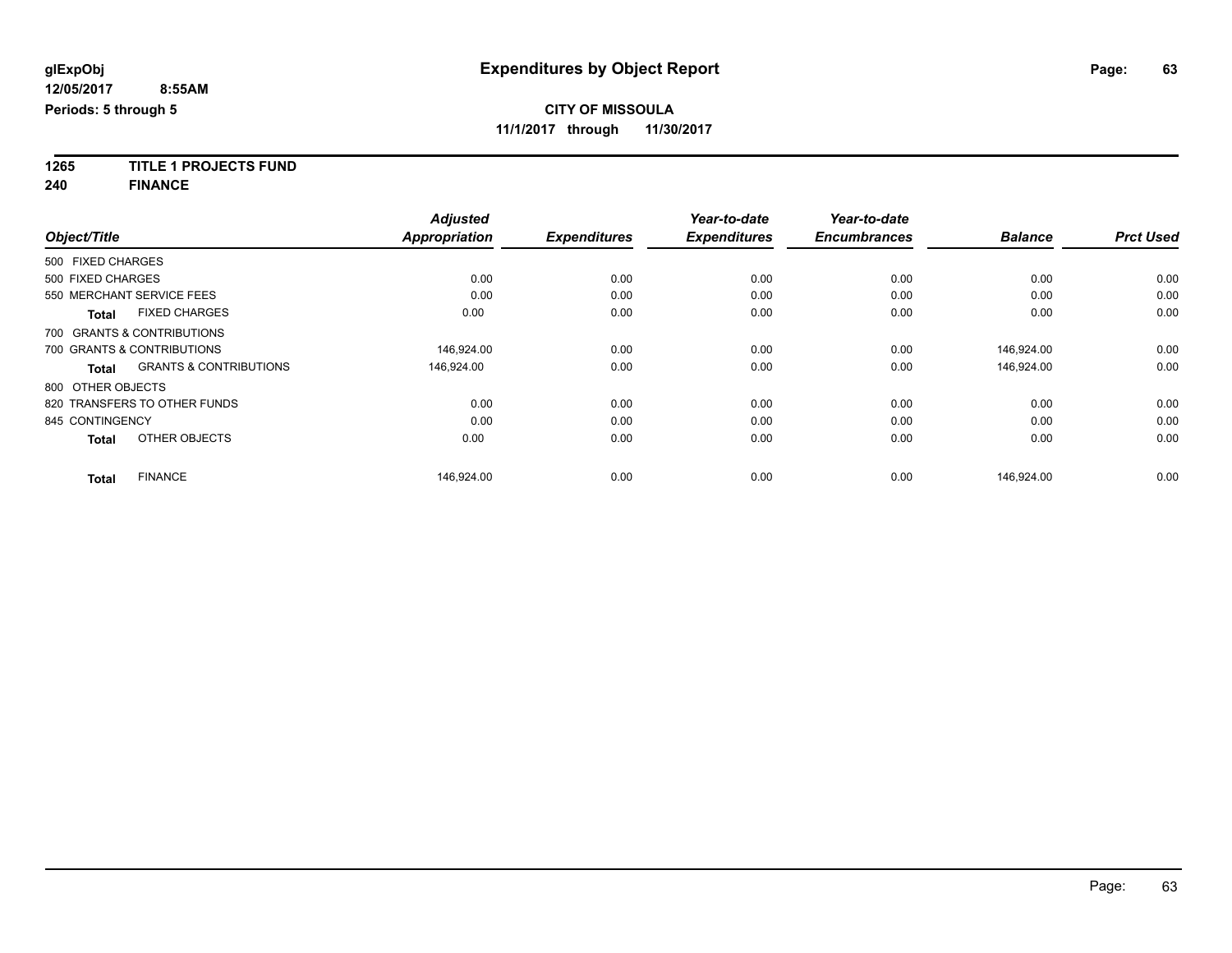**1265 TITLE 1 PROJECTS FUND**

**240 FINANCE**

|                   |                                   | <b>Adjusted</b>      |                     | Year-to-date        | Year-to-date        |                |                  |
|-------------------|-----------------------------------|----------------------|---------------------|---------------------|---------------------|----------------|------------------|
| Object/Title      |                                   | <b>Appropriation</b> | <b>Expenditures</b> | <b>Expenditures</b> | <b>Encumbrances</b> | <b>Balance</b> | <b>Prct Used</b> |
| 500 FIXED CHARGES |                                   |                      |                     |                     |                     |                |                  |
| 500 FIXED CHARGES |                                   | 0.00                 | 0.00                | 0.00                | 0.00                | 0.00           | 0.00             |
|                   | 550 MERCHANT SERVICE FEES         | 0.00                 | 0.00                | 0.00                | 0.00                | 0.00           | 0.00             |
| <b>Total</b>      | <b>FIXED CHARGES</b>              | 0.00                 | 0.00                | 0.00                | 0.00                | 0.00           | 0.00             |
|                   | 700 GRANTS & CONTRIBUTIONS        |                      |                     |                     |                     |                |                  |
|                   | 700 GRANTS & CONTRIBUTIONS        | 146,924.00           | 0.00                | 0.00                | 0.00                | 146,924.00     | 0.00             |
| <b>Total</b>      | <b>GRANTS &amp; CONTRIBUTIONS</b> | 146,924.00           | 0.00                | 0.00                | 0.00                | 146,924.00     | 0.00             |
| 800 OTHER OBJECTS |                                   |                      |                     |                     |                     |                |                  |
|                   | 820 TRANSFERS TO OTHER FUNDS      | 0.00                 | 0.00                | 0.00                | 0.00                | 0.00           | 0.00             |
| 845 CONTINGENCY   |                                   | 0.00                 | 0.00                | 0.00                | 0.00                | 0.00           | 0.00             |
| <b>Total</b>      | OTHER OBJECTS                     | 0.00                 | 0.00                | 0.00                | 0.00                | 0.00           | 0.00             |
| <b>Total</b>      | <b>FINANCE</b>                    | 146,924.00           | 0.00                | 0.00                | 0.00                | 146.924.00     | 0.00             |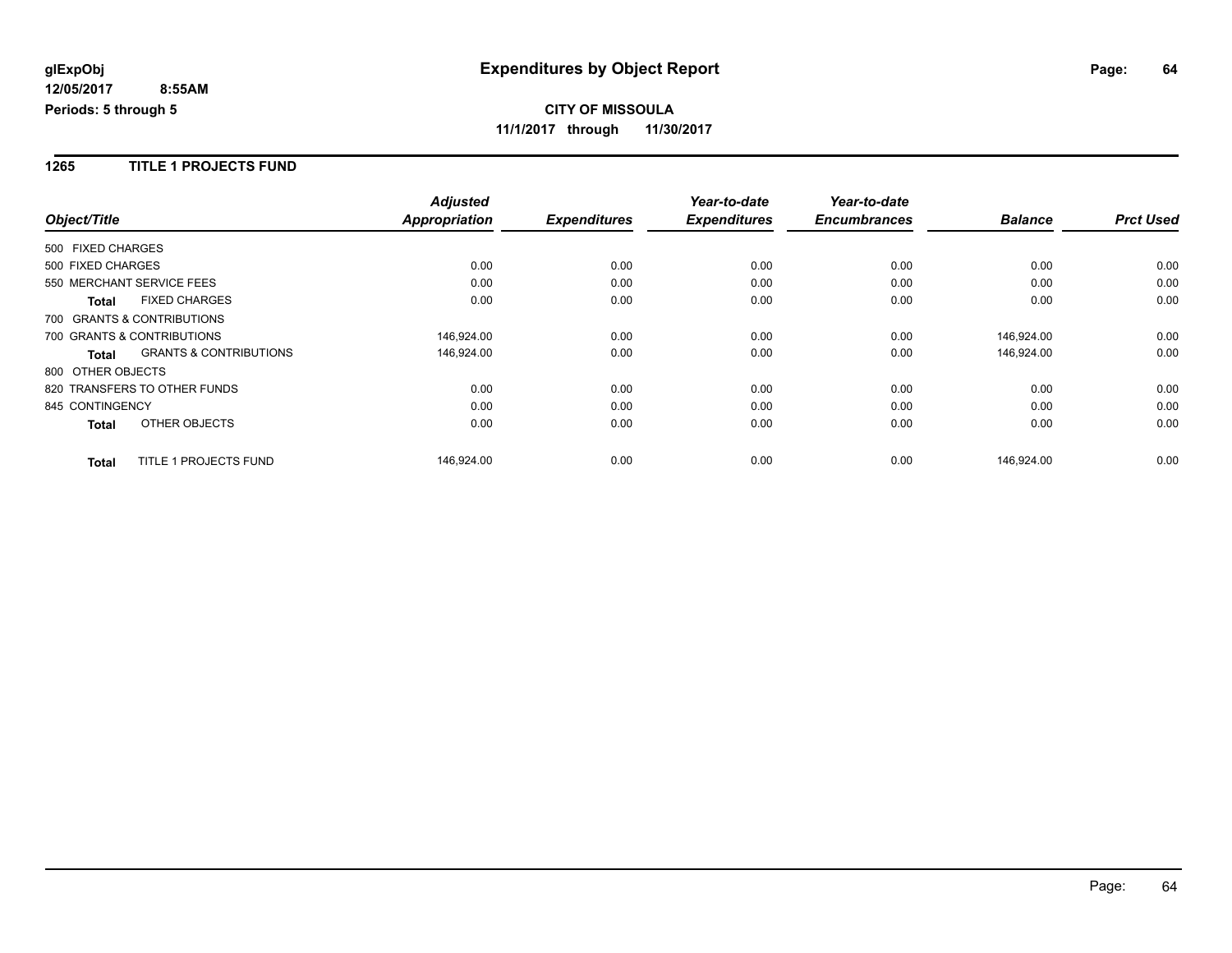#### **1265 TITLE 1 PROJECTS FUND**

|                              |                                   | <b>Adjusted</b>      |                     | Year-to-date        | Year-to-date        |                |                  |
|------------------------------|-----------------------------------|----------------------|---------------------|---------------------|---------------------|----------------|------------------|
| Object/Title                 |                                   | <b>Appropriation</b> | <b>Expenditures</b> | <b>Expenditures</b> | <b>Encumbrances</b> | <b>Balance</b> | <b>Prct Used</b> |
| 500 FIXED CHARGES            |                                   |                      |                     |                     |                     |                |                  |
| 500 FIXED CHARGES            |                                   | 0.00                 | 0.00                | 0.00                | 0.00                | 0.00           | 0.00             |
| 550 MERCHANT SERVICE FEES    |                                   | 0.00                 | 0.00                | 0.00                | 0.00                | 0.00           | 0.00             |
| <b>Total</b>                 | <b>FIXED CHARGES</b>              | 0.00                 | 0.00                | 0.00                | 0.00                | 0.00           | 0.00             |
| 700 GRANTS & CONTRIBUTIONS   |                                   |                      |                     |                     |                     |                |                  |
| 700 GRANTS & CONTRIBUTIONS   |                                   | 146,924.00           | 0.00                | 0.00                | 0.00                | 146,924.00     | 0.00             |
| <b>Total</b>                 | <b>GRANTS &amp; CONTRIBUTIONS</b> | 146,924.00           | 0.00                | 0.00                | 0.00                | 146,924.00     | 0.00             |
| 800 OTHER OBJECTS            |                                   |                      |                     |                     |                     |                |                  |
| 820 TRANSFERS TO OTHER FUNDS |                                   | 0.00                 | 0.00                | 0.00                | 0.00                | 0.00           | 0.00             |
| 845 CONTINGENCY              |                                   | 0.00                 | 0.00                | 0.00                | 0.00                | 0.00           | 0.00             |
| <b>Total</b>                 | OTHER OBJECTS                     | 0.00                 | 0.00                | 0.00                | 0.00                | 0.00           | 0.00             |
| <b>Total</b>                 | TITLE 1 PROJECTS FUND             | 146,924.00           | 0.00                | 0.00                | 0.00                | 146,924.00     | 0.00             |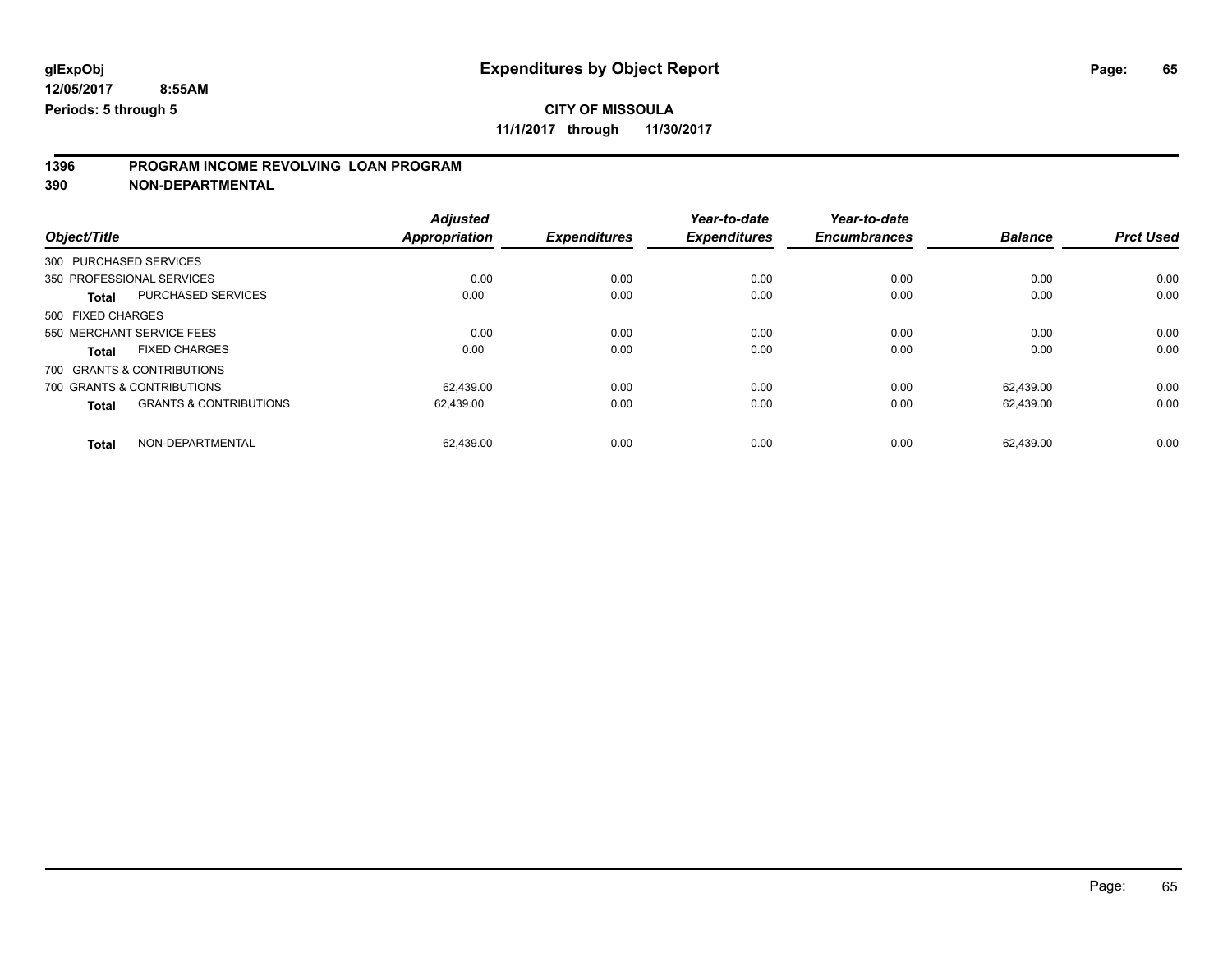### **CITY OF MISSOULA**

**11/1/2017 through 11/30/2017**

# **1396 PROGRAM INCOME REVOLVING LOAN PROGRAM**

**390 NON-DEPARTMENTAL**

|                   |                                   | <b>Adjusted</b>      |                     | Year-to-date        | Year-to-date        |                |                  |
|-------------------|-----------------------------------|----------------------|---------------------|---------------------|---------------------|----------------|------------------|
| Object/Title      |                                   | <b>Appropriation</b> | <b>Expenditures</b> | <b>Expenditures</b> | <b>Encumbrances</b> | <b>Balance</b> | <b>Prct Used</b> |
|                   | 300 PURCHASED SERVICES            |                      |                     |                     |                     |                |                  |
|                   | 350 PROFESSIONAL SERVICES         | 0.00                 | 0.00                | 0.00                | 0.00                | 0.00           | 0.00             |
| <b>Total</b>      | PURCHASED SERVICES                | 0.00                 | 0.00                | 0.00                | 0.00                | 0.00           | 0.00             |
| 500 FIXED CHARGES |                                   |                      |                     |                     |                     |                |                  |
|                   | 550 MERCHANT SERVICE FEES         | 0.00                 | 0.00                | 0.00                | 0.00                | 0.00           | 0.00             |
| <b>Total</b>      | <b>FIXED CHARGES</b>              | 0.00                 | 0.00                | 0.00                | 0.00                | 0.00           | 0.00             |
|                   | 700 GRANTS & CONTRIBUTIONS        |                      |                     |                     |                     |                |                  |
|                   | 700 GRANTS & CONTRIBUTIONS        | 62.439.00            | 0.00                | 0.00                | 0.00                | 62.439.00      | 0.00             |
| <b>Total</b>      | <b>GRANTS &amp; CONTRIBUTIONS</b> | 62,439.00            | 0.00                | 0.00                | 0.00                | 62,439.00      | 0.00             |
| Total             | NON-DEPARTMENTAL                  | 62.439.00            | 0.00                | 0.00                | 0.00                | 62.439.00      | 0.00             |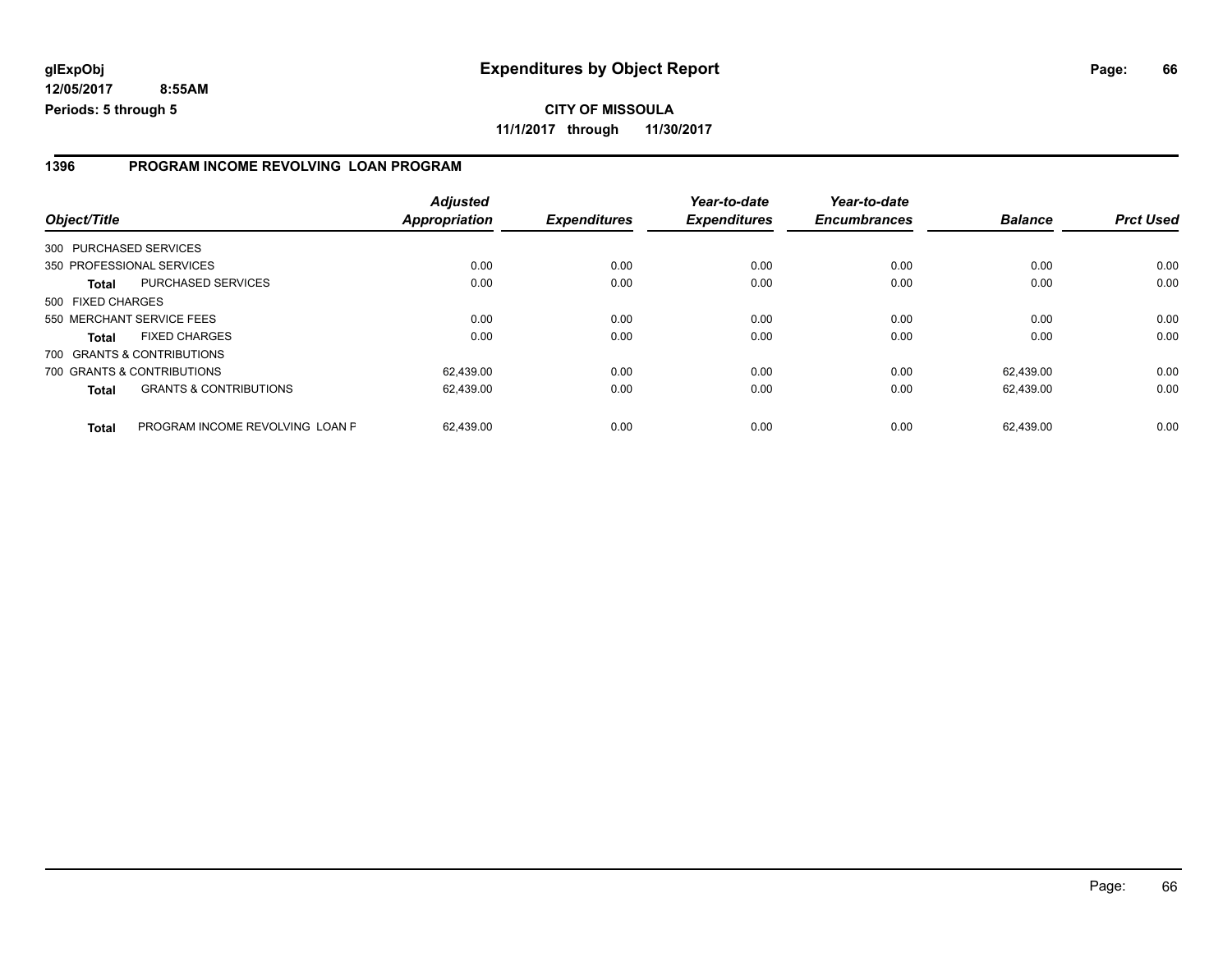#### **1396 PROGRAM INCOME REVOLVING LOAN PROGRAM**

| Object/Title      |                                   | <b>Adjusted</b><br><b>Appropriation</b> | <b>Expenditures</b> | Year-to-date<br><b>Expenditures</b> | Year-to-date<br><b>Encumbrances</b> | <b>Balance</b> | <b>Prct Used</b> |
|-------------------|-----------------------------------|-----------------------------------------|---------------------|-------------------------------------|-------------------------------------|----------------|------------------|
|                   | 300 PURCHASED SERVICES            |                                         |                     |                                     |                                     |                |                  |
|                   | 350 PROFESSIONAL SERVICES         | 0.00                                    | 0.00                | 0.00                                | 0.00                                | 0.00           | 0.00             |
| <b>Total</b>      | PURCHASED SERVICES                | 0.00                                    | 0.00                | 0.00                                | 0.00                                | 0.00           | 0.00             |
| 500 FIXED CHARGES |                                   |                                         |                     |                                     |                                     |                |                  |
|                   | 550 MERCHANT SERVICE FEES         | 0.00                                    | 0.00                | 0.00                                | 0.00                                | 0.00           | 0.00             |
| <b>Total</b>      | <b>FIXED CHARGES</b>              | 0.00                                    | 0.00                | 0.00                                | 0.00                                | 0.00           | 0.00             |
|                   | 700 GRANTS & CONTRIBUTIONS        |                                         |                     |                                     |                                     |                |                  |
|                   | 700 GRANTS & CONTRIBUTIONS        | 62,439.00                               | 0.00                | 0.00                                | 0.00                                | 62.439.00      | 0.00             |
| <b>Total</b>      | <b>GRANTS &amp; CONTRIBUTIONS</b> | 62,439.00                               | 0.00                | 0.00                                | 0.00                                | 62.439.00      | 0.00             |
| <b>Total</b>      | PROGRAM INCOME REVOLVING LOAN P   | 62.439.00                               | 0.00                | 0.00                                | 0.00                                | 62.439.00      | 0.00             |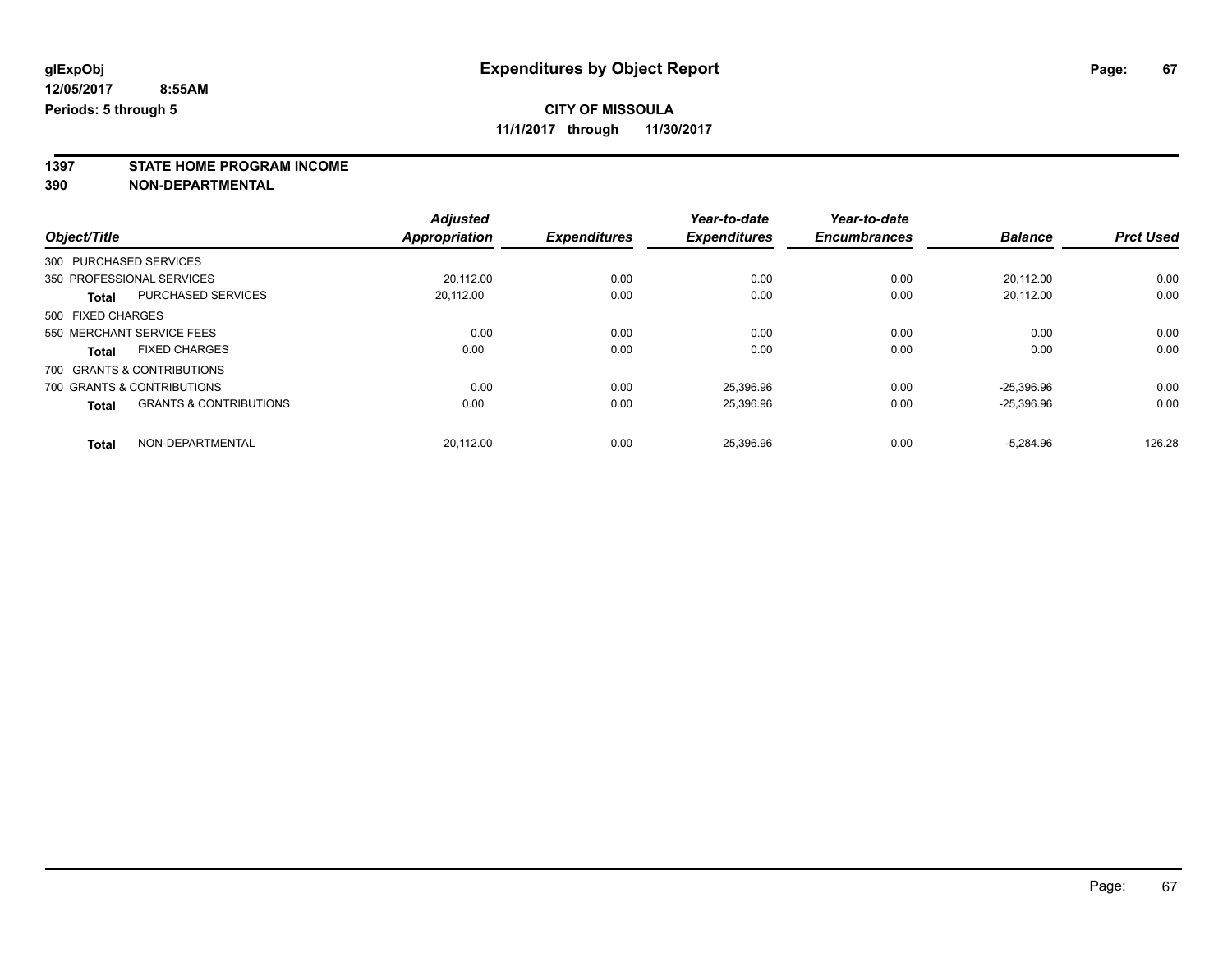**1397 STATE HOME PROGRAM INCOME**

**390 NON-DEPARTMENTAL**

|                   |                                   | <b>Adjusted</b>      |                     | Year-to-date        | Year-to-date        |                |                  |
|-------------------|-----------------------------------|----------------------|---------------------|---------------------|---------------------|----------------|------------------|
| Object/Title      |                                   | <b>Appropriation</b> | <b>Expenditures</b> | <b>Expenditures</b> | <b>Encumbrances</b> | <b>Balance</b> | <b>Prct Used</b> |
|                   | 300 PURCHASED SERVICES            |                      |                     |                     |                     |                |                  |
|                   | 350 PROFESSIONAL SERVICES         | 20.112.00            | 0.00                | 0.00                | 0.00                | 20.112.00      | 0.00             |
| <b>Total</b>      | <b>PURCHASED SERVICES</b>         | 20.112.00            | 0.00                | 0.00                | 0.00                | 20.112.00      | 0.00             |
| 500 FIXED CHARGES |                                   |                      |                     |                     |                     |                |                  |
|                   | 550 MERCHANT SERVICE FEES         | 0.00                 | 0.00                | 0.00                | 0.00                | 0.00           | 0.00             |
| <b>Total</b>      | <b>FIXED CHARGES</b>              | 0.00                 | 0.00                | 0.00                | 0.00                | 0.00           | 0.00             |
|                   | 700 GRANTS & CONTRIBUTIONS        |                      |                     |                     |                     |                |                  |
|                   | 700 GRANTS & CONTRIBUTIONS        | 0.00                 | 0.00                | 25.396.96           | 0.00                | $-25.396.96$   | 0.00             |
| <b>Total</b>      | <b>GRANTS &amp; CONTRIBUTIONS</b> | 0.00                 | 0.00                | 25,396.96           | 0.00                | $-25.396.96$   | 0.00             |
| <b>Total</b>      | NON-DEPARTMENTAL                  | 20.112.00            | 0.00                | 25.396.96           | 0.00                | $-5.284.96$    | 126.28           |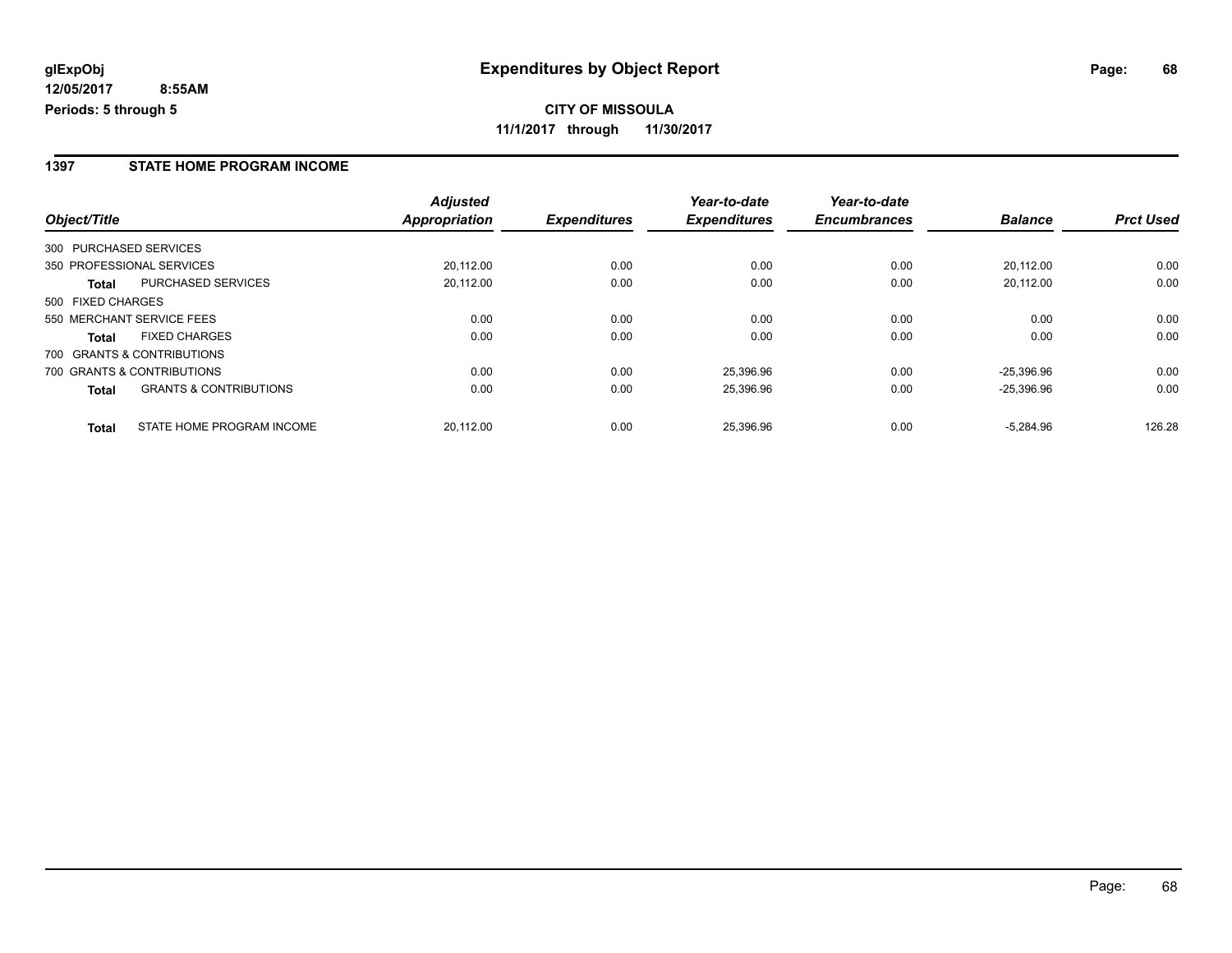**11/1/2017 through 11/30/2017**

#### **1397 STATE HOME PROGRAM INCOME**

|                                                   | <b>Adjusted</b> |                     | Year-to-date        | Year-to-date        |                |                  |
|---------------------------------------------------|-----------------|---------------------|---------------------|---------------------|----------------|------------------|
| Object/Title                                      | Appropriation   | <b>Expenditures</b> | <b>Expenditures</b> | <b>Encumbrances</b> | <b>Balance</b> | <b>Prct Used</b> |
| 300 PURCHASED SERVICES                            |                 |                     |                     |                     |                |                  |
| 350 PROFESSIONAL SERVICES                         | 20,112.00       | 0.00                | 0.00                | 0.00                | 20.112.00      | 0.00             |
| <b>PURCHASED SERVICES</b><br>Total                | 20,112.00       | 0.00                | 0.00                | 0.00                | 20.112.00      | 0.00             |
| 500 FIXED CHARGES                                 |                 |                     |                     |                     |                |                  |
| 550 MERCHANT SERVICE FEES                         | 0.00            | 0.00                | 0.00                | 0.00                | 0.00           | 0.00             |
| <b>FIXED CHARGES</b><br><b>Total</b>              | 0.00            | 0.00                | 0.00                | 0.00                | 0.00           | 0.00             |
| 700 GRANTS & CONTRIBUTIONS                        |                 |                     |                     |                     |                |                  |
| 700 GRANTS & CONTRIBUTIONS                        | 0.00            | 0.00                | 25.396.96           | 0.00                | $-25.396.96$   | 0.00             |
| <b>GRANTS &amp; CONTRIBUTIONS</b><br><b>Total</b> | 0.00            | 0.00                | 25,396.96           | 0.00                | $-25.396.96$   | 0.00             |
| STATE HOME PROGRAM INCOME<br><b>Total</b>         | 20.112.00       | 0.00                | 25.396.96           | 0.00                | $-5.284.96$    | 126.28           |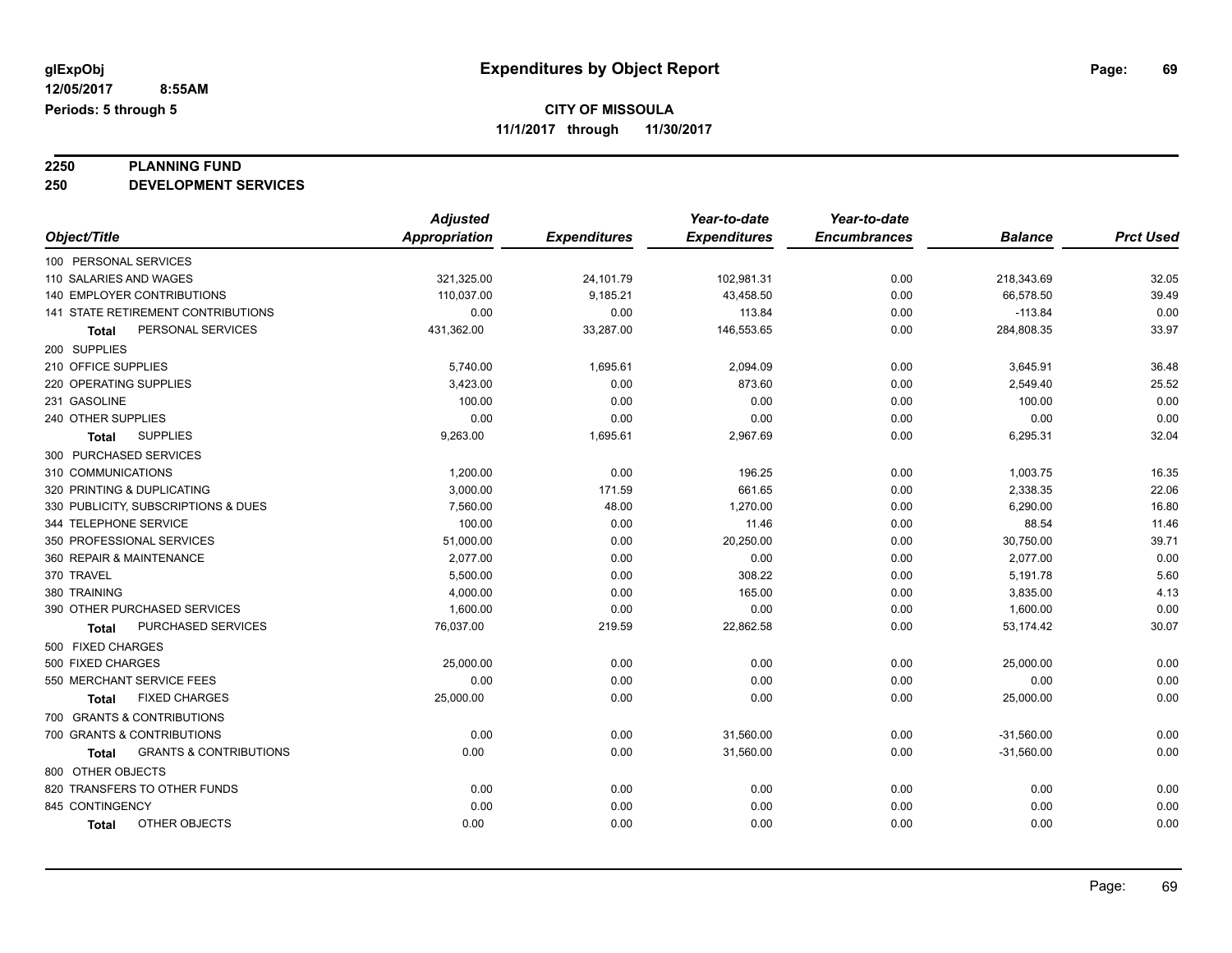# **2250 PLANNING FUND**

**250 DEVELOPMENT SERVICES**

|                                                   | <b>Adjusted</b>      |                     | Year-to-date        | Year-to-date        |                |                  |
|---------------------------------------------------|----------------------|---------------------|---------------------|---------------------|----------------|------------------|
| Object/Title                                      | <b>Appropriation</b> | <b>Expenditures</b> | <b>Expenditures</b> | <b>Encumbrances</b> | <b>Balance</b> | <b>Prct Used</b> |
| 100 PERSONAL SERVICES                             |                      |                     |                     |                     |                |                  |
| 110 SALARIES AND WAGES                            | 321,325.00           | 24,101.79           | 102,981.31          | 0.00                | 218,343.69     | 32.05            |
| 140 EMPLOYER CONTRIBUTIONS                        | 110,037.00           | 9,185.21            | 43,458.50           | 0.00                | 66,578.50      | 39.49            |
| 141 STATE RETIREMENT CONTRIBUTIONS                | 0.00                 | 0.00                | 113.84              | 0.00                | $-113.84$      | 0.00             |
| PERSONAL SERVICES<br>Total                        | 431,362.00           | 33,287.00           | 146,553.65          | 0.00                | 284,808.35     | 33.97            |
| 200 SUPPLIES                                      |                      |                     |                     |                     |                |                  |
| 210 OFFICE SUPPLIES                               | 5,740.00             | 1,695.61            | 2,094.09            | 0.00                | 3,645.91       | 36.48            |
| 220 OPERATING SUPPLIES                            | 3,423.00             | 0.00                | 873.60              | 0.00                | 2,549.40       | 25.52            |
| 231 GASOLINE                                      | 100.00               | 0.00                | 0.00                | 0.00                | 100.00         | 0.00             |
| 240 OTHER SUPPLIES                                | 0.00                 | 0.00                | 0.00                | 0.00                | 0.00           | 0.00             |
| <b>SUPPLIES</b><br><b>Total</b>                   | 9,263.00             | 1,695.61            | 2,967.69            | 0.00                | 6,295.31       | 32.04            |
| 300 PURCHASED SERVICES                            |                      |                     |                     |                     |                |                  |
| 310 COMMUNICATIONS                                | 1,200.00             | 0.00                | 196.25              | 0.00                | 1,003.75       | 16.35            |
| 320 PRINTING & DUPLICATING                        | 3,000.00             | 171.59              | 661.65              | 0.00                | 2,338.35       | 22.06            |
| 330 PUBLICITY, SUBSCRIPTIONS & DUES               | 7,560.00             | 48.00               | 1,270.00            | 0.00                | 6,290.00       | 16.80            |
| 344 TELEPHONE SERVICE                             | 100.00               | 0.00                | 11.46               | 0.00                | 88.54          | 11.46            |
| 350 PROFESSIONAL SERVICES                         | 51,000.00            | 0.00                | 20,250.00           | 0.00                | 30,750.00      | 39.71            |
| 360 REPAIR & MAINTENANCE                          | 2,077.00             | 0.00                | 0.00                | 0.00                | 2,077.00       | 0.00             |
| 370 TRAVEL                                        | 5,500.00             | 0.00                | 308.22              | 0.00                | 5,191.78       | 5.60             |
| 380 TRAINING                                      | 4,000.00             | 0.00                | 165.00              | 0.00                | 3,835.00       | 4.13             |
| 390 OTHER PURCHASED SERVICES                      | 1,600.00             | 0.00                | 0.00                | 0.00                | 1,600.00       | 0.00             |
| PURCHASED SERVICES<br>Total                       | 76,037.00            | 219.59              | 22,862.58           | 0.00                | 53,174.42      | 30.07            |
| 500 FIXED CHARGES                                 |                      |                     |                     |                     |                |                  |
| 500 FIXED CHARGES                                 | 25,000.00            | 0.00                | 0.00                | 0.00                | 25,000.00      | 0.00             |
| 550 MERCHANT SERVICE FEES                         | 0.00                 | 0.00                | 0.00                | 0.00                | 0.00           | 0.00             |
| <b>FIXED CHARGES</b><br><b>Total</b>              | 25,000.00            | 0.00                | 0.00                | 0.00                | 25,000.00      | 0.00             |
| 700 GRANTS & CONTRIBUTIONS                        |                      |                     |                     |                     |                |                  |
| 700 GRANTS & CONTRIBUTIONS                        | 0.00                 | 0.00                | 31,560.00           | 0.00                | $-31,560.00$   | 0.00             |
| <b>GRANTS &amp; CONTRIBUTIONS</b><br><b>Total</b> | 0.00                 | 0.00                | 31,560.00           | 0.00                | $-31,560.00$   | 0.00             |
| 800 OTHER OBJECTS                                 |                      |                     |                     |                     |                |                  |
| 820 TRANSFERS TO OTHER FUNDS                      | 0.00                 | 0.00                | 0.00                | 0.00                | 0.00           | 0.00             |
| 845 CONTINGENCY                                   | 0.00                 | 0.00                | 0.00                | 0.00                | 0.00           | 0.00             |
| OTHER OBJECTS<br><b>Total</b>                     | 0.00                 | 0.00                | 0.00                | 0.00                | 0.00           | 0.00             |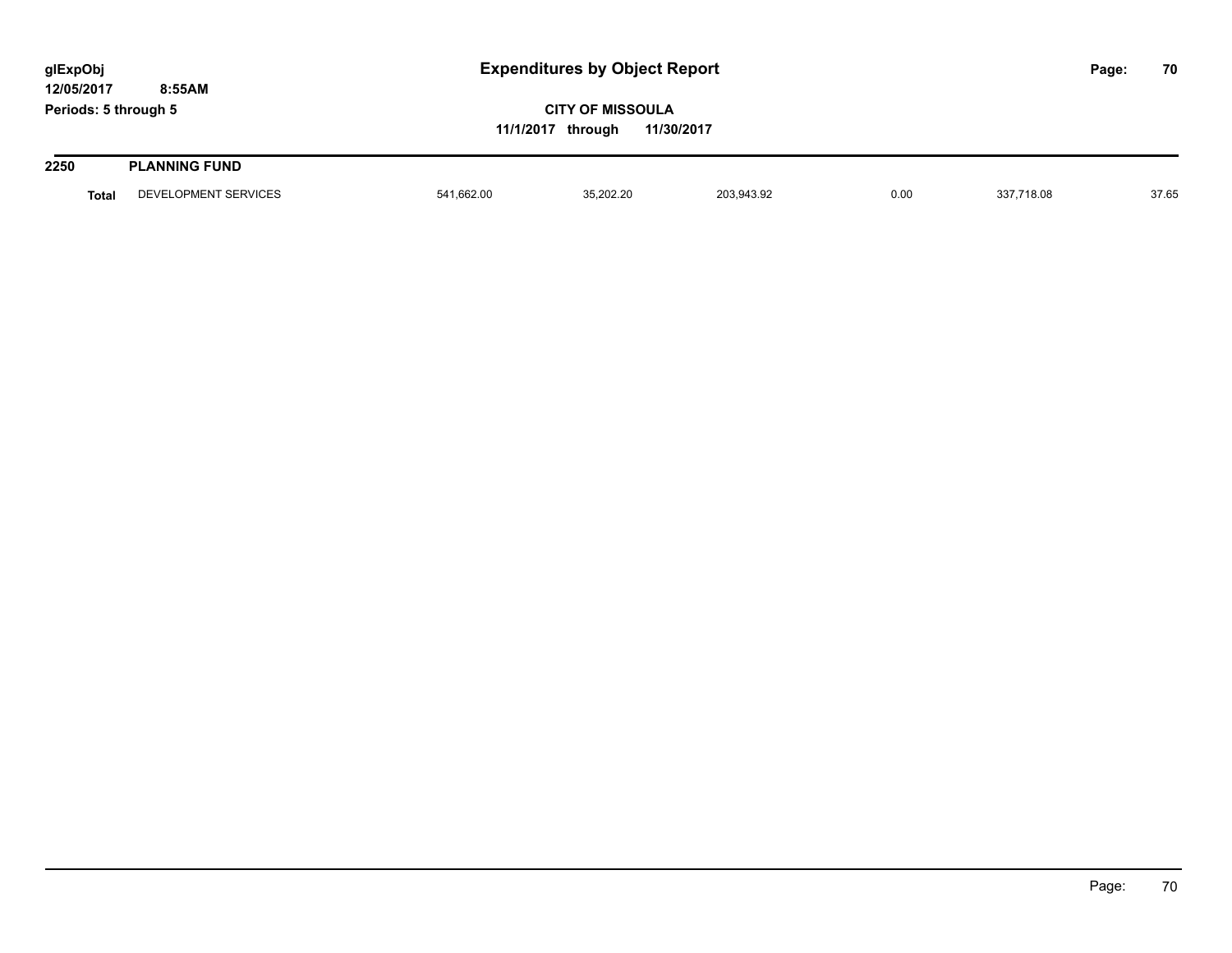| glExpObj<br>12/05/2017 | 8:55AM               | <b>Expenditures by Object Report</b>                       |           |            |      |            |  | 70    |
|------------------------|----------------------|------------------------------------------------------------|-----------|------------|------|------------|--|-------|
| Periods: 5 through 5   |                      | <b>CITY OF MISSOULA</b><br>11/30/2017<br>11/1/2017 through |           |            |      |            |  |       |
| 2250                   | <b>PLANNING FUND</b> |                                                            |           |            |      |            |  |       |
| <b>Total</b>           | DEVELOPMENT SERVICES | 541,662.00                                                 | 35,202.20 | 203,943.92 | 0.00 | 337,718.08 |  | 37.65 |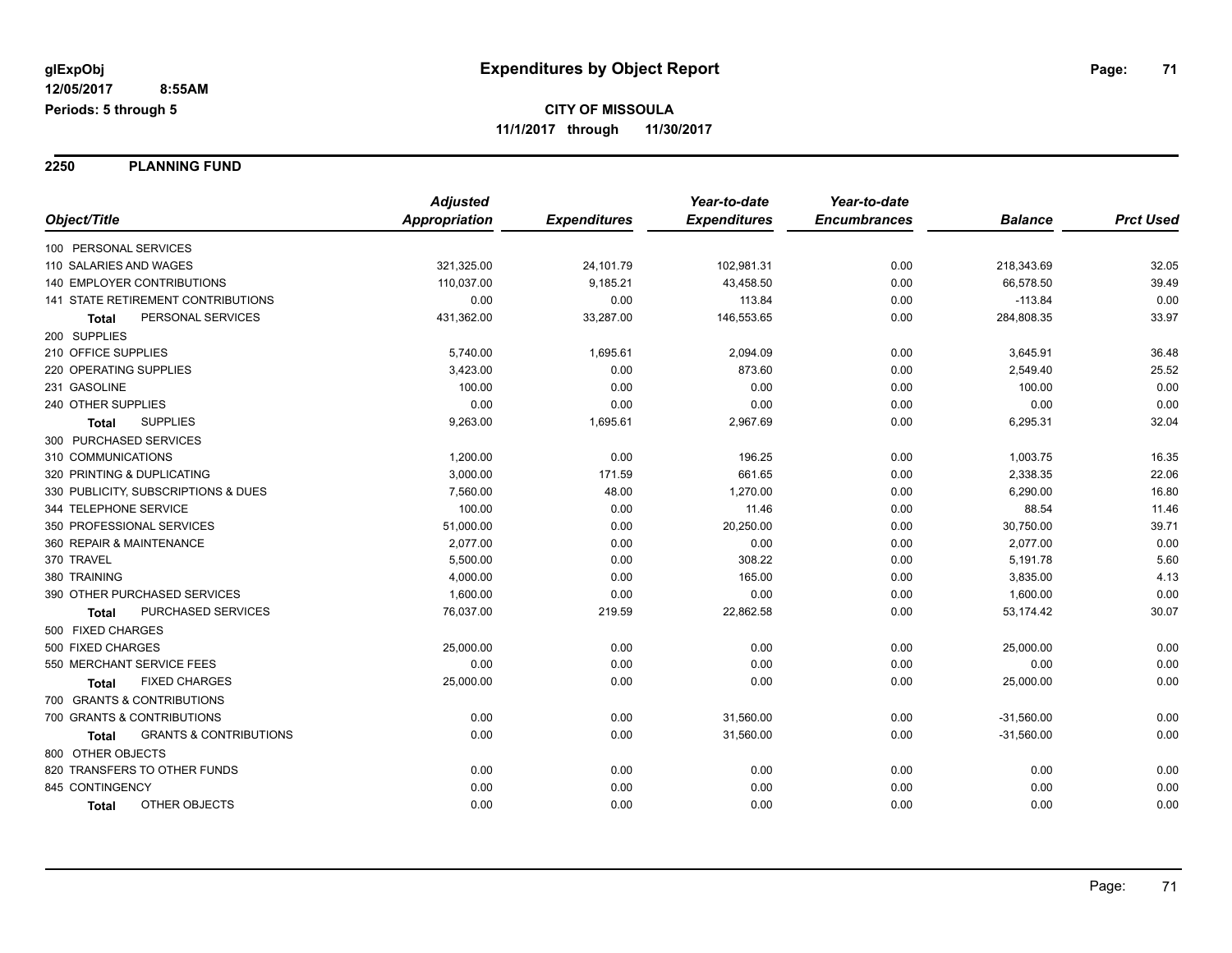**2250 PLANNING FUND**

|                                                   | <b>Adjusted</b>      |                     | Year-to-date        | Year-to-date        |                |                  |
|---------------------------------------------------|----------------------|---------------------|---------------------|---------------------|----------------|------------------|
| Object/Title                                      | <b>Appropriation</b> | <b>Expenditures</b> | <b>Expenditures</b> | <b>Encumbrances</b> | <b>Balance</b> | <b>Prct Used</b> |
| 100 PERSONAL SERVICES                             |                      |                     |                     |                     |                |                  |
| 110 SALARIES AND WAGES                            | 321,325.00           | 24,101.79           | 102,981.31          | 0.00                | 218,343.69     | 32.05            |
| <b>140 EMPLOYER CONTRIBUTIONS</b>                 | 110,037.00           | 9,185.21            | 43,458.50           | 0.00                | 66,578.50      | 39.49            |
| 141 STATE RETIREMENT CONTRIBUTIONS                | 0.00                 | 0.00                | 113.84              | 0.00                | $-113.84$      | 0.00             |
| PERSONAL SERVICES<br>Total                        | 431,362.00           | 33,287.00           | 146,553.65          | 0.00                | 284,808.35     | 33.97            |
| 200 SUPPLIES                                      |                      |                     |                     |                     |                |                  |
| 210 OFFICE SUPPLIES                               | 5,740.00             | 1,695.61            | 2,094.09            | 0.00                | 3,645.91       | 36.48            |
| 220 OPERATING SUPPLIES                            | 3,423.00             | 0.00                | 873.60              | 0.00                | 2,549.40       | 25.52            |
| 231 GASOLINE                                      | 100.00               | 0.00                | 0.00                | 0.00                | 100.00         | 0.00             |
| 240 OTHER SUPPLIES                                | 0.00                 | 0.00                | 0.00                | 0.00                | 0.00           | 0.00             |
| <b>SUPPLIES</b><br>Total                          | 9,263.00             | 1,695.61            | 2,967.69            | 0.00                | 6,295.31       | 32.04            |
| 300 PURCHASED SERVICES                            |                      |                     |                     |                     |                |                  |
| 310 COMMUNICATIONS                                | 1,200.00             | 0.00                | 196.25              | 0.00                | 1,003.75       | 16.35            |
| 320 PRINTING & DUPLICATING                        | 3,000.00             | 171.59              | 661.65              | 0.00                | 2,338.35       | 22.06            |
| 330 PUBLICITY, SUBSCRIPTIONS & DUES               | 7,560.00             | 48.00               | 1,270.00            | 0.00                | 6,290.00       | 16.80            |
| 344 TELEPHONE SERVICE                             | 100.00               | 0.00                | 11.46               | 0.00                | 88.54          | 11.46            |
| 350 PROFESSIONAL SERVICES                         | 51,000.00            | 0.00                | 20,250.00           | 0.00                | 30,750.00      | 39.71            |
| 360 REPAIR & MAINTENANCE                          | 2,077.00             | 0.00                | 0.00                | 0.00                | 2,077.00       | 0.00             |
| 370 TRAVEL                                        | 5,500.00             | 0.00                | 308.22              | 0.00                | 5,191.78       | 5.60             |
| 380 TRAINING                                      | 4,000.00             | 0.00                | 165.00              | 0.00                | 3,835.00       | 4.13             |
| 390 OTHER PURCHASED SERVICES                      | 1,600.00             | 0.00                | 0.00                | 0.00                | 1,600.00       | 0.00             |
| PURCHASED SERVICES<br>Total                       | 76,037.00            | 219.59              | 22,862.58           | 0.00                | 53,174.42      | 30.07            |
| 500 FIXED CHARGES                                 |                      |                     |                     |                     |                |                  |
| 500 FIXED CHARGES                                 | 25,000.00            | 0.00                | 0.00                | 0.00                | 25,000.00      | 0.00             |
| 550 MERCHANT SERVICE FEES                         | 0.00                 | 0.00                | 0.00                | 0.00                | 0.00           | 0.00             |
| <b>FIXED CHARGES</b><br>Total                     | 25,000.00            | 0.00                | 0.00                | 0.00                | 25,000.00      | 0.00             |
| 700 GRANTS & CONTRIBUTIONS                        |                      |                     |                     |                     |                |                  |
| 700 GRANTS & CONTRIBUTIONS                        | 0.00                 | 0.00                | 31,560.00           | 0.00                | $-31,560.00$   | 0.00             |
| <b>GRANTS &amp; CONTRIBUTIONS</b><br><b>Total</b> | 0.00                 | 0.00                | 31,560.00           | 0.00                | $-31,560.00$   | 0.00             |
| 800 OTHER OBJECTS                                 |                      |                     |                     |                     |                |                  |
| 820 TRANSFERS TO OTHER FUNDS                      | 0.00                 | 0.00                | 0.00                | 0.00                | 0.00           | 0.00             |
| 845 CONTINGENCY                                   | 0.00                 | 0.00                | 0.00                | 0.00                | 0.00           | 0.00             |
| OTHER OBJECTS<br><b>Total</b>                     | 0.00                 | 0.00                | 0.00                | 0.00                | 0.00           | 0.00             |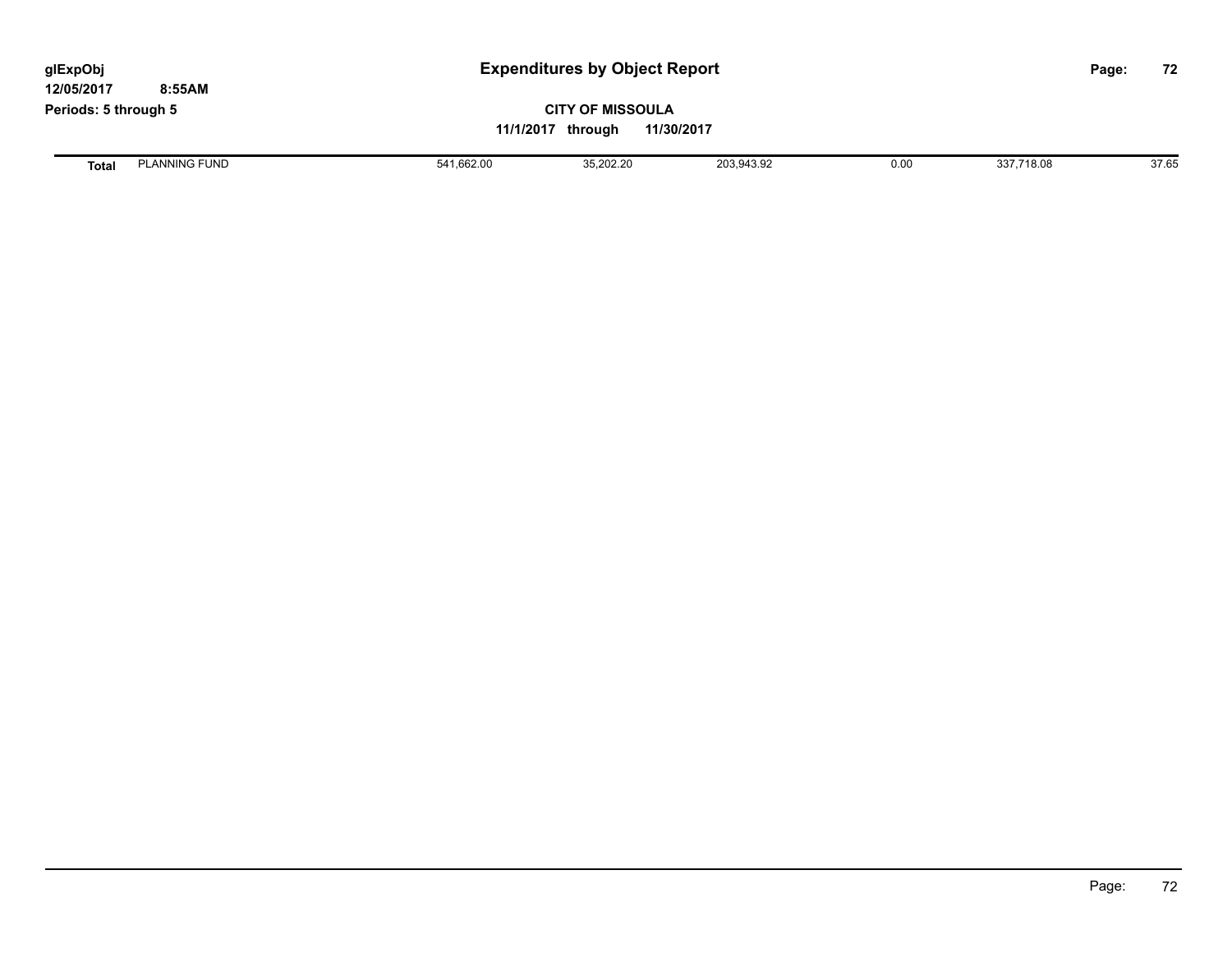| glExpObj<br>12/05/2017 | 8:55AM               |                                                            | <b>Expenditures by Object Report</b> |            |      |            |       |  |
|------------------------|----------------------|------------------------------------------------------------|--------------------------------------|------------|------|------------|-------|--|
| Periods: 5 through 5   |                      | <b>CITY OF MISSOULA</b><br>11/30/2017<br>11/1/2017 through |                                      |            |      |            |       |  |
| Total                  | <b>PLANNING FUND</b> | 541,662.00                                                 | 35,202.20                            | 203,943.92 | 0.00 | 337,718.08 | 37.65 |  |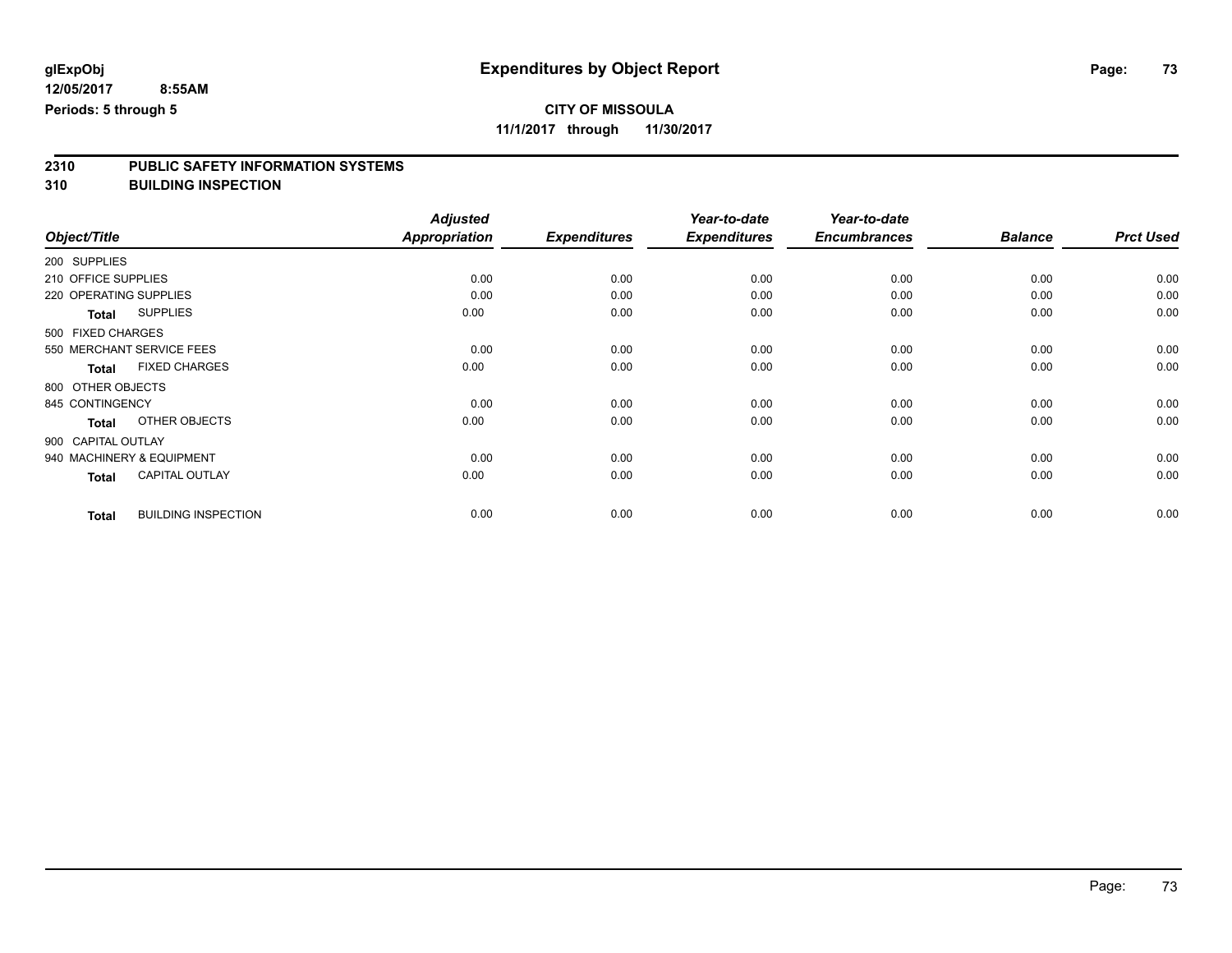## **CITY OF MISSOULA**

**11/1/2017 through 11/30/2017**

# **2310 PUBLIC SAFETY INFORMATION SYSTEMS**

**310 BUILDING INSPECTION**

|                                            | <b>Adjusted</b>      |                     | Year-to-date        | Year-to-date        |                |                  |
|--------------------------------------------|----------------------|---------------------|---------------------|---------------------|----------------|------------------|
| Object/Title                               | <b>Appropriation</b> | <b>Expenditures</b> | <b>Expenditures</b> | <b>Encumbrances</b> | <b>Balance</b> | <b>Prct Used</b> |
| 200 SUPPLIES                               |                      |                     |                     |                     |                |                  |
| 210 OFFICE SUPPLIES                        | 0.00                 | 0.00                | 0.00                | 0.00                | 0.00           | 0.00             |
| 220 OPERATING SUPPLIES                     | 0.00                 | 0.00                | 0.00                | 0.00                | 0.00           | 0.00             |
| <b>SUPPLIES</b><br><b>Total</b>            | 0.00                 | 0.00                | 0.00                | 0.00                | 0.00           | 0.00             |
| 500 FIXED CHARGES                          |                      |                     |                     |                     |                |                  |
| 550 MERCHANT SERVICE FEES                  | 0.00                 | 0.00                | 0.00                | 0.00                | 0.00           | 0.00             |
| <b>FIXED CHARGES</b><br><b>Total</b>       | 0.00                 | 0.00                | 0.00                | 0.00                | 0.00           | 0.00             |
| 800 OTHER OBJECTS                          |                      |                     |                     |                     |                |                  |
| 845 CONTINGENCY                            | 0.00                 | 0.00                | 0.00                | 0.00                | 0.00           | 0.00             |
| OTHER OBJECTS<br><b>Total</b>              | 0.00                 | 0.00                | 0.00                | 0.00                | 0.00           | 0.00             |
| 900 CAPITAL OUTLAY                         |                      |                     |                     |                     |                |                  |
| 940 MACHINERY & EQUIPMENT                  | 0.00                 | 0.00                | 0.00                | 0.00                | 0.00           | 0.00             |
| <b>CAPITAL OUTLAY</b><br><b>Total</b>      | 0.00                 | 0.00                | 0.00                | 0.00                | 0.00           | 0.00             |
| <b>BUILDING INSPECTION</b><br><b>Total</b> | 0.00                 | 0.00                | 0.00                | 0.00                | 0.00           | 0.00             |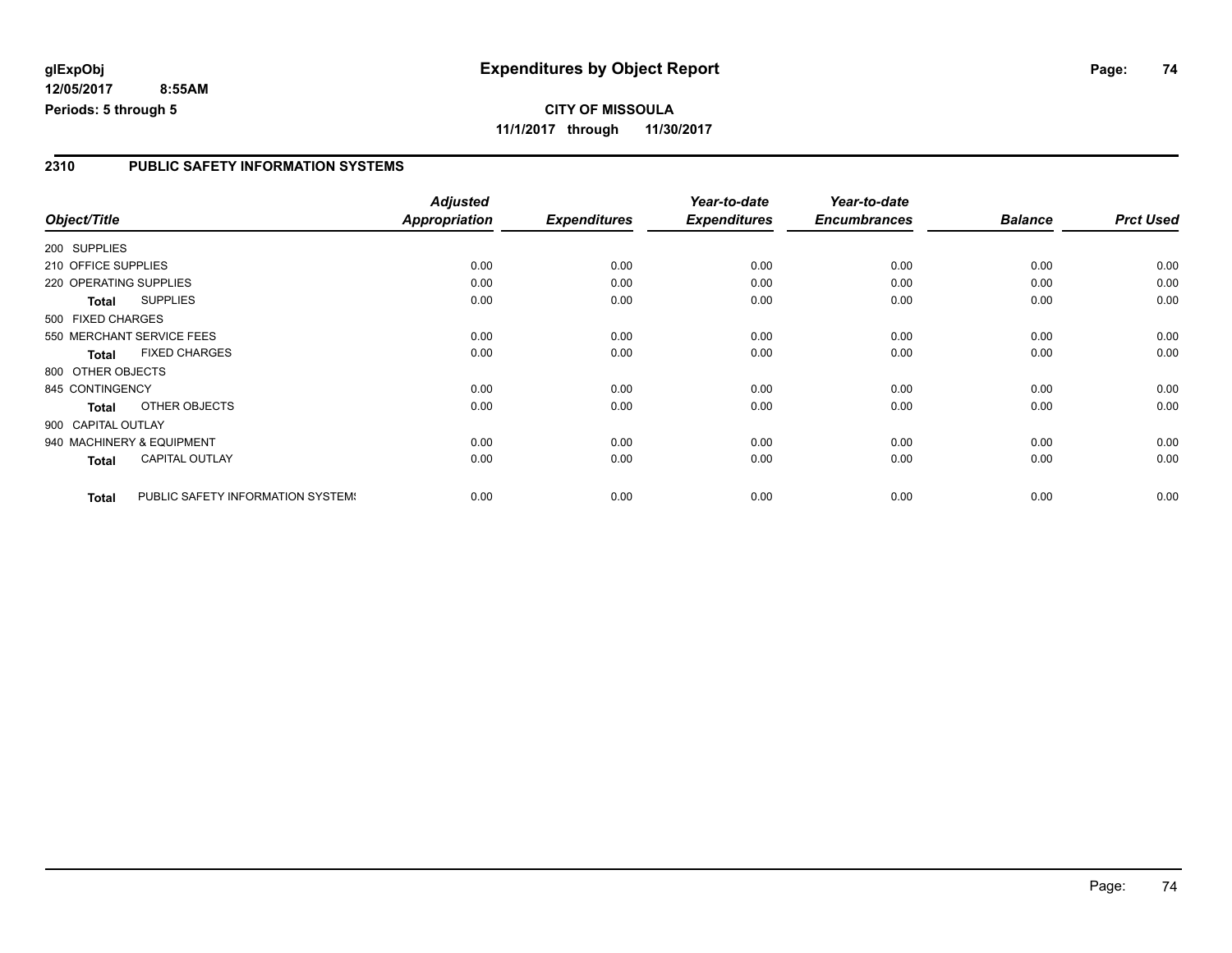### **2310 PUBLIC SAFETY INFORMATION SYSTEMS**

|                        |                                   | <b>Adjusted</b>      |                     | Year-to-date        | Year-to-date        |                |                  |
|------------------------|-----------------------------------|----------------------|---------------------|---------------------|---------------------|----------------|------------------|
| Object/Title           |                                   | <b>Appropriation</b> | <b>Expenditures</b> | <b>Expenditures</b> | <b>Encumbrances</b> | <b>Balance</b> | <b>Prct Used</b> |
| 200 SUPPLIES           |                                   |                      |                     |                     |                     |                |                  |
| 210 OFFICE SUPPLIES    |                                   | 0.00                 | 0.00                | 0.00                | 0.00                | 0.00           | 0.00             |
| 220 OPERATING SUPPLIES |                                   | 0.00                 | 0.00                | 0.00                | 0.00                | 0.00           | 0.00             |
| Total                  | <b>SUPPLIES</b>                   | 0.00                 | 0.00                | 0.00                | 0.00                | 0.00           | 0.00             |
| 500 FIXED CHARGES      |                                   |                      |                     |                     |                     |                |                  |
|                        | 550 MERCHANT SERVICE FEES         | 0.00                 | 0.00                | 0.00                | 0.00                | 0.00           | 0.00             |
| <b>Total</b>           | <b>FIXED CHARGES</b>              | 0.00                 | 0.00                | 0.00                | 0.00                | 0.00           | 0.00             |
| 800 OTHER OBJECTS      |                                   |                      |                     |                     |                     |                |                  |
| 845 CONTINGENCY        |                                   | 0.00                 | 0.00                | 0.00                | 0.00                | 0.00           | 0.00             |
| <b>Total</b>           | OTHER OBJECTS                     | 0.00                 | 0.00                | 0.00                | 0.00                | 0.00           | 0.00             |
| 900 CAPITAL OUTLAY     |                                   |                      |                     |                     |                     |                |                  |
|                        | 940 MACHINERY & EQUIPMENT         | 0.00                 | 0.00                | 0.00                | 0.00                | 0.00           | 0.00             |
| Total                  | <b>CAPITAL OUTLAY</b>             | 0.00                 | 0.00                | 0.00                | 0.00                | 0.00           | 0.00             |
| <b>Total</b>           | PUBLIC SAFETY INFORMATION SYSTEM! | 0.00                 | 0.00                | 0.00                | 0.00                | 0.00           | 0.00             |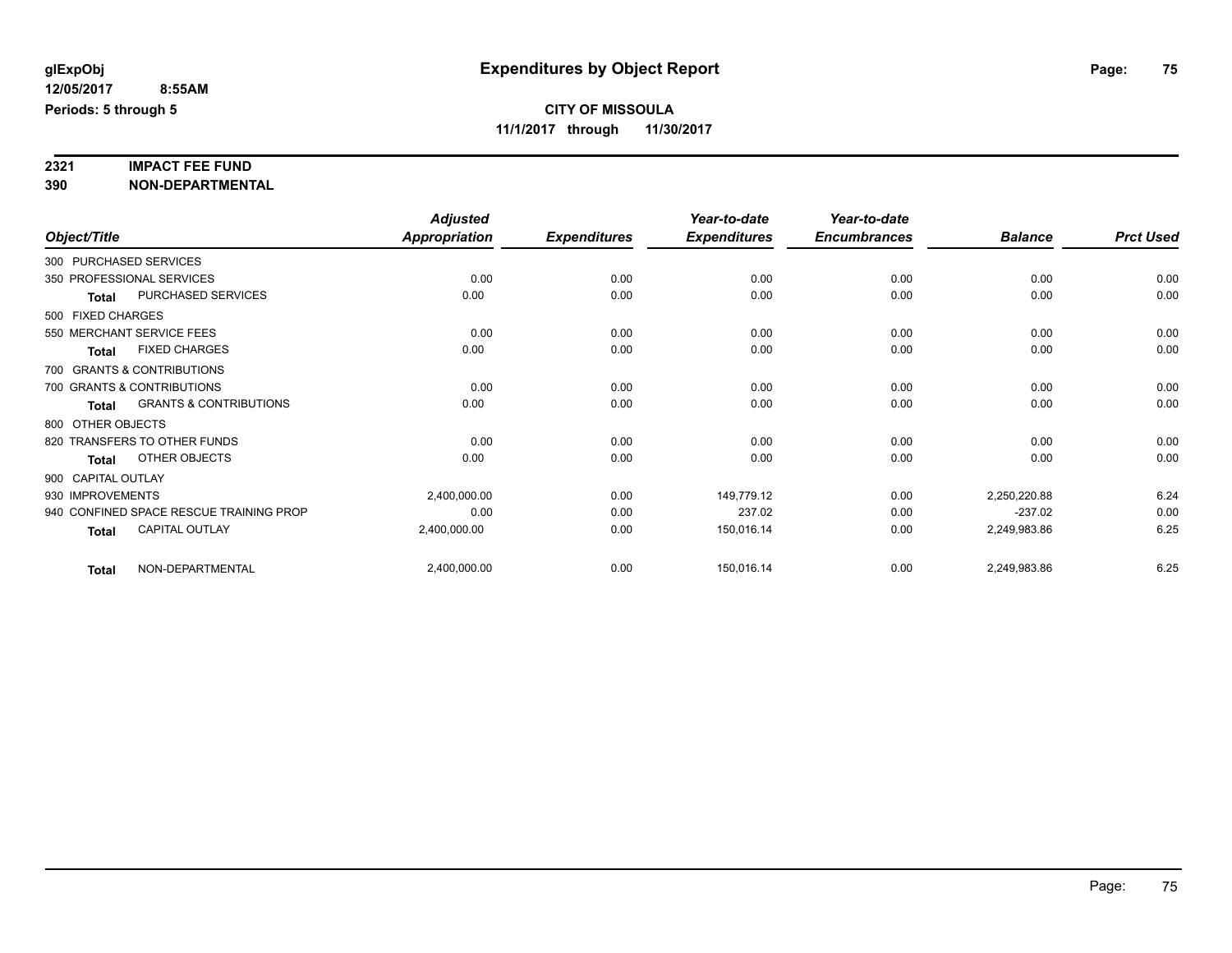# **2321 IMPACT FEE FUND**

**390 NON-DEPARTMENTAL**

|                    |              |                                         | <b>Adjusted</b>      |                     | Year-to-date        | Year-to-date        |                |                  |
|--------------------|--------------|-----------------------------------------|----------------------|---------------------|---------------------|---------------------|----------------|------------------|
| Object/Title       |              |                                         | <b>Appropriation</b> | <b>Expenditures</b> | <b>Expenditures</b> | <b>Encumbrances</b> | <b>Balance</b> | <b>Prct Used</b> |
|                    |              | 300 PURCHASED SERVICES                  |                      |                     |                     |                     |                |                  |
|                    |              | 350 PROFESSIONAL SERVICES               | 0.00                 | 0.00                | 0.00                | 0.00                | 0.00           | 0.00             |
|                    | <b>Total</b> | PURCHASED SERVICES                      | 0.00                 | 0.00                | 0.00                | 0.00                | 0.00           | 0.00             |
| 500 FIXED CHARGES  |              |                                         |                      |                     |                     |                     |                |                  |
|                    |              | 550 MERCHANT SERVICE FEES               | 0.00                 | 0.00                | 0.00                | 0.00                | 0.00           | 0.00             |
|                    | <b>Total</b> | <b>FIXED CHARGES</b>                    | 0.00                 | 0.00                | 0.00                | 0.00                | 0.00           | 0.00             |
|                    |              | 700 GRANTS & CONTRIBUTIONS              |                      |                     |                     |                     |                |                  |
|                    |              | 700 GRANTS & CONTRIBUTIONS              | 0.00                 | 0.00                | 0.00                | 0.00                | 0.00           | 0.00             |
|                    | <b>Total</b> | <b>GRANTS &amp; CONTRIBUTIONS</b>       | 0.00                 | 0.00                | 0.00                | 0.00                | 0.00           | 0.00             |
| 800 OTHER OBJECTS  |              |                                         |                      |                     |                     |                     |                |                  |
|                    |              | 820 TRANSFERS TO OTHER FUNDS            | 0.00                 | 0.00                | 0.00                | 0.00                | 0.00           | 0.00             |
|                    | <b>Total</b> | OTHER OBJECTS                           | 0.00                 | 0.00                | 0.00                | 0.00                | 0.00           | 0.00             |
| 900 CAPITAL OUTLAY |              |                                         |                      |                     |                     |                     |                |                  |
| 930 IMPROVEMENTS   |              |                                         | 2,400,000.00         | 0.00                | 149,779.12          | 0.00                | 2,250,220.88   | 6.24             |
|                    |              | 940 CONFINED SPACE RESCUE TRAINING PROP | 0.00                 | 0.00                | 237.02              | 0.00                | $-237.02$      | 0.00             |
|                    | <b>Total</b> | <b>CAPITAL OUTLAY</b>                   | 2,400,000.00         | 0.00                | 150,016.14          | 0.00                | 2,249,983.86   | 6.25             |
|                    | <b>Total</b> | NON-DEPARTMENTAL                        | 2,400,000.00         | 0.00                | 150,016.14          | 0.00                | 2,249,983.86   | 6.25             |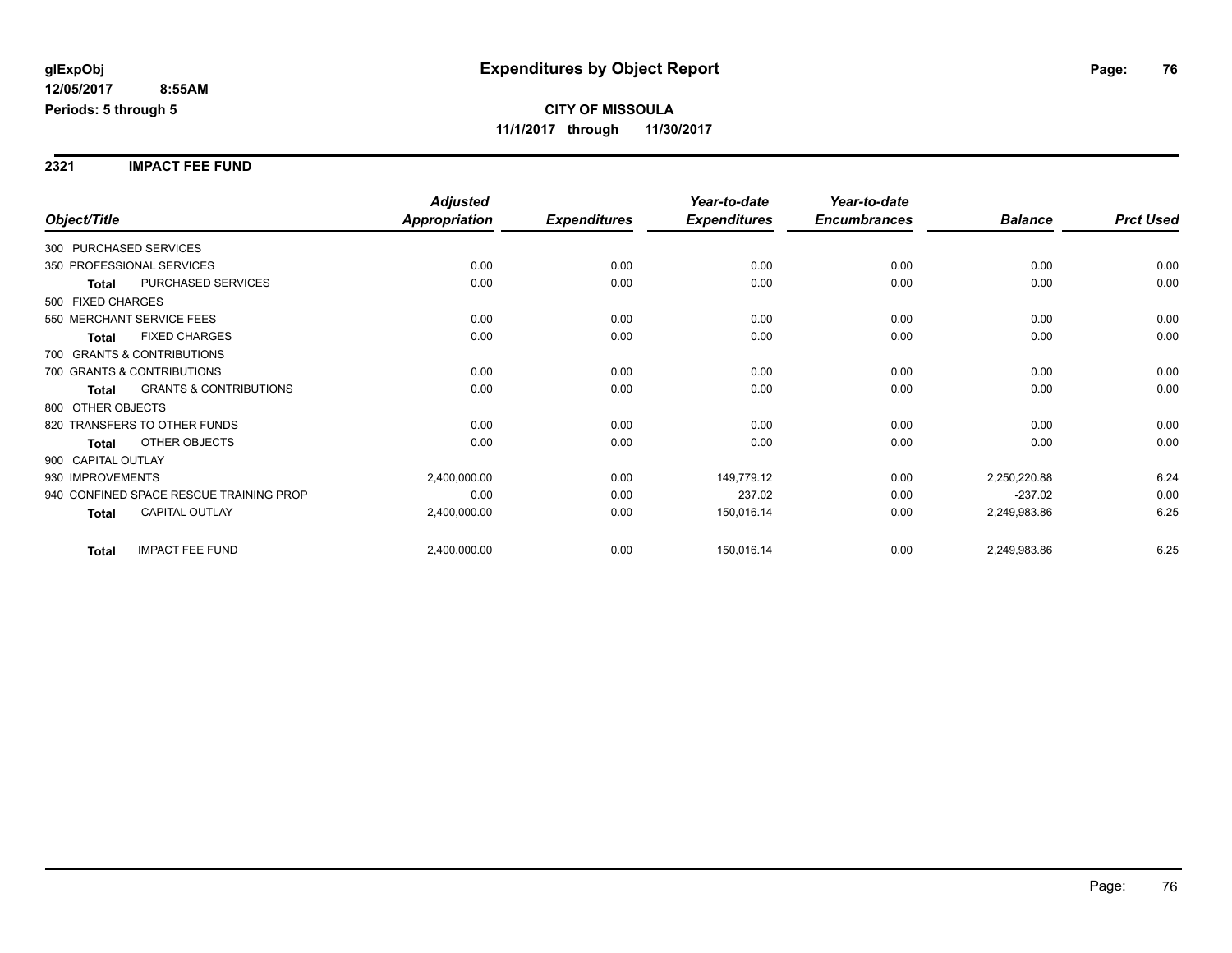**2321 IMPACT FEE FUND**

|                                            | <b>Adjusted</b>      |                     | Year-to-date        | Year-to-date        |                |                  |
|--------------------------------------------|----------------------|---------------------|---------------------|---------------------|----------------|------------------|
| Object/Title                               | <b>Appropriation</b> | <b>Expenditures</b> | <b>Expenditures</b> | <b>Encumbrances</b> | <b>Balance</b> | <b>Prct Used</b> |
| 300 PURCHASED SERVICES                     |                      |                     |                     |                     |                |                  |
| 350 PROFESSIONAL SERVICES                  | 0.00                 | 0.00                | 0.00                | 0.00                | 0.00           | 0.00             |
| PURCHASED SERVICES<br><b>Total</b>         | 0.00                 | 0.00                | 0.00                | 0.00                | 0.00           | 0.00             |
| 500 FIXED CHARGES                          |                      |                     |                     |                     |                |                  |
| 550 MERCHANT SERVICE FEES                  | 0.00                 | 0.00                | 0.00                | 0.00                | 0.00           | 0.00             |
| <b>FIXED CHARGES</b><br><b>Total</b>       | 0.00                 | 0.00                | 0.00                | 0.00                | 0.00           | 0.00             |
| 700 GRANTS & CONTRIBUTIONS                 |                      |                     |                     |                     |                |                  |
| 700 GRANTS & CONTRIBUTIONS                 | 0.00                 | 0.00                | 0.00                | 0.00                | 0.00           | 0.00             |
| <b>GRANTS &amp; CONTRIBUTIONS</b><br>Total | 0.00                 | 0.00                | 0.00                | 0.00                | 0.00           | 0.00             |
| 800 OTHER OBJECTS                          |                      |                     |                     |                     |                |                  |
| 820 TRANSFERS TO OTHER FUNDS               | 0.00                 | 0.00                | 0.00                | 0.00                | 0.00           | 0.00             |
| OTHER OBJECTS<br><b>Total</b>              | 0.00                 | 0.00                | 0.00                | 0.00                | 0.00           | 0.00             |
| 900 CAPITAL OUTLAY                         |                      |                     |                     |                     |                |                  |
| 930 IMPROVEMENTS                           | 2,400,000.00         | 0.00                | 149,779.12          | 0.00                | 2,250,220.88   | 6.24             |
| 940 CONFINED SPACE RESCUE TRAINING PROP    | 0.00                 | 0.00                | 237.02              | 0.00                | $-237.02$      | 0.00             |
| <b>CAPITAL OUTLAY</b><br><b>Total</b>      | 2,400,000.00         | 0.00                | 150,016.14          | 0.00                | 2,249,983.86   | 6.25             |
| <b>IMPACT FEE FUND</b><br><b>Total</b>     | 2,400,000.00         | 0.00                | 150,016.14          | 0.00                | 2,249,983.86   | 6.25             |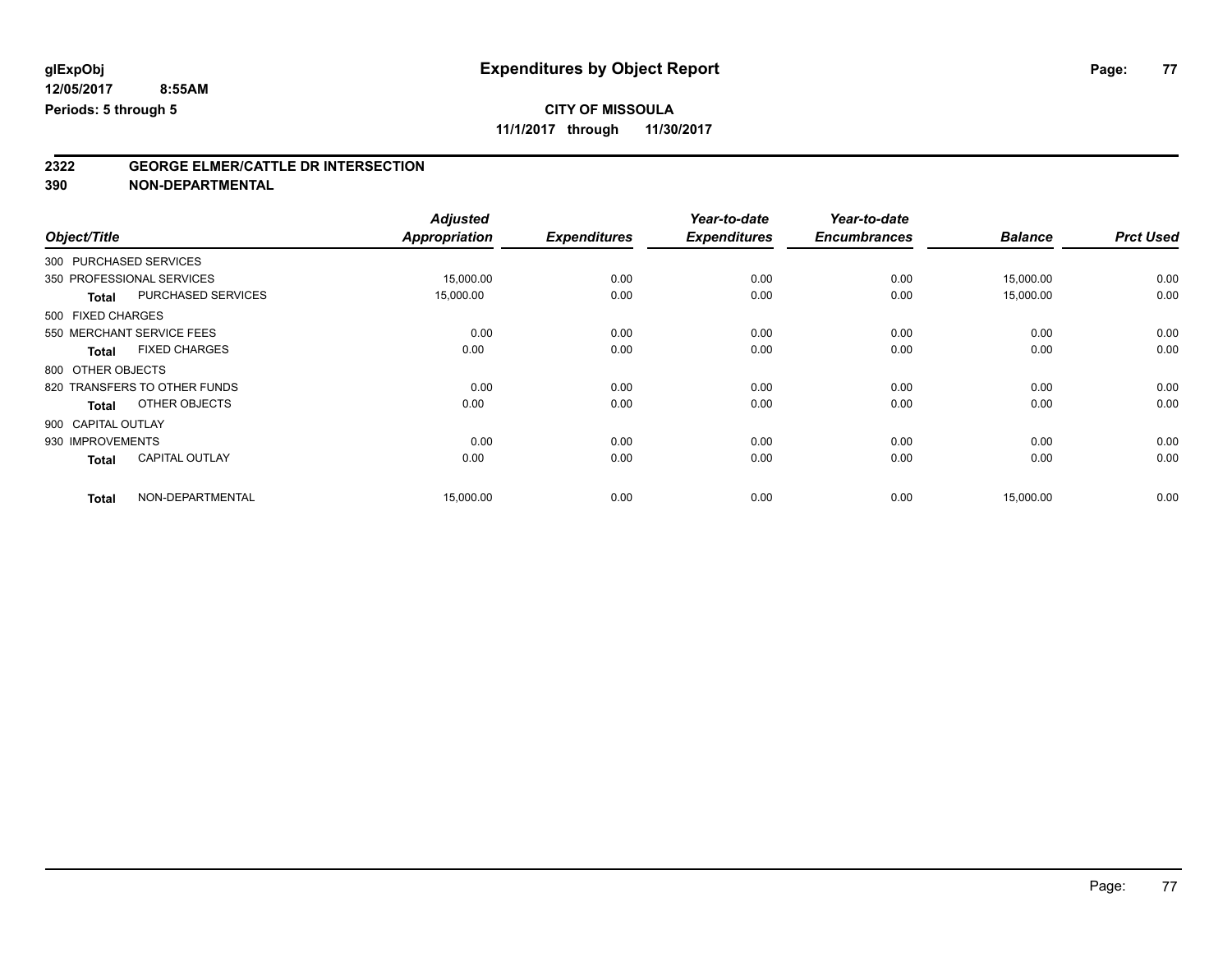## **CITY OF MISSOULA**

**11/1/2017 through 11/30/2017**

# **2322 GEORGE ELMER/CATTLE DR INTERSECTION**

**390 NON-DEPARTMENTAL**

| Object/Title |                                           | <b>Adjusted</b><br><b>Appropriation</b> | <b>Expenditures</b> | Year-to-date<br><b>Expenditures</b> | Year-to-date<br><b>Encumbrances</b> | <b>Balance</b> | <b>Prct Used</b> |
|--------------|-------------------------------------------|-----------------------------------------|---------------------|-------------------------------------|-------------------------------------|----------------|------------------|
|              | 300 PURCHASED SERVICES                    |                                         |                     |                                     |                                     |                |                  |
|              |                                           |                                         |                     |                                     |                                     |                |                  |
|              | 350 PROFESSIONAL SERVICES                 | 15,000.00                               | 0.00                | 0.00                                | 0.00                                | 15,000.00      | 0.00             |
|              | <b>PURCHASED SERVICES</b><br><b>Total</b> | 15,000.00                               | 0.00                | 0.00                                | 0.00                                | 15,000.00      | 0.00             |
|              | 500 FIXED CHARGES                         |                                         |                     |                                     |                                     |                |                  |
|              | 550 MERCHANT SERVICE FEES                 | 0.00                                    | 0.00                | 0.00                                | 0.00                                | 0.00           | 0.00             |
|              | <b>FIXED CHARGES</b><br><b>Total</b>      | 0.00                                    | 0.00                | 0.00                                | 0.00                                | 0.00           | 0.00             |
|              | 800 OTHER OBJECTS                         |                                         |                     |                                     |                                     |                |                  |
|              | 820 TRANSFERS TO OTHER FUNDS              | 0.00                                    | 0.00                | 0.00                                | 0.00                                | 0.00           | 0.00             |
|              | OTHER OBJECTS<br><b>Total</b>             | 0.00                                    | 0.00                | 0.00                                | 0.00                                | 0.00           | 0.00             |
|              | 900 CAPITAL OUTLAY                        |                                         |                     |                                     |                                     |                |                  |
|              | 930 IMPROVEMENTS                          | 0.00                                    | 0.00                | 0.00                                | 0.00                                | 0.00           | 0.00             |
|              | <b>CAPITAL OUTLAY</b><br><b>Total</b>     | 0.00                                    | 0.00                | 0.00                                | 0.00                                | 0.00           | 0.00             |
| <b>Total</b> | NON-DEPARTMENTAL                          | 15,000.00                               | 0.00                | 0.00                                | 0.00                                | 15,000.00      | 0.00             |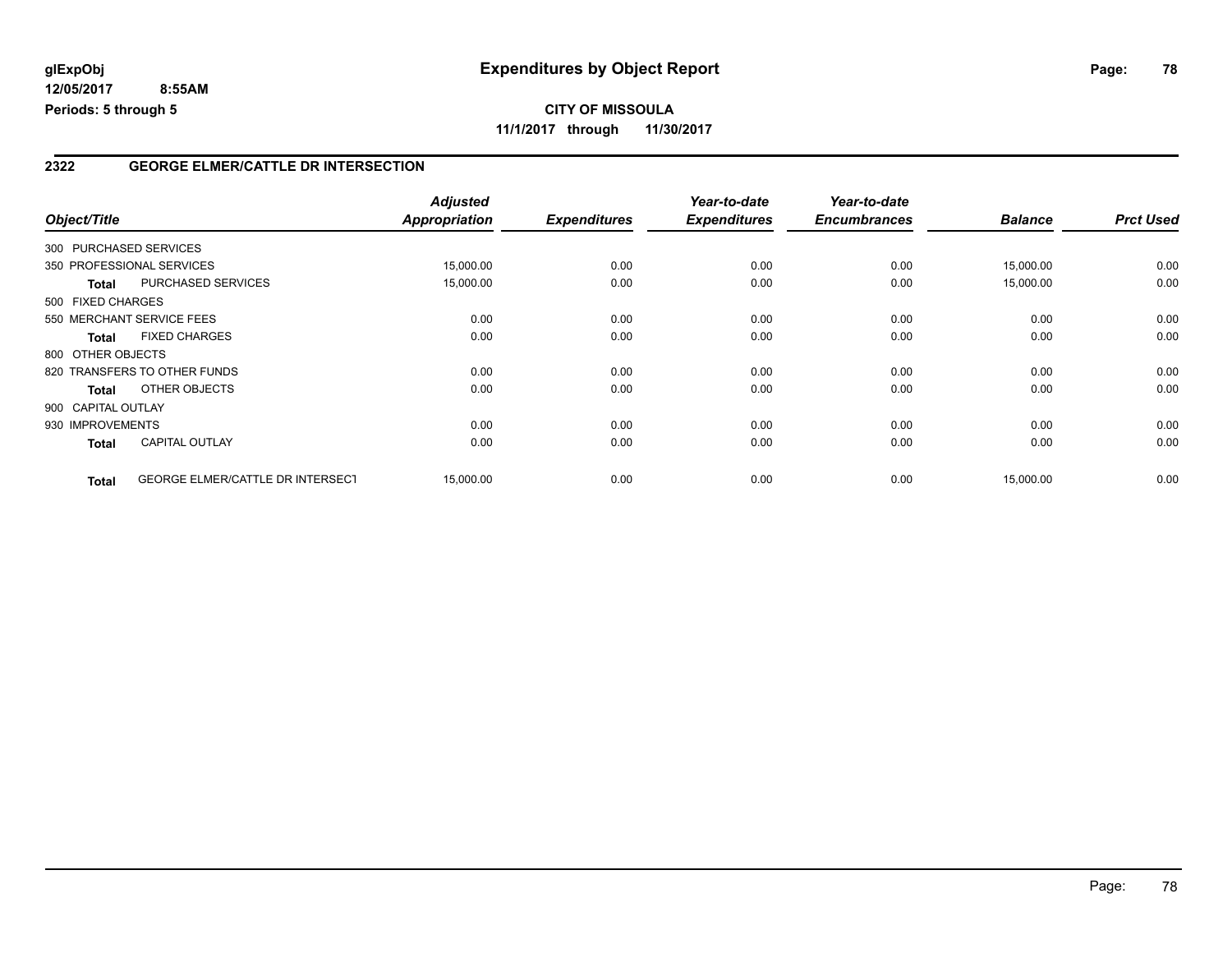### **2322 GEORGE ELMER/CATTLE DR INTERSECTION**

| Object/Title |                                           | <b>Adjusted</b><br><b>Appropriation</b> | <b>Expenditures</b> | Year-to-date<br><b>Expenditures</b> | Year-to-date<br><b>Encumbrances</b> | <b>Balance</b> | <b>Prct Used</b> |
|--------------|-------------------------------------------|-----------------------------------------|---------------------|-------------------------------------|-------------------------------------|----------------|------------------|
|              | 300 PURCHASED SERVICES                    |                                         |                     |                                     |                                     |                |                  |
|              | 350 PROFESSIONAL SERVICES                 |                                         | 0.00                | 0.00                                |                                     |                | 0.00             |
|              |                                           | 15,000.00                               |                     |                                     | 0.00                                | 15,000.00      |                  |
|              | <b>PURCHASED SERVICES</b><br><b>Total</b> | 15,000.00                               | 0.00                | 0.00                                | 0.00                                | 15,000.00      | 0.00             |
|              | 500 FIXED CHARGES                         |                                         |                     |                                     |                                     |                |                  |
|              | 550 MERCHANT SERVICE FEES                 | 0.00                                    | 0.00                | 0.00                                | 0.00                                | 0.00           | 0.00             |
| <b>Total</b> | <b>FIXED CHARGES</b>                      | 0.00                                    | 0.00                | 0.00                                | 0.00                                | 0.00           | 0.00             |
|              | 800 OTHER OBJECTS                         |                                         |                     |                                     |                                     |                |                  |
|              | 820 TRANSFERS TO OTHER FUNDS              | 0.00                                    | 0.00                | 0.00                                | 0.00                                | 0.00           | 0.00             |
| <b>Total</b> | OTHER OBJECTS                             | 0.00                                    | 0.00                | 0.00                                | 0.00                                | 0.00           | 0.00             |
|              | 900 CAPITAL OUTLAY                        |                                         |                     |                                     |                                     |                |                  |
|              | 930 IMPROVEMENTS                          | 0.00                                    | 0.00                | 0.00                                | 0.00                                | 0.00           | 0.00             |
| <b>Total</b> | <b>CAPITAL OUTLAY</b>                     | 0.00                                    | 0.00                | 0.00                                | 0.00                                | 0.00           | 0.00             |
| <b>Total</b> | <b>GEORGE ELMER/CATTLE DR INTERSECT</b>   | 15,000.00                               | 0.00                | 0.00                                | 0.00                                | 15,000.00      | 0.00             |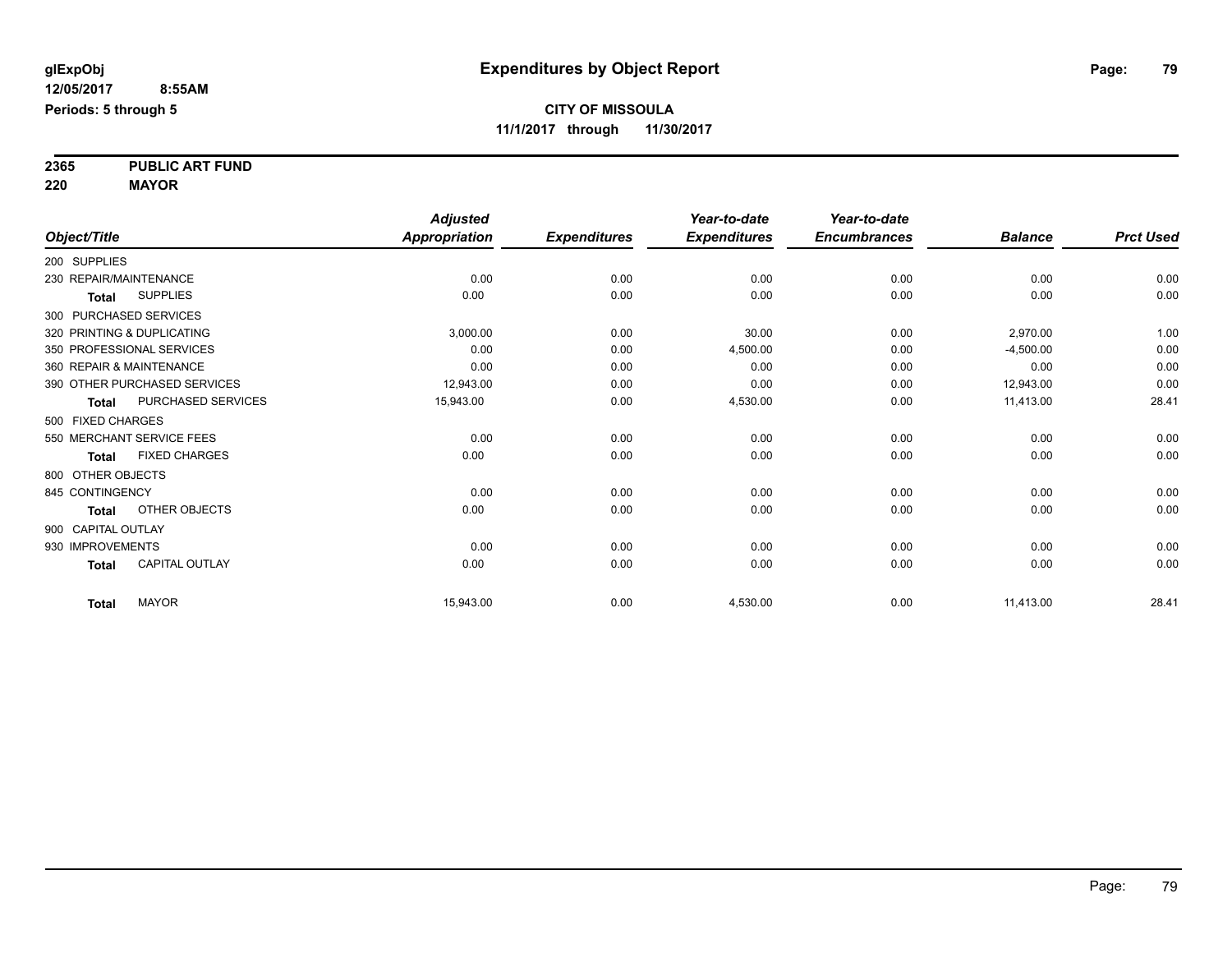**2365 PUBLIC ART FUND**

**220 MAYOR**

|                            |                              | <b>Adjusted</b>      |                     | Year-to-date        | Year-to-date        |                |                  |
|----------------------------|------------------------------|----------------------|---------------------|---------------------|---------------------|----------------|------------------|
| Object/Title               |                              | <b>Appropriation</b> | <b>Expenditures</b> | <b>Expenditures</b> | <b>Encumbrances</b> | <b>Balance</b> | <b>Prct Used</b> |
| 200 SUPPLIES               |                              |                      |                     |                     |                     |                |                  |
| 230 REPAIR/MAINTENANCE     |                              | 0.00                 | 0.00                | 0.00                | 0.00                | 0.00           | 0.00             |
| Total                      | <b>SUPPLIES</b>              | 0.00                 | 0.00                | 0.00                | 0.00                | 0.00           | 0.00             |
| 300 PURCHASED SERVICES     |                              |                      |                     |                     |                     |                |                  |
| 320 PRINTING & DUPLICATING |                              | 3,000.00             | 0.00                | 30.00               | 0.00                | 2,970.00       | 1.00             |
|                            | 350 PROFESSIONAL SERVICES    | 0.00                 | 0.00                | 4,500.00            | 0.00                | $-4,500.00$    | 0.00             |
| 360 REPAIR & MAINTENANCE   |                              | 0.00                 | 0.00                | 0.00                | 0.00                | 0.00           | 0.00             |
|                            | 390 OTHER PURCHASED SERVICES | 12,943.00            | 0.00                | 0.00                | 0.00                | 12,943.00      | 0.00             |
| <b>Total</b>               | PURCHASED SERVICES           | 15,943.00            | 0.00                | 4,530.00            | 0.00                | 11,413.00      | 28.41            |
| 500 FIXED CHARGES          |                              |                      |                     |                     |                     |                |                  |
|                            | 550 MERCHANT SERVICE FEES    | 0.00                 | 0.00                | 0.00                | 0.00                | 0.00           | 0.00             |
| <b>Total</b>               | <b>FIXED CHARGES</b>         | 0.00                 | 0.00                | 0.00                | 0.00                | 0.00           | 0.00             |
| 800 OTHER OBJECTS          |                              |                      |                     |                     |                     |                |                  |
| 845 CONTINGENCY            |                              | 0.00                 | 0.00                | 0.00                | 0.00                | 0.00           | 0.00             |
| <b>Total</b>               | OTHER OBJECTS                | 0.00                 | 0.00                | 0.00                | 0.00                | 0.00           | 0.00             |
| 900 CAPITAL OUTLAY         |                              |                      |                     |                     |                     |                |                  |
| 930 IMPROVEMENTS           |                              | 0.00                 | 0.00                | 0.00                | 0.00                | 0.00           | 0.00             |
| <b>Total</b>               | <b>CAPITAL OUTLAY</b>        | 0.00                 | 0.00                | 0.00                | 0.00                | 0.00           | 0.00             |
| <b>Total</b>               | <b>MAYOR</b>                 | 15,943.00            | 0.00                | 4,530.00            | 0.00                | 11,413.00      | 28.41            |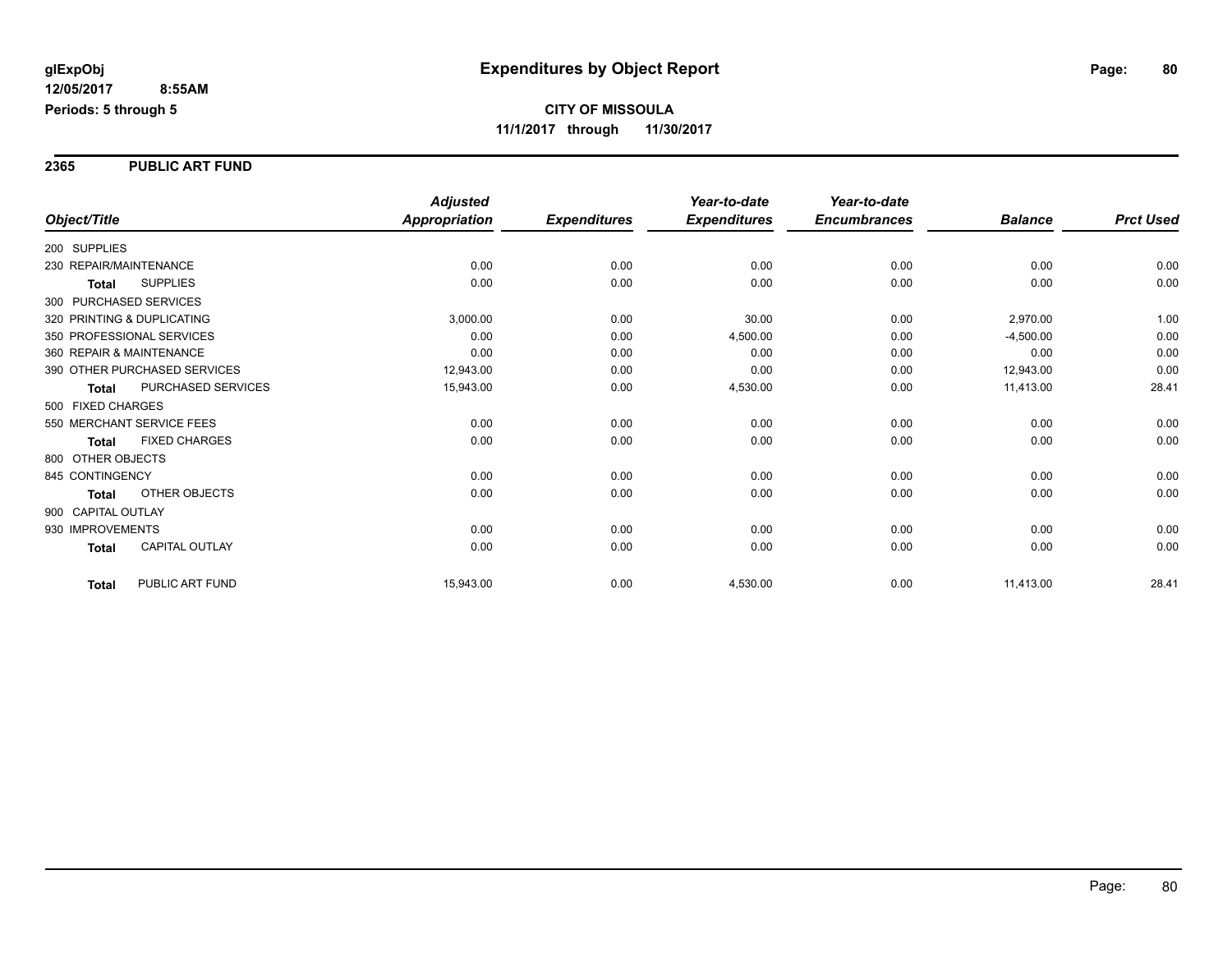**2365 PUBLIC ART FUND**

|                                       | <b>Adjusted</b>      |                     | Year-to-date        | Year-to-date        |                |                  |
|---------------------------------------|----------------------|---------------------|---------------------|---------------------|----------------|------------------|
| Object/Title                          | <b>Appropriation</b> | <b>Expenditures</b> | <b>Expenditures</b> | <b>Encumbrances</b> | <b>Balance</b> | <b>Prct Used</b> |
| 200 SUPPLIES                          |                      |                     |                     |                     |                |                  |
| 230 REPAIR/MAINTENANCE                | 0.00                 | 0.00                | 0.00                | 0.00                | 0.00           | 0.00             |
| <b>SUPPLIES</b><br><b>Total</b>       | 0.00                 | 0.00                | 0.00                | 0.00                | 0.00           | 0.00             |
| 300 PURCHASED SERVICES                |                      |                     |                     |                     |                |                  |
| 320 PRINTING & DUPLICATING            | 3,000.00             | 0.00                | 30.00               | 0.00                | 2,970.00       | 1.00             |
| 350 PROFESSIONAL SERVICES             | 0.00                 | 0.00                | 4,500.00            | 0.00                | $-4,500.00$    | 0.00             |
| 360 REPAIR & MAINTENANCE              | 0.00                 | 0.00                | 0.00                | 0.00                | 0.00           | 0.00             |
| 390 OTHER PURCHASED SERVICES          | 12,943.00            | 0.00                | 0.00                | 0.00                | 12,943.00      | 0.00             |
| PURCHASED SERVICES<br><b>Total</b>    | 15,943.00            | 0.00                | 4,530.00            | 0.00                | 11,413.00      | 28.41            |
| 500 FIXED CHARGES                     |                      |                     |                     |                     |                |                  |
| 550 MERCHANT SERVICE FEES             | 0.00                 | 0.00                | 0.00                | 0.00                | 0.00           | 0.00             |
| <b>FIXED CHARGES</b><br><b>Total</b>  | 0.00                 | 0.00                | 0.00                | 0.00                | 0.00           | 0.00             |
| 800 OTHER OBJECTS                     |                      |                     |                     |                     |                |                  |
| 845 CONTINGENCY                       | 0.00                 | 0.00                | 0.00                | 0.00                | 0.00           | 0.00             |
| OTHER OBJECTS<br><b>Total</b>         | 0.00                 | 0.00                | 0.00                | 0.00                | 0.00           | 0.00             |
| 900 CAPITAL OUTLAY                    |                      |                     |                     |                     |                |                  |
| 930 IMPROVEMENTS                      | 0.00                 | 0.00                | 0.00                | 0.00                | 0.00           | 0.00             |
| <b>CAPITAL OUTLAY</b><br><b>Total</b> | 0.00                 | 0.00                | 0.00                | 0.00                | 0.00           | 0.00             |
| PUBLIC ART FUND<br><b>Total</b>       | 15,943.00            | 0.00                | 4,530.00            | 0.00                | 11,413.00      | 28.41            |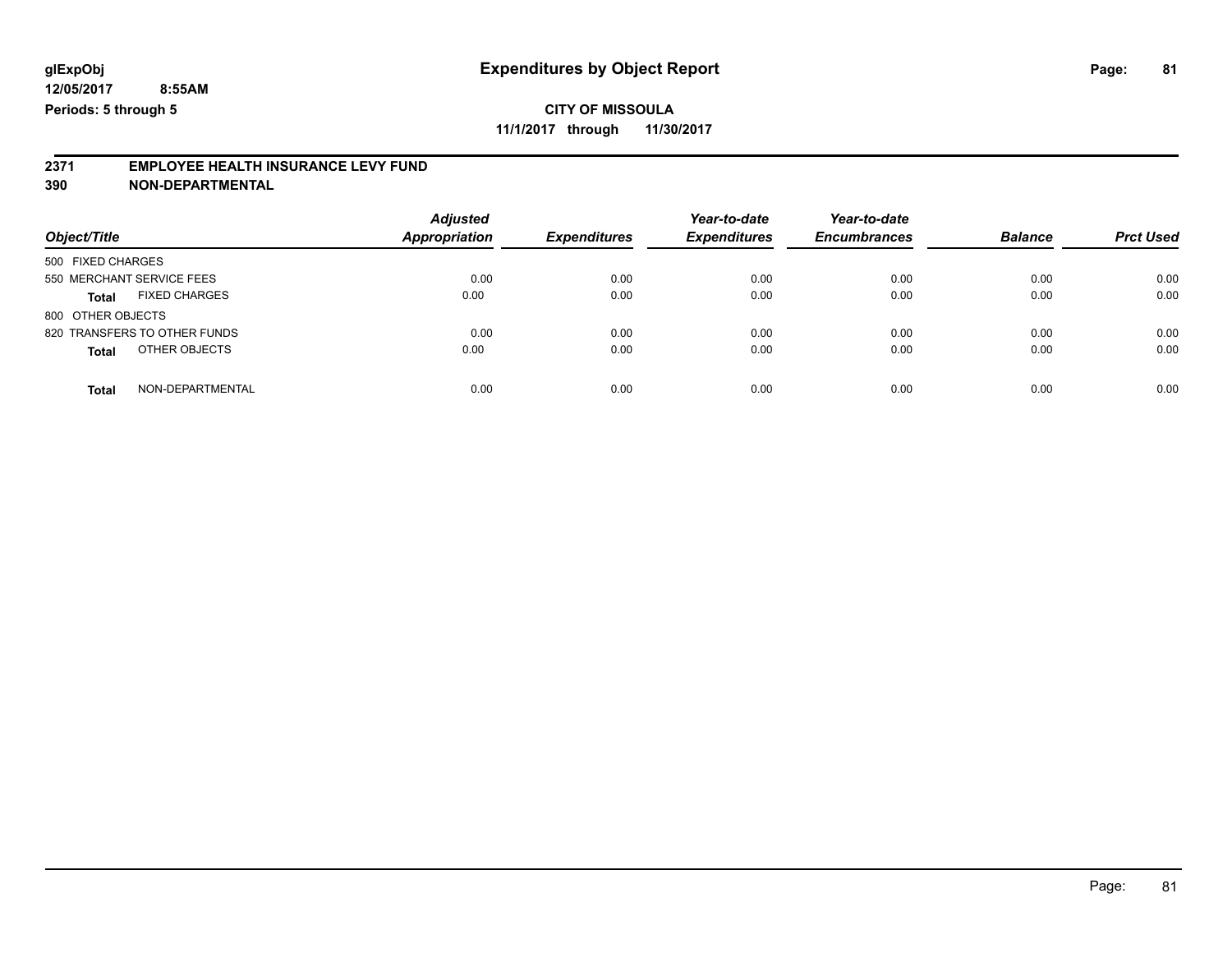## **CITY OF MISSOULA**

**11/1/2017 through 11/30/2017**

# **2371 EMPLOYEE HEALTH INSURANCE LEVY FUND**

**390 NON-DEPARTMENTAL**

| Object/Title                         | <b>Adjusted</b><br><b>Appropriation</b> | <b>Expenditures</b> | Year-to-date<br><b>Expenditures</b> | Year-to-date<br><b>Encumbrances</b> | <b>Balance</b> | <b>Prct Used</b> |
|--------------------------------------|-----------------------------------------|---------------------|-------------------------------------|-------------------------------------|----------------|------------------|
| 500 FIXED CHARGES                    |                                         |                     |                                     |                                     |                |                  |
| 550 MERCHANT SERVICE FEES            | 0.00                                    | 0.00                | 0.00                                | 0.00                                | 0.00           | 0.00             |
| <b>FIXED CHARGES</b><br><b>Total</b> | 0.00                                    | 0.00                | 0.00                                | 0.00                                | 0.00           | 0.00             |
| 800 OTHER OBJECTS                    |                                         |                     |                                     |                                     |                |                  |
| 820 TRANSFERS TO OTHER FUNDS         | 0.00                                    | 0.00                | 0.00                                | 0.00                                | 0.00           | 0.00             |
| OTHER OBJECTS<br><b>Total</b>        | 0.00                                    | 0.00                | 0.00                                | 0.00                                | 0.00           | 0.00             |
| NON-DEPARTMENTAL<br><b>Total</b>     | 0.00                                    | 0.00                | 0.00                                | 0.00                                | 0.00           | 0.00             |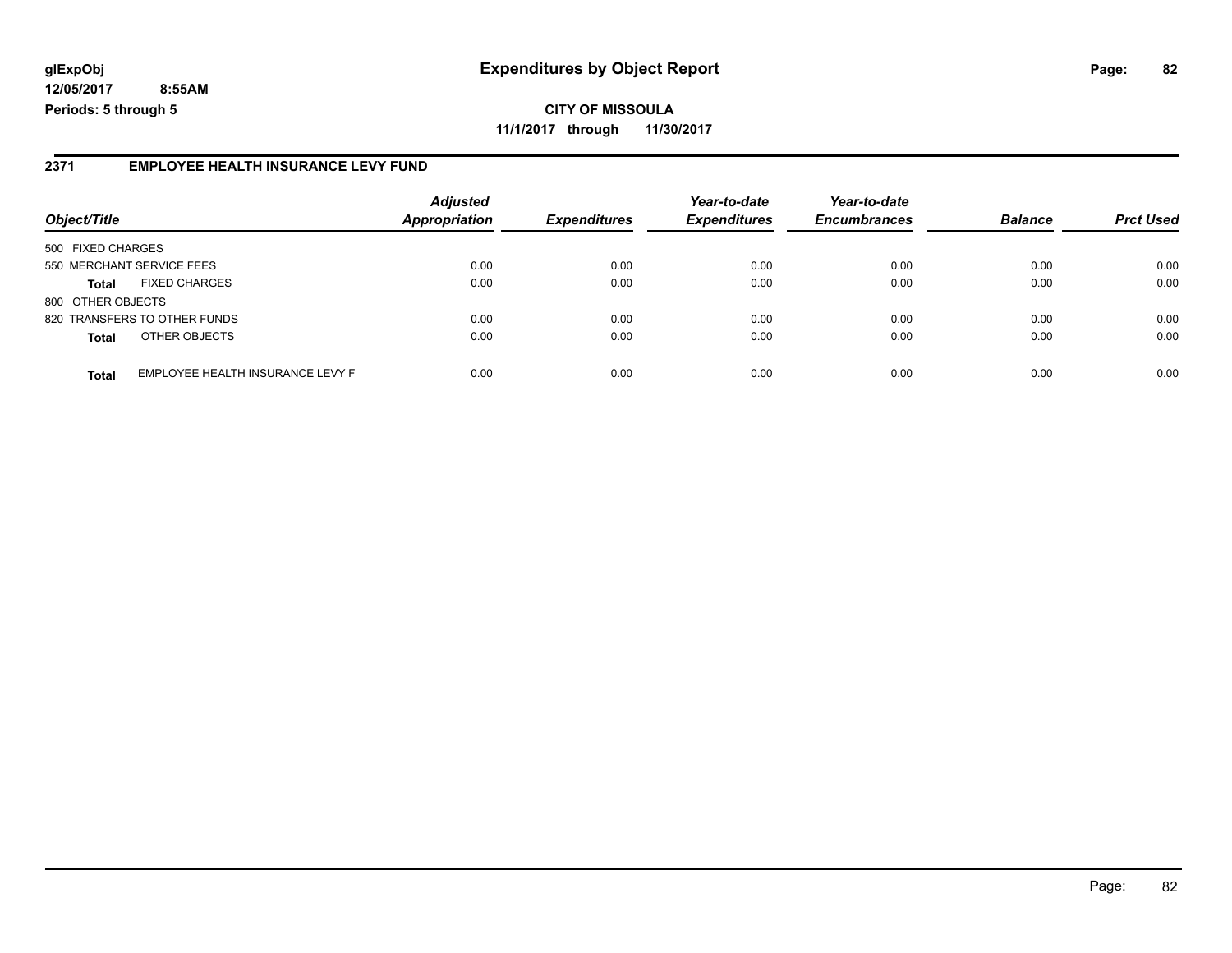**CITY OF MISSOULA 11/1/2017 through 11/30/2017**

### **2371 EMPLOYEE HEALTH INSURANCE LEVY FUND**

| Object/Title                 |                                  | <b>Adjusted</b><br><b>Appropriation</b> | <b>Expenditures</b> | Year-to-date<br><b>Expenditures</b> | Year-to-date<br><b>Encumbrances</b> | <b>Balance</b> | <b>Prct Used</b> |
|------------------------------|----------------------------------|-----------------------------------------|---------------------|-------------------------------------|-------------------------------------|----------------|------------------|
|                              |                                  |                                         |                     |                                     |                                     |                |                  |
| 500 FIXED CHARGES            |                                  |                                         |                     |                                     |                                     |                |                  |
| 550 MERCHANT SERVICE FEES    |                                  | 0.00                                    | 0.00                | 0.00                                | 0.00                                | 0.00           | 0.00             |
| <b>Total</b>                 | <b>FIXED CHARGES</b>             | 0.00                                    | 0.00                | 0.00                                | 0.00                                | 0.00           | 0.00             |
| 800 OTHER OBJECTS            |                                  |                                         |                     |                                     |                                     |                |                  |
| 820 TRANSFERS TO OTHER FUNDS |                                  | 0.00                                    | 0.00                | 0.00                                | 0.00                                | 0.00           | 0.00             |
| <b>Total</b>                 | OTHER OBJECTS                    | 0.00                                    | 0.00                | 0.00                                | 0.00                                | 0.00           | 0.00             |
| <b>Total</b>                 | EMPLOYEE HEALTH INSURANCE LEVY F | 0.00                                    | 0.00                | 0.00                                | 0.00                                | 0.00           | 0.00             |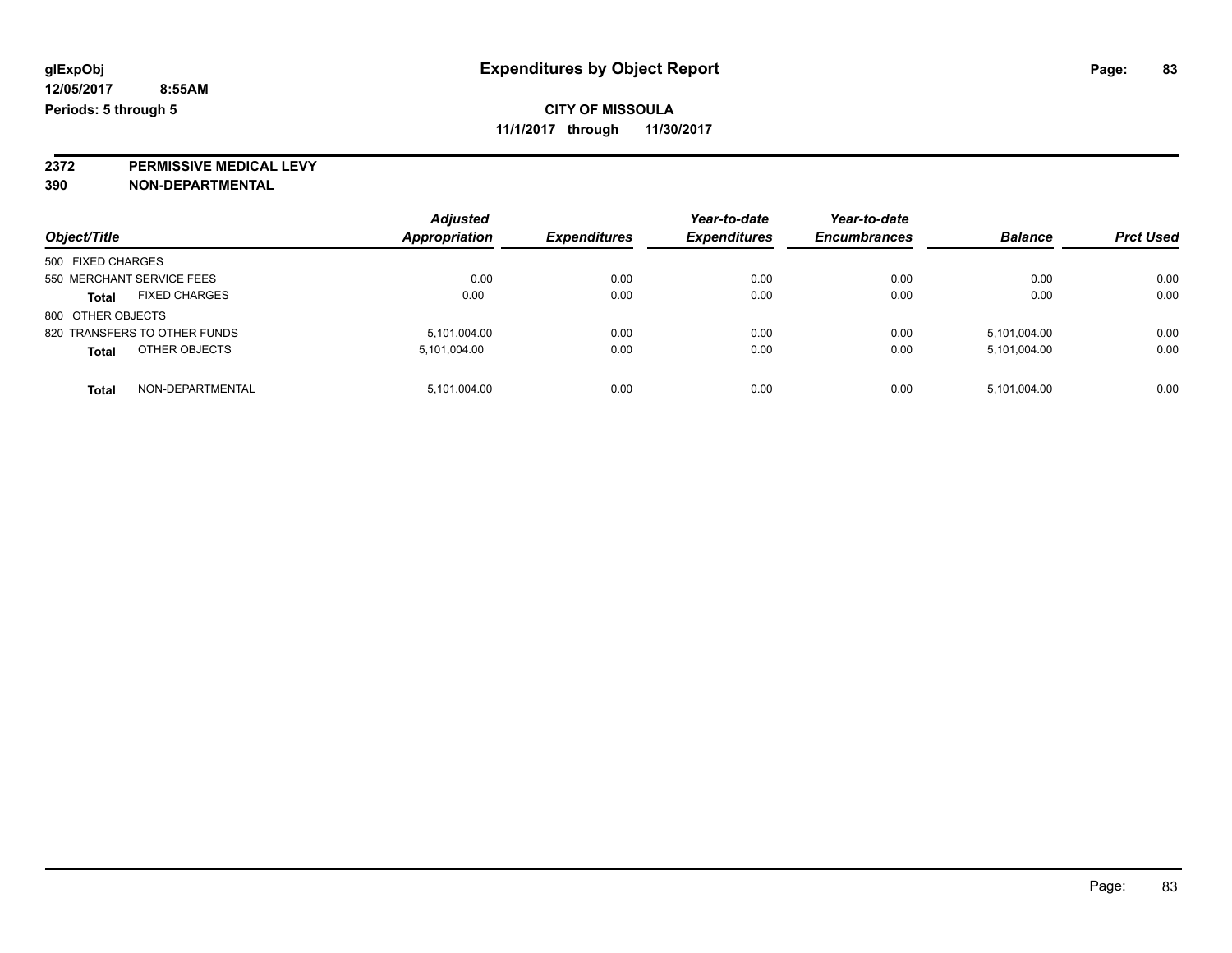**2372 PERMISSIVE MEDICAL LEVY**

**390 NON-DEPARTMENTAL**

| Object/Title                         | <b>Adjusted</b><br>Appropriation | <b>Expenditures</b> | Year-to-date<br><b>Expenditures</b> | Year-to-date<br><b>Encumbrances</b> | <b>Balance</b> | <b>Prct Used</b> |
|--------------------------------------|----------------------------------|---------------------|-------------------------------------|-------------------------------------|----------------|------------------|
| 500 FIXED CHARGES                    |                                  |                     |                                     |                                     |                |                  |
| 550 MERCHANT SERVICE FEES            | 0.00                             | 0.00                | 0.00                                | 0.00                                | 0.00           | 0.00             |
| <b>FIXED CHARGES</b><br><b>Total</b> | 0.00                             | 0.00                | 0.00                                | 0.00                                | 0.00           | 0.00             |
| 800 OTHER OBJECTS                    |                                  |                     |                                     |                                     |                |                  |
| 820 TRANSFERS TO OTHER FUNDS         | 5,101,004.00                     | 0.00                | 0.00                                | 0.00                                | 5,101,004.00   | 0.00             |
| OTHER OBJECTS<br><b>Total</b>        | 5,101,004.00                     | 0.00                | 0.00                                | 0.00                                | 5,101,004.00   | 0.00             |
| NON-DEPARTMENTAL<br><b>Total</b>     | 5,101,004.00                     | 0.00                | 0.00                                | 0.00                                | 5,101,004.00   | 0.00             |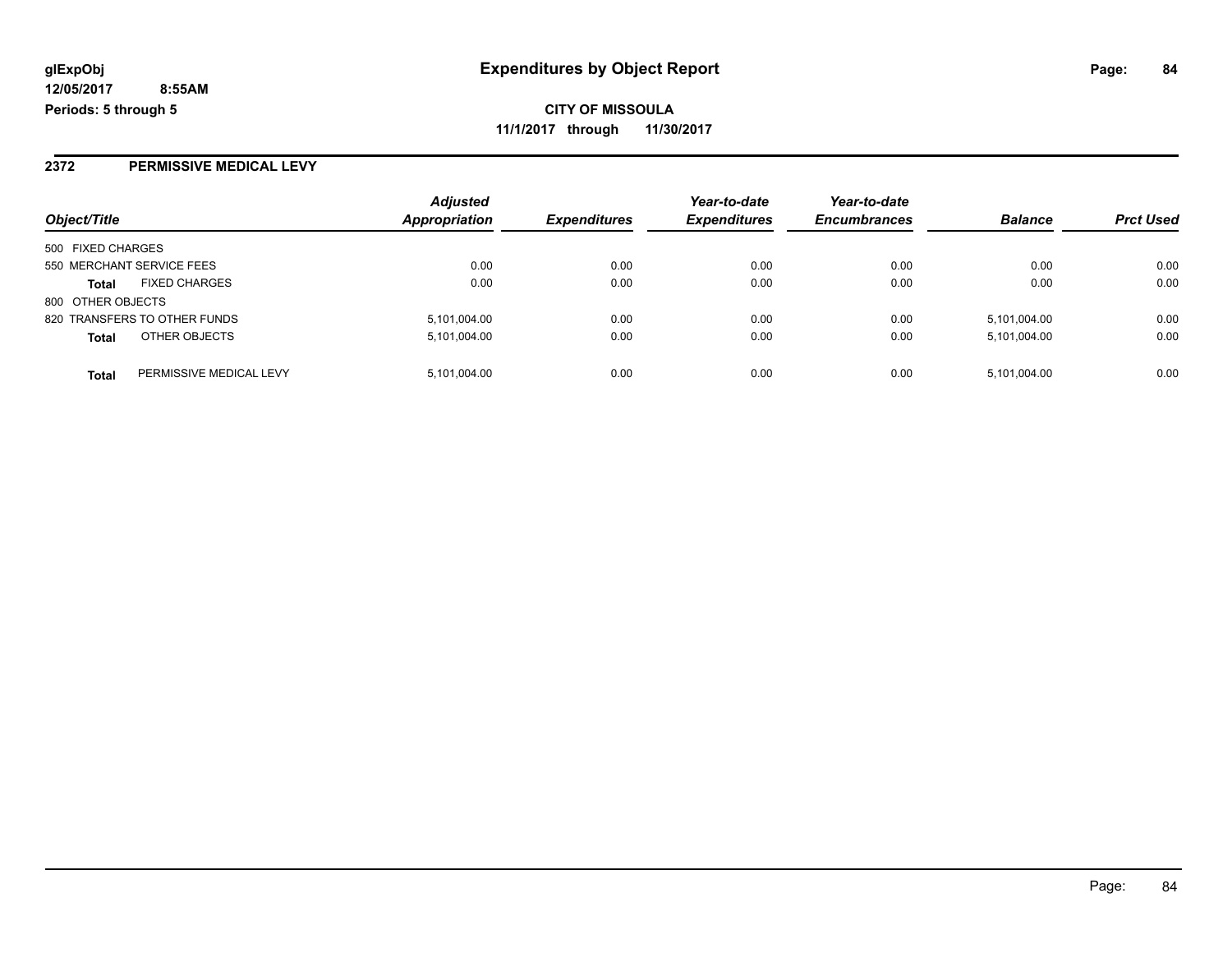### **2372 PERMISSIVE MEDICAL LEVY**

|                   |                              | <b>Adjusted</b>      |                     | Year-to-date        | Year-to-date        |                |                  |
|-------------------|------------------------------|----------------------|---------------------|---------------------|---------------------|----------------|------------------|
| Object/Title      |                              | <b>Appropriation</b> | <b>Expenditures</b> | <b>Expenditures</b> | <b>Encumbrances</b> | <b>Balance</b> | <b>Prct Used</b> |
| 500 FIXED CHARGES |                              |                      |                     |                     |                     |                |                  |
|                   | 550 MERCHANT SERVICE FEES    | 0.00                 | 0.00                | 0.00                | 0.00                | 0.00           | 0.00             |
| <b>Total</b>      | <b>FIXED CHARGES</b>         | 0.00                 | 0.00                | 0.00                | 0.00                | 0.00           | 0.00             |
| 800 OTHER OBJECTS |                              |                      |                     |                     |                     |                |                  |
|                   | 820 TRANSFERS TO OTHER FUNDS | 5,101,004.00         | 0.00                | 0.00                | 0.00                | 5,101,004.00   | 0.00             |
| <b>Total</b>      | OTHER OBJECTS                | 5,101,004.00         | 0.00                | 0.00                | 0.00                | 5,101,004.00   | 0.00             |
| <b>Total</b>      | PERMISSIVE MEDICAL LEVY      | 5,101,004.00         | 0.00                | 0.00                | 0.00                | 5,101,004.00   | 0.00             |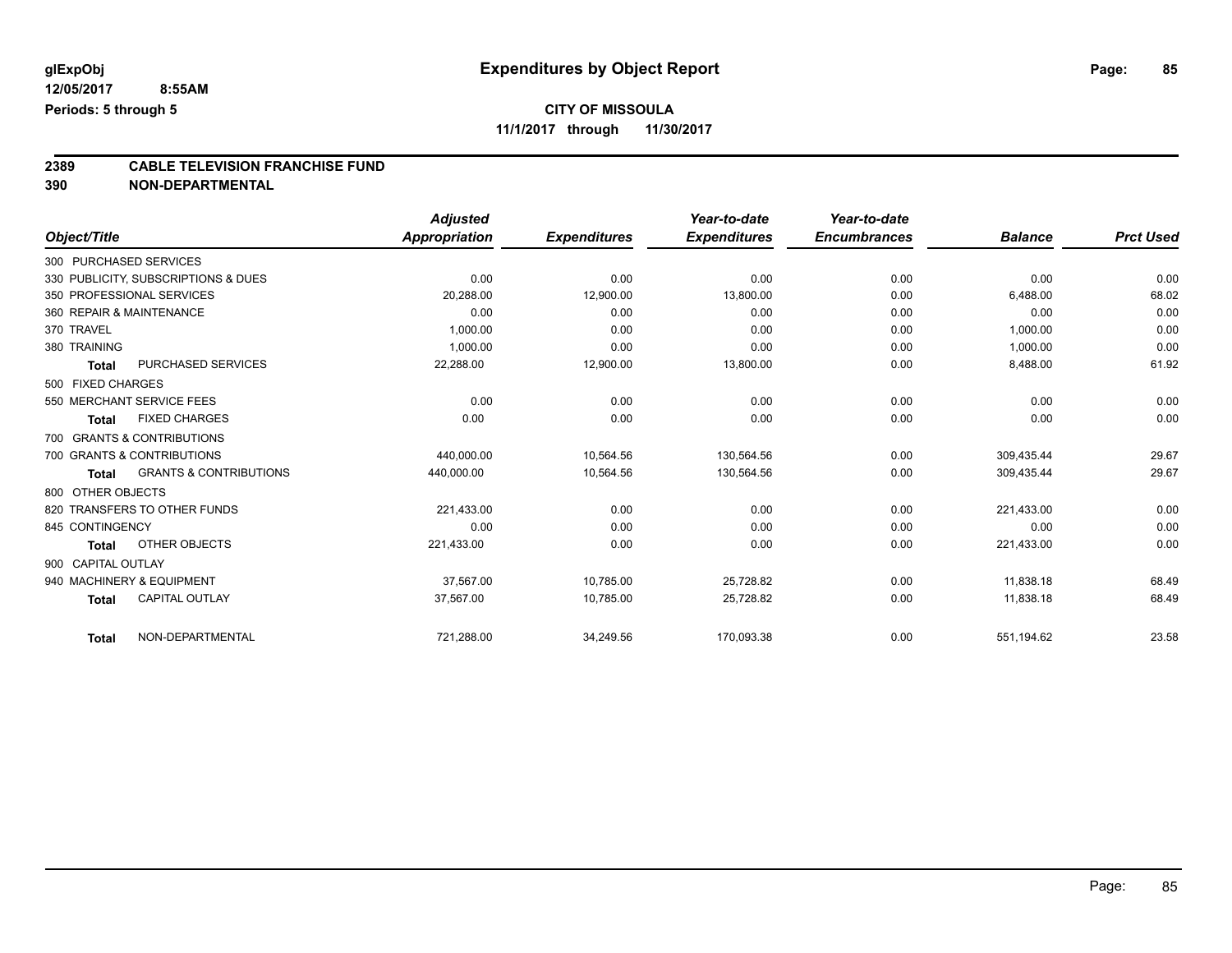## **CITY OF MISSOULA**

**11/1/2017 through 11/30/2017**

# **2389 CABLE TELEVISION FRANCHISE FUND**

**390 NON-DEPARTMENTAL**

|                        |                                     | <b>Adjusted</b> |                     | Year-to-date        | Year-to-date        |                |                  |
|------------------------|-------------------------------------|-----------------|---------------------|---------------------|---------------------|----------------|------------------|
| Object/Title           |                                     | Appropriation   | <b>Expenditures</b> | <b>Expenditures</b> | <b>Encumbrances</b> | <b>Balance</b> | <b>Prct Used</b> |
| 300 PURCHASED SERVICES |                                     |                 |                     |                     |                     |                |                  |
|                        | 330 PUBLICITY, SUBSCRIPTIONS & DUES | 0.00            | 0.00                | 0.00                | 0.00                | 0.00           | 0.00             |
|                        | 350 PROFESSIONAL SERVICES           | 20,288.00       | 12,900.00           | 13,800.00           | 0.00                | 6,488.00       | 68.02            |
|                        | 360 REPAIR & MAINTENANCE            | 0.00            | 0.00                | 0.00                | 0.00                | 0.00           | 0.00             |
| 370 TRAVEL             |                                     | 1,000.00        | 0.00                | 0.00                | 0.00                | 1,000.00       | 0.00             |
| 380 TRAINING           |                                     | 1,000.00        | 0.00                | 0.00                | 0.00                | 1,000.00       | 0.00             |
| <b>Total</b>           | <b>PURCHASED SERVICES</b>           | 22,288.00       | 12,900.00           | 13,800.00           | 0.00                | 8,488.00       | 61.92            |
| 500 FIXED CHARGES      |                                     |                 |                     |                     |                     |                |                  |
|                        | 550 MERCHANT SERVICE FEES           | 0.00            | 0.00                | 0.00                | 0.00                | 0.00           | 0.00             |
| <b>Total</b>           | <b>FIXED CHARGES</b>                | 0.00            | 0.00                | 0.00                | 0.00                | 0.00           | 0.00             |
|                        | 700 GRANTS & CONTRIBUTIONS          |                 |                     |                     |                     |                |                  |
|                        | 700 GRANTS & CONTRIBUTIONS          | 440,000.00      | 10,564.56           | 130,564.56          | 0.00                | 309.435.44     | 29.67            |
| <b>Total</b>           | <b>GRANTS &amp; CONTRIBUTIONS</b>   | 440,000.00      | 10,564.56           | 130,564.56          | 0.00                | 309,435.44     | 29.67            |
| 800 OTHER OBJECTS      |                                     |                 |                     |                     |                     |                |                  |
|                        | 820 TRANSFERS TO OTHER FUNDS        | 221,433.00      | 0.00                | 0.00                | 0.00                | 221,433.00     | 0.00             |
| 845 CONTINGENCY        |                                     | 0.00            | 0.00                | 0.00                | 0.00                | 0.00           | 0.00             |
| <b>Total</b>           | OTHER OBJECTS                       | 221,433.00      | 0.00                | 0.00                | 0.00                | 221,433.00     | 0.00             |
| 900 CAPITAL OUTLAY     |                                     |                 |                     |                     |                     |                |                  |
|                        | 940 MACHINERY & EQUIPMENT           | 37,567.00       | 10,785.00           | 25,728.82           | 0.00                | 11,838.18      | 68.49            |
| <b>Total</b>           | <b>CAPITAL OUTLAY</b>               | 37,567.00       | 10,785.00           | 25,728.82           | 0.00                | 11,838.18      | 68.49            |
| <b>Total</b>           | NON-DEPARTMENTAL                    | 721,288.00      | 34,249.56           | 170,093.38          | 0.00                | 551,194.62     | 23.58            |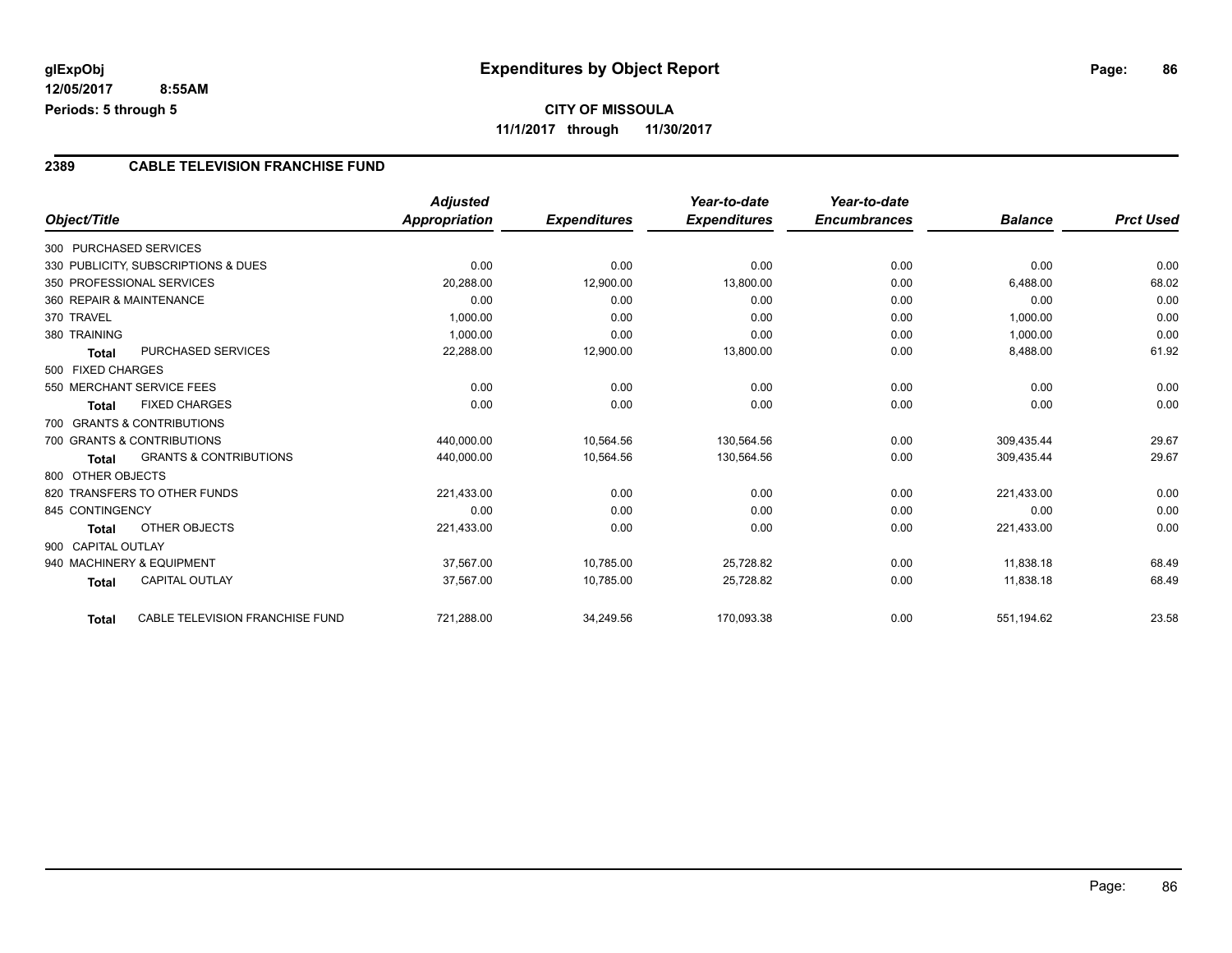## **CITY OF MISSOULA 11/1/2017 through 11/30/2017**

### **2389 CABLE TELEVISION FRANCHISE FUND**

|                          |                                     | <b>Adjusted</b> |                     | Year-to-date        | Year-to-date        |                |                  |
|--------------------------|-------------------------------------|-----------------|---------------------|---------------------|---------------------|----------------|------------------|
| Object/Title             |                                     | Appropriation   | <b>Expenditures</b> | <b>Expenditures</b> | <b>Encumbrances</b> | <b>Balance</b> | <b>Prct Used</b> |
| 300 PURCHASED SERVICES   |                                     |                 |                     |                     |                     |                |                  |
|                          | 330 PUBLICITY, SUBSCRIPTIONS & DUES | 0.00            | 0.00                | 0.00                | 0.00                | 0.00           | 0.00             |
|                          | 350 PROFESSIONAL SERVICES           | 20,288.00       | 12,900.00           | 13,800.00           | 0.00                | 6,488.00       | 68.02            |
| 360 REPAIR & MAINTENANCE |                                     | 0.00            | 0.00                | 0.00                | 0.00                | 0.00           | 0.00             |
| 370 TRAVEL               |                                     | 1,000.00        | 0.00                | 0.00                | 0.00                | 1,000.00       | 0.00             |
| 380 TRAINING             |                                     | 1,000.00        | 0.00                | 0.00                | 0.00                | 1,000.00       | 0.00             |
| <b>Total</b>             | <b>PURCHASED SERVICES</b>           | 22,288.00       | 12,900.00           | 13,800.00           | 0.00                | 8,488.00       | 61.92            |
| 500 FIXED CHARGES        |                                     |                 |                     |                     |                     |                |                  |
|                          | 550 MERCHANT SERVICE FEES           | 0.00            | 0.00                | 0.00                | 0.00                | 0.00           | 0.00             |
| <b>Total</b>             | <b>FIXED CHARGES</b>                | 0.00            | 0.00                | 0.00                | 0.00                | 0.00           | 0.00             |
|                          | 700 GRANTS & CONTRIBUTIONS          |                 |                     |                     |                     |                |                  |
|                          | 700 GRANTS & CONTRIBUTIONS          | 440,000.00      | 10,564.56           | 130,564.56          | 0.00                | 309,435.44     | 29.67            |
| <b>Total</b>             | <b>GRANTS &amp; CONTRIBUTIONS</b>   | 440,000.00      | 10,564.56           | 130,564.56          | 0.00                | 309,435.44     | 29.67            |
| 800 OTHER OBJECTS        |                                     |                 |                     |                     |                     |                |                  |
|                          | 820 TRANSFERS TO OTHER FUNDS        | 221,433.00      | 0.00                | 0.00                | 0.00                | 221,433.00     | 0.00             |
| 845 CONTINGENCY          |                                     | 0.00            | 0.00                | 0.00                | 0.00                | 0.00           | 0.00             |
| Total                    | OTHER OBJECTS                       | 221,433.00      | 0.00                | 0.00                | 0.00                | 221,433.00     | 0.00             |
| 900 CAPITAL OUTLAY       |                                     |                 |                     |                     |                     |                |                  |
|                          | 940 MACHINERY & EQUIPMENT           | 37,567.00       | 10,785.00           | 25,728.82           | 0.00                | 11,838.18      | 68.49            |
| <b>Total</b>             | <b>CAPITAL OUTLAY</b>               | 37,567.00       | 10,785.00           | 25,728.82           | 0.00                | 11,838.18      | 68.49            |
| <b>Total</b>             | CABLE TELEVISION FRANCHISE FUND     | 721,288.00      | 34,249.56           | 170,093.38          | 0.00                | 551,194.62     | 23.58            |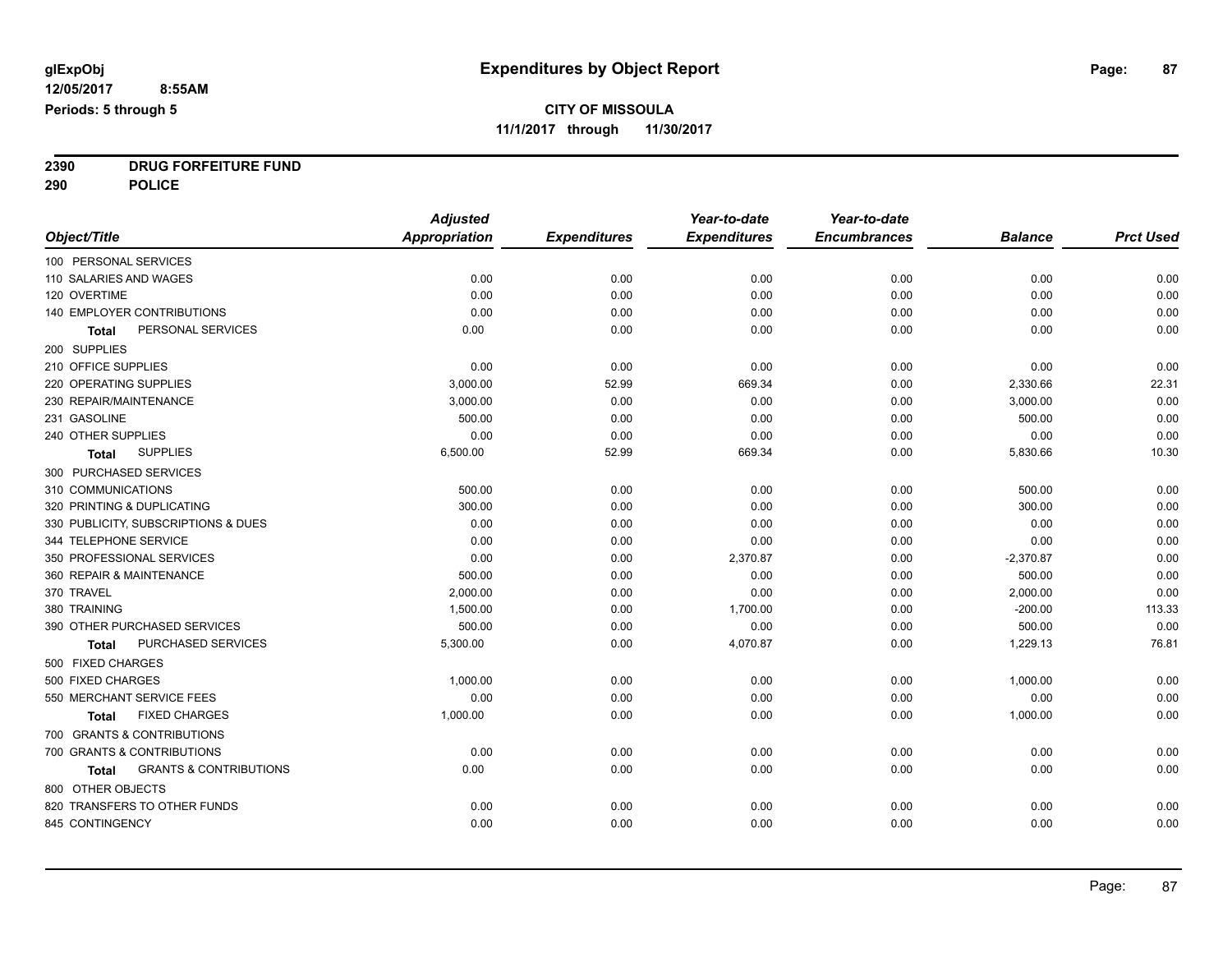**2390 DRUG FORFEITURE FUND**

**290 POLICE**

|                                                   | <b>Adjusted</b>      |                     | Year-to-date        | Year-to-date        |                |                  |
|---------------------------------------------------|----------------------|---------------------|---------------------|---------------------|----------------|------------------|
| Object/Title                                      | <b>Appropriation</b> | <b>Expenditures</b> | <b>Expenditures</b> | <b>Encumbrances</b> | <b>Balance</b> | <b>Prct Used</b> |
| 100 PERSONAL SERVICES                             |                      |                     |                     |                     |                |                  |
| 110 SALARIES AND WAGES                            | 0.00                 | 0.00                | 0.00                | 0.00                | 0.00           | 0.00             |
| 120 OVERTIME                                      | 0.00                 | 0.00                | 0.00                | 0.00                | 0.00           | 0.00             |
| 140 EMPLOYER CONTRIBUTIONS                        | 0.00                 | 0.00                | 0.00                | 0.00                | 0.00           | 0.00             |
| PERSONAL SERVICES<br>Total                        | 0.00                 | 0.00                | 0.00                | 0.00                | 0.00           | 0.00             |
| 200 SUPPLIES                                      |                      |                     |                     |                     |                |                  |
| 210 OFFICE SUPPLIES                               | 0.00                 | 0.00                | 0.00                | 0.00                | 0.00           | 0.00             |
| 220 OPERATING SUPPLIES                            | 3,000.00             | 52.99               | 669.34              | 0.00                | 2,330.66       | 22.31            |
| 230 REPAIR/MAINTENANCE                            | 3,000.00             | 0.00                | 0.00                | 0.00                | 3,000.00       | 0.00             |
| 231 GASOLINE                                      | 500.00               | 0.00                | 0.00                | 0.00                | 500.00         | 0.00             |
| 240 OTHER SUPPLIES                                | 0.00                 | 0.00                | 0.00                | 0.00                | 0.00           | 0.00             |
| <b>SUPPLIES</b><br>Total                          | 6,500.00             | 52.99               | 669.34              | 0.00                | 5,830.66       | 10.30            |
| 300 PURCHASED SERVICES                            |                      |                     |                     |                     |                |                  |
| 310 COMMUNICATIONS                                | 500.00               | 0.00                | 0.00                | 0.00                | 500.00         | 0.00             |
| 320 PRINTING & DUPLICATING                        | 300.00               | 0.00                | 0.00                | 0.00                | 300.00         | 0.00             |
| 330 PUBLICITY, SUBSCRIPTIONS & DUES               | 0.00                 | 0.00                | 0.00                | 0.00                | 0.00           | 0.00             |
| 344 TELEPHONE SERVICE                             | 0.00                 | 0.00                | 0.00                | 0.00                | 0.00           | 0.00             |
| 350 PROFESSIONAL SERVICES                         | 0.00                 | 0.00                | 2,370.87            | 0.00                | $-2,370.87$    | 0.00             |
| 360 REPAIR & MAINTENANCE                          | 500.00               | 0.00                | 0.00                | 0.00                | 500.00         | 0.00             |
| 370 TRAVEL                                        | 2,000.00             | 0.00                | 0.00                | 0.00                | 2,000.00       | 0.00             |
| 380 TRAINING                                      | 1,500.00             | 0.00                | 1,700.00            | 0.00                | $-200.00$      | 113.33           |
| 390 OTHER PURCHASED SERVICES                      | 500.00               | 0.00                | 0.00                | 0.00                | 500.00         | 0.00             |
| PURCHASED SERVICES<br><b>Total</b>                | 5,300.00             | 0.00                | 4,070.87            | 0.00                | 1,229.13       | 76.81            |
| 500 FIXED CHARGES                                 |                      |                     |                     |                     |                |                  |
| 500 FIXED CHARGES                                 | 1,000.00             | 0.00                | 0.00                | 0.00                | 1,000.00       | 0.00             |
| 550 MERCHANT SERVICE FEES                         | 0.00                 | 0.00                | 0.00                | 0.00                | 0.00           | 0.00             |
| <b>FIXED CHARGES</b><br>Total                     | 1,000.00             | 0.00                | 0.00                | 0.00                | 1,000.00       | 0.00             |
| 700 GRANTS & CONTRIBUTIONS                        |                      |                     |                     |                     |                |                  |
| 700 GRANTS & CONTRIBUTIONS                        | 0.00                 | 0.00                | 0.00                | 0.00                | 0.00           | 0.00             |
| <b>GRANTS &amp; CONTRIBUTIONS</b><br><b>Total</b> | 0.00                 | 0.00                | 0.00                | 0.00                | 0.00           | 0.00             |
| 800 OTHER OBJECTS                                 |                      |                     |                     |                     |                |                  |
| 820 TRANSFERS TO OTHER FUNDS                      | 0.00                 | 0.00                | 0.00                | 0.00                | 0.00           | 0.00             |
| 845 CONTINGENCY                                   | 0.00                 | 0.00                | 0.00                | 0.00                | 0.00           | 0.00             |
|                                                   |                      |                     |                     |                     |                |                  |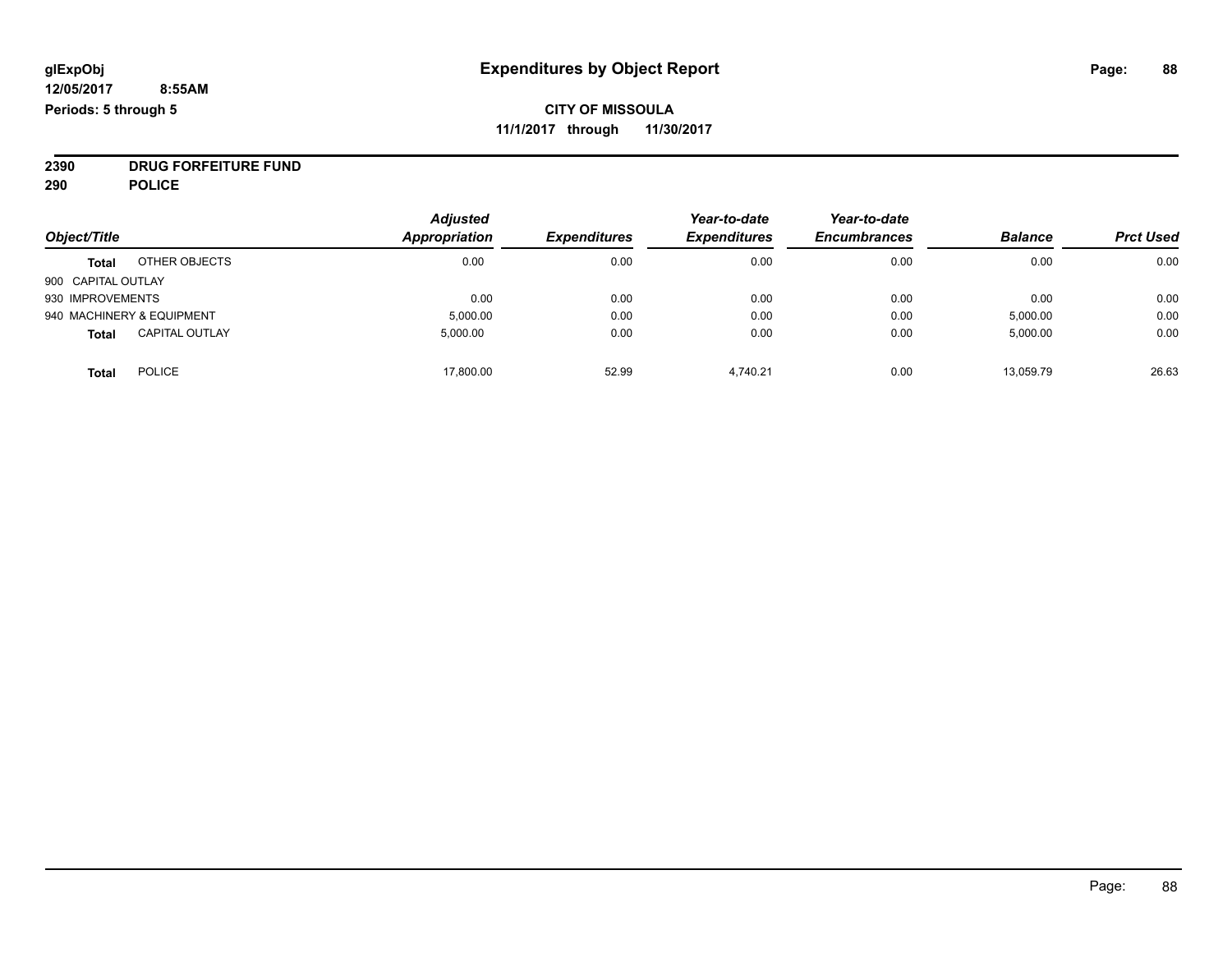**2390 DRUG FORFEITURE FUND**

**290 POLICE**

|                    |                           | <b>Adjusted</b> |                     | Year-to-date        | Year-to-date        |                |                  |
|--------------------|---------------------------|-----------------|---------------------|---------------------|---------------------|----------------|------------------|
| Object/Title       |                           | Appropriation   | <b>Expenditures</b> | <b>Expenditures</b> | <b>Encumbrances</b> | <b>Balance</b> | <b>Prct Used</b> |
| <b>Total</b>       | OTHER OBJECTS             | 0.00            | 0.00                | 0.00                | 0.00                | 0.00           | 0.00             |
| 900 CAPITAL OUTLAY |                           |                 |                     |                     |                     |                |                  |
| 930 IMPROVEMENTS   |                           | 0.00            | 0.00                | 0.00                | 0.00                | 0.00           | 0.00             |
|                    | 940 MACHINERY & EQUIPMENT | 5,000.00        | 0.00                | 0.00                | 0.00                | 5,000.00       | 0.00             |
| <b>Total</b>       | <b>CAPITAL OUTLAY</b>     | 5,000.00        | 0.00                | 0.00                | 0.00                | 5,000.00       | 0.00             |
| <b>Total</b>       | <b>POLICE</b>             | 17,800.00       | 52.99               | 4,740.21            | 0.00                | 13,059.79      | 26.63            |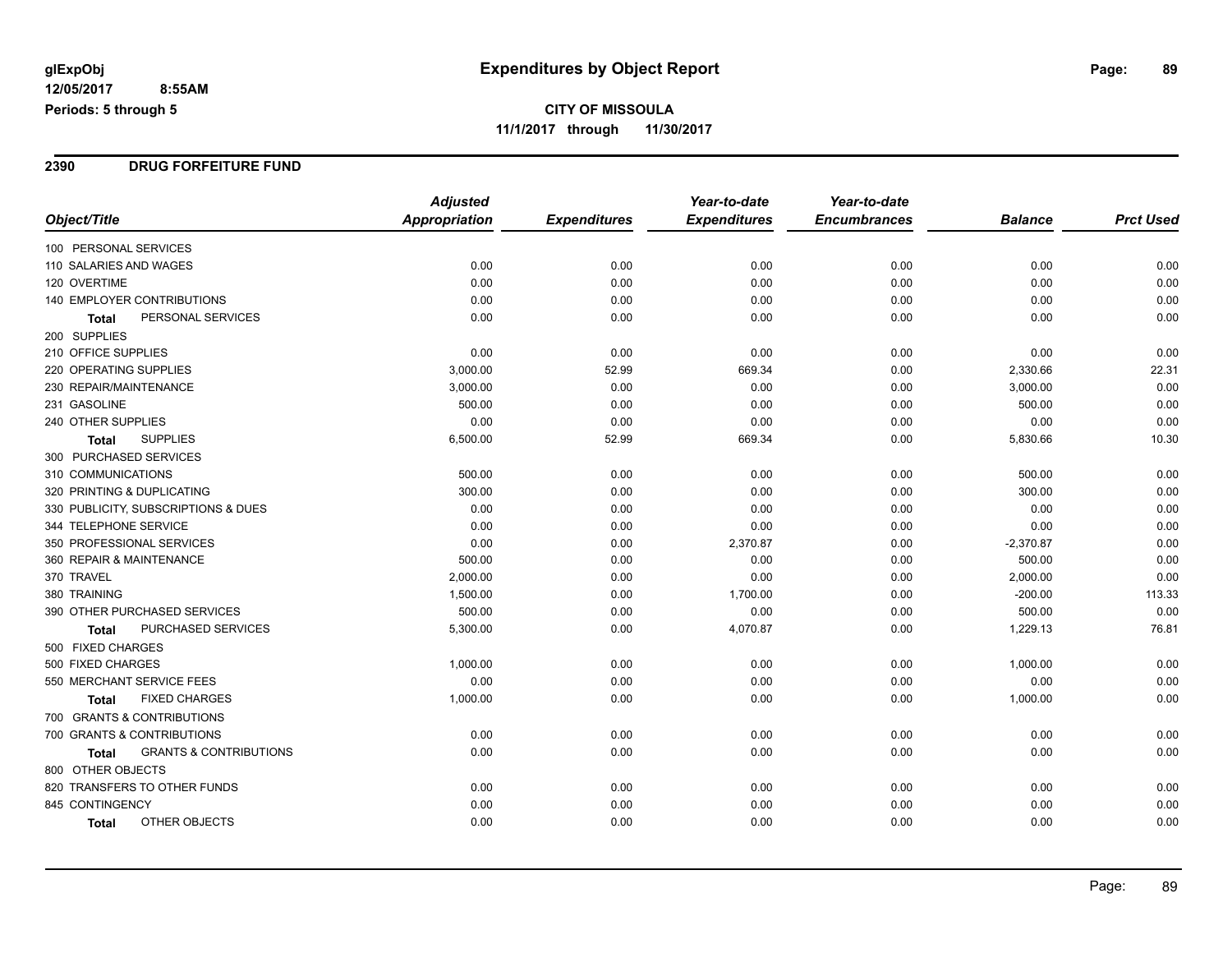#### **2390 DRUG FORFEITURE FUND**

|                                            | <b>Adjusted</b>      |                     | Year-to-date        | Year-to-date        |                |                  |
|--------------------------------------------|----------------------|---------------------|---------------------|---------------------|----------------|------------------|
| Object/Title                               | <b>Appropriation</b> | <b>Expenditures</b> | <b>Expenditures</b> | <b>Encumbrances</b> | <b>Balance</b> | <b>Prct Used</b> |
| 100 PERSONAL SERVICES                      |                      |                     |                     |                     |                |                  |
| 110 SALARIES AND WAGES                     | 0.00                 | 0.00                | 0.00                | 0.00                | 0.00           | 0.00             |
| 120 OVERTIME                               | 0.00                 | 0.00                | 0.00                | 0.00                | 0.00           | 0.00             |
| 140 EMPLOYER CONTRIBUTIONS                 | 0.00                 | 0.00                | 0.00                | 0.00                | 0.00           | 0.00             |
| PERSONAL SERVICES<br><b>Total</b>          | 0.00                 | 0.00                | 0.00                | 0.00                | 0.00           | 0.00             |
| 200 SUPPLIES                               |                      |                     |                     |                     |                |                  |
| 210 OFFICE SUPPLIES                        | 0.00                 | 0.00                | 0.00                | 0.00                | 0.00           | 0.00             |
| <b>220 OPERATING SUPPLIES</b>              | 3,000.00             | 52.99               | 669.34              | 0.00                | 2,330.66       | 22.31            |
| 230 REPAIR/MAINTENANCE                     | 3,000.00             | 0.00                | 0.00                | 0.00                | 3,000.00       | 0.00             |
| 231 GASOLINE                               | 500.00               | 0.00                | 0.00                | 0.00                | 500.00         | 0.00             |
| 240 OTHER SUPPLIES                         | 0.00                 | 0.00                | 0.00                | 0.00                | 0.00           | 0.00             |
| <b>SUPPLIES</b><br>Total                   | 6,500.00             | 52.99               | 669.34              | 0.00                | 5,830.66       | 10.30            |
| 300 PURCHASED SERVICES                     |                      |                     |                     |                     |                |                  |
| 310 COMMUNICATIONS                         | 500.00               | 0.00                | 0.00                | 0.00                | 500.00         | 0.00             |
| 320 PRINTING & DUPLICATING                 | 300.00               | 0.00                | 0.00                | 0.00                | 300.00         | 0.00             |
| 330 PUBLICITY, SUBSCRIPTIONS & DUES        | 0.00                 | 0.00                | 0.00                | 0.00                | 0.00           | 0.00             |
| 344 TELEPHONE SERVICE                      | 0.00                 | 0.00                | 0.00                | 0.00                | 0.00           | 0.00             |
| 350 PROFESSIONAL SERVICES                  | 0.00                 | 0.00                | 2,370.87            | 0.00                | $-2,370.87$    | 0.00             |
| 360 REPAIR & MAINTENANCE                   | 500.00               | 0.00                | 0.00                | 0.00                | 500.00         | 0.00             |
| 370 TRAVEL                                 | 2,000.00             | 0.00                | 0.00                | 0.00                | 2,000.00       | 0.00             |
| 380 TRAINING                               | 1,500.00             | 0.00                | 1,700.00            | 0.00                | $-200.00$      | 113.33           |
| 390 OTHER PURCHASED SERVICES               | 500.00               | 0.00                | 0.00                | 0.00                | 500.00         | 0.00             |
| <b>PURCHASED SERVICES</b><br>Total         | 5,300.00             | 0.00                | 4,070.87            | 0.00                | 1,229.13       | 76.81            |
| 500 FIXED CHARGES                          |                      |                     |                     |                     |                |                  |
| 500 FIXED CHARGES                          | 1,000.00             | 0.00                | 0.00                | 0.00                | 1,000.00       | 0.00             |
| 550 MERCHANT SERVICE FEES                  | 0.00                 | 0.00                | 0.00                | 0.00                | 0.00           | 0.00             |
| <b>FIXED CHARGES</b><br>Total              | 1,000.00             | 0.00                | 0.00                | 0.00                | 1,000.00       | 0.00             |
| 700 GRANTS & CONTRIBUTIONS                 |                      |                     |                     |                     |                |                  |
| 700 GRANTS & CONTRIBUTIONS                 | 0.00                 | 0.00                | 0.00                | 0.00                | 0.00           | 0.00             |
| <b>GRANTS &amp; CONTRIBUTIONS</b><br>Total | 0.00                 | 0.00                | 0.00                | 0.00                | 0.00           | 0.00             |
| 800 OTHER OBJECTS                          |                      |                     |                     |                     |                |                  |
| 820 TRANSFERS TO OTHER FUNDS               | 0.00                 | 0.00                | 0.00                | 0.00                | 0.00           | 0.00             |
| 845 CONTINGENCY                            | 0.00                 | 0.00                | 0.00                | 0.00                | 0.00           | 0.00             |
| OTHER OBJECTS<br>Total                     | 0.00                 | 0.00                | 0.00                | 0.00                | 0.00           | 0.00             |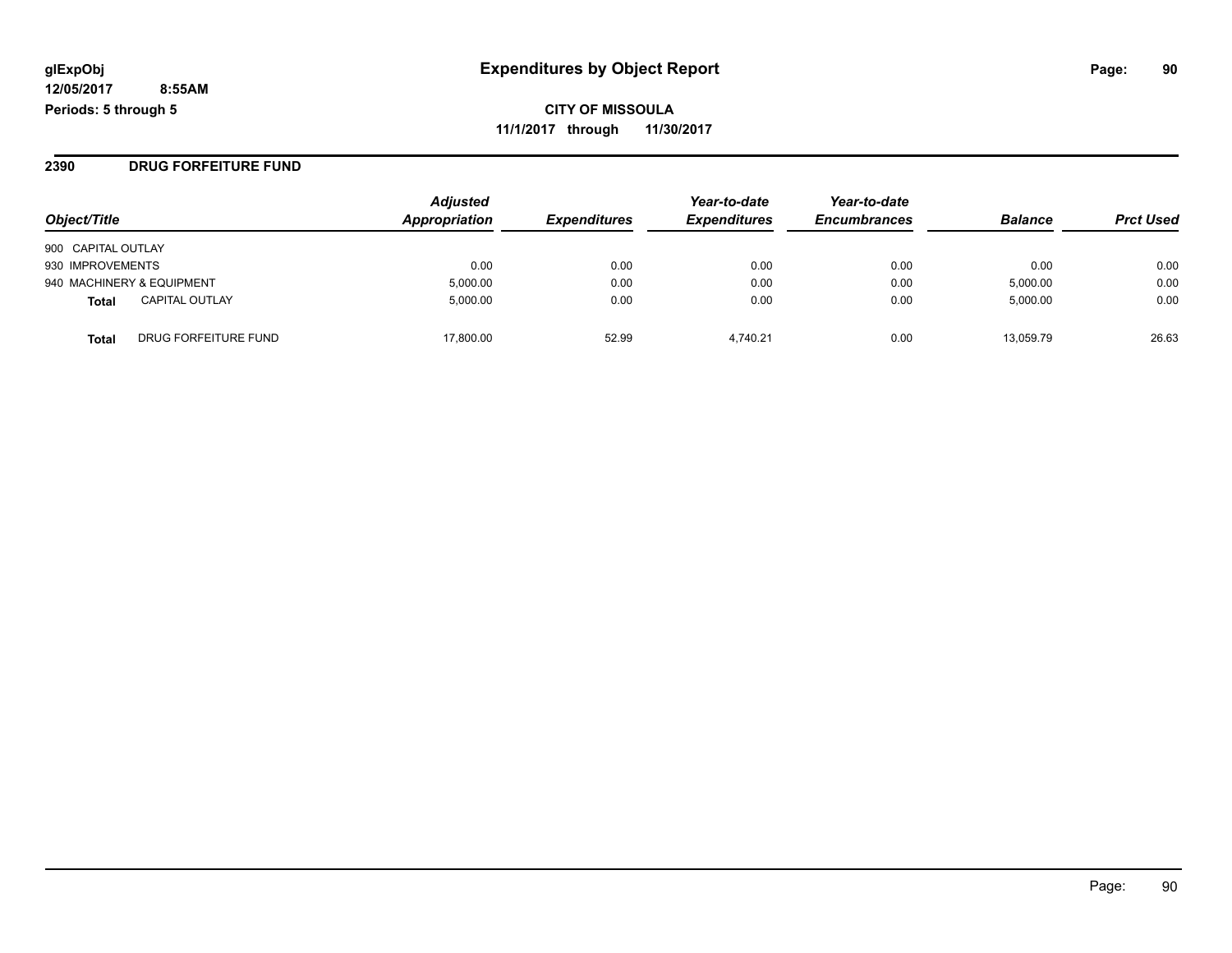**CITY OF MISSOULA 11/1/2017 through 11/30/2017**

#### **2390 DRUG FORFEITURE FUND**

| Object/Title                          | <b>Adjusted</b><br>Appropriation | <b>Expenditures</b> | Year-to-date<br><b>Expenditures</b> | Year-to-date<br><b>Encumbrances</b> | <b>Balance</b> | <b>Prct Used</b> |
|---------------------------------------|----------------------------------|---------------------|-------------------------------------|-------------------------------------|----------------|------------------|
| 900 CAPITAL OUTLAY                    |                                  |                     |                                     |                                     |                |                  |
| 930 IMPROVEMENTS                      | 0.00                             | 0.00                | 0.00                                | 0.00                                | 0.00           | 0.00             |
| 940 MACHINERY & EQUIPMENT             | 5,000.00                         | 0.00                | 0.00                                | 0.00                                | 5,000.00       | 0.00             |
| <b>CAPITAL OUTLAY</b><br><b>Total</b> | 5.000.00                         | 0.00                | 0.00                                | 0.00                                | 5,000.00       | 0.00             |
| DRUG FORFEITURE FUND<br><b>Total</b>  | 17.800.00                        | 52.99               | 4.740.21                            | 0.00                                | 13.059.79      | 26.63            |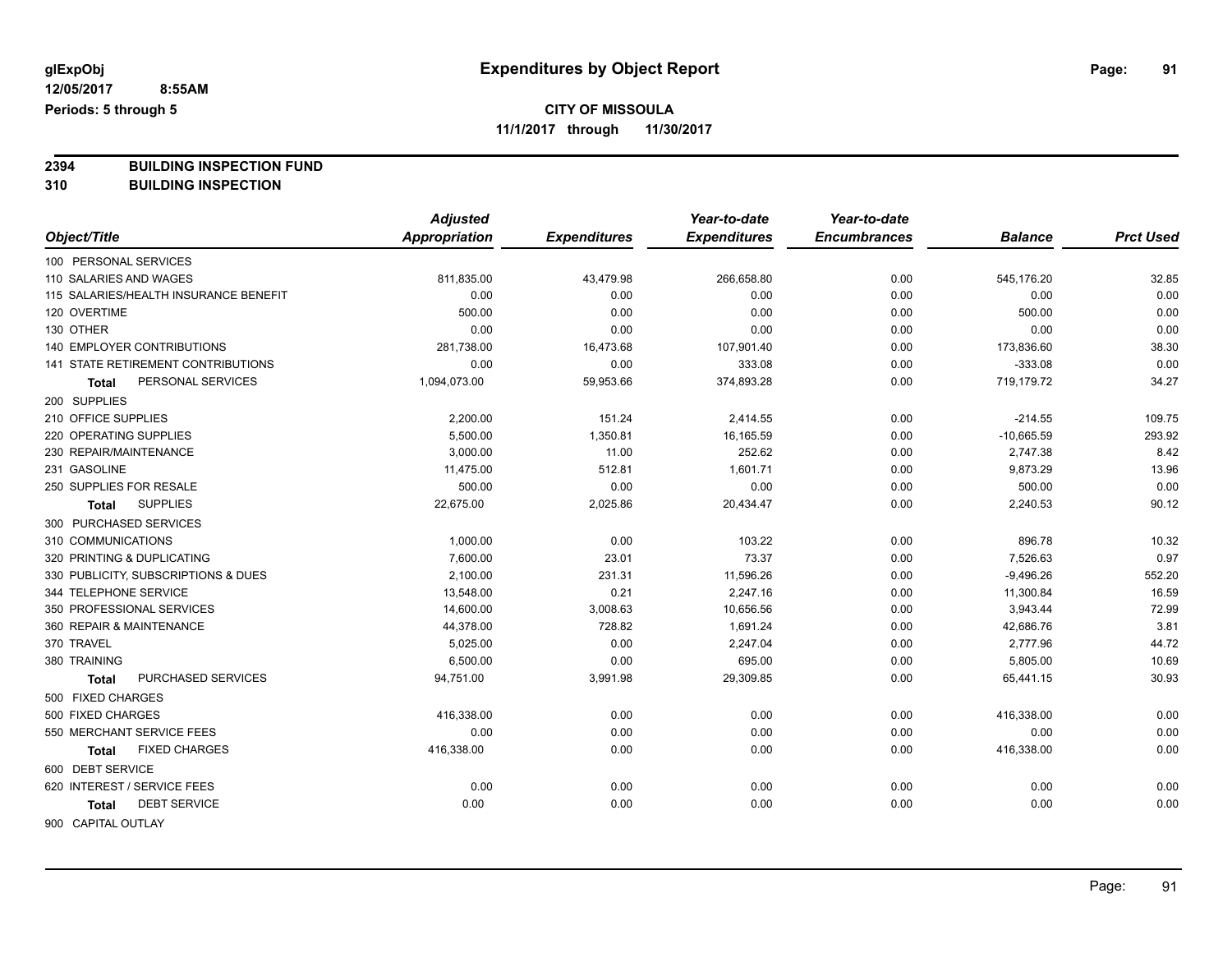## **CITY OF MISSOULA**

**11/1/2017 through 11/30/2017**

**2394 BUILDING INSPECTION FUND**

**310 BUILDING INSPECTION**

|                                       | <b>Adjusted</b> |                     | Year-to-date        | Year-to-date        |                |                  |
|---------------------------------------|-----------------|---------------------|---------------------|---------------------|----------------|------------------|
| Object/Title                          | Appropriation   | <b>Expenditures</b> | <b>Expenditures</b> | <b>Encumbrances</b> | <b>Balance</b> | <b>Prct Used</b> |
| 100 PERSONAL SERVICES                 |                 |                     |                     |                     |                |                  |
| 110 SALARIES AND WAGES                | 811,835.00      | 43,479.98           | 266,658.80          | 0.00                | 545,176.20     | 32.85            |
| 115 SALARIES/HEALTH INSURANCE BENEFIT | 0.00            | 0.00                | 0.00                | 0.00                | 0.00           | 0.00             |
| 120 OVERTIME                          | 500.00          | 0.00                | 0.00                | 0.00                | 500.00         | 0.00             |
| 130 OTHER                             | 0.00            | 0.00                | 0.00                | 0.00                | 0.00           | 0.00             |
| 140 EMPLOYER CONTRIBUTIONS            | 281,738.00      | 16,473.68           | 107,901.40          | 0.00                | 173,836.60     | 38.30            |
| 141 STATE RETIREMENT CONTRIBUTIONS    | 0.00            | 0.00                | 333.08              | 0.00                | $-333.08$      | 0.00             |
| PERSONAL SERVICES<br>Total            | 1,094,073.00    | 59,953.66           | 374,893.28          | 0.00                | 719,179.72     | 34.27            |
| 200 SUPPLIES                          |                 |                     |                     |                     |                |                  |
| 210 OFFICE SUPPLIES                   | 2,200.00        | 151.24              | 2,414.55            | 0.00                | $-214.55$      | 109.75           |
| 220 OPERATING SUPPLIES                | 5,500.00        | 1,350.81            | 16,165.59           | 0.00                | $-10,665.59$   | 293.92           |
| 230 REPAIR/MAINTENANCE                | 3,000.00        | 11.00               | 252.62              | 0.00                | 2,747.38       | 8.42             |
| 231 GASOLINE                          | 11,475.00       | 512.81              | 1,601.71            | 0.00                | 9,873.29       | 13.96            |
| 250 SUPPLIES FOR RESALE               | 500.00          | 0.00                | 0.00                | 0.00                | 500.00         | 0.00             |
| <b>SUPPLIES</b><br><b>Total</b>       | 22,675.00       | 2,025.86            | 20,434.47           | 0.00                | 2,240.53       | 90.12            |
| 300 PURCHASED SERVICES                |                 |                     |                     |                     |                |                  |
| 310 COMMUNICATIONS                    | 1,000.00        | 0.00                | 103.22              | 0.00                | 896.78         | 10.32            |
| 320 PRINTING & DUPLICATING            | 7,600.00        | 23.01               | 73.37               | 0.00                | 7,526.63       | 0.97             |
| 330 PUBLICITY, SUBSCRIPTIONS & DUES   | 2,100.00        | 231.31              | 11,596.26           | 0.00                | $-9,496.26$    | 552.20           |
| 344 TELEPHONE SERVICE                 | 13,548.00       | 0.21                | 2,247.16            | 0.00                | 11,300.84      | 16.59            |
| 350 PROFESSIONAL SERVICES             | 14,600.00       | 3,008.63            | 10,656.56           | 0.00                | 3,943.44       | 72.99            |
| 360 REPAIR & MAINTENANCE              | 44,378.00       | 728.82              | 1,691.24            | 0.00                | 42,686.76      | 3.81             |
| 370 TRAVEL                            | 5,025.00        | 0.00                | 2,247.04            | 0.00                | 2,777.96       | 44.72            |
| 380 TRAINING                          | 6,500.00        | 0.00                | 695.00              | 0.00                | 5,805.00       | 10.69            |
| PURCHASED SERVICES<br><b>Total</b>    | 94,751.00       | 3,991.98            | 29,309.85           | 0.00                | 65,441.15      | 30.93            |
| 500 FIXED CHARGES                     |                 |                     |                     |                     |                |                  |
| 500 FIXED CHARGES                     | 416,338.00      | 0.00                | 0.00                | 0.00                | 416,338.00     | 0.00             |
| 550 MERCHANT SERVICE FEES             | 0.00            | 0.00                | 0.00                | 0.00                | 0.00           | 0.00             |
| <b>FIXED CHARGES</b><br>Total         | 416,338.00      | 0.00                | 0.00                | 0.00                | 416,338.00     | 0.00             |
| 600 DEBT SERVICE                      |                 |                     |                     |                     |                |                  |
| 620 INTEREST / SERVICE FEES           | 0.00            | 0.00                | 0.00                | 0.00                | 0.00           | 0.00             |
| <b>DEBT SERVICE</b><br>Total          | 0.00            | 0.00                | 0.00                | 0.00                | 0.00           | 0.00             |
| 900 CAPITAL OUTLAY                    |                 |                     |                     |                     |                |                  |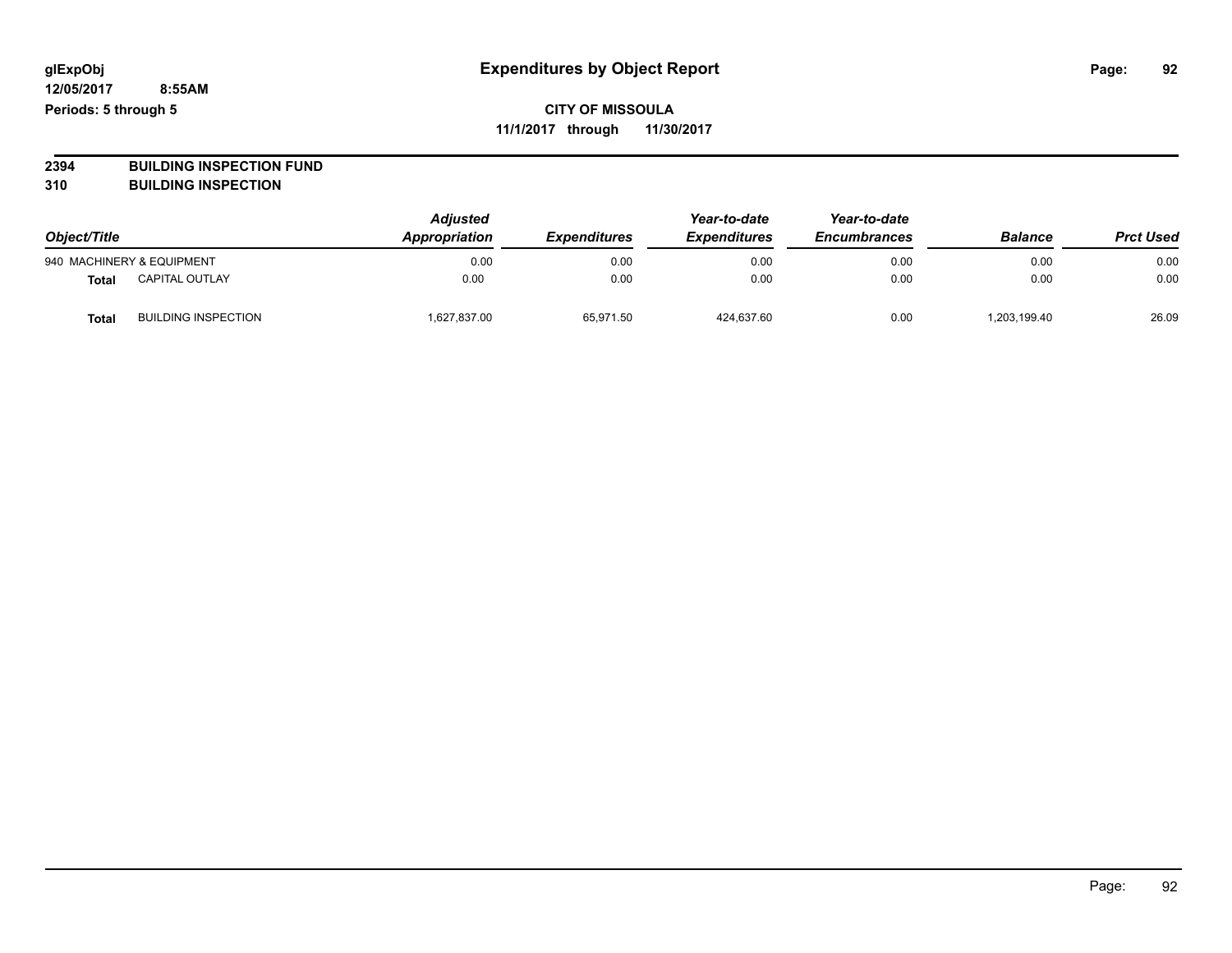**2394 BUILDING INSPECTION FUND**

**310 BUILDING INSPECTION**

| Object/Title<br>940 MACHINERY & EQUIPMENT |                            | <b>Adjusted</b><br>Appropriation | <b>Expenditures</b><br>0.00<br>0.00 | Year-to-date<br><b>Expenditures</b><br>0.00 | Year-to-date<br><b>Encumbrances</b><br>0.00 | <b>Balance</b><br>0.00 | <b>Prct Used</b><br>0.00 |
|-------------------------------------------|----------------------------|----------------------------------|-------------------------------------|---------------------------------------------|---------------------------------------------|------------------------|--------------------------|
|                                           |                            |                                  |                                     |                                             |                                             |                        |                          |
| <b>Total</b>                              | <b>CAPITAL OUTLAY</b>      | 0.00                             | 0.00                                | 0.00                                        | 0.00                                        | 0.00                   | 0.00                     |
| Tota                                      | <b>BUILDING INSPECTION</b> | 627,837.00                       | 65,971.50                           | 424,637.60                                  | 0.00                                        | 1.203.199.40           | 26.09                    |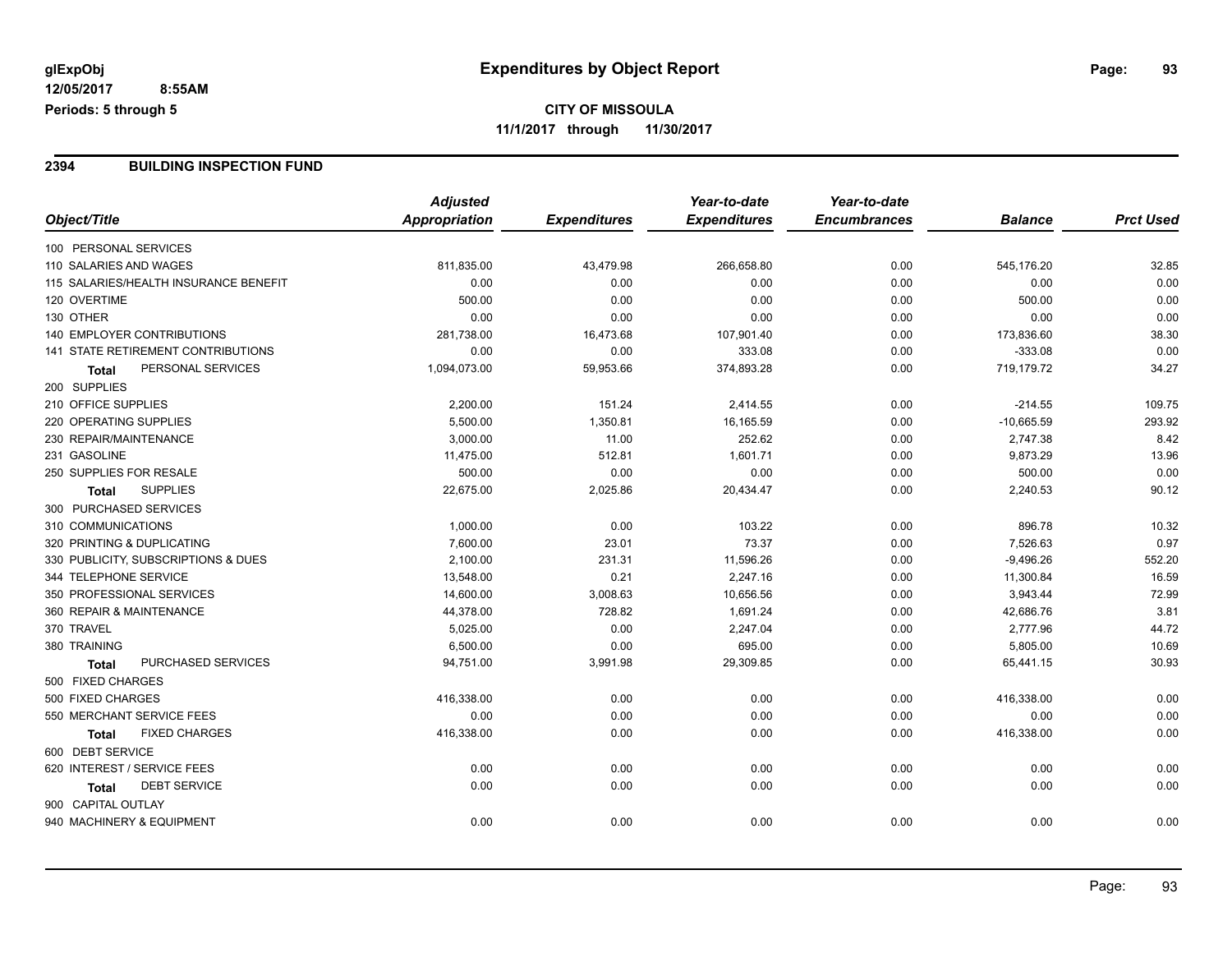### **2394 BUILDING INSPECTION FUND**

|                                       | <b>Adjusted</b> |                     | Year-to-date        | Year-to-date        |                |                  |
|---------------------------------------|-----------------|---------------------|---------------------|---------------------|----------------|------------------|
| Object/Title                          | Appropriation   | <b>Expenditures</b> | <b>Expenditures</b> | <b>Encumbrances</b> | <b>Balance</b> | <b>Prct Used</b> |
| 100 PERSONAL SERVICES                 |                 |                     |                     |                     |                |                  |
| 110 SALARIES AND WAGES                | 811,835.00      | 43,479.98           | 266,658.80          | 0.00                | 545,176.20     | 32.85            |
| 115 SALARIES/HEALTH INSURANCE BENEFIT | 0.00            | 0.00                | 0.00                | 0.00                | 0.00           | 0.00             |
| 120 OVERTIME                          | 500.00          | 0.00                | 0.00                | 0.00                | 500.00         | 0.00             |
| 130 OTHER                             | 0.00            | 0.00                | 0.00                | 0.00                | 0.00           | 0.00             |
| <b>140 EMPLOYER CONTRIBUTIONS</b>     | 281,738.00      | 16,473.68           | 107,901.40          | 0.00                | 173,836.60     | 38.30            |
| 141 STATE RETIREMENT CONTRIBUTIONS    | 0.00            | 0.00                | 333.08              | 0.00                | $-333.08$      | 0.00             |
| PERSONAL SERVICES<br>Total            | 1,094,073.00    | 59,953.66           | 374,893.28          | 0.00                | 719,179.72     | 34.27            |
| 200 SUPPLIES                          |                 |                     |                     |                     |                |                  |
| 210 OFFICE SUPPLIES                   | 2,200.00        | 151.24              | 2,414.55            | 0.00                | $-214.55$      | 109.75           |
| 220 OPERATING SUPPLIES                | 5,500.00        | 1,350.81            | 16,165.59           | 0.00                | $-10,665.59$   | 293.92           |
| 230 REPAIR/MAINTENANCE                | 3,000.00        | 11.00               | 252.62              | 0.00                | 2,747.38       | 8.42             |
| 231 GASOLINE                          | 11,475.00       | 512.81              | 1,601.71            | 0.00                | 9,873.29       | 13.96            |
| 250 SUPPLIES FOR RESALE               | 500.00          | 0.00                | 0.00                | 0.00                | 500.00         | 0.00             |
| <b>SUPPLIES</b><br><b>Total</b>       | 22,675.00       | 2,025.86            | 20,434.47           | 0.00                | 2,240.53       | 90.12            |
| 300 PURCHASED SERVICES                |                 |                     |                     |                     |                |                  |
| 310 COMMUNICATIONS                    | 1,000.00        | 0.00                | 103.22              | 0.00                | 896.78         | 10.32            |
| 320 PRINTING & DUPLICATING            | 7,600.00        | 23.01               | 73.37               | 0.00                | 7,526.63       | 0.97             |
| 330 PUBLICITY, SUBSCRIPTIONS & DUES   | 2,100.00        | 231.31              | 11,596.26           | 0.00                | $-9,496.26$    | 552.20           |
| 344 TELEPHONE SERVICE                 | 13,548.00       | 0.21                | 2,247.16            | 0.00                | 11,300.84      | 16.59            |
| 350 PROFESSIONAL SERVICES             | 14,600.00       | 3,008.63            | 10,656.56           | 0.00                | 3,943.44       | 72.99            |
| 360 REPAIR & MAINTENANCE              | 44,378.00       | 728.82              | 1,691.24            | 0.00                | 42,686.76      | 3.81             |
| 370 TRAVEL                            | 5,025.00        | 0.00                | 2,247.04            | 0.00                | 2,777.96       | 44.72            |
| 380 TRAINING                          | 6,500.00        | 0.00                | 695.00              | 0.00                | 5,805.00       | 10.69            |
| PURCHASED SERVICES<br><b>Total</b>    | 94,751.00       | 3,991.98            | 29,309.85           | 0.00                | 65,441.15      | 30.93            |
| 500 FIXED CHARGES                     |                 |                     |                     |                     |                |                  |
| 500 FIXED CHARGES                     | 416,338.00      | 0.00                | 0.00                | 0.00                | 416,338.00     | 0.00             |
| 550 MERCHANT SERVICE FEES             | 0.00            | 0.00                | 0.00                | 0.00                | 0.00           | 0.00             |
| <b>FIXED CHARGES</b><br><b>Total</b>  | 416,338.00      | 0.00                | 0.00                | 0.00                | 416,338.00     | 0.00             |
| 600 DEBT SERVICE                      |                 |                     |                     |                     |                |                  |
| 620 INTEREST / SERVICE FEES           | 0.00            | 0.00                | 0.00                | 0.00                | 0.00           | 0.00             |
| <b>DEBT SERVICE</b><br><b>Total</b>   | 0.00            | 0.00                | 0.00                | 0.00                | 0.00           | 0.00             |
| 900 CAPITAL OUTLAY                    |                 |                     |                     |                     |                |                  |
| 940 MACHINERY & EQUIPMENT             | 0.00            | 0.00                | 0.00                | 0.00                | 0.00           | 0.00             |
|                                       |                 |                     |                     |                     |                |                  |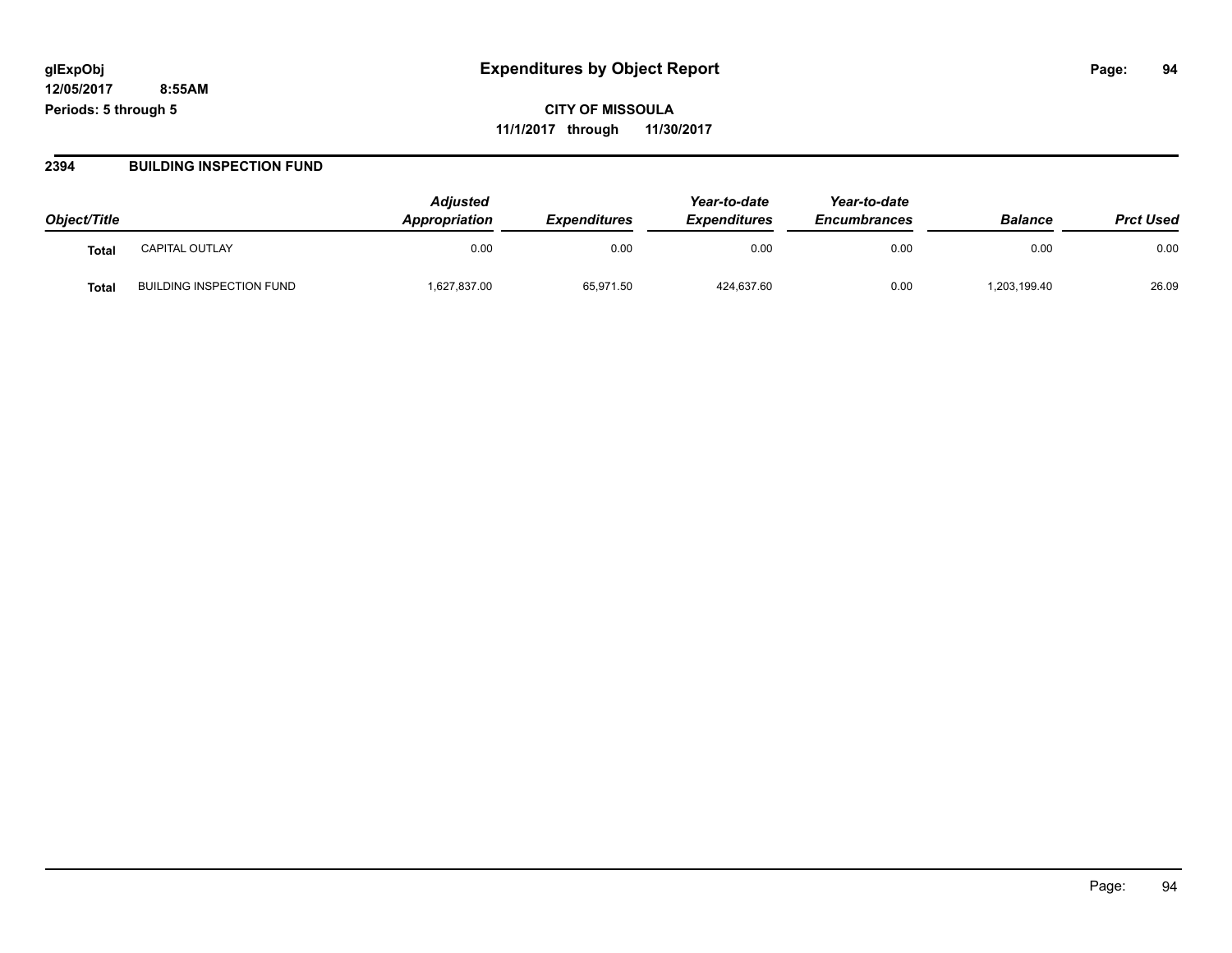**CITY OF MISSOULA 11/1/2017 through 11/30/2017**

#### **2394 BUILDING INSPECTION FUND**

| Object/Title      |                                 | <b>Adiusted</b><br><b>Appropriation</b> | <b>Expenditures</b> | Year-to-date<br><b>Expenditures</b> | Year-to-date<br><b>Encumbrances</b> | <b>Balance</b> | <b>Prct Used</b> |
|-------------------|---------------------------------|-----------------------------------------|---------------------|-------------------------------------|-------------------------------------|----------------|------------------|
| Tota <sub>l</sub> | <b>CAPITAL OUTLAY</b>           | 0.00                                    | 0.00                | 0.00                                | 0.00                                | 0.00           | 0.00             |
| Tota.             | <b>BUILDING INSPECTION FUND</b> | 1,627,837.00                            | 65,971.50           | 424,637.60                          | 0.00                                | 203,199.40     | 26.09            |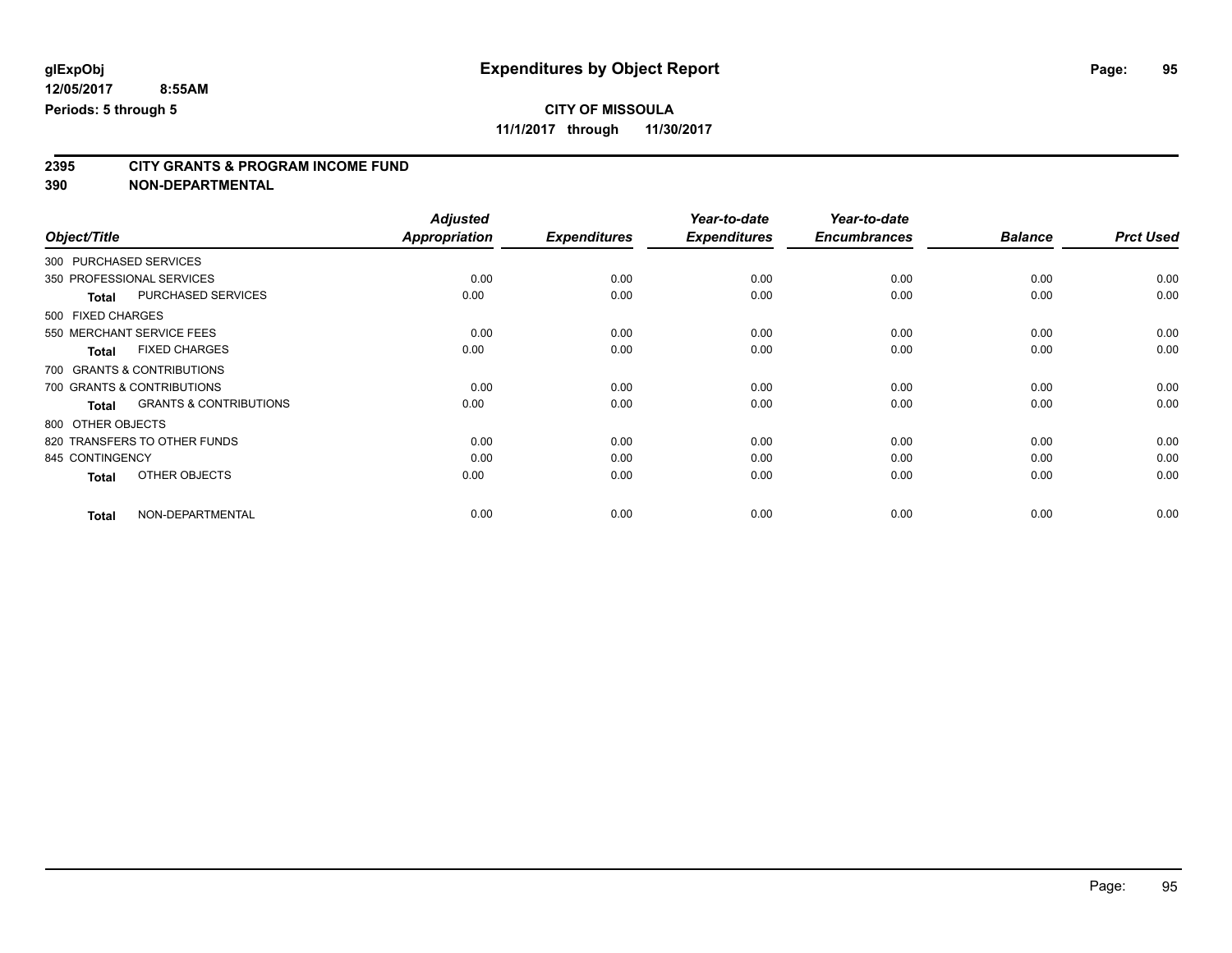**11/1/2017 through 11/30/2017**

## **2395 CITY GRANTS & PROGRAM INCOME FUND**

**390 NON-DEPARTMENTAL**

|                                                   | <b>Adjusted</b>      |                     | Year-to-date        | Year-to-date        |                |                  |
|---------------------------------------------------|----------------------|---------------------|---------------------|---------------------|----------------|------------------|
| Object/Title                                      | <b>Appropriation</b> | <b>Expenditures</b> | <b>Expenditures</b> | <b>Encumbrances</b> | <b>Balance</b> | <b>Prct Used</b> |
| 300 PURCHASED SERVICES                            |                      |                     |                     |                     |                |                  |
| 350 PROFESSIONAL SERVICES                         | 0.00                 | 0.00                | 0.00                | 0.00                | 0.00           | 0.00             |
| PURCHASED SERVICES<br><b>Total</b>                | 0.00                 | 0.00                | 0.00                | 0.00                | 0.00           | 0.00             |
| 500 FIXED CHARGES                                 |                      |                     |                     |                     |                |                  |
| 550 MERCHANT SERVICE FEES                         | 0.00                 | 0.00                | 0.00                | 0.00                | 0.00           | 0.00             |
| <b>FIXED CHARGES</b><br><b>Total</b>              | 0.00                 | 0.00                | 0.00                | 0.00                | 0.00           | 0.00             |
| 700 GRANTS & CONTRIBUTIONS                        |                      |                     |                     |                     |                |                  |
| 700 GRANTS & CONTRIBUTIONS                        | 0.00                 | 0.00                | 0.00                | 0.00                | 0.00           | 0.00             |
| <b>GRANTS &amp; CONTRIBUTIONS</b><br><b>Total</b> | 0.00                 | 0.00                | 0.00                | 0.00                | 0.00           | 0.00             |
| 800 OTHER OBJECTS                                 |                      |                     |                     |                     |                |                  |
| 820 TRANSFERS TO OTHER FUNDS                      | 0.00                 | 0.00                | 0.00                | 0.00                | 0.00           | 0.00             |
| 845 CONTINGENCY                                   | 0.00                 | 0.00                | 0.00                | 0.00                | 0.00           | 0.00             |
| OTHER OBJECTS<br><b>Total</b>                     | 0.00                 | 0.00                | 0.00                | 0.00                | 0.00           | 0.00             |
| NON-DEPARTMENTAL<br><b>Total</b>                  | 0.00                 | 0.00                | 0.00                | 0.00                | 0.00           | 0.00             |

Page: 95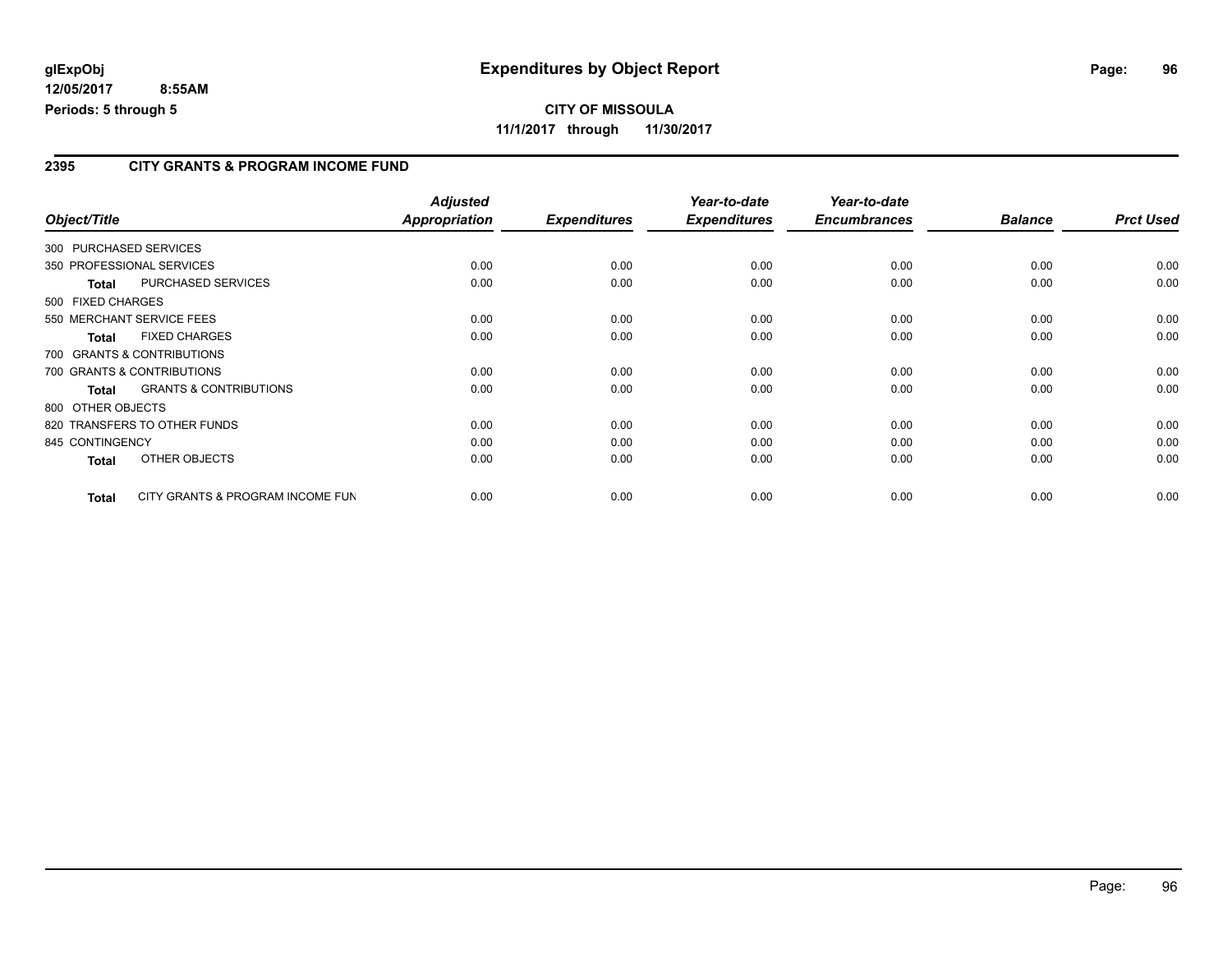## **CITY OF MISSOULA 11/1/2017 through 11/30/2017**

### **2395 CITY GRANTS & PROGRAM INCOME FUND**

| Object/Title      |              |                                   | <b>Adjusted</b><br>Appropriation | <b>Expenditures</b> | Year-to-date<br><b>Expenditures</b> | Year-to-date<br><b>Encumbrances</b> | <b>Balance</b> | <b>Prct Used</b> |
|-------------------|--------------|-----------------------------------|----------------------------------|---------------------|-------------------------------------|-------------------------------------|----------------|------------------|
|                   |              |                                   |                                  |                     |                                     |                                     |                |                  |
|                   |              | 300 PURCHASED SERVICES            |                                  |                     |                                     |                                     |                |                  |
|                   |              | 350 PROFESSIONAL SERVICES         | 0.00                             | 0.00                | 0.00                                | 0.00                                | 0.00           | 0.00             |
|                   | <b>Total</b> | PURCHASED SERVICES                | 0.00                             | 0.00                | 0.00                                | 0.00                                | 0.00           | 0.00             |
| 500 FIXED CHARGES |              |                                   |                                  |                     |                                     |                                     |                |                  |
|                   |              | 550 MERCHANT SERVICE FEES         | 0.00                             | 0.00                | 0.00                                | 0.00                                | 0.00           | 0.00             |
|                   | <b>Total</b> | <b>FIXED CHARGES</b>              | 0.00                             | 0.00                | 0.00                                | 0.00                                | 0.00           | 0.00             |
|                   |              | 700 GRANTS & CONTRIBUTIONS        |                                  |                     |                                     |                                     |                |                  |
|                   |              | 700 GRANTS & CONTRIBUTIONS        | 0.00                             | 0.00                | 0.00                                | 0.00                                | 0.00           | 0.00             |
|                   | <b>Total</b> | <b>GRANTS &amp; CONTRIBUTIONS</b> | 0.00                             | 0.00                | 0.00                                | 0.00                                | 0.00           | 0.00             |
| 800 OTHER OBJECTS |              |                                   |                                  |                     |                                     |                                     |                |                  |
|                   |              | 820 TRANSFERS TO OTHER FUNDS      | 0.00                             | 0.00                | 0.00                                | 0.00                                | 0.00           | 0.00             |
| 845 CONTINGENCY   |              |                                   | 0.00                             | 0.00                | 0.00                                | 0.00                                | 0.00           | 0.00             |
|                   | <b>Total</b> | OTHER OBJECTS                     | 0.00                             | 0.00                | 0.00                                | 0.00                                | 0.00           | 0.00             |
|                   | <b>Total</b> | CITY GRANTS & PROGRAM INCOME FUN  | 0.00                             | 0.00                | 0.00                                | 0.00                                | 0.00           | 0.00             |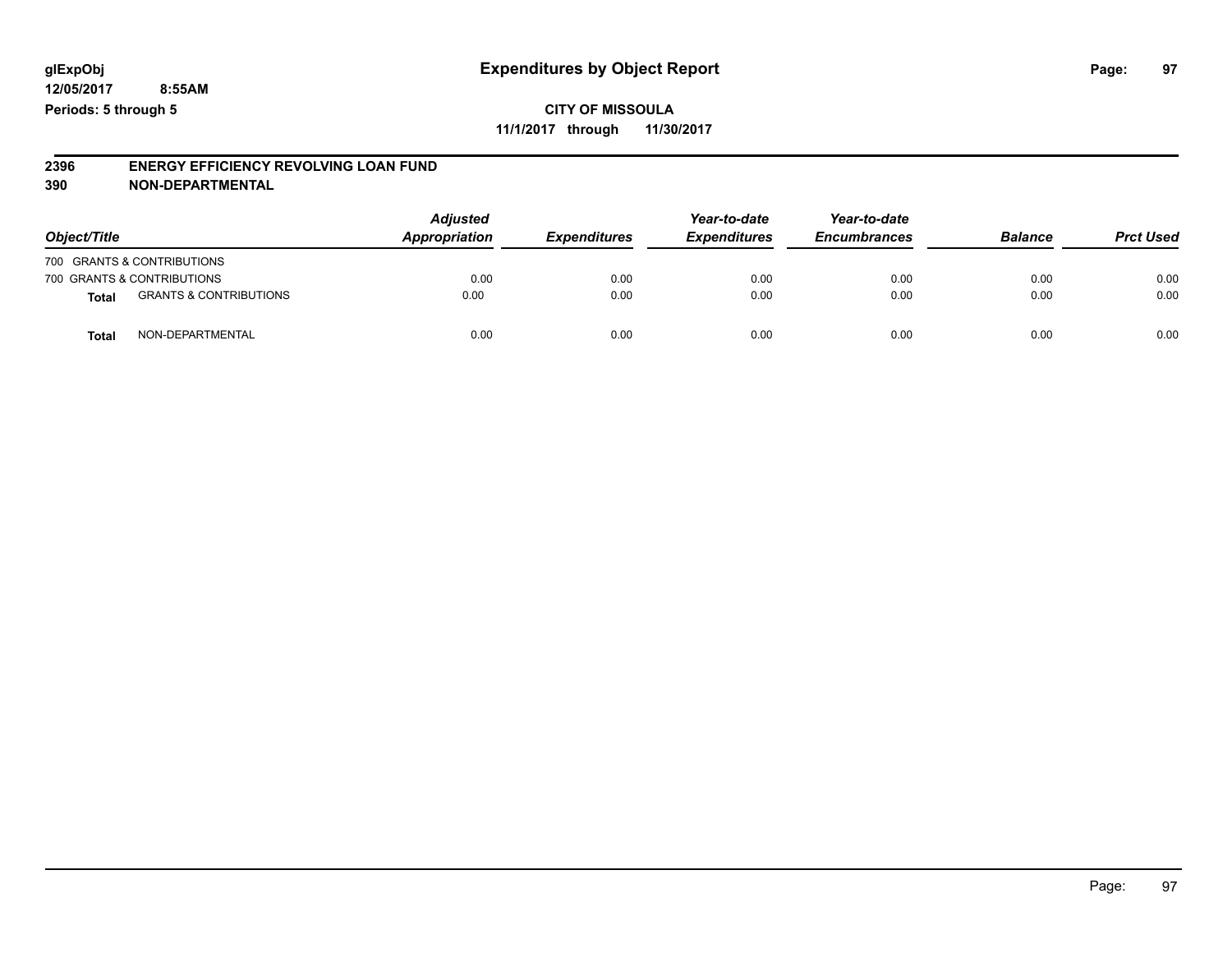### **CITY OF MISSOULA 11/1/2017 through 11/30/2017**

#### **2396 ENERGY EFFICIENCY REVOLVING LOAN FUND 390 NON-DEPARTMENTAL**

| Object/Title               |                                   | <b>Adjusted</b><br>Appropriation<br><b>Expenditures</b> | Year-to-date | Year-to-date        |                     |                |                  |
|----------------------------|-----------------------------------|---------------------------------------------------------|--------------|---------------------|---------------------|----------------|------------------|
|                            |                                   |                                                         |              | <b>Expenditures</b> | <b>Encumbrances</b> | <b>Balance</b> | <b>Prct Used</b> |
| 700 GRANTS & CONTRIBUTIONS |                                   |                                                         |              |                     |                     |                |                  |
| 700 GRANTS & CONTRIBUTIONS |                                   | 0.00                                                    | 0.00         | 0.00                | 0.00                | 0.00           | 0.00             |
| <b>Total</b>               | <b>GRANTS &amp; CONTRIBUTIONS</b> | 0.00                                                    | 0.00         | 0.00                | 0.00                | 0.00           | 0.00             |
| Total                      | NON-DEPARTMENTAL                  | 0.00                                                    | 0.00         | 0.00                | 0.00                | 0.00           | 0.00             |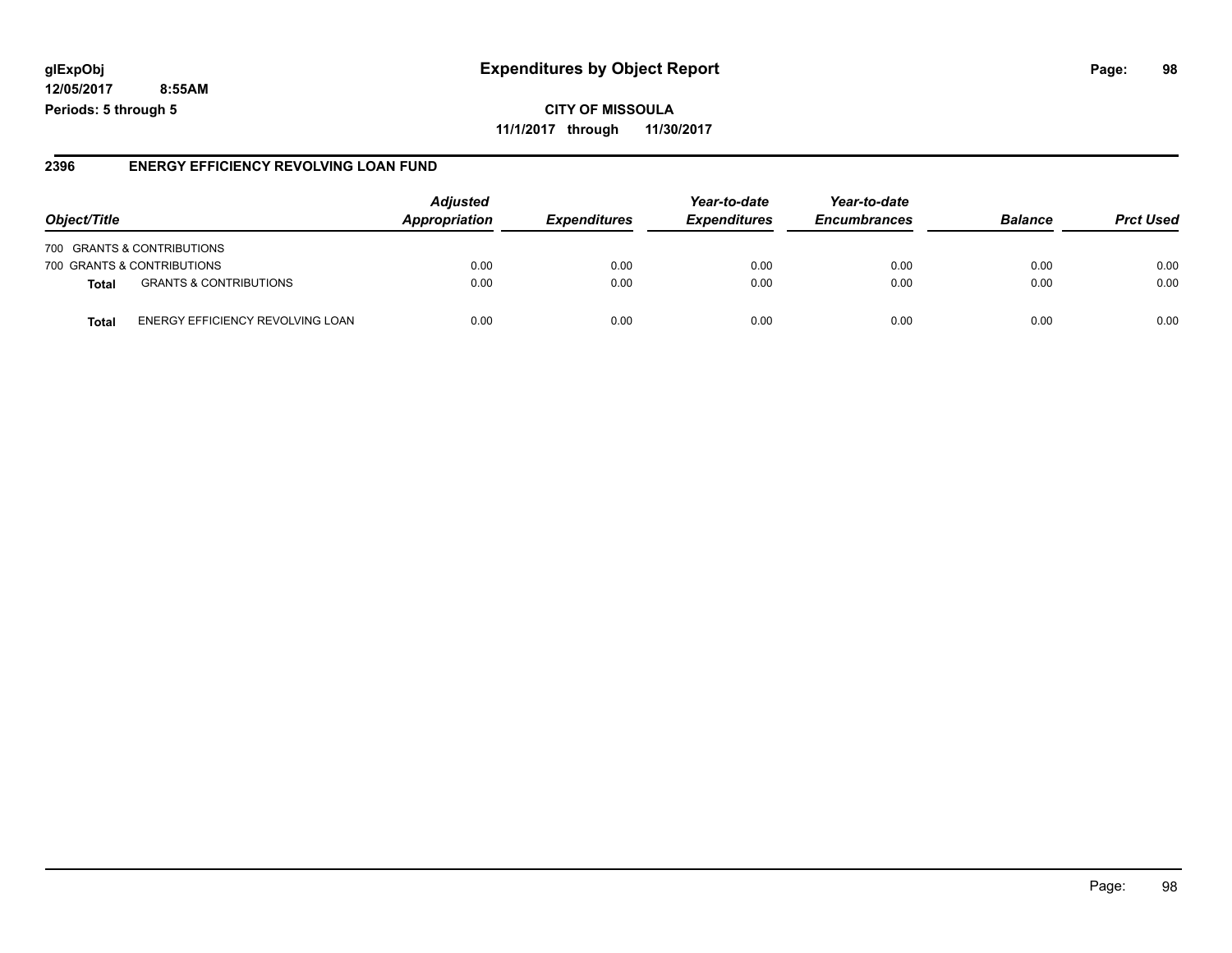## **glExpObj Expenditures by Object Report Page: 98**

**12/05/2017 8:55AM Periods: 5 through 5**

### **2396 ENERGY EFFICIENCY REVOLVING LOAN FUND**

| Object/Title                                      | <b>Adjusted</b><br>Appropriation | <b>Expenditures</b> | Year-to-date<br><b>Expenditures</b> | Year-to-date<br><b>Encumbrances</b> | <b>Balance</b> | <b>Prct Used</b> |
|---------------------------------------------------|----------------------------------|---------------------|-------------------------------------|-------------------------------------|----------------|------------------|
| 700 GRANTS & CONTRIBUTIONS                        |                                  |                     |                                     |                                     |                |                  |
| 700 GRANTS & CONTRIBUTIONS                        | 0.00                             | 0.00                | 0.00                                | 0.00                                | 0.00           | 0.00             |
| <b>GRANTS &amp; CONTRIBUTIONS</b><br><b>Total</b> | 0.00                             | 0.00                | 0.00                                | 0.00                                | 0.00           | 0.00             |
| ENERGY EFFICIENCY REVOLVING LOAN<br>Total         | 0.00                             | 0.00                | 0.00                                | 0.00                                | 0.00           | 0.00             |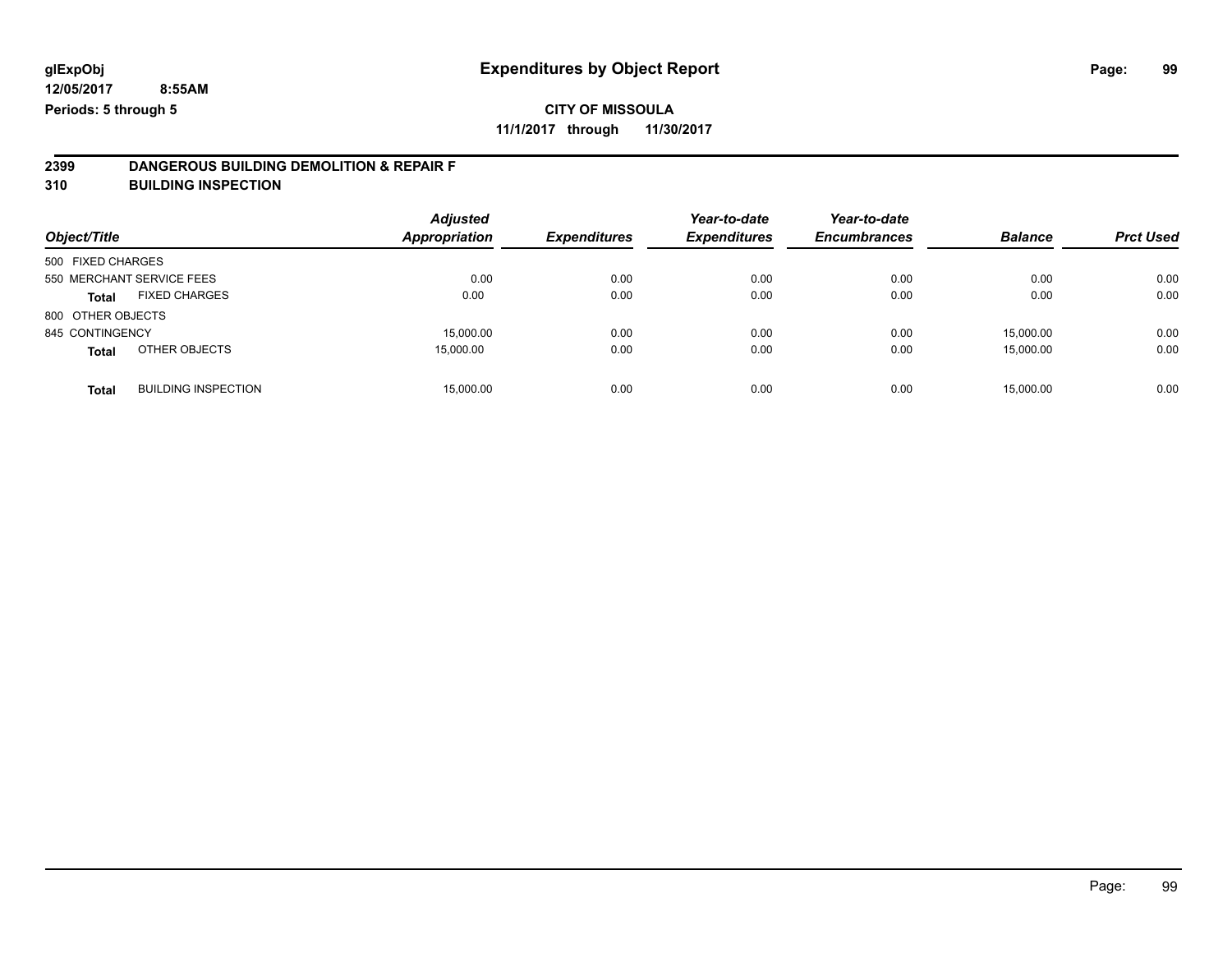## **CITY OF MISSOULA**

**11/1/2017 through 11/30/2017**

# **2399 DANGEROUS BUILDING DEMOLITION & REPAIR F**

**310 BUILDING INSPECTION**

| Object/Title      |                            | <b>Adjusted</b><br><b>Appropriation</b> | <b>Expenditures</b> | Year-to-date<br><b>Expenditures</b> | Year-to-date<br><b>Encumbrances</b> | <b>Balance</b> | <b>Prct Used</b> |
|-------------------|----------------------------|-----------------------------------------|---------------------|-------------------------------------|-------------------------------------|----------------|------------------|
| 500 FIXED CHARGES |                            |                                         |                     |                                     |                                     |                |                  |
|                   | 550 MERCHANT SERVICE FEES  | 0.00                                    | 0.00                | 0.00                                | 0.00                                | 0.00           | 0.00             |
| <b>Total</b>      | <b>FIXED CHARGES</b>       | 0.00                                    | 0.00                | 0.00                                | 0.00                                | 0.00           | 0.00             |
| 800 OTHER OBJECTS |                            |                                         |                     |                                     |                                     |                |                  |
| 845 CONTINGENCY   |                            | 15,000.00                               | 0.00                | 0.00                                | 0.00                                | 15,000.00      | 0.00             |
| <b>Total</b>      | OTHER OBJECTS              | 15,000.00                               | 0.00                | 0.00                                | 0.00                                | 15.000.00      | 0.00             |
| <b>Total</b>      | <b>BUILDING INSPECTION</b> | 15,000.00                               | 0.00                | 0.00                                | 0.00                                | 15,000.00      | 0.00             |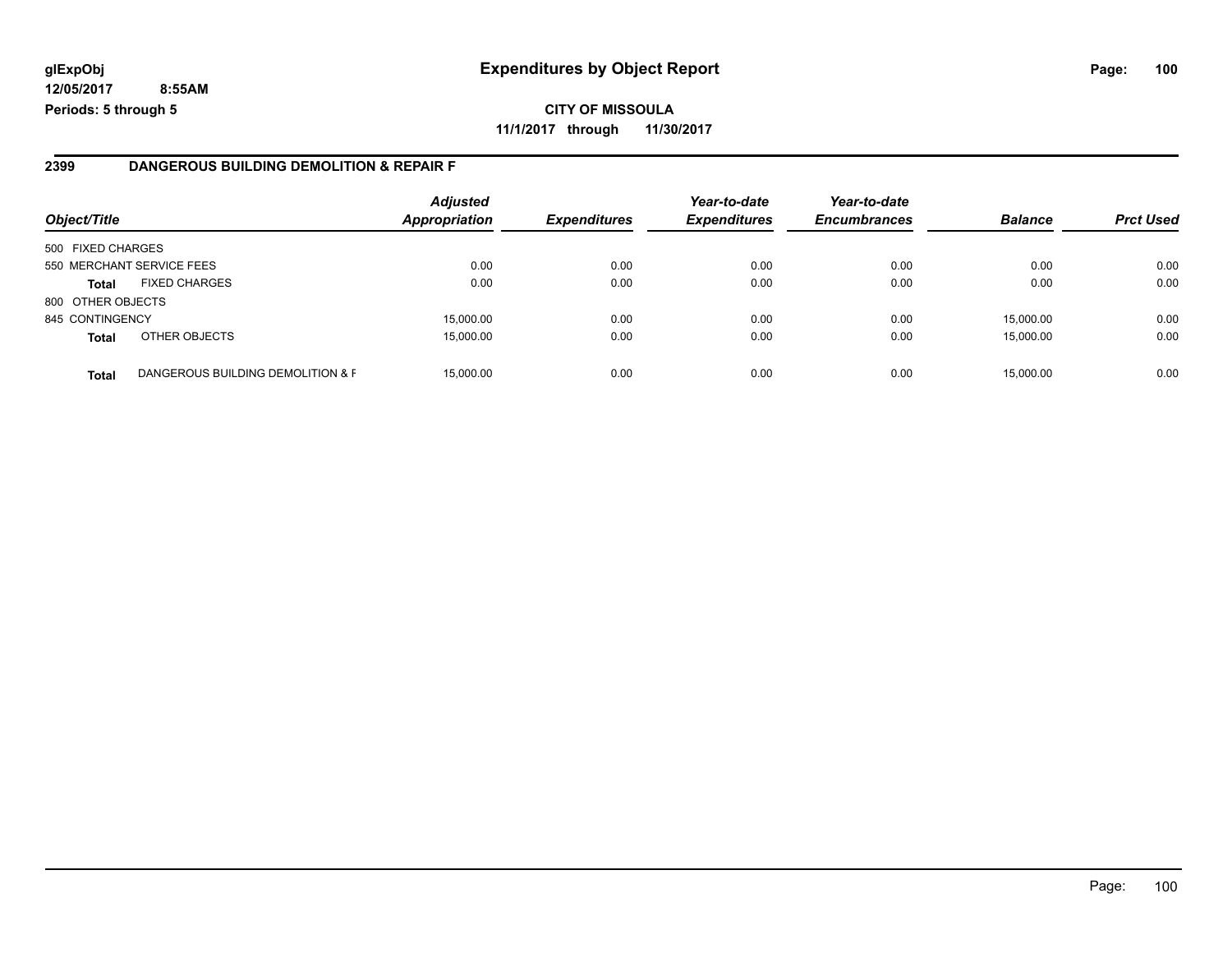#### **2399 DANGEROUS BUILDING DEMOLITION & REPAIR F**

| Object/Title      |                                   | <b>Adjusted</b><br><b>Appropriation</b> | <b>Expenditures</b> | Year-to-date<br><b>Expenditures</b> | Year-to-date<br><b>Encumbrances</b> | <b>Balance</b> | <b>Prct Used</b> |
|-------------------|-----------------------------------|-----------------------------------------|---------------------|-------------------------------------|-------------------------------------|----------------|------------------|
| 500 FIXED CHARGES |                                   |                                         |                     |                                     |                                     |                |                  |
|                   | 550 MERCHANT SERVICE FEES         | 0.00                                    | 0.00                | 0.00                                | 0.00                                | 0.00           | 0.00             |
| <b>Total</b>      | <b>FIXED CHARGES</b>              | 0.00                                    | 0.00                | 0.00                                | 0.00                                | 0.00           | 0.00             |
| 800 OTHER OBJECTS |                                   |                                         |                     |                                     |                                     |                |                  |
| 845 CONTINGENCY   |                                   | 15,000.00                               | 0.00                | 0.00                                | 0.00                                | 15.000.00      | 0.00             |
| <b>Total</b>      | OTHER OBJECTS                     | 15,000.00                               | 0.00                | 0.00                                | 0.00                                | 15,000.00      | 0.00             |
| <b>Total</b>      | DANGEROUS BUILDING DEMOLITION & F | 15,000.00                               | 0.00                | 0.00                                | 0.00                                | 15,000.00      | 0.00             |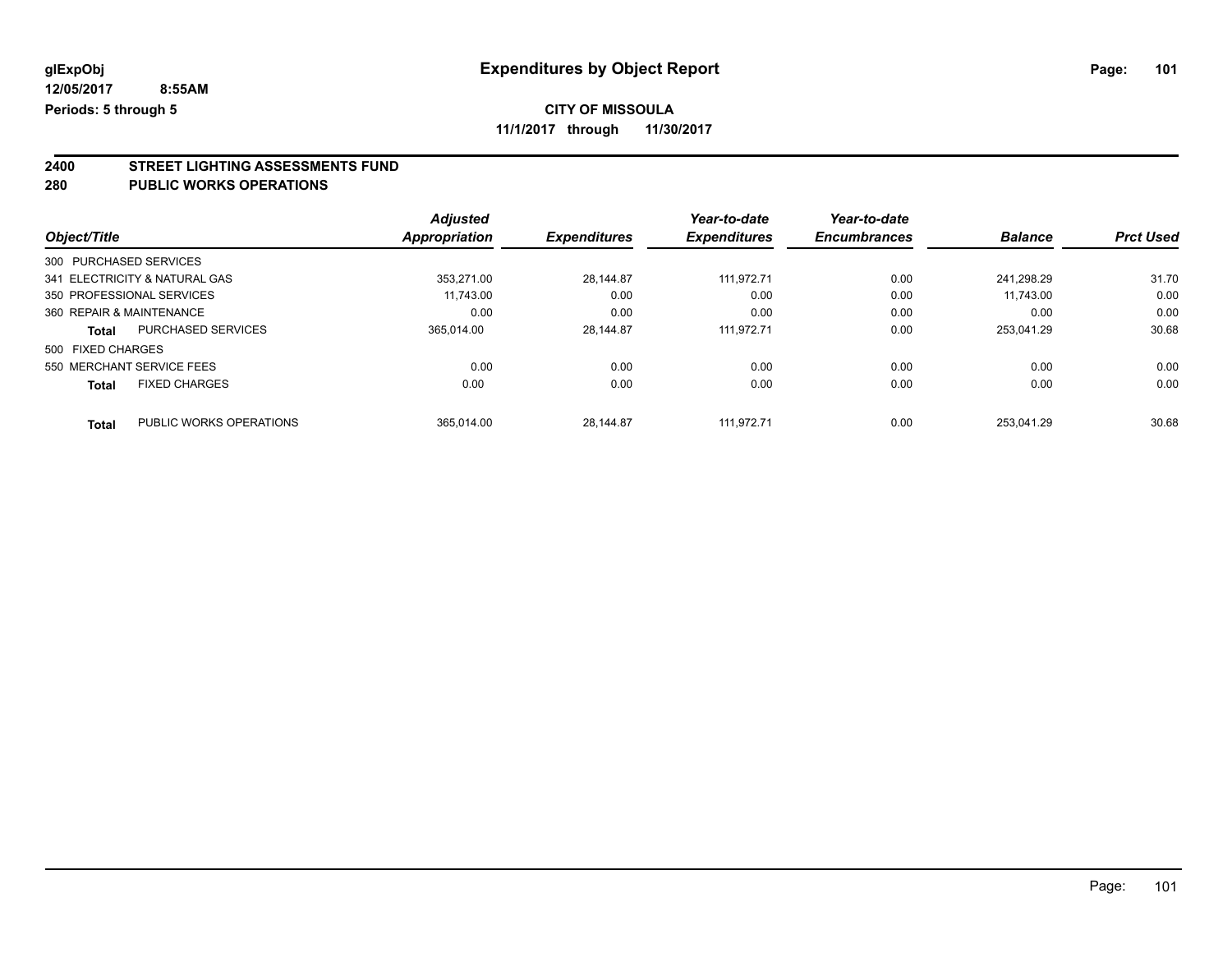## **CITY OF MISSOULA**

**11/1/2017 through 11/30/2017**

# **2400 STREET LIGHTING ASSESSMENTS FUND**

### **280 PUBLIC WORKS OPERATIONS**

|                          |                               | <b>Adjusted</b> |                     | Year-to-date        | Year-to-date        |                |                  |
|--------------------------|-------------------------------|-----------------|---------------------|---------------------|---------------------|----------------|------------------|
| Object/Title             |                               | Appropriation   | <b>Expenditures</b> | <b>Expenditures</b> | <b>Encumbrances</b> | <b>Balance</b> | <b>Prct Used</b> |
| 300 PURCHASED SERVICES   |                               |                 |                     |                     |                     |                |                  |
|                          | 341 ELECTRICITY & NATURAL GAS | 353.271.00      | 28.144.87           | 111.972.71          | 0.00                | 241.298.29     | 31.70            |
|                          | 350 PROFESSIONAL SERVICES     | 11.743.00       | 0.00                | 0.00                | 0.00                | 11.743.00      | 0.00             |
| 360 REPAIR & MAINTENANCE |                               | 0.00            | 0.00                | 0.00                | 0.00                | 0.00           | 0.00             |
| <b>Total</b>             | <b>PURCHASED SERVICES</b>     | 365.014.00      | 28.144.87           | 111.972.71          | 0.00                | 253.041.29     | 30.68            |
| 500 FIXED CHARGES        |                               |                 |                     |                     |                     |                |                  |
|                          | 550 MERCHANT SERVICE FEES     | 0.00            | 0.00                | 0.00                | 0.00                | 0.00           | 0.00             |
| <b>Total</b>             | <b>FIXED CHARGES</b>          | 0.00            | 0.00                | 0.00                | 0.00                | 0.00           | 0.00             |
| <b>Total</b>             | PUBLIC WORKS OPERATIONS       | 365.014.00      | 28.144.87           | 111.972.71          | 0.00                | 253.041.29     | 30.68            |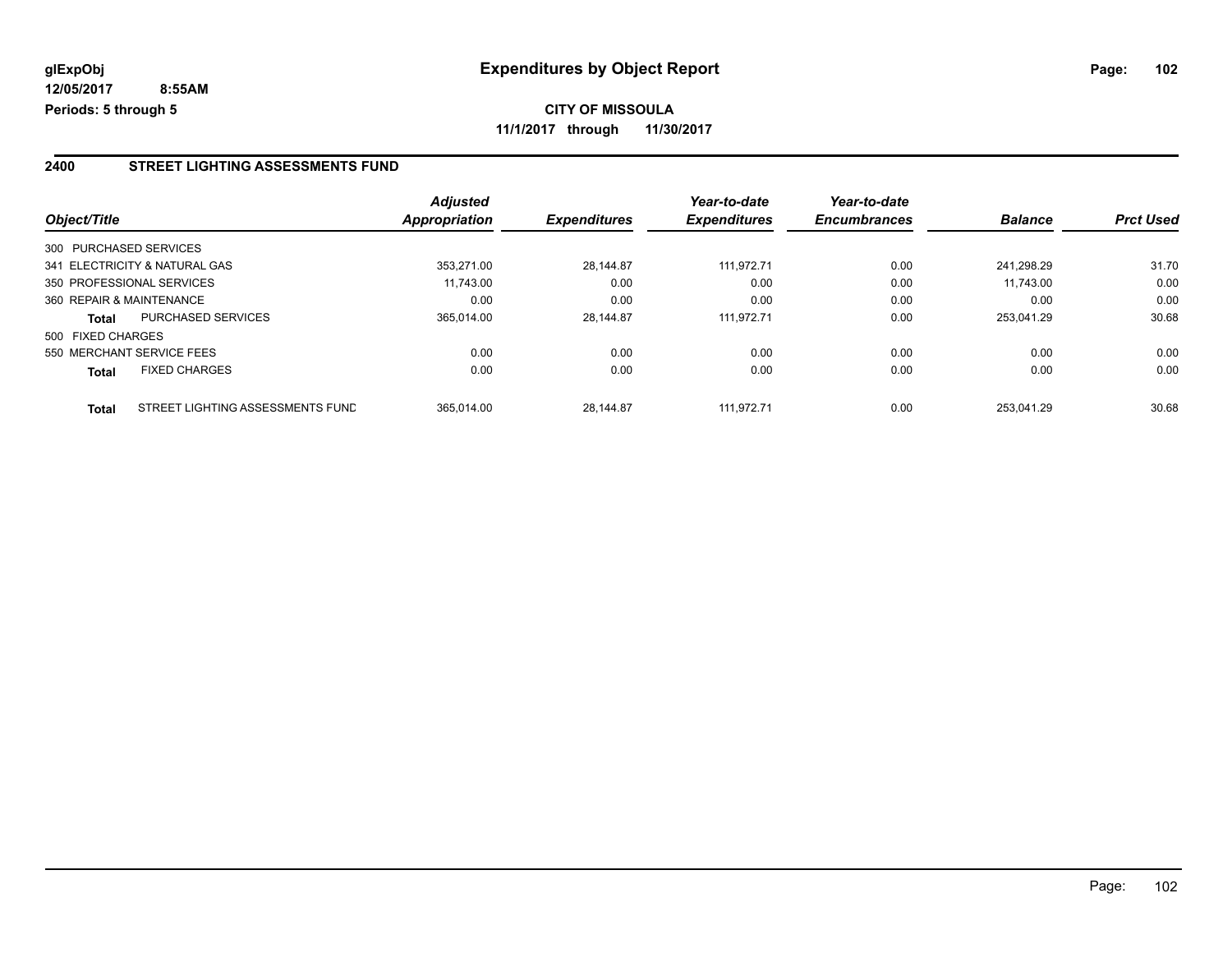#### **2400 STREET LIGHTING ASSESSMENTS FUND**

|                   |                                  | <b>Adjusted</b>      |                     | Year-to-date        | Year-to-date<br><b>Encumbrances</b> | <b>Balance</b> | <b>Prct Used</b> |
|-------------------|----------------------------------|----------------------|---------------------|---------------------|-------------------------------------|----------------|------------------|
| Object/Title      |                                  | <b>Appropriation</b> | <b>Expenditures</b> | <b>Expenditures</b> |                                     |                |                  |
|                   | 300 PURCHASED SERVICES           |                      |                     |                     |                                     |                |                  |
|                   | 341 ELECTRICITY & NATURAL GAS    | 353.271.00           | 28.144.87           | 111.972.71          | 0.00                                | 241.298.29     | 31.70            |
|                   | 350 PROFESSIONAL SERVICES        | 11.743.00            | 0.00                | 0.00                | 0.00                                | 11.743.00      | 0.00             |
|                   | 360 REPAIR & MAINTENANCE         | 0.00                 | 0.00                | 0.00                | 0.00                                | 0.00           | 0.00             |
| <b>Total</b>      | <b>PURCHASED SERVICES</b>        | 365.014.00           | 28.144.87           | 111.972.71          | 0.00                                | 253.041.29     | 30.68            |
| 500 FIXED CHARGES |                                  |                      |                     |                     |                                     |                |                  |
|                   | 550 MERCHANT SERVICE FEES        | 0.00                 | 0.00                | 0.00                | 0.00                                | 0.00           | 0.00             |
| <b>Total</b>      | <b>FIXED CHARGES</b>             | 0.00                 | 0.00                | 0.00                | 0.00                                | 0.00           | 0.00             |
| <b>Total</b>      | STREET LIGHTING ASSESSMENTS FUND | 365.014.00           | 28.144.87           | 111.972.71          | 0.00                                | 253.041.29     | 30.68            |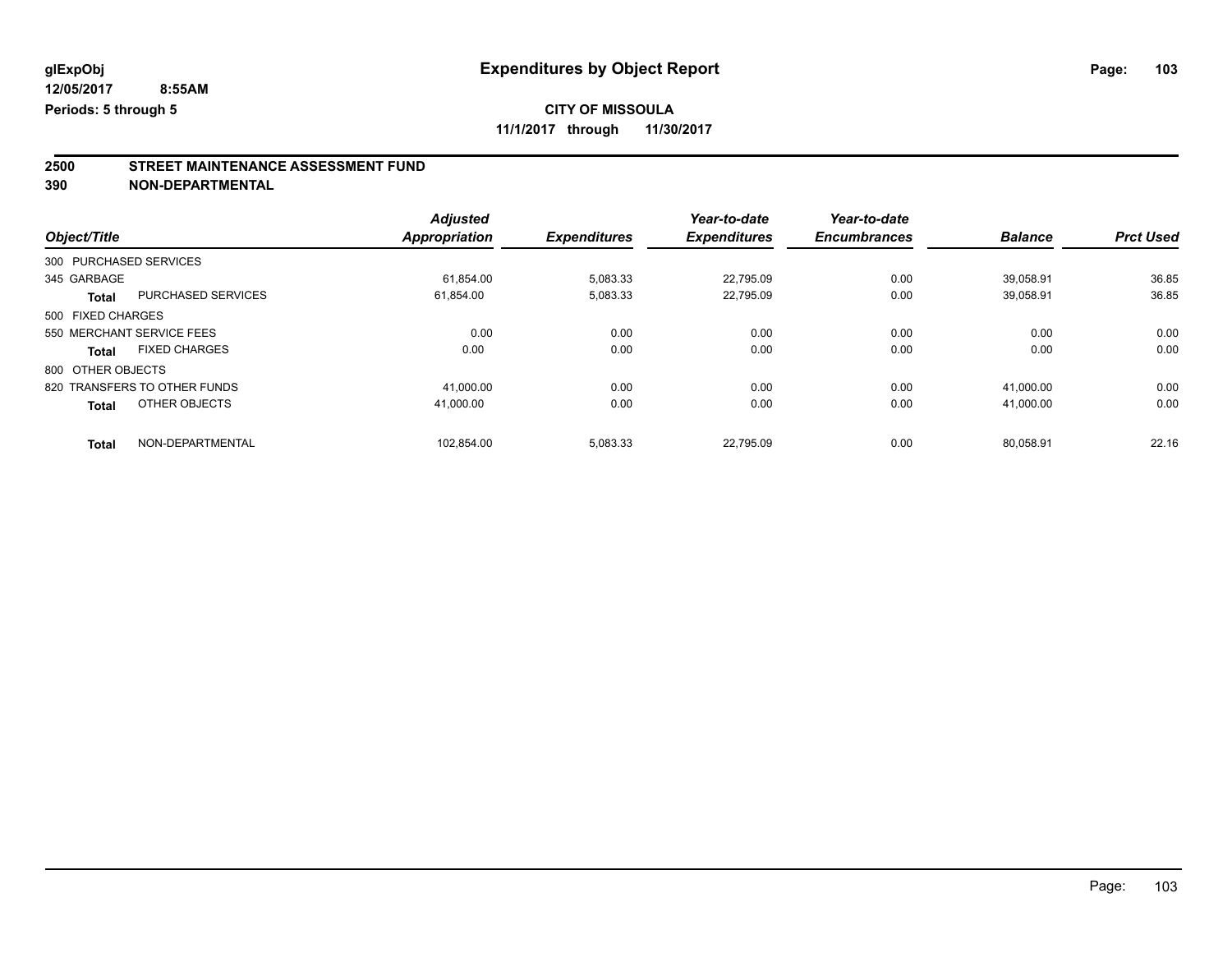## **CITY OF MISSOULA**

**11/1/2017 through 11/30/2017**

## **2500 STREET MAINTENANCE ASSESSMENT FUND**

**390 NON-DEPARTMENTAL**

|                        |                              | <b>Adjusted</b> |                     | Year-to-date        | Year-to-date        |                |                  |
|------------------------|------------------------------|-----------------|---------------------|---------------------|---------------------|----------------|------------------|
| Object/Title           |                              | Appropriation   | <b>Expenditures</b> | <b>Expenditures</b> | <b>Encumbrances</b> | <b>Balance</b> | <b>Prct Used</b> |
| 300 PURCHASED SERVICES |                              |                 |                     |                     |                     |                |                  |
| 345 GARBAGE            |                              | 61.854.00       | 5,083.33            | 22,795.09           | 0.00                | 39.058.91      | 36.85            |
| <b>Total</b>           | <b>PURCHASED SERVICES</b>    | 61,854.00       | 5,083.33            | 22.795.09           | 0.00                | 39.058.91      | 36.85            |
| 500 FIXED CHARGES      |                              |                 |                     |                     |                     |                |                  |
|                        | 550 MERCHANT SERVICE FEES    | 0.00            | 0.00                | 0.00                | 0.00                | 0.00           | 0.00             |
| <b>Total</b>           | <b>FIXED CHARGES</b>         | 0.00            | 0.00                | 0.00                | 0.00                | 0.00           | 0.00             |
| 800 OTHER OBJECTS      |                              |                 |                     |                     |                     |                |                  |
|                        | 820 TRANSFERS TO OTHER FUNDS | 41.000.00       | 0.00                | 0.00                | 0.00                | 41.000.00      | 0.00             |
| <b>Total</b>           | OTHER OBJECTS                | 41.000.00       | 0.00                | 0.00                | 0.00                | 41.000.00      | 0.00             |
| <b>Total</b>           | NON-DEPARTMENTAL             | 102.854.00      | 5,083.33            | 22.795.09           | 0.00                | 80.058.91      | 22.16            |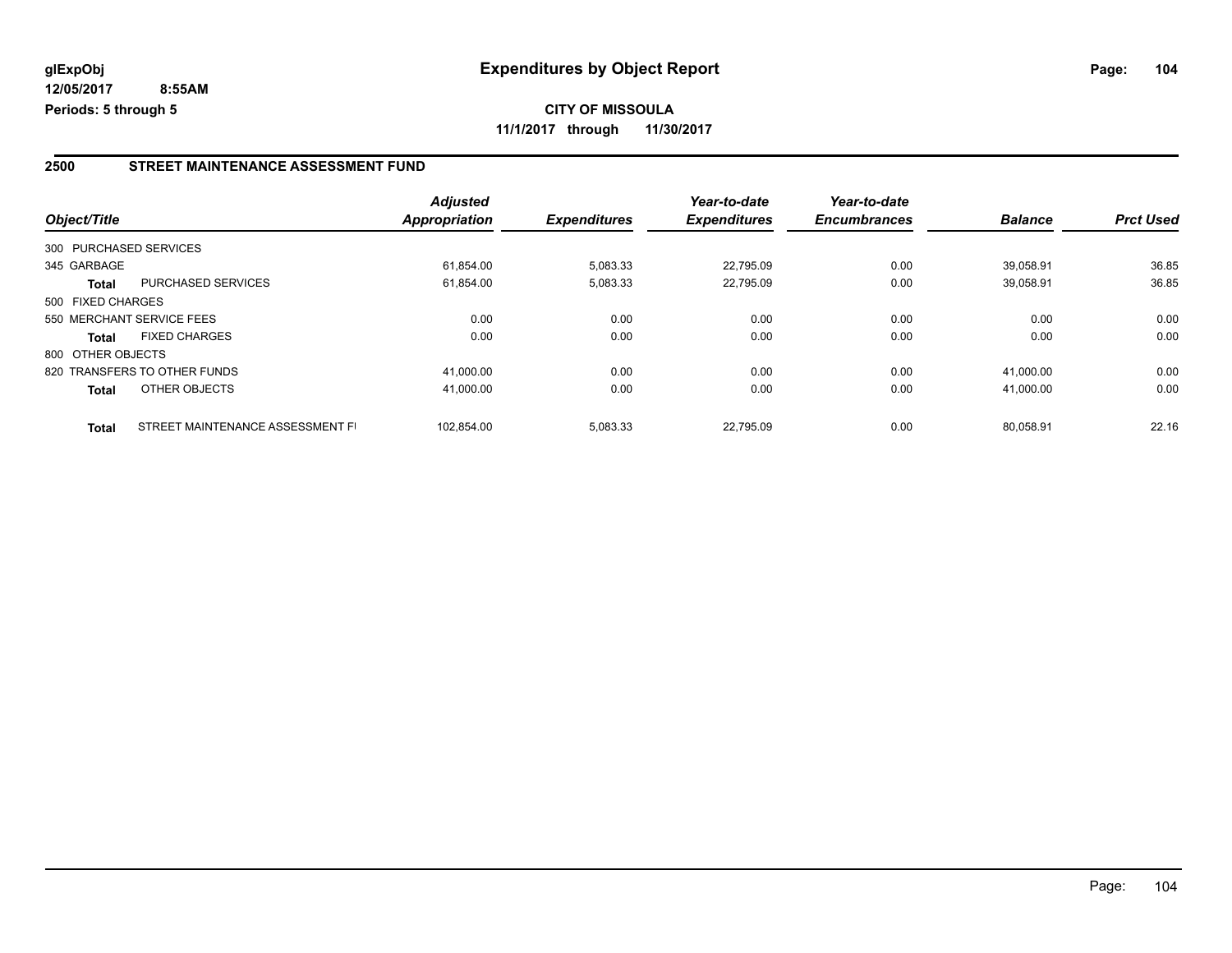#### **2500 STREET MAINTENANCE ASSESSMENT FUND**

|                   |                                  | <b>Adjusted</b> |                     | Year-to-date        | Year-to-date        |                |                  |
|-------------------|----------------------------------|-----------------|---------------------|---------------------|---------------------|----------------|------------------|
| Object/Title      |                                  | Appropriation   | <b>Expenditures</b> | <b>Expenditures</b> | <b>Encumbrances</b> | <b>Balance</b> | <b>Prct Used</b> |
|                   | 300 PURCHASED SERVICES           |                 |                     |                     |                     |                |                  |
| 345 GARBAGE       |                                  | 61.854.00       | 5,083.33            | 22.795.09           | 0.00                | 39.058.91      | 36.85            |
| <b>Total</b>      | <b>PURCHASED SERVICES</b>        | 61,854.00       | 5,083.33            | 22,795.09           | 0.00                | 39,058.91      | 36.85            |
| 500 FIXED CHARGES |                                  |                 |                     |                     |                     |                |                  |
|                   | 550 MERCHANT SERVICE FEES        | 0.00            | 0.00                | 0.00                | 0.00                | 0.00           | 0.00             |
| <b>Total</b>      | <b>FIXED CHARGES</b>             | 0.00            | 0.00                | 0.00                | 0.00                | 0.00           | 0.00             |
| 800 OTHER OBJECTS |                                  |                 |                     |                     |                     |                |                  |
|                   | 820 TRANSFERS TO OTHER FUNDS     | 41.000.00       | 0.00                | 0.00                | 0.00                | 41.000.00      | 0.00             |
| <b>Total</b>      | OTHER OBJECTS                    | 41,000.00       | 0.00                | 0.00                | 0.00                | 41,000.00      | 0.00             |
| <b>Total</b>      | STREET MAINTENANCE ASSESSMENT FI | 102.854.00      | 5,083.33            | 22.795.09           | 0.00                | 80.058.91      | 22.16            |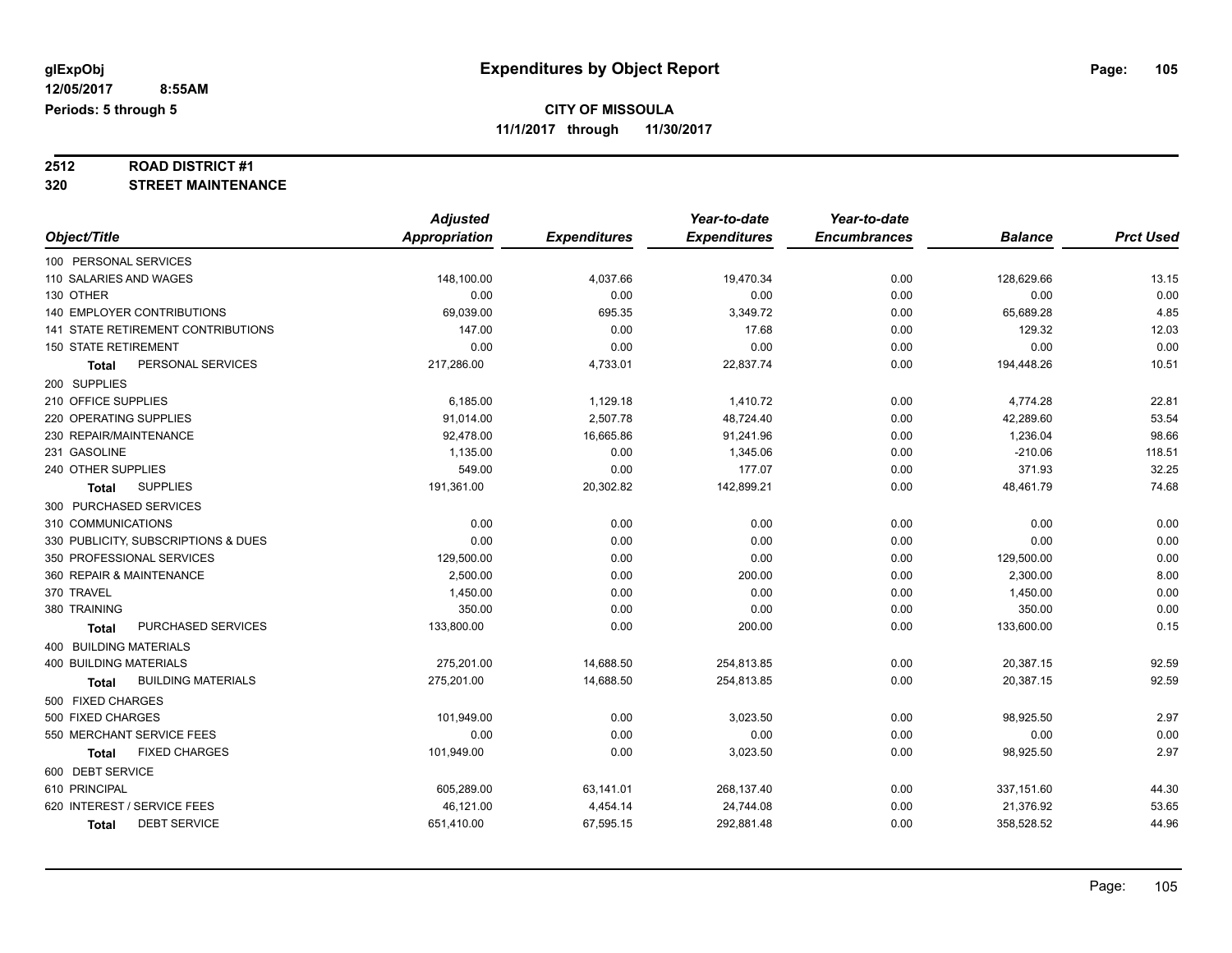# **2512 ROAD DISTRICT #1**

### **320 STREET MAINTENANCE**

|                                     | <b>Adjusted</b>      |                     | Year-to-date        | Year-to-date        |                |                  |
|-------------------------------------|----------------------|---------------------|---------------------|---------------------|----------------|------------------|
| Object/Title                        | <b>Appropriation</b> | <b>Expenditures</b> | <b>Expenditures</b> | <b>Encumbrances</b> | <b>Balance</b> | <b>Prct Used</b> |
| 100 PERSONAL SERVICES               |                      |                     |                     |                     |                |                  |
| 110 SALARIES AND WAGES              | 148,100.00           | 4,037.66            | 19,470.34           | 0.00                | 128,629.66     | 13.15            |
| 130 OTHER                           | 0.00                 | 0.00                | 0.00                | 0.00                | 0.00           | 0.00             |
| <b>140 EMPLOYER CONTRIBUTIONS</b>   | 69,039.00            | 695.35              | 3,349.72            | 0.00                | 65,689.28      | 4.85             |
| 141 STATE RETIREMENT CONTRIBUTIONS  | 147.00               | 0.00                | 17.68               | 0.00                | 129.32         | 12.03            |
| <b>150 STATE RETIREMENT</b>         | 0.00                 | 0.00                | 0.00                | 0.00                | 0.00           | 0.00             |
| PERSONAL SERVICES<br>Total          | 217,286.00           | 4,733.01            | 22,837.74           | 0.00                | 194,448.26     | 10.51            |
| 200 SUPPLIES                        |                      |                     |                     |                     |                |                  |
| 210 OFFICE SUPPLIES                 | 6,185.00             | 1,129.18            | 1,410.72            | 0.00                | 4,774.28       | 22.81            |
| 220 OPERATING SUPPLIES              | 91,014.00            | 2,507.78            | 48,724.40           | 0.00                | 42,289.60      | 53.54            |
| 230 REPAIR/MAINTENANCE              | 92,478.00            | 16,665.86           | 91,241.96           | 0.00                | 1,236.04       | 98.66            |
| 231 GASOLINE                        | 1,135.00             | 0.00                | 1,345.06            | 0.00                | $-210.06$      | 118.51           |
| 240 OTHER SUPPLIES                  | 549.00               | 0.00                | 177.07              | 0.00                | 371.93         | 32.25            |
| <b>SUPPLIES</b><br><b>Total</b>     | 191,361.00           | 20,302.82           | 142,899.21          | 0.00                | 48,461.79      | 74.68            |
| 300 PURCHASED SERVICES              |                      |                     |                     |                     |                |                  |
| 310 COMMUNICATIONS                  | 0.00                 | 0.00                | 0.00                | 0.00                | 0.00           | 0.00             |
| 330 PUBLICITY, SUBSCRIPTIONS & DUES | 0.00                 | 0.00                | 0.00                | 0.00                | 0.00           | 0.00             |
| 350 PROFESSIONAL SERVICES           | 129,500.00           | 0.00                | 0.00                | 0.00                | 129,500.00     | 0.00             |
| 360 REPAIR & MAINTENANCE            | 2,500.00             | 0.00                | 200.00              | 0.00                | 2,300.00       | 8.00             |
| 370 TRAVEL                          | 1,450.00             | 0.00                | 0.00                | 0.00                | 1,450.00       | 0.00             |
| 380 TRAINING                        | 350.00               | 0.00                | 0.00                | 0.00                | 350.00         | 0.00             |
| PURCHASED SERVICES<br>Total         | 133,800.00           | 0.00                | 200.00              | 0.00                | 133,600.00     | 0.15             |
| 400 BUILDING MATERIALS              |                      |                     |                     |                     |                |                  |
| <b>400 BUILDING MATERIALS</b>       | 275,201.00           | 14,688.50           | 254,813.85          | 0.00                | 20,387.15      | 92.59            |
| <b>BUILDING MATERIALS</b><br>Total  | 275,201.00           | 14,688.50           | 254,813.85          | 0.00                | 20,387.15      | 92.59            |
| 500 FIXED CHARGES                   |                      |                     |                     |                     |                |                  |
| 500 FIXED CHARGES                   | 101,949.00           | 0.00                | 3,023.50            | 0.00                | 98,925.50      | 2.97             |
| 550 MERCHANT SERVICE FEES           | 0.00                 | 0.00                | 0.00                | 0.00                | 0.00           | 0.00             |
| <b>FIXED CHARGES</b><br>Total       | 101,949.00           | 0.00                | 3,023.50            | 0.00                | 98,925.50      | 2.97             |
| 600 DEBT SERVICE                    |                      |                     |                     |                     |                |                  |
| 610 PRINCIPAL                       | 605,289.00           | 63,141.01           | 268,137.40          | 0.00                | 337,151.60     | 44.30            |
| 620 INTEREST / SERVICE FEES         | 46,121.00            | 4,454.14            | 24,744.08           | 0.00                | 21,376.92      | 53.65            |
| <b>DEBT SERVICE</b><br>Total        | 651,410.00           | 67,595.15           | 292,881.48          | 0.00                | 358,528.52     | 44.96            |
|                                     |                      |                     |                     |                     |                |                  |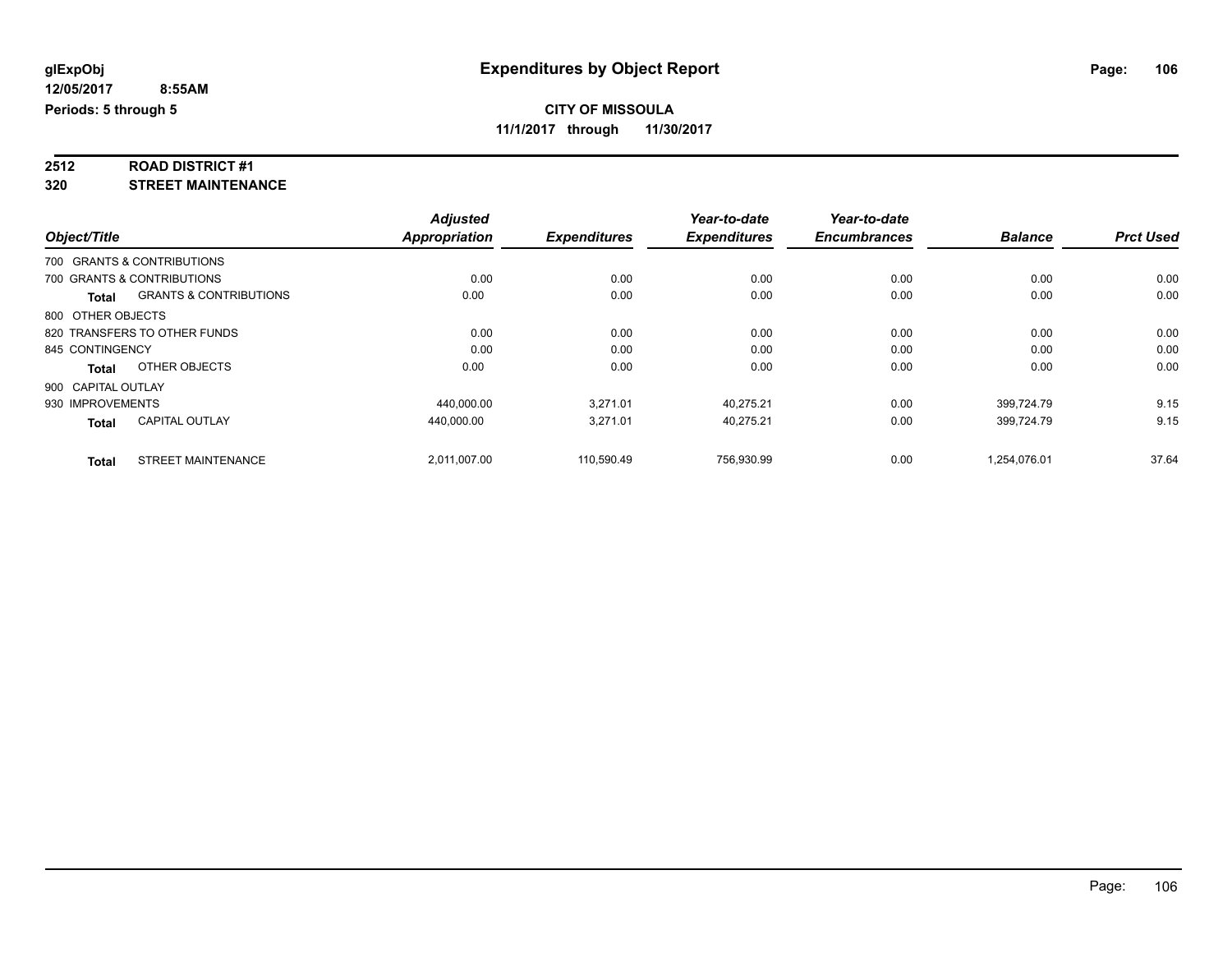# **2512 ROAD DISTRICT #1**

**320 STREET MAINTENANCE**

|                    |                                   | <b>Adjusted</b>      |                     | Year-to-date        | Year-to-date        |                |                  |
|--------------------|-----------------------------------|----------------------|---------------------|---------------------|---------------------|----------------|------------------|
| Object/Title       |                                   | <b>Appropriation</b> | <b>Expenditures</b> | <b>Expenditures</b> | <b>Encumbrances</b> | <b>Balance</b> | <b>Prct Used</b> |
|                    | 700 GRANTS & CONTRIBUTIONS        |                      |                     |                     |                     |                |                  |
|                    | 700 GRANTS & CONTRIBUTIONS        | 0.00                 | 0.00                | 0.00                | 0.00                | 0.00           | 0.00             |
| <b>Total</b>       | <b>GRANTS &amp; CONTRIBUTIONS</b> | 0.00                 | 0.00                | 0.00                | 0.00                | 0.00           | 0.00             |
| 800 OTHER OBJECTS  |                                   |                      |                     |                     |                     |                |                  |
|                    | 820 TRANSFERS TO OTHER FUNDS      | 0.00                 | 0.00                | 0.00                | 0.00                | 0.00           | 0.00             |
| 845 CONTINGENCY    |                                   | 0.00                 | 0.00                | 0.00                | 0.00                | 0.00           | 0.00             |
| <b>Total</b>       | OTHER OBJECTS                     | 0.00                 | 0.00                | 0.00                | 0.00                | 0.00           | 0.00             |
| 900 CAPITAL OUTLAY |                                   |                      |                     |                     |                     |                |                  |
| 930 IMPROVEMENTS   |                                   | 440,000.00           | 3,271.01            | 40,275.21           | 0.00                | 399,724.79     | 9.15             |
| <b>Total</b>       | <b>CAPITAL OUTLAY</b>             | 440.000.00           | 3.271.01            | 40.275.21           | 0.00                | 399.724.79     | 9.15             |
| Total              | <b>STREET MAINTENANCE</b>         | 2,011,007.00         | 110,590.49          | 756,930.99          | 0.00                | 1,254,076.01   | 37.64            |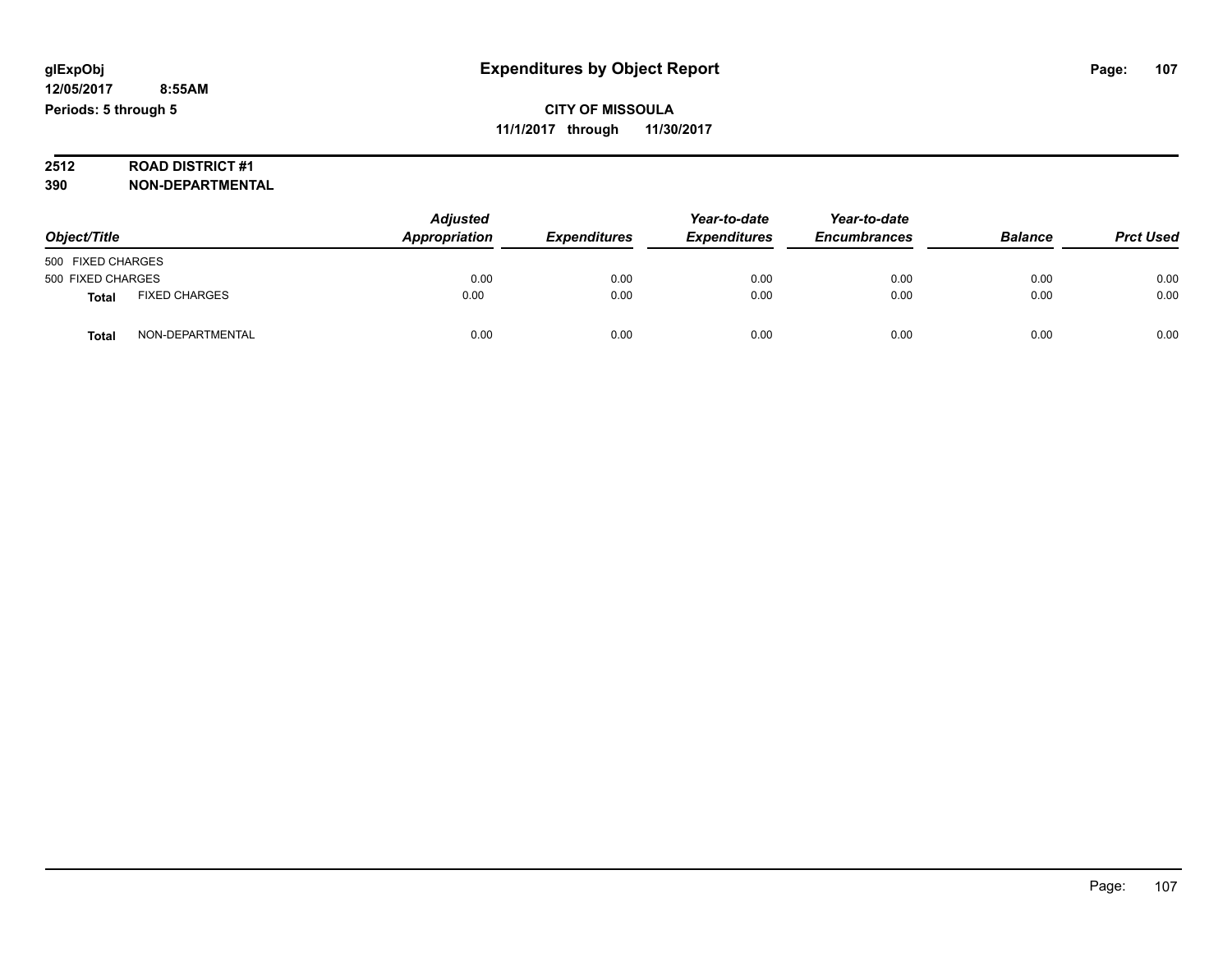# **2512 ROAD DISTRICT #1**

**390 NON-DEPARTMENTAL**

| Object/Title      |                      | <b>Adjusted</b><br>Appropriation | <b>Expenditures</b> | Year-to-date<br><b>Expenditures</b> | Year-to-date<br><b>Encumbrances</b> | <b>Balance</b> | <b>Prct Used</b> |
|-------------------|----------------------|----------------------------------|---------------------|-------------------------------------|-------------------------------------|----------------|------------------|
| 500 FIXED CHARGES |                      |                                  |                     |                                     |                                     |                |                  |
| 500 FIXED CHARGES |                      | 0.00                             | 0.00                | 0.00                                | 0.00                                | 0.00           | 0.00             |
| Total             | <b>FIXED CHARGES</b> | 0.00                             | 0.00                | 0.00                                | 0.00                                | 0.00           | 0.00             |
| Total             | NON-DEPARTMENTAL     | 0.00                             | 0.00                | 0.00                                | 0.00                                | 0.00           | 0.00             |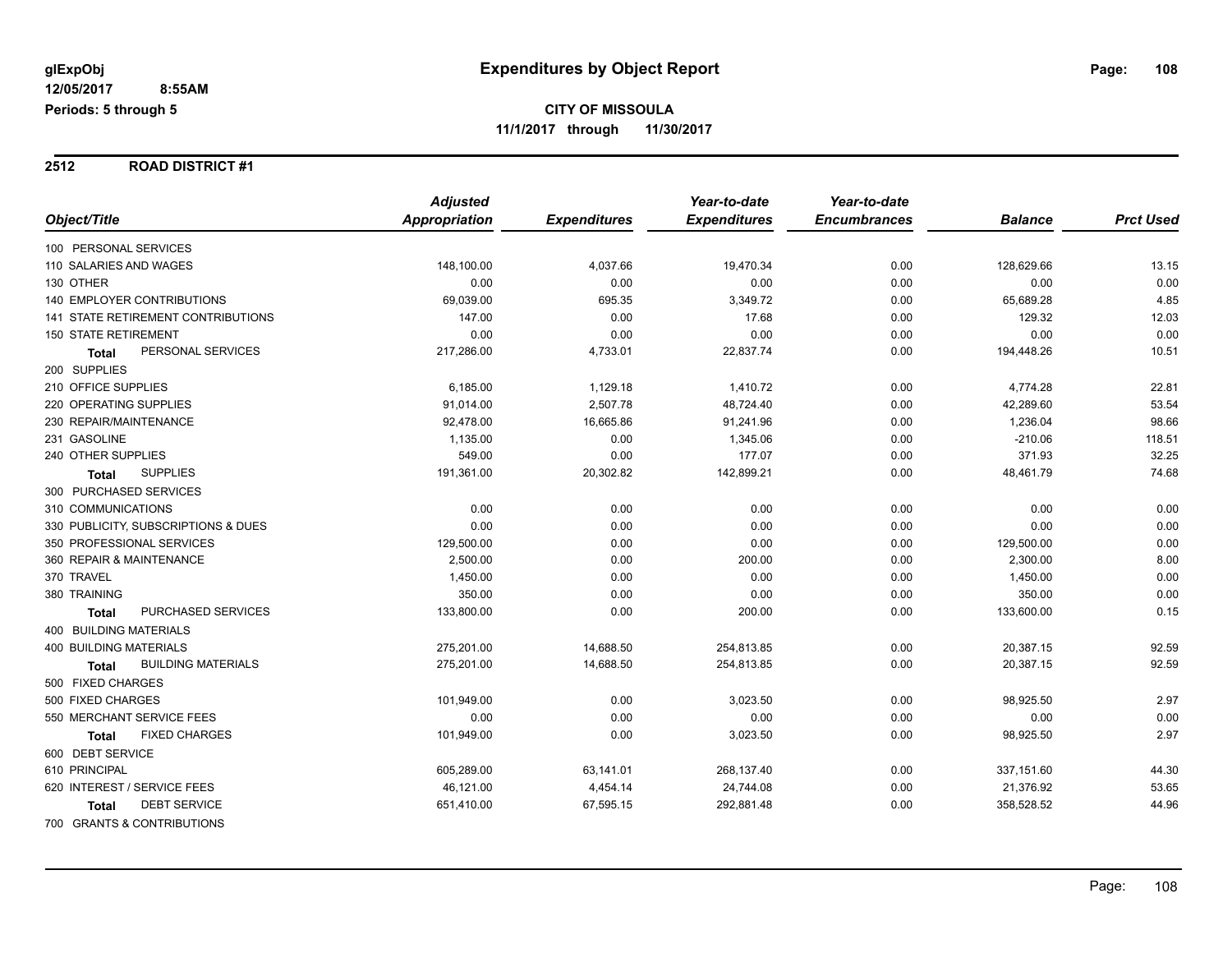#### **2512 ROAD DISTRICT #1**

|                                      | <b>Adjusted</b> |                     | Year-to-date        | Year-to-date        |                |                  |
|--------------------------------------|-----------------|---------------------|---------------------|---------------------|----------------|------------------|
| Object/Title                         | Appropriation   | <b>Expenditures</b> | <b>Expenditures</b> | <b>Encumbrances</b> | <b>Balance</b> | <b>Prct Used</b> |
| 100 PERSONAL SERVICES                |                 |                     |                     |                     |                |                  |
| 110 SALARIES AND WAGES               | 148,100.00      | 4,037.66            | 19,470.34           | 0.00                | 128,629.66     | 13.15            |
| 130 OTHER                            | 0.00            | 0.00                | 0.00                | 0.00                | 0.00           | 0.00             |
| <b>140 EMPLOYER CONTRIBUTIONS</b>    | 69,039.00       | 695.35              | 3,349.72            | 0.00                | 65,689.28      | 4.85             |
| 141 STATE RETIREMENT CONTRIBUTIONS   | 147.00          | 0.00                | 17.68               | 0.00                | 129.32         | 12.03            |
| <b>150 STATE RETIREMENT</b>          | 0.00            | 0.00                | 0.00                | 0.00                | 0.00           | 0.00             |
| PERSONAL SERVICES<br><b>Total</b>    | 217,286.00      | 4,733.01            | 22,837.74           | 0.00                | 194,448.26     | 10.51            |
| 200 SUPPLIES                         |                 |                     |                     |                     |                |                  |
| 210 OFFICE SUPPLIES                  | 6,185.00        | 1,129.18            | 1,410.72            | 0.00                | 4,774.28       | 22.81            |
| 220 OPERATING SUPPLIES               | 91,014.00       | 2,507.78            | 48,724.40           | 0.00                | 42,289.60      | 53.54            |
| 230 REPAIR/MAINTENANCE               | 92,478.00       | 16,665.86           | 91,241.96           | 0.00                | 1,236.04       | 98.66            |
| 231 GASOLINE                         | 1,135.00        | 0.00                | 1,345.06            | 0.00                | $-210.06$      | 118.51           |
| 240 OTHER SUPPLIES                   | 549.00          | 0.00                | 177.07              | 0.00                | 371.93         | 32.25            |
| <b>SUPPLIES</b><br>Total             | 191,361.00      | 20,302.82           | 142,899.21          | 0.00                | 48,461.79      | 74.68            |
| 300 PURCHASED SERVICES               |                 |                     |                     |                     |                |                  |
| 310 COMMUNICATIONS                   | 0.00            | 0.00                | 0.00                | 0.00                | 0.00           | 0.00             |
| 330 PUBLICITY, SUBSCRIPTIONS & DUES  | 0.00            | 0.00                | 0.00                | 0.00                | 0.00           | 0.00             |
| 350 PROFESSIONAL SERVICES            | 129,500.00      | 0.00                | 0.00                | 0.00                | 129,500.00     | 0.00             |
| 360 REPAIR & MAINTENANCE             | 2,500.00        | 0.00                | 200.00              | 0.00                | 2,300.00       | 8.00             |
| 370 TRAVEL                           | 1,450.00        | 0.00                | 0.00                | 0.00                | 1,450.00       | 0.00             |
| 380 TRAINING                         | 350.00          | 0.00                | 0.00                | 0.00                | 350.00         | 0.00             |
| PURCHASED SERVICES<br><b>Total</b>   | 133,800.00      | 0.00                | 200.00              | 0.00                | 133,600.00     | 0.15             |
| 400 BUILDING MATERIALS               |                 |                     |                     |                     |                |                  |
| <b>400 BUILDING MATERIALS</b>        | 275,201.00      | 14,688.50           | 254,813.85          | 0.00                | 20,387.15      | 92.59            |
| <b>BUILDING MATERIALS</b><br>Total   | 275,201.00      | 14,688.50           | 254,813.85          | 0.00                | 20,387.15      | 92.59            |
| 500 FIXED CHARGES                    |                 |                     |                     |                     |                |                  |
| 500 FIXED CHARGES                    | 101,949.00      | 0.00                | 3,023.50            | 0.00                | 98,925.50      | 2.97             |
| 550 MERCHANT SERVICE FEES            | 0.00            | 0.00                | 0.00                | 0.00                | 0.00           | 0.00             |
| <b>FIXED CHARGES</b><br><b>Total</b> | 101,949.00      | 0.00                | 3,023.50            | 0.00                | 98,925.50      | 2.97             |
| 600 DEBT SERVICE                     |                 |                     |                     |                     |                |                  |
| 610 PRINCIPAL                        | 605,289.00      | 63,141.01           | 268,137.40          | 0.00                | 337,151.60     | 44.30            |
| 620 INTEREST / SERVICE FEES          | 46,121.00       | 4,454.14            | 24,744.08           | 0.00                | 21,376.92      | 53.65            |
| <b>DEBT SERVICE</b><br><b>Total</b>  | 651,410.00      | 67,595.15           | 292,881.48          | 0.00                | 358,528.52     | 44.96            |
| 700 GRANTS & CONTRIBUTIONS           |                 |                     |                     |                     |                |                  |

Page: 108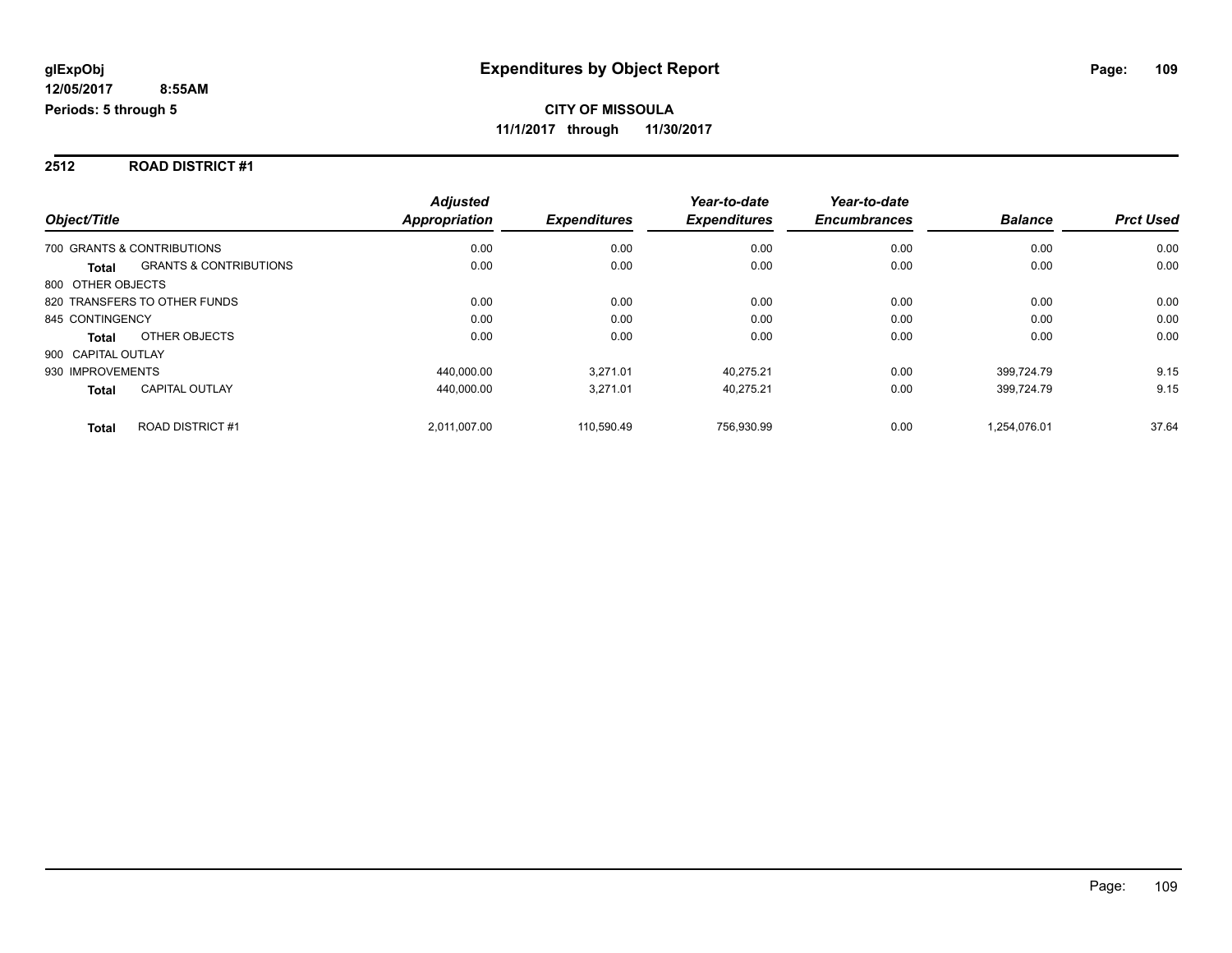#### **2512 ROAD DISTRICT #1**

|                                                   | <b>Adjusted</b> |                     | Year-to-date        | Year-to-date        |                |                  |
|---------------------------------------------------|-----------------|---------------------|---------------------|---------------------|----------------|------------------|
| Object/Title                                      | Appropriation   | <b>Expenditures</b> | <b>Expenditures</b> | <b>Encumbrances</b> | <b>Balance</b> | <b>Prct Used</b> |
| 700 GRANTS & CONTRIBUTIONS                        | 0.00            | 0.00                | 0.00                | 0.00                | 0.00           | 0.00             |
| <b>GRANTS &amp; CONTRIBUTIONS</b><br><b>Total</b> | 0.00            | 0.00                | 0.00                | 0.00                | 0.00           | 0.00             |
| 800 OTHER OBJECTS                                 |                 |                     |                     |                     |                |                  |
| 820 TRANSFERS TO OTHER FUNDS                      | 0.00            | 0.00                | 0.00                | 0.00                | 0.00           | 0.00             |
| 845 CONTINGENCY                                   | 0.00            | 0.00                | 0.00                | 0.00                | 0.00           | 0.00             |
| OTHER OBJECTS<br><b>Total</b>                     | 0.00            | 0.00                | 0.00                | 0.00                | 0.00           | 0.00             |
| 900 CAPITAL OUTLAY                                |                 |                     |                     |                     |                |                  |
| 930 IMPROVEMENTS                                  | 440.000.00      | 3.271.01            | 40.275.21           | 0.00                | 399.724.79     | 9.15             |
| <b>CAPITAL OUTLAY</b><br><b>Total</b>             | 440.000.00      | 3,271.01            | 40.275.21           | 0.00                | 399.724.79     | 9.15             |
| <b>ROAD DISTRICT #1</b><br><b>Total</b>           | 2.011.007.00    | 110.590.49          | 756.930.99          | 0.00                | 1.254.076.01   | 37.64            |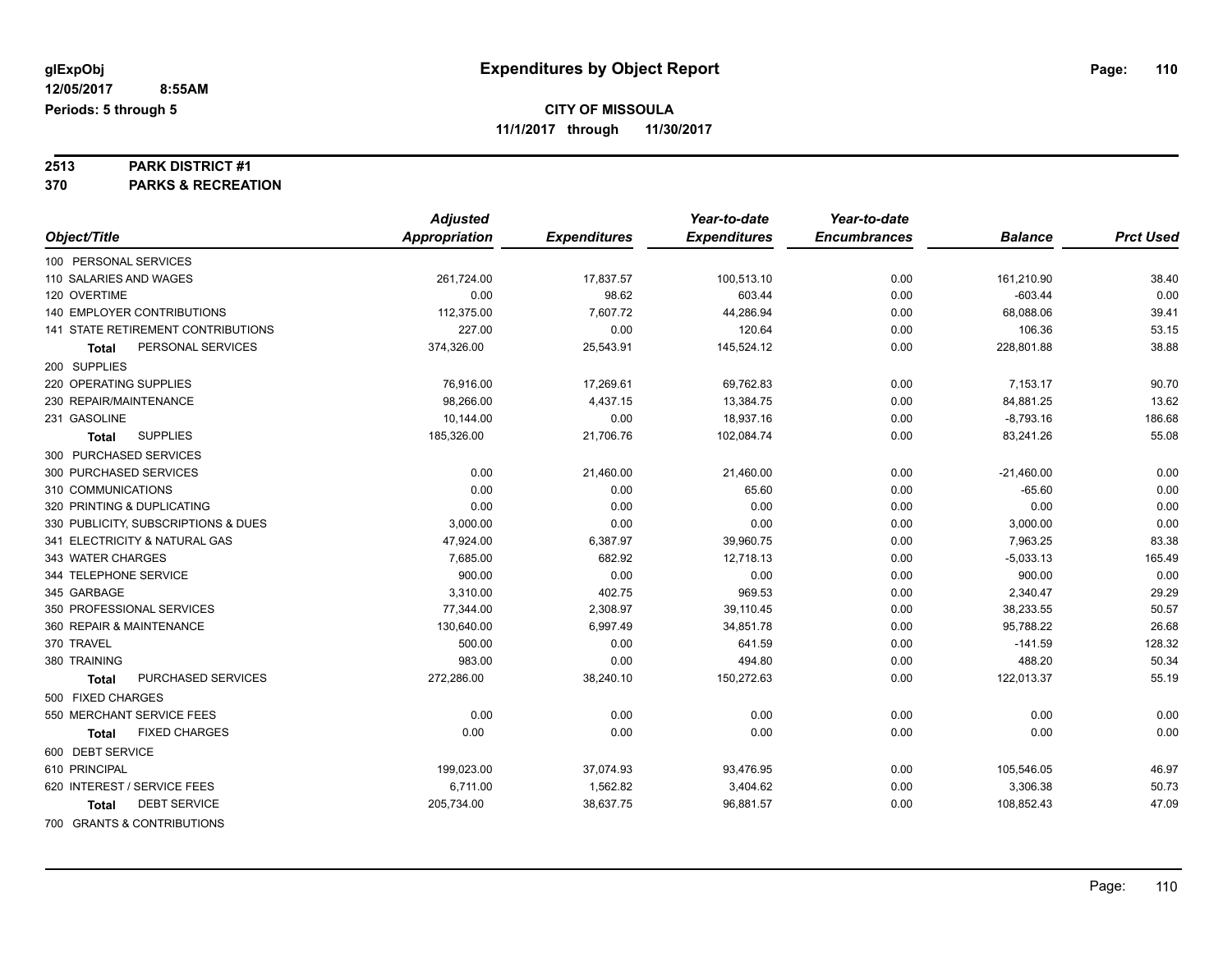## **2513 PARK DISTRICT #1**

**370 PARKS & RECREATION**

|                                      | <b>Adjusted</b> |                     | Year-to-date        | Year-to-date        |                |                  |
|--------------------------------------|-----------------|---------------------|---------------------|---------------------|----------------|------------------|
| Object/Title                         | Appropriation   | <b>Expenditures</b> | <b>Expenditures</b> | <b>Encumbrances</b> | <b>Balance</b> | <b>Prct Used</b> |
| 100 PERSONAL SERVICES                |                 |                     |                     |                     |                |                  |
| 110 SALARIES AND WAGES               | 261,724.00      | 17,837.57           | 100,513.10          | 0.00                | 161,210.90     | 38.40            |
| 120 OVERTIME                         | 0.00            | 98.62               | 603.44              | 0.00                | $-603.44$      | 0.00             |
| <b>140 EMPLOYER CONTRIBUTIONS</b>    | 112,375.00      | 7,607.72            | 44,286.94           | 0.00                | 68,088.06      | 39.41            |
| 141 STATE RETIREMENT CONTRIBUTIONS   | 227.00          | 0.00                | 120.64              | 0.00                | 106.36         | 53.15            |
| PERSONAL SERVICES<br>Total           | 374,326.00      | 25,543.91           | 145,524.12          | 0.00                | 228,801.88     | 38.88            |
| 200 SUPPLIES                         |                 |                     |                     |                     |                |                  |
| 220 OPERATING SUPPLIES               | 76,916.00       | 17,269.61           | 69,762.83           | 0.00                | 7,153.17       | 90.70            |
| 230 REPAIR/MAINTENANCE               | 98,266.00       | 4,437.15            | 13,384.75           | 0.00                | 84,881.25      | 13.62            |
| 231 GASOLINE                         | 10,144.00       | 0.00                | 18,937.16           | 0.00                | $-8,793.16$    | 186.68           |
| <b>SUPPLIES</b><br><b>Total</b>      | 185,326.00      | 21,706.76           | 102,084.74          | 0.00                | 83,241.26      | 55.08            |
| 300 PURCHASED SERVICES               |                 |                     |                     |                     |                |                  |
| 300 PURCHASED SERVICES               | 0.00            | 21,460.00           | 21,460.00           | 0.00                | $-21,460.00$   | 0.00             |
| 310 COMMUNICATIONS                   | 0.00            | 0.00                | 65.60               | 0.00                | $-65.60$       | 0.00             |
| 320 PRINTING & DUPLICATING           | 0.00            | 0.00                | 0.00                | 0.00                | 0.00           | 0.00             |
| 330 PUBLICITY, SUBSCRIPTIONS & DUES  | 3,000.00        | 0.00                | 0.00                | 0.00                | 3,000.00       | 0.00             |
| 341 ELECTRICITY & NATURAL GAS        | 47,924.00       | 6,387.97            | 39,960.75           | 0.00                | 7,963.25       | 83.38            |
| 343 WATER CHARGES                    | 7,685.00        | 682.92              | 12,718.13           | 0.00                | $-5,033.13$    | 165.49           |
| 344 TELEPHONE SERVICE                | 900.00          | 0.00                | 0.00                | 0.00                | 900.00         | 0.00             |
| 345 GARBAGE                          | 3,310.00        | 402.75              | 969.53              | 0.00                | 2,340.47       | 29.29            |
| 350 PROFESSIONAL SERVICES            | 77,344.00       | 2,308.97            | 39,110.45           | 0.00                | 38,233.55      | 50.57            |
| 360 REPAIR & MAINTENANCE             | 130,640.00      | 6,997.49            | 34,851.78           | 0.00                | 95,788.22      | 26.68            |
| 370 TRAVEL                           | 500.00          | 0.00                | 641.59              | 0.00                | $-141.59$      | 128.32           |
| 380 TRAINING                         | 983.00          | 0.00                | 494.80              | 0.00                | 488.20         | 50.34            |
| PURCHASED SERVICES<br>Total          | 272,286.00      | 38,240.10           | 150,272.63          | 0.00                | 122,013.37     | 55.19            |
| 500 FIXED CHARGES                    |                 |                     |                     |                     |                |                  |
| 550 MERCHANT SERVICE FEES            | 0.00            | 0.00                | 0.00                | 0.00                | 0.00           | 0.00             |
| <b>FIXED CHARGES</b><br><b>Total</b> | 0.00            | 0.00                | 0.00                | 0.00                | 0.00           | 0.00             |
| 600 DEBT SERVICE                     |                 |                     |                     |                     |                |                  |
| 610 PRINCIPAL                        | 199,023.00      | 37,074.93           | 93,476.95           | 0.00                | 105,546.05     | 46.97            |
| 620 INTEREST / SERVICE FEES          | 6,711.00        | 1,562.82            | 3,404.62            | 0.00                | 3,306.38       | 50.73            |
| <b>DEBT SERVICE</b><br>Total         | 205,734.00      | 38,637.75           | 96,881.57           | 0.00                | 108,852.43     | 47.09            |
| 700 GRANTS & CONTRIBUTIONS           |                 |                     |                     |                     |                |                  |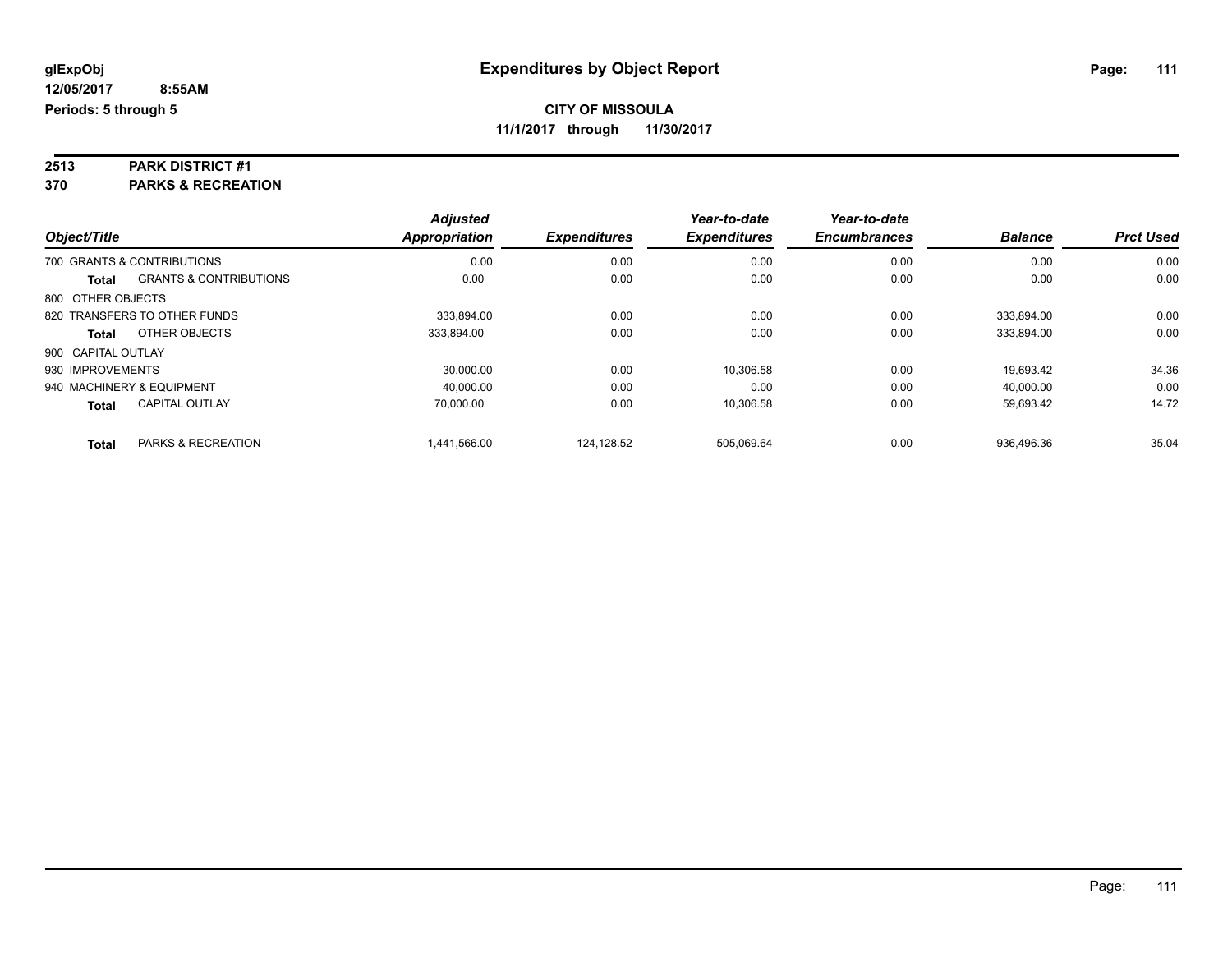## **2513 PARK DISTRICT #1**

**370 PARKS & RECREATION**

|                    |                                   | <b>Adjusted</b> |                     | Year-to-date        | Year-to-date        |                |                  |
|--------------------|-----------------------------------|-----------------|---------------------|---------------------|---------------------|----------------|------------------|
| Object/Title       |                                   | Appropriation   | <b>Expenditures</b> | <b>Expenditures</b> | <b>Encumbrances</b> | <b>Balance</b> | <b>Prct Used</b> |
|                    | 700 GRANTS & CONTRIBUTIONS        | 0.00            | 0.00                | 0.00                | 0.00                | 0.00           | 0.00             |
| Total              | <b>GRANTS &amp; CONTRIBUTIONS</b> | 0.00            | 0.00                | 0.00                | 0.00                | 0.00           | 0.00             |
| 800 OTHER OBJECTS  |                                   |                 |                     |                     |                     |                |                  |
|                    | 820 TRANSFERS TO OTHER FUNDS      | 333.894.00      | 0.00                | 0.00                | 0.00                | 333.894.00     | 0.00             |
| Total              | OTHER OBJECTS                     | 333,894.00      | 0.00                | 0.00                | 0.00                | 333,894.00     | 0.00             |
| 900 CAPITAL OUTLAY |                                   |                 |                     |                     |                     |                |                  |
| 930 IMPROVEMENTS   |                                   | 30.000.00       | 0.00                | 10.306.58           | 0.00                | 19.693.42      | 34.36            |
|                    | 940 MACHINERY & EQUIPMENT         | 40,000.00       | 0.00                | 0.00                | 0.00                | 40,000.00      | 0.00             |
| <b>Total</b>       | <b>CAPITAL OUTLAY</b>             | 70.000.00       | 0.00                | 10.306.58           | 0.00                | 59.693.42      | 14.72            |
| <b>Total</b>       | PARKS & RECREATION                | 1,441,566.00    | 124.128.52          | 505.069.64          | 0.00                | 936.496.36     | 35.04            |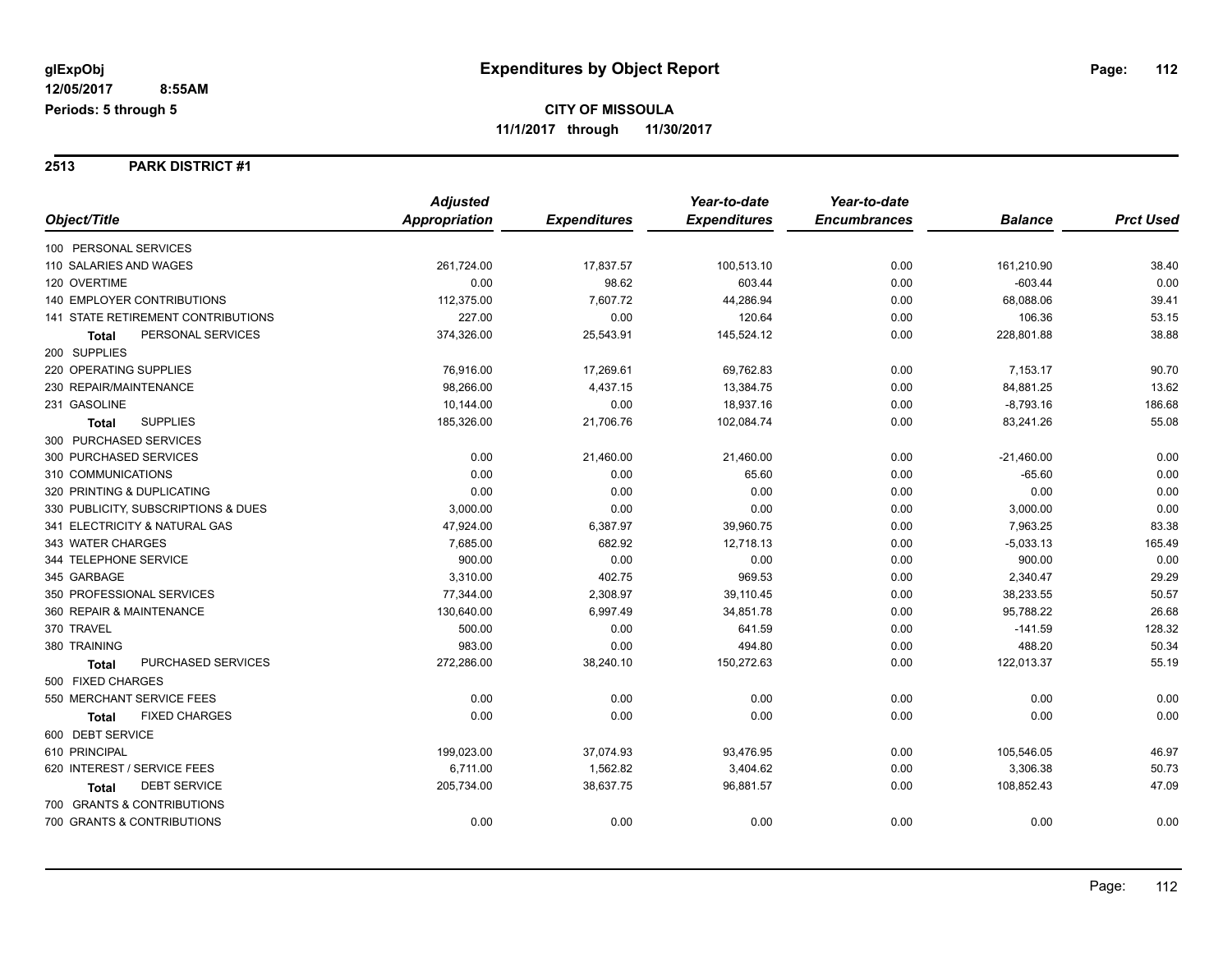**2513 PARK DISTRICT #1**

|                                           | <b>Adjusted</b>      |                     | Year-to-date        | Year-to-date        |                |                  |
|-------------------------------------------|----------------------|---------------------|---------------------|---------------------|----------------|------------------|
| Object/Title                              | <b>Appropriation</b> | <b>Expenditures</b> | <b>Expenditures</b> | <b>Encumbrances</b> | <b>Balance</b> | <b>Prct Used</b> |
| 100 PERSONAL SERVICES                     |                      |                     |                     |                     |                |                  |
| 110 SALARIES AND WAGES                    | 261,724.00           | 17,837.57           | 100,513.10          | 0.00                | 161,210.90     | 38.40            |
| 120 OVERTIME                              | 0.00                 | 98.62               | 603.44              | 0.00                | $-603.44$      | 0.00             |
| 140 EMPLOYER CONTRIBUTIONS                | 112,375.00           | 7,607.72            | 44,286.94           | 0.00                | 68,088.06      | 39.41            |
| <b>141 STATE RETIREMENT CONTRIBUTIONS</b> | 227.00               | 0.00                | 120.64              | 0.00                | 106.36         | 53.15            |
| PERSONAL SERVICES<br>Total                | 374,326.00           | 25,543.91           | 145,524.12          | 0.00                | 228,801.88     | 38.88            |
| 200 SUPPLIES                              |                      |                     |                     |                     |                |                  |
| 220 OPERATING SUPPLIES                    | 76,916.00            | 17,269.61           | 69,762.83           | 0.00                | 7,153.17       | 90.70            |
| 230 REPAIR/MAINTENANCE                    | 98,266.00            | 4,437.15            | 13,384.75           | 0.00                | 84,881.25      | 13.62            |
| 231 GASOLINE                              | 10,144.00            | 0.00                | 18,937.16           | 0.00                | $-8,793.16$    | 186.68           |
| <b>SUPPLIES</b><br><b>Total</b>           | 185,326.00           | 21,706.76           | 102,084.74          | 0.00                | 83,241.26      | 55.08            |
| 300 PURCHASED SERVICES                    |                      |                     |                     |                     |                |                  |
| 300 PURCHASED SERVICES                    | 0.00                 | 21,460.00           | 21,460.00           | 0.00                | $-21,460.00$   | 0.00             |
| 310 COMMUNICATIONS                        | 0.00                 | 0.00                | 65.60               | 0.00                | $-65.60$       | 0.00             |
| 320 PRINTING & DUPLICATING                | 0.00                 | 0.00                | 0.00                | 0.00                | 0.00           | 0.00             |
| 330 PUBLICITY, SUBSCRIPTIONS & DUES       | 3,000.00             | 0.00                | 0.00                | 0.00                | 3,000.00       | 0.00             |
| 341 ELECTRICITY & NATURAL GAS             | 47,924.00            | 6,387.97            | 39,960.75           | 0.00                | 7,963.25       | 83.38            |
| 343 WATER CHARGES                         | 7,685.00             | 682.92              | 12,718.13           | 0.00                | $-5,033.13$    | 165.49           |
| 344 TELEPHONE SERVICE                     | 900.00               | 0.00                | 0.00                | 0.00                | 900.00         | 0.00             |
| 345 GARBAGE                               | 3,310.00             | 402.75              | 969.53              | 0.00                | 2,340.47       | 29.29            |
| 350 PROFESSIONAL SERVICES                 | 77,344.00            | 2,308.97            | 39,110.45           | 0.00                | 38,233.55      | 50.57            |
| 360 REPAIR & MAINTENANCE                  | 130,640.00           | 6,997.49            | 34,851.78           | 0.00                | 95,788.22      | 26.68            |
| 370 TRAVEL                                | 500.00               | 0.00                | 641.59              | 0.00                | $-141.59$      | 128.32           |
| 380 TRAINING                              | 983.00               | 0.00                | 494.80              | 0.00                | 488.20         | 50.34            |
| <b>PURCHASED SERVICES</b><br><b>Total</b> | 272,286.00           | 38,240.10           | 150,272.63          | 0.00                | 122,013.37     | 55.19            |
| 500 FIXED CHARGES                         |                      |                     |                     |                     |                |                  |
| 550 MERCHANT SERVICE FEES                 | 0.00                 | 0.00                | 0.00                | 0.00                | 0.00           | 0.00             |
| <b>FIXED CHARGES</b><br><b>Total</b>      | 0.00                 | 0.00                | 0.00                | 0.00                | 0.00           | 0.00             |
| 600 DEBT SERVICE                          |                      |                     |                     |                     |                |                  |
| 610 PRINCIPAL                             | 199,023.00           | 37,074.93           | 93,476.95           | 0.00                | 105,546.05     | 46.97            |
| 620 INTEREST / SERVICE FEES               | 6,711.00             | 1,562.82            | 3,404.62            | 0.00                | 3,306.38       | 50.73            |
| <b>DEBT SERVICE</b><br>Total              | 205,734.00           | 38,637.75           | 96,881.57           | 0.00                | 108,852.43     | 47.09            |
| 700 GRANTS & CONTRIBUTIONS                |                      |                     |                     |                     |                |                  |
| 700 GRANTS & CONTRIBUTIONS                | 0.00                 | 0.00                | 0.00                | 0.00                | 0.00           | 0.00             |
|                                           |                      |                     |                     |                     |                |                  |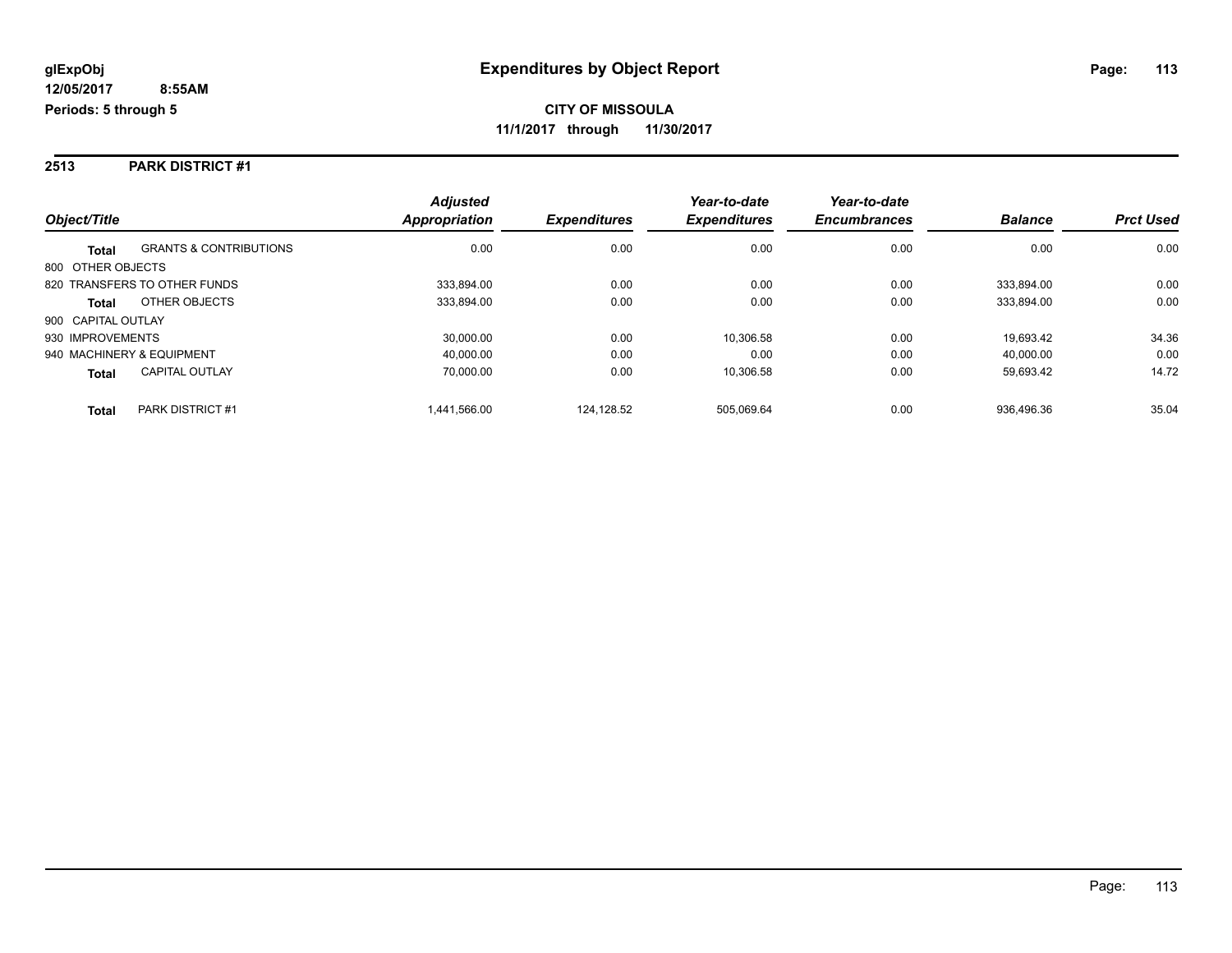#### **2513 PARK DISTRICT #1**

|                           |                                   | <b>Adjusted</b>      |                     | Year-to-date        | Year-to-date        |                |                  |
|---------------------------|-----------------------------------|----------------------|---------------------|---------------------|---------------------|----------------|------------------|
| Object/Title              |                                   | <b>Appropriation</b> | <b>Expenditures</b> | <b>Expenditures</b> | <b>Encumbrances</b> | <b>Balance</b> | <b>Prct Used</b> |
| <b>Total</b>              | <b>GRANTS &amp; CONTRIBUTIONS</b> | 0.00                 | 0.00                | 0.00                | 0.00                | 0.00           | 0.00             |
| 800 OTHER OBJECTS         |                                   |                      |                     |                     |                     |                |                  |
|                           | 820 TRANSFERS TO OTHER FUNDS      | 333.894.00           | 0.00                | 0.00                | 0.00                | 333.894.00     | 0.00             |
| Total                     | OTHER OBJECTS                     | 333.894.00           | 0.00                | 0.00                | 0.00                | 333,894.00     | 0.00             |
| 900 CAPITAL OUTLAY        |                                   |                      |                     |                     |                     |                |                  |
| 930 IMPROVEMENTS          |                                   | 30,000.00            | 0.00                | 10.306.58           | 0.00                | 19.693.42      | 34.36            |
| 940 MACHINERY & EQUIPMENT |                                   | 40.000.00            | 0.00                | 0.00                | 0.00                | 40.000.00      | 0.00             |
| <b>Total</b>              | <b>CAPITAL OUTLAY</b>             | 70,000.00            | 0.00                | 10,306.58           | 0.00                | 59,693.42      | 14.72            |
| <b>Total</b>              | PARK DISTRICT #1                  | 1.441.566.00         | 124.128.52          | 505.069.64          | 0.00                | 936.496.36     | 35.04            |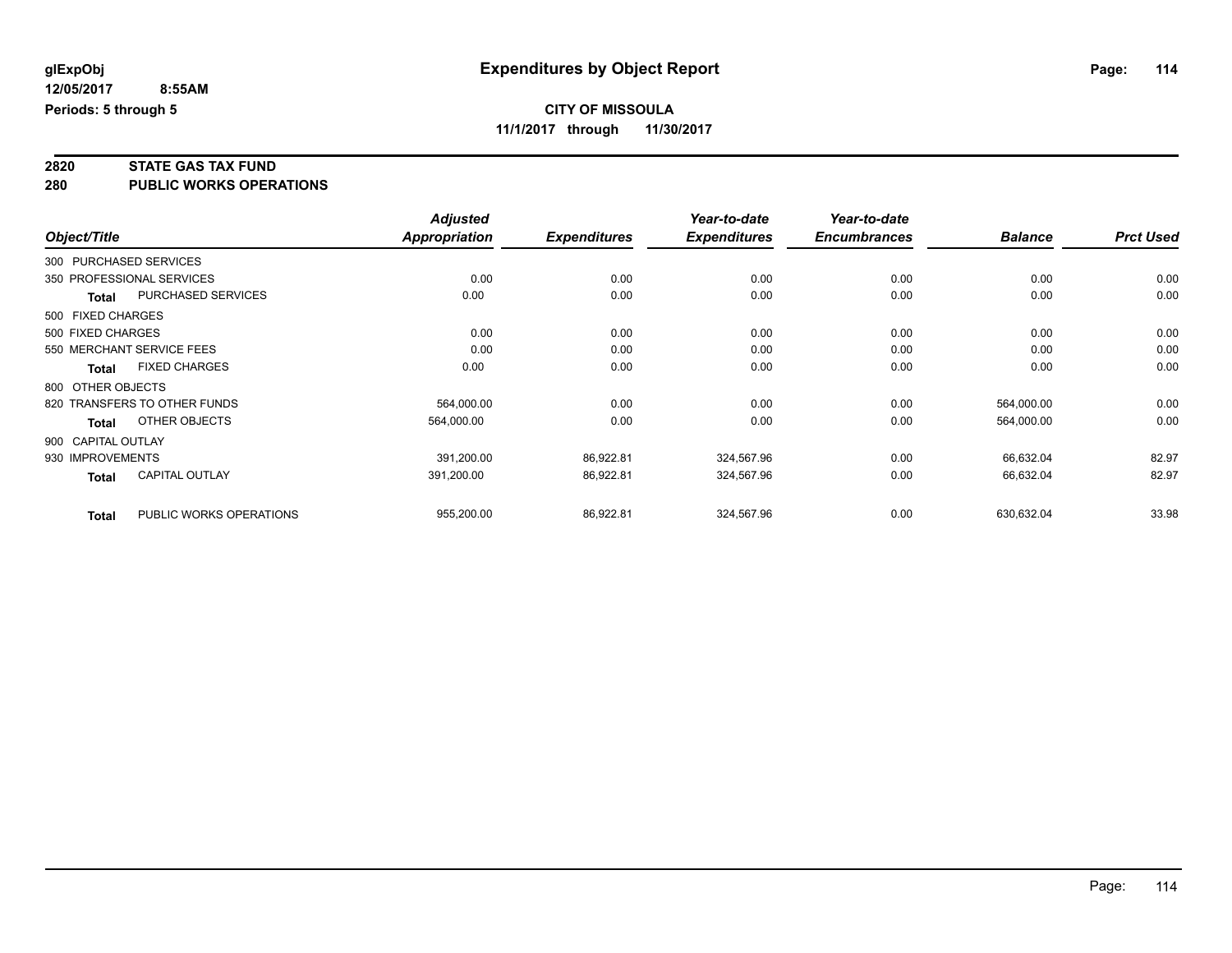## **2820 STATE GAS TAX FUND**

**280 PUBLIC WORKS OPERATIONS**

|              |                    |                              | <b>Adjusted</b>      |                     | Year-to-date        | Year-to-date        |                |                  |
|--------------|--------------------|------------------------------|----------------------|---------------------|---------------------|---------------------|----------------|------------------|
| Object/Title |                    |                              | <b>Appropriation</b> | <b>Expenditures</b> | <b>Expenditures</b> | <b>Encumbrances</b> | <b>Balance</b> | <b>Prct Used</b> |
|              |                    | 300 PURCHASED SERVICES       |                      |                     |                     |                     |                |                  |
|              |                    | 350 PROFESSIONAL SERVICES    | 0.00                 | 0.00                | 0.00                | 0.00                | 0.00           | 0.00             |
|              | <b>Total</b>       | PURCHASED SERVICES           | 0.00                 | 0.00                | 0.00                | 0.00                | 0.00           | 0.00             |
|              | 500 FIXED CHARGES  |                              |                      |                     |                     |                     |                |                  |
|              | 500 FIXED CHARGES  |                              | 0.00                 | 0.00                | 0.00                | 0.00                | 0.00           | 0.00             |
|              |                    | 550 MERCHANT SERVICE FEES    | 0.00                 | 0.00                | 0.00                | 0.00                | 0.00           | 0.00             |
|              | <b>Total</b>       | <b>FIXED CHARGES</b>         | 0.00                 | 0.00                | 0.00                | 0.00                | 0.00           | 0.00             |
|              | 800 OTHER OBJECTS  |                              |                      |                     |                     |                     |                |                  |
|              |                    | 820 TRANSFERS TO OTHER FUNDS | 564,000.00           | 0.00                | 0.00                | 0.00                | 564,000.00     | 0.00             |
|              | Total              | OTHER OBJECTS                | 564,000.00           | 0.00                | 0.00                | 0.00                | 564,000.00     | 0.00             |
|              | 900 CAPITAL OUTLAY |                              |                      |                     |                     |                     |                |                  |
|              | 930 IMPROVEMENTS   |                              | 391,200.00           | 86,922.81           | 324,567.96          | 0.00                | 66,632.04      | 82.97            |
|              | <b>Total</b>       | <b>CAPITAL OUTLAY</b>        | 391,200.00           | 86,922.81           | 324,567.96          | 0.00                | 66,632.04      | 82.97            |
|              | <b>Total</b>       | PUBLIC WORKS OPERATIONS      | 955,200.00           | 86,922.81           | 324,567.96          | 0.00                | 630,632.04     | 33.98            |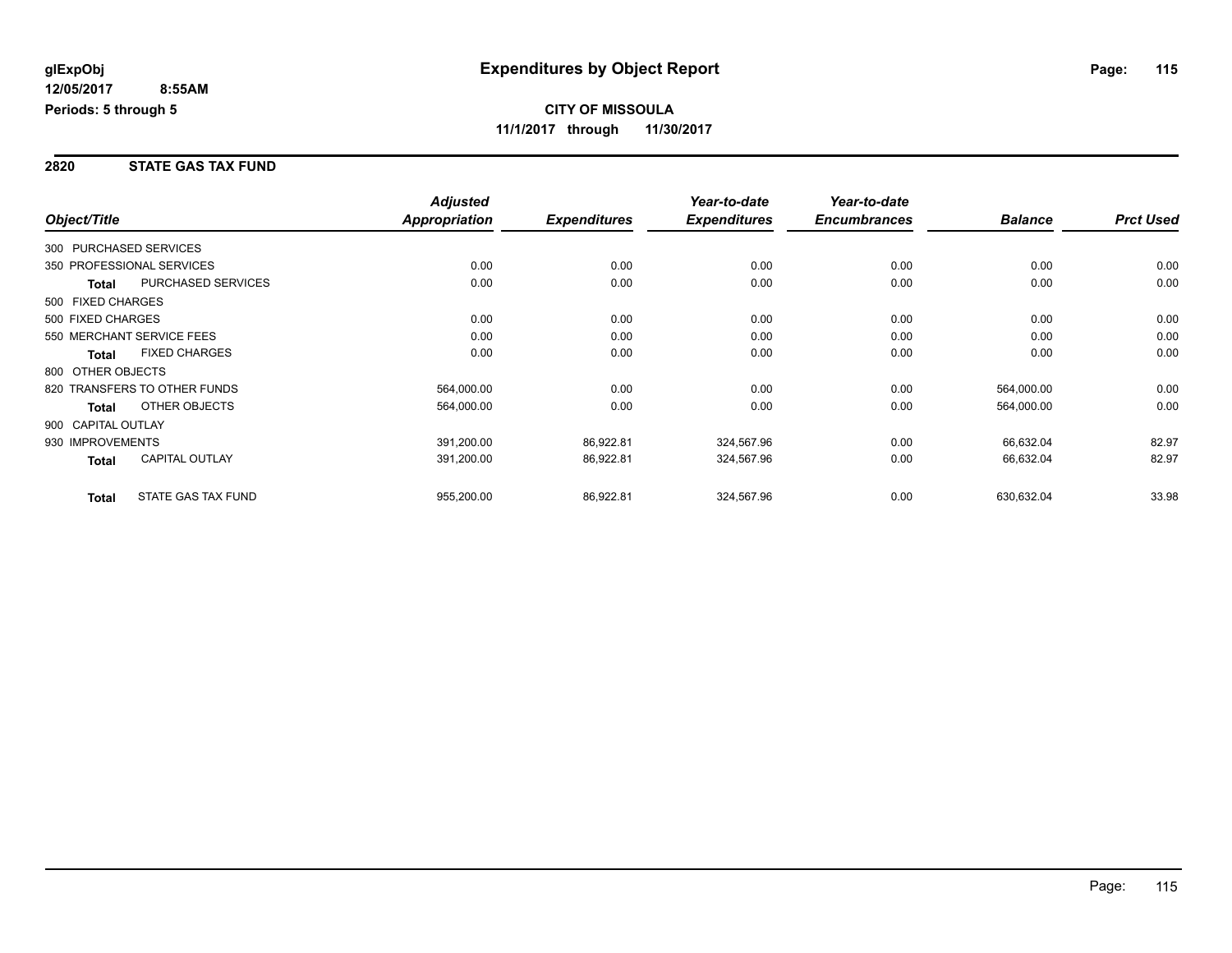#### **2820 STATE GAS TAX FUND**

|                    |                              | <b>Adjusted</b>      |                     | Year-to-date        | Year-to-date        |                |                  |
|--------------------|------------------------------|----------------------|---------------------|---------------------|---------------------|----------------|------------------|
| Object/Title       |                              | <b>Appropriation</b> | <b>Expenditures</b> | <b>Expenditures</b> | <b>Encumbrances</b> | <b>Balance</b> | <b>Prct Used</b> |
|                    | 300 PURCHASED SERVICES       |                      |                     |                     |                     |                |                  |
|                    | 350 PROFESSIONAL SERVICES    | 0.00                 | 0.00                | 0.00                | 0.00                | 0.00           | 0.00             |
| <b>Total</b>       | <b>PURCHASED SERVICES</b>    | 0.00                 | 0.00                | 0.00                | 0.00                | 0.00           | 0.00             |
| 500 FIXED CHARGES  |                              |                      |                     |                     |                     |                |                  |
| 500 FIXED CHARGES  |                              | 0.00                 | 0.00                | 0.00                | 0.00                | 0.00           | 0.00             |
|                    | 550 MERCHANT SERVICE FEES    | 0.00                 | 0.00                | 0.00                | 0.00                | 0.00           | 0.00             |
| <b>Total</b>       | <b>FIXED CHARGES</b>         | 0.00                 | 0.00                | 0.00                | 0.00                | 0.00           | 0.00             |
| 800 OTHER OBJECTS  |                              |                      |                     |                     |                     |                |                  |
|                    | 820 TRANSFERS TO OTHER FUNDS | 564,000.00           | 0.00                | 0.00                | 0.00                | 564,000.00     | 0.00             |
| <b>Total</b>       | OTHER OBJECTS                | 564,000.00           | 0.00                | 0.00                | 0.00                | 564,000.00     | 0.00             |
| 900 CAPITAL OUTLAY |                              |                      |                     |                     |                     |                |                  |
| 930 IMPROVEMENTS   |                              | 391,200.00           | 86,922.81           | 324,567.96          | 0.00                | 66,632.04      | 82.97            |
| <b>Total</b>       | <b>CAPITAL OUTLAY</b>        | 391,200.00           | 86,922.81           | 324,567.96          | 0.00                | 66,632.04      | 82.97            |
| <b>Total</b>       | <b>STATE GAS TAX FUND</b>    | 955,200.00           | 86,922.81           | 324,567.96          | 0.00                | 630,632.04     | 33.98            |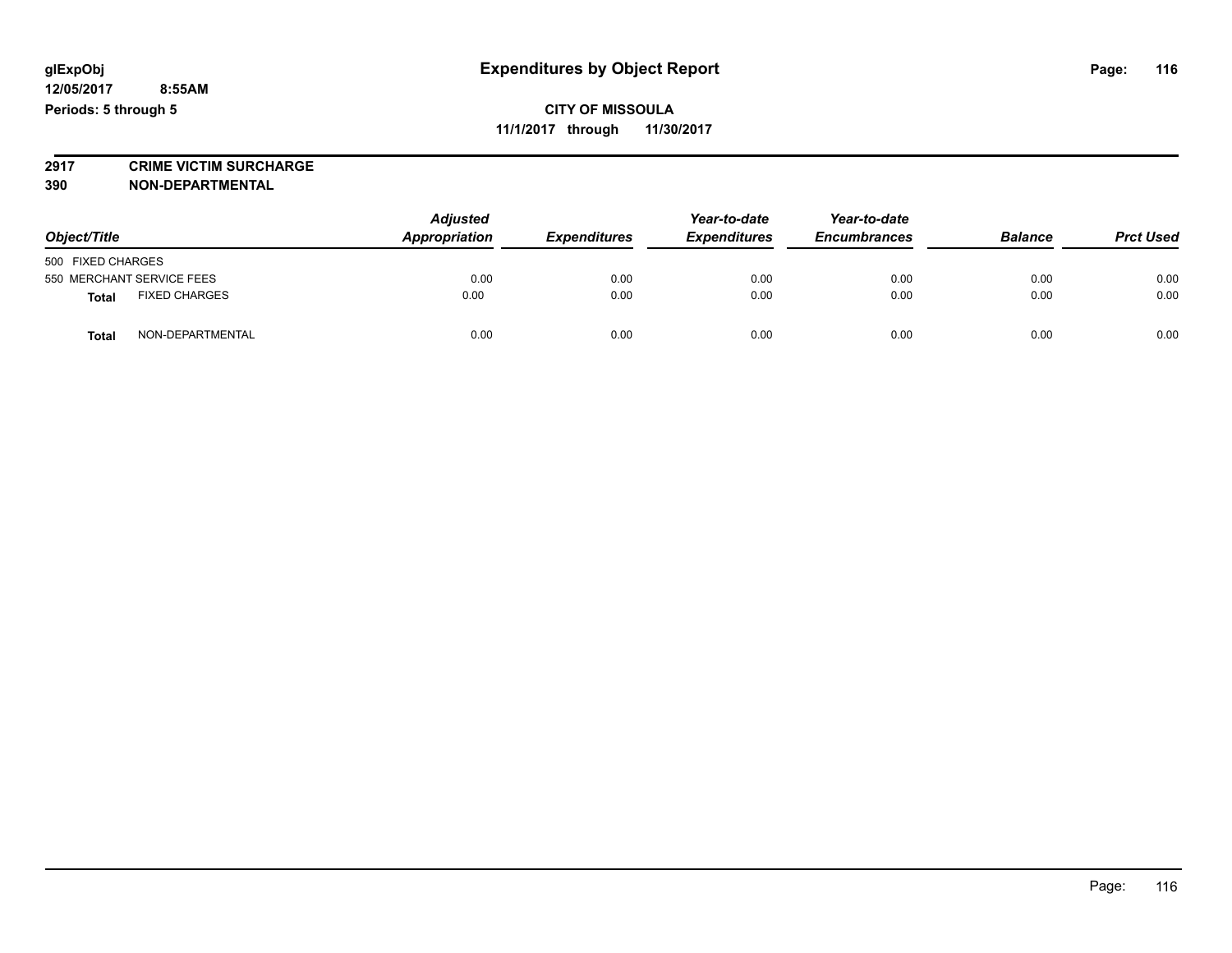**12/05/2017 8:55AM Periods: 5 through 5**

#### **CITY OF MISSOULA 11/1/2017 through 11/30/2017**

**2917 CRIME VICTIM SURCHARGE**

**390 NON-DEPARTMENTAL**

| Object/Title                         |  | <b>Adjusted</b><br>Appropriation | <b>Expenditures</b> | Year-to-date<br><b>Expenditures</b> | Year-to-date<br><b>Encumbrances</b> | <b>Balance</b> | <b>Prct Used</b> |
|--------------------------------------|--|----------------------------------|---------------------|-------------------------------------|-------------------------------------|----------------|------------------|
| 500 FIXED CHARGES                    |  |                                  |                     |                                     |                                     |                |                  |
| 550 MERCHANT SERVICE FEES            |  | 0.00                             | 0.00                | 0.00                                | 0.00                                | 0.00           | 0.00             |
| <b>FIXED CHARGES</b><br><b>Total</b> |  | 0.00                             | 0.00                | 0.00                                | 0.00                                | 0.00           | 0.00             |
| NON-DEPARTMENTAL<br><b>Total</b>     |  | 0.00                             | 0.00                | 0.00                                | 0.00                                | 0.00           | 0.00             |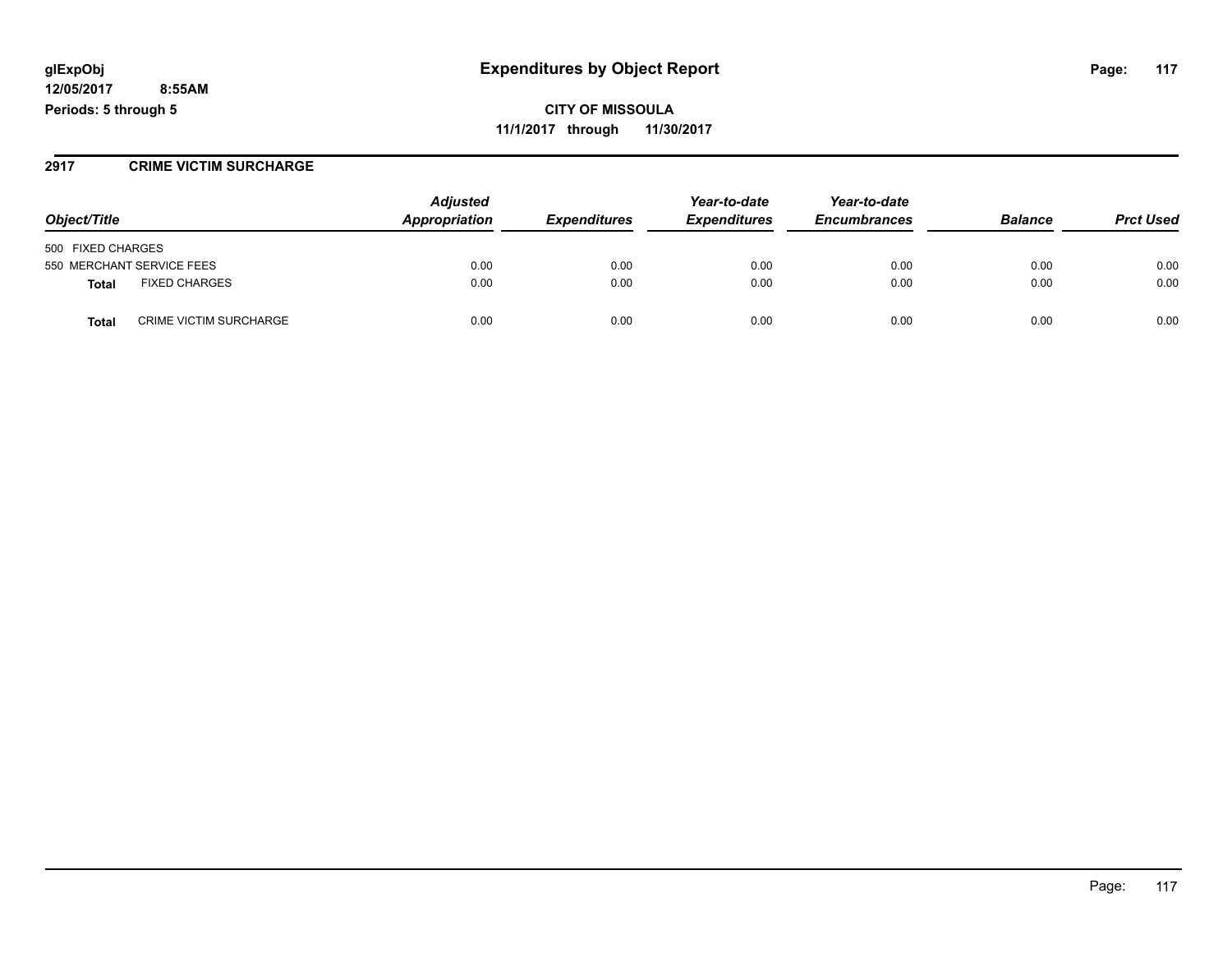**12/05/2017 8:55AM Periods: 5 through 5**

**CITY OF MISSOULA 11/1/2017 through 11/30/2017**

#### **2917 CRIME VICTIM SURCHARGE**

|                                               | <b>Adjusted</b> |                     | Year-to-date        | Year-to-date        |                |                  |
|-----------------------------------------------|-----------------|---------------------|---------------------|---------------------|----------------|------------------|
| Object/Title                                  | Appropriation   | <b>Expenditures</b> | <b>Expenditures</b> | <b>Encumbrances</b> | <b>Balance</b> | <b>Prct Used</b> |
| 500 FIXED CHARGES                             |                 |                     |                     |                     |                |                  |
| 550 MERCHANT SERVICE FEES                     | 0.00            | 0.00                | 0.00                | 0.00                | 0.00           | 0.00             |
| <b>FIXED CHARGES</b><br>Total                 | 0.00            | 0.00                | 0.00                | 0.00                | 0.00           | 0.00             |
| <b>CRIME VICTIM SURCHARGE</b><br><b>Total</b> | 0.00            | 0.00                | 0.00                | 0.00                | 0.00           | 0.00             |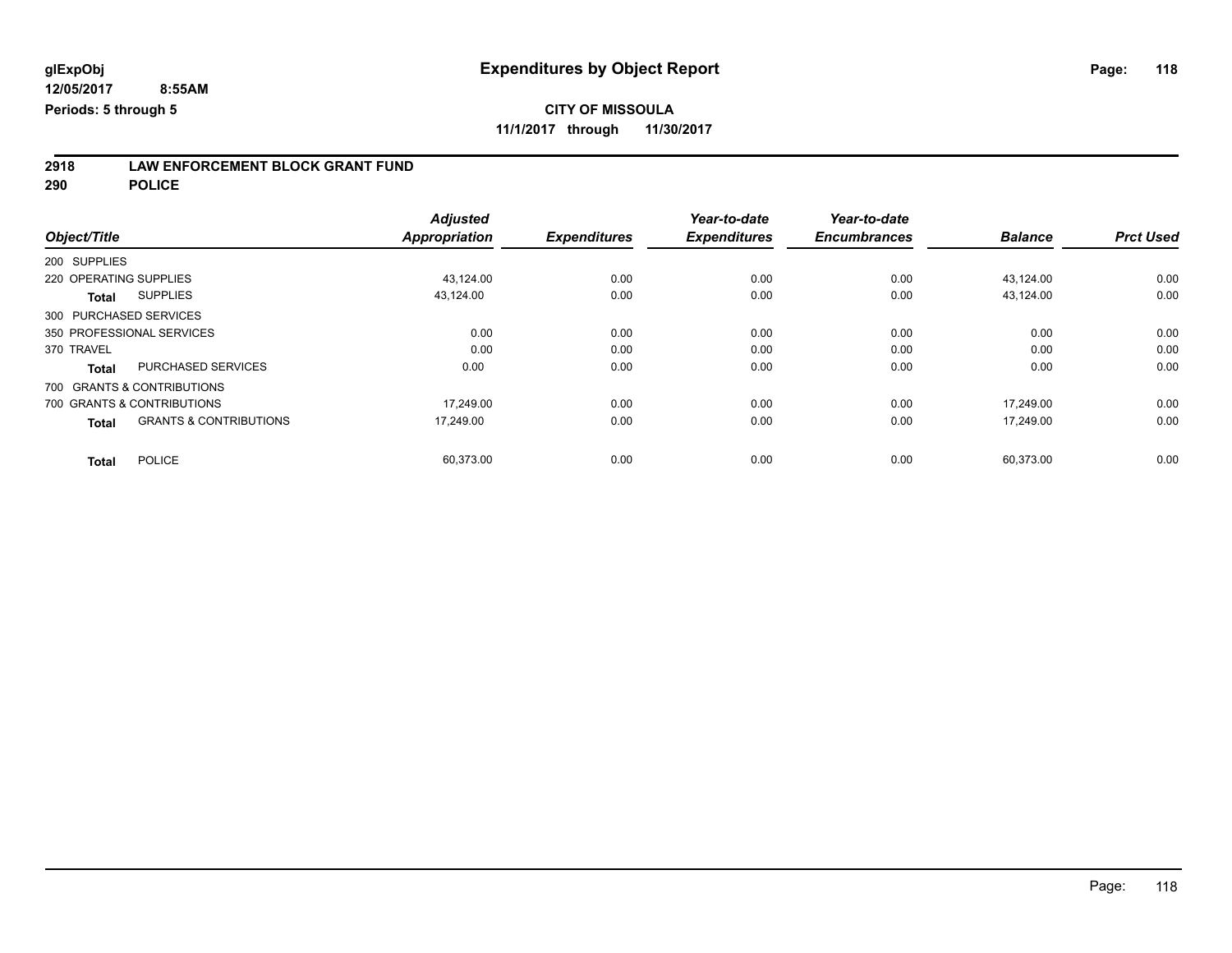**2918 LAW ENFORCEMENT BLOCK GRANT FUND**

**290 POLICE**

| Object/Title                                      | <b>Adjusted</b><br>Appropriation | <b>Expenditures</b> | Year-to-date<br><b>Expenditures</b> | Year-to-date<br><b>Encumbrances</b> | <b>Balance</b> | <b>Prct Used</b> |
|---------------------------------------------------|----------------------------------|---------------------|-------------------------------------|-------------------------------------|----------------|------------------|
|                                                   |                                  |                     |                                     |                                     |                |                  |
| 200 SUPPLIES                                      |                                  |                     |                                     |                                     |                |                  |
| 220 OPERATING SUPPLIES                            | 43,124.00                        | 0.00                | 0.00                                | 0.00                                | 43,124.00      | 0.00             |
| <b>SUPPLIES</b><br><b>Total</b>                   | 43,124.00                        | 0.00                | 0.00                                | 0.00                                | 43,124.00      | 0.00             |
| 300 PURCHASED SERVICES                            |                                  |                     |                                     |                                     |                |                  |
| 350 PROFESSIONAL SERVICES                         | 0.00                             | 0.00                | 0.00                                | 0.00                                | 0.00           | 0.00             |
| 370 TRAVEL                                        | 0.00                             | 0.00                | 0.00                                | 0.00                                | 0.00           | 0.00             |
| <b>PURCHASED SERVICES</b><br><b>Total</b>         | 0.00                             | 0.00                | 0.00                                | 0.00                                | 0.00           | 0.00             |
| 700 GRANTS & CONTRIBUTIONS                        |                                  |                     |                                     |                                     |                |                  |
| 700 GRANTS & CONTRIBUTIONS                        | 17,249.00                        | 0.00                | 0.00                                | 0.00                                | 17.249.00      | 0.00             |
| <b>GRANTS &amp; CONTRIBUTIONS</b><br><b>Total</b> | 17,249.00                        | 0.00                | 0.00                                | 0.00                                | 17.249.00      | 0.00             |
| <b>POLICE</b><br><b>Total</b>                     | 60,373.00                        | 0.00                | 0.00                                | 0.00                                | 60,373.00      | 0.00             |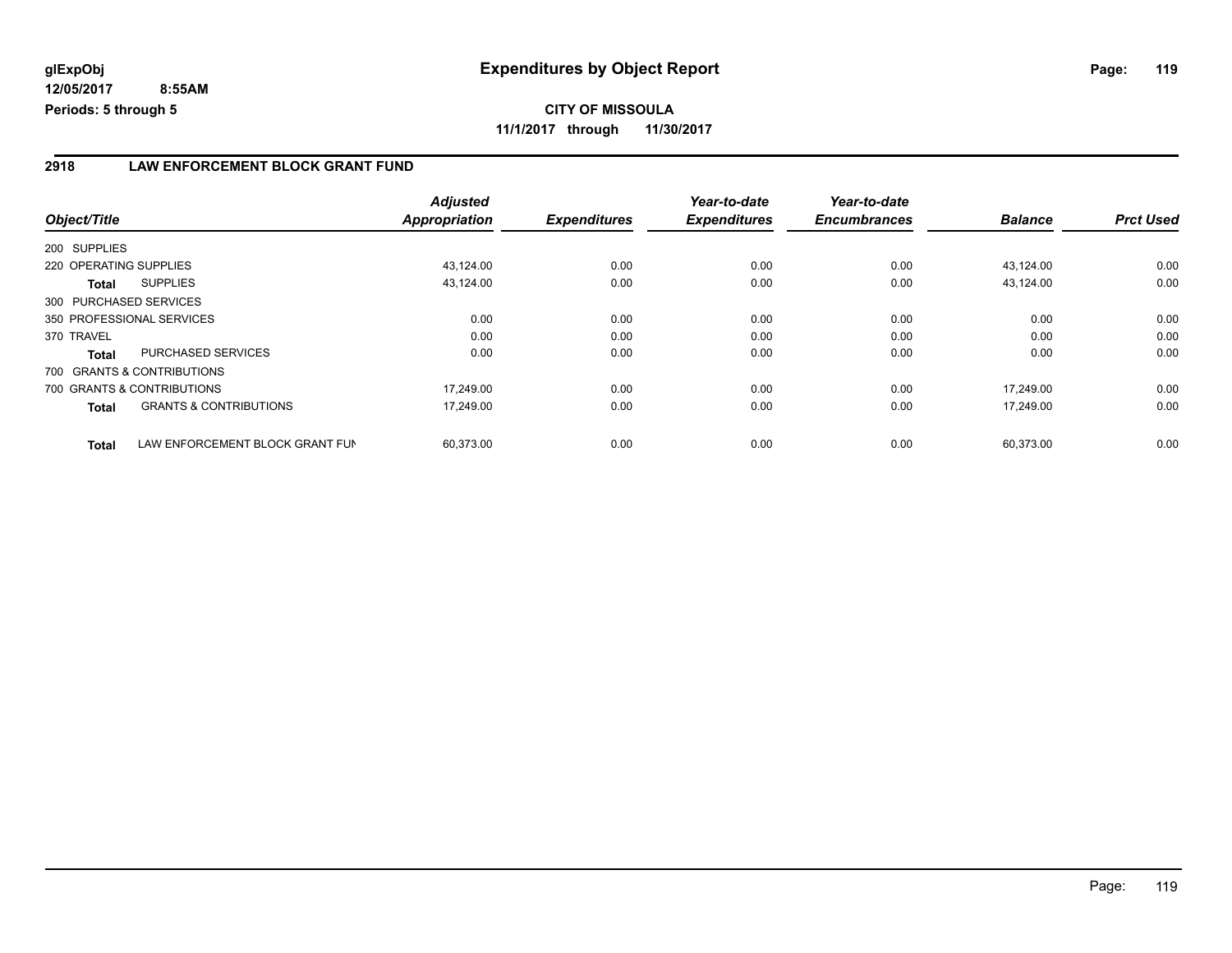**12/05/2017 8:55AM Periods: 5 through 5**

**CITY OF MISSOULA 11/1/2017 through 11/30/2017**

#### **2918 LAW ENFORCEMENT BLOCK GRANT FUND**

|                            |                                   | <b>Adjusted</b> |                     | Year-to-date        | Year-to-date        |                |                  |
|----------------------------|-----------------------------------|-----------------|---------------------|---------------------|---------------------|----------------|------------------|
| Object/Title               |                                   | Appropriation   | <b>Expenditures</b> | <b>Expenditures</b> | <b>Encumbrances</b> | <b>Balance</b> | <b>Prct Used</b> |
| 200 SUPPLIES               |                                   |                 |                     |                     |                     |                |                  |
| 220 OPERATING SUPPLIES     |                                   | 43,124.00       | 0.00                | 0.00                | 0.00                | 43.124.00      | 0.00             |
| Total                      | <b>SUPPLIES</b>                   | 43,124.00       | 0.00                | 0.00                | 0.00                | 43,124.00      | 0.00             |
| 300 PURCHASED SERVICES     |                                   |                 |                     |                     |                     |                |                  |
| 350 PROFESSIONAL SERVICES  |                                   | 0.00            | 0.00                | 0.00                | 0.00                | 0.00           | 0.00             |
| 370 TRAVEL                 |                                   | 0.00            | 0.00                | 0.00                | 0.00                | 0.00           | 0.00             |
| <b>Total</b>               | <b>PURCHASED SERVICES</b>         | 0.00            | 0.00                | 0.00                | 0.00                | 0.00           | 0.00             |
| 700 GRANTS & CONTRIBUTIONS |                                   |                 |                     |                     |                     |                |                  |
| 700 GRANTS & CONTRIBUTIONS |                                   | 17.249.00       | 0.00                | 0.00                | 0.00                | 17.249.00      | 0.00             |
| Total                      | <b>GRANTS &amp; CONTRIBUTIONS</b> | 17,249.00       | 0.00                | 0.00                | 0.00                | 17.249.00      | 0.00             |
| <b>Total</b>               | LAW ENFORCEMENT BLOCK GRANT FUN   | 60.373.00       | 0.00                | 0.00                | 0.00                | 60.373.00      | 0.00             |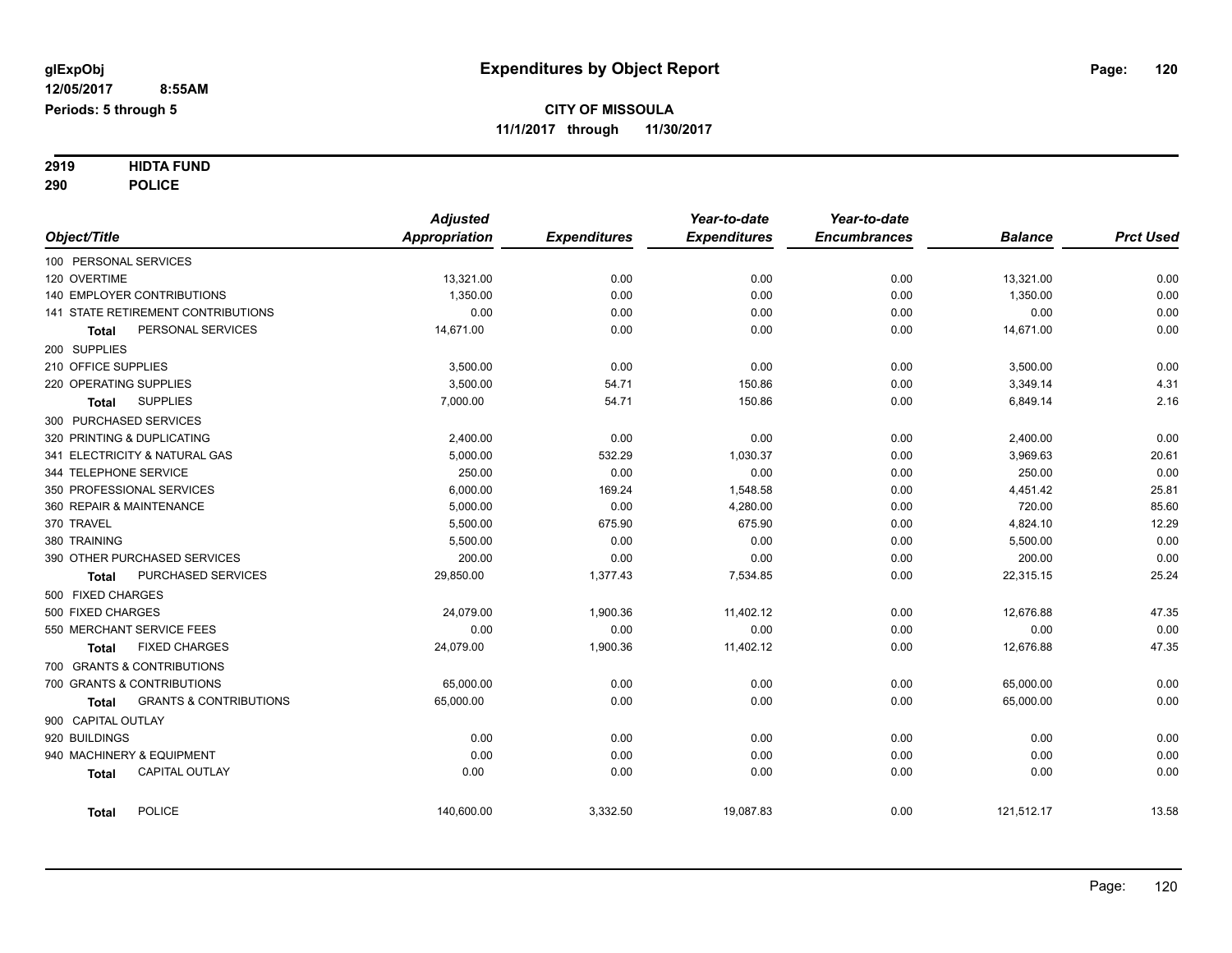# **2919 HIDTA FUND**

**290 POLICE**

|                                                   | <b>Adjusted</b>      |                     | Year-to-date        | Year-to-date        |                |                  |
|---------------------------------------------------|----------------------|---------------------|---------------------|---------------------|----------------|------------------|
| Object/Title                                      | <b>Appropriation</b> | <b>Expenditures</b> | <b>Expenditures</b> | <b>Encumbrances</b> | <b>Balance</b> | <b>Prct Used</b> |
| 100 PERSONAL SERVICES                             |                      |                     |                     |                     |                |                  |
| 120 OVERTIME                                      | 13,321.00            | 0.00                | 0.00                | 0.00                | 13,321.00      | 0.00             |
| 140 EMPLOYER CONTRIBUTIONS                        | 1,350.00             | 0.00                | 0.00                | 0.00                | 1,350.00       | 0.00             |
| 141 STATE RETIREMENT CONTRIBUTIONS                | 0.00                 | 0.00                | 0.00                | 0.00                | 0.00           | 0.00             |
| PERSONAL SERVICES<br>Total                        | 14,671.00            | 0.00                | 0.00                | 0.00                | 14,671.00      | 0.00             |
| 200 SUPPLIES                                      |                      |                     |                     |                     |                |                  |
| 210 OFFICE SUPPLIES                               | 3,500.00             | 0.00                | 0.00                | 0.00                | 3,500.00       | 0.00             |
| 220 OPERATING SUPPLIES                            | 3,500.00             | 54.71               | 150.86              | 0.00                | 3,349.14       | 4.31             |
| <b>SUPPLIES</b><br><b>Total</b>                   | 7,000.00             | 54.71               | 150.86              | 0.00                | 6,849.14       | 2.16             |
| 300 PURCHASED SERVICES                            |                      |                     |                     |                     |                |                  |
| 320 PRINTING & DUPLICATING                        | 2,400.00             | 0.00                | 0.00                | 0.00                | 2,400.00       | 0.00             |
| 341 ELECTRICITY & NATURAL GAS                     | 5,000.00             | 532.29              | 1,030.37            | 0.00                | 3,969.63       | 20.61            |
| 344 TELEPHONE SERVICE                             | 250.00               | 0.00                | 0.00                | 0.00                | 250.00         | 0.00             |
| 350 PROFESSIONAL SERVICES                         | 6,000.00             | 169.24              | 1,548.58            | 0.00                | 4,451.42       | 25.81            |
| 360 REPAIR & MAINTENANCE                          | 5,000.00             | 0.00                | 4,280.00            | 0.00                | 720.00         | 85.60            |
| 370 TRAVEL                                        | 5,500.00             | 675.90              | 675.90              | 0.00                | 4,824.10       | 12.29            |
| 380 TRAINING                                      | 5,500.00             | 0.00                | 0.00                | 0.00                | 5,500.00       | 0.00             |
| 390 OTHER PURCHASED SERVICES                      | 200.00               | 0.00                | 0.00                | 0.00                | 200.00         | 0.00             |
| PURCHASED SERVICES<br><b>Total</b>                | 29,850.00            | 1,377.43            | 7,534.85            | 0.00                | 22,315.15      | 25.24            |
| 500 FIXED CHARGES                                 |                      |                     |                     |                     |                |                  |
| 500 FIXED CHARGES                                 | 24,079.00            | 1,900.36            | 11,402.12           | 0.00                | 12,676.88      | 47.35            |
| 550 MERCHANT SERVICE FEES                         | 0.00                 | 0.00                | 0.00                | 0.00                | 0.00           | 0.00             |
| <b>FIXED CHARGES</b><br><b>Total</b>              | 24,079.00            | 1,900.36            | 11,402.12           | 0.00                | 12,676.88      | 47.35            |
| 700 GRANTS & CONTRIBUTIONS                        |                      |                     |                     |                     |                |                  |
| 700 GRANTS & CONTRIBUTIONS                        | 65,000.00            | 0.00                | 0.00                | 0.00                | 65,000.00      | 0.00             |
| <b>GRANTS &amp; CONTRIBUTIONS</b><br><b>Total</b> | 65,000.00            | 0.00                | 0.00                | 0.00                | 65,000.00      | 0.00             |
| 900 CAPITAL OUTLAY                                |                      |                     |                     |                     |                |                  |
| 920 BUILDINGS                                     | 0.00                 | 0.00                | 0.00                | 0.00                | 0.00           | 0.00             |
| 940 MACHINERY & EQUIPMENT                         | 0.00                 | 0.00                | 0.00                | 0.00                | 0.00           | 0.00             |
| <b>CAPITAL OUTLAY</b><br><b>Total</b>             | 0.00                 | 0.00                | 0.00                | 0.00                | 0.00           | 0.00             |
| <b>POLICE</b><br><b>Total</b>                     | 140,600.00           | 3,332.50            | 19,087.83           | 0.00                | 121,512.17     | 13.58            |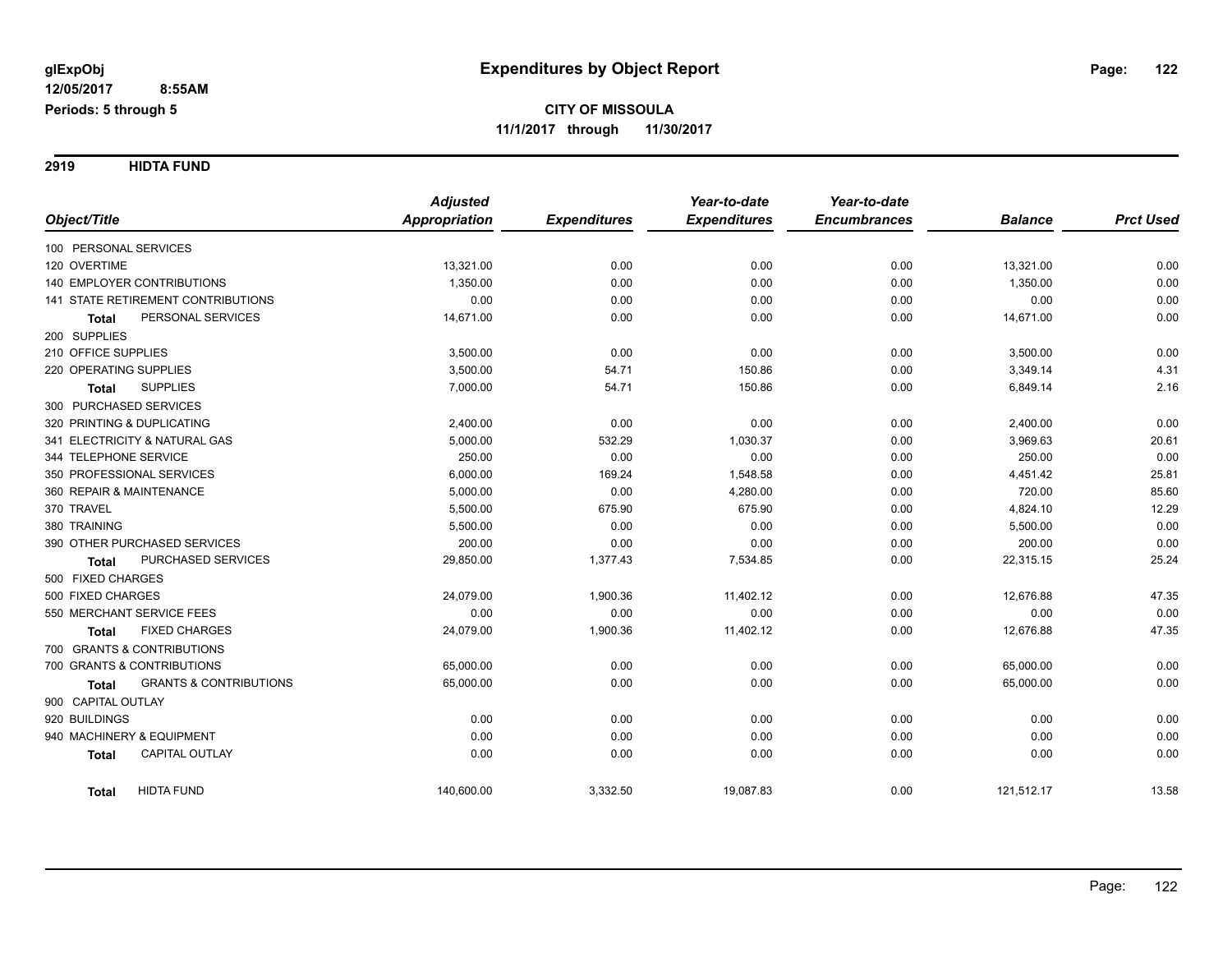**2919 HIDTA FUND**

|                                                   | <b>Adjusted</b>      |                     | Year-to-date        | Year-to-date        |                |                  |
|---------------------------------------------------|----------------------|---------------------|---------------------|---------------------|----------------|------------------|
| Object/Title                                      | <b>Appropriation</b> | <b>Expenditures</b> | <b>Expenditures</b> | <b>Encumbrances</b> | <b>Balance</b> | <b>Prct Used</b> |
| 100 PERSONAL SERVICES                             |                      |                     |                     |                     |                |                  |
| 120 OVERTIME                                      | 13,321.00            | 0.00                | 0.00                | 0.00                | 13,321.00      | 0.00             |
| <b>140 EMPLOYER CONTRIBUTIONS</b>                 | 1,350.00             | 0.00                | 0.00                | 0.00                | 1,350.00       | 0.00             |
| 141 STATE RETIREMENT CONTRIBUTIONS                | 0.00                 | 0.00                | 0.00                | 0.00                | 0.00           | 0.00             |
| PERSONAL SERVICES<br><b>Total</b>                 | 14,671.00            | 0.00                | 0.00                | 0.00                | 14,671.00      | 0.00             |
| 200 SUPPLIES                                      |                      |                     |                     |                     |                |                  |
| 210 OFFICE SUPPLIES                               | 3,500.00             | 0.00                | 0.00                | 0.00                | 3,500.00       | 0.00             |
| 220 OPERATING SUPPLIES                            | 3,500.00             | 54.71               | 150.86              | 0.00                | 3,349.14       | 4.31             |
| <b>SUPPLIES</b><br>Total                          | 7,000.00             | 54.71               | 150.86              | 0.00                | 6,849.14       | 2.16             |
| 300 PURCHASED SERVICES                            |                      |                     |                     |                     |                |                  |
| 320 PRINTING & DUPLICATING                        | 2,400.00             | 0.00                | 0.00                | 0.00                | 2,400.00       | 0.00             |
| 341 ELECTRICITY & NATURAL GAS                     | 5,000.00             | 532.29              | 1,030.37            | 0.00                | 3,969.63       | 20.61            |
| 344 TELEPHONE SERVICE                             | 250.00               | 0.00                | 0.00                | 0.00                | 250.00         | 0.00             |
| 350 PROFESSIONAL SERVICES                         | 6,000.00             | 169.24              | 1,548.58            | 0.00                | 4,451.42       | 25.81            |
| 360 REPAIR & MAINTENANCE                          | 5,000.00             | 0.00                | 4,280.00            | 0.00                | 720.00         | 85.60            |
| 370 TRAVEL                                        | 5,500.00             | 675.90              | 675.90              | 0.00                | 4,824.10       | 12.29            |
| 380 TRAINING                                      | 5,500.00             | 0.00                | 0.00                | 0.00                | 5,500.00       | 0.00             |
| 390 OTHER PURCHASED SERVICES                      | 200.00               | 0.00                | 0.00                | 0.00                | 200.00         | 0.00             |
| PURCHASED SERVICES<br><b>Total</b>                | 29,850.00            | 1,377.43            | 7,534.85            | 0.00                | 22,315.15      | 25.24            |
| 500 FIXED CHARGES                                 |                      |                     |                     |                     |                |                  |
| 500 FIXED CHARGES                                 | 24,079.00            | 1,900.36            | 11,402.12           | 0.00                | 12,676.88      | 47.35            |
| 550 MERCHANT SERVICE FEES                         | 0.00                 | 0.00                | 0.00                | 0.00                | 0.00           | 0.00             |
| <b>FIXED CHARGES</b><br>Total                     | 24,079.00            | 1,900.36            | 11,402.12           | 0.00                | 12,676.88      | 47.35            |
| 700 GRANTS & CONTRIBUTIONS                        |                      |                     |                     |                     |                |                  |
| 700 GRANTS & CONTRIBUTIONS                        | 65,000.00            | 0.00                | 0.00                | 0.00                | 65,000.00      | 0.00             |
| <b>GRANTS &amp; CONTRIBUTIONS</b><br><b>Total</b> | 65,000.00            | 0.00                | 0.00                | 0.00                | 65,000.00      | 0.00             |
| 900 CAPITAL OUTLAY                                |                      |                     |                     |                     |                |                  |
| 920 BUILDINGS                                     | 0.00                 | 0.00                | 0.00                | 0.00                | 0.00           | 0.00             |
| 940 MACHINERY & EQUIPMENT                         | 0.00                 | 0.00                | 0.00                | 0.00                | 0.00           | 0.00             |
| <b>CAPITAL OUTLAY</b><br><b>Total</b>             | 0.00                 | 0.00                | 0.00                | 0.00                | 0.00           | 0.00             |
| <b>HIDTA FUND</b><br><b>Total</b>                 | 140,600.00           | 3,332.50            | 19,087.83           | 0.00                | 121,512.17     | 13.58            |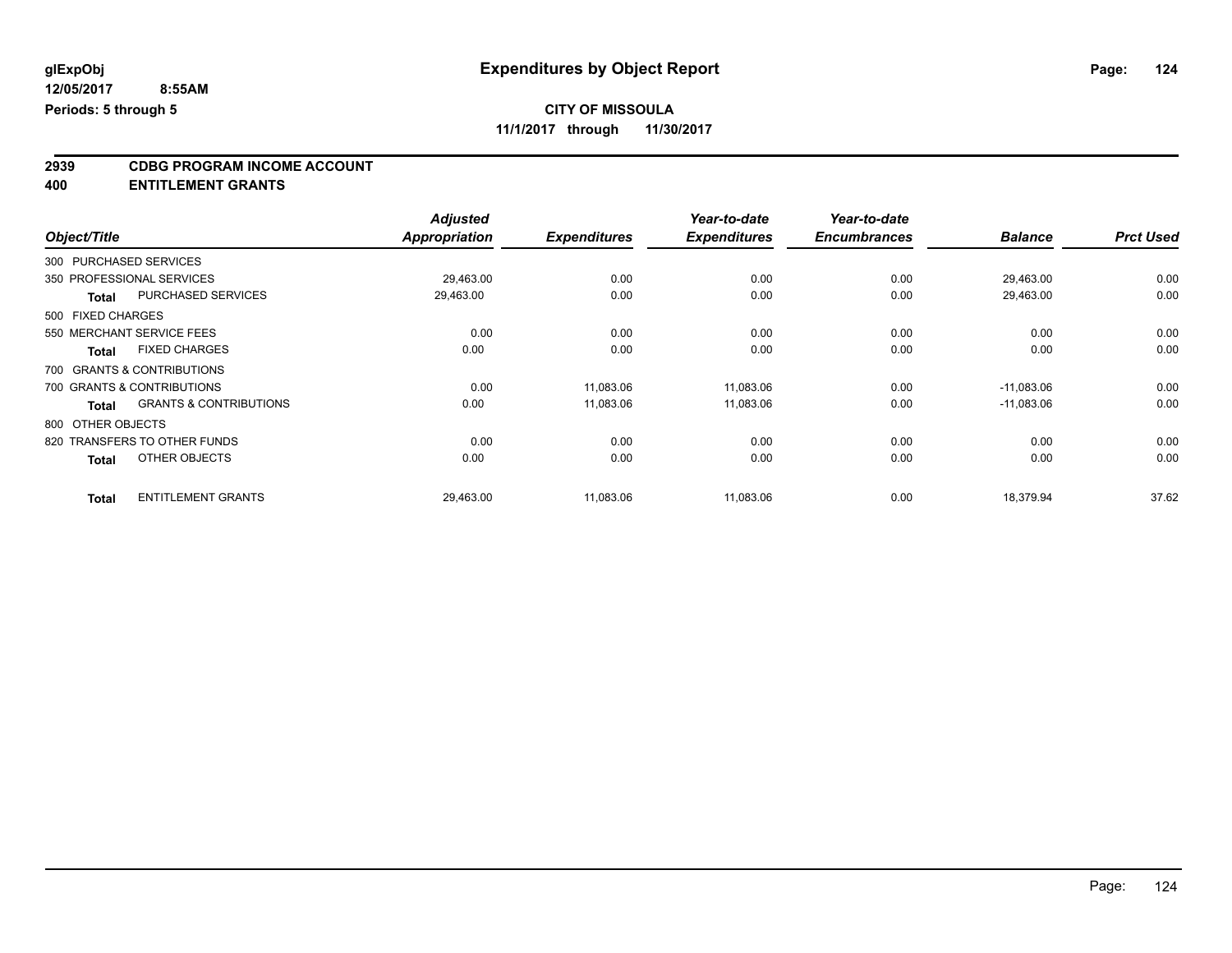### **CITY OF MISSOULA**

**11/1/2017 through 11/30/2017**

## **2939 CDBG PROGRAM INCOME ACCOUNT**

**400 ENTITLEMENT GRANTS**

|                   |                                   | <b>Adjusted</b> |                     | Year-to-date        | Year-to-date        |                |                  |
|-------------------|-----------------------------------|-----------------|---------------------|---------------------|---------------------|----------------|------------------|
| Object/Title      |                                   | Appropriation   | <b>Expenditures</b> | <b>Expenditures</b> | <b>Encumbrances</b> | <b>Balance</b> | <b>Prct Used</b> |
|                   | 300 PURCHASED SERVICES            |                 |                     |                     |                     |                |                  |
|                   | 350 PROFESSIONAL SERVICES         | 29,463.00       | 0.00                | 0.00                | 0.00                | 29,463.00      | 0.00             |
| Total             | <b>PURCHASED SERVICES</b>         | 29,463.00       | 0.00                | 0.00                | 0.00                | 29,463.00      | 0.00             |
| 500 FIXED CHARGES |                                   |                 |                     |                     |                     |                |                  |
|                   | 550 MERCHANT SERVICE FEES         | 0.00            | 0.00                | 0.00                | 0.00                | 0.00           | 0.00             |
| Total             | <b>FIXED CHARGES</b>              | 0.00            | 0.00                | 0.00                | 0.00                | 0.00           | 0.00             |
|                   | 700 GRANTS & CONTRIBUTIONS        |                 |                     |                     |                     |                |                  |
|                   | 700 GRANTS & CONTRIBUTIONS        | 0.00            | 11,083.06           | 11,083.06           | 0.00                | $-11,083.06$   | 0.00             |
| <b>Total</b>      | <b>GRANTS &amp; CONTRIBUTIONS</b> | 0.00            | 11,083.06           | 11,083.06           | 0.00                | $-11,083.06$   | 0.00             |
| 800 OTHER OBJECTS |                                   |                 |                     |                     |                     |                |                  |
|                   | 820 TRANSFERS TO OTHER FUNDS      | 0.00            | 0.00                | 0.00                | 0.00                | 0.00           | 0.00             |
| <b>Total</b>      | OTHER OBJECTS                     | 0.00            | 0.00                | 0.00                | 0.00                | 0.00           | 0.00             |
| <b>Total</b>      | <b>ENTITLEMENT GRANTS</b>         | 29,463.00       | 11,083.06           | 11,083.06           | 0.00                | 18,379.94      | 37.62            |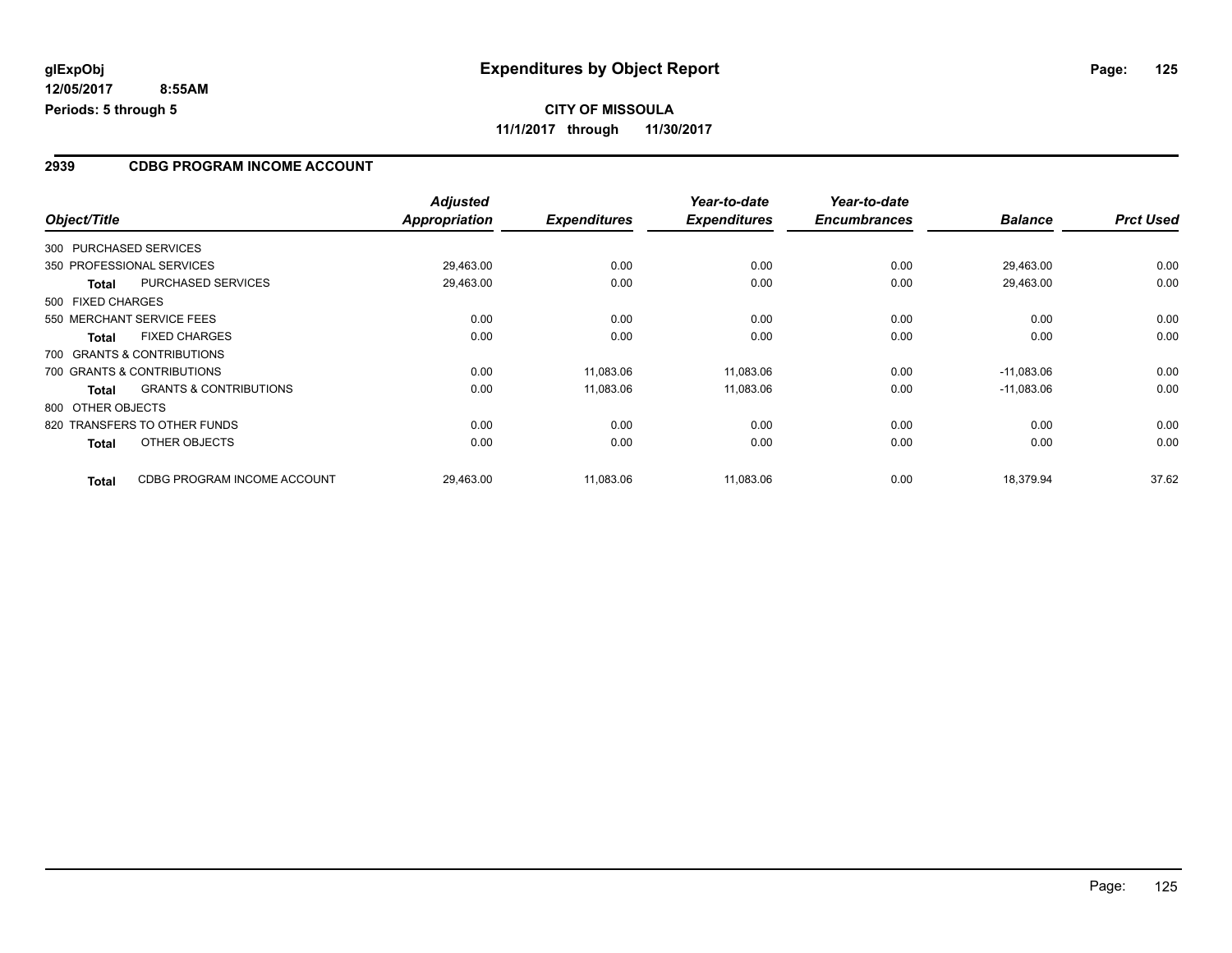**12/05/2017 8:55AM Periods: 5 through 5**

#### **2939 CDBG PROGRAM INCOME ACCOUNT**

| Object/Title      |                                   | <b>Adjusted</b><br><b>Appropriation</b> | <b>Expenditures</b> | Year-to-date<br><b>Expenditures</b> | Year-to-date<br><b>Encumbrances</b> | <b>Balance</b> | <b>Prct Used</b> |
|-------------------|-----------------------------------|-----------------------------------------|---------------------|-------------------------------------|-------------------------------------|----------------|------------------|
|                   |                                   |                                         |                     |                                     |                                     |                |                  |
|                   | 300 PURCHASED SERVICES            |                                         |                     |                                     |                                     |                |                  |
|                   | 350 PROFESSIONAL SERVICES         | 29,463.00                               | 0.00                | 0.00                                | 0.00                                | 29,463.00      | 0.00             |
| <b>Total</b>      | PURCHASED SERVICES                | 29,463.00                               | 0.00                | 0.00                                | 0.00                                | 29,463.00      | 0.00             |
| 500 FIXED CHARGES |                                   |                                         |                     |                                     |                                     |                |                  |
|                   | 550 MERCHANT SERVICE FEES         | 0.00                                    | 0.00                | 0.00                                | 0.00                                | 0.00           | 0.00             |
| <b>Total</b>      | <b>FIXED CHARGES</b>              | 0.00                                    | 0.00                | 0.00                                | 0.00                                | 0.00           | 0.00             |
|                   | 700 GRANTS & CONTRIBUTIONS        |                                         |                     |                                     |                                     |                |                  |
|                   | 700 GRANTS & CONTRIBUTIONS        | 0.00                                    | 11,083.06           | 11,083.06                           | 0.00                                | $-11,083.06$   | 0.00             |
| Total             | <b>GRANTS &amp; CONTRIBUTIONS</b> | 0.00                                    | 11,083.06           | 11,083.06                           | 0.00                                | $-11,083.06$   | 0.00             |
| 800 OTHER OBJECTS |                                   |                                         |                     |                                     |                                     |                |                  |
|                   | 820 TRANSFERS TO OTHER FUNDS      | 0.00                                    | 0.00                | 0.00                                | 0.00                                | 0.00           | 0.00             |
| <b>Total</b>      | OTHER OBJECTS                     | 0.00                                    | 0.00                | 0.00                                | 0.00                                | 0.00           | 0.00             |
| <b>Total</b>      | CDBG PROGRAM INCOME ACCOUNT       | 29,463.00                               | 11,083.06           | 11,083.06                           | 0.00                                | 18,379.94      | 37.62            |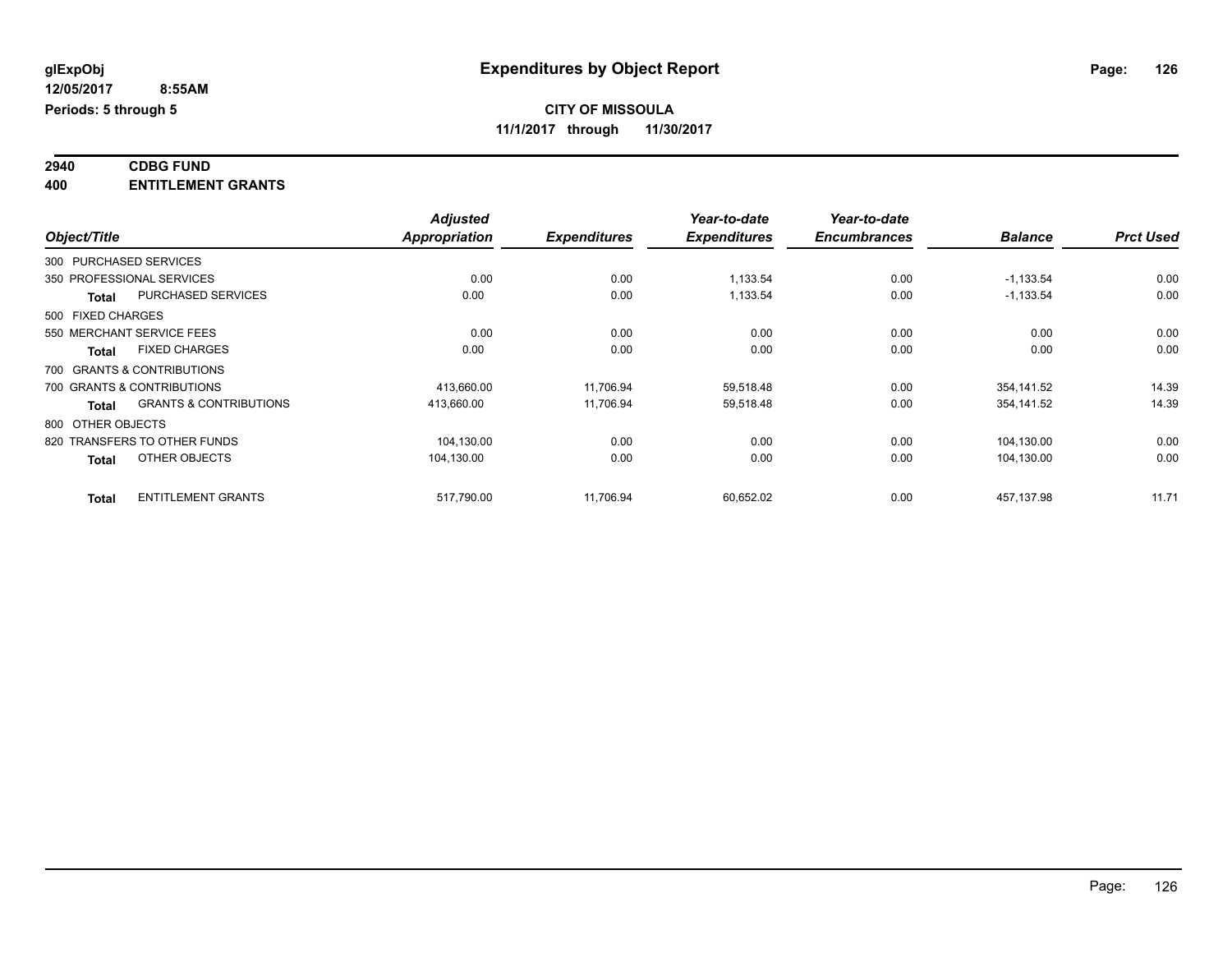| 2940      | <b>CDBG FUND</b>           |  |
|-----------|----------------------------|--|
| $\lambda$ | <b>CNTITI CMCNT COANTS</b> |  |

| 400 | <b>ENTITLEMENT GRANTS</b> |
|-----|---------------------------|
|     |                           |

|                   |                                   | <b>Adjusted</b>      |                     | Year-to-date        | Year-to-date        |                |                  |
|-------------------|-----------------------------------|----------------------|---------------------|---------------------|---------------------|----------------|------------------|
| Object/Title      |                                   | <b>Appropriation</b> | <b>Expenditures</b> | <b>Expenditures</b> | <b>Encumbrances</b> | <b>Balance</b> | <b>Prct Used</b> |
|                   | 300 PURCHASED SERVICES            |                      |                     |                     |                     |                |                  |
|                   | 350 PROFESSIONAL SERVICES         | 0.00                 | 0.00                | 1,133.54            | 0.00                | $-1,133.54$    | 0.00             |
| Total             | PURCHASED SERVICES                | 0.00                 | 0.00                | 1,133.54            | 0.00                | $-1,133.54$    | 0.00             |
| 500 FIXED CHARGES |                                   |                      |                     |                     |                     |                |                  |
|                   | 550 MERCHANT SERVICE FEES         | 0.00                 | 0.00                | 0.00                | 0.00                | 0.00           | 0.00             |
| <b>Total</b>      | <b>FIXED CHARGES</b>              | 0.00                 | 0.00                | 0.00                | 0.00                | 0.00           | 0.00             |
|                   | 700 GRANTS & CONTRIBUTIONS        |                      |                     |                     |                     |                |                  |
|                   | 700 GRANTS & CONTRIBUTIONS        | 413,660.00           | 11,706.94           | 59,518.48           | 0.00                | 354,141.52     | 14.39            |
| <b>Total</b>      | <b>GRANTS &amp; CONTRIBUTIONS</b> | 413,660.00           | 11,706.94           | 59,518.48           | 0.00                | 354,141.52     | 14.39            |
| 800 OTHER OBJECTS |                                   |                      |                     |                     |                     |                |                  |
|                   | 820 TRANSFERS TO OTHER FUNDS      | 104,130.00           | 0.00                | 0.00                | 0.00                | 104,130.00     | 0.00             |
| <b>Total</b>      | OTHER OBJECTS                     | 104,130.00           | 0.00                | 0.00                | 0.00                | 104,130.00     | 0.00             |
| <b>Total</b>      | <b>ENTITLEMENT GRANTS</b>         | 517,790.00           | 11,706.94           | 60,652.02           | 0.00                | 457,137.98     | 11.71            |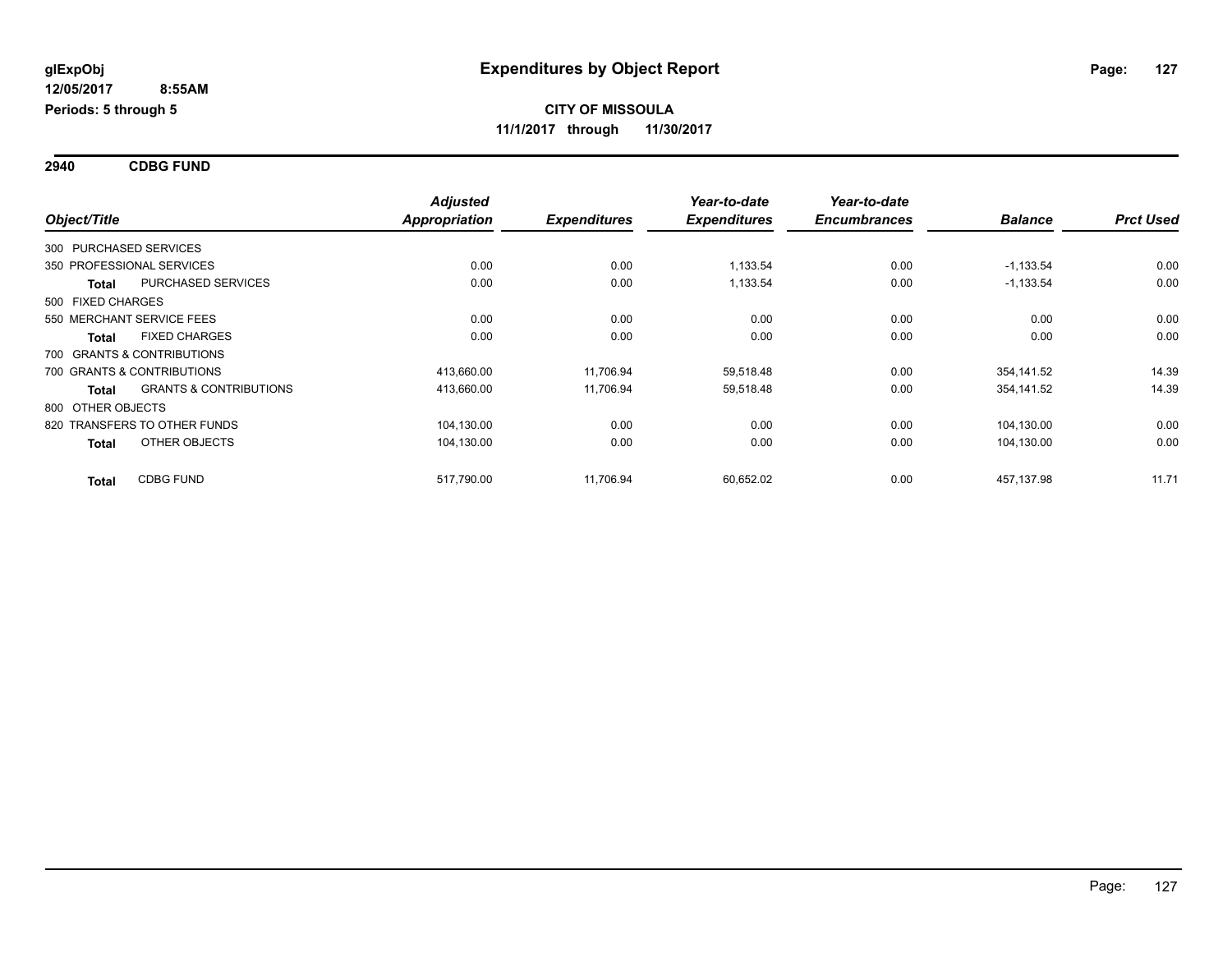**2940 CDBG FUND**

|                   |                                   | <b>Adjusted</b> |                     | Year-to-date        | Year-to-date        |                |                  |
|-------------------|-----------------------------------|-----------------|---------------------|---------------------|---------------------|----------------|------------------|
| Object/Title      |                                   | Appropriation   | <b>Expenditures</b> | <b>Expenditures</b> | <b>Encumbrances</b> | <b>Balance</b> | <b>Prct Used</b> |
|                   | 300 PURCHASED SERVICES            |                 |                     |                     |                     |                |                  |
|                   | 350 PROFESSIONAL SERVICES         | 0.00            | 0.00                | 1.133.54            | 0.00                | $-1,133.54$    | 0.00             |
| <b>Total</b>      | PURCHASED SERVICES                | 0.00            | 0.00                | 1,133.54            | 0.00                | $-1,133.54$    | 0.00             |
| 500 FIXED CHARGES |                                   |                 |                     |                     |                     |                |                  |
|                   | 550 MERCHANT SERVICE FEES         | 0.00            | 0.00                | 0.00                | 0.00                | 0.00           | 0.00             |
| <b>Total</b>      | <b>FIXED CHARGES</b>              | 0.00            | 0.00                | 0.00                | 0.00                | 0.00           | 0.00             |
|                   | 700 GRANTS & CONTRIBUTIONS        |                 |                     |                     |                     |                |                  |
|                   | 700 GRANTS & CONTRIBUTIONS        | 413,660.00      | 11,706.94           | 59,518.48           | 0.00                | 354,141.52     | 14.39            |
| <b>Total</b>      | <b>GRANTS &amp; CONTRIBUTIONS</b> | 413,660.00      | 11,706.94           | 59,518.48           | 0.00                | 354,141.52     | 14.39            |
| 800 OTHER OBJECTS |                                   |                 |                     |                     |                     |                |                  |
|                   | 820 TRANSFERS TO OTHER FUNDS      | 104,130.00      | 0.00                | 0.00                | 0.00                | 104,130.00     | 0.00             |
| <b>Total</b>      | OTHER OBJECTS                     | 104,130.00      | 0.00                | 0.00                | 0.00                | 104,130.00     | 0.00             |
| <b>Total</b>      | <b>CDBG FUND</b>                  | 517,790.00      | 11,706.94           | 60,652.02           | 0.00                | 457,137.98     | 11.71            |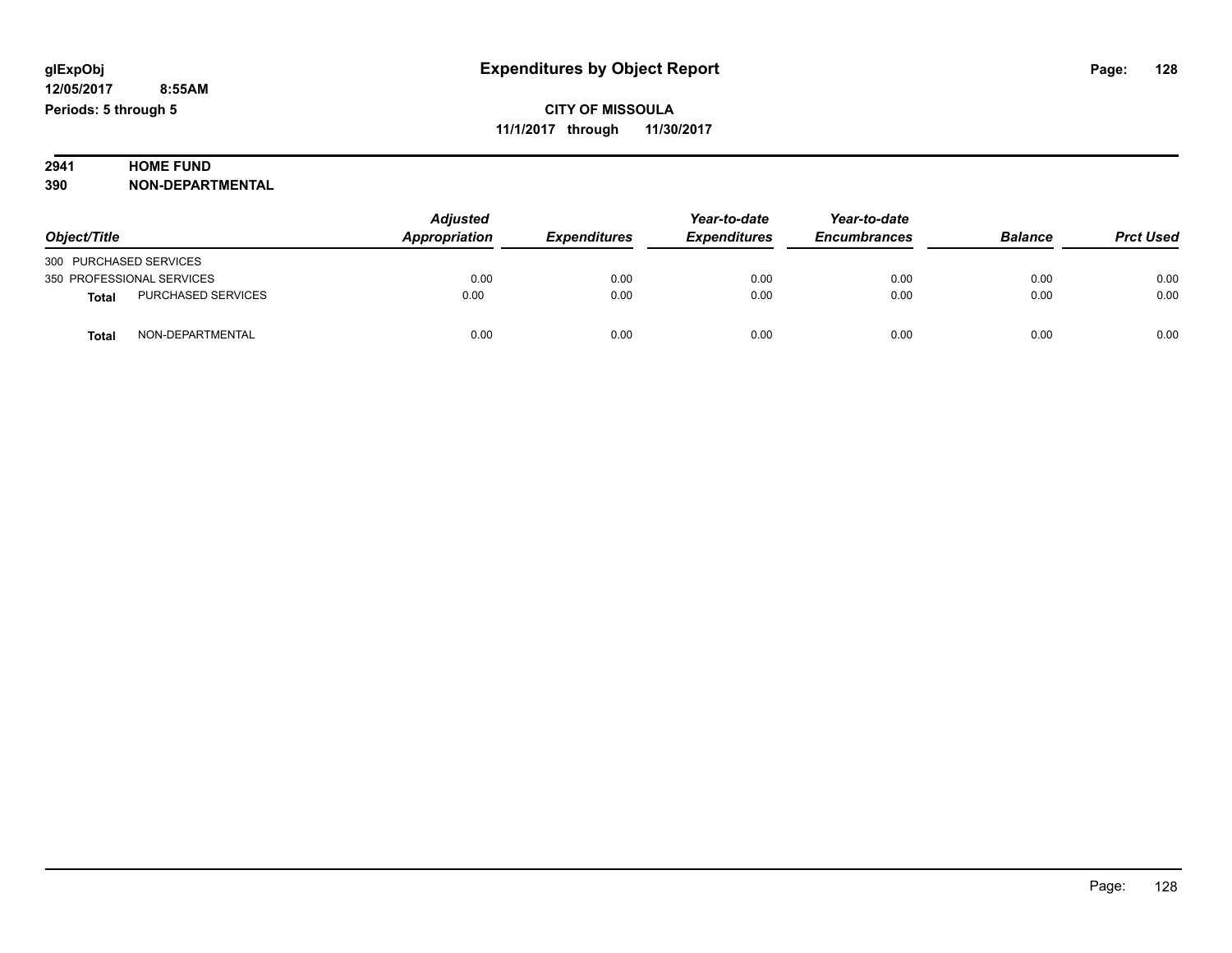### **2941 HOME FUND**

| 390 | <b>NON-DEPARTMENTAL</b> |
|-----|-------------------------|
|     |                         |

|                                           | <b>Adjusted</b> | Year-to-date        | Year-to-date        |                     |                |                  |
|-------------------------------------------|-----------------|---------------------|---------------------|---------------------|----------------|------------------|
| Object/Title                              | Appropriation   | <b>Expenditures</b> | <b>Expenditures</b> | <b>Encumbrances</b> | <b>Balance</b> | <b>Prct Used</b> |
| 300 PURCHASED SERVICES                    |                 |                     |                     |                     |                |                  |
| 350 PROFESSIONAL SERVICES                 | 0.00            | 0.00                | 0.00                | 0.00                | 0.00           | 0.00             |
| <b>PURCHASED SERVICES</b><br><b>Total</b> | 0.00            | 0.00                | 0.00                | 0.00                | 0.00           | 0.00             |
| NON-DEPARTMENTAL<br>Total                 | 0.00            | 0.00                | 0.00                | 0.00                | 0.00           | 0.00             |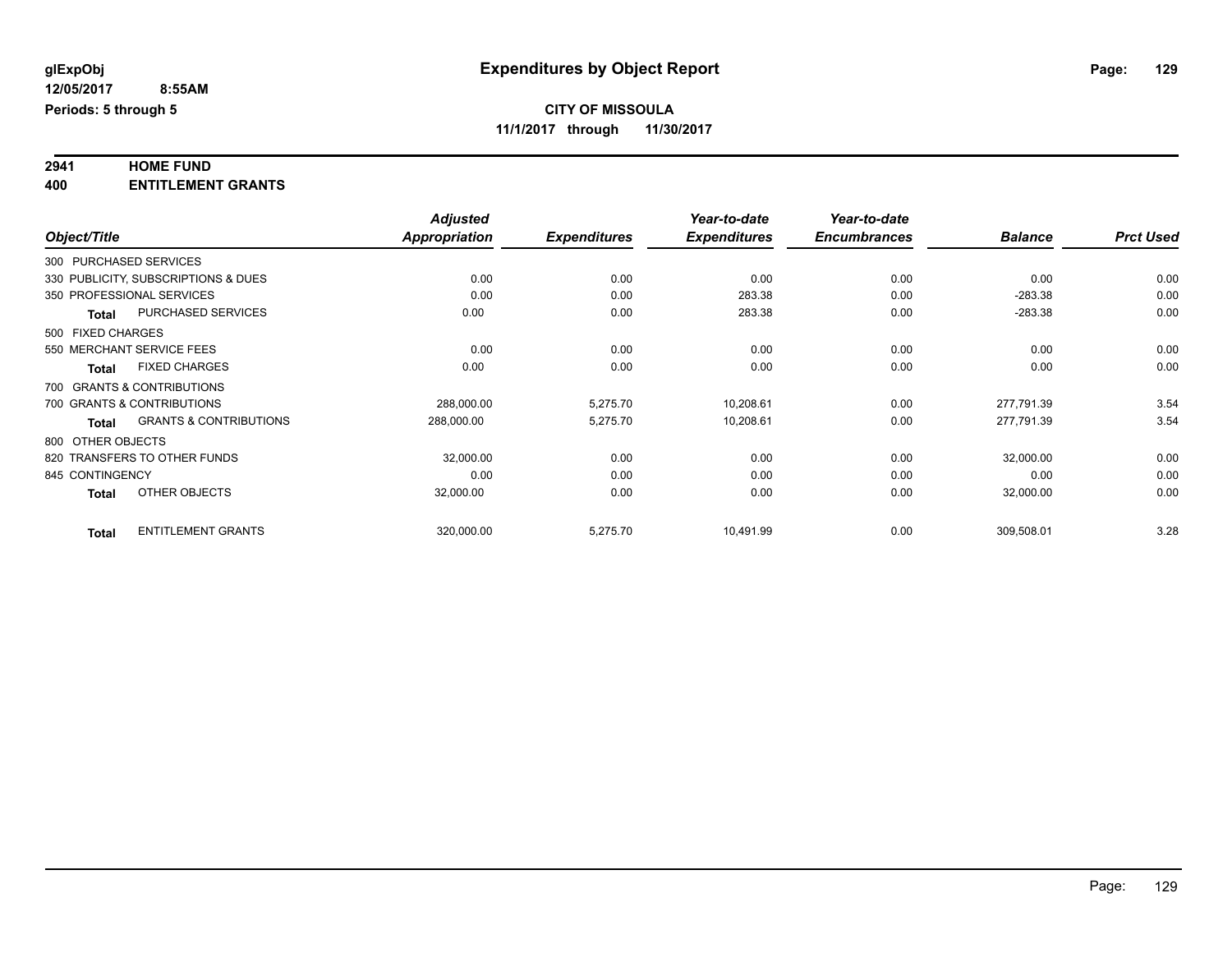## **2941 HOME FUND**

**400 ENTITLEMENT GRANTS**

|                   |                                     | <b>Adjusted</b>      |                     | Year-to-date        | Year-to-date        |                |                  |
|-------------------|-------------------------------------|----------------------|---------------------|---------------------|---------------------|----------------|------------------|
| Object/Title      |                                     | <b>Appropriation</b> | <b>Expenditures</b> | <b>Expenditures</b> | <b>Encumbrances</b> | <b>Balance</b> | <b>Prct Used</b> |
|                   | 300 PURCHASED SERVICES              |                      |                     |                     |                     |                |                  |
|                   | 330 PUBLICITY, SUBSCRIPTIONS & DUES | 0.00                 | 0.00                | 0.00                | 0.00                | 0.00           | 0.00             |
|                   | 350 PROFESSIONAL SERVICES           | 0.00                 | 0.00                | 283.38              | 0.00                | $-283.38$      | 0.00             |
| Total             | PURCHASED SERVICES                  | 0.00                 | 0.00                | 283.38              | 0.00                | $-283.38$      | 0.00             |
| 500 FIXED CHARGES |                                     |                      |                     |                     |                     |                |                  |
|                   | 550 MERCHANT SERVICE FEES           | 0.00                 | 0.00                | 0.00                | 0.00                | 0.00           | 0.00             |
| Total             | <b>FIXED CHARGES</b>                | 0.00                 | 0.00                | 0.00                | 0.00                | 0.00           | 0.00             |
|                   | 700 GRANTS & CONTRIBUTIONS          |                      |                     |                     |                     |                |                  |
|                   | 700 GRANTS & CONTRIBUTIONS          | 288,000.00           | 5,275.70            | 10,208.61           | 0.00                | 277,791.39     | 3.54             |
| <b>Total</b>      | <b>GRANTS &amp; CONTRIBUTIONS</b>   | 288,000.00           | 5,275.70            | 10,208.61           | 0.00                | 277,791.39     | 3.54             |
| 800 OTHER OBJECTS |                                     |                      |                     |                     |                     |                |                  |
|                   | 820 TRANSFERS TO OTHER FUNDS        | 32,000.00            | 0.00                | 0.00                | 0.00                | 32,000.00      | 0.00             |
| 845 CONTINGENCY   |                                     | 0.00                 | 0.00                | 0.00                | 0.00                | 0.00           | 0.00             |
| <b>Total</b>      | OTHER OBJECTS                       | 32,000.00            | 0.00                | 0.00                | 0.00                | 32,000.00      | 0.00             |
| <b>Total</b>      | <b>ENTITLEMENT GRANTS</b>           | 320,000.00           | 5,275.70            | 10,491.99           | 0.00                | 309,508.01     | 3.28             |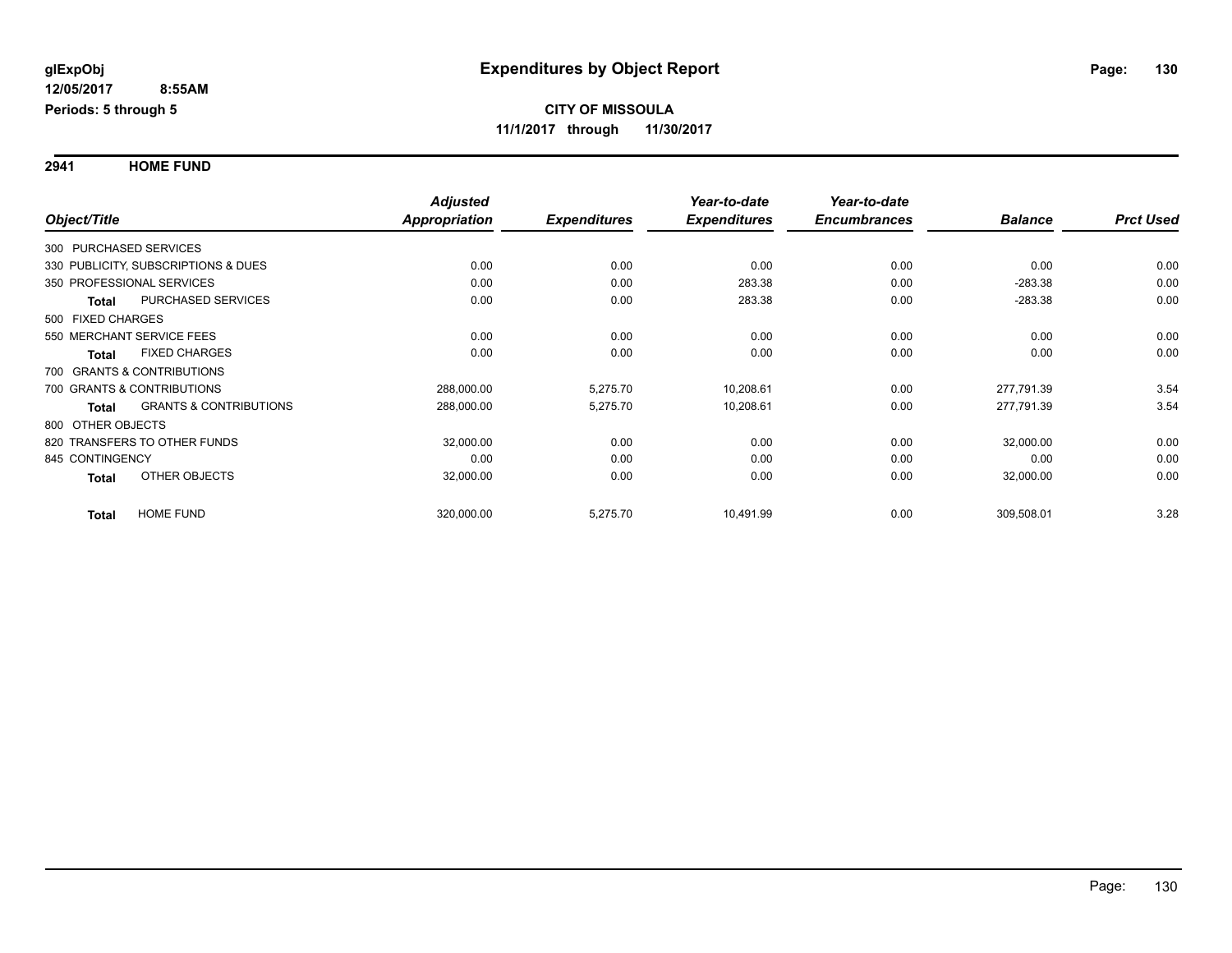**2941 HOME FUND**

|                   |                                     | <b>Adjusted</b>      |                     | Year-to-date        | Year-to-date        |                |                  |
|-------------------|-------------------------------------|----------------------|---------------------|---------------------|---------------------|----------------|------------------|
| Object/Title      |                                     | <b>Appropriation</b> | <b>Expenditures</b> | <b>Expenditures</b> | <b>Encumbrances</b> | <b>Balance</b> | <b>Prct Used</b> |
|                   | 300 PURCHASED SERVICES              |                      |                     |                     |                     |                |                  |
|                   | 330 PUBLICITY, SUBSCRIPTIONS & DUES | 0.00                 | 0.00                | 0.00                | 0.00                | 0.00           | 0.00             |
|                   | 350 PROFESSIONAL SERVICES           | 0.00                 | 0.00                | 283.38              | 0.00                | $-283.38$      | 0.00             |
| <b>Total</b>      | PURCHASED SERVICES                  | 0.00                 | 0.00                | 283.38              | 0.00                | $-283.38$      | 0.00             |
| 500 FIXED CHARGES |                                     |                      |                     |                     |                     |                |                  |
|                   | 550 MERCHANT SERVICE FEES           | 0.00                 | 0.00                | 0.00                | 0.00                | 0.00           | 0.00             |
| <b>Total</b>      | <b>FIXED CHARGES</b>                | 0.00                 | 0.00                | 0.00                | 0.00                | 0.00           | 0.00             |
|                   | 700 GRANTS & CONTRIBUTIONS          |                      |                     |                     |                     |                |                  |
|                   | 700 GRANTS & CONTRIBUTIONS          | 288,000.00           | 5,275.70            | 10,208.61           | 0.00                | 277.791.39     | 3.54             |
| Total             | <b>GRANTS &amp; CONTRIBUTIONS</b>   | 288,000.00           | 5,275.70            | 10,208.61           | 0.00                | 277,791.39     | 3.54             |
|                   | 800 OTHER OBJECTS                   |                      |                     |                     |                     |                |                  |
|                   | 820 TRANSFERS TO OTHER FUNDS        | 32,000.00            | 0.00                | 0.00                | 0.00                | 32,000.00      | 0.00             |
| 845 CONTINGENCY   |                                     | 0.00                 | 0.00                | 0.00                | 0.00                | 0.00           | 0.00             |
| <b>Total</b>      | OTHER OBJECTS                       | 32,000.00            | 0.00                | 0.00                | 0.00                | 32,000.00      | 0.00             |
| <b>Total</b>      | <b>HOME FUND</b>                    | 320,000.00           | 5,275.70            | 10,491.99           | 0.00                | 309,508.01     | 3.28             |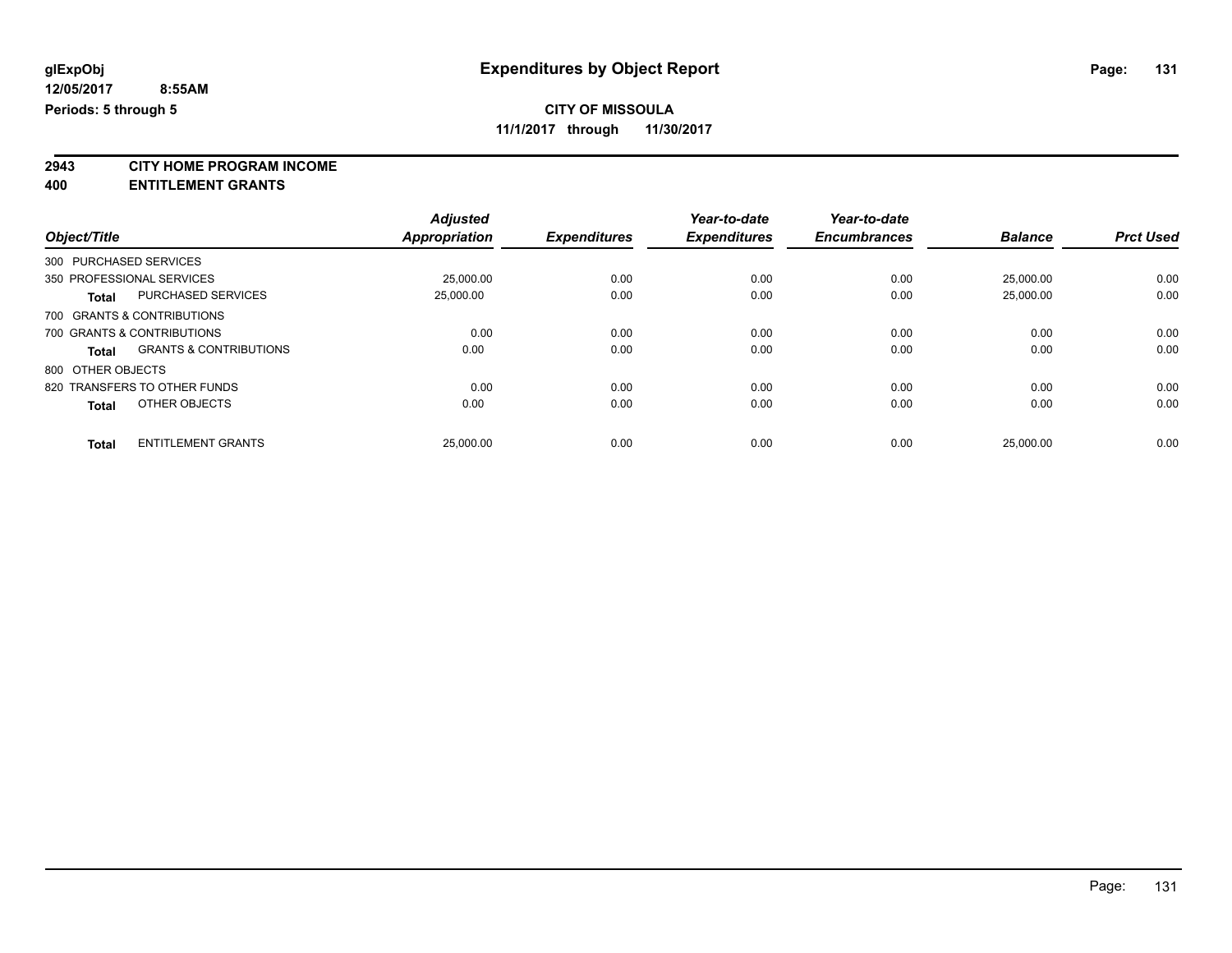### **CITY OF MISSOULA**

**11/1/2017 through 11/30/2017**

**2943 CITY HOME PROGRAM INCOME**

**400 ENTITLEMENT GRANTS**

|                              |                                   | <b>Adjusted</b>      |                     | Year-to-date        | Year-to-date        |                |                  |
|------------------------------|-----------------------------------|----------------------|---------------------|---------------------|---------------------|----------------|------------------|
| Object/Title                 |                                   | <b>Appropriation</b> | <b>Expenditures</b> | <b>Expenditures</b> | <b>Encumbrances</b> | <b>Balance</b> | <b>Prct Used</b> |
| 300 PURCHASED SERVICES       |                                   |                      |                     |                     |                     |                |                  |
| 350 PROFESSIONAL SERVICES    |                                   | 25,000.00            | 0.00                | 0.00                | 0.00                | 25,000.00      | 0.00             |
| <b>Total</b>                 | <b>PURCHASED SERVICES</b>         | 25,000.00            | 0.00                | 0.00                | 0.00                | 25,000.00      | 0.00             |
| 700 GRANTS & CONTRIBUTIONS   |                                   |                      |                     |                     |                     |                |                  |
| 700 GRANTS & CONTRIBUTIONS   |                                   | 0.00                 | 0.00                | 0.00                | 0.00                | 0.00           | 0.00             |
| <b>Total</b>                 | <b>GRANTS &amp; CONTRIBUTIONS</b> | 0.00                 | 0.00                | 0.00                | 0.00                | 0.00           | 0.00             |
| 800 OTHER OBJECTS            |                                   |                      |                     |                     |                     |                |                  |
| 820 TRANSFERS TO OTHER FUNDS |                                   | 0.00                 | 0.00                | 0.00                | 0.00                | 0.00           | 0.00             |
| <b>Total</b>                 | OTHER OBJECTS                     | 0.00                 | 0.00                | 0.00                | 0.00                | 0.00           | 0.00             |
| <b>Total</b>                 | <b>ENTITLEMENT GRANTS</b>         | 25,000.00            | 0.00                | 0.00                | 0.00                | 25.000.00      | 0.00             |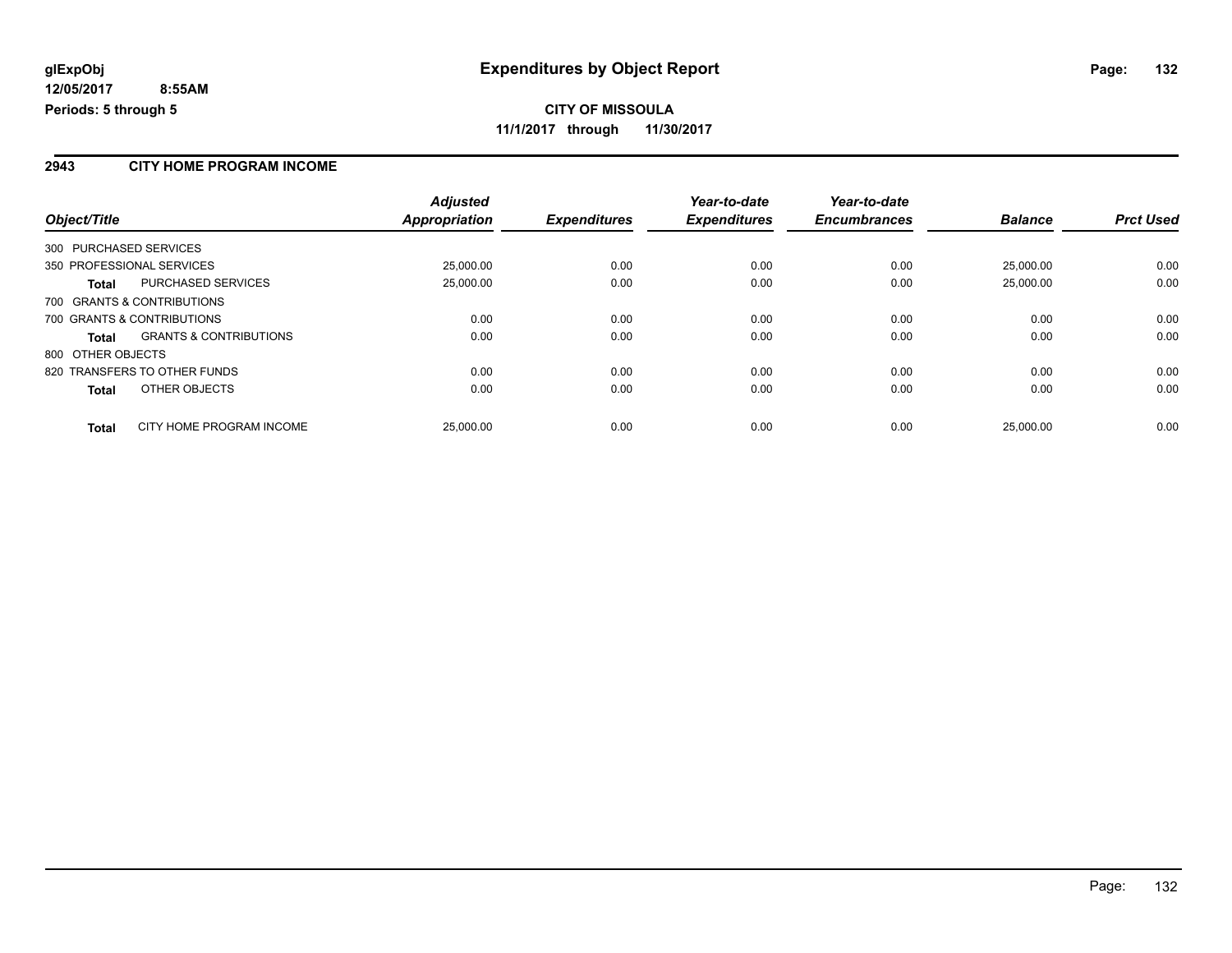#### **2943 CITY HOME PROGRAM INCOME**

|                                                   | <b>Adjusted</b> |                     | Year-to-date        | Year-to-date        |                |                  |
|---------------------------------------------------|-----------------|---------------------|---------------------|---------------------|----------------|------------------|
| Object/Title                                      | Appropriation   | <b>Expenditures</b> | <b>Expenditures</b> | <b>Encumbrances</b> | <b>Balance</b> | <b>Prct Used</b> |
| 300 PURCHASED SERVICES                            |                 |                     |                     |                     |                |                  |
| 350 PROFESSIONAL SERVICES                         | 25,000.00       | 0.00                | 0.00                | 0.00                | 25.000.00      | 0.00             |
| <b>PURCHASED SERVICES</b><br><b>Total</b>         | 25,000.00       | 0.00                | 0.00                | 0.00                | 25.000.00      | 0.00             |
| 700 GRANTS & CONTRIBUTIONS                        |                 |                     |                     |                     |                |                  |
| 700 GRANTS & CONTRIBUTIONS                        | 0.00            | 0.00                | 0.00                | 0.00                | 0.00           | 0.00             |
| <b>GRANTS &amp; CONTRIBUTIONS</b><br><b>Total</b> | 0.00            | 0.00                | 0.00                | 0.00                | 0.00           | 0.00             |
| 800 OTHER OBJECTS                                 |                 |                     |                     |                     |                |                  |
| 820 TRANSFERS TO OTHER FUNDS                      | 0.00            | 0.00                | 0.00                | 0.00                | 0.00           | 0.00             |
| <b>OTHER OBJECTS</b><br><b>Total</b>              | 0.00            | 0.00                | 0.00                | 0.00                | 0.00           | 0.00             |
| CITY HOME PROGRAM INCOME<br><b>Total</b>          | 25,000.00       | 0.00                | 0.00                | 0.00                | 25.000.00      | 0.00             |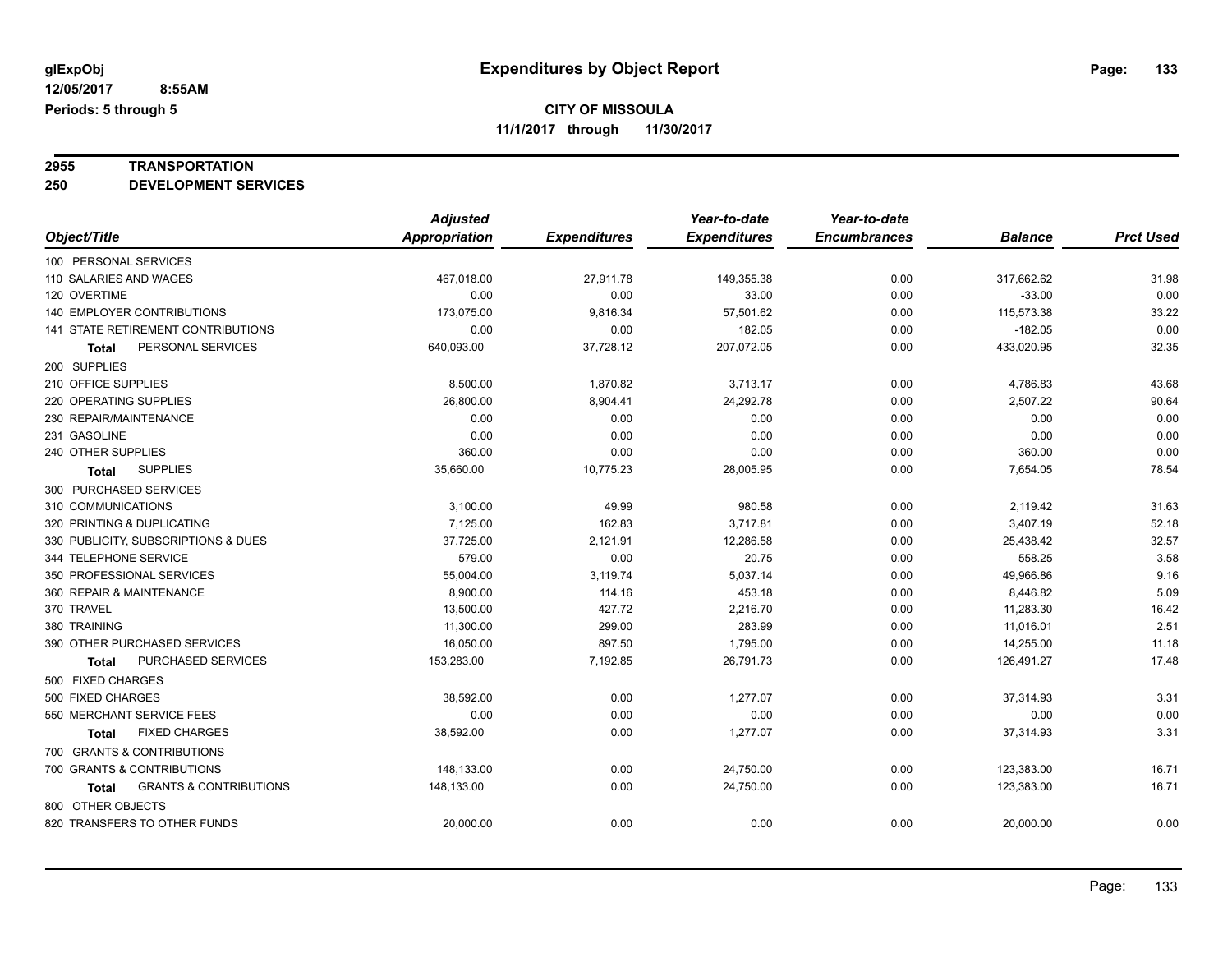## **2955 TRANSPORTATION**

**250 DEVELOPMENT SERVICES**

|                                            | <b>Adjusted</b> |                     | Year-to-date        | Year-to-date        |                |                  |
|--------------------------------------------|-----------------|---------------------|---------------------|---------------------|----------------|------------------|
| Object/Title                               | Appropriation   | <b>Expenditures</b> | <b>Expenditures</b> | <b>Encumbrances</b> | <b>Balance</b> | <b>Prct Used</b> |
| 100 PERSONAL SERVICES                      |                 |                     |                     |                     |                |                  |
| 110 SALARIES AND WAGES                     | 467,018.00      | 27,911.78           | 149,355.38          | 0.00                | 317,662.62     | 31.98            |
| 120 OVERTIME                               | 0.00            | 0.00                | 33.00               | 0.00                | $-33.00$       | 0.00             |
| 140 EMPLOYER CONTRIBUTIONS                 | 173,075.00      | 9,816.34            | 57,501.62           | 0.00                | 115,573.38     | 33.22            |
| <b>141 STATE RETIREMENT CONTRIBUTIONS</b>  | 0.00            | 0.00                | 182.05              | 0.00                | $-182.05$      | 0.00             |
| PERSONAL SERVICES<br>Total                 | 640,093.00      | 37,728.12           | 207,072.05          | 0.00                | 433,020.95     | 32.35            |
| 200 SUPPLIES                               |                 |                     |                     |                     |                |                  |
| 210 OFFICE SUPPLIES                        | 8,500.00        | 1,870.82            | 3,713.17            | 0.00                | 4,786.83       | 43.68            |
| 220 OPERATING SUPPLIES                     | 26,800.00       | 8,904.41            | 24,292.78           | 0.00                | 2,507.22       | 90.64            |
| 230 REPAIR/MAINTENANCE                     | 0.00            | 0.00                | 0.00                | 0.00                | 0.00           | 0.00             |
| 231 GASOLINE                               | 0.00            | 0.00                | 0.00                | 0.00                | 0.00           | 0.00             |
| 240 OTHER SUPPLIES                         | 360.00          | 0.00                | 0.00                | 0.00                | 360.00         | 0.00             |
| <b>SUPPLIES</b><br>Total                   | 35,660.00       | 10,775.23           | 28,005.95           | 0.00                | 7,654.05       | 78.54            |
| 300 PURCHASED SERVICES                     |                 |                     |                     |                     |                |                  |
| 310 COMMUNICATIONS                         | 3,100.00        | 49.99               | 980.58              | 0.00                | 2,119.42       | 31.63            |
| 320 PRINTING & DUPLICATING                 | 7,125.00        | 162.83              | 3,717.81            | 0.00                | 3,407.19       | 52.18            |
| 330 PUBLICITY, SUBSCRIPTIONS & DUES        | 37,725.00       | 2,121.91            | 12,286.58           | 0.00                | 25,438.42      | 32.57            |
| 344 TELEPHONE SERVICE                      | 579.00          | 0.00                | 20.75               | 0.00                | 558.25         | 3.58             |
| 350 PROFESSIONAL SERVICES                  | 55,004.00       | 3,119.74            | 5,037.14            | 0.00                | 49,966.86      | 9.16             |
| 360 REPAIR & MAINTENANCE                   | 8,900.00        | 114.16              | 453.18              | 0.00                | 8,446.82       | 5.09             |
| 370 TRAVEL                                 | 13,500.00       | 427.72              | 2,216.70            | 0.00                | 11,283.30      | 16.42            |
| 380 TRAINING                               | 11,300.00       | 299.00              | 283.99              | 0.00                | 11,016.01      | 2.51             |
| 390 OTHER PURCHASED SERVICES               | 16,050.00       | 897.50              | 1,795.00            | 0.00                | 14,255.00      | 11.18            |
| PURCHASED SERVICES<br>Total                | 153,283.00      | 7,192.85            | 26,791.73           | 0.00                | 126,491.27     | 17.48            |
| 500 FIXED CHARGES                          |                 |                     |                     |                     |                |                  |
| 500 FIXED CHARGES                          | 38,592.00       | 0.00                | 1,277.07            | 0.00                | 37,314.93      | 3.31             |
| 550 MERCHANT SERVICE FEES                  | 0.00            | 0.00                | 0.00                | 0.00                | 0.00           | 0.00             |
| <b>FIXED CHARGES</b><br>Total              | 38,592.00       | 0.00                | 1,277.07            | 0.00                | 37,314.93      | 3.31             |
| 700 GRANTS & CONTRIBUTIONS                 |                 |                     |                     |                     |                |                  |
| 700 GRANTS & CONTRIBUTIONS                 | 148,133.00      | 0.00                | 24,750.00           | 0.00                | 123,383.00     | 16.71            |
| <b>GRANTS &amp; CONTRIBUTIONS</b><br>Total | 148,133.00      | 0.00                | 24,750.00           | 0.00                | 123,383.00     | 16.71            |
| 800 OTHER OBJECTS                          |                 |                     |                     |                     |                |                  |
| 820 TRANSFERS TO OTHER FUNDS               | 20,000.00       | 0.00                | 0.00                | 0.00                | 20,000.00      | 0.00             |
|                                            |                 |                     |                     |                     |                |                  |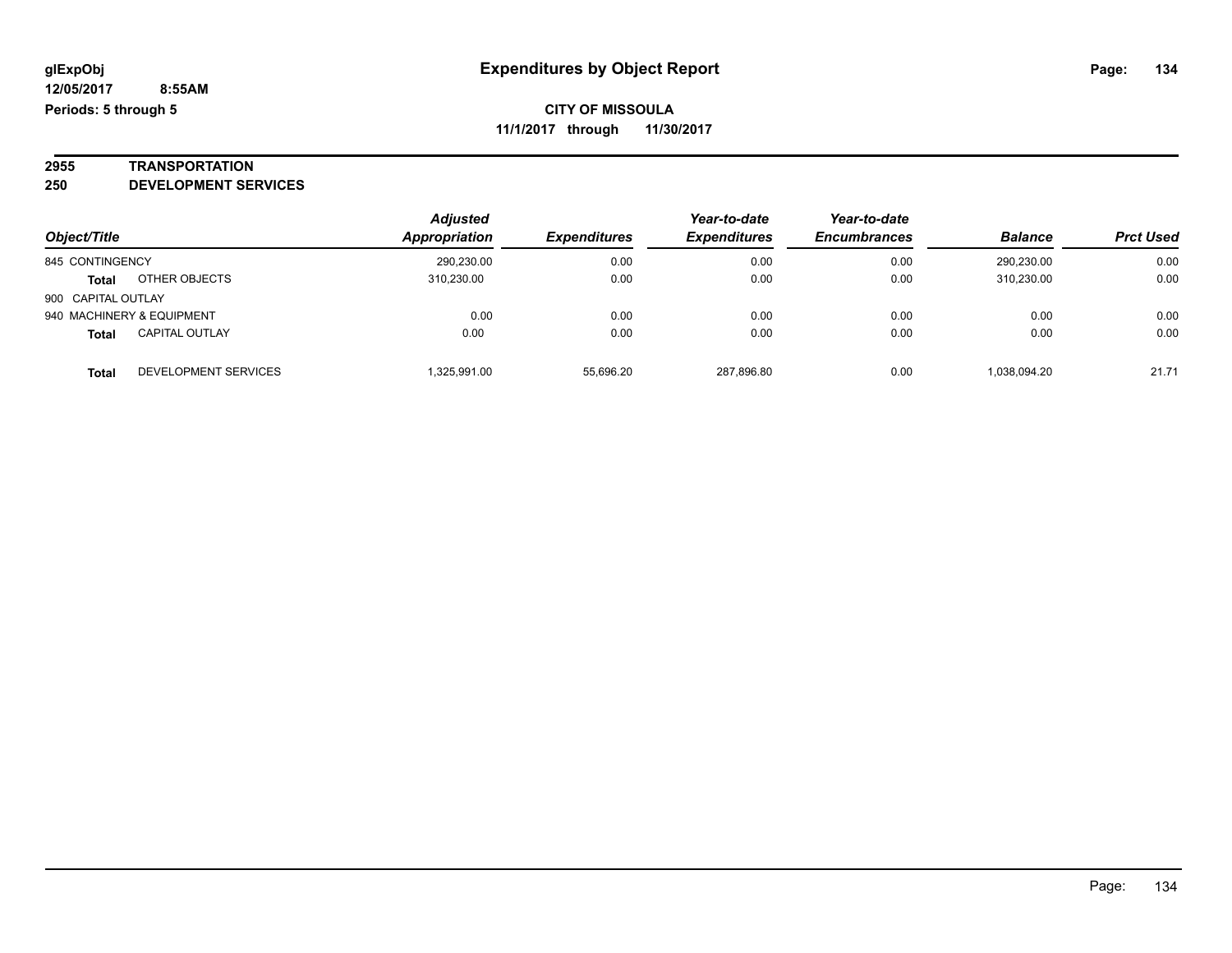## **2955 TRANSPORTATION**

**250 DEVELOPMENT SERVICES**

|                    |                           | <b>Adjusted</b> |                     | Year-to-date               | Year-to-date        |                |                  |
|--------------------|---------------------------|-----------------|---------------------|----------------------------|---------------------|----------------|------------------|
| Object/Title       |                           | Appropriation   | <b>Expenditures</b> | <i><b>Expenditures</b></i> | <b>Encumbrances</b> | <b>Balance</b> | <b>Prct Used</b> |
| 845 CONTINGENCY    |                           | 290,230.00      | 0.00                | 0.00                       | 0.00                | 290.230.00     | 0.00             |
| <b>Total</b>       | OTHER OBJECTS             | 310.230.00      | 0.00                | 0.00                       | 0.00                | 310.230.00     | 0.00             |
| 900 CAPITAL OUTLAY |                           |                 |                     |                            |                     |                |                  |
|                    | 940 MACHINERY & EQUIPMENT | 0.00            | 0.00                | 0.00                       | 0.00                | 0.00           | 0.00             |
| <b>Total</b>       | <b>CAPITAL OUTLAY</b>     | 0.00            | 0.00                | 0.00                       | 0.00                | 0.00           | 0.00             |
| Total              | DEVELOPMENT SERVICES      | .325.991.00     | 55.696.20           | 287.896.80                 | 0.00                | 1.038.094.20   | 21.71            |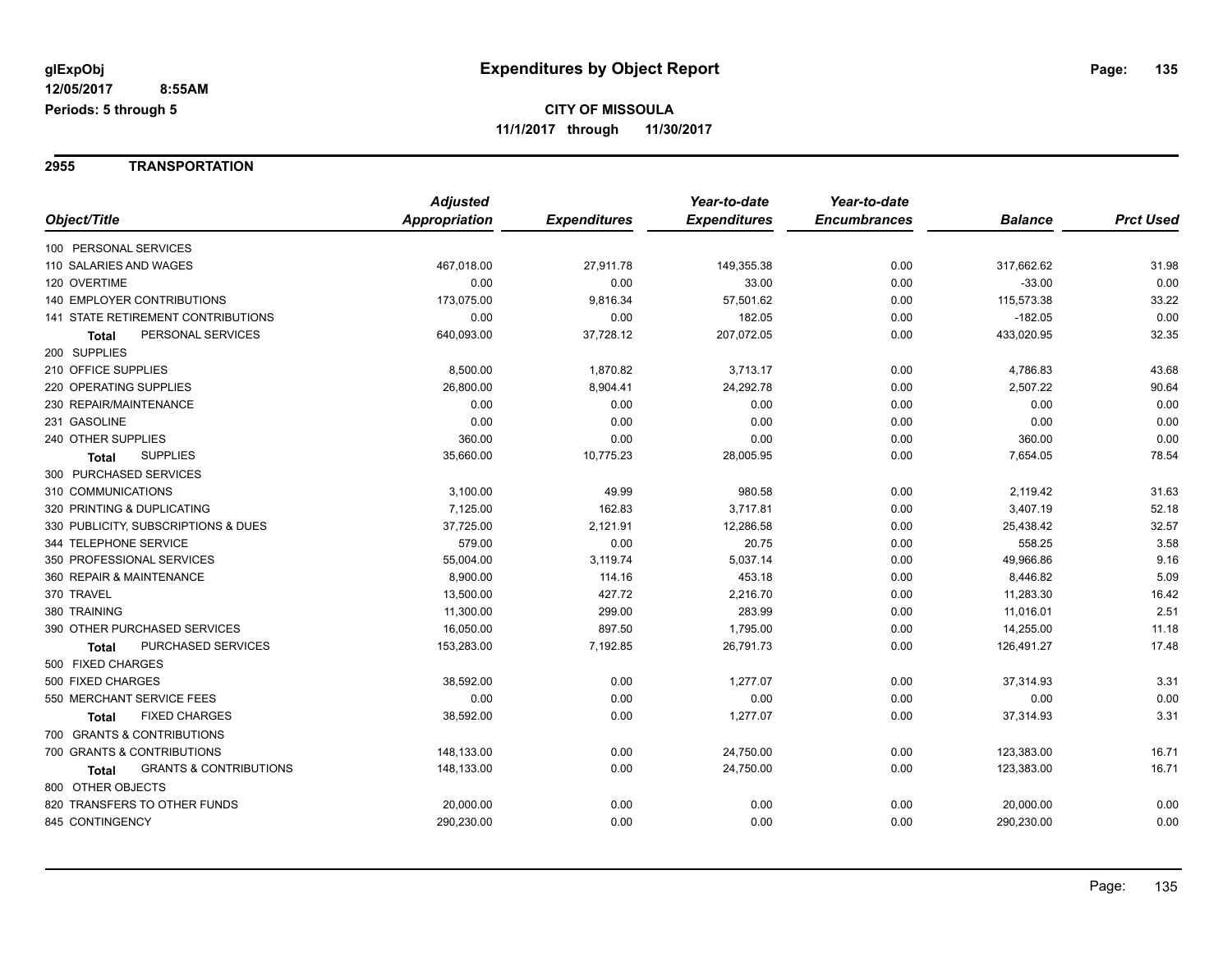**2955 TRANSPORTATION**

|                                                   | <b>Adjusted</b> |                     | Year-to-date        | Year-to-date        |                |                  |
|---------------------------------------------------|-----------------|---------------------|---------------------|---------------------|----------------|------------------|
| Object/Title                                      | Appropriation   | <b>Expenditures</b> | <b>Expenditures</b> | <b>Encumbrances</b> | <b>Balance</b> | <b>Prct Used</b> |
| 100 PERSONAL SERVICES                             |                 |                     |                     |                     |                |                  |
| 110 SALARIES AND WAGES                            | 467,018.00      | 27,911.78           | 149,355.38          | 0.00                | 317,662.62     | 31.98            |
| 120 OVERTIME                                      | 0.00            | 0.00                | 33.00               | 0.00                | $-33.00$       | 0.00             |
| <b>140 EMPLOYER CONTRIBUTIONS</b>                 | 173,075.00      | 9,816.34            | 57,501.62           | 0.00                | 115,573.38     | 33.22            |
| 141 STATE RETIREMENT CONTRIBUTIONS                | 0.00            | 0.00                | 182.05              | 0.00                | $-182.05$      | 0.00             |
| PERSONAL SERVICES<br>Total                        | 640,093.00      | 37,728.12           | 207,072.05          | 0.00                | 433,020.95     | 32.35            |
| 200 SUPPLIES                                      |                 |                     |                     |                     |                |                  |
| 210 OFFICE SUPPLIES                               | 8,500.00        | 1,870.82            | 3,713.17            | 0.00                | 4,786.83       | 43.68            |
| 220 OPERATING SUPPLIES                            | 26,800.00       | 8,904.41            | 24,292.78           | 0.00                | 2,507.22       | 90.64            |
| 230 REPAIR/MAINTENANCE                            | 0.00            | 0.00                | 0.00                | 0.00                | 0.00           | 0.00             |
| 231 GASOLINE                                      | 0.00            | 0.00                | 0.00                | 0.00                | 0.00           | 0.00             |
| 240 OTHER SUPPLIES                                | 360.00          | 0.00                | 0.00                | 0.00                | 360.00         | 0.00             |
| <b>SUPPLIES</b><br><b>Total</b>                   | 35,660.00       | 10,775.23           | 28,005.95           | 0.00                | 7,654.05       | 78.54            |
| 300 PURCHASED SERVICES                            |                 |                     |                     |                     |                |                  |
| 310 COMMUNICATIONS                                | 3,100.00        | 49.99               | 980.58              | 0.00                | 2,119.42       | 31.63            |
| 320 PRINTING & DUPLICATING                        | 7,125.00        | 162.83              | 3,717.81            | 0.00                | 3,407.19       | 52.18            |
| 330 PUBLICITY, SUBSCRIPTIONS & DUES               | 37,725.00       | 2,121.91            | 12,286.58           | 0.00                | 25,438.42      | 32.57            |
| 344 TELEPHONE SERVICE                             | 579.00          | 0.00                | 20.75               | 0.00                | 558.25         | 3.58             |
| 350 PROFESSIONAL SERVICES                         | 55,004.00       | 3,119.74            | 5,037.14            | 0.00                | 49,966.86      | 9.16             |
| 360 REPAIR & MAINTENANCE                          | 8,900.00        | 114.16              | 453.18              | 0.00                | 8,446.82       | 5.09             |
| 370 TRAVEL                                        | 13,500.00       | 427.72              | 2,216.70            | 0.00                | 11,283.30      | 16.42            |
| 380 TRAINING                                      | 11,300.00       | 299.00              | 283.99              | 0.00                | 11,016.01      | 2.51             |
| 390 OTHER PURCHASED SERVICES                      | 16,050.00       | 897.50              | 1,795.00            | 0.00                | 14,255.00      | 11.18            |
| PURCHASED SERVICES<br>Total                       | 153,283.00      | 7,192.85            | 26,791.73           | 0.00                | 126,491.27     | 17.48            |
| 500 FIXED CHARGES                                 |                 |                     |                     |                     |                |                  |
| 500 FIXED CHARGES                                 | 38,592.00       | 0.00                | 1,277.07            | 0.00                | 37,314.93      | 3.31             |
| 550 MERCHANT SERVICE FEES                         | 0.00            | 0.00                | 0.00                | 0.00                | 0.00           | 0.00             |
| <b>FIXED CHARGES</b><br>Total                     | 38,592.00       | 0.00                | 1,277.07            | 0.00                | 37,314.93      | 3.31             |
| 700 GRANTS & CONTRIBUTIONS                        |                 |                     |                     |                     |                |                  |
| 700 GRANTS & CONTRIBUTIONS                        | 148,133.00      | 0.00                | 24,750.00           | 0.00                | 123,383.00     | 16.71            |
| <b>GRANTS &amp; CONTRIBUTIONS</b><br><b>Total</b> | 148,133.00      | 0.00                | 24,750.00           | 0.00                | 123,383.00     | 16.71            |
| 800 OTHER OBJECTS                                 |                 |                     |                     |                     |                |                  |
| 820 TRANSFERS TO OTHER FUNDS                      | 20,000.00       | 0.00                | 0.00                | 0.00                | 20,000.00      | 0.00             |
| 845 CONTINGENCY                                   | 290,230.00      | 0.00                | 0.00                | 0.00                | 290,230.00     | 0.00             |
|                                                   |                 |                     |                     |                     |                |                  |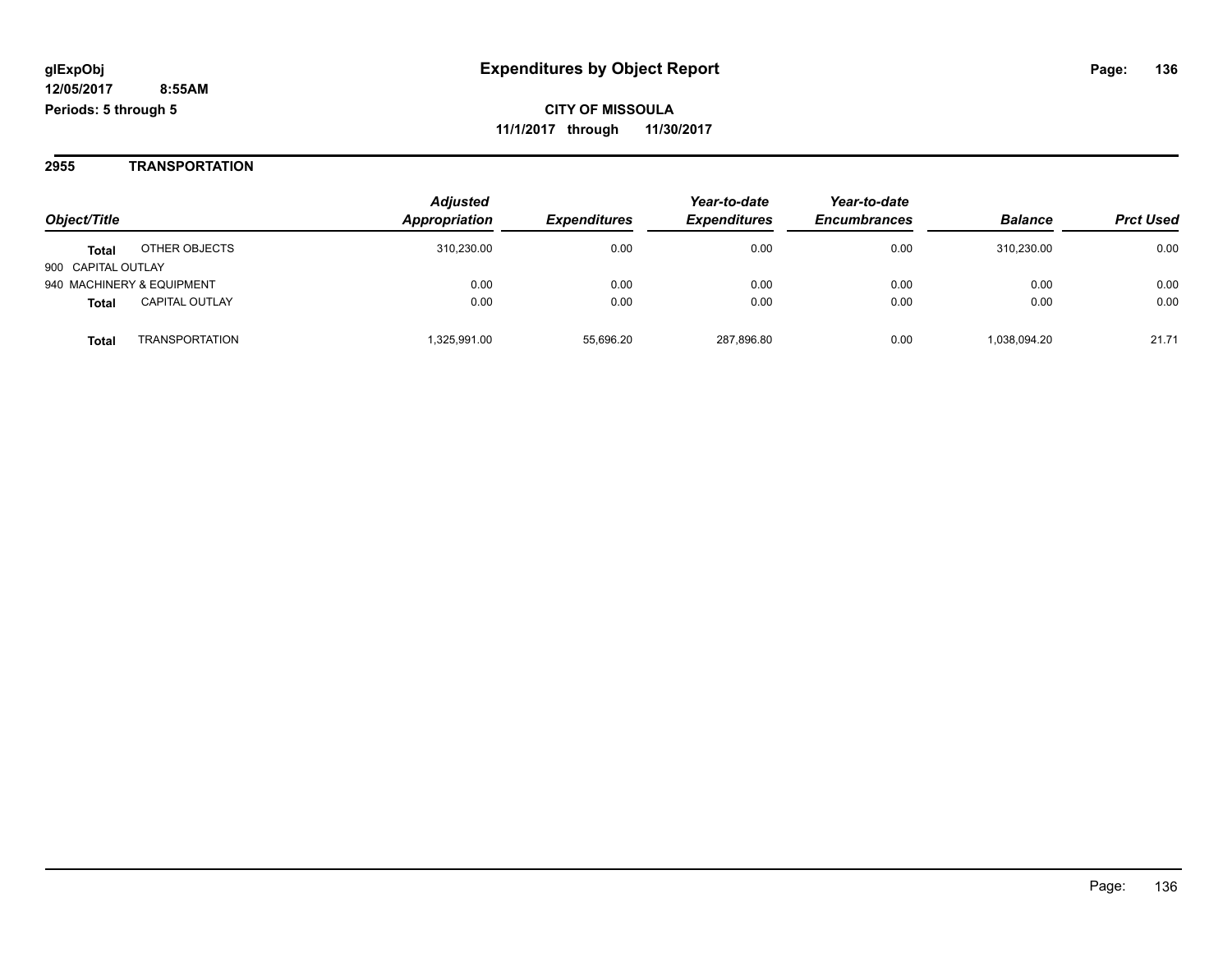#### **2955 TRANSPORTATION**

| Object/Title              |                       | <b>Adjusted</b><br>Appropriation | <i><b>Expenditures</b></i> | Year-to-date<br><b>Expenditures</b> | Year-to-date<br><b>Encumbrances</b> | <b>Balance</b> | <b>Prct Used</b> |
|---------------------------|-----------------------|----------------------------------|----------------------------|-------------------------------------|-------------------------------------|----------------|------------------|
|                           |                       |                                  |                            |                                     |                                     |                |                  |
| 900 CAPITAL OUTLAY        |                       |                                  |                            |                                     |                                     |                |                  |
| 940 MACHINERY & EQUIPMENT |                       | 0.00                             | 0.00                       | 0.00                                | 0.00                                | 0.00           | 0.00             |
| <b>Total</b>              | <b>CAPITAL OUTLAY</b> | 0.00                             | 0.00                       | 0.00                                | 0.00                                | 0.00           | 0.00             |
| <b>Total</b>              | <b>TRANSPORTATION</b> | 1,325,991.00                     | 55.696.20                  | 287.896.80                          | 0.00                                | 1,038,094.20   | 21.71            |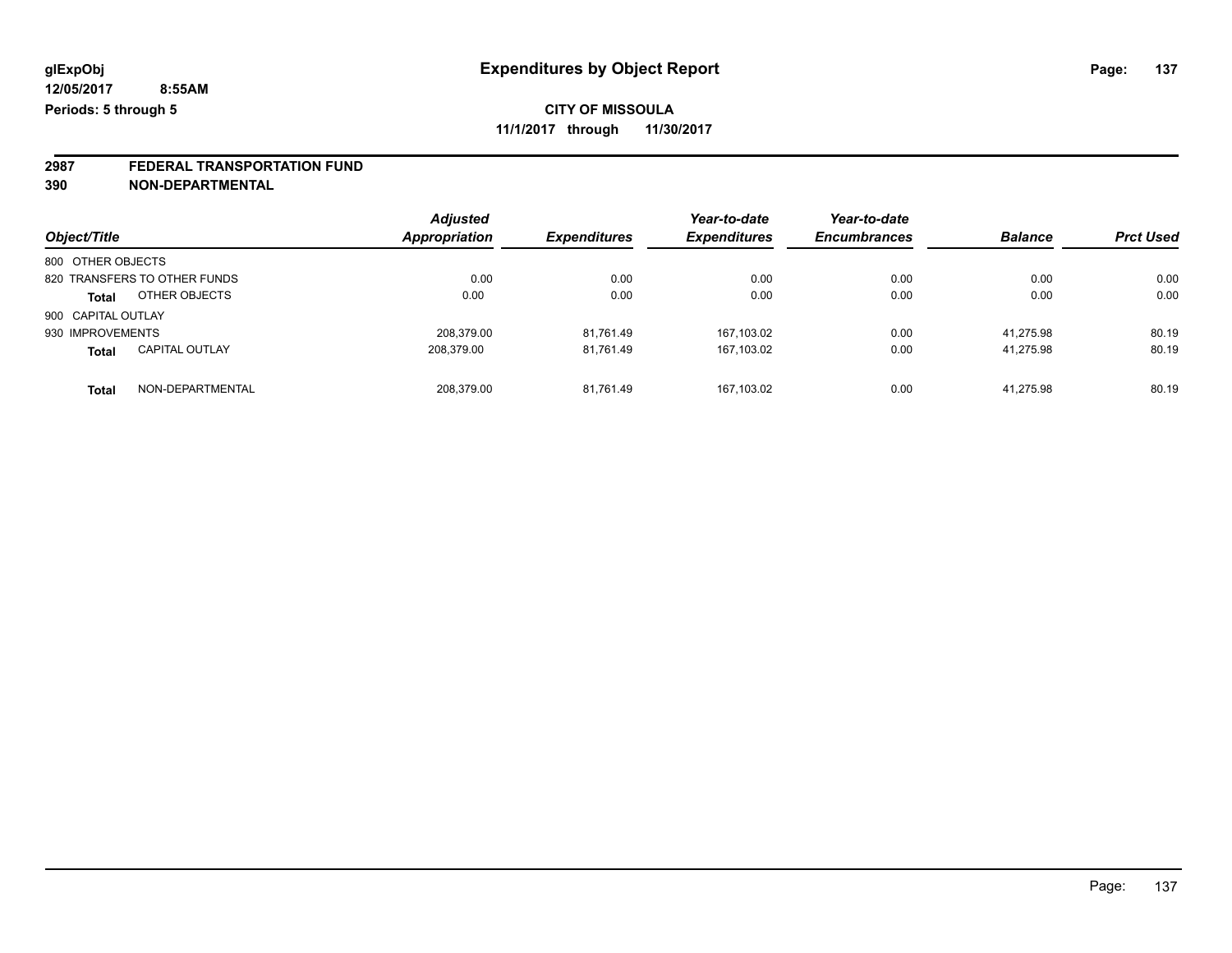**2987 FEDERAL TRANSPORTATION FUND 390 NON-DEPARTMENTAL**

| Object/Title       |                              | <b>Adjusted</b><br><b>Appropriation</b> | <b>Expenditures</b> | Year-to-date<br><b>Expenditures</b> | Year-to-date<br><b>Encumbrances</b> | <b>Balance</b> | <b>Prct Used</b> |
|--------------------|------------------------------|-----------------------------------------|---------------------|-------------------------------------|-------------------------------------|----------------|------------------|
| 800 OTHER OBJECTS  |                              |                                         |                     |                                     |                                     |                |                  |
|                    | 820 TRANSFERS TO OTHER FUNDS | 0.00                                    | 0.00                | 0.00                                | 0.00                                | 0.00           | 0.00             |
| <b>Total</b>       | OTHER OBJECTS                | 0.00                                    | 0.00                | 0.00                                | 0.00                                | 0.00           | 0.00             |
| 900 CAPITAL OUTLAY |                              |                                         |                     |                                     |                                     |                |                  |
| 930 IMPROVEMENTS   |                              | 208.379.00                              | 81.761.49           | 167,103.02                          | 0.00                                | 41.275.98      | 80.19            |
| <b>Total</b>       | <b>CAPITAL OUTLAY</b>        | 208.379.00                              | 81.761.49           | 167,103.02                          | 0.00                                | 41.275.98      | 80.19            |
| <b>Total</b>       | NON-DEPARTMENTAL             | 208.379.00                              | 81.761.49           | 167.103.02                          | 0.00                                | 41.275.98      | 80.19            |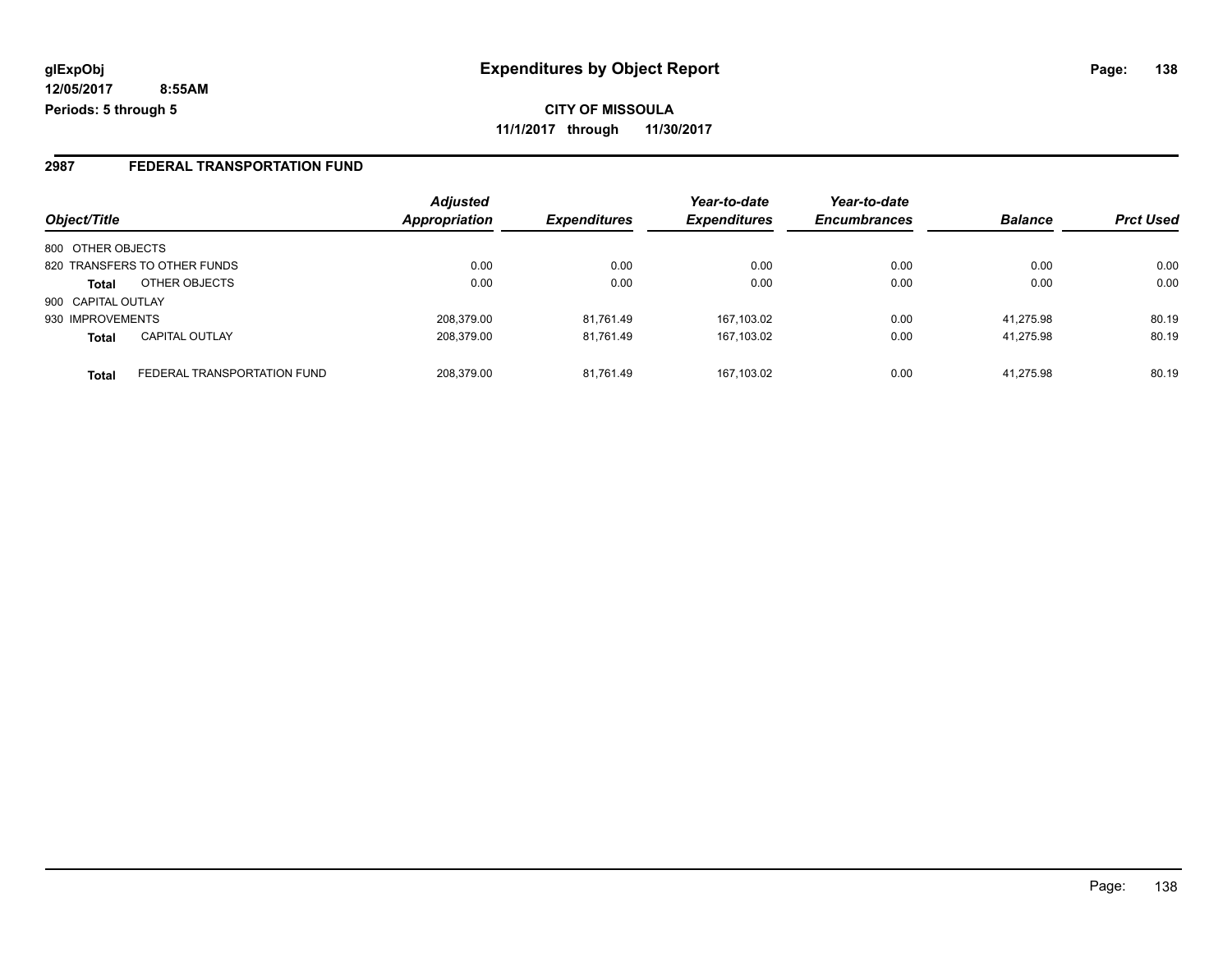**12/05/2017 8:55AM Periods: 5 through 5**

**CITY OF MISSOULA 11/1/2017 through 11/30/2017**

#### **2987 FEDERAL TRANSPORTATION FUND**

|                    |                              | <b>Adjusted</b>      |                     | Year-to-date        | Year-to-date        |                |                  |
|--------------------|------------------------------|----------------------|---------------------|---------------------|---------------------|----------------|------------------|
| Object/Title       |                              | <b>Appropriation</b> | <b>Expenditures</b> | <b>Expenditures</b> | <b>Encumbrances</b> | <b>Balance</b> | <b>Prct Used</b> |
| 800 OTHER OBJECTS  |                              |                      |                     |                     |                     |                |                  |
|                    | 820 TRANSFERS TO OTHER FUNDS | 0.00                 | 0.00                | 0.00                | 0.00                | 0.00           | 0.00             |
| <b>Total</b>       | OTHER OBJECTS                | 0.00                 | 0.00                | 0.00                | 0.00                | 0.00           | 0.00             |
| 900 CAPITAL OUTLAY |                              |                      |                     |                     |                     |                |                  |
| 930 IMPROVEMENTS   |                              | 208.379.00           | 81,761.49           | 167.103.02          | 0.00                | 41.275.98      | 80.19            |
| <b>Total</b>       | <b>CAPITAL OUTLAY</b>        | 208.379.00           | 81.761.49           | 167.103.02          | 0.00                | 41.275.98      | 80.19            |
| <b>Total</b>       | FEDERAL TRANSPORTATION FUND  | 208.379.00           | 81,761.49           | 167.103.02          | 0.00                | 41.275.98      | 80.19            |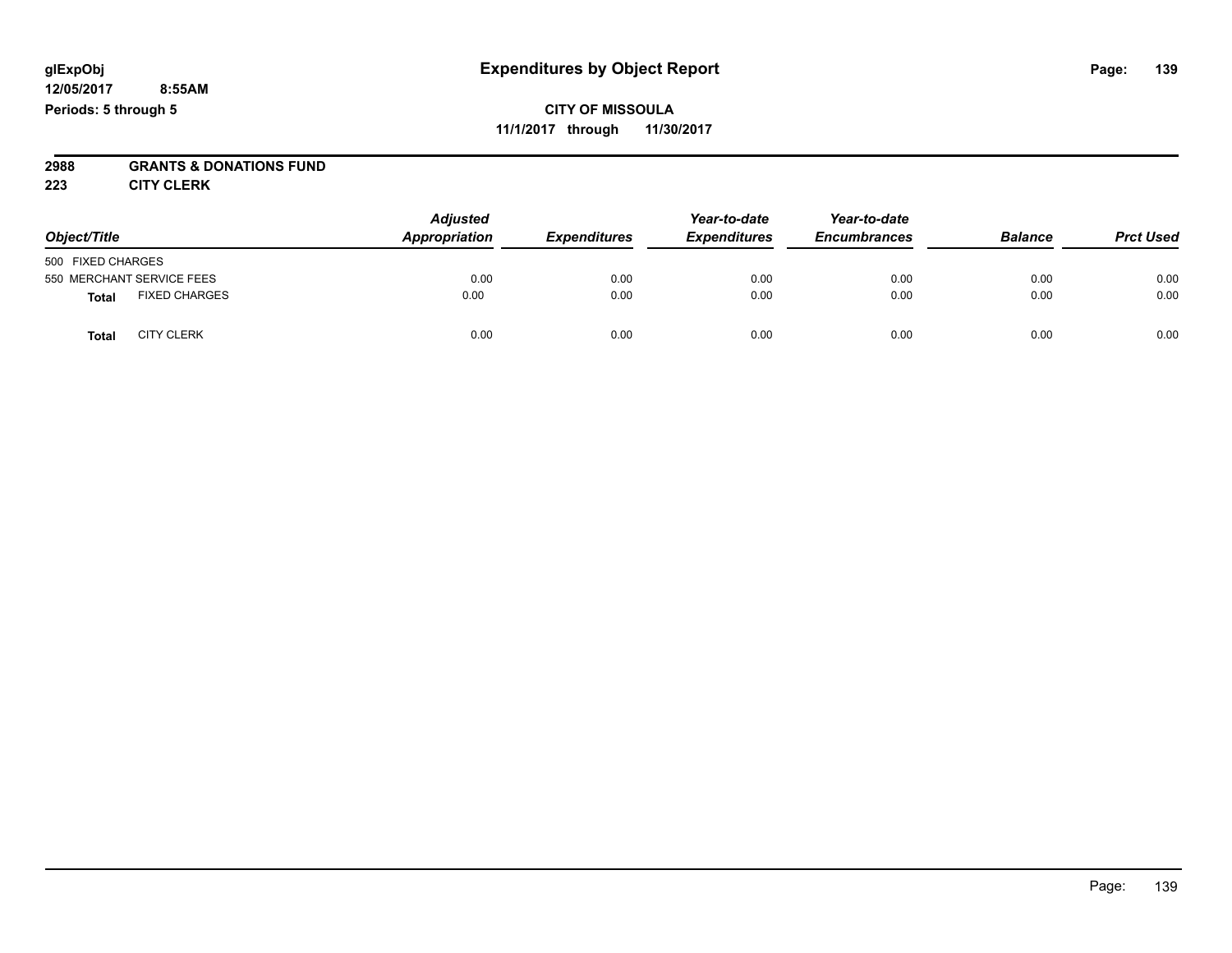## **2988 GRANTS & DONATIONS FUND**

**223 CITY CLERK**

| Object/Title              |                      | <b>Adjusted</b><br>Appropriation | <b>Expenditures</b> | Year-to-date<br><b>Expenditures</b> | Year-to-date<br><b>Encumbrances</b> | <b>Balance</b> | <b>Prct Used</b> |
|---------------------------|----------------------|----------------------------------|---------------------|-------------------------------------|-------------------------------------|----------------|------------------|
| 500 FIXED CHARGES         |                      |                                  |                     |                                     |                                     |                |                  |
| 550 MERCHANT SERVICE FEES |                      | 0.00                             | 0.00                | 0.00                                | 0.00                                | 0.00           | 0.00             |
| <b>Total</b>              | <b>FIXED CHARGES</b> | 0.00                             | 0.00                | 0.00                                | 0.00                                | 0.00           | 0.00             |
| <b>Total</b>              | <b>CITY CLERK</b>    | 0.00                             | 0.00                | 0.00                                | 0.00                                | 0.00           | 0.00             |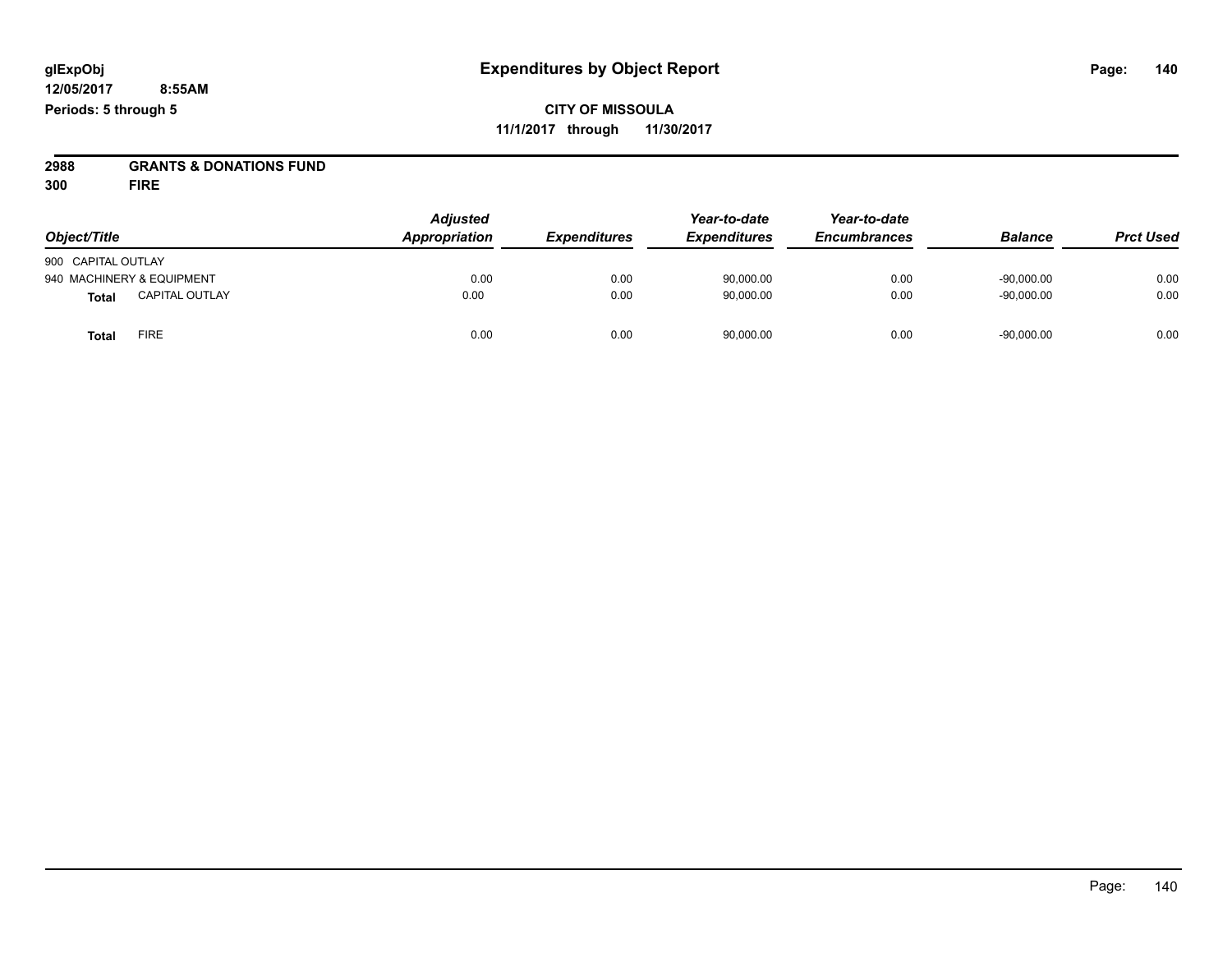**2988 GRANTS & DONATIONS FUND**

**300 FIRE**

| Object/Title       |                           | <b>Adjusted</b><br>Appropriation | <b>Expenditures</b> | Year-to-date<br><b>Expenditures</b> | Year-to-date<br><b>Encumbrances</b> | <b>Balance</b> | <b>Prct Used</b> |
|--------------------|---------------------------|----------------------------------|---------------------|-------------------------------------|-------------------------------------|----------------|------------------|
| 900 CAPITAL OUTLAY |                           |                                  |                     |                                     |                                     |                |                  |
|                    | 940 MACHINERY & EQUIPMENT | 0.00                             | 0.00                | 90.000.00                           | 0.00                                | $-90.000.00$   | 0.00             |
| <b>Total</b>       | <b>CAPITAL OUTLAY</b>     | 0.00                             | 0.00                | 90,000.00                           | 0.00                                | $-90,000.00$   | 0.00             |
| Total              | <b>FIRE</b>               | 0.00                             | 0.00                | 90,000.00                           | 0.00                                | $-90,000.00$   | 0.00             |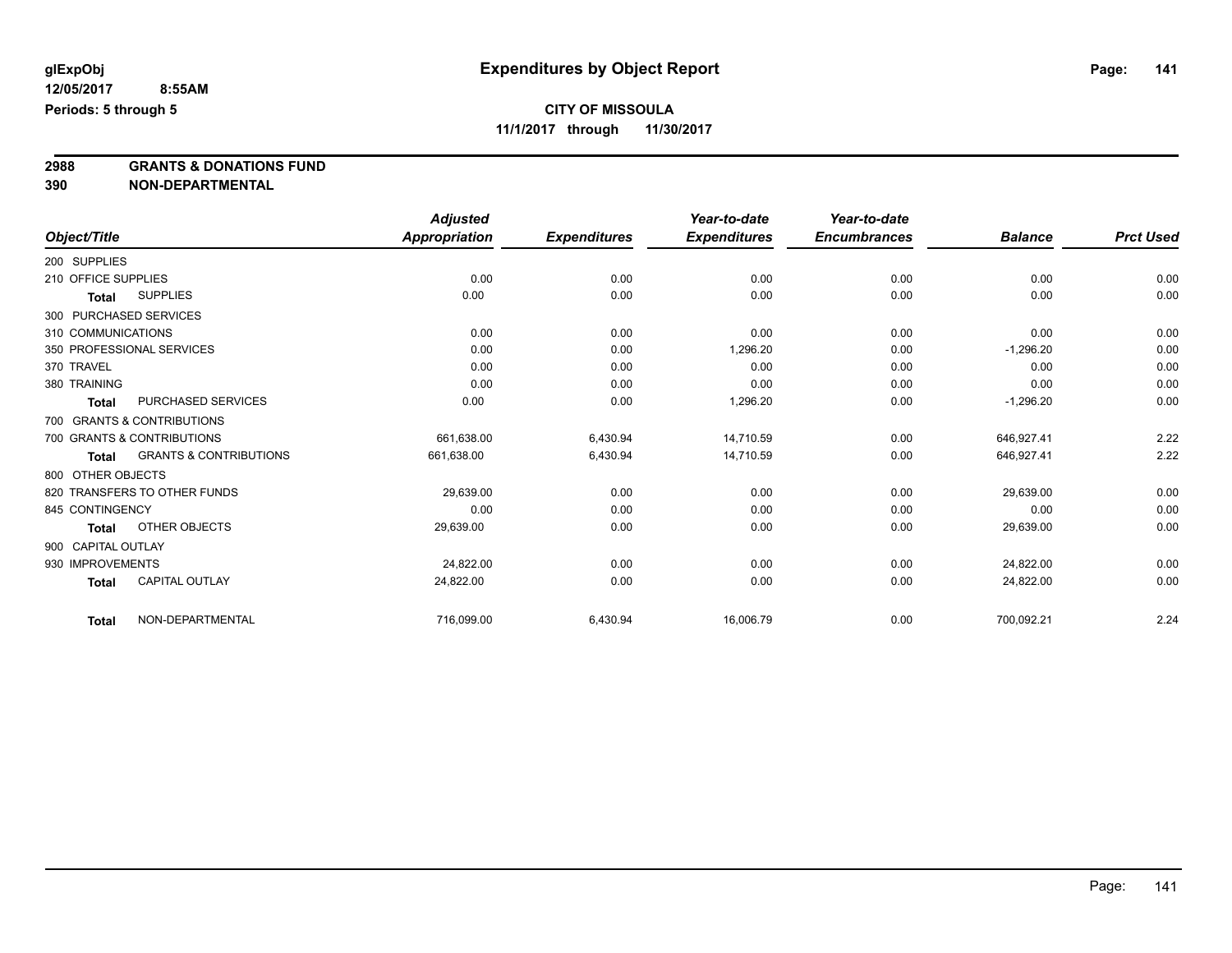**2988 GRANTS & DONATIONS FUND**

**390 NON-DEPARTMENTAL**

|                                                   | <b>Adjusted</b> |                     | Year-to-date        | Year-to-date        |                |                  |
|---------------------------------------------------|-----------------|---------------------|---------------------|---------------------|----------------|------------------|
| Object/Title                                      | Appropriation   | <b>Expenditures</b> | <b>Expenditures</b> | <b>Encumbrances</b> | <b>Balance</b> | <b>Prct Used</b> |
| 200 SUPPLIES                                      |                 |                     |                     |                     |                |                  |
| 210 OFFICE SUPPLIES                               | 0.00            | 0.00                | 0.00                | 0.00                | 0.00           | 0.00             |
| <b>SUPPLIES</b><br>Total                          | 0.00            | 0.00                | 0.00                | 0.00                | 0.00           | 0.00             |
| 300 PURCHASED SERVICES                            |                 |                     |                     |                     |                |                  |
| 310 COMMUNICATIONS                                | 0.00            | 0.00                | 0.00                | 0.00                | 0.00           | 0.00             |
| 350 PROFESSIONAL SERVICES                         | 0.00            | 0.00                | 1,296.20            | 0.00                | $-1,296.20$    | 0.00             |
| 370 TRAVEL                                        | 0.00            | 0.00                | 0.00                | 0.00                | 0.00           | 0.00             |
| 380 TRAINING                                      | 0.00            | 0.00                | 0.00                | 0.00                | 0.00           | 0.00             |
| <b>PURCHASED SERVICES</b><br><b>Total</b>         | 0.00            | 0.00                | 1,296.20            | 0.00                | $-1,296.20$    | 0.00             |
| 700 GRANTS & CONTRIBUTIONS                        |                 |                     |                     |                     |                |                  |
| 700 GRANTS & CONTRIBUTIONS                        | 661,638.00      | 6,430.94            | 14,710.59           | 0.00                | 646,927.41     | 2.22             |
| <b>GRANTS &amp; CONTRIBUTIONS</b><br><b>Total</b> | 661.638.00      | 6,430.94            | 14.710.59           | 0.00                | 646.927.41     | 2.22             |
| 800 OTHER OBJECTS                                 |                 |                     |                     |                     |                |                  |
| 820 TRANSFERS TO OTHER FUNDS                      | 29,639.00       | 0.00                | 0.00                | 0.00                | 29,639.00      | 0.00             |
| 845 CONTINGENCY                                   | 0.00            | 0.00                | 0.00                | 0.00                | 0.00           | 0.00             |
| OTHER OBJECTS<br><b>Total</b>                     | 29,639.00       | 0.00                | 0.00                | 0.00                | 29,639.00      | 0.00             |
| 900 CAPITAL OUTLAY                                |                 |                     |                     |                     |                |                  |
| 930 IMPROVEMENTS                                  | 24,822.00       | 0.00                | 0.00                | 0.00                | 24,822.00      | 0.00             |
| <b>CAPITAL OUTLAY</b><br><b>Total</b>             | 24,822.00       | 0.00                | 0.00                | 0.00                | 24,822.00      | 0.00             |
| NON-DEPARTMENTAL<br><b>Total</b>                  | 716,099.00      | 6,430.94            | 16,006.79           | 0.00                | 700,092.21     | 2.24             |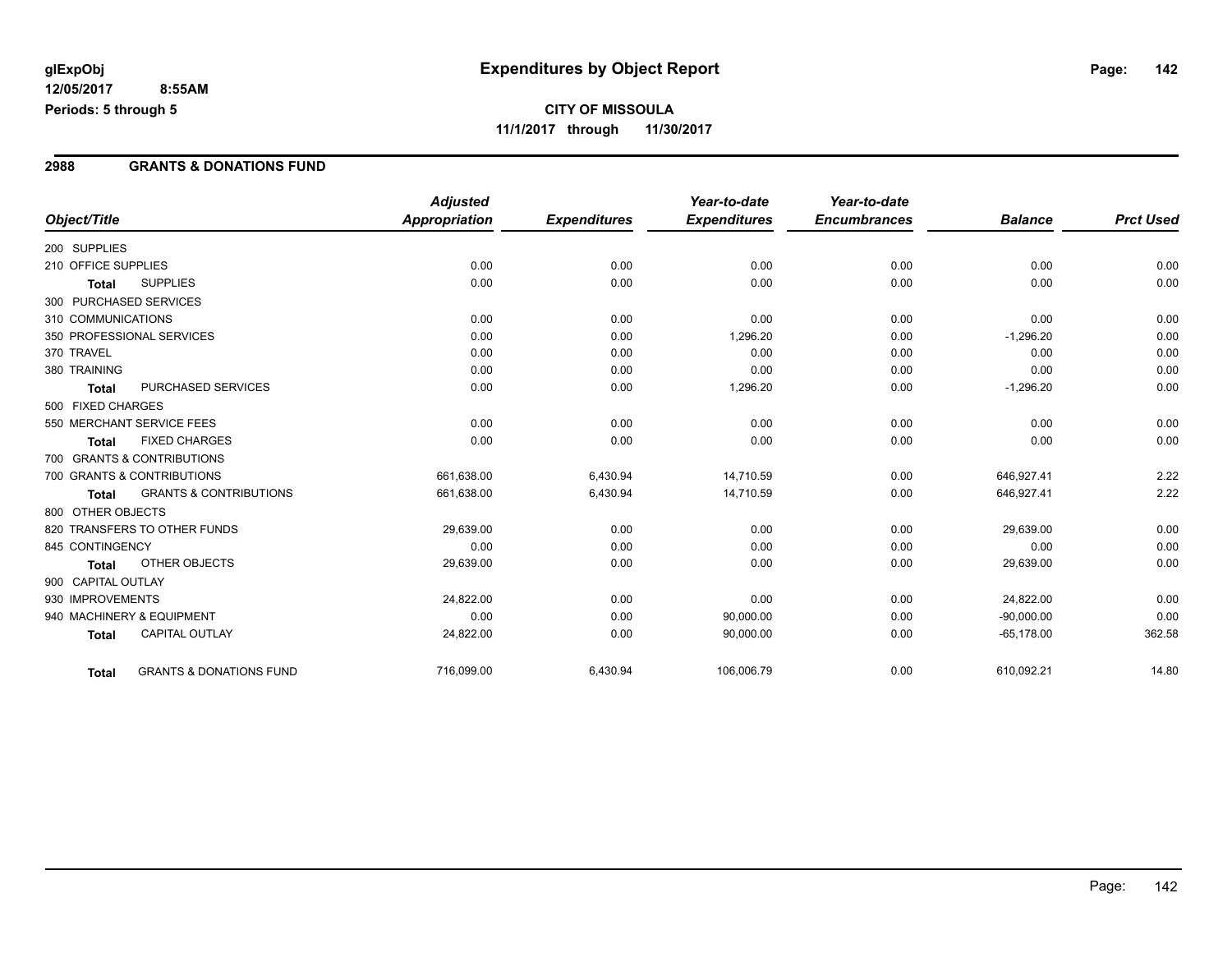#### **2988 GRANTS & DONATIONS FUND**

|                        |                                    | <b>Adjusted</b>      |                     | Year-to-date        | Year-to-date        |                |                  |
|------------------------|------------------------------------|----------------------|---------------------|---------------------|---------------------|----------------|------------------|
| Object/Title           |                                    | <b>Appropriation</b> | <b>Expenditures</b> | <b>Expenditures</b> | <b>Encumbrances</b> | <b>Balance</b> | <b>Prct Used</b> |
| 200 SUPPLIES           |                                    |                      |                     |                     |                     |                |                  |
| 210 OFFICE SUPPLIES    |                                    | 0.00                 | 0.00                | 0.00                | 0.00                | 0.00           | 0.00             |
| <b>Total</b>           | <b>SUPPLIES</b>                    | 0.00                 | 0.00                | 0.00                | 0.00                | 0.00           | 0.00             |
| 300 PURCHASED SERVICES |                                    |                      |                     |                     |                     |                |                  |
| 310 COMMUNICATIONS     |                                    | 0.00                 | 0.00                | 0.00                | 0.00                | 0.00           | 0.00             |
|                        | 350 PROFESSIONAL SERVICES          | 0.00                 | 0.00                | 1,296.20            | 0.00                | $-1,296.20$    | 0.00             |
| 370 TRAVEL             |                                    | 0.00                 | 0.00                | 0.00                | 0.00                | 0.00           | 0.00             |
| 380 TRAINING           |                                    | 0.00                 | 0.00                | 0.00                | 0.00                | 0.00           | 0.00             |
| <b>Total</b>           | PURCHASED SERVICES                 | 0.00                 | 0.00                | 1,296.20            | 0.00                | $-1,296.20$    | 0.00             |
| 500 FIXED CHARGES      |                                    |                      |                     |                     |                     |                |                  |
|                        | 550 MERCHANT SERVICE FEES          | 0.00                 | 0.00                | 0.00                | 0.00                | 0.00           | 0.00             |
| <b>Total</b>           | <b>FIXED CHARGES</b>               | 0.00                 | 0.00                | 0.00                | 0.00                | 0.00           | 0.00             |
|                        | 700 GRANTS & CONTRIBUTIONS         |                      |                     |                     |                     |                |                  |
|                        | 700 GRANTS & CONTRIBUTIONS         | 661,638.00           | 6,430.94            | 14.710.59           | 0.00                | 646.927.41     | 2.22             |
| <b>Total</b>           | <b>GRANTS &amp; CONTRIBUTIONS</b>  | 661,638.00           | 6,430.94            | 14,710.59           | 0.00                | 646,927.41     | 2.22             |
| 800 OTHER OBJECTS      |                                    |                      |                     |                     |                     |                |                  |
|                        | 820 TRANSFERS TO OTHER FUNDS       | 29,639.00            | 0.00                | 0.00                | 0.00                | 29,639.00      | 0.00             |
| 845 CONTINGENCY        |                                    | 0.00                 | 0.00                | 0.00                | 0.00                | 0.00           | 0.00             |
| Total                  | OTHER OBJECTS                      | 29,639.00            | 0.00                | 0.00                | 0.00                | 29,639.00      | 0.00             |
| 900 CAPITAL OUTLAY     |                                    |                      |                     |                     |                     |                |                  |
| 930 IMPROVEMENTS       |                                    | 24,822.00            | 0.00                | 0.00                | 0.00                | 24,822.00      | 0.00             |
|                        | 940 MACHINERY & EQUIPMENT          | 0.00                 | 0.00                | 90,000.00           | 0.00                | $-90,000.00$   | 0.00             |
| <b>Total</b>           | <b>CAPITAL OUTLAY</b>              | 24,822.00            | 0.00                | 90,000.00           | 0.00                | $-65,178.00$   | 362.58           |
| Total                  | <b>GRANTS &amp; DONATIONS FUND</b> | 716,099.00           | 6,430.94            | 106,006.79          | 0.00                | 610,092.21     | 14.80            |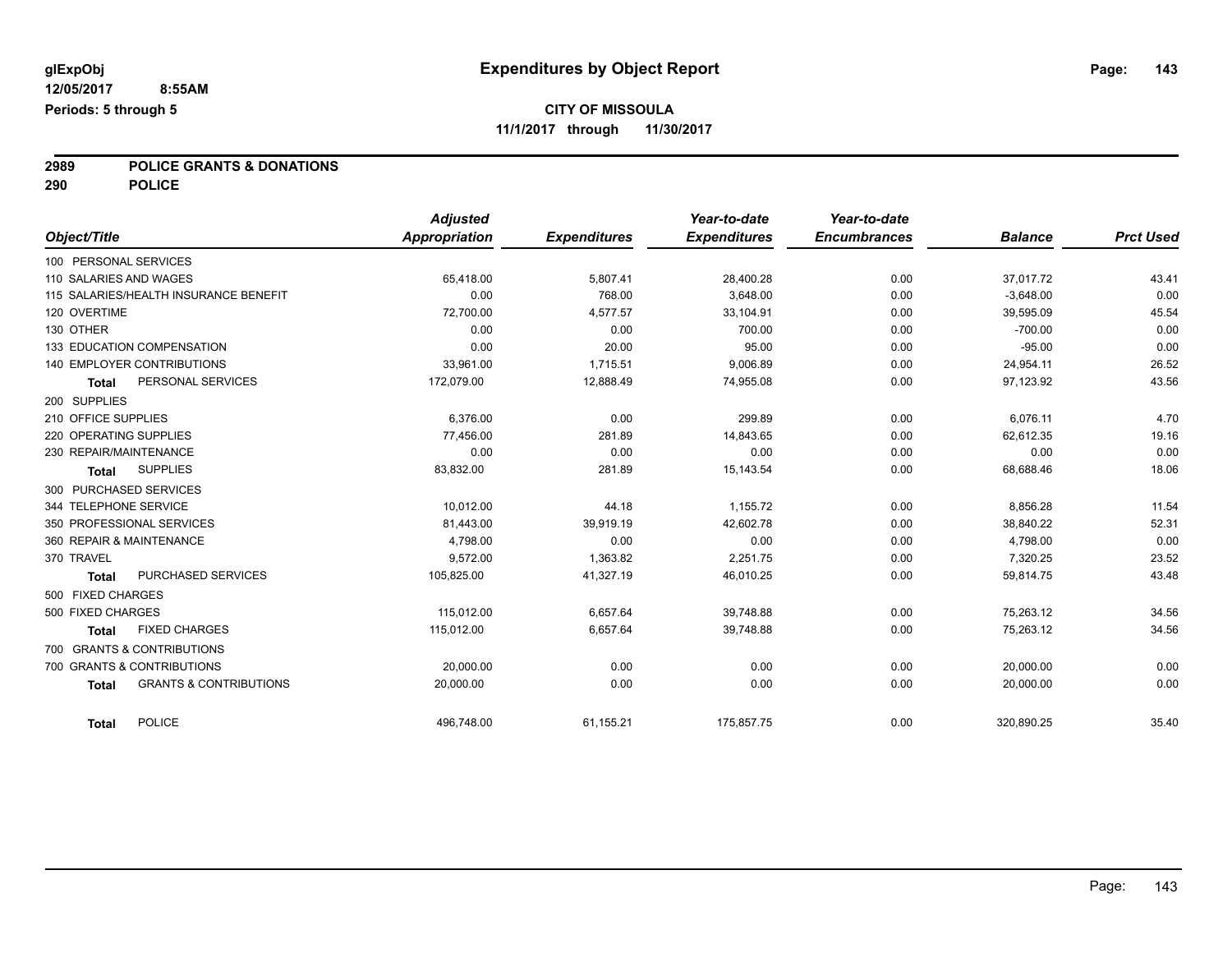**2989 POLICE GRANTS & DONATIONS**

**290 POLICE**

|                                                   | <b>Adjusted</b> |                     | Year-to-date        | Year-to-date        |                |                  |
|---------------------------------------------------|-----------------|---------------------|---------------------|---------------------|----------------|------------------|
| Object/Title                                      | Appropriation   | <b>Expenditures</b> | <b>Expenditures</b> | <b>Encumbrances</b> | <b>Balance</b> | <b>Prct Used</b> |
| 100 PERSONAL SERVICES                             |                 |                     |                     |                     |                |                  |
| 110 SALARIES AND WAGES                            | 65,418.00       | 5,807.41            | 28,400.28           | 0.00                | 37,017.72      | 43.41            |
| 115 SALARIES/HEALTH INSURANCE BENEFIT             | 0.00            | 768.00              | 3,648.00            | 0.00                | $-3,648.00$    | 0.00             |
| 120 OVERTIME                                      | 72,700.00       | 4,577.57            | 33,104.91           | 0.00                | 39,595.09      | 45.54            |
| 130 OTHER                                         | 0.00            | 0.00                | 700.00              | 0.00                | $-700.00$      | 0.00             |
| 133 EDUCATION COMPENSATION                        | 0.00            | 20.00               | 95.00               | 0.00                | $-95.00$       | 0.00             |
| 140 EMPLOYER CONTRIBUTIONS                        | 33,961.00       | 1,715.51            | 9,006.89            | 0.00                | 24,954.11      | 26.52            |
| PERSONAL SERVICES<br><b>Total</b>                 | 172,079.00      | 12,888.49           | 74,955.08           | 0.00                | 97,123.92      | 43.56            |
| 200 SUPPLIES                                      |                 |                     |                     |                     |                |                  |
| 210 OFFICE SUPPLIES                               | 6.376.00        | 0.00                | 299.89              | 0.00                | 6,076.11       | 4.70             |
| 220 OPERATING SUPPLIES                            | 77,456.00       | 281.89              | 14,843.65           | 0.00                | 62,612.35      | 19.16            |
| 230 REPAIR/MAINTENANCE                            | 0.00            | 0.00                | 0.00                | 0.00                | 0.00           | 0.00             |
| <b>SUPPLIES</b><br>Total                          | 83,832.00       | 281.89              | 15,143.54           | 0.00                | 68,688.46      | 18.06            |
| 300 PURCHASED SERVICES                            |                 |                     |                     |                     |                |                  |
| 344 TELEPHONE SERVICE                             | 10,012.00       | 44.18               | 1,155.72            | 0.00                | 8,856.28       | 11.54            |
| 350 PROFESSIONAL SERVICES                         | 81,443.00       | 39,919.19           | 42,602.78           | 0.00                | 38,840.22      | 52.31            |
| 360 REPAIR & MAINTENANCE                          | 4,798.00        | 0.00                | 0.00                | 0.00                | 4,798.00       | 0.00             |
| 370 TRAVEL                                        | 9.572.00        | 1,363.82            | 2,251.75            | 0.00                | 7,320.25       | 23.52            |
| PURCHASED SERVICES<br><b>Total</b>                | 105,825.00      | 41,327.19           | 46,010.25           | 0.00                | 59,814.75      | 43.48            |
| 500 FIXED CHARGES                                 |                 |                     |                     |                     |                |                  |
| 500 FIXED CHARGES                                 | 115.012.00      | 6.657.64            | 39,748.88           | 0.00                | 75.263.12      | 34.56            |
| <b>FIXED CHARGES</b><br><b>Total</b>              | 115,012.00      | 6,657.64            | 39,748.88           | 0.00                | 75,263.12      | 34.56            |
| 700 GRANTS & CONTRIBUTIONS                        |                 |                     |                     |                     |                |                  |
| 700 GRANTS & CONTRIBUTIONS                        | 20,000.00       | 0.00                | 0.00                | 0.00                | 20,000.00      | 0.00             |
| <b>GRANTS &amp; CONTRIBUTIONS</b><br><b>Total</b> | 20,000.00       | 0.00                | 0.00                | 0.00                | 20,000.00      | 0.00             |
|                                                   |                 |                     |                     |                     |                |                  |
| <b>POLICE</b><br>Total                            | 496,748.00      | 61,155.21           | 175,857.75          | 0.00                | 320,890.25     | 35.40            |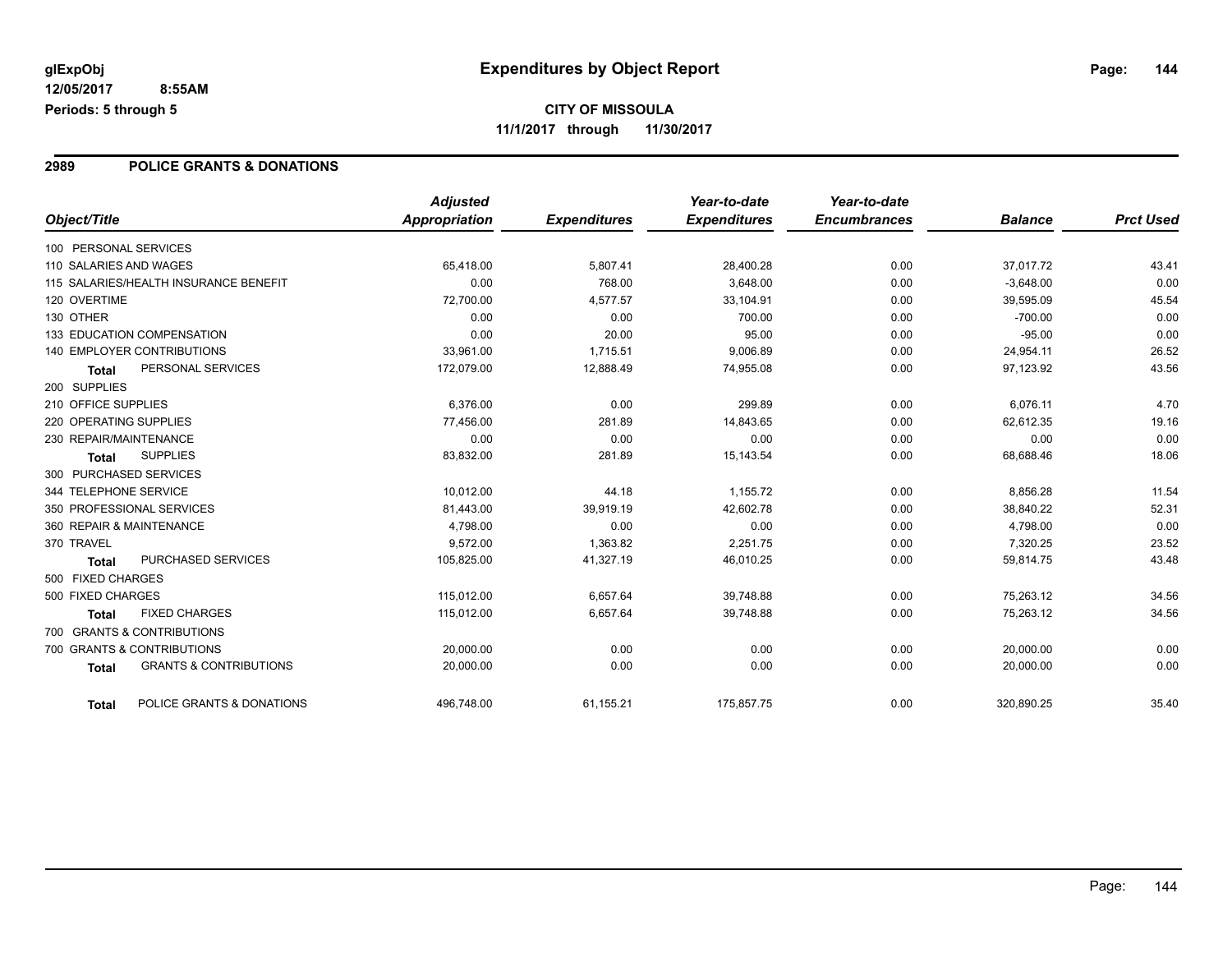#### **2989 POLICE GRANTS & DONATIONS**

| Object/Title                                      | <b>Adjusted</b>      | <b>Expenditures</b> | Year-to-date<br><b>Expenditures</b> | Year-to-date<br><b>Encumbrances</b> | <b>Balance</b> | <b>Prct Used</b> |
|---------------------------------------------------|----------------------|---------------------|-------------------------------------|-------------------------------------|----------------|------------------|
|                                                   | <b>Appropriation</b> |                     |                                     |                                     |                |                  |
| 100 PERSONAL SERVICES                             |                      |                     |                                     |                                     |                |                  |
| 110 SALARIES AND WAGES                            | 65,418.00            | 5,807.41            | 28,400.28                           | 0.00                                | 37,017.72      | 43.41            |
| 115 SALARIES/HEALTH INSURANCE BENEFIT             | 0.00                 | 768.00              | 3,648.00                            | 0.00                                | $-3,648.00$    | 0.00             |
| 120 OVERTIME                                      | 72,700.00            | 4.577.57            | 33,104.91                           | 0.00                                | 39,595.09      | 45.54            |
| 130 OTHER                                         | 0.00                 | 0.00                | 700.00                              | 0.00                                | $-700.00$      | 0.00             |
| 133 EDUCATION COMPENSATION                        | 0.00                 | 20.00               | 95.00                               | 0.00                                | $-95.00$       | 0.00             |
| <b>140 EMPLOYER CONTRIBUTIONS</b>                 | 33,961.00            | 1,715.51            | 9,006.89                            | 0.00                                | 24,954.11      | 26.52            |
| PERSONAL SERVICES<br><b>Total</b>                 | 172,079.00           | 12,888.49           | 74,955.08                           | 0.00                                | 97,123.92      | 43.56            |
| 200 SUPPLIES                                      |                      |                     |                                     |                                     |                |                  |
| 210 OFFICE SUPPLIES                               | 6,376.00             | 0.00                | 299.89                              | 0.00                                | 6,076.11       | 4.70             |
| 220 OPERATING SUPPLIES                            | 77,456.00            | 281.89              | 14,843.65                           | 0.00                                | 62,612.35      | 19.16            |
| 230 REPAIR/MAINTENANCE                            | 0.00                 | 0.00                | 0.00                                | 0.00                                | 0.00           | 0.00             |
| <b>SUPPLIES</b><br><b>Total</b>                   | 83,832.00            | 281.89              | 15,143.54                           | 0.00                                | 68,688.46      | 18.06            |
| 300 PURCHASED SERVICES                            |                      |                     |                                     |                                     |                |                  |
| 344 TELEPHONE SERVICE                             | 10,012.00            | 44.18               | 1,155.72                            | 0.00                                | 8,856.28       | 11.54            |
| 350 PROFESSIONAL SERVICES                         | 81,443.00            | 39,919.19           | 42,602.78                           | 0.00                                | 38.840.22      | 52.31            |
| 360 REPAIR & MAINTENANCE                          | 4,798.00             | 0.00                | 0.00                                | 0.00                                | 4,798.00       | 0.00             |
| 370 TRAVEL                                        | 9,572.00             | 1,363.82            | 2,251.75                            | 0.00                                | 7,320.25       | 23.52            |
| PURCHASED SERVICES<br><b>Total</b>                | 105,825.00           | 41,327.19           | 46,010.25                           | 0.00                                | 59,814.75      | 43.48            |
| 500 FIXED CHARGES                                 |                      |                     |                                     |                                     |                |                  |
| 500 FIXED CHARGES                                 | 115,012.00           | 6,657.64            | 39,748.88                           | 0.00                                | 75,263.12      | 34.56            |
| <b>FIXED CHARGES</b><br><b>Total</b>              | 115.012.00           | 6.657.64            | 39,748.88                           | 0.00                                | 75,263.12      | 34.56            |
| 700 GRANTS & CONTRIBUTIONS                        |                      |                     |                                     |                                     |                |                  |
| 700 GRANTS & CONTRIBUTIONS                        | 20,000.00            | 0.00                | 0.00                                | 0.00                                | 20,000.00      | 0.00             |
| <b>GRANTS &amp; CONTRIBUTIONS</b><br><b>Total</b> | 20,000.00            | 0.00                | 0.00                                | 0.00                                | 20,000.00      | 0.00             |
| POLICE GRANTS & DONATIONS<br><b>Total</b>         | 496,748.00           | 61,155.21           | 175,857.75                          | 0.00                                | 320,890.25     | 35.40            |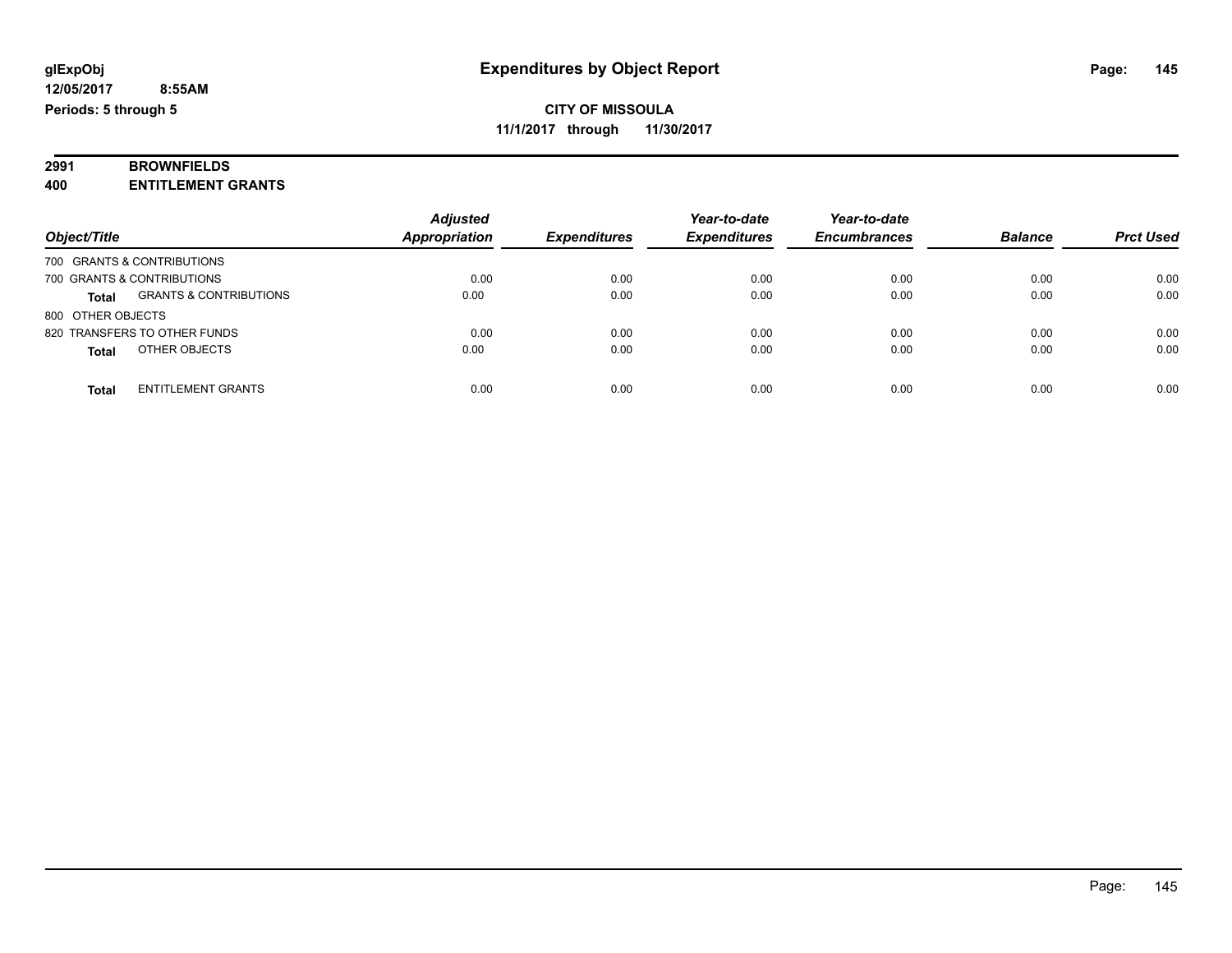#### **2991 BROWNFIELDS 400 ENTITLEMENT GRANTS**

|                                                   | <b>Adjusted</b>      |                     | Year-to-date        | Year-to-date        |                |                  |
|---------------------------------------------------|----------------------|---------------------|---------------------|---------------------|----------------|------------------|
| Object/Title                                      | <b>Appropriation</b> | <b>Expenditures</b> | <b>Expenditures</b> | <b>Encumbrances</b> | <b>Balance</b> | <b>Prct Used</b> |
| 700 GRANTS & CONTRIBUTIONS                        |                      |                     |                     |                     |                |                  |
| 700 GRANTS & CONTRIBUTIONS                        | 0.00                 | 0.00                | 0.00                | 0.00                | 0.00           | 0.00             |
| <b>GRANTS &amp; CONTRIBUTIONS</b><br><b>Total</b> | 0.00                 | 0.00                | 0.00                | 0.00                | 0.00           | 0.00             |
| 800 OTHER OBJECTS                                 |                      |                     |                     |                     |                |                  |
| 820 TRANSFERS TO OTHER FUNDS                      | 0.00                 | 0.00                | 0.00                | 0.00                | 0.00           | 0.00             |
| OTHER OBJECTS<br><b>Total</b>                     | 0.00                 | 0.00                | 0.00                | 0.00                | 0.00           | 0.00             |
| <b>ENTITLEMENT GRANTS</b><br>Total                | 0.00                 | 0.00                | 0.00                | 0.00                | 0.00           | 0.00             |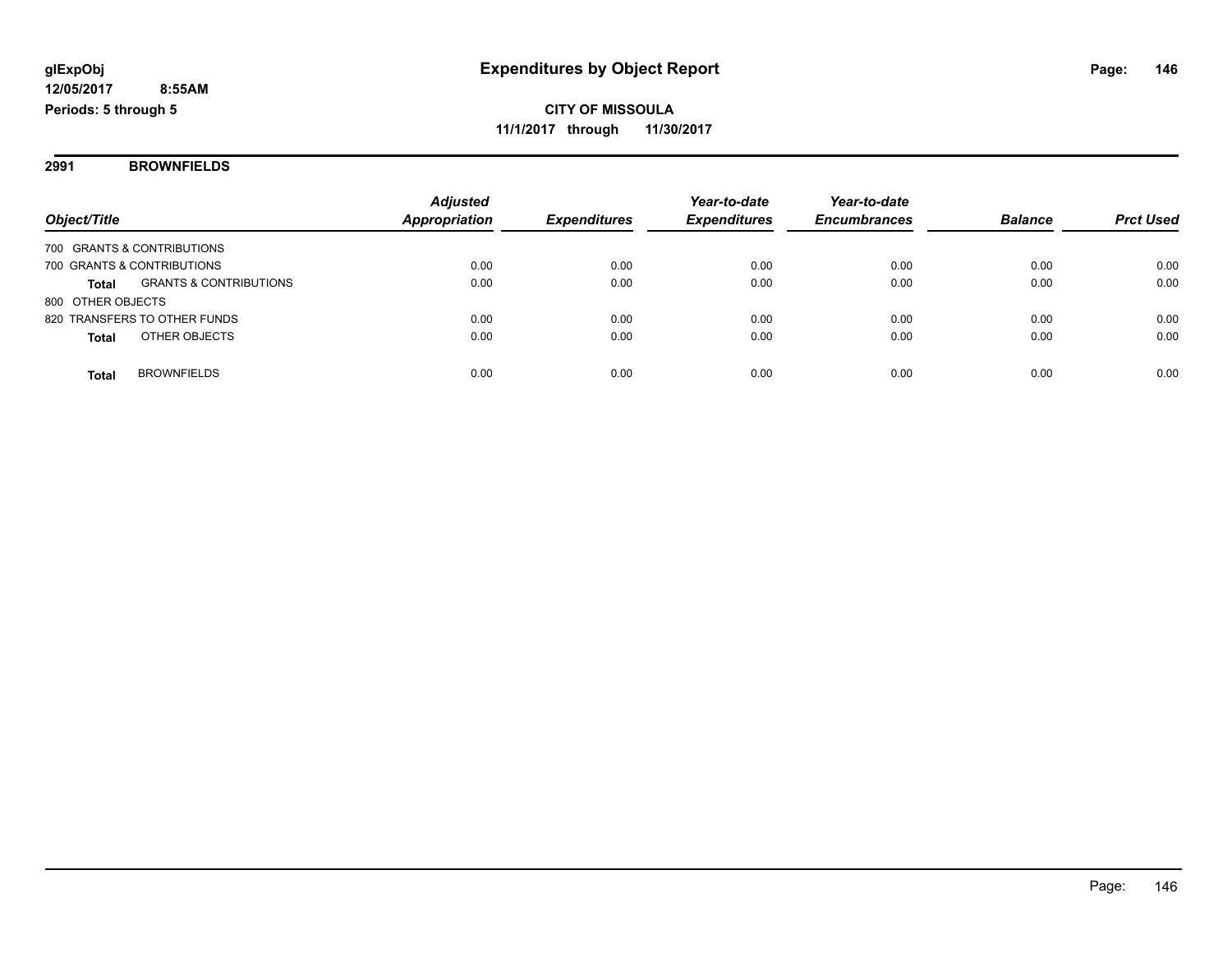**2991 BROWNFIELDS**

|                                                   | <b>Adjusted</b>      |                     | Year-to-date        | Year-to-date        |                |                  |
|---------------------------------------------------|----------------------|---------------------|---------------------|---------------------|----------------|------------------|
| Object/Title                                      | <b>Appropriation</b> | <b>Expenditures</b> | <b>Expenditures</b> | <b>Encumbrances</b> | <b>Balance</b> | <b>Prct Used</b> |
| 700 GRANTS & CONTRIBUTIONS                        |                      |                     |                     |                     |                |                  |
| 700 GRANTS & CONTRIBUTIONS                        | 0.00                 | 0.00                | 0.00                | 0.00                | 0.00           | 0.00             |
| <b>GRANTS &amp; CONTRIBUTIONS</b><br><b>Total</b> | 0.00                 | 0.00                | 0.00                | 0.00                | 0.00           | 0.00             |
| 800 OTHER OBJECTS                                 |                      |                     |                     |                     |                |                  |
| 820 TRANSFERS TO OTHER FUNDS                      | 0.00                 | 0.00                | 0.00                | 0.00                | 0.00           | 0.00             |
| OTHER OBJECTS<br><b>Total</b>                     | 0.00                 | 0.00                | 0.00                | 0.00                | 0.00           | 0.00             |
|                                                   |                      |                     |                     |                     |                |                  |
| <b>BROWNFIELDS</b><br>Total                       | 0.00                 | 0.00                | 0.00                | 0.00                | 0.00           | 0.00             |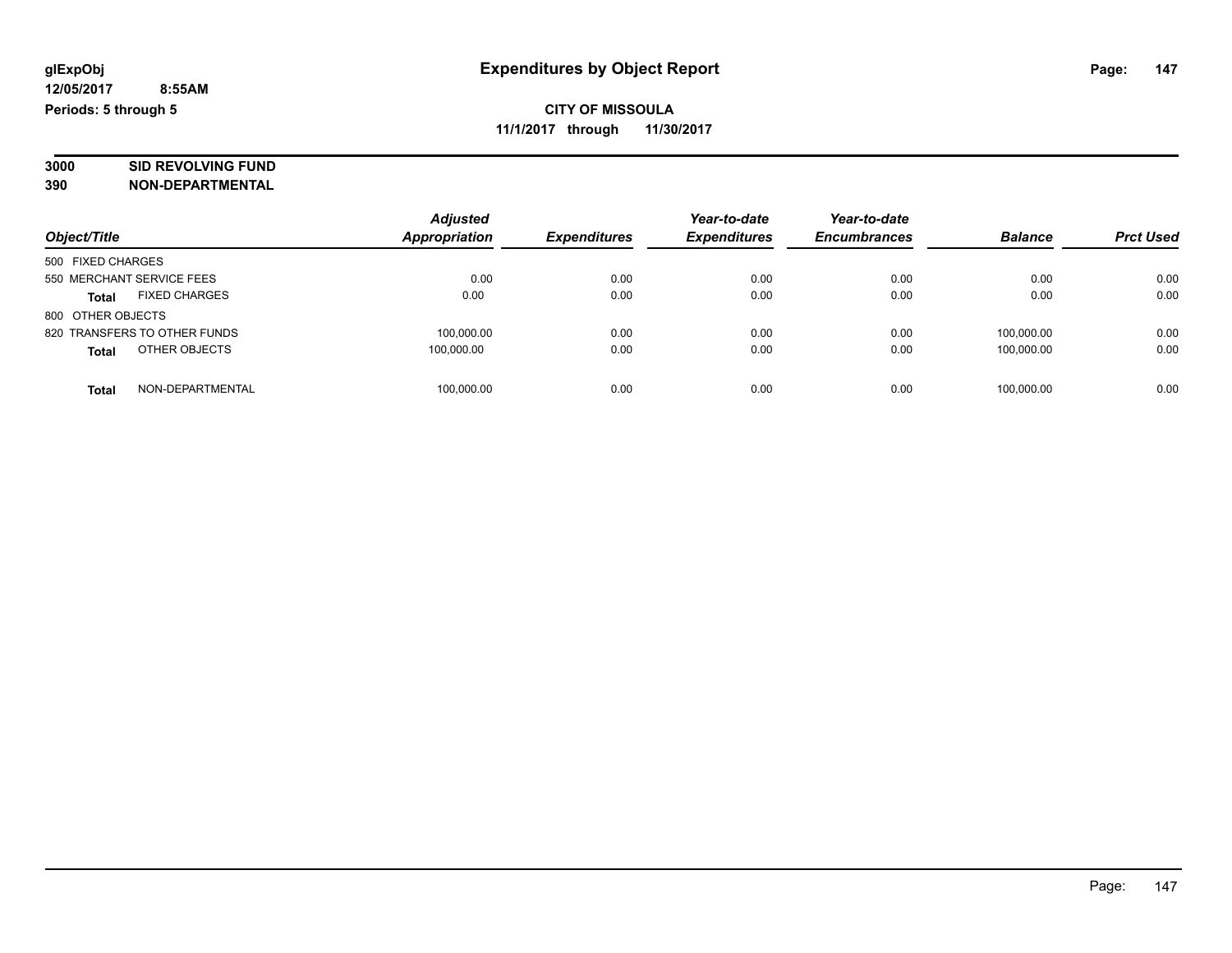# **3000 SID REVOLVING FUND**

| Object/Title                         | <b>Adjusted</b><br><b>Appropriation</b> | <b>Expenditures</b> | Year-to-date<br><b>Expenditures</b> | Year-to-date<br><b>Encumbrances</b> | <b>Balance</b> | <b>Prct Used</b> |
|--------------------------------------|-----------------------------------------|---------------------|-------------------------------------|-------------------------------------|----------------|------------------|
| 500 FIXED CHARGES                    |                                         |                     |                                     |                                     |                |                  |
| 550 MERCHANT SERVICE FEES            | 0.00                                    | 0.00                | 0.00                                | 0.00                                | 0.00           | 0.00             |
| <b>FIXED CHARGES</b><br><b>Total</b> | 0.00                                    | 0.00                | 0.00                                | 0.00                                | 0.00           | 0.00             |
| 800 OTHER OBJECTS                    |                                         |                     |                                     |                                     |                |                  |
| 820 TRANSFERS TO OTHER FUNDS         | 100,000.00                              | 0.00                | 0.00                                | 0.00                                | 100.000.00     | 0.00             |
| OTHER OBJECTS<br><b>Total</b>        | 100.000.00                              | 0.00                | 0.00                                | 0.00                                | 100,000.00     | 0.00             |
| NON-DEPARTMENTAL<br>Total            | 100,000.00                              | 0.00                | 0.00                                | 0.00                                | 100.000.00     | 0.00             |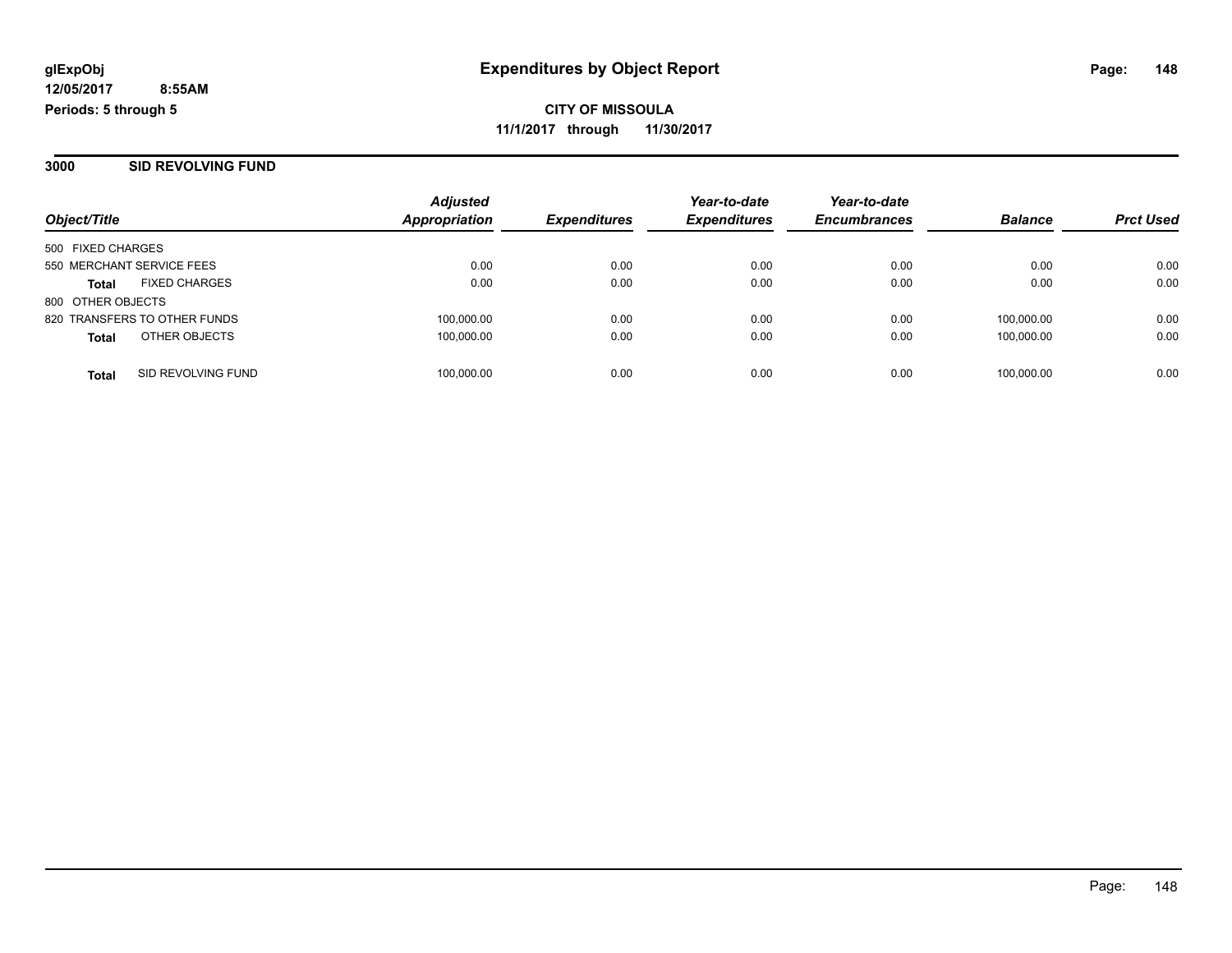**3000 SID REVOLVING FUND**

|                           |                              | <b>Adjusted</b>     |                     | Year-to-date        | Year-to-date   |                  |      |
|---------------------------|------------------------------|---------------------|---------------------|---------------------|----------------|------------------|------|
| Object/Title              | <b>Appropriation</b>         | <b>Expenditures</b> | <b>Expenditures</b> | <b>Encumbrances</b> | <b>Balance</b> | <b>Prct Used</b> |      |
| 500 FIXED CHARGES         |                              |                     |                     |                     |                |                  |      |
| 550 MERCHANT SERVICE FEES |                              | 0.00                | 0.00                | 0.00                | 0.00           | 0.00             | 0.00 |
| <b>Total</b>              | <b>FIXED CHARGES</b>         | 0.00                | 0.00                | 0.00                | 0.00           | 0.00             | 0.00 |
| 800 OTHER OBJECTS         |                              |                     |                     |                     |                |                  |      |
|                           | 820 TRANSFERS TO OTHER FUNDS | 100,000.00          | 0.00                | 0.00                | 0.00           | 100.000.00       | 0.00 |
| <b>Total</b>              | OTHER OBJECTS                | 100,000.00          | 0.00                | 0.00                | 0.00           | 100.000.00       | 0.00 |
| <b>Total</b>              | SID REVOLVING FUND           | 100,000.00          | 0.00                | 0.00                | 0.00           | 100,000.00       | 0.00 |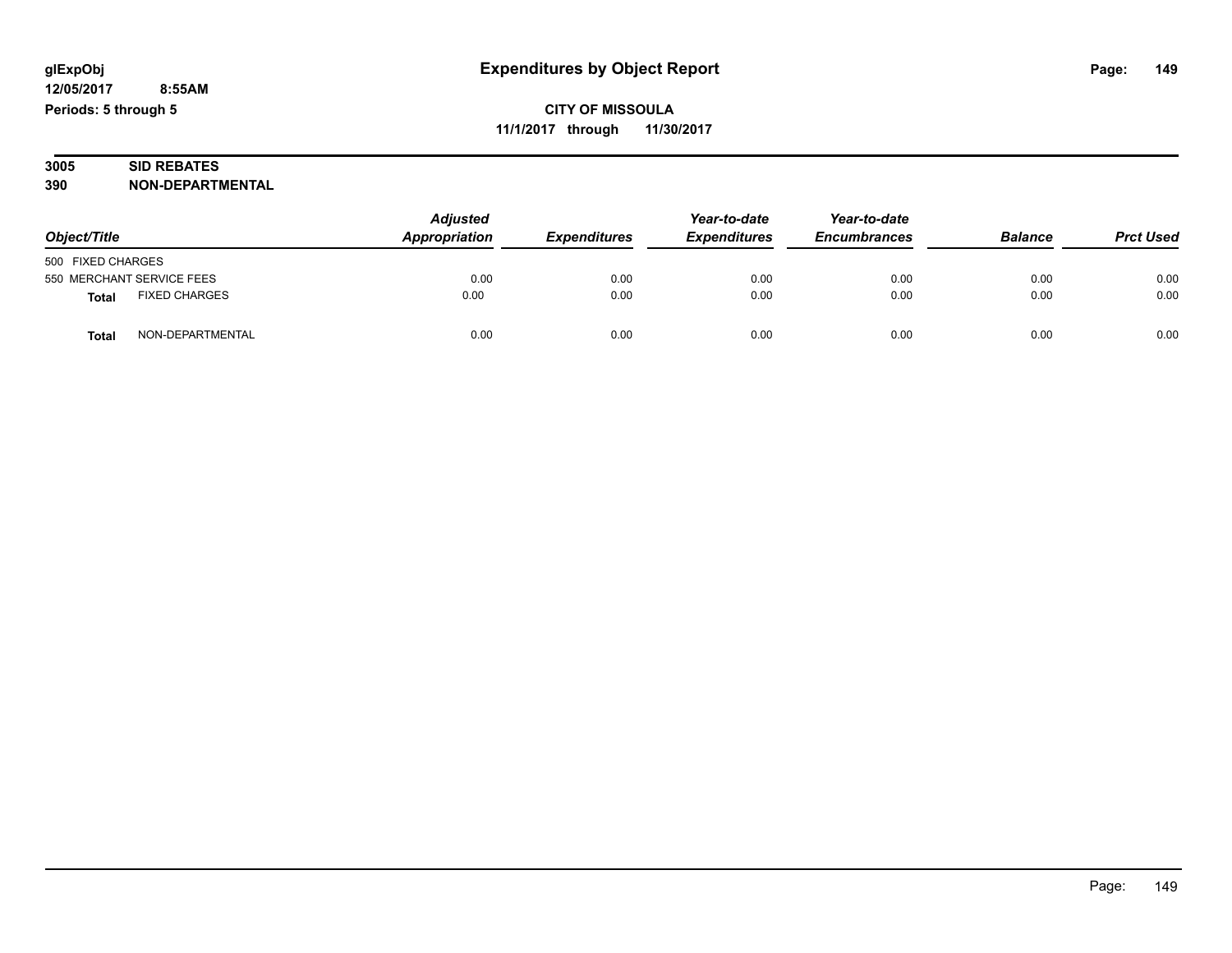#### **3005 SID REBATES 390 NON-DEPARTMENTAL**

| Object/Title                         | <b>Adjusted</b><br>Appropriation | <b>Expenditures</b> | Year-to-date<br><b>Expenditures</b> | Year-to-date<br><b>Encumbrances</b> | <b>Balance</b> | <b>Prct Used</b> |
|--------------------------------------|----------------------------------|---------------------|-------------------------------------|-------------------------------------|----------------|------------------|
| 500 FIXED CHARGES                    |                                  |                     |                                     |                                     |                |                  |
| 550 MERCHANT SERVICE FEES            | 0.00                             | 0.00                | 0.00                                | 0.00                                | 0.00           | 0.00             |
| <b>FIXED CHARGES</b><br><b>Total</b> | 0.00                             | 0.00                | 0.00                                | 0.00                                | 0.00           | 0.00             |
| NON-DEPARTMENTAL<br><b>Total</b>     | 0.00                             | 0.00                | 0.00                                | 0.00                                | 0.00           | 0.00             |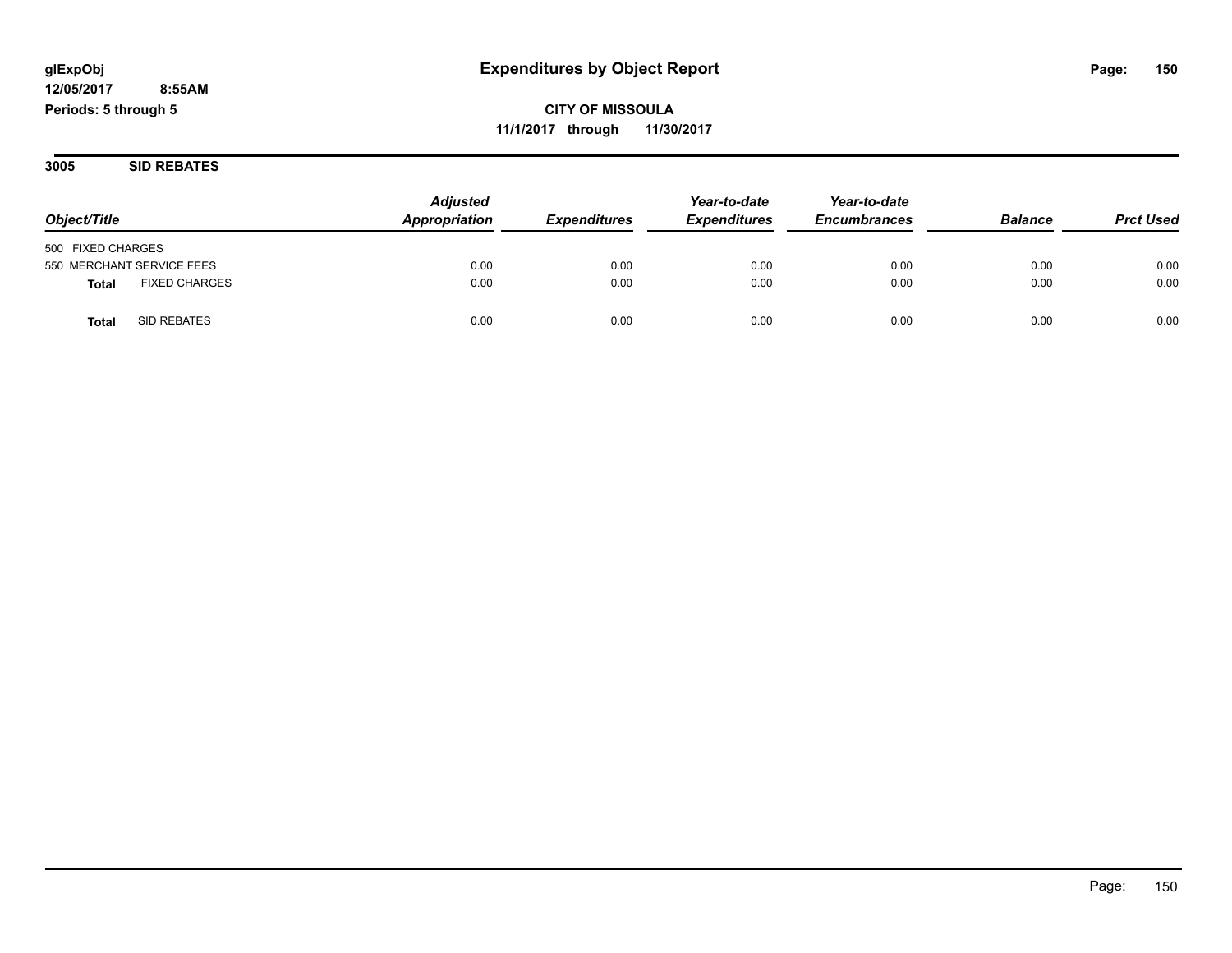**3005 SID REBATES**

|                                      | <b>Adjusted</b> |                            | Year-to-date        | Year-to-date        | <b>Balance</b> | <b>Prct Used</b> |
|--------------------------------------|-----------------|----------------------------|---------------------|---------------------|----------------|------------------|
| Object/Title                         | Appropriation   | <i><b>Expenditures</b></i> | <b>Expenditures</b> | <b>Encumbrances</b> |                |                  |
| 500 FIXED CHARGES                    |                 |                            |                     |                     |                |                  |
| 550 MERCHANT SERVICE FEES            | 0.00            | 0.00                       | 0.00                | 0.00                | 0.00           | 0.00             |
| <b>FIXED CHARGES</b><br><b>Total</b> | 0.00            | 0.00                       | 0.00                | 0.00                | 0.00           | 0.00             |
| SID REBATES<br>Total                 | 0.00            | 0.00                       | 0.00                | 0.00                | 0.00           | 0.00             |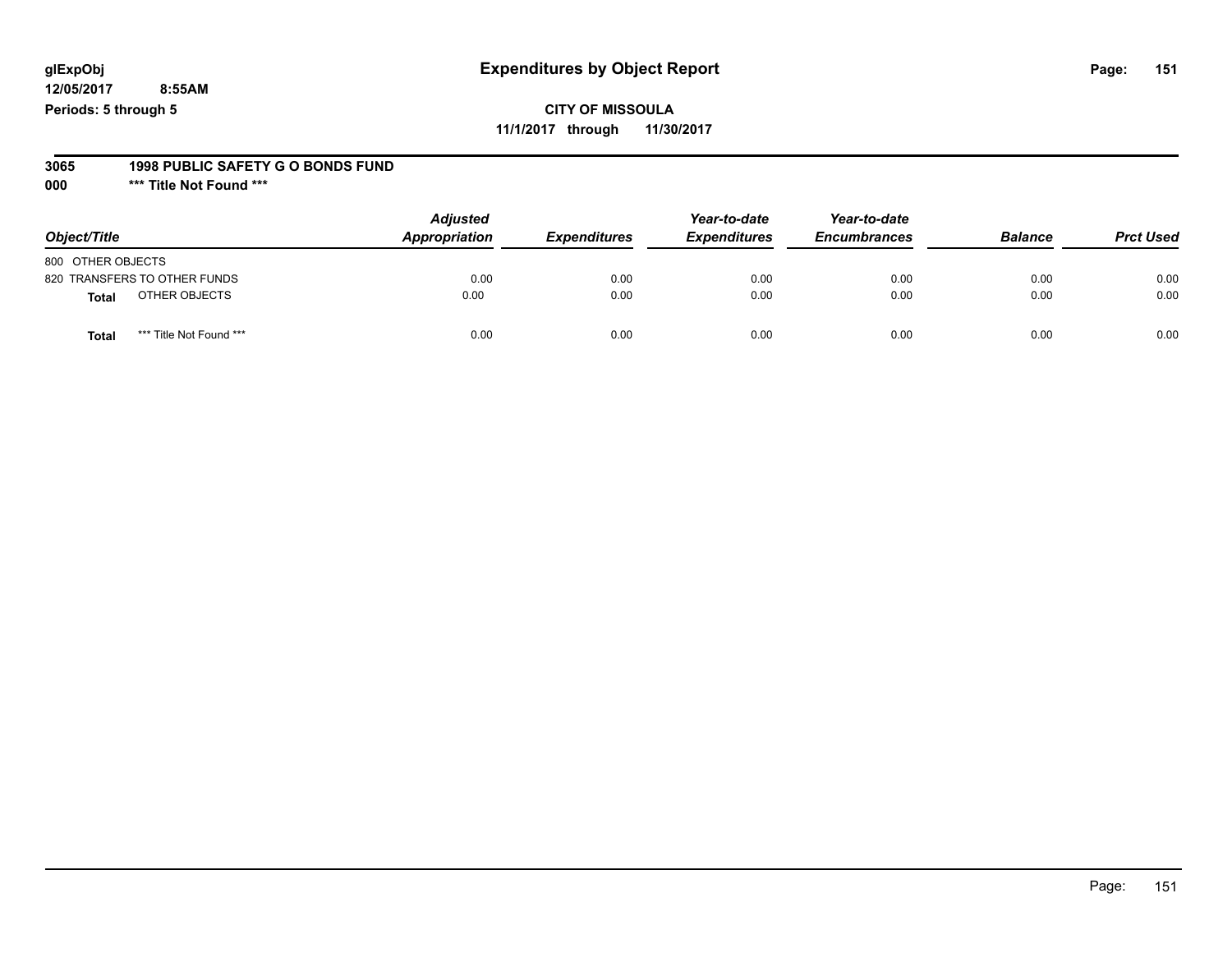#### **glExpObj Expenditures by Object Report Page: 151**

**12/05/2017 8:55AM Periods: 5 through 5**

#### **3065 1998 PUBLIC SAFETY G O BONDS FUND**

**000 \*\*\* Title Not Found \*\*\***

| Object/Title                            | <b>Adjusted</b><br>Appropriation | <b>Expenditures</b> | Year-to-date<br><b>Expenditures</b> | Year-to-date<br><b>Encumbrances</b> | <b>Balance</b> | <b>Prct Used</b> |
|-----------------------------------------|----------------------------------|---------------------|-------------------------------------|-------------------------------------|----------------|------------------|
| 800 OTHER OBJECTS                       |                                  |                     |                                     |                                     |                |                  |
| 820 TRANSFERS TO OTHER FUNDS            | 0.00                             | 0.00                | 0.00                                | 0.00                                | 0.00           | 0.00             |
| OTHER OBJECTS<br>Total                  | 0.00                             | 0.00                | 0.00                                | 0.00                                | 0.00           | 0.00             |
| *** Title Not Found ***<br><b>Total</b> | 0.00                             | 0.00                | 0.00                                | 0.00                                | 0.00           | 0.00             |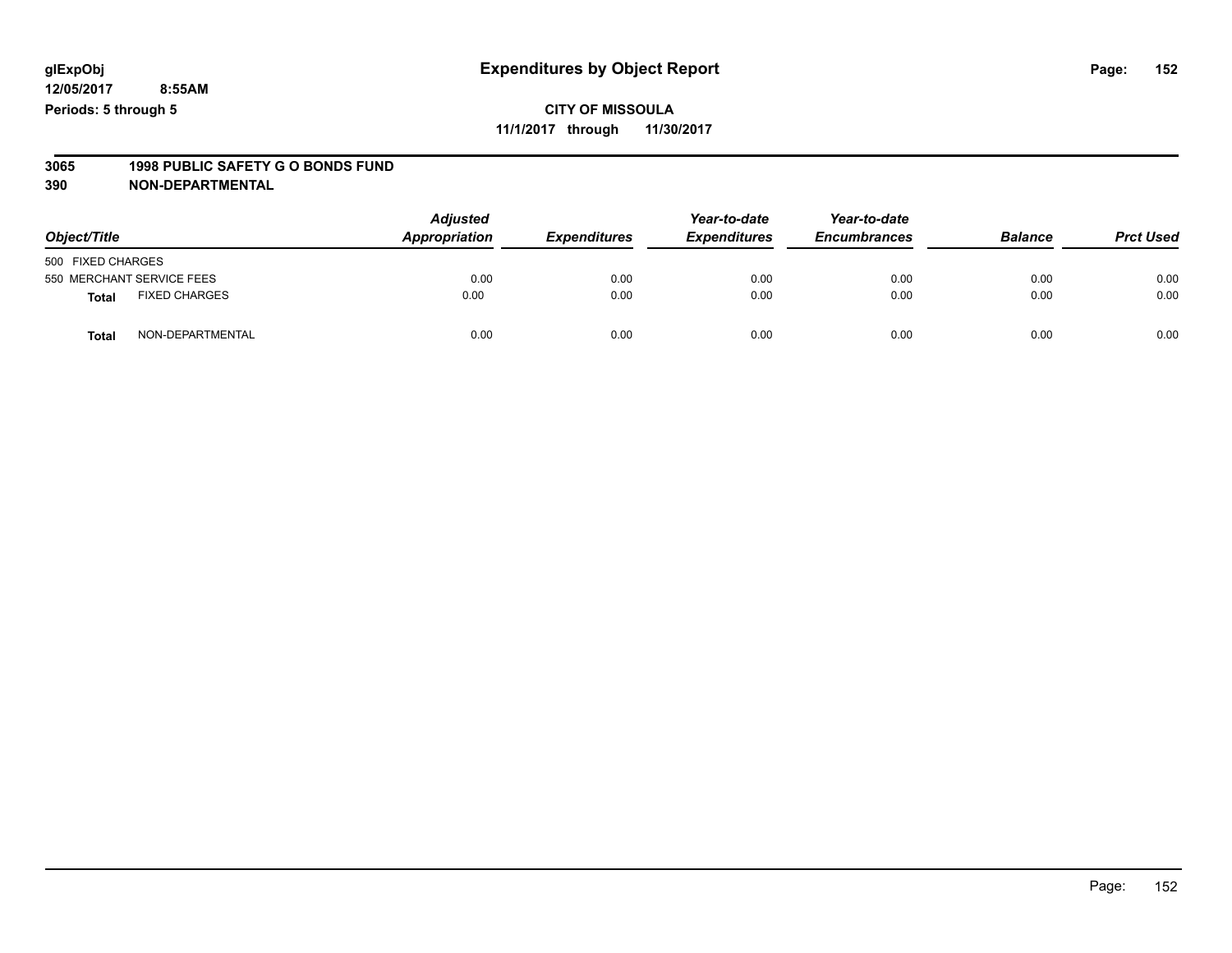#### **CITY OF MISSOULA 11/1/2017 through 11/30/2017**

# **3065 1998 PUBLIC SAFETY G O BONDS FUND**

| Object/Title      |                           | <b>Adjusted</b><br>Appropriation | <b>Expenditures</b> | Year-to-date<br><b>Expenditures</b> | Year-to-date<br><b>Encumbrances</b> | <b>Balance</b> | <b>Prct Used</b> |
|-------------------|---------------------------|----------------------------------|---------------------|-------------------------------------|-------------------------------------|----------------|------------------|
| 500 FIXED CHARGES |                           |                                  |                     |                                     |                                     |                |                  |
|                   | 550 MERCHANT SERVICE FEES | 0.00                             | 0.00                | 0.00                                | 0.00                                | 0.00           | 0.00             |
| <b>Total</b>      | <b>FIXED CHARGES</b>      | 0.00                             | 0.00                | 0.00                                | 0.00                                | 0.00           | 0.00             |
| Total             | NON-DEPARTMENTAL          | 0.00                             | 0.00                | 0.00                                | 0.00                                | 0.00           | 0.00             |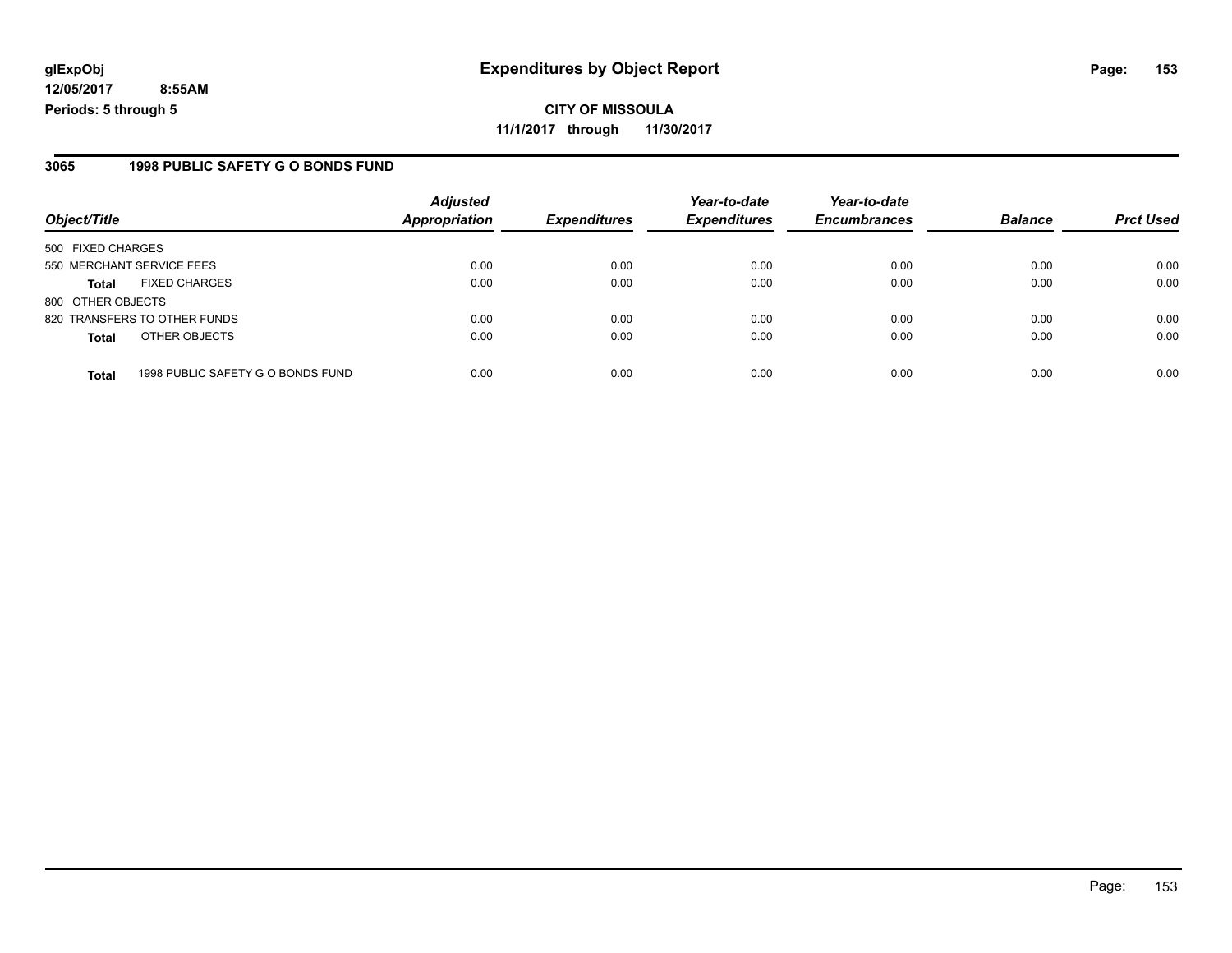#### **3065 1998 PUBLIC SAFETY G O BONDS FUND**

| Object/Title                                      | <b>Adjusted</b><br><b>Appropriation</b> | <b>Expenditures</b> | Year-to-date<br><b>Expenditures</b> | Year-to-date<br><b>Encumbrances</b> | <b>Balance</b> | <b>Prct Used</b> |
|---------------------------------------------------|-----------------------------------------|---------------------|-------------------------------------|-------------------------------------|----------------|------------------|
|                                                   |                                         |                     |                                     |                                     |                |                  |
| 500 FIXED CHARGES                                 |                                         |                     |                                     |                                     |                |                  |
| 550 MERCHANT SERVICE FEES                         | 0.00                                    | 0.00                | 0.00                                | 0.00                                | 0.00           | 0.00             |
| <b>FIXED CHARGES</b><br><b>Total</b>              | 0.00                                    | 0.00                | 0.00                                | 0.00                                | 0.00           | 0.00             |
| 800 OTHER OBJECTS                                 |                                         |                     |                                     |                                     |                |                  |
| 820 TRANSFERS TO OTHER FUNDS                      | 0.00                                    | 0.00                | 0.00                                | 0.00                                | 0.00           | 0.00             |
| OTHER OBJECTS<br><b>Total</b>                     | 0.00                                    | 0.00                | 0.00                                | 0.00                                | 0.00           | 0.00             |
|                                                   |                                         |                     |                                     |                                     |                | 0.00             |
| 1998 PUBLIC SAFETY G O BONDS FUND<br><b>Total</b> | 0.00                                    | 0.00                | 0.00                                | 0.00                                | 0.00           |                  |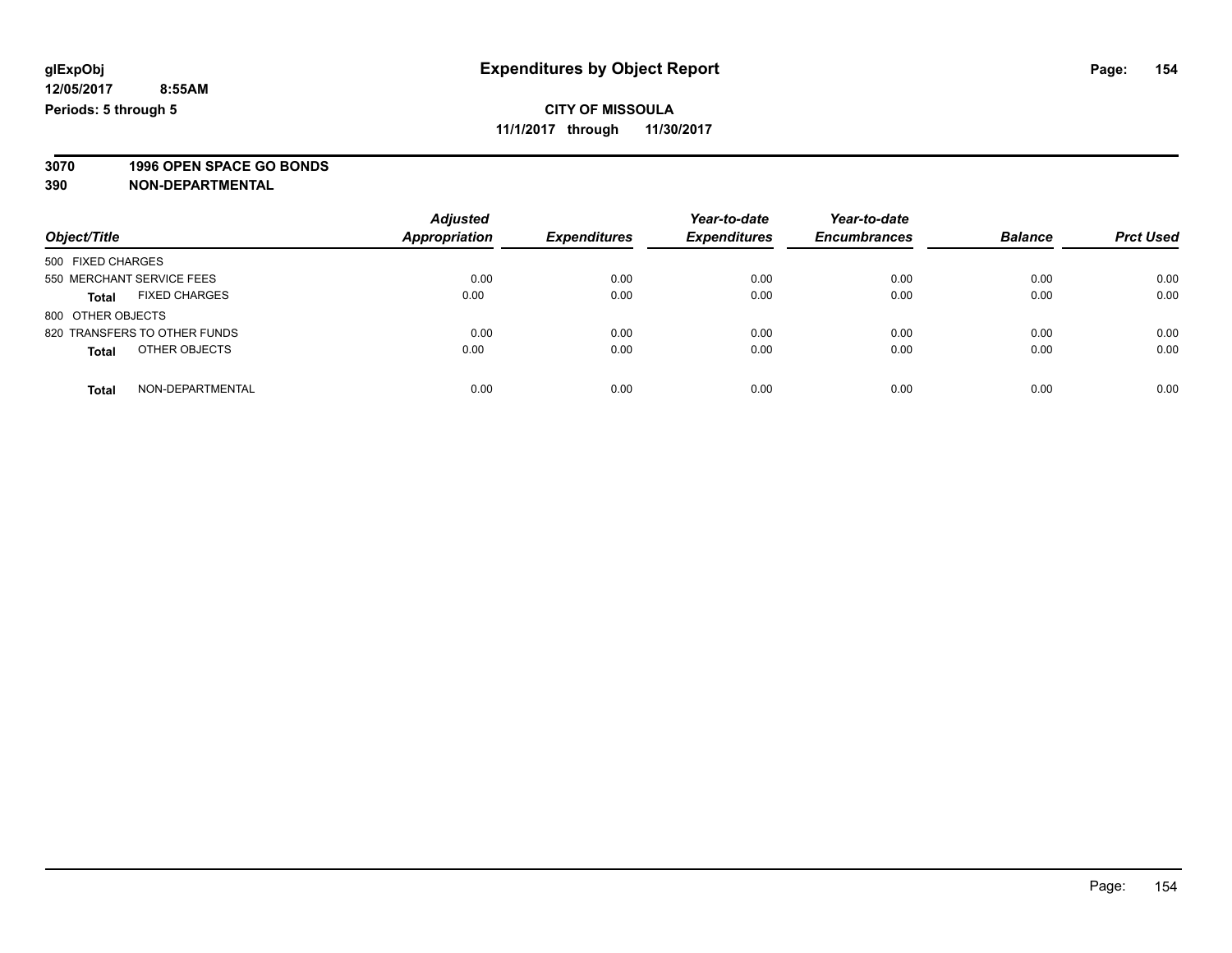**3070 1996 OPEN SPACE GO BONDS**

| Object/Title                         | <b>Adjusted</b><br><b>Appropriation</b> | <b>Expenditures</b> | Year-to-date<br><b>Expenditures</b> | Year-to-date<br><b>Encumbrances</b> | <b>Balance</b> | <b>Prct Used</b> |
|--------------------------------------|-----------------------------------------|---------------------|-------------------------------------|-------------------------------------|----------------|------------------|
| 500 FIXED CHARGES                    |                                         |                     |                                     |                                     |                |                  |
| 550 MERCHANT SERVICE FEES            | 0.00                                    | 0.00                | 0.00                                | 0.00                                | 0.00           | 0.00             |
| <b>FIXED CHARGES</b><br><b>Total</b> | 0.00                                    | 0.00                | 0.00                                | 0.00                                | 0.00           | 0.00             |
| 800 OTHER OBJECTS                    |                                         |                     |                                     |                                     |                |                  |
| 820 TRANSFERS TO OTHER FUNDS         | 0.00                                    | 0.00                | 0.00                                | 0.00                                | 0.00           | 0.00             |
| OTHER OBJECTS<br><b>Total</b>        | 0.00                                    | 0.00                | 0.00                                | 0.00                                | 0.00           | 0.00             |
| NON-DEPARTMENTAL<br>Total            | 0.00                                    | 0.00                | 0.00                                | 0.00                                | 0.00           | 0.00             |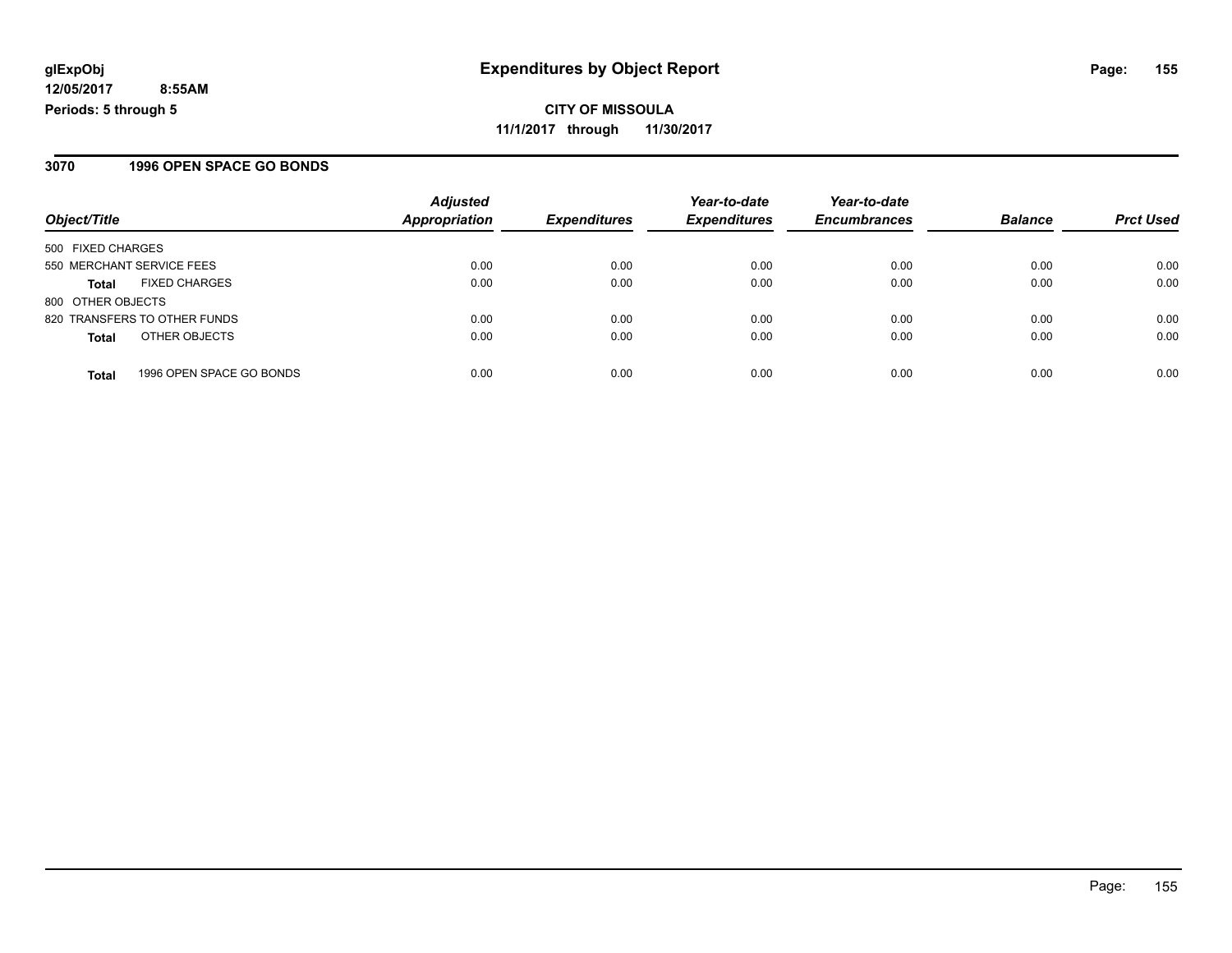#### **3070 1996 OPEN SPACE GO BONDS**

|                                          | <b>Adjusted</b>      |                     | Year-to-date        | Year-to-date        |                |                  |
|------------------------------------------|----------------------|---------------------|---------------------|---------------------|----------------|------------------|
| Object/Title                             | <b>Appropriation</b> | <b>Expenditures</b> | <b>Expenditures</b> | <b>Encumbrances</b> | <b>Balance</b> | <b>Prct Used</b> |
| 500 FIXED CHARGES                        |                      |                     |                     |                     |                |                  |
| 550 MERCHANT SERVICE FEES                | 0.00                 | 0.00                | 0.00                | 0.00                | 0.00           | 0.00             |
| <b>FIXED CHARGES</b><br><b>Total</b>     | 0.00                 | 0.00                | 0.00                | 0.00                | 0.00           | 0.00             |
| 800 OTHER OBJECTS                        |                      |                     |                     |                     |                |                  |
| 820 TRANSFERS TO OTHER FUNDS             | 0.00                 | 0.00                | 0.00                | 0.00                | 0.00           | 0.00             |
| OTHER OBJECTS<br><b>Total</b>            | 0.00                 | 0.00                | 0.00                | 0.00                | 0.00           | 0.00             |
| 1996 OPEN SPACE GO BONDS<br><b>Total</b> | 0.00                 | 0.00                | 0.00                | 0.00                | 0.00           | 0.00             |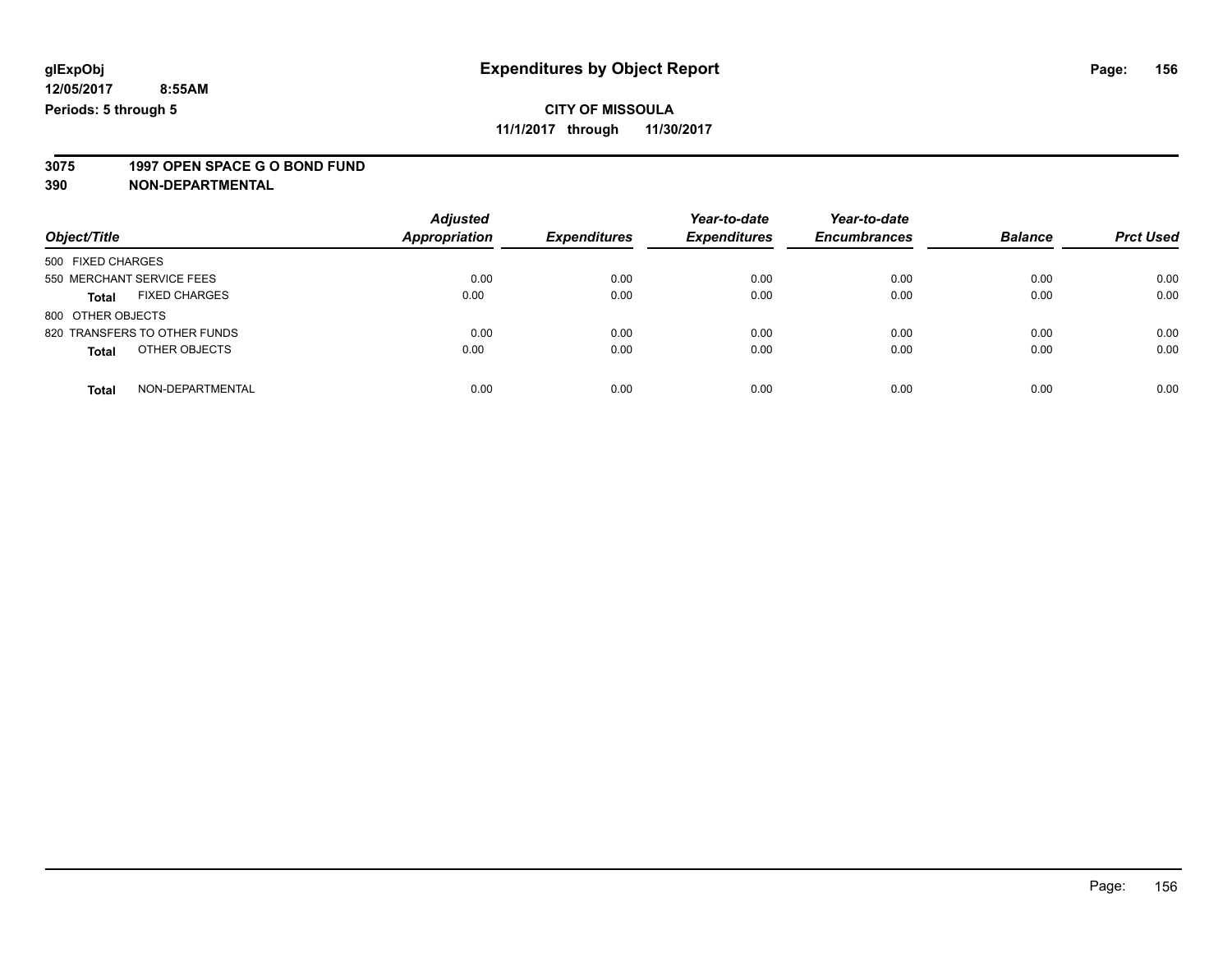### **CITY OF MISSOULA**

**11/1/2017 through 11/30/2017**

# **3075 1997 OPEN SPACE G O BOND FUND**

|                                      | <b>Adjusted</b> |                     | Year-to-date        | Year-to-date        |                |                  |
|--------------------------------------|-----------------|---------------------|---------------------|---------------------|----------------|------------------|
| Object/Title                         | Appropriation   | <b>Expenditures</b> | <b>Expenditures</b> | <b>Encumbrances</b> | <b>Balance</b> | <b>Prct Used</b> |
| 500 FIXED CHARGES                    |                 |                     |                     |                     |                |                  |
| 550 MERCHANT SERVICE FEES            | 0.00            | 0.00                | 0.00                | 0.00                | 0.00           | 0.00             |
| <b>FIXED CHARGES</b><br><b>Total</b> | 0.00            | 0.00                | 0.00                | 0.00                | 0.00           | 0.00             |
| 800 OTHER OBJECTS                    |                 |                     |                     |                     |                |                  |
| 820 TRANSFERS TO OTHER FUNDS         | 0.00            | 0.00                | 0.00                | 0.00                | 0.00           | 0.00             |
| OTHER OBJECTS<br><b>Total</b>        | 0.00            | 0.00                | 0.00                | 0.00                | 0.00           | 0.00             |
| NON-DEPARTMENTAL<br><b>Total</b>     | 0.00            | 0.00                | 0.00                | 0.00                | 0.00           | 0.00             |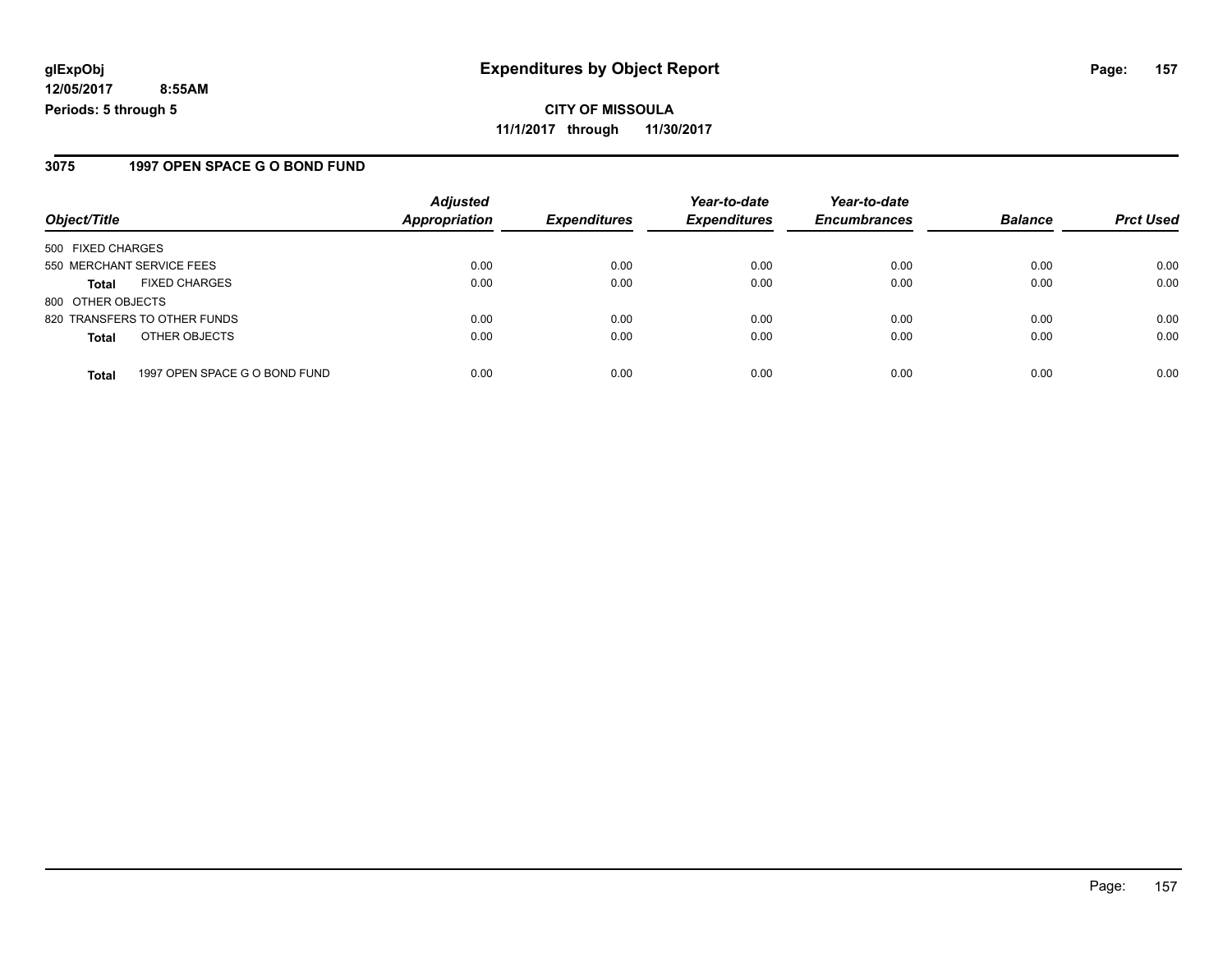#### **CITY OF MISSOULA 11/1/2017 through 11/30/2017**

#### **3075 1997 OPEN SPACE G O BOND FUND**

|                                               | <b>Adjusted</b> | <b>Expenditures</b> | Year-to-date<br><b>Expenditures</b> | Year-to-date        | <b>Balance</b> |                  |
|-----------------------------------------------|-----------------|---------------------|-------------------------------------|---------------------|----------------|------------------|
| Object/Title                                  | Appropriation   |                     |                                     | <b>Encumbrances</b> |                | <b>Prct Used</b> |
| 500 FIXED CHARGES                             |                 |                     |                                     |                     |                |                  |
| 550 MERCHANT SERVICE FEES                     | 0.00            | 0.00                | 0.00                                | 0.00                | 0.00           | 0.00             |
| <b>FIXED CHARGES</b><br><b>Total</b>          | 0.00            | 0.00                | 0.00                                | 0.00                | 0.00           | 0.00             |
| 800 OTHER OBJECTS                             |                 |                     |                                     |                     |                |                  |
| 820 TRANSFERS TO OTHER FUNDS                  | 0.00            | 0.00                | 0.00                                | 0.00                | 0.00           | 0.00             |
| OTHER OBJECTS<br><b>Total</b>                 | 0.00            | 0.00                | 0.00                                | 0.00                | 0.00           | 0.00             |
| 1997 OPEN SPACE G O BOND FUND<br><b>Total</b> | 0.00            | 0.00                | 0.00                                | 0.00                | 0.00           | 0.00             |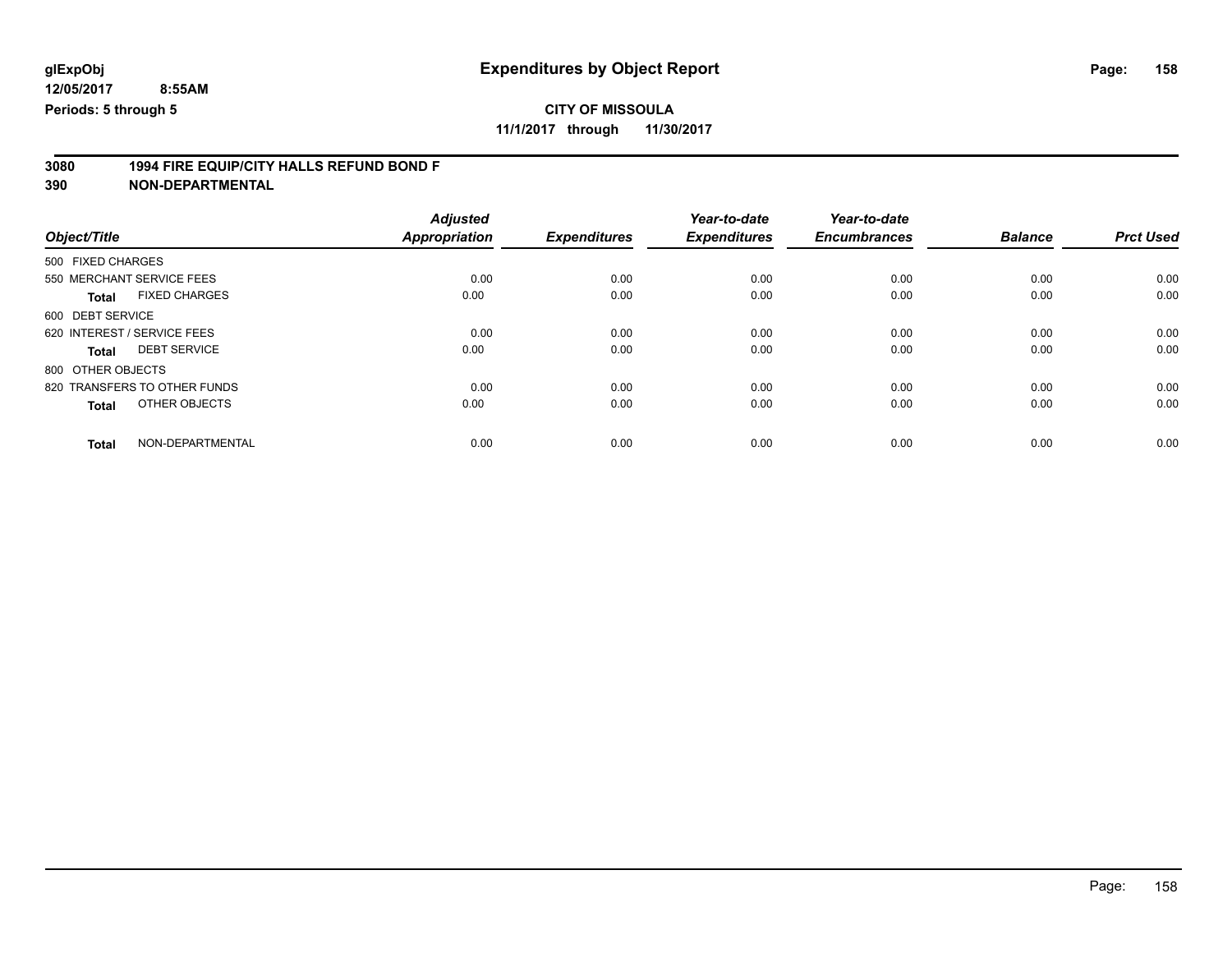### **CITY OF MISSOULA**

**11/1/2017 through 11/30/2017**

# **3080 1994 FIRE EQUIP/CITY HALLS REFUND BOND F**

|                                      | <b>Adjusted</b>      |                     | Year-to-date        | Year-to-date        |                |                  |
|--------------------------------------|----------------------|---------------------|---------------------|---------------------|----------------|------------------|
| Object/Title                         | <b>Appropriation</b> | <b>Expenditures</b> | <b>Expenditures</b> | <b>Encumbrances</b> | <b>Balance</b> | <b>Prct Used</b> |
| 500 FIXED CHARGES                    |                      |                     |                     |                     |                |                  |
| 550 MERCHANT SERVICE FEES            | 0.00                 | 0.00                | 0.00                | 0.00                | 0.00           | 0.00             |
| <b>FIXED CHARGES</b><br><b>Total</b> | 0.00                 | 0.00                | 0.00                | 0.00                | 0.00           | 0.00             |
| 600 DEBT SERVICE                     |                      |                     |                     |                     |                |                  |
| 620 INTEREST / SERVICE FEES          | 0.00                 | 0.00                | 0.00                | 0.00                | 0.00           | 0.00             |
| <b>DEBT SERVICE</b><br>Total         | 0.00                 | 0.00                | 0.00                | 0.00                | 0.00           | 0.00             |
| 800 OTHER OBJECTS                    |                      |                     |                     |                     |                |                  |
| 820 TRANSFERS TO OTHER FUNDS         | 0.00                 | 0.00                | 0.00                | 0.00                | 0.00           | 0.00             |
| OTHER OBJECTS<br><b>Total</b>        | 0.00                 | 0.00                | 0.00                | 0.00                | 0.00           | 0.00             |
| NON-DEPARTMENTAL<br><b>Total</b>     | 0.00                 | 0.00                | 0.00                | 0.00                | 0.00           | 0.00             |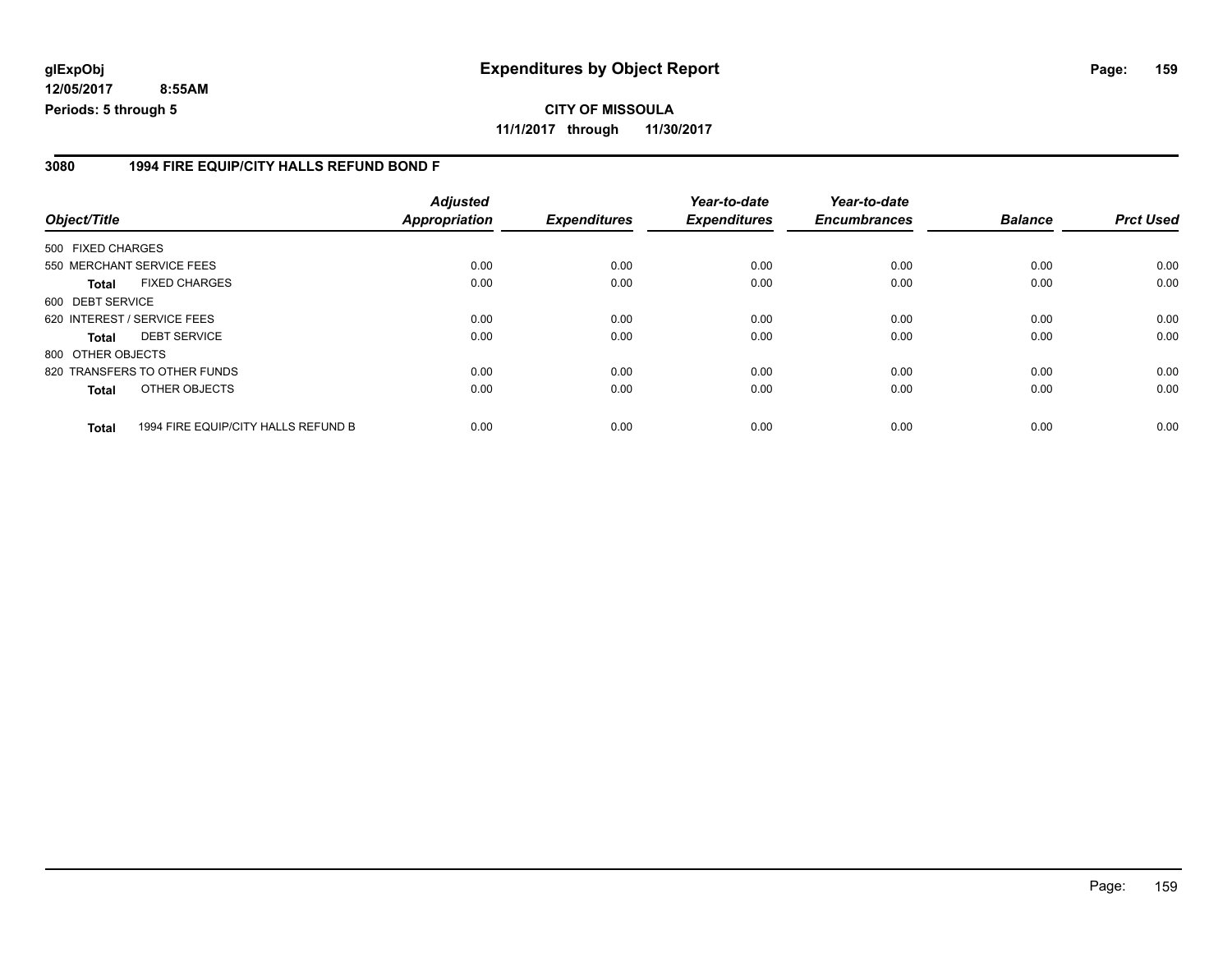#### **3080 1994 FIRE EQUIP/CITY HALLS REFUND BOND F**

| Object/Title      |                                     | <b>Adjusted</b><br><b>Appropriation</b> | <b>Expenditures</b> | Year-to-date<br><b>Expenditures</b> | Year-to-date<br><b>Encumbrances</b> | <b>Balance</b> | <b>Prct Used</b> |
|-------------------|-------------------------------------|-----------------------------------------|---------------------|-------------------------------------|-------------------------------------|----------------|------------------|
| 500 FIXED CHARGES |                                     |                                         |                     |                                     |                                     |                |                  |
|                   | 550 MERCHANT SERVICE FEES           | 0.00                                    | 0.00                | 0.00                                | 0.00                                | 0.00           | 0.00             |
| Total             | <b>FIXED CHARGES</b>                | 0.00                                    | 0.00                | 0.00                                | 0.00                                | 0.00           | 0.00             |
| 600 DEBT SERVICE  |                                     |                                         |                     |                                     |                                     |                |                  |
|                   | 620 INTEREST / SERVICE FEES         | 0.00                                    | 0.00                | 0.00                                | 0.00                                | 0.00           | 0.00             |
| <b>Total</b>      | <b>DEBT SERVICE</b>                 | 0.00                                    | 0.00                | 0.00                                | 0.00                                | 0.00           | 0.00             |
| 800 OTHER OBJECTS |                                     |                                         |                     |                                     |                                     |                |                  |
|                   | 820 TRANSFERS TO OTHER FUNDS        | 0.00                                    | 0.00                | 0.00                                | 0.00                                | 0.00           | 0.00             |
| <b>Total</b>      | OTHER OBJECTS                       | 0.00                                    | 0.00                | 0.00                                | 0.00                                | 0.00           | 0.00             |
| <b>Total</b>      | 1994 FIRE EQUIP/CITY HALLS REFUND B | 0.00                                    | 0.00                | 0.00                                | 0.00                                | 0.00           | 0.00             |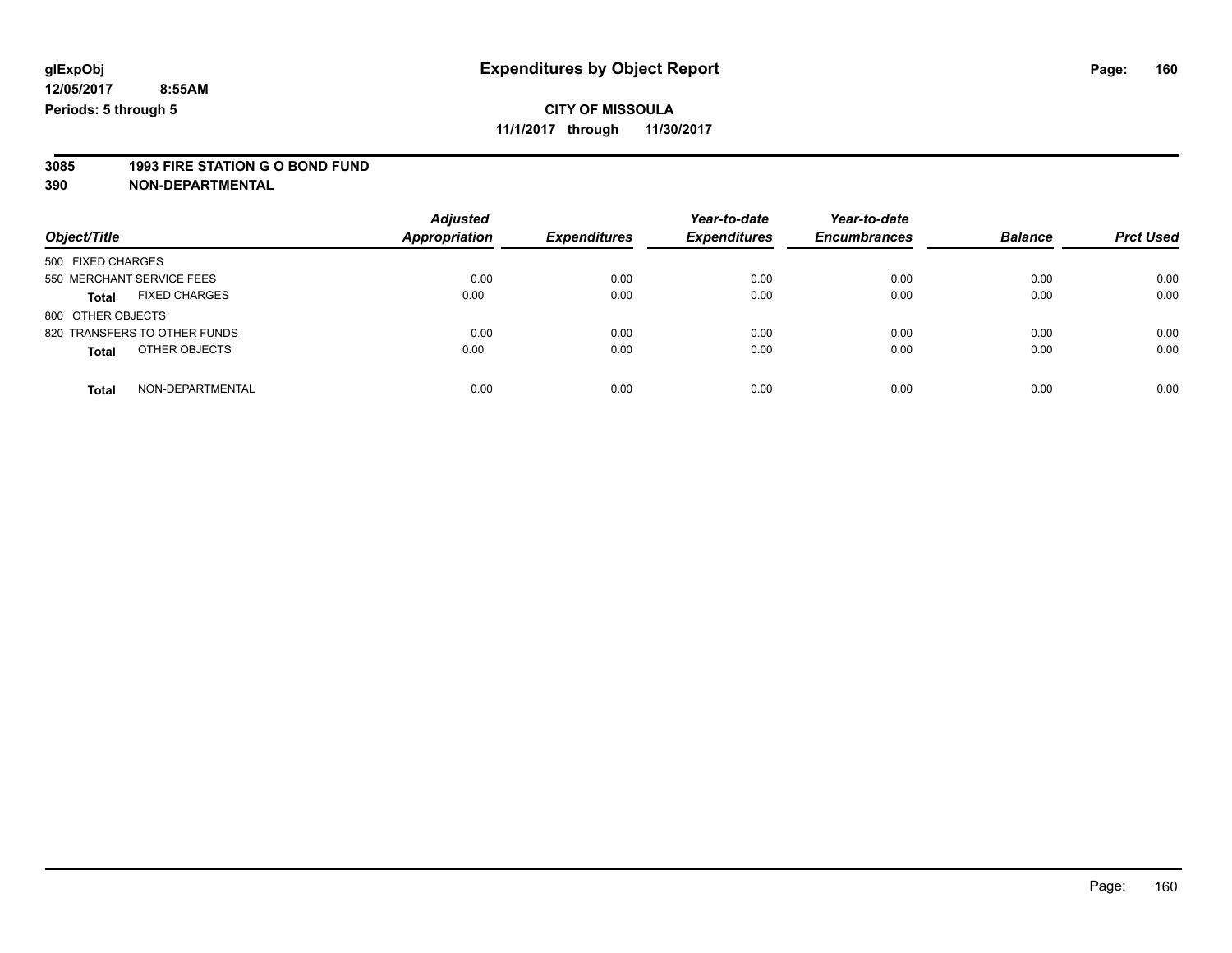### **CITY OF MISSOULA**

**11/1/2017 through 11/30/2017**

# **3085 1993 FIRE STATION G O BOND FUND**

|                                      | <b>Adjusted</b>      |                     | Year-to-date        | Year-to-date        |                |                  |
|--------------------------------------|----------------------|---------------------|---------------------|---------------------|----------------|------------------|
| Object/Title                         | <b>Appropriation</b> | <b>Expenditures</b> | <b>Expenditures</b> | <b>Encumbrances</b> | <b>Balance</b> | <b>Prct Used</b> |
| 500 FIXED CHARGES                    |                      |                     |                     |                     |                |                  |
| 550 MERCHANT SERVICE FEES            | 0.00                 | 0.00                | 0.00                | 0.00                | 0.00           | 0.00             |
| <b>FIXED CHARGES</b><br><b>Total</b> | 0.00                 | 0.00                | 0.00                | 0.00                | 0.00           | 0.00             |
| 800 OTHER OBJECTS                    |                      |                     |                     |                     |                |                  |
| 820 TRANSFERS TO OTHER FUNDS         | 0.00                 | 0.00                | 0.00                | 0.00                | 0.00           | 0.00             |
| OTHER OBJECTS<br><b>Total</b>        | 0.00                 | 0.00                | 0.00                | 0.00                | 0.00           | 0.00             |
| NON-DEPARTMENTAL<br><b>Total</b>     | 0.00                 | 0.00                | 0.00                | 0.00                | 0.00           | 0.00             |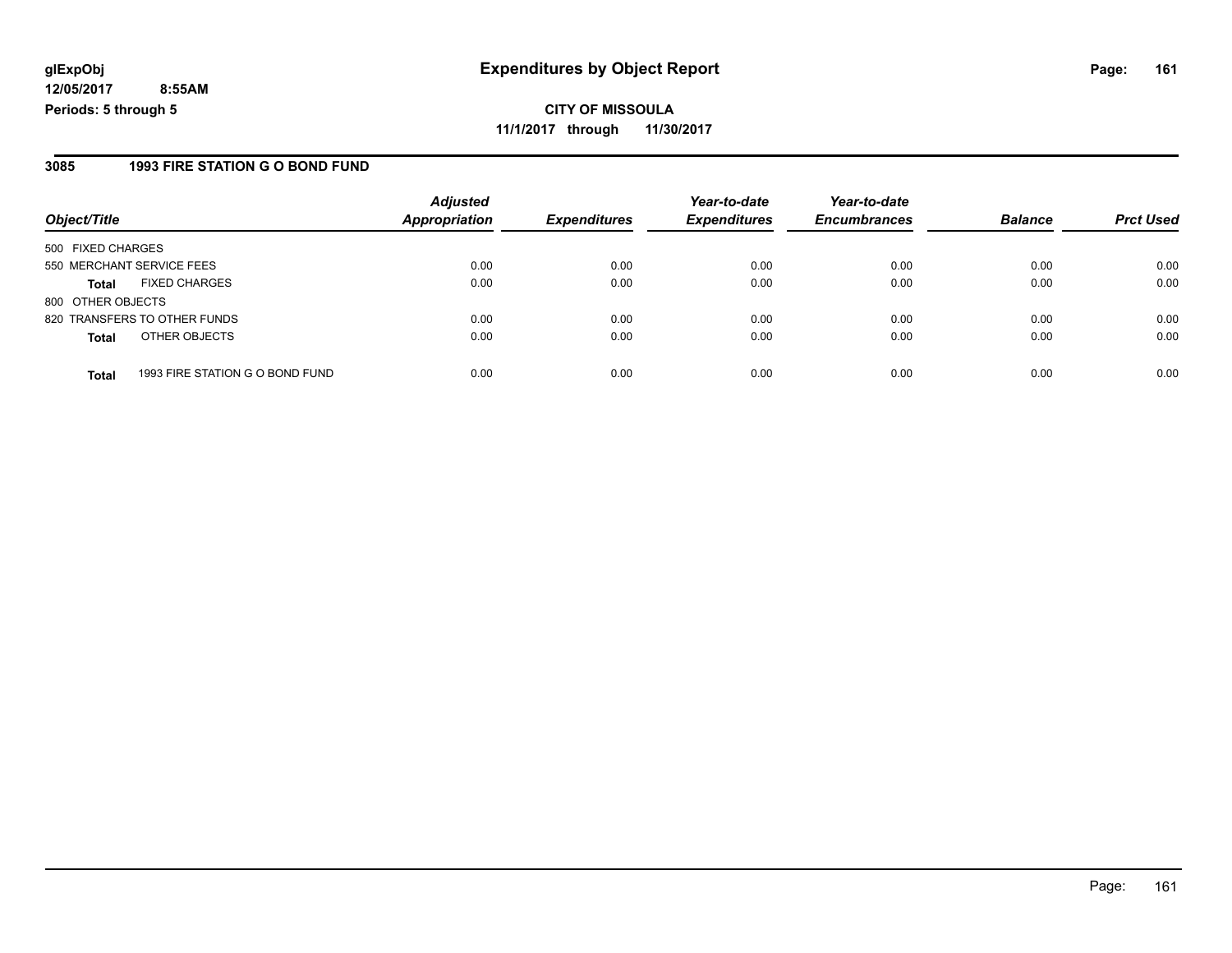**CITY OF MISSOULA 11/1/2017 through 11/30/2017**

#### **3085 1993 FIRE STATION G O BOND FUND**

| Object/Title              |                                 | <b>Adjusted</b><br><b>Appropriation</b> | <b>Expenditures</b> | Year-to-date<br><b>Expenditures</b> | Year-to-date<br><b>Encumbrances</b> | <b>Balance</b> | <b>Prct Used</b> |
|---------------------------|---------------------------------|-----------------------------------------|---------------------|-------------------------------------|-------------------------------------|----------------|------------------|
|                           |                                 |                                         |                     |                                     |                                     |                |                  |
| 500 FIXED CHARGES         |                                 |                                         |                     |                                     |                                     |                |                  |
| 550 MERCHANT SERVICE FEES |                                 | 0.00                                    | 0.00                | 0.00                                | 0.00                                | 0.00           | 0.00             |
| <b>Total</b>              | <b>FIXED CHARGES</b>            | 0.00                                    | 0.00                | 0.00                                | 0.00                                | 0.00           | 0.00             |
| 800 OTHER OBJECTS         |                                 |                                         |                     |                                     |                                     |                |                  |
|                           | 820 TRANSFERS TO OTHER FUNDS    | 0.00                                    | 0.00                | 0.00                                | 0.00                                | 0.00           | 0.00             |
| <b>Total</b>              | OTHER OBJECTS                   | 0.00                                    | 0.00                | 0.00                                | 0.00                                | 0.00           | 0.00             |
| <b>Total</b>              | 1993 FIRE STATION G O BOND FUND | 0.00                                    | 0.00                | 0.00                                | 0.00                                | 0.00           | 0.00             |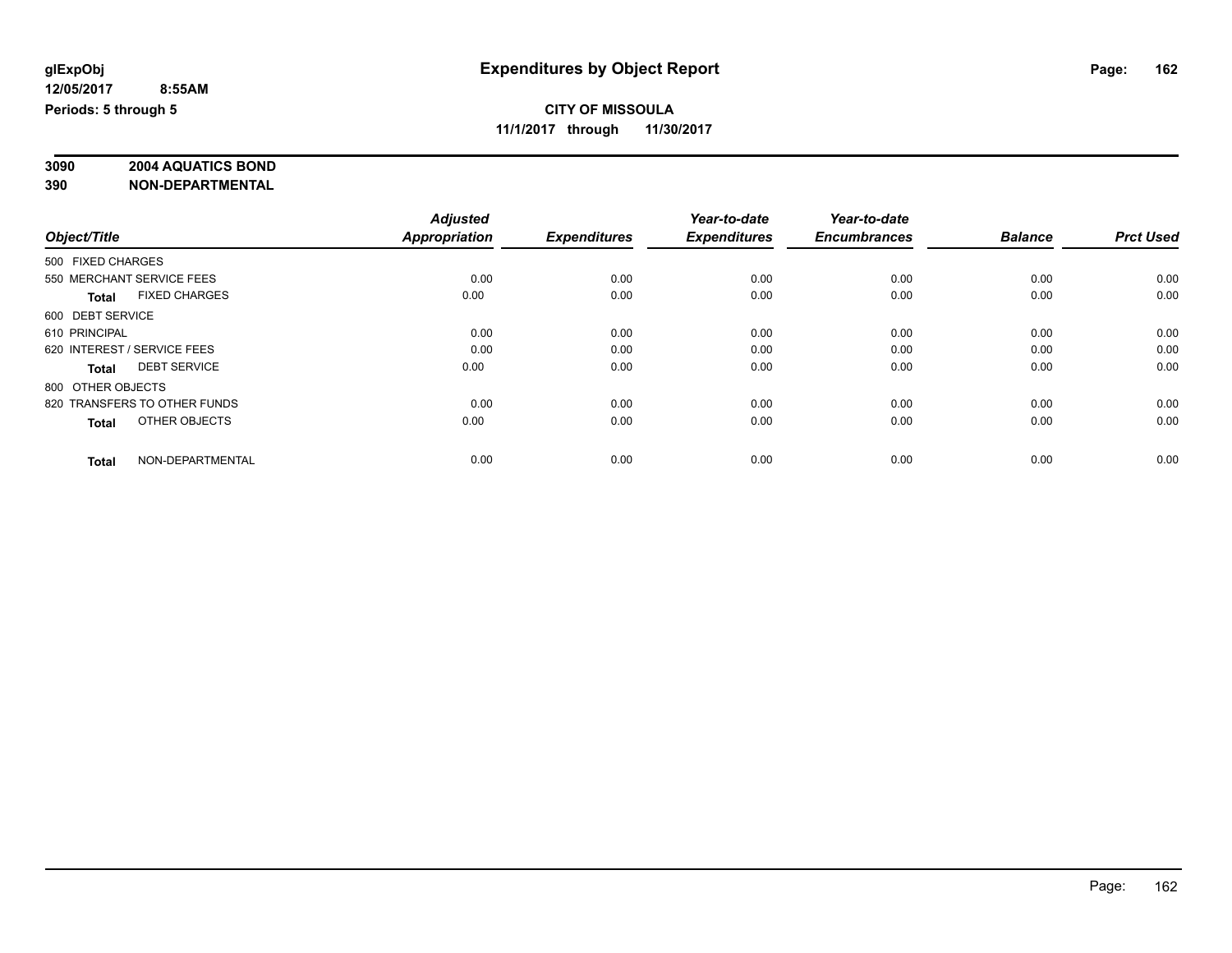# **3090 2004 AQUATICS BOND**

|                                      | <b>Adjusted</b>      |                     | Year-to-date        | Year-to-date        |                |                  |
|--------------------------------------|----------------------|---------------------|---------------------|---------------------|----------------|------------------|
| Object/Title                         | <b>Appropriation</b> | <b>Expenditures</b> | <b>Expenditures</b> | <b>Encumbrances</b> | <b>Balance</b> | <b>Prct Used</b> |
| 500 FIXED CHARGES                    |                      |                     |                     |                     |                |                  |
| 550 MERCHANT SERVICE FEES            | 0.00                 | 0.00                | 0.00                | 0.00                | 0.00           | 0.00             |
| <b>FIXED CHARGES</b><br><b>Total</b> | 0.00                 | 0.00                | 0.00                | 0.00                | 0.00           | 0.00             |
| 600 DEBT SERVICE                     |                      |                     |                     |                     |                |                  |
| 610 PRINCIPAL                        | 0.00                 | 0.00                | 0.00                | 0.00                | 0.00           | 0.00             |
| 620 INTEREST / SERVICE FEES          | 0.00                 | 0.00                | 0.00                | 0.00                | 0.00           | 0.00             |
| <b>DEBT SERVICE</b><br><b>Total</b>  | 0.00                 | 0.00                | 0.00                | 0.00                | 0.00           | 0.00             |
| 800 OTHER OBJECTS                    |                      |                     |                     |                     |                |                  |
| 820 TRANSFERS TO OTHER FUNDS         | 0.00                 | 0.00                | 0.00                | 0.00                | 0.00           | 0.00             |
| OTHER OBJECTS<br><b>Total</b>        | 0.00                 | 0.00                | 0.00                | 0.00                | 0.00           | 0.00             |
|                                      |                      |                     |                     |                     |                |                  |
| NON-DEPARTMENTAL<br><b>Total</b>     | 0.00                 | 0.00                | 0.00                | 0.00                | 0.00           | 0.00             |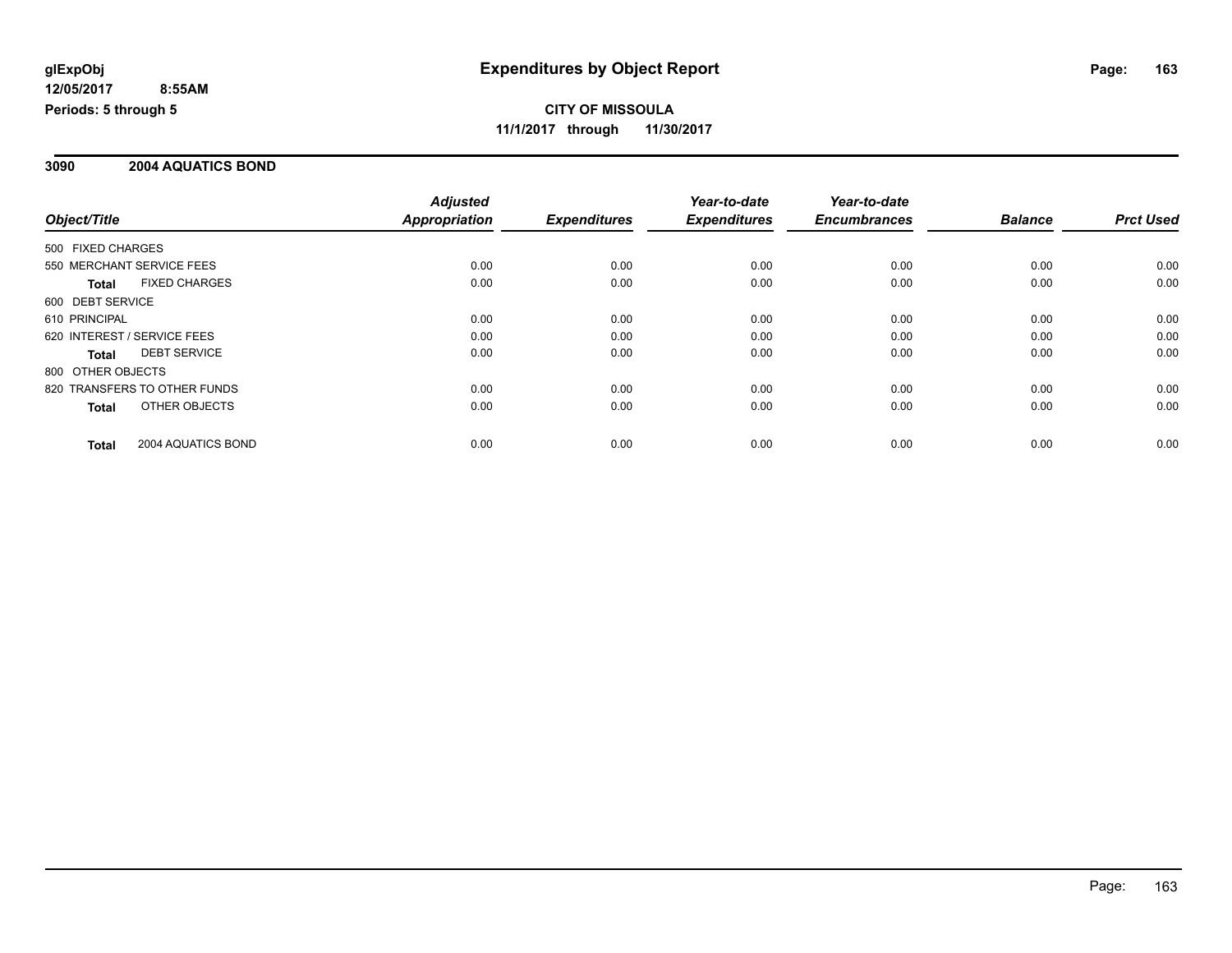#### **3090 2004 AQUATICS BOND**

|                                      | <b>Adjusted</b>      |                     | Year-to-date        | Year-to-date        |                |                  |
|--------------------------------------|----------------------|---------------------|---------------------|---------------------|----------------|------------------|
| Object/Title                         | <b>Appropriation</b> | <b>Expenditures</b> | <b>Expenditures</b> | <b>Encumbrances</b> | <b>Balance</b> | <b>Prct Used</b> |
| 500 FIXED CHARGES                    |                      |                     |                     |                     |                |                  |
| 550 MERCHANT SERVICE FEES            | 0.00                 | 0.00                | 0.00                | 0.00                | 0.00           | 0.00             |
| <b>FIXED CHARGES</b><br><b>Total</b> | 0.00                 | 0.00                | 0.00                | 0.00                | 0.00           | 0.00             |
| 600 DEBT SERVICE                     |                      |                     |                     |                     |                |                  |
| 610 PRINCIPAL                        | 0.00                 | 0.00                | 0.00                | 0.00                | 0.00           | 0.00             |
| 620 INTEREST / SERVICE FEES          | 0.00                 | 0.00                | 0.00                | 0.00                | 0.00           | 0.00             |
| <b>DEBT SERVICE</b><br>Total         | 0.00                 | 0.00                | 0.00                | 0.00                | 0.00           | 0.00             |
| 800 OTHER OBJECTS                    |                      |                     |                     |                     |                |                  |
| 820 TRANSFERS TO OTHER FUNDS         | 0.00                 | 0.00                | 0.00                | 0.00                | 0.00           | 0.00             |
| OTHER OBJECTS<br>Total               | 0.00                 | 0.00                | 0.00                | 0.00                | 0.00           | 0.00             |
| 2004 AQUATICS BOND<br><b>Total</b>   | 0.00                 | 0.00                | 0.00                | 0.00                | 0.00           | 0.00             |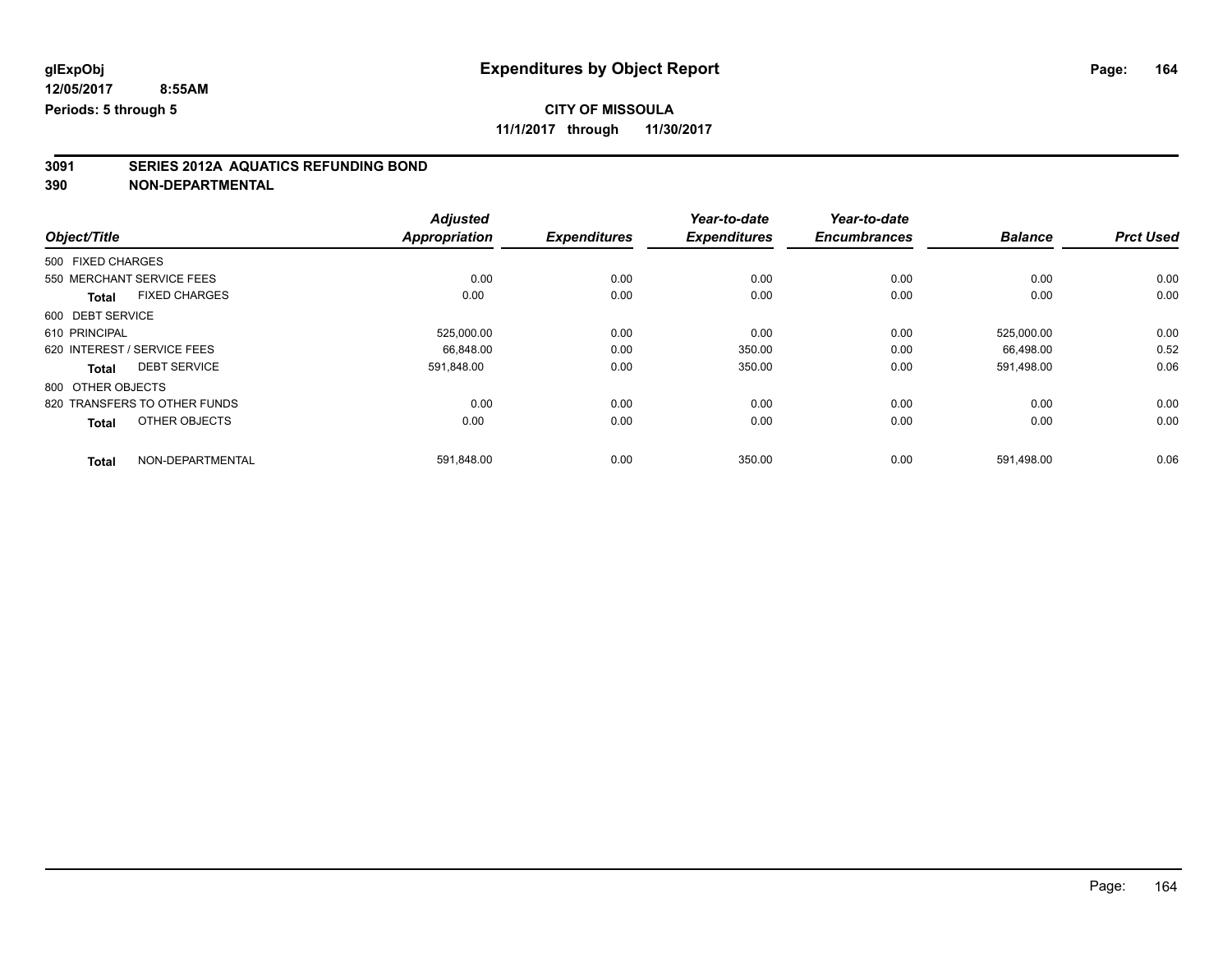### **CITY OF MISSOULA**

**11/1/2017 through 11/30/2017**

# **3091 SERIES 2012A AQUATICS REFUNDING BOND**

|                                      | <b>Adjusted</b> |                     | Year-to-date        | Year-to-date        |                |                  |
|--------------------------------------|-----------------|---------------------|---------------------|---------------------|----------------|------------------|
| Object/Title                         | Appropriation   | <b>Expenditures</b> | <b>Expenditures</b> | <b>Encumbrances</b> | <b>Balance</b> | <b>Prct Used</b> |
| 500 FIXED CHARGES                    |                 |                     |                     |                     |                |                  |
| 550 MERCHANT SERVICE FEES            | 0.00            | 0.00                | 0.00                | 0.00                | 0.00           | 0.00             |
| <b>FIXED CHARGES</b><br><b>Total</b> | 0.00            | 0.00                | 0.00                | 0.00                | 0.00           | 0.00             |
| 600 DEBT SERVICE                     |                 |                     |                     |                     |                |                  |
| 610 PRINCIPAL                        | 525,000.00      | 0.00                | 0.00                | 0.00                | 525,000.00     | 0.00             |
| 620 INTEREST / SERVICE FEES          | 66.848.00       | 0.00                | 350.00              | 0.00                | 66.498.00      | 0.52             |
| <b>DEBT SERVICE</b><br><b>Total</b>  | 591,848.00      | 0.00                | 350.00              | 0.00                | 591,498.00     | 0.06             |
| 800 OTHER OBJECTS                    |                 |                     |                     |                     |                |                  |
| 820 TRANSFERS TO OTHER FUNDS         | 0.00            | 0.00                | 0.00                | 0.00                | 0.00           | 0.00             |
| OTHER OBJECTS<br><b>Total</b>        | 0.00            | 0.00                | 0.00                | 0.00                | 0.00           | 0.00             |
| NON-DEPARTMENTAL<br><b>Total</b>     | 591,848.00      | 0.00                | 350.00              | 0.00                | 591,498.00     | 0.06             |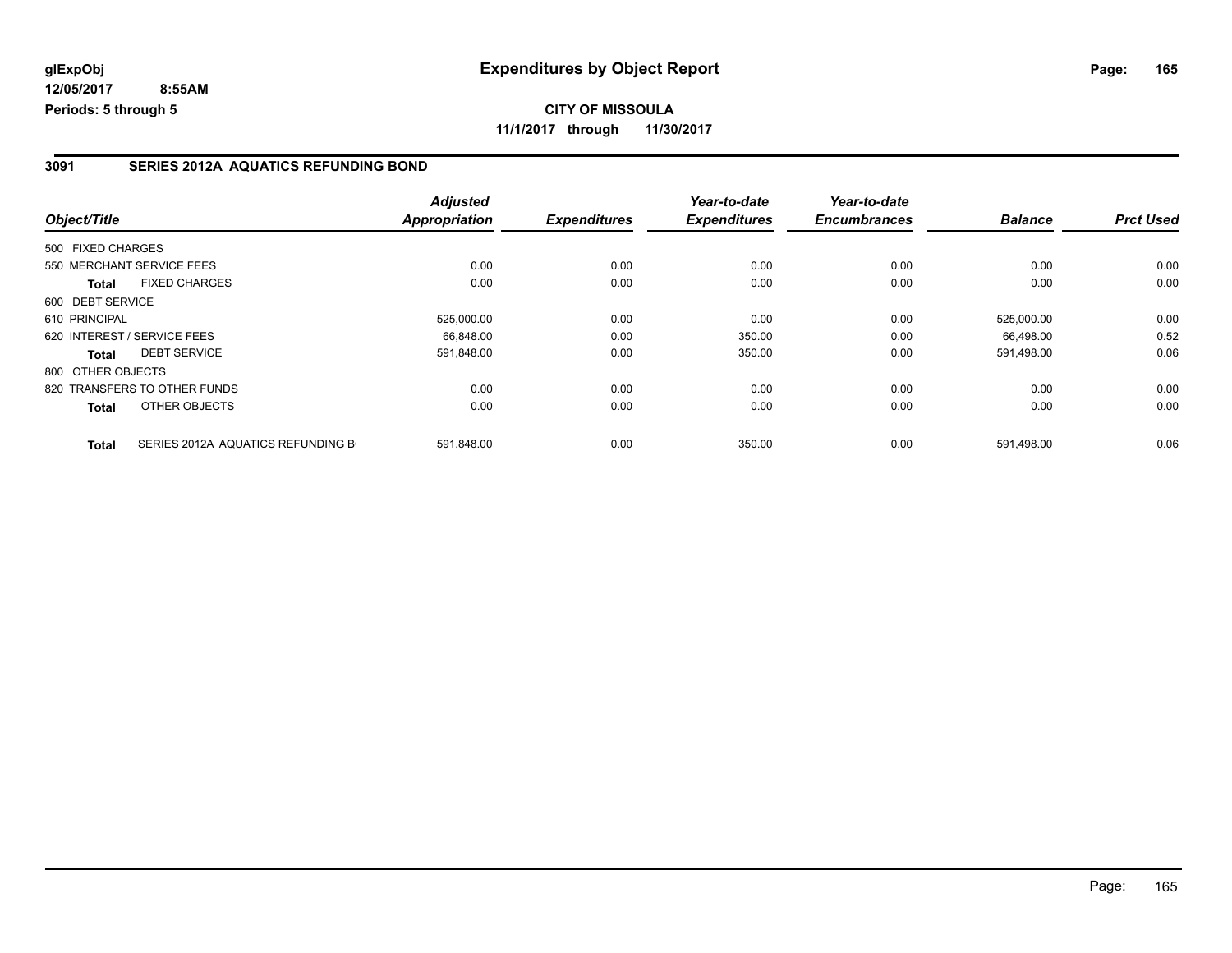#### **3091 SERIES 2012A AQUATICS REFUNDING BOND**

| Object/Title                |                                   | <b>Adjusted</b><br>Appropriation | <b>Expenditures</b> | Year-to-date<br><b>Expenditures</b> | Year-to-date<br><b>Encumbrances</b> | <b>Balance</b> | <b>Prct Used</b> |
|-----------------------------|-----------------------------------|----------------------------------|---------------------|-------------------------------------|-------------------------------------|----------------|------------------|
|                             |                                   |                                  |                     |                                     |                                     |                |                  |
| 500 FIXED CHARGES           |                                   |                                  |                     |                                     |                                     |                |                  |
| 550 MERCHANT SERVICE FEES   |                                   | 0.00                             | 0.00                | 0.00                                | 0.00                                | 0.00           | 0.00             |
| <b>Total</b>                | <b>FIXED CHARGES</b>              | 0.00                             | 0.00                | 0.00                                | 0.00                                | 0.00           | 0.00             |
| 600 DEBT SERVICE            |                                   |                                  |                     |                                     |                                     |                |                  |
| 610 PRINCIPAL               |                                   | 525,000.00                       | 0.00                | 0.00                                | 0.00                                | 525,000.00     | 0.00             |
| 620 INTEREST / SERVICE FEES |                                   | 66,848.00                        | 0.00                | 350.00                              | 0.00                                | 66,498.00      | 0.52             |
| Total                       | <b>DEBT SERVICE</b>               | 591,848.00                       | 0.00                | 350.00                              | 0.00                                | 591,498.00     | 0.06             |
| 800 OTHER OBJECTS           |                                   |                                  |                     |                                     |                                     |                |                  |
|                             | 820 TRANSFERS TO OTHER FUNDS      | 0.00                             | 0.00                | 0.00                                | 0.00                                | 0.00           | 0.00             |
| Total                       | OTHER OBJECTS                     | 0.00                             | 0.00                | 0.00                                | 0.00                                | 0.00           | 0.00             |
| <b>Total</b>                | SERIES 2012A AQUATICS REFUNDING B | 591.848.00                       | 0.00                | 350.00                              | 0.00                                | 591.498.00     | 0.06             |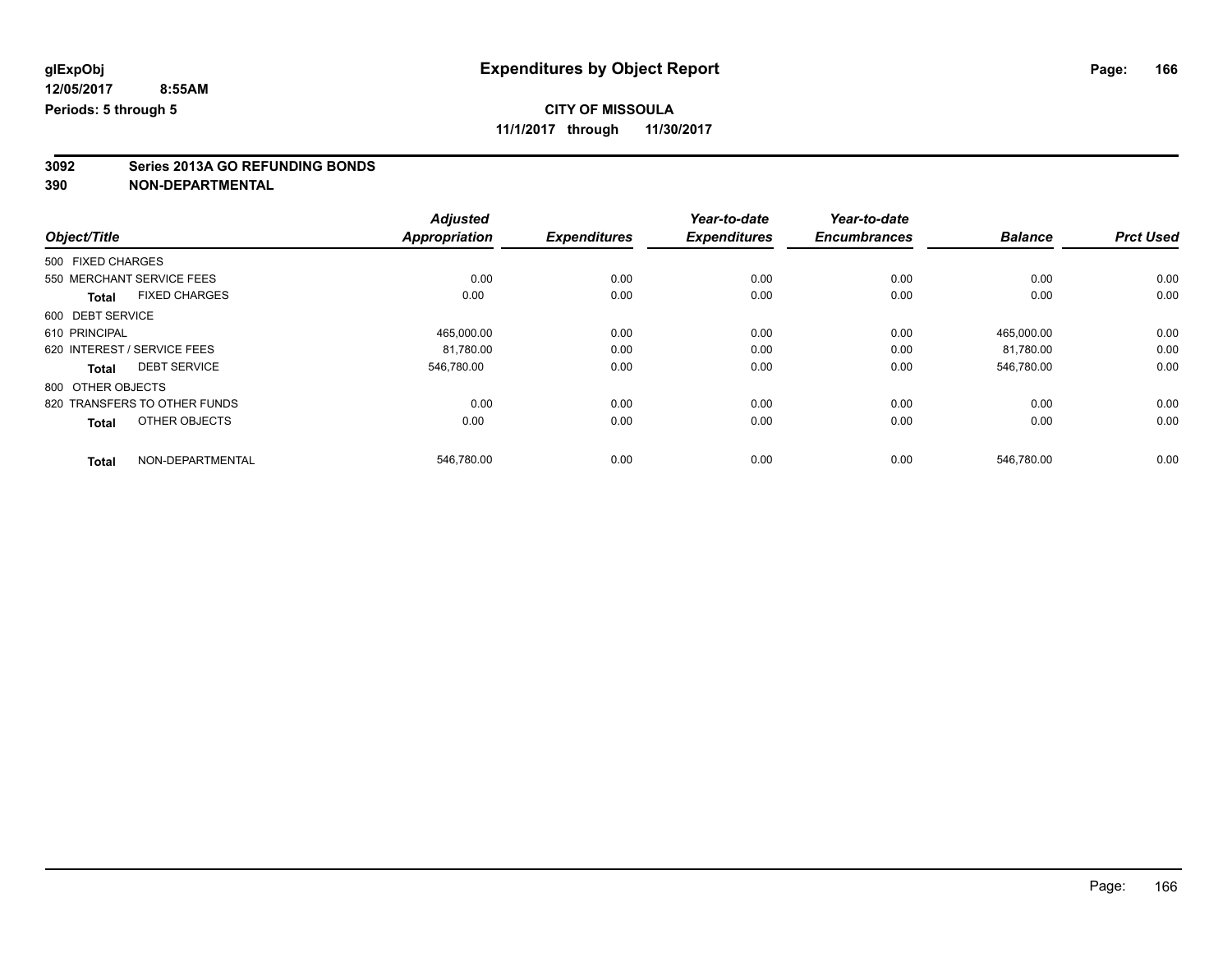**3092 Series 2013A GO REFUNDING BONDS 390 NON-DEPARTMENTAL**

|                                      | <b>Adjusted</b>      |                     | Year-to-date        | Year-to-date        |                |                  |
|--------------------------------------|----------------------|---------------------|---------------------|---------------------|----------------|------------------|
| Object/Title                         | <b>Appropriation</b> | <b>Expenditures</b> | <b>Expenditures</b> | <b>Encumbrances</b> | <b>Balance</b> | <b>Prct Used</b> |
| 500 FIXED CHARGES                    |                      |                     |                     |                     |                |                  |
| 550 MERCHANT SERVICE FEES            | 0.00                 | 0.00                | 0.00                | 0.00                | 0.00           | 0.00             |
| <b>FIXED CHARGES</b><br><b>Total</b> | 0.00                 | 0.00                | 0.00                | 0.00                | 0.00           | 0.00             |
| 600 DEBT SERVICE                     |                      |                     |                     |                     |                |                  |
| 610 PRINCIPAL                        | 465,000.00           | 0.00                | 0.00                | 0.00                | 465,000.00     | 0.00             |
| 620 INTEREST / SERVICE FEES          | 81.780.00            | 0.00                | 0.00                | 0.00                | 81.780.00      | 0.00             |
| <b>DEBT SERVICE</b><br><b>Total</b>  | 546,780.00           | 0.00                | 0.00                | 0.00                | 546,780.00     | 0.00             |
| 800 OTHER OBJECTS                    |                      |                     |                     |                     |                |                  |
| 820 TRANSFERS TO OTHER FUNDS         | 0.00                 | 0.00                | 0.00                | 0.00                | 0.00           | 0.00             |
| OTHER OBJECTS<br><b>Total</b>        | 0.00                 | 0.00                | 0.00                | 0.00                | 0.00           | 0.00             |
| NON-DEPARTMENTAL<br><b>Total</b>     | 546,780.00           | 0.00                | 0.00                | 0.00                | 546,780.00     | 0.00             |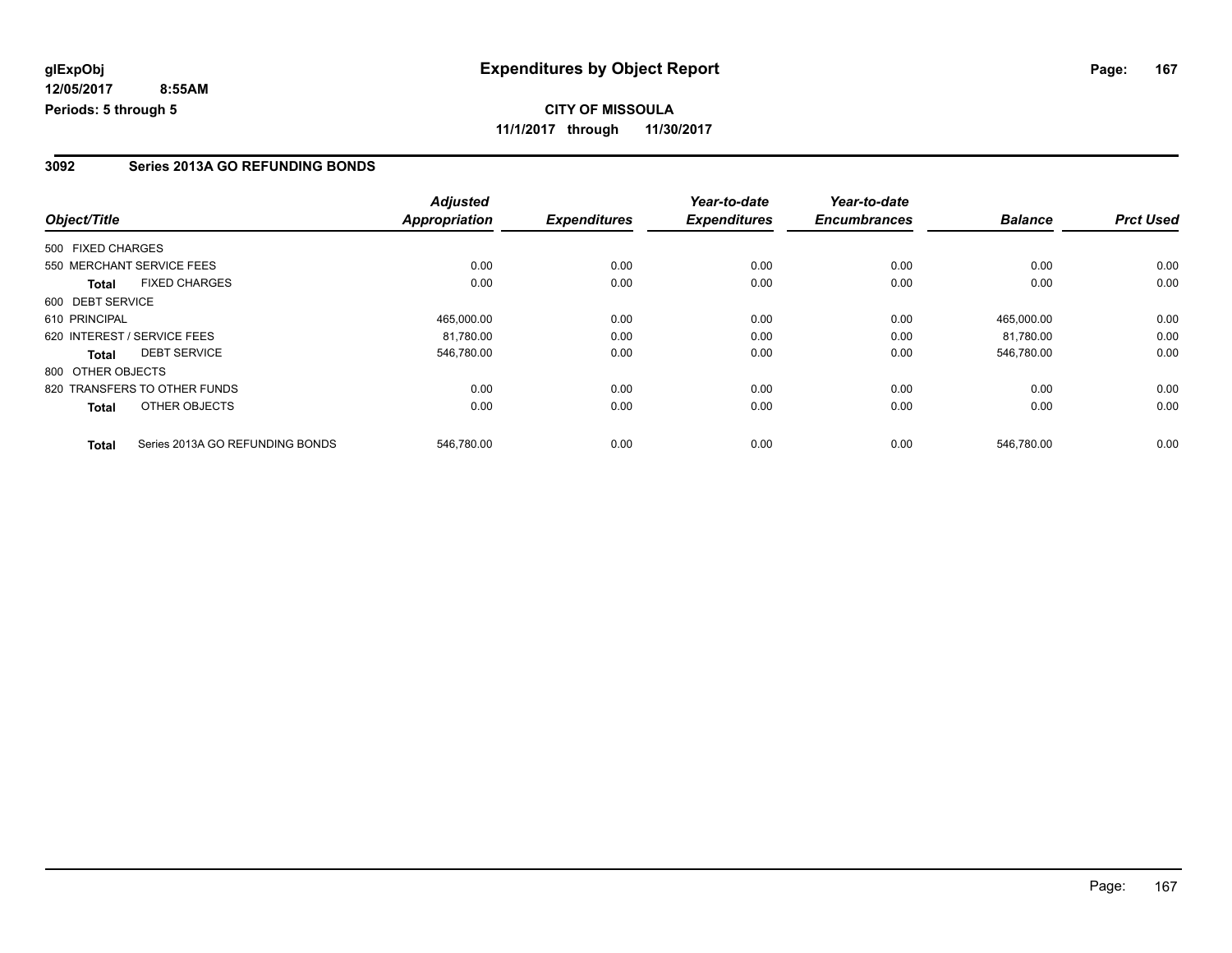#### **3092 Series 2013A GO REFUNDING BONDS**

|                             |                                 | <b>Adjusted</b>      |                     | Year-to-date        | Year-to-date        |                |                  |
|-----------------------------|---------------------------------|----------------------|---------------------|---------------------|---------------------|----------------|------------------|
| Object/Title                |                                 | <b>Appropriation</b> | <b>Expenditures</b> | <b>Expenditures</b> | <b>Encumbrances</b> | <b>Balance</b> | <b>Prct Used</b> |
| 500 FIXED CHARGES           |                                 |                      |                     |                     |                     |                |                  |
|                             | 550 MERCHANT SERVICE FEES       | 0.00                 | 0.00                | 0.00                | 0.00                | 0.00           | 0.00             |
| <b>Total</b>                | <b>FIXED CHARGES</b>            | 0.00                 | 0.00                | 0.00                | 0.00                | 0.00           | 0.00             |
| 600 DEBT SERVICE            |                                 |                      |                     |                     |                     |                |                  |
| 610 PRINCIPAL               |                                 | 465.000.00           | 0.00                | 0.00                | 0.00                | 465.000.00     | 0.00             |
| 620 INTEREST / SERVICE FEES |                                 | 81,780.00            | 0.00                | 0.00                | 0.00                | 81,780.00      | 0.00             |
| Total                       | <b>DEBT SERVICE</b>             | 546.780.00           | 0.00                | 0.00                | 0.00                | 546.780.00     | 0.00             |
| 800 OTHER OBJECTS           |                                 |                      |                     |                     |                     |                |                  |
|                             | 820 TRANSFERS TO OTHER FUNDS    | 0.00                 | 0.00                | 0.00                | 0.00                | 0.00           | 0.00             |
| Total                       | OTHER OBJECTS                   | 0.00                 | 0.00                | 0.00                | 0.00                | 0.00           | 0.00             |
| <b>Total</b>                | Series 2013A GO REFUNDING BONDS | 546.780.00           | 0.00                | 0.00                | 0.00                | 546.780.00     | 0.00             |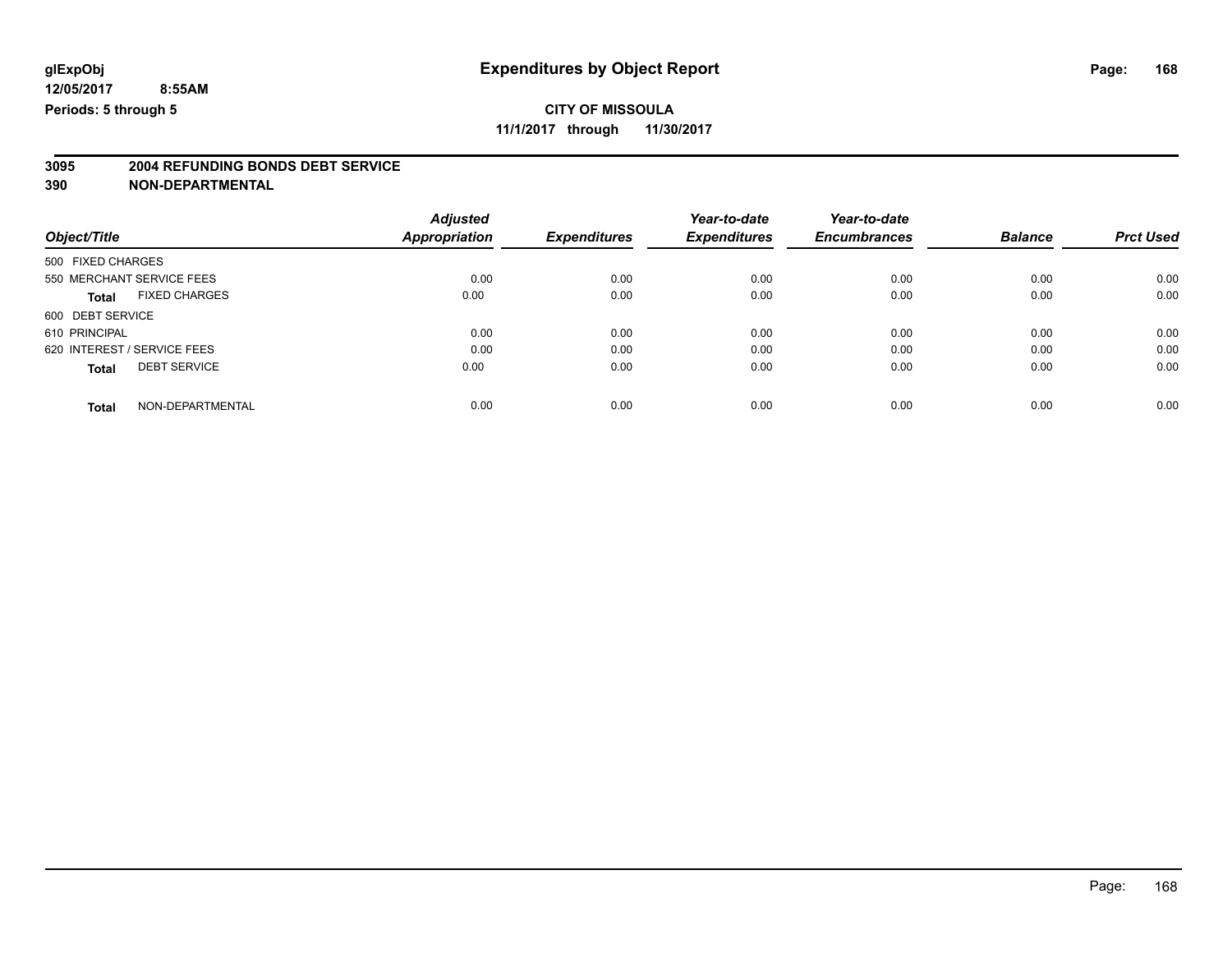### **CITY OF MISSOULA**

**11/1/2017 through 11/30/2017**

# **3095 2004 REFUNDING BONDS DEBT SERVICE**

|                                      | <b>Adjusted</b> |                     | Year-to-date        | Year-to-date        |                |                  |
|--------------------------------------|-----------------|---------------------|---------------------|---------------------|----------------|------------------|
| Object/Title                         | Appropriation   | <b>Expenditures</b> | <b>Expenditures</b> | <b>Encumbrances</b> | <b>Balance</b> | <b>Prct Used</b> |
| 500 FIXED CHARGES                    |                 |                     |                     |                     |                |                  |
| 550 MERCHANT SERVICE FEES            | 0.00            | 0.00                | 0.00                | 0.00                | 0.00           | 0.00             |
| <b>FIXED CHARGES</b><br><b>Total</b> | 0.00            | 0.00                | 0.00                | 0.00                | 0.00           | 0.00             |
| 600 DEBT SERVICE                     |                 |                     |                     |                     |                |                  |
| 610 PRINCIPAL                        | 0.00            | 0.00                | 0.00                | 0.00                | 0.00           | 0.00             |
| 620 INTEREST / SERVICE FEES          | 0.00            | 0.00                | 0.00                | 0.00                | 0.00           | 0.00             |
| <b>DEBT SERVICE</b><br><b>Total</b>  | 0.00            | 0.00                | 0.00                | 0.00                | 0.00           | 0.00             |
| NON-DEPARTMENTAL<br><b>Total</b>     | 0.00            | 0.00                | 0.00                | 0.00                | 0.00           | 0.00             |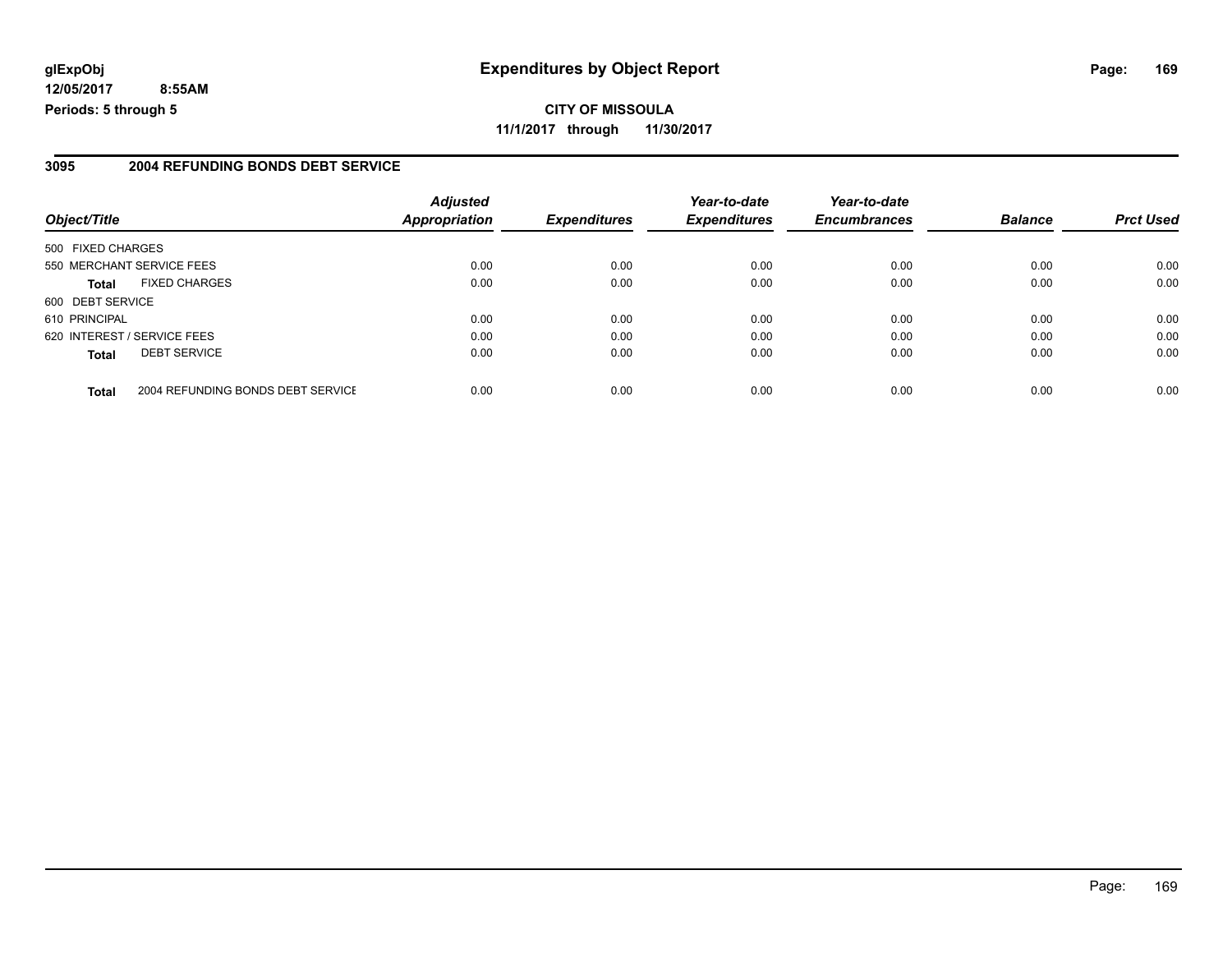#### **glExpObj Expenditures by Object Report Page: 169**

**12/05/2017 8:55AM Periods: 5 through 5**

#### **3095 2004 REFUNDING BONDS DEBT SERVICE**

| Object/Title                |                                   | <b>Adjusted</b><br><b>Appropriation</b> | <b>Expenditures</b> | Year-to-date<br><b>Expenditures</b> | Year-to-date<br><b>Encumbrances</b> | <b>Balance</b> | <b>Prct Used</b> |
|-----------------------------|-----------------------------------|-----------------------------------------|---------------------|-------------------------------------|-------------------------------------|----------------|------------------|
| 500 FIXED CHARGES           |                                   |                                         |                     |                                     |                                     |                |                  |
|                             | 550 MERCHANT SERVICE FEES         | 0.00                                    | 0.00                | 0.00                                | 0.00                                | 0.00           | 0.00             |
| Total                       | <b>FIXED CHARGES</b>              | 0.00                                    | 0.00                | 0.00                                | 0.00                                | 0.00           | 0.00             |
| 600 DEBT SERVICE            |                                   |                                         |                     |                                     |                                     |                |                  |
| 610 PRINCIPAL               |                                   | 0.00                                    | 0.00                | 0.00                                | 0.00                                | 0.00           | 0.00             |
| 620 INTEREST / SERVICE FEES |                                   | 0.00                                    | 0.00                | 0.00                                | 0.00                                | 0.00           | 0.00             |
| <b>Total</b>                | <b>DEBT SERVICE</b>               | 0.00                                    | 0.00                | 0.00                                | 0.00                                | 0.00           | 0.00             |
| <b>Total</b>                | 2004 REFUNDING BONDS DEBT SERVICE | 0.00                                    | 0.00                | 0.00                                | 0.00                                | 0.00           | 0.00             |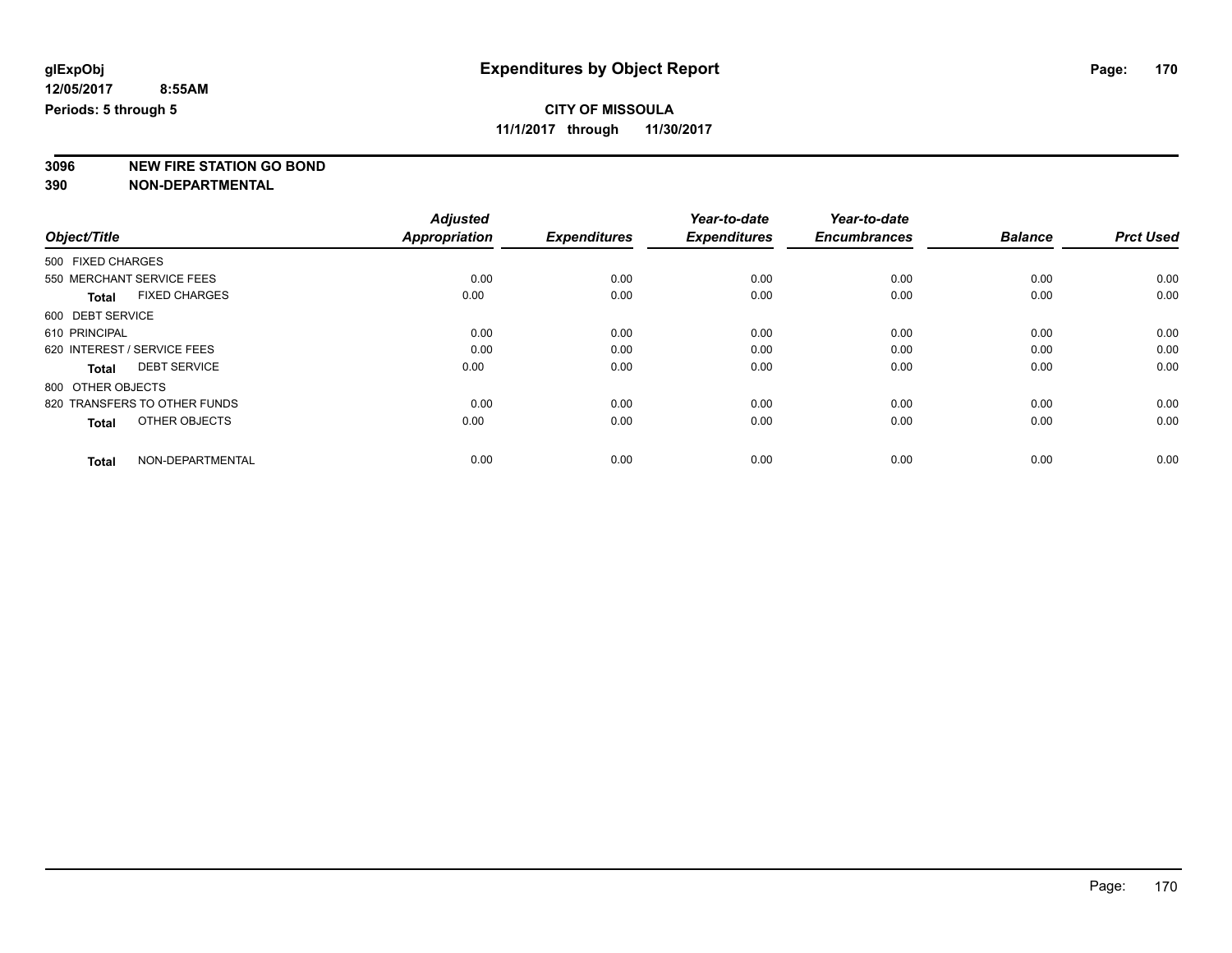### **CITY OF MISSOULA**

**11/1/2017 through 11/30/2017**

**3096 NEW FIRE STATION GO BOND**

|                                      | <b>Adjusted</b>      |                     | Year-to-date        | Year-to-date        |                |                  |
|--------------------------------------|----------------------|---------------------|---------------------|---------------------|----------------|------------------|
| Object/Title                         | <b>Appropriation</b> | <b>Expenditures</b> | <b>Expenditures</b> | <b>Encumbrances</b> | <b>Balance</b> | <b>Prct Used</b> |
| 500 FIXED CHARGES                    |                      |                     |                     |                     |                |                  |
| 550 MERCHANT SERVICE FEES            | 0.00                 | 0.00                | 0.00                | 0.00                | 0.00           | 0.00             |
| <b>FIXED CHARGES</b><br><b>Total</b> | 0.00                 | 0.00                | 0.00                | 0.00                | 0.00           | 0.00             |
| 600 DEBT SERVICE                     |                      |                     |                     |                     |                |                  |
| 610 PRINCIPAL                        | 0.00                 | 0.00                | 0.00                | 0.00                | 0.00           | 0.00             |
| 620 INTEREST / SERVICE FEES          | 0.00                 | 0.00                | 0.00                | 0.00                | 0.00           | 0.00             |
| <b>DEBT SERVICE</b><br><b>Total</b>  | 0.00                 | 0.00                | 0.00                | 0.00                | 0.00           | 0.00             |
| 800 OTHER OBJECTS                    |                      |                     |                     |                     |                |                  |
| 820 TRANSFERS TO OTHER FUNDS         | 0.00                 | 0.00                | 0.00                | 0.00                | 0.00           | 0.00             |
| OTHER OBJECTS<br><b>Total</b>        | 0.00                 | 0.00                | 0.00                | 0.00                | 0.00           | 0.00             |
|                                      |                      |                     |                     |                     |                |                  |
| NON-DEPARTMENTAL<br><b>Total</b>     | 0.00                 | 0.00                | 0.00                | 0.00                | 0.00           | 0.00             |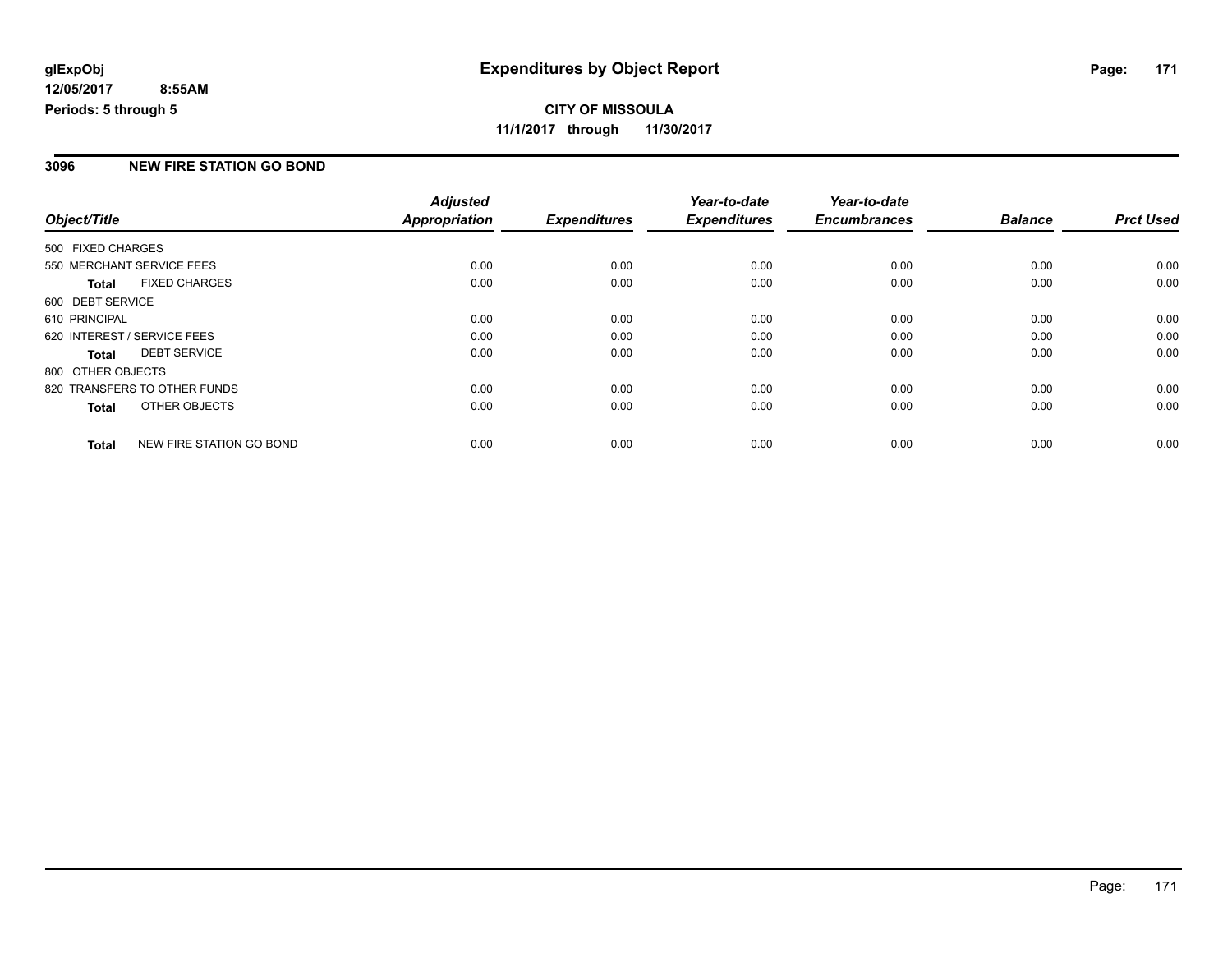#### **CITY OF MISSOULA 11/1/2017 through 11/30/2017**

#### **3096 NEW FIRE STATION GO BOND**

| Object/Title      |                              | <b>Adjusted</b> | <b>Expenditures</b> | Year-to-date<br><b>Expenditures</b> | Year-to-date<br><b>Encumbrances</b> | <b>Balance</b> | <b>Prct Used</b> |
|-------------------|------------------------------|-----------------|---------------------|-------------------------------------|-------------------------------------|----------------|------------------|
|                   |                              | Appropriation   |                     |                                     |                                     |                |                  |
| 500 FIXED CHARGES |                              |                 |                     |                                     |                                     |                |                  |
|                   | 550 MERCHANT SERVICE FEES    | 0.00            | 0.00                | 0.00                                | 0.00                                | 0.00           | 0.00             |
| <b>Total</b>      | <b>FIXED CHARGES</b>         | 0.00            | 0.00                | 0.00                                | 0.00                                | 0.00           | 0.00             |
| 600 DEBT SERVICE  |                              |                 |                     |                                     |                                     |                |                  |
| 610 PRINCIPAL     |                              | 0.00            | 0.00                | 0.00                                | 0.00                                | 0.00           | 0.00             |
|                   | 620 INTEREST / SERVICE FEES  | 0.00            | 0.00                | 0.00                                | 0.00                                | 0.00           | 0.00             |
| <b>Total</b>      | <b>DEBT SERVICE</b>          | 0.00            | 0.00                | 0.00                                | 0.00                                | 0.00           | 0.00             |
| 800 OTHER OBJECTS |                              |                 |                     |                                     |                                     |                |                  |
|                   | 820 TRANSFERS TO OTHER FUNDS | 0.00            | 0.00                | 0.00                                | 0.00                                | 0.00           | 0.00             |
| <b>Total</b>      | OTHER OBJECTS                | 0.00            | 0.00                | 0.00                                | 0.00                                | 0.00           | 0.00             |
| <b>Total</b>      | NEW FIRE STATION GO BOND     | 0.00            | 0.00                | 0.00                                | 0.00                                | 0.00           | 0.00             |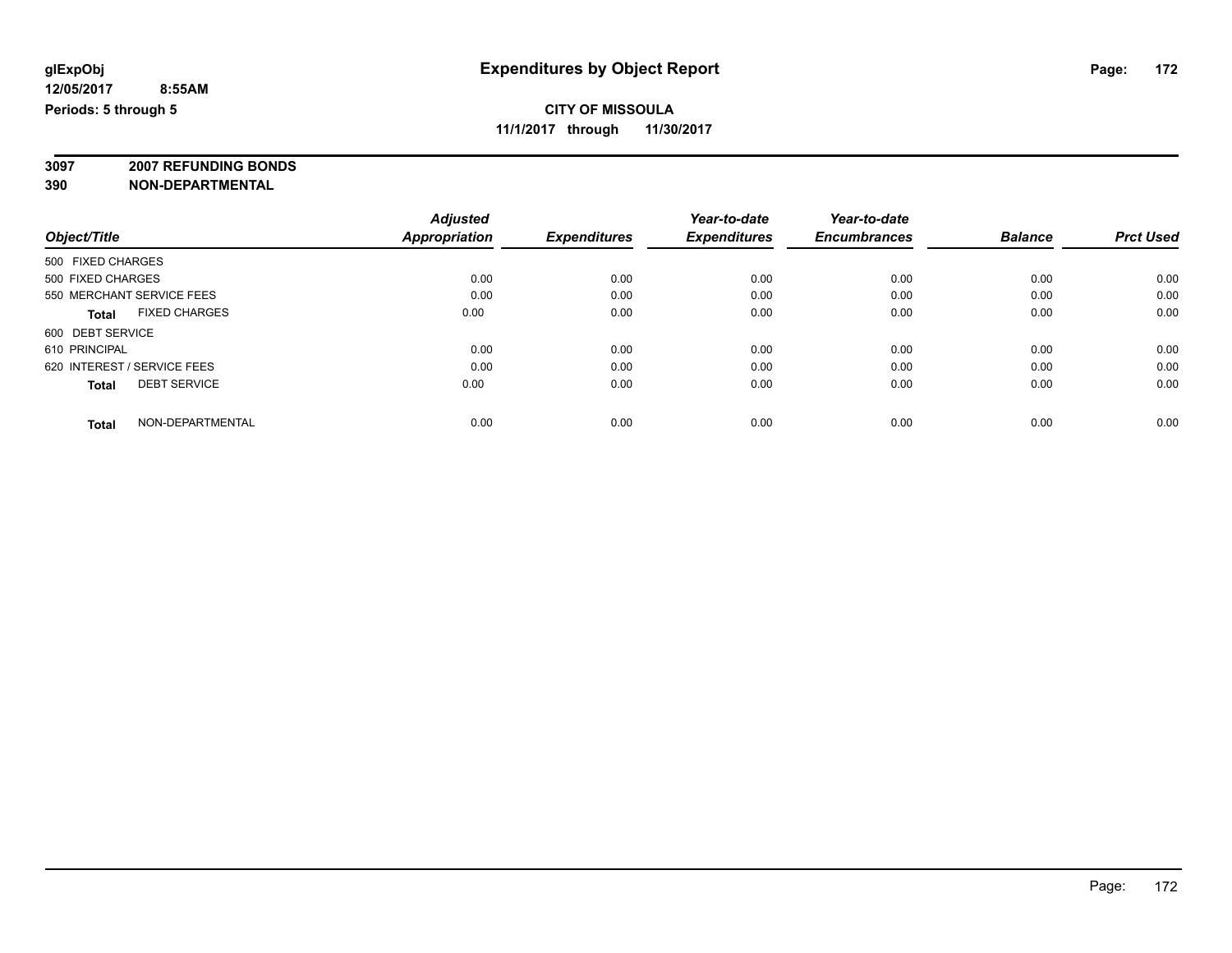**3097 2007 REFUNDING BONDS**

|                                      | <b>Adjusted</b>      |                     | Year-to-date        | Year-to-date        |                |                  |
|--------------------------------------|----------------------|---------------------|---------------------|---------------------|----------------|------------------|
| Object/Title                         | <b>Appropriation</b> | <b>Expenditures</b> | <b>Expenditures</b> | <b>Encumbrances</b> | <b>Balance</b> | <b>Prct Used</b> |
| 500 FIXED CHARGES                    |                      |                     |                     |                     |                |                  |
| 500 FIXED CHARGES                    | 0.00                 | 0.00                | 0.00                | 0.00                | 0.00           | 0.00             |
| 550 MERCHANT SERVICE FEES            | 0.00                 | 0.00                | 0.00                | 0.00                | 0.00           | 0.00             |
| <b>FIXED CHARGES</b><br><b>Total</b> | 0.00                 | 0.00                | 0.00                | 0.00                | 0.00           | 0.00             |
| 600 DEBT SERVICE                     |                      |                     |                     |                     |                |                  |
| 610 PRINCIPAL                        | 0.00                 | 0.00                | 0.00                | 0.00                | 0.00           | 0.00             |
| 620 INTEREST / SERVICE FEES          | 0.00                 | 0.00                | 0.00                | 0.00                | 0.00           | 0.00             |
| <b>DEBT SERVICE</b><br><b>Total</b>  | 0.00                 | 0.00                | 0.00                | 0.00                | 0.00           | 0.00             |
| NON-DEPARTMENTAL<br><b>Total</b>     | 0.00                 | 0.00                | 0.00                | 0.00                | 0.00           | 0.00             |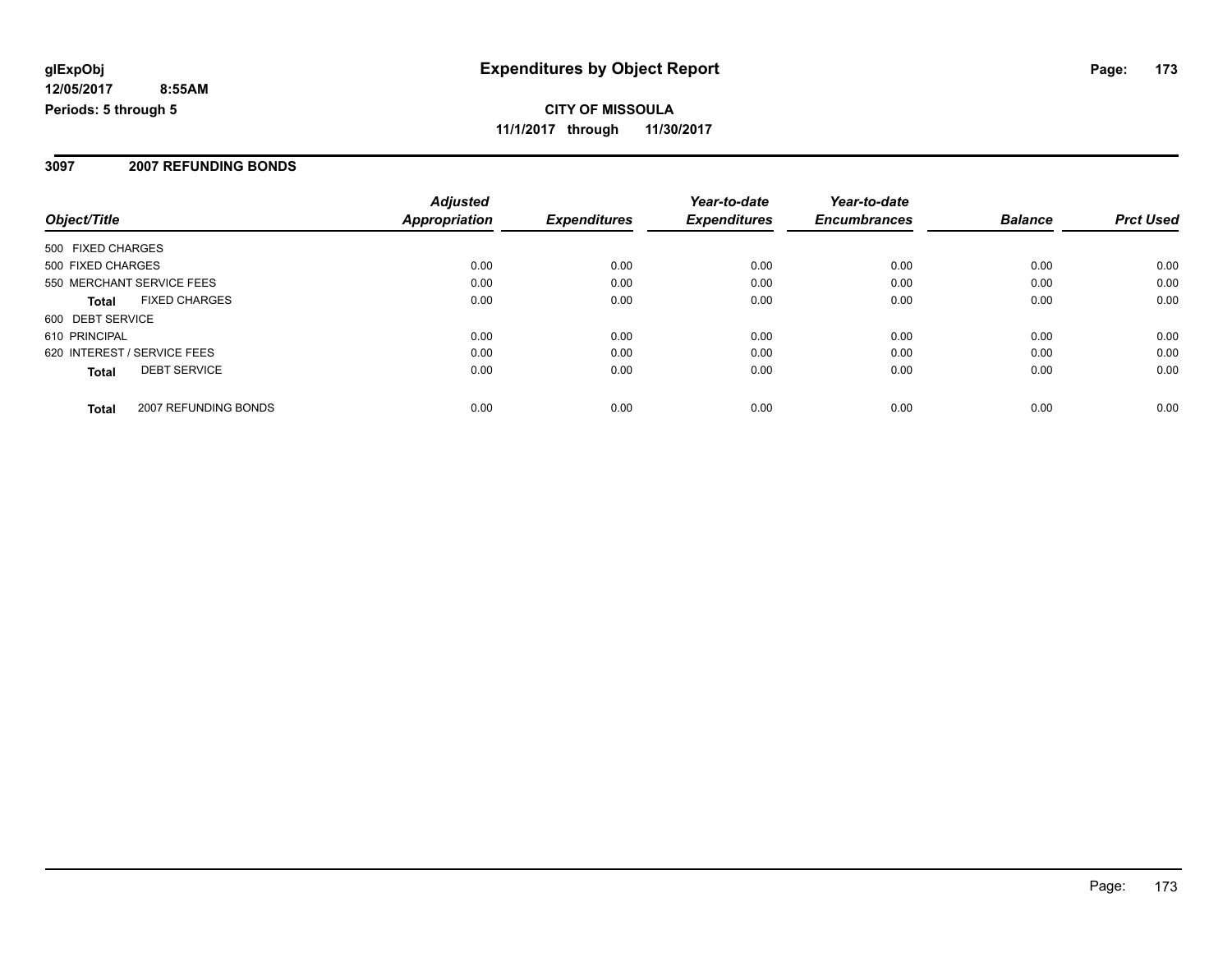#### **3097 2007 REFUNDING BONDS**

| Object/Title                         | <b>Adjusted</b><br><b>Appropriation</b> | <b>Expenditures</b> | Year-to-date<br><b>Expenditures</b> | Year-to-date<br><b>Encumbrances</b> | <b>Balance</b> | <b>Prct Used</b> |
|--------------------------------------|-----------------------------------------|---------------------|-------------------------------------|-------------------------------------|----------------|------------------|
| 500 FIXED CHARGES                    |                                         |                     |                                     |                                     |                |                  |
| 500 FIXED CHARGES                    | 0.00                                    | 0.00                | 0.00                                | 0.00                                | 0.00           | 0.00             |
| 550 MERCHANT SERVICE FEES            | 0.00                                    | 0.00                | 0.00                                | 0.00                                | 0.00           | 0.00             |
| <b>FIXED CHARGES</b><br><b>Total</b> | 0.00                                    | 0.00                | 0.00                                | 0.00                                | 0.00           | 0.00             |
| 600 DEBT SERVICE                     |                                         |                     |                                     |                                     |                |                  |
| 610 PRINCIPAL                        | 0.00                                    | 0.00                | 0.00                                | 0.00                                | 0.00           | 0.00             |
| 620 INTEREST / SERVICE FEES          | 0.00                                    | 0.00                | 0.00                                | 0.00                                | 0.00           | 0.00             |
| <b>DEBT SERVICE</b><br><b>Total</b>  | 0.00                                    | 0.00                | 0.00                                | 0.00                                | 0.00           | 0.00             |
| 2007 REFUNDING BONDS<br><b>Total</b> | 0.00                                    | 0.00                | 0.00                                | 0.00                                | 0.00           | 0.00             |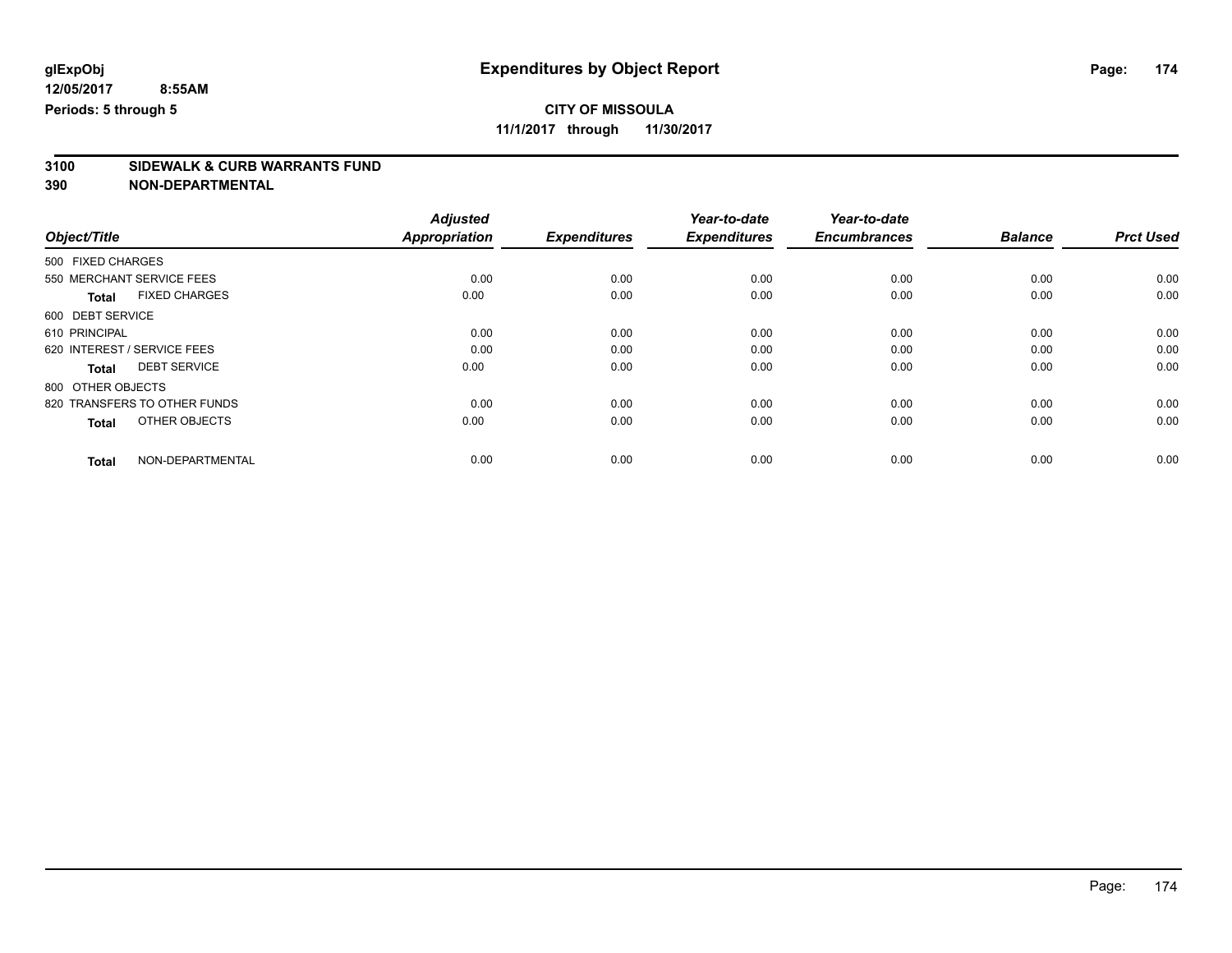### **CITY OF MISSOULA**

**11/1/2017 through 11/30/2017**

# **3100 SIDEWALK & CURB WARRANTS FUND**

|                                      | <b>Adjusted</b>      |                     | Year-to-date        | Year-to-date        |                |                  |
|--------------------------------------|----------------------|---------------------|---------------------|---------------------|----------------|------------------|
| Object/Title                         | <b>Appropriation</b> | <b>Expenditures</b> | <b>Expenditures</b> | <b>Encumbrances</b> | <b>Balance</b> | <b>Prct Used</b> |
| 500 FIXED CHARGES                    |                      |                     |                     |                     |                |                  |
| 550 MERCHANT SERVICE FEES            | 0.00                 | 0.00                | 0.00                | 0.00                | 0.00           | 0.00             |
| <b>FIXED CHARGES</b><br><b>Total</b> | 0.00                 | 0.00                | 0.00                | 0.00                | 0.00           | 0.00             |
| 600 DEBT SERVICE                     |                      |                     |                     |                     |                |                  |
| 610 PRINCIPAL                        | 0.00                 | 0.00                | 0.00                | 0.00                | 0.00           | 0.00             |
| 620 INTEREST / SERVICE FEES          | 0.00                 | 0.00                | 0.00                | 0.00                | 0.00           | 0.00             |
| <b>DEBT SERVICE</b><br><b>Total</b>  | 0.00                 | 0.00                | 0.00                | 0.00                | 0.00           | 0.00             |
| 800 OTHER OBJECTS                    |                      |                     |                     |                     |                |                  |
| 820 TRANSFERS TO OTHER FUNDS         | 0.00                 | 0.00                | 0.00                | 0.00                | 0.00           | 0.00             |
| OTHER OBJECTS<br><b>Total</b>        | 0.00                 | 0.00                | 0.00                | 0.00                | 0.00           | 0.00             |
|                                      |                      |                     |                     |                     |                |                  |
| NON-DEPARTMENTAL<br><b>Total</b>     | 0.00                 | 0.00                | 0.00                | 0.00                | 0.00           | 0.00             |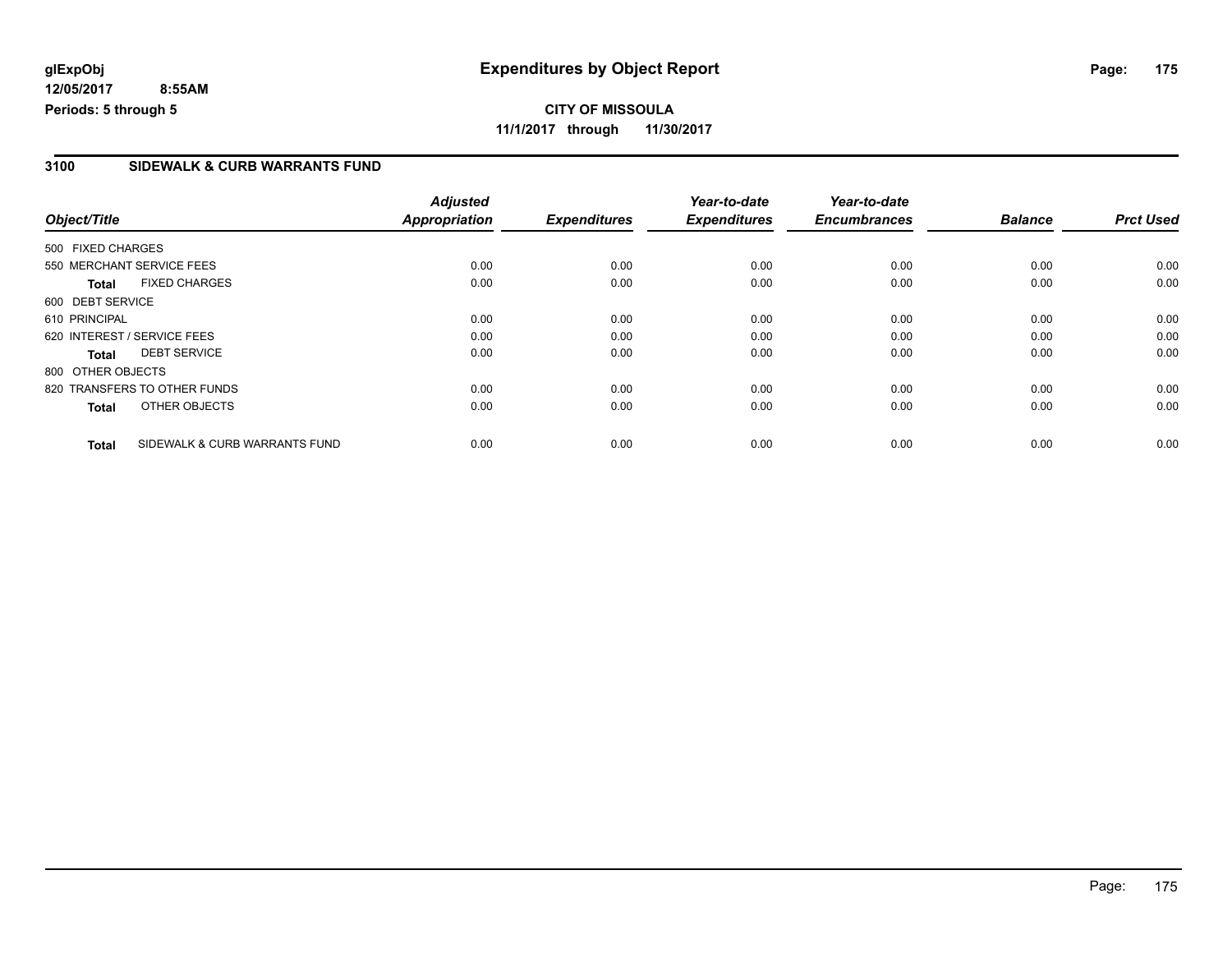#### **3100 SIDEWALK & CURB WARRANTS FUND**

|                             |                               | <b>Adjusted</b>      |                     | Year-to-date        | Year-to-date        |                |                  |
|-----------------------------|-------------------------------|----------------------|---------------------|---------------------|---------------------|----------------|------------------|
| Object/Title                |                               | <b>Appropriation</b> | <b>Expenditures</b> | <b>Expenditures</b> | <b>Encumbrances</b> | <b>Balance</b> | <b>Prct Used</b> |
| 500 FIXED CHARGES           |                               |                      |                     |                     |                     |                |                  |
| 550 MERCHANT SERVICE FEES   |                               | 0.00                 | 0.00                | 0.00                | 0.00                | 0.00           | 0.00             |
| <b>Total</b>                | <b>FIXED CHARGES</b>          | 0.00                 | 0.00                | 0.00                | 0.00                | 0.00           | 0.00             |
| 600 DEBT SERVICE            |                               |                      |                     |                     |                     |                |                  |
| 610 PRINCIPAL               |                               | 0.00                 | 0.00                | 0.00                | 0.00                | 0.00           | 0.00             |
| 620 INTEREST / SERVICE FEES |                               | 0.00                 | 0.00                | 0.00                | 0.00                | 0.00           | 0.00             |
| Total                       | <b>DEBT SERVICE</b>           | 0.00                 | 0.00                | 0.00                | 0.00                | 0.00           | 0.00             |
| 800 OTHER OBJECTS           |                               |                      |                     |                     |                     |                |                  |
|                             | 820 TRANSFERS TO OTHER FUNDS  | 0.00                 | 0.00                | 0.00                | 0.00                | 0.00           | 0.00             |
| <b>Total</b>                | OTHER OBJECTS                 | 0.00                 | 0.00                | 0.00                | 0.00                | 0.00           | 0.00             |
| <b>Total</b>                | SIDEWALK & CURB WARRANTS FUND | 0.00                 | 0.00                | 0.00                | 0.00                | 0.00           | 0.00             |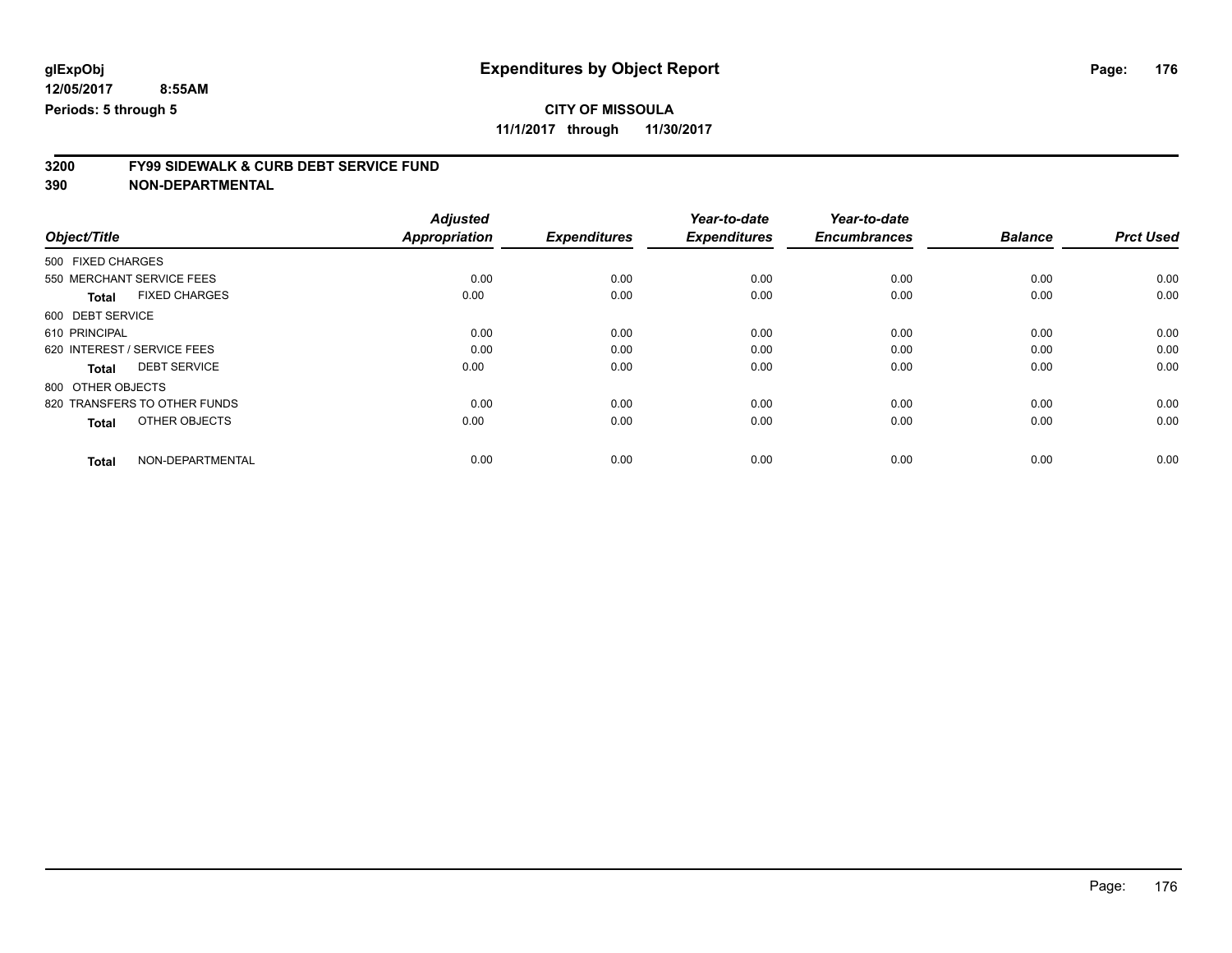### **CITY OF MISSOULA**

**11/1/2017 through 11/30/2017**

# **3200 FY99 SIDEWALK & CURB DEBT SERVICE FUND**

| Object/Title                         | <b>Adjusted</b><br>Appropriation | <b>Expenditures</b> | Year-to-date<br><b>Expenditures</b> | Year-to-date<br><b>Encumbrances</b> | <b>Balance</b> | <b>Prct Used</b> |
|--------------------------------------|----------------------------------|---------------------|-------------------------------------|-------------------------------------|----------------|------------------|
|                                      |                                  |                     |                                     |                                     |                |                  |
| 500 FIXED CHARGES                    |                                  |                     |                                     |                                     |                |                  |
| 550 MERCHANT SERVICE FEES            | 0.00                             | 0.00                | 0.00                                | 0.00                                | 0.00           | 0.00             |
| <b>FIXED CHARGES</b><br><b>Total</b> | 0.00                             | 0.00                | 0.00                                | 0.00                                | 0.00           | 0.00             |
| 600 DEBT SERVICE                     |                                  |                     |                                     |                                     |                |                  |
| 610 PRINCIPAL                        | 0.00                             | 0.00                | 0.00                                | 0.00                                | 0.00           | 0.00             |
| 620 INTEREST / SERVICE FEES          | 0.00                             | 0.00                | 0.00                                | 0.00                                | 0.00           | 0.00             |
| <b>DEBT SERVICE</b><br><b>Total</b>  | 0.00                             | 0.00                | 0.00                                | 0.00                                | 0.00           | 0.00             |
| 800 OTHER OBJECTS                    |                                  |                     |                                     |                                     |                |                  |
| 820 TRANSFERS TO OTHER FUNDS         | 0.00                             | 0.00                | 0.00                                | 0.00                                | 0.00           | 0.00             |
| OTHER OBJECTS<br><b>Total</b>        | 0.00                             | 0.00                | 0.00                                | 0.00                                | 0.00           | 0.00             |
|                                      |                                  |                     |                                     |                                     |                |                  |
| NON-DEPARTMENTAL<br><b>Total</b>     | 0.00                             | 0.00                | 0.00                                | 0.00                                | 0.00           | 0.00             |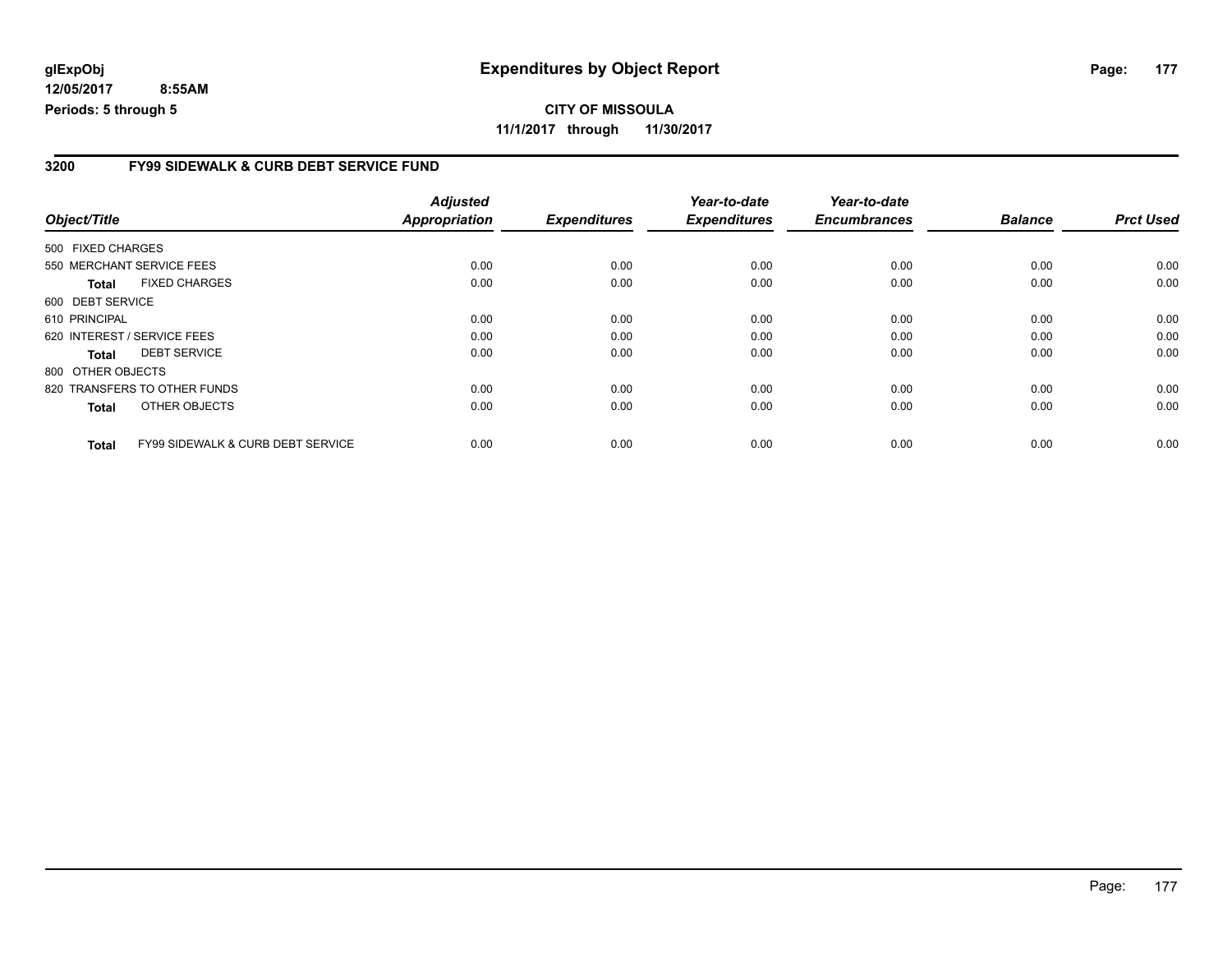#### **3200 FY99 SIDEWALK & CURB DEBT SERVICE FUND**

|                             |                                              | <b>Adjusted</b> |                     | Year-to-date        | Year-to-date        |                |                  |
|-----------------------------|----------------------------------------------|-----------------|---------------------|---------------------|---------------------|----------------|------------------|
| Object/Title                |                                              | Appropriation   | <b>Expenditures</b> | <b>Expenditures</b> | <b>Encumbrances</b> | <b>Balance</b> | <b>Prct Used</b> |
| 500 FIXED CHARGES           |                                              |                 |                     |                     |                     |                |                  |
| 550 MERCHANT SERVICE FEES   |                                              | 0.00            | 0.00                | 0.00                | 0.00                | 0.00           | 0.00             |
| Total                       | <b>FIXED CHARGES</b>                         | 0.00            | 0.00                | 0.00                | 0.00                | 0.00           | 0.00             |
| 600 DEBT SERVICE            |                                              |                 |                     |                     |                     |                |                  |
| 610 PRINCIPAL               |                                              | 0.00            | 0.00                | 0.00                | 0.00                | 0.00           | 0.00             |
| 620 INTEREST / SERVICE FEES |                                              | 0.00            | 0.00                | 0.00                | 0.00                | 0.00           | 0.00             |
| <b>Total</b>                | <b>DEBT SERVICE</b>                          | 0.00            | 0.00                | 0.00                | 0.00                | 0.00           | 0.00             |
| 800 OTHER OBJECTS           |                                              |                 |                     |                     |                     |                |                  |
|                             | 820 TRANSFERS TO OTHER FUNDS                 | 0.00            | 0.00                | 0.00                | 0.00                | 0.00           | 0.00             |
| <b>Total</b>                | OTHER OBJECTS                                | 0.00            | 0.00                | 0.00                | 0.00                | 0.00           | 0.00             |
| <b>Total</b>                | <b>FY99 SIDEWALK &amp; CURB DEBT SERVICE</b> | 0.00            | 0.00                | 0.00                | 0.00                | 0.00           | 0.00             |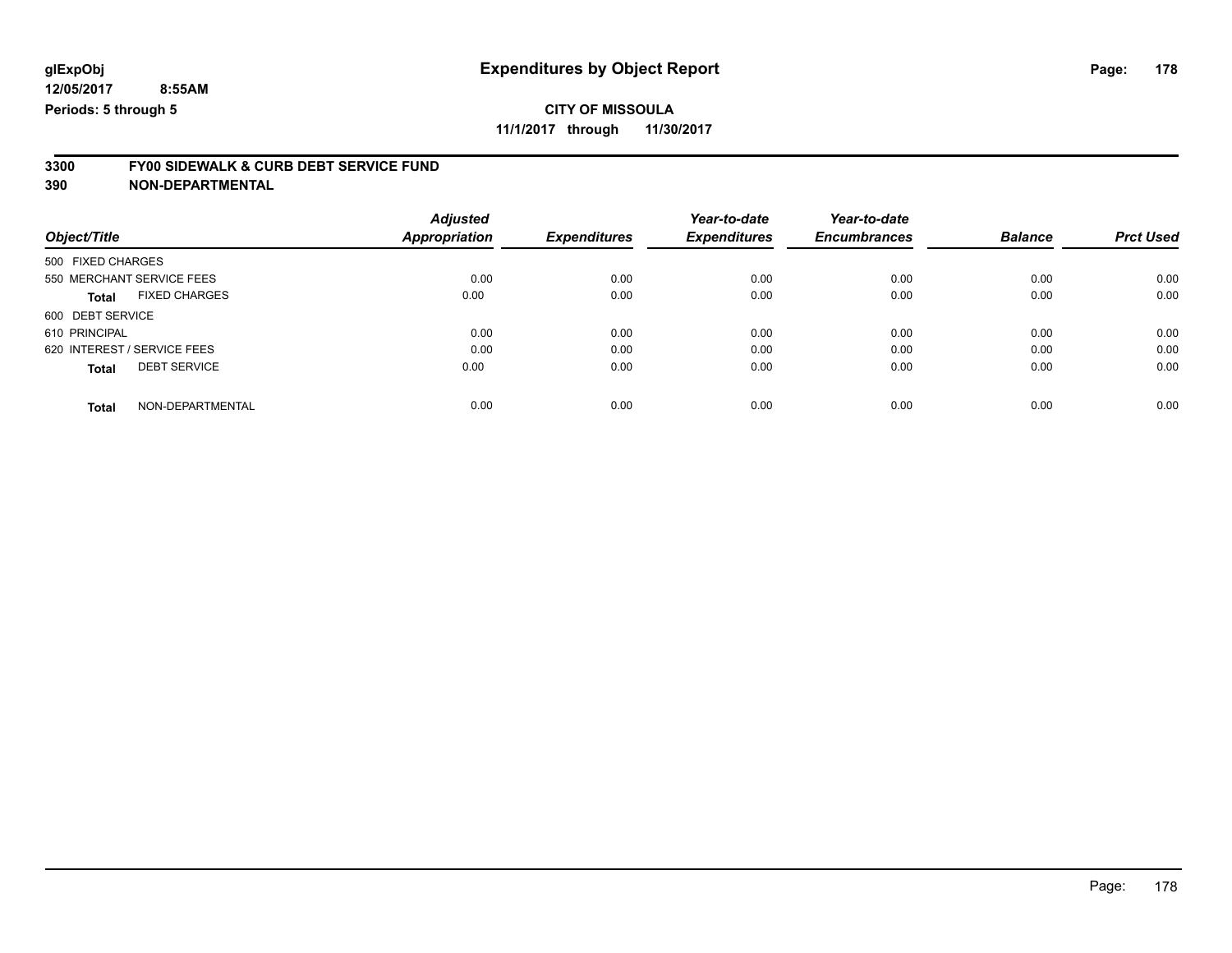### **CITY OF MISSOULA**

**11/1/2017 through 11/30/2017**

# **3300 FY00 SIDEWALK & CURB DEBT SERVICE FUND**

|                                      | <b>Adjusted</b>      |                     | Year-to-date        | Year-to-date        |                |                  |
|--------------------------------------|----------------------|---------------------|---------------------|---------------------|----------------|------------------|
| Object/Title                         | <b>Appropriation</b> | <b>Expenditures</b> | <b>Expenditures</b> | <b>Encumbrances</b> | <b>Balance</b> | <b>Prct Used</b> |
| 500 FIXED CHARGES                    |                      |                     |                     |                     |                |                  |
| 550 MERCHANT SERVICE FEES            | 0.00                 | 0.00                | 0.00                | 0.00                | 0.00           | 0.00             |
| <b>FIXED CHARGES</b><br><b>Total</b> | 0.00                 | 0.00                | 0.00                | 0.00                | 0.00           | 0.00             |
| 600 DEBT SERVICE                     |                      |                     |                     |                     |                |                  |
| 610 PRINCIPAL                        | 0.00                 | 0.00                | 0.00                | 0.00                | 0.00           | 0.00             |
| 620 INTEREST / SERVICE FEES          | 0.00                 | 0.00                | 0.00                | 0.00                | 0.00           | 0.00             |
| <b>DEBT SERVICE</b><br><b>Total</b>  | 0.00                 | 0.00                | 0.00                | 0.00                | 0.00           | 0.00             |
| NON-DEPARTMENTAL<br>Total            | 0.00                 | 0.00                | 0.00                | 0.00                | 0.00           | 0.00             |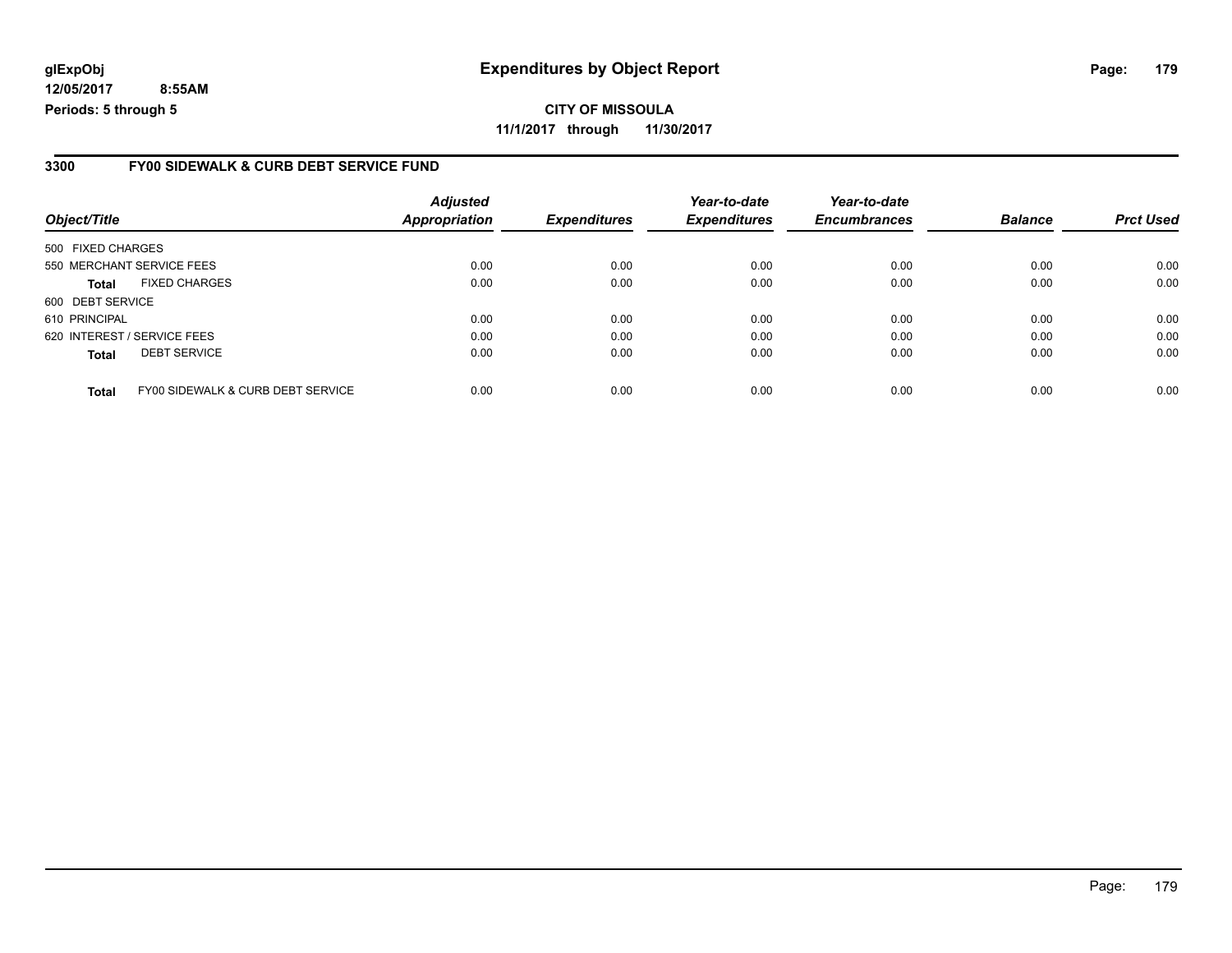**CITY OF MISSOULA 11/1/2017 through 11/30/2017**

#### **3300 FY00 SIDEWALK & CURB DEBT SERVICE FUND**

| Object/Title                |                                   | <b>Adjusted</b><br><b>Appropriation</b> | <b>Expenditures</b> | Year-to-date<br><b>Expenditures</b> | Year-to-date<br><b>Encumbrances</b> | <b>Balance</b> | <b>Prct Used</b> |
|-----------------------------|-----------------------------------|-----------------------------------------|---------------------|-------------------------------------|-------------------------------------|----------------|------------------|
| 500 FIXED CHARGES           |                                   |                                         |                     |                                     |                                     |                |                  |
| 550 MERCHANT SERVICE FEES   |                                   | 0.00                                    | 0.00                | 0.00                                | 0.00                                | 0.00           | 0.00             |
| <b>Total</b>                | <b>FIXED CHARGES</b>              | 0.00                                    | 0.00                | 0.00                                | 0.00                                | 0.00           | 0.00             |
| 600 DEBT SERVICE            |                                   |                                         |                     |                                     |                                     |                |                  |
| 610 PRINCIPAL               |                                   | 0.00                                    | 0.00                | 0.00                                | 0.00                                | 0.00           | 0.00             |
| 620 INTEREST / SERVICE FEES |                                   | 0.00                                    | 0.00                | 0.00                                | 0.00                                | 0.00           | 0.00             |
| <b>Total</b>                | <b>DEBT SERVICE</b>               | 0.00                                    | 0.00                | 0.00                                | 0.00                                | 0.00           | 0.00             |
| <b>Total</b>                | FY00 SIDEWALK & CURB DEBT SERVICE | 0.00                                    | 0.00                | 0.00                                | 0.00                                | 0.00           | 0.00             |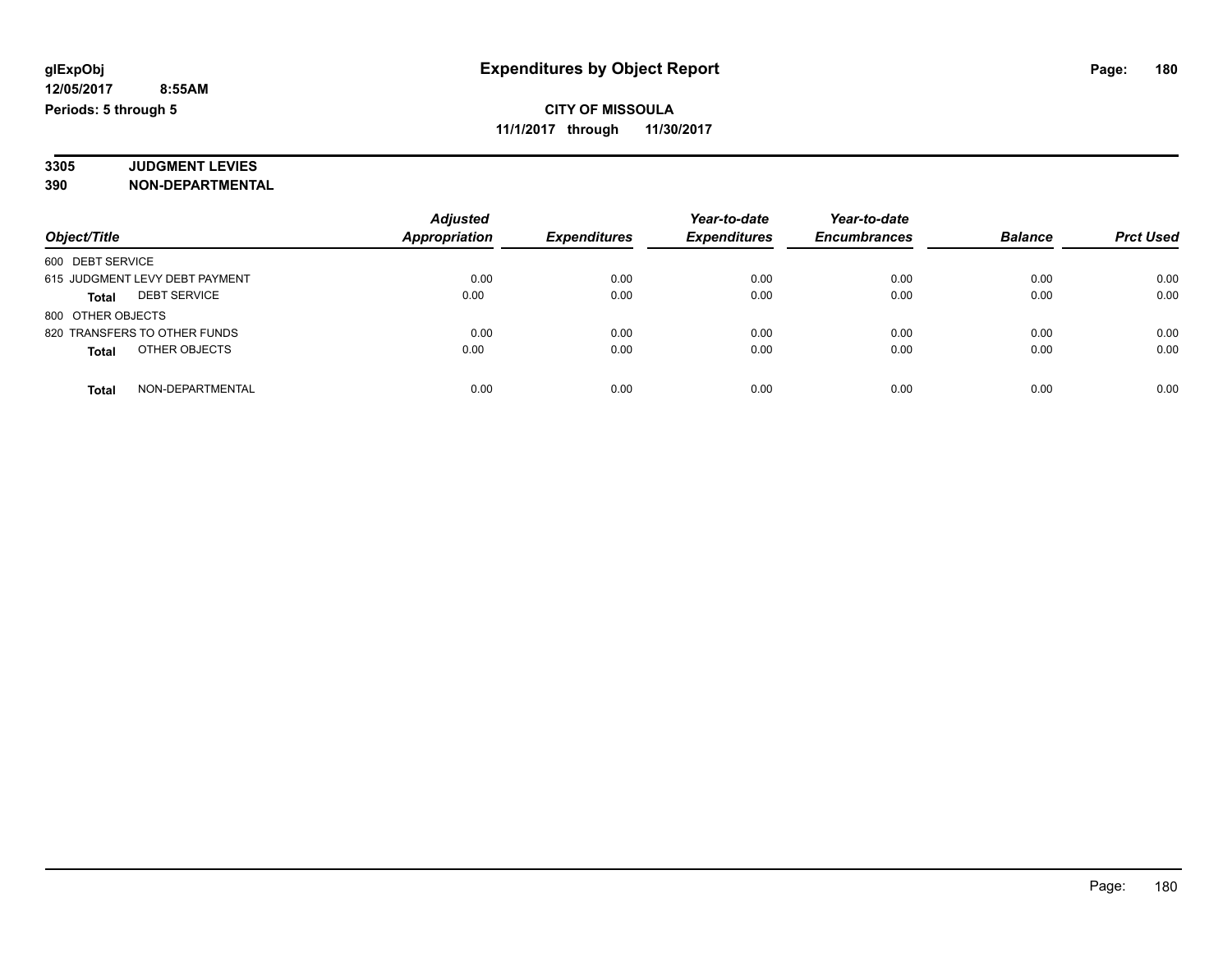#### **3305 JUDGMENT LEVIES 390 NON-DEPARTMENTAL**

|                                     | <b>Adjusted</b>      |                     | Year-to-date<br><b>Expenditures</b> | Year-to-date<br><b>Encumbrances</b> | <b>Balance</b> | <b>Prct Used</b> |
|-------------------------------------|----------------------|---------------------|-------------------------------------|-------------------------------------|----------------|------------------|
| Object/Title                        | <b>Appropriation</b> | <b>Expenditures</b> |                                     |                                     |                |                  |
| 600 DEBT SERVICE                    |                      |                     |                                     |                                     |                |                  |
| 615 JUDGMENT LEVY DEBT PAYMENT      | 0.00                 | 0.00                | 0.00                                | 0.00                                | 0.00           | 0.00             |
| <b>DEBT SERVICE</b><br><b>Total</b> | 0.00                 | 0.00                | 0.00                                | 0.00                                | 0.00           | 0.00             |
| 800 OTHER OBJECTS                   |                      |                     |                                     |                                     |                |                  |
| 820 TRANSFERS TO OTHER FUNDS        | 0.00                 | 0.00                | 0.00                                | 0.00                                | 0.00           | 0.00             |
| OTHER OBJECTS<br><b>Total</b>       | 0.00                 | 0.00                | 0.00                                | 0.00                                | 0.00           | 0.00             |
| NON-DEPARTMENTAL<br><b>Total</b>    | 0.00                 | 0.00                | 0.00                                | 0.00                                | 0.00           | 0.00             |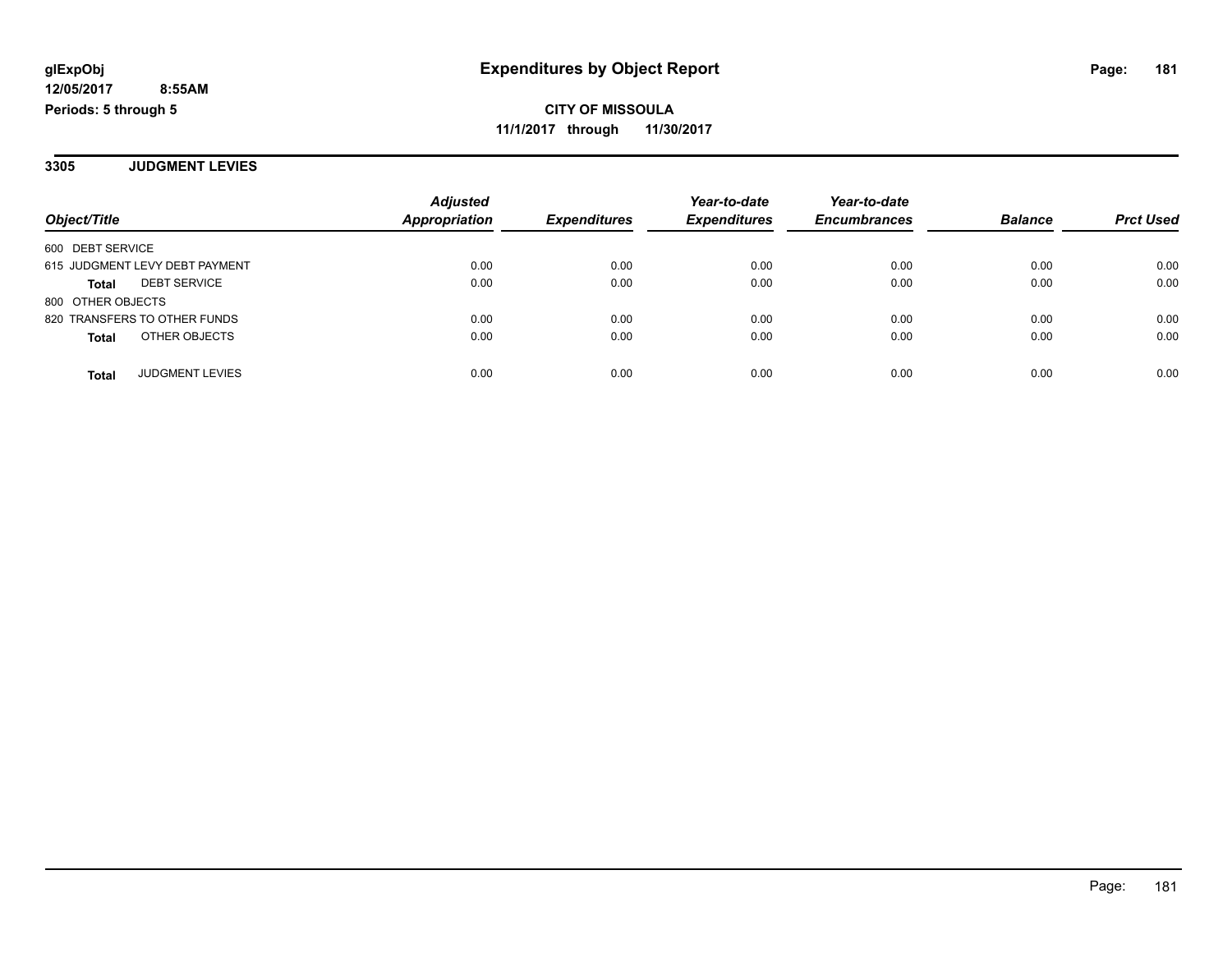**3305 JUDGMENT LEVIES**

|                                     | <b>Adjusted</b><br><b>Appropriation</b> |                     | Year-to-date        | Year-to-date        | <b>Balance</b> |                  |
|-------------------------------------|-----------------------------------------|---------------------|---------------------|---------------------|----------------|------------------|
| Object/Title                        |                                         | <b>Expenditures</b> | <b>Expenditures</b> | <b>Encumbrances</b> |                | <b>Prct Used</b> |
| 600 DEBT SERVICE                    |                                         |                     |                     |                     |                |                  |
| 615 JUDGMENT LEVY DEBT PAYMENT      | 0.00                                    | 0.00                | 0.00                | 0.00                | 0.00           | 0.00             |
| <b>DEBT SERVICE</b><br><b>Total</b> | 0.00                                    | 0.00                | 0.00                | 0.00                | 0.00           | 0.00             |
| 800 OTHER OBJECTS                   |                                         |                     |                     |                     |                |                  |
| 820 TRANSFERS TO OTHER FUNDS        | 0.00                                    | 0.00                | 0.00                | 0.00                | 0.00           | 0.00             |
| OTHER OBJECTS<br><b>Total</b>       | 0.00                                    | 0.00                | 0.00                | 0.00                | 0.00           | 0.00             |
| <b>JUDGMENT LEVIES</b><br>Total     | 0.00                                    | 0.00                | 0.00                | 0.00                | 0.00           | 0.00             |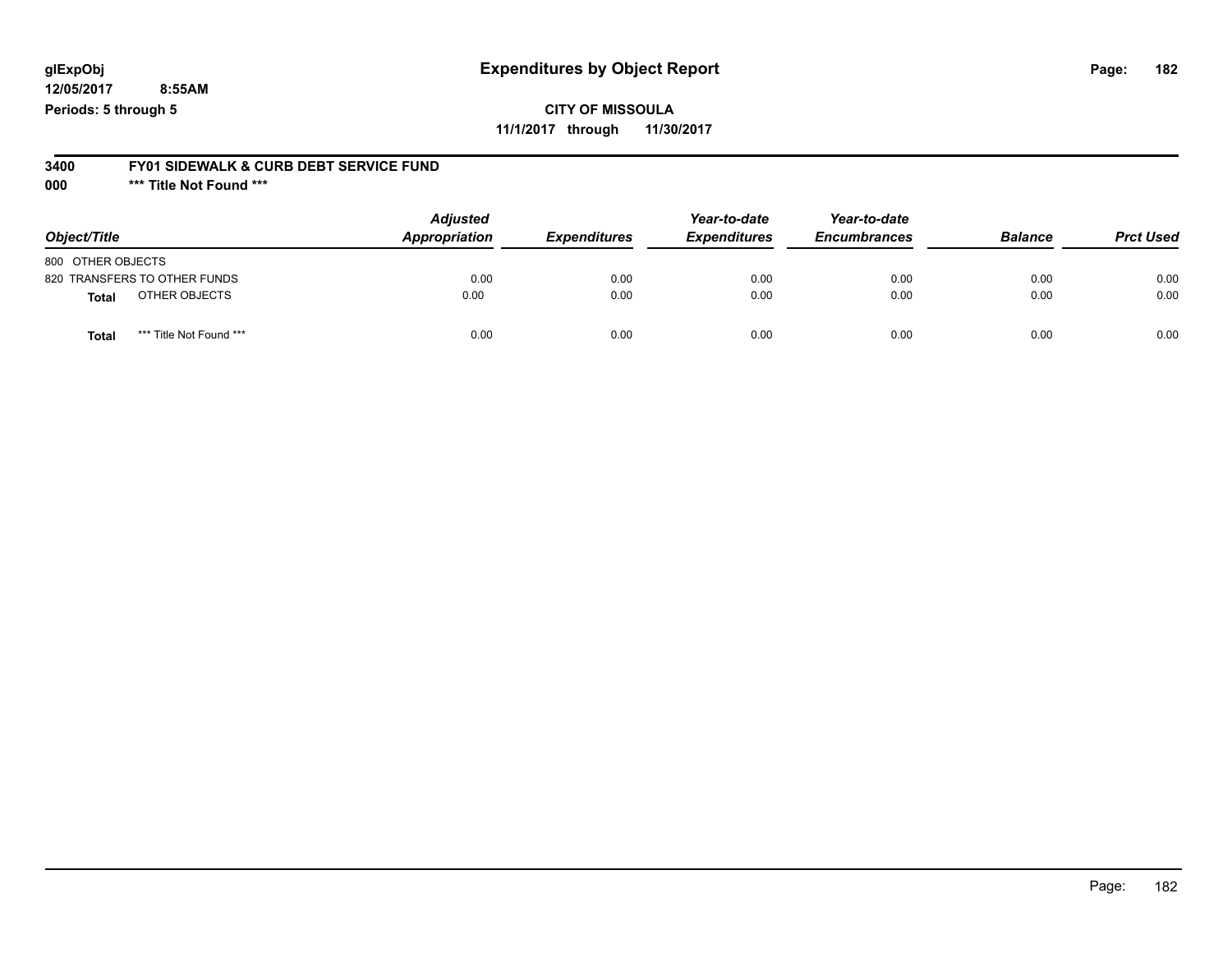## **glExpObj Expenditures by Object Report Page: 182**

**12/05/2017 8:55AM Periods: 5 through 5**

#### **3400 FY01 SIDEWALK & CURB DEBT SERVICE FUND**

**000 \*\*\* Title Not Found \*\*\***

| Object/Title                            | <b>Adjusted</b><br>Appropriation | <b>Expenditures</b> | Year-to-date<br><b>Expenditures</b> | Year-to-date<br><b>Encumbrances</b> | <b>Balance</b> | <b>Prct Used</b> |
|-----------------------------------------|----------------------------------|---------------------|-------------------------------------|-------------------------------------|----------------|------------------|
| 800 OTHER OBJECTS                       |                                  |                     |                                     |                                     |                |                  |
| 820 TRANSFERS TO OTHER FUNDS            | 0.00                             | 0.00                | 0.00                                | 0.00                                | 0.00           | 0.00             |
| OTHER OBJECTS<br><b>Total</b>           | 0.00                             | 0.00                | 0.00                                | 0.00                                | 0.00           | 0.00             |
| *** Title Not Found ***<br><b>Total</b> | 0.00                             | 0.00                | 0.00                                | 0.00                                | 0.00           | 0.00             |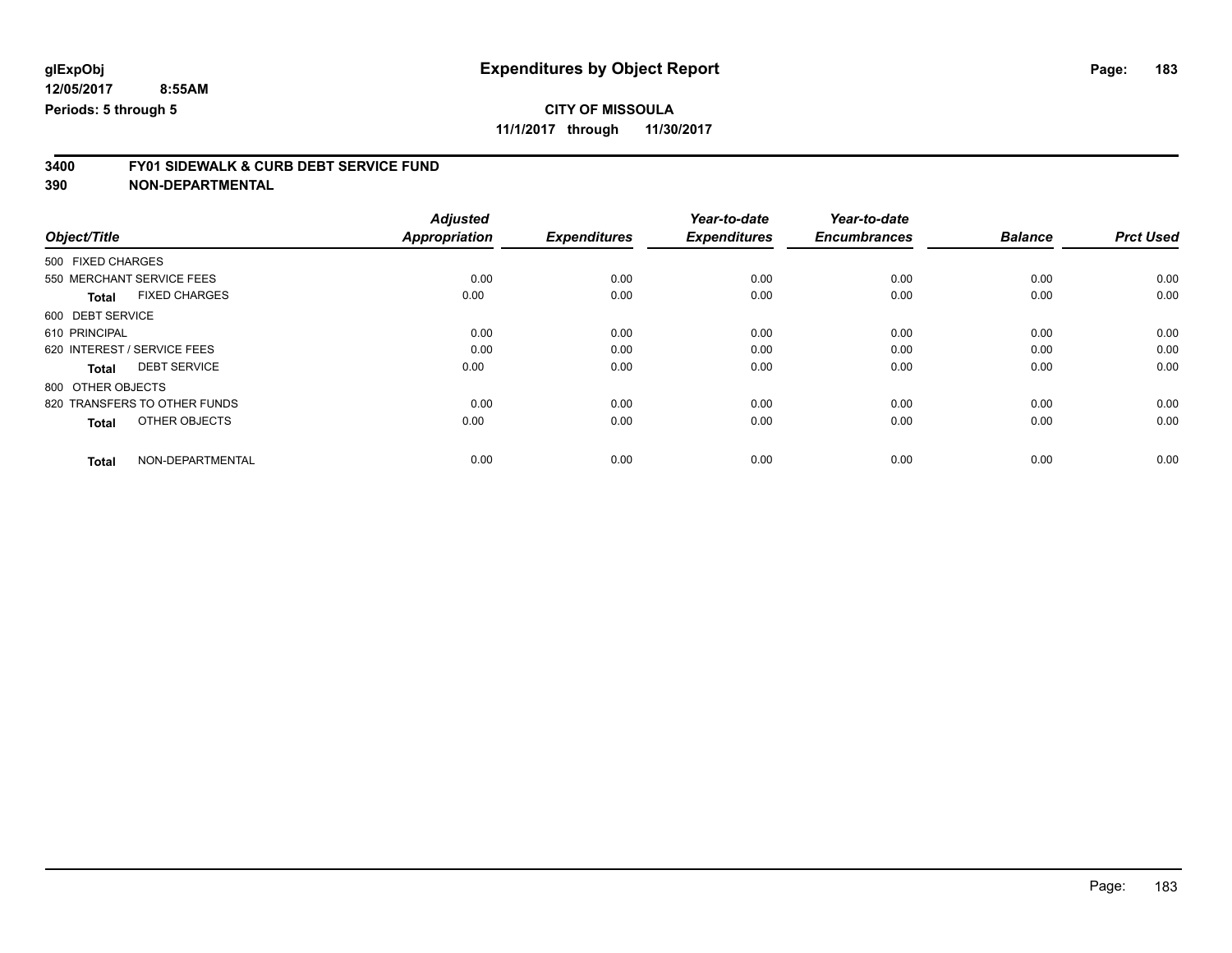**11/1/2017 through 11/30/2017**

# **3400 FY01 SIDEWALK & CURB DEBT SERVICE FUND**

|                                      | <b>Adjusted</b>      |                     | Year-to-date        | Year-to-date        |                |                  |
|--------------------------------------|----------------------|---------------------|---------------------|---------------------|----------------|------------------|
| Object/Title                         | <b>Appropriation</b> | <b>Expenditures</b> | <b>Expenditures</b> | <b>Encumbrances</b> | <b>Balance</b> | <b>Prct Used</b> |
| 500 FIXED CHARGES                    |                      |                     |                     |                     |                |                  |
| 550 MERCHANT SERVICE FEES            | 0.00                 | 0.00                | 0.00                | 0.00                | 0.00           | 0.00             |
| <b>FIXED CHARGES</b><br><b>Total</b> | 0.00                 | 0.00                | 0.00                | 0.00                | 0.00           | 0.00             |
| 600 DEBT SERVICE                     |                      |                     |                     |                     |                |                  |
| 610 PRINCIPAL                        | 0.00                 | 0.00                | 0.00                | 0.00                | 0.00           | 0.00             |
| 620 INTEREST / SERVICE FEES          | 0.00                 | 0.00                | 0.00                | 0.00                | 0.00           | 0.00             |
| <b>DEBT SERVICE</b><br><b>Total</b>  | 0.00                 | 0.00                | 0.00                | 0.00                | 0.00           | 0.00             |
| 800 OTHER OBJECTS                    |                      |                     |                     |                     |                |                  |
| 820 TRANSFERS TO OTHER FUNDS         | 0.00                 | 0.00                | 0.00                | 0.00                | 0.00           | 0.00             |
| OTHER OBJECTS<br><b>Total</b>        | 0.00                 | 0.00                | 0.00                | 0.00                | 0.00           | 0.00             |
|                                      |                      |                     |                     |                     |                |                  |
| NON-DEPARTMENTAL<br><b>Total</b>     | 0.00                 | 0.00                | 0.00                | 0.00                | 0.00           | 0.00             |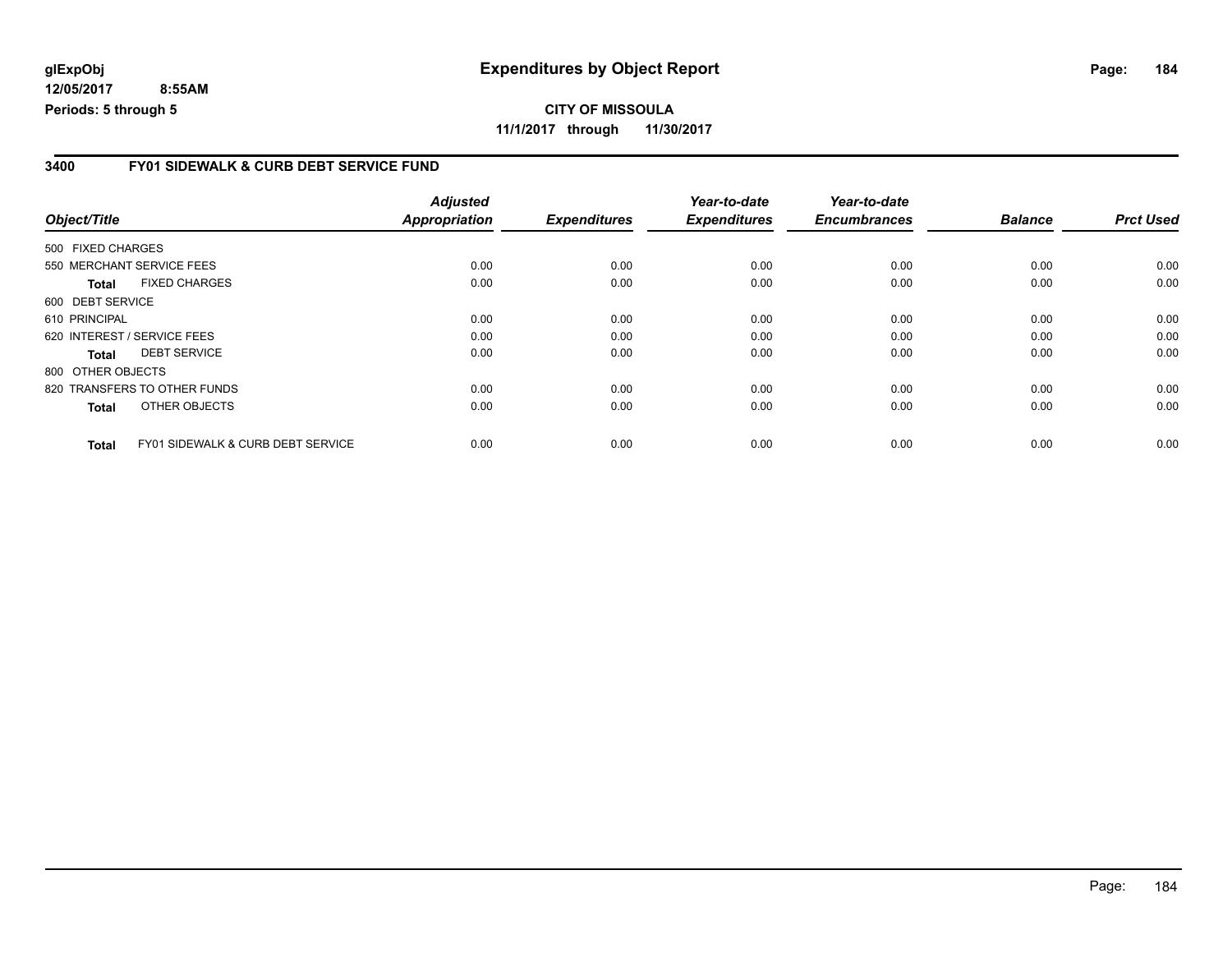### **3400 FY01 SIDEWALK & CURB DEBT SERVICE FUND**

|                              |                                              | <b>Adjusted</b> |                     | Year-to-date        | Year-to-date        |                |                  |
|------------------------------|----------------------------------------------|-----------------|---------------------|---------------------|---------------------|----------------|------------------|
| Object/Title                 |                                              | Appropriation   | <b>Expenditures</b> | <b>Expenditures</b> | <b>Encumbrances</b> | <b>Balance</b> | <b>Prct Used</b> |
| 500 FIXED CHARGES            |                                              |                 |                     |                     |                     |                |                  |
| 550 MERCHANT SERVICE FEES    |                                              | 0.00            | 0.00                | 0.00                | 0.00                | 0.00           | 0.00             |
| Total                        | <b>FIXED CHARGES</b>                         | 0.00            | 0.00                | 0.00                | 0.00                | 0.00           | 0.00             |
| 600 DEBT SERVICE             |                                              |                 |                     |                     |                     |                |                  |
| 610 PRINCIPAL                |                                              | 0.00            | 0.00                | 0.00                | 0.00                | 0.00           | 0.00             |
| 620 INTEREST / SERVICE FEES  |                                              | 0.00            | 0.00                | 0.00                | 0.00                | 0.00           | 0.00             |
| <b>Total</b>                 | <b>DEBT SERVICE</b>                          | 0.00            | 0.00                | 0.00                | 0.00                | 0.00           | 0.00             |
| 800 OTHER OBJECTS            |                                              |                 |                     |                     |                     |                |                  |
| 820 TRANSFERS TO OTHER FUNDS |                                              | 0.00            | 0.00                | 0.00                | 0.00                | 0.00           | 0.00             |
| <b>Total</b>                 | OTHER OBJECTS                                | 0.00            | 0.00                | 0.00                | 0.00                | 0.00           | 0.00             |
| <b>Total</b>                 | <b>FY01 SIDEWALK &amp; CURB DEBT SERVICE</b> | 0.00            | 0.00                | 0.00                | 0.00                | 0.00           | 0.00             |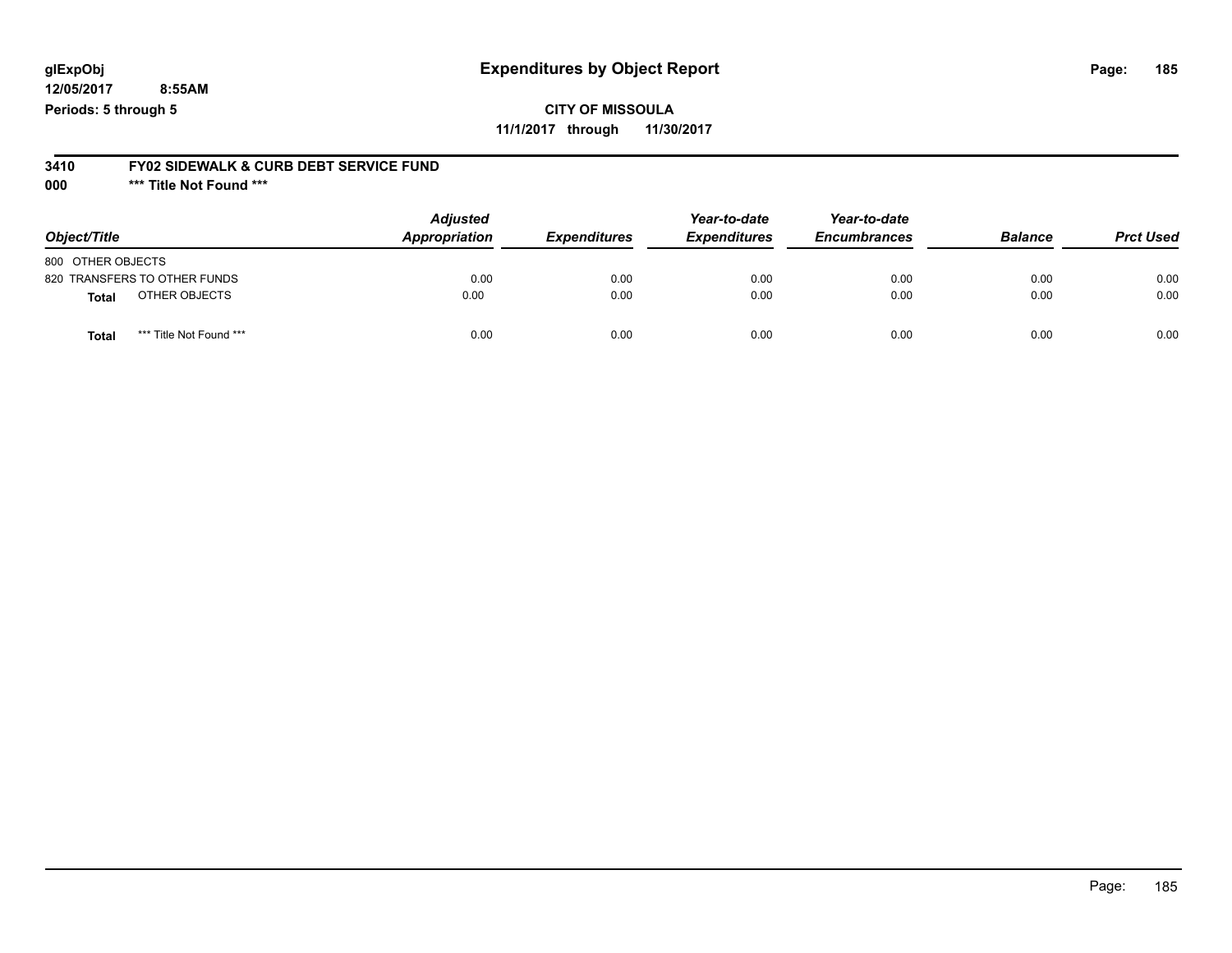## **glExpObj Expenditures by Object Report Page: 185**

**12/05/2017 8:55AM Periods: 5 through 5**

**3410 FY02 SIDEWALK & CURB DEBT SERVICE FUND**

**000 \*\*\* Title Not Found \*\*\***

| Object/Title                     | <b>Adjusted</b><br>Appropriation | <b>Expenditures</b> | Year-to-date<br><b>Expenditures</b> | Year-to-date<br><b>Encumbrances</b> | <b>Balance</b> | <b>Prct Used</b> |
|----------------------------------|----------------------------------|---------------------|-------------------------------------|-------------------------------------|----------------|------------------|
| 800 OTHER OBJECTS                |                                  |                     |                                     |                                     |                |                  |
| 820 TRANSFERS TO OTHER FUNDS     | 0.00                             | 0.00                | 0.00                                | 0.00                                | 0.00           | 0.00             |
| OTHER OBJECTS<br><b>Total</b>    | 0.00                             | 0.00                | 0.00                                | 0.00                                | 0.00           | 0.00             |
| *** Title Not Found ***<br>Total | 0.00                             | 0.00                | 0.00                                | 0.00                                | 0.00           | 0.00             |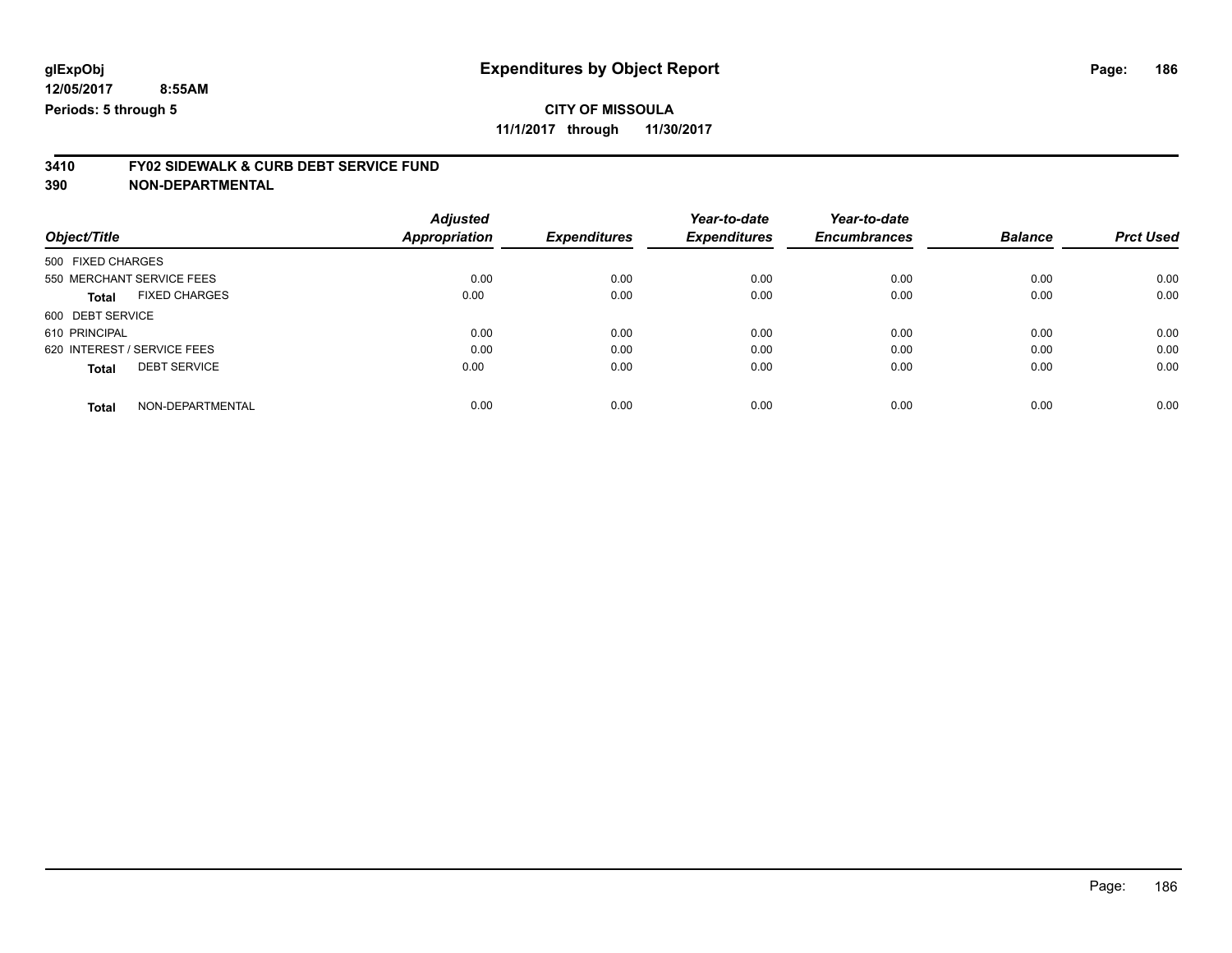## **CITY OF MISSOULA**

**11/1/2017 through 11/30/2017**

# **3410 FY02 SIDEWALK & CURB DEBT SERVICE FUND**

| Object/Title                         | <b>Adjusted</b><br>Appropriation | <b>Expenditures</b> | Year-to-date<br><b>Expenditures</b> | Year-to-date<br><b>Encumbrances</b> | <b>Balance</b> | <b>Prct Used</b> |
|--------------------------------------|----------------------------------|---------------------|-------------------------------------|-------------------------------------|----------------|------------------|
| 500 FIXED CHARGES                    |                                  |                     |                                     |                                     |                |                  |
| 550 MERCHANT SERVICE FEES            | 0.00                             | 0.00                | 0.00                                | 0.00                                | 0.00           | 0.00             |
| <b>FIXED CHARGES</b><br><b>Total</b> | 0.00                             | 0.00                | 0.00                                | 0.00                                | 0.00           | 0.00             |
| 600 DEBT SERVICE                     |                                  |                     |                                     |                                     |                |                  |
| 610 PRINCIPAL                        | 0.00                             | 0.00                | 0.00                                | 0.00                                | 0.00           | 0.00             |
| 620 INTEREST / SERVICE FEES          | 0.00                             | 0.00                | 0.00                                | 0.00                                | 0.00           | 0.00             |
| <b>DEBT SERVICE</b><br><b>Total</b>  | 0.00                             | 0.00                | 0.00                                | 0.00                                | 0.00           | 0.00             |
| NON-DEPARTMENTAL<br><b>Total</b>     | 0.00                             | 0.00                | 0.00                                | 0.00                                | 0.00           | 0.00             |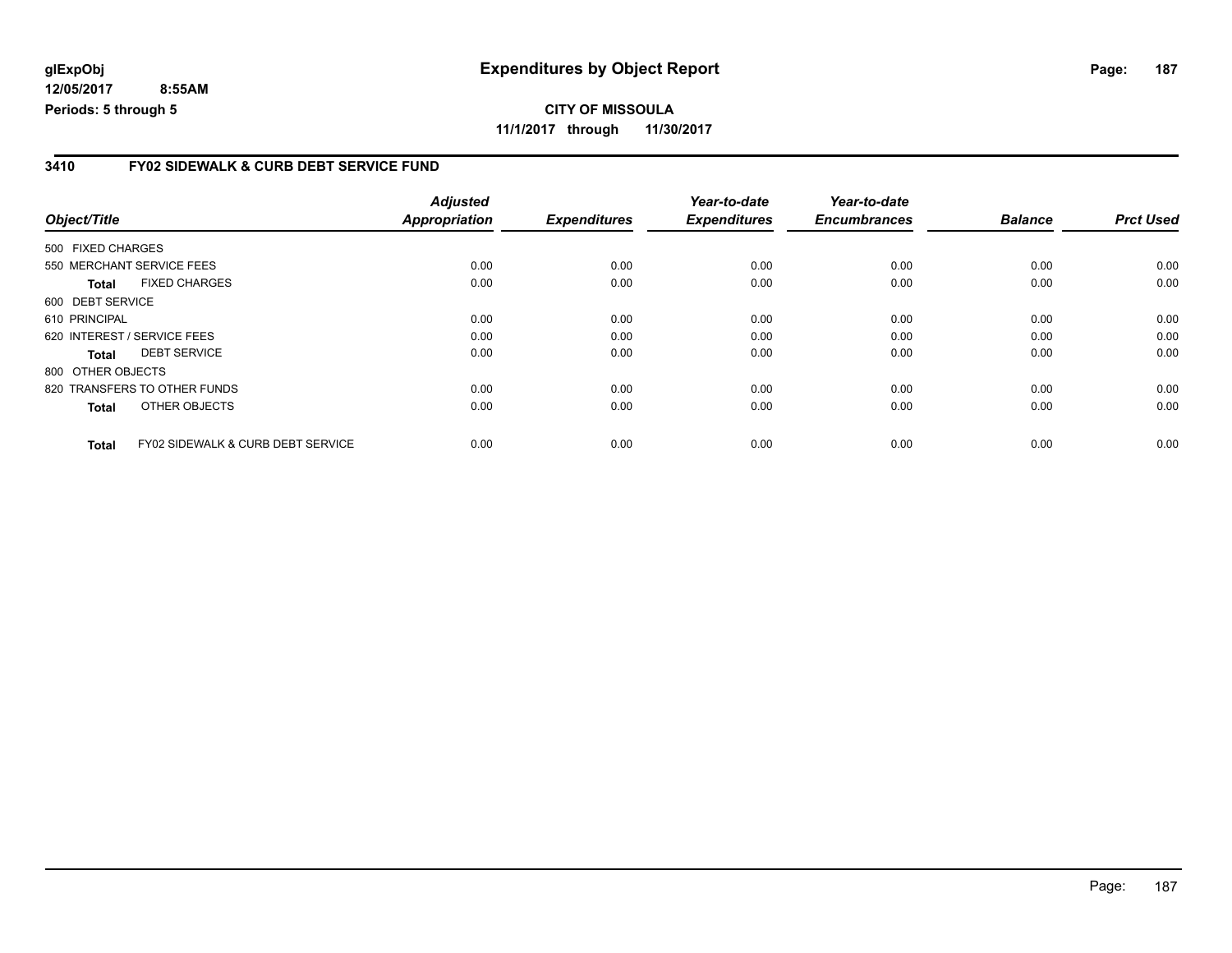### **3410 FY02 SIDEWALK & CURB DEBT SERVICE FUND**

| Object/Title      |                                              | <b>Adjusted</b><br><b>Appropriation</b> | <b>Expenditures</b> | Year-to-date<br><b>Expenditures</b> | Year-to-date<br><b>Encumbrances</b> | <b>Balance</b> | <b>Prct Used</b> |
|-------------------|----------------------------------------------|-----------------------------------------|---------------------|-------------------------------------|-------------------------------------|----------------|------------------|
|                   |                                              |                                         |                     |                                     |                                     |                |                  |
| 500 FIXED CHARGES |                                              |                                         |                     |                                     |                                     |                |                  |
|                   | 550 MERCHANT SERVICE FEES                    | 0.00                                    | 0.00                | 0.00                                | 0.00                                | 0.00           | 0.00             |
| Total             | <b>FIXED CHARGES</b>                         | 0.00                                    | 0.00                | 0.00                                | 0.00                                | 0.00           | 0.00             |
| 600 DEBT SERVICE  |                                              |                                         |                     |                                     |                                     |                |                  |
| 610 PRINCIPAL     |                                              | 0.00                                    | 0.00                | 0.00                                | 0.00                                | 0.00           | 0.00             |
|                   | 620 INTEREST / SERVICE FEES                  | 0.00                                    | 0.00                | 0.00                                | 0.00                                | 0.00           | 0.00             |
| Total             | <b>DEBT SERVICE</b>                          | 0.00                                    | 0.00                | 0.00                                | 0.00                                | 0.00           | 0.00             |
| 800 OTHER OBJECTS |                                              |                                         |                     |                                     |                                     |                |                  |
|                   | 820 TRANSFERS TO OTHER FUNDS                 | 0.00                                    | 0.00                | 0.00                                | 0.00                                | 0.00           | 0.00             |
| <b>Total</b>      | OTHER OBJECTS                                | 0.00                                    | 0.00                | 0.00                                | 0.00                                | 0.00           | 0.00             |
| <b>Total</b>      | <b>FY02 SIDEWALK &amp; CURB DEBT SERVICE</b> | 0.00                                    | 0.00                | 0.00                                | 0.00                                | 0.00           | 0.00             |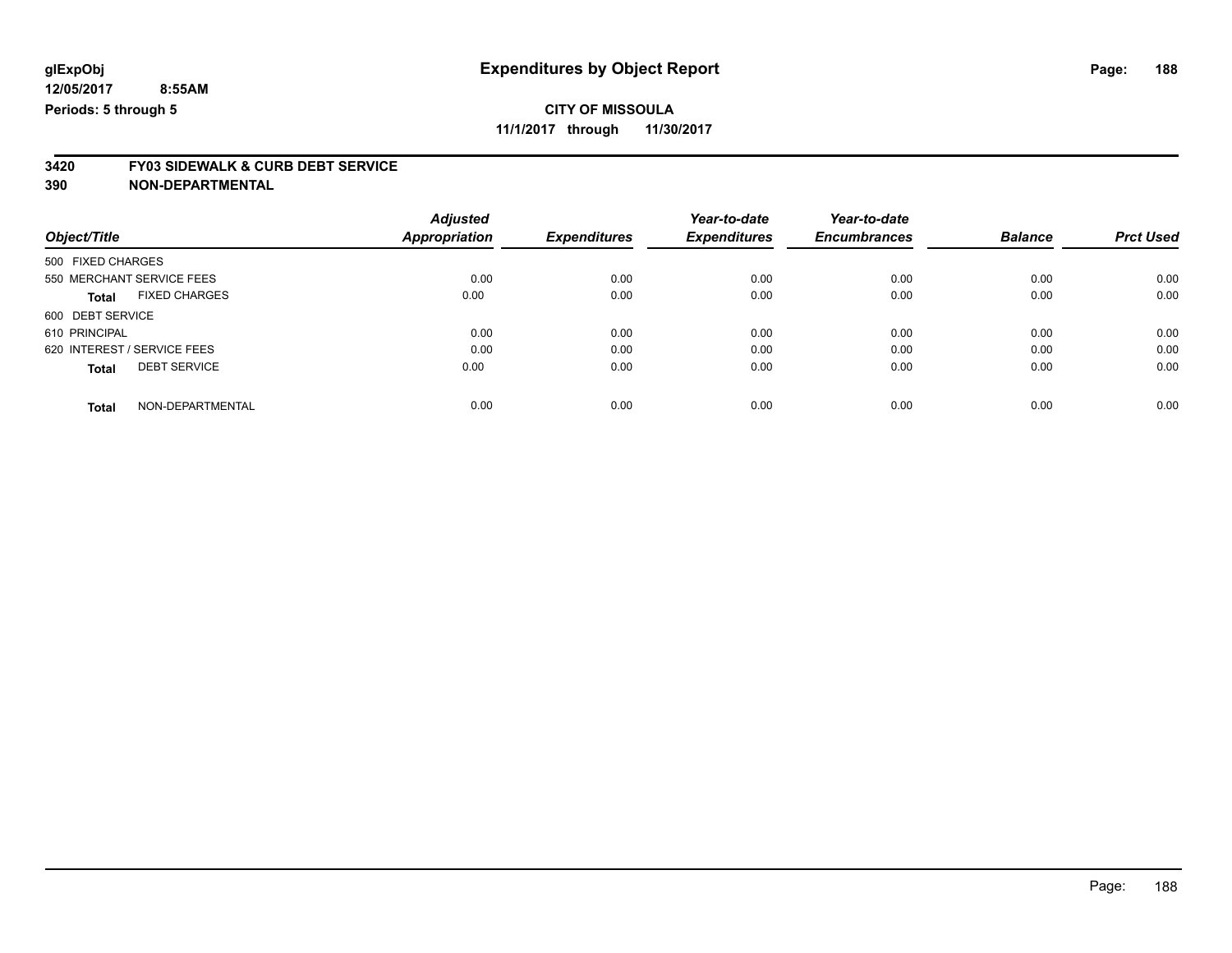**11/1/2017 through 11/30/2017**

# **3420 FY03 SIDEWALK & CURB DEBT SERVICE**

|                             |                      | <b>Adjusted</b> |                     | Year-to-date        | Year-to-date        |                |                  |
|-----------------------------|----------------------|-----------------|---------------------|---------------------|---------------------|----------------|------------------|
| Object/Title                |                      | Appropriation   | <b>Expenditures</b> | <b>Expenditures</b> | <b>Encumbrances</b> | <b>Balance</b> | <b>Prct Used</b> |
| 500 FIXED CHARGES           |                      |                 |                     |                     |                     |                |                  |
| 550 MERCHANT SERVICE FEES   |                      | 0.00            | 0.00                | 0.00                | 0.00                | 0.00           | 0.00             |
| <b>Total</b>                | <b>FIXED CHARGES</b> | 0.00            | 0.00                | 0.00                | 0.00                | 0.00           | 0.00             |
| 600 DEBT SERVICE            |                      |                 |                     |                     |                     |                |                  |
| 610 PRINCIPAL               |                      | 0.00            | 0.00                | 0.00                | 0.00                | 0.00           | 0.00             |
| 620 INTEREST / SERVICE FEES |                      | 0.00            | 0.00                | 0.00                | 0.00                | 0.00           | 0.00             |
| <b>Total</b>                | <b>DEBT SERVICE</b>  | 0.00            | 0.00                | 0.00                | 0.00                | 0.00           | 0.00             |
| <b>Total</b>                | NON-DEPARTMENTAL     | 0.00            | 0.00                | 0.00                | 0.00                | 0.00           | 0.00             |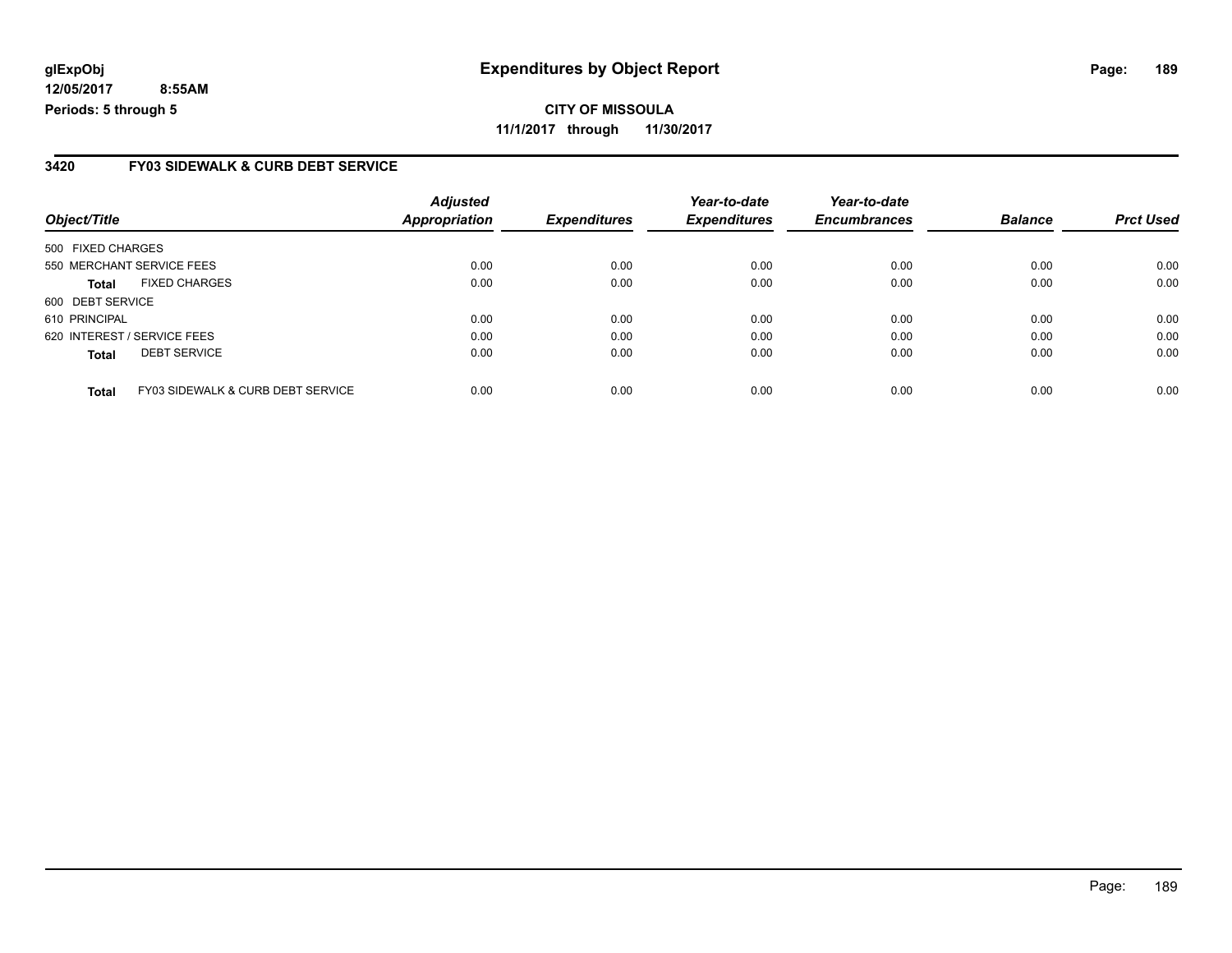**CITY OF MISSOULA 11/1/2017 through 11/30/2017**

### **3420 FY03 SIDEWALK & CURB DEBT SERVICE**

| Object/Title                |                                   | <b>Adjusted</b><br><b>Appropriation</b> | <b>Expenditures</b> | Year-to-date<br><b>Expenditures</b> | Year-to-date<br><b>Encumbrances</b> | <b>Balance</b> | <b>Prct Used</b> |
|-----------------------------|-----------------------------------|-----------------------------------------|---------------------|-------------------------------------|-------------------------------------|----------------|------------------|
|                             |                                   |                                         |                     |                                     |                                     |                |                  |
| 500 FIXED CHARGES           |                                   |                                         |                     |                                     |                                     |                |                  |
| 550 MERCHANT SERVICE FEES   |                                   | 0.00                                    | 0.00                | 0.00                                | 0.00                                | 0.00           | 0.00             |
| <b>Total</b>                | <b>FIXED CHARGES</b>              | 0.00                                    | 0.00                | 0.00                                | 0.00                                | 0.00           | 0.00             |
| 600 DEBT SERVICE            |                                   |                                         |                     |                                     |                                     |                |                  |
| 610 PRINCIPAL               |                                   | 0.00                                    | 0.00                | 0.00                                | 0.00                                | 0.00           | 0.00             |
| 620 INTEREST / SERVICE FEES |                                   | 0.00                                    | 0.00                | 0.00                                | 0.00                                | 0.00           | 0.00             |
| <b>Total</b>                | <b>DEBT SERVICE</b>               | 0.00                                    | 0.00                | 0.00                                | 0.00                                | 0.00           | 0.00             |
| <b>Total</b>                | FY03 SIDEWALK & CURB DEBT SERVICE | 0.00                                    | 0.00                | 0.00                                | 0.00                                | 0.00           | 0.00             |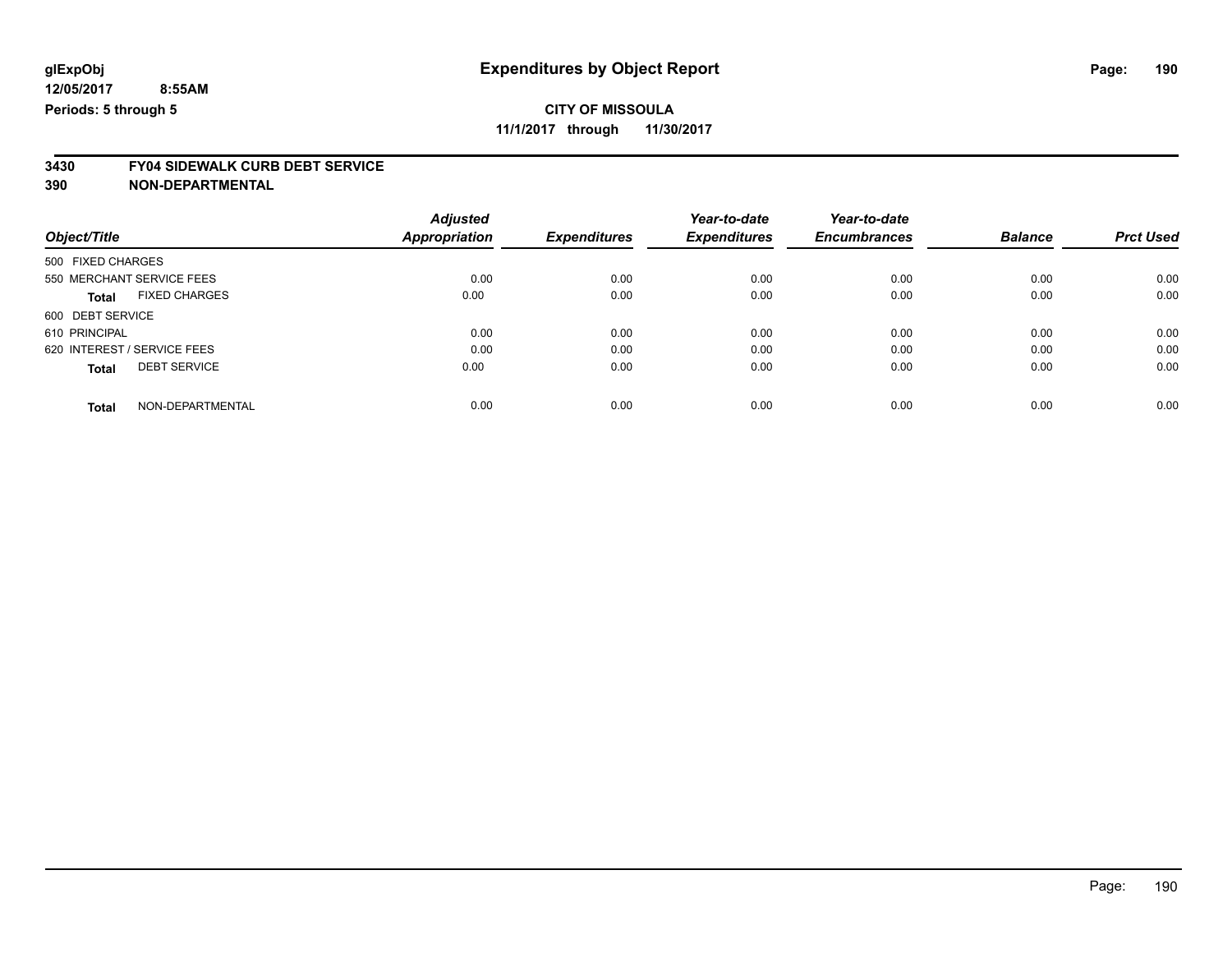**11/1/2017 through 11/30/2017**

# **3430 FY04 SIDEWALK CURB DEBT SERVICE**

|                             |                      | <b>Adjusted</b>      |                     | Year-to-date        | Year-to-date        |                |                  |
|-----------------------------|----------------------|----------------------|---------------------|---------------------|---------------------|----------------|------------------|
| Object/Title                |                      | <b>Appropriation</b> | <b>Expenditures</b> | <b>Expenditures</b> | <b>Encumbrances</b> | <b>Balance</b> | <b>Prct Used</b> |
| 500 FIXED CHARGES           |                      |                      |                     |                     |                     |                |                  |
| 550 MERCHANT SERVICE FEES   |                      | 0.00                 | 0.00                | 0.00                | 0.00                | 0.00           | 0.00             |
| <b>Total</b>                | <b>FIXED CHARGES</b> | 0.00                 | 0.00                | 0.00                | 0.00                | 0.00           | 0.00             |
| 600 DEBT SERVICE            |                      |                      |                     |                     |                     |                |                  |
| 610 PRINCIPAL               |                      | 0.00                 | 0.00                | 0.00                | 0.00                | 0.00           | 0.00             |
| 620 INTEREST / SERVICE FEES |                      | 0.00                 | 0.00                | 0.00                | 0.00                | 0.00           | 0.00             |
| <b>Total</b>                | <b>DEBT SERVICE</b>  | 0.00                 | 0.00                | 0.00                | 0.00                | 0.00           | 0.00             |
| <b>Total</b>                | NON-DEPARTMENTAL     | 0.00                 | 0.00                | 0.00                | 0.00                | 0.00           | 0.00             |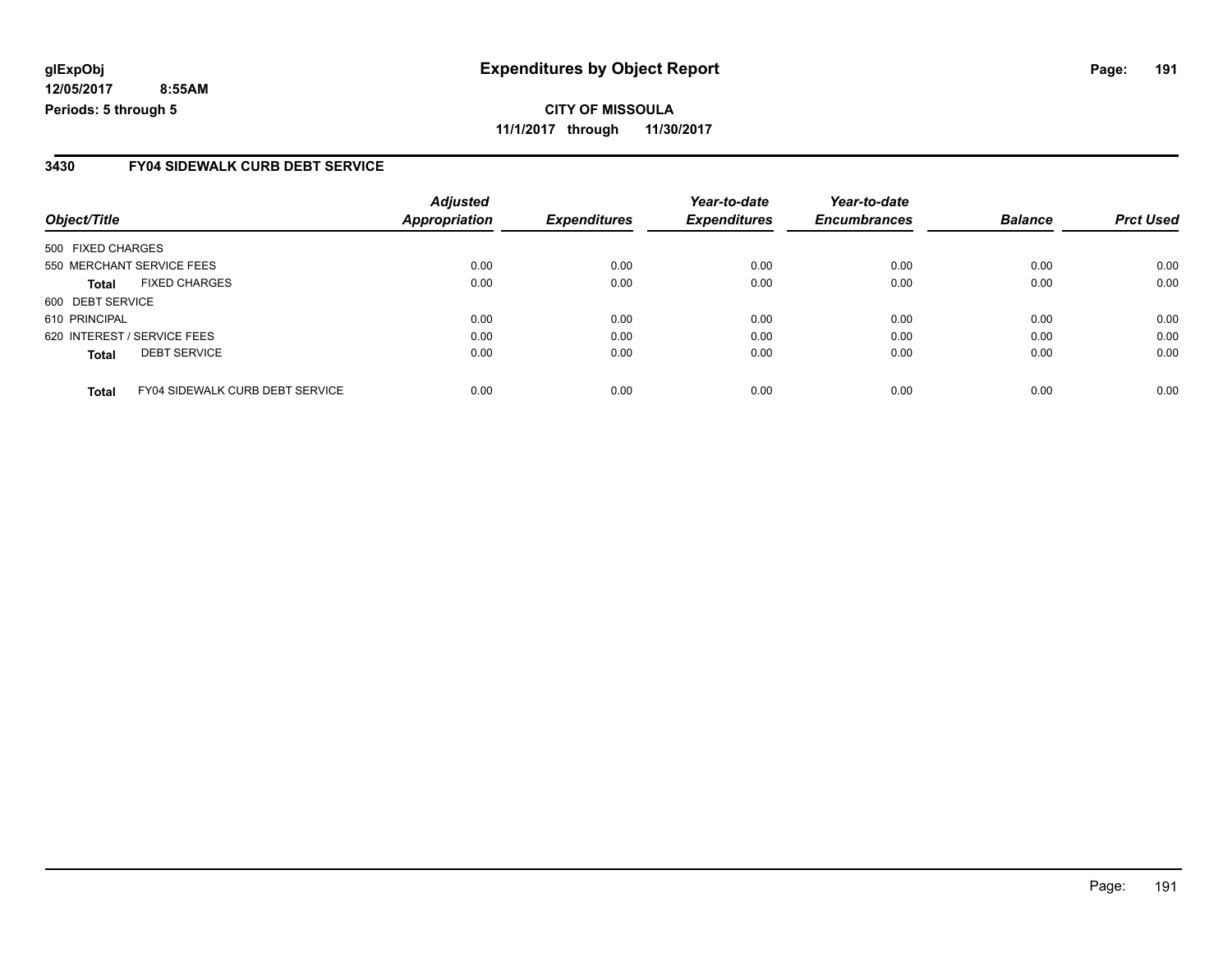### **3430 FY04 SIDEWALK CURB DEBT SERVICE**

| Object/Title                                           | <b>Adjusted</b><br><b>Appropriation</b> | <b>Expenditures</b> | Year-to-date<br><b>Expenditures</b> | Year-to-date<br><b>Encumbrances</b> | <b>Balance</b> | <b>Prct Used</b> |
|--------------------------------------------------------|-----------------------------------------|---------------------|-------------------------------------|-------------------------------------|----------------|------------------|
|                                                        |                                         |                     |                                     |                                     |                |                  |
| 500 FIXED CHARGES                                      |                                         |                     |                                     |                                     |                |                  |
| 550 MERCHANT SERVICE FEES                              | 0.00                                    | 0.00                | 0.00                                | 0.00                                | 0.00           | 0.00             |
| <b>FIXED CHARGES</b><br>Total                          | 0.00                                    | 0.00                | 0.00                                | 0.00                                | 0.00           | 0.00             |
| 600 DEBT SERVICE                                       |                                         |                     |                                     |                                     |                |                  |
| 610 PRINCIPAL                                          | 0.00                                    | 0.00                | 0.00                                | 0.00                                | 0.00           | 0.00             |
| 620 INTEREST / SERVICE FEES                            | 0.00                                    | 0.00                | 0.00                                | 0.00                                | 0.00           | 0.00             |
| <b>DEBT SERVICE</b><br><b>Total</b>                    | 0.00                                    | 0.00                | 0.00                                | 0.00                                | 0.00           | 0.00             |
|                                                        |                                         |                     |                                     |                                     |                |                  |
| <b>FY04 SIDEWALK CURB DEBT SERVICE</b><br><b>Total</b> | 0.00                                    | 0.00                | 0.00                                | 0.00                                | 0.00           | 0.00             |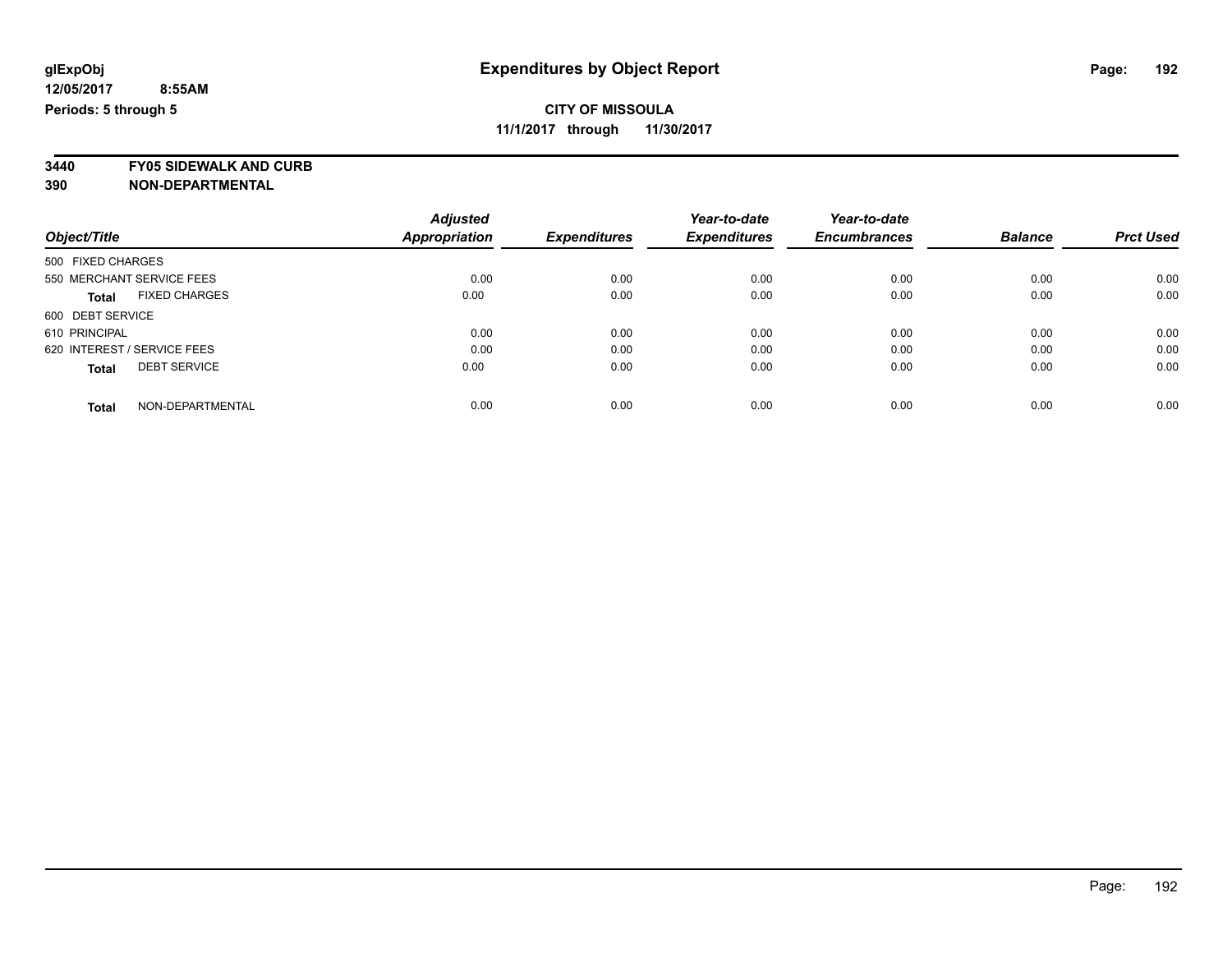**3440 FY05 SIDEWALK AND CURB**

|                                      | <b>Adjusted</b>      |                     | Year-to-date        | Year-to-date        |                |                  |
|--------------------------------------|----------------------|---------------------|---------------------|---------------------|----------------|------------------|
| Object/Title                         | <b>Appropriation</b> | <b>Expenditures</b> | <b>Expenditures</b> | <b>Encumbrances</b> | <b>Balance</b> | <b>Prct Used</b> |
| 500 FIXED CHARGES                    |                      |                     |                     |                     |                |                  |
| 550 MERCHANT SERVICE FEES            | 0.00                 | 0.00                | 0.00                | 0.00                | 0.00           | 0.00             |
| <b>FIXED CHARGES</b><br><b>Total</b> | 0.00                 | 0.00                | 0.00                | 0.00                | 0.00           | 0.00             |
| 600 DEBT SERVICE                     |                      |                     |                     |                     |                |                  |
| 610 PRINCIPAL                        | 0.00                 | 0.00                | 0.00                | 0.00                | 0.00           | 0.00             |
| 620 INTEREST / SERVICE FEES          | 0.00                 | 0.00                | 0.00                | 0.00                | 0.00           | 0.00             |
| <b>DEBT SERVICE</b><br><b>Total</b>  | 0.00                 | 0.00                | 0.00                | 0.00                | 0.00           | 0.00             |
| NON-DEPARTMENTAL<br><b>Total</b>     | 0.00                 | 0.00                | 0.00                | 0.00                | 0.00           | 0.00             |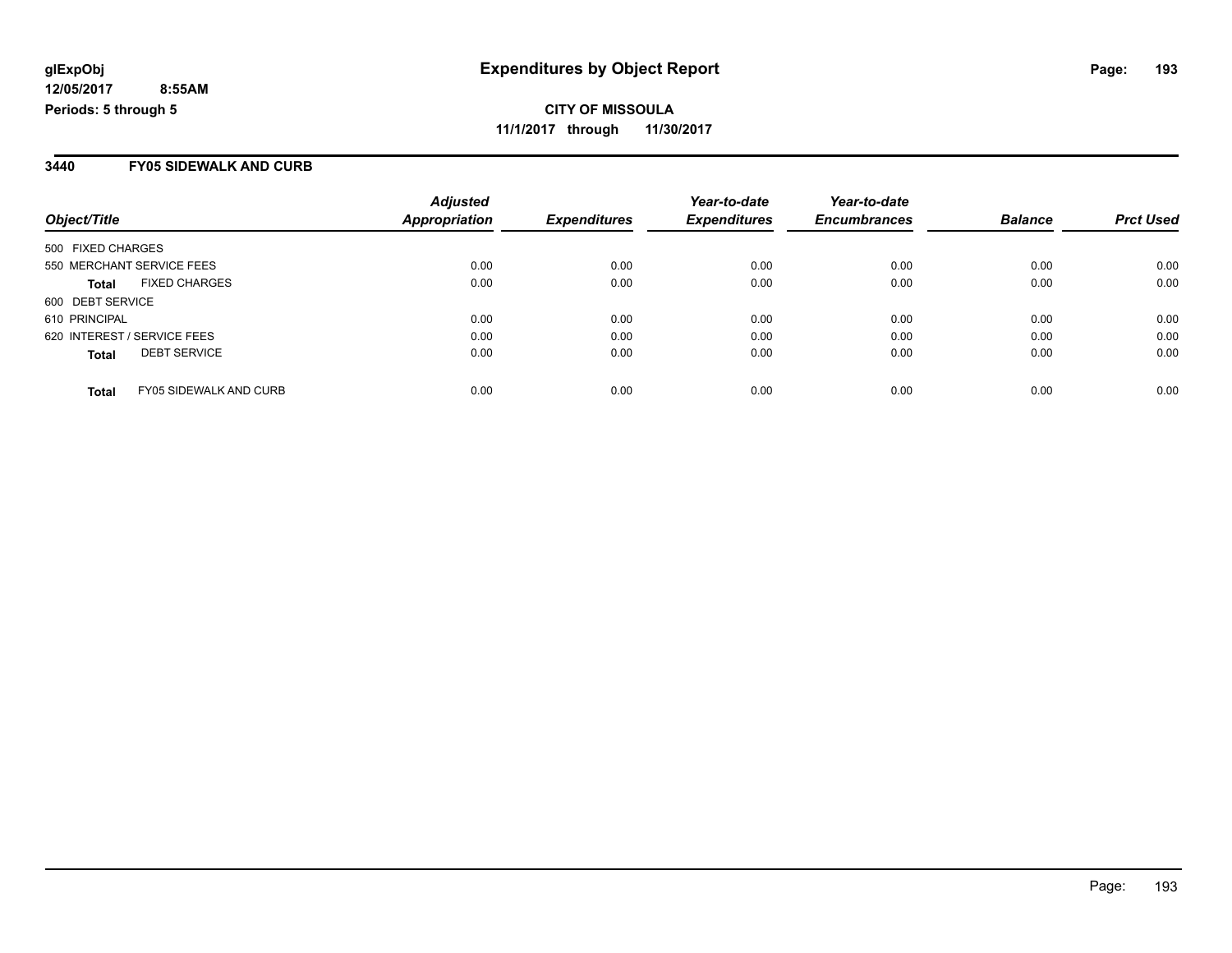**CITY OF MISSOULA 11/1/2017 through 11/30/2017**

### **3440 FY05 SIDEWALK AND CURB**

|                                               | <b>Adjusted</b>      |                     | Year-to-date        | Year-to-date        |                |                  |
|-----------------------------------------------|----------------------|---------------------|---------------------|---------------------|----------------|------------------|
| Object/Title                                  | <b>Appropriation</b> | <b>Expenditures</b> | <b>Expenditures</b> | <b>Encumbrances</b> | <b>Balance</b> | <b>Prct Used</b> |
| 500 FIXED CHARGES                             |                      |                     |                     |                     |                |                  |
| 550 MERCHANT SERVICE FEES                     | 0.00                 | 0.00                | 0.00                | 0.00                | 0.00           | 0.00             |
| <b>FIXED CHARGES</b><br><b>Total</b>          | 0.00                 | 0.00                | 0.00                | 0.00                | 0.00           | 0.00             |
| 600 DEBT SERVICE                              |                      |                     |                     |                     |                |                  |
| 610 PRINCIPAL                                 | 0.00                 | 0.00                | 0.00                | 0.00                | 0.00           | 0.00             |
| 620 INTEREST / SERVICE FEES                   | 0.00                 | 0.00                | 0.00                | 0.00                | 0.00           | 0.00             |
| <b>DEBT SERVICE</b><br><b>Total</b>           | 0.00                 | 0.00                | 0.00                | 0.00                | 0.00           | 0.00             |
| <b>FY05 SIDEWALK AND CURB</b><br><b>Total</b> | 0.00                 | 0.00                | 0.00                | 0.00                | 0.00           | 0.00             |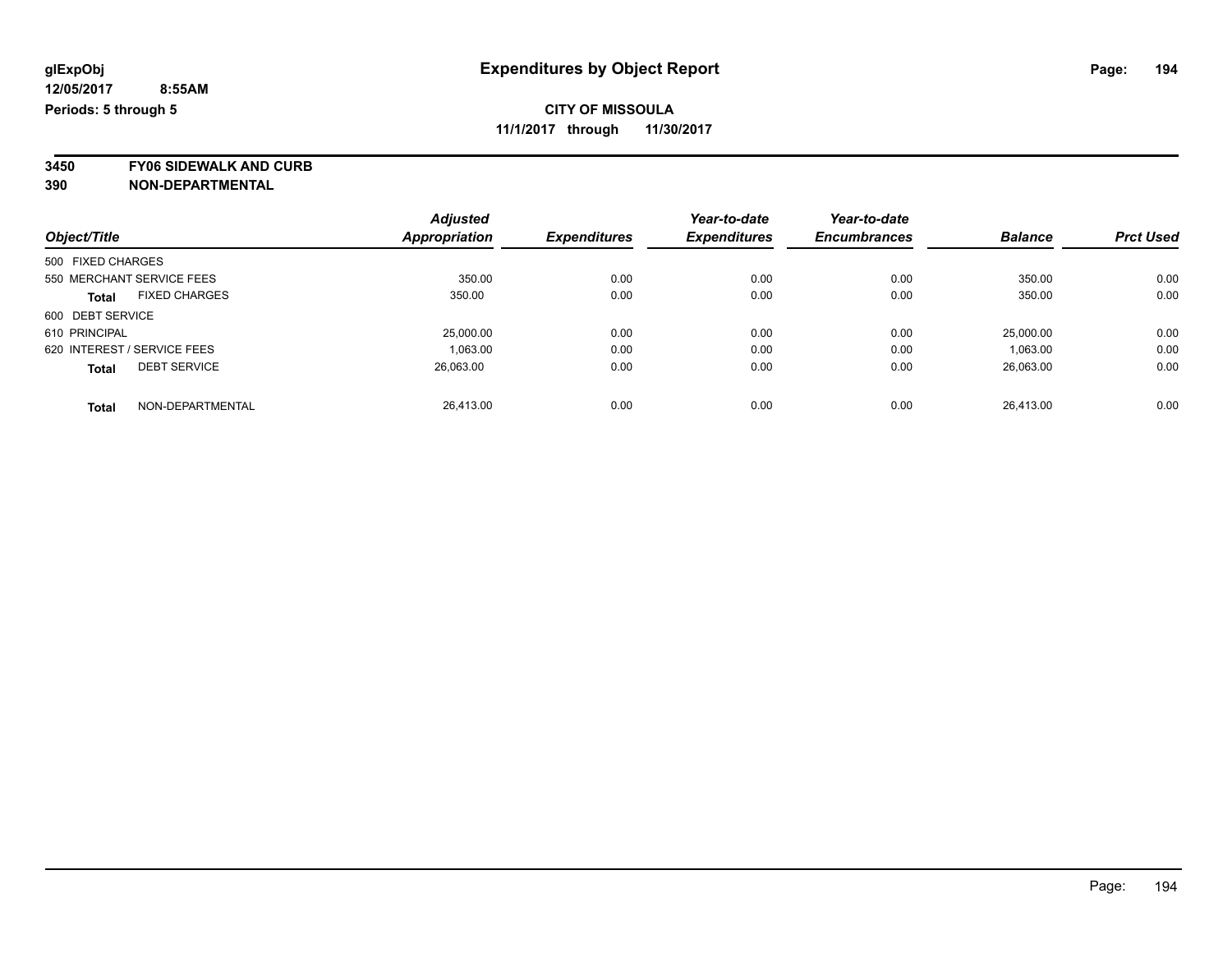**3450 FY06 SIDEWALK AND CURB**

| Object/Title                |                      | <b>Adjusted</b> |                     | Year-to-date        | Year-to-date        |                |                  |
|-----------------------------|----------------------|-----------------|---------------------|---------------------|---------------------|----------------|------------------|
|                             |                      | Appropriation   | <b>Expenditures</b> | <b>Expenditures</b> | <b>Encumbrances</b> | <b>Balance</b> | <b>Prct Used</b> |
| 500 FIXED CHARGES           |                      |                 |                     |                     |                     |                |                  |
| 550 MERCHANT SERVICE FEES   |                      | 350.00          | 0.00                | 0.00                | 0.00                | 350.00         | 0.00             |
| <b>Total</b>                | <b>FIXED CHARGES</b> | 350.00          | 0.00                | 0.00                | 0.00                | 350.00         | 0.00             |
| 600 DEBT SERVICE            |                      |                 |                     |                     |                     |                |                  |
| 610 PRINCIPAL               |                      | 25,000.00       | 0.00                | 0.00                | 0.00                | 25,000.00      | 0.00             |
| 620 INTEREST / SERVICE FEES |                      | 1,063.00        | 0.00                | 0.00                | 0.00                | 1,063.00       | 0.00             |
| <b>Total</b>                | <b>DEBT SERVICE</b>  | 26,063.00       | 0.00                | 0.00                | 0.00                | 26.063.00      | 0.00             |
| <b>Total</b>                | NON-DEPARTMENTAL     | 26.413.00       | 0.00                | 0.00                | 0.00                | 26.413.00      | 0.00             |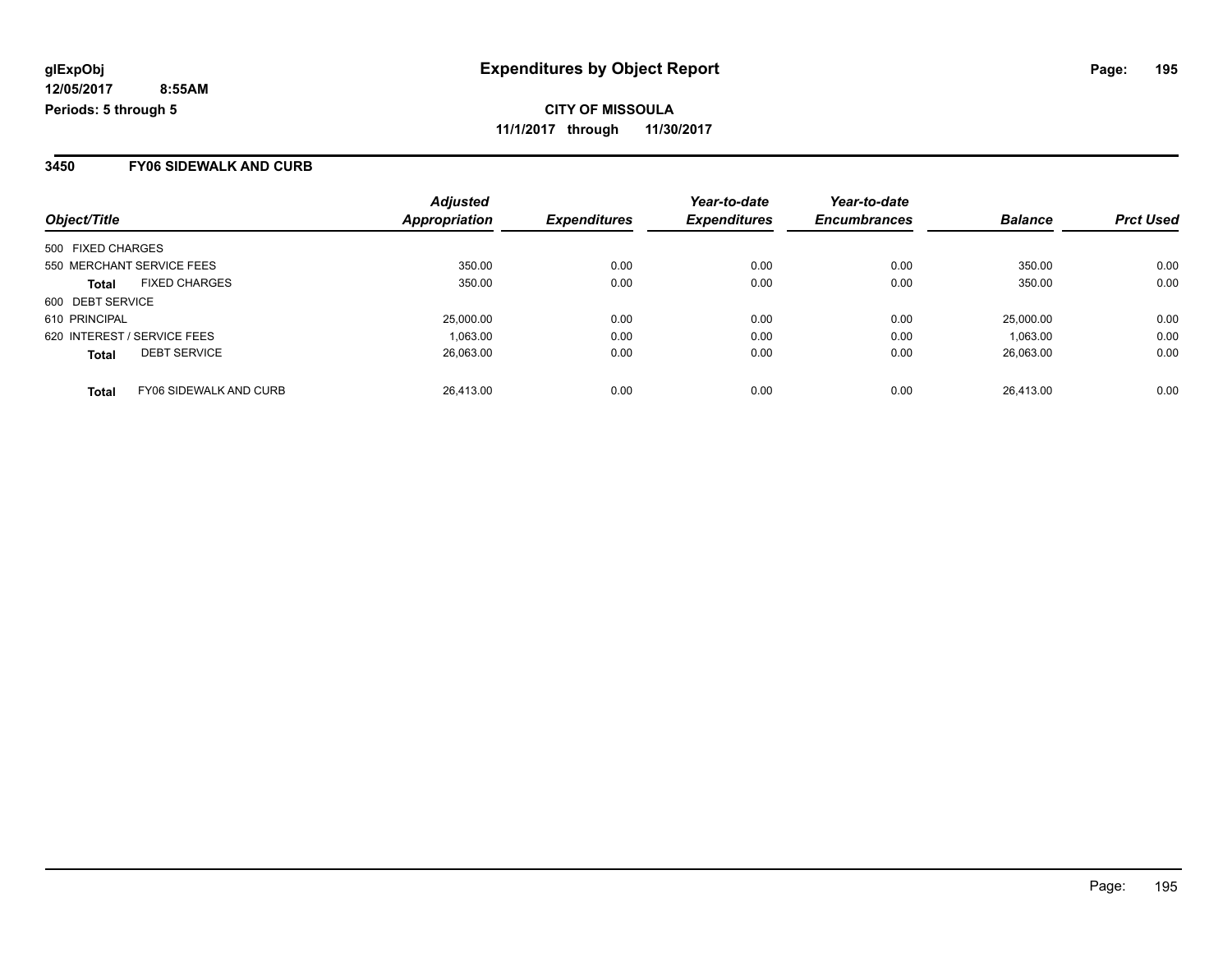#### **3450 FY06 SIDEWALK AND CURB**

| Object/Title                                  | <b>Adjusted</b><br>Appropriation | <b>Expenditures</b> | Year-to-date<br><b>Expenditures</b> | Year-to-date<br><b>Encumbrances</b> | <b>Balance</b> | <b>Prct Used</b> |
|-----------------------------------------------|----------------------------------|---------------------|-------------------------------------|-------------------------------------|----------------|------------------|
| 500 FIXED CHARGES                             |                                  |                     |                                     |                                     |                |                  |
| 550 MERCHANT SERVICE FEES                     | 350.00                           | 0.00                | 0.00                                | 0.00                                | 350.00         | 0.00             |
| <b>FIXED CHARGES</b><br><b>Total</b>          | 350.00                           | 0.00                | 0.00                                | 0.00                                | 350.00         | 0.00             |
| 600 DEBT SERVICE                              |                                  |                     |                                     |                                     |                |                  |
| 610 PRINCIPAL                                 | 25,000.00                        | 0.00                | 0.00                                | 0.00                                | 25.000.00      | 0.00             |
| 620 INTEREST / SERVICE FEES                   | 1.063.00                         | 0.00                | 0.00                                | 0.00                                | 1,063.00       | 0.00             |
| <b>DEBT SERVICE</b><br><b>Total</b>           | 26.063.00                        | 0.00                | 0.00                                | 0.00                                | 26,063.00      | 0.00             |
| <b>FY06 SIDEWALK AND CURB</b><br><b>Total</b> | 26.413.00                        | 0.00                | 0.00                                | 0.00                                | 26.413.00      | 0.00             |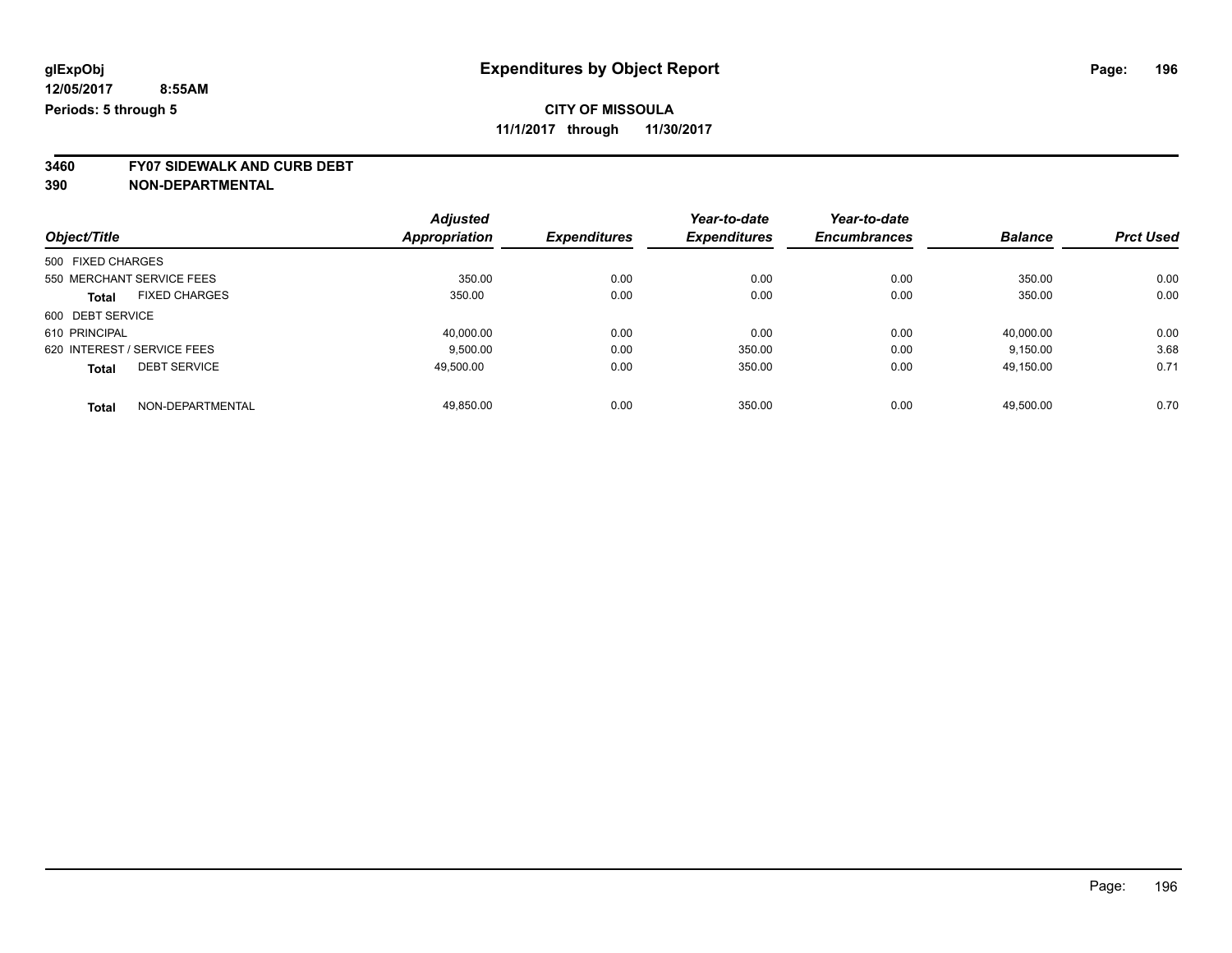**3460 FY07 SIDEWALK AND CURB DEBT**

| Object/Title      |                             | <b>Adjusted</b> |                     | Year-to-date<br><b>Expenditures</b> | Year-to-date<br><b>Encumbrances</b> | <b>Balance</b> | <b>Prct Used</b> |
|-------------------|-----------------------------|-----------------|---------------------|-------------------------------------|-------------------------------------|----------------|------------------|
|                   |                             | Appropriation   | <b>Expenditures</b> |                                     |                                     |                |                  |
| 500 FIXED CHARGES |                             |                 |                     |                                     |                                     |                |                  |
|                   | 550 MERCHANT SERVICE FEES   | 350.00          | 0.00                | 0.00                                | 0.00                                | 350.00         | 0.00             |
| <b>Total</b>      | <b>FIXED CHARGES</b>        | 350.00          | 0.00                | 0.00                                | 0.00                                | 350.00         | 0.00             |
| 600 DEBT SERVICE  |                             |                 |                     |                                     |                                     |                |                  |
| 610 PRINCIPAL     |                             | 40.000.00       | 0.00                | 0.00                                | 0.00                                | 40,000.00      | 0.00             |
|                   | 620 INTEREST / SERVICE FEES | 9.500.00        | 0.00                | 350.00                              | 0.00                                | 9.150.00       | 3.68             |
| <b>Total</b>      | <b>DEBT SERVICE</b>         | 49,500.00       | 0.00                | 350.00                              | 0.00                                | 49,150.00      | 0.71             |
| <b>Total</b>      | NON-DEPARTMENTAL            | 49.850.00       | 0.00                | 350.00                              | 0.00                                | 49.500.00      | 0.70             |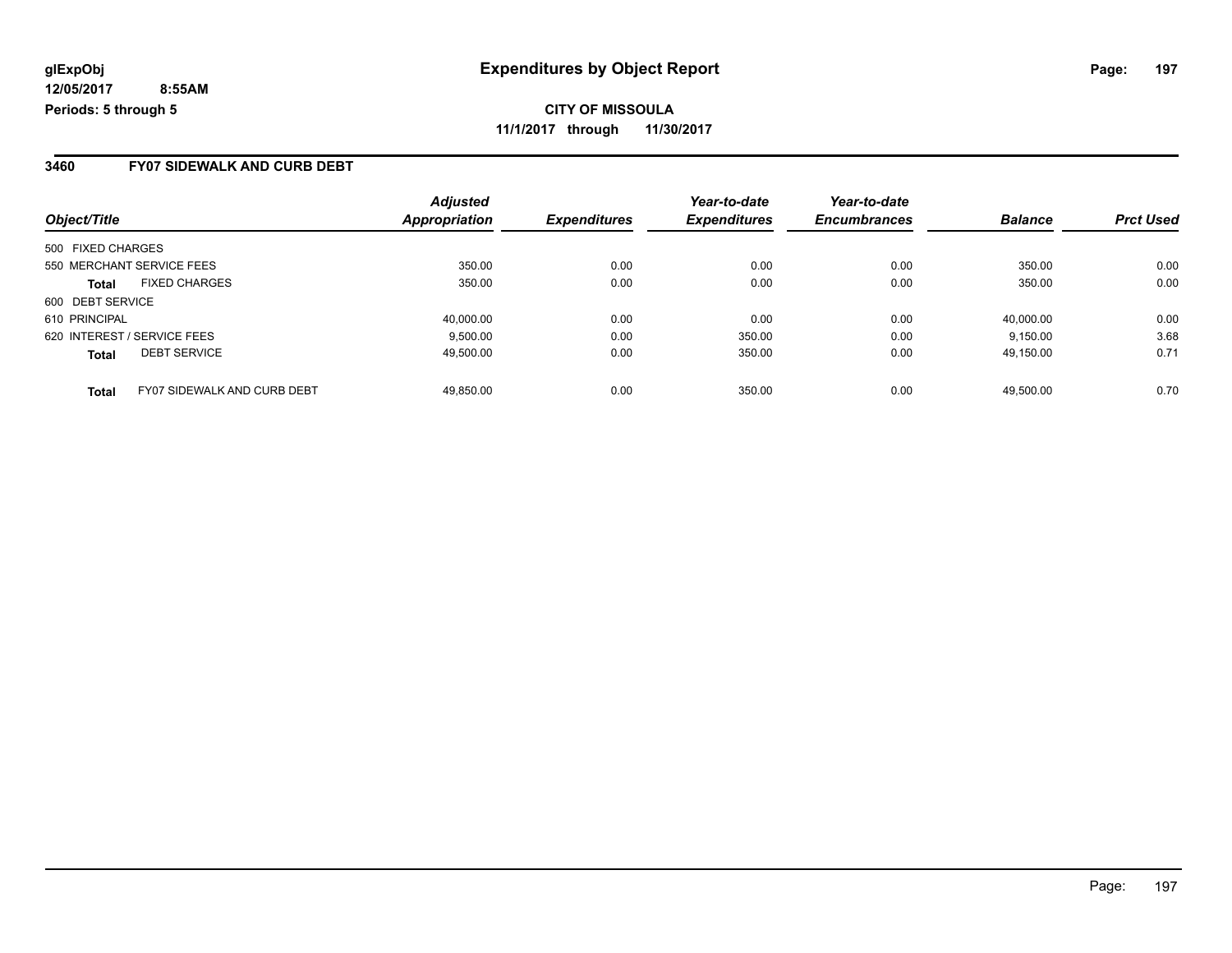**CITY OF MISSOULA 11/1/2017 through 11/30/2017**

### **3460 FY07 SIDEWALK AND CURB DEBT**

| Object/Title                                       | <b>Adjusted</b><br>Appropriation | <b>Expenditures</b> | Year-to-date<br><b>Expenditures</b> | Year-to-date<br><b>Encumbrances</b> | <b>Balance</b> | <b>Prct Used</b> |
|----------------------------------------------------|----------------------------------|---------------------|-------------------------------------|-------------------------------------|----------------|------------------|
| 500 FIXED CHARGES                                  |                                  |                     |                                     |                                     |                |                  |
| 550 MERCHANT SERVICE FEES                          | 350.00                           | 0.00                | 0.00                                | 0.00                                | 350.00         | 0.00             |
| <b>FIXED CHARGES</b><br><b>Total</b>               | 350.00                           | 0.00                | 0.00                                | 0.00                                | 350.00         | 0.00             |
| 600 DEBT SERVICE                                   |                                  |                     |                                     |                                     |                |                  |
| 610 PRINCIPAL                                      | 40.000.00                        | 0.00                | 0.00                                | 0.00                                | 40.000.00      | 0.00             |
| 620 INTEREST / SERVICE FEES                        | 9.500.00                         | 0.00                | 350.00                              | 0.00                                | 9.150.00       | 3.68             |
| <b>DEBT SERVICE</b><br><b>Total</b>                | 49,500.00                        | 0.00                | 350.00                              | 0.00                                | 49,150.00      | 0.71             |
| <b>FY07 SIDEWALK AND CURB DEBT</b><br><b>Total</b> | 49.850.00                        | 0.00                | 350.00                              | 0.00                                | 49.500.00      | 0.70             |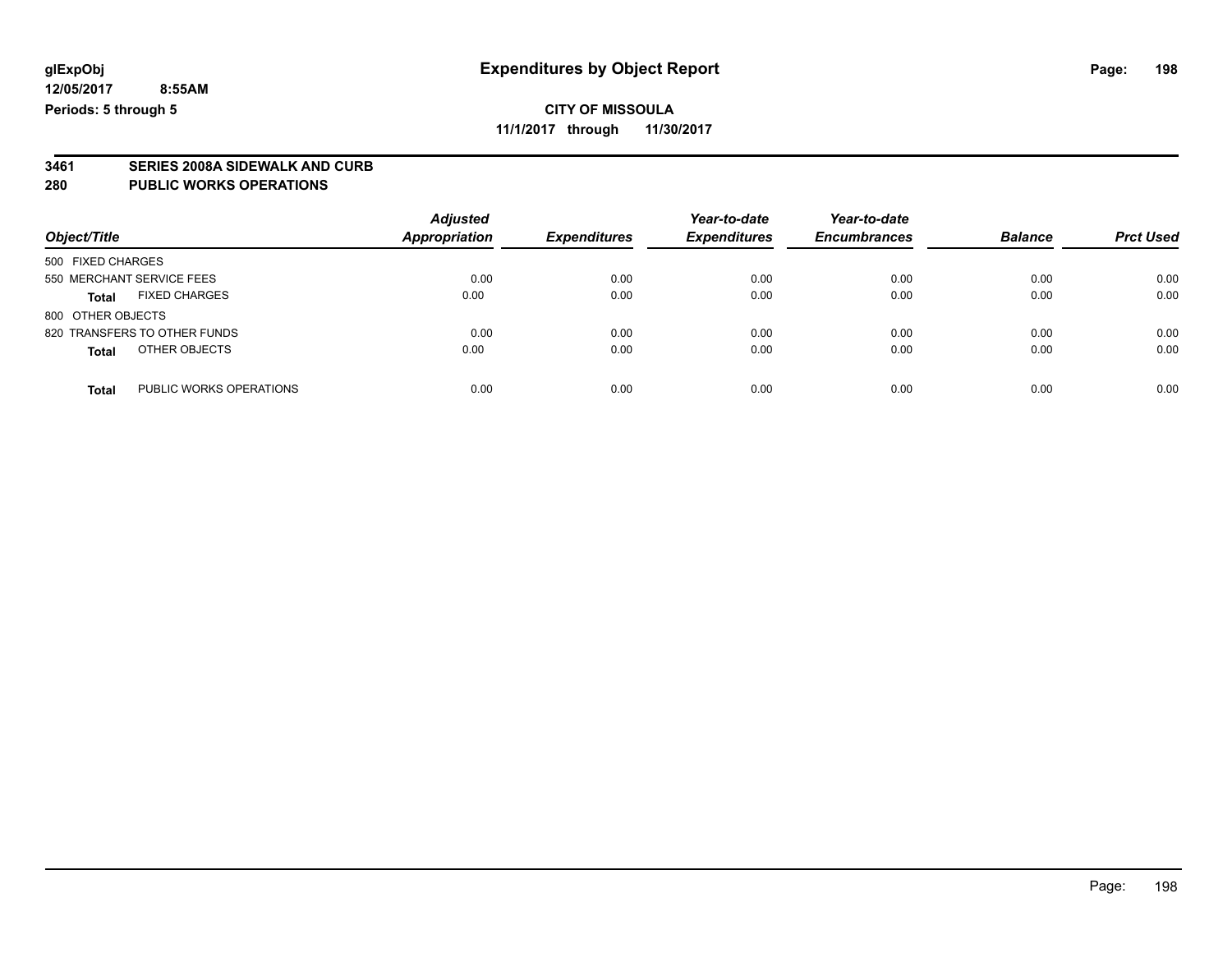# **CITY OF MISSOULA**

**11/1/2017 through 11/30/2017**

# **3461 SERIES 2008A SIDEWALK AND CURB**

### **280 PUBLIC WORKS OPERATIONS**

| Object/Title                            | <b>Adjusted</b><br><b>Appropriation</b> | <b>Expenditures</b> | Year-to-date<br><b>Expenditures</b> | Year-to-date<br><b>Encumbrances</b> | <b>Balance</b> | <b>Prct Used</b> |
|-----------------------------------------|-----------------------------------------|---------------------|-------------------------------------|-------------------------------------|----------------|------------------|
| 500 FIXED CHARGES                       |                                         |                     |                                     |                                     |                |                  |
| 550 MERCHANT SERVICE FEES               | 0.00                                    | 0.00                | 0.00                                | 0.00                                | 0.00           | 0.00             |
| <b>FIXED CHARGES</b><br><b>Total</b>    | 0.00                                    | 0.00                | 0.00                                | 0.00                                | 0.00           | 0.00             |
| 800 OTHER OBJECTS                       |                                         |                     |                                     |                                     |                |                  |
| 820 TRANSFERS TO OTHER FUNDS            | 0.00                                    | 0.00                | 0.00                                | 0.00                                | 0.00           | 0.00             |
| OTHER OBJECTS<br><b>Total</b>           | 0.00                                    | 0.00                | 0.00                                | 0.00                                | 0.00           | 0.00             |
| PUBLIC WORKS OPERATIONS<br><b>Total</b> | 0.00                                    | 0.00                | 0.00                                | 0.00                                | 0.00           | 0.00             |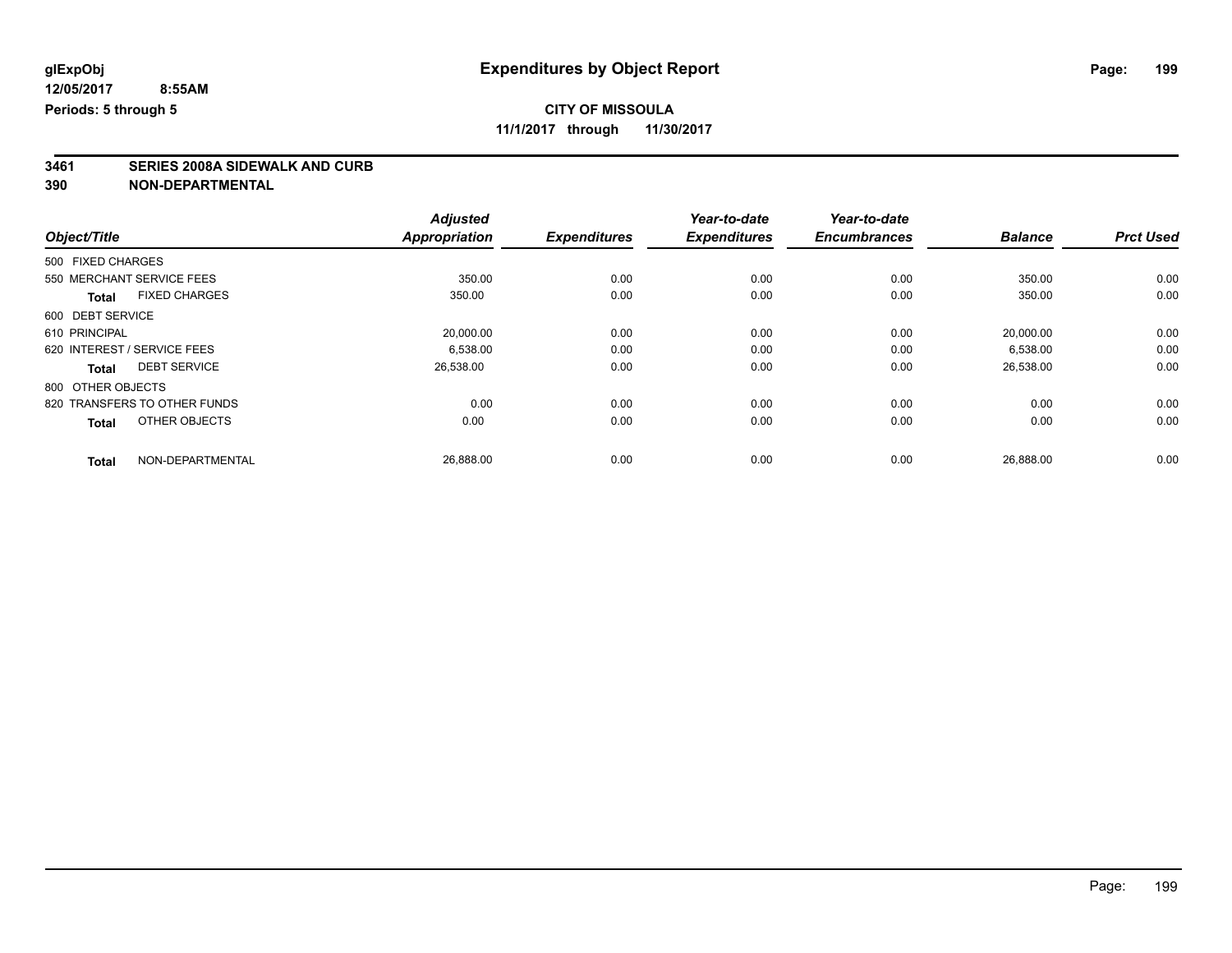**11/1/2017 through 11/30/2017**

# **3461 SERIES 2008A SIDEWALK AND CURB**

| <b>Balance</b> | <b>Prct Used</b> |
|----------------|------------------|
|                |                  |
|                |                  |
| 350.00         | 0.00             |
| 350.00         | 0.00             |
|                |                  |
| 20,000.00      | 0.00             |
| 6,538.00       | 0.00             |
| 26,538.00      | 0.00             |
|                |                  |
| 0.00           | 0.00             |
| 0.00           | 0.00             |
|                | 0.00             |
|                | 26,888.00        |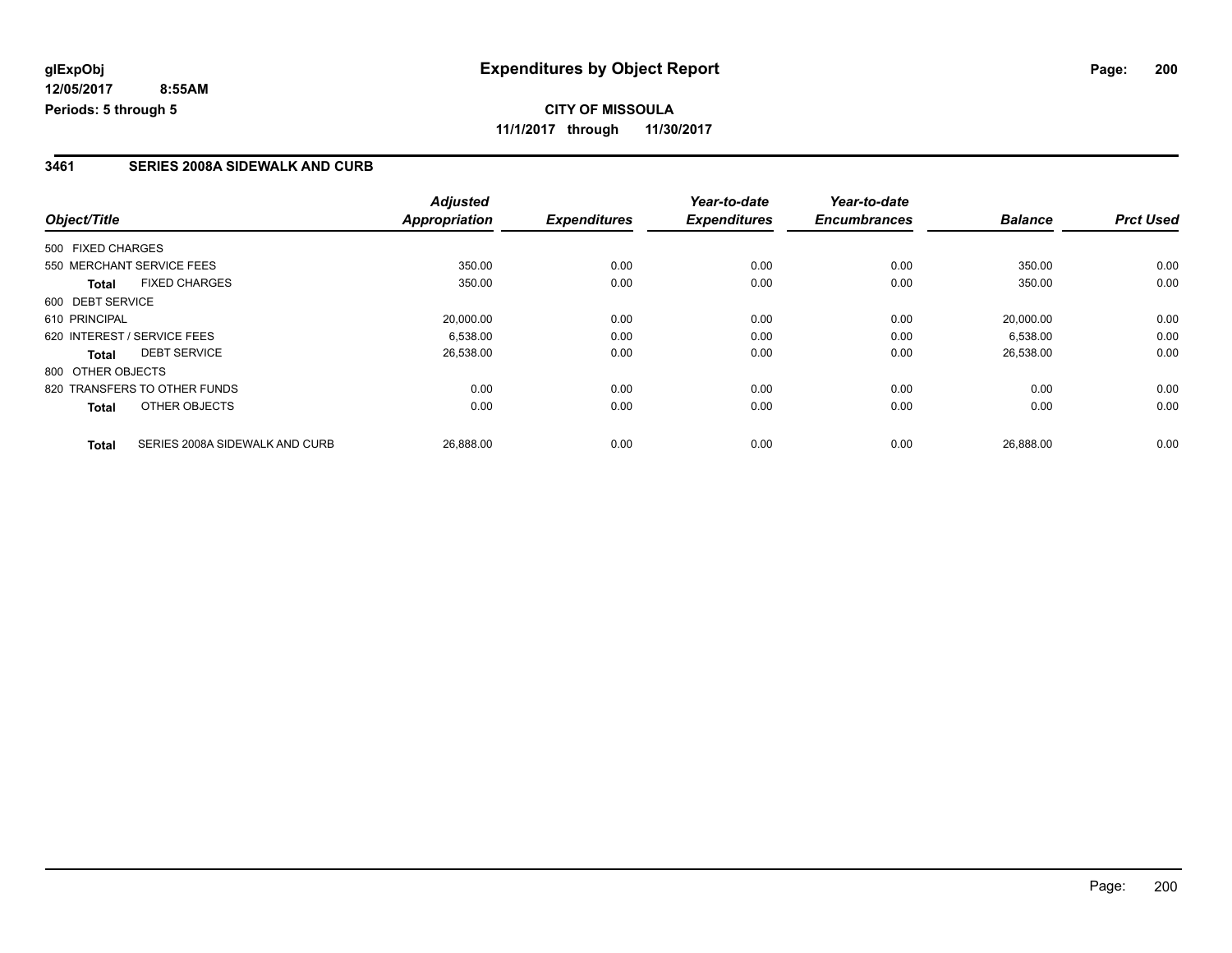### **3461 SERIES 2008A SIDEWALK AND CURB**

|                                                | <b>Adjusted</b>      |                     | Year-to-date        | Year-to-date        |                |                  |
|------------------------------------------------|----------------------|---------------------|---------------------|---------------------|----------------|------------------|
| Object/Title                                   | <b>Appropriation</b> | <b>Expenditures</b> | <b>Expenditures</b> | <b>Encumbrances</b> | <b>Balance</b> | <b>Prct Used</b> |
| 500 FIXED CHARGES                              |                      |                     |                     |                     |                |                  |
| 550 MERCHANT SERVICE FEES                      | 350.00               | 0.00                | 0.00                | 0.00                | 350.00         | 0.00             |
| <b>FIXED CHARGES</b><br><b>Total</b>           | 350.00               | 0.00                | 0.00                | 0.00                | 350.00         | 0.00             |
| 600 DEBT SERVICE                               |                      |                     |                     |                     |                |                  |
| 610 PRINCIPAL                                  | 20.000.00            | 0.00                | 0.00                | 0.00                | 20.000.00      | 0.00             |
| 620 INTEREST / SERVICE FEES                    | 6,538.00             | 0.00                | 0.00                | 0.00                | 6,538.00       | 0.00             |
| <b>DEBT SERVICE</b><br><b>Total</b>            | 26,538.00            | 0.00                | 0.00                | 0.00                | 26,538.00      | 0.00             |
| 800 OTHER OBJECTS                              |                      |                     |                     |                     |                |                  |
| 820 TRANSFERS TO OTHER FUNDS                   | 0.00                 | 0.00                | 0.00                | 0.00                | 0.00           | 0.00             |
| OTHER OBJECTS<br><b>Total</b>                  | 0.00                 | 0.00                | 0.00                | 0.00                | 0.00           | 0.00             |
| SERIES 2008A SIDEWALK AND CURB<br><b>Total</b> | 26,888.00            | 0.00                | 0.00                | 0.00                | 26,888.00      | 0.00             |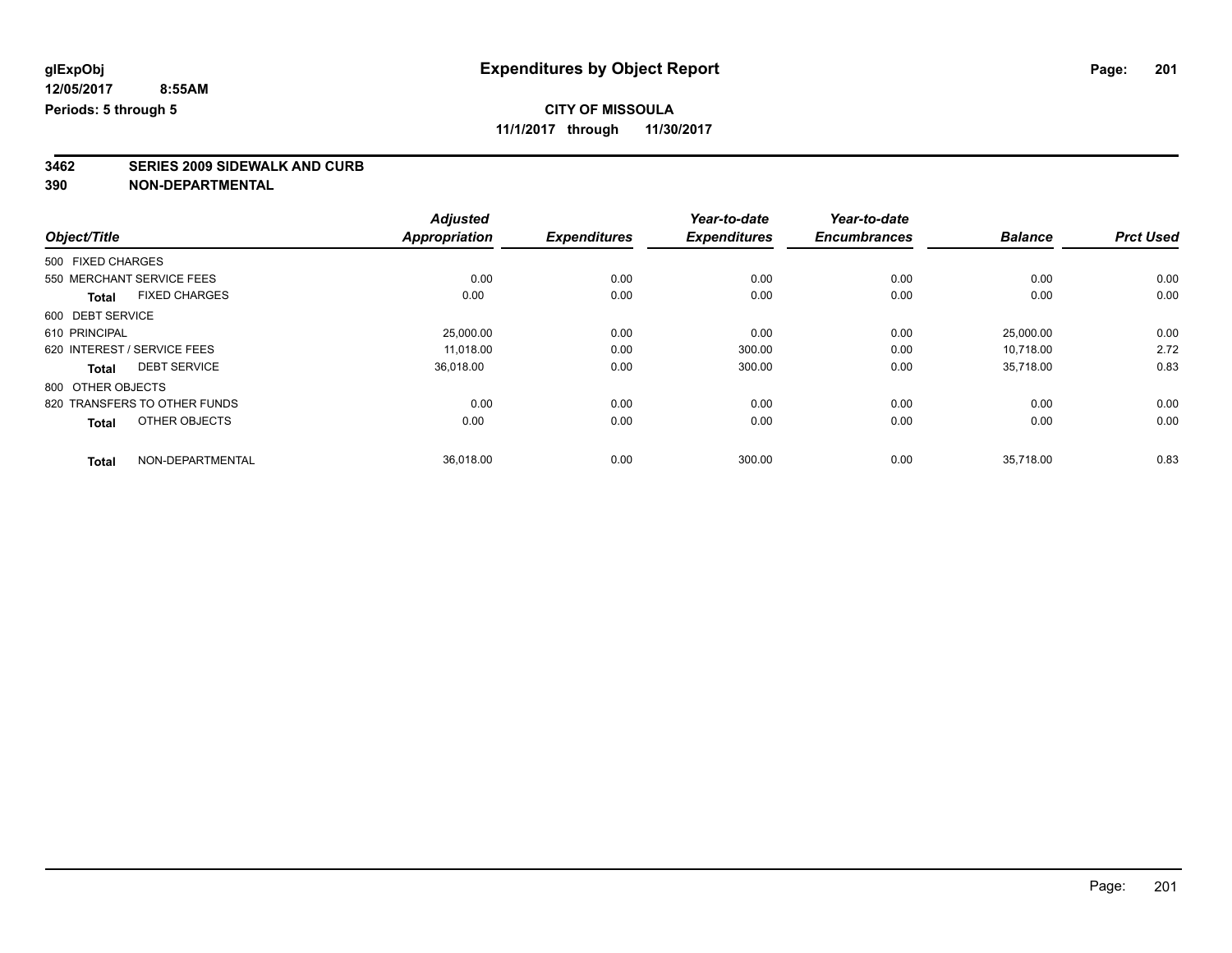**3462 SERIES 2009 SIDEWALK AND CURB**

|                                     |                      | <b>Adjusted</b>      |                     | Year-to-date        | Year-to-date        |                |                  |
|-------------------------------------|----------------------|----------------------|---------------------|---------------------|---------------------|----------------|------------------|
| Object/Title                        |                      | <b>Appropriation</b> | <b>Expenditures</b> | <b>Expenditures</b> | <b>Encumbrances</b> | <b>Balance</b> | <b>Prct Used</b> |
| 500 FIXED CHARGES                   |                      |                      |                     |                     |                     |                |                  |
| 550 MERCHANT SERVICE FEES           |                      | 0.00                 | 0.00                | 0.00                | 0.00                | 0.00           | 0.00             |
| <b>Total</b>                        | <b>FIXED CHARGES</b> | 0.00                 | 0.00                | 0.00                | 0.00                | 0.00           | 0.00             |
| 600 DEBT SERVICE                    |                      |                      |                     |                     |                     |                |                  |
| 610 PRINCIPAL                       |                      | 25,000.00            | 0.00                | 0.00                | 0.00                | 25,000.00      | 0.00             |
| 620 INTEREST / SERVICE FEES         |                      | 11,018.00            | 0.00                | 300.00              | 0.00                | 10.718.00      | 2.72             |
| <b>DEBT SERVICE</b><br><b>Total</b> |                      | 36,018.00            | 0.00                | 300.00              | 0.00                | 35,718.00      | 0.83             |
| 800 OTHER OBJECTS                   |                      |                      |                     |                     |                     |                |                  |
| 820 TRANSFERS TO OTHER FUNDS        |                      | 0.00                 | 0.00                | 0.00                | 0.00                | 0.00           | 0.00             |
| <b>Total</b>                        | OTHER OBJECTS        | 0.00                 | 0.00                | 0.00                | 0.00                | 0.00           | 0.00             |
| <b>Total</b>                        | NON-DEPARTMENTAL     | 36,018.00            | 0.00                | 300.00              | 0.00                | 35,718.00      | 0.83             |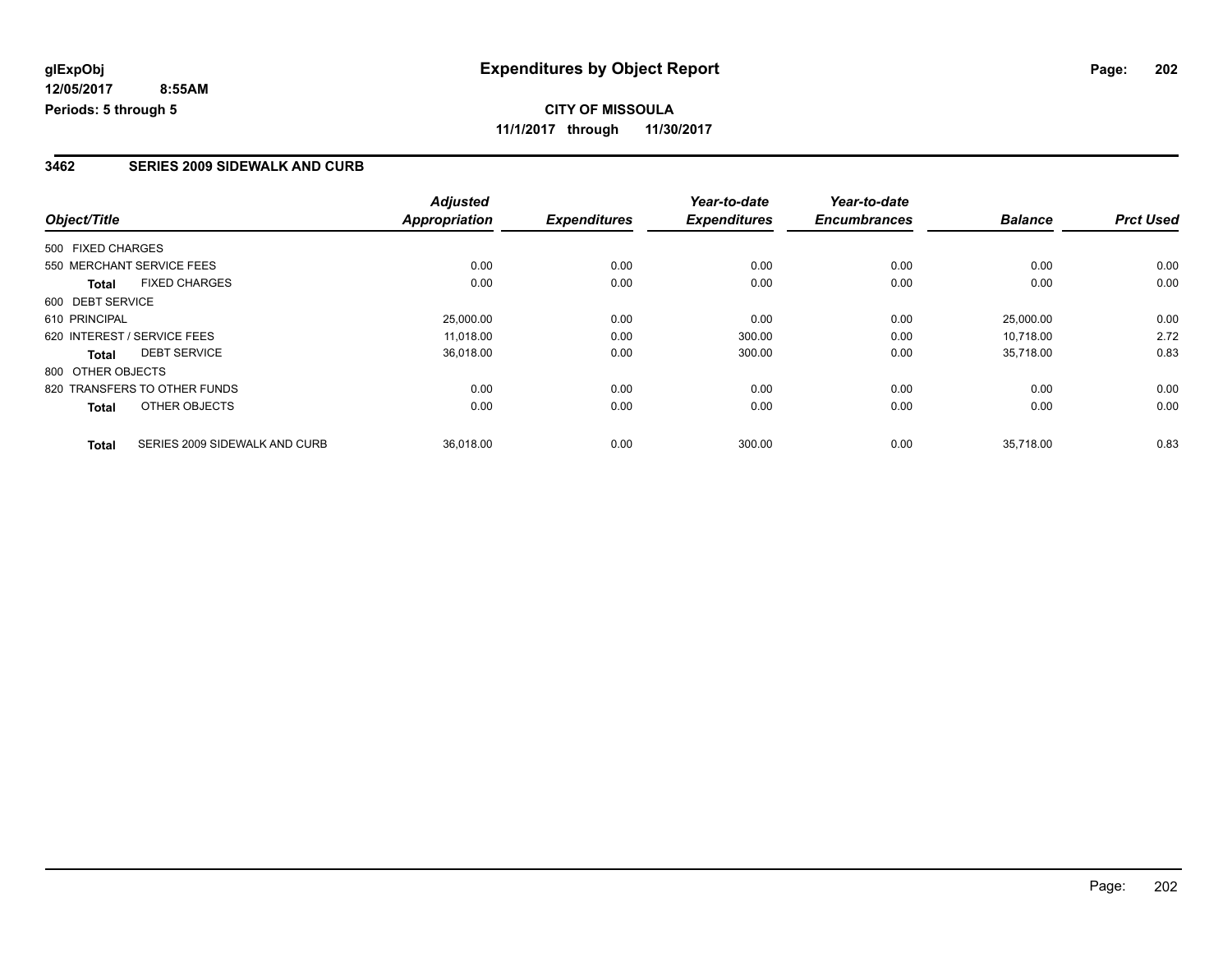## **3462 SERIES 2009 SIDEWALK AND CURB**

| Object/Title                 |                               | <b>Adjusted</b>      |                     | Year-to-date        | Year-to-date        |                |                  |
|------------------------------|-------------------------------|----------------------|---------------------|---------------------|---------------------|----------------|------------------|
|                              |                               | <b>Appropriation</b> | <b>Expenditures</b> | <b>Expenditures</b> | <b>Encumbrances</b> | <b>Balance</b> | <b>Prct Used</b> |
| 500 FIXED CHARGES            |                               |                      |                     |                     |                     |                |                  |
| 550 MERCHANT SERVICE FEES    |                               | 0.00                 | 0.00                | 0.00                | 0.00                | 0.00           | 0.00             |
| <b>Total</b>                 | <b>FIXED CHARGES</b>          | 0.00                 | 0.00                | 0.00                | 0.00                | 0.00           | 0.00             |
| 600 DEBT SERVICE             |                               |                      |                     |                     |                     |                |                  |
| 610 PRINCIPAL                |                               | 25,000.00            | 0.00                | 0.00                | 0.00                | 25,000.00      | 0.00             |
| 620 INTEREST / SERVICE FEES  |                               | 11.018.00            | 0.00                | 300.00              | 0.00                | 10.718.00      | 2.72             |
| Total                        | <b>DEBT SERVICE</b>           | 36,018.00            | 0.00                | 300.00              | 0.00                | 35,718.00      | 0.83             |
| 800 OTHER OBJECTS            |                               |                      |                     |                     |                     |                |                  |
| 820 TRANSFERS TO OTHER FUNDS |                               | 0.00                 | 0.00                | 0.00                | 0.00                | 0.00           | 0.00             |
| <b>Total</b>                 | OTHER OBJECTS                 | 0.00                 | 0.00                | 0.00                | 0.00                | 0.00           | 0.00             |
| <b>Total</b>                 | SERIES 2009 SIDEWALK AND CURB | 36,018.00            | 0.00                | 300.00              | 0.00                | 35.718.00      | 0.83             |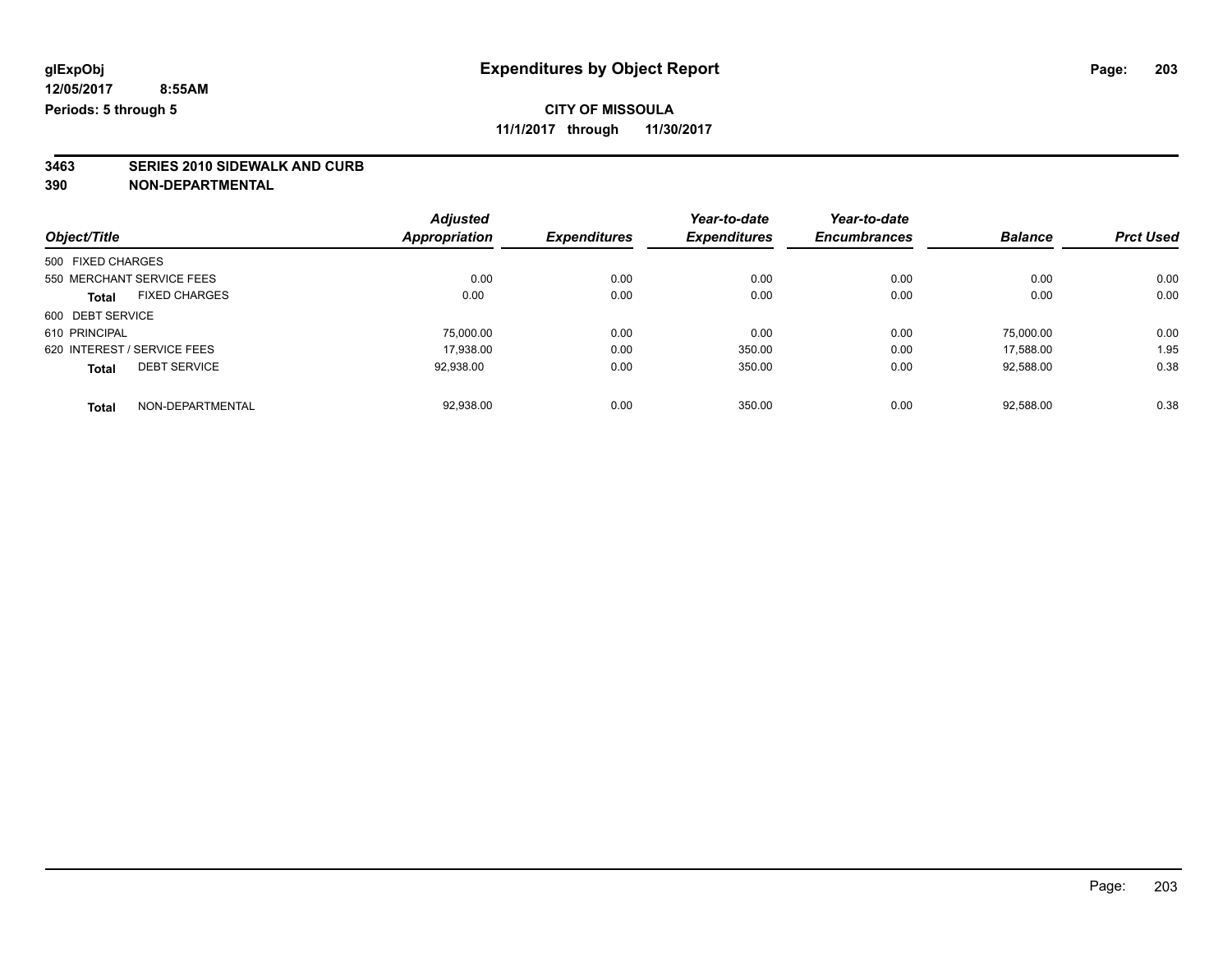**11/1/2017 through 11/30/2017**

# **3463 SERIES 2010 SIDEWALK AND CURB**

| Object/Title                |                      | <b>Adjusted</b>      |                     | Year-to-date        | Year-to-date        |                |                  |
|-----------------------------|----------------------|----------------------|---------------------|---------------------|---------------------|----------------|------------------|
|                             |                      | <b>Appropriation</b> | <b>Expenditures</b> | <b>Expenditures</b> | <b>Encumbrances</b> | <b>Balance</b> | <b>Prct Used</b> |
| 500 FIXED CHARGES           |                      |                      |                     |                     |                     |                |                  |
| 550 MERCHANT SERVICE FEES   |                      | 0.00                 | 0.00                | 0.00                | 0.00                | 0.00           | 0.00             |
| <b>Total</b>                | <b>FIXED CHARGES</b> | 0.00                 | 0.00                | 0.00                | 0.00                | 0.00           | 0.00             |
| 600 DEBT SERVICE            |                      |                      |                     |                     |                     |                |                  |
| 610 PRINCIPAL               |                      | 75,000.00            | 0.00                | 0.00                | 0.00                | 75,000.00      | 0.00             |
| 620 INTEREST / SERVICE FEES |                      | 17.938.00            | 0.00                | 350.00              | 0.00                | 17.588.00      | 1.95             |
| <b>Total</b>                | <b>DEBT SERVICE</b>  | 92,938.00            | 0.00                | 350.00              | 0.00                | 92,588.00      | 0.38             |
| <b>Total</b>                | NON-DEPARTMENTAL     | 92.938.00            | 0.00                | 350.00              | 0.00                | 92.588.00      | 0.38             |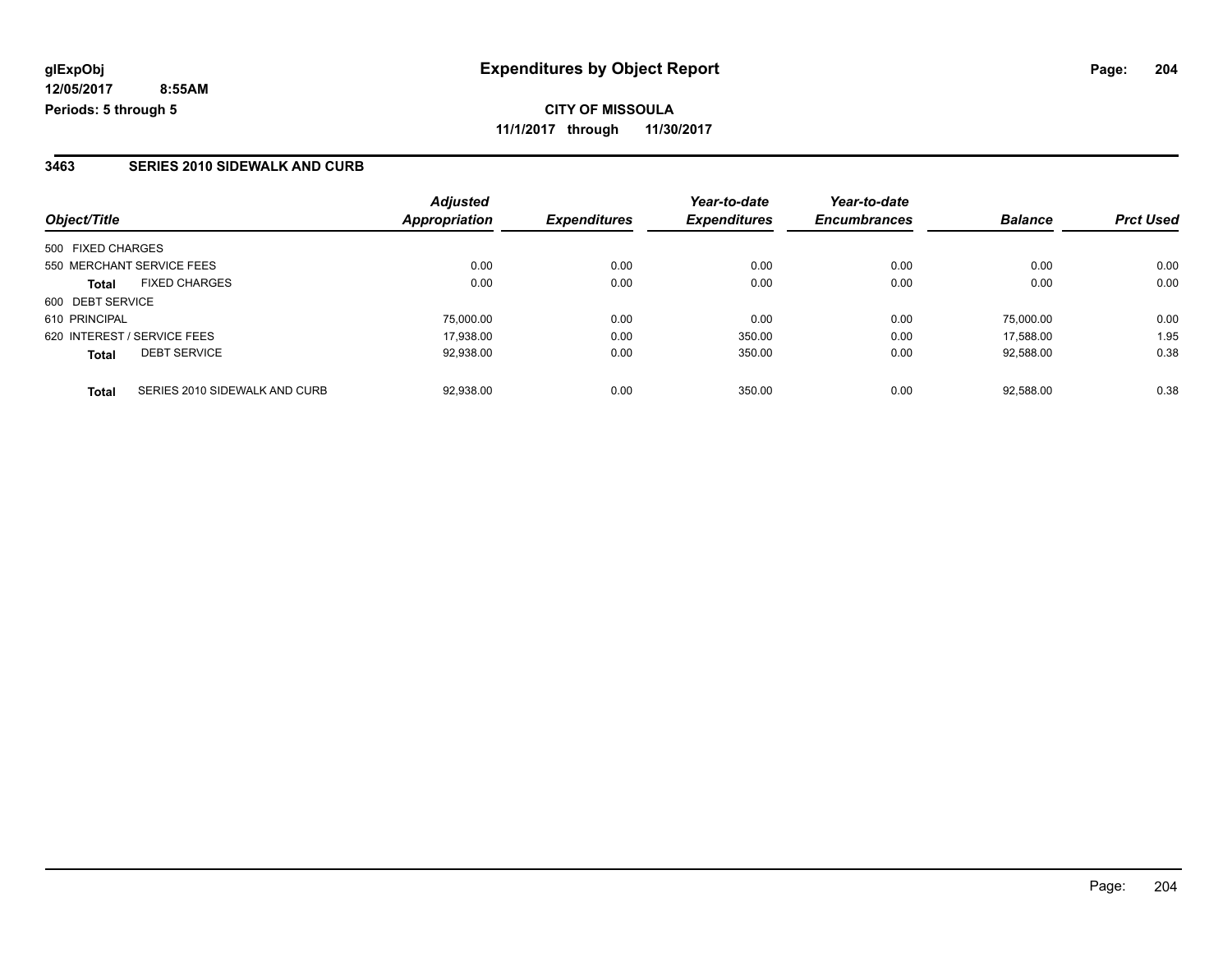**CITY OF MISSOULA 11/1/2017 through 11/30/2017**

### **3463 SERIES 2010 SIDEWALK AND CURB**

| Object/Title                                  | <b>Adjusted</b><br>Appropriation | <b>Expenditures</b> | Year-to-date<br><b>Expenditures</b> | Year-to-date<br><b>Encumbrances</b> | <b>Balance</b> | <b>Prct Used</b> |
|-----------------------------------------------|----------------------------------|---------------------|-------------------------------------|-------------------------------------|----------------|------------------|
| 500 FIXED CHARGES                             |                                  |                     |                                     |                                     |                |                  |
| 550 MERCHANT SERVICE FEES                     | 0.00                             | 0.00                | 0.00                                | 0.00                                | 0.00           | 0.00             |
| <b>FIXED CHARGES</b><br><b>Total</b>          | 0.00                             | 0.00                | 0.00                                | 0.00                                | 0.00           | 0.00             |
| 600 DEBT SERVICE                              |                                  |                     |                                     |                                     |                |                  |
| 610 PRINCIPAL                                 | 75,000.00                        | 0.00                | 0.00                                | 0.00                                | 75.000.00      | 0.00             |
| 620 INTEREST / SERVICE FEES                   | 17.938.00                        | 0.00                | 350.00                              | 0.00                                | 17.588.00      | 1.95             |
| <b>DEBT SERVICE</b><br><b>Total</b>           | 92,938.00                        | 0.00                | 350.00                              | 0.00                                | 92.588.00      | 0.38             |
| SERIES 2010 SIDEWALK AND CURB<br><b>Total</b> | 92,938.00                        | 0.00                | 350.00                              | 0.00                                | 92,588.00      | 0.38             |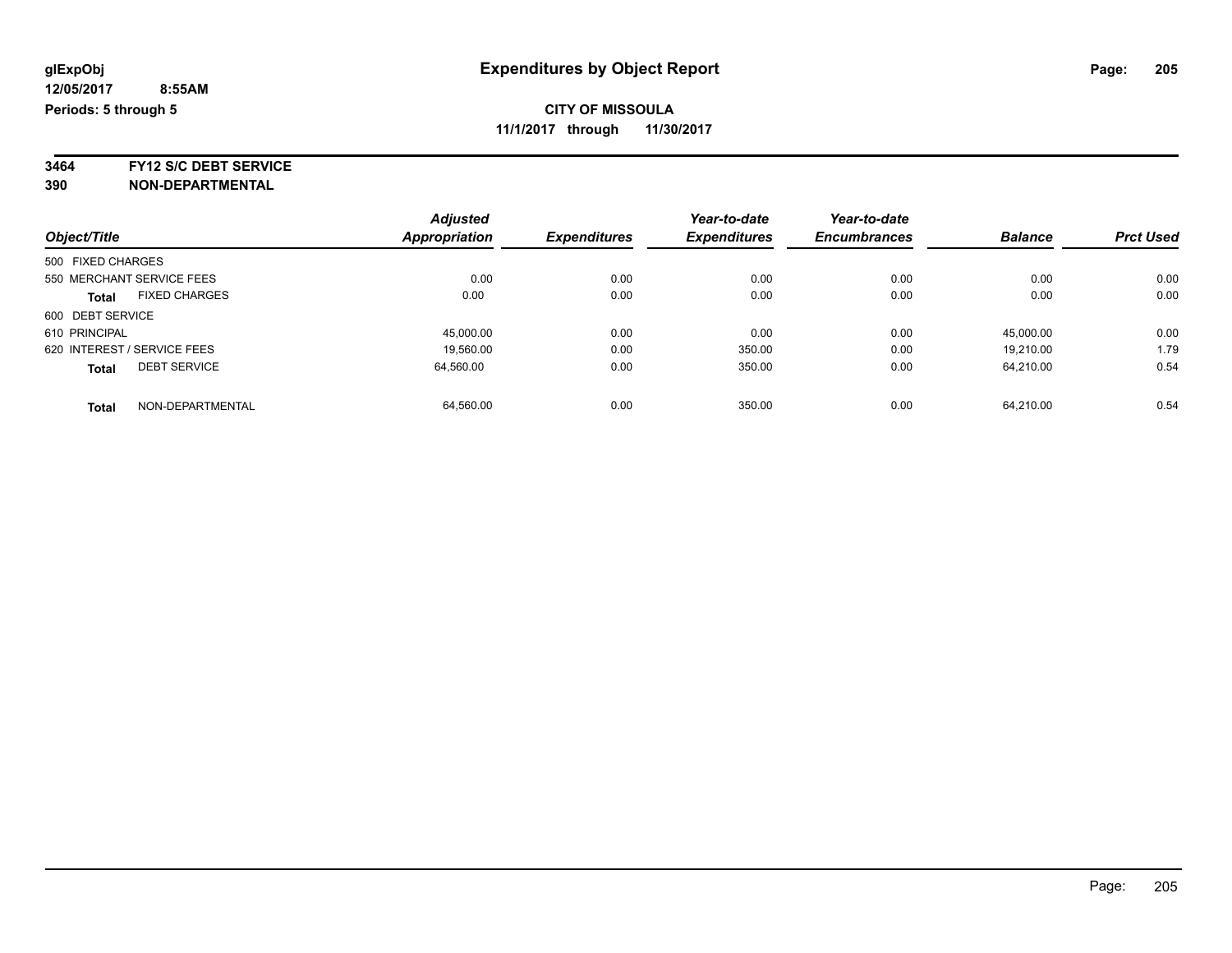**3464 FY12 S/C DEBT SERVICE**

|                                      | <b>Adjusted</b>      |                     | Year-to-date        | Year-to-date        |                |                  |
|--------------------------------------|----------------------|---------------------|---------------------|---------------------|----------------|------------------|
| Object/Title                         | <b>Appropriation</b> | <b>Expenditures</b> | <b>Expenditures</b> | <b>Encumbrances</b> | <b>Balance</b> | <b>Prct Used</b> |
| 500 FIXED CHARGES                    |                      |                     |                     |                     |                |                  |
| 550 MERCHANT SERVICE FEES            | 0.00                 | 0.00                | 0.00                | 0.00                | 0.00           | 0.00             |
| <b>FIXED CHARGES</b><br><b>Total</b> | 0.00                 | 0.00                | 0.00                | 0.00                | 0.00           | 0.00             |
| 600 DEBT SERVICE                     |                      |                     |                     |                     |                |                  |
| 610 PRINCIPAL                        | 45,000.00            | 0.00                | 0.00                | 0.00                | 45.000.00      | 0.00             |
| 620 INTEREST / SERVICE FEES          | 19,560.00            | 0.00                | 350.00              | 0.00                | 19.210.00      | 1.79             |
| <b>DEBT SERVICE</b><br><b>Total</b>  | 64.560.00            | 0.00                | 350.00              | 0.00                | 64.210.00      | 0.54             |
| NON-DEPARTMENTAL<br><b>Total</b>     | 64.560.00            | 0.00                | 350.00              | 0.00                | 64.210.00      | 0.54             |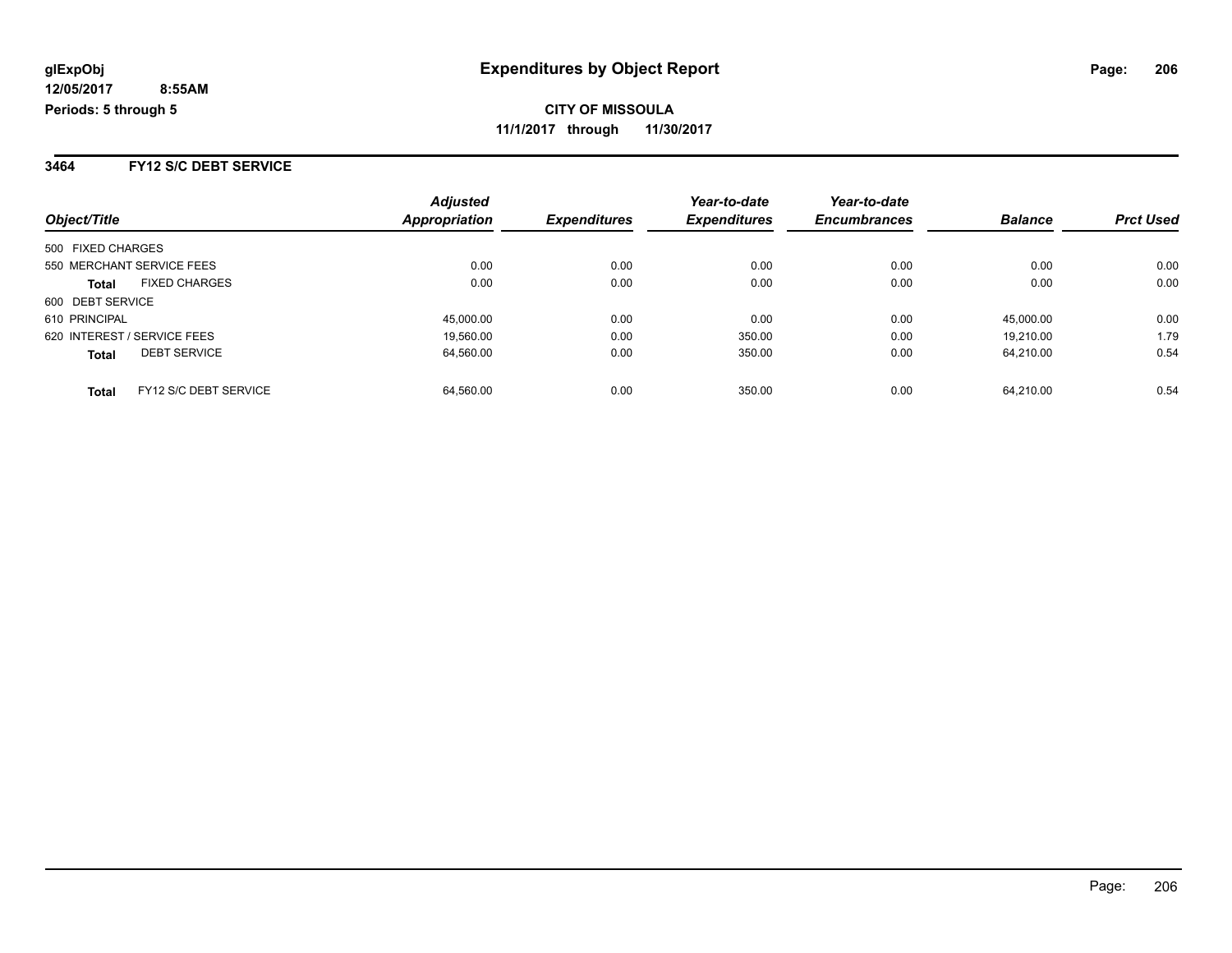**3464 FY12 S/C DEBT SERVICE**

|                             |                       | <b>Adjusted</b> |                     | Year-to-date        | Year-to-date        |                |                  |
|-----------------------------|-----------------------|-----------------|---------------------|---------------------|---------------------|----------------|------------------|
| Object/Title                |                       | Appropriation   | <b>Expenditures</b> | <b>Expenditures</b> | <b>Encumbrances</b> | <b>Balance</b> | <b>Prct Used</b> |
| 500 FIXED CHARGES           |                       |                 |                     |                     |                     |                |                  |
| 550 MERCHANT SERVICE FEES   |                       | 0.00            | 0.00                | 0.00                | 0.00                | 0.00           | 0.00             |
| <b>Total</b>                | <b>FIXED CHARGES</b>  | 0.00            | 0.00                | 0.00                | 0.00                | 0.00           | 0.00             |
| 600 DEBT SERVICE            |                       |                 |                     |                     |                     |                |                  |
| 610 PRINCIPAL               |                       | 45,000.00       | 0.00                | 0.00                | 0.00                | 45.000.00      | 0.00             |
| 620 INTEREST / SERVICE FEES |                       | 19.560.00       | 0.00                | 350.00              | 0.00                | 19.210.00      | 1.79             |
| <b>Total</b>                | <b>DEBT SERVICE</b>   | 64,560.00       | 0.00                | 350.00              | 0.00                | 64.210.00      | 0.54             |
| <b>Total</b>                | FY12 S/C DEBT SERVICE | 64.560.00       | 0.00                | 350.00              | 0.00                | 64.210.00      | 0.54             |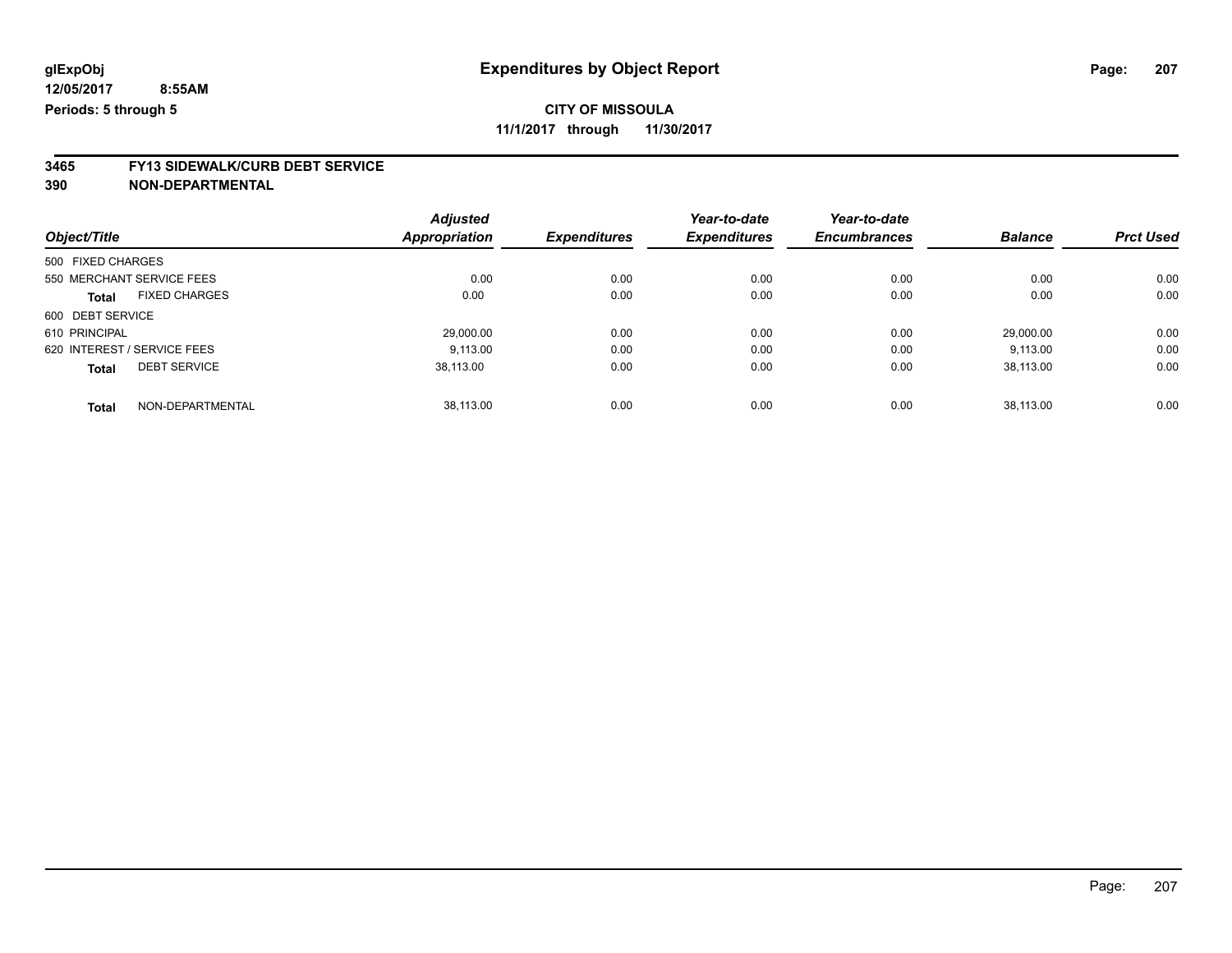**11/1/2017 through 11/30/2017**

# **3465 FY13 SIDEWALK/CURB DEBT SERVICE**

|                             |                      | <b>Adjusted</b>      |                     | Year-to-date        | Year-to-date        |                |                  |
|-----------------------------|----------------------|----------------------|---------------------|---------------------|---------------------|----------------|------------------|
| Object/Title                |                      | <b>Appropriation</b> | <b>Expenditures</b> | <b>Expenditures</b> | <b>Encumbrances</b> | <b>Balance</b> | <b>Prct Used</b> |
| 500 FIXED CHARGES           |                      |                      |                     |                     |                     |                |                  |
| 550 MERCHANT SERVICE FEES   |                      | 0.00                 | 0.00                | 0.00                | 0.00                | 0.00           | 0.00             |
| <b>Total</b>                | <b>FIXED CHARGES</b> | 0.00                 | 0.00                | 0.00                | 0.00                | 0.00           | 0.00             |
| 600 DEBT SERVICE            |                      |                      |                     |                     |                     |                |                  |
| 610 PRINCIPAL               |                      | 29.000.00            | 0.00                | 0.00                | 0.00                | 29.000.00      | 0.00             |
| 620 INTEREST / SERVICE FEES |                      | 9.113.00             | 0.00                | 0.00                | 0.00                | 9,113.00       | 0.00             |
| <b>Total</b>                | <b>DEBT SERVICE</b>  | 38,113.00            | 0.00                | 0.00                | 0.00                | 38,113.00      | 0.00             |
|                             |                      |                      |                     |                     |                     |                |                  |
| <b>Total</b>                | NON-DEPARTMENTAL     | 38.113.00            | 0.00                | 0.00                | 0.00                | 38.113.00      | 0.00             |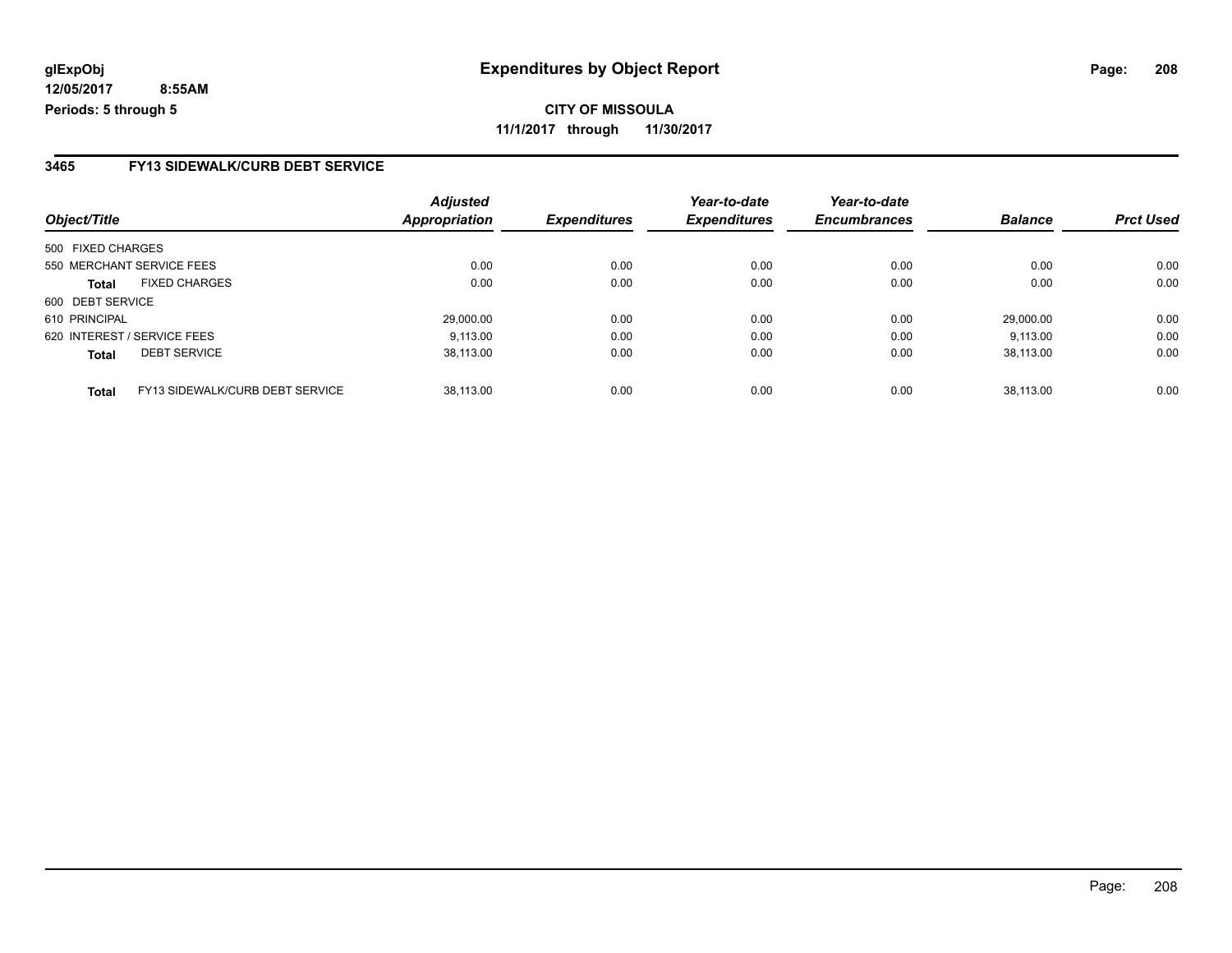### **3465 FY13 SIDEWALK/CURB DEBT SERVICE**

|                                                 | <b>Adjusted</b>      |                     | Year-to-date        | Year-to-date        |                |                  |
|-------------------------------------------------|----------------------|---------------------|---------------------|---------------------|----------------|------------------|
| Object/Title                                    | <b>Appropriation</b> | <b>Expenditures</b> | <b>Expenditures</b> | <b>Encumbrances</b> | <b>Balance</b> | <b>Prct Used</b> |
| 500 FIXED CHARGES                               |                      |                     |                     |                     |                |                  |
| 550 MERCHANT SERVICE FEES                       | 0.00                 | 0.00                | 0.00                | 0.00                | 0.00           | 0.00             |
| <b>FIXED CHARGES</b><br><b>Total</b>            | 0.00                 | 0.00                | 0.00                | 0.00                | 0.00           | 0.00             |
| 600 DEBT SERVICE                                |                      |                     |                     |                     |                |                  |
| 610 PRINCIPAL                                   | 29,000.00            | 0.00                | 0.00                | 0.00                | 29.000.00      | 0.00             |
| 620 INTEREST / SERVICE FEES                     | 9.113.00             | 0.00                | 0.00                | 0.00                | 9.113.00       | 0.00             |
| <b>DEBT SERVICE</b><br><b>Total</b>             | 38,113.00            | 0.00                | 0.00                | 0.00                | 38.113.00      | 0.00             |
| FY13 SIDEWALK/CURB DEBT SERVICE<br><b>Total</b> | 38.113.00            | 0.00                | 0.00                | 0.00                | 38.113.00      | 0.00             |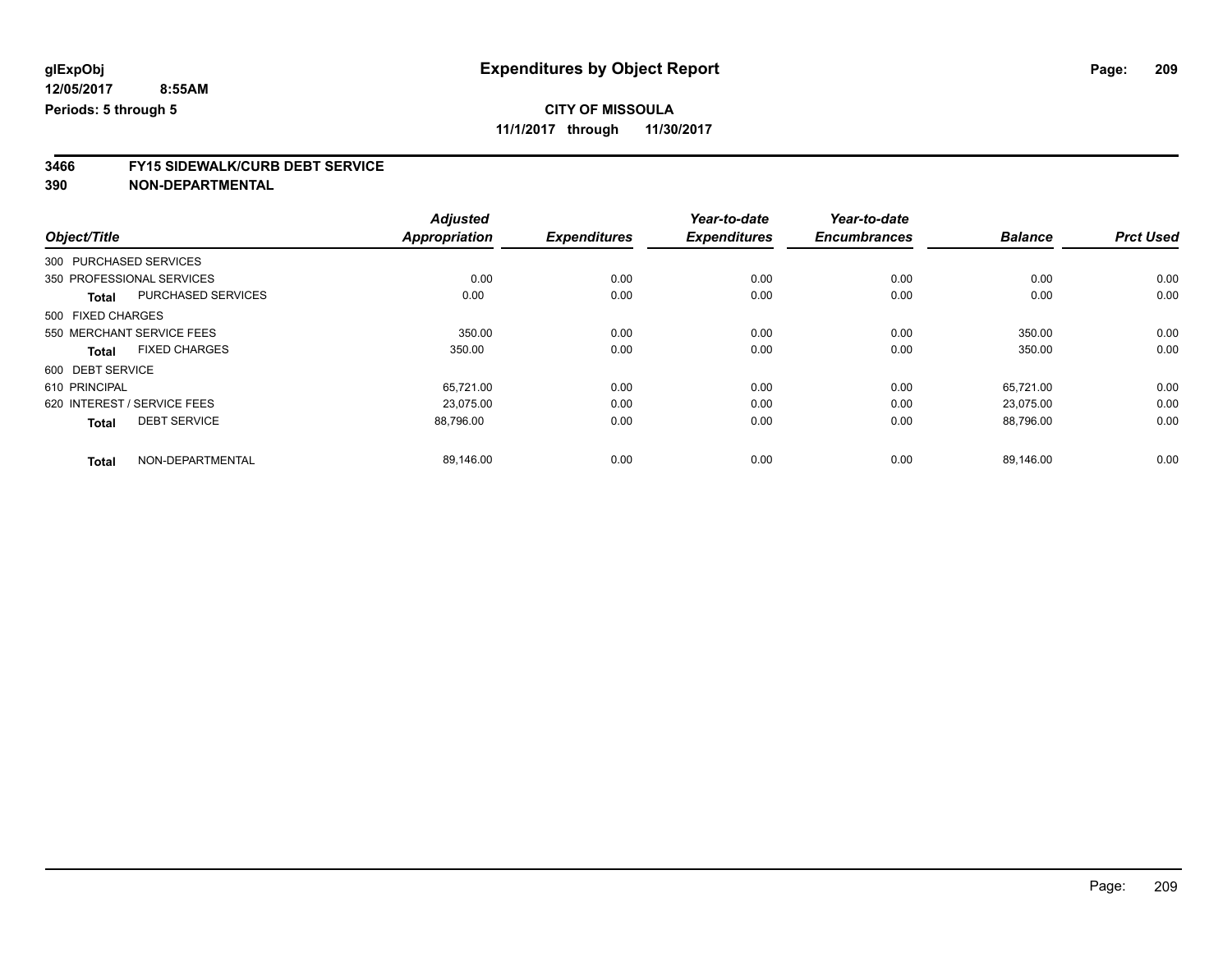**11/1/2017 through 11/30/2017**

# **3466 FY15 SIDEWALK/CURB DEBT SERVICE**

|                                      | <b>Adjusted</b>      |                     | Year-to-date        | Year-to-date        |                |                  |
|--------------------------------------|----------------------|---------------------|---------------------|---------------------|----------------|------------------|
| Object/Title                         | <b>Appropriation</b> | <b>Expenditures</b> | <b>Expenditures</b> | <b>Encumbrances</b> | <b>Balance</b> | <b>Prct Used</b> |
| 300 PURCHASED SERVICES               |                      |                     |                     |                     |                |                  |
| 350 PROFESSIONAL SERVICES            | 0.00                 | 0.00                | 0.00                | 0.00                | 0.00           | 0.00             |
| PURCHASED SERVICES<br><b>Total</b>   | 0.00                 | 0.00                | 0.00                | 0.00                | 0.00           | 0.00             |
| 500 FIXED CHARGES                    |                      |                     |                     |                     |                |                  |
| 550 MERCHANT SERVICE FEES            | 350.00               | 0.00                | 0.00                | 0.00                | 350.00         | 0.00             |
| <b>FIXED CHARGES</b><br><b>Total</b> | 350.00               | 0.00                | 0.00                | 0.00                | 350.00         | 0.00             |
| 600 DEBT SERVICE                     |                      |                     |                     |                     |                |                  |
| 610 PRINCIPAL                        | 65,721.00            | 0.00                | 0.00                | 0.00                | 65,721.00      | 0.00             |
| 620 INTEREST / SERVICE FEES          | 23,075.00            | 0.00                | 0.00                | 0.00                | 23,075.00      | 0.00             |
| <b>DEBT SERVICE</b><br><b>Total</b>  | 88,796.00            | 0.00                | 0.00                | 0.00                | 88,796.00      | 0.00             |
| NON-DEPARTMENTAL<br><b>Total</b>     | 89,146.00            | 0.00                | 0.00                | 0.00                | 89,146.00      | 0.00             |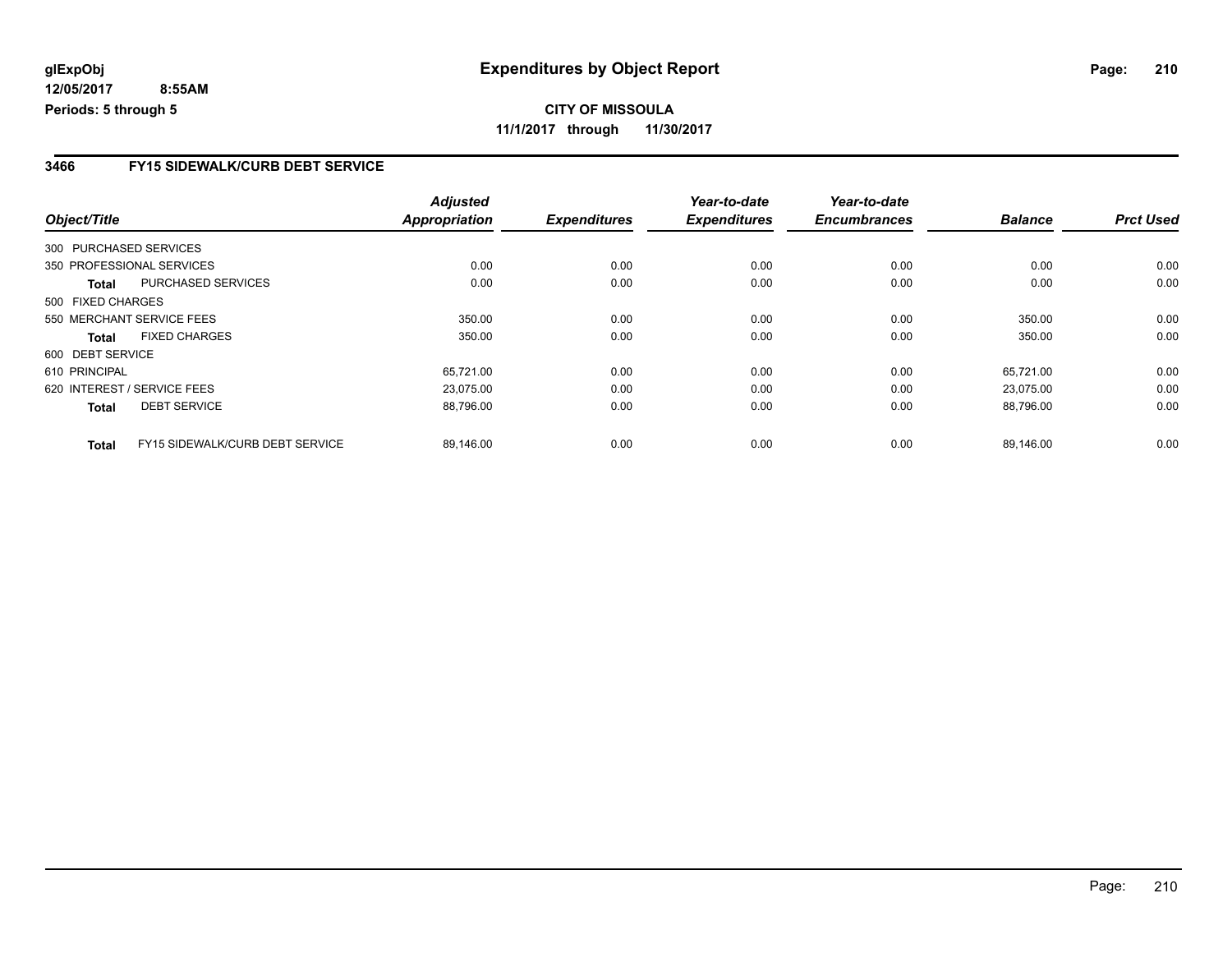**CITY OF MISSOULA 11/1/2017 through 11/30/2017**

### **3466 FY15 SIDEWALK/CURB DEBT SERVICE**

|                   |                                        | <b>Adjusted</b>      |                     | Year-to-date        | Year-to-date        |                |                  |
|-------------------|----------------------------------------|----------------------|---------------------|---------------------|---------------------|----------------|------------------|
| Object/Title      |                                        | <b>Appropriation</b> | <b>Expenditures</b> | <b>Expenditures</b> | <b>Encumbrances</b> | <b>Balance</b> | <b>Prct Used</b> |
|                   | 300 PURCHASED SERVICES                 |                      |                     |                     |                     |                |                  |
|                   | 350 PROFESSIONAL SERVICES              | 0.00                 | 0.00                | 0.00                | 0.00                | 0.00           | 0.00             |
| Total             | <b>PURCHASED SERVICES</b>              | 0.00                 | 0.00                | 0.00                | 0.00                | 0.00           | 0.00             |
| 500 FIXED CHARGES |                                        |                      |                     |                     |                     |                |                  |
|                   | 550 MERCHANT SERVICE FEES              | 350.00               | 0.00                | 0.00                | 0.00                | 350.00         | 0.00             |
| <b>Total</b>      | <b>FIXED CHARGES</b>                   | 350.00               | 0.00                | 0.00                | 0.00                | 350.00         | 0.00             |
| 600 DEBT SERVICE  |                                        |                      |                     |                     |                     |                |                  |
| 610 PRINCIPAL     |                                        | 65,721.00            | 0.00                | 0.00                | 0.00                | 65.721.00      | 0.00             |
|                   | 620 INTEREST / SERVICE FEES            | 23.075.00            | 0.00                | 0.00                | 0.00                | 23.075.00      | 0.00             |
| <b>Total</b>      | <b>DEBT SERVICE</b>                    | 88,796.00            | 0.00                | 0.00                | 0.00                | 88,796.00      | 0.00             |
| <b>Total</b>      | <b>FY15 SIDEWALK/CURB DEBT SERVICE</b> | 89,146.00            | 0.00                | 0.00                | 0.00                | 89,146.00      | 0.00             |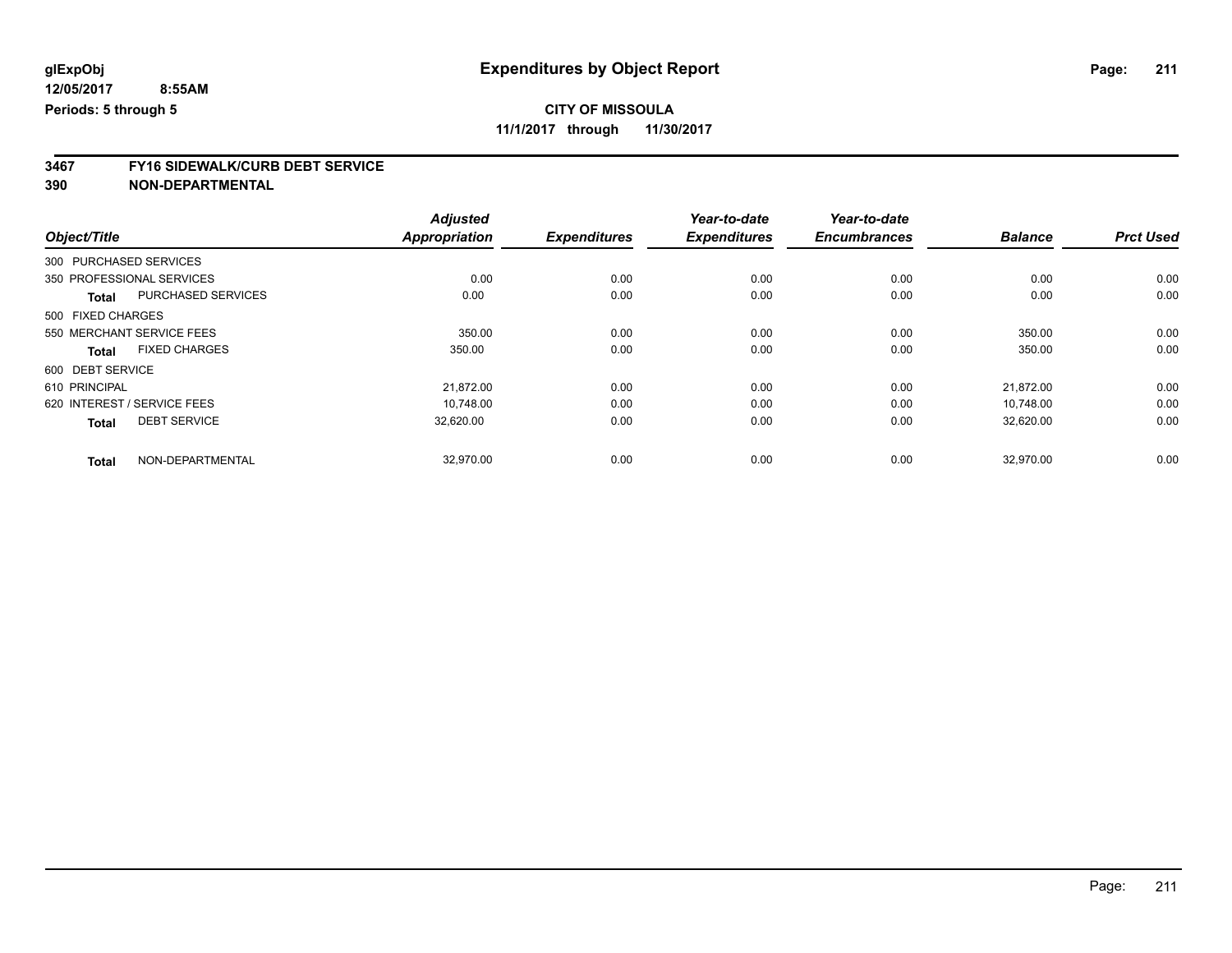**11/1/2017 through 11/30/2017**

# **3467 FY16 SIDEWALK/CURB DEBT SERVICE**

|               |                                      | <b>Adjusted</b>      |                     | Year-to-date        | Year-to-date        |                |                  |
|---------------|--------------------------------------|----------------------|---------------------|---------------------|---------------------|----------------|------------------|
| Object/Title  |                                      | <b>Appropriation</b> | <b>Expenditures</b> | <b>Expenditures</b> | <b>Encumbrances</b> | <b>Balance</b> | <b>Prct Used</b> |
|               | 300 PURCHASED SERVICES               |                      |                     |                     |                     |                |                  |
|               | 350 PROFESSIONAL SERVICES            | 0.00                 | 0.00                | 0.00                | 0.00                | 0.00           | 0.00             |
|               | PURCHASED SERVICES<br><b>Total</b>   | 0.00                 | 0.00                | 0.00                | 0.00                | 0.00           | 0.00             |
|               | 500 FIXED CHARGES                    |                      |                     |                     |                     |                |                  |
|               | 550 MERCHANT SERVICE FEES            | 350.00               | 0.00                | 0.00                | 0.00                | 350.00         | 0.00             |
|               | <b>FIXED CHARGES</b><br><b>Total</b> | 350.00               | 0.00                | 0.00                | 0.00                | 350.00         | 0.00             |
|               | 600 DEBT SERVICE                     |                      |                     |                     |                     |                |                  |
| 610 PRINCIPAL |                                      | 21,872.00            | 0.00                | 0.00                | 0.00                | 21.872.00      | 0.00             |
|               | 620 INTEREST / SERVICE FEES          | 10.748.00            | 0.00                | 0.00                | 0.00                | 10,748.00      | 0.00             |
|               | <b>DEBT SERVICE</b><br><b>Total</b>  | 32,620.00            | 0.00                | 0.00                | 0.00                | 32,620.00      | 0.00             |
|               | NON-DEPARTMENTAL<br><b>Total</b>     | 32,970.00            | 0.00                | 0.00                | 0.00                | 32,970.00      | 0.00             |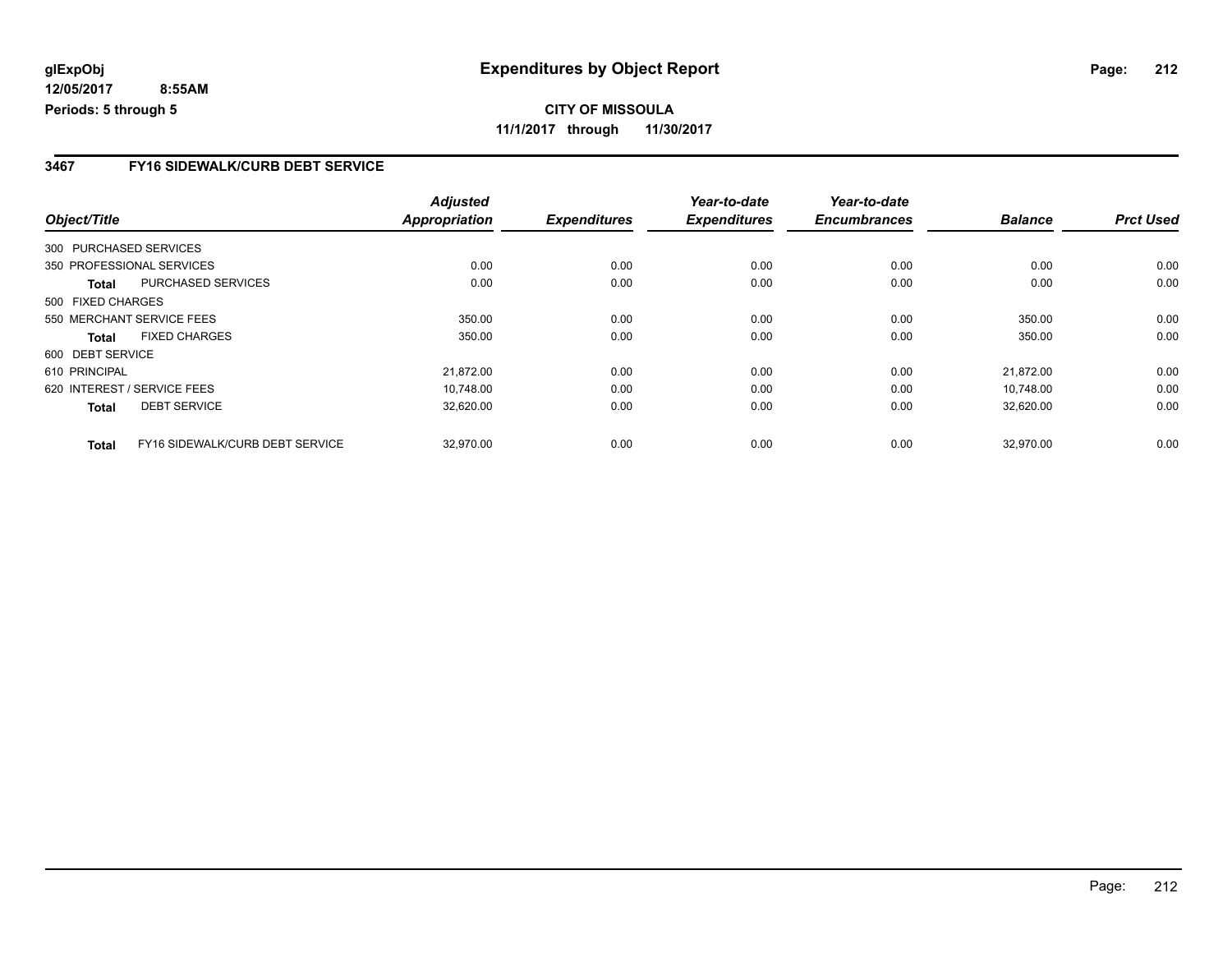**CITY OF MISSOULA 11/1/2017 through 11/30/2017**

### **3467 FY16 SIDEWALK/CURB DEBT SERVICE**

|                        |                                 | <b>Adjusted</b>      |                     | Year-to-date        | Year-to-date        |                |                  |
|------------------------|---------------------------------|----------------------|---------------------|---------------------|---------------------|----------------|------------------|
| Object/Title           |                                 | <b>Appropriation</b> | <b>Expenditures</b> | <b>Expenditures</b> | <b>Encumbrances</b> | <b>Balance</b> | <b>Prct Used</b> |
| 300 PURCHASED SERVICES |                                 |                      |                     |                     |                     |                |                  |
|                        | 350 PROFESSIONAL SERVICES       | 0.00                 | 0.00                | 0.00                | 0.00                | 0.00           | 0.00             |
| Total                  | <b>PURCHASED SERVICES</b>       | 0.00                 | 0.00                | 0.00                | 0.00                | 0.00           | 0.00             |
| 500 FIXED CHARGES      |                                 |                      |                     |                     |                     |                |                  |
|                        | 550 MERCHANT SERVICE FEES       | 350.00               | 0.00                | 0.00                | 0.00                | 350.00         | 0.00             |
| <b>Total</b>           | <b>FIXED CHARGES</b>            | 350.00               | 0.00                | 0.00                | 0.00                | 350.00         | 0.00             |
| 600 DEBT SERVICE       |                                 |                      |                     |                     |                     |                |                  |
| 610 PRINCIPAL          |                                 | 21,872.00            | 0.00                | 0.00                | 0.00                | 21,872.00      | 0.00             |
|                        | 620 INTEREST / SERVICE FEES     | 10.748.00            | 0.00                | 0.00                | 0.00                | 10.748.00      | 0.00             |
| <b>Total</b>           | <b>DEBT SERVICE</b>             | 32,620.00            | 0.00                | 0.00                | 0.00                | 32,620.00      | 0.00             |
| <b>Total</b>           | FY16 SIDEWALK/CURB DEBT SERVICE | 32,970.00            | 0.00                | 0.00                | 0.00                | 32,970.00      | 0.00             |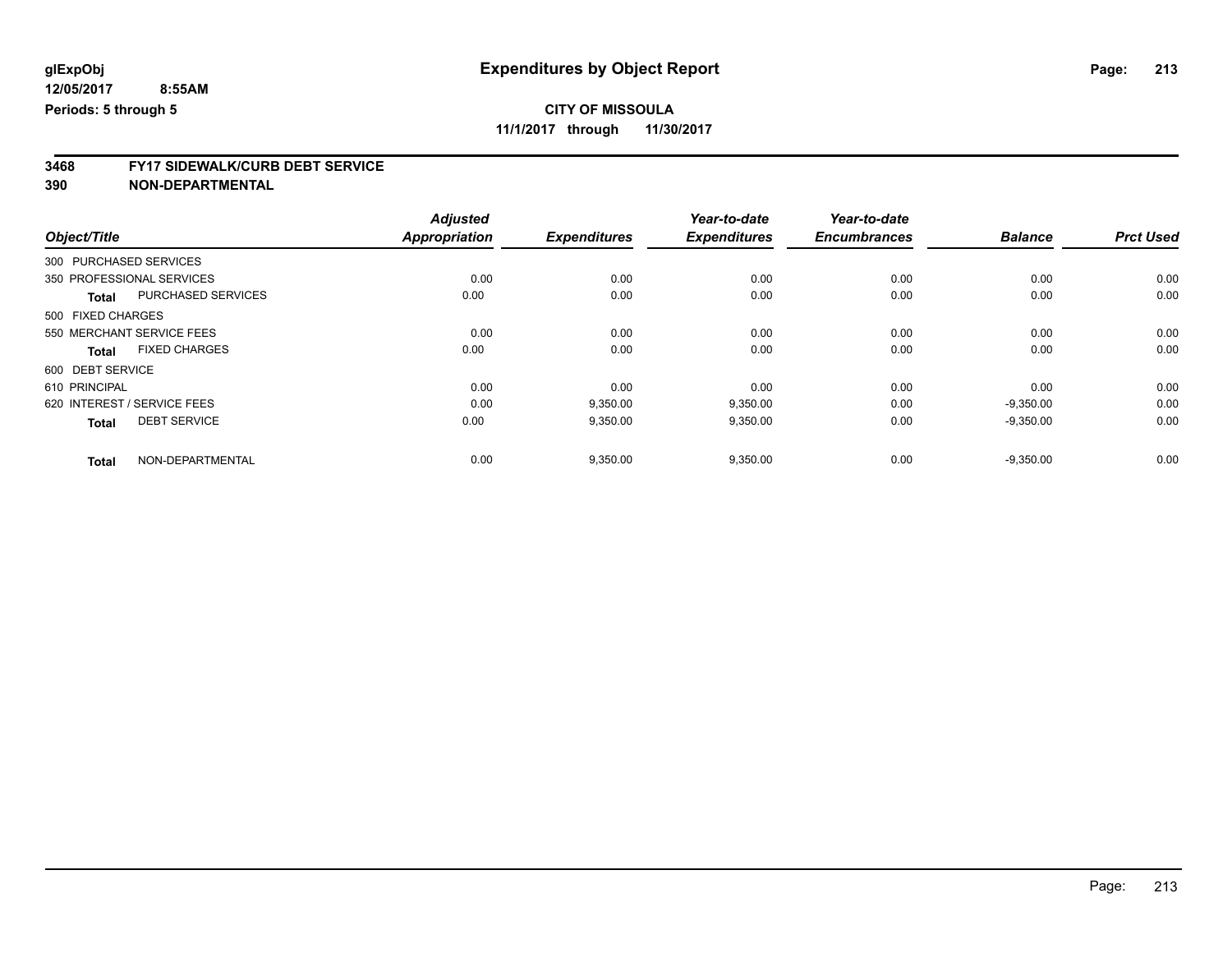**11/1/2017 through 11/30/2017**

# **3468 FY17 SIDEWALK/CURB DEBT SERVICE**

|                   |                             | <b>Adjusted</b>      |                     | Year-to-date        | Year-to-date        |                |                  |
|-------------------|-----------------------------|----------------------|---------------------|---------------------|---------------------|----------------|------------------|
| Object/Title      |                             | <b>Appropriation</b> | <b>Expenditures</b> | <b>Expenditures</b> | <b>Encumbrances</b> | <b>Balance</b> | <b>Prct Used</b> |
|                   | 300 PURCHASED SERVICES      |                      |                     |                     |                     |                |                  |
|                   | 350 PROFESSIONAL SERVICES   | 0.00                 | 0.00                | 0.00                | 0.00                | 0.00           | 0.00             |
| <b>Total</b>      | PURCHASED SERVICES          | 0.00                 | 0.00                | 0.00                | 0.00                | 0.00           | 0.00             |
| 500 FIXED CHARGES |                             |                      |                     |                     |                     |                |                  |
|                   | 550 MERCHANT SERVICE FEES   | 0.00                 | 0.00                | 0.00                | 0.00                | 0.00           | 0.00             |
| <b>Total</b>      | <b>FIXED CHARGES</b>        | 0.00                 | 0.00                | 0.00                | 0.00                | 0.00           | 0.00             |
| 600 DEBT SERVICE  |                             |                      |                     |                     |                     |                |                  |
| 610 PRINCIPAL     |                             | 0.00                 | 0.00                | 0.00                | 0.00                | 0.00           | 0.00             |
|                   | 620 INTEREST / SERVICE FEES | 0.00                 | 9,350.00            | 9,350.00            | 0.00                | $-9,350.00$    | 0.00             |
| <b>Total</b>      | <b>DEBT SERVICE</b>         | 0.00                 | 9,350.00            | 9,350.00            | 0.00                | $-9,350.00$    | 0.00             |
| <b>Total</b>      | NON-DEPARTMENTAL            | 0.00                 | 9,350.00            | 9,350.00            | 0.00                | $-9,350.00$    | 0.00             |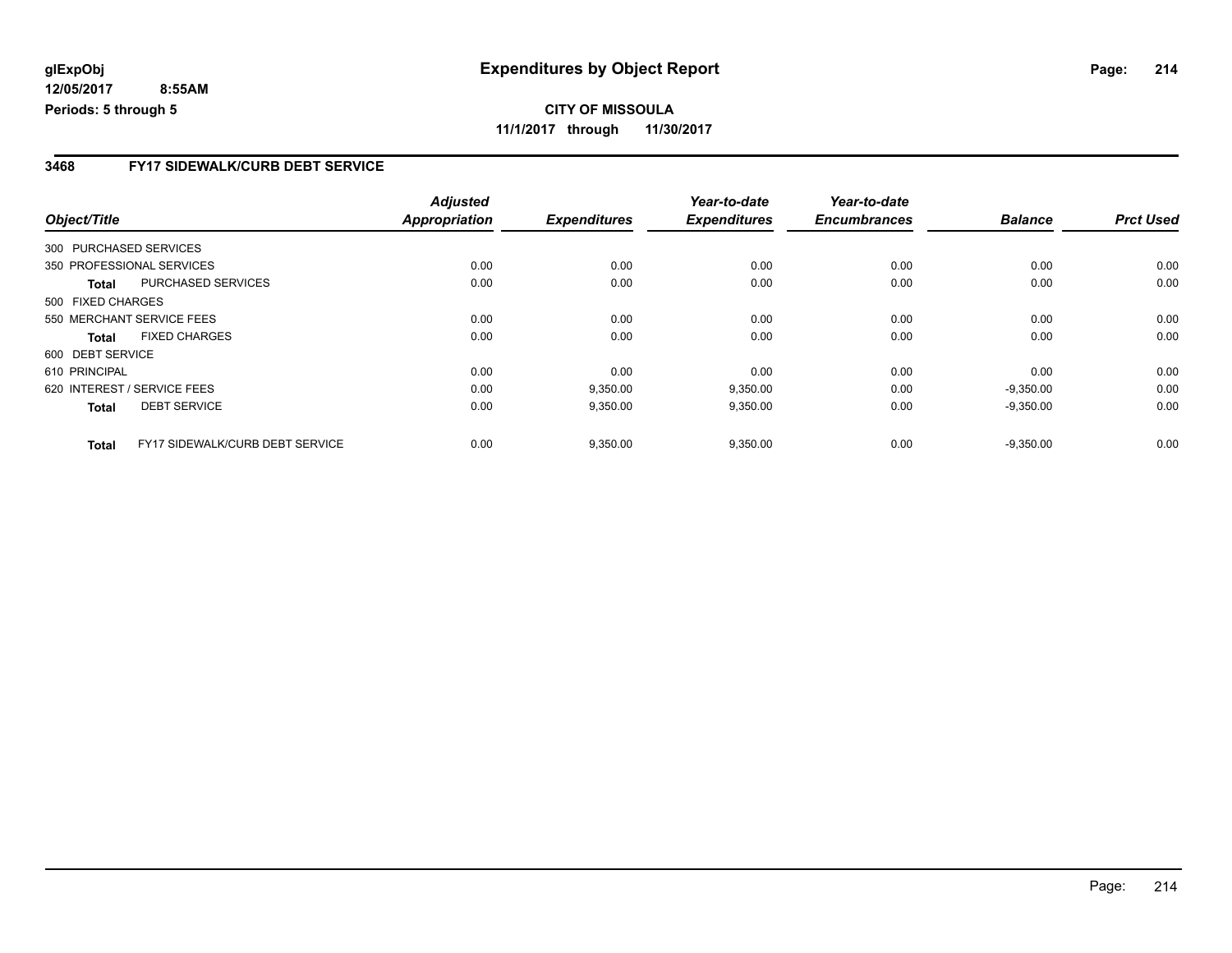**CITY OF MISSOULA 11/1/2017 through 11/30/2017**

### **3468 FY17 SIDEWALK/CURB DEBT SERVICE**

|                        |                                        | <b>Adjusted</b>      |                     | Year-to-date        | Year-to-date        |                |                  |
|------------------------|----------------------------------------|----------------------|---------------------|---------------------|---------------------|----------------|------------------|
| Object/Title           |                                        | <b>Appropriation</b> | <b>Expenditures</b> | <b>Expenditures</b> | <b>Encumbrances</b> | <b>Balance</b> | <b>Prct Used</b> |
| 300 PURCHASED SERVICES |                                        |                      |                     |                     |                     |                |                  |
|                        | 350 PROFESSIONAL SERVICES              | 0.00                 | 0.00                | 0.00                | 0.00                | 0.00           | 0.00             |
| Total                  | PURCHASED SERVICES                     | 0.00                 | 0.00                | 0.00                | 0.00                | 0.00           | 0.00             |
| 500 FIXED CHARGES      |                                        |                      |                     |                     |                     |                |                  |
|                        | 550 MERCHANT SERVICE FEES              | 0.00                 | 0.00                | 0.00                | 0.00                | 0.00           | 0.00             |
| Total                  | <b>FIXED CHARGES</b>                   | 0.00                 | 0.00                | 0.00                | 0.00                | 0.00           | 0.00             |
| 600 DEBT SERVICE       |                                        |                      |                     |                     |                     |                |                  |
| 610 PRINCIPAL          |                                        | 0.00                 | 0.00                | 0.00                | 0.00                | 0.00           | 0.00             |
|                        | 620 INTEREST / SERVICE FEES            | 0.00                 | 9,350.00            | 9,350.00            | 0.00                | $-9,350.00$    | 0.00             |
| <b>Total</b>           | <b>DEBT SERVICE</b>                    | 0.00                 | 9,350.00            | 9,350.00            | 0.00                | $-9,350.00$    | 0.00             |
| <b>Total</b>           | <b>FY17 SIDEWALK/CURB DEBT SERVICE</b> | 0.00                 | 9,350.00            | 9,350.00            | 0.00                | $-9,350.00$    | 0.00             |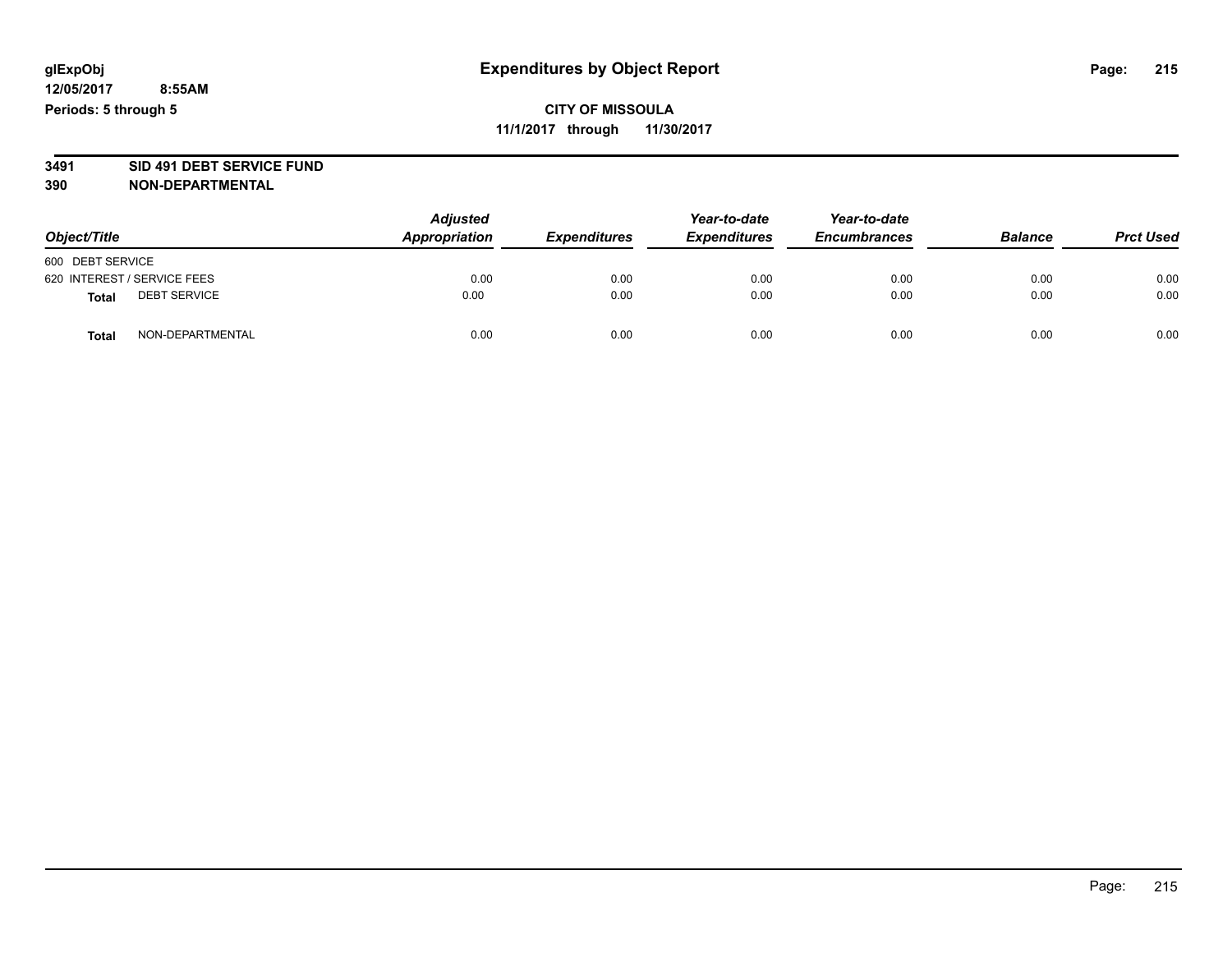## **CITY OF MISSOULA 11/1/2017 through 11/30/2017**

# **3491 SID 491 DEBT SERVICE FUND**

| Object/Title                        | <b>Adjusted</b><br>Appropriation | <b>Expenditures</b> | Year-to-date<br><b>Expenditures</b> | Year-to-date<br><b>Encumbrances</b> | <b>Balance</b> | <b>Prct Used</b> |
|-------------------------------------|----------------------------------|---------------------|-------------------------------------|-------------------------------------|----------------|------------------|
| 600 DEBT SERVICE                    |                                  |                     |                                     |                                     |                |                  |
| 620 INTEREST / SERVICE FEES         | 0.00                             | 0.00                | 0.00                                | 0.00                                | 0.00           | 0.00             |
| <b>DEBT SERVICE</b><br><b>Total</b> | 0.00                             | 0.00                | 0.00                                | 0.00                                | 0.00           | 0.00             |
| NON-DEPARTMENTAL<br><b>Total</b>    | 0.00                             | 0.00                | 0.00                                | 0.00                                | 0.00           | 0.00             |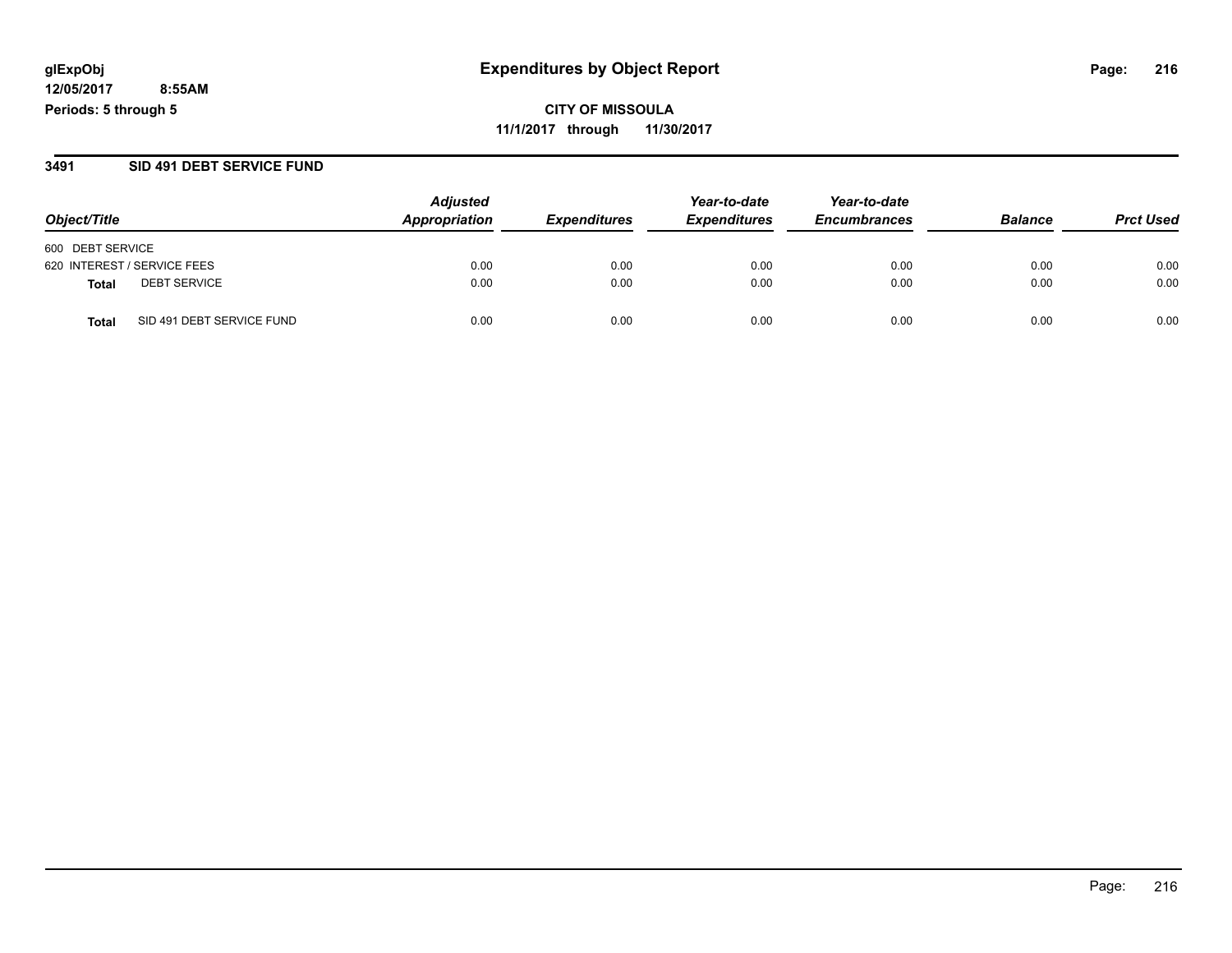**CITY OF MISSOULA 11/1/2017 through 11/30/2017**

#### **3491 SID 491 DEBT SERVICE FUND**

|                                           | <b>Adjusted</b> | Year-to-date               | Year-to-date        |                     |                |                  |
|-------------------------------------------|-----------------|----------------------------|---------------------|---------------------|----------------|------------------|
| Object/Title                              | Appropriation   | <i><b>Expenditures</b></i> | <b>Expenditures</b> | <b>Encumbrances</b> | <b>Balance</b> | <b>Prct Used</b> |
| 600 DEBT SERVICE                          |                 |                            |                     |                     |                |                  |
| 620 INTEREST / SERVICE FEES               | 0.00            | 0.00                       | 0.00                | 0.00                | 0.00           | 0.00             |
| <b>DEBT SERVICE</b><br><b>Total</b>       | 0.00            | 0.00                       | 0.00                | 0.00                | 0.00           | 0.00             |
| SID 491 DEBT SERVICE FUND<br><b>Total</b> | 0.00            | 0.00                       | 0.00                | 0.00                | 0.00           | 0.00             |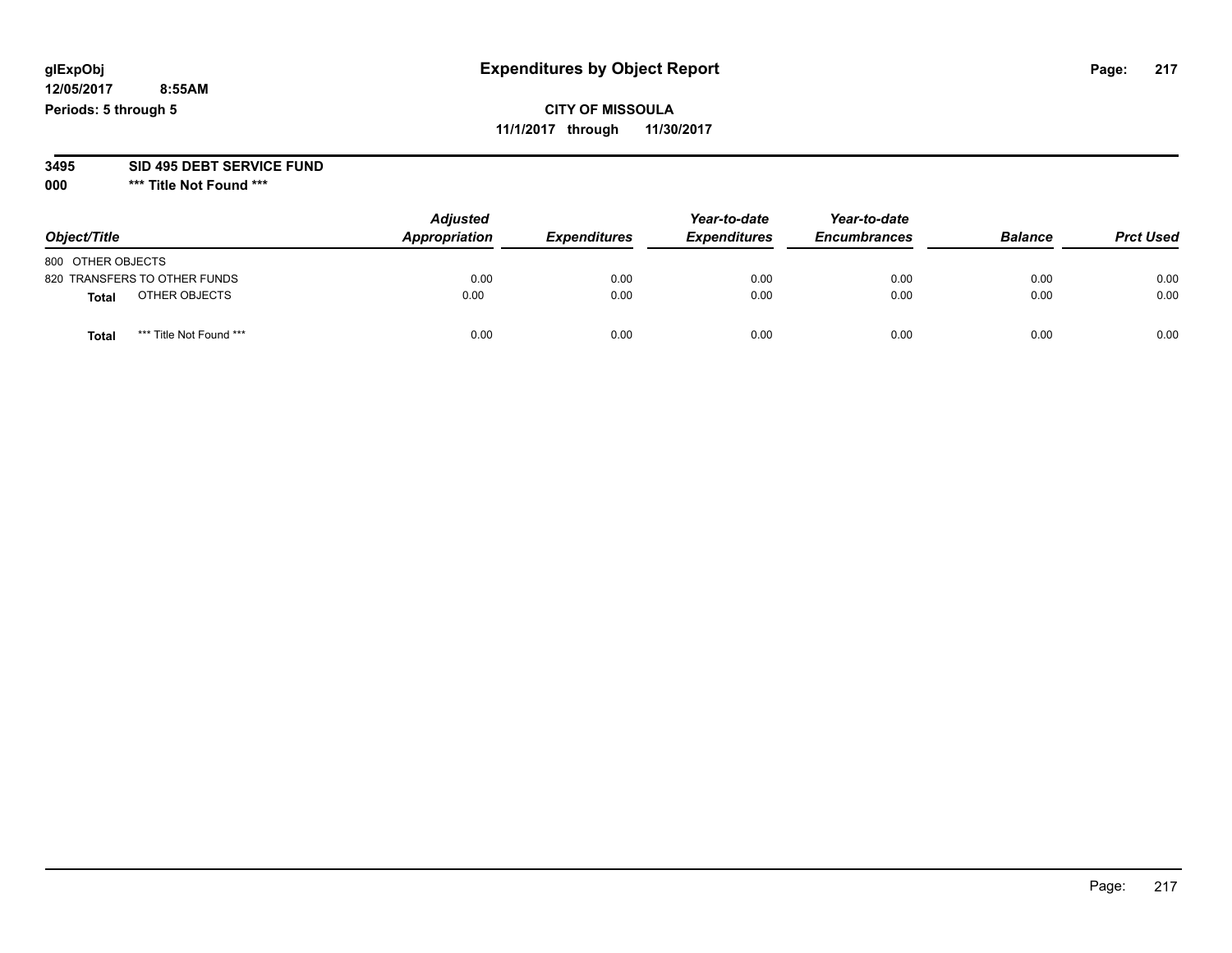# **glExpObj Expenditures by Object Report Page: 217**

**12/05/2017 8:55AM Periods: 5 through 5**

# **CITY OF MISSOULA 11/1/2017 through 11/30/2017**

**3495 SID 495 DEBT SERVICE FUND**

| Object/Title      |                              | <b>Adjusted</b><br>Appropriation | <b>Expenditures</b> | Year-to-date<br><b>Expenditures</b> | Year-to-date<br><b>Encumbrances</b> | <b>Balance</b> | <b>Prct Used</b> |
|-------------------|------------------------------|----------------------------------|---------------------|-------------------------------------|-------------------------------------|----------------|------------------|
| 800 OTHER OBJECTS |                              |                                  |                     |                                     |                                     |                |                  |
|                   | 820 TRANSFERS TO OTHER FUNDS | 0.00                             | 0.00                | 0.00                                | 0.00                                | 0.00           | 0.00             |
| <b>Total</b>      | OTHER OBJECTS                | 0.00                             | 0.00                | 0.00                                | 0.00                                | 0.00           | 0.00             |
| <b>Total</b>      | *** Title Not Found ***      | 0.00                             | 0.00                | 0.00                                | 0.00                                | 0.00           | 0.00             |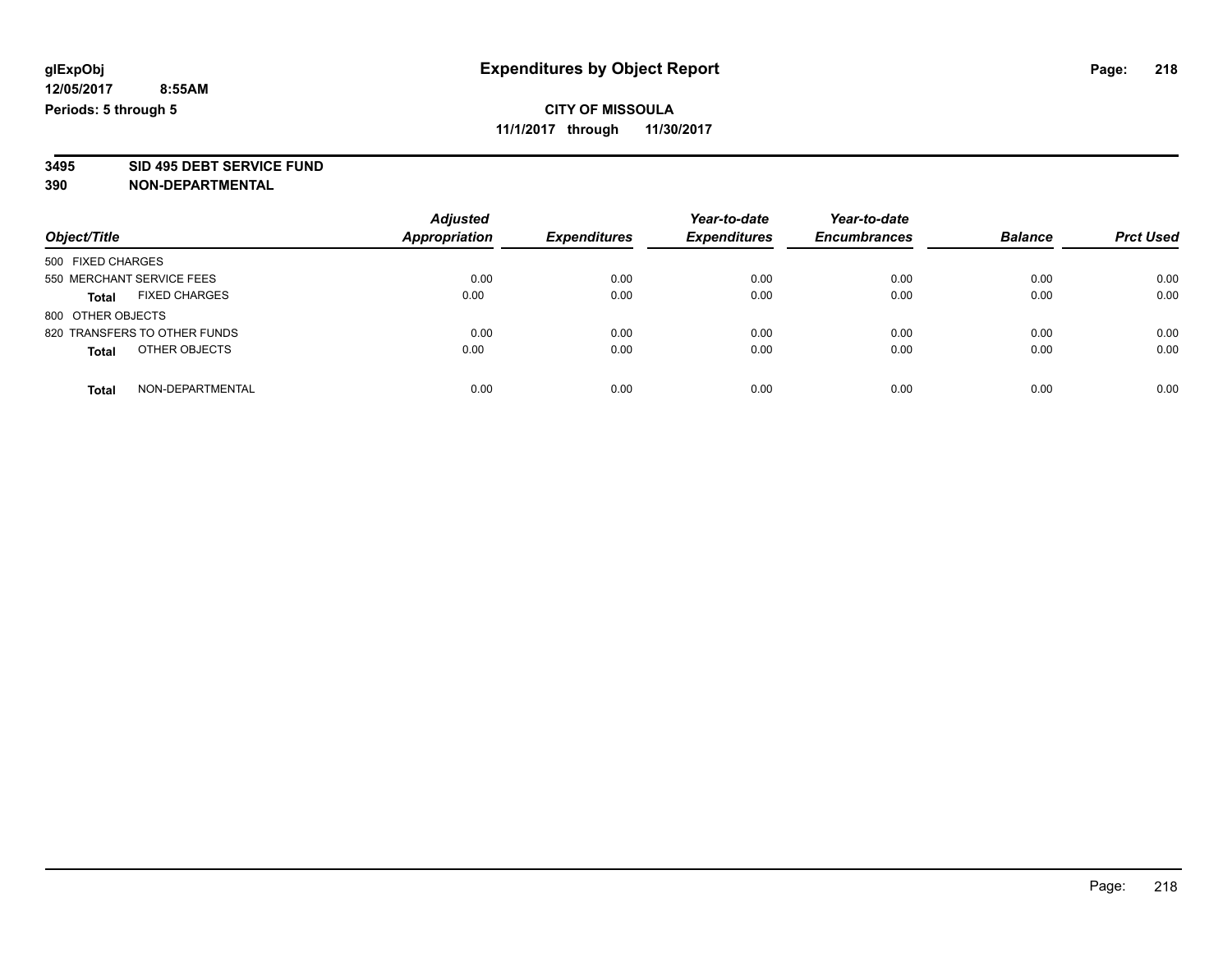**3495 SID 495 DEBT SERVICE FUND**

| Object/Title                         | <b>Adjusted</b><br><b>Appropriation</b> | <b>Expenditures</b> | Year-to-date<br><b>Expenditures</b> | Year-to-date<br><b>Encumbrances</b> | <b>Balance</b> | <b>Prct Used</b> |
|--------------------------------------|-----------------------------------------|---------------------|-------------------------------------|-------------------------------------|----------------|------------------|
| 500 FIXED CHARGES                    |                                         |                     |                                     |                                     |                |                  |
| 550 MERCHANT SERVICE FEES            | 0.00                                    | 0.00                | 0.00                                | 0.00                                | 0.00           | 0.00             |
| <b>FIXED CHARGES</b><br><b>Total</b> | 0.00                                    | 0.00                | 0.00                                | 0.00                                | 0.00           | 0.00             |
| 800 OTHER OBJECTS                    |                                         |                     |                                     |                                     |                |                  |
| 820 TRANSFERS TO OTHER FUNDS         | 0.00                                    | 0.00                | 0.00                                | 0.00                                | 0.00           | 0.00             |
| OTHER OBJECTS<br><b>Total</b>        | 0.00                                    | 0.00                | 0.00                                | 0.00                                | 0.00           | 0.00             |
| NON-DEPARTMENTAL<br>Total            | 0.00                                    | 0.00                | 0.00                                | 0.00                                | 0.00           | 0.00             |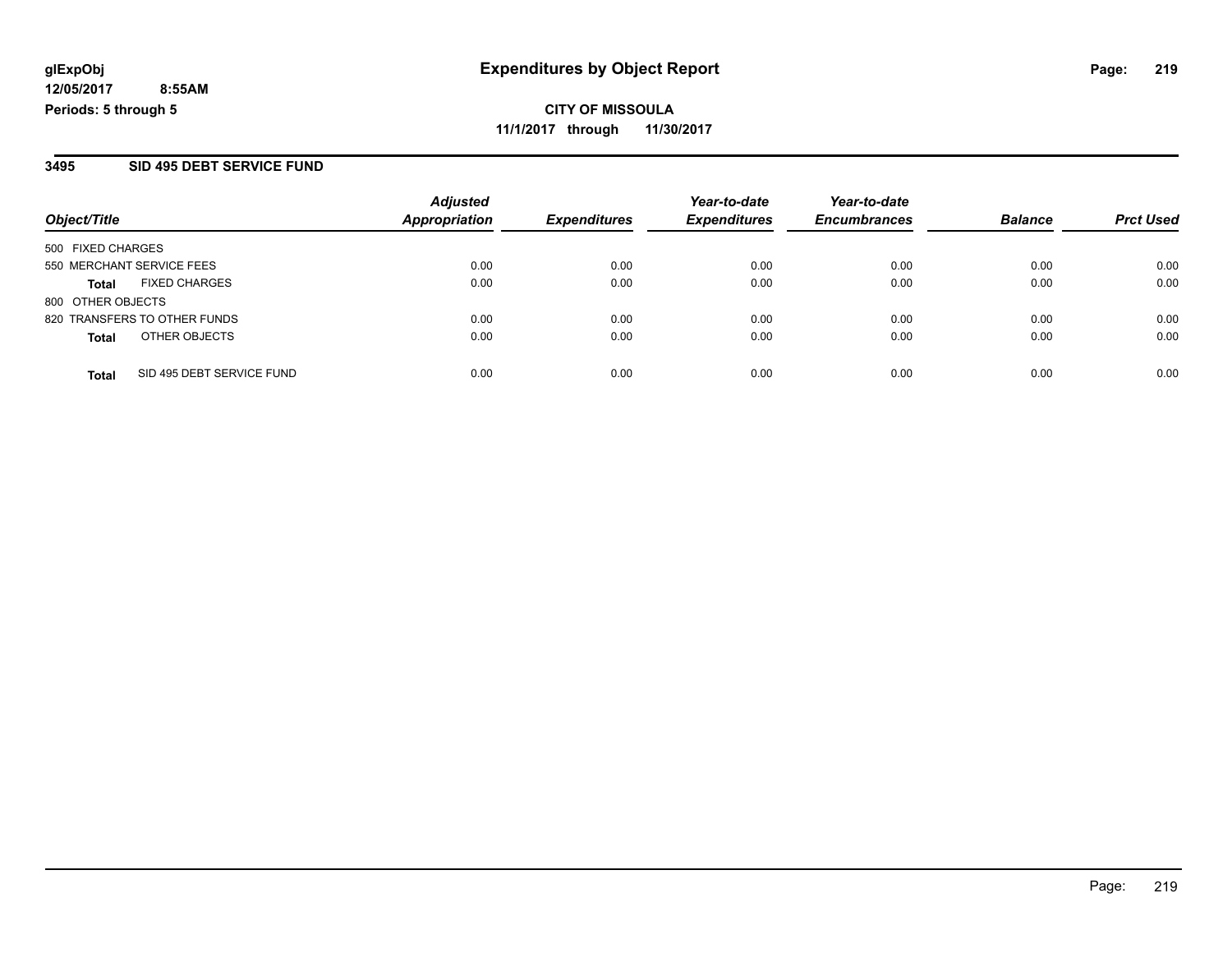**CITY OF MISSOULA 11/1/2017 through 11/30/2017**

#### **3495 SID 495 DEBT SERVICE FUND**

|                              |                           | <b>Adjusted</b>      |                     | Year-to-date        | Year-to-date        |                |                  |
|------------------------------|---------------------------|----------------------|---------------------|---------------------|---------------------|----------------|------------------|
| Object/Title                 |                           | <b>Appropriation</b> | <b>Expenditures</b> | <b>Expenditures</b> | <b>Encumbrances</b> | <b>Balance</b> | <b>Prct Used</b> |
| 500 FIXED CHARGES            |                           |                      |                     |                     |                     |                |                  |
| 550 MERCHANT SERVICE FEES    |                           | 0.00                 | 0.00                | 0.00                | 0.00                | 0.00           | 0.00             |
| Total                        | <b>FIXED CHARGES</b>      | 0.00                 | 0.00                | 0.00                | 0.00                | 0.00           | 0.00             |
| 800 OTHER OBJECTS            |                           |                      |                     |                     |                     |                |                  |
| 820 TRANSFERS TO OTHER FUNDS |                           | 0.00                 | 0.00                | 0.00                | 0.00                | 0.00           | 0.00             |
| <b>Total</b>                 | OTHER OBJECTS             | 0.00                 | 0.00                | 0.00                | 0.00                | 0.00           | 0.00             |
| <b>Total</b>                 | SID 495 DEBT SERVICE FUND | 0.00                 | 0.00                | 0.00                | 0.00                | 0.00           | 0.00             |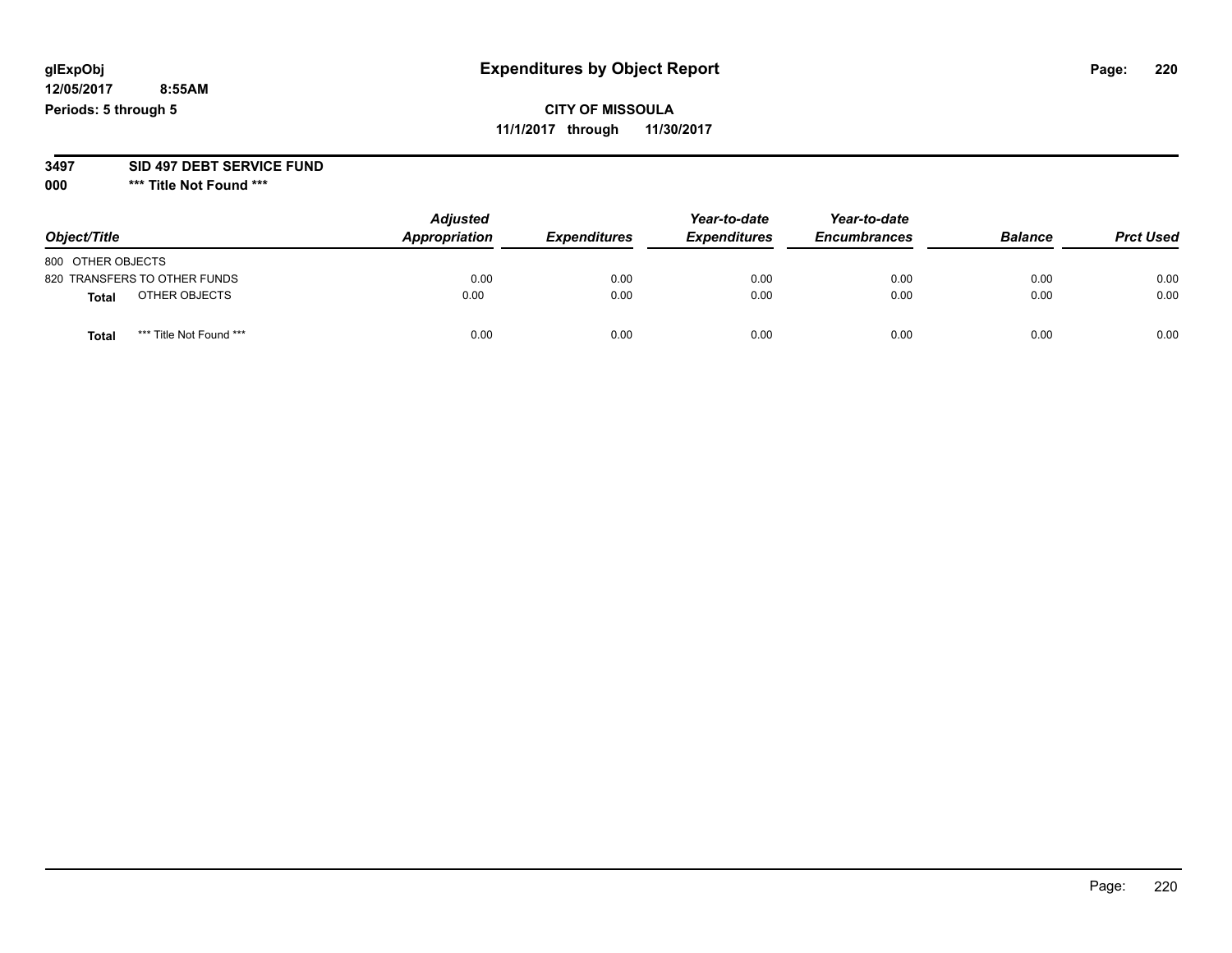# **glExpObj Expenditures by Object Report Page: 220**

**12/05/2017 8:55AM Periods: 5 through 5**

**3497 SID 497 DEBT SERVICE FUND**

| Object/Title                            | <b>Adjusted</b><br>Appropriation | <b>Expenditures</b> | Year-to-date<br><b>Expenditures</b> | Year-to-date<br><b>Encumbrances</b> | <b>Balance</b> | <b>Prct Used</b> |
|-----------------------------------------|----------------------------------|---------------------|-------------------------------------|-------------------------------------|----------------|------------------|
| 800 OTHER OBJECTS                       |                                  |                     |                                     |                                     |                |                  |
| 820 TRANSFERS TO OTHER FUNDS            | 0.00                             | 0.00                | 0.00                                | 0.00                                | 0.00           | 0.00             |
| OTHER OBJECTS<br><b>Total</b>           | 0.00                             | 0.00                | 0.00                                | 0.00                                | 0.00           | 0.00             |
| *** Title Not Found ***<br><b>Total</b> | 0.00                             | 0.00                | 0.00                                | 0.00                                | 0.00           | 0.00             |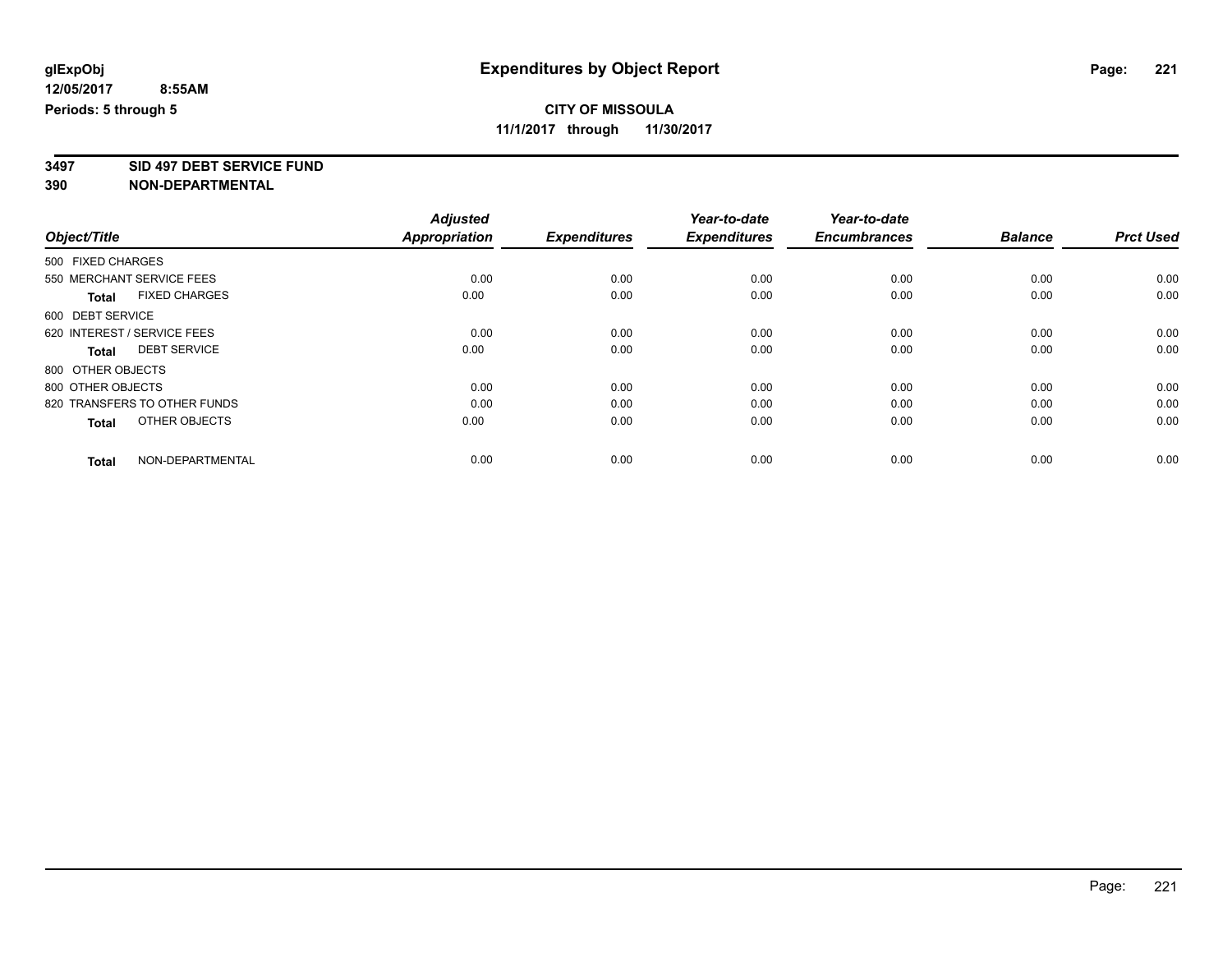**3497 SID 497 DEBT SERVICE FUND**

|                                      | <b>Adjusted</b>      |                     | Year-to-date        | Year-to-date        |                |                  |
|--------------------------------------|----------------------|---------------------|---------------------|---------------------|----------------|------------------|
| Object/Title                         | <b>Appropriation</b> | <b>Expenditures</b> | <b>Expenditures</b> | <b>Encumbrances</b> | <b>Balance</b> | <b>Prct Used</b> |
| 500 FIXED CHARGES                    |                      |                     |                     |                     |                |                  |
| 550 MERCHANT SERVICE FEES            | 0.00                 | 0.00                | 0.00                | 0.00                | 0.00           | 0.00             |
| <b>FIXED CHARGES</b><br><b>Total</b> | 0.00                 | 0.00                | 0.00                | 0.00                | 0.00           | 0.00             |
| 600 DEBT SERVICE                     |                      |                     |                     |                     |                |                  |
| 620 INTEREST / SERVICE FEES          | 0.00                 | 0.00                | 0.00                | 0.00                | 0.00           | 0.00             |
| <b>DEBT SERVICE</b><br>Total         | 0.00                 | 0.00                | 0.00                | 0.00                | 0.00           | 0.00             |
| 800 OTHER OBJECTS                    |                      |                     |                     |                     |                |                  |
| 800 OTHER OBJECTS                    | 0.00                 | 0.00                | 0.00                | 0.00                | 0.00           | 0.00             |
| 820 TRANSFERS TO OTHER FUNDS         | 0.00                 | 0.00                | 0.00                | 0.00                | 0.00           | 0.00             |
| OTHER OBJECTS<br><b>Total</b>        | 0.00                 | 0.00                | 0.00                | 0.00                | 0.00           | 0.00             |
| NON-DEPARTMENTAL<br><b>Total</b>     | 0.00                 | 0.00                | 0.00                | 0.00                | 0.00           | 0.00             |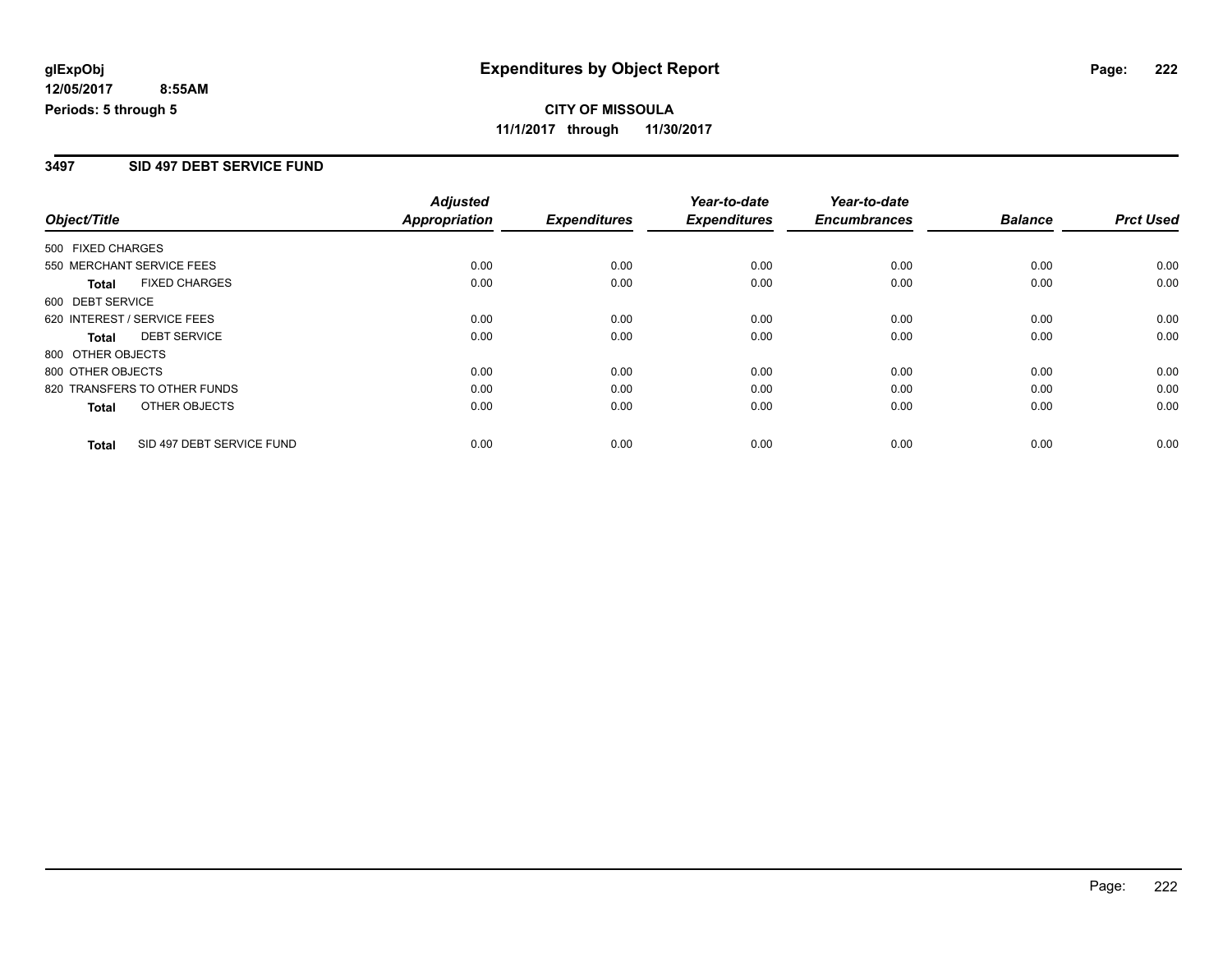# **CITY OF MISSOULA 11/1/2017 through 11/30/2017**

#### **3497 SID 497 DEBT SERVICE FUND**

|                              |                           | <b>Adjusted</b>      |                     | Year-to-date        | Year-to-date        |                |                  |
|------------------------------|---------------------------|----------------------|---------------------|---------------------|---------------------|----------------|------------------|
| Object/Title                 |                           | <b>Appropriation</b> | <b>Expenditures</b> | <b>Expenditures</b> | <b>Encumbrances</b> | <b>Balance</b> | <b>Prct Used</b> |
| 500 FIXED CHARGES            |                           |                      |                     |                     |                     |                |                  |
| 550 MERCHANT SERVICE FEES    |                           | 0.00                 | 0.00                | 0.00                | 0.00                | 0.00           | 0.00             |
| <b>Total</b>                 | <b>FIXED CHARGES</b>      | 0.00                 | 0.00                | 0.00                | 0.00                | 0.00           | 0.00             |
| 600 DEBT SERVICE             |                           |                      |                     |                     |                     |                |                  |
| 620 INTEREST / SERVICE FEES  |                           | 0.00                 | 0.00                | 0.00                | 0.00                | 0.00           | 0.00             |
| Total                        | <b>DEBT SERVICE</b>       | 0.00                 | 0.00                | 0.00                | 0.00                | 0.00           | 0.00             |
| 800 OTHER OBJECTS            |                           |                      |                     |                     |                     |                |                  |
| 800 OTHER OBJECTS            |                           | 0.00                 | 0.00                | 0.00                | 0.00                | 0.00           | 0.00             |
| 820 TRANSFERS TO OTHER FUNDS |                           | 0.00                 | 0.00                | 0.00                | 0.00                | 0.00           | 0.00             |
| <b>Total</b>                 | OTHER OBJECTS             | 0.00                 | 0.00                | 0.00                | 0.00                | 0.00           | 0.00             |
| <b>Total</b>                 | SID 497 DEBT SERVICE FUND | 0.00                 | 0.00                | 0.00                | 0.00                | 0.00           | 0.00             |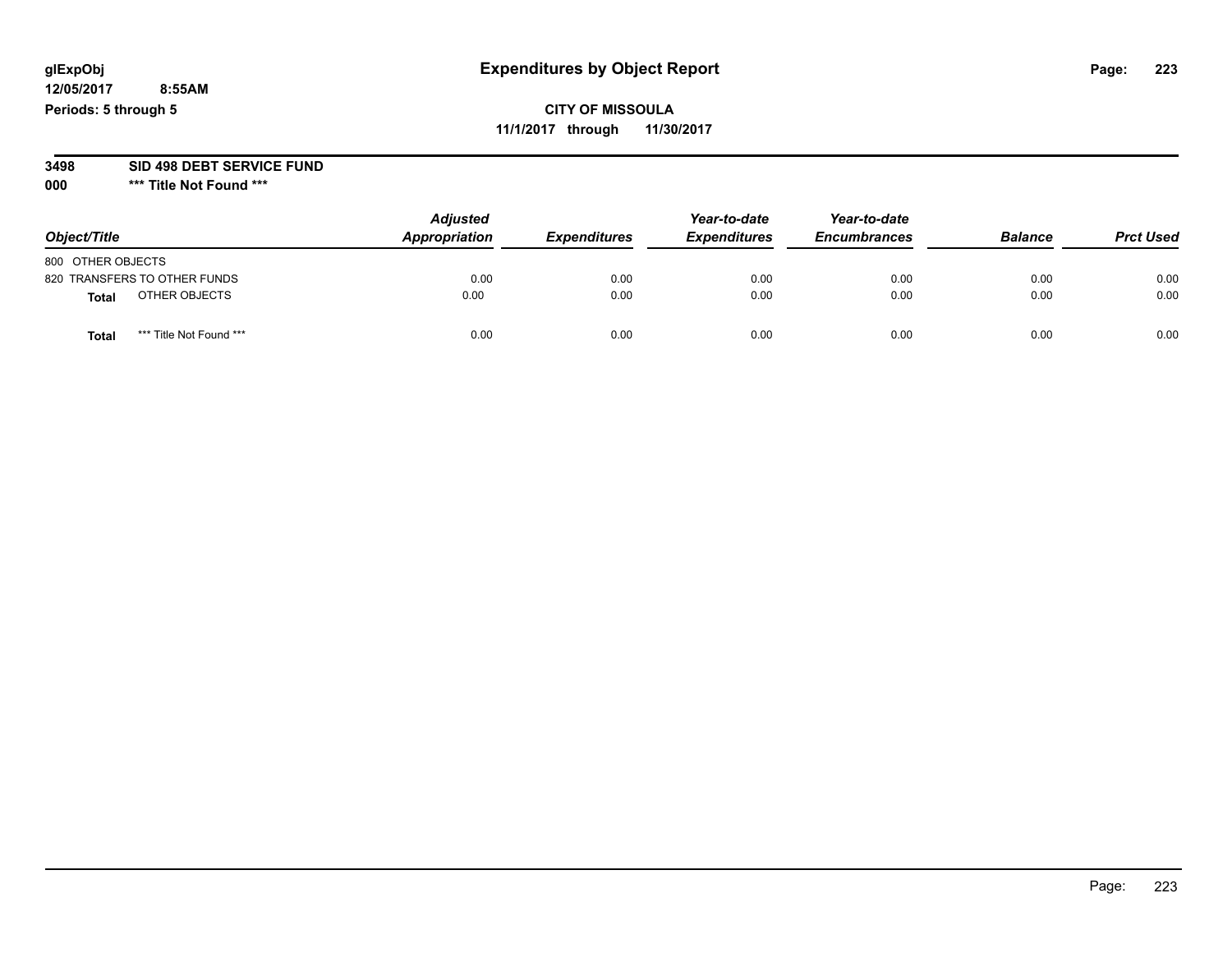# **CITY OF MISSOULA 11/1/2017 through 11/30/2017**

#### **3498 SID 498 DEBT SERVICE FUND**

| Object/Title                     | <b>Adjusted</b><br>Appropriation | <b>Expenditures</b> | Year-to-date<br><b>Expenditures</b> | Year-to-date<br><b>Encumbrances</b> | <b>Balance</b> | <b>Prct Used</b> |
|----------------------------------|----------------------------------|---------------------|-------------------------------------|-------------------------------------|----------------|------------------|
| 800 OTHER OBJECTS                |                                  |                     |                                     |                                     |                |                  |
| 820 TRANSFERS TO OTHER FUNDS     | 0.00                             | 0.00                | 0.00                                | 0.00                                | 0.00           | 0.00             |
| OTHER OBJECTS<br><b>Total</b>    | 0.00                             | 0.00                | 0.00                                | 0.00                                | 0.00           | 0.00             |
| *** Title Not Found ***<br>Total | 0.00                             | 0.00                | 0.00                                | 0.00                                | 0.00           | 0.00             |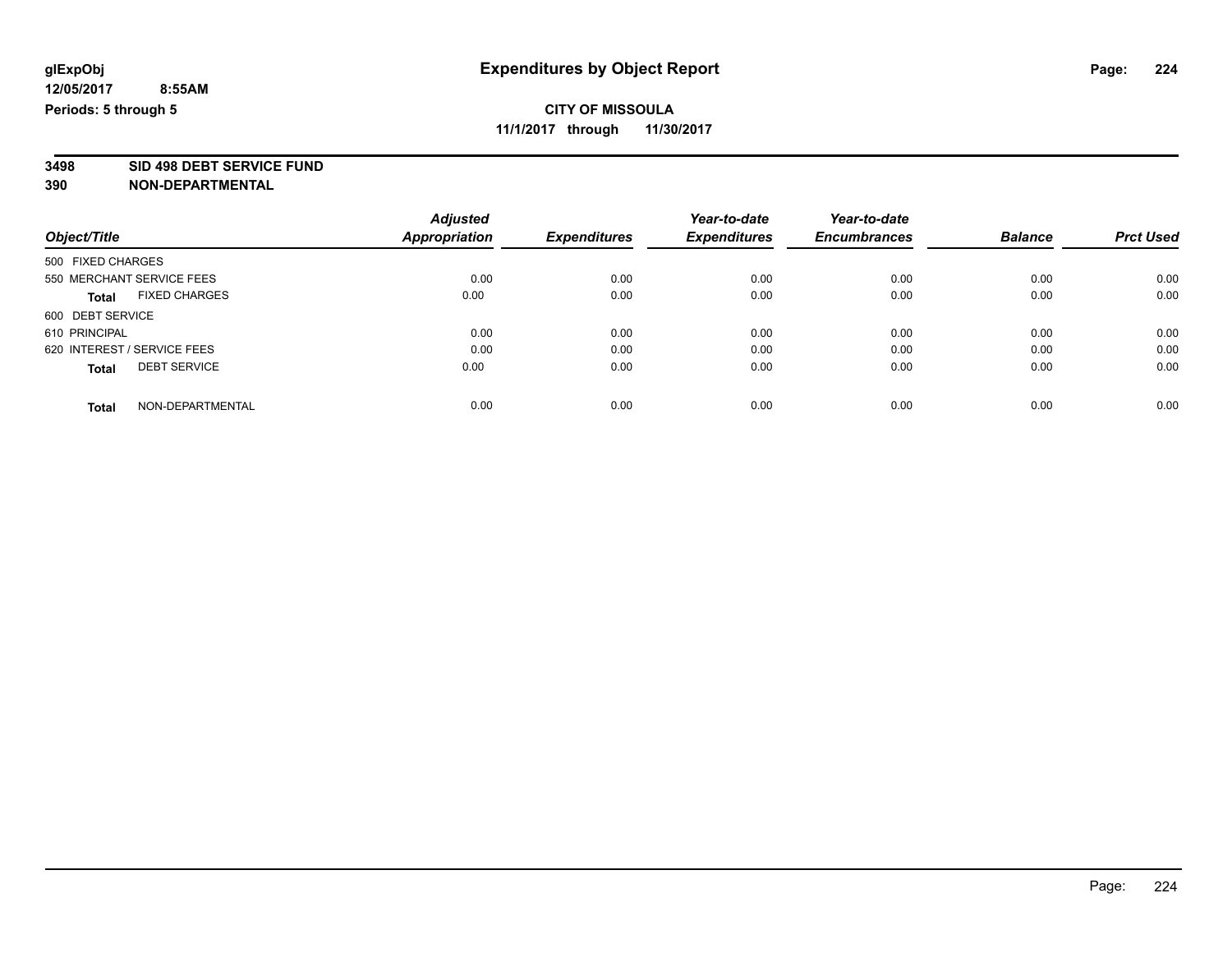**3498 SID 498 DEBT SERVICE FUND**

|                                      | <b>Adjusted</b>      |                     | Year-to-date        | Year-to-date        |                |                  |
|--------------------------------------|----------------------|---------------------|---------------------|---------------------|----------------|------------------|
| Object/Title                         | <b>Appropriation</b> | <b>Expenditures</b> | <b>Expenditures</b> | <b>Encumbrances</b> | <b>Balance</b> | <b>Prct Used</b> |
| 500 FIXED CHARGES                    |                      |                     |                     |                     |                |                  |
| 550 MERCHANT SERVICE FEES            | 0.00                 | 0.00                | 0.00                | 0.00                | 0.00           | 0.00             |
| <b>FIXED CHARGES</b><br><b>Total</b> | 0.00                 | 0.00                | 0.00                | 0.00                | 0.00           | 0.00             |
| 600 DEBT SERVICE                     |                      |                     |                     |                     |                |                  |
| 610 PRINCIPAL                        | 0.00                 | 0.00                | 0.00                | 0.00                | 0.00           | 0.00             |
| 620 INTEREST / SERVICE FEES          | 0.00                 | 0.00                | 0.00                | 0.00                | 0.00           | 0.00             |
| <b>DEBT SERVICE</b><br><b>Total</b>  | 0.00                 | 0.00                | 0.00                | 0.00                | 0.00           | 0.00             |
| NON-DEPARTMENTAL<br><b>Total</b>     | 0.00                 | 0.00                | 0.00                | 0.00                | 0.00           | 0.00             |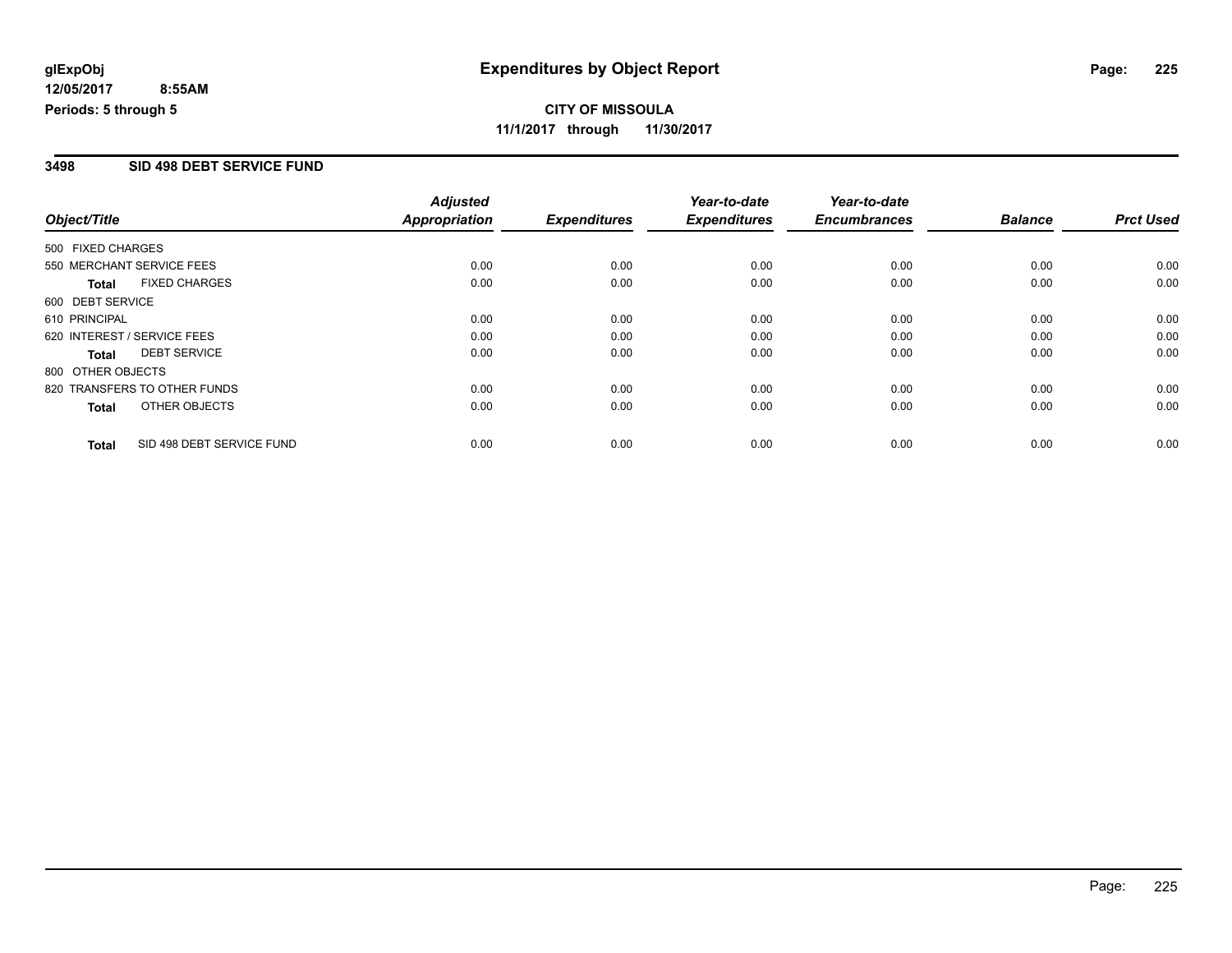# **CITY OF MISSOULA 11/1/2017 through 11/30/2017**

#### **3498 SID 498 DEBT SERVICE FUND**

|                   |                              | <b>Adjusted</b> |                     | Year-to-date        | Year-to-date        |                |                  |
|-------------------|------------------------------|-----------------|---------------------|---------------------|---------------------|----------------|------------------|
| Object/Title      |                              | Appropriation   | <b>Expenditures</b> | <b>Expenditures</b> | <b>Encumbrances</b> | <b>Balance</b> | <b>Prct Used</b> |
| 500 FIXED CHARGES |                              |                 |                     |                     |                     |                |                  |
|                   | 550 MERCHANT SERVICE FEES    | 0.00            | 0.00                | 0.00                | 0.00                | 0.00           | 0.00             |
| <b>Total</b>      | <b>FIXED CHARGES</b>         | 0.00            | 0.00                | 0.00                | 0.00                | 0.00           | 0.00             |
| 600 DEBT SERVICE  |                              |                 |                     |                     |                     |                |                  |
| 610 PRINCIPAL     |                              | 0.00            | 0.00                | 0.00                | 0.00                | 0.00           | 0.00             |
|                   | 620 INTEREST / SERVICE FEES  | 0.00            | 0.00                | 0.00                | 0.00                | 0.00           | 0.00             |
| <b>Total</b>      | <b>DEBT SERVICE</b>          | 0.00            | 0.00                | 0.00                | 0.00                | 0.00           | 0.00             |
| 800 OTHER OBJECTS |                              |                 |                     |                     |                     |                |                  |
|                   | 820 TRANSFERS TO OTHER FUNDS | 0.00            | 0.00                | 0.00                | 0.00                | 0.00           | 0.00             |
| <b>Total</b>      | OTHER OBJECTS                | 0.00            | 0.00                | 0.00                | 0.00                | 0.00           | 0.00             |
| <b>Total</b>      | SID 498 DEBT SERVICE FUND    | 0.00            | 0.00                | 0.00                | 0.00                | 0.00           | 0.00             |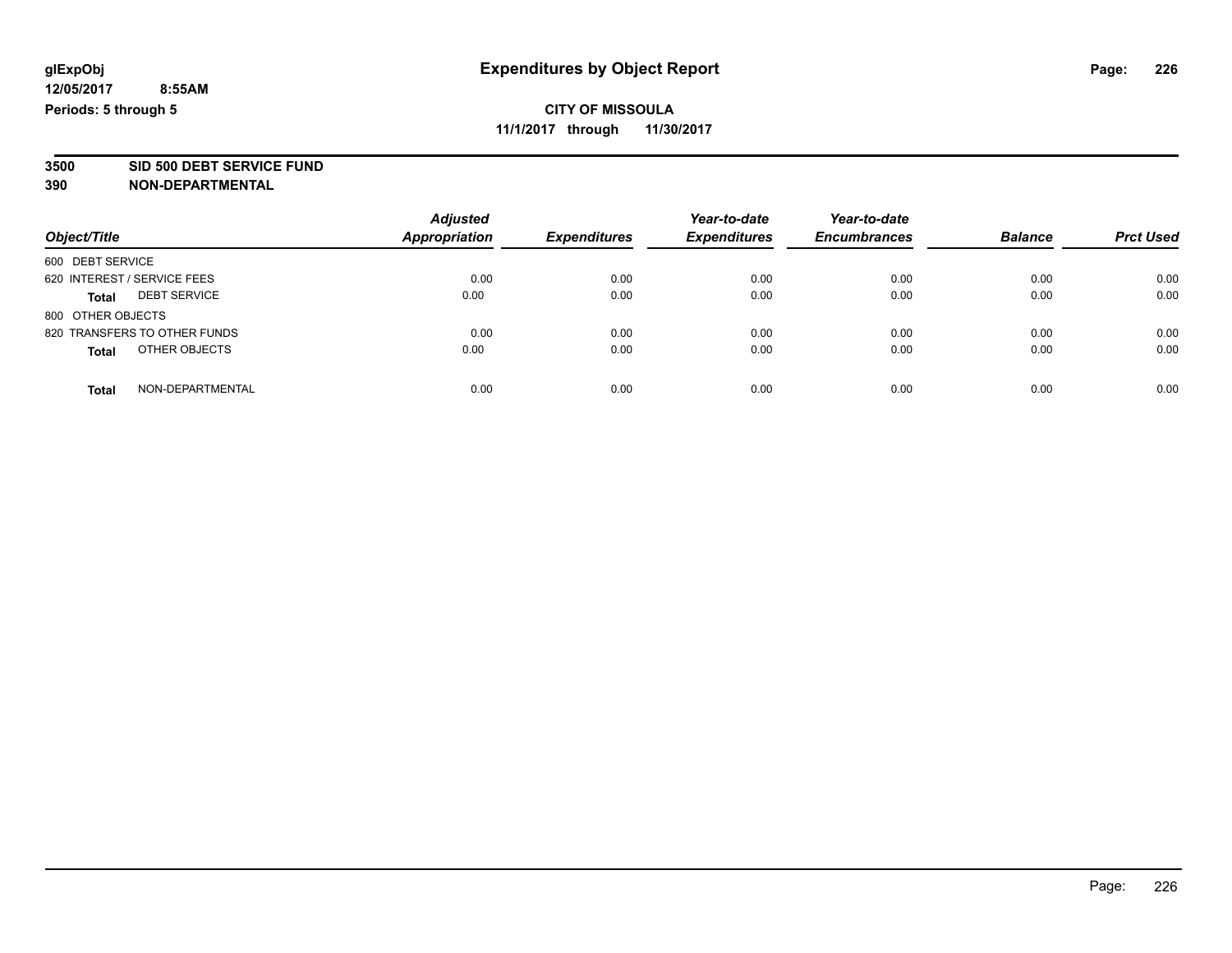**3500 SID 500 DEBT SERVICE FUND**

| Object/Title                        | <b>Adjusted</b><br><b>Appropriation</b> | <b>Expenditures</b> | Year-to-date<br><b>Expenditures</b> | Year-to-date<br><b>Encumbrances</b> | <b>Balance</b> | <b>Prct Used</b> |
|-------------------------------------|-----------------------------------------|---------------------|-------------------------------------|-------------------------------------|----------------|------------------|
| 600 DEBT SERVICE                    |                                         |                     |                                     |                                     |                |                  |
| 620 INTEREST / SERVICE FEES         | 0.00                                    | 0.00                | 0.00                                | 0.00                                | 0.00           | 0.00             |
| <b>DEBT SERVICE</b><br><b>Total</b> | 0.00                                    | 0.00                | 0.00                                | 0.00                                | 0.00           | 0.00             |
| 800 OTHER OBJECTS                   |                                         |                     |                                     |                                     |                |                  |
| 820 TRANSFERS TO OTHER FUNDS        | 0.00                                    | 0.00                | 0.00                                | 0.00                                | 0.00           | 0.00             |
| OTHER OBJECTS<br><b>Total</b>       | 0.00                                    | 0.00                | 0.00                                | 0.00                                | 0.00           | 0.00             |
| NON-DEPARTMENTAL<br>Total           | 0.00                                    | 0.00                | 0.00                                | 0.00                                | 0.00           | 0.00             |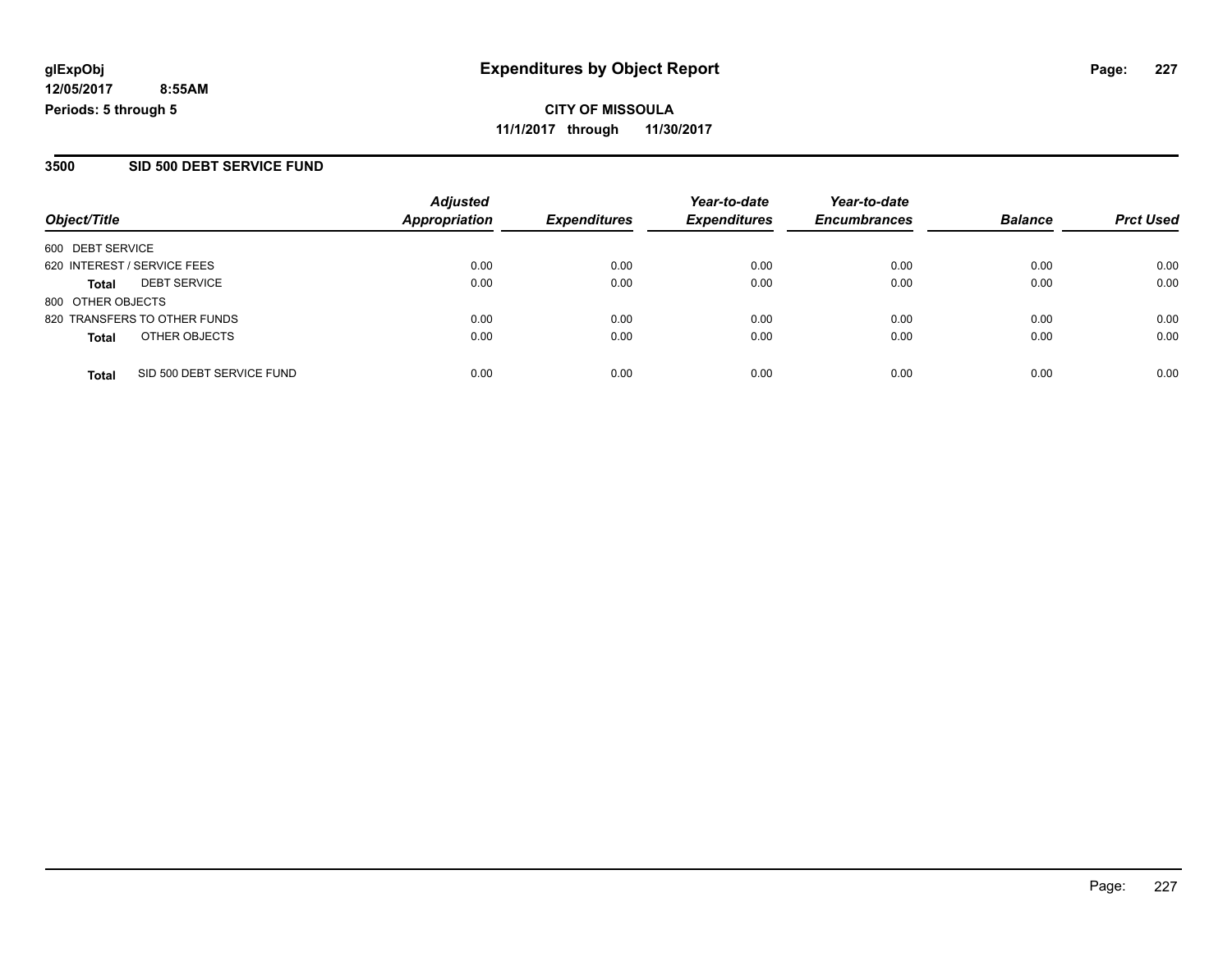**CITY OF MISSOULA 11/1/2017 through 11/30/2017**

#### **3500 SID 500 DEBT SERVICE FUND**

| Object/Title                              | <b>Adjusted</b><br><b>Appropriation</b> | <b>Expenditures</b> | Year-to-date<br><b>Expenditures</b> | Year-to-date<br><b>Encumbrances</b> | <b>Balance</b> | <b>Prct Used</b> |
|-------------------------------------------|-----------------------------------------|---------------------|-------------------------------------|-------------------------------------|----------------|------------------|
| 600 DEBT SERVICE                          |                                         |                     |                                     |                                     |                |                  |
| 620 INTEREST / SERVICE FEES               | 0.00                                    | 0.00                | 0.00                                | 0.00                                | 0.00           | 0.00             |
| <b>DEBT SERVICE</b><br><b>Total</b>       | 0.00                                    | 0.00                | 0.00                                | 0.00                                | 0.00           | 0.00             |
| 800 OTHER OBJECTS                         |                                         |                     |                                     |                                     |                |                  |
| 820 TRANSFERS TO OTHER FUNDS              | 0.00                                    | 0.00                | 0.00                                | 0.00                                | 0.00           | 0.00             |
| OTHER OBJECTS<br><b>Total</b>             | 0.00                                    | 0.00                | 0.00                                | 0.00                                | 0.00           | 0.00             |
| SID 500 DEBT SERVICE FUND<br><b>Total</b> | 0.00                                    | 0.00                | 0.00                                | 0.00                                | 0.00           | 0.00             |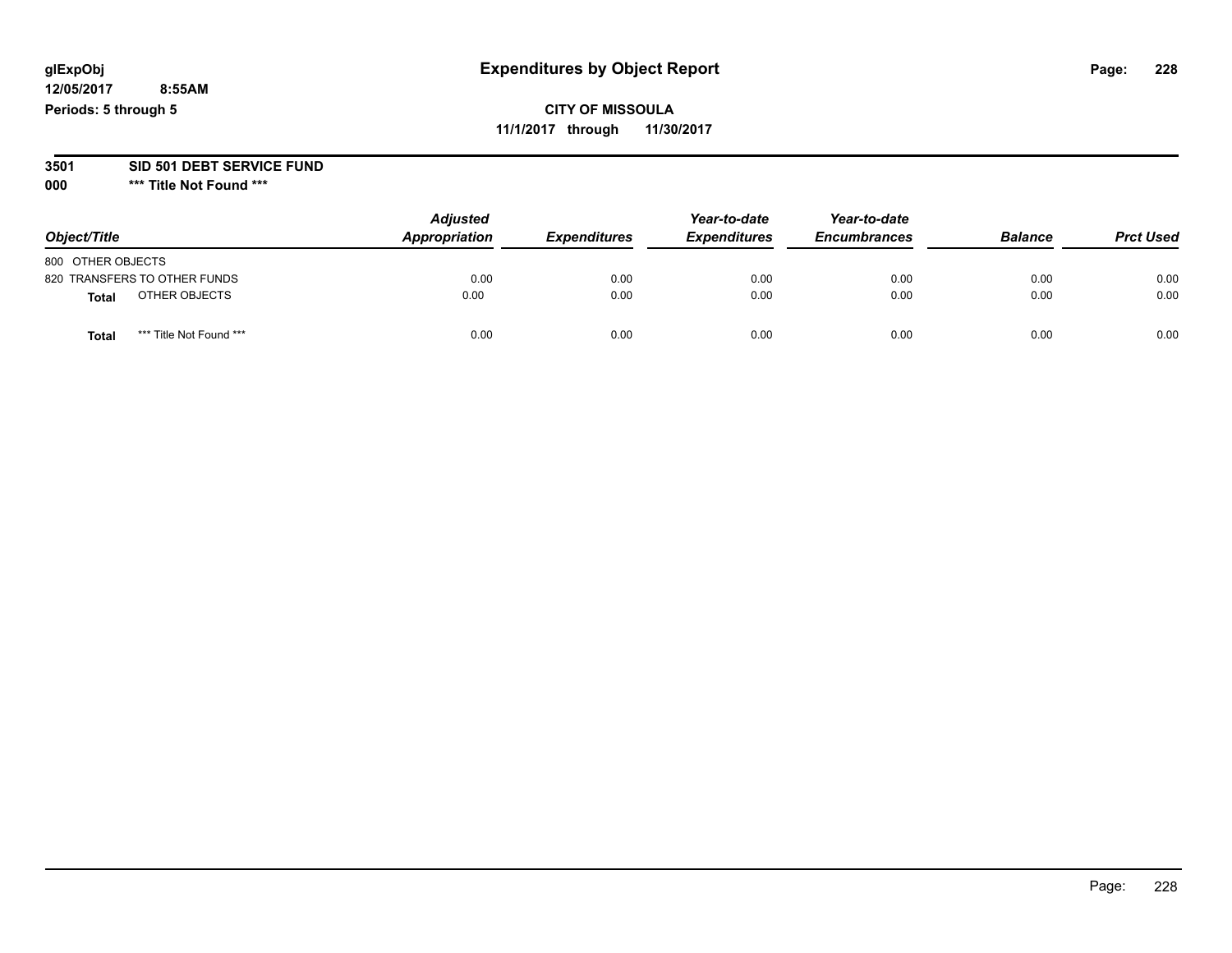#### **3501 SID 501 DEBT SERVICE FUND**

| Object/Title                            | <b>Adjusted</b><br>Appropriation | <b>Expenditures</b> | Year-to-date<br><b>Expenditures</b> | Year-to-date<br><b>Encumbrances</b> | <b>Balance</b> | <b>Prct Used</b> |
|-----------------------------------------|----------------------------------|---------------------|-------------------------------------|-------------------------------------|----------------|------------------|
| 800 OTHER OBJECTS                       |                                  |                     |                                     |                                     |                |                  |
| 820 TRANSFERS TO OTHER FUNDS            | 0.00                             | 0.00                | 0.00                                | 0.00                                | 0.00           | 0.00             |
| OTHER OBJECTS<br><b>Total</b>           | 0.00                             | 0.00                | 0.00                                | 0.00                                | 0.00           | 0.00             |
| *** Title Not Found ***<br><b>Total</b> | 0.00                             | 0.00                | 0.00                                | 0.00                                | 0.00           | 0.00             |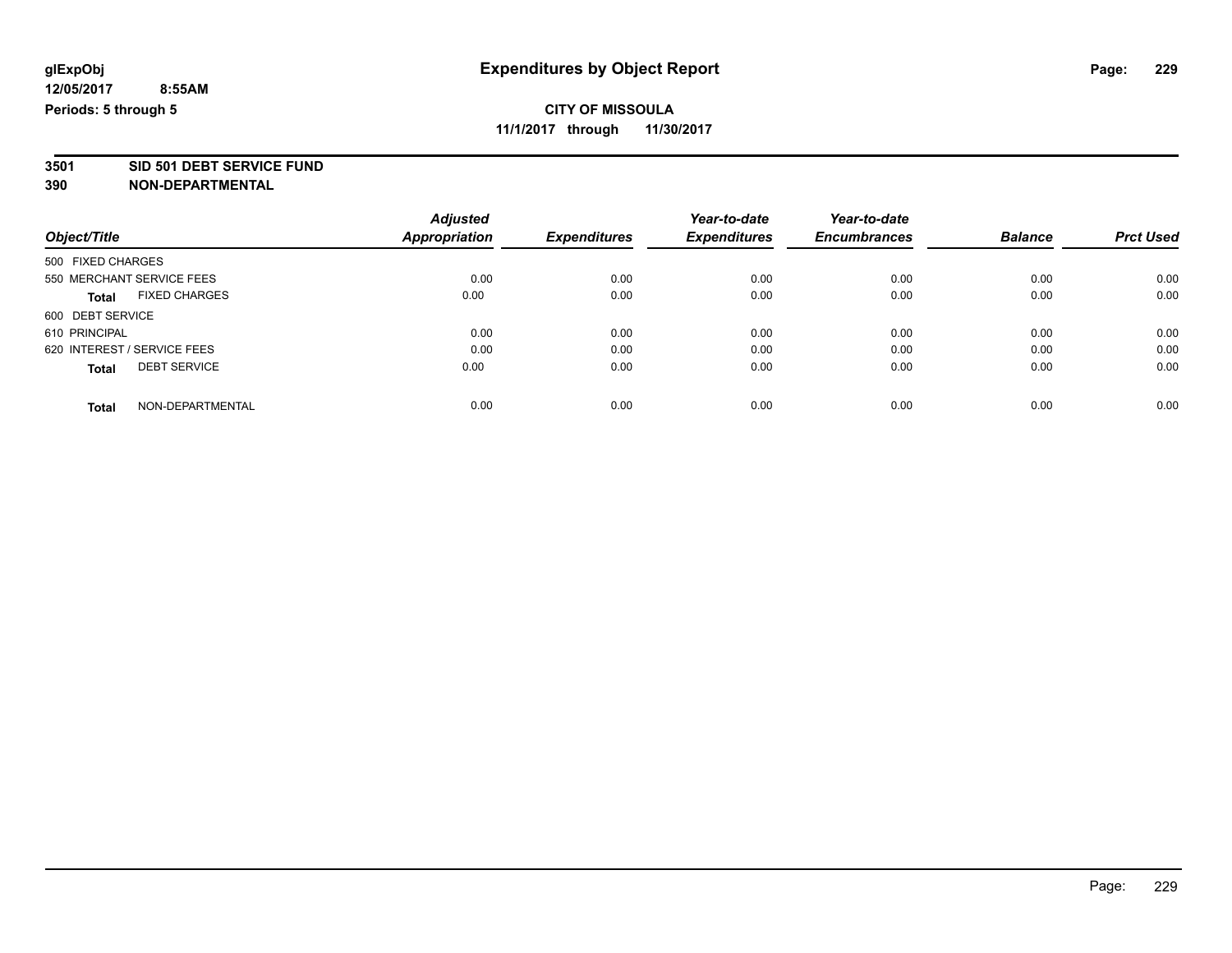# **CITY OF MISSOULA**

**11/1/2017 through 11/30/2017**

# **3501 SID 501 DEBT SERVICE FUND**

|                                      | <b>Adjusted</b>      |                     | Year-to-date        | Year-to-date        |                |                  |
|--------------------------------------|----------------------|---------------------|---------------------|---------------------|----------------|------------------|
| Object/Title                         | <b>Appropriation</b> | <b>Expenditures</b> | <b>Expenditures</b> | <b>Encumbrances</b> | <b>Balance</b> | <b>Prct Used</b> |
| 500 FIXED CHARGES                    |                      |                     |                     |                     |                |                  |
| 550 MERCHANT SERVICE FEES            | 0.00                 | 0.00                | 0.00                | 0.00                | 0.00           | 0.00             |
| <b>FIXED CHARGES</b><br><b>Total</b> | 0.00                 | 0.00                | 0.00                | 0.00                | 0.00           | 0.00             |
| 600 DEBT SERVICE                     |                      |                     |                     |                     |                |                  |
| 610 PRINCIPAL                        | 0.00                 | 0.00                | 0.00                | 0.00                | 0.00           | 0.00             |
| 620 INTEREST / SERVICE FEES          | 0.00                 | 0.00                | 0.00                | 0.00                | 0.00           | 0.00             |
| <b>DEBT SERVICE</b><br><b>Total</b>  | 0.00                 | 0.00                | 0.00                | 0.00                | 0.00           | 0.00             |
| NON-DEPARTMENTAL<br><b>Total</b>     | 0.00                 | 0.00                | 0.00                | 0.00                | 0.00           | 0.00             |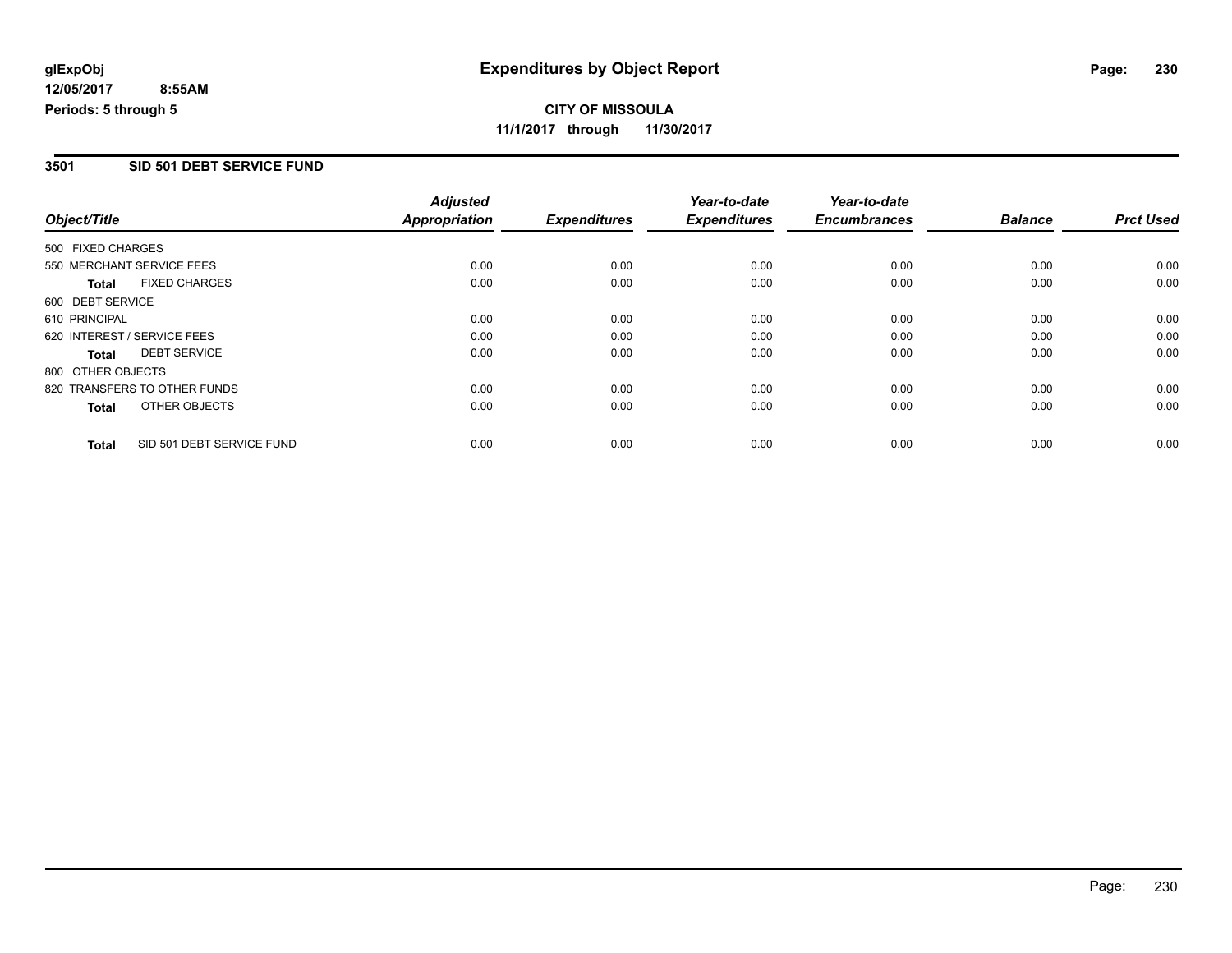### **3501 SID 501 DEBT SERVICE FUND**

|                   |                              | <b>Adjusted</b>      |                     | Year-to-date        | Year-to-date        |                |                  |
|-------------------|------------------------------|----------------------|---------------------|---------------------|---------------------|----------------|------------------|
| Object/Title      |                              | <b>Appropriation</b> | <b>Expenditures</b> | <b>Expenditures</b> | <b>Encumbrances</b> | <b>Balance</b> | <b>Prct Used</b> |
| 500 FIXED CHARGES |                              |                      |                     |                     |                     |                |                  |
|                   | 550 MERCHANT SERVICE FEES    | 0.00                 | 0.00                | 0.00                | 0.00                | 0.00           | 0.00             |
| Total             | <b>FIXED CHARGES</b>         | 0.00                 | 0.00                | 0.00                | 0.00                | 0.00           | 0.00             |
| 600 DEBT SERVICE  |                              |                      |                     |                     |                     |                |                  |
| 610 PRINCIPAL     |                              | 0.00                 | 0.00                | 0.00                | 0.00                | 0.00           | 0.00             |
|                   | 620 INTEREST / SERVICE FEES  | 0.00                 | 0.00                | 0.00                | 0.00                | 0.00           | 0.00             |
| Total             | <b>DEBT SERVICE</b>          | 0.00                 | 0.00                | 0.00                | 0.00                | 0.00           | 0.00             |
| 800 OTHER OBJECTS |                              |                      |                     |                     |                     |                |                  |
|                   | 820 TRANSFERS TO OTHER FUNDS | 0.00                 | 0.00                | 0.00                | 0.00                | 0.00           | 0.00             |
| <b>Total</b>      | OTHER OBJECTS                | 0.00                 | 0.00                | 0.00                | 0.00                | 0.00           | 0.00             |
| <b>Total</b>      | SID 501 DEBT SERVICE FUND    | 0.00                 | 0.00                | 0.00                | 0.00                | 0.00           | 0.00             |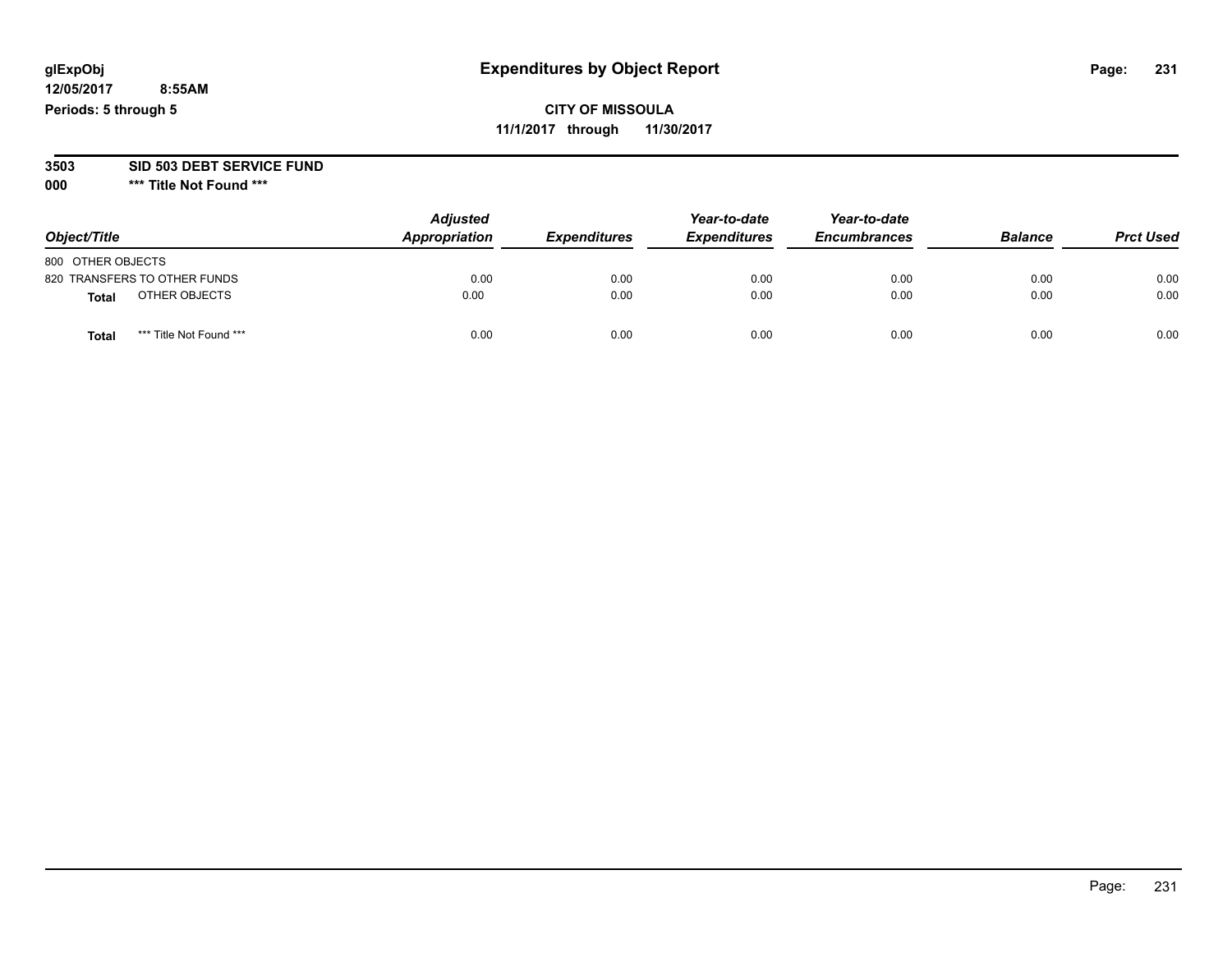# **glExpObj Expenditures by Object Report Page: 231**

**12/05/2017 8:55AM Periods: 5 through 5**

# **CITY OF MISSOULA 11/1/2017 through 11/30/2017**

**3503 SID 503 DEBT SERVICE FUND**

| Object/Title                     | <b>Adjusted</b><br>Appropriation | <b>Expenditures</b> | Year-to-date<br><b>Expenditures</b> | Year-to-date<br><b>Encumbrances</b> | <b>Balance</b> | <b>Prct Used</b> |
|----------------------------------|----------------------------------|---------------------|-------------------------------------|-------------------------------------|----------------|------------------|
| 800 OTHER OBJECTS                |                                  |                     |                                     |                                     |                |                  |
| 820 TRANSFERS TO OTHER FUNDS     | 0.00                             | 0.00                | 0.00                                | 0.00                                | 0.00           | 0.00             |
| OTHER OBJECTS<br>Total           | 0.00                             | 0.00                | 0.00                                | 0.00                                | 0.00           | 0.00             |
| *** Title Not Found ***<br>Total | 0.00                             | 0.00                | 0.00                                | 0.00                                | 0.00           | 0.00             |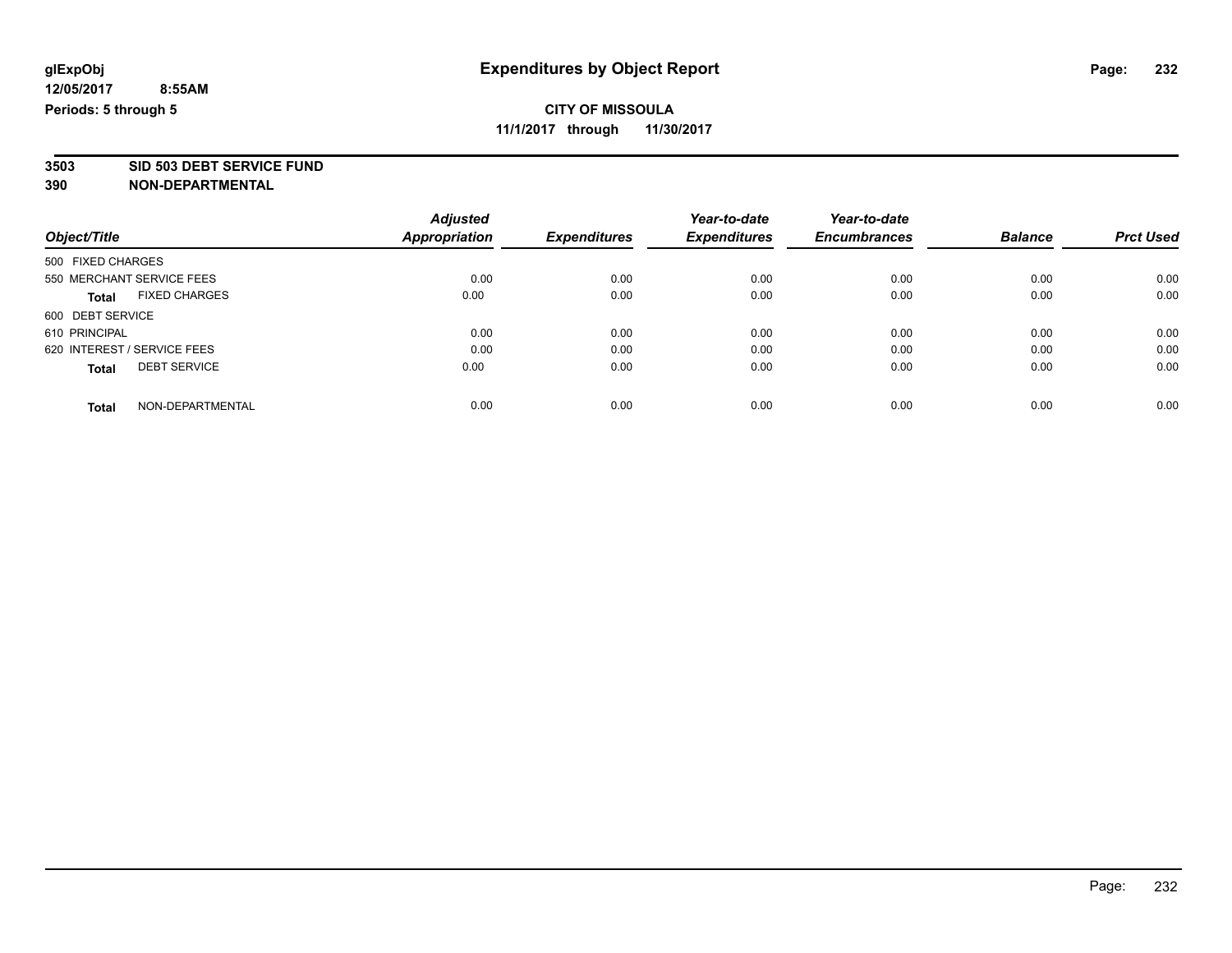# **3503 SID 503 DEBT SERVICE FUND**

|                                      | <b>Adjusted</b>      |                     | Year-to-date        | Year-to-date        |                |                  |
|--------------------------------------|----------------------|---------------------|---------------------|---------------------|----------------|------------------|
| Object/Title                         | <b>Appropriation</b> | <b>Expenditures</b> | <b>Expenditures</b> | <b>Encumbrances</b> | <b>Balance</b> | <b>Prct Used</b> |
| 500 FIXED CHARGES                    |                      |                     |                     |                     |                |                  |
| 550 MERCHANT SERVICE FEES            | 0.00                 | 0.00                | 0.00                | 0.00                | 0.00           | 0.00             |
| <b>FIXED CHARGES</b><br><b>Total</b> | 0.00                 | 0.00                | 0.00                | 0.00                | 0.00           | 0.00             |
| 600 DEBT SERVICE                     |                      |                     |                     |                     |                |                  |
| 610 PRINCIPAL                        | 0.00                 | 0.00                | 0.00                | 0.00                | 0.00           | 0.00             |
| 620 INTEREST / SERVICE FEES          | 0.00                 | 0.00                | 0.00                | 0.00                | 0.00           | 0.00             |
| <b>DEBT SERVICE</b><br><b>Total</b>  | 0.00                 | 0.00                | 0.00                | 0.00                | 0.00           | 0.00             |
| NON-DEPARTMENTAL<br><b>Total</b>     | 0.00                 | 0.00                | 0.00                | 0.00                | 0.00           | 0.00             |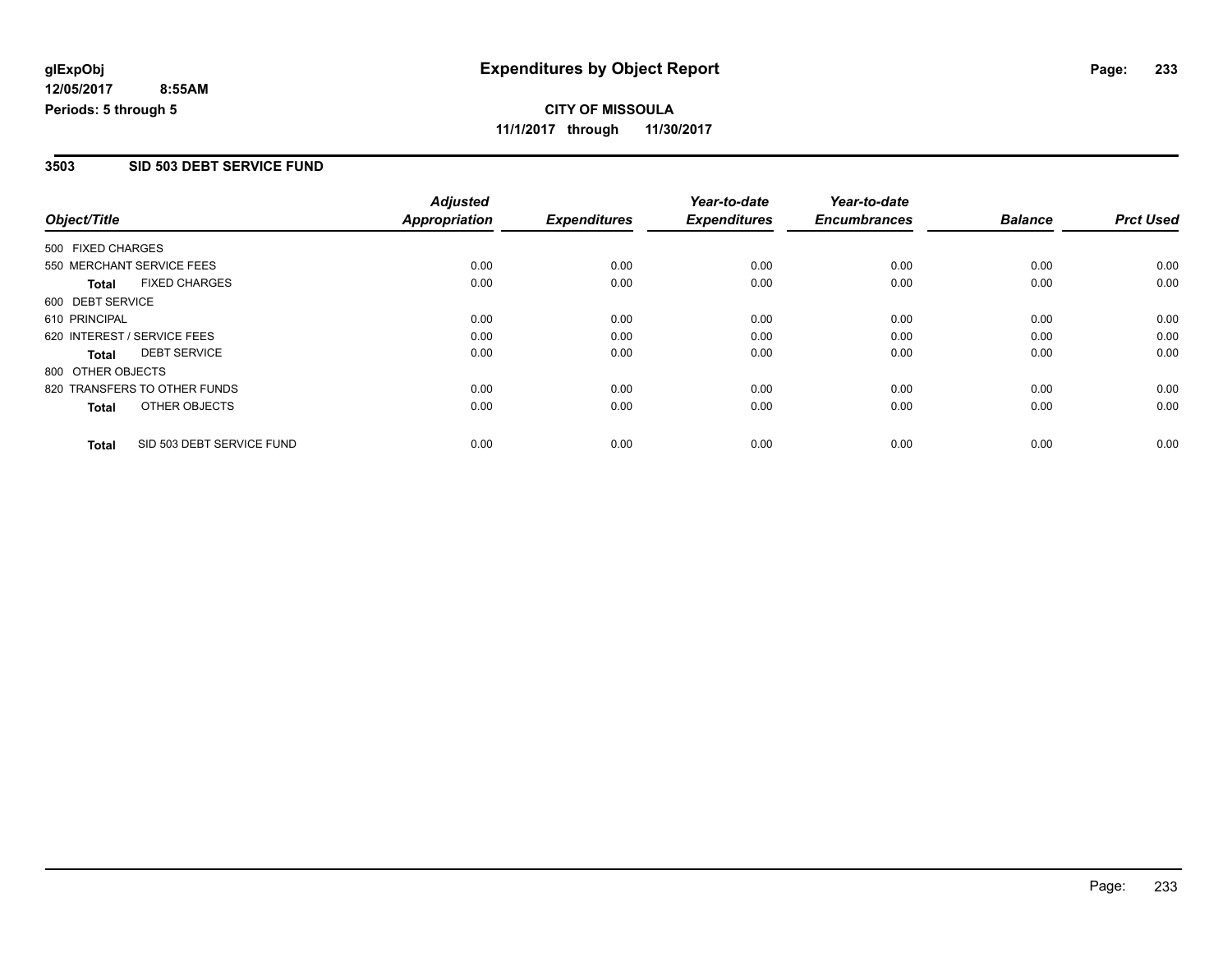# **CITY OF MISSOULA 11/1/2017 through 11/30/2017**

### **3503 SID 503 DEBT SERVICE FUND**

|                   |                              | <b>Adjusted</b> |                     | Year-to-date        | Year-to-date        |                |                  |
|-------------------|------------------------------|-----------------|---------------------|---------------------|---------------------|----------------|------------------|
| Object/Title      |                              | Appropriation   | <b>Expenditures</b> | <b>Expenditures</b> | <b>Encumbrances</b> | <b>Balance</b> | <b>Prct Used</b> |
| 500 FIXED CHARGES |                              |                 |                     |                     |                     |                |                  |
|                   | 550 MERCHANT SERVICE FEES    | 0.00            | 0.00                | 0.00                | 0.00                | 0.00           | 0.00             |
| <b>Total</b>      | <b>FIXED CHARGES</b>         | 0.00            | 0.00                | 0.00                | 0.00                | 0.00           | 0.00             |
| 600 DEBT SERVICE  |                              |                 |                     |                     |                     |                |                  |
| 610 PRINCIPAL     |                              | 0.00            | 0.00                | 0.00                | 0.00                | 0.00           | 0.00             |
|                   | 620 INTEREST / SERVICE FEES  | 0.00            | 0.00                | 0.00                | 0.00                | 0.00           | 0.00             |
| <b>Total</b>      | <b>DEBT SERVICE</b>          | 0.00            | 0.00                | 0.00                | 0.00                | 0.00           | 0.00             |
| 800 OTHER OBJECTS |                              |                 |                     |                     |                     |                |                  |
|                   | 820 TRANSFERS TO OTHER FUNDS | 0.00            | 0.00                | 0.00                | 0.00                | 0.00           | 0.00             |
| <b>Total</b>      | OTHER OBJECTS                | 0.00            | 0.00                | 0.00                | 0.00                | 0.00           | 0.00             |
| <b>Total</b>      | SID 503 DEBT SERVICE FUND    | 0.00            | 0.00                | 0.00                | 0.00                | 0.00           | 0.00             |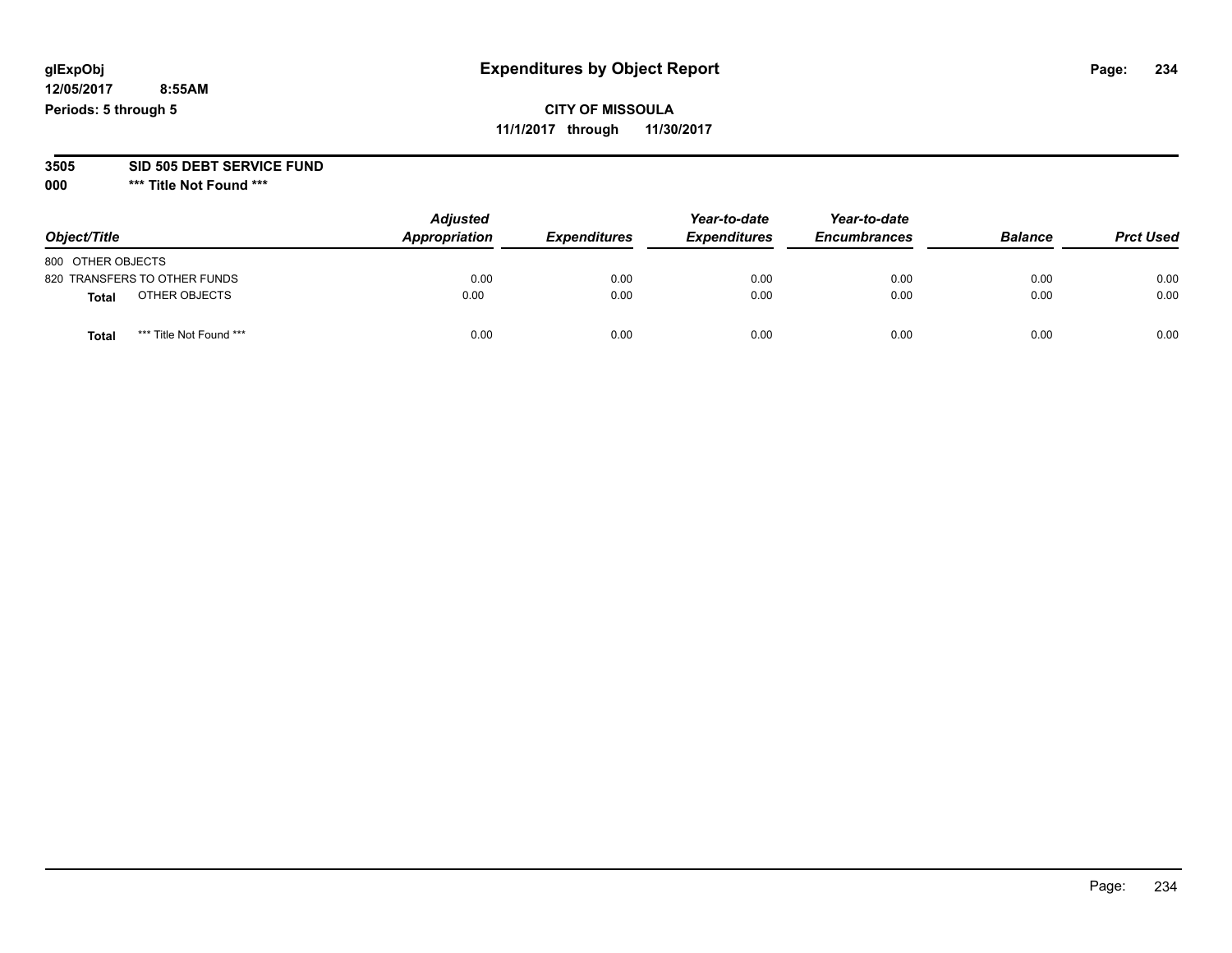# **glExpObj Expenditures by Object Report Page: 234**

**12/05/2017 8:55AM Periods: 5 through 5**

# **CITY OF MISSOULA 11/1/2017 through 11/30/2017**

**3505 SID 505 DEBT SERVICE FUND**

| Object/Title                     | <b>Adjusted</b><br>Appropriation | <b>Expenditures</b> | Year-to-date<br><b>Expenditures</b> | Year-to-date<br><b>Encumbrances</b> | <b>Balance</b> | <b>Prct Used</b> |
|----------------------------------|----------------------------------|---------------------|-------------------------------------|-------------------------------------|----------------|------------------|
| 800 OTHER OBJECTS                |                                  |                     |                                     |                                     |                |                  |
| 820 TRANSFERS TO OTHER FUNDS     | 0.00                             | 0.00                | 0.00                                | 0.00                                | 0.00           | 0.00             |
| OTHER OBJECTS<br>Total           | 0.00                             | 0.00                | 0.00                                | 0.00                                | 0.00           | 0.00             |
| *** Title Not Found ***<br>Total | 0.00                             | 0.00                | 0.00                                | 0.00                                | 0.00           | 0.00             |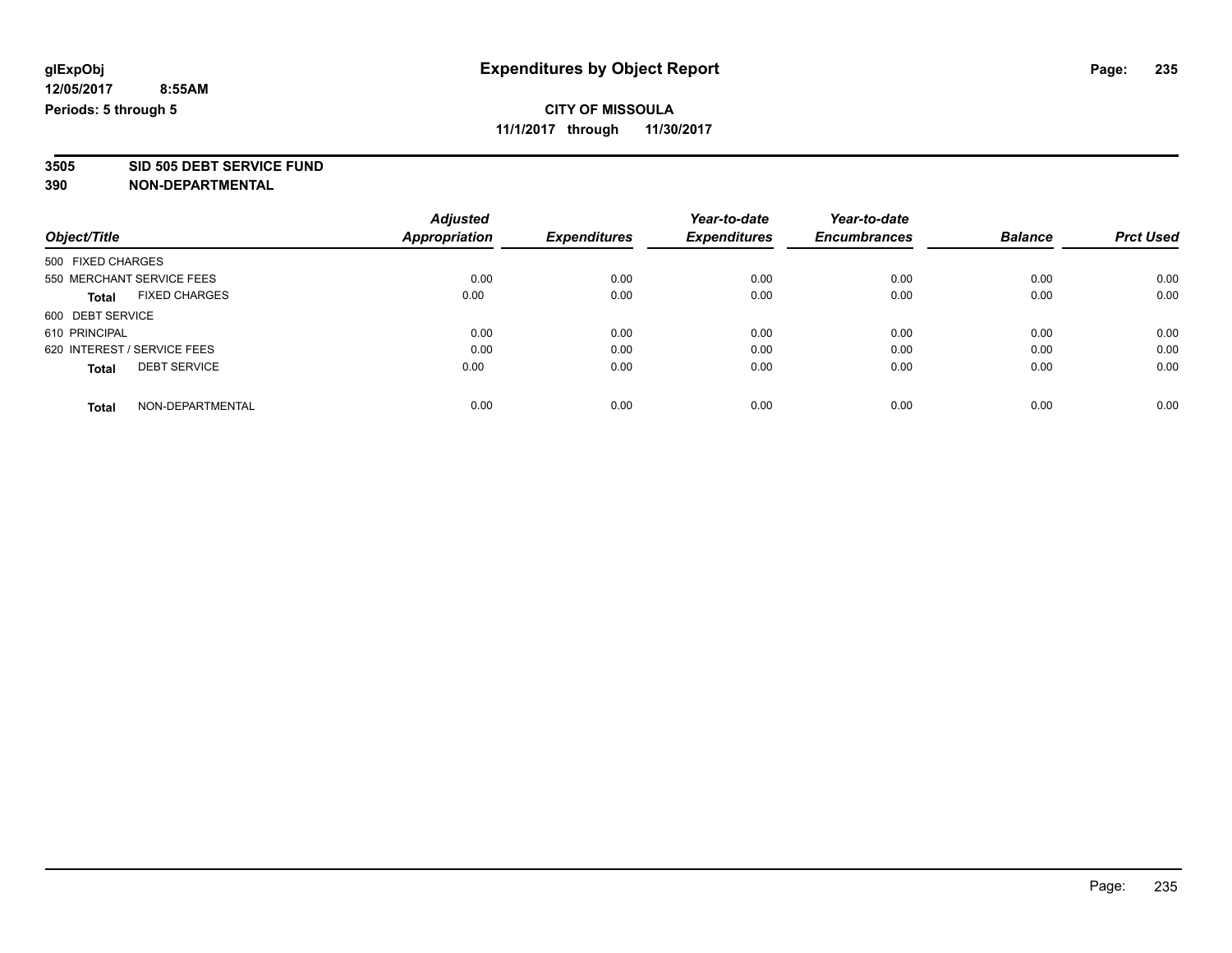# **3505 SID 505 DEBT SERVICE FUND**

| Object/Title                |                      | <b>Adjusted</b> |                     | Year-to-date        | Year-to-date        | <b>Balance</b> | <b>Prct Used</b> |
|-----------------------------|----------------------|-----------------|---------------------|---------------------|---------------------|----------------|------------------|
|                             |                      | Appropriation   | <b>Expenditures</b> | <b>Expenditures</b> | <b>Encumbrances</b> |                |                  |
| 500 FIXED CHARGES           |                      |                 |                     |                     |                     |                |                  |
| 550 MERCHANT SERVICE FEES   |                      | 0.00            | 0.00                | 0.00                | 0.00                | 0.00           | 0.00             |
| <b>Total</b>                | <b>FIXED CHARGES</b> | 0.00            | 0.00                | 0.00                | 0.00                | 0.00           | 0.00             |
| 600 DEBT SERVICE            |                      |                 |                     |                     |                     |                |                  |
| 610 PRINCIPAL               |                      | 0.00            | 0.00                | 0.00                | 0.00                | 0.00           | 0.00             |
| 620 INTEREST / SERVICE FEES |                      | 0.00            | 0.00                | 0.00                | 0.00                | 0.00           | 0.00             |
| <b>Total</b>                | <b>DEBT SERVICE</b>  | 0.00            | 0.00                | 0.00                | 0.00                | 0.00           | 0.00             |
| <b>Total</b>                | NON-DEPARTMENTAL     | 0.00            | 0.00                | 0.00                | 0.00                | 0.00           | 0.00             |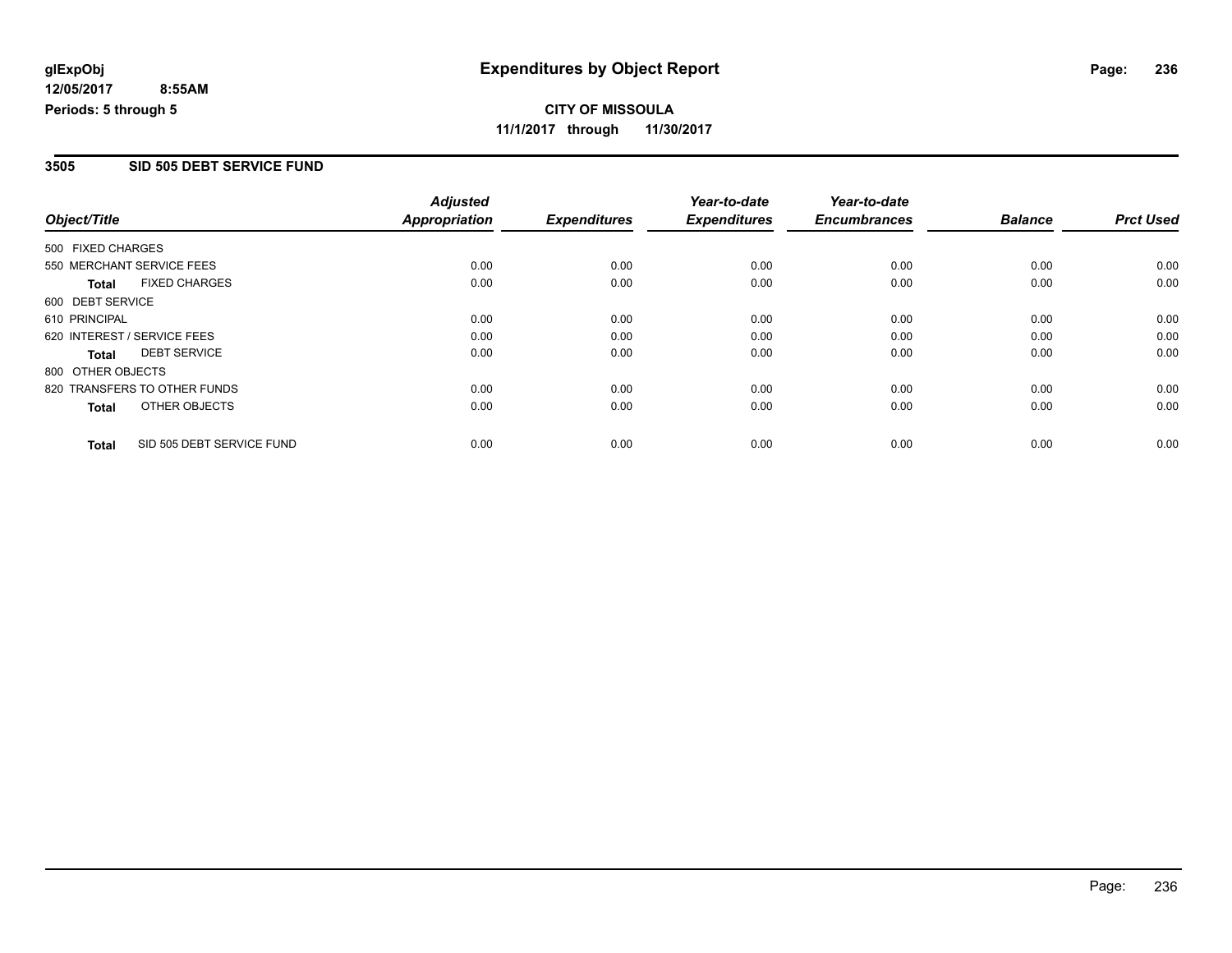# **CITY OF MISSOULA 11/1/2017 through 11/30/2017**

### **3505 SID 505 DEBT SERVICE FUND**

|                             |                              | <b>Adjusted</b> |                     | Year-to-date        | Year-to-date        |                |                  |
|-----------------------------|------------------------------|-----------------|---------------------|---------------------|---------------------|----------------|------------------|
| Object/Title                |                              | Appropriation   | <b>Expenditures</b> | <b>Expenditures</b> | <b>Encumbrances</b> | <b>Balance</b> | <b>Prct Used</b> |
| 500 FIXED CHARGES           |                              |                 |                     |                     |                     |                |                  |
| 550 MERCHANT SERVICE FEES   |                              | 0.00            | 0.00                | 0.00                | 0.00                | 0.00           | 0.00             |
| <b>Total</b>                | <b>FIXED CHARGES</b>         | 0.00            | 0.00                | 0.00                | 0.00                | 0.00           | 0.00             |
| 600 DEBT SERVICE            |                              |                 |                     |                     |                     |                |                  |
| 610 PRINCIPAL               |                              | 0.00            | 0.00                | 0.00                | 0.00                | 0.00           | 0.00             |
| 620 INTEREST / SERVICE FEES |                              | 0.00            | 0.00                | 0.00                | 0.00                | 0.00           | 0.00             |
| <b>Total</b>                | <b>DEBT SERVICE</b>          | 0.00            | 0.00                | 0.00                | 0.00                | 0.00           | 0.00             |
| 800 OTHER OBJECTS           |                              |                 |                     |                     |                     |                |                  |
|                             | 820 TRANSFERS TO OTHER FUNDS | 0.00            | 0.00                | 0.00                | 0.00                | 0.00           | 0.00             |
| <b>Total</b>                | OTHER OBJECTS                | 0.00            | 0.00                | 0.00                | 0.00                | 0.00           | 0.00             |
| <b>Total</b>                | SID 505 DEBT SERVICE FUND    | 0.00            | 0.00                | 0.00                | 0.00                | 0.00           | 0.00             |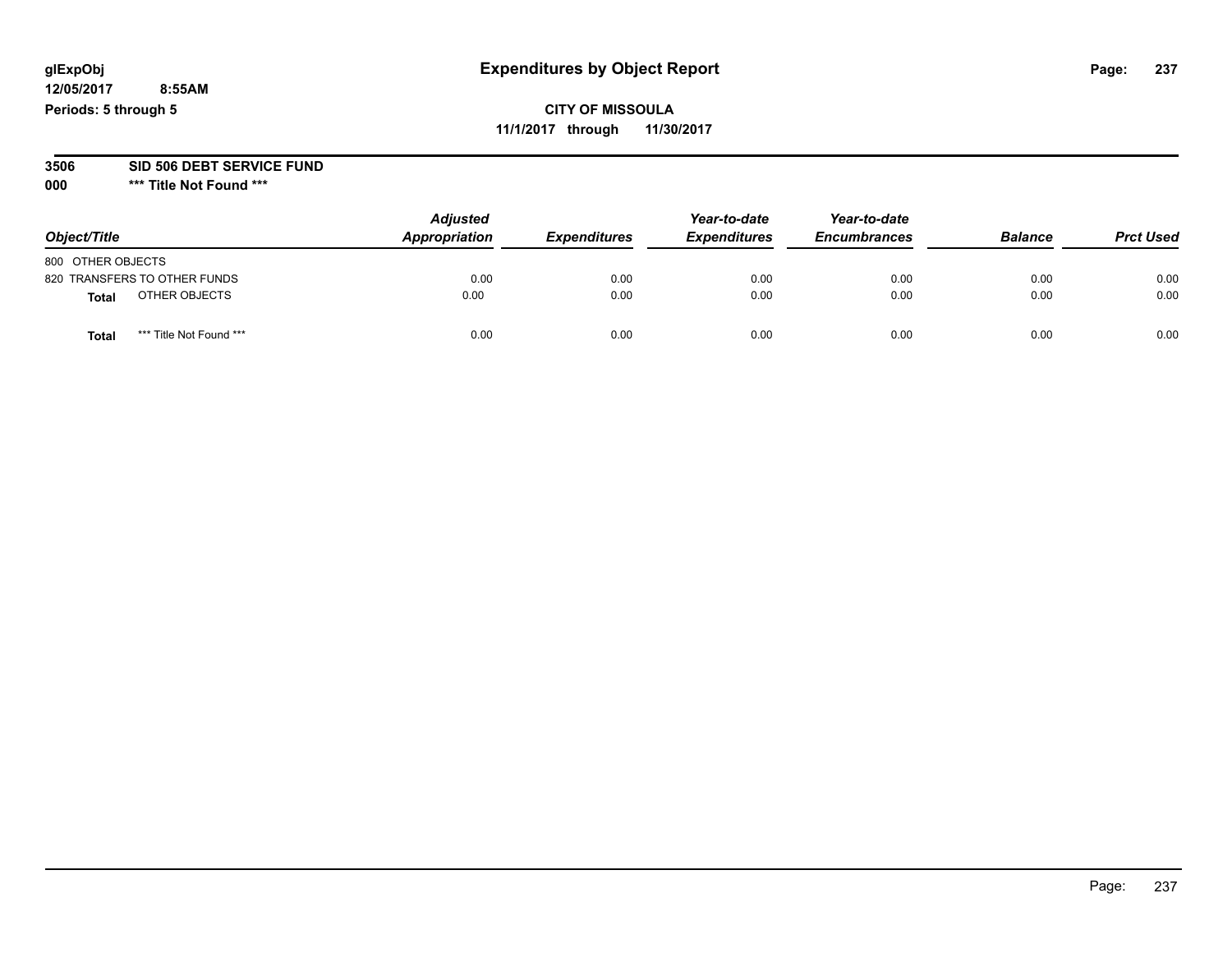# **CITY OF MISSOULA 11/1/2017 through 11/30/2017**

#### **3506 SID 506 DEBT SERVICE FUND**

| Object/Title                     | <b>Adjusted</b><br>Appropriation | <b>Expenditures</b> | Year-to-date<br><b>Expenditures</b> | Year-to-date<br><b>Encumbrances</b> | <b>Balance</b> | <b>Prct Used</b> |
|----------------------------------|----------------------------------|---------------------|-------------------------------------|-------------------------------------|----------------|------------------|
| 800 OTHER OBJECTS                |                                  |                     |                                     |                                     |                |                  |
| 820 TRANSFERS TO OTHER FUNDS     | 0.00                             | 0.00                | 0.00                                | 0.00                                | 0.00           | 0.00             |
| OTHER OBJECTS<br><b>Total</b>    | 0.00                             | 0.00                | 0.00                                | 0.00                                | 0.00           | 0.00             |
| *** Title Not Found ***<br>Total | 0.00                             | 0.00                | 0.00                                | 0.00                                | 0.00           | 0.00             |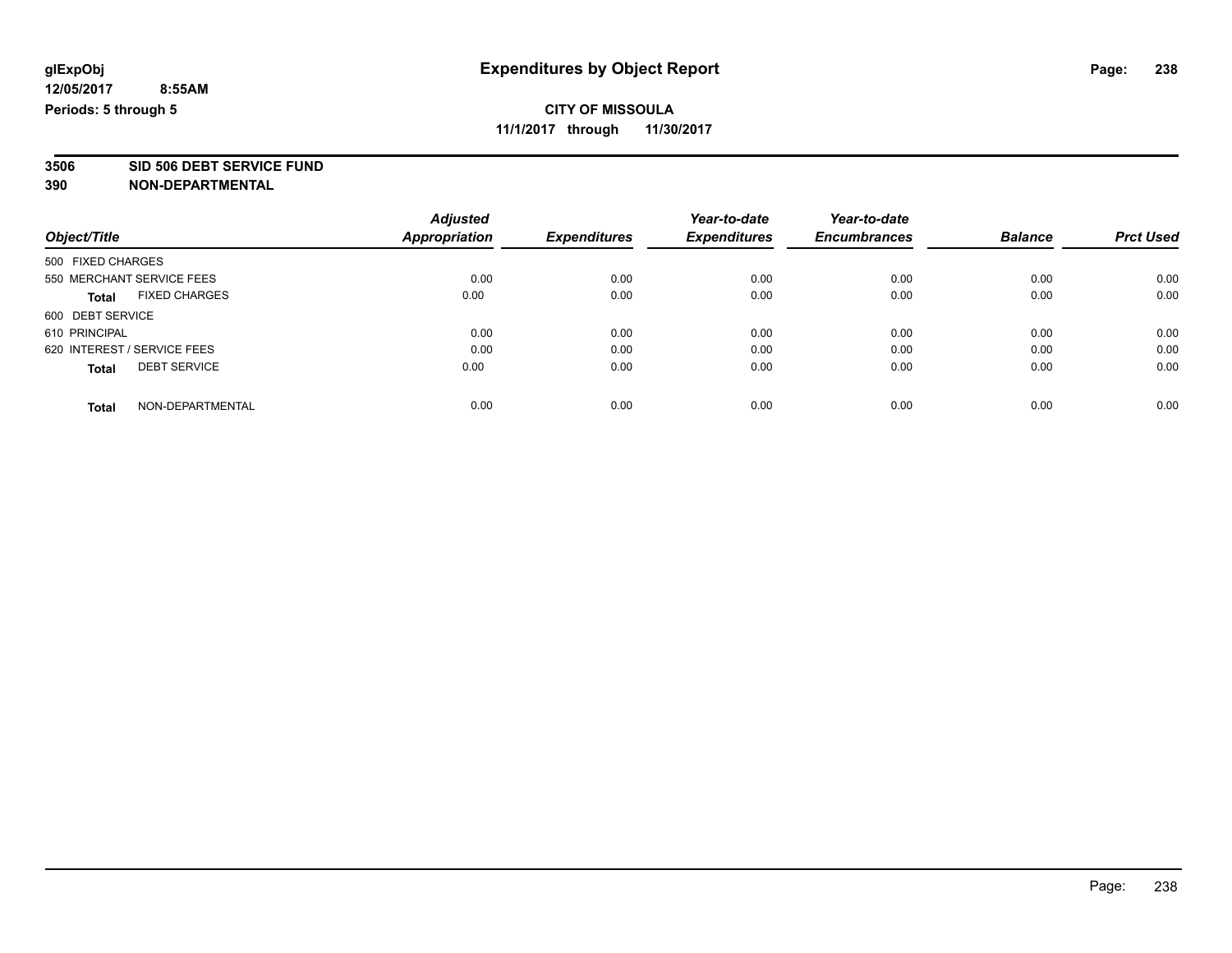**3506 SID 506 DEBT SERVICE FUND**

|                                      | <b>Adjusted</b>      | <b>Expenditures</b> | Year-to-date        | Year-to-date        | <b>Balance</b> | <b>Prct Used</b> |
|--------------------------------------|----------------------|---------------------|---------------------|---------------------|----------------|------------------|
| Object/Title                         | <b>Appropriation</b> |                     | <b>Expenditures</b> | <b>Encumbrances</b> |                |                  |
| 500 FIXED CHARGES                    |                      |                     |                     |                     |                |                  |
| 550 MERCHANT SERVICE FEES            | 0.00                 | 0.00                | 0.00                | 0.00                | 0.00           | 0.00             |
| <b>FIXED CHARGES</b><br><b>Total</b> | 0.00                 | 0.00                | 0.00                | 0.00                | 0.00           | 0.00             |
| 600 DEBT SERVICE                     |                      |                     |                     |                     |                |                  |
| 610 PRINCIPAL                        | 0.00                 | 0.00                | 0.00                | 0.00                | 0.00           | 0.00             |
| 620 INTEREST / SERVICE FEES          | 0.00                 | 0.00                | 0.00                | 0.00                | 0.00           | 0.00             |
| <b>DEBT SERVICE</b><br><b>Total</b>  | 0.00                 | 0.00                | 0.00                | 0.00                | 0.00           | 0.00             |
| NON-DEPARTMENTAL<br><b>Total</b>     | 0.00                 | 0.00                | 0.00                | 0.00                | 0.00           | 0.00             |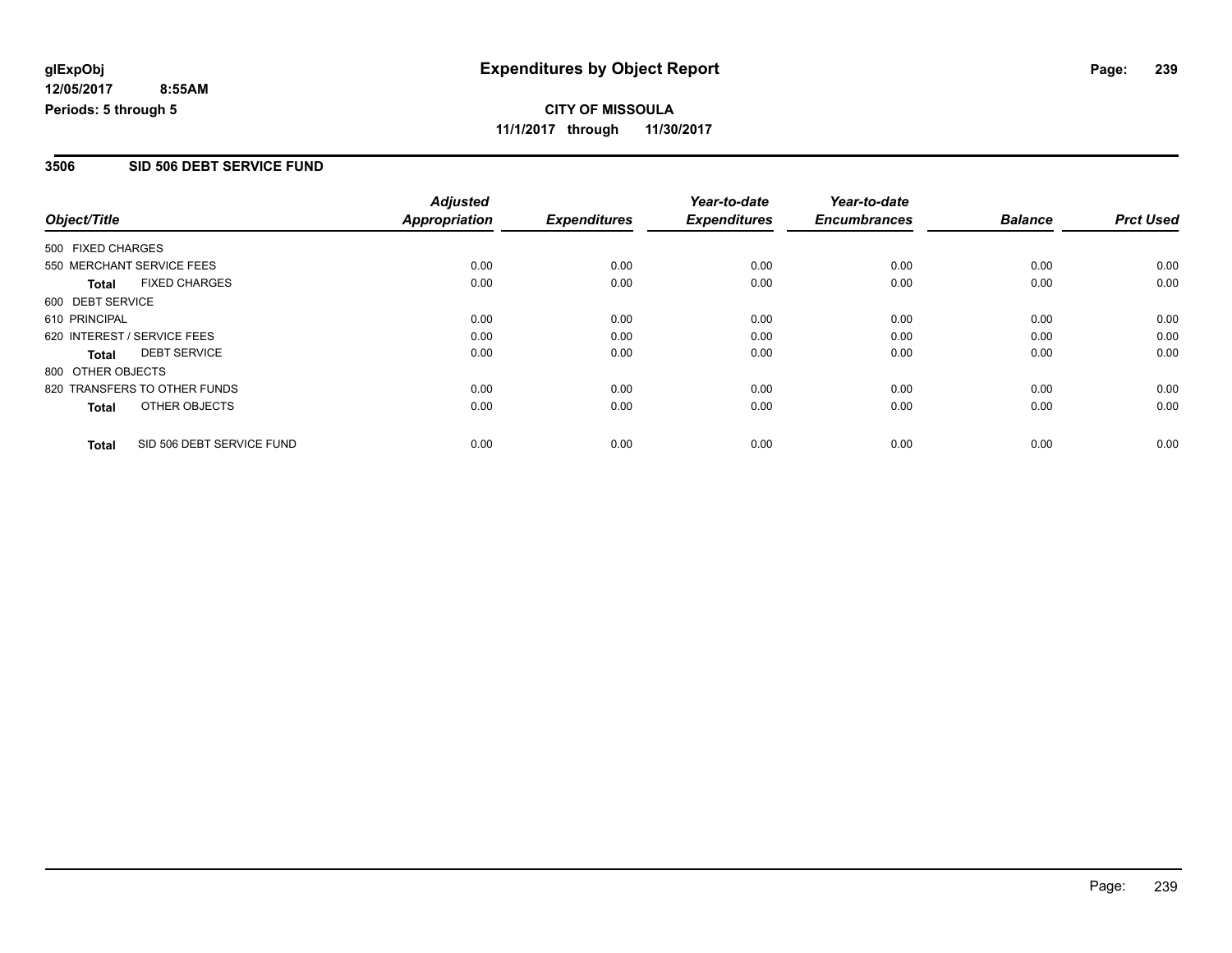# **CITY OF MISSOULA 11/1/2017 through 11/30/2017**

#### **3506 SID 506 DEBT SERVICE FUND**

|                   |                              | <b>Adjusted</b> |                     | Year-to-date        | Year-to-date        |                |                  |
|-------------------|------------------------------|-----------------|---------------------|---------------------|---------------------|----------------|------------------|
| Object/Title      |                              | Appropriation   | <b>Expenditures</b> | <b>Expenditures</b> | <b>Encumbrances</b> | <b>Balance</b> | <b>Prct Used</b> |
| 500 FIXED CHARGES |                              |                 |                     |                     |                     |                |                  |
|                   | 550 MERCHANT SERVICE FEES    | 0.00            | 0.00                | 0.00                | 0.00                | 0.00           | 0.00             |
| <b>Total</b>      | <b>FIXED CHARGES</b>         | 0.00            | 0.00                | 0.00                | 0.00                | 0.00           | 0.00             |
| 600 DEBT SERVICE  |                              |                 |                     |                     |                     |                |                  |
| 610 PRINCIPAL     |                              | 0.00            | 0.00                | 0.00                | 0.00                | 0.00           | 0.00             |
|                   | 620 INTEREST / SERVICE FEES  | 0.00            | 0.00                | 0.00                | 0.00                | 0.00           | 0.00             |
| <b>Total</b>      | <b>DEBT SERVICE</b>          | 0.00            | 0.00                | 0.00                | 0.00                | 0.00           | 0.00             |
| 800 OTHER OBJECTS |                              |                 |                     |                     |                     |                |                  |
|                   | 820 TRANSFERS TO OTHER FUNDS | 0.00            | 0.00                | 0.00                | 0.00                | 0.00           | 0.00             |
| <b>Total</b>      | OTHER OBJECTS                | 0.00            | 0.00                | 0.00                | 0.00                | 0.00           | 0.00             |
| <b>Total</b>      | SID 506 DEBT SERVICE FUND    | 0.00            | 0.00                | 0.00                | 0.00                | 0.00           | 0.00             |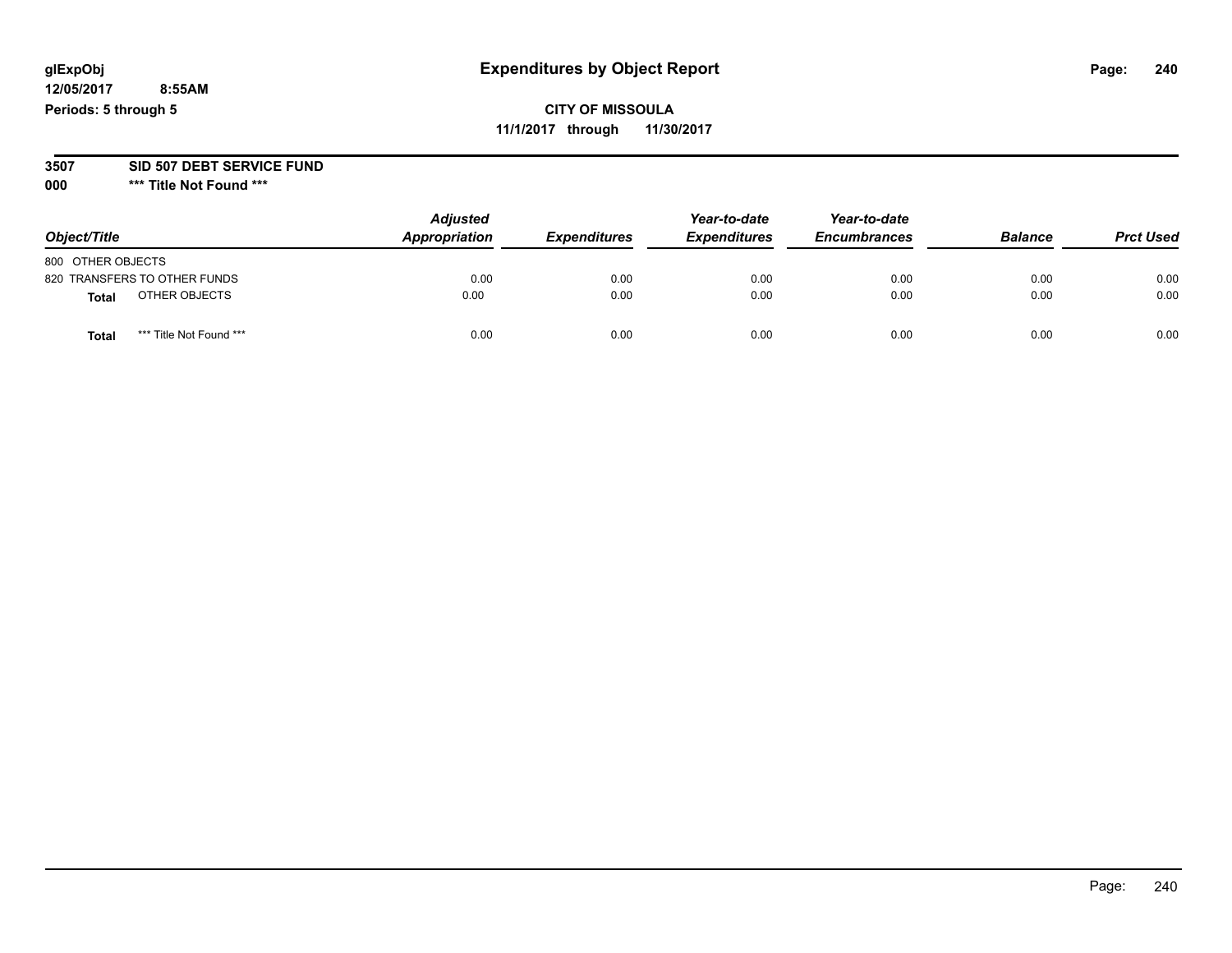# **glExpObj Expenditures by Object Report Page: 240**

**12/05/2017 8:55AM Periods: 5 through 5**

**11/1/2017 through 11/30/2017**

#### **3507 SID 507 DEBT SERVICE FUND**

| Object/Title                            | <b>Adjusted</b><br>Appropriation | <b>Expenditures</b> | Year-to-date<br><b>Expenditures</b> | Year-to-date<br><b>Encumbrances</b> | <b>Balance</b> | <b>Prct Used</b> |
|-----------------------------------------|----------------------------------|---------------------|-------------------------------------|-------------------------------------|----------------|------------------|
| 800 OTHER OBJECTS                       |                                  |                     |                                     |                                     |                |                  |
| 820 TRANSFERS TO OTHER FUNDS            | 0.00                             | 0.00                | 0.00                                | 0.00                                | 0.00           | 0.00             |
| OTHER OBJECTS<br><b>Total</b>           | 0.00                             | 0.00                | 0.00                                | 0.00                                | 0.00           | 0.00             |
| *** Title Not Found ***<br><b>Total</b> | 0.00                             | 0.00                | 0.00                                | 0.00                                | 0.00           | 0.00             |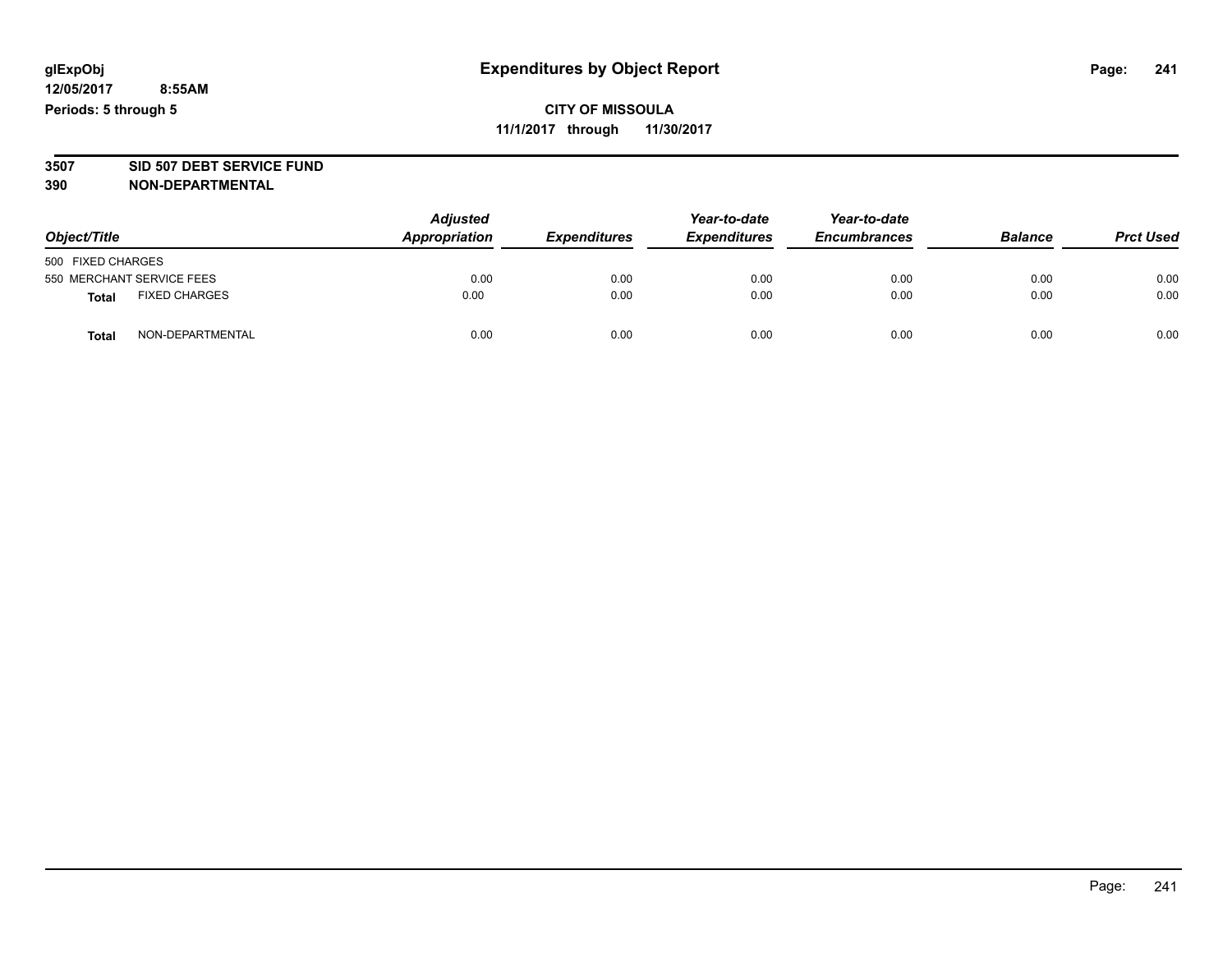# **CITY OF MISSOULA 11/1/2017 through 11/30/2017**

# **3507 SID 507 DEBT SERVICE FUND**

| Object/Title                         | <b>Adjusted</b><br>Appropriation | <b>Expenditures</b> | Year-to-date<br><b>Expenditures</b> | Year-to-date<br><b>Encumbrances</b> | <b>Balance</b> | <b>Prct Used</b> |
|--------------------------------------|----------------------------------|---------------------|-------------------------------------|-------------------------------------|----------------|------------------|
| 500 FIXED CHARGES                    |                                  |                     |                                     |                                     |                |                  |
| 550 MERCHANT SERVICE FEES            | 0.00                             | 0.00                | 0.00                                | 0.00                                | 0.00           | 0.00             |
| <b>FIXED CHARGES</b><br><b>Total</b> | 0.00                             | 0.00                | 0.00                                | 0.00                                | 0.00           | 0.00             |
| NON-DEPARTMENTAL<br>Total            | 0.00                             | 0.00                | 0.00                                | 0.00                                | 0.00           | 0.00             |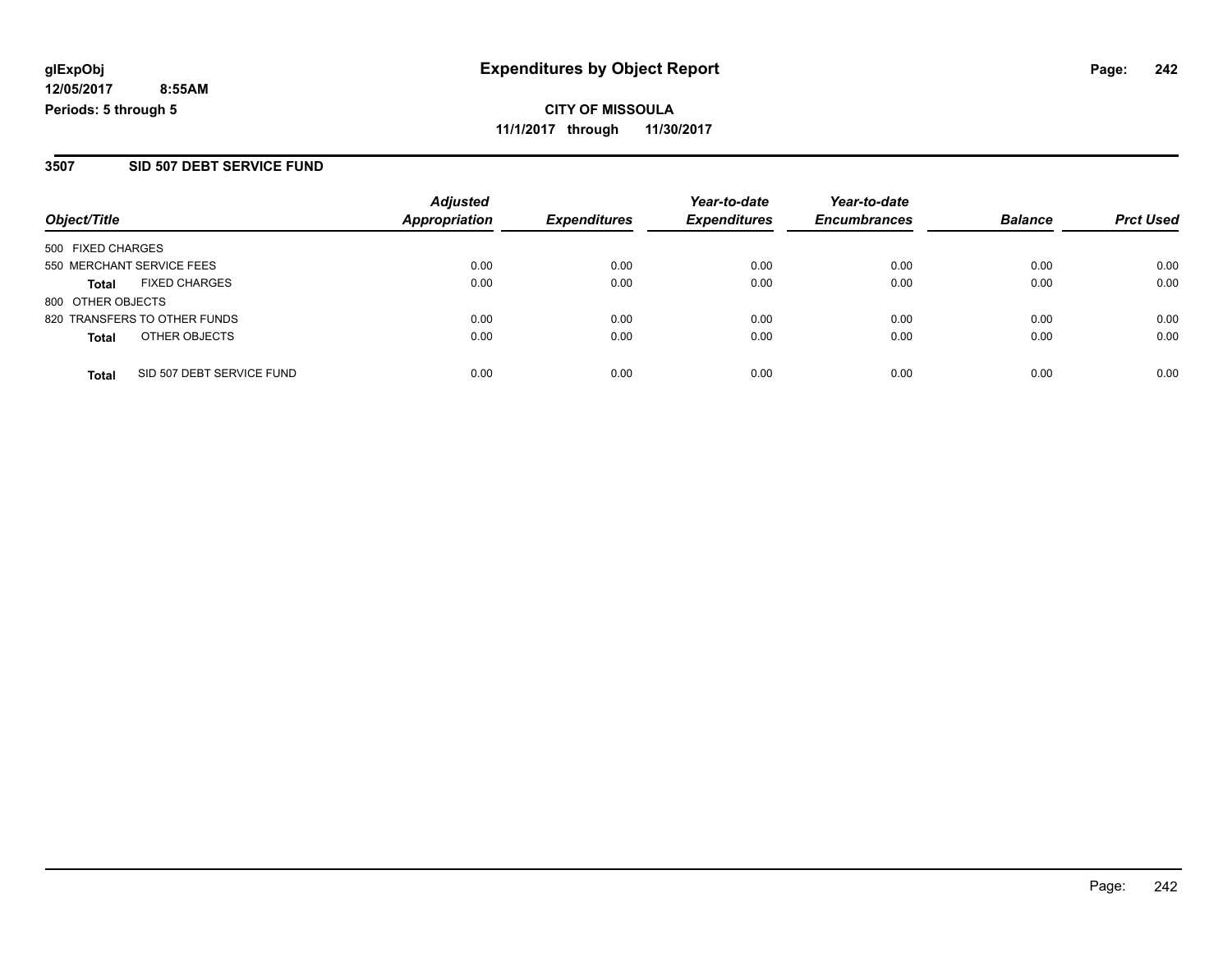### **3507 SID 507 DEBT SERVICE FUND**

|                                           | <b>Adjusted</b>      |                     | Year-to-date        | Year-to-date        |                |                  |
|-------------------------------------------|----------------------|---------------------|---------------------|---------------------|----------------|------------------|
| Object/Title                              | <b>Appropriation</b> | <b>Expenditures</b> | <b>Expenditures</b> | <b>Encumbrances</b> | <b>Balance</b> | <b>Prct Used</b> |
| 500 FIXED CHARGES                         |                      |                     |                     |                     |                |                  |
| 550 MERCHANT SERVICE FEES                 | 0.00                 | 0.00                | 0.00                | 0.00                | 0.00           | 0.00             |
| <b>FIXED CHARGES</b><br>Total             | 0.00                 | 0.00                | 0.00                | 0.00                | 0.00           | 0.00             |
| 800 OTHER OBJECTS                         |                      |                     |                     |                     |                |                  |
| 820 TRANSFERS TO OTHER FUNDS              | 0.00                 | 0.00                | 0.00                | 0.00                | 0.00           | 0.00             |
| OTHER OBJECTS<br><b>Total</b>             | 0.00                 | 0.00                | 0.00                | 0.00                | 0.00           | 0.00             |
| SID 507 DEBT SERVICE FUND<br><b>Total</b> | 0.00                 | 0.00                | 0.00                | 0.00                | 0.00           | 0.00             |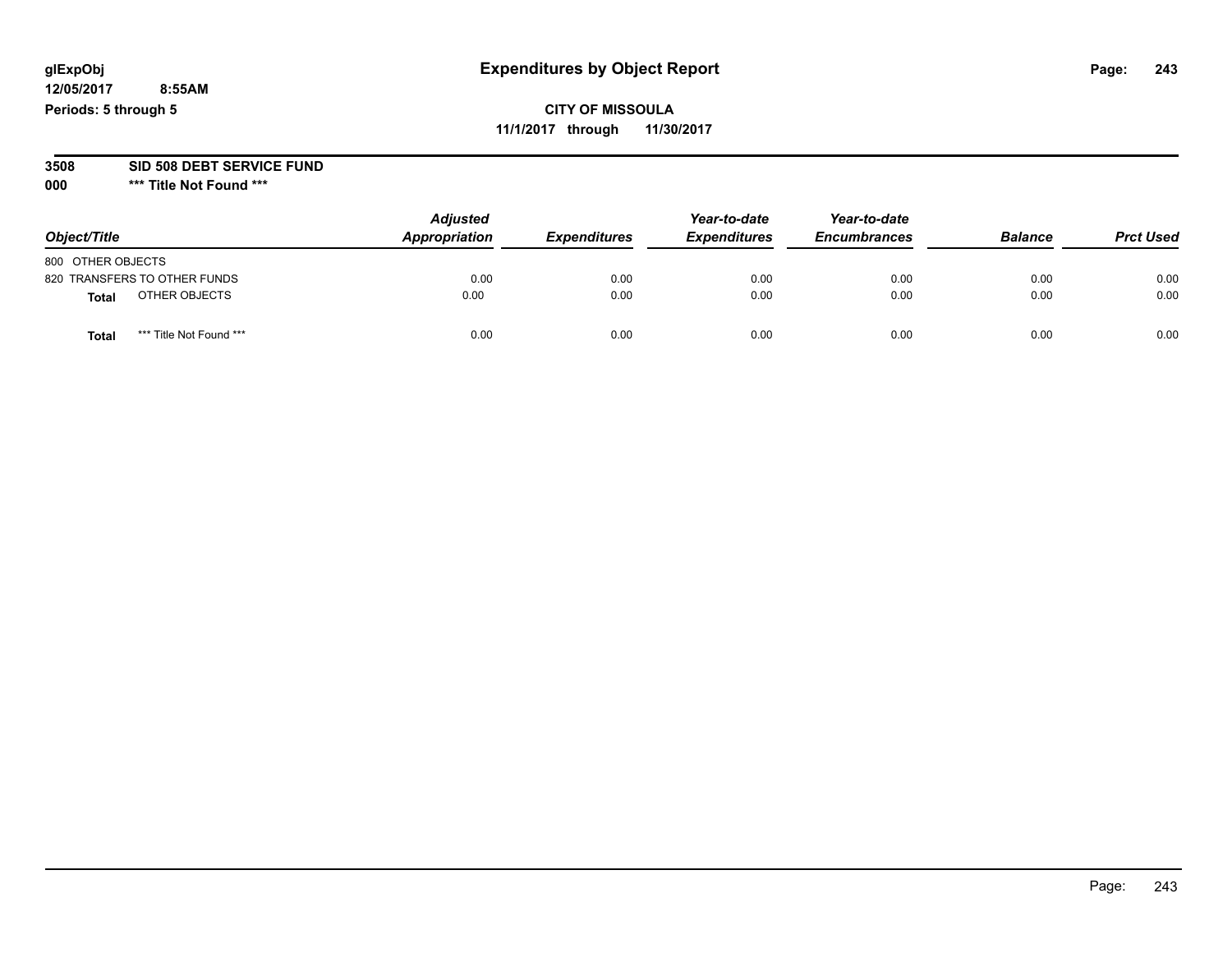# **CITY OF MISSOULA 11/1/2017 through 11/30/2017**

#### **3508 SID 508 DEBT SERVICE FUND**

| Object/Title                    | <b>Adjusted</b><br>Appropriation | <b>Expenditures</b> | Year-to-date<br><b>Expenditures</b> | Year-to-date<br><b>Encumbrances</b> | <b>Balance</b> | <b>Prct Used</b> |
|---------------------------------|----------------------------------|---------------------|-------------------------------------|-------------------------------------|----------------|------------------|
| 800 OTHER OBJECTS               |                                  |                     |                                     |                                     |                |                  |
| 820 TRANSFERS TO OTHER FUNDS    | 0.00                             | 0.00                | 0.00                                | 0.00                                | 0.00           | 0.00             |
| OTHER OBJECTS<br>Total          | 0.00                             | 0.00                | 0.00                                | 0.00                                | 0.00           | 0.00             |
| *** Title Not Found ***<br>Tota | 0.00                             | 0.00                | 0.00                                | 0.00                                | 0.00           | 0.00             |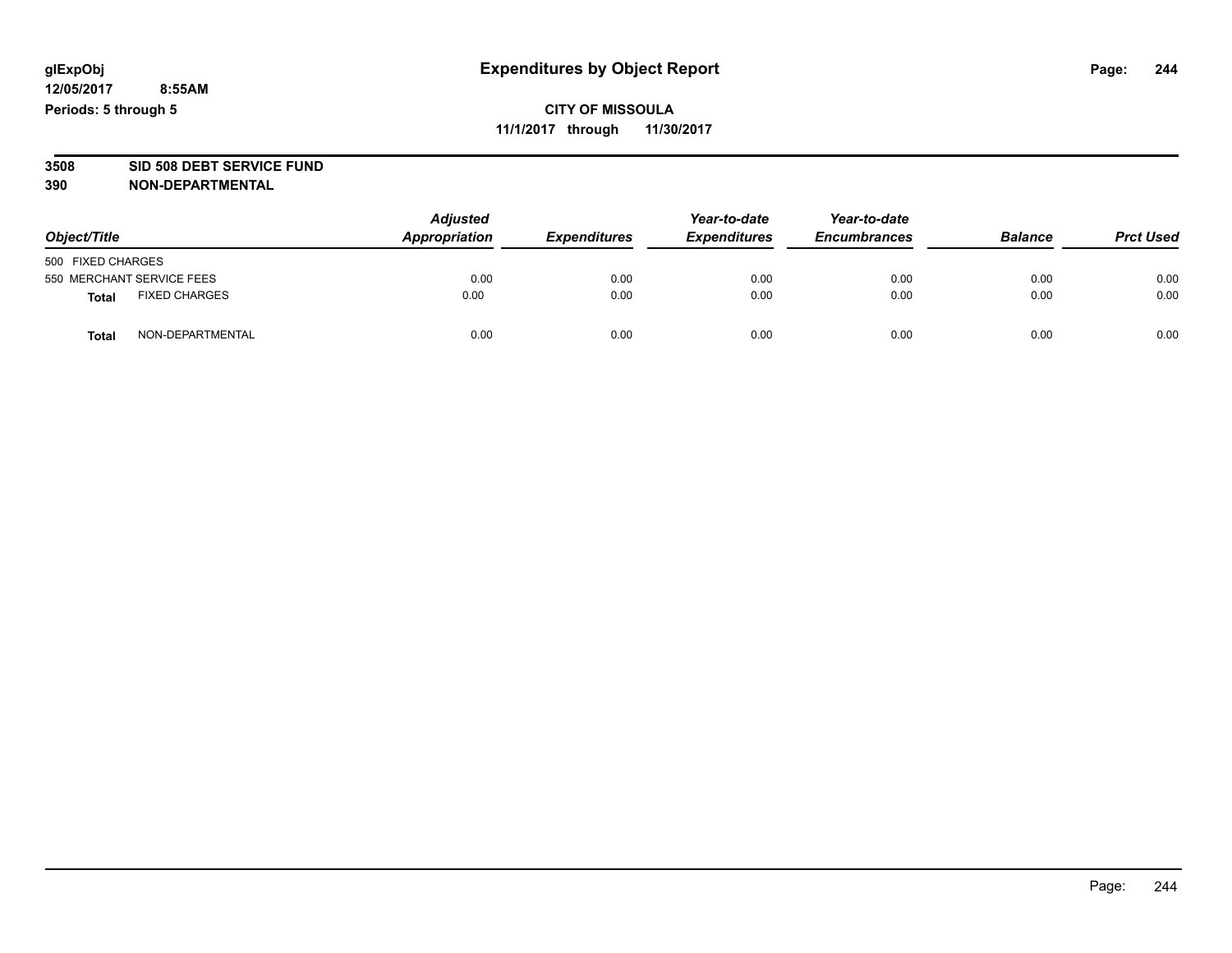# **CITY OF MISSOULA 11/1/2017 through 11/30/2017**

# **3508 SID 508 DEBT SERVICE FUND**

| Object/Title                         | <b>Adjusted</b><br>Appropriation | <b>Expenditures</b> | Year-to-date<br><b>Expenditures</b> | Year-to-date<br><b>Encumbrances</b> | <b>Balance</b> | <b>Prct Used</b> |
|--------------------------------------|----------------------------------|---------------------|-------------------------------------|-------------------------------------|----------------|------------------|
| 500 FIXED CHARGES                    |                                  |                     |                                     |                                     |                |                  |
| 550 MERCHANT SERVICE FEES            | 0.00                             | 0.00                | 0.00                                | 0.00                                | 0.00           | 0.00             |
| <b>FIXED CHARGES</b><br><b>Total</b> | 0.00                             | 0.00                | 0.00                                | 0.00                                | 0.00           | 0.00             |
| NON-DEPARTMENTAL<br>Total            | 0.00                             | 0.00                | 0.00                                | 0.00                                | 0.00           | 0.00             |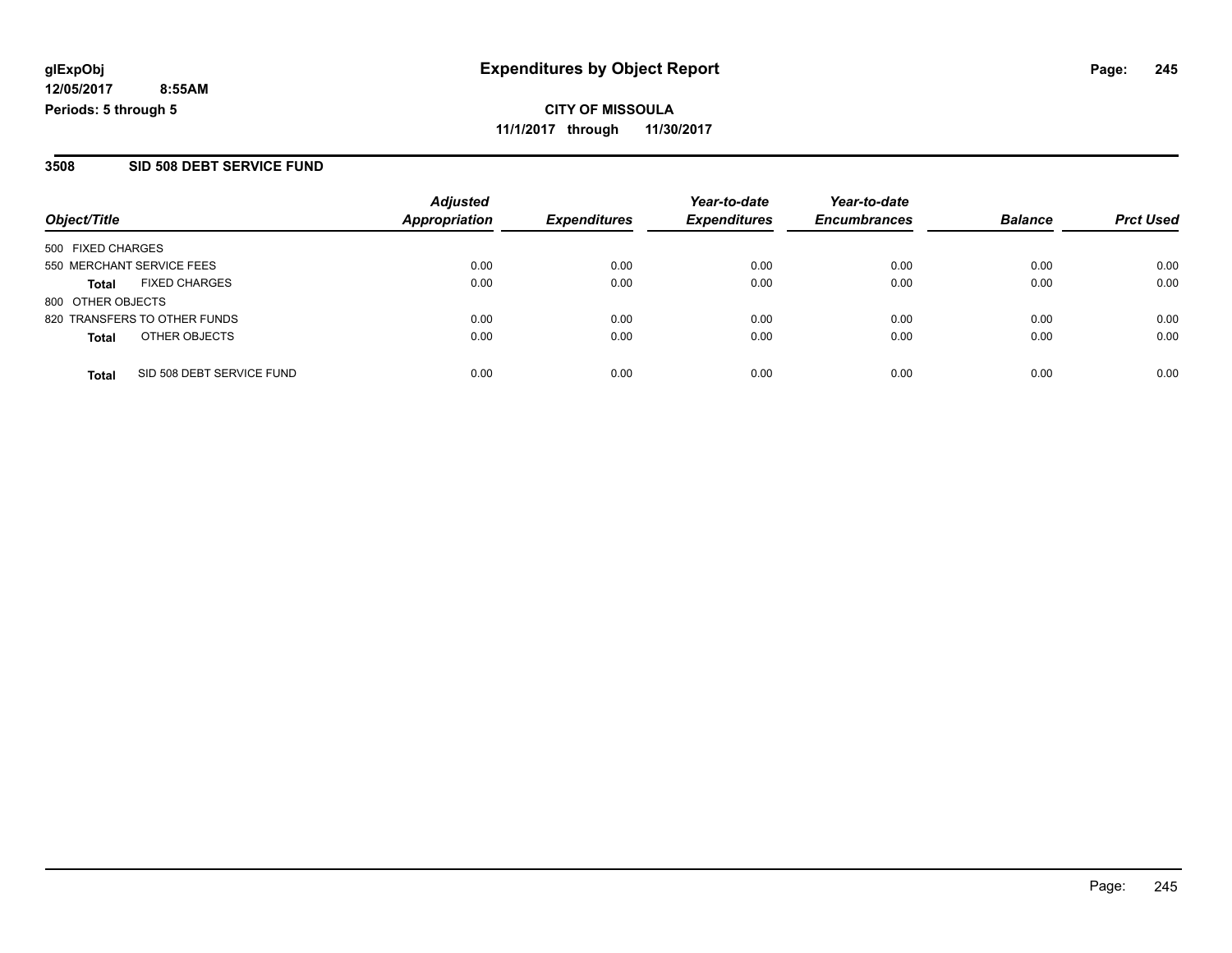**CITY OF MISSOULA 11/1/2017 through 11/30/2017**

#### **3508 SID 508 DEBT SERVICE FUND**

|                                           | <b>Adjusted</b><br><b>Appropriation</b> | <b>Expenditures</b> | Year-to-date<br><b>Expenditures</b> | Year-to-date<br><b>Encumbrances</b> | <b>Balance</b> | <b>Prct Used</b> |
|-------------------------------------------|-----------------------------------------|---------------------|-------------------------------------|-------------------------------------|----------------|------------------|
| Object/Title                              |                                         |                     |                                     |                                     |                |                  |
| 500 FIXED CHARGES                         |                                         |                     |                                     |                                     |                |                  |
| 550 MERCHANT SERVICE FEES                 | 0.00                                    | 0.00                | 0.00                                | 0.00                                | 0.00           | 0.00             |
| <b>FIXED CHARGES</b><br><b>Total</b>      | 0.00                                    | 0.00                | 0.00                                | 0.00                                | 0.00           | 0.00             |
| 800 OTHER OBJECTS                         |                                         |                     |                                     |                                     |                |                  |
| 820 TRANSFERS TO OTHER FUNDS              | 0.00                                    | 0.00                | 0.00                                | 0.00                                | 0.00           | 0.00             |
| OTHER OBJECTS<br><b>Total</b>             | 0.00                                    | 0.00                | 0.00                                | 0.00                                | 0.00           | 0.00             |
|                                           |                                         |                     |                                     |                                     |                |                  |
| SID 508 DEBT SERVICE FUND<br><b>Total</b> | 0.00                                    | 0.00                | 0.00                                | 0.00                                | 0.00           | 0.00             |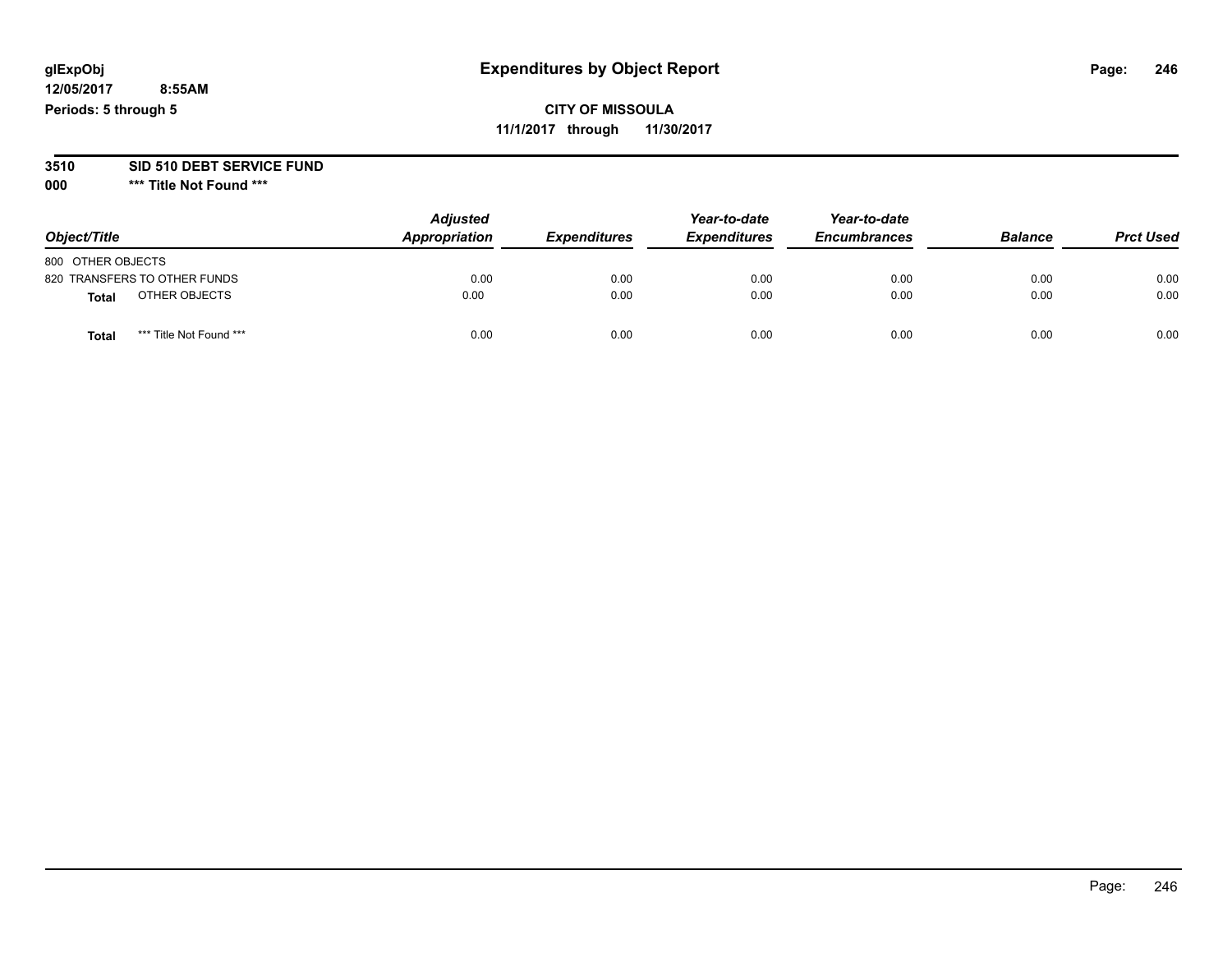# **glExpObj Expenditures by Object Report Page: 246**

**12/05/2017 8:55AM Periods: 5 through 5**

# **CITY OF MISSOULA 11/1/2017 through 11/30/2017**

# **3510 SID 510 DEBT SERVICE FUND**

| Object/Title                     | <b>Adjusted</b><br>Appropriation | <b>Expenditures</b> | Year-to-date<br><b>Expenditures</b> | Year-to-date<br><b>Encumbrances</b> | <b>Balance</b> | <b>Prct Used</b> |
|----------------------------------|----------------------------------|---------------------|-------------------------------------|-------------------------------------|----------------|------------------|
| 800 OTHER OBJECTS                |                                  |                     |                                     |                                     |                |                  |
| 820 TRANSFERS TO OTHER FUNDS     | 0.00                             | 0.00                | 0.00                                | 0.00                                | 0.00           | 0.00             |
| OTHER OBJECTS<br>Total           | 0.00                             | 0.00                | 0.00                                | 0.00                                | 0.00           | 0.00             |
| *** Title Not Found ***<br>Tota. | 0.00                             | 0.00                | 0.00                                | 0.00                                | 0.00           | 0.00             |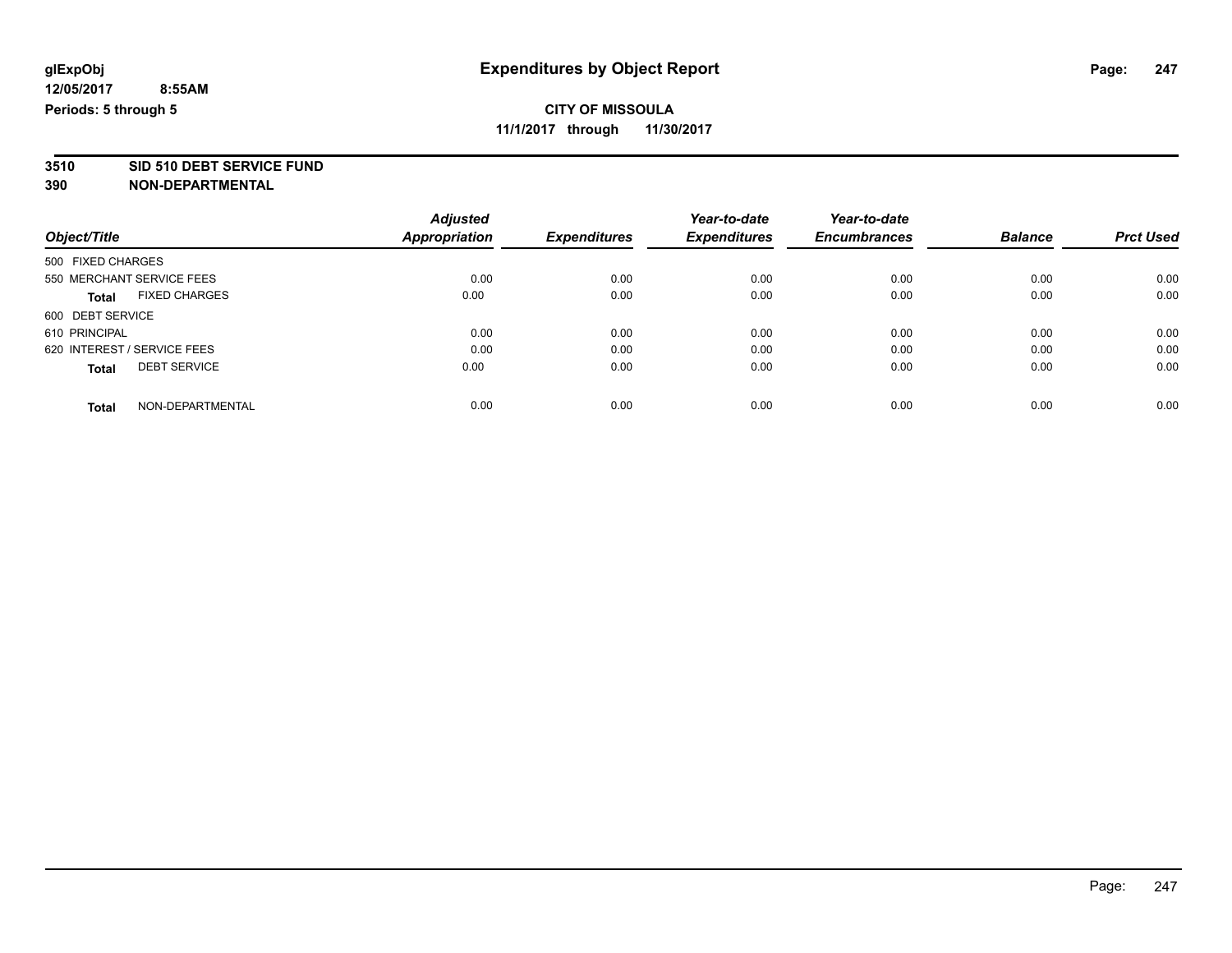# **CITY OF MISSOULA**

**11/1/2017 through 11/30/2017**

**3510 SID 510 DEBT SERVICE FUND**

|                                      | <b>Adjusted</b>      |                     | Year-to-date        | Year-to-date        |                |                  |
|--------------------------------------|----------------------|---------------------|---------------------|---------------------|----------------|------------------|
| Object/Title                         | <b>Appropriation</b> | <b>Expenditures</b> | <b>Expenditures</b> | <b>Encumbrances</b> | <b>Balance</b> | <b>Prct Used</b> |
| 500 FIXED CHARGES                    |                      |                     |                     |                     |                |                  |
| 550 MERCHANT SERVICE FEES            | 0.00                 | 0.00                | 0.00                | 0.00                | 0.00           | 0.00             |
| <b>FIXED CHARGES</b><br><b>Total</b> | 0.00                 | 0.00                | 0.00                | 0.00                | 0.00           | 0.00             |
| 600 DEBT SERVICE                     |                      |                     |                     |                     |                |                  |
| 610 PRINCIPAL                        | 0.00                 | 0.00                | 0.00                | 0.00                | 0.00           | 0.00             |
| 620 INTEREST / SERVICE FEES          | 0.00                 | 0.00                | 0.00                | 0.00                | 0.00           | 0.00             |
| <b>DEBT SERVICE</b><br><b>Total</b>  | 0.00                 | 0.00                | 0.00                | 0.00                | 0.00           | 0.00             |
| NON-DEPARTMENTAL<br><b>Total</b>     | 0.00                 | 0.00                | 0.00                | 0.00                | 0.00           | 0.00             |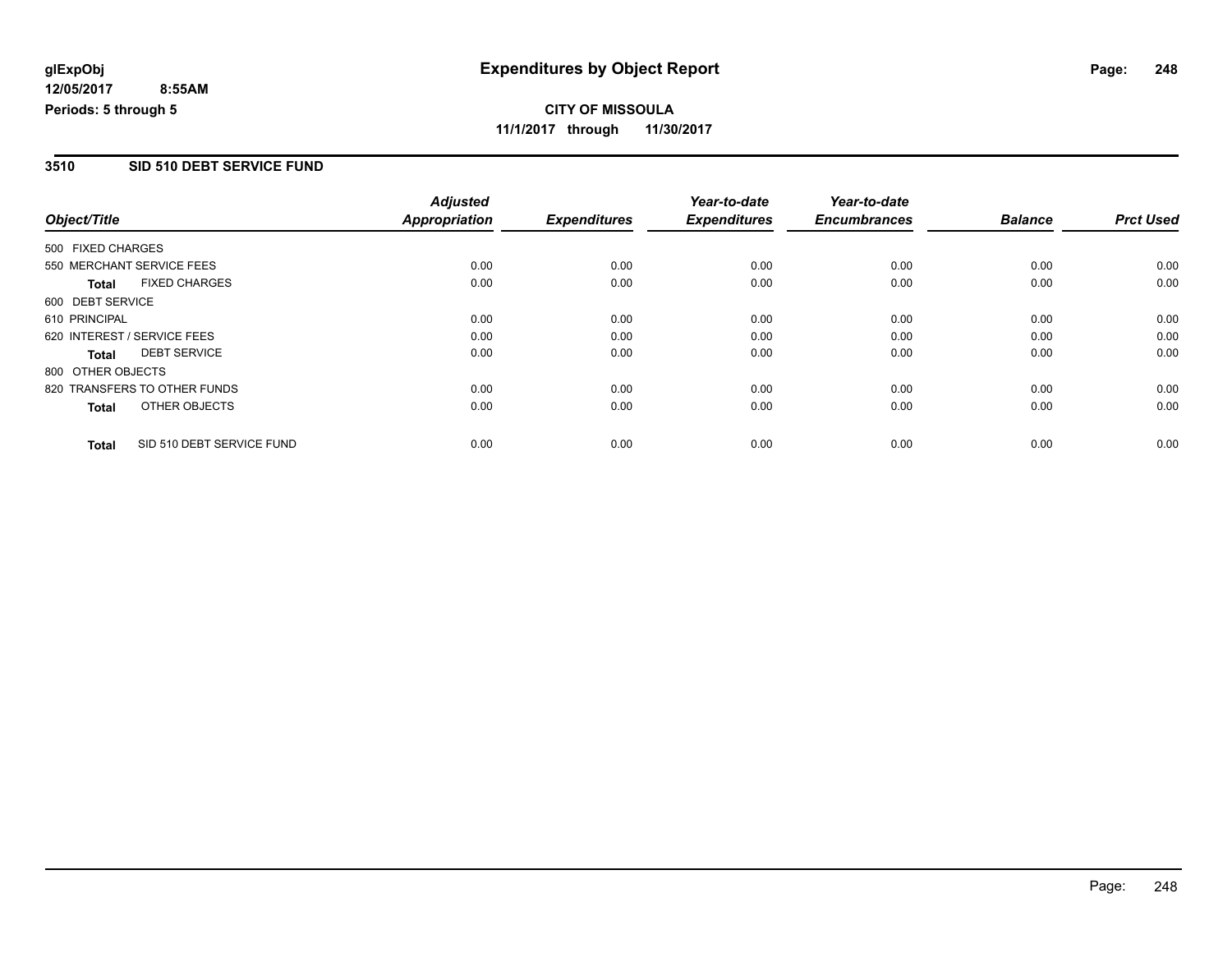### **3510 SID 510 DEBT SERVICE FUND**

|                   |                              | <b>Adjusted</b>      |                     | Year-to-date        | Year-to-date        |                |                  |
|-------------------|------------------------------|----------------------|---------------------|---------------------|---------------------|----------------|------------------|
| Object/Title      |                              | <b>Appropriation</b> | <b>Expenditures</b> | <b>Expenditures</b> | <b>Encumbrances</b> | <b>Balance</b> | <b>Prct Used</b> |
| 500 FIXED CHARGES |                              |                      |                     |                     |                     |                |                  |
|                   | 550 MERCHANT SERVICE FEES    | 0.00                 | 0.00                | 0.00                | 0.00                | 0.00           | 0.00             |
| <b>Total</b>      | <b>FIXED CHARGES</b>         | 0.00                 | 0.00                | 0.00                | 0.00                | 0.00           | 0.00             |
| 600 DEBT SERVICE  |                              |                      |                     |                     |                     |                |                  |
| 610 PRINCIPAL     |                              | 0.00                 | 0.00                | 0.00                | 0.00                | 0.00           | 0.00             |
|                   | 620 INTEREST / SERVICE FEES  | 0.00                 | 0.00                | 0.00                | 0.00                | 0.00           | 0.00             |
| Total             | <b>DEBT SERVICE</b>          | 0.00                 | 0.00                | 0.00                | 0.00                | 0.00           | 0.00             |
| 800 OTHER OBJECTS |                              |                      |                     |                     |                     |                |                  |
|                   | 820 TRANSFERS TO OTHER FUNDS | 0.00                 | 0.00                | 0.00                | 0.00                | 0.00           | 0.00             |
| <b>Total</b>      | OTHER OBJECTS                | 0.00                 | 0.00                | 0.00                | 0.00                | 0.00           | 0.00             |
| <b>Total</b>      | SID 510 DEBT SERVICE FUND    | 0.00                 | 0.00                | 0.00                | 0.00                | 0.00           | 0.00             |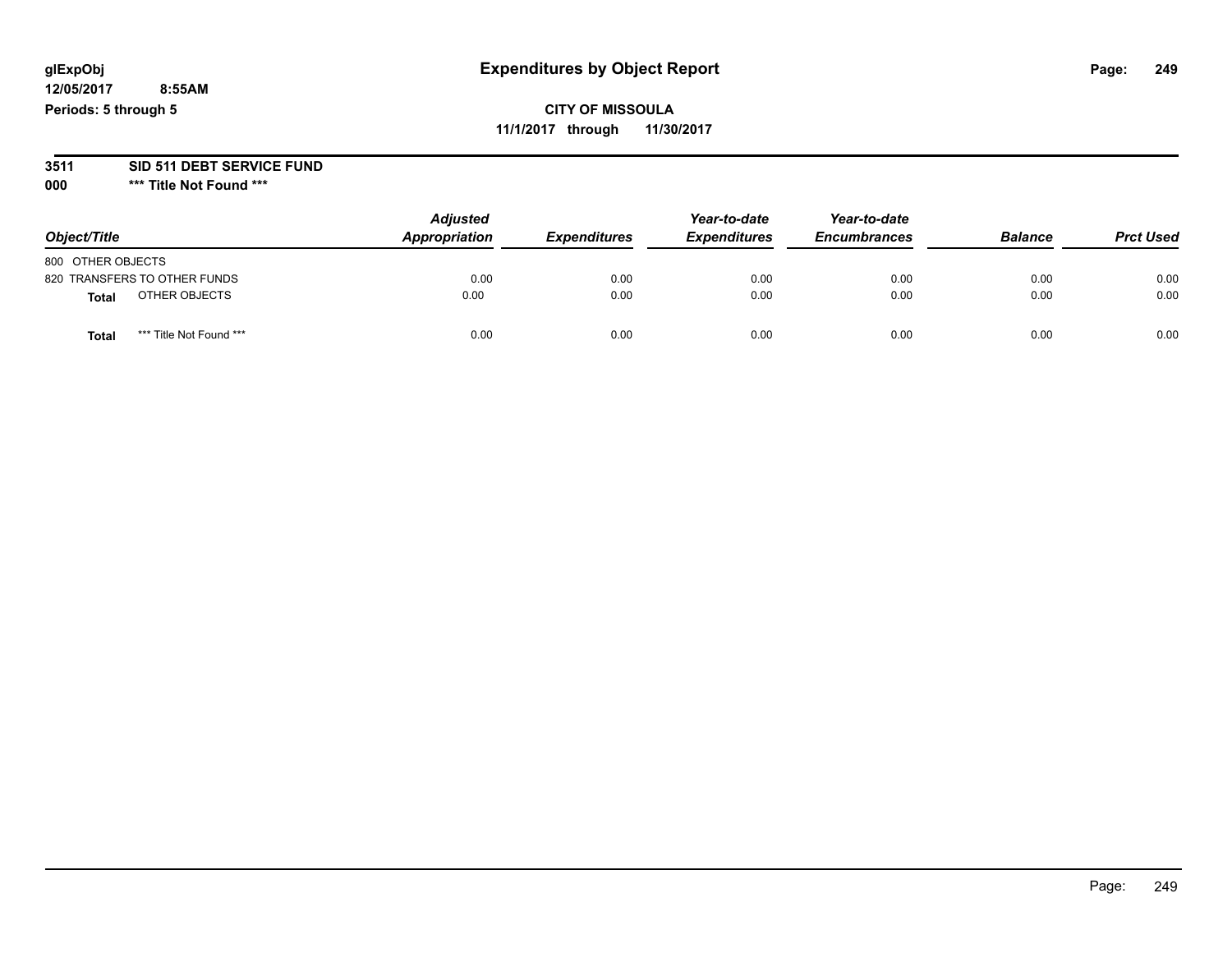### **3511 SID 511 DEBT SERVICE FUND**

| Object/Title                            | <b>Adjusted</b><br>Appropriation | <b>Expenditures</b> | Year-to-date<br><b>Expenditures</b> | Year-to-date<br><b>Encumbrances</b> | <b>Balance</b> | <b>Prct Used</b> |
|-----------------------------------------|----------------------------------|---------------------|-------------------------------------|-------------------------------------|----------------|------------------|
| 800 OTHER OBJECTS                       |                                  |                     |                                     |                                     |                |                  |
| 820 TRANSFERS TO OTHER FUNDS            | 0.00                             | 0.00                | 0.00                                | 0.00                                | 0.00           | 0.00             |
| OTHER OBJECTS<br>Total                  | 0.00                             | 0.00                | 0.00                                | 0.00                                | 0.00           | 0.00             |
| *** Title Not Found ***<br><b>Total</b> | 0.00                             | 0.00                | 0.00                                | 0.00                                | 0.00           | 0.00             |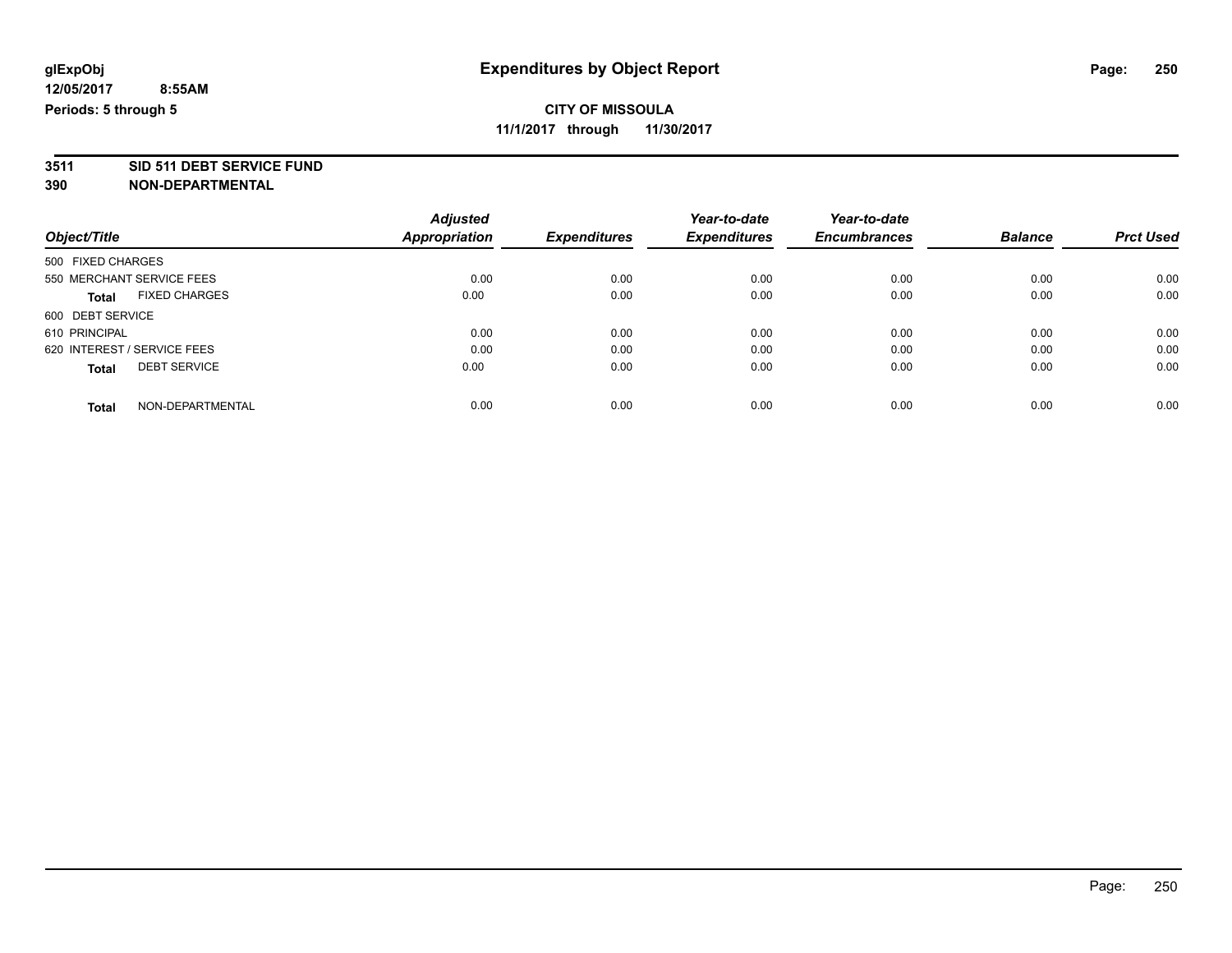# **CITY OF MISSOULA**

**11/1/2017 through 11/30/2017**

# **3511 SID 511 DEBT SERVICE FUND**

|                                      | <b>Adjusted</b>      |                     | Year-to-date        | Year-to-date        |                |                  |
|--------------------------------------|----------------------|---------------------|---------------------|---------------------|----------------|------------------|
| Object/Title                         | <b>Appropriation</b> | <b>Expenditures</b> | <b>Expenditures</b> | <b>Encumbrances</b> | <b>Balance</b> | <b>Prct Used</b> |
| 500 FIXED CHARGES                    |                      |                     |                     |                     |                |                  |
| 550 MERCHANT SERVICE FEES            | 0.00                 | 0.00                | 0.00                | 0.00                | 0.00           | 0.00             |
| <b>FIXED CHARGES</b><br><b>Total</b> | 0.00                 | 0.00                | 0.00                | 0.00                | 0.00           | 0.00             |
| 600 DEBT SERVICE                     |                      |                     |                     |                     |                |                  |
| 610 PRINCIPAL                        | 0.00                 | 0.00                | 0.00                | 0.00                | 0.00           | 0.00             |
| 620 INTEREST / SERVICE FEES          | 0.00                 | 0.00                | 0.00                | 0.00                | 0.00           | 0.00             |
| <b>DEBT SERVICE</b><br><b>Total</b>  | 0.00                 | 0.00                | 0.00                | 0.00                | 0.00           | 0.00             |
| NON-DEPARTMENTAL<br><b>Total</b>     | 0.00                 | 0.00                | 0.00                | 0.00                | 0.00           | 0.00             |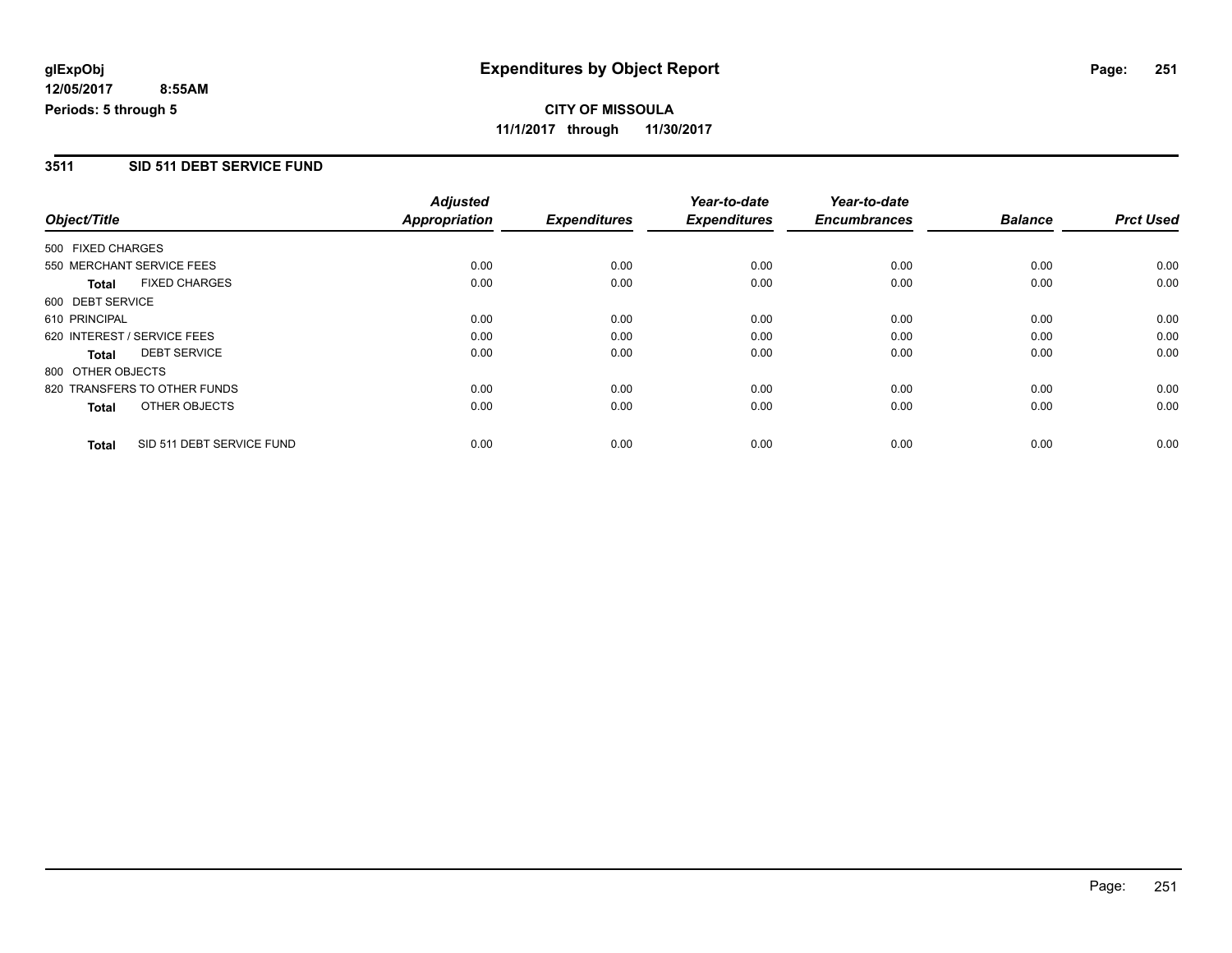**CITY OF MISSOULA 11/1/2017 through 11/30/2017**

### **3511 SID 511 DEBT SERVICE FUND**

|                   |                              | <b>Adjusted</b>      |                     | Year-to-date        | Year-to-date        |                |                  |
|-------------------|------------------------------|----------------------|---------------------|---------------------|---------------------|----------------|------------------|
| Object/Title      |                              | <b>Appropriation</b> | <b>Expenditures</b> | <b>Expenditures</b> | <b>Encumbrances</b> | <b>Balance</b> | <b>Prct Used</b> |
| 500 FIXED CHARGES |                              |                      |                     |                     |                     |                |                  |
|                   | 550 MERCHANT SERVICE FEES    | 0.00                 | 0.00                | 0.00                | 0.00                | 0.00           | 0.00             |
| <b>Total</b>      | <b>FIXED CHARGES</b>         | 0.00                 | 0.00                | 0.00                | 0.00                | 0.00           | 0.00             |
| 600 DEBT SERVICE  |                              |                      |                     |                     |                     |                |                  |
| 610 PRINCIPAL     |                              | 0.00                 | 0.00                | 0.00                | 0.00                | 0.00           | 0.00             |
|                   | 620 INTEREST / SERVICE FEES  | 0.00                 | 0.00                | 0.00                | 0.00                | 0.00           | 0.00             |
| <b>Total</b>      | <b>DEBT SERVICE</b>          | 0.00                 | 0.00                | 0.00                | 0.00                | 0.00           | 0.00             |
| 800 OTHER OBJECTS |                              |                      |                     |                     |                     |                |                  |
|                   | 820 TRANSFERS TO OTHER FUNDS | 0.00                 | 0.00                | 0.00                | 0.00                | 0.00           | 0.00             |
| <b>Total</b>      | OTHER OBJECTS                | 0.00                 | 0.00                | 0.00                | 0.00                | 0.00           | 0.00             |
| <b>Total</b>      | SID 511 DEBT SERVICE FUND    | 0.00                 | 0.00                | 0.00                | 0.00                | 0.00           | 0.00             |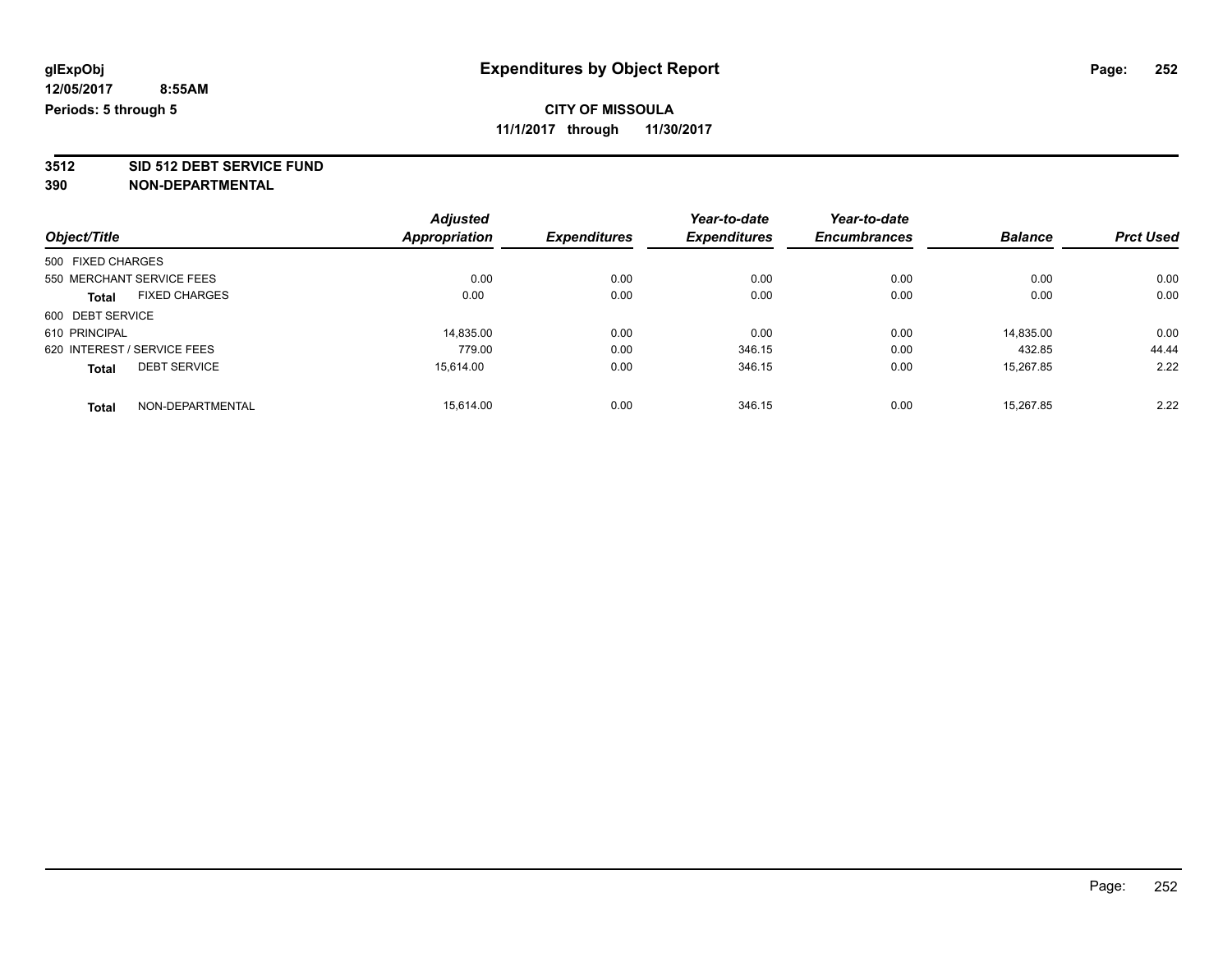**3512 SID 512 DEBT SERVICE FUND**

|                                      | <b>Adjusted</b> |                     | Year-to-date        | Year-to-date        |                |                  |
|--------------------------------------|-----------------|---------------------|---------------------|---------------------|----------------|------------------|
| Object/Title                         | Appropriation   | <b>Expenditures</b> | <b>Expenditures</b> | <b>Encumbrances</b> | <b>Balance</b> | <b>Prct Used</b> |
| 500 FIXED CHARGES                    |                 |                     |                     |                     |                |                  |
| 550 MERCHANT SERVICE FEES            | 0.00            | 0.00                | 0.00                | 0.00                | 0.00           | 0.00             |
| <b>FIXED CHARGES</b><br><b>Total</b> | 0.00            | 0.00                | 0.00                | 0.00                | 0.00           | 0.00             |
| 600 DEBT SERVICE                     |                 |                     |                     |                     |                |                  |
| 610 PRINCIPAL                        | 14,835.00       | 0.00                | 0.00                | 0.00                | 14,835.00      | 0.00             |
| 620 INTEREST / SERVICE FEES          | 779.00          | 0.00                | 346.15              | 0.00                | 432.85         | 44.44            |
| <b>DEBT SERVICE</b><br><b>Total</b>  | 15.614.00       | 0.00                | 346.15              | 0.00                | 15.267.85      | 2.22             |
| NON-DEPARTMENTAL<br><b>Total</b>     | 15.614.00       | 0.00                | 346.15              | 0.00                | 15.267.85      | 2.22             |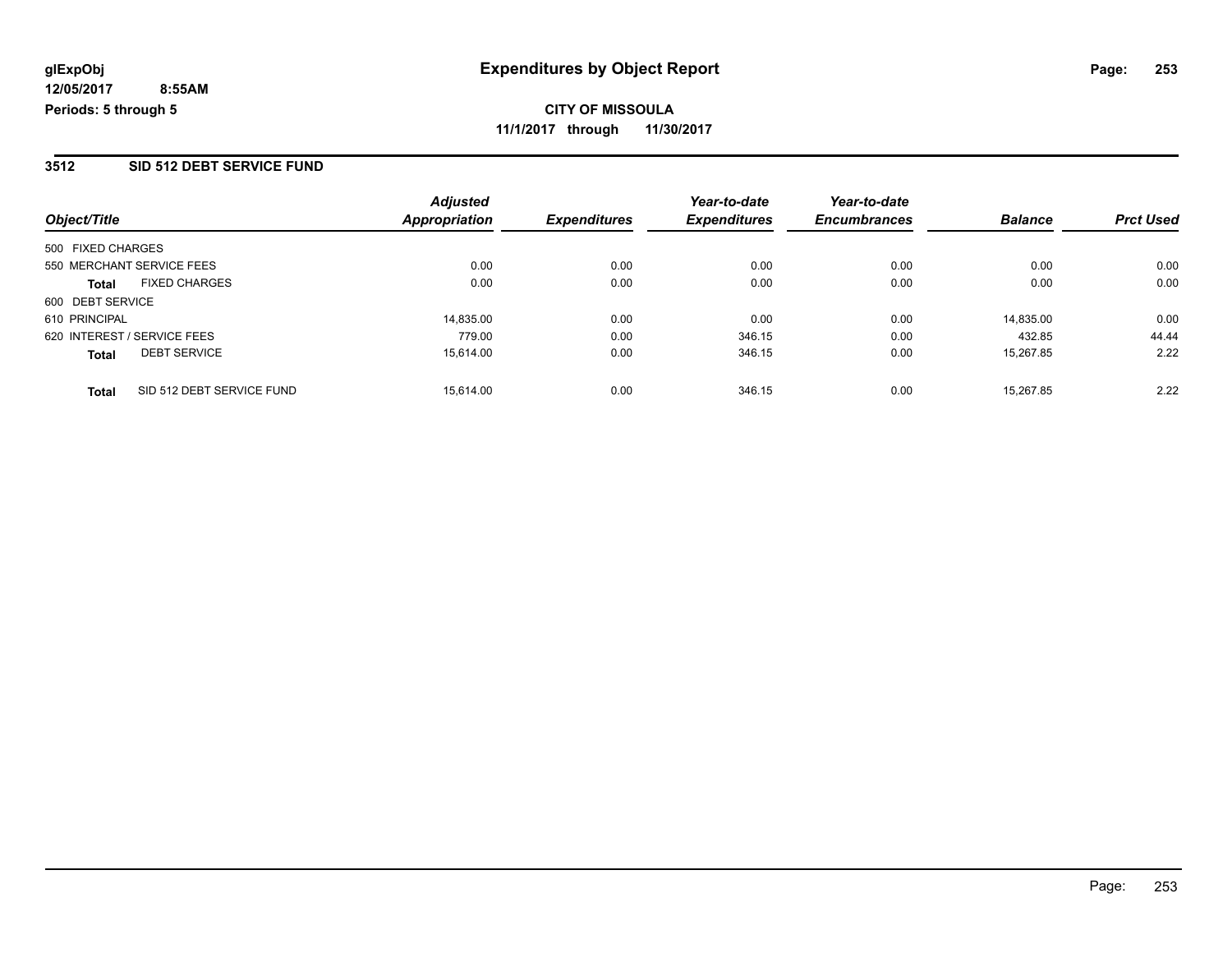### **3512 SID 512 DEBT SERVICE FUND**

|                                           | <b>Adjusted</b>      |                     | Year-to-date        | Year-to-date        |                |                  |
|-------------------------------------------|----------------------|---------------------|---------------------|---------------------|----------------|------------------|
| Object/Title                              | <b>Appropriation</b> | <b>Expenditures</b> | <b>Expenditures</b> | <b>Encumbrances</b> | <b>Balance</b> | <b>Prct Used</b> |
| 500 FIXED CHARGES                         |                      |                     |                     |                     |                |                  |
| 550 MERCHANT SERVICE FEES                 | 0.00                 | 0.00                | 0.00                | 0.00                | 0.00           | 0.00             |
| <b>FIXED CHARGES</b><br>Total             | 0.00                 | 0.00                | 0.00                | 0.00                | 0.00           | 0.00             |
| 600 DEBT SERVICE                          |                      |                     |                     |                     |                |                  |
| 610 PRINCIPAL                             | 14.835.00            | 0.00                | 0.00                | 0.00                | 14.835.00      | 0.00             |
| 620 INTEREST / SERVICE FEES               | 779.00               | 0.00                | 346.15              | 0.00                | 432.85         | 44.44            |
| <b>DEBT SERVICE</b><br><b>Total</b>       | 15,614.00            | 0.00                | 346.15              | 0.00                | 15,267.85      | 2.22             |
| SID 512 DEBT SERVICE FUND<br><b>Total</b> | 15.614.00            | 0.00                | 346.15              | 0.00                | 15.267.85      | 2.22             |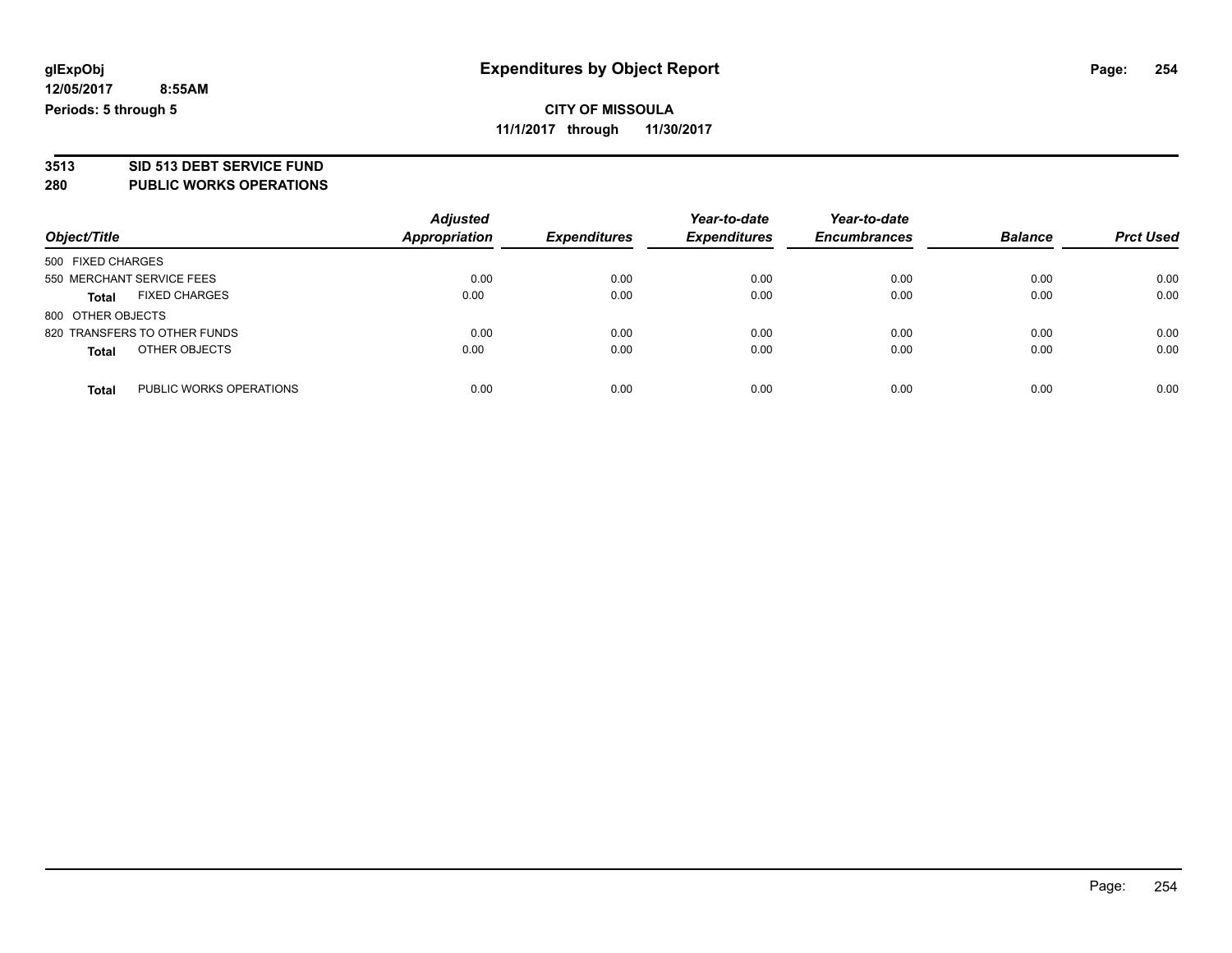# **3513 SID 513 DEBT SERVICE FUND**

### **280 PUBLIC WORKS OPERATIONS**

| Object/Title                            | <b>Adjusted</b><br>Appropriation | <b>Expenditures</b> | Year-to-date<br><b>Expenditures</b> | Year-to-date<br><b>Encumbrances</b> | <b>Balance</b> | <b>Prct Used</b> |
|-----------------------------------------|----------------------------------|---------------------|-------------------------------------|-------------------------------------|----------------|------------------|
| 500 FIXED CHARGES                       |                                  |                     |                                     |                                     |                |                  |
| 550 MERCHANT SERVICE FEES               | 0.00                             | 0.00                | 0.00                                | 0.00                                | 0.00           | 0.00             |
| <b>FIXED CHARGES</b><br><b>Total</b>    | 0.00                             | 0.00                | 0.00                                | 0.00                                | 0.00           | 0.00             |
| 800 OTHER OBJECTS                       |                                  |                     |                                     |                                     |                |                  |
| 820 TRANSFERS TO OTHER FUNDS            | 0.00                             | 0.00                | 0.00                                | 0.00                                | 0.00           | 0.00             |
| OTHER OBJECTS<br><b>Total</b>           | 0.00                             | 0.00                | 0.00                                | 0.00                                | 0.00           | 0.00             |
| PUBLIC WORKS OPERATIONS<br><b>Total</b> | 0.00                             | 0.00                | 0.00                                | 0.00                                | 0.00           | 0.00             |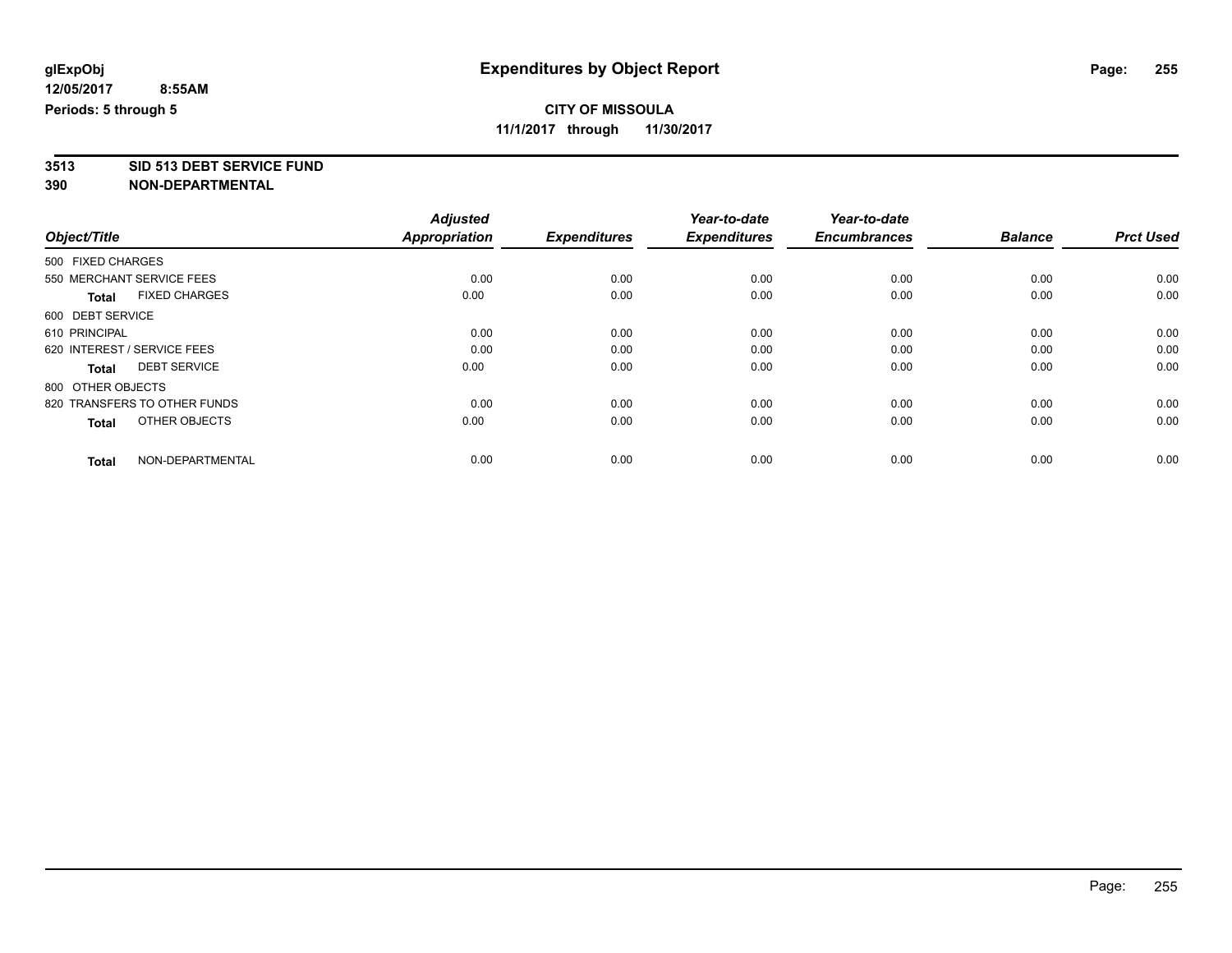## **CITY OF MISSOULA**

**11/1/2017 through 11/30/2017**

**3513 SID 513 DEBT SERVICE FUND**

|                                      | <b>Adjusted</b><br><b>Appropriation</b> | <b>Expenditures</b> | Year-to-date<br><b>Expenditures</b> | Year-to-date<br><b>Encumbrances</b> | <b>Balance</b> | <b>Prct Used</b> |
|--------------------------------------|-----------------------------------------|---------------------|-------------------------------------|-------------------------------------|----------------|------------------|
| Object/Title                         |                                         |                     |                                     |                                     |                |                  |
| 500 FIXED CHARGES                    |                                         |                     |                                     |                                     |                |                  |
| 550 MERCHANT SERVICE FEES            | 0.00                                    | 0.00                | 0.00                                | 0.00                                | 0.00           | 0.00             |
| <b>FIXED CHARGES</b><br><b>Total</b> | 0.00                                    | 0.00                | 0.00                                | 0.00                                | 0.00           | 0.00             |
| 600 DEBT SERVICE                     |                                         |                     |                                     |                                     |                |                  |
| 610 PRINCIPAL                        | 0.00                                    | 0.00                | 0.00                                | 0.00                                | 0.00           | 0.00             |
| 620 INTEREST / SERVICE FEES          | 0.00                                    | 0.00                | 0.00                                | 0.00                                | 0.00           | 0.00             |
| <b>DEBT SERVICE</b><br><b>Total</b>  | 0.00                                    | 0.00                | 0.00                                | 0.00                                | 0.00           | 0.00             |
| 800 OTHER OBJECTS                    |                                         |                     |                                     |                                     |                |                  |
| 820 TRANSFERS TO OTHER FUNDS         | 0.00                                    | 0.00                | 0.00                                | 0.00                                | 0.00           | 0.00             |
| OTHER OBJECTS<br><b>Total</b>        | 0.00                                    | 0.00                | 0.00                                | 0.00                                | 0.00           | 0.00             |
|                                      |                                         |                     |                                     |                                     |                |                  |
| NON-DEPARTMENTAL<br><b>Total</b>     | 0.00                                    | 0.00                | 0.00                                | 0.00                                | 0.00           | 0.00             |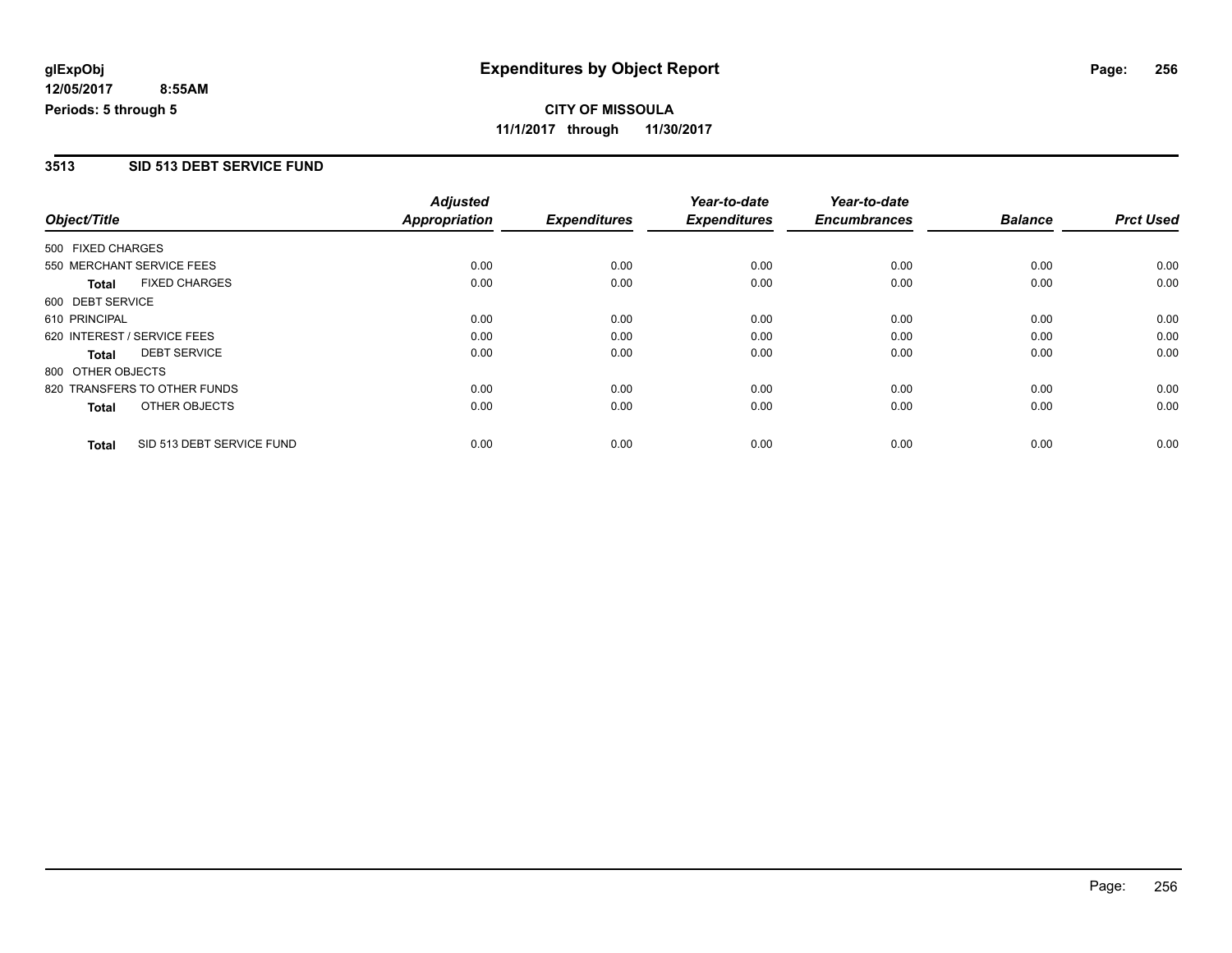**CITY OF MISSOULA 11/1/2017 through 11/30/2017**

### **3513 SID 513 DEBT SERVICE FUND**

| Object/Title      |                              | <b>Adjusted</b><br>Appropriation |                     | Year-to-date<br><b>Expenditures</b> | Year-to-date<br><b>Encumbrances</b> | <b>Balance</b> | <b>Prct Used</b> |
|-------------------|------------------------------|----------------------------------|---------------------|-------------------------------------|-------------------------------------|----------------|------------------|
|                   |                              |                                  | <b>Expenditures</b> |                                     |                                     |                |                  |
| 500 FIXED CHARGES |                              |                                  |                     |                                     |                                     |                |                  |
|                   | 550 MERCHANT SERVICE FEES    | 0.00                             | 0.00                | 0.00                                | 0.00                                | 0.00           | 0.00             |
| <b>Total</b>      | <b>FIXED CHARGES</b>         | 0.00                             | 0.00                | 0.00                                | 0.00                                | 0.00           | 0.00             |
| 600 DEBT SERVICE  |                              |                                  |                     |                                     |                                     |                |                  |
| 610 PRINCIPAL     |                              | 0.00                             | 0.00                | 0.00                                | 0.00                                | 0.00           | 0.00             |
|                   | 620 INTEREST / SERVICE FEES  | 0.00                             | 0.00                | 0.00                                | 0.00                                | 0.00           | 0.00             |
| <b>Total</b>      | <b>DEBT SERVICE</b>          | 0.00                             | 0.00                | 0.00                                | 0.00                                | 0.00           | 0.00             |
| 800 OTHER OBJECTS |                              |                                  |                     |                                     |                                     |                |                  |
|                   | 820 TRANSFERS TO OTHER FUNDS | 0.00                             | 0.00                | 0.00                                | 0.00                                | 0.00           | 0.00             |
| Total             | OTHER OBJECTS                | 0.00                             | 0.00                | 0.00                                | 0.00                                | 0.00           | 0.00             |
| <b>Total</b>      | SID 513 DEBT SERVICE FUND    | 0.00                             | 0.00                | 0.00                                | 0.00                                | 0.00           | 0.00             |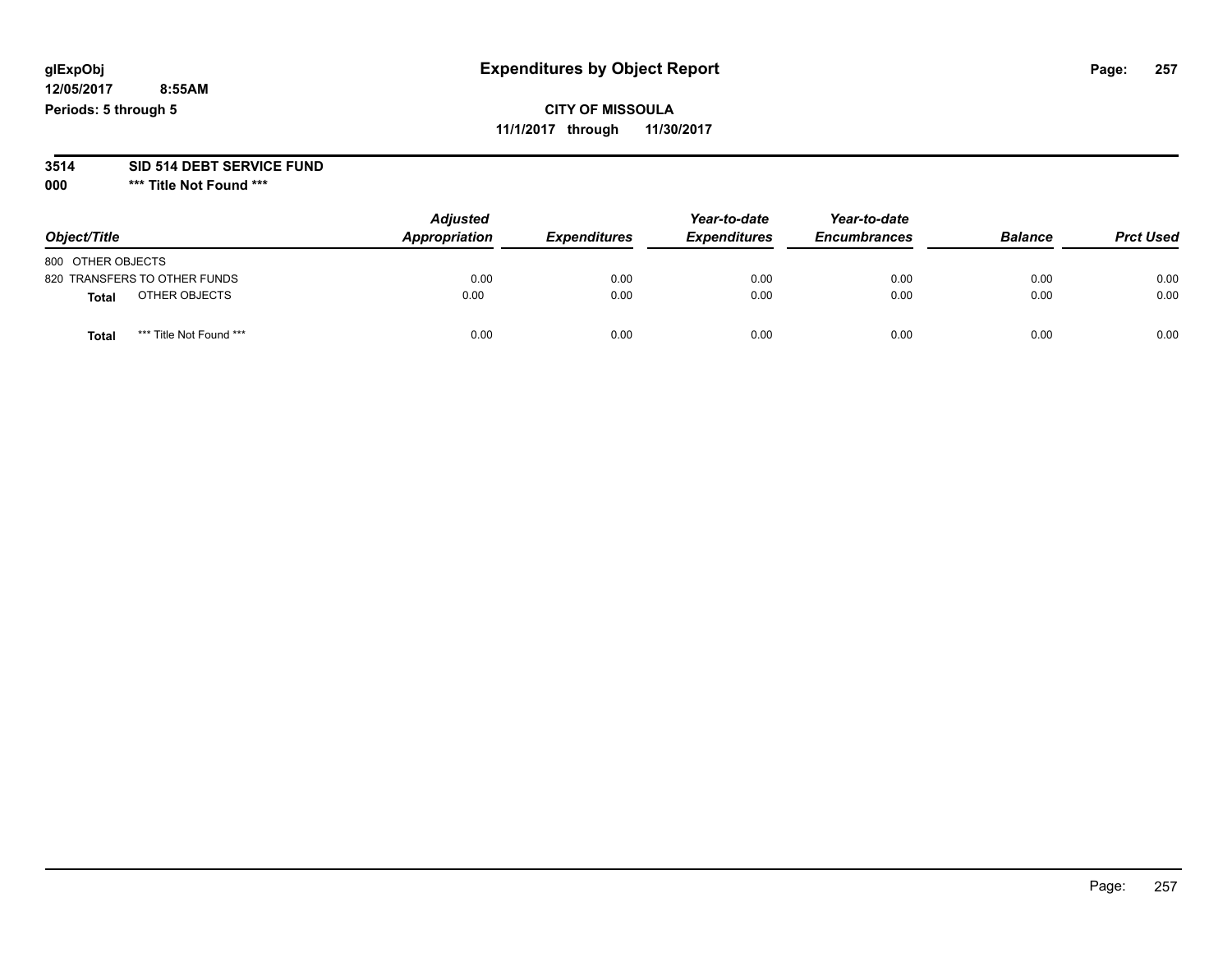## **glExpObj Expenditures by Object Report Page: 257**

**12/05/2017 8:55AM Periods: 5 through 5**

## **CITY OF MISSOULA 11/1/2017 through 11/30/2017**

#### **3514 SID 514 DEBT SERVICE FUND**

**000 \*\*\* Title Not Found \*\*\***

| Object/Title                    | <b>Adjusted</b><br>Appropriation | <b>Expenditures</b> | Year-to-date<br><b>Expenditures</b> | Year-to-date<br><b>Encumbrances</b> | <b>Balance</b> | <b>Prct Used</b> |
|---------------------------------|----------------------------------|---------------------|-------------------------------------|-------------------------------------|----------------|------------------|
| 800 OTHER OBJECTS               |                                  |                     |                                     |                                     |                |                  |
| 820 TRANSFERS TO OTHER FUNDS    | 0.00                             | 0.00                | 0.00                                | 0.00                                | 0.00           | 0.00             |
| OTHER OBJECTS<br>Total          | 0.00                             | 0.00                | 0.00                                | 0.00                                | 0.00           | 0.00             |
| *** Title Not Found ***<br>Tota | 0.00                             | 0.00                | 0.00                                | 0.00                                | 0.00           | 0.00             |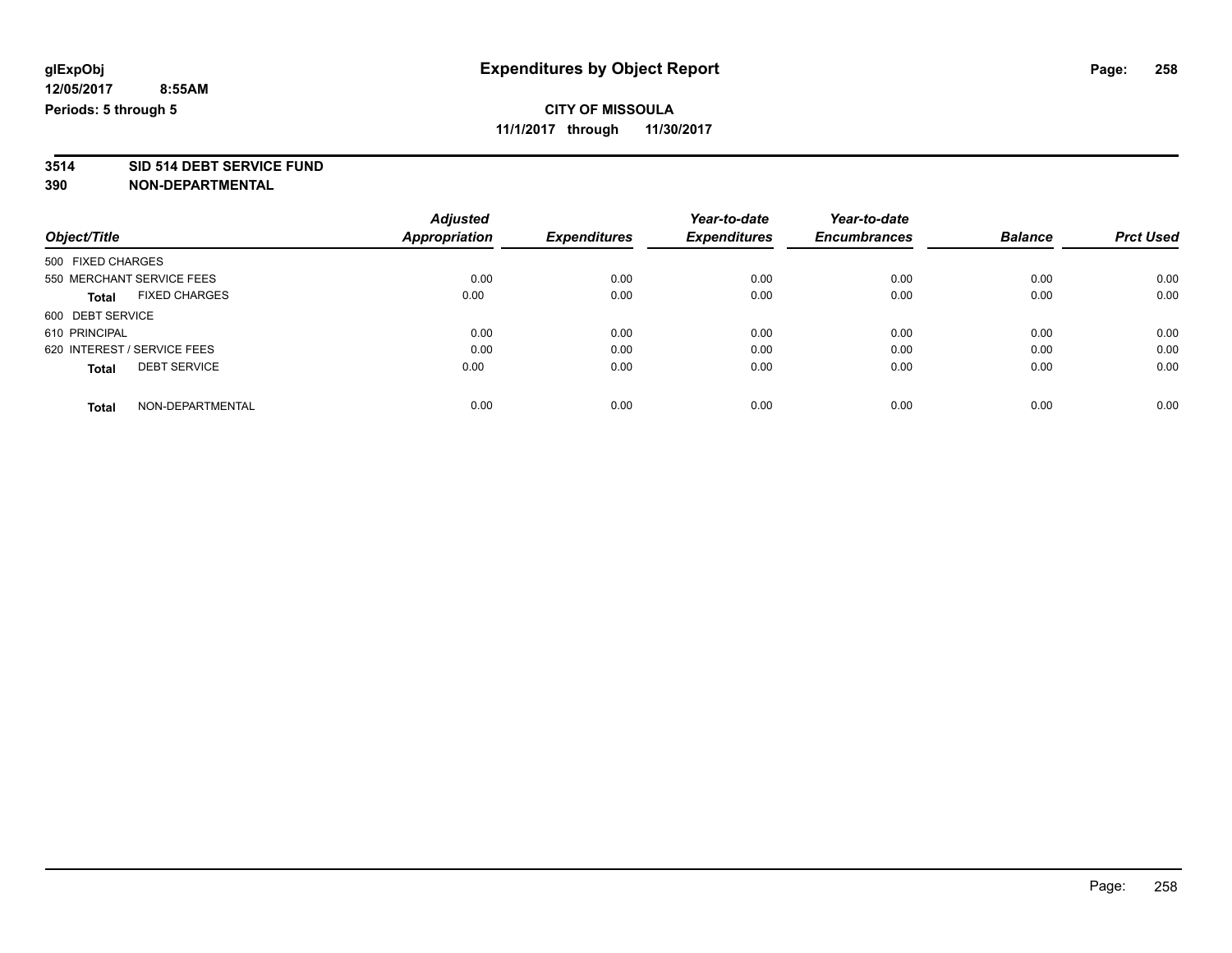# **3514 SID 514 DEBT SERVICE FUND**

|                                      | <b>Adjusted</b> |                     | Year-to-date        | Year-to-date        |                |                  |
|--------------------------------------|-----------------|---------------------|---------------------|---------------------|----------------|------------------|
| Object/Title                         | Appropriation   | <b>Expenditures</b> | <b>Expenditures</b> | <b>Encumbrances</b> | <b>Balance</b> | <b>Prct Used</b> |
| 500 FIXED CHARGES                    |                 |                     |                     |                     |                |                  |
| 550 MERCHANT SERVICE FEES            | 0.00            | 0.00                | 0.00                | 0.00                | 0.00           | 0.00             |
| <b>FIXED CHARGES</b><br><b>Total</b> | 0.00            | 0.00                | 0.00                | 0.00                | 0.00           | 0.00             |
| 600 DEBT SERVICE                     |                 |                     |                     |                     |                |                  |
| 610 PRINCIPAL                        | 0.00            | 0.00                | 0.00                | 0.00                | 0.00           | 0.00             |
| 620 INTEREST / SERVICE FEES          | 0.00            | 0.00                | 0.00                | 0.00                | 0.00           | 0.00             |
| <b>DEBT SERVICE</b><br><b>Total</b>  | 0.00            | 0.00                | 0.00                | 0.00                | 0.00           | 0.00             |
| NON-DEPARTMENTAL<br><b>Total</b>     | 0.00            | 0.00                | 0.00                | 0.00                | 0.00           | 0.00             |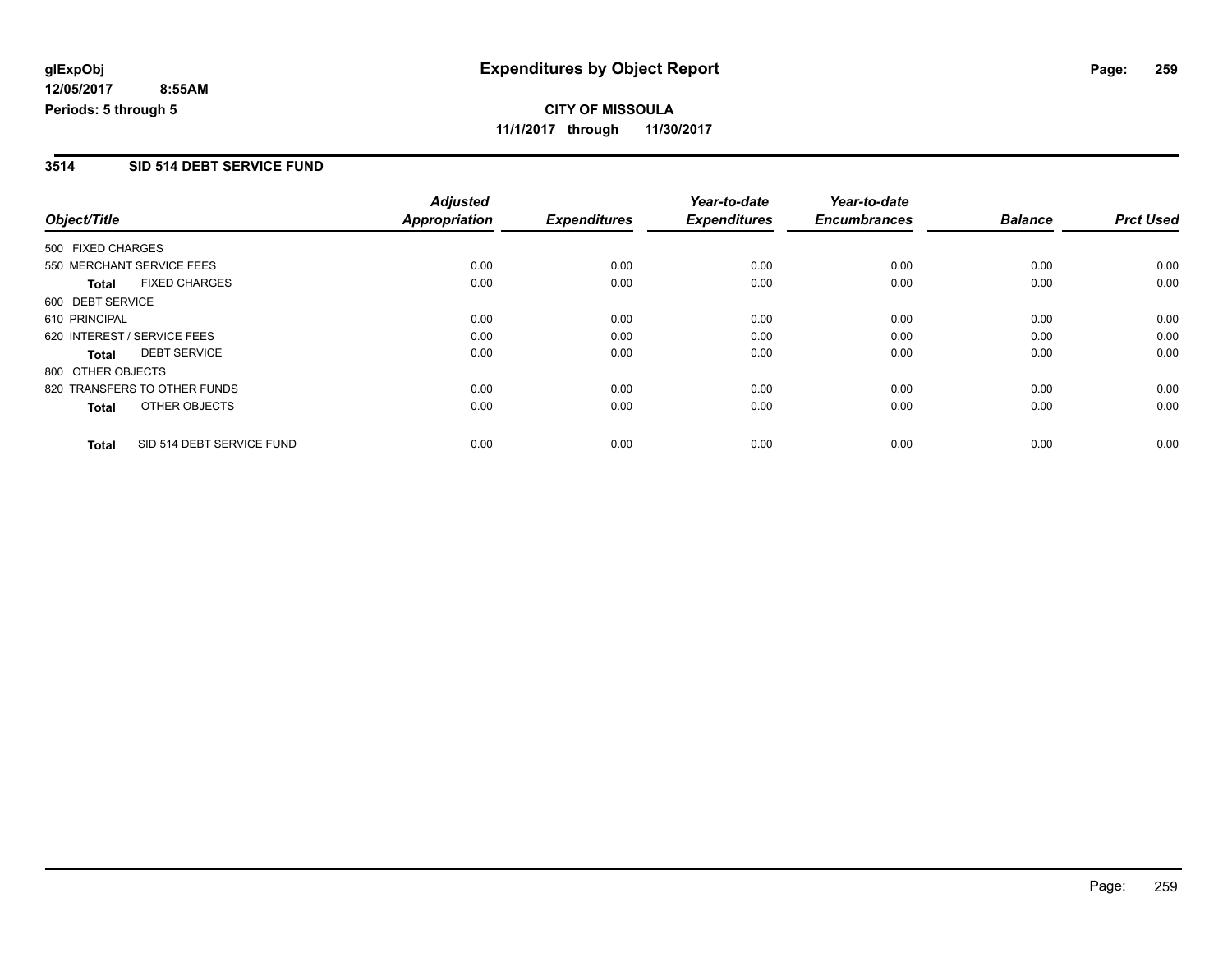**CITY OF MISSOULA 11/1/2017 through 11/30/2017**

### **3514 SID 514 DEBT SERVICE FUND**

| Object/Title      |                              | <b>Adjusted</b>      |                     | Year-to-date        | Year-to-date        |                |                  |
|-------------------|------------------------------|----------------------|---------------------|---------------------|---------------------|----------------|------------------|
|                   |                              | <b>Appropriation</b> | <b>Expenditures</b> | <b>Expenditures</b> | <b>Encumbrances</b> | <b>Balance</b> | <b>Prct Used</b> |
| 500 FIXED CHARGES |                              |                      |                     |                     |                     |                |                  |
|                   | 550 MERCHANT SERVICE FEES    | 0.00                 | 0.00                | 0.00                | 0.00                | 0.00           | 0.00             |
| <b>Total</b>      | <b>FIXED CHARGES</b>         | 0.00                 | 0.00                | 0.00                | 0.00                | 0.00           | 0.00             |
| 600 DEBT SERVICE  |                              |                      |                     |                     |                     |                |                  |
| 610 PRINCIPAL     |                              | 0.00                 | 0.00                | 0.00                | 0.00                | 0.00           | 0.00             |
|                   | 620 INTEREST / SERVICE FEES  | 0.00                 | 0.00                | 0.00                | 0.00                | 0.00           | 0.00             |
| Total             | <b>DEBT SERVICE</b>          | 0.00                 | 0.00                | 0.00                | 0.00                | 0.00           | 0.00             |
| 800 OTHER OBJECTS |                              |                      |                     |                     |                     |                |                  |
|                   | 820 TRANSFERS TO OTHER FUNDS | 0.00                 | 0.00                | 0.00                | 0.00                | 0.00           | 0.00             |
| <b>Total</b>      | OTHER OBJECTS                | 0.00                 | 0.00                | 0.00                | 0.00                | 0.00           | 0.00             |
| <b>Total</b>      | SID 514 DEBT SERVICE FUND    | 0.00                 | 0.00                | 0.00                | 0.00                | 0.00           | 0.00             |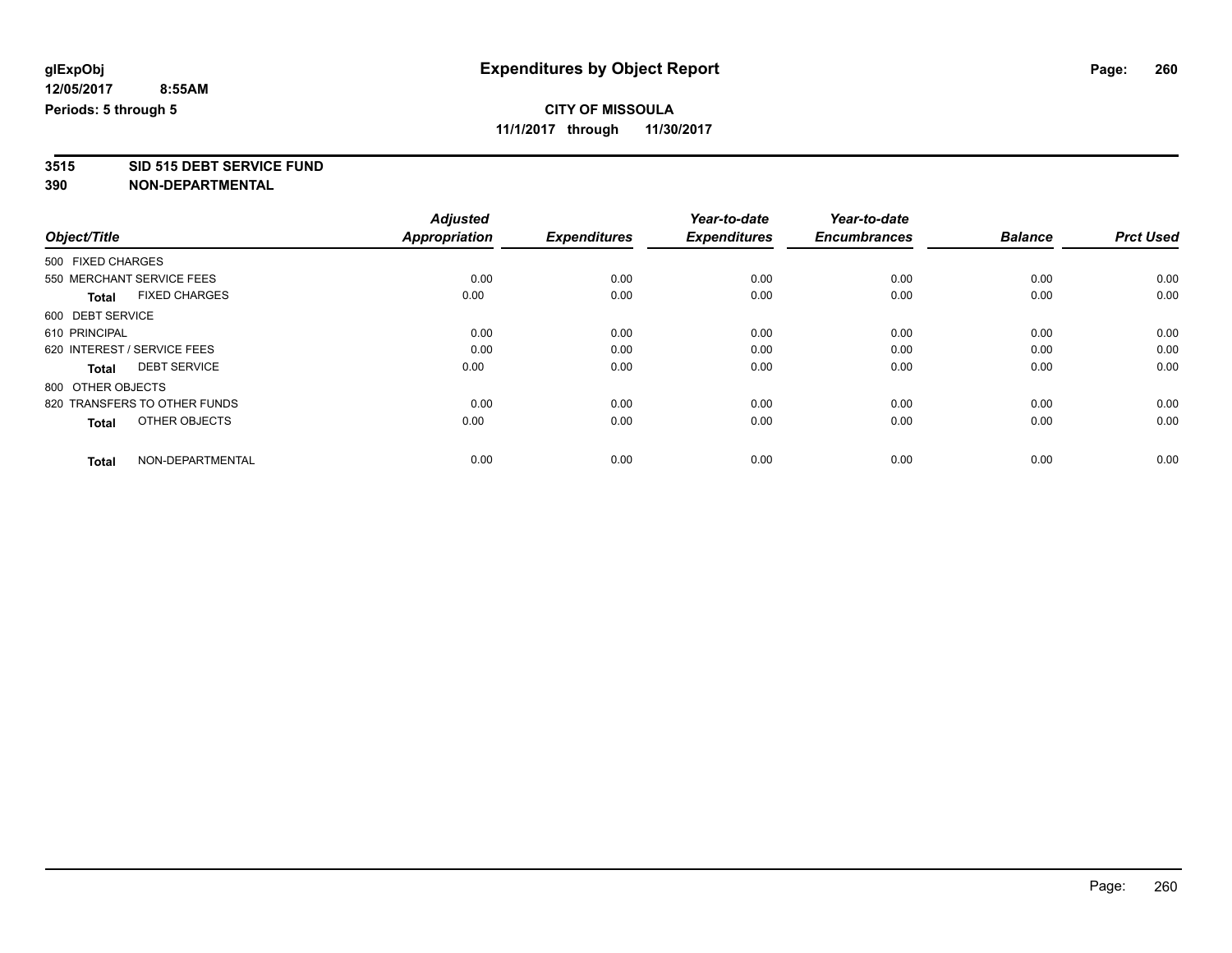## **CITY OF MISSOULA**

**11/1/2017 through 11/30/2017**

# **3515 SID 515 DEBT SERVICE FUND**

|                                      | <b>Adjusted</b><br>Appropriation | <b>Expenditures</b> | Year-to-date<br><b>Expenditures</b> | Year-to-date<br><b>Encumbrances</b> | <b>Balance</b> | <b>Prct Used</b> |
|--------------------------------------|----------------------------------|---------------------|-------------------------------------|-------------------------------------|----------------|------------------|
| Object/Title                         |                                  |                     |                                     |                                     |                |                  |
| 500 FIXED CHARGES                    |                                  |                     |                                     |                                     |                |                  |
| 550 MERCHANT SERVICE FEES            | 0.00                             | 0.00                | 0.00                                | 0.00                                | 0.00           | 0.00             |
| <b>FIXED CHARGES</b><br><b>Total</b> | 0.00                             | 0.00                | 0.00                                | 0.00                                | 0.00           | 0.00             |
| 600 DEBT SERVICE                     |                                  |                     |                                     |                                     |                |                  |
| 610 PRINCIPAL                        | 0.00                             | 0.00                | 0.00                                | 0.00                                | 0.00           | 0.00             |
| 620 INTEREST / SERVICE FEES          | 0.00                             | 0.00                | 0.00                                | 0.00                                | 0.00           | 0.00             |
| <b>DEBT SERVICE</b><br><b>Total</b>  | 0.00                             | 0.00                | 0.00                                | 0.00                                | 0.00           | 0.00             |
| 800 OTHER OBJECTS                    |                                  |                     |                                     |                                     |                |                  |
| 820 TRANSFERS TO OTHER FUNDS         | 0.00                             | 0.00                | 0.00                                | 0.00                                | 0.00           | 0.00             |
| OTHER OBJECTS<br>Total               | 0.00                             | 0.00                | 0.00                                | 0.00                                | 0.00           | 0.00             |
|                                      |                                  |                     |                                     |                                     |                |                  |
| NON-DEPARTMENTAL<br><b>Total</b>     | 0.00                             | 0.00                | 0.00                                | 0.00                                | 0.00           | 0.00             |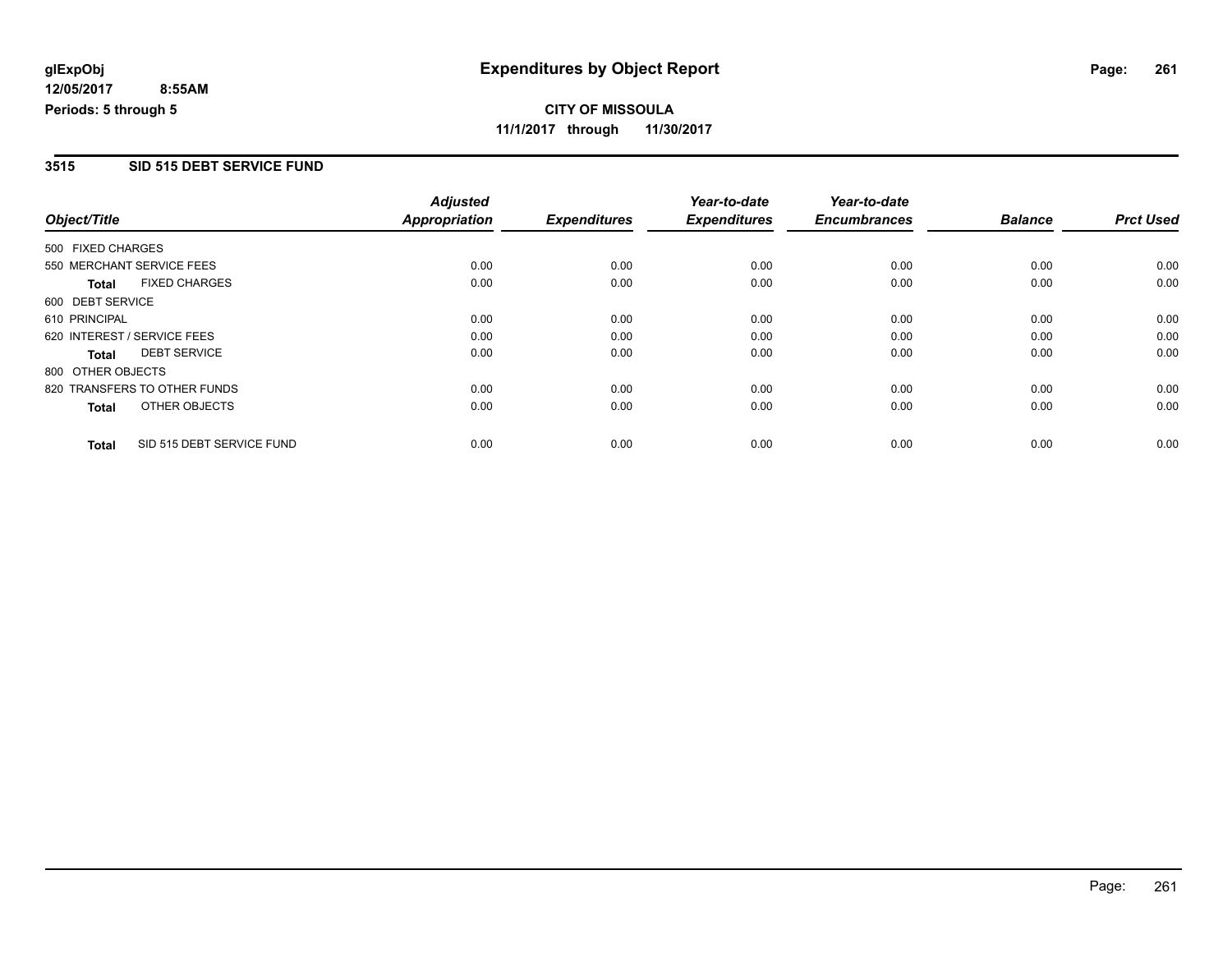### **3515 SID 515 DEBT SERVICE FUND**

|                                      |                           | <b>Adjusted</b>      |                     | Year-to-date        | Year-to-date        |                |                  |
|--------------------------------------|---------------------------|----------------------|---------------------|---------------------|---------------------|----------------|------------------|
| Object/Title                         |                           | <b>Appropriation</b> | <b>Expenditures</b> | <b>Expenditures</b> | <b>Encumbrances</b> | <b>Balance</b> | <b>Prct Used</b> |
| 500 FIXED CHARGES                    |                           |                      |                     |                     |                     |                |                  |
| 550 MERCHANT SERVICE FEES            |                           | 0.00                 | 0.00                | 0.00                | 0.00                | 0.00           | 0.00             |
| <b>FIXED CHARGES</b><br><b>Total</b> |                           | 0.00                 | 0.00                | 0.00                | 0.00                | 0.00           | 0.00             |
| 600 DEBT SERVICE                     |                           |                      |                     |                     |                     |                |                  |
| 610 PRINCIPAL                        |                           | 0.00                 | 0.00                | 0.00                | 0.00                | 0.00           | 0.00             |
| 620 INTEREST / SERVICE FEES          |                           | 0.00                 | 0.00                | 0.00                | 0.00                | 0.00           | 0.00             |
| <b>DEBT SERVICE</b><br><b>Total</b>  |                           | 0.00                 | 0.00                | 0.00                | 0.00                | 0.00           | 0.00             |
| 800 OTHER OBJECTS                    |                           |                      |                     |                     |                     |                |                  |
| 820 TRANSFERS TO OTHER FUNDS         |                           | 0.00                 | 0.00                | 0.00                | 0.00                | 0.00           | 0.00             |
| OTHER OBJECTS<br><b>Total</b>        |                           | 0.00                 | 0.00                | 0.00                | 0.00                | 0.00           | 0.00             |
| <b>Total</b>                         | SID 515 DEBT SERVICE FUND | 0.00                 | 0.00                | 0.00                | 0.00                | 0.00           | 0.00             |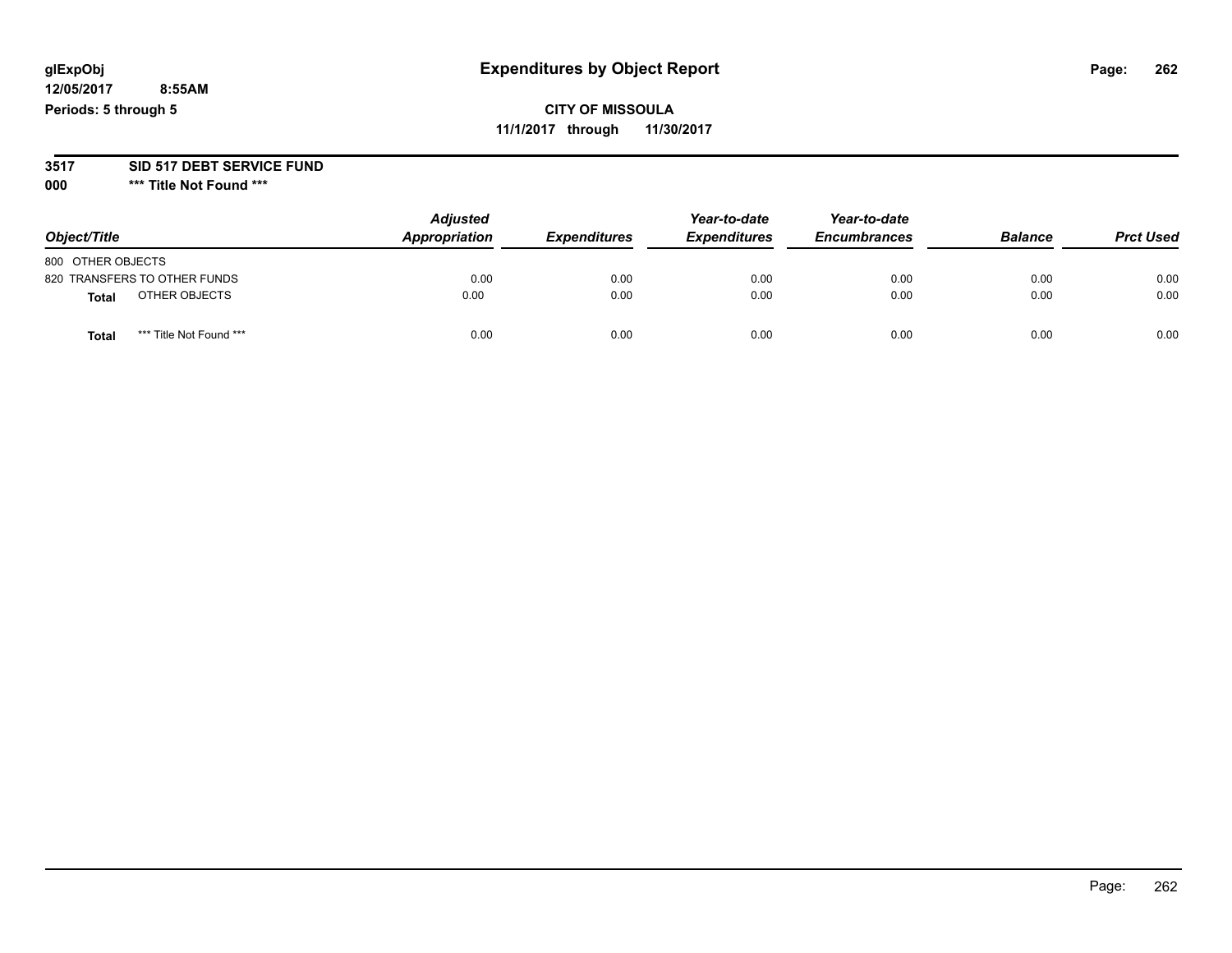#### **3517 SID 517 DEBT SERVICE FUND**

**000 \*\*\* Title Not Found \*\*\***

| Object/Title                            | <b>Adjusted</b><br>Appropriation | <b>Expenditures</b> | Year-to-date<br><b>Expenditures</b> | Year-to-date<br><b>Encumbrances</b> | <b>Balance</b> | <b>Prct Used</b> |
|-----------------------------------------|----------------------------------|---------------------|-------------------------------------|-------------------------------------|----------------|------------------|
| 800 OTHER OBJECTS                       |                                  |                     |                                     |                                     |                |                  |
| 820 TRANSFERS TO OTHER FUNDS            | 0.00                             | 0.00                | 0.00                                | 0.00                                | 0.00           | 0.00             |
| OTHER OBJECTS<br><b>Total</b>           | 0.00                             | 0.00                | 0.00                                | 0.00                                | 0.00           | 0.00             |
| *** Title Not Found ***<br><b>Total</b> | 0.00                             | 0.00                | 0.00                                | 0.00                                | 0.00           | 0.00             |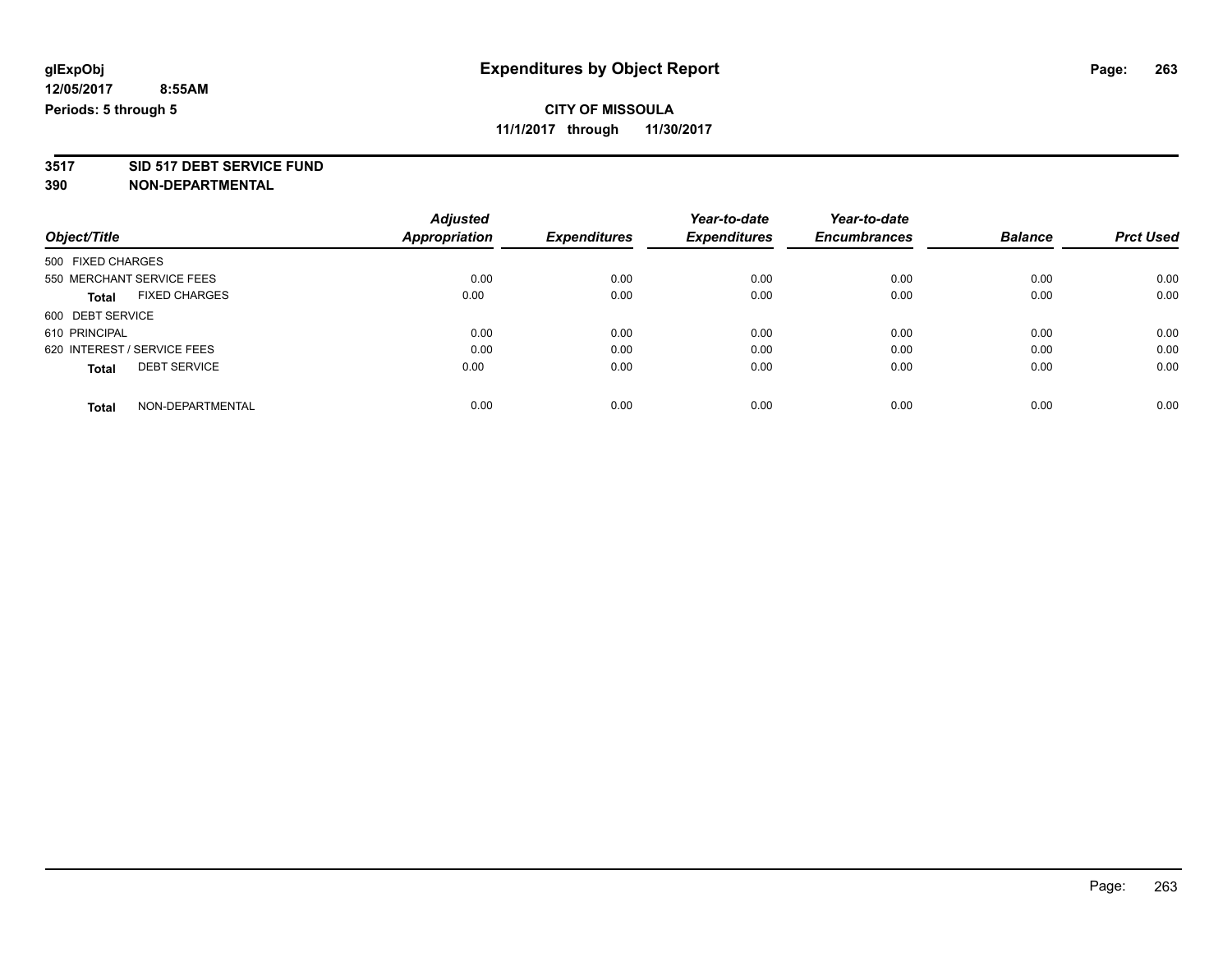## **CITY OF MISSOULA**

**11/1/2017 through 11/30/2017**

# **3517 SID 517 DEBT SERVICE FUND**

|                                      | <b>Adjusted</b> |                     | Year-to-date        | Year-to-date        |                |                  |
|--------------------------------------|-----------------|---------------------|---------------------|---------------------|----------------|------------------|
| Object/Title                         | Appropriation   | <b>Expenditures</b> | <b>Expenditures</b> | <b>Encumbrances</b> | <b>Balance</b> | <b>Prct Used</b> |
| 500 FIXED CHARGES                    |                 |                     |                     |                     |                |                  |
| 550 MERCHANT SERVICE FEES            | 0.00            | 0.00                | 0.00                | 0.00                | 0.00           | 0.00             |
| <b>FIXED CHARGES</b><br><b>Total</b> | 0.00            | 0.00                | 0.00                | 0.00                | 0.00           | 0.00             |
| 600 DEBT SERVICE                     |                 |                     |                     |                     |                |                  |
| 610 PRINCIPAL                        | 0.00            | 0.00                | 0.00                | 0.00                | 0.00           | 0.00             |
| 620 INTEREST / SERVICE FEES          | 0.00            | 0.00                | 0.00                | 0.00                | 0.00           | 0.00             |
| <b>DEBT SERVICE</b><br><b>Total</b>  | 0.00            | 0.00                | 0.00                | 0.00                | 0.00           | 0.00             |
| NON-DEPARTMENTAL<br><b>Total</b>     | 0.00            | 0.00                | 0.00                | 0.00                | 0.00           | 0.00             |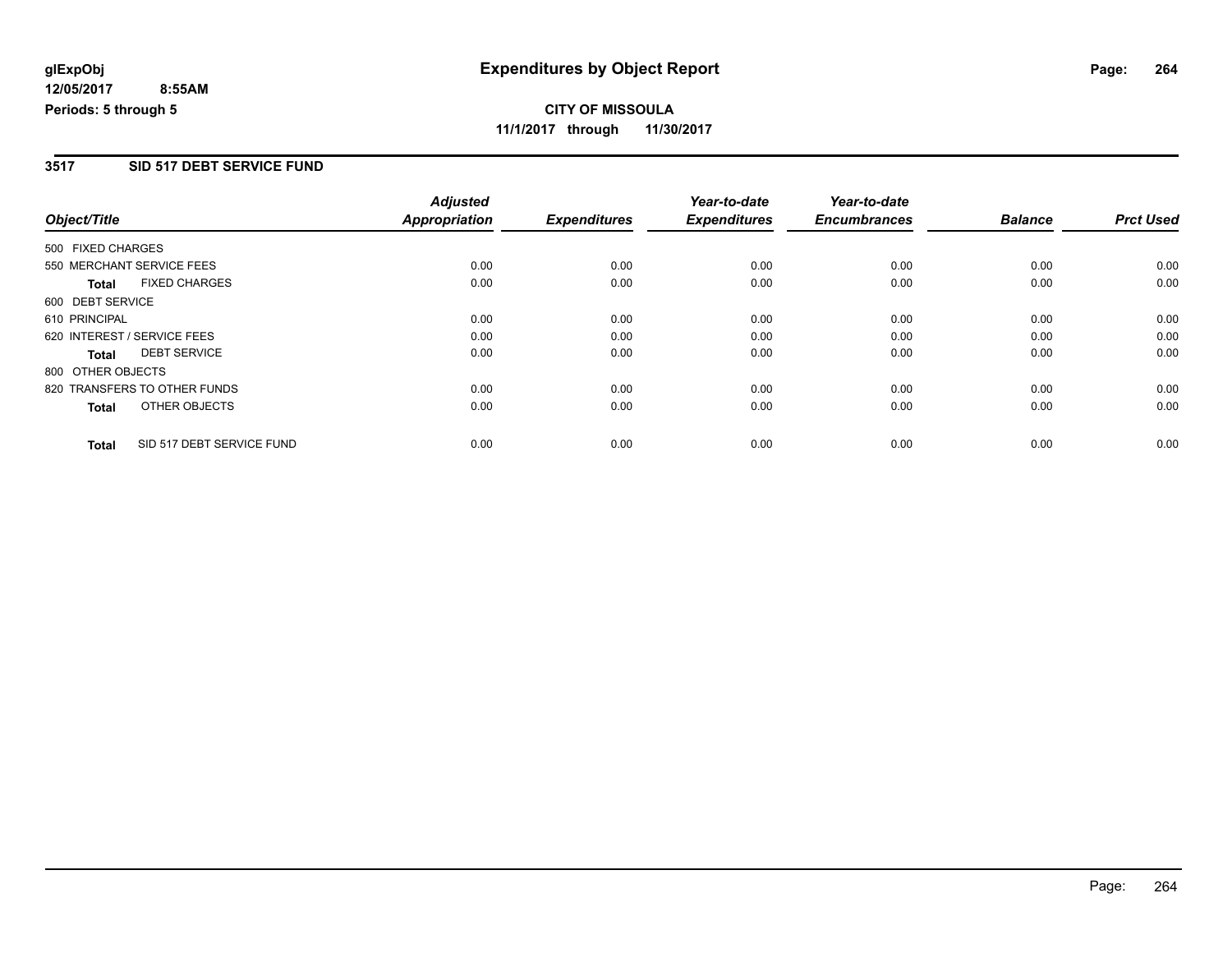**11/1/2017 through 11/30/2017**

### **3517 SID 517 DEBT SERVICE FUND**

| Object/Title      |                              | <b>Adjusted</b><br><b>Appropriation</b> |                     | Year-to-date<br><b>Expenditures</b> | Year-to-date<br><b>Encumbrances</b> | <b>Balance</b> | <b>Prct Used</b> |
|-------------------|------------------------------|-----------------------------------------|---------------------|-------------------------------------|-------------------------------------|----------------|------------------|
|                   |                              |                                         | <b>Expenditures</b> |                                     |                                     |                |                  |
| 500 FIXED CHARGES |                              |                                         |                     |                                     |                                     |                |                  |
|                   | 550 MERCHANT SERVICE FEES    | 0.00                                    | 0.00                | 0.00                                | 0.00                                | 0.00           | 0.00             |
| <b>Total</b>      | <b>FIXED CHARGES</b>         | 0.00                                    | 0.00                | 0.00                                | 0.00                                | 0.00           | 0.00             |
| 600 DEBT SERVICE  |                              |                                         |                     |                                     |                                     |                |                  |
| 610 PRINCIPAL     |                              | 0.00                                    | 0.00                | 0.00                                | 0.00                                | 0.00           | 0.00             |
|                   | 620 INTEREST / SERVICE FEES  | 0.00                                    | 0.00                | 0.00                                | 0.00                                | 0.00           | 0.00             |
| <b>Total</b>      | <b>DEBT SERVICE</b>          | 0.00                                    | 0.00                | 0.00                                | 0.00                                | 0.00           | 0.00             |
| 800 OTHER OBJECTS |                              |                                         |                     |                                     |                                     |                |                  |
|                   | 820 TRANSFERS TO OTHER FUNDS | 0.00                                    | 0.00                | 0.00                                | 0.00                                | 0.00           | 0.00             |
| <b>Total</b>      | OTHER OBJECTS                | 0.00                                    | 0.00                | 0.00                                | 0.00                                | 0.00           | 0.00             |
| <b>Total</b>      | SID 517 DEBT SERVICE FUND    | 0.00                                    | 0.00                | 0.00                                | 0.00                                | 0.00           | 0.00             |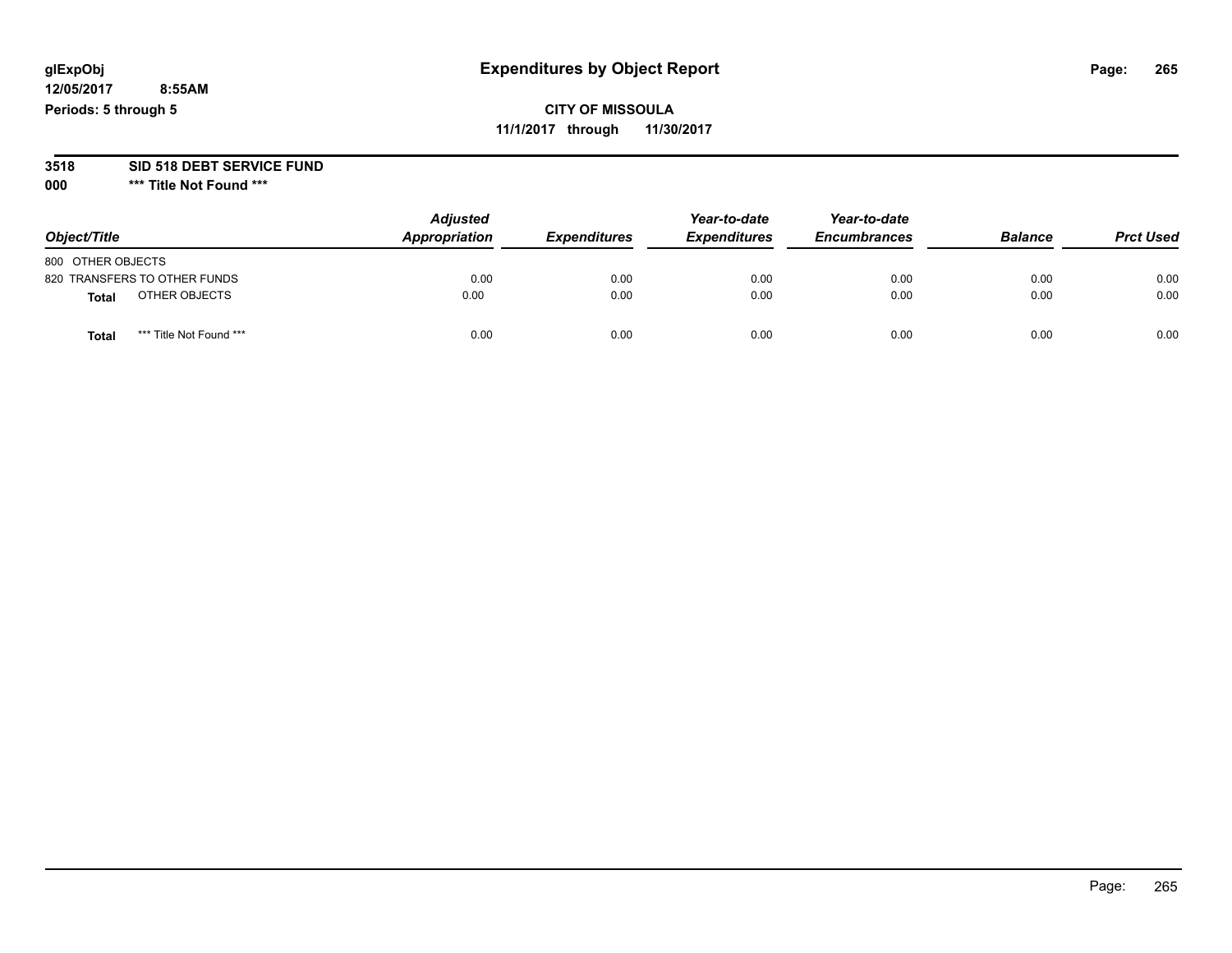## **glExpObj Expenditures by Object Report Page: 265**

**12/05/2017 8:55AM Periods: 5 through 5**

**11/1/2017 through 11/30/2017**

# **3518 SID 518 DEBT SERVICE FUND**

**000 \*\*\* Title Not Found \*\*\***

| Object/Title                            | <b>Adjusted</b><br>Appropriation | <b>Expenditures</b> | Year-to-date<br><b>Expenditures</b> | Year-to-date<br><b>Encumbrances</b> | <b>Balance</b> | <b>Prct Used</b> |
|-----------------------------------------|----------------------------------|---------------------|-------------------------------------|-------------------------------------|----------------|------------------|
| 800 OTHER OBJECTS                       |                                  |                     |                                     |                                     |                |                  |
| 820 TRANSFERS TO OTHER FUNDS            | 0.00                             | 0.00                | 0.00                                | 0.00                                | 0.00           | 0.00             |
| OTHER OBJECTS<br><b>Total</b>           | 0.00                             | 0.00                | 0.00                                | 0.00                                | 0.00           | 0.00             |
| *** Title Not Found ***<br><b>Total</b> | 0.00                             | 0.00                | 0.00                                | 0.00                                | 0.00           | 0.00             |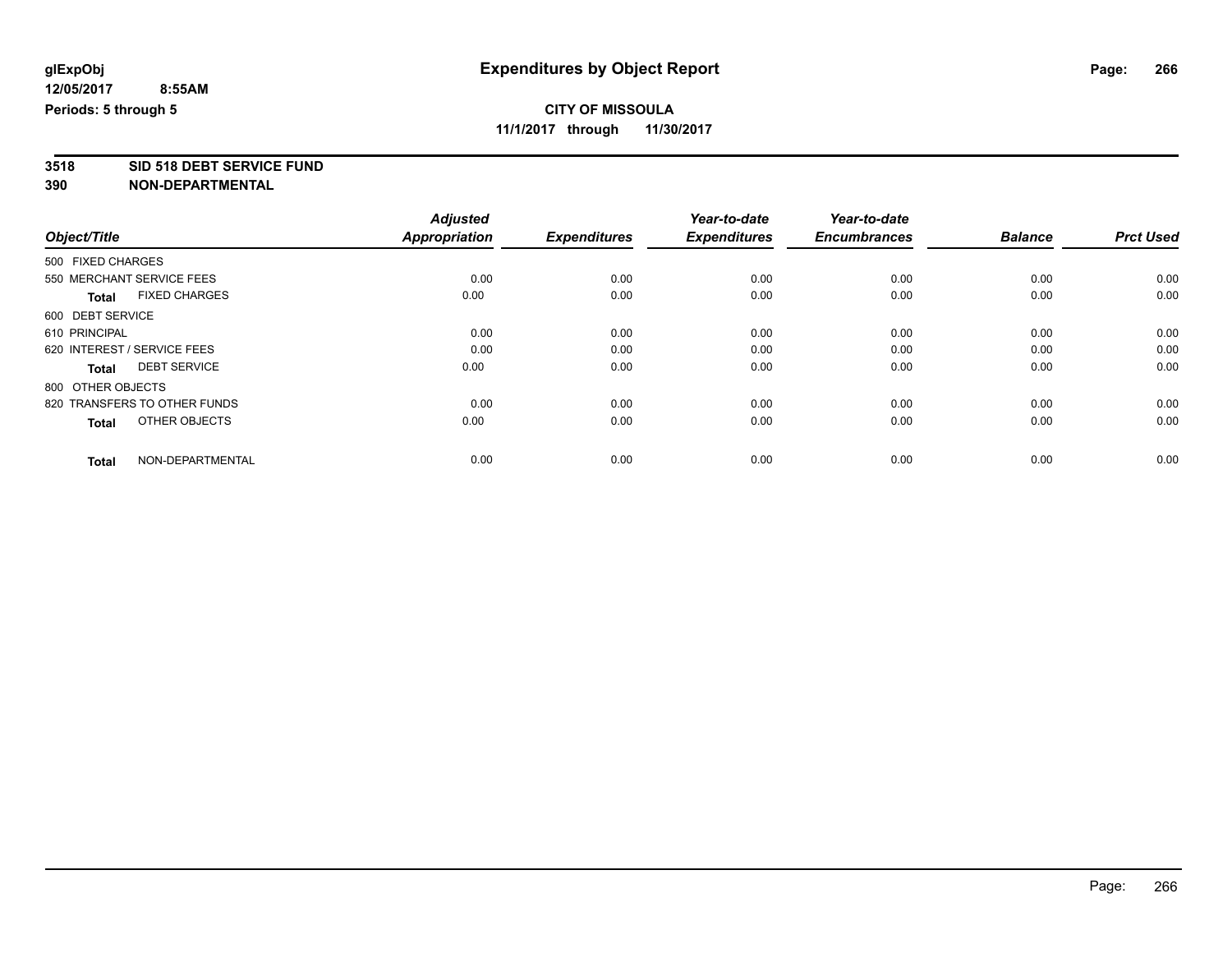## **CITY OF MISSOULA**

**11/1/2017 through 11/30/2017**

**3518 SID 518 DEBT SERVICE FUND**

|                                      | <b>Adjusted</b>      |                     | Year-to-date        | Year-to-date        |                |                  |
|--------------------------------------|----------------------|---------------------|---------------------|---------------------|----------------|------------------|
| Object/Title                         | <b>Appropriation</b> | <b>Expenditures</b> | <b>Expenditures</b> | <b>Encumbrances</b> | <b>Balance</b> | <b>Prct Used</b> |
| 500 FIXED CHARGES                    |                      |                     |                     |                     |                |                  |
| 550 MERCHANT SERVICE FEES            | 0.00                 | 0.00                | 0.00                | 0.00                | 0.00           | 0.00             |
| <b>FIXED CHARGES</b><br><b>Total</b> | 0.00                 | 0.00                | 0.00                | 0.00                | 0.00           | 0.00             |
| 600 DEBT SERVICE                     |                      |                     |                     |                     |                |                  |
| 610 PRINCIPAL                        | 0.00                 | 0.00                | 0.00                | 0.00                | 0.00           | 0.00             |
| 620 INTEREST / SERVICE FEES          | 0.00                 | 0.00                | 0.00                | 0.00                | 0.00           | 0.00             |
| <b>DEBT SERVICE</b><br><b>Total</b>  | 0.00                 | 0.00                | 0.00                | 0.00                | 0.00           | 0.00             |
| 800 OTHER OBJECTS                    |                      |                     |                     |                     |                |                  |
| 820 TRANSFERS TO OTHER FUNDS         | 0.00                 | 0.00                | 0.00                | 0.00                | 0.00           | 0.00             |
| OTHER OBJECTS<br><b>Total</b>        | 0.00                 | 0.00                | 0.00                | 0.00                | 0.00           | 0.00             |
|                                      |                      |                     |                     |                     |                |                  |
| NON-DEPARTMENTAL<br><b>Total</b>     | 0.00                 | 0.00                | 0.00                | 0.00                | 0.00           | 0.00             |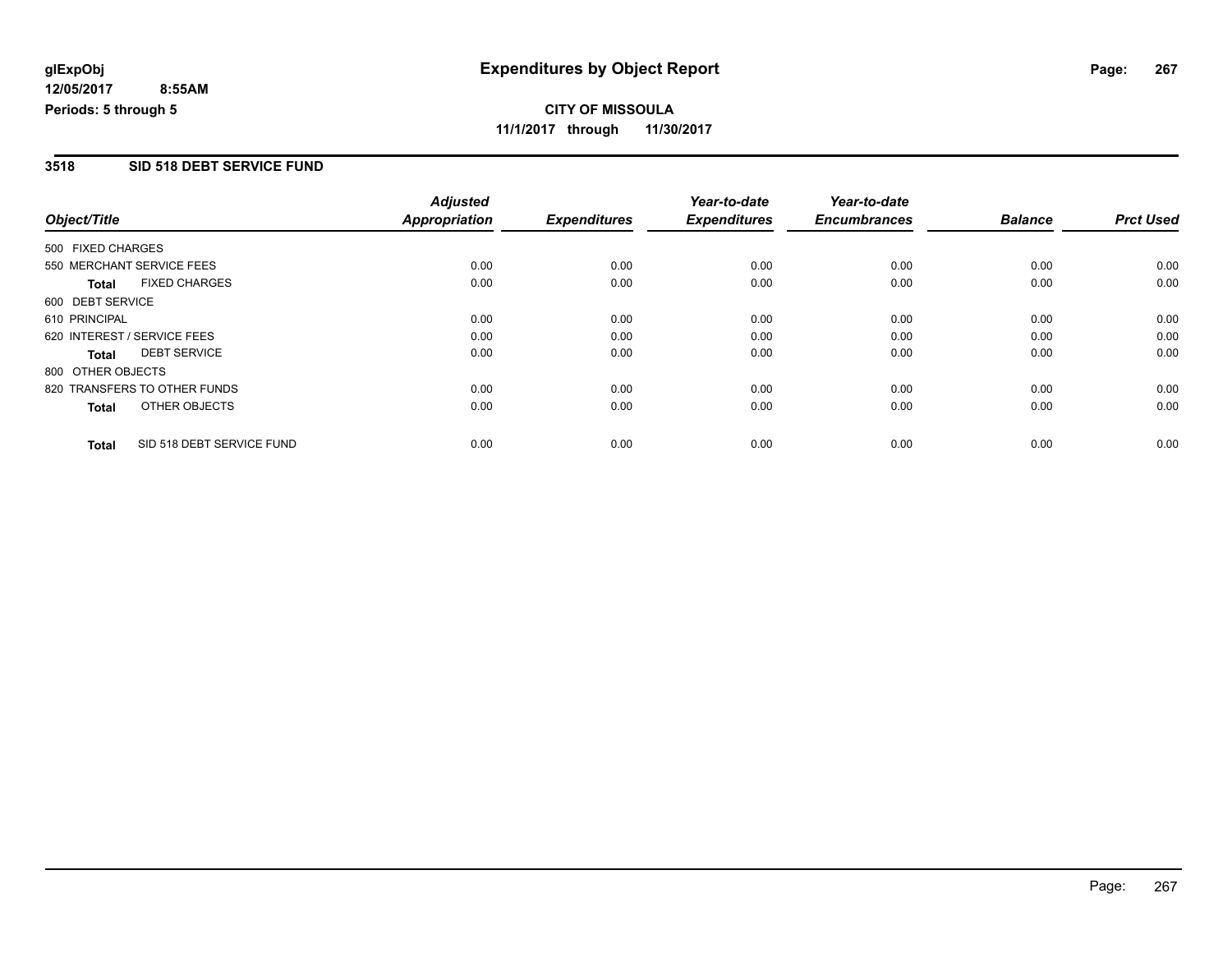**11/1/2017 through 11/30/2017**

### **3518 SID 518 DEBT SERVICE FUND**

|                   |                              | <b>Adjusted</b>      |                     | Year-to-date        | Year-to-date        |                |                  |
|-------------------|------------------------------|----------------------|---------------------|---------------------|---------------------|----------------|------------------|
| Object/Title      |                              | <b>Appropriation</b> | <b>Expenditures</b> | <b>Expenditures</b> | <b>Encumbrances</b> | <b>Balance</b> | <b>Prct Used</b> |
| 500 FIXED CHARGES |                              |                      |                     |                     |                     |                |                  |
|                   | 550 MERCHANT SERVICE FEES    | 0.00                 | 0.00                | 0.00                | 0.00                | 0.00           | 0.00             |
| <b>Total</b>      | <b>FIXED CHARGES</b>         | 0.00                 | 0.00                | 0.00                | 0.00                | 0.00           | 0.00             |
| 600 DEBT SERVICE  |                              |                      |                     |                     |                     |                |                  |
| 610 PRINCIPAL     |                              | 0.00                 | 0.00                | 0.00                | 0.00                | 0.00           | 0.00             |
|                   | 620 INTEREST / SERVICE FEES  | 0.00                 | 0.00                | 0.00                | 0.00                | 0.00           | 0.00             |
| <b>Total</b>      | <b>DEBT SERVICE</b>          | 0.00                 | 0.00                | 0.00                | 0.00                | 0.00           | 0.00             |
| 800 OTHER OBJECTS |                              |                      |                     |                     |                     |                |                  |
|                   | 820 TRANSFERS TO OTHER FUNDS | 0.00                 | 0.00                | 0.00                | 0.00                | 0.00           | 0.00             |
| <b>Total</b>      | OTHER OBJECTS                | 0.00                 | 0.00                | 0.00                | 0.00                | 0.00           | 0.00             |
| <b>Total</b>      | SID 518 DEBT SERVICE FUND    | 0.00                 | 0.00                | 0.00                | 0.00                | 0.00           | 0.00             |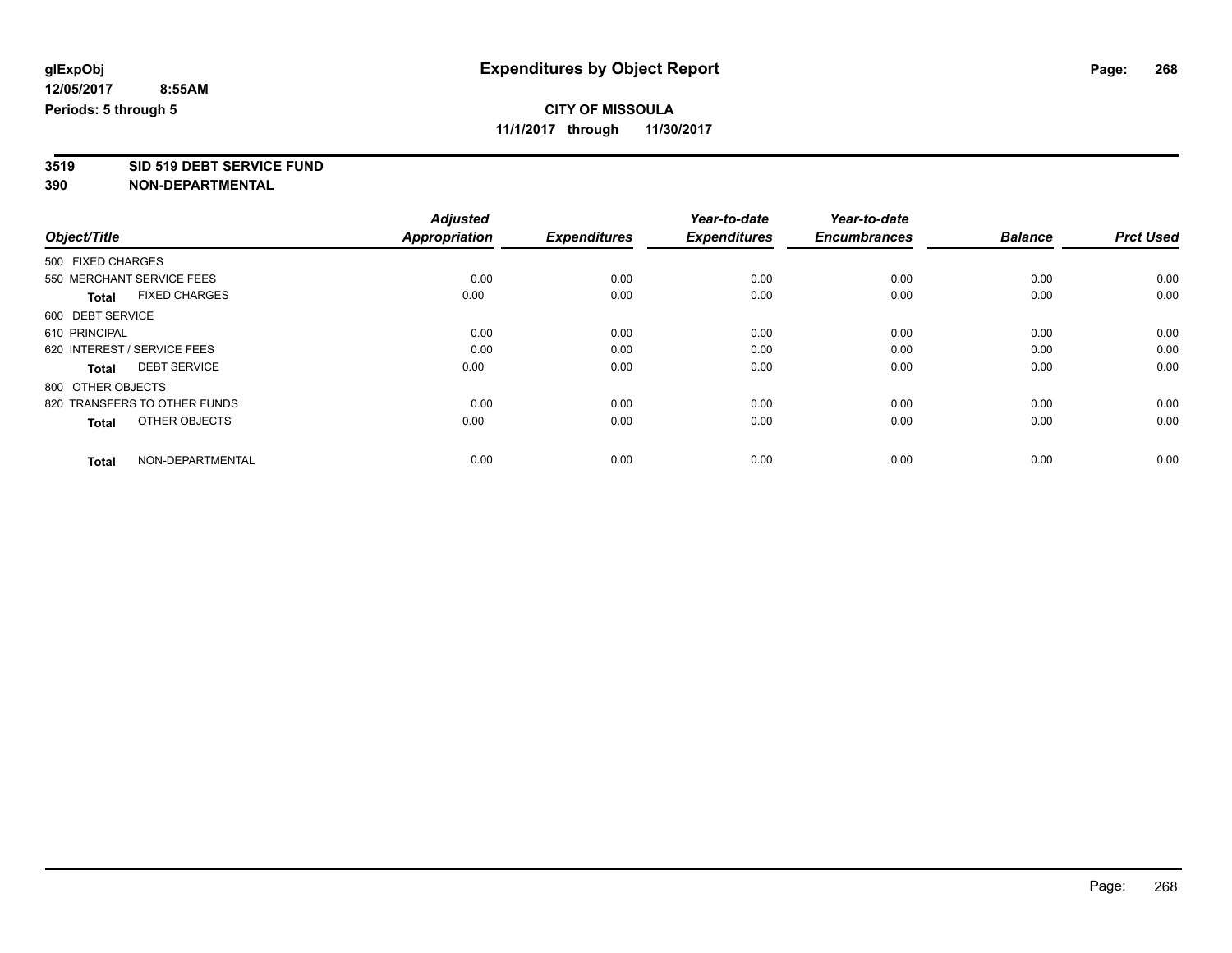## **CITY OF MISSOULA**

**11/1/2017 through 11/30/2017**

# **3519 SID 519 DEBT SERVICE FUND**

|                                      | <b>Adjusted</b>      |                     | Year-to-date        | Year-to-date        |                |                  |
|--------------------------------------|----------------------|---------------------|---------------------|---------------------|----------------|------------------|
| Object/Title                         | <b>Appropriation</b> | <b>Expenditures</b> | <b>Expenditures</b> | <b>Encumbrances</b> | <b>Balance</b> | <b>Prct Used</b> |
| 500 FIXED CHARGES                    |                      |                     |                     |                     |                |                  |
| 550 MERCHANT SERVICE FEES            | 0.00                 | 0.00                | 0.00                | 0.00                | 0.00           | 0.00             |
| <b>FIXED CHARGES</b><br><b>Total</b> | 0.00                 | 0.00                | 0.00                | 0.00                | 0.00           | 0.00             |
| 600 DEBT SERVICE                     |                      |                     |                     |                     |                |                  |
| 610 PRINCIPAL                        | 0.00                 | 0.00                | 0.00                | 0.00                | 0.00           | 0.00             |
| 620 INTEREST / SERVICE FEES          | 0.00                 | 0.00                | 0.00                | 0.00                | 0.00           | 0.00             |
| <b>DEBT SERVICE</b><br><b>Total</b>  | 0.00                 | 0.00                | 0.00                | 0.00                | 0.00           | 0.00             |
| 800 OTHER OBJECTS                    |                      |                     |                     |                     |                |                  |
| 820 TRANSFERS TO OTHER FUNDS         | 0.00                 | 0.00                | 0.00                | 0.00                | 0.00           | 0.00             |
| OTHER OBJECTS<br><b>Total</b>        | 0.00                 | 0.00                | 0.00                | 0.00                | 0.00           | 0.00             |
|                                      |                      |                     |                     |                     |                |                  |
| NON-DEPARTMENTAL<br><b>Total</b>     | 0.00                 | 0.00                | 0.00                | 0.00                | 0.00           | 0.00             |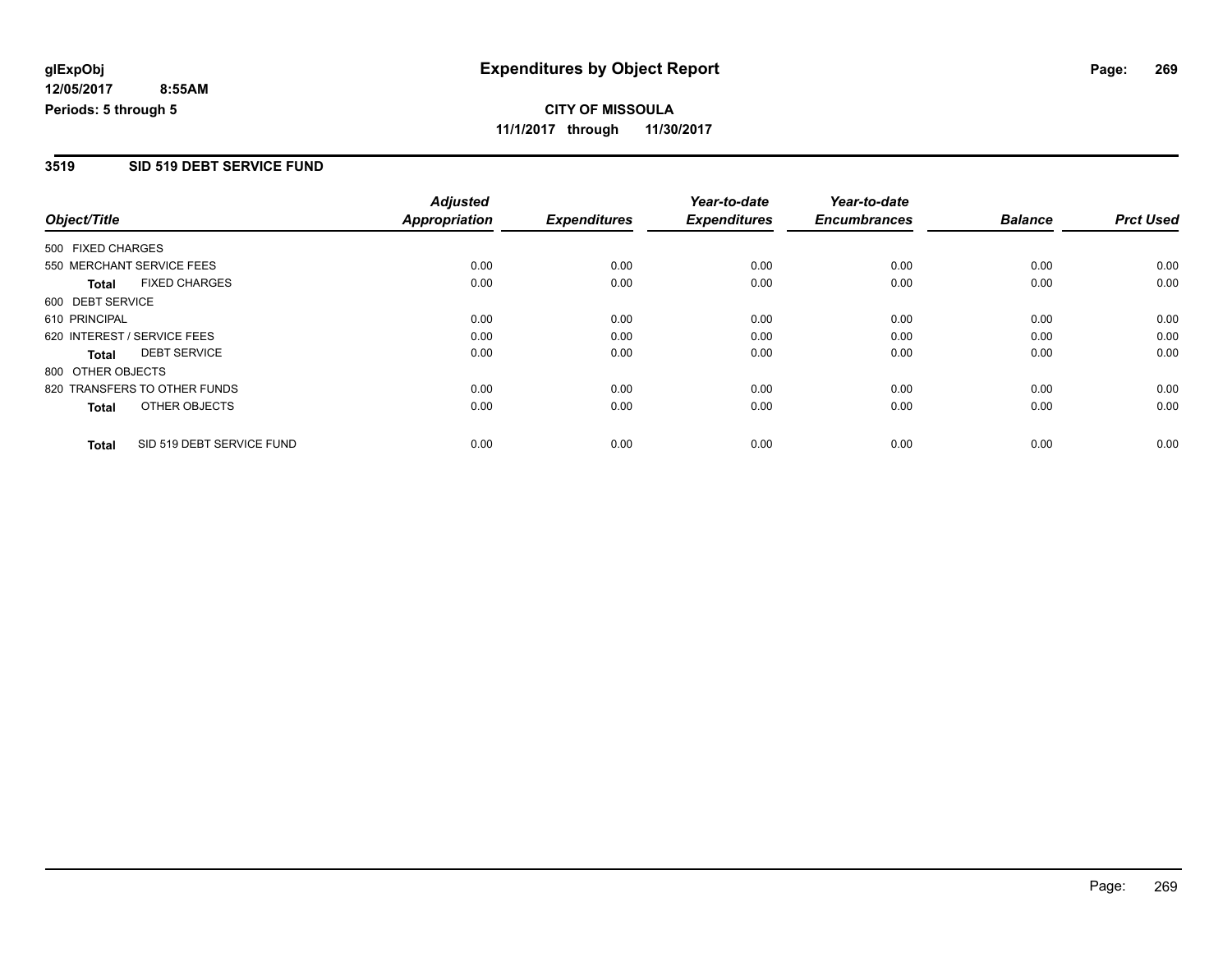**CITY OF MISSOULA 11/1/2017 through 11/30/2017**

### **3519 SID 519 DEBT SERVICE FUND**

|                             |                              | <b>Adjusted</b>      |                     | Year-to-date        | Year-to-date        |                |                  |
|-----------------------------|------------------------------|----------------------|---------------------|---------------------|---------------------|----------------|------------------|
| Object/Title                |                              | <b>Appropriation</b> | <b>Expenditures</b> | <b>Expenditures</b> | <b>Encumbrances</b> | <b>Balance</b> | <b>Prct Used</b> |
| 500 FIXED CHARGES           |                              |                      |                     |                     |                     |                |                  |
| 550 MERCHANT SERVICE FEES   |                              | 0.00                 | 0.00                | 0.00                | 0.00                | 0.00           | 0.00             |
| <b>Total</b>                | <b>FIXED CHARGES</b>         | 0.00                 | 0.00                | 0.00                | 0.00                | 0.00           | 0.00             |
| 600 DEBT SERVICE            |                              |                      |                     |                     |                     |                |                  |
| 610 PRINCIPAL               |                              | 0.00                 | 0.00                | 0.00                | 0.00                | 0.00           | 0.00             |
| 620 INTEREST / SERVICE FEES |                              | 0.00                 | 0.00                | 0.00                | 0.00                | 0.00           | 0.00             |
| Total                       | <b>DEBT SERVICE</b>          | 0.00                 | 0.00                | 0.00                | 0.00                | 0.00           | 0.00             |
| 800 OTHER OBJECTS           |                              |                      |                     |                     |                     |                |                  |
|                             | 820 TRANSFERS TO OTHER FUNDS | 0.00                 | 0.00                | 0.00                | 0.00                | 0.00           | 0.00             |
| Total                       | OTHER OBJECTS                | 0.00                 | 0.00                | 0.00                | 0.00                | 0.00           | 0.00             |
| <b>Total</b>                | SID 519 DEBT SERVICE FUND    | 0.00                 | 0.00                | 0.00                | 0.00                | 0.00           | 0.00             |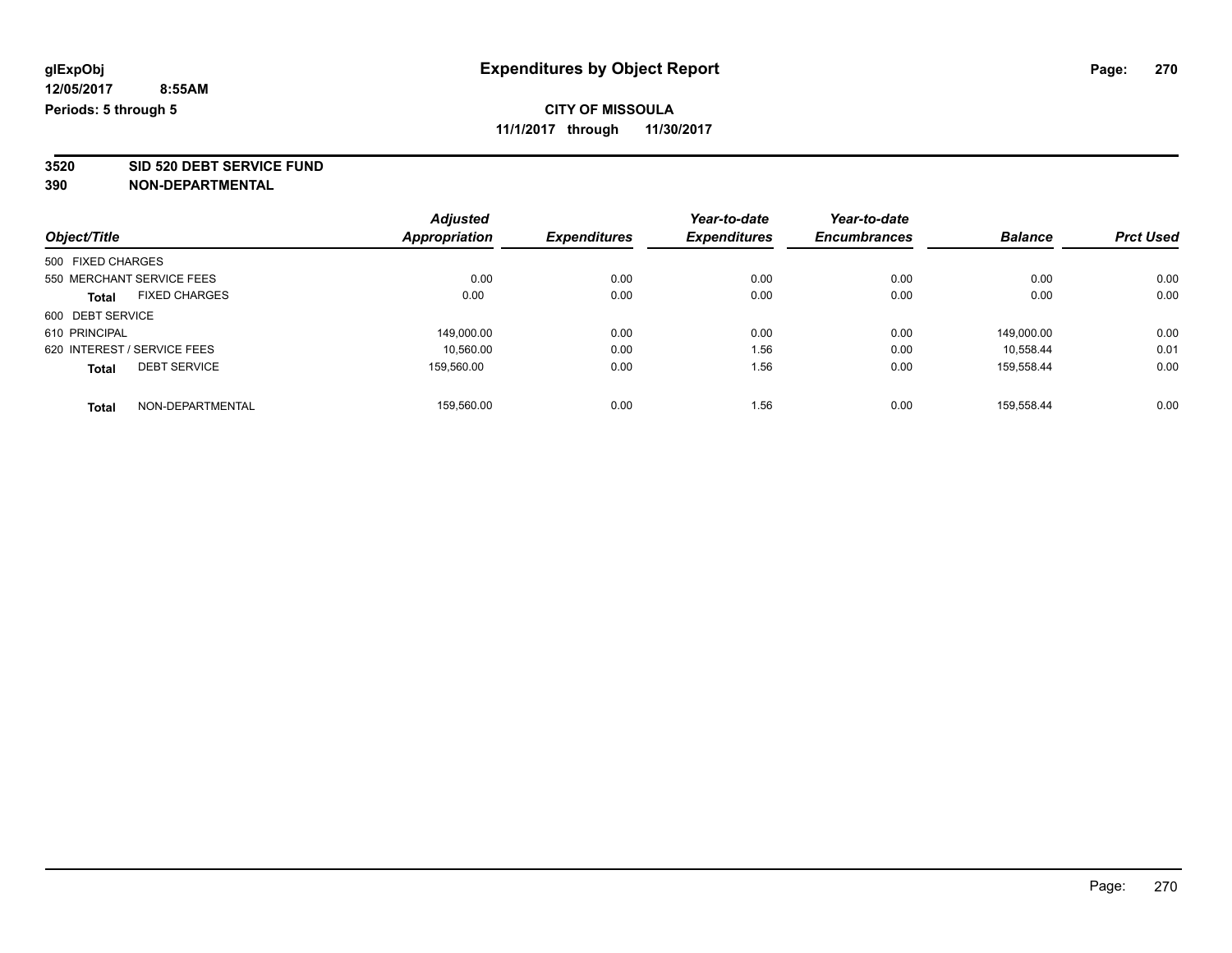**3520 SID 520 DEBT SERVICE FUND**

| Object/Title                |                           | <b>Adjusted</b>      | <b>Expenditures</b> | Year-to-date<br><b>Expenditures</b> | Year-to-date<br><b>Encumbrances</b> | <b>Balance</b> | <b>Prct Used</b> |
|-----------------------------|---------------------------|----------------------|---------------------|-------------------------------------|-------------------------------------|----------------|------------------|
|                             |                           | <b>Appropriation</b> |                     |                                     |                                     |                |                  |
| 500 FIXED CHARGES           |                           |                      |                     |                                     |                                     |                |                  |
|                             | 550 MERCHANT SERVICE FEES | 0.00                 | 0.00                | 0.00                                | 0.00                                | 0.00           | 0.00             |
| <b>Total</b>                | <b>FIXED CHARGES</b>      | 0.00                 | 0.00                | 0.00                                | 0.00                                | 0.00           | 0.00             |
| 600 DEBT SERVICE            |                           |                      |                     |                                     |                                     |                |                  |
| 610 PRINCIPAL               |                           | 149,000.00           | 0.00                | 0.00                                | 0.00                                | 149.000.00     | 0.00             |
| 620 INTEREST / SERVICE FEES |                           | 10.560.00            | 0.00                | 1.56                                | 0.00                                | 10.558.44      | 0.01             |
| <b>Total</b>                | <b>DEBT SERVICE</b>       | 159.560.00           | 0.00                | 1.56                                | 0.00                                | 159.558.44     | 0.00             |
| <b>Total</b>                | NON-DEPARTMENTAL          | 159.560.00           | 0.00                | 1.56                                | 0.00                                | 159.558.44     | 0.00             |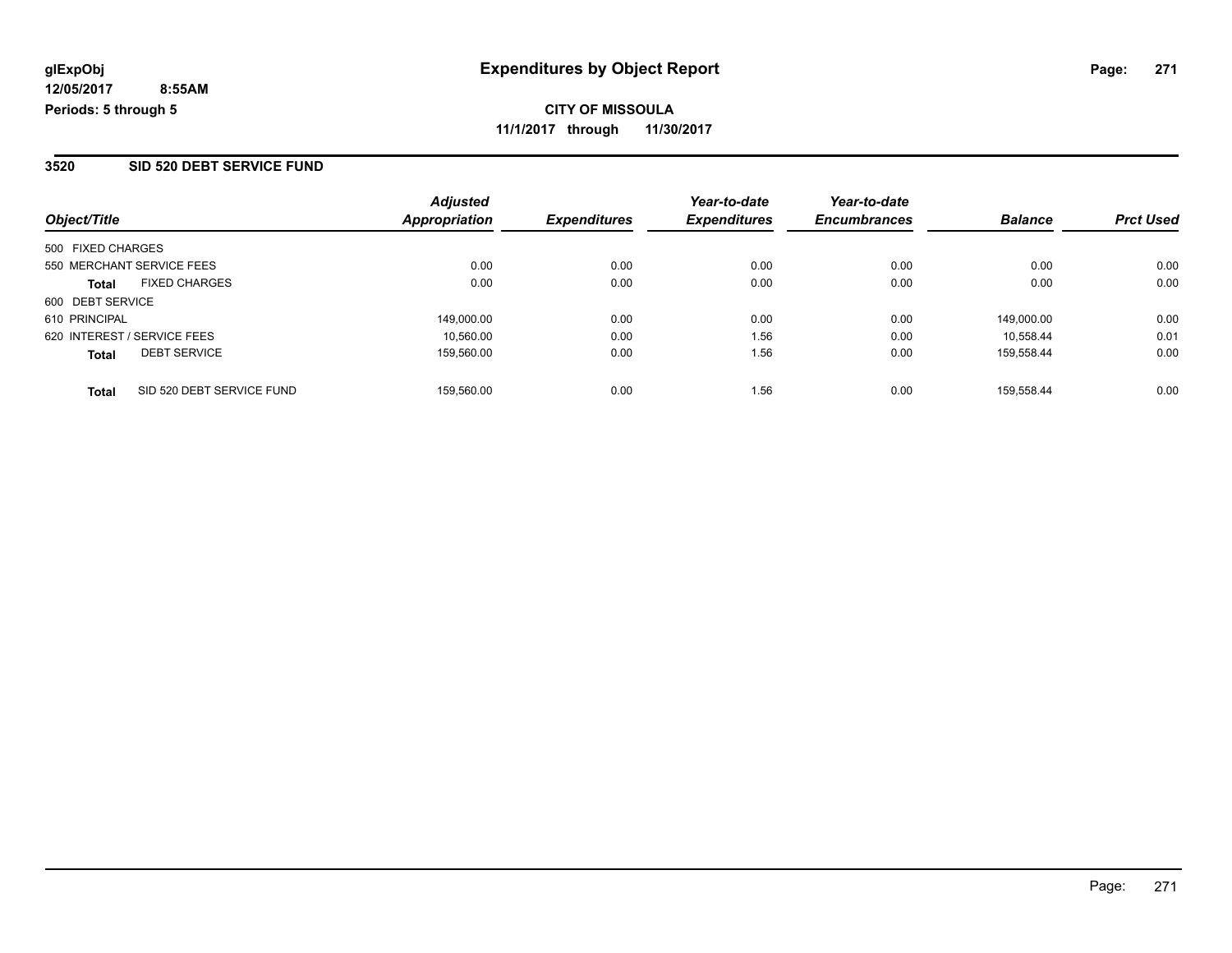#### **3520 SID 520 DEBT SERVICE FUND**

| Object/Title                              | <b>Adjusted</b><br><b>Appropriation</b> | <b>Expenditures</b> | Year-to-date<br><b>Expenditures</b> | Year-to-date<br><b>Encumbrances</b> | <b>Balance</b> | <b>Prct Used</b> |
|-------------------------------------------|-----------------------------------------|---------------------|-------------------------------------|-------------------------------------|----------------|------------------|
|                                           |                                         |                     |                                     |                                     |                |                  |
| 500 FIXED CHARGES                         |                                         |                     |                                     |                                     |                |                  |
| 550 MERCHANT SERVICE FEES                 | 0.00                                    | 0.00                | 0.00                                | 0.00                                | 0.00           | 0.00             |
| <b>FIXED CHARGES</b><br><b>Total</b>      | 0.00                                    | 0.00                | 0.00                                | 0.00                                | 0.00           | 0.00             |
| 600 DEBT SERVICE                          |                                         |                     |                                     |                                     |                |                  |
| 610 PRINCIPAL                             | 149,000.00                              | 0.00                | 0.00                                | 0.00                                | 149.000.00     | 0.00             |
| 620 INTEREST / SERVICE FEES               | 10.560.00                               | 0.00                | 1.56                                | 0.00                                | 10.558.44      | 0.01             |
| <b>DEBT SERVICE</b><br><b>Total</b>       | 159.560.00                              | 0.00                | 1.56                                | 0.00                                | 159.558.44     | 0.00             |
|                                           |                                         |                     |                                     |                                     |                |                  |
| SID 520 DEBT SERVICE FUND<br><b>Total</b> | 159.560.00                              | 0.00                | 1.56                                | 0.00                                | 159.558.44     | 0.00             |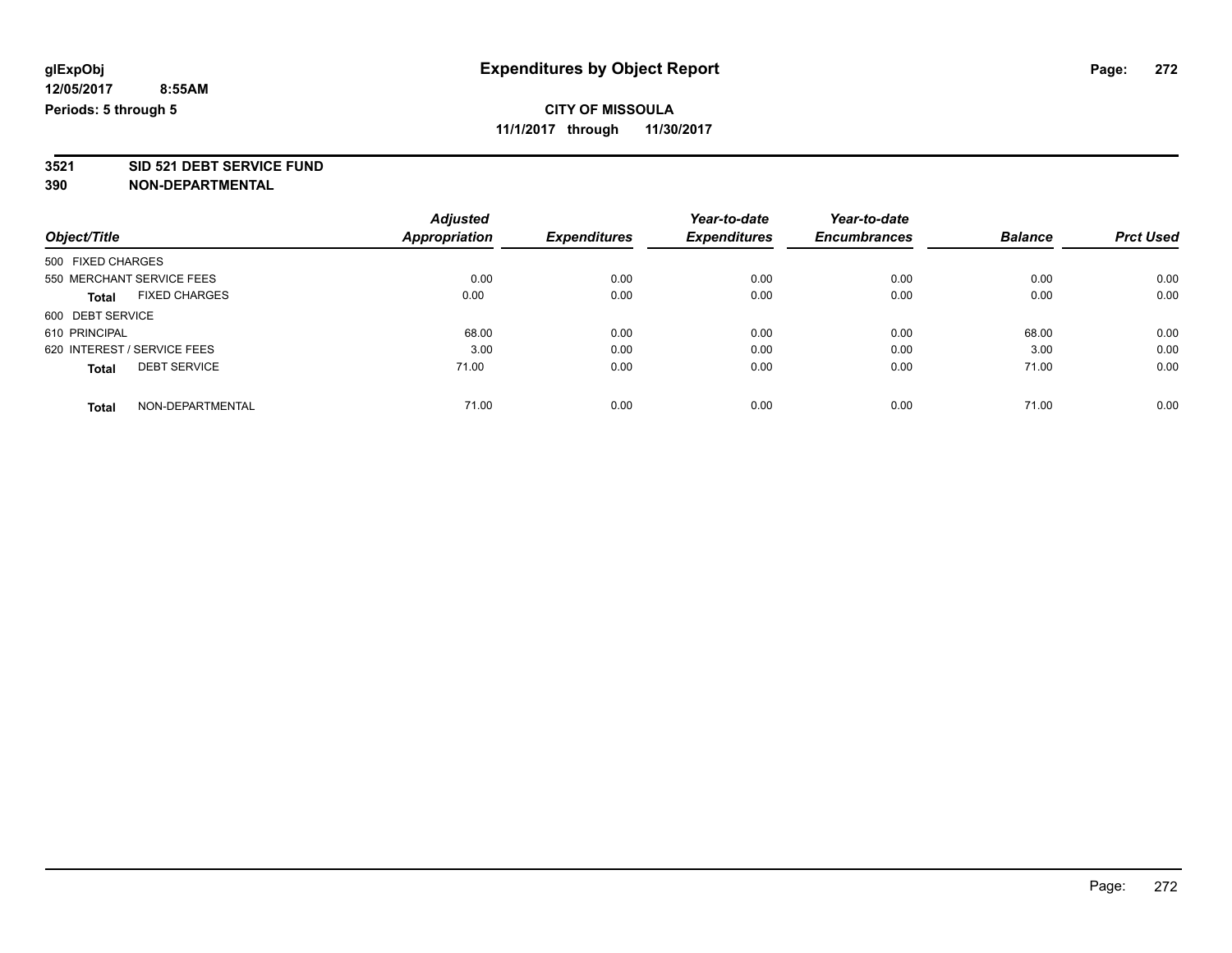**3521 SID 521 DEBT SERVICE FUND**

|                                      | <b>Adjusted</b>      |                     | Year-to-date        | Year-to-date        | <b>Balance</b> | <b>Prct Used</b> |
|--------------------------------------|----------------------|---------------------|---------------------|---------------------|----------------|------------------|
| Object/Title                         | <b>Appropriation</b> | <b>Expenditures</b> | <b>Expenditures</b> | <b>Encumbrances</b> |                |                  |
| 500 FIXED CHARGES                    |                      |                     |                     |                     |                |                  |
| 550 MERCHANT SERVICE FEES            | 0.00                 | 0.00                | 0.00                | 0.00                | 0.00           | 0.00             |
| <b>FIXED CHARGES</b><br><b>Total</b> | 0.00                 | 0.00                | 0.00                | 0.00                | 0.00           | 0.00             |
| 600 DEBT SERVICE                     |                      |                     |                     |                     |                |                  |
| 610 PRINCIPAL                        | 68.00                | 0.00                | 0.00                | 0.00                | 68.00          | 0.00             |
| 620 INTEREST / SERVICE FEES          | 3.00                 | 0.00                | 0.00                | 0.00                | 3.00           | 0.00             |
| <b>DEBT SERVICE</b><br><b>Total</b>  | 71.00                | 0.00                | 0.00                | 0.00                | 71.00          | 0.00             |
| NON-DEPARTMENTAL<br><b>Total</b>     | 71.00                | 0.00                | 0.00                | 0.00                | 71.00          | 0.00             |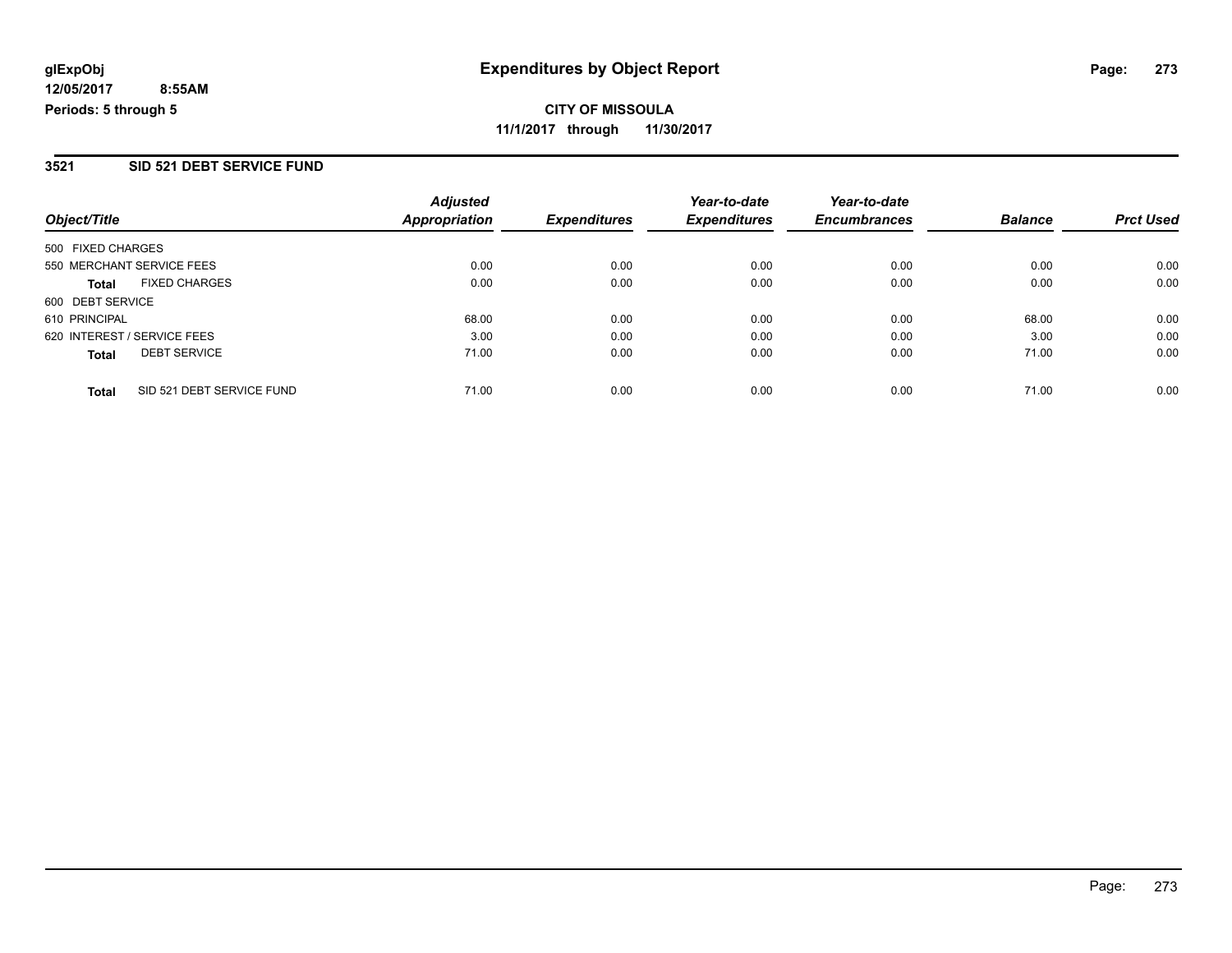**CITY OF MISSOULA 11/1/2017 through 11/30/2017**

### **3521 SID 521 DEBT SERVICE FUND**

| Object/Title                              | <b>Adjusted</b><br><b>Appropriation</b> | <b>Expenditures</b> | Year-to-date<br><b>Expenditures</b> | Year-to-date<br><b>Encumbrances</b> | <b>Balance</b> | <b>Prct Used</b> |
|-------------------------------------------|-----------------------------------------|---------------------|-------------------------------------|-------------------------------------|----------------|------------------|
| 500 FIXED CHARGES                         |                                         |                     |                                     |                                     |                |                  |
| 550 MERCHANT SERVICE FEES                 | 0.00                                    | 0.00                | 0.00                                | 0.00                                | 0.00           | 0.00             |
| <b>FIXED CHARGES</b><br><b>Total</b>      | 0.00                                    | 0.00                | 0.00                                | 0.00                                | 0.00           | 0.00             |
| 600 DEBT SERVICE                          |                                         |                     |                                     |                                     |                |                  |
| 610 PRINCIPAL                             | 68.00                                   | 0.00                | 0.00                                | 0.00                                | 68.00          | 0.00             |
| 620 INTEREST / SERVICE FEES               | 3.00                                    | 0.00                | 0.00                                | 0.00                                | 3.00           | 0.00             |
| <b>DEBT SERVICE</b><br><b>Total</b>       | 71.00                                   | 0.00                | 0.00                                | 0.00                                | 71.00          | 0.00             |
| SID 521 DEBT SERVICE FUND<br><b>Total</b> | 71.00                                   | 0.00                | 0.00                                | 0.00                                | 71.00          | 0.00             |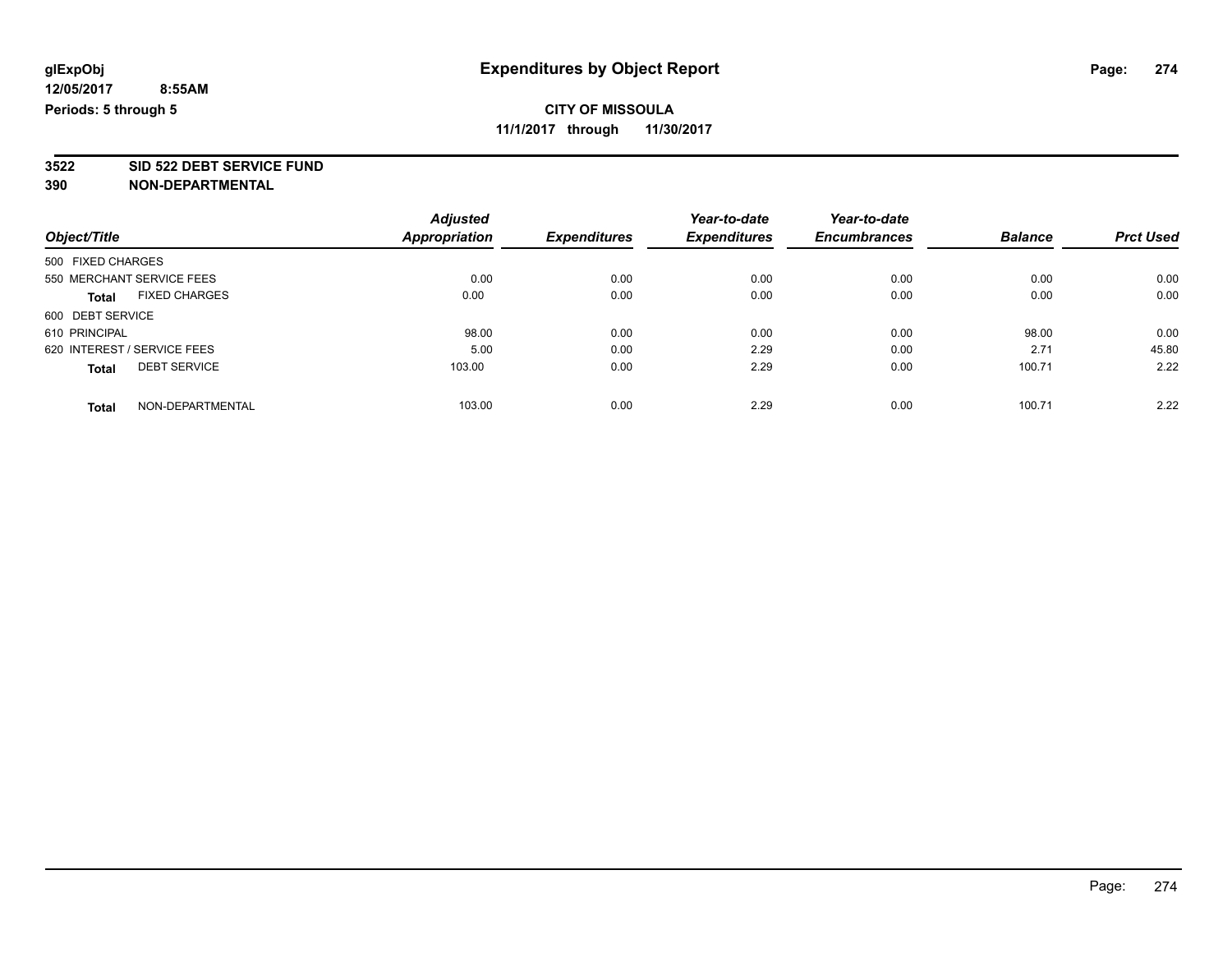**3522 SID 522 DEBT SERVICE FUND**

|                                      | <b>Adjusted</b>      |                     | Year-to-date        | Year-to-date<br><b>Encumbrances</b> |                | <b>Prct Used</b> |
|--------------------------------------|----------------------|---------------------|---------------------|-------------------------------------|----------------|------------------|
| Object/Title                         | <b>Appropriation</b> | <b>Expenditures</b> | <b>Expenditures</b> |                                     | <b>Balance</b> |                  |
| 500 FIXED CHARGES                    |                      |                     |                     |                                     |                |                  |
| 550 MERCHANT SERVICE FEES            | 0.00                 | 0.00                | 0.00                | 0.00                                | 0.00           | 0.00             |
| <b>FIXED CHARGES</b><br><b>Total</b> | 0.00                 | 0.00                | 0.00                | 0.00                                | 0.00           | 0.00             |
| 600 DEBT SERVICE                     |                      |                     |                     |                                     |                |                  |
| 610 PRINCIPAL                        | 98.00                | 0.00                | 0.00                | 0.00                                | 98.00          | 0.00             |
| 620 INTEREST / SERVICE FEES          | 5.00                 | 0.00                | 2.29                | 0.00                                | 2.71           | 45.80            |
| <b>DEBT SERVICE</b><br><b>Total</b>  | 103.00               | 0.00                | 2.29                | 0.00                                | 100.71         | 2.22             |
| NON-DEPARTMENTAL<br><b>Total</b>     | 103.00               | 0.00                | 2.29                | 0.00                                | 100.71         | 2.22             |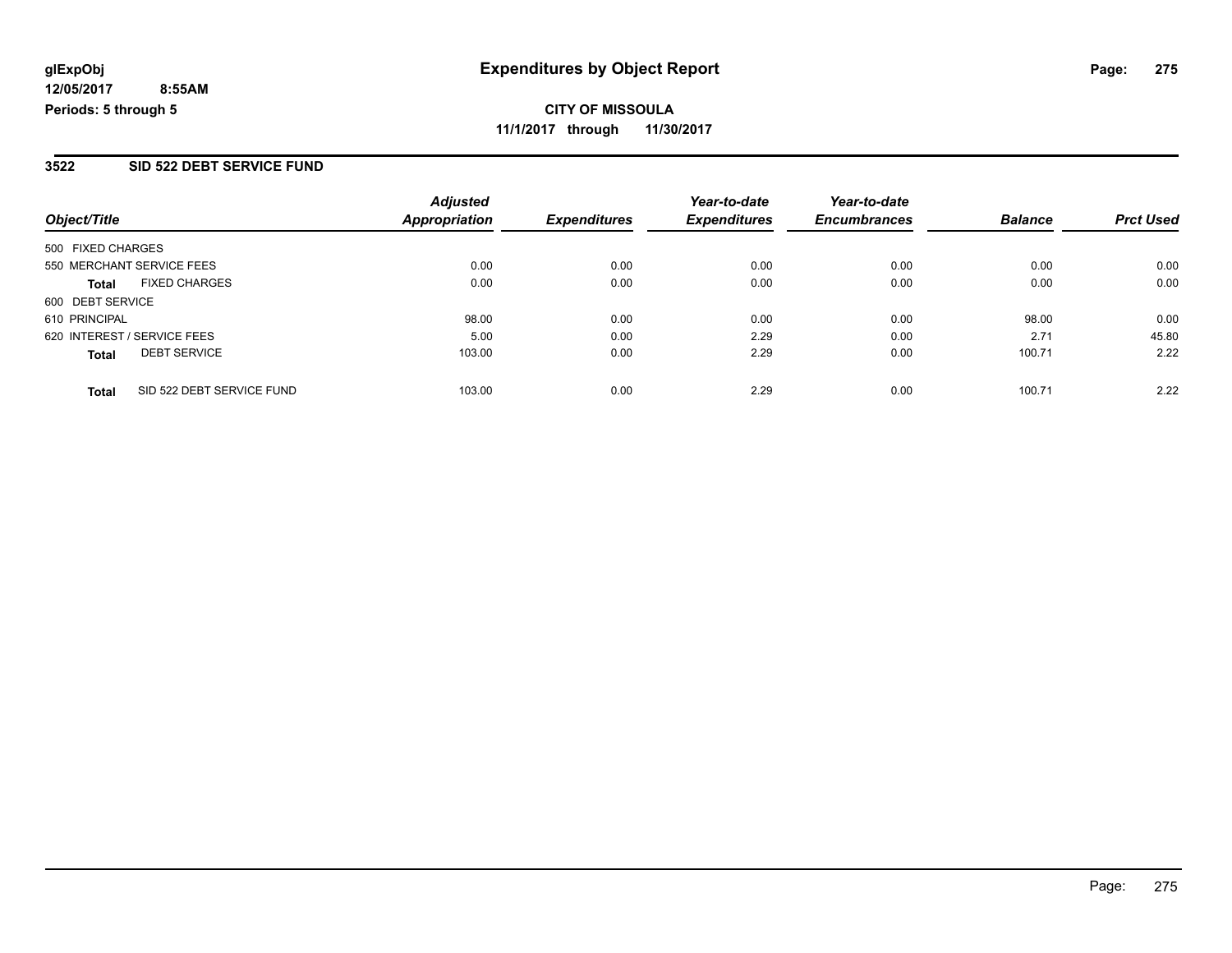**CITY OF MISSOULA 11/1/2017 through 11/30/2017**

### **3522 SID 522 DEBT SERVICE FUND**

| Object/Title                              | <b>Adjusted</b><br><b>Appropriation</b> | <b>Expenditures</b> | Year-to-date<br><b>Expenditures</b> | Year-to-date<br><b>Encumbrances</b> | <b>Balance</b> | <b>Prct Used</b> |
|-------------------------------------------|-----------------------------------------|---------------------|-------------------------------------|-------------------------------------|----------------|------------------|
| 500 FIXED CHARGES                         |                                         |                     |                                     |                                     |                |                  |
| 550 MERCHANT SERVICE FEES                 | 0.00                                    | 0.00                | 0.00                                | 0.00                                | 0.00           | 0.00             |
| <b>FIXED CHARGES</b><br><b>Total</b>      | 0.00                                    | 0.00                | 0.00                                | 0.00                                | 0.00           | 0.00             |
| 600 DEBT SERVICE                          |                                         |                     |                                     |                                     |                |                  |
| 610 PRINCIPAL                             | 98.00                                   | 0.00                | 0.00                                | 0.00                                | 98.00          | 0.00             |
| 620 INTEREST / SERVICE FEES               | 5.00                                    | 0.00                | 2.29                                | 0.00                                | 2.71           | 45.80            |
| <b>DEBT SERVICE</b><br><b>Total</b>       | 103.00                                  | 0.00                | 2.29                                | 0.00                                | 100.71         | 2.22             |
| SID 522 DEBT SERVICE FUND<br><b>Total</b> | 103.00                                  | 0.00                | 2.29                                | 0.00                                | 100.71         | 2.22             |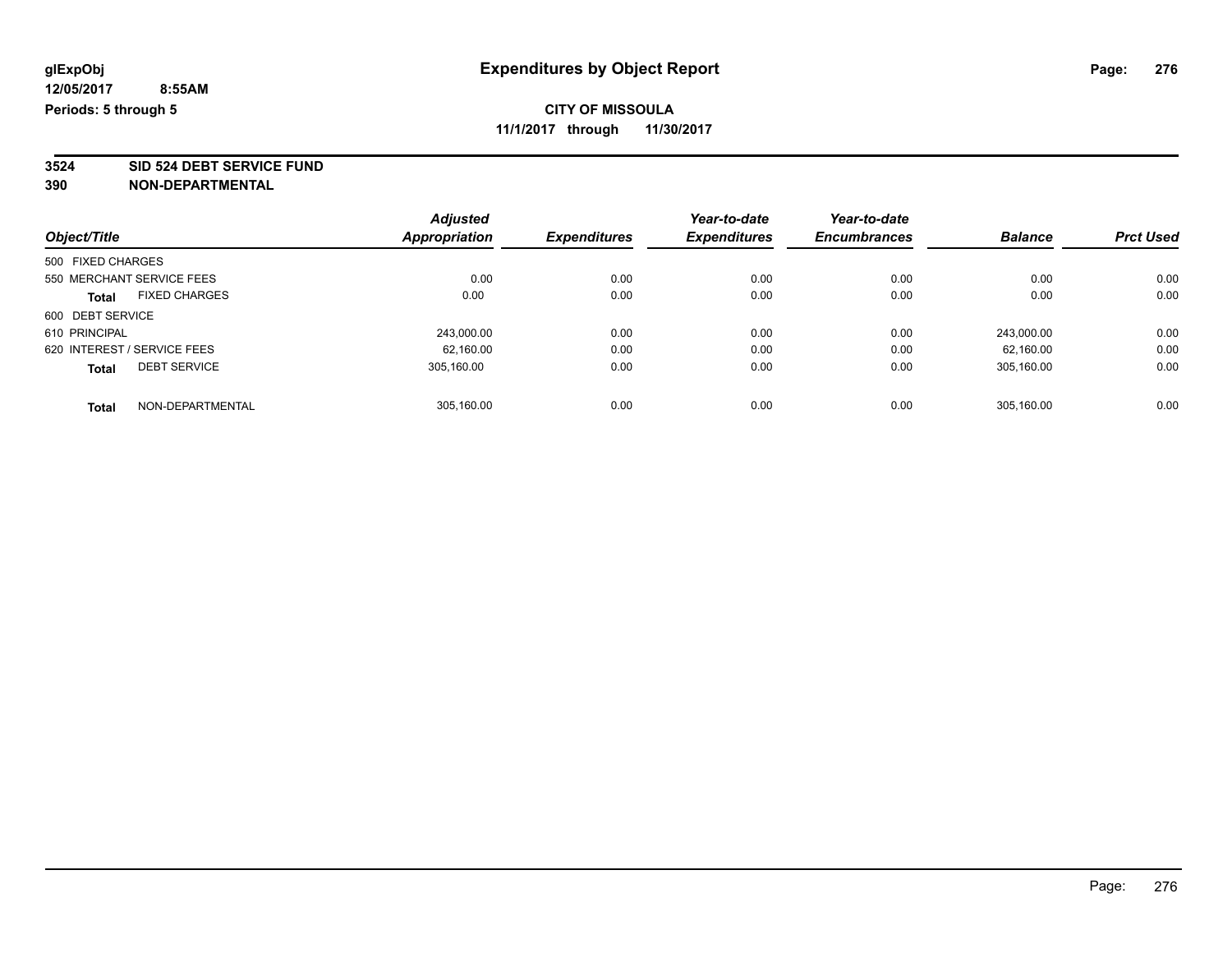**3524 SID 524 DEBT SERVICE FUND**

| Object/Title                |                      | <b>Adjusted</b> | <b>Expenditures</b> | Year-to-date<br><b>Expenditures</b> | Year-to-date        | <b>Balance</b> | <b>Prct Used</b> |
|-----------------------------|----------------------|-----------------|---------------------|-------------------------------------|---------------------|----------------|------------------|
|                             |                      | Appropriation   |                     |                                     | <b>Encumbrances</b> |                |                  |
| 500 FIXED CHARGES           |                      |                 |                     |                                     |                     |                |                  |
| 550 MERCHANT SERVICE FEES   |                      | 0.00            | 0.00                | 0.00                                | 0.00                | 0.00           | 0.00             |
| <b>Total</b>                | <b>FIXED CHARGES</b> | 0.00            | 0.00                | 0.00                                | 0.00                | 0.00           | 0.00             |
| 600 DEBT SERVICE            |                      |                 |                     |                                     |                     |                |                  |
| 610 PRINCIPAL               |                      | 243,000.00      | 0.00                | 0.00                                | 0.00                | 243.000.00     | 0.00             |
| 620 INTEREST / SERVICE FEES |                      | 62.160.00       | 0.00                | 0.00                                | 0.00                | 62.160.00      | 0.00             |
| <b>Total</b>                | <b>DEBT SERVICE</b>  | 305.160.00      | 0.00                | 0.00                                | 0.00                | 305.160.00     | 0.00             |
| <b>Total</b>                | NON-DEPARTMENTAL     | 305.160.00      | 0.00                | 0.00                                | 0.00                | 305.160.00     | 0.00             |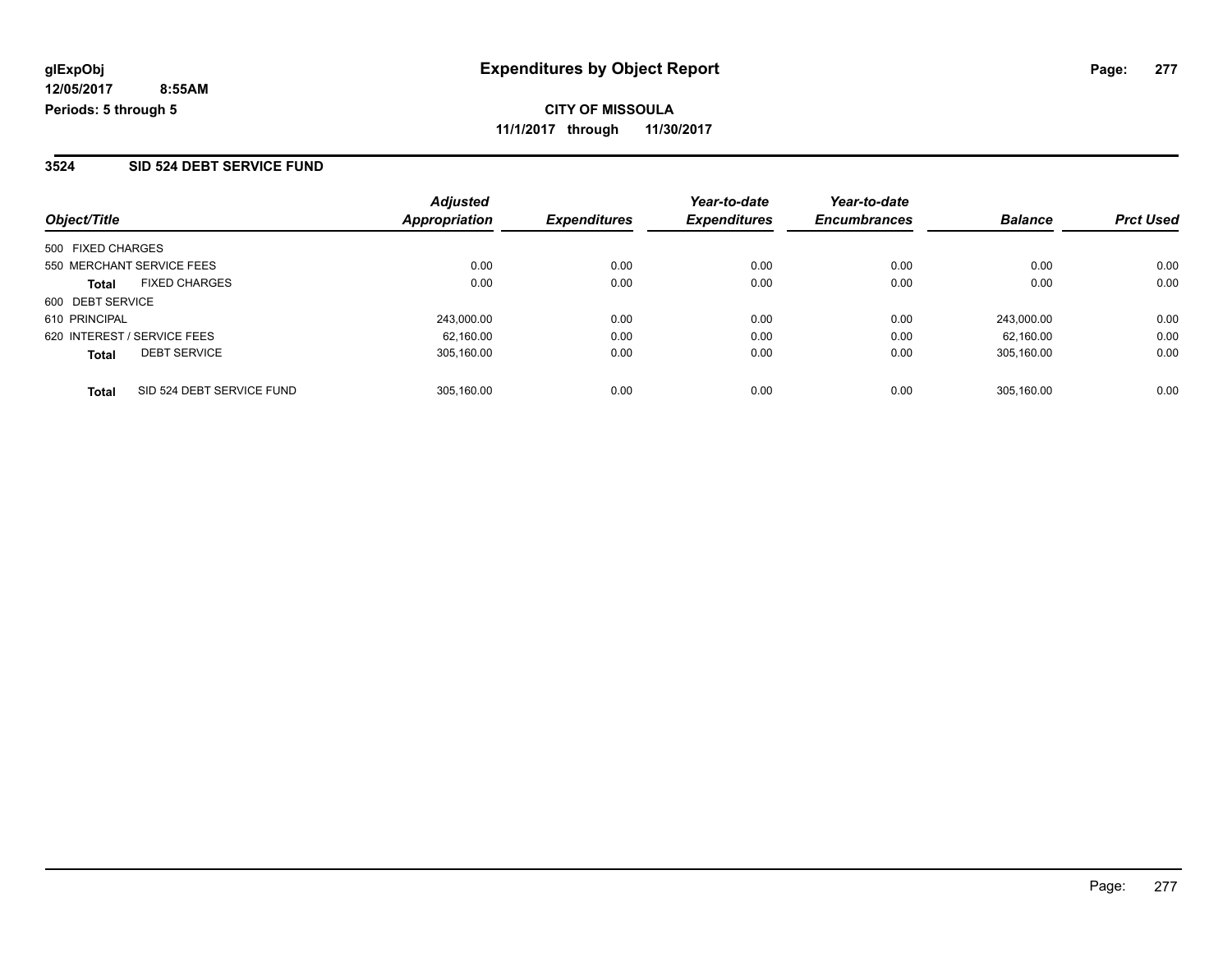#### **3524 SID 524 DEBT SERVICE FUND**

| Object/Title                |                           | <b>Adjusted</b><br><b>Appropriation</b> | <b>Expenditures</b> | Year-to-date<br><b>Expenditures</b> | Year-to-date<br><b>Encumbrances</b> | <b>Balance</b> | <b>Prct Used</b> |
|-----------------------------|---------------------------|-----------------------------------------|---------------------|-------------------------------------|-------------------------------------|----------------|------------------|
|                             |                           |                                         |                     |                                     |                                     |                |                  |
| 500 FIXED CHARGES           |                           |                                         |                     |                                     |                                     |                |                  |
| 550 MERCHANT SERVICE FEES   |                           | 0.00                                    | 0.00                | 0.00                                | 0.00                                | 0.00           | 0.00             |
| <b>Total</b>                | <b>FIXED CHARGES</b>      | 0.00                                    | 0.00                | 0.00                                | 0.00                                | 0.00           | 0.00             |
| 600 DEBT SERVICE            |                           |                                         |                     |                                     |                                     |                |                  |
| 610 PRINCIPAL               |                           | 243,000.00                              | 0.00                | 0.00                                | 0.00                                | 243.000.00     | 0.00             |
| 620 INTEREST / SERVICE FEES |                           | 62.160.00                               | 0.00                | 0.00                                | 0.00                                | 62.160.00      | 0.00             |
| <b>Total</b>                | <b>DEBT SERVICE</b>       | 305.160.00                              | 0.00                | 0.00                                | 0.00                                | 305.160.00     | 0.00             |
| <b>Total</b>                | SID 524 DEBT SERVICE FUND | 305.160.00                              | 0.00                | 0.00                                | 0.00                                | 305.160.00     | 0.00             |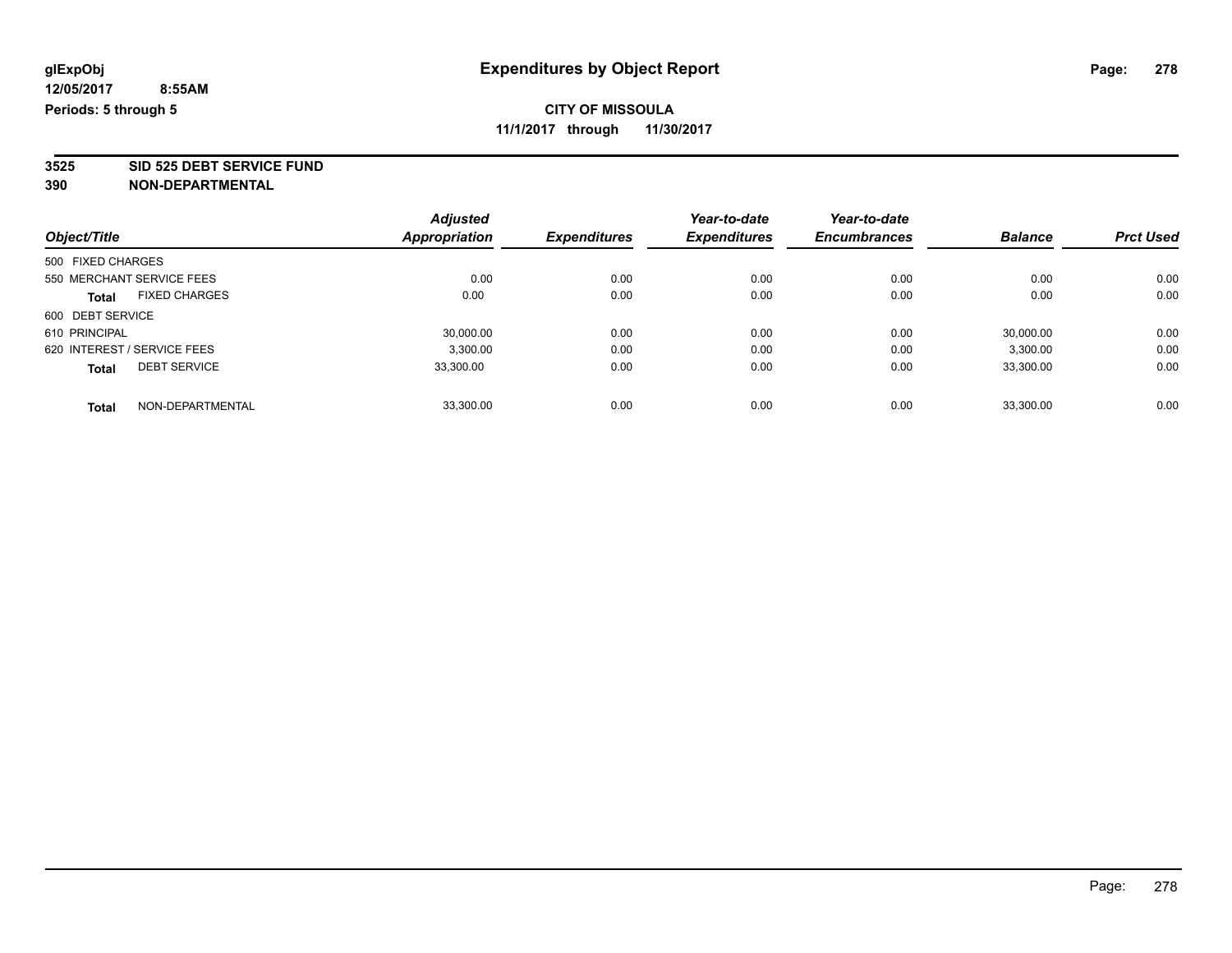**3525 SID 525 DEBT SERVICE FUND**

|                             |                      | <b>Adjusted</b> |                     | Year-to-date        | Year-to-date        |                |                  |
|-----------------------------|----------------------|-----------------|---------------------|---------------------|---------------------|----------------|------------------|
| Object/Title                |                      | Appropriation   | <b>Expenditures</b> | <b>Expenditures</b> | <b>Encumbrances</b> | <b>Balance</b> | <b>Prct Used</b> |
| 500 FIXED CHARGES           |                      |                 |                     |                     |                     |                |                  |
| 550 MERCHANT SERVICE FEES   |                      | 0.00            | 0.00                | 0.00                | 0.00                | 0.00           | 0.00             |
| <b>Total</b>                | <b>FIXED CHARGES</b> | 0.00            | 0.00                | 0.00                | 0.00                | 0.00           | 0.00             |
| 600 DEBT SERVICE            |                      |                 |                     |                     |                     |                |                  |
| 610 PRINCIPAL               |                      | 30,000.00       | 0.00                | 0.00                | 0.00                | 30,000.00      | 0.00             |
| 620 INTEREST / SERVICE FEES |                      | 3,300.00        | 0.00                | 0.00                | 0.00                | 3,300.00       | 0.00             |
| <b>Total</b>                | <b>DEBT SERVICE</b>  | 33.300.00       | 0.00                | 0.00                | 0.00                | 33,300.00      | 0.00             |
| <b>Total</b>                | NON-DEPARTMENTAL     | 33.300.00       | 0.00                | 0.00                | 0.00                | 33.300.00      | 0.00             |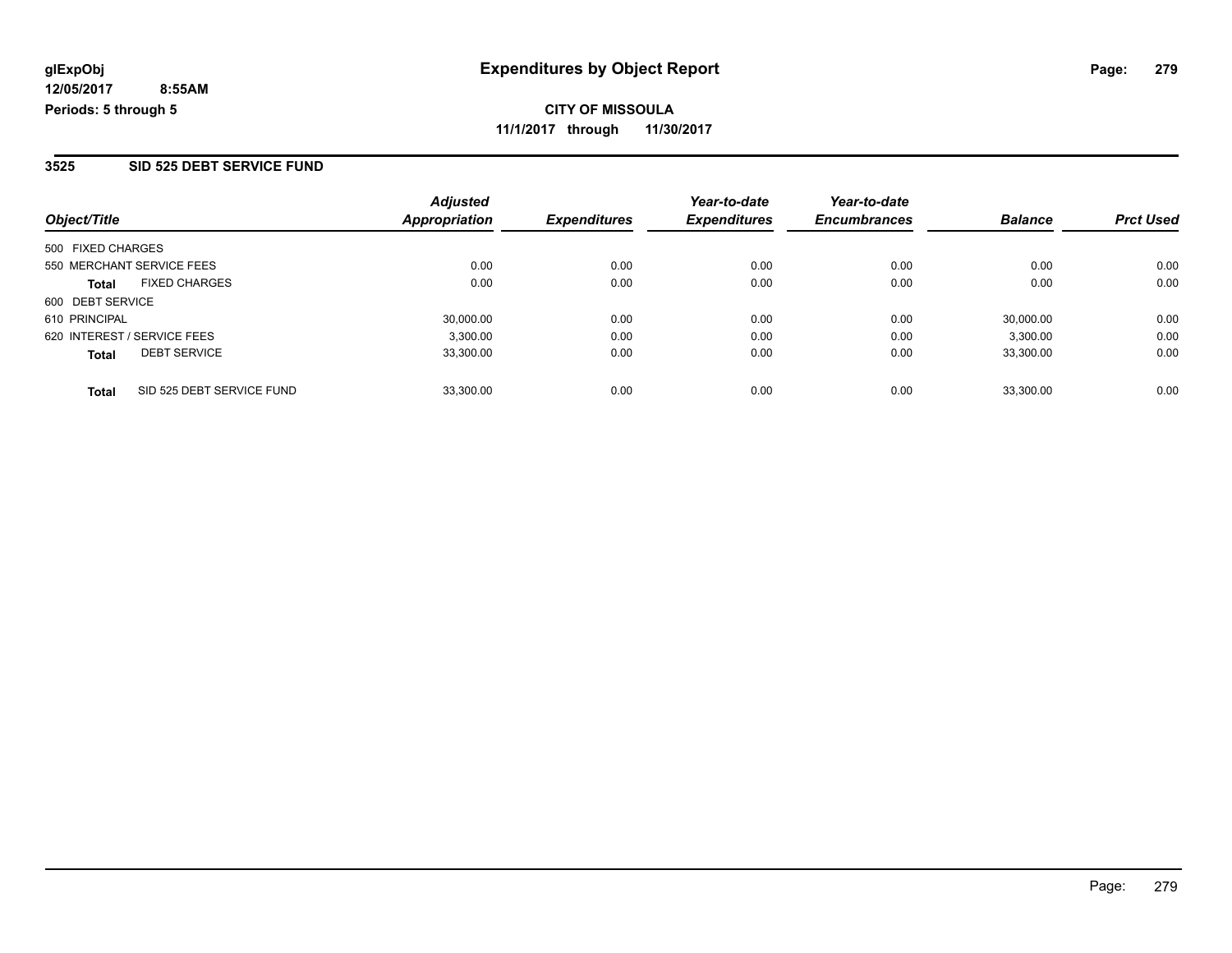#### **3525 SID 525 DEBT SERVICE FUND**

**12/05/2017**

| Object/Title                              | <b>Adjusted</b><br>Appropriation | <b>Expenditures</b> | Year-to-date<br><b>Expenditures</b> | Year-to-date<br><b>Encumbrances</b> | <b>Balance</b> | <b>Prct Used</b> |
|-------------------------------------------|----------------------------------|---------------------|-------------------------------------|-------------------------------------|----------------|------------------|
| 500 FIXED CHARGES                         |                                  |                     |                                     |                                     |                |                  |
| 550 MERCHANT SERVICE FEES                 | 0.00                             | 0.00                | 0.00                                | 0.00                                | 0.00           | 0.00             |
| <b>FIXED CHARGES</b><br><b>Total</b>      | 0.00                             | 0.00                | 0.00                                | 0.00                                | 0.00           | 0.00             |
| 600 DEBT SERVICE                          |                                  |                     |                                     |                                     |                |                  |
| 610 PRINCIPAL                             | 30.000.00                        | 0.00                | 0.00                                | 0.00                                | 30,000.00      | 0.00             |
| 620 INTEREST / SERVICE FEES               | 3,300.00                         | 0.00                | 0.00                                | 0.00                                | 3,300.00       | 0.00             |
| <b>DEBT SERVICE</b><br><b>Total</b>       | 33,300.00                        | 0.00                | 0.00                                | 0.00                                | 33.300.00      | 0.00             |
| SID 525 DEBT SERVICE FUND<br><b>Total</b> | 33.300.00                        | 0.00                | 0.00                                | 0.00                                | 33.300.00      | 0.00             |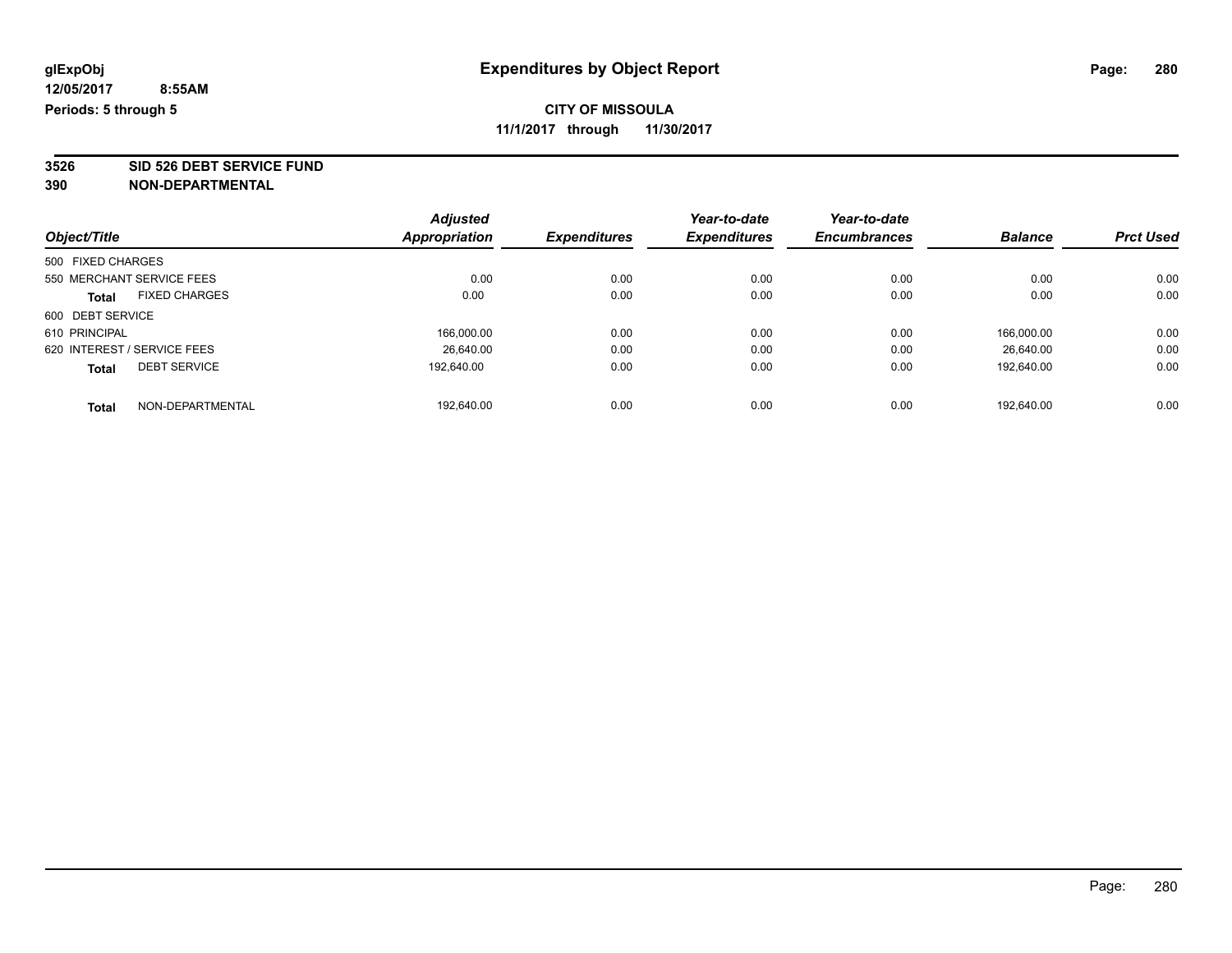**3526 SID 526 DEBT SERVICE FUND**

|                             |                      | <b>Adjusted</b>      |                     | Year-to-date        | Year-to-date        |                |                  |
|-----------------------------|----------------------|----------------------|---------------------|---------------------|---------------------|----------------|------------------|
| Object/Title                |                      | <b>Appropriation</b> | <b>Expenditures</b> | <b>Expenditures</b> | <b>Encumbrances</b> | <b>Balance</b> | <b>Prct Used</b> |
| 500 FIXED CHARGES           |                      |                      |                     |                     |                     |                |                  |
| 550 MERCHANT SERVICE FEES   |                      | 0.00                 | 0.00                | 0.00                | 0.00                | 0.00           | 0.00             |
| <b>Total</b>                | <b>FIXED CHARGES</b> | 0.00                 | 0.00                | 0.00                | 0.00                | 0.00           | 0.00             |
| 600 DEBT SERVICE            |                      |                      |                     |                     |                     |                |                  |
| 610 PRINCIPAL               |                      | 166,000.00           | 0.00                | 0.00                | 0.00                | 166.000.00     | 0.00             |
| 620 INTEREST / SERVICE FEES |                      | 26.640.00            | 0.00                | 0.00                | 0.00                | 26.640.00      | 0.00             |
| <b>Total</b>                | <b>DEBT SERVICE</b>  | 192.640.00           | 0.00                | 0.00                | 0.00                | 192,640.00     | 0.00             |
| <b>Total</b>                | NON-DEPARTMENTAL     | 192.640.00           | 0.00                | 0.00                | 0.00                | 192.640.00     | 0.00             |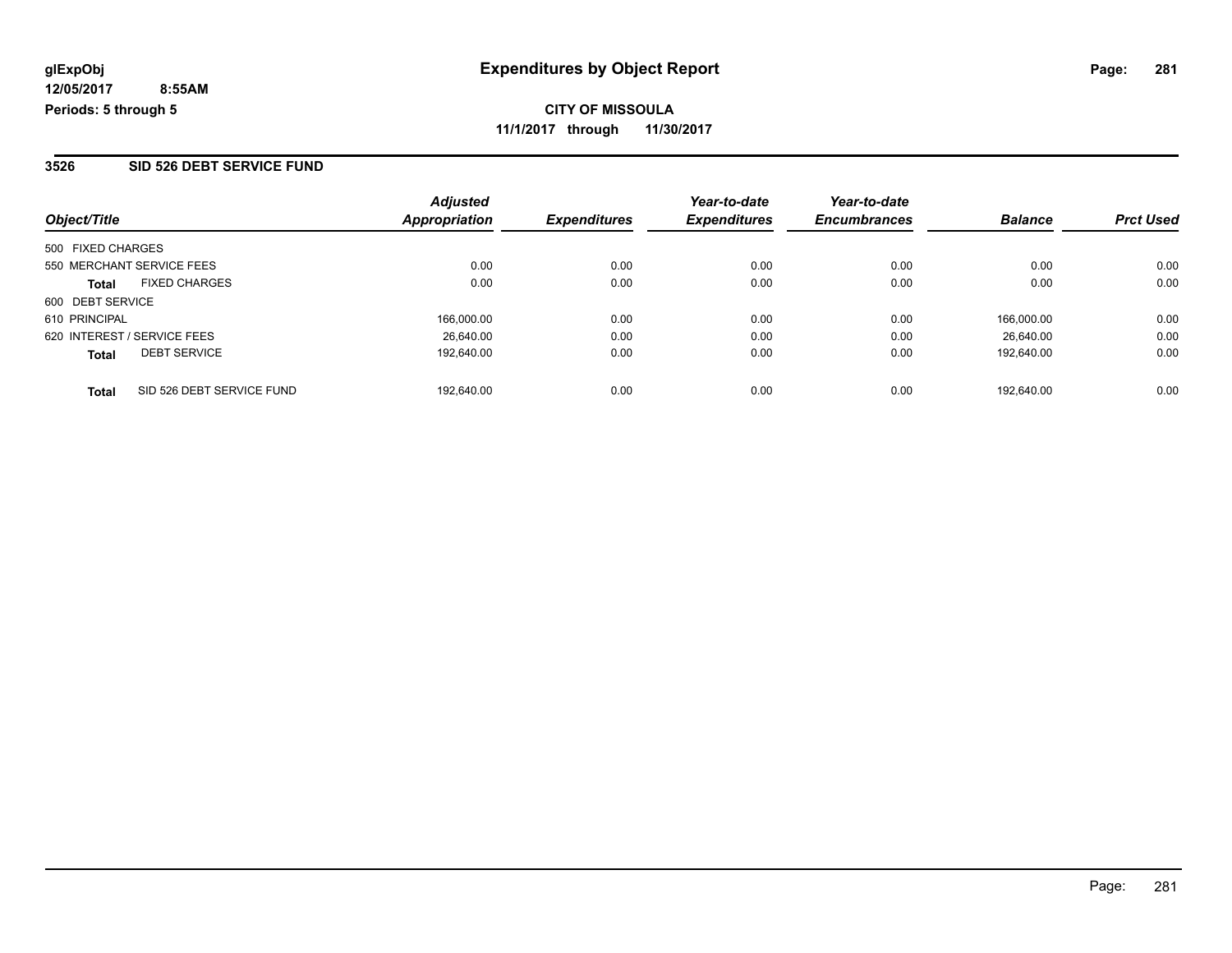#### **3526 SID 526 DEBT SERVICE FUND**

| Object/Title      |                             | <b>Adjusted</b><br><b>Appropriation</b> | <b>Expenditures</b> | Year-to-date<br><b>Expenditures</b> | Year-to-date<br><b>Encumbrances</b> | <b>Balance</b> | <b>Prct Used</b> |
|-------------------|-----------------------------|-----------------------------------------|---------------------|-------------------------------------|-------------------------------------|----------------|------------------|
|                   |                             |                                         |                     |                                     |                                     |                |                  |
| 500 FIXED CHARGES |                             |                                         |                     |                                     |                                     |                |                  |
|                   | 550 MERCHANT SERVICE FEES   | 0.00                                    | 0.00                | 0.00                                | 0.00                                | 0.00           | 0.00             |
| <b>Total</b>      | <b>FIXED CHARGES</b>        | 0.00                                    | 0.00                | 0.00                                | 0.00                                | 0.00           | 0.00             |
| 600 DEBT SERVICE  |                             |                                         |                     |                                     |                                     |                |                  |
| 610 PRINCIPAL     |                             | 166,000.00                              | 0.00                | 0.00                                | 0.00                                | 166.000.00     | 0.00             |
|                   | 620 INTEREST / SERVICE FEES | 26.640.00                               | 0.00                | 0.00                                | 0.00                                | 26.640.00      | 0.00             |
| <b>Total</b>      | <b>DEBT SERVICE</b>         | 192.640.00                              | 0.00                | 0.00                                | 0.00                                | 192.640.00     | 0.00             |
| <b>Total</b>      | SID 526 DEBT SERVICE FUND   | 192.640.00                              | 0.00                | 0.00                                | 0.00                                | 192.640.00     | 0.00             |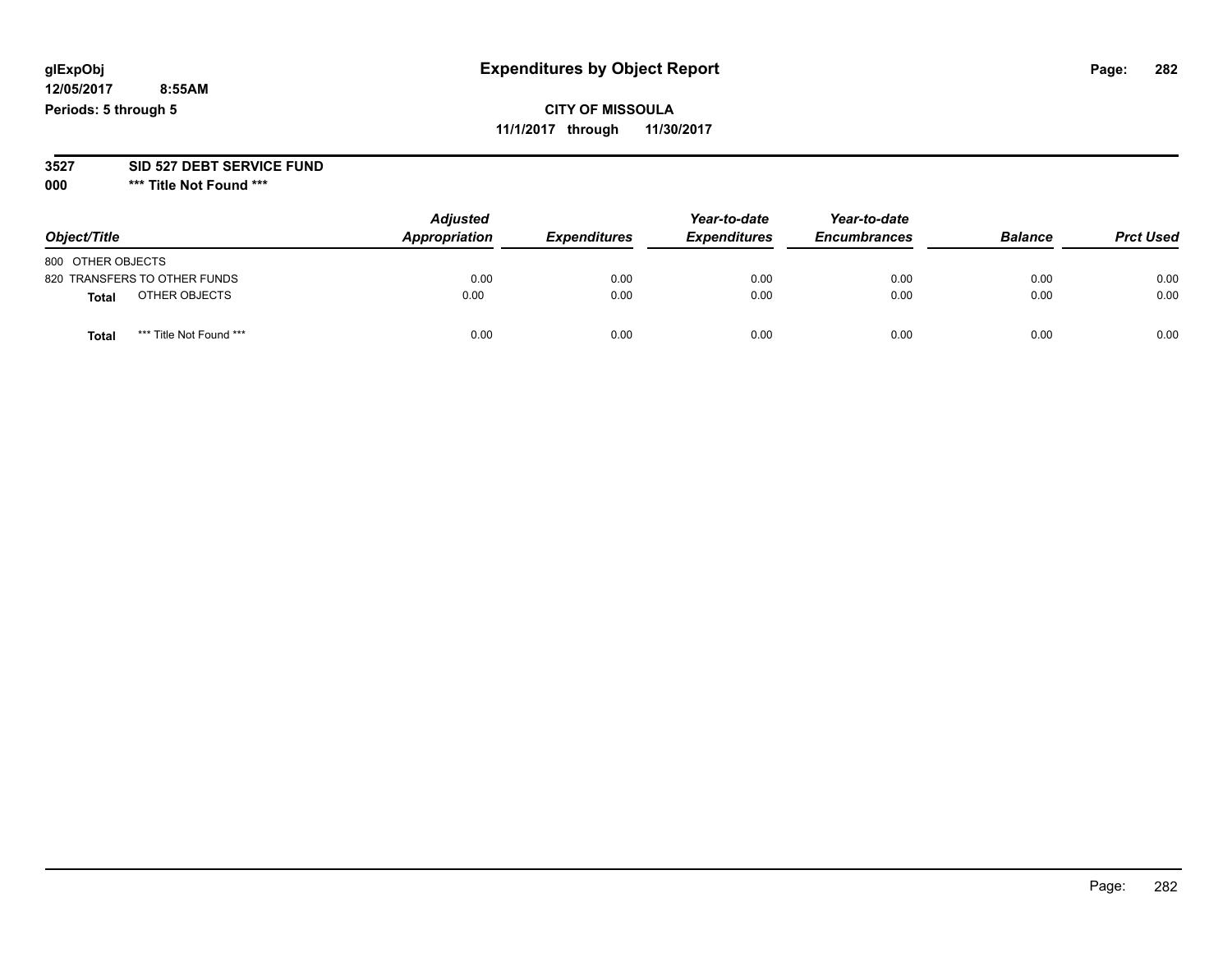## **glExpObj Expenditures by Object Report Page: 282**

**12/05/2017 8:55AM Periods: 5 through 5**

## **CITY OF MISSOULA 11/1/2017 through 11/30/2017**

#### **3527 SID 527 DEBT SERVICE FUND**

**000 \*\*\* Title Not Found \*\*\***

| Object/Title      |                              | <b>Adjusted</b><br>Appropriation | <b>Expenditures</b> | Year-to-date<br><b>Expenditures</b> | Year-to-date<br><b>Encumbrances</b> | <b>Balance</b> | <b>Prct Used</b> |
|-------------------|------------------------------|----------------------------------|---------------------|-------------------------------------|-------------------------------------|----------------|------------------|
| 800 OTHER OBJECTS |                              |                                  |                     |                                     |                                     |                |                  |
|                   | 820 TRANSFERS TO OTHER FUNDS | 0.00                             | 0.00                | 0.00                                | 0.00                                | 0.00           | 0.00             |
| <b>Total</b>      | OTHER OBJECTS                | 0.00                             | 0.00                | 0.00                                | 0.00                                | 0.00           | 0.00             |
| <b>Total</b>      | *** Title Not Found ***      | 0.00                             | 0.00                | 0.00                                | 0.00                                | 0.00           | 0.00             |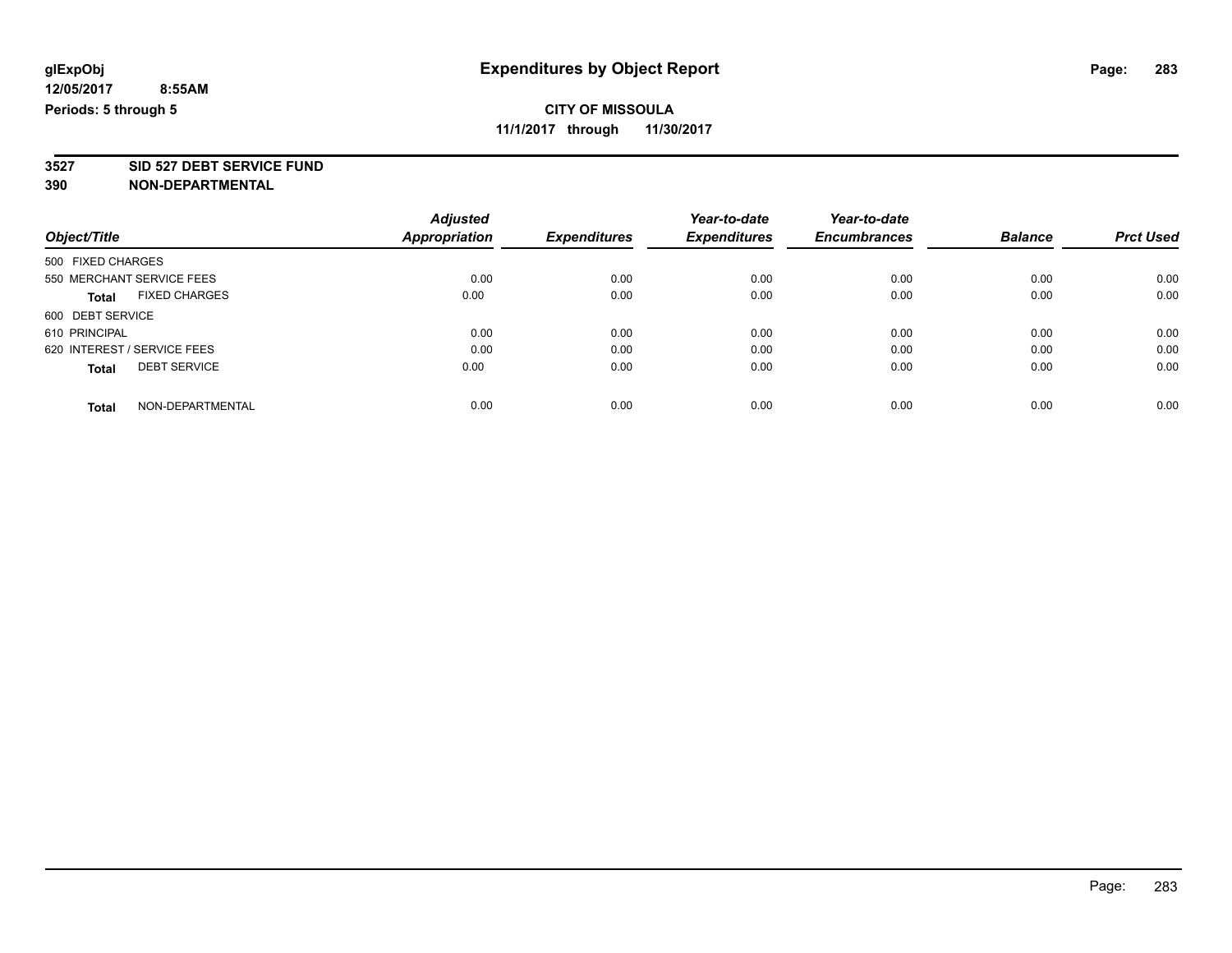## **CITY OF MISSOULA**

**11/1/2017 through 11/30/2017**

**3527 SID 527 DEBT SERVICE FUND**

|                                      | <b>Adjusted</b> |                     | Year-to-date        | Year-to-date        |                |                  |
|--------------------------------------|-----------------|---------------------|---------------------|---------------------|----------------|------------------|
| Object/Title                         | Appropriation   | <b>Expenditures</b> | <b>Expenditures</b> | <b>Encumbrances</b> | <b>Balance</b> | <b>Prct Used</b> |
| 500 FIXED CHARGES                    |                 |                     |                     |                     |                |                  |
| 550 MERCHANT SERVICE FEES            | 0.00            | 0.00                | 0.00                | 0.00                | 0.00           | 0.00             |
| <b>FIXED CHARGES</b><br><b>Total</b> | 0.00            | 0.00                | 0.00                | 0.00                | 0.00           | 0.00             |
| 600 DEBT SERVICE                     |                 |                     |                     |                     |                |                  |
| 610 PRINCIPAL                        | 0.00            | 0.00                | 0.00                | 0.00                | 0.00           | 0.00             |
| 620 INTEREST / SERVICE FEES          | 0.00            | 0.00                | 0.00                | 0.00                | 0.00           | 0.00             |
| <b>DEBT SERVICE</b><br><b>Total</b>  | 0.00            | 0.00                | 0.00                | 0.00                | 0.00           | 0.00             |
| NON-DEPARTMENTAL<br><b>Total</b>     | 0.00            | 0.00                | 0.00                | 0.00                | 0.00           | 0.00             |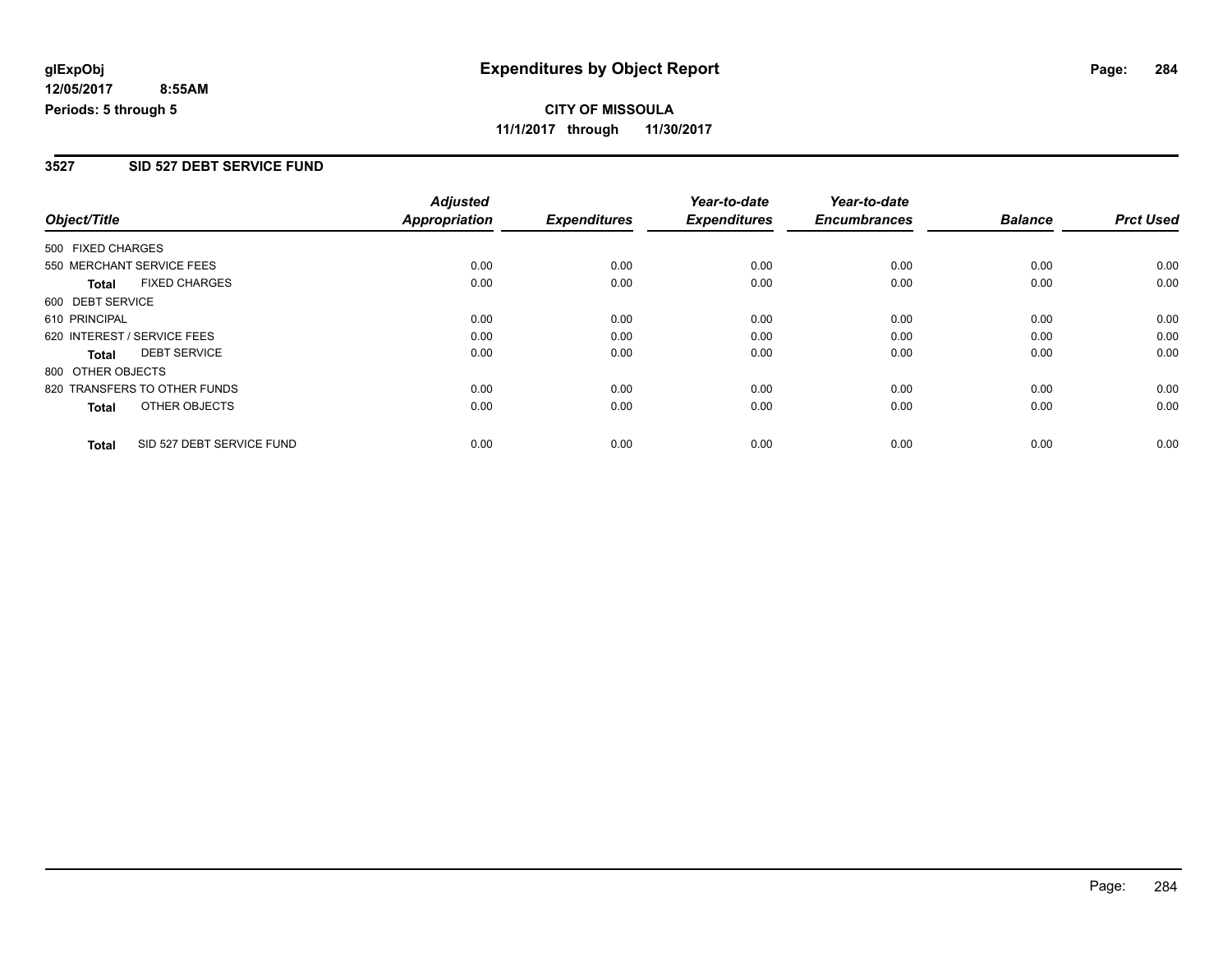## **CITY OF MISSOULA 11/1/2017 through 11/30/2017**

### **3527 SID 527 DEBT SERVICE FUND**

|                             |                              | <b>Adjusted</b> |                     | Year-to-date        | Year-to-date        |                |                  |
|-----------------------------|------------------------------|-----------------|---------------------|---------------------|---------------------|----------------|------------------|
| Object/Title                |                              | Appropriation   | <b>Expenditures</b> | <b>Expenditures</b> | <b>Encumbrances</b> | <b>Balance</b> | <b>Prct Used</b> |
| 500 FIXED CHARGES           |                              |                 |                     |                     |                     |                |                  |
| 550 MERCHANT SERVICE FEES   |                              | 0.00            | 0.00                | 0.00                | 0.00                | 0.00           | 0.00             |
| <b>Total</b>                | <b>FIXED CHARGES</b>         | 0.00            | 0.00                | 0.00                | 0.00                | 0.00           | 0.00             |
| 600 DEBT SERVICE            |                              |                 |                     |                     |                     |                |                  |
| 610 PRINCIPAL               |                              | 0.00            | 0.00                | 0.00                | 0.00                | 0.00           | 0.00             |
| 620 INTEREST / SERVICE FEES |                              | 0.00            | 0.00                | 0.00                | 0.00                | 0.00           | 0.00             |
| <b>Total</b>                | <b>DEBT SERVICE</b>          | 0.00            | 0.00                | 0.00                | 0.00                | 0.00           | 0.00             |
| 800 OTHER OBJECTS           |                              |                 |                     |                     |                     |                |                  |
|                             | 820 TRANSFERS TO OTHER FUNDS | 0.00            | 0.00                | 0.00                | 0.00                | 0.00           | 0.00             |
| <b>Total</b>                | OTHER OBJECTS                | 0.00            | 0.00                | 0.00                | 0.00                | 0.00           | 0.00             |
| <b>Total</b>                | SID 527 DEBT SERVICE FUND    | 0.00            | 0.00                | 0.00                | 0.00                | 0.00           | 0.00             |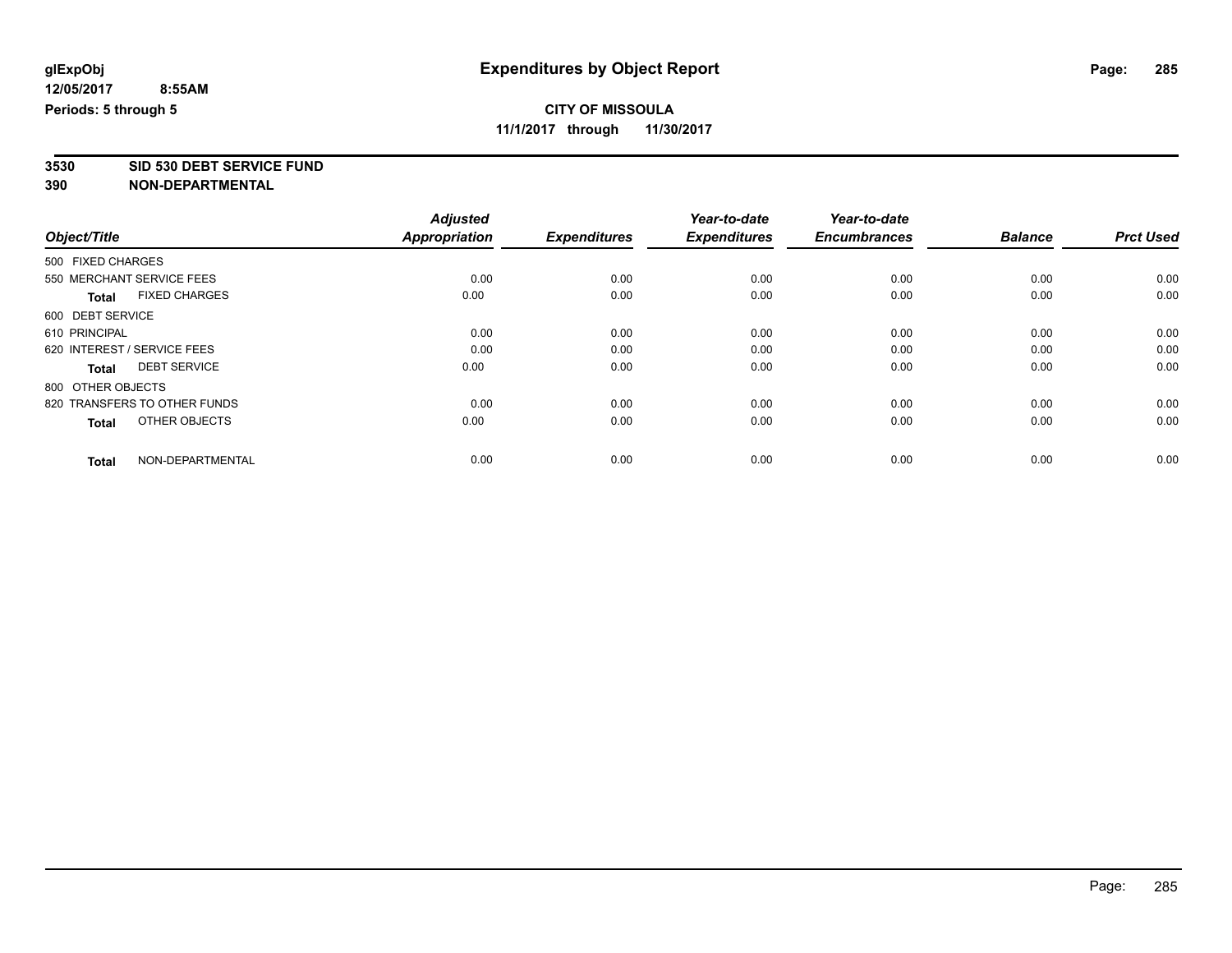## **CITY OF MISSOULA**

**11/1/2017 through 11/30/2017**

**3530 SID 530 DEBT SERVICE FUND**

|                                      | <b>Adjusted</b>      |                     | Year-to-date        | Year-to-date        |                |                  |
|--------------------------------------|----------------------|---------------------|---------------------|---------------------|----------------|------------------|
| Object/Title                         | <b>Appropriation</b> | <b>Expenditures</b> | <b>Expenditures</b> | <b>Encumbrances</b> | <b>Balance</b> | <b>Prct Used</b> |
| 500 FIXED CHARGES                    |                      |                     |                     |                     |                |                  |
| 550 MERCHANT SERVICE FEES            | 0.00                 | 0.00                | 0.00                | 0.00                | 0.00           | 0.00             |
| <b>FIXED CHARGES</b><br><b>Total</b> | 0.00                 | 0.00                | 0.00                | 0.00                | 0.00           | 0.00             |
| 600 DEBT SERVICE                     |                      |                     |                     |                     |                |                  |
| 610 PRINCIPAL                        | 0.00                 | 0.00                | 0.00                | 0.00                | 0.00           | 0.00             |
| 620 INTEREST / SERVICE FEES          | 0.00                 | 0.00                | 0.00                | 0.00                | 0.00           | 0.00             |
| <b>DEBT SERVICE</b><br><b>Total</b>  | 0.00                 | 0.00                | 0.00                | 0.00                | 0.00           | 0.00             |
| 800 OTHER OBJECTS                    |                      |                     |                     |                     |                |                  |
| 820 TRANSFERS TO OTHER FUNDS         | 0.00                 | 0.00                | 0.00                | 0.00                | 0.00           | 0.00             |
| OTHER OBJECTS<br><b>Total</b>        | 0.00                 | 0.00                | 0.00                | 0.00                | 0.00           | 0.00             |
|                                      |                      |                     |                     |                     |                |                  |
| NON-DEPARTMENTAL<br><b>Total</b>     | 0.00                 | 0.00                | 0.00                | 0.00                | 0.00           | 0.00             |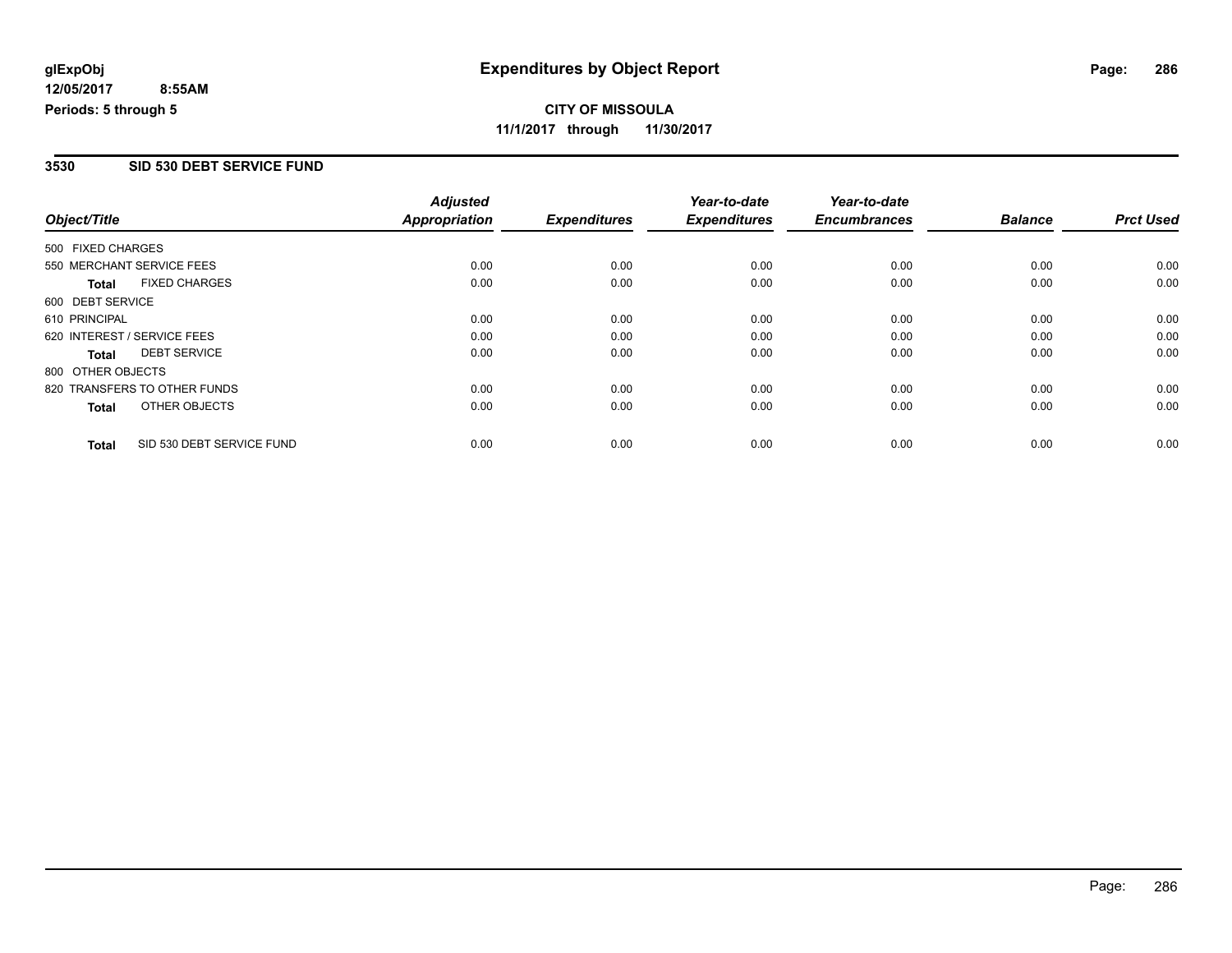## **CITY OF MISSOULA 11/1/2017 through 11/30/2017**

### **3530 SID 530 DEBT SERVICE FUND**

|                   |                              | <b>Adjusted</b> |                     | Year-to-date        | Year-to-date        |                |                  |
|-------------------|------------------------------|-----------------|---------------------|---------------------|---------------------|----------------|------------------|
| Object/Title      |                              | Appropriation   | <b>Expenditures</b> | <b>Expenditures</b> | <b>Encumbrances</b> | <b>Balance</b> | <b>Prct Used</b> |
| 500 FIXED CHARGES |                              |                 |                     |                     |                     |                |                  |
|                   | 550 MERCHANT SERVICE FEES    | 0.00            | 0.00                | 0.00                | 0.00                | 0.00           | 0.00             |
| <b>Total</b>      | <b>FIXED CHARGES</b>         | 0.00            | 0.00                | 0.00                | 0.00                | 0.00           | 0.00             |
| 600 DEBT SERVICE  |                              |                 |                     |                     |                     |                |                  |
| 610 PRINCIPAL     |                              | 0.00            | 0.00                | 0.00                | 0.00                | 0.00           | 0.00             |
|                   | 620 INTEREST / SERVICE FEES  | 0.00            | 0.00                | 0.00                | 0.00                | 0.00           | 0.00             |
| Total             | <b>DEBT SERVICE</b>          | 0.00            | 0.00                | 0.00                | 0.00                | 0.00           | 0.00             |
| 800 OTHER OBJECTS |                              |                 |                     |                     |                     |                |                  |
|                   | 820 TRANSFERS TO OTHER FUNDS | 0.00            | 0.00                | 0.00                | 0.00                | 0.00           | 0.00             |
| <b>Total</b>      | OTHER OBJECTS                | 0.00            | 0.00                | 0.00                | 0.00                | 0.00           | 0.00             |
| <b>Total</b>      | SID 530 DEBT SERVICE FUND    | 0.00            | 0.00                | 0.00                | 0.00                | 0.00           | 0.00             |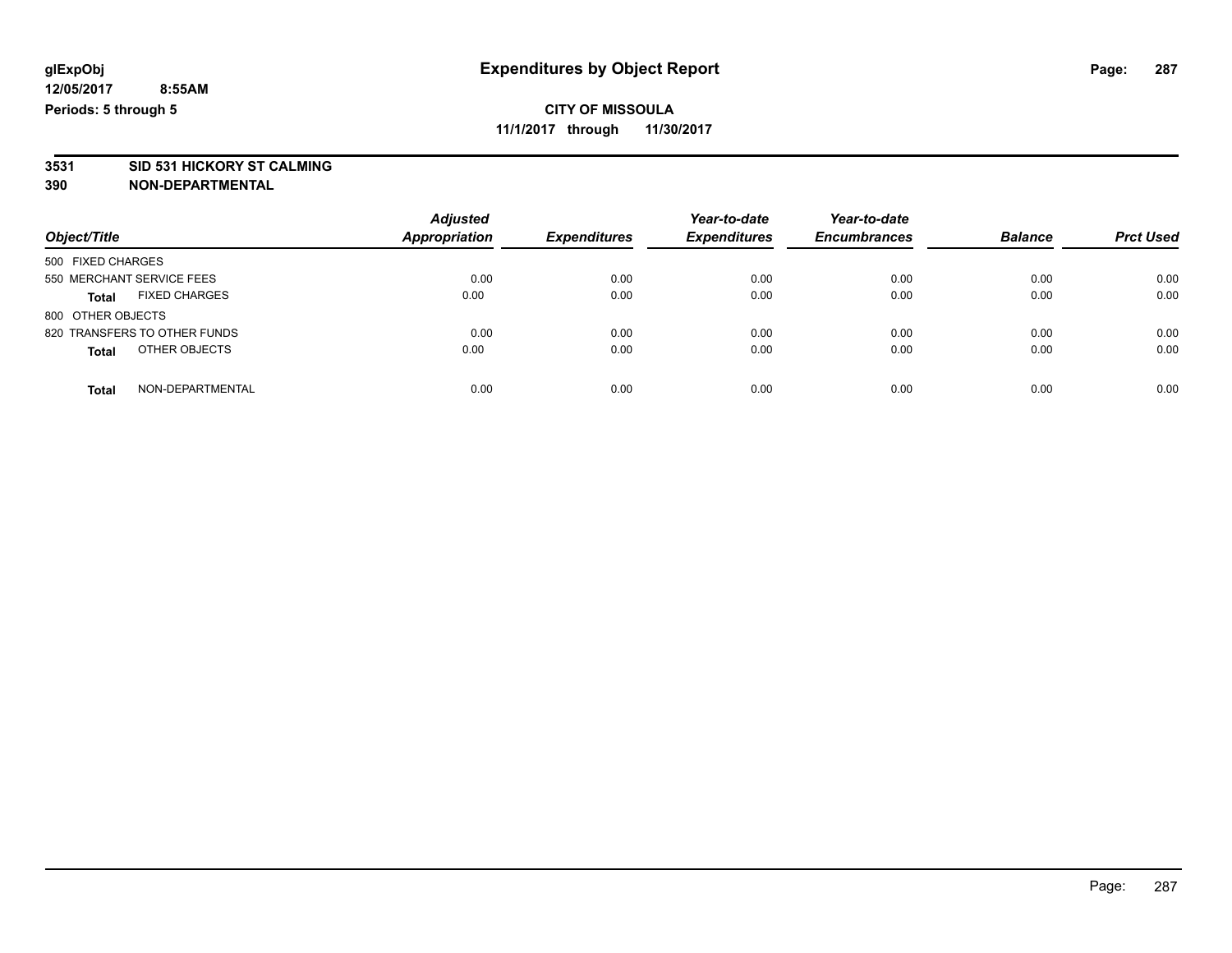**3531 SID 531 HICKORY ST CALMING**

| Object/Title                         | <b>Adjusted</b><br><b>Appropriation</b> | <b>Expenditures</b> | Year-to-date<br><b>Expenditures</b> | Year-to-date<br><b>Encumbrances</b> | <b>Balance</b> | <b>Prct Used</b> |
|--------------------------------------|-----------------------------------------|---------------------|-------------------------------------|-------------------------------------|----------------|------------------|
| 500 FIXED CHARGES                    |                                         |                     |                                     |                                     |                |                  |
| 550 MERCHANT SERVICE FEES            | 0.00                                    | 0.00                | 0.00                                | 0.00                                | 0.00           | 0.00             |
| <b>FIXED CHARGES</b><br><b>Total</b> | 0.00                                    | 0.00                | 0.00                                | 0.00                                | 0.00           | 0.00             |
| 800 OTHER OBJECTS                    |                                         |                     |                                     |                                     |                |                  |
| 820 TRANSFERS TO OTHER FUNDS         | 0.00                                    | 0.00                | 0.00                                | 0.00                                | 0.00           | 0.00             |
| OTHER OBJECTS<br><b>Total</b>        | 0.00                                    | 0.00                | 0.00                                | 0.00                                | 0.00           | 0.00             |
| NON-DEPARTMENTAL<br>Total            | 0.00                                    | 0.00                | 0.00                                | 0.00                                | 0.00           | 0.00             |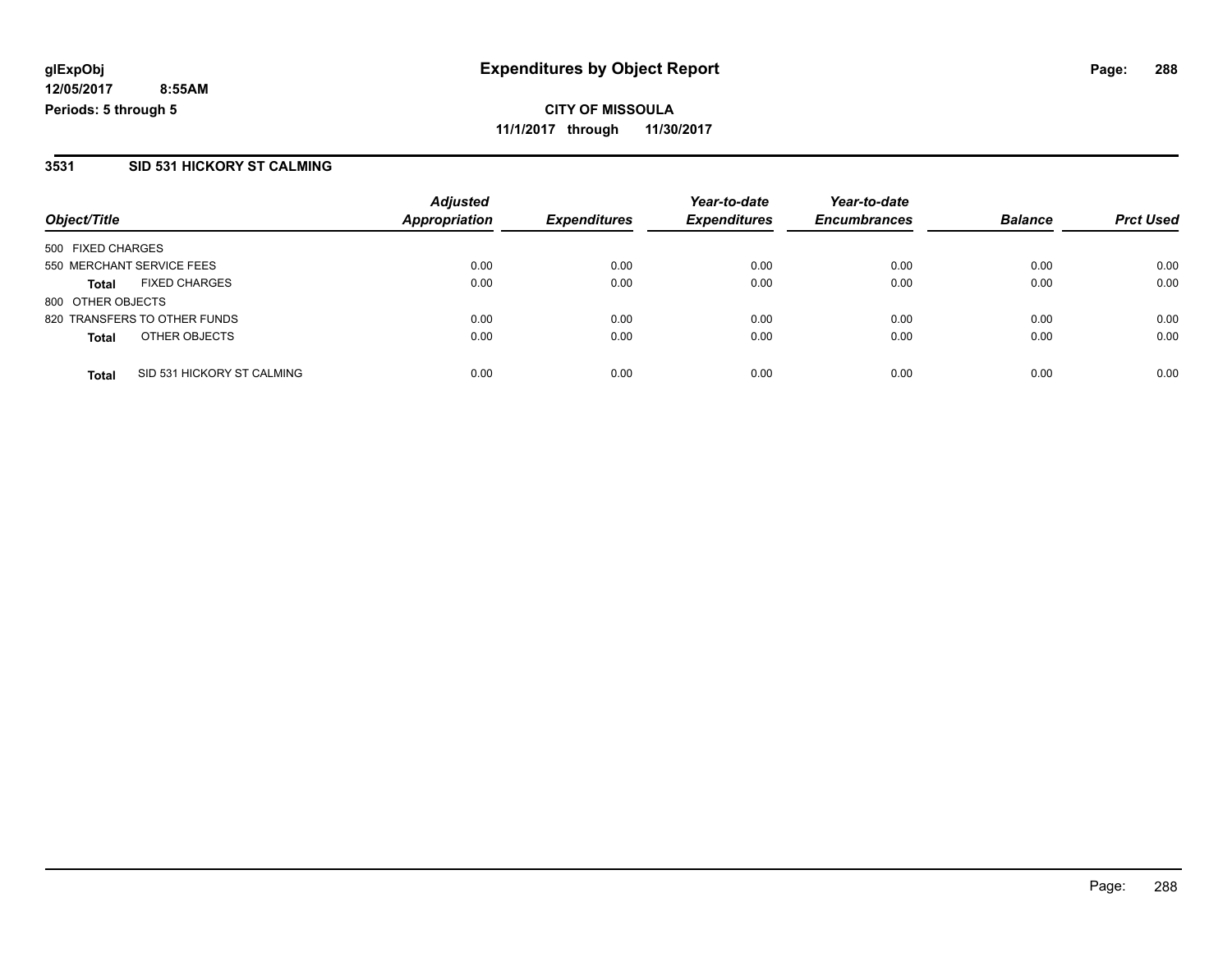### **3531 SID 531 HICKORY ST CALMING**

|                                            | <b>Adjusted</b>      |                     | Year-to-date        | Year-to-date        |                |                  |
|--------------------------------------------|----------------------|---------------------|---------------------|---------------------|----------------|------------------|
| Object/Title                               | <b>Appropriation</b> | <b>Expenditures</b> | <b>Expenditures</b> | <b>Encumbrances</b> | <b>Balance</b> | <b>Prct Used</b> |
| 500 FIXED CHARGES                          |                      |                     |                     |                     |                |                  |
| 550 MERCHANT SERVICE FEES                  | 0.00                 | 0.00                | 0.00                | 0.00                | 0.00           | 0.00             |
| <b>FIXED CHARGES</b><br><b>Total</b>       | 0.00                 | 0.00                | 0.00                | 0.00                | 0.00           | 0.00             |
| 800 OTHER OBJECTS                          |                      |                     |                     |                     |                |                  |
| 820 TRANSFERS TO OTHER FUNDS               | 0.00                 | 0.00                | 0.00                | 0.00                | 0.00           | 0.00             |
| OTHER OBJECTS<br><b>Total</b>              | 0.00                 | 0.00                | 0.00                | 0.00                | 0.00           | 0.00             |
| SID 531 HICKORY ST CALMING<br><b>Total</b> | 0.00                 | 0.00                | 0.00                | 0.00                | 0.00           | 0.00             |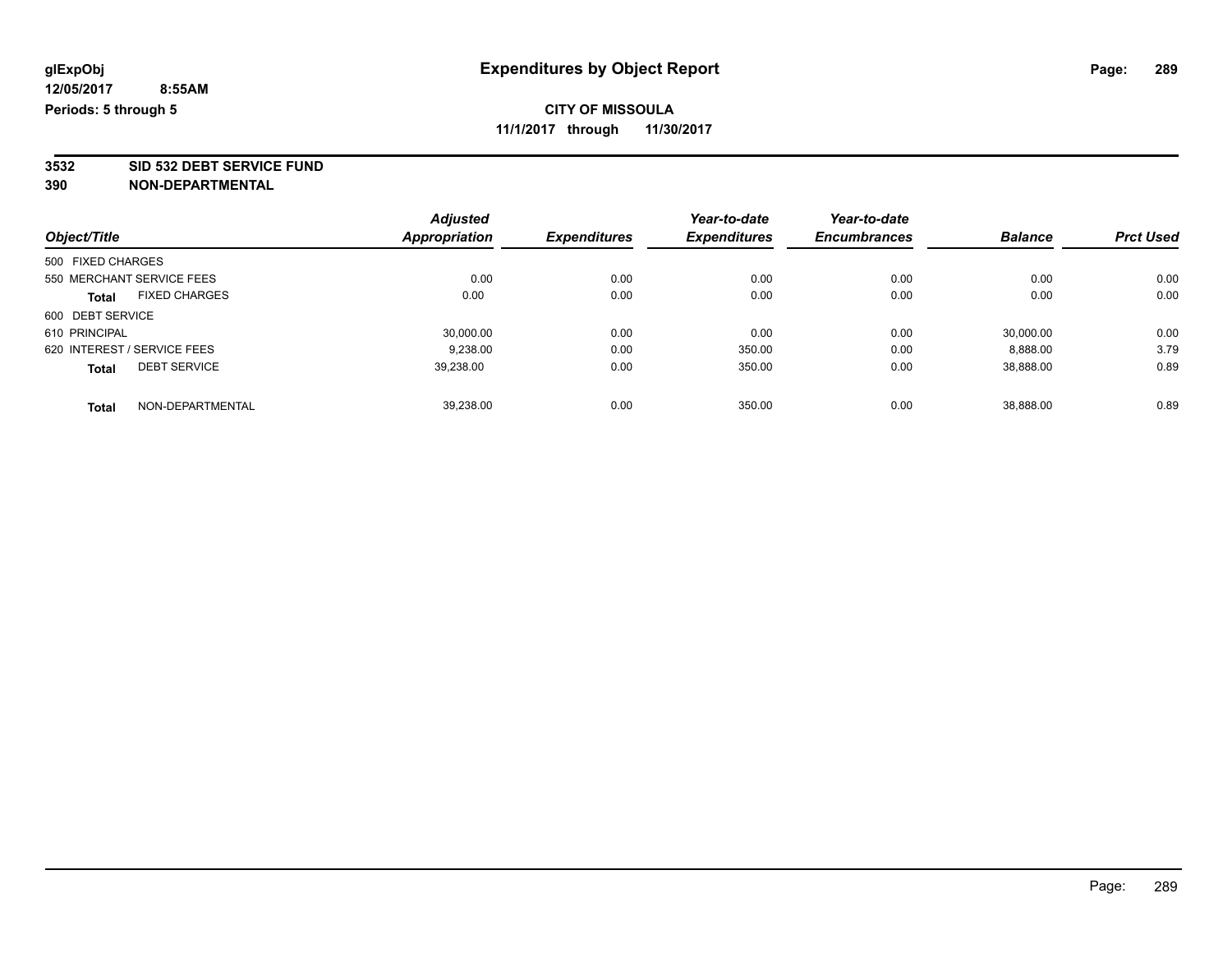**3532 SID 532 DEBT SERVICE FUND**

| Object/Title                         |  | <b>Adjusted</b> | <b>Expenditures</b> | Year-to-date        | Year-to-date<br><b>Encumbrances</b> |                |                  |
|--------------------------------------|--|-----------------|---------------------|---------------------|-------------------------------------|----------------|------------------|
|                                      |  | Appropriation   |                     | <b>Expenditures</b> |                                     | <b>Balance</b> | <b>Prct Used</b> |
| 500 FIXED CHARGES                    |  |                 |                     |                     |                                     |                |                  |
| 550 MERCHANT SERVICE FEES            |  | 0.00            | 0.00                | 0.00                | 0.00                                | 0.00           | 0.00             |
| <b>FIXED CHARGES</b><br><b>Total</b> |  | 0.00            | 0.00                | 0.00                | 0.00                                | 0.00           | 0.00             |
| 600 DEBT SERVICE                     |  |                 |                     |                     |                                     |                |                  |
| 610 PRINCIPAL                        |  | 30,000.00       | 0.00                | 0.00                | 0.00                                | 30,000.00      | 0.00             |
| 620 INTEREST / SERVICE FEES          |  | 9,238.00        | 0.00                | 350.00              | 0.00                                | 8,888.00       | 3.79             |
| <b>DEBT SERVICE</b><br><b>Total</b>  |  | 39.238.00       | 0.00                | 350.00              | 0.00                                | 38.888.00      | 0.89             |
| NON-DEPARTMENTAL<br><b>Total</b>     |  | 39.238.00       | 0.00                | 350.00              | 0.00                                | 38.888.00      | 0.89             |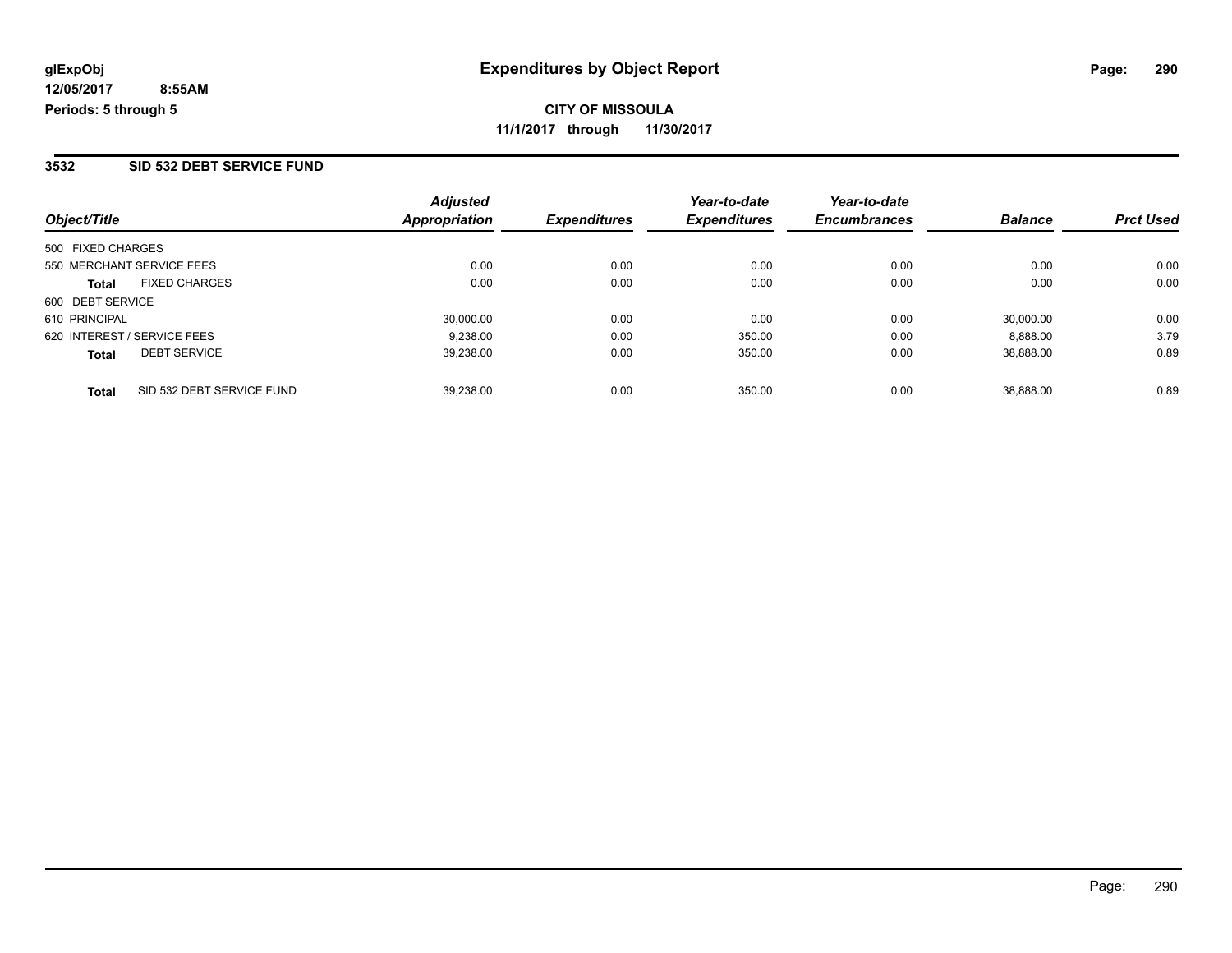#### **3532 SID 532 DEBT SERVICE FUND**

| Object/Title                              | <b>Adjusted</b><br>Appropriation | <b>Expenditures</b> | Year-to-date<br><b>Expenditures</b> | Year-to-date<br><b>Encumbrances</b> | <b>Balance</b> | <b>Prct Used</b> |
|-------------------------------------------|----------------------------------|---------------------|-------------------------------------|-------------------------------------|----------------|------------------|
| 500 FIXED CHARGES                         |                                  |                     |                                     |                                     |                |                  |
| 550 MERCHANT SERVICE FEES                 | 0.00                             | 0.00                | 0.00                                | 0.00                                | 0.00           | 0.00             |
| <b>FIXED CHARGES</b><br><b>Total</b>      | 0.00                             | 0.00                | 0.00                                | 0.00                                | 0.00           | 0.00             |
| 600 DEBT SERVICE                          |                                  |                     |                                     |                                     |                |                  |
| 610 PRINCIPAL                             | 30,000.00                        | 0.00                | 0.00                                | 0.00                                | 30,000.00      | 0.00             |
| 620 INTEREST / SERVICE FEES               | 9.238.00                         | 0.00                | 350.00                              | 0.00                                | 8.888.00       | 3.79             |
| <b>DEBT SERVICE</b><br><b>Total</b>       | 39,238.00                        | 0.00                | 350.00                              | 0.00                                | 38,888.00      | 0.89             |
| SID 532 DEBT SERVICE FUND<br><b>Total</b> | 39.238.00                        | 0.00                | 350.00                              | 0.00                                | 38.888.00      | 0.89             |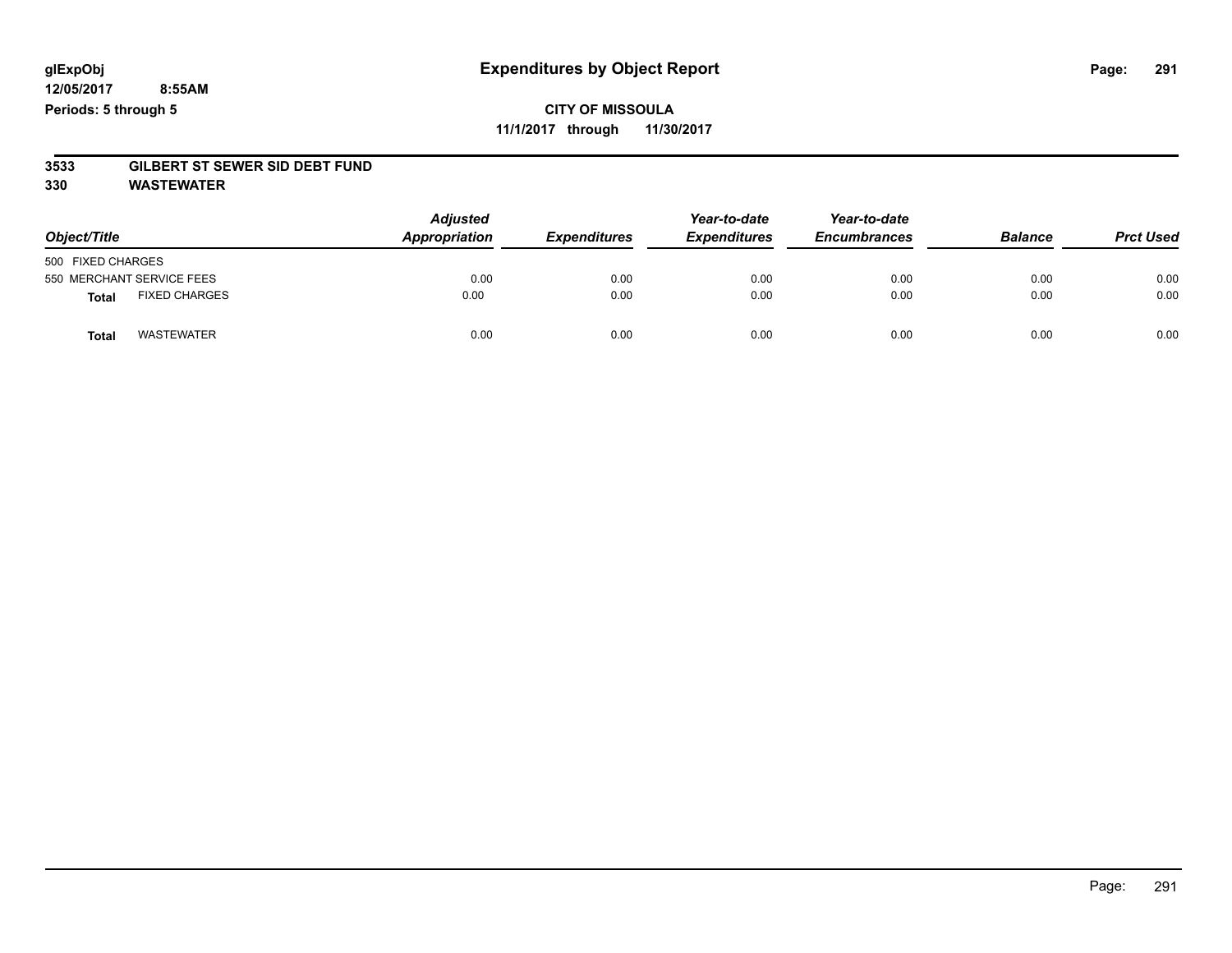# **3533 GILBERT ST SEWER SID DEBT FUND**

**330 WASTEWATER**

| Object/Title                         | <b>Adjusted</b><br>Appropriation | <b>Expenditures</b> | Year-to-date<br><b>Expenditures</b> | Year-to-date<br><b>Encumbrances</b> | <b>Balance</b> | <b>Prct Used</b> |
|--------------------------------------|----------------------------------|---------------------|-------------------------------------|-------------------------------------|----------------|------------------|
| 500 FIXED CHARGES                    |                                  |                     |                                     |                                     |                |                  |
| 550 MERCHANT SERVICE FEES            | 0.00                             | 0.00                | 0.00                                | 0.00                                | 0.00           | 0.00             |
| <b>FIXED CHARGES</b><br><b>Total</b> | 0.00                             | 0.00                | 0.00                                | 0.00                                | 0.00           | 0.00             |
| <b>WASTEWATER</b><br><b>Total</b>    | 0.00                             | 0.00                | 0.00                                | 0.00                                | 0.00           | 0.00             |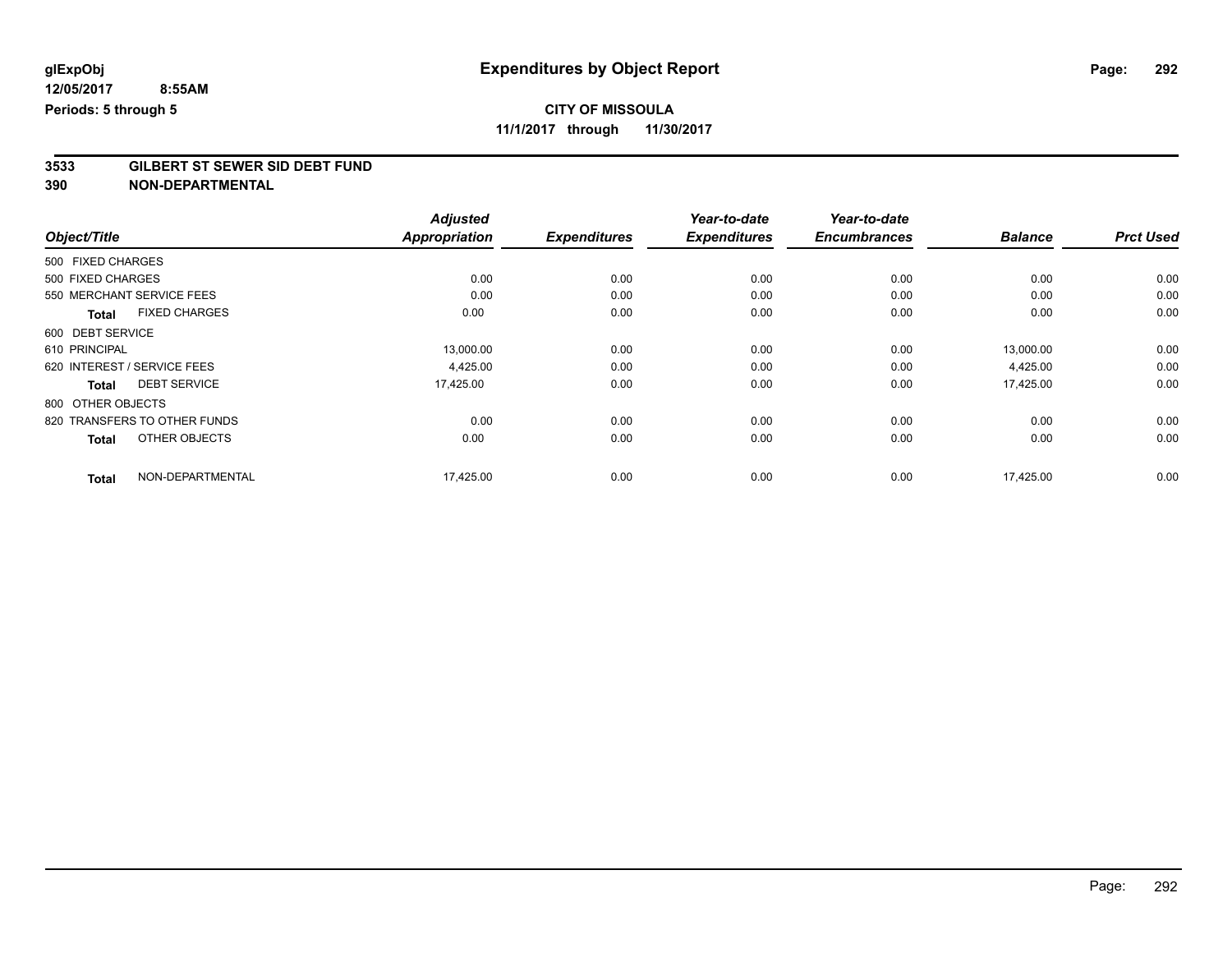## **CITY OF MISSOULA**

**11/1/2017 through 11/30/2017**

# **3533 GILBERT ST SEWER SID DEBT FUND**

|                                      | <b>Adjusted</b>      |                     | Year-to-date        | Year-to-date        |                |                  |
|--------------------------------------|----------------------|---------------------|---------------------|---------------------|----------------|------------------|
| Object/Title                         | <b>Appropriation</b> | <b>Expenditures</b> | <b>Expenditures</b> | <b>Encumbrances</b> | <b>Balance</b> | <b>Prct Used</b> |
| 500 FIXED CHARGES                    |                      |                     |                     |                     |                |                  |
| 500 FIXED CHARGES                    | 0.00                 | 0.00                | 0.00                | 0.00                | 0.00           | 0.00             |
| 550 MERCHANT SERVICE FEES            | 0.00                 | 0.00                | 0.00                | 0.00                | 0.00           | 0.00             |
| <b>FIXED CHARGES</b><br><b>Total</b> | 0.00                 | 0.00                | 0.00                | 0.00                | 0.00           | 0.00             |
| 600 DEBT SERVICE                     |                      |                     |                     |                     |                |                  |
| 610 PRINCIPAL                        | 13,000.00            | 0.00                | 0.00                | 0.00                | 13,000.00      | 0.00             |
| 620 INTEREST / SERVICE FEES          | 4,425.00             | 0.00                | 0.00                | 0.00                | 4,425.00       | 0.00             |
| <b>DEBT SERVICE</b><br><b>Total</b>  | 17,425.00            | 0.00                | 0.00                | 0.00                | 17,425.00      | 0.00             |
| 800 OTHER OBJECTS                    |                      |                     |                     |                     |                |                  |
| 820 TRANSFERS TO OTHER FUNDS         | 0.00                 | 0.00                | 0.00                | 0.00                | 0.00           | 0.00             |
| OTHER OBJECTS<br><b>Total</b>        | 0.00                 | 0.00                | 0.00                | 0.00                | 0.00           | 0.00             |
| NON-DEPARTMENTAL<br><b>Total</b>     | 17,425.00            | 0.00                | 0.00                | 0.00                | 17,425.00      | 0.00             |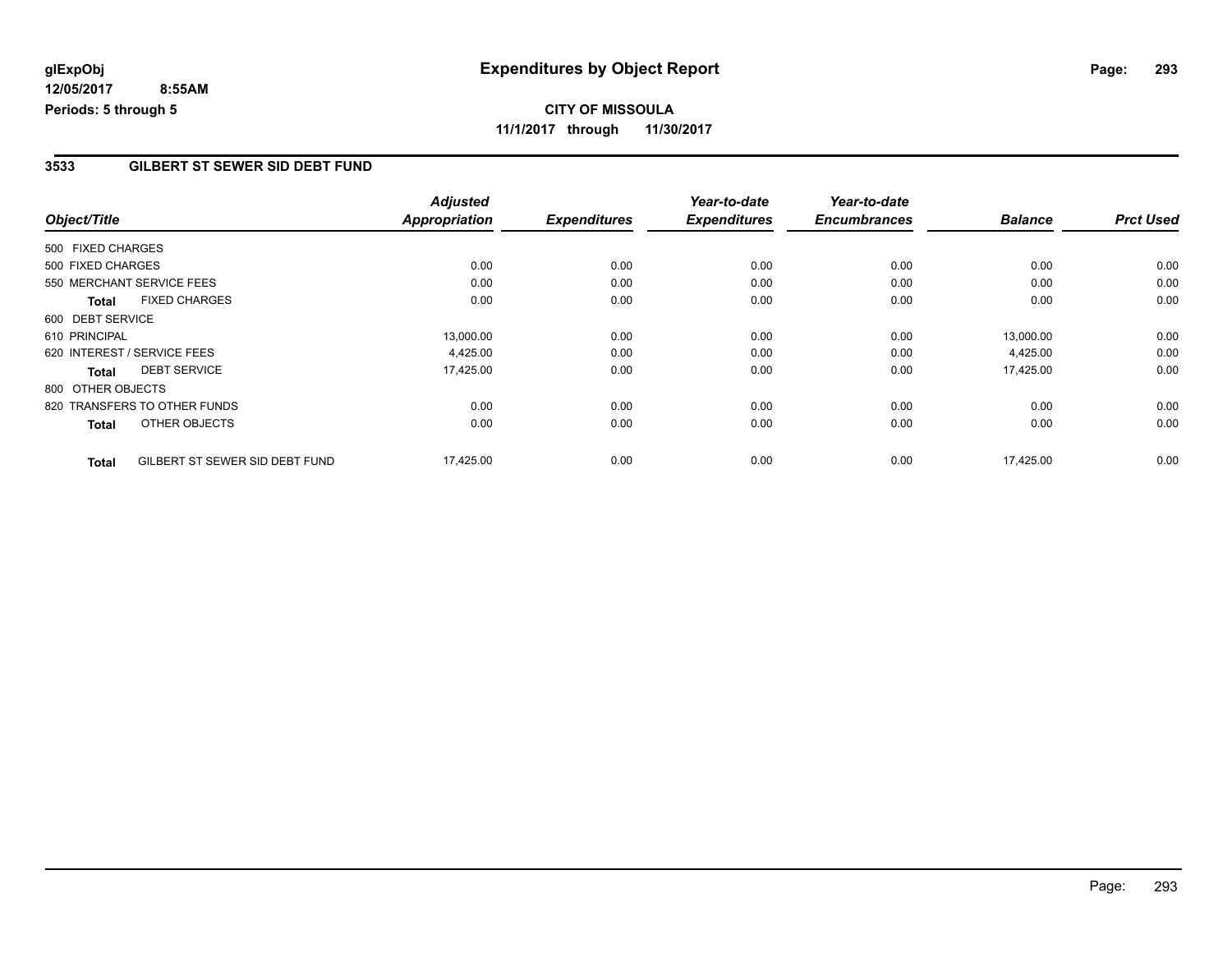#### **3533 GILBERT ST SEWER SID DEBT FUND**

|                   |                                | <b>Adjusted</b>      |                     | Year-to-date        | Year-to-date        |                |                  |
|-------------------|--------------------------------|----------------------|---------------------|---------------------|---------------------|----------------|------------------|
| Object/Title      |                                | <b>Appropriation</b> | <b>Expenditures</b> | <b>Expenditures</b> | <b>Encumbrances</b> | <b>Balance</b> | <b>Prct Used</b> |
| 500 FIXED CHARGES |                                |                      |                     |                     |                     |                |                  |
| 500 FIXED CHARGES |                                | 0.00                 | 0.00                | 0.00                | 0.00                | 0.00           | 0.00             |
|                   | 550 MERCHANT SERVICE FEES      | 0.00                 | 0.00                | 0.00                | 0.00                | 0.00           | 0.00             |
| <b>Total</b>      | <b>FIXED CHARGES</b>           | 0.00                 | 0.00                | 0.00                | 0.00                | 0.00           | 0.00             |
| 600 DEBT SERVICE  |                                |                      |                     |                     |                     |                |                  |
| 610 PRINCIPAL     |                                | 13,000.00            | 0.00                | 0.00                | 0.00                | 13,000.00      | 0.00             |
|                   | 620 INTEREST / SERVICE FEES    | 4,425.00             | 0.00                | 0.00                | 0.00                | 4,425.00       | 0.00             |
| <b>Total</b>      | <b>DEBT SERVICE</b>            | 17,425.00            | 0.00                | 0.00                | 0.00                | 17,425.00      | 0.00             |
| 800 OTHER OBJECTS |                                |                      |                     |                     |                     |                |                  |
|                   | 820 TRANSFERS TO OTHER FUNDS   | 0.00                 | 0.00                | 0.00                | 0.00                | 0.00           | 0.00             |
| <b>Total</b>      | OTHER OBJECTS                  | 0.00                 | 0.00                | 0.00                | 0.00                | 0.00           | 0.00             |
| <b>Total</b>      | GILBERT ST SEWER SID DEBT FUND | 17,425.00            | 0.00                | 0.00                | 0.00                | 17,425.00      | 0.00             |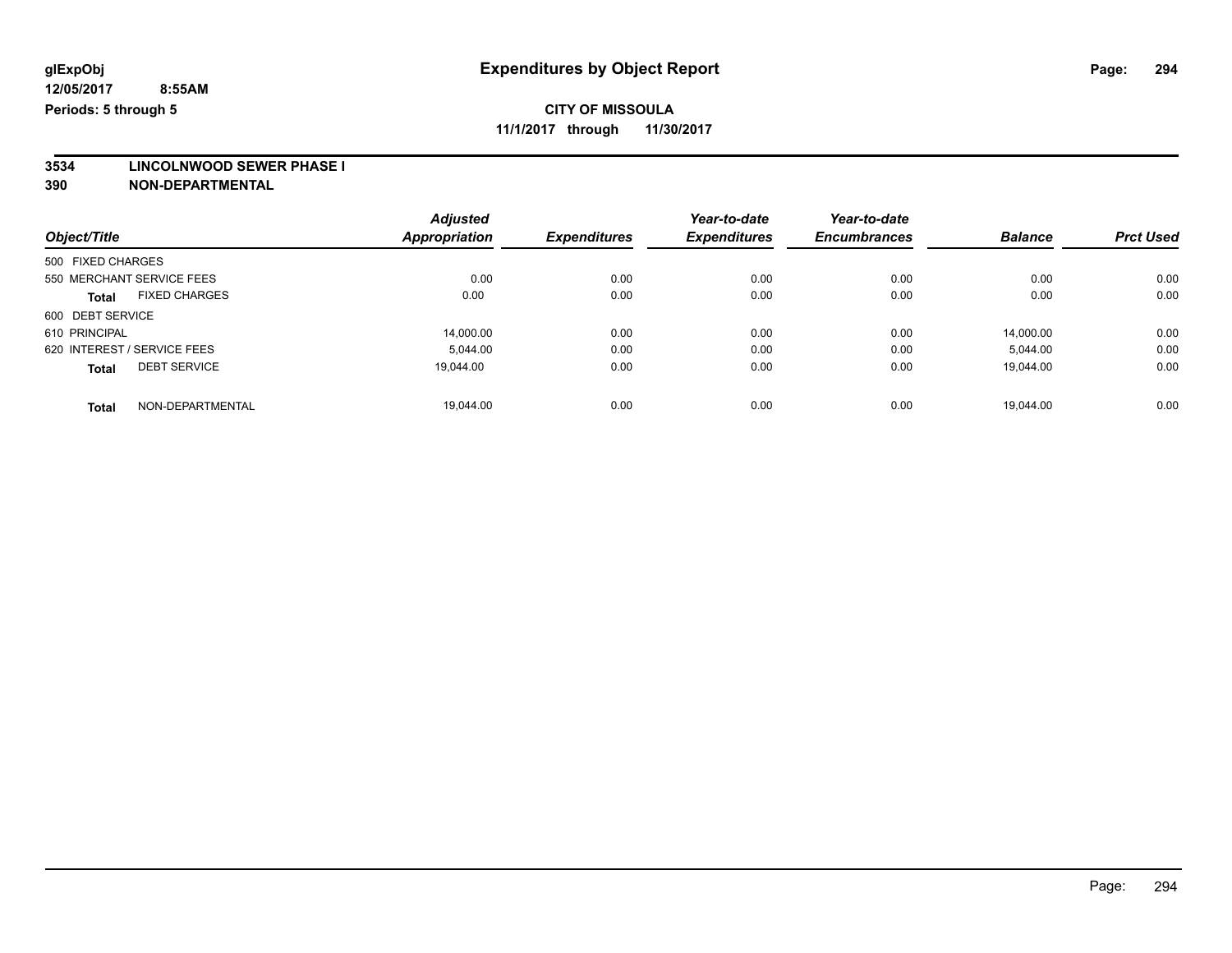## **CITY OF MISSOULA**

**11/1/2017 through 11/30/2017**

**3534 LINCOLNWOOD SEWER PHASE I**

|                                      | <b>Adjusted</b>      |                     | Year-to-date        | Year-to-date        |                |                  |
|--------------------------------------|----------------------|---------------------|---------------------|---------------------|----------------|------------------|
| Object/Title                         | <b>Appropriation</b> | <b>Expenditures</b> | <b>Expenditures</b> | <b>Encumbrances</b> | <b>Balance</b> | <b>Prct Used</b> |
| 500 FIXED CHARGES                    |                      |                     |                     |                     |                |                  |
| 550 MERCHANT SERVICE FEES            | 0.00                 | 0.00                | 0.00                | 0.00                | 0.00           | 0.00             |
| <b>FIXED CHARGES</b><br><b>Total</b> | 0.00                 | 0.00                | 0.00                | 0.00                | 0.00           | 0.00             |
| 600 DEBT SERVICE                     |                      |                     |                     |                     |                |                  |
| 610 PRINCIPAL                        | 14.000.00            | 0.00                | 0.00                | 0.00                | 14.000.00      | 0.00             |
| 620 INTEREST / SERVICE FEES          | 5.044.00             | 0.00                | 0.00                | 0.00                | 5,044.00       | 0.00             |
| <b>DEBT SERVICE</b><br><b>Total</b>  | 19.044.00            | 0.00                | 0.00                | 0.00                | 19.044.00      | 0.00             |
| NON-DEPARTMENTAL<br><b>Total</b>     | 19.044.00            | 0.00                | 0.00                | 0.00                | 19.044.00      | 0.00             |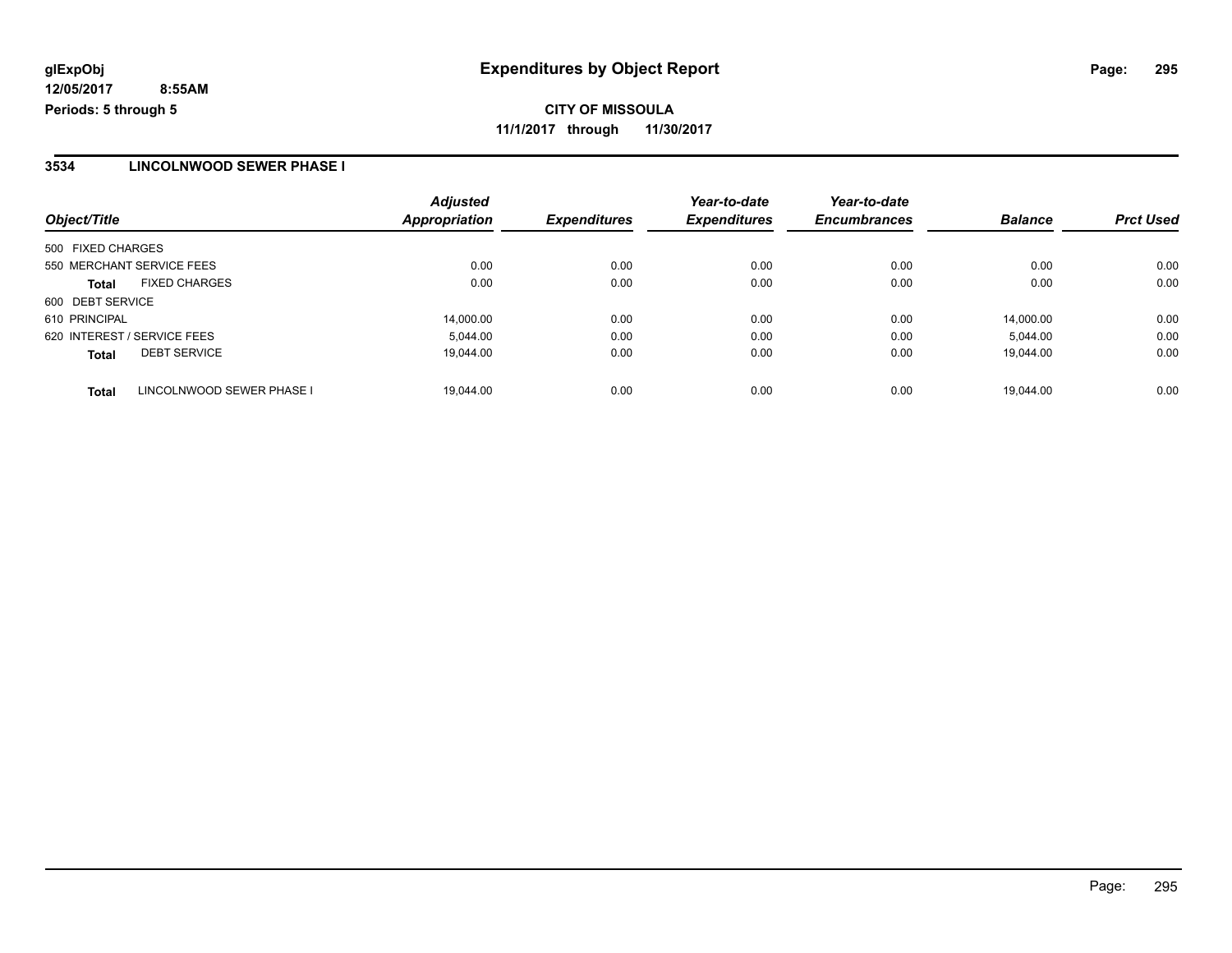**CITY OF MISSOULA 11/1/2017 through 11/30/2017**

#### **3534 LINCOLNWOOD SEWER PHASE I**

| Object/Title                              | <b>Adjusted</b><br>Appropriation | <b>Expenditures</b> | Year-to-date<br><b>Expenditures</b> | Year-to-date<br><b>Encumbrances</b> | <b>Balance</b> | <b>Prct Used</b> |
|-------------------------------------------|----------------------------------|---------------------|-------------------------------------|-------------------------------------|----------------|------------------|
| 500 FIXED CHARGES                         |                                  |                     |                                     |                                     |                |                  |
| 550 MERCHANT SERVICE FEES                 | 0.00                             | 0.00                | 0.00                                | 0.00                                | 0.00           | 0.00             |
| <b>FIXED CHARGES</b><br><b>Total</b>      | 0.00                             | 0.00                | 0.00                                | 0.00                                | 0.00           | 0.00             |
| 600 DEBT SERVICE                          |                                  |                     |                                     |                                     |                |                  |
| 610 PRINCIPAL                             | 14,000.00                        | 0.00                | 0.00                                | 0.00                                | 14.000.00      | 0.00             |
| 620 INTEREST / SERVICE FEES               | 5,044.00                         | 0.00                | 0.00                                | 0.00                                | 5,044.00       | 0.00             |
| <b>DEBT SERVICE</b><br><b>Total</b>       | 19,044.00                        | 0.00                | 0.00                                | 0.00                                | 19.044.00      | 0.00             |
| LINCOLNWOOD SEWER PHASE I<br><b>Total</b> | 19.044.00                        | 0.00                | 0.00                                | 0.00                                | 19.044.00      | 0.00             |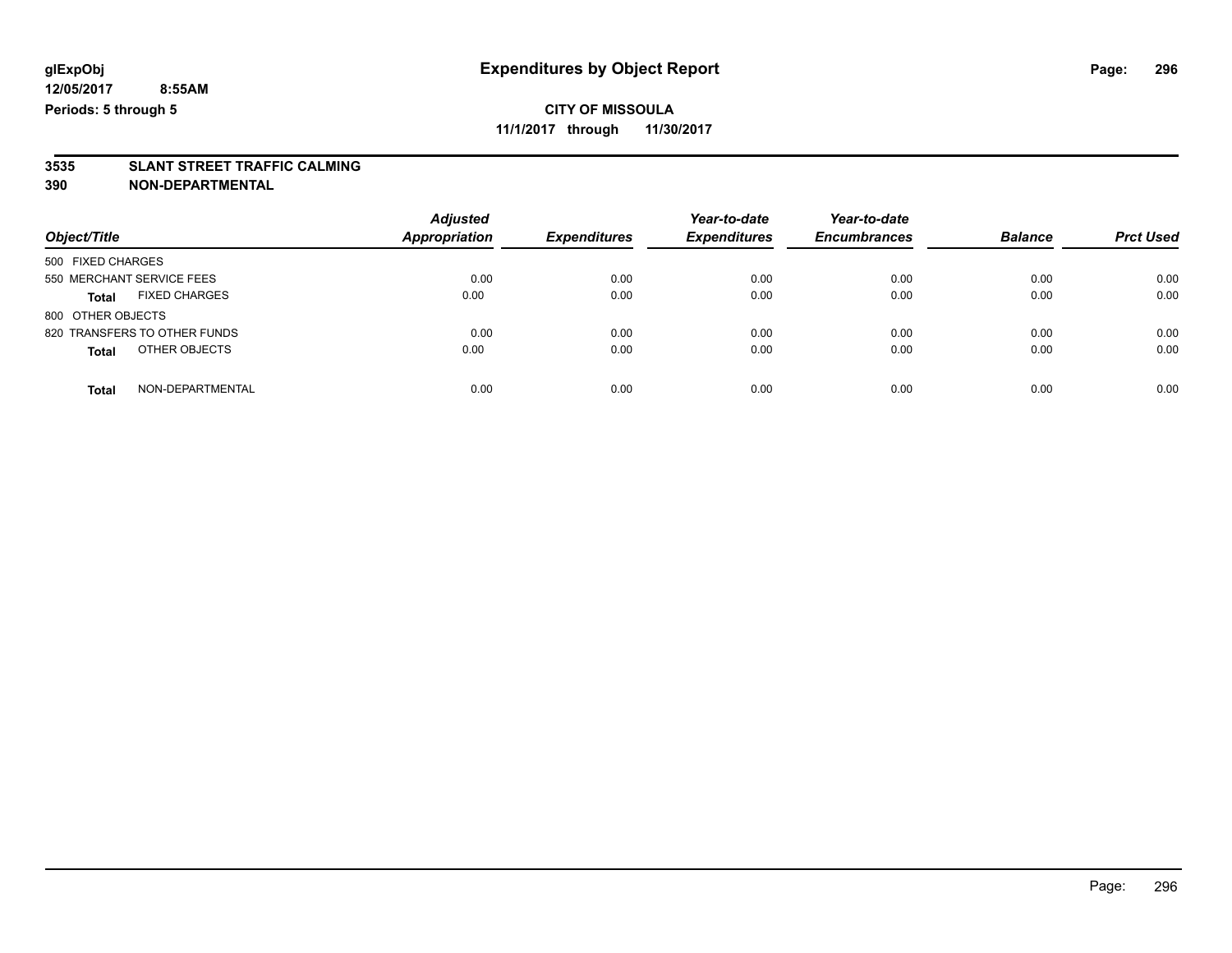**3535 SLANT STREET TRAFFIC CALMING 390 NON-DEPARTMENTAL**

| Object/Title                         | <b>Adjusted</b><br><b>Appropriation</b> | <b>Expenditures</b> | Year-to-date<br><b>Expenditures</b> | Year-to-date<br><b>Encumbrances</b> | <b>Balance</b> | <b>Prct Used</b> |
|--------------------------------------|-----------------------------------------|---------------------|-------------------------------------|-------------------------------------|----------------|------------------|
| 500 FIXED CHARGES                    |                                         |                     |                                     |                                     |                |                  |
| 550 MERCHANT SERVICE FEES            | 0.00                                    | 0.00                | 0.00                                | 0.00                                | 0.00           | 0.00             |
| <b>FIXED CHARGES</b><br><b>Total</b> | 0.00                                    | 0.00                | 0.00                                | 0.00                                | 0.00           | 0.00             |
| 800 OTHER OBJECTS                    |                                         |                     |                                     |                                     |                |                  |
| 820 TRANSFERS TO OTHER FUNDS         | 0.00                                    | 0.00                | 0.00                                | 0.00                                | 0.00           | 0.00             |
| OTHER OBJECTS<br><b>Total</b>        | 0.00                                    | 0.00                | 0.00                                | 0.00                                | 0.00           | 0.00             |
| NON-DEPARTMENTAL<br>Total            | 0.00                                    | 0.00                | 0.00                                | 0.00                                | 0.00           | 0.00             |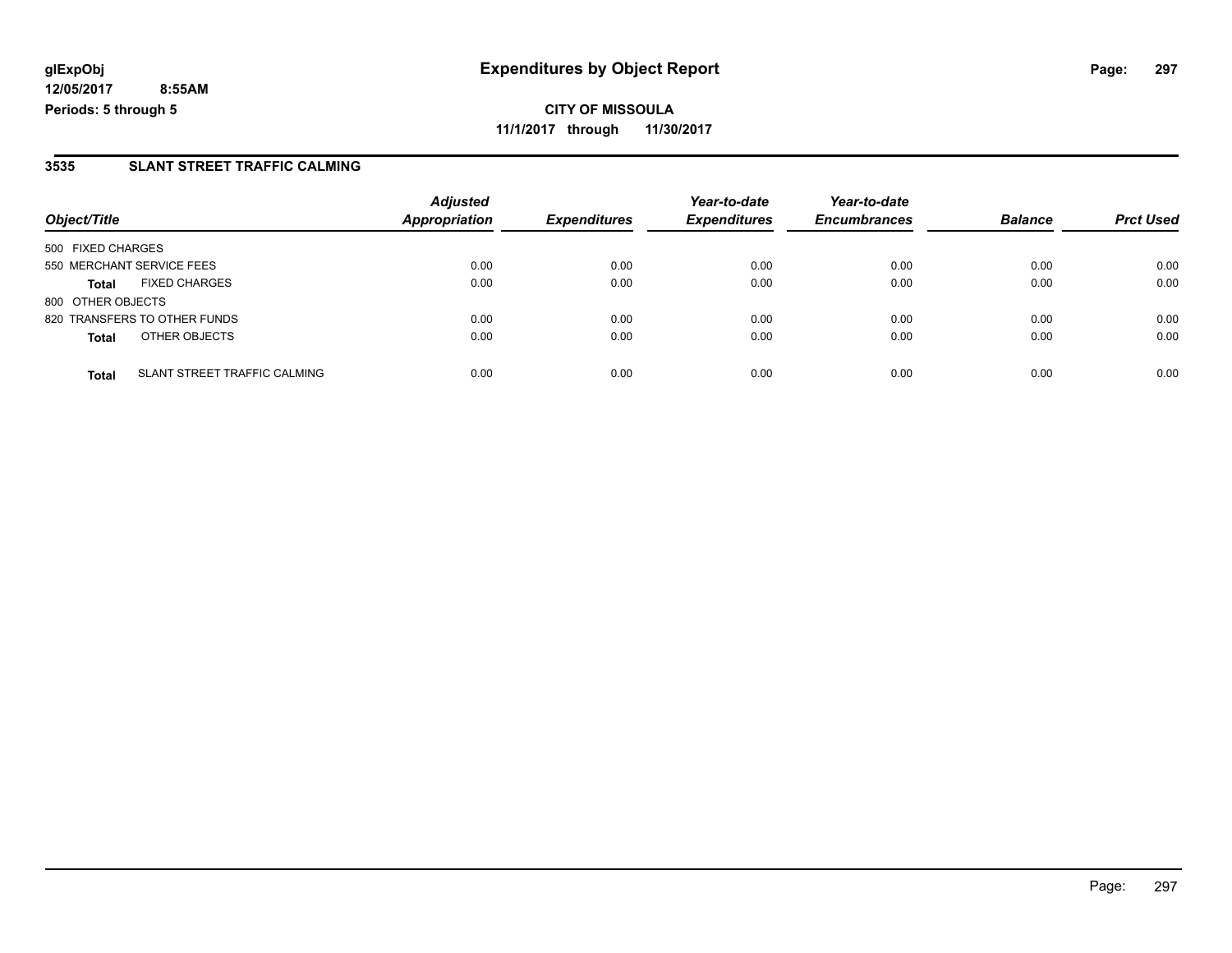**CITY OF MISSOULA 11/1/2017 through 11/30/2017**

#### **3535 SLANT STREET TRAFFIC CALMING**

|                           |                              | <b>Adjusted</b>      |                     | Year-to-date        | Year-to-date        |                |                  |
|---------------------------|------------------------------|----------------------|---------------------|---------------------|---------------------|----------------|------------------|
| Object/Title              |                              | <b>Appropriation</b> | <b>Expenditures</b> | <b>Expenditures</b> | <b>Encumbrances</b> | <b>Balance</b> | <b>Prct Used</b> |
| 500 FIXED CHARGES         |                              |                      |                     |                     |                     |                |                  |
| 550 MERCHANT SERVICE FEES |                              | 0.00                 | 0.00                | 0.00                | 0.00                | 0.00           | 0.00             |
| <b>Total</b>              | <b>FIXED CHARGES</b>         | 0.00                 | 0.00                | 0.00                | 0.00                | 0.00           | 0.00             |
| 800 OTHER OBJECTS         |                              |                      |                     |                     |                     |                |                  |
|                           | 820 TRANSFERS TO OTHER FUNDS | 0.00                 | 0.00                | 0.00                | 0.00                | 0.00           | 0.00             |
| <b>Total</b>              | OTHER OBJECTS                | 0.00                 | 0.00                | 0.00                | 0.00                | 0.00           | 0.00             |
| <b>Total</b>              | SLANT STREET TRAFFIC CALMING | 0.00                 | 0.00                | 0.00                | 0.00                | 0.00           | 0.00             |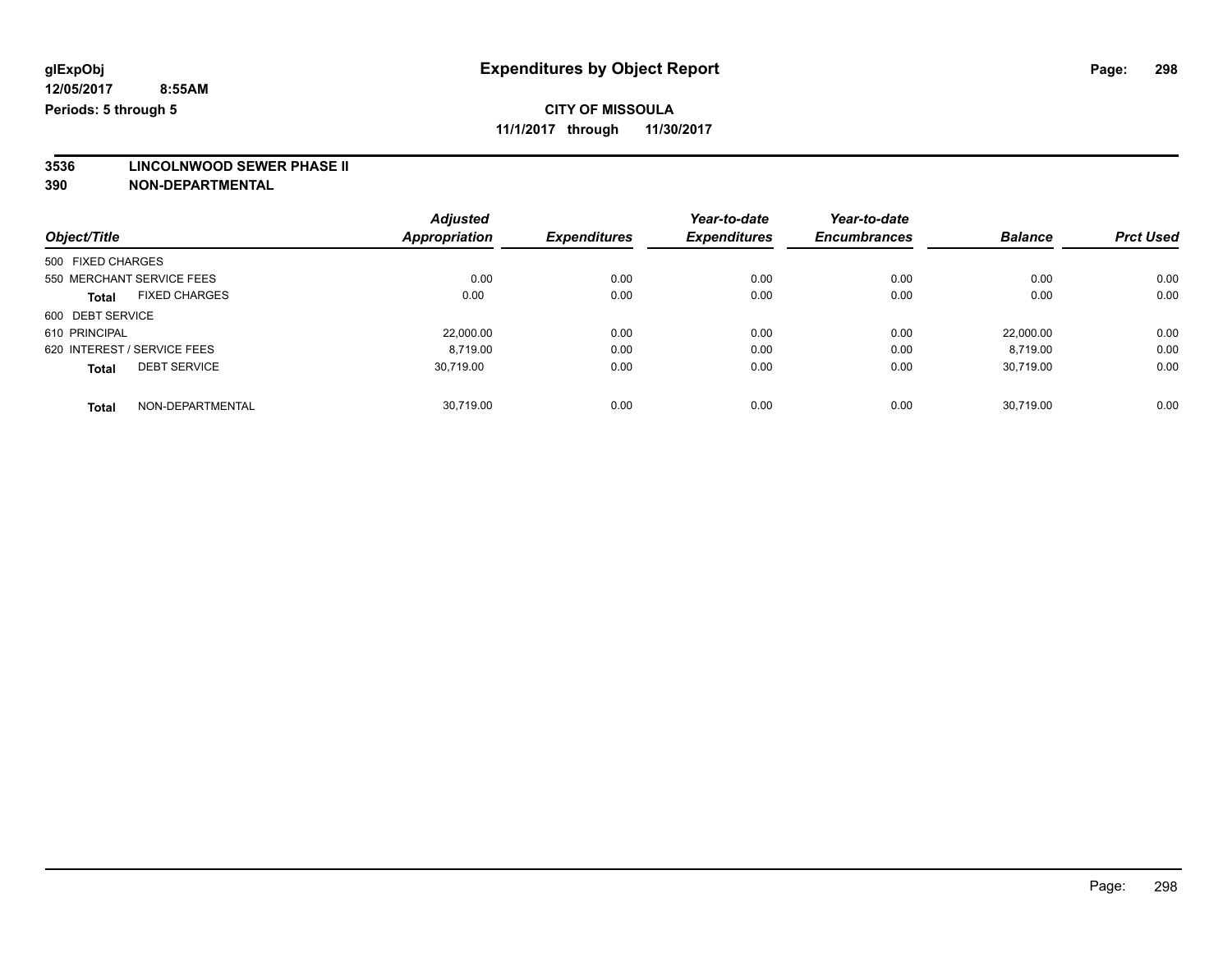## **CITY OF MISSOULA**

**11/1/2017 through 11/30/2017**

# **3536 LINCOLNWOOD SEWER PHASE II**

|                                      | <b>Adjusted</b>      |                     | Year-to-date        | Year-to-date        |                |                  |
|--------------------------------------|----------------------|---------------------|---------------------|---------------------|----------------|------------------|
| Object/Title                         | <b>Appropriation</b> | <b>Expenditures</b> | <b>Expenditures</b> | <b>Encumbrances</b> | <b>Balance</b> | <b>Prct Used</b> |
| 500 FIXED CHARGES                    |                      |                     |                     |                     |                |                  |
| 550 MERCHANT SERVICE FEES            | 0.00                 | 0.00                | 0.00                | 0.00                | 0.00           | 0.00             |
| <b>FIXED CHARGES</b><br><b>Total</b> | 0.00                 | 0.00                | 0.00                | 0.00                | 0.00           | 0.00             |
| 600 DEBT SERVICE                     |                      |                     |                     |                     |                |                  |
| 610 PRINCIPAL                        | 22,000.00            | 0.00                | 0.00                | 0.00                | 22,000.00      | 0.00             |
| 620 INTEREST / SERVICE FEES          | 8.719.00             | 0.00                | 0.00                | 0.00                | 8.719.00       | 0.00             |
| <b>DEBT SERVICE</b><br><b>Total</b>  | 30.719.00            | 0.00                | 0.00                | 0.00                | 30.719.00      | 0.00             |
| NON-DEPARTMENTAL<br><b>Total</b>     | 30.719.00            | 0.00                | 0.00                | 0.00                | 30.719.00      | 0.00             |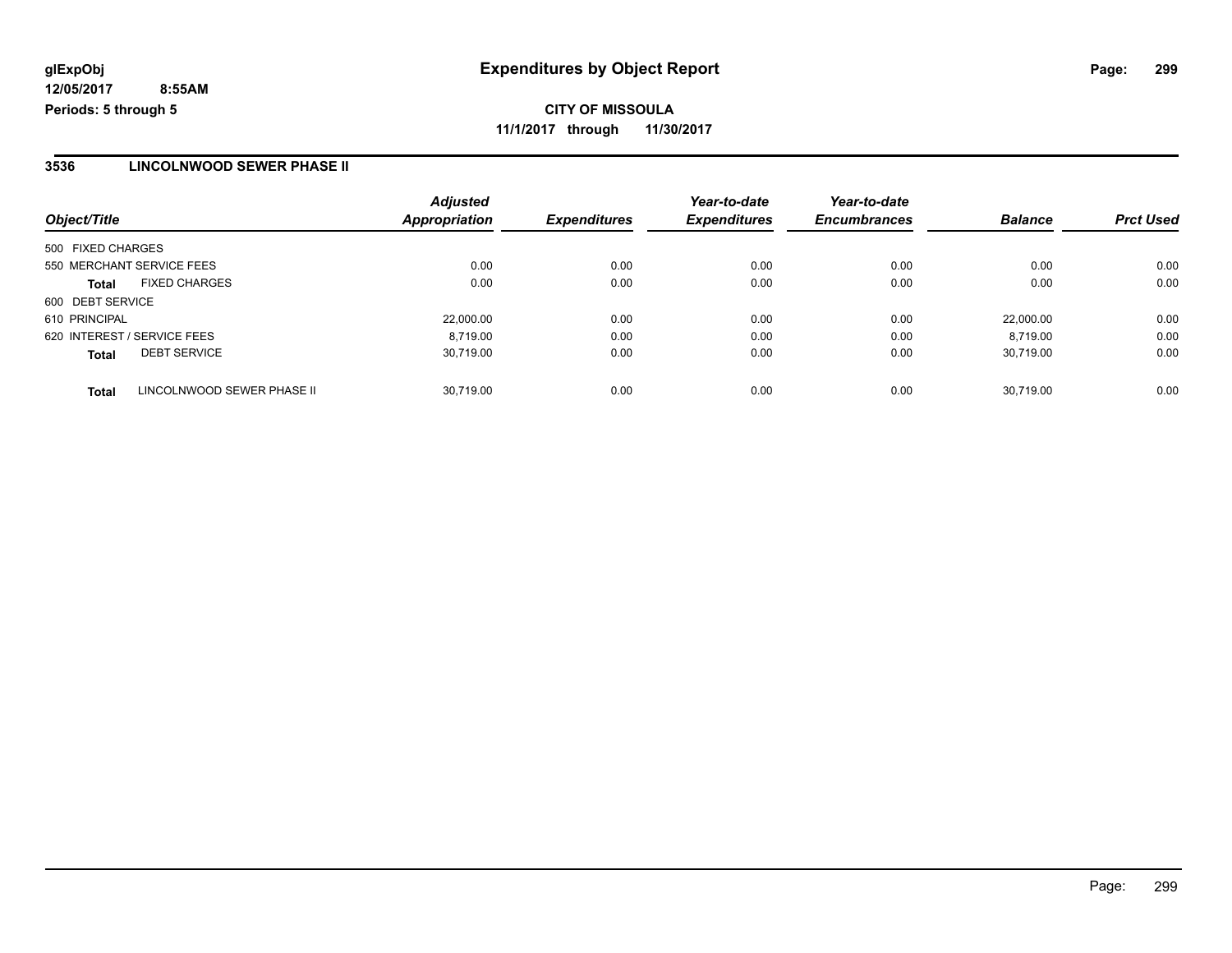**CITY OF MISSOULA 11/1/2017 through 11/30/2017**

#### **3536 LINCOLNWOOD SEWER PHASE II**

| Object/Title                               | <b>Adjusted</b><br>Appropriation | <b>Expenditures</b> | Year-to-date<br><b>Expenditures</b> | Year-to-date<br><b>Encumbrances</b> | <b>Balance</b> | <b>Prct Used</b> |
|--------------------------------------------|----------------------------------|---------------------|-------------------------------------|-------------------------------------|----------------|------------------|
| 500 FIXED CHARGES                          |                                  |                     |                                     |                                     |                |                  |
|                                            |                                  |                     |                                     |                                     |                |                  |
| 550 MERCHANT SERVICE FEES                  | 0.00                             | 0.00                | 0.00                                | 0.00                                | 0.00           | 0.00             |
| <b>FIXED CHARGES</b><br><b>Total</b>       | 0.00                             | 0.00                | 0.00                                | 0.00                                | 0.00           | 0.00             |
| 600 DEBT SERVICE                           |                                  |                     |                                     |                                     |                |                  |
| 610 PRINCIPAL                              | 22,000.00                        | 0.00                | 0.00                                | 0.00                                | 22.000.00      | 0.00             |
| 620 INTEREST / SERVICE FEES                | 8.719.00                         | 0.00                | 0.00                                | 0.00                                | 8.719.00       | 0.00             |
| <b>DEBT SERVICE</b><br><b>Total</b>        | 30,719.00                        | 0.00                | 0.00                                | 0.00                                | 30,719.00      | 0.00             |
| LINCOLNWOOD SEWER PHASE II<br><b>Total</b> | 30.719.00                        | 0.00                | 0.00                                | 0.00                                | 30.719.00      | 0.00             |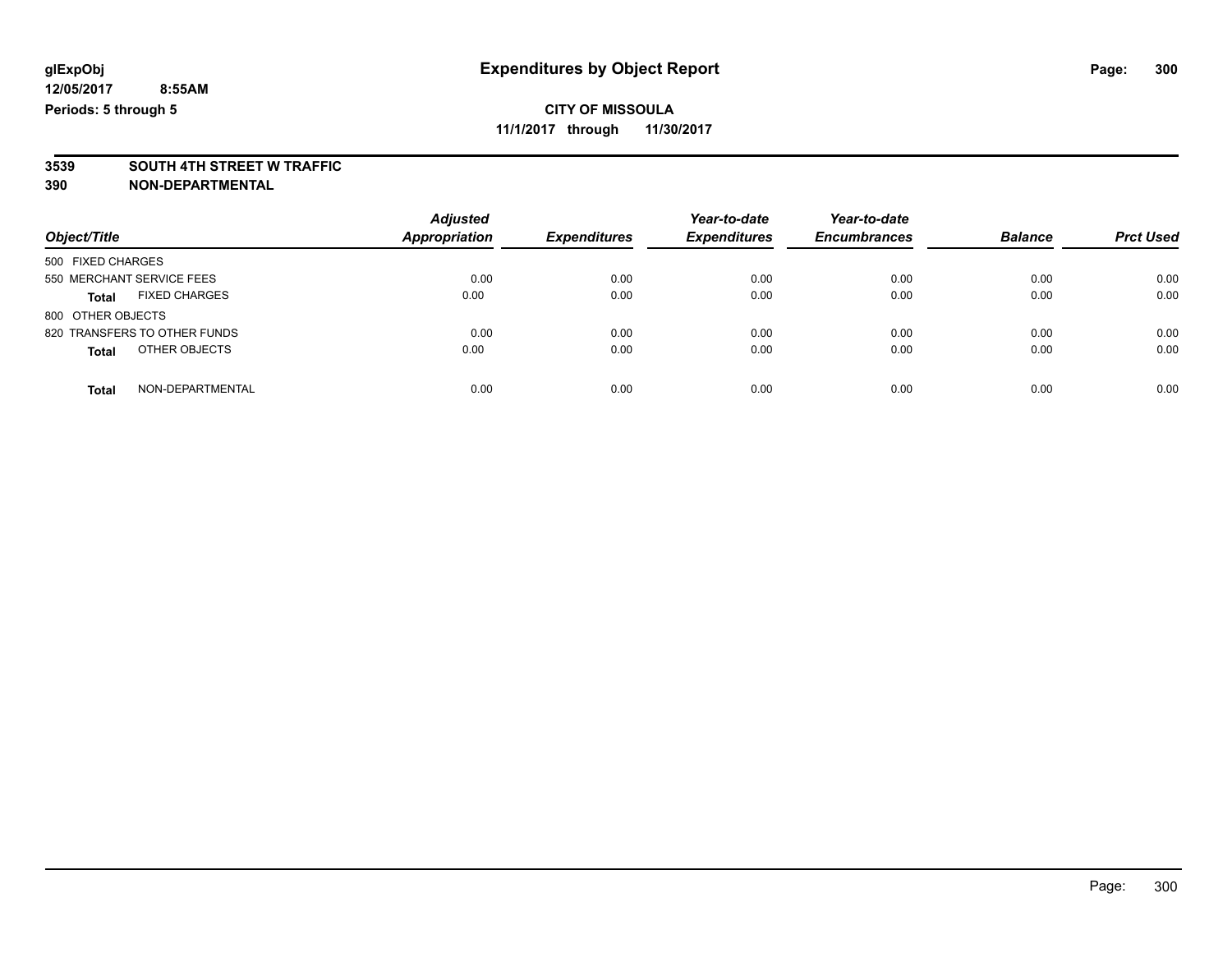**3539 SOUTH 4TH STREET W TRAFFIC 390 NON-DEPARTMENTAL**

| Object/Title                         | <b>Adjusted</b><br>Appropriation | <b>Expenditures</b> | Year-to-date<br><b>Expenditures</b> | Year-to-date<br><b>Encumbrances</b> | <b>Balance</b> | <b>Prct Used</b> |
|--------------------------------------|----------------------------------|---------------------|-------------------------------------|-------------------------------------|----------------|------------------|
| 500 FIXED CHARGES                    |                                  |                     |                                     |                                     |                |                  |
| 550 MERCHANT SERVICE FEES            | 0.00                             | 0.00                | 0.00                                | 0.00                                | 0.00           | 0.00             |
| <b>FIXED CHARGES</b><br><b>Total</b> | 0.00                             | 0.00                | 0.00                                | 0.00                                | 0.00           | 0.00             |
| 800 OTHER OBJECTS                    |                                  |                     |                                     |                                     |                |                  |
| 820 TRANSFERS TO OTHER FUNDS         | 0.00                             | 0.00                | 0.00                                | 0.00                                | 0.00           | 0.00             |
| OTHER OBJECTS<br><b>Total</b>        | 0.00                             | 0.00                | 0.00                                | 0.00                                | 0.00           | 0.00             |
| NON-DEPARTMENTAL<br>Total            | 0.00                             | 0.00                | 0.00                                | 0.00                                | 0.00           | 0.00             |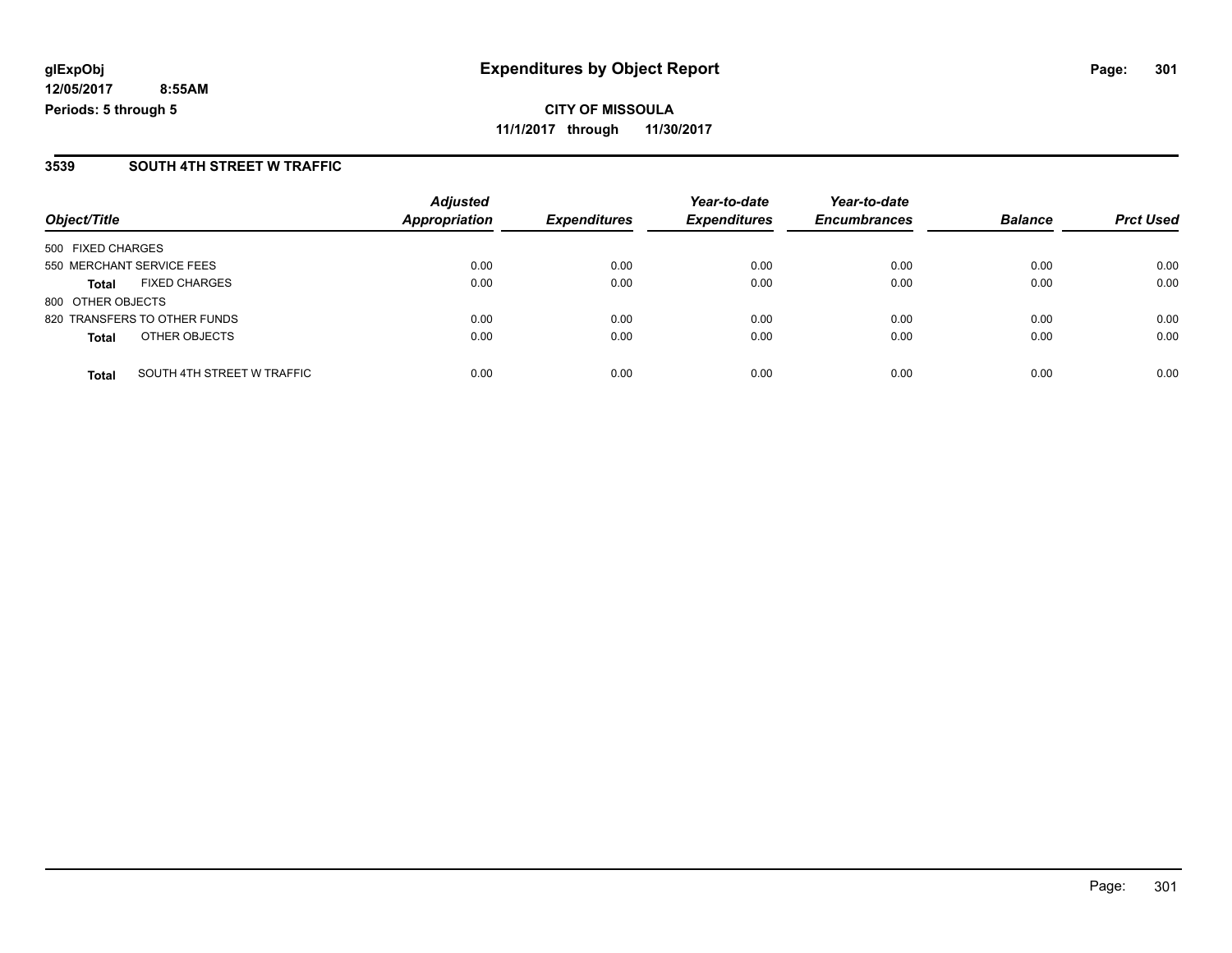**CITY OF MISSOULA 11/1/2017 through 11/30/2017**

#### **3539 SOUTH 4TH STREET W TRAFFIC**

|                                            | <b>Adjusted</b><br>Appropriation | <b>Expenditures</b> | Year-to-date        | Year-to-date<br><b>Encumbrances</b> | <b>Balance</b> | <b>Prct Used</b> |
|--------------------------------------------|----------------------------------|---------------------|---------------------|-------------------------------------|----------------|------------------|
| Object/Title                               |                                  |                     | <b>Expenditures</b> |                                     |                |                  |
| 500 FIXED CHARGES                          |                                  |                     |                     |                                     |                |                  |
| 550 MERCHANT SERVICE FEES                  | 0.00                             | 0.00                | 0.00                | 0.00                                | 0.00           | 0.00             |
| <b>FIXED CHARGES</b><br><b>Total</b>       | 0.00                             | 0.00                | 0.00                | 0.00                                | 0.00           | 0.00             |
| 800 OTHER OBJECTS                          |                                  |                     |                     |                                     |                |                  |
| 820 TRANSFERS TO OTHER FUNDS               | 0.00                             | 0.00                | 0.00                | 0.00                                | 0.00           | 0.00             |
| OTHER OBJECTS<br><b>Total</b>              | 0.00                             | 0.00                | 0.00                | 0.00                                | 0.00           | 0.00             |
| SOUTH 4TH STREET W TRAFFIC<br><b>Total</b> | 0.00                             | 0.00                | 0.00                | 0.00                                | 0.00           | 0.00             |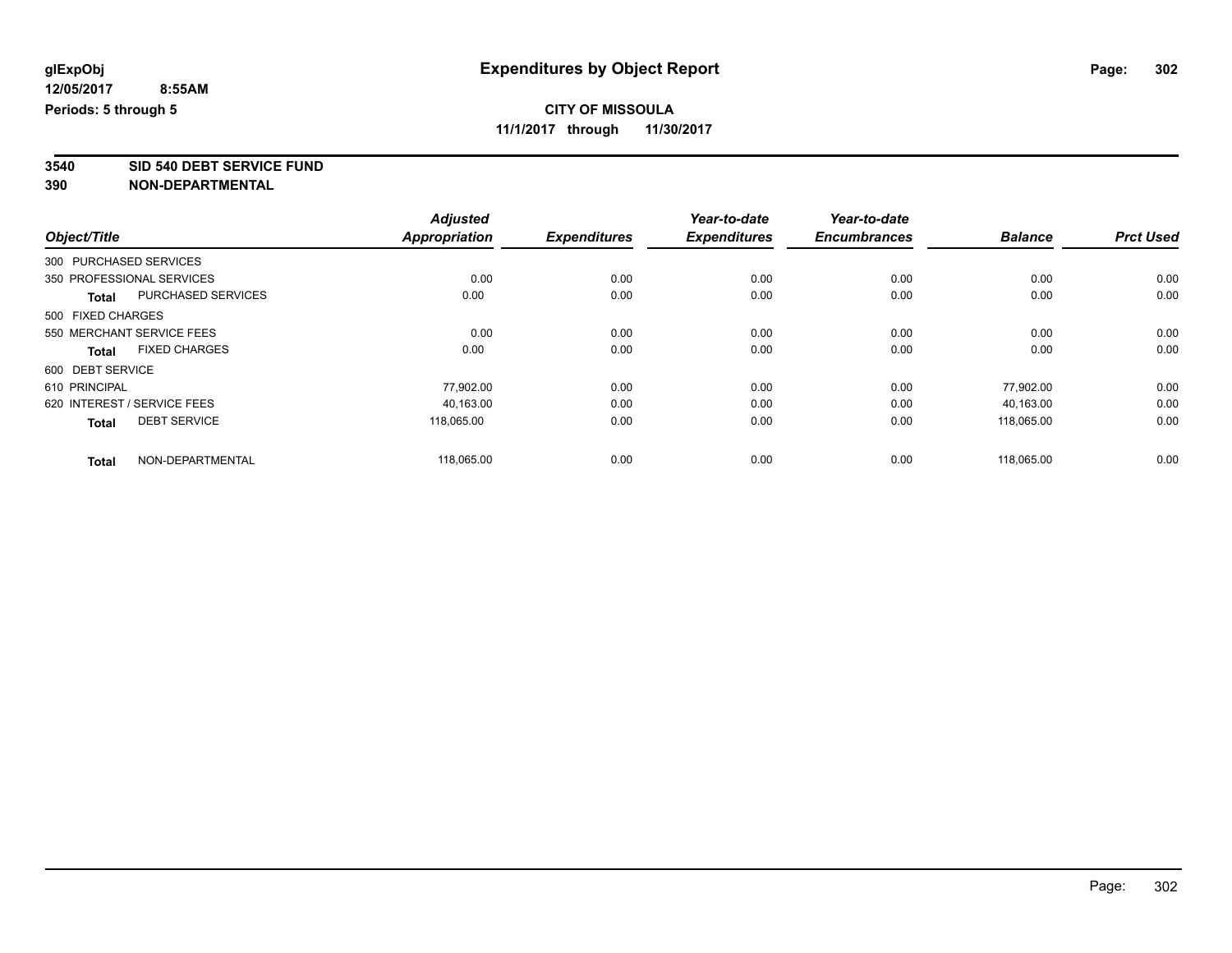**3540 SID 540 DEBT SERVICE FUND**

|                             |                           | <b>Adjusted</b>      |                     | Year-to-date        | Year-to-date        |                |                  |
|-----------------------------|---------------------------|----------------------|---------------------|---------------------|---------------------|----------------|------------------|
| Object/Title                |                           | <b>Appropriation</b> | <b>Expenditures</b> | <b>Expenditures</b> | <b>Encumbrances</b> | <b>Balance</b> | <b>Prct Used</b> |
| 300 PURCHASED SERVICES      |                           |                      |                     |                     |                     |                |                  |
| 350 PROFESSIONAL SERVICES   |                           | 0.00                 | 0.00                | 0.00                | 0.00                | 0.00           | 0.00             |
| <b>Total</b>                | <b>PURCHASED SERVICES</b> | 0.00                 | 0.00                | 0.00                | 0.00                | 0.00           | 0.00             |
| 500 FIXED CHARGES           |                           |                      |                     |                     |                     |                |                  |
| 550 MERCHANT SERVICE FEES   |                           | 0.00                 | 0.00                | 0.00                | 0.00                | 0.00           | 0.00             |
| <b>Total</b>                | <b>FIXED CHARGES</b>      | 0.00                 | 0.00                | 0.00                | 0.00                | 0.00           | 0.00             |
| 600 DEBT SERVICE            |                           |                      |                     |                     |                     |                |                  |
| 610 PRINCIPAL               |                           | 77,902.00            | 0.00                | 0.00                | 0.00                | 77.902.00      | 0.00             |
| 620 INTEREST / SERVICE FEES |                           | 40,163.00            | 0.00                | 0.00                | 0.00                | 40,163.00      | 0.00             |
| <b>Total</b>                | <b>DEBT SERVICE</b>       | 118.065.00           | 0.00                | 0.00                | 0.00                | 118.065.00     | 0.00             |
|                             |                           |                      |                     |                     |                     |                |                  |
| <b>Total</b>                | NON-DEPARTMENTAL          | 118,065.00           | 0.00                | 0.00                | 0.00                | 118,065.00     | 0.00             |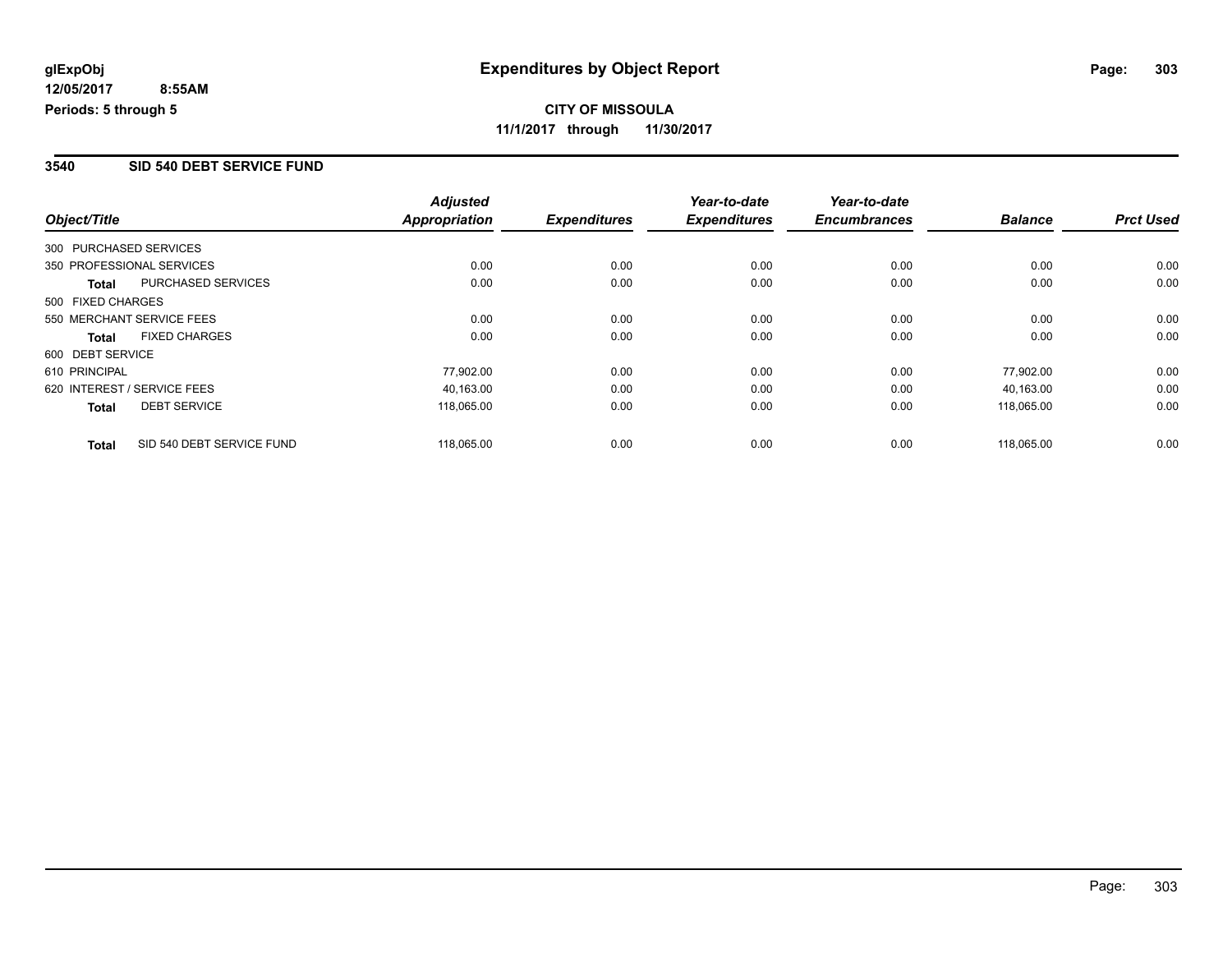#### **3540 SID 540 DEBT SERVICE FUND**

|                   |                             | <b>Adjusted</b>      |                     | Year-to-date        | Year-to-date        |                |                  |
|-------------------|-----------------------------|----------------------|---------------------|---------------------|---------------------|----------------|------------------|
| Object/Title      |                             | <b>Appropriation</b> | <b>Expenditures</b> | <b>Expenditures</b> | <b>Encumbrances</b> | <b>Balance</b> | <b>Prct Used</b> |
|                   | 300 PURCHASED SERVICES      |                      |                     |                     |                     |                |                  |
|                   | 350 PROFESSIONAL SERVICES   | 0.00                 | 0.00                | 0.00                | 0.00                | 0.00           | 0.00             |
| Total             | <b>PURCHASED SERVICES</b>   | 0.00                 | 0.00                | 0.00                | 0.00                | 0.00           | 0.00             |
| 500 FIXED CHARGES |                             |                      |                     |                     |                     |                |                  |
|                   | 550 MERCHANT SERVICE FEES   | 0.00                 | 0.00                | 0.00                | 0.00                | 0.00           | 0.00             |
| <b>Total</b>      | <b>FIXED CHARGES</b>        | 0.00                 | 0.00                | 0.00                | 0.00                | 0.00           | 0.00             |
| 600 DEBT SERVICE  |                             |                      |                     |                     |                     |                |                  |
| 610 PRINCIPAL     |                             | 77,902.00            | 0.00                | 0.00                | 0.00                | 77,902.00      | 0.00             |
|                   | 620 INTEREST / SERVICE FEES | 40.163.00            | 0.00                | 0.00                | 0.00                | 40.163.00      | 0.00             |
| <b>Total</b>      | <b>DEBT SERVICE</b>         | 118,065.00           | 0.00                | 0.00                | 0.00                | 118,065.00     | 0.00             |
| <b>Total</b>      | SID 540 DEBT SERVICE FUND   | 118.065.00           | 0.00                | 0.00                | 0.00                | 118.065.00     | 0.00             |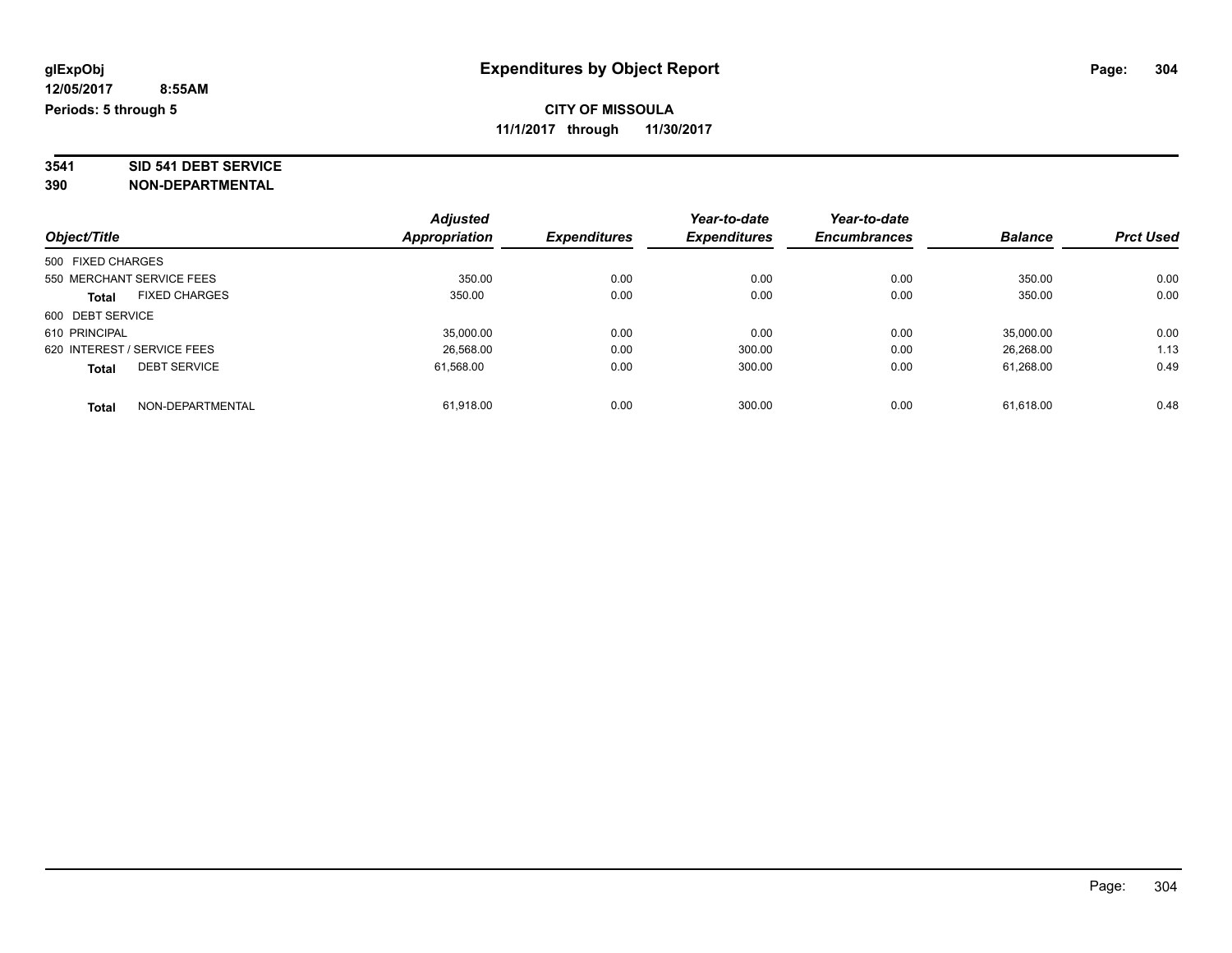# **3541 SID 541 DEBT SERVICE**

|                                      | <b>Adjusted</b>      | <b>Expenditures</b> | Year-to-date<br><b>Expenditures</b> | Year-to-date<br><b>Encumbrances</b> | <b>Balance</b> | <b>Prct Used</b> |
|--------------------------------------|----------------------|---------------------|-------------------------------------|-------------------------------------|----------------|------------------|
| Object/Title                         | <b>Appropriation</b> |                     |                                     |                                     |                |                  |
| 500 FIXED CHARGES                    |                      |                     |                                     |                                     |                |                  |
| 550 MERCHANT SERVICE FEES            | 350.00               | 0.00                | 0.00                                | 0.00                                | 350.00         | 0.00             |
| <b>FIXED CHARGES</b><br><b>Total</b> | 350.00               | 0.00                | 0.00                                | 0.00                                | 350.00         | 0.00             |
| 600 DEBT SERVICE                     |                      |                     |                                     |                                     |                |                  |
| 610 PRINCIPAL                        | 35,000.00            | 0.00                | 0.00                                | 0.00                                | 35,000.00      | 0.00             |
| 620 INTEREST / SERVICE FEES          | 26.568.00            | 0.00                | 300.00                              | 0.00                                | 26.268.00      | 1.13             |
| <b>DEBT SERVICE</b><br><b>Total</b>  | 61,568.00            | 0.00                | 300.00                              | 0.00                                | 61.268.00      | 0.49             |
| NON-DEPARTMENTAL<br><b>Total</b>     | 61.918.00            | 0.00                | 300.00                              | 0.00                                | 61.618.00      | 0.48             |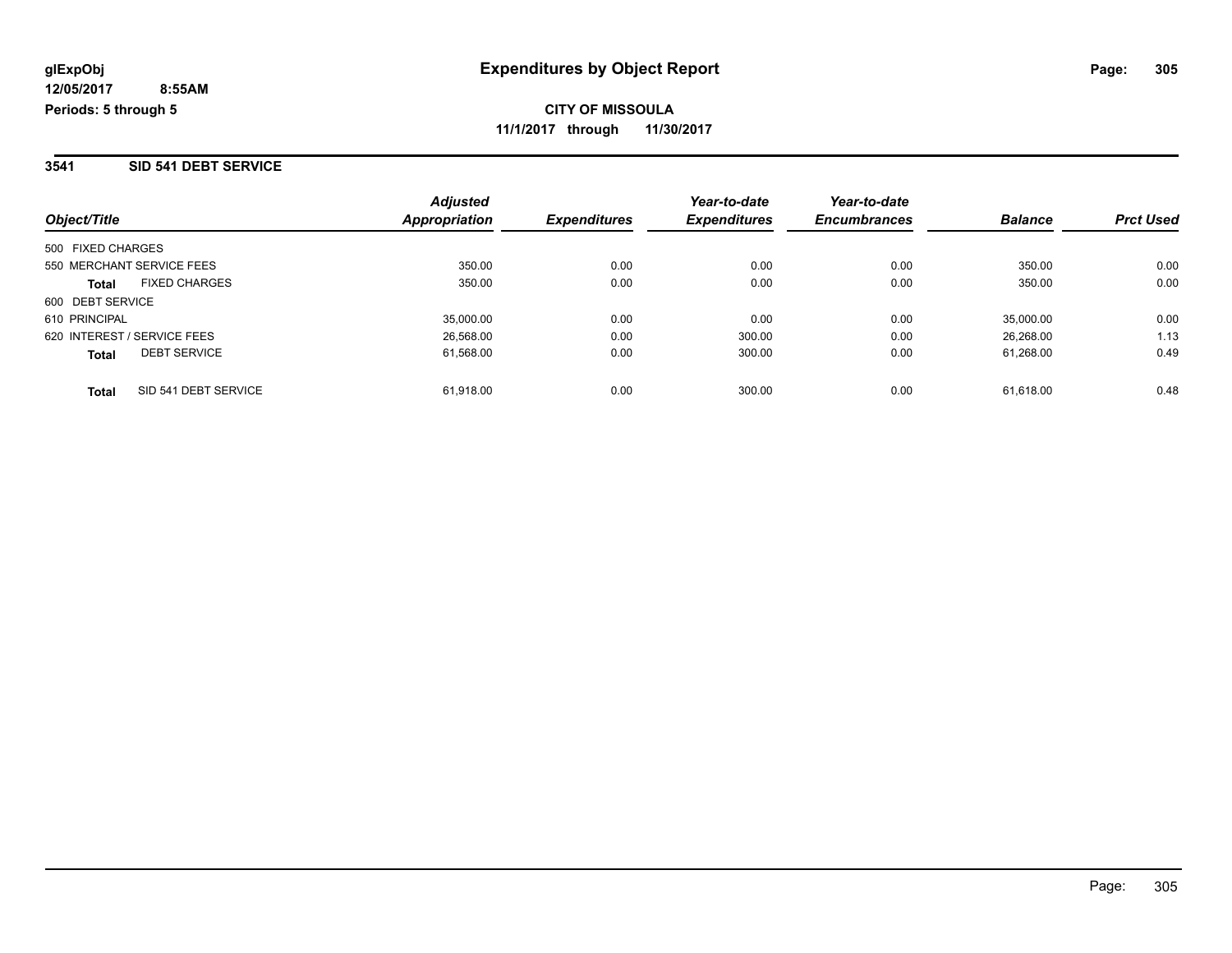#### **3541 SID 541 DEBT SERVICE**

| Object/Title                         | <b>Adjusted</b><br>Appropriation | <b>Expenditures</b> | Year-to-date<br><b>Expenditures</b> | Year-to-date<br><b>Encumbrances</b> | <b>Balance</b> | <b>Prct Used</b> |
|--------------------------------------|----------------------------------|---------------------|-------------------------------------|-------------------------------------|----------------|------------------|
| 500 FIXED CHARGES                    |                                  |                     |                                     |                                     |                |                  |
| 550 MERCHANT SERVICE FEES            | 350.00                           | 0.00                | 0.00                                | 0.00                                | 350.00         | 0.00             |
| <b>FIXED CHARGES</b><br><b>Total</b> | 350.00                           | 0.00                | 0.00                                | 0.00                                | 350.00         | 0.00             |
| 600 DEBT SERVICE                     |                                  |                     |                                     |                                     |                |                  |
| 610 PRINCIPAL                        | 35,000.00                        | 0.00                | 0.00                                | 0.00                                | 35,000.00      | 0.00             |
| 620 INTEREST / SERVICE FEES          | 26,568.00                        | 0.00                | 300.00                              | 0.00                                | 26,268.00      | 1.13             |
| <b>DEBT SERVICE</b><br><b>Total</b>  | 61,568.00                        | 0.00                | 300.00                              | 0.00                                | 61.268.00      | 0.49             |
| SID 541 DEBT SERVICE<br><b>Total</b> | 61.918.00                        | 0.00                | 300.00                              | 0.00                                | 61.618.00      | 0.48             |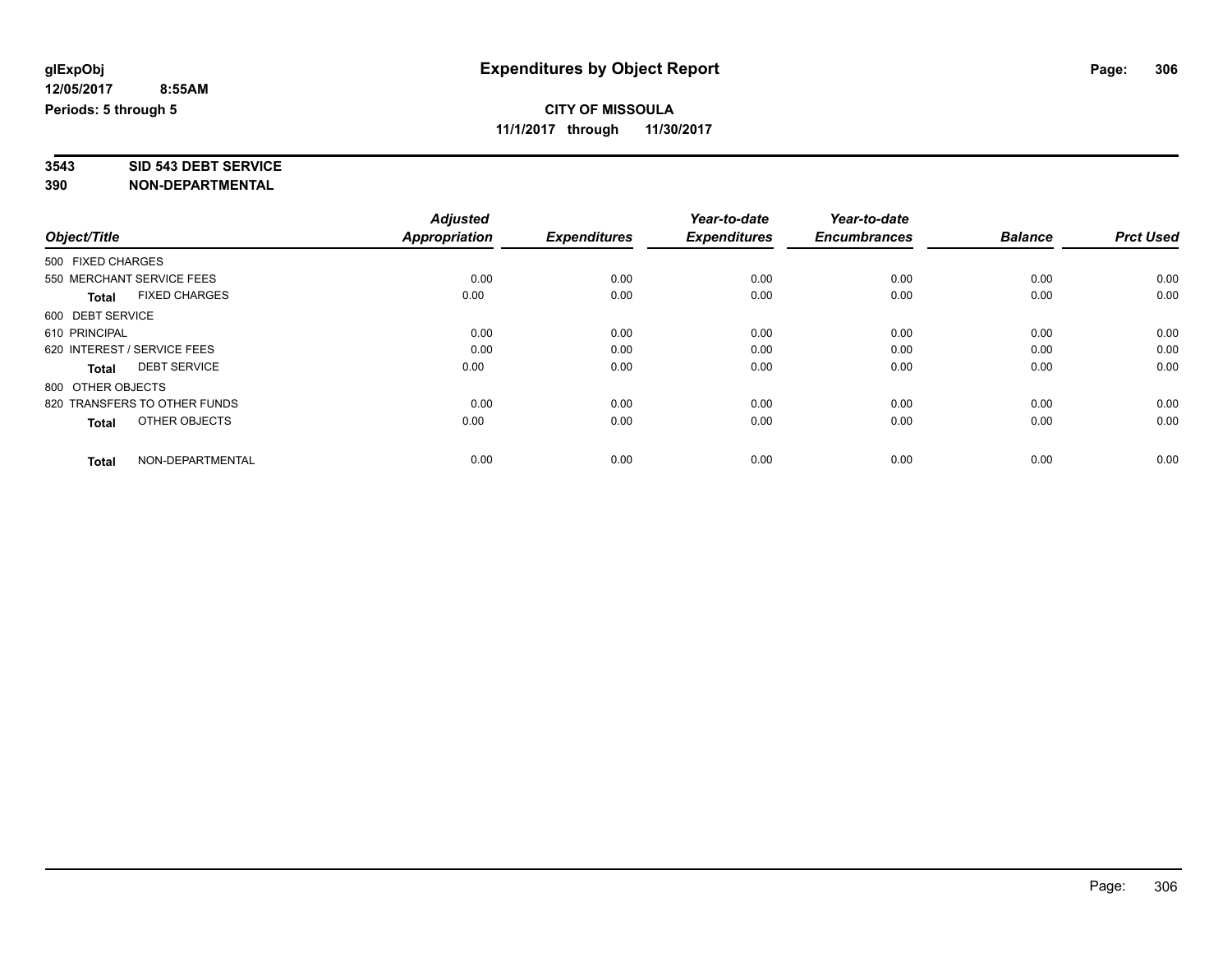# **3543 SID 543 DEBT SERVICE**

|                                     |                      | <b>Adjusted</b> |                     | Year-to-date        | Year-to-date        |                |                  |
|-------------------------------------|----------------------|-----------------|---------------------|---------------------|---------------------|----------------|------------------|
| Object/Title                        |                      | Appropriation   | <b>Expenditures</b> | <b>Expenditures</b> | <b>Encumbrances</b> | <b>Balance</b> | <b>Prct Used</b> |
| 500 FIXED CHARGES                   |                      |                 |                     |                     |                     |                |                  |
| 550 MERCHANT SERVICE FEES           |                      | 0.00            | 0.00                | 0.00                | 0.00                | 0.00           | 0.00             |
| <b>Total</b>                        | <b>FIXED CHARGES</b> | 0.00            | 0.00                | 0.00                | 0.00                | 0.00           | 0.00             |
| 600 DEBT SERVICE                    |                      |                 |                     |                     |                     |                |                  |
| 610 PRINCIPAL                       |                      | 0.00            | 0.00                | 0.00                | 0.00                | 0.00           | 0.00             |
| 620 INTEREST / SERVICE FEES         |                      | 0.00            | 0.00                | 0.00                | 0.00                | 0.00           | 0.00             |
| <b>DEBT SERVICE</b><br><b>Total</b> |                      | 0.00            | 0.00                | 0.00                | 0.00                | 0.00           | 0.00             |
| 800 OTHER OBJECTS                   |                      |                 |                     |                     |                     |                |                  |
| 820 TRANSFERS TO OTHER FUNDS        |                      | 0.00            | 0.00                | 0.00                | 0.00                | 0.00           | 0.00             |
| <b>Total</b>                        | OTHER OBJECTS        | 0.00            | 0.00                | 0.00                | 0.00                | 0.00           | 0.00             |
|                                     |                      |                 |                     |                     |                     |                |                  |
| <b>Total</b>                        | NON-DEPARTMENTAL     | 0.00            | 0.00                | 0.00                | 0.00                | 0.00           | 0.00             |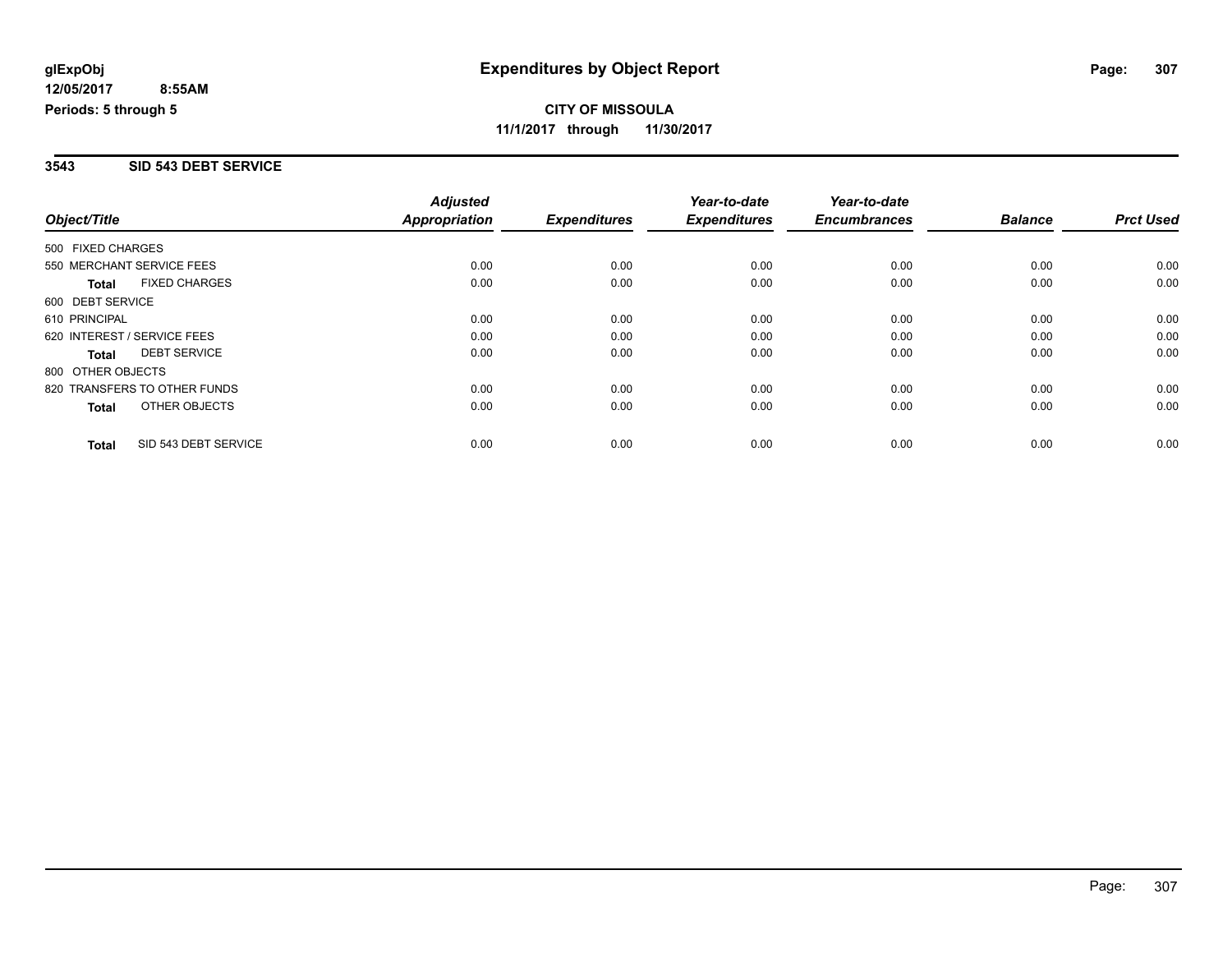#### **3543 SID 543 DEBT SERVICE**

|                              |                      | <b>Adjusted</b>      |                     | Year-to-date        | Year-to-date        |                |                  |
|------------------------------|----------------------|----------------------|---------------------|---------------------|---------------------|----------------|------------------|
| Object/Title                 |                      | <b>Appropriation</b> | <b>Expenditures</b> | <b>Expenditures</b> | <b>Encumbrances</b> | <b>Balance</b> | <b>Prct Used</b> |
| 500 FIXED CHARGES            |                      |                      |                     |                     |                     |                |                  |
| 550 MERCHANT SERVICE FEES    |                      | 0.00                 | 0.00                | 0.00                | 0.00                | 0.00           | 0.00             |
| <b>Total</b>                 | <b>FIXED CHARGES</b> | 0.00                 | 0.00                | 0.00                | 0.00                | 0.00           | 0.00             |
| 600 DEBT SERVICE             |                      |                      |                     |                     |                     |                |                  |
| 610 PRINCIPAL                |                      | 0.00                 | 0.00                | 0.00                | 0.00                | 0.00           | 0.00             |
| 620 INTEREST / SERVICE FEES  |                      | 0.00                 | 0.00                | 0.00                | 0.00                | 0.00           | 0.00             |
| Total                        | <b>DEBT SERVICE</b>  | 0.00                 | 0.00                | 0.00                | 0.00                | 0.00           | 0.00             |
| 800 OTHER OBJECTS            |                      |                      |                     |                     |                     |                |                  |
| 820 TRANSFERS TO OTHER FUNDS |                      | 0.00                 | 0.00                | 0.00                | 0.00                | 0.00           | 0.00             |
| Total                        | OTHER OBJECTS        | 0.00                 | 0.00                | 0.00                | 0.00                | 0.00           | 0.00             |
| <b>Total</b>                 | SID 543 DEBT SERVICE | 0.00                 | 0.00                | 0.00                | 0.00                | 0.00           | 0.00             |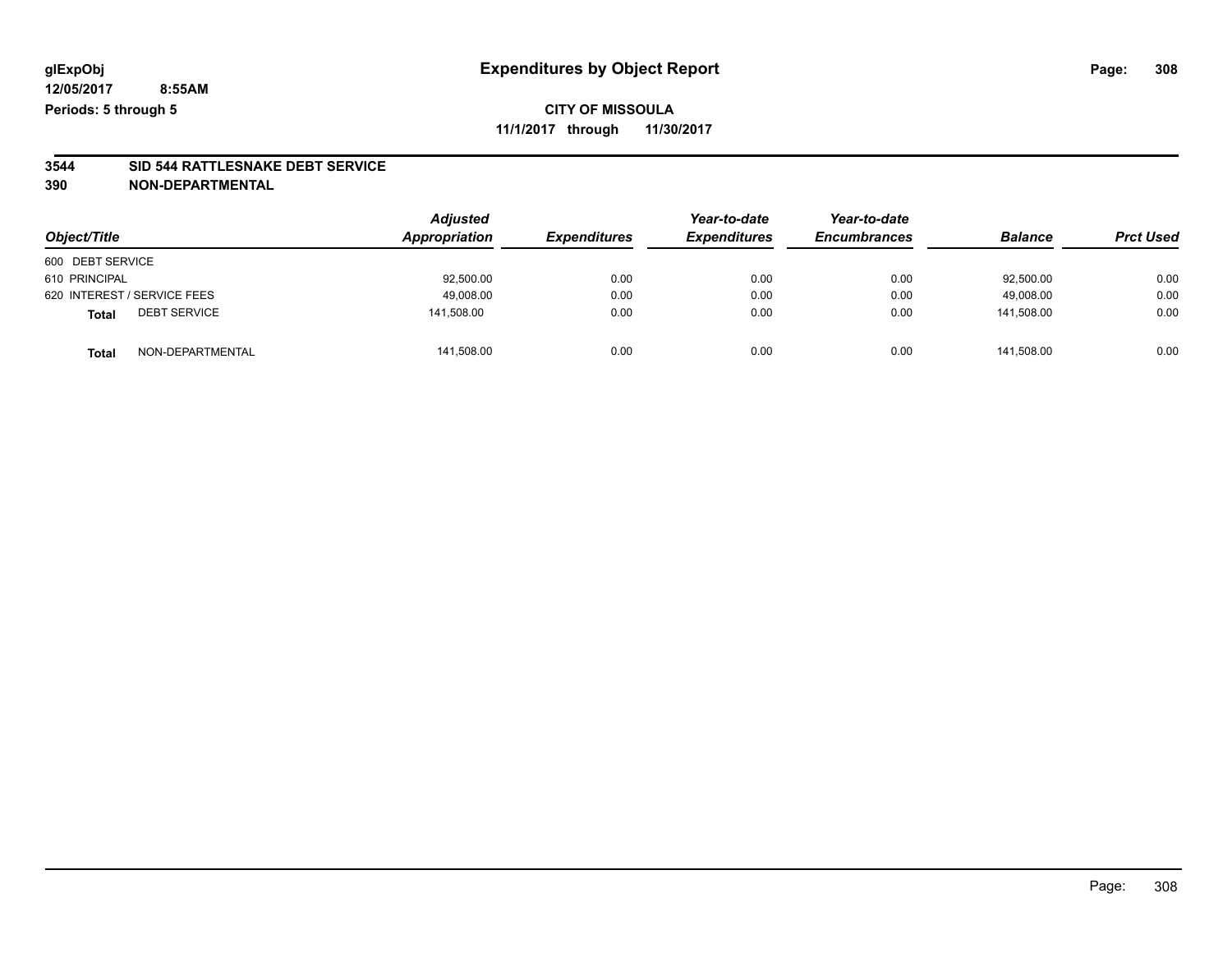**3544 SID 544 RATTLESNAKE DEBT SERVICE 390 NON-DEPARTMENTAL**

| Object/Title                |                     | <b>Adjusted</b><br>Appropriation | <b>Expenditures</b> | Year-to-date<br><b>Expenditures</b> | Year-to-date<br><b>Encumbrances</b> | <b>Balance</b> | <b>Prct Used</b> |
|-----------------------------|---------------------|----------------------------------|---------------------|-------------------------------------|-------------------------------------|----------------|------------------|
| 600 DEBT SERVICE            |                     |                                  |                     |                                     |                                     |                |                  |
| 610 PRINCIPAL               |                     | 92,500.00                        | 0.00                | 0.00                                | 0.00                                | 92,500.00      | 0.00             |
| 620 INTEREST / SERVICE FEES |                     | 49,008.00                        | 0.00                | 0.00                                | 0.00                                | 49.008.00      | 0.00             |
| <b>Total</b>                | <b>DEBT SERVICE</b> | 141.508.00                       | 0.00                | 0.00                                | 0.00                                | 141.508.00     | 0.00             |
| <b>Total</b>                | NON-DEPARTMENTAL    | 141,508.00                       | 0.00                | 0.00                                | 0.00                                | 141.508.00     | 0.00             |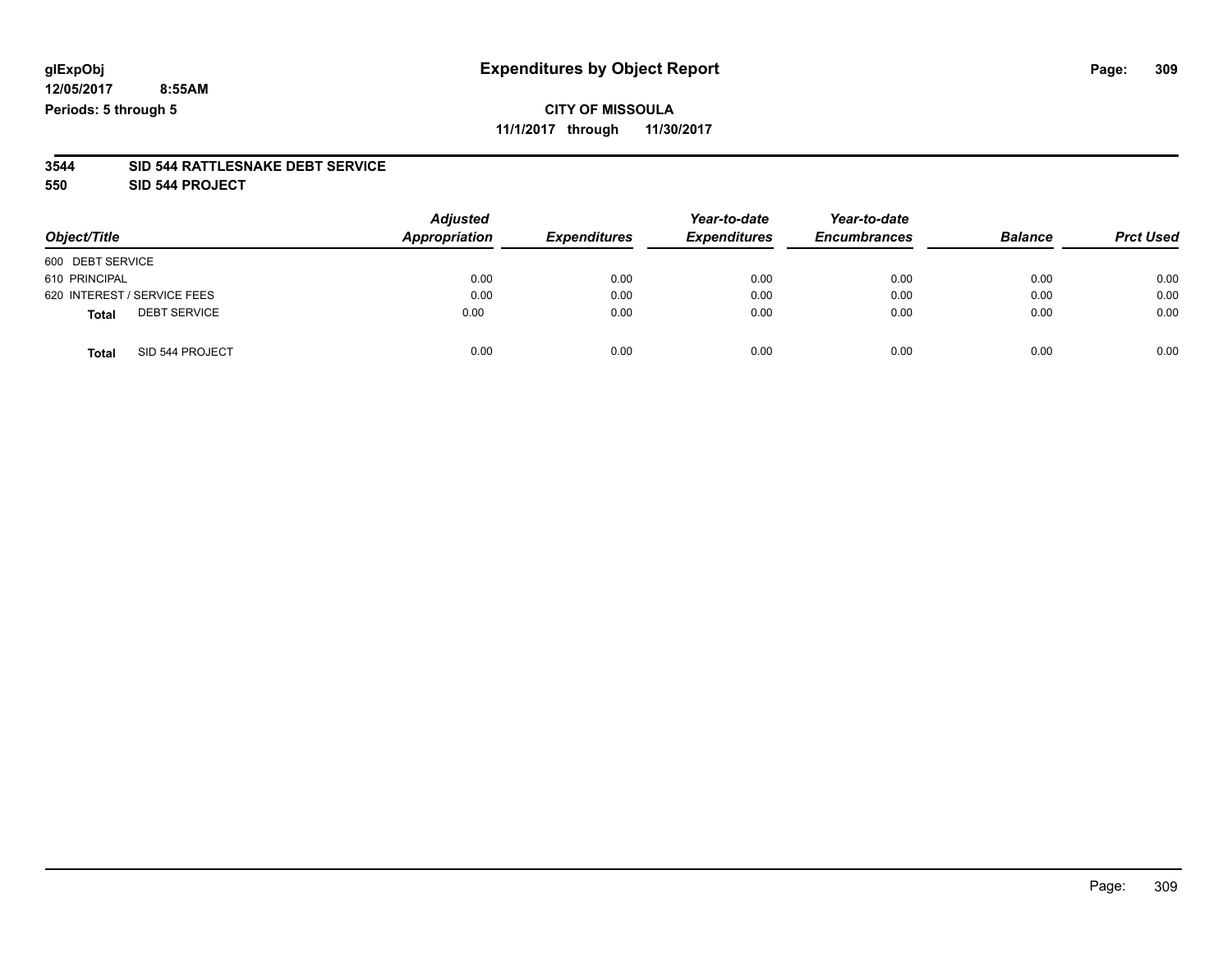#### **3544 SID 544 RATTLESNAKE DEBT SERVICE**

**550 SID 544 PROJECT**

| Object/Title                        | <b>Adjusted</b><br>Appropriation | <b>Expenditures</b> | Year-to-date<br><b>Expenditures</b> | Year-to-date<br><b>Encumbrances</b> | <b>Balance</b> | <b>Prct Used</b> |
|-------------------------------------|----------------------------------|---------------------|-------------------------------------|-------------------------------------|----------------|------------------|
| 600 DEBT SERVICE                    |                                  |                     |                                     |                                     |                |                  |
| 610 PRINCIPAL                       | 0.00                             | 0.00                | 0.00                                | 0.00                                | 0.00           | 0.00             |
| 620 INTEREST / SERVICE FEES         | 0.00                             | 0.00                | 0.00                                | 0.00                                | 0.00           | 0.00             |
| <b>DEBT SERVICE</b><br><b>Total</b> | 0.00                             | 0.00                | 0.00                                | 0.00                                | 0.00           | 0.00             |
| SID 544 PROJECT<br><b>Total</b>     | 0.00                             | 0.00                | 0.00                                | 0.00                                | 0.00           | 0.00             |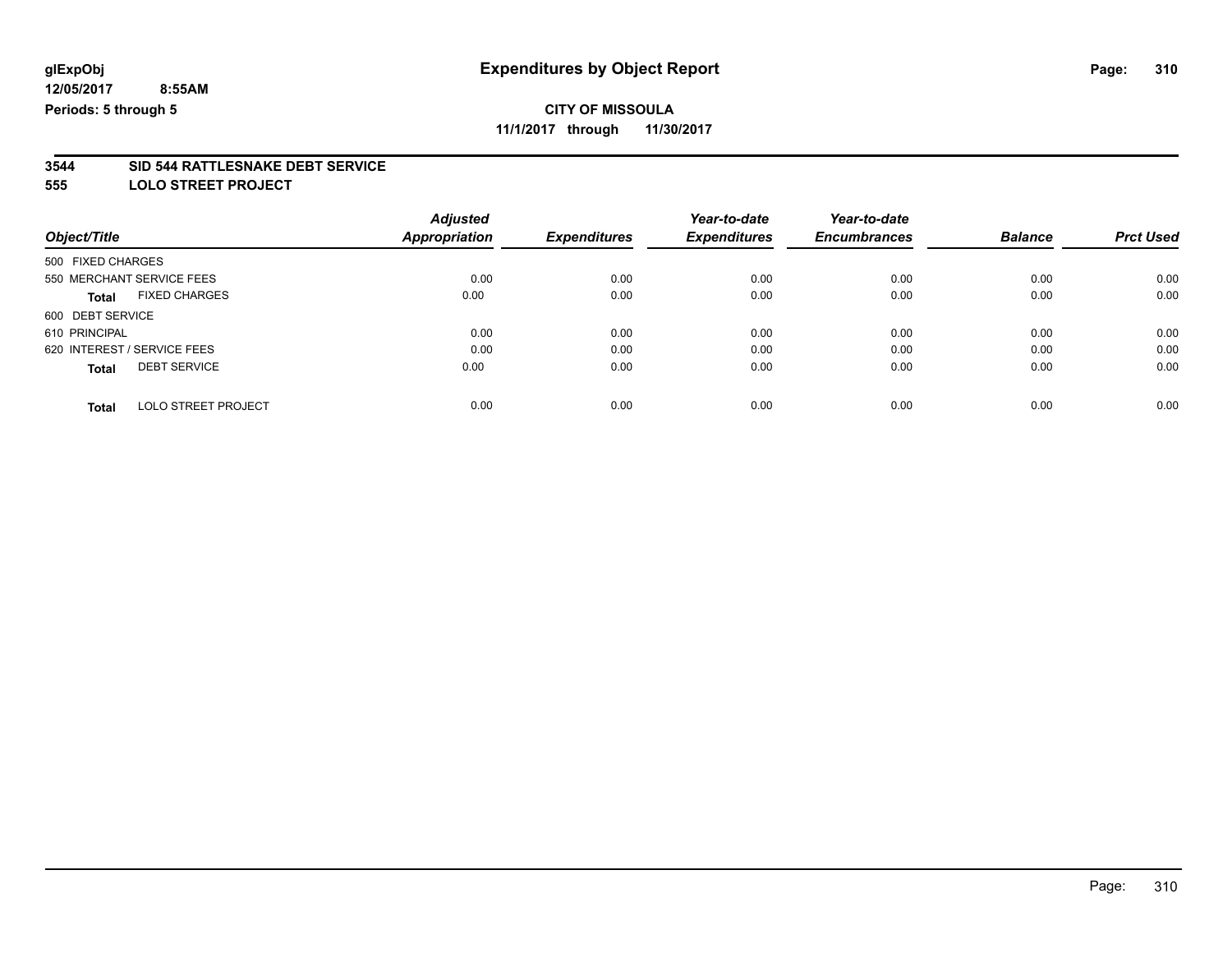## **CITY OF MISSOULA**

**11/1/2017 through 11/30/2017**

#### **3544 SID 544 RATTLESNAKE DEBT SERVICE**

**555 LOLO STREET PROJECT**

| Object/Title                |                            | <b>Adjusted</b>      | <b>Expenditures</b> | Year-to-date<br><b>Expenditures</b> | Year-to-date<br><b>Encumbrances</b> | <b>Balance</b> | <b>Prct Used</b> |
|-----------------------------|----------------------------|----------------------|---------------------|-------------------------------------|-------------------------------------|----------------|------------------|
|                             |                            | <b>Appropriation</b> |                     |                                     |                                     |                |                  |
| 500 FIXED CHARGES           |                            |                      |                     |                                     |                                     |                |                  |
| 550 MERCHANT SERVICE FEES   |                            | 0.00                 | 0.00                | 0.00                                | 0.00                                | 0.00           | 0.00             |
| <b>Total</b>                | <b>FIXED CHARGES</b>       | 0.00                 | 0.00                | 0.00                                | 0.00                                | 0.00           | 0.00             |
| 600 DEBT SERVICE            |                            |                      |                     |                                     |                                     |                |                  |
| 610 PRINCIPAL               |                            | 0.00                 | 0.00                | 0.00                                | 0.00                                | 0.00           | 0.00             |
| 620 INTEREST / SERVICE FEES |                            | 0.00                 | 0.00                | 0.00                                | 0.00                                | 0.00           | 0.00             |
| <b>Total</b>                | <b>DEBT SERVICE</b>        | 0.00                 | 0.00                | 0.00                                | 0.00                                | 0.00           | 0.00             |
| <b>Total</b>                | <b>LOLO STREET PROJECT</b> | 0.00                 | 0.00                | 0.00                                | 0.00                                | 0.00           | 0.00             |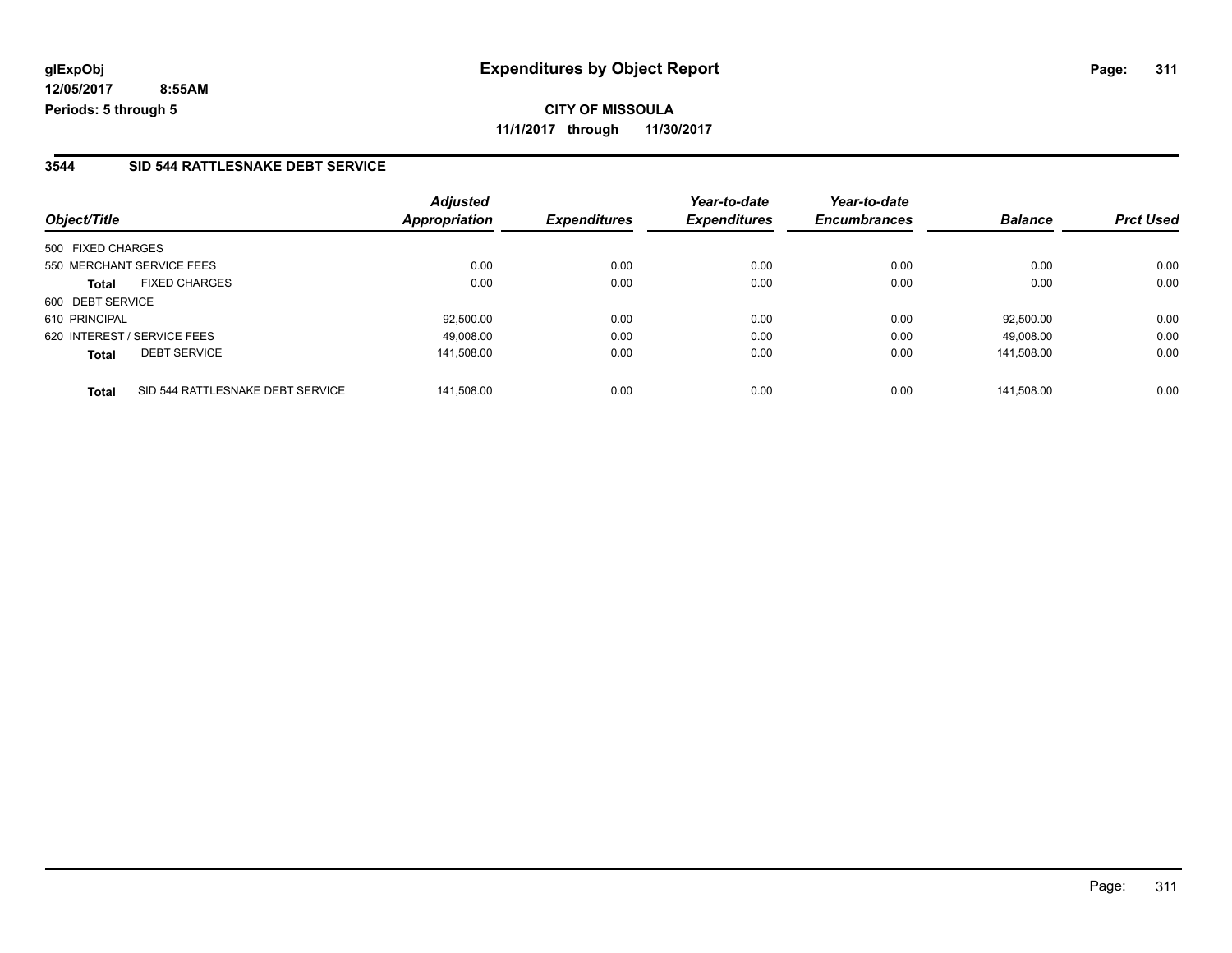**CITY OF MISSOULA 11/1/2017 through 11/30/2017**

#### **3544 SID 544 RATTLESNAKE DEBT SERVICE**

|                                                  | <b>Adjusted</b> | <b>Expenditures</b> | Year-to-date<br><b>Expenditures</b> | Year-to-date<br><b>Encumbrances</b> | <b>Balance</b> | <b>Prct Used</b> |
|--------------------------------------------------|-----------------|---------------------|-------------------------------------|-------------------------------------|----------------|------------------|
| Object/Title                                     | Appropriation   |                     |                                     |                                     |                |                  |
| 500 FIXED CHARGES                                |                 |                     |                                     |                                     |                |                  |
| 550 MERCHANT SERVICE FEES                        | 0.00            | 0.00                | 0.00                                | 0.00                                | 0.00           | 0.00             |
| <b>FIXED CHARGES</b><br><b>Total</b>             | 0.00            | 0.00                | 0.00                                | 0.00                                | 0.00           | 0.00             |
| 600 DEBT SERVICE                                 |                 |                     |                                     |                                     |                |                  |
| 610 PRINCIPAL                                    | 92.500.00       | 0.00                | 0.00                                | 0.00                                | 92.500.00      | 0.00             |
| 620 INTEREST / SERVICE FEES                      | 49,008.00       | 0.00                | 0.00                                | 0.00                                | 49,008.00      | 0.00             |
| <b>DEBT SERVICE</b><br><b>Total</b>              | 141,508.00      | 0.00                | 0.00                                | 0.00                                | 141,508.00     | 0.00             |
| SID 544 RATTLESNAKE DEBT SERVICE<br><b>Total</b> | 141.508.00      | 0.00                | 0.00                                | 0.00                                | 141.508.00     | 0.00             |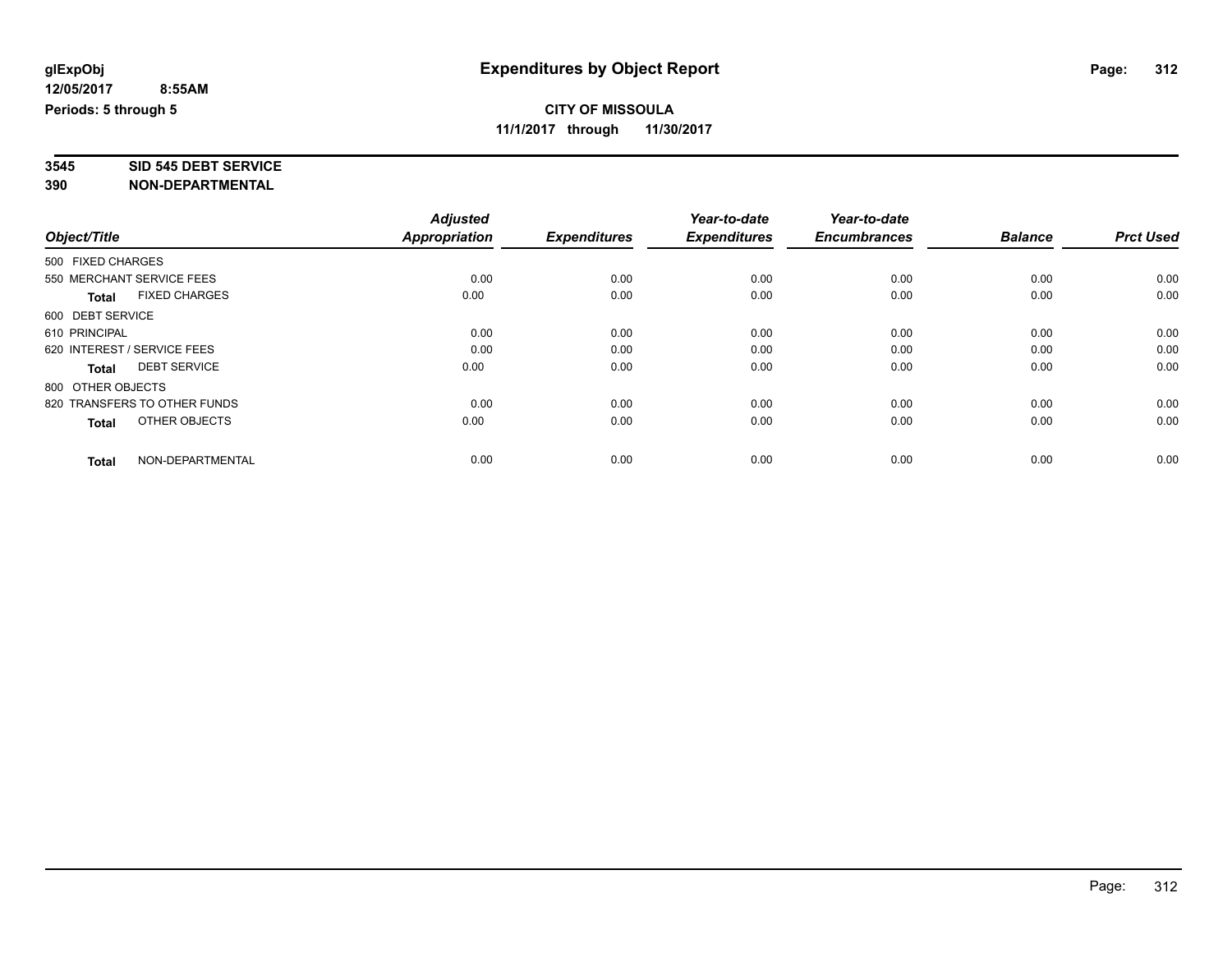# **3545 SID 545 DEBT SERVICE**

|                                      | <b>Adjusted</b><br>Appropriation |                     | Year-to-date<br><b>Expenditures</b> | Year-to-date<br><b>Encumbrances</b> | <b>Balance</b> | <b>Prct Used</b> |
|--------------------------------------|----------------------------------|---------------------|-------------------------------------|-------------------------------------|----------------|------------------|
| Object/Title                         |                                  | <b>Expenditures</b> |                                     |                                     |                |                  |
| 500 FIXED CHARGES                    |                                  |                     |                                     |                                     |                |                  |
| 550 MERCHANT SERVICE FEES            | 0.00                             | 0.00                | 0.00                                | 0.00                                | 0.00           | 0.00             |
| <b>FIXED CHARGES</b><br><b>Total</b> | 0.00                             | 0.00                | 0.00                                | 0.00                                | 0.00           | 0.00             |
| 600 DEBT SERVICE                     |                                  |                     |                                     |                                     |                |                  |
| 610 PRINCIPAL                        | 0.00                             | 0.00                | 0.00                                | 0.00                                | 0.00           | 0.00             |
| 620 INTEREST / SERVICE FEES          | 0.00                             | 0.00                | 0.00                                | 0.00                                | 0.00           | 0.00             |
| <b>DEBT SERVICE</b><br><b>Total</b>  | 0.00                             | 0.00                | 0.00                                | 0.00                                | 0.00           | 0.00             |
| 800 OTHER OBJECTS                    |                                  |                     |                                     |                                     |                |                  |
| 820 TRANSFERS TO OTHER FUNDS         | 0.00                             | 0.00                | 0.00                                | 0.00                                | 0.00           | 0.00             |
| OTHER OBJECTS<br><b>Total</b>        | 0.00                             | 0.00                | 0.00                                | 0.00                                | 0.00           | 0.00             |
|                                      |                                  |                     |                                     |                                     |                |                  |
| NON-DEPARTMENTAL<br><b>Total</b>     | 0.00                             | 0.00                | 0.00                                | 0.00                                | 0.00           | 0.00             |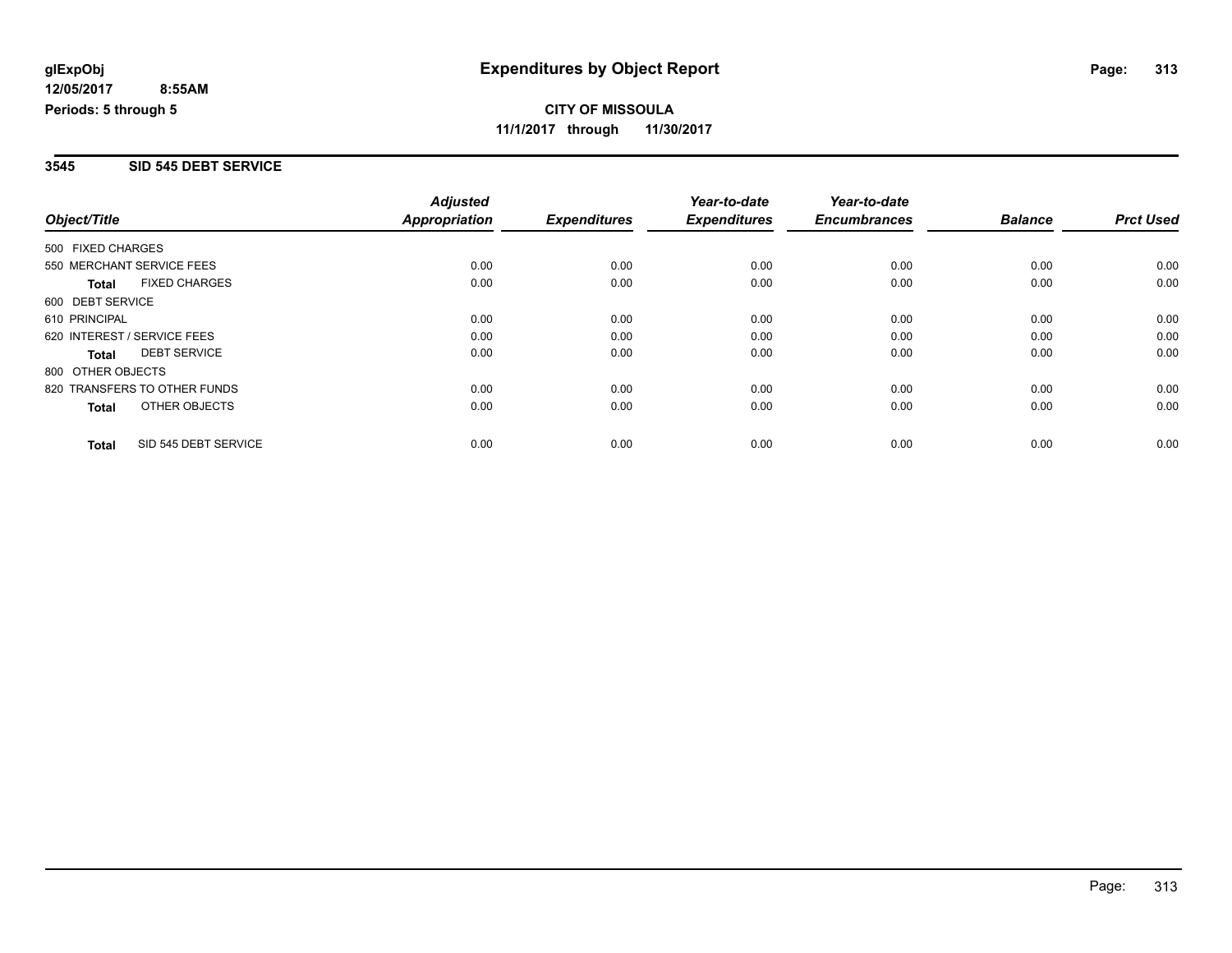#### **3545 SID 545 DEBT SERVICE**

|                              |                      | <b>Adjusted</b>      |                     | Year-to-date        | Year-to-date        |                |                  |
|------------------------------|----------------------|----------------------|---------------------|---------------------|---------------------|----------------|------------------|
| Object/Title                 |                      | <b>Appropriation</b> | <b>Expenditures</b> | <b>Expenditures</b> | <b>Encumbrances</b> | <b>Balance</b> | <b>Prct Used</b> |
| 500 FIXED CHARGES            |                      |                      |                     |                     |                     |                |                  |
| 550 MERCHANT SERVICE FEES    |                      | 0.00                 | 0.00                | 0.00                | 0.00                | 0.00           | 0.00             |
| <b>Total</b>                 | <b>FIXED CHARGES</b> | 0.00                 | 0.00                | 0.00                | 0.00                | 0.00           | 0.00             |
| 600 DEBT SERVICE             |                      |                      |                     |                     |                     |                |                  |
| 610 PRINCIPAL                |                      | 0.00                 | 0.00                | 0.00                | 0.00                | 0.00           | 0.00             |
| 620 INTEREST / SERVICE FEES  |                      | 0.00                 | 0.00                | 0.00                | 0.00                | 0.00           | 0.00             |
| Total                        | <b>DEBT SERVICE</b>  | 0.00                 | 0.00                | 0.00                | 0.00                | 0.00           | 0.00             |
| 800 OTHER OBJECTS            |                      |                      |                     |                     |                     |                |                  |
| 820 TRANSFERS TO OTHER FUNDS |                      | 0.00                 | 0.00                | 0.00                | 0.00                | 0.00           | 0.00             |
| Total                        | OTHER OBJECTS        | 0.00                 | 0.00                | 0.00                | 0.00                | 0.00           | 0.00             |
| <b>Total</b>                 | SID 545 DEBT SERVICE | 0.00                 | 0.00                | 0.00                | 0.00                | 0.00           | 0.00             |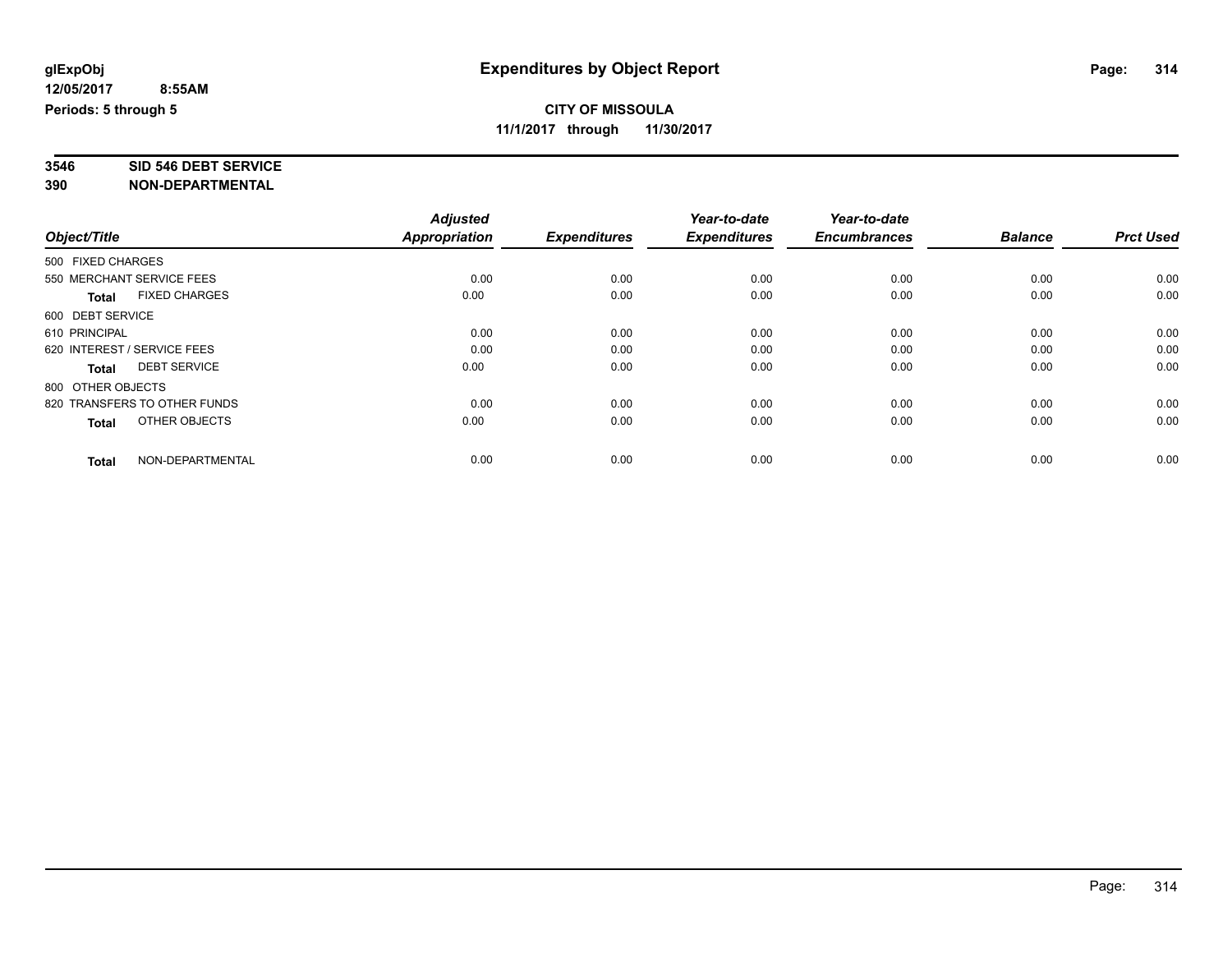# **3546 SID 546 DEBT SERVICE**

|                   |                              | <b>Adjusted</b> |                     | Year-to-date        | Year-to-date        |                |                  |
|-------------------|------------------------------|-----------------|---------------------|---------------------|---------------------|----------------|------------------|
| Object/Title      |                              | Appropriation   | <b>Expenditures</b> | <b>Expenditures</b> | <b>Encumbrances</b> | <b>Balance</b> | <b>Prct Used</b> |
| 500 FIXED CHARGES |                              |                 |                     |                     |                     |                |                  |
|                   | 550 MERCHANT SERVICE FEES    | 0.00            | 0.00                | 0.00                | 0.00                | 0.00           | 0.00             |
| <b>Total</b>      | <b>FIXED CHARGES</b>         | 0.00            | 0.00                | 0.00                | 0.00                | 0.00           | 0.00             |
| 600 DEBT SERVICE  |                              |                 |                     |                     |                     |                |                  |
| 610 PRINCIPAL     |                              | 0.00            | 0.00                | 0.00                | 0.00                | 0.00           | 0.00             |
|                   | 620 INTEREST / SERVICE FEES  | 0.00            | 0.00                | 0.00                | 0.00                | 0.00           | 0.00             |
| <b>Total</b>      | <b>DEBT SERVICE</b>          | 0.00            | 0.00                | 0.00                | 0.00                | 0.00           | 0.00             |
| 800 OTHER OBJECTS |                              |                 |                     |                     |                     |                |                  |
|                   | 820 TRANSFERS TO OTHER FUNDS | 0.00            | 0.00                | 0.00                | 0.00                | 0.00           | 0.00             |
| <b>Total</b>      | OTHER OBJECTS                | 0.00            | 0.00                | 0.00                | 0.00                | 0.00           | 0.00             |
|                   |                              |                 |                     |                     |                     |                |                  |
| <b>Total</b>      | NON-DEPARTMENTAL             | 0.00            | 0.00                | 0.00                | 0.00                | 0.00           | 0.00             |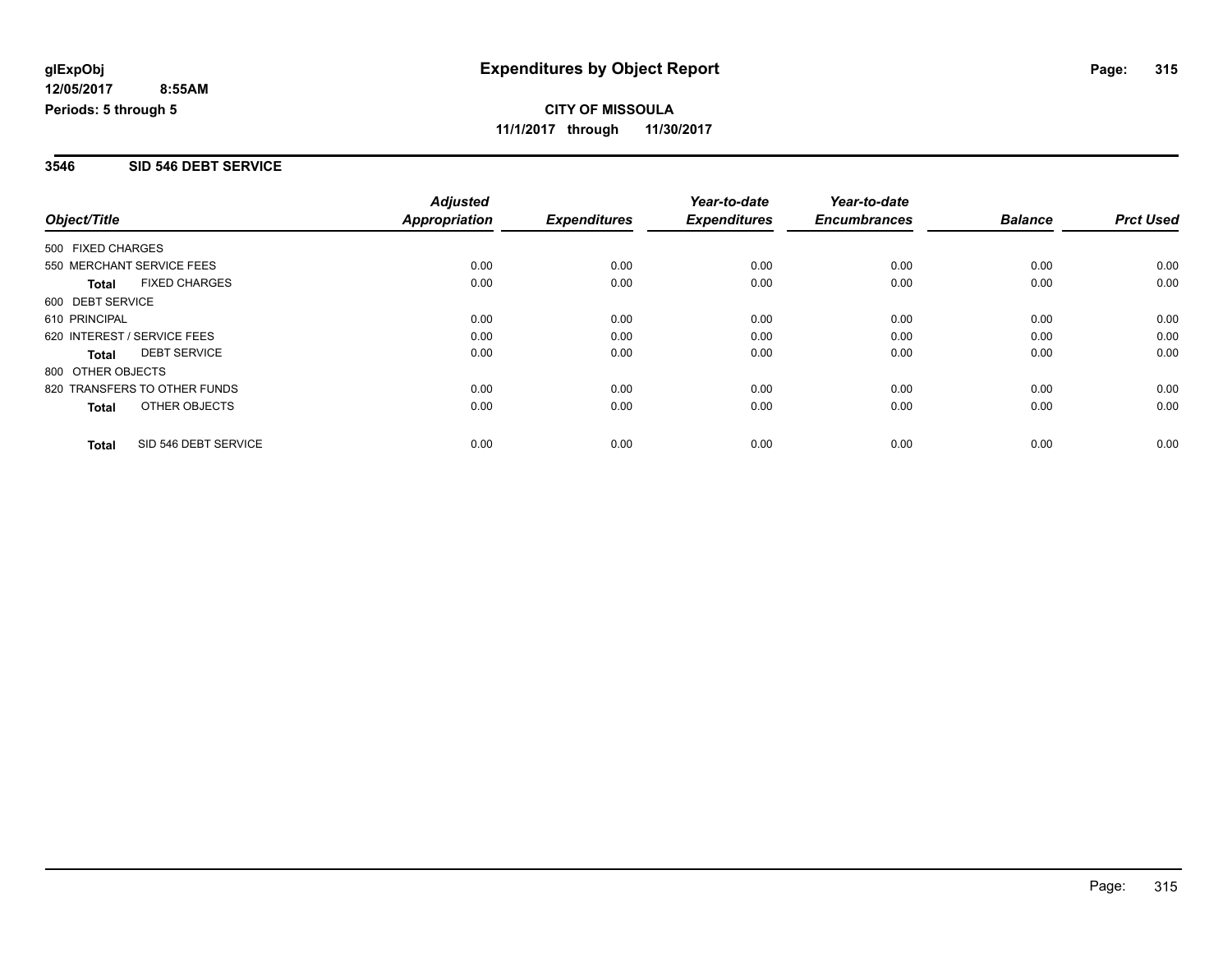#### **3546 SID 546 DEBT SERVICE**

|                              |                      | <b>Adjusted</b>      |                     | Year-to-date        | Year-to-date        |                |                  |
|------------------------------|----------------------|----------------------|---------------------|---------------------|---------------------|----------------|------------------|
| Object/Title                 |                      | <b>Appropriation</b> | <b>Expenditures</b> | <b>Expenditures</b> | <b>Encumbrances</b> | <b>Balance</b> | <b>Prct Used</b> |
| 500 FIXED CHARGES            |                      |                      |                     |                     |                     |                |                  |
| 550 MERCHANT SERVICE FEES    |                      | 0.00                 | 0.00                | 0.00                | 0.00                | 0.00           | 0.00             |
| <b>Total</b>                 | <b>FIXED CHARGES</b> | 0.00                 | 0.00                | 0.00                | 0.00                | 0.00           | 0.00             |
| 600 DEBT SERVICE             |                      |                      |                     |                     |                     |                |                  |
| 610 PRINCIPAL                |                      | 0.00                 | 0.00                | 0.00                | 0.00                | 0.00           | 0.00             |
| 620 INTEREST / SERVICE FEES  |                      | 0.00                 | 0.00                | 0.00                | 0.00                | 0.00           | 0.00             |
| Total                        | <b>DEBT SERVICE</b>  | 0.00                 | 0.00                | 0.00                | 0.00                | 0.00           | 0.00             |
| 800 OTHER OBJECTS            |                      |                      |                     |                     |                     |                |                  |
| 820 TRANSFERS TO OTHER FUNDS |                      | 0.00                 | 0.00                | 0.00                | 0.00                | 0.00           | 0.00             |
| Total                        | OTHER OBJECTS        | 0.00                 | 0.00                | 0.00                | 0.00                | 0.00           | 0.00             |
| <b>Total</b>                 | SID 546 DEBT SERVICE | 0.00                 | 0.00                | 0.00                | 0.00                | 0.00           | 0.00             |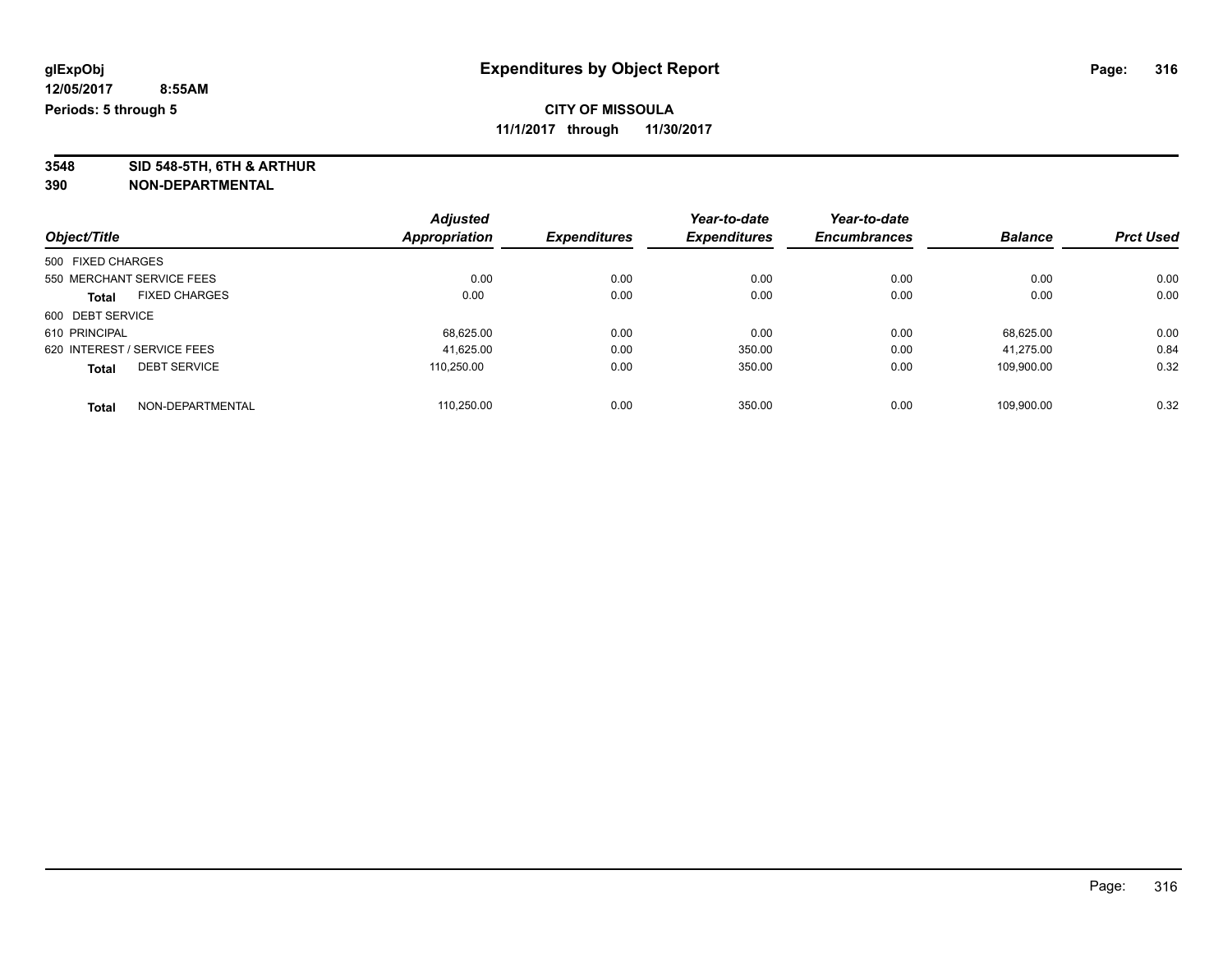**3548 SID 548-5TH, 6TH & ARTHUR**

|                   |                             | <b>Adjusted</b> |                     | Year-to-date        | Year-to-date        |                |                  |
|-------------------|-----------------------------|-----------------|---------------------|---------------------|---------------------|----------------|------------------|
| Object/Title      |                             | Appropriation   | <b>Expenditures</b> | <b>Expenditures</b> | <b>Encumbrances</b> | <b>Balance</b> | <b>Prct Used</b> |
| 500 FIXED CHARGES |                             |                 |                     |                     |                     |                |                  |
|                   | 550 MERCHANT SERVICE FEES   | 0.00            | 0.00                | 0.00                | 0.00                | 0.00           | 0.00             |
| <b>Total</b>      | <b>FIXED CHARGES</b>        | 0.00            | 0.00                | 0.00                | 0.00                | 0.00           | 0.00             |
| 600 DEBT SERVICE  |                             |                 |                     |                     |                     |                |                  |
| 610 PRINCIPAL     |                             | 68,625.00       | 0.00                | 0.00                | 0.00                | 68.625.00      | 0.00             |
|                   | 620 INTEREST / SERVICE FEES | 41,625.00       | 0.00                | 350.00              | 0.00                | 41.275.00      | 0.84             |
| <b>Total</b>      | <b>DEBT SERVICE</b>         | 110.250.00      | 0.00                | 350.00              | 0.00                | 109.900.00     | 0.32             |
| <b>Total</b>      | NON-DEPARTMENTAL            | 110.250.00      | 0.00                | 350.00              | 0.00                | 109.900.00     | 0.32             |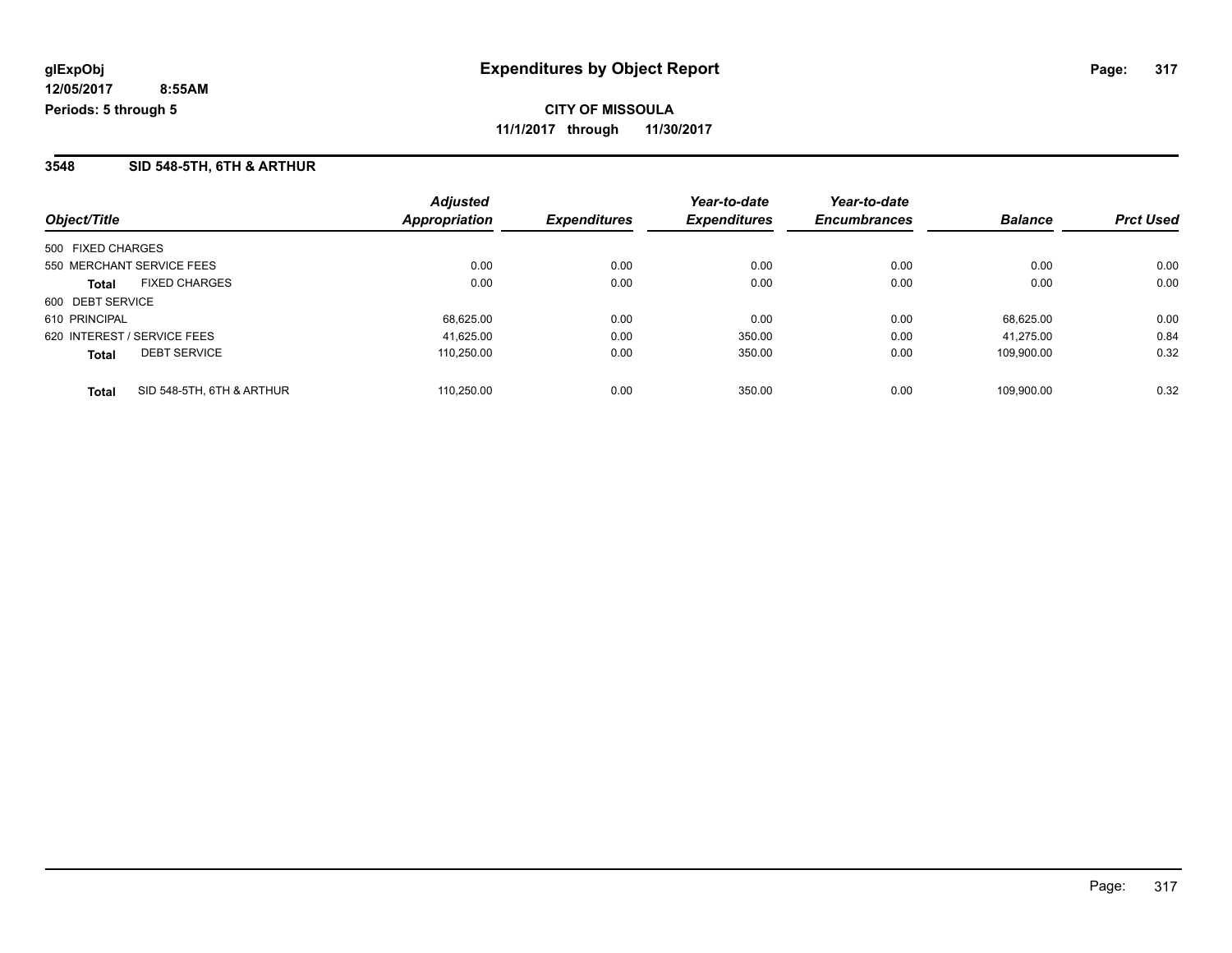#### **3548 SID 548-5TH, 6TH & ARTHUR**

| Object/Title                              | <b>Adjusted</b><br><b>Appropriation</b> | <b>Expenditures</b> | Year-to-date<br><b>Expenditures</b> | Year-to-date<br><b>Encumbrances</b> | <b>Balance</b> | <b>Prct Used</b> |
|-------------------------------------------|-----------------------------------------|---------------------|-------------------------------------|-------------------------------------|----------------|------------------|
| 500 FIXED CHARGES                         |                                         |                     |                                     |                                     |                |                  |
| 550 MERCHANT SERVICE FEES                 | 0.00                                    | 0.00                | 0.00                                | 0.00                                | 0.00           | 0.00             |
| <b>FIXED CHARGES</b><br><b>Total</b>      | 0.00                                    | 0.00                | 0.00                                | 0.00                                | 0.00           | 0.00             |
| 600 DEBT SERVICE                          |                                         |                     |                                     |                                     |                |                  |
| 610 PRINCIPAL                             | 68,625.00                               | 0.00                | 0.00                                | 0.00                                | 68.625.00      | 0.00             |
| 620 INTEREST / SERVICE FEES               | 41,625.00                               | 0.00                | 350.00                              | 0.00                                | 41.275.00      | 0.84             |
| <b>DEBT SERVICE</b><br><b>Total</b>       | 110.250.00                              | 0.00                | 350.00                              | 0.00                                | 109.900.00     | 0.32             |
| SID 548-5TH, 6TH & ARTHUR<br><b>Total</b> | 110.250.00                              | 0.00                | 350.00                              | 0.00                                | 109.900.00     | 0.32             |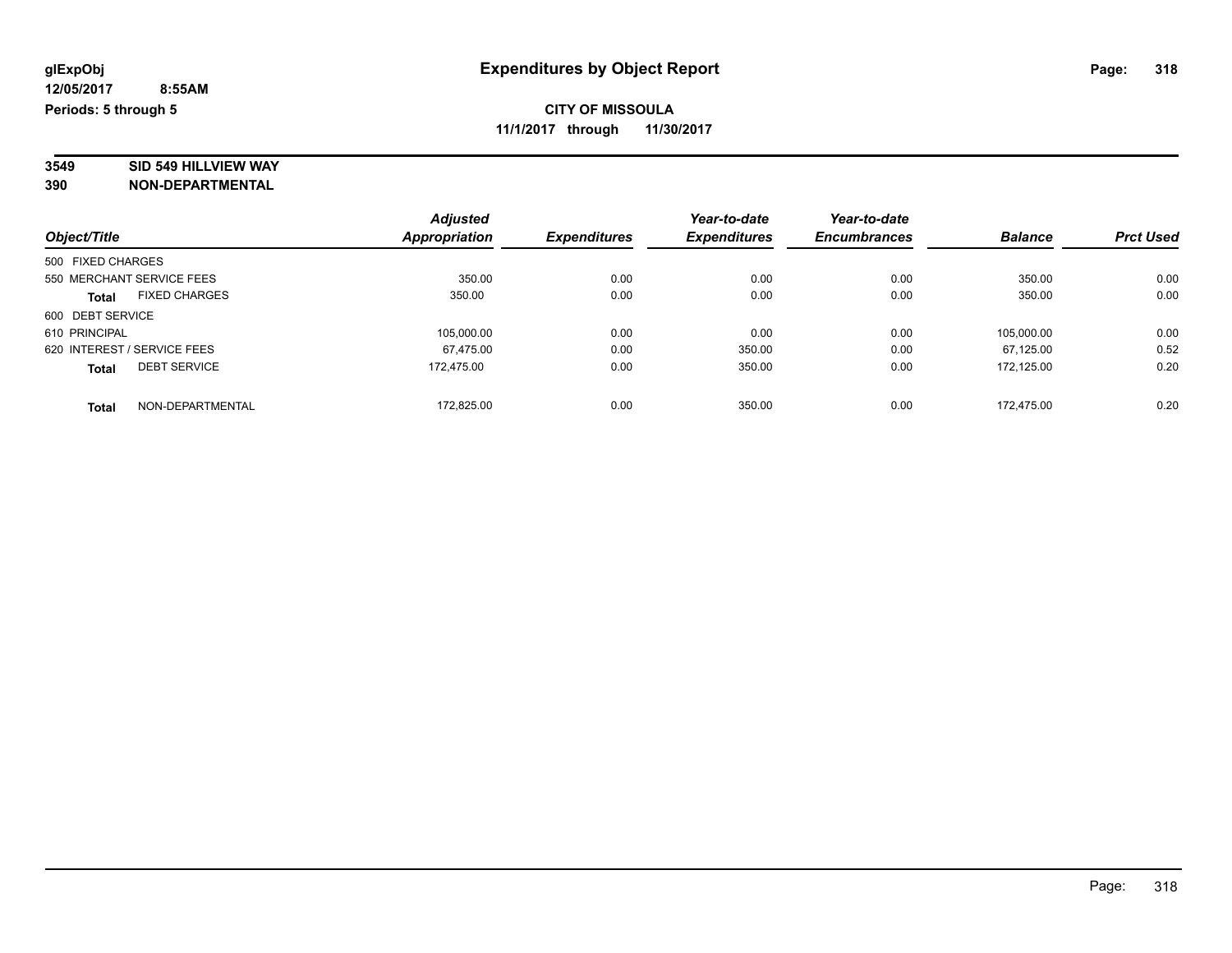# **3549 SID 549 HILLVIEW WAY**

|                             |                      | <b>Adjusted</b> |                     | Year-to-date        | Year-to-date        |                |                  |
|-----------------------------|----------------------|-----------------|---------------------|---------------------|---------------------|----------------|------------------|
| Object/Title                |                      | Appropriation   | <b>Expenditures</b> | <b>Expenditures</b> | <b>Encumbrances</b> | <b>Balance</b> | <b>Prct Used</b> |
| 500 FIXED CHARGES           |                      |                 |                     |                     |                     |                |                  |
| 550 MERCHANT SERVICE FEES   |                      | 350.00          | 0.00                | 0.00                | 0.00                | 350.00         | 0.00             |
| <b>Total</b>                | <b>FIXED CHARGES</b> | 350.00          | 0.00                | 0.00                | 0.00                | 350.00         | 0.00             |
| 600 DEBT SERVICE            |                      |                 |                     |                     |                     |                |                  |
| 610 PRINCIPAL               |                      | 105.000.00      | 0.00                | 0.00                | 0.00                | 105.000.00     | 0.00             |
| 620 INTEREST / SERVICE FEES |                      | 67.475.00       | 0.00                | 350.00              | 0.00                | 67.125.00      | 0.52             |
| <b>Total</b>                | <b>DEBT SERVICE</b>  | 172.475.00      | 0.00                | 350.00              | 0.00                | 172.125.00     | 0.20             |
| <b>Total</b>                | NON-DEPARTMENTAL     | 172.825.00      | 0.00                | 350.00              | 0.00                | 172.475.00     | 0.20             |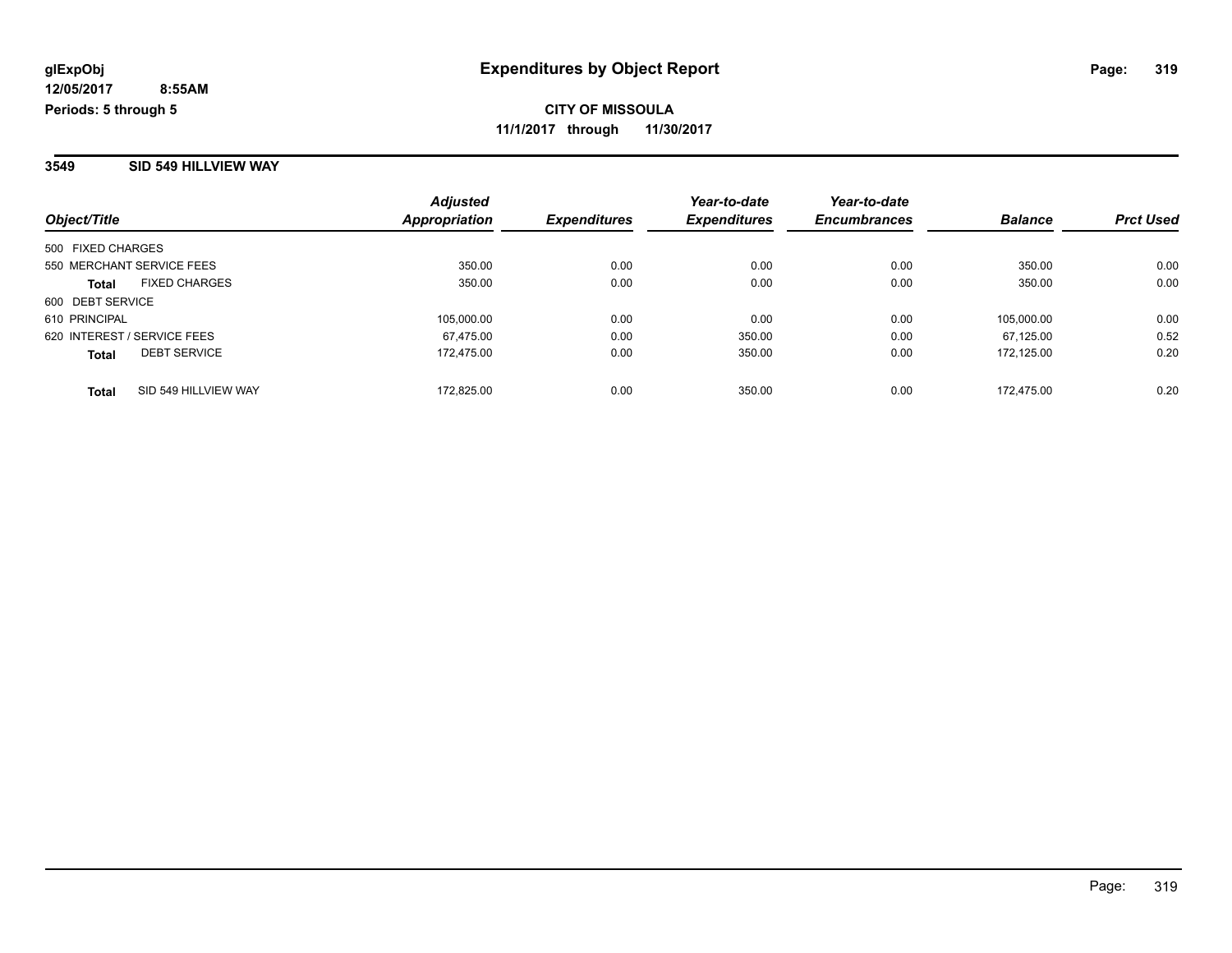#### **3549 SID 549 HILLVIEW WAY**

| Object/Title                         | <b>Adjusted</b><br>Appropriation | <b>Expenditures</b> | Year-to-date<br><b>Expenditures</b> | Year-to-date<br><b>Encumbrances</b> | <b>Balance</b> | <b>Prct Used</b> |
|--------------------------------------|----------------------------------|---------------------|-------------------------------------|-------------------------------------|----------------|------------------|
| 500 FIXED CHARGES                    |                                  |                     |                                     |                                     |                |                  |
| 550 MERCHANT SERVICE FEES            | 350.00                           | 0.00                | 0.00                                | 0.00                                | 350.00         | 0.00             |
| <b>FIXED CHARGES</b><br><b>Total</b> | 350.00                           | 0.00                | 0.00                                | 0.00                                | 350.00         | 0.00             |
| 600 DEBT SERVICE                     |                                  |                     |                                     |                                     |                |                  |
| 610 PRINCIPAL                        | 105.000.00                       | 0.00                | 0.00                                | 0.00                                | 105.000.00     | 0.00             |
| 620 INTEREST / SERVICE FEES          | 67.475.00                        | 0.00                | 350.00                              | 0.00                                | 67.125.00      | 0.52             |
| <b>DEBT SERVICE</b><br><b>Total</b>  | 172.475.00                       | 0.00                | 350.00                              | 0.00                                | 172.125.00     | 0.20             |
| SID 549 HILLVIEW WAY<br><b>Total</b> | 172.825.00                       | 0.00                | 350.00                              | 0.00                                | 172.475.00     | 0.20             |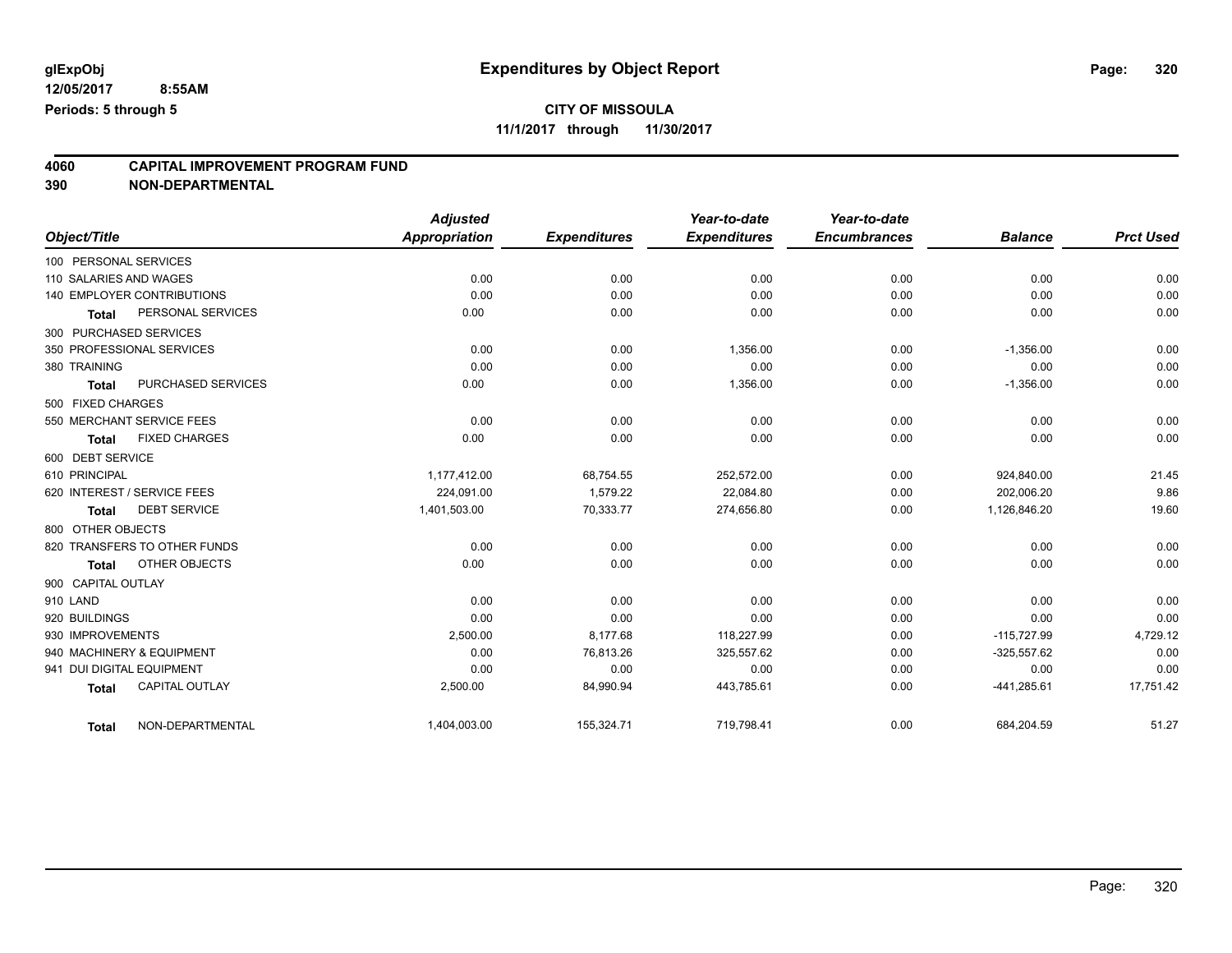## **CITY OF MISSOULA**

**11/1/2017 through 11/30/2017**

## **4060 CAPITAL IMPROVEMENT PROGRAM FUND**

|                           |                                   | <b>Adjusted</b> |                     | Year-to-date        | Year-to-date        |                |                  |
|---------------------------|-----------------------------------|-----------------|---------------------|---------------------|---------------------|----------------|------------------|
| Object/Title              |                                   | Appropriation   | <b>Expenditures</b> | <b>Expenditures</b> | <b>Encumbrances</b> | <b>Balance</b> | <b>Prct Used</b> |
| 100 PERSONAL SERVICES     |                                   |                 |                     |                     |                     |                |                  |
| 110 SALARIES AND WAGES    |                                   | 0.00            | 0.00                | 0.00                | 0.00                | 0.00           | 0.00             |
|                           | <b>140 EMPLOYER CONTRIBUTIONS</b> | 0.00            | 0.00                | 0.00                | 0.00                | 0.00           | 0.00             |
| <b>Total</b>              | PERSONAL SERVICES                 | 0.00            | 0.00                | 0.00                | 0.00                | 0.00           | 0.00             |
| 300 PURCHASED SERVICES    |                                   |                 |                     |                     |                     |                |                  |
|                           | 350 PROFESSIONAL SERVICES         | 0.00            | 0.00                | 1,356.00            | 0.00                | $-1,356.00$    | 0.00             |
| 380 TRAINING              |                                   | 0.00            | 0.00                | 0.00                | 0.00                | 0.00           | 0.00             |
| <b>Total</b>              | PURCHASED SERVICES                | 0.00            | 0.00                | 1,356.00            | 0.00                | $-1,356.00$    | 0.00             |
| 500 FIXED CHARGES         |                                   |                 |                     |                     |                     |                |                  |
|                           | 550 MERCHANT SERVICE FEES         | 0.00            | 0.00                | 0.00                | 0.00                | 0.00           | 0.00             |
| <b>Total</b>              | <b>FIXED CHARGES</b>              | 0.00            | 0.00                | 0.00                | 0.00                | 0.00           | 0.00             |
| 600 DEBT SERVICE          |                                   |                 |                     |                     |                     |                |                  |
| 610 PRINCIPAL             |                                   | 1,177,412.00    | 68,754.55           | 252,572.00          | 0.00                | 924.840.00     | 21.45            |
|                           | 620 INTEREST / SERVICE FEES       | 224,091.00      | 1,579.22            | 22,084.80           | 0.00                | 202,006.20     | 9.86             |
| <b>Total</b>              | <b>DEBT SERVICE</b>               | 1,401,503.00    | 70,333.77           | 274,656.80          | 0.00                | 1,126,846.20   | 19.60            |
| 800 OTHER OBJECTS         |                                   |                 |                     |                     |                     |                |                  |
|                           | 820 TRANSFERS TO OTHER FUNDS      | 0.00            | 0.00                | 0.00                | 0.00                | 0.00           | 0.00             |
| <b>Total</b>              | OTHER OBJECTS                     | 0.00            | 0.00                | 0.00                | 0.00                | 0.00           | 0.00             |
| 900 CAPITAL OUTLAY        |                                   |                 |                     |                     |                     |                |                  |
| 910 LAND                  |                                   | 0.00            | 0.00                | 0.00                | 0.00                | 0.00           | 0.00             |
| 920 BUILDINGS             |                                   | 0.00            | 0.00                | 0.00                | 0.00                | 0.00           | 0.00             |
| 930 IMPROVEMENTS          |                                   | 2,500.00        | 8,177.68            | 118,227.99          | 0.00                | $-115,727.99$  | 4,729.12         |
|                           | 940 MACHINERY & EQUIPMENT         | 0.00            | 76,813.26           | 325,557.62          | 0.00                | $-325,557.62$  | 0.00             |
| 941 DUI DIGITAL EQUIPMENT |                                   | 0.00            | 0.00                | 0.00                | 0.00                | 0.00           | 0.00             |
| <b>Total</b>              | <b>CAPITAL OUTLAY</b>             | 2,500.00        | 84,990.94           | 443,785.61          | 0.00                | -441,285.61    | 17,751.42        |
| <b>Total</b>              | NON-DEPARTMENTAL                  | 1,404,003.00    | 155,324.71          | 719,798.41          | 0.00                | 684,204.59     | 51.27            |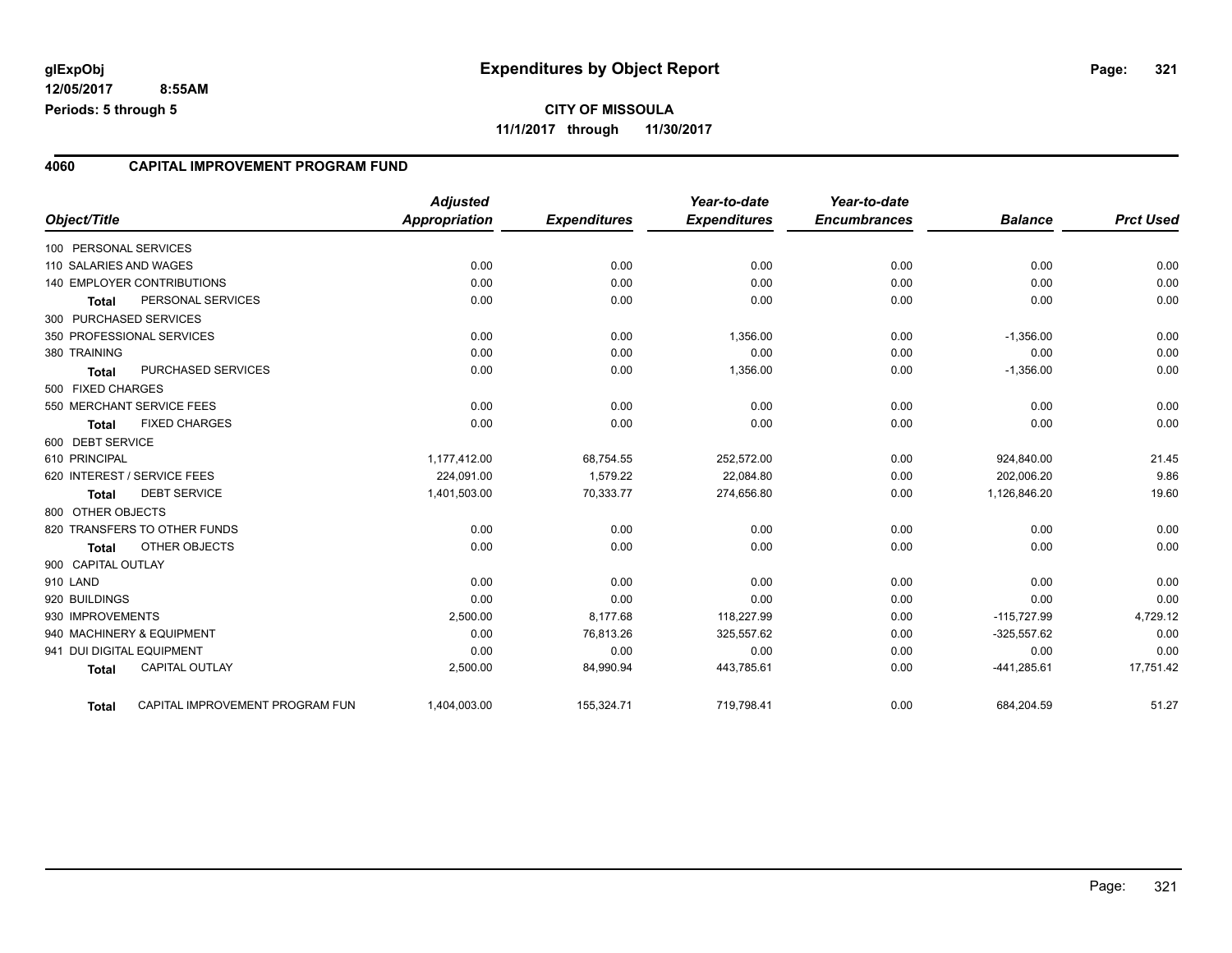#### **4060 CAPITAL IMPROVEMENT PROGRAM FUND**

| Object/Title              |                                 | <b>Adjusted</b><br><b>Appropriation</b> | <b>Expenditures</b> | Year-to-date<br><b>Expenditures</b> | Year-to-date<br><b>Encumbrances</b> | <b>Balance</b> | <b>Prct Used</b> |
|---------------------------|---------------------------------|-----------------------------------------|---------------------|-------------------------------------|-------------------------------------|----------------|------------------|
| 100 PERSONAL SERVICES     |                                 |                                         |                     |                                     |                                     |                |                  |
| 110 SALARIES AND WAGES    |                                 | 0.00                                    | 0.00                | 0.00                                | 0.00                                | 0.00           | 0.00             |
|                           | 140 EMPLOYER CONTRIBUTIONS      | 0.00                                    | 0.00                | 0.00                                | 0.00                                | 0.00           | 0.00             |
| <b>Total</b>              | PERSONAL SERVICES               | 0.00                                    | 0.00                | 0.00                                | 0.00                                | 0.00           | 0.00             |
| 300 PURCHASED SERVICES    |                                 |                                         |                     |                                     |                                     |                |                  |
|                           | 350 PROFESSIONAL SERVICES       | 0.00                                    | 0.00                | 1,356.00                            | 0.00                                | $-1,356.00$    | 0.00             |
| 380 TRAINING              |                                 | 0.00                                    | 0.00                | 0.00                                | 0.00                                | 0.00           | 0.00             |
| Total                     | PURCHASED SERVICES              | 0.00                                    | 0.00                | 1,356.00                            | 0.00                                | $-1,356.00$    | 0.00             |
| 500 FIXED CHARGES         |                                 |                                         |                     |                                     |                                     |                |                  |
|                           | 550 MERCHANT SERVICE FEES       | 0.00                                    | 0.00                | 0.00                                | 0.00                                | 0.00           | 0.00             |
| <b>Total</b>              | <b>FIXED CHARGES</b>            | 0.00                                    | 0.00                | 0.00                                | 0.00                                | 0.00           | 0.00             |
| 600 DEBT SERVICE          |                                 |                                         |                     |                                     |                                     |                |                  |
| 610 PRINCIPAL             |                                 | 1,177,412.00                            | 68,754.55           | 252,572.00                          | 0.00                                | 924,840.00     | 21.45            |
|                           | 620 INTEREST / SERVICE FEES     | 224.091.00                              | 1,579.22            | 22,084.80                           | 0.00                                | 202.006.20     | 9.86             |
| <b>Total</b>              | <b>DEBT SERVICE</b>             | 1,401,503.00                            | 70,333.77           | 274,656.80                          | 0.00                                | 1,126,846.20   | 19.60            |
| 800 OTHER OBJECTS         |                                 |                                         |                     |                                     |                                     |                |                  |
|                           | 820 TRANSFERS TO OTHER FUNDS    | 0.00                                    | 0.00                | 0.00                                | 0.00                                | 0.00           | 0.00             |
| <b>Total</b>              | OTHER OBJECTS                   | 0.00                                    | 0.00                | 0.00                                | 0.00                                | 0.00           | 0.00             |
| 900 CAPITAL OUTLAY        |                                 |                                         |                     |                                     |                                     |                |                  |
| 910 LAND                  |                                 | 0.00                                    | 0.00                | 0.00                                | 0.00                                | 0.00           | 0.00             |
| 920 BUILDINGS             |                                 | 0.00                                    | 0.00                | 0.00                                | 0.00                                | 0.00           | 0.00             |
| 930 IMPROVEMENTS          |                                 | 2,500.00                                | 8,177.68            | 118,227.99                          | 0.00                                | $-115,727.99$  | 4,729.12         |
|                           | 940 MACHINERY & EQUIPMENT       | 0.00                                    | 76,813.26           | 325,557.62                          | 0.00                                | $-325,557.62$  | 0.00             |
| 941 DUI DIGITAL EQUIPMENT |                                 | 0.00                                    | 0.00                | 0.00                                | 0.00                                | 0.00           | 0.00             |
| <b>Total</b>              | <b>CAPITAL OUTLAY</b>           | 2,500.00                                | 84,990.94           | 443,785.61                          | 0.00                                | $-441,285.61$  | 17,751.42        |
| Total                     | CAPITAL IMPROVEMENT PROGRAM FUN | 1,404,003.00                            | 155,324.71          | 719,798.41                          | 0.00                                | 684,204.59     | 51.27            |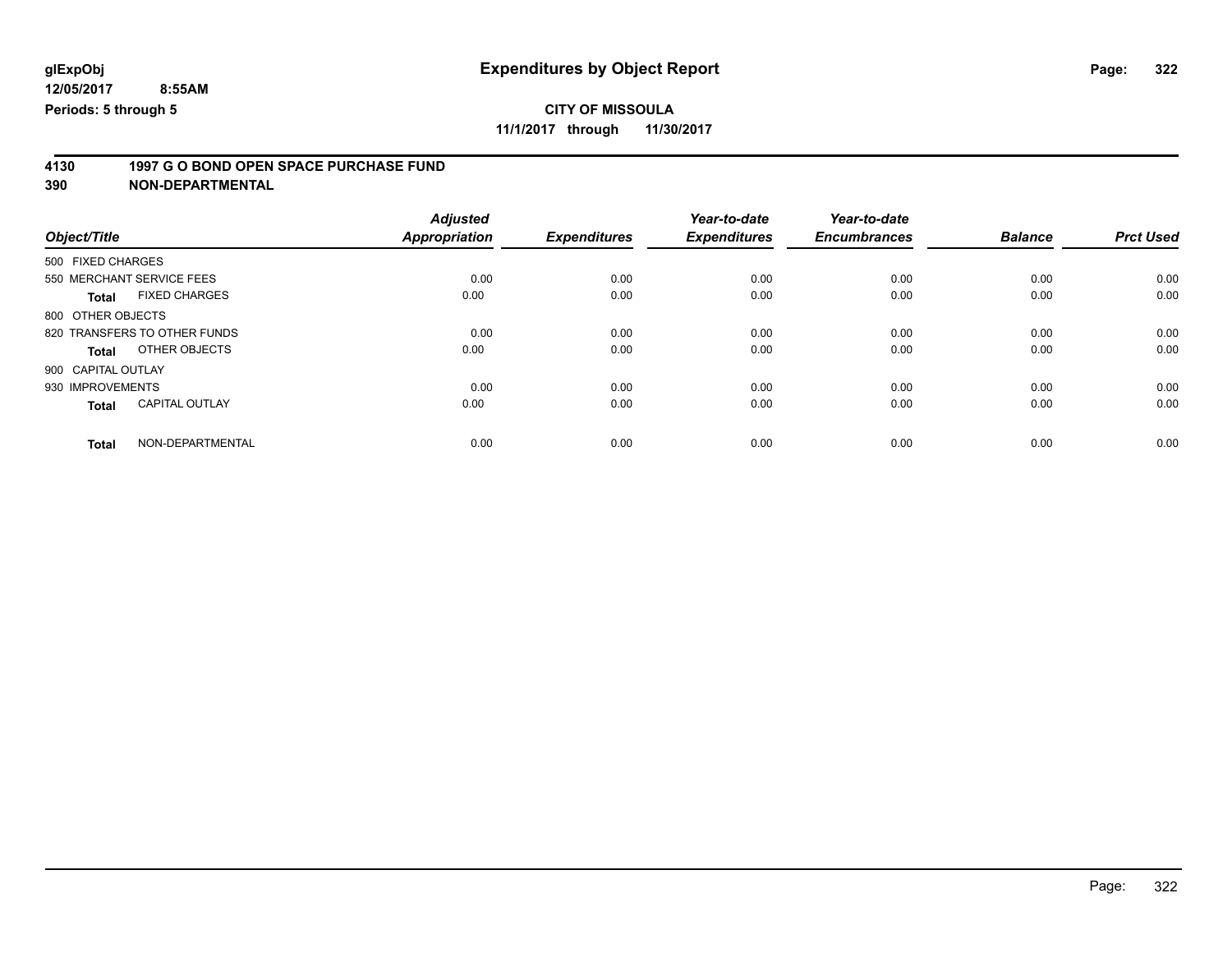## **CITY OF MISSOULA**

**11/1/2017 through 11/30/2017**

# **4130 1997 G O BOND OPEN SPACE PURCHASE FUND**

|                                       | <b>Adjusted</b>      |                     | Year-to-date        | Year-to-date        |                |                  |
|---------------------------------------|----------------------|---------------------|---------------------|---------------------|----------------|------------------|
| Object/Title                          | <b>Appropriation</b> | <b>Expenditures</b> | <b>Expenditures</b> | <b>Encumbrances</b> | <b>Balance</b> | <b>Prct Used</b> |
| 500 FIXED CHARGES                     |                      |                     |                     |                     |                |                  |
| 550 MERCHANT SERVICE FEES             | 0.00                 | 0.00                | 0.00                | 0.00                | 0.00           | 0.00             |
| <b>FIXED CHARGES</b><br><b>Total</b>  | 0.00                 | 0.00                | 0.00                | 0.00                | 0.00           | 0.00             |
| 800 OTHER OBJECTS                     |                      |                     |                     |                     |                |                  |
| 820 TRANSFERS TO OTHER FUNDS          | 0.00                 | 0.00                | 0.00                | 0.00                | 0.00           | 0.00             |
| OTHER OBJECTS<br>Total                | 0.00                 | 0.00                | 0.00                | 0.00                | 0.00           | 0.00             |
| 900 CAPITAL OUTLAY                    |                      |                     |                     |                     |                |                  |
| 930 IMPROVEMENTS                      | 0.00                 | 0.00                | 0.00                | 0.00                | 0.00           | 0.00             |
| <b>CAPITAL OUTLAY</b><br><b>Total</b> | 0.00                 | 0.00                | 0.00                | 0.00                | 0.00           | 0.00             |
| NON-DEPARTMENTAL<br><b>Total</b>      | 0.00                 | 0.00                | 0.00                | 0.00                | 0.00           | 0.00             |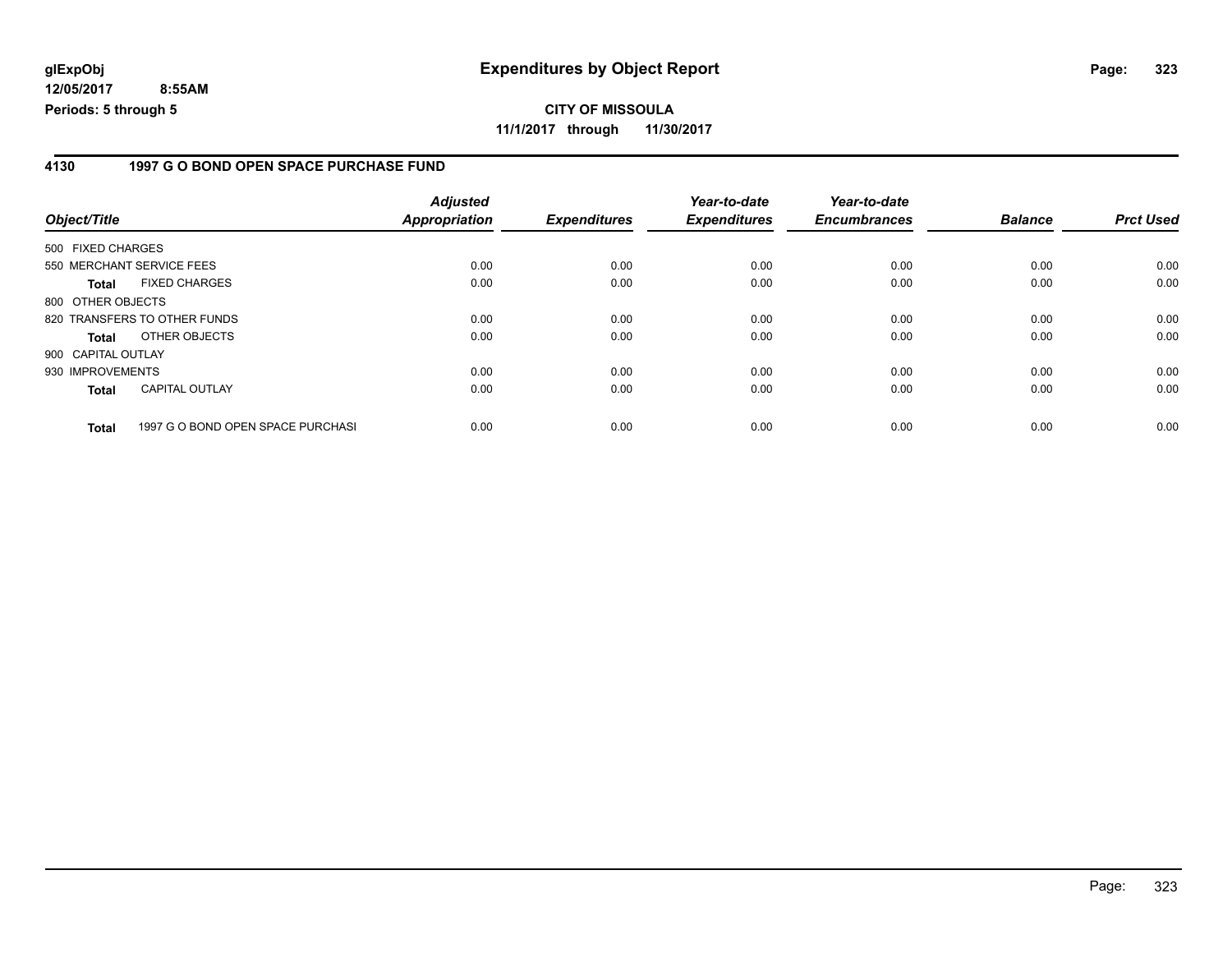#### **4130 1997 G O BOND OPEN SPACE PURCHASE FUND**

| Object/Title                 |                                   | <b>Adjusted</b><br>Appropriation | <b>Expenditures</b> | Year-to-date<br><b>Expenditures</b> | Year-to-date<br><b>Encumbrances</b> | <b>Balance</b> | <b>Prct Used</b> |
|------------------------------|-----------------------------------|----------------------------------|---------------------|-------------------------------------|-------------------------------------|----------------|------------------|
| 500 FIXED CHARGES            |                                   |                                  |                     |                                     |                                     |                |                  |
| 550 MERCHANT SERVICE FEES    |                                   | 0.00                             | 0.00                | 0.00                                | 0.00                                | 0.00           | 0.00             |
| Total                        | <b>FIXED CHARGES</b>              | 0.00                             | 0.00                | 0.00                                | 0.00                                | 0.00           | 0.00             |
| 800 OTHER OBJECTS            |                                   |                                  |                     |                                     |                                     |                |                  |
| 820 TRANSFERS TO OTHER FUNDS |                                   | 0.00                             | 0.00                | 0.00                                | 0.00                                | 0.00           | 0.00             |
| <b>Total</b>                 | OTHER OBJECTS                     | 0.00                             | 0.00                | 0.00                                | 0.00                                | 0.00           | 0.00             |
| 900 CAPITAL OUTLAY           |                                   |                                  |                     |                                     |                                     |                |                  |
| 930 IMPROVEMENTS             |                                   | 0.00                             | 0.00                | 0.00                                | 0.00                                | 0.00           | 0.00             |
| <b>Total</b>                 | <b>CAPITAL OUTLAY</b>             | 0.00                             | 0.00                | 0.00                                | 0.00                                | 0.00           | 0.00             |
| <b>Total</b>                 | 1997 G O BOND OPEN SPACE PURCHASI | 0.00                             | 0.00                | 0.00                                | 0.00                                | 0.00           | 0.00             |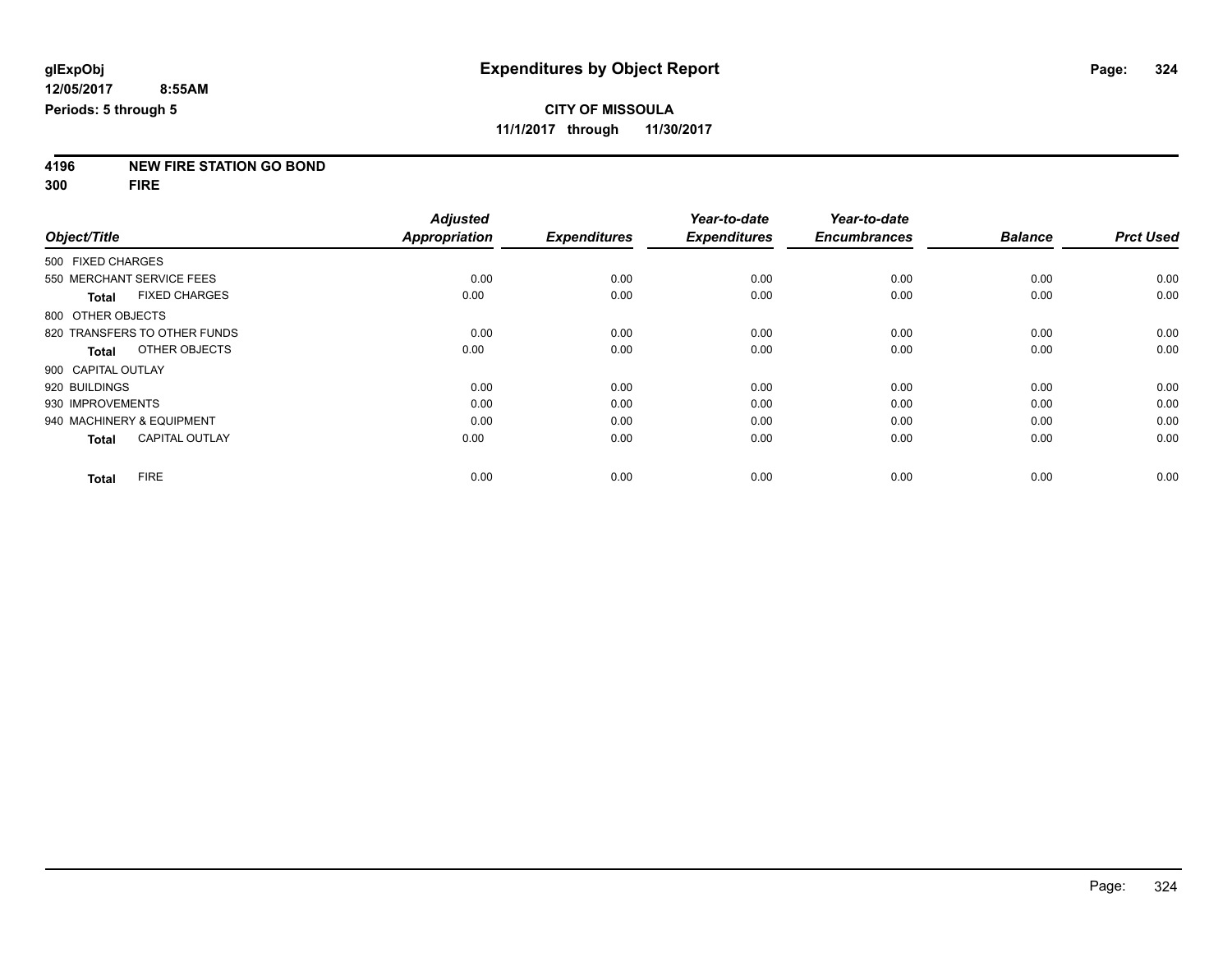**4196 NEW FIRE STATION GO BOND**

**300 FIRE**

|                    |                              | <b>Adjusted</b> |                     | Year-to-date        | Year-to-date        |                |                  |
|--------------------|------------------------------|-----------------|---------------------|---------------------|---------------------|----------------|------------------|
| Object/Title       |                              | Appropriation   | <b>Expenditures</b> | <b>Expenditures</b> | <b>Encumbrances</b> | <b>Balance</b> | <b>Prct Used</b> |
| 500 FIXED CHARGES  |                              |                 |                     |                     |                     |                |                  |
|                    | 550 MERCHANT SERVICE FEES    | 0.00            | 0.00                | 0.00                | 0.00                | 0.00           | 0.00             |
| <b>Total</b>       | <b>FIXED CHARGES</b>         | 0.00            | 0.00                | 0.00                | 0.00                | 0.00           | 0.00             |
| 800 OTHER OBJECTS  |                              |                 |                     |                     |                     |                |                  |
|                    | 820 TRANSFERS TO OTHER FUNDS | 0.00            | 0.00                | 0.00                | 0.00                | 0.00           | 0.00             |
| Total              | OTHER OBJECTS                | 0.00            | 0.00                | 0.00                | 0.00                | 0.00           | 0.00             |
| 900 CAPITAL OUTLAY |                              |                 |                     |                     |                     |                |                  |
| 920 BUILDINGS      |                              | 0.00            | 0.00                | 0.00                | 0.00                | 0.00           | 0.00             |
| 930 IMPROVEMENTS   |                              | 0.00            | 0.00                | 0.00                | 0.00                | 0.00           | 0.00             |
|                    | 940 MACHINERY & EQUIPMENT    | 0.00            | 0.00                | 0.00                | 0.00                | 0.00           | 0.00             |
| <b>Total</b>       | <b>CAPITAL OUTLAY</b>        | 0.00            | 0.00                | 0.00                | 0.00                | 0.00           | 0.00             |
| <b>Total</b>       | <b>FIRE</b>                  | 0.00            | 0.00                | 0.00                | 0.00                | 0.00           | 0.00             |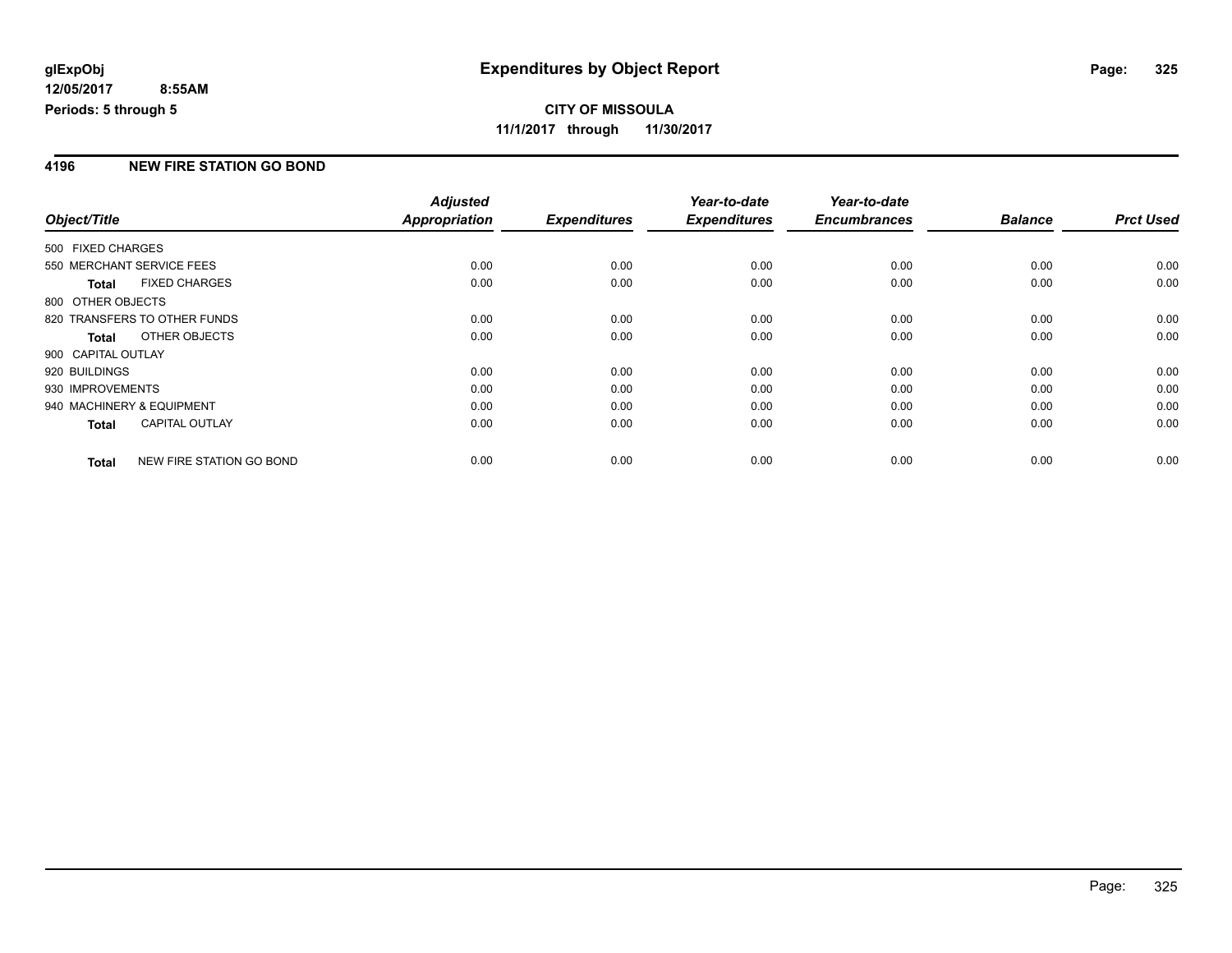### **CITY OF MISSOULA 11/1/2017 through 11/30/2017**

### **4196 NEW FIRE STATION GO BOND**

|                           |                              | <b>Adjusted</b> |                     | Year-to-date        | Year-to-date        |                |                  |
|---------------------------|------------------------------|-----------------|---------------------|---------------------|---------------------|----------------|------------------|
| Object/Title              |                              | Appropriation   | <b>Expenditures</b> | <b>Expenditures</b> | <b>Encumbrances</b> | <b>Balance</b> | <b>Prct Used</b> |
| 500 FIXED CHARGES         |                              |                 |                     |                     |                     |                |                  |
| 550 MERCHANT SERVICE FEES |                              | 0.00            | 0.00                | 0.00                | 0.00                | 0.00           | 0.00             |
| <b>Total</b>              | <b>FIXED CHARGES</b>         | 0.00            | 0.00                | 0.00                | 0.00                | 0.00           | 0.00             |
| 800 OTHER OBJECTS         |                              |                 |                     |                     |                     |                |                  |
|                           | 820 TRANSFERS TO OTHER FUNDS | 0.00            | 0.00                | 0.00                | 0.00                | 0.00           | 0.00             |
| <b>Total</b>              | OTHER OBJECTS                | 0.00            | 0.00                | 0.00                | 0.00                | 0.00           | 0.00             |
| 900 CAPITAL OUTLAY        |                              |                 |                     |                     |                     |                |                  |
| 920 BUILDINGS             |                              | 0.00            | 0.00                | 0.00                | 0.00                | 0.00           | 0.00             |
| 930 IMPROVEMENTS          |                              | 0.00            | 0.00                | 0.00                | 0.00                | 0.00           | 0.00             |
| 940 MACHINERY & EQUIPMENT |                              | 0.00            | 0.00                | 0.00                | 0.00                | 0.00           | 0.00             |
| <b>Total</b>              | <b>CAPITAL OUTLAY</b>        | 0.00            | 0.00                | 0.00                | 0.00                | 0.00           | 0.00             |
| <b>Total</b>              | NEW FIRE STATION GO BOND     | 0.00            | 0.00                | 0.00                | 0.00                | 0.00           | 0.00             |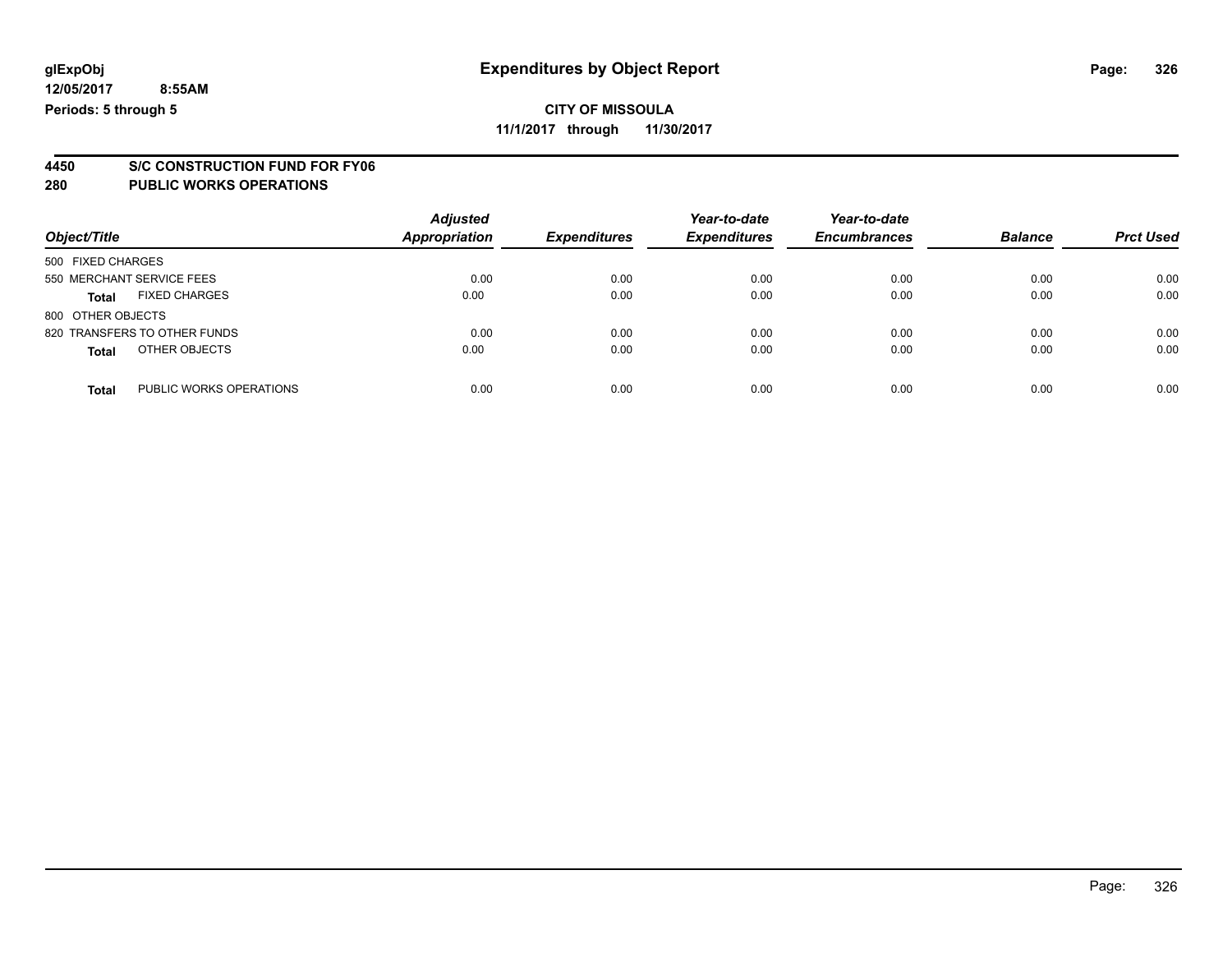### **CITY OF MISSOULA**

**11/1/2017 through 11/30/2017**

# **4450 S/C CONSTRUCTION FUND FOR FY06**

| Object/Title                            | <b>Adjusted</b><br><b>Appropriation</b> | <b>Expenditures</b> | Year-to-date<br><b>Expenditures</b> | Year-to-date<br><b>Encumbrances</b> | <b>Balance</b> | <b>Prct Used</b> |
|-----------------------------------------|-----------------------------------------|---------------------|-------------------------------------|-------------------------------------|----------------|------------------|
| 500 FIXED CHARGES                       |                                         |                     |                                     |                                     |                |                  |
| 550 MERCHANT SERVICE FEES               | 0.00                                    | 0.00                | 0.00                                | 0.00                                | 0.00           | 0.00             |
| <b>FIXED CHARGES</b><br>Total           | 0.00                                    | 0.00                | 0.00                                | 0.00                                | 0.00           | 0.00             |
| 800 OTHER OBJECTS                       |                                         |                     |                                     |                                     |                |                  |
| 820 TRANSFERS TO OTHER FUNDS            | 0.00                                    | 0.00                | 0.00                                | 0.00                                | 0.00           | 0.00             |
| OTHER OBJECTS<br><b>Total</b>           | 0.00                                    | 0.00                | 0.00                                | 0.00                                | 0.00           | 0.00             |
| PUBLIC WORKS OPERATIONS<br><b>Total</b> | 0.00                                    | 0.00                | 0.00                                | 0.00                                | 0.00           | 0.00             |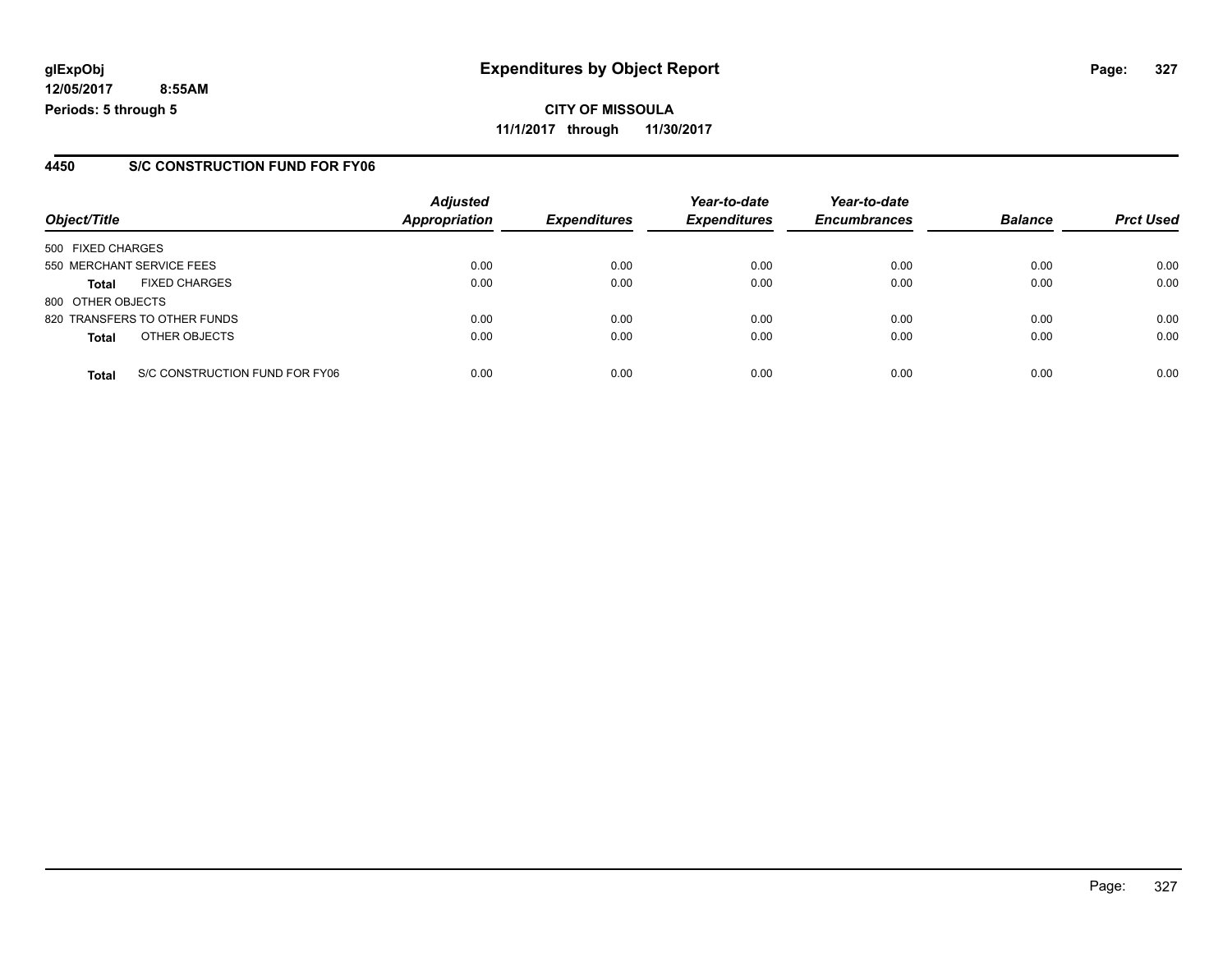**CITY OF MISSOULA 11/1/2017 through 11/30/2017**

### **4450 S/C CONSTRUCTION FUND FOR FY06**

|                   |                                | <b>Adjusted</b> |                     | Year-to-date        | Year-to-date        |                |                  |
|-------------------|--------------------------------|-----------------|---------------------|---------------------|---------------------|----------------|------------------|
| Object/Title      |                                | Appropriation   | <b>Expenditures</b> | <b>Expenditures</b> | <b>Encumbrances</b> | <b>Balance</b> | <b>Prct Used</b> |
| 500 FIXED CHARGES |                                |                 |                     |                     |                     |                |                  |
|                   | 550 MERCHANT SERVICE FEES      | 0.00            | 0.00                | 0.00                | 0.00                | 0.00           | 0.00             |
| <b>Total</b>      | <b>FIXED CHARGES</b>           | 0.00            | 0.00                | 0.00                | 0.00                | 0.00           | 0.00             |
| 800 OTHER OBJECTS |                                |                 |                     |                     |                     |                |                  |
|                   | 820 TRANSFERS TO OTHER FUNDS   | 0.00            | 0.00                | 0.00                | 0.00                | 0.00           | 0.00             |
| <b>Total</b>      | OTHER OBJECTS                  | 0.00            | 0.00                | 0.00                | 0.00                | 0.00           | 0.00             |
| <b>Total</b>      | S/C CONSTRUCTION FUND FOR FY06 | 0.00            | 0.00                | 0.00                | 0.00                | 0.00           | 0.00             |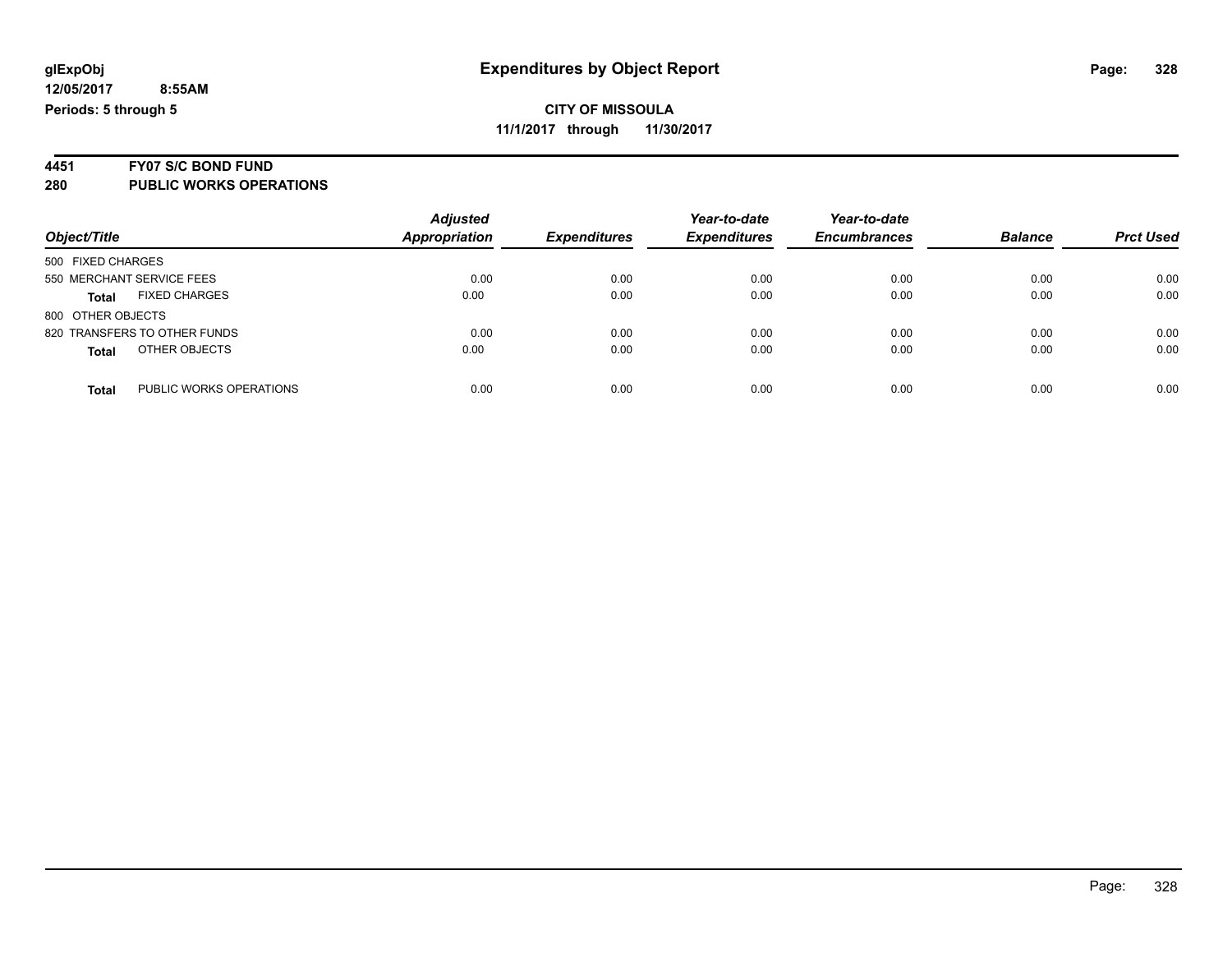# **4451 FY07 S/C BOND FUND**

| Object/Title                         | <b>Adjusted</b><br>Appropriation | <b>Expenditures</b> | Year-to-date<br><b>Expenditures</b> | Year-to-date<br><b>Encumbrances</b> | <b>Balance</b> | <b>Prct Used</b> |
|--------------------------------------|----------------------------------|---------------------|-------------------------------------|-------------------------------------|----------------|------------------|
| 500 FIXED CHARGES                    |                                  |                     |                                     |                                     |                |                  |
| 550 MERCHANT SERVICE FEES            | 0.00                             | 0.00                | 0.00                                | 0.00                                | 0.00           | 0.00             |
| <b>FIXED CHARGES</b><br><b>Total</b> | 0.00                             | 0.00                | 0.00                                | 0.00                                | 0.00           | 0.00             |
| 800 OTHER OBJECTS                    |                                  |                     |                                     |                                     |                |                  |
| 820 TRANSFERS TO OTHER FUNDS         | 0.00                             | 0.00                | 0.00                                | 0.00                                | 0.00           | 0.00             |
| OTHER OBJECTS<br><b>Total</b>        | 0.00                             | 0.00                | 0.00                                | 0.00                                | 0.00           | 0.00             |
|                                      |                                  |                     |                                     |                                     |                |                  |
| PUBLIC WORKS OPERATIONS<br>Total     | 0.00                             | 0.00                | 0.00                                | 0.00                                | 0.00           | 0.00             |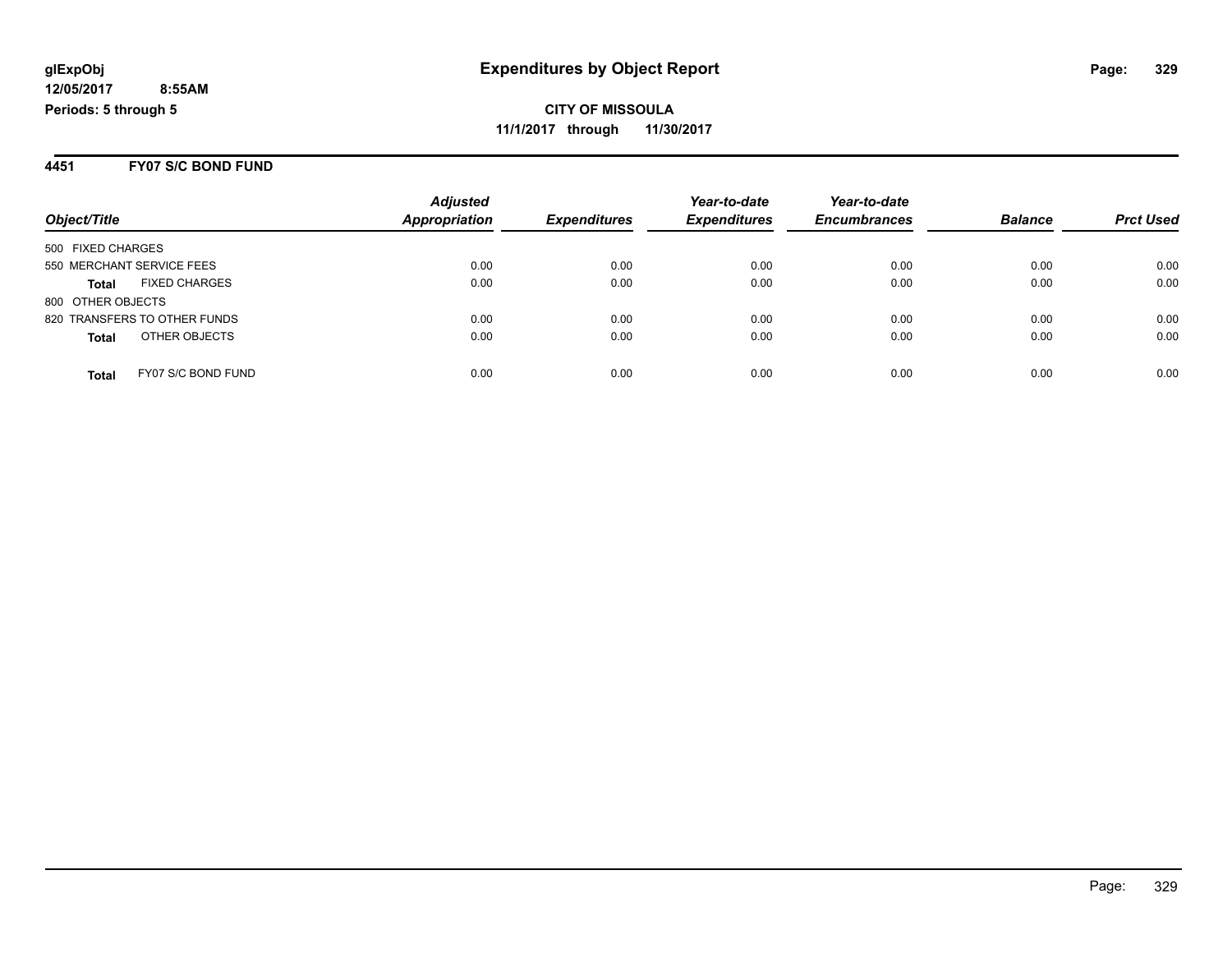### **4451 FY07 S/C BOND FUND**

|                                      | <b>Adjusted</b>      |                     | Year-to-date        | Year-to-date        |                |                  |
|--------------------------------------|----------------------|---------------------|---------------------|---------------------|----------------|------------------|
| Object/Title                         | <b>Appropriation</b> | <b>Expenditures</b> | <b>Expenditures</b> | <b>Encumbrances</b> | <b>Balance</b> | <b>Prct Used</b> |
| 500 FIXED CHARGES                    |                      |                     |                     |                     |                |                  |
| 550 MERCHANT SERVICE FEES            | 0.00                 | 0.00                | 0.00                | 0.00                | 0.00           | 0.00             |
| <b>FIXED CHARGES</b><br><b>Total</b> | 0.00                 | 0.00                | 0.00                | 0.00                | 0.00           | 0.00             |
| 800 OTHER OBJECTS                    |                      |                     |                     |                     |                |                  |
| 820 TRANSFERS TO OTHER FUNDS         | 0.00                 | 0.00                | 0.00                | 0.00                | 0.00           | 0.00             |
| OTHER OBJECTS<br><b>Total</b>        | 0.00                 | 0.00                | 0.00                | 0.00                | 0.00           | 0.00             |
| FY07 S/C BOND FUND<br><b>Total</b>   | 0.00                 | 0.00                | 0.00                | 0.00                | 0.00           | 0.00             |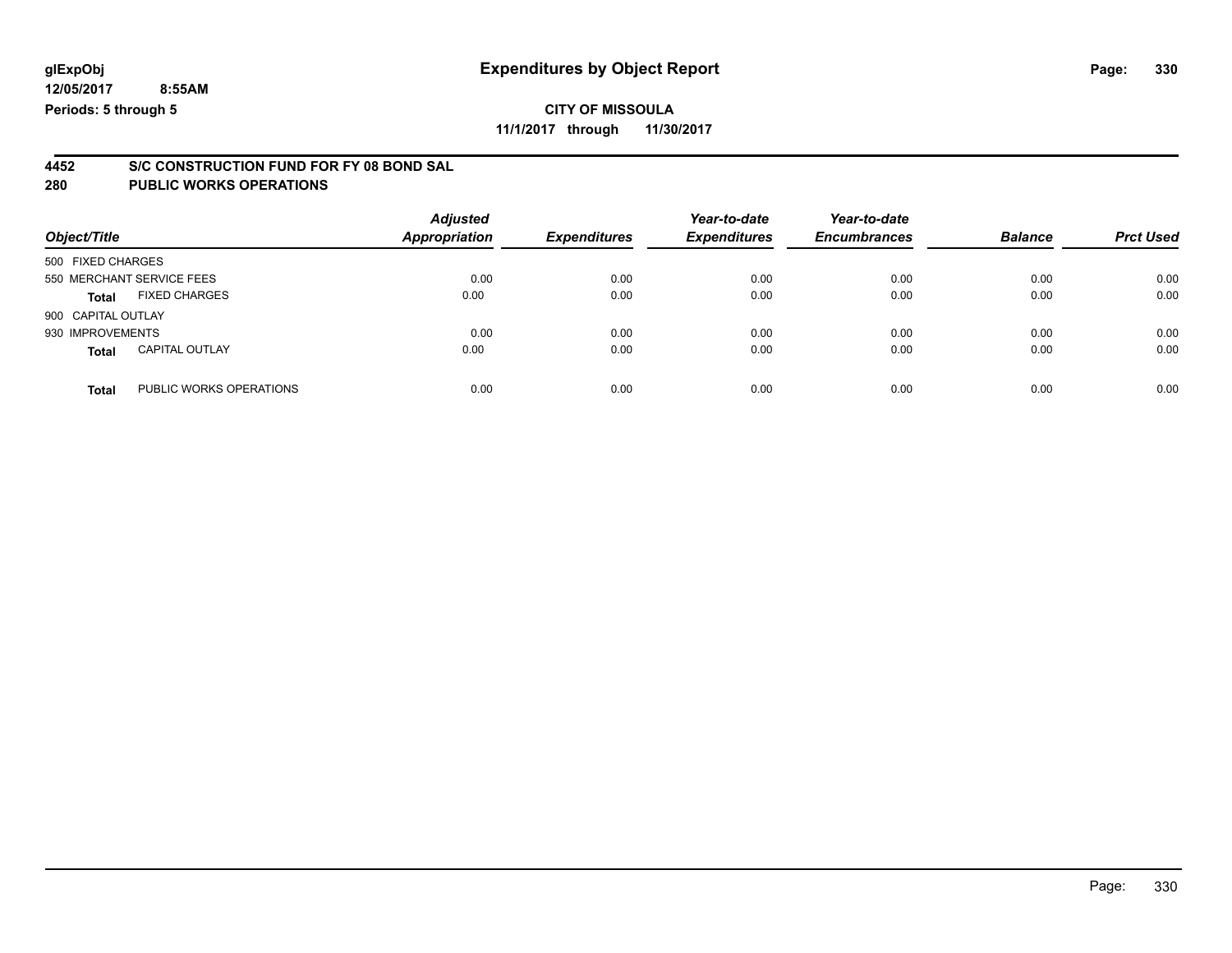**11/1/2017 through 11/30/2017**

# **4452 S/C CONSTRUCTION FUND FOR FY 08 BOND SAL**

| Object/Title              |                         | <b>Adjusted</b><br><b>Appropriation</b> | <b>Expenditures</b> | Year-to-date<br><b>Expenditures</b> | Year-to-date<br><b>Encumbrances</b> | <b>Balance</b> | <b>Prct Used</b> |
|---------------------------|-------------------------|-----------------------------------------|---------------------|-------------------------------------|-------------------------------------|----------------|------------------|
| 500 FIXED CHARGES         |                         |                                         |                     |                                     |                                     |                |                  |
| 550 MERCHANT SERVICE FEES |                         | 0.00                                    | 0.00                | 0.00                                | 0.00                                | 0.00           | 0.00             |
| <b>Total</b>              | <b>FIXED CHARGES</b>    | 0.00                                    | 0.00                | 0.00                                | 0.00                                | 0.00           | 0.00             |
| 900 CAPITAL OUTLAY        |                         |                                         |                     |                                     |                                     |                |                  |
| 930 IMPROVEMENTS          |                         | 0.00                                    | 0.00                | 0.00                                | 0.00                                | 0.00           | 0.00             |
| <b>Total</b>              | <b>CAPITAL OUTLAY</b>   | 0.00                                    | 0.00                | 0.00                                | 0.00                                | 0.00           | 0.00             |
| <b>Total</b>              | PUBLIC WORKS OPERATIONS | 0.00                                    | 0.00                | 0.00                                | 0.00                                | 0.00           | 0.00             |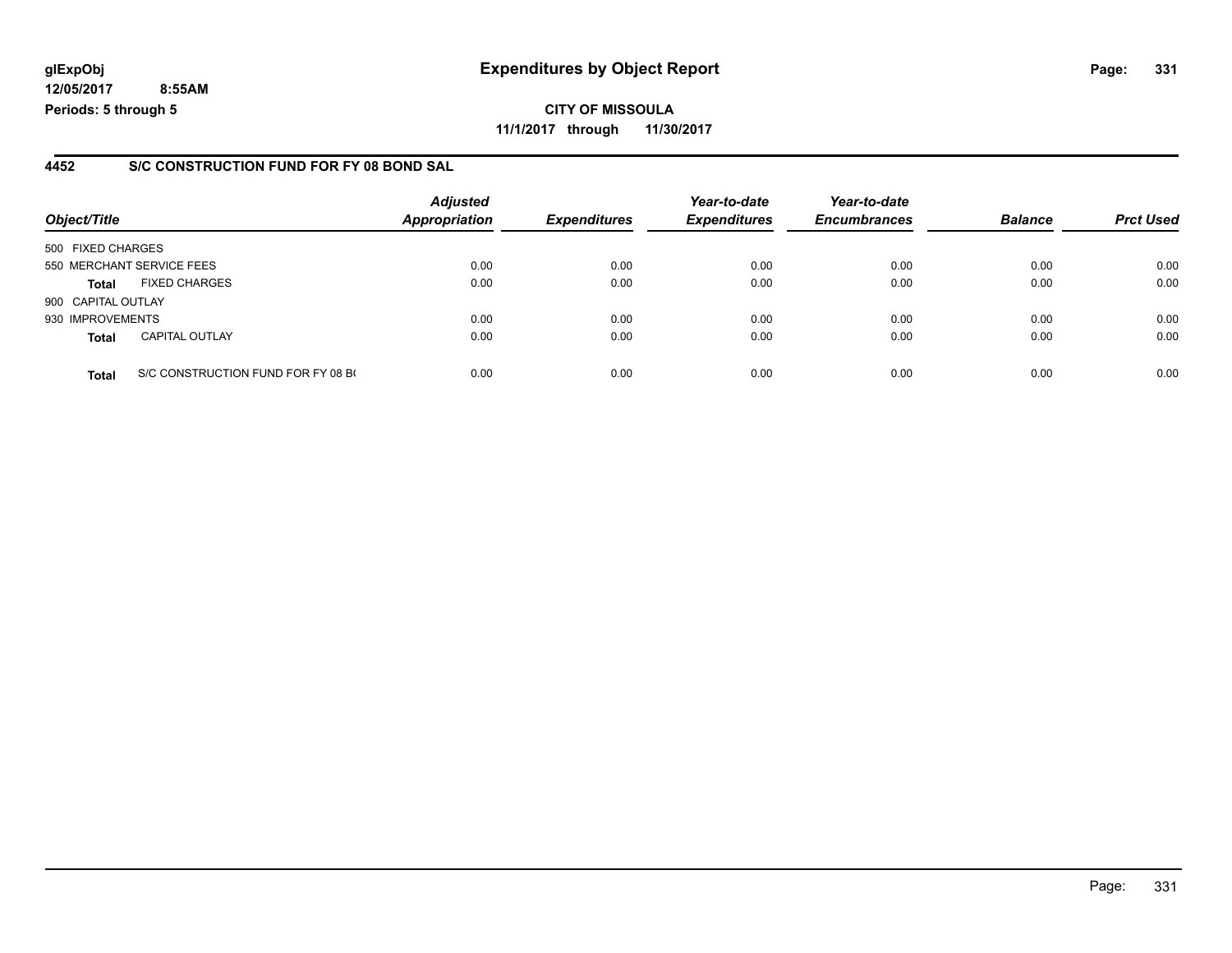### **4452 S/C CONSTRUCTION FUND FOR FY 08 BOND SAL**

| Object/Title              |                                    | <b>Adjusted</b><br>Appropriation | <b>Expenditures</b> | Year-to-date<br><b>Expenditures</b> | Year-to-date<br><b>Encumbrances</b> | <b>Balance</b> | <b>Prct Used</b> |
|---------------------------|------------------------------------|----------------------------------|---------------------|-------------------------------------|-------------------------------------|----------------|------------------|
| 500 FIXED CHARGES         |                                    |                                  |                     |                                     |                                     |                |                  |
| 550 MERCHANT SERVICE FEES |                                    | 0.00                             | 0.00                | 0.00                                | 0.00                                | 0.00           | 0.00             |
| <b>Total</b>              | <b>FIXED CHARGES</b>               | 0.00                             | 0.00                | 0.00                                | 0.00                                | 0.00           | 0.00             |
| 900 CAPITAL OUTLAY        |                                    |                                  |                     |                                     |                                     |                |                  |
| 930 IMPROVEMENTS          |                                    | 0.00                             | 0.00                | 0.00                                | 0.00                                | 0.00           | 0.00             |
| <b>Total</b>              | <b>CAPITAL OUTLAY</b>              | 0.00                             | 0.00                | 0.00                                | 0.00                                | 0.00           | 0.00             |
| <b>Total</b>              | S/C CONSTRUCTION FUND FOR FY 08 BO | 0.00                             | 0.00                | 0.00                                | 0.00                                | 0.00           | 0.00             |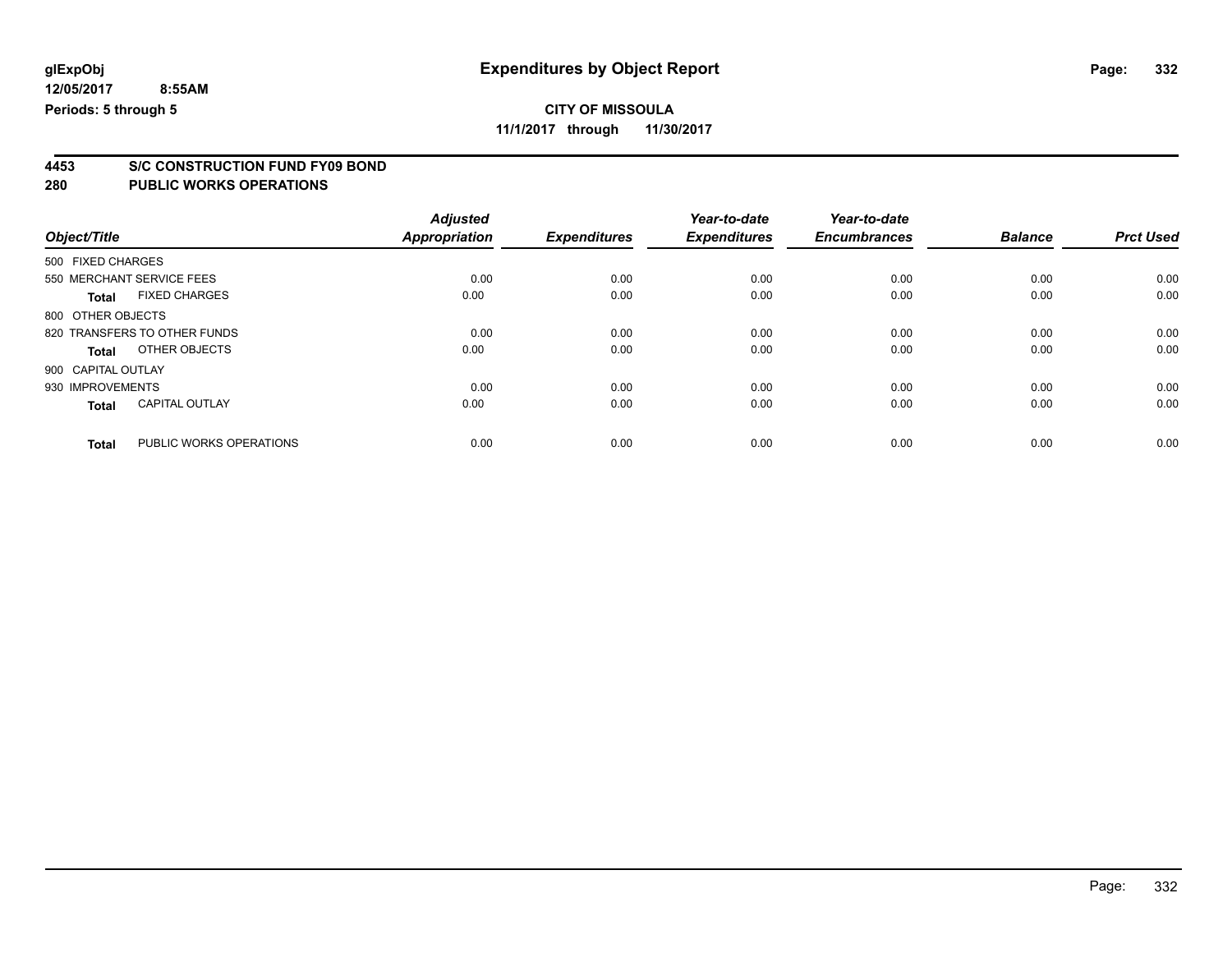### **CITY OF MISSOULA**

**11/1/2017 through 11/30/2017**

# **4453 S/C CONSTRUCTION FUND FY09 BOND**

| Object/Title       |                              | <b>Adjusted</b><br><b>Appropriation</b> | <b>Expenditures</b> | Year-to-date<br><b>Expenditures</b> | Year-to-date<br><b>Encumbrances</b> | <b>Balance</b> | <b>Prct Used</b> |
|--------------------|------------------------------|-----------------------------------------|---------------------|-------------------------------------|-------------------------------------|----------------|------------------|
| 500 FIXED CHARGES  |                              |                                         |                     |                                     |                                     |                |                  |
|                    | 550 MERCHANT SERVICE FEES    | 0.00                                    | 0.00                | 0.00                                | 0.00                                | 0.00           | 0.00             |
| <b>Total</b>       | <b>FIXED CHARGES</b>         | 0.00                                    | 0.00                | 0.00                                | 0.00                                | 0.00           | 0.00             |
| 800 OTHER OBJECTS  |                              |                                         |                     |                                     |                                     |                |                  |
|                    | 820 TRANSFERS TO OTHER FUNDS | 0.00                                    | 0.00                | 0.00                                | 0.00                                | 0.00           | 0.00             |
| Total              | OTHER OBJECTS                | 0.00                                    | 0.00                | 0.00                                | 0.00                                | 0.00           | 0.00             |
| 900 CAPITAL OUTLAY |                              |                                         |                     |                                     |                                     |                |                  |
| 930 IMPROVEMENTS   |                              | 0.00                                    | 0.00                | 0.00                                | 0.00                                | 0.00           | 0.00             |
| <b>Total</b>       | <b>CAPITAL OUTLAY</b>        | 0.00                                    | 0.00                | 0.00                                | 0.00                                | 0.00           | 0.00             |
| <b>Total</b>       | PUBLIC WORKS OPERATIONS      | 0.00                                    | 0.00                | 0.00                                | 0.00                                | 0.00           | 0.00             |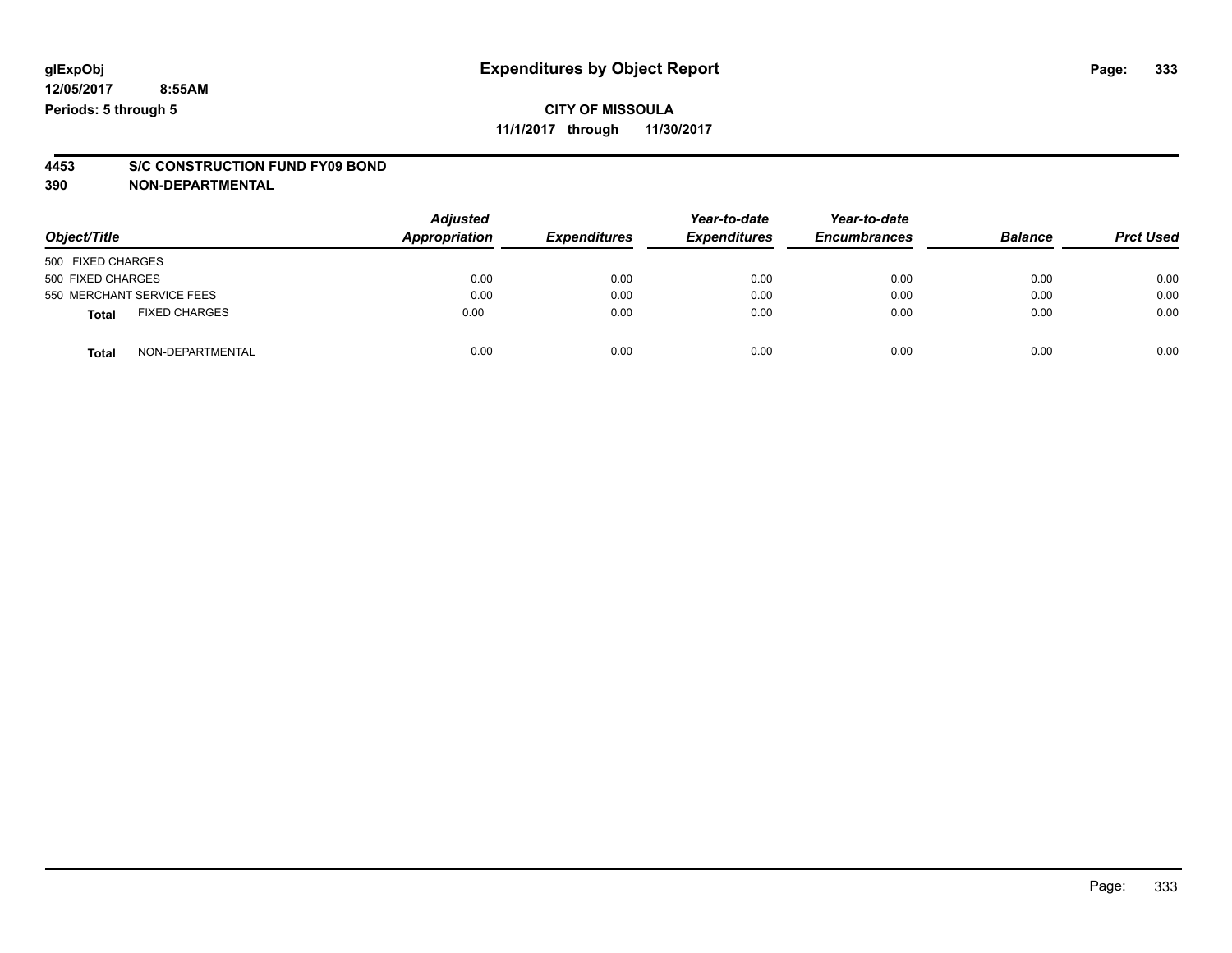### **CITY OF MISSOULA 11/1/2017 through 11/30/2017**

# **4453 S/C CONSTRUCTION FUND FY09 BOND**

**390 NON-DEPARTMENTAL**

| Object/Title                         | <b>Adjusted</b><br>Appropriation | <b>Expenditures</b> | Year-to-date<br><b>Expenditures</b> | Year-to-date<br><b>Encumbrances</b> | <b>Balance</b> | <b>Prct Used</b> |
|--------------------------------------|----------------------------------|---------------------|-------------------------------------|-------------------------------------|----------------|------------------|
| 500 FIXED CHARGES                    |                                  |                     |                                     |                                     |                |                  |
| 500 FIXED CHARGES                    | 0.00                             | 0.00                | 0.00                                | 0.00                                | 0.00           | 0.00             |
| 550 MERCHANT SERVICE FEES            | 0.00                             | 0.00                | 0.00                                | 0.00                                | 0.00           | 0.00             |
| <b>FIXED CHARGES</b><br><b>Total</b> | 0.00                             | 0.00                | 0.00                                | 0.00                                | 0.00           | 0.00             |
| NON-DEPARTMENTAL<br><b>Total</b>     | 0.00                             | 0.00                | 0.00                                | 0.00                                | 0.00           | 0.00             |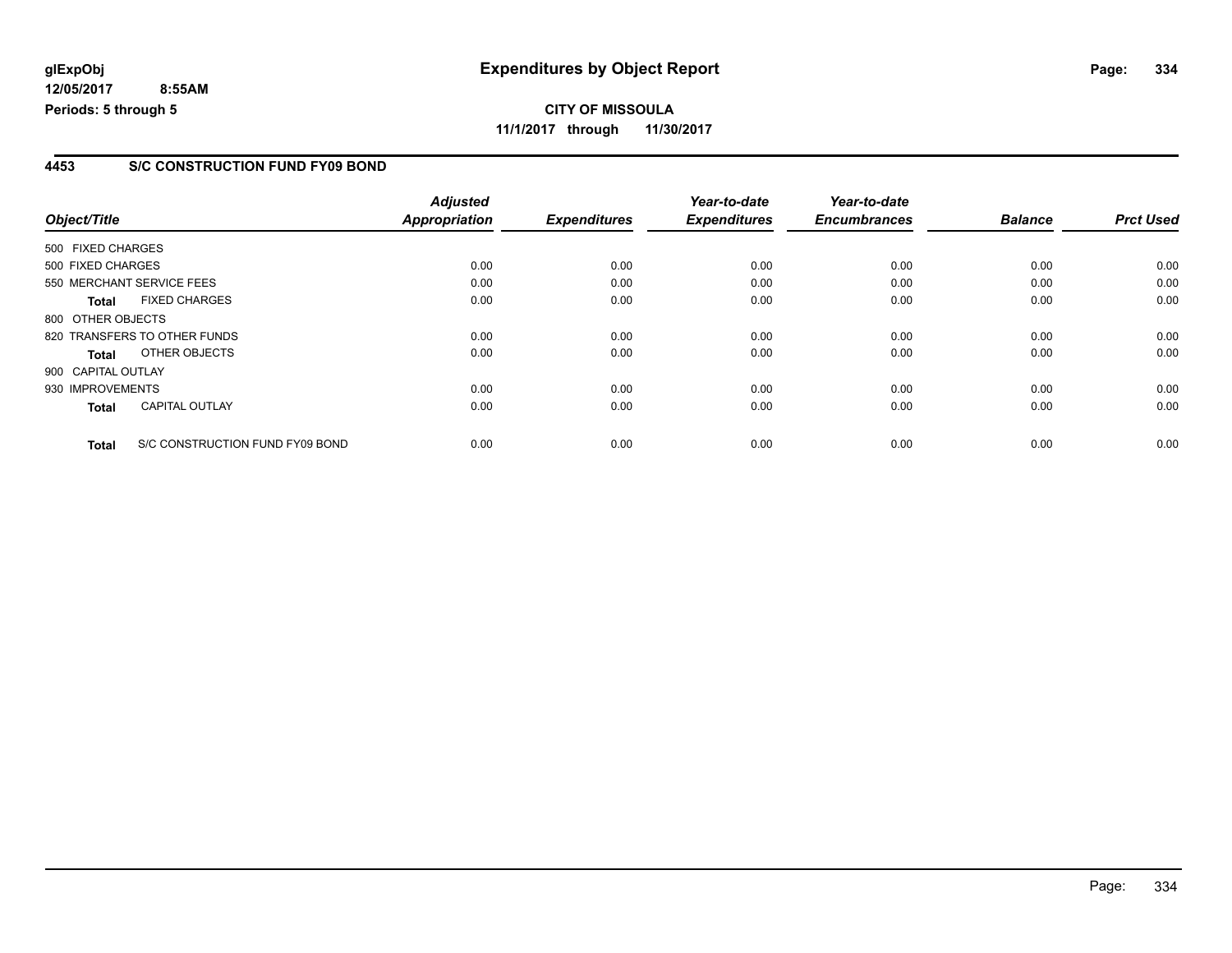### **4453 S/C CONSTRUCTION FUND FY09 BOND**

| Object/Title       |                                 | <b>Adjusted</b><br><b>Appropriation</b> | <b>Expenditures</b> | Year-to-date<br><b>Expenditures</b> | Year-to-date<br><b>Encumbrances</b> | <b>Balance</b> | <b>Prct Used</b> |
|--------------------|---------------------------------|-----------------------------------------|---------------------|-------------------------------------|-------------------------------------|----------------|------------------|
|                    |                                 |                                         |                     |                                     |                                     |                |                  |
| 500 FIXED CHARGES  |                                 |                                         |                     |                                     |                                     |                |                  |
| 500 FIXED CHARGES  |                                 | 0.00                                    | 0.00                | 0.00                                | 0.00                                | 0.00           | 0.00             |
|                    | 550 MERCHANT SERVICE FEES       | 0.00                                    | 0.00                | 0.00                                | 0.00                                | 0.00           | 0.00             |
| <b>Total</b>       | <b>FIXED CHARGES</b>            | 0.00                                    | 0.00                | 0.00                                | 0.00                                | 0.00           | 0.00             |
| 800 OTHER OBJECTS  |                                 |                                         |                     |                                     |                                     |                |                  |
|                    | 820 TRANSFERS TO OTHER FUNDS    | 0.00                                    | 0.00                | 0.00                                | 0.00                                | 0.00           | 0.00             |
| <b>Total</b>       | OTHER OBJECTS                   | 0.00                                    | 0.00                | 0.00                                | 0.00                                | 0.00           | 0.00             |
| 900 CAPITAL OUTLAY |                                 |                                         |                     |                                     |                                     |                |                  |
| 930 IMPROVEMENTS   |                                 | 0.00                                    | 0.00                | 0.00                                | 0.00                                | 0.00           | 0.00             |
| <b>Total</b>       | CAPITAL OUTLAY                  | 0.00                                    | 0.00                | 0.00                                | 0.00                                | 0.00           | 0.00             |
| <b>Total</b>       | S/C CONSTRUCTION FUND FY09 BOND | 0.00                                    | 0.00                | 0.00                                | 0.00                                | 0.00           | 0.00             |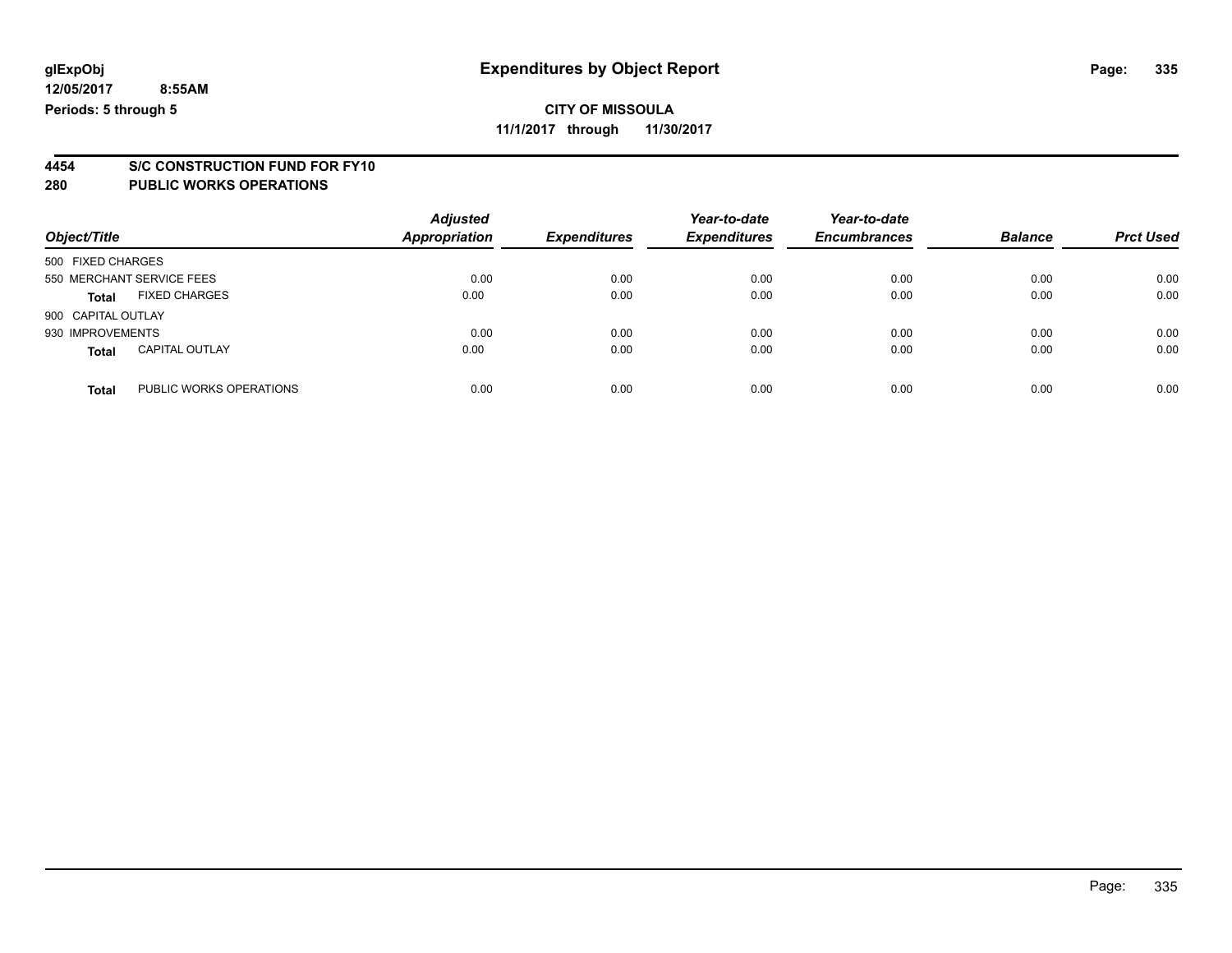### **CITY OF MISSOULA**

**11/1/2017 through 11/30/2017**

# **4454 S/C CONSTRUCTION FUND FOR FY10**

| Object/Title              |                         | <b>Adjusted</b><br><b>Appropriation</b> | <b>Expenditures</b> | Year-to-date<br><b>Expenditures</b> | Year-to-date<br><b>Encumbrances</b> | <b>Balance</b> | <b>Prct Used</b> |
|---------------------------|-------------------------|-----------------------------------------|---------------------|-------------------------------------|-------------------------------------|----------------|------------------|
| 500 FIXED CHARGES         |                         |                                         |                     |                                     |                                     |                |                  |
| 550 MERCHANT SERVICE FEES |                         | 0.00                                    | 0.00                | 0.00                                | 0.00                                | 0.00           | 0.00             |
| <b>Total</b>              | <b>FIXED CHARGES</b>    | 0.00                                    | 0.00                | 0.00                                | 0.00                                | 0.00           | 0.00             |
| 900 CAPITAL OUTLAY        |                         |                                         |                     |                                     |                                     |                |                  |
| 930 IMPROVEMENTS          |                         | 0.00                                    | 0.00                | 0.00                                | 0.00                                | 0.00           | 0.00             |
| <b>Total</b>              | <b>CAPITAL OUTLAY</b>   | 0.00                                    | 0.00                | 0.00                                | 0.00                                | 0.00           | 0.00             |
| <b>Total</b>              | PUBLIC WORKS OPERATIONS | 0.00                                    | 0.00                | 0.00                                | 0.00                                | 0.00           | 0.00             |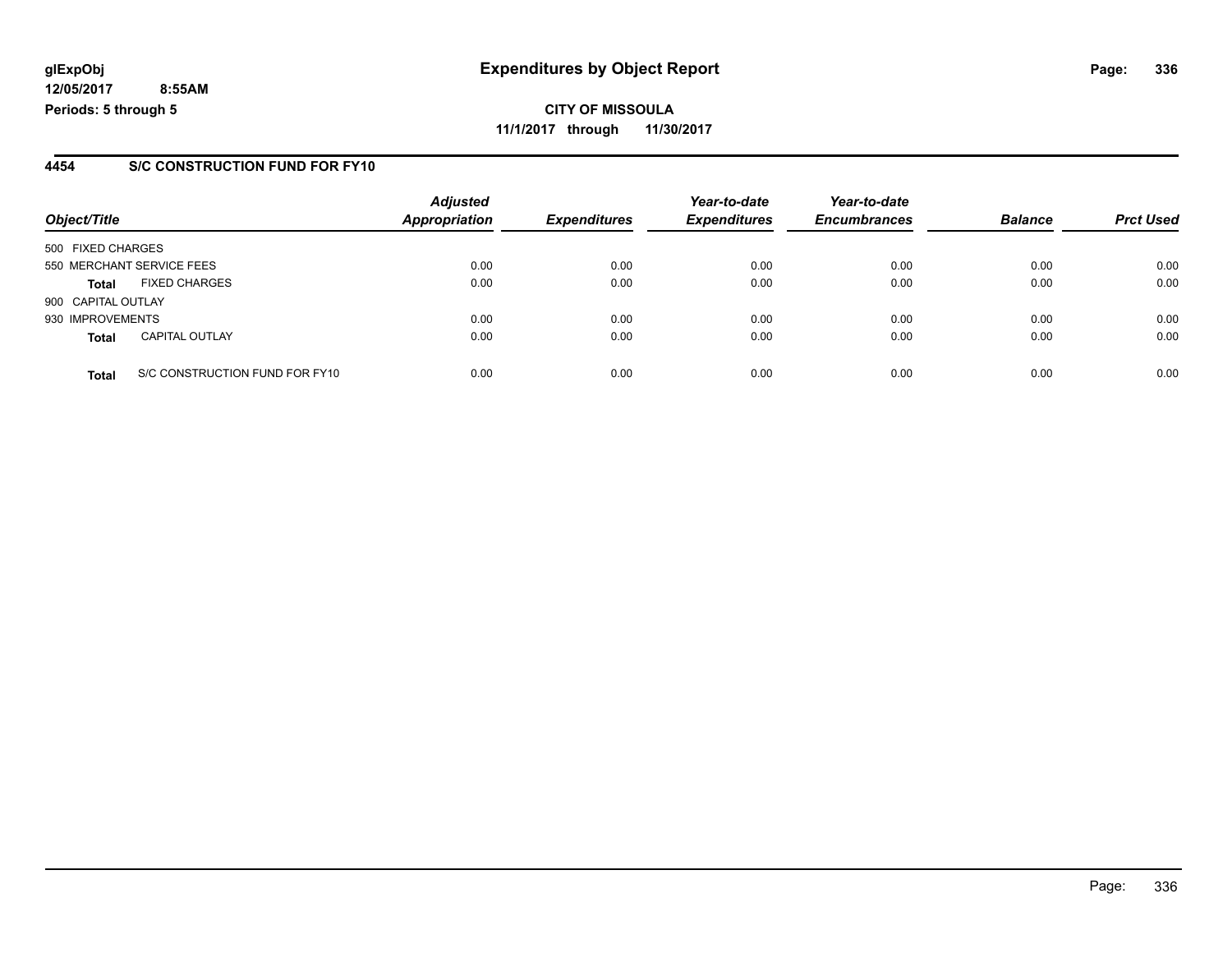**CITY OF MISSOULA 11/1/2017 through 11/30/2017**

### **4454 S/C CONSTRUCTION FUND FOR FY10**

|                    |                                | <b>Adjusted</b>      |                     | Year-to-date        | Year-to-date        |                |                  |
|--------------------|--------------------------------|----------------------|---------------------|---------------------|---------------------|----------------|------------------|
| Object/Title       |                                | <b>Appropriation</b> | <b>Expenditures</b> | <b>Expenditures</b> | <b>Encumbrances</b> | <b>Balance</b> | <b>Prct Used</b> |
| 500 FIXED CHARGES  |                                |                      |                     |                     |                     |                |                  |
|                    | 550 MERCHANT SERVICE FEES      | 0.00                 | 0.00                | 0.00                | 0.00                | 0.00           | 0.00             |
| <b>Total</b>       | <b>FIXED CHARGES</b>           | 0.00                 | 0.00                | 0.00                | 0.00                | 0.00           | 0.00             |
| 900 CAPITAL OUTLAY |                                |                      |                     |                     |                     |                |                  |
| 930 IMPROVEMENTS   |                                | 0.00                 | 0.00                | 0.00                | 0.00                | 0.00           | 0.00             |
| <b>Total</b>       | <b>CAPITAL OUTLAY</b>          | 0.00                 | 0.00                | 0.00                | 0.00                | 0.00           | 0.00             |
| <b>Total</b>       | S/C CONSTRUCTION FUND FOR FY10 | 0.00                 | 0.00                | 0.00                | 0.00                | 0.00           | 0.00             |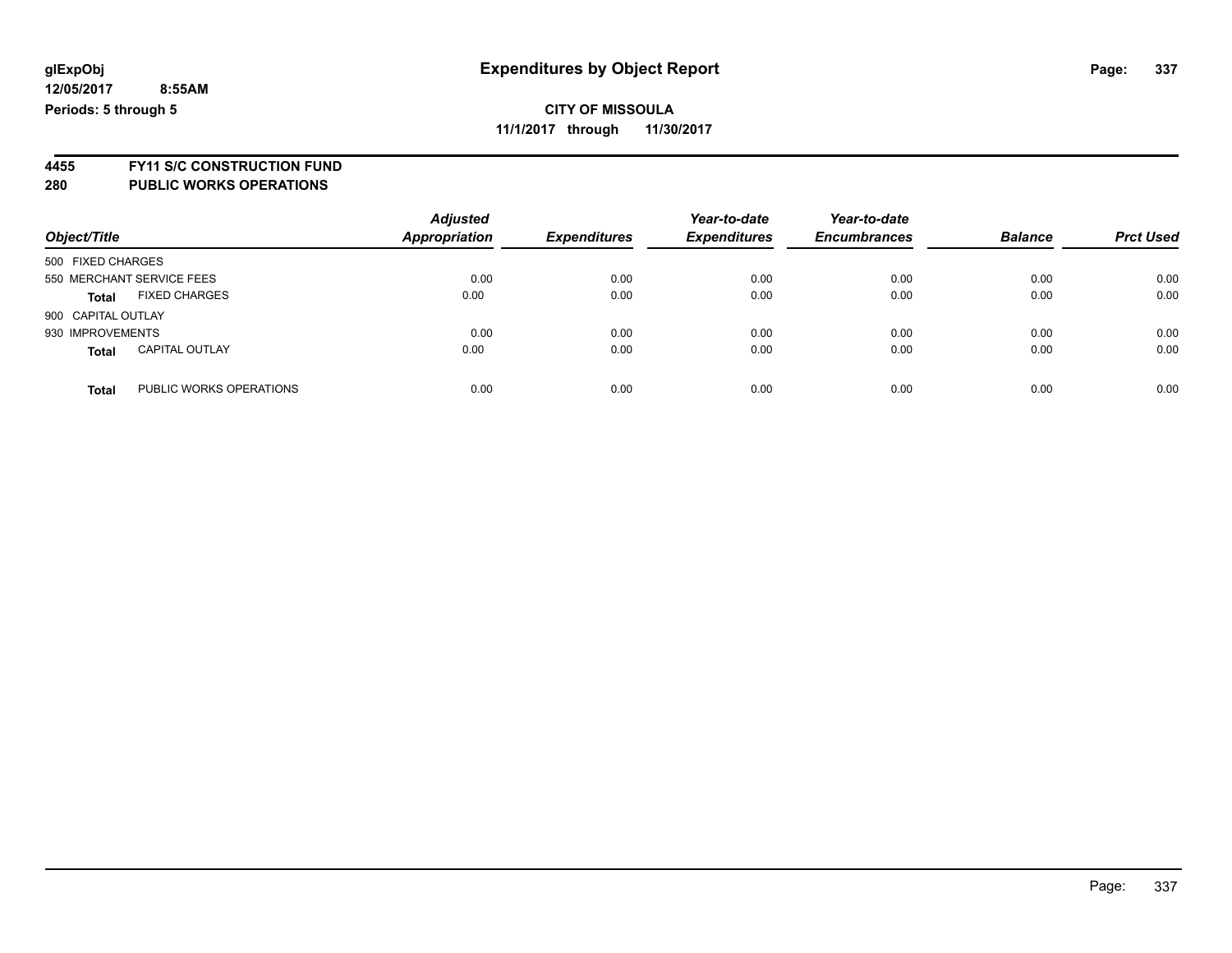### **CITY OF MISSOULA 11/1/2017 through 11/30/2017**

**4455 FY11 S/C CONSTRUCTION FUND 280 PUBLIC WORKS OPERATIONS**

|                    |                           | <b>Adjusted</b>      |                     | Year-to-date        | Year-to-date        |                |                  |
|--------------------|---------------------------|----------------------|---------------------|---------------------|---------------------|----------------|------------------|
| Object/Title       |                           | <b>Appropriation</b> | <b>Expenditures</b> | <b>Expenditures</b> | <b>Encumbrances</b> | <b>Balance</b> | <b>Prct Used</b> |
| 500 FIXED CHARGES  |                           |                      |                     |                     |                     |                |                  |
|                    | 550 MERCHANT SERVICE FEES | 0.00                 | 0.00                | 0.00                | 0.00                | 0.00           | 0.00             |
| <b>Total</b>       | <b>FIXED CHARGES</b>      | 0.00                 | 0.00                | 0.00                | 0.00                | 0.00           | 0.00             |
| 900 CAPITAL OUTLAY |                           |                      |                     |                     |                     |                |                  |
| 930 IMPROVEMENTS   |                           | 0.00                 | 0.00                | 0.00                | 0.00                | 0.00           | 0.00             |
| <b>Total</b>       | <b>CAPITAL OUTLAY</b>     | 0.00                 | 0.00                | 0.00                | 0.00                | 0.00           | 0.00             |
| <b>Total</b>       | PUBLIC WORKS OPERATIONS   | 0.00                 | 0.00                | 0.00                | 0.00                | 0.00           | 0.00             |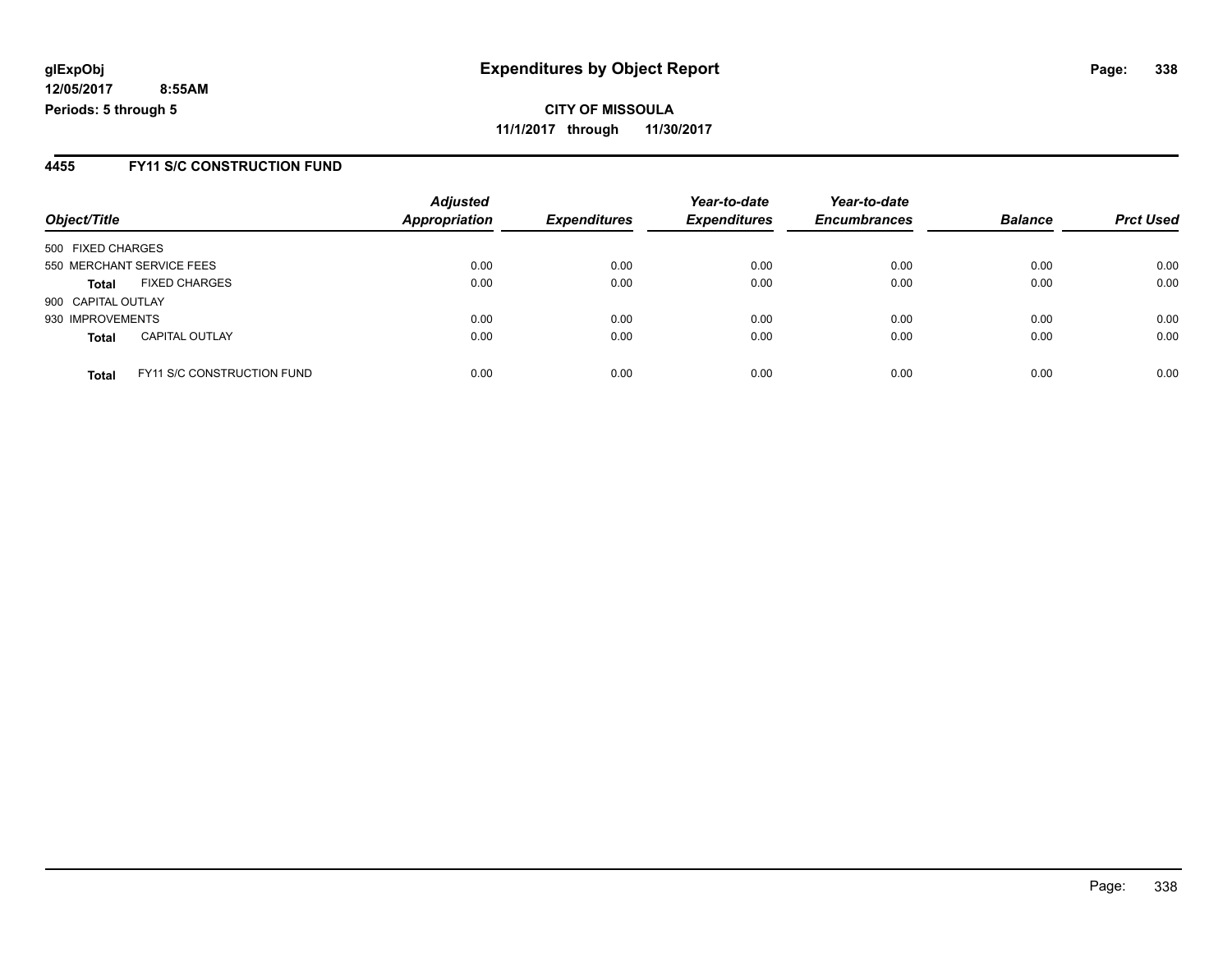**11/1/2017 through 11/30/2017**

### **4455 FY11 S/C CONSTRUCTION FUND**

| Object/Title       |                                   | <b>Adjusted</b><br><b>Appropriation</b> | <b>Expenditures</b> | Year-to-date<br><b>Expenditures</b> | Year-to-date<br><b>Encumbrances</b> | <b>Balance</b> | <b>Prct Used</b> |
|--------------------|-----------------------------------|-----------------------------------------|---------------------|-------------------------------------|-------------------------------------|----------------|------------------|
|                    |                                   |                                         |                     |                                     |                                     |                |                  |
| 500 FIXED CHARGES  |                                   |                                         |                     |                                     |                                     |                |                  |
|                    | 550 MERCHANT SERVICE FEES         | 0.00                                    | 0.00                | 0.00                                | 0.00                                | 0.00           | 0.00             |
| <b>Total</b>       | <b>FIXED CHARGES</b>              | 0.00                                    | 0.00                | 0.00                                | 0.00                                | 0.00           | 0.00             |
| 900 CAPITAL OUTLAY |                                   |                                         |                     |                                     |                                     |                |                  |
| 930 IMPROVEMENTS   |                                   | 0.00                                    | 0.00                | 0.00                                | 0.00                                | 0.00           | 0.00             |
| <b>Total</b>       | <b>CAPITAL OUTLAY</b>             | 0.00                                    | 0.00                | 0.00                                | 0.00                                | 0.00           | 0.00             |
| <b>Total</b>       | <b>FY11 S/C CONSTRUCTION FUND</b> | 0.00                                    | 0.00                | 0.00                                | 0.00                                | 0.00           | 0.00             |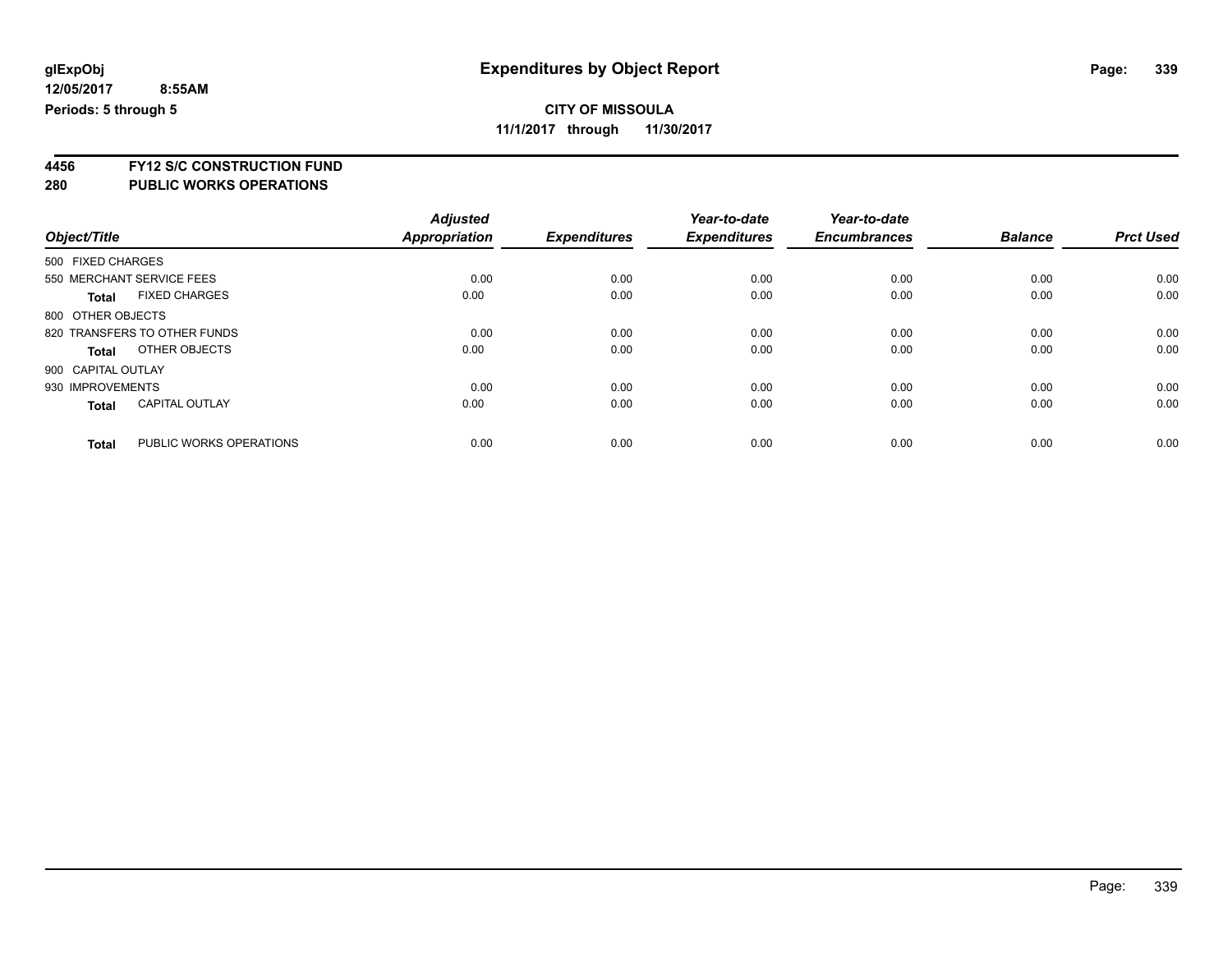**11/1/2017 through 11/30/2017**

**4456 FY12 S/C CONSTRUCTION FUND**

| Object/Title       |                              | <b>Adjusted</b><br><b>Appropriation</b> | <b>Expenditures</b> | Year-to-date<br><b>Expenditures</b> | Year-to-date<br><b>Encumbrances</b> | <b>Balance</b> | <b>Prct Used</b> |
|--------------------|------------------------------|-----------------------------------------|---------------------|-------------------------------------|-------------------------------------|----------------|------------------|
| 500 FIXED CHARGES  |                              |                                         |                     |                                     |                                     |                |                  |
|                    |                              |                                         |                     |                                     |                                     |                |                  |
|                    | 550 MERCHANT SERVICE FEES    | 0.00                                    | 0.00                | 0.00                                | 0.00                                | 0.00           | 0.00             |
| <b>Total</b>       | <b>FIXED CHARGES</b>         | 0.00                                    | 0.00                | 0.00                                | 0.00                                | 0.00           | 0.00             |
| 800 OTHER OBJECTS  |                              |                                         |                     |                                     |                                     |                |                  |
|                    | 820 TRANSFERS TO OTHER FUNDS | 0.00                                    | 0.00                | 0.00                                | 0.00                                | 0.00           | 0.00             |
| <b>Total</b>       | OTHER OBJECTS                | 0.00                                    | 0.00                | 0.00                                | 0.00                                | 0.00           | 0.00             |
| 900 CAPITAL OUTLAY |                              |                                         |                     |                                     |                                     |                |                  |
| 930 IMPROVEMENTS   |                              | 0.00                                    | 0.00                | 0.00                                | 0.00                                | 0.00           | 0.00             |
| <b>Total</b>       | <b>CAPITAL OUTLAY</b>        | 0.00                                    | 0.00                | 0.00                                | 0.00                                | 0.00           | 0.00             |
|                    |                              |                                         |                     |                                     |                                     |                |                  |
| <b>Total</b>       | PUBLIC WORKS OPERATIONS      | 0.00                                    | 0.00                | 0.00                                | 0.00                                | 0.00           | 0.00             |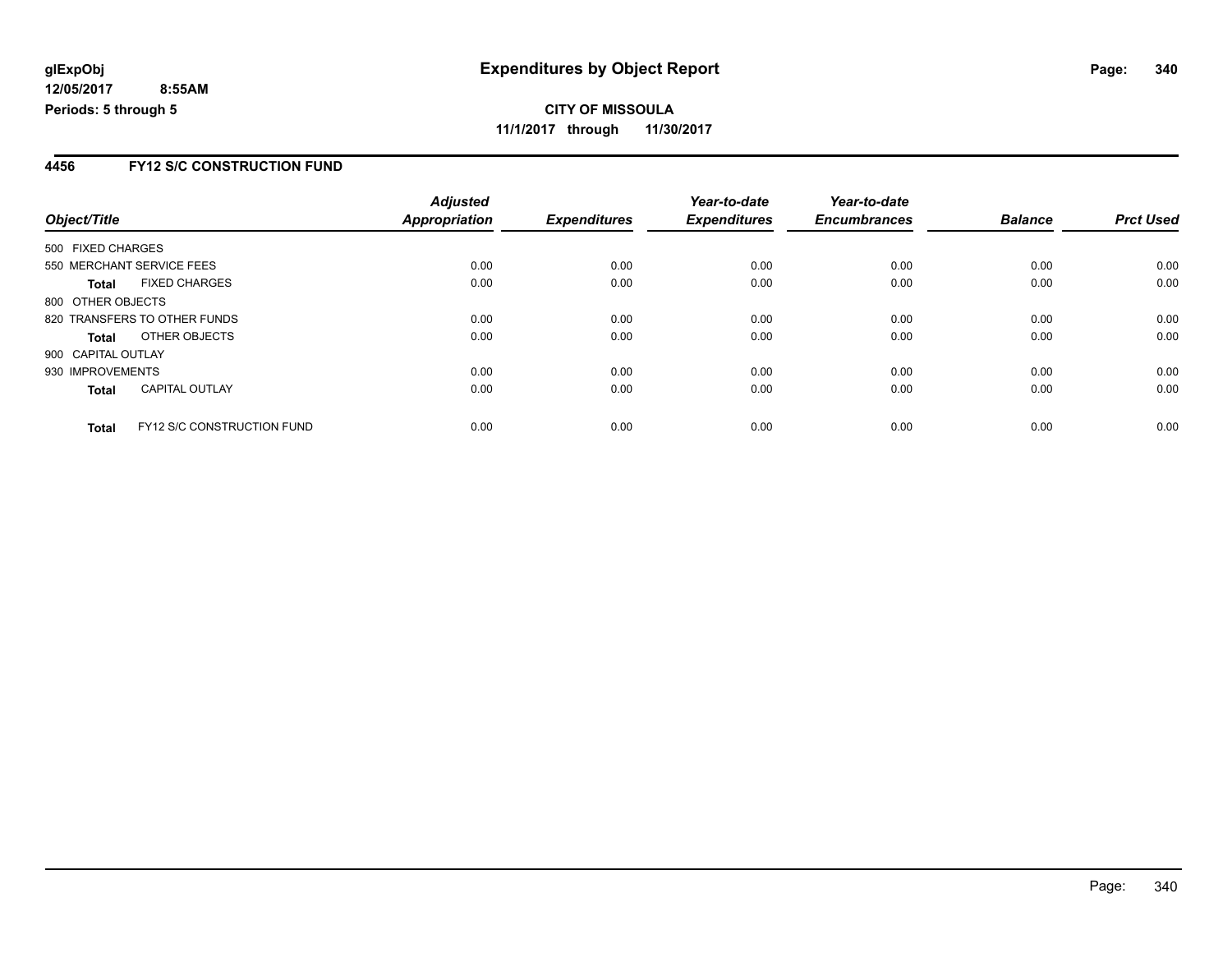**CITY OF MISSOULA 11/1/2017 through 11/30/2017**

### **4456 FY12 S/C CONSTRUCTION FUND**

|                    |                                   | <b>Adjusted</b> |                     | Year-to-date        | Year-to-date        |                |                  |
|--------------------|-----------------------------------|-----------------|---------------------|---------------------|---------------------|----------------|------------------|
| Object/Title       |                                   | Appropriation   | <b>Expenditures</b> | <b>Expenditures</b> | <b>Encumbrances</b> | <b>Balance</b> | <b>Prct Used</b> |
| 500 FIXED CHARGES  |                                   |                 |                     |                     |                     |                |                  |
|                    | 550 MERCHANT SERVICE FEES         | 0.00            | 0.00                | 0.00                | 0.00                | 0.00           | 0.00             |
| Total              | <b>FIXED CHARGES</b>              | 0.00            | 0.00                | 0.00                | 0.00                | 0.00           | 0.00             |
| 800 OTHER OBJECTS  |                                   |                 |                     |                     |                     |                |                  |
|                    | 820 TRANSFERS TO OTHER FUNDS      | 0.00            | 0.00                | 0.00                | 0.00                | 0.00           | 0.00             |
| <b>Total</b>       | OTHER OBJECTS                     | 0.00            | 0.00                | 0.00                | 0.00                | 0.00           | 0.00             |
| 900 CAPITAL OUTLAY |                                   |                 |                     |                     |                     |                |                  |
| 930 IMPROVEMENTS   |                                   | 0.00            | 0.00                | 0.00                | 0.00                | 0.00           | 0.00             |
| <b>Total</b>       | <b>CAPITAL OUTLAY</b>             | 0.00            | 0.00                | 0.00                | 0.00                | 0.00           | 0.00             |
| <b>Total</b>       | <b>FY12 S/C CONSTRUCTION FUND</b> | 0.00            | 0.00                | 0.00                | 0.00                | 0.00           | 0.00             |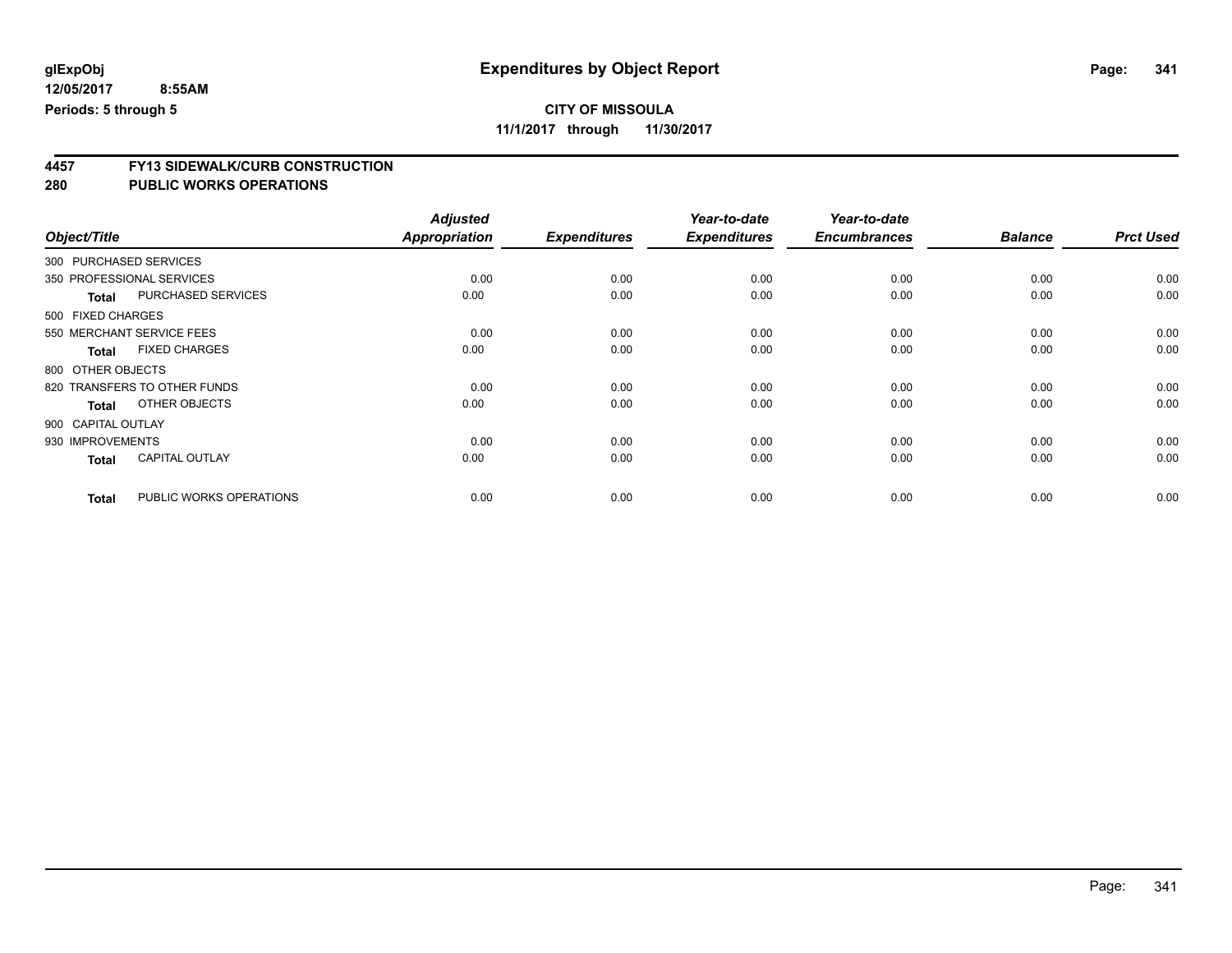**11/1/2017 through 11/30/2017**

# **4457 FY13 SIDEWALK/CURB CONSTRUCTION**

|                        |                              | <b>Adjusted</b>      |                     | Year-to-date        | Year-to-date        |                |                  |
|------------------------|------------------------------|----------------------|---------------------|---------------------|---------------------|----------------|------------------|
| Object/Title           |                              | <b>Appropriation</b> | <b>Expenditures</b> | <b>Expenditures</b> | <b>Encumbrances</b> | <b>Balance</b> | <b>Prct Used</b> |
| 300 PURCHASED SERVICES |                              |                      |                     |                     |                     |                |                  |
|                        | 350 PROFESSIONAL SERVICES    | 0.00                 | 0.00                | 0.00                | 0.00                | 0.00           | 0.00             |
| <b>Total</b>           | <b>PURCHASED SERVICES</b>    | 0.00                 | 0.00                | 0.00                | 0.00                | 0.00           | 0.00             |
| 500 FIXED CHARGES      |                              |                      |                     |                     |                     |                |                  |
|                        | 550 MERCHANT SERVICE FEES    | 0.00                 | 0.00                | 0.00                | 0.00                | 0.00           | 0.00             |
| <b>Total</b>           | <b>FIXED CHARGES</b>         | 0.00                 | 0.00                | 0.00                | 0.00                | 0.00           | 0.00             |
| 800 OTHER OBJECTS      |                              |                      |                     |                     |                     |                |                  |
|                        | 820 TRANSFERS TO OTHER FUNDS | 0.00                 | 0.00                | 0.00                | 0.00                | 0.00           | 0.00             |
| <b>Total</b>           | OTHER OBJECTS                | 0.00                 | 0.00                | 0.00                | 0.00                | 0.00           | 0.00             |
| 900 CAPITAL OUTLAY     |                              |                      |                     |                     |                     |                |                  |
| 930 IMPROVEMENTS       |                              | 0.00                 | 0.00                | 0.00                | 0.00                | 0.00           | 0.00             |
| <b>Total</b>           | <b>CAPITAL OUTLAY</b>        | 0.00                 | 0.00                | 0.00                | 0.00                | 0.00           | 0.00             |
| <b>Total</b>           | PUBLIC WORKS OPERATIONS      | 0.00                 | 0.00                | 0.00                | 0.00                | 0.00           | 0.00             |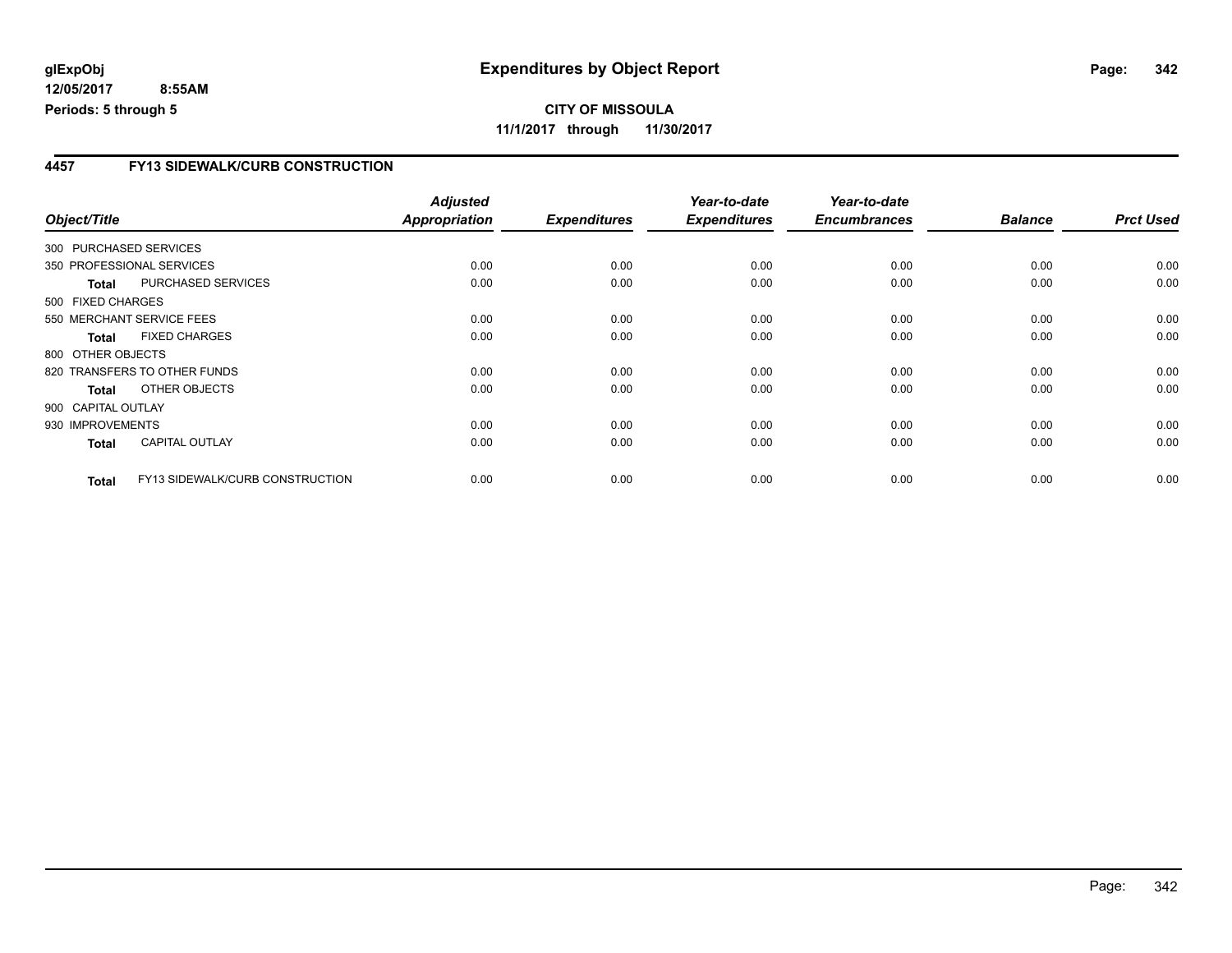### **4457 FY13 SIDEWALK/CURB CONSTRUCTION**

|                    |                                 | <b>Adjusted</b>      |                     | Year-to-date        | Year-to-date        |                |                  |
|--------------------|---------------------------------|----------------------|---------------------|---------------------|---------------------|----------------|------------------|
| Object/Title       |                                 | <b>Appropriation</b> | <b>Expenditures</b> | <b>Expenditures</b> | <b>Encumbrances</b> | <b>Balance</b> | <b>Prct Used</b> |
|                    | 300 PURCHASED SERVICES          |                      |                     |                     |                     |                |                  |
|                    | 350 PROFESSIONAL SERVICES       | 0.00                 | 0.00                | 0.00                | 0.00                | 0.00           | 0.00             |
| <b>Total</b>       | PURCHASED SERVICES              | 0.00                 | 0.00                | 0.00                | 0.00                | 0.00           | 0.00             |
| 500 FIXED CHARGES  |                                 |                      |                     |                     |                     |                |                  |
|                    | 550 MERCHANT SERVICE FEES       | 0.00                 | 0.00                | 0.00                | 0.00                | 0.00           | 0.00             |
| <b>Total</b>       | <b>FIXED CHARGES</b>            | 0.00                 | 0.00                | 0.00                | 0.00                | 0.00           | 0.00             |
| 800 OTHER OBJECTS  |                                 |                      |                     |                     |                     |                |                  |
|                    | 820 TRANSFERS TO OTHER FUNDS    | 0.00                 | 0.00                | 0.00                | 0.00                | 0.00           | 0.00             |
| Total              | OTHER OBJECTS                   | 0.00                 | 0.00                | 0.00                | 0.00                | 0.00           | 0.00             |
| 900 CAPITAL OUTLAY |                                 |                      |                     |                     |                     |                |                  |
| 930 IMPROVEMENTS   |                                 | 0.00                 | 0.00                | 0.00                | 0.00                | 0.00           | 0.00             |
| <b>Total</b>       | <b>CAPITAL OUTLAY</b>           | 0.00                 | 0.00                | 0.00                | 0.00                | 0.00           | 0.00             |
| <b>Total</b>       | FY13 SIDEWALK/CURB CONSTRUCTION | 0.00                 | 0.00                | 0.00                | 0.00                | 0.00           | 0.00             |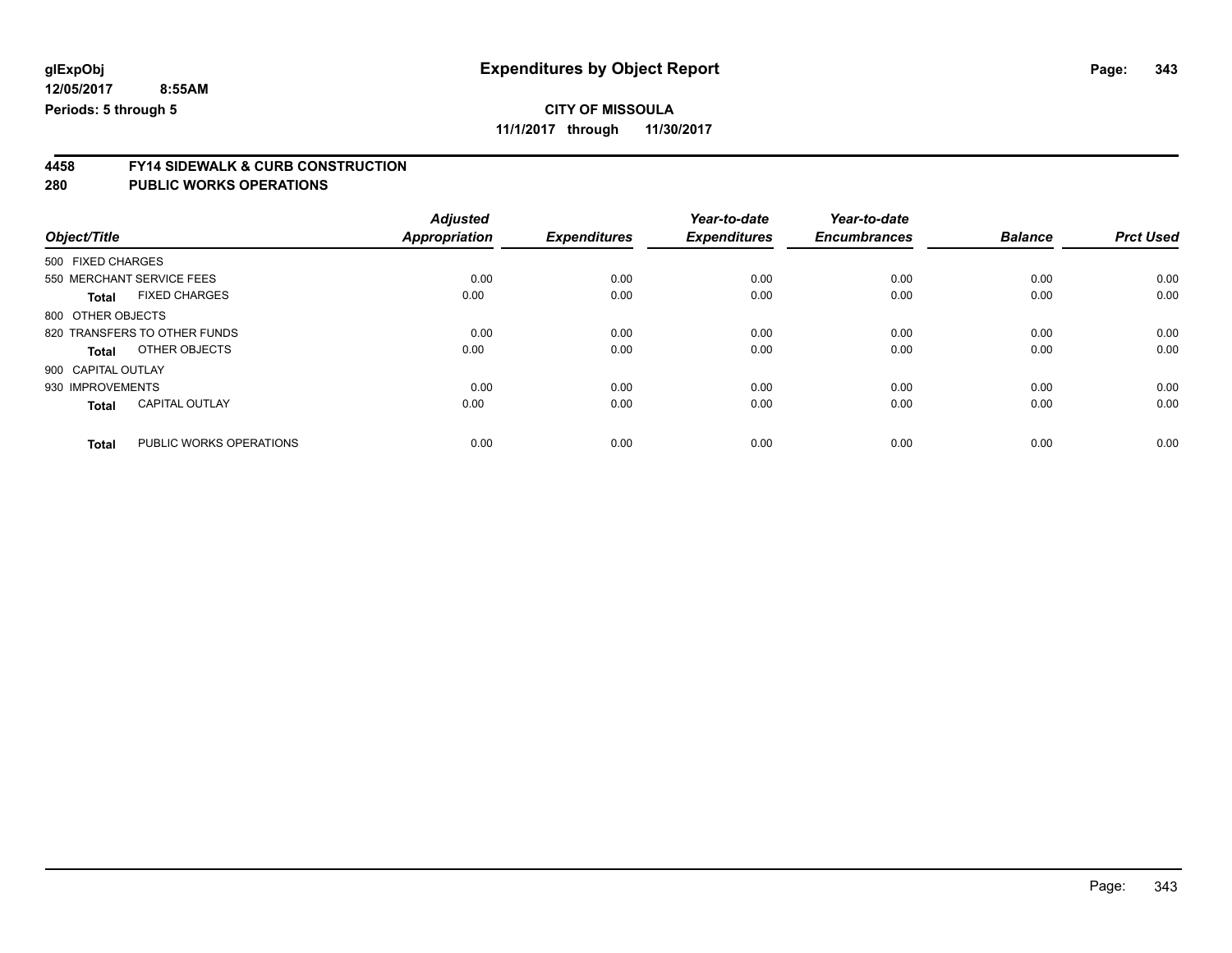### **CITY OF MISSOULA**

**11/1/2017 through 11/30/2017**

# **4458 FY14 SIDEWALK & CURB CONSTRUCTION**

| Object/Title       |                              | <b>Adjusted</b><br><b>Appropriation</b> | <b>Expenditures</b> | Year-to-date<br><b>Expenditures</b> | Year-to-date<br><b>Encumbrances</b> | <b>Balance</b> | <b>Prct Used</b> |
|--------------------|------------------------------|-----------------------------------------|---------------------|-------------------------------------|-------------------------------------|----------------|------------------|
|                    |                              |                                         |                     |                                     |                                     |                |                  |
| 500 FIXED CHARGES  |                              |                                         |                     |                                     |                                     |                |                  |
|                    | 550 MERCHANT SERVICE FEES    | 0.00                                    | 0.00                | 0.00                                | 0.00                                | 0.00           | 0.00             |
| <b>Total</b>       | <b>FIXED CHARGES</b>         | 0.00                                    | 0.00                | 0.00                                | 0.00                                | 0.00           | 0.00             |
| 800 OTHER OBJECTS  |                              |                                         |                     |                                     |                                     |                |                  |
|                    | 820 TRANSFERS TO OTHER FUNDS | 0.00                                    | 0.00                | 0.00                                | 0.00                                | 0.00           | 0.00             |
| <b>Total</b>       | OTHER OBJECTS                | 0.00                                    | 0.00                | 0.00                                | 0.00                                | 0.00           | 0.00             |
| 900 CAPITAL OUTLAY |                              |                                         |                     |                                     |                                     |                |                  |
| 930 IMPROVEMENTS   |                              | 0.00                                    | 0.00                | 0.00                                | 0.00                                | 0.00           | 0.00             |
| <b>Total</b>       | <b>CAPITAL OUTLAY</b>        | 0.00                                    | 0.00                | 0.00                                | 0.00                                | 0.00           | 0.00             |
| <b>Total</b>       | PUBLIC WORKS OPERATIONS      | 0.00                                    | 0.00                | 0.00                                | 0.00                                | 0.00           | 0.00             |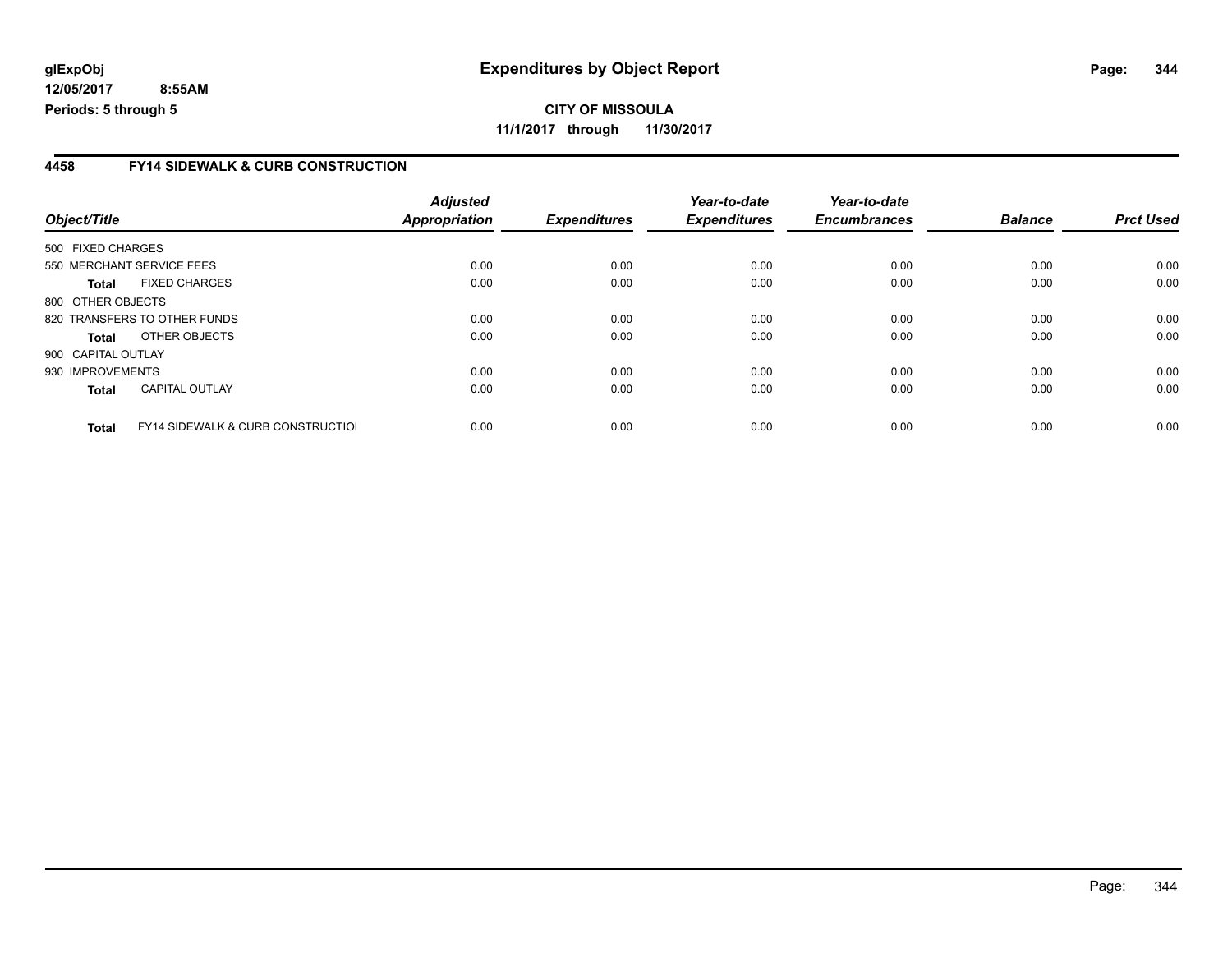### **4458 FY14 SIDEWALK & CURB CONSTRUCTION**

| Object/Title       |                                              | <b>Adjusted</b><br>Appropriation | <b>Expenditures</b> | Year-to-date<br><b>Expenditures</b> | Year-to-date<br><b>Encumbrances</b> | <b>Balance</b> | <b>Prct Used</b> |
|--------------------|----------------------------------------------|----------------------------------|---------------------|-------------------------------------|-------------------------------------|----------------|------------------|
|                    |                                              |                                  |                     |                                     |                                     |                |                  |
| 500 FIXED CHARGES  |                                              |                                  |                     |                                     |                                     |                |                  |
|                    | 550 MERCHANT SERVICE FEES                    | 0.00                             | 0.00                | 0.00                                | 0.00                                | 0.00           | 0.00             |
| <b>Total</b>       | <b>FIXED CHARGES</b>                         | 0.00                             | 0.00                | 0.00                                | 0.00                                | 0.00           | 0.00             |
| 800 OTHER OBJECTS  |                                              |                                  |                     |                                     |                                     |                |                  |
|                    | 820 TRANSFERS TO OTHER FUNDS                 | 0.00                             | 0.00                | 0.00                                | 0.00                                | 0.00           | 0.00             |
| <b>Total</b>       | OTHER OBJECTS                                | 0.00                             | 0.00                | 0.00                                | 0.00                                | 0.00           | 0.00             |
| 900 CAPITAL OUTLAY |                                              |                                  |                     |                                     |                                     |                |                  |
| 930 IMPROVEMENTS   |                                              | 0.00                             | 0.00                | 0.00                                | 0.00                                | 0.00           | 0.00             |
| <b>Total</b>       | <b>CAPITAL OUTLAY</b>                        | 0.00                             | 0.00                | 0.00                                | 0.00                                | 0.00           | 0.00             |
| <b>Total</b>       | <b>FY14 SIDEWALK &amp; CURB CONSTRUCTIOL</b> | 0.00                             | 0.00                | 0.00                                | 0.00                                | 0.00           | 0.00             |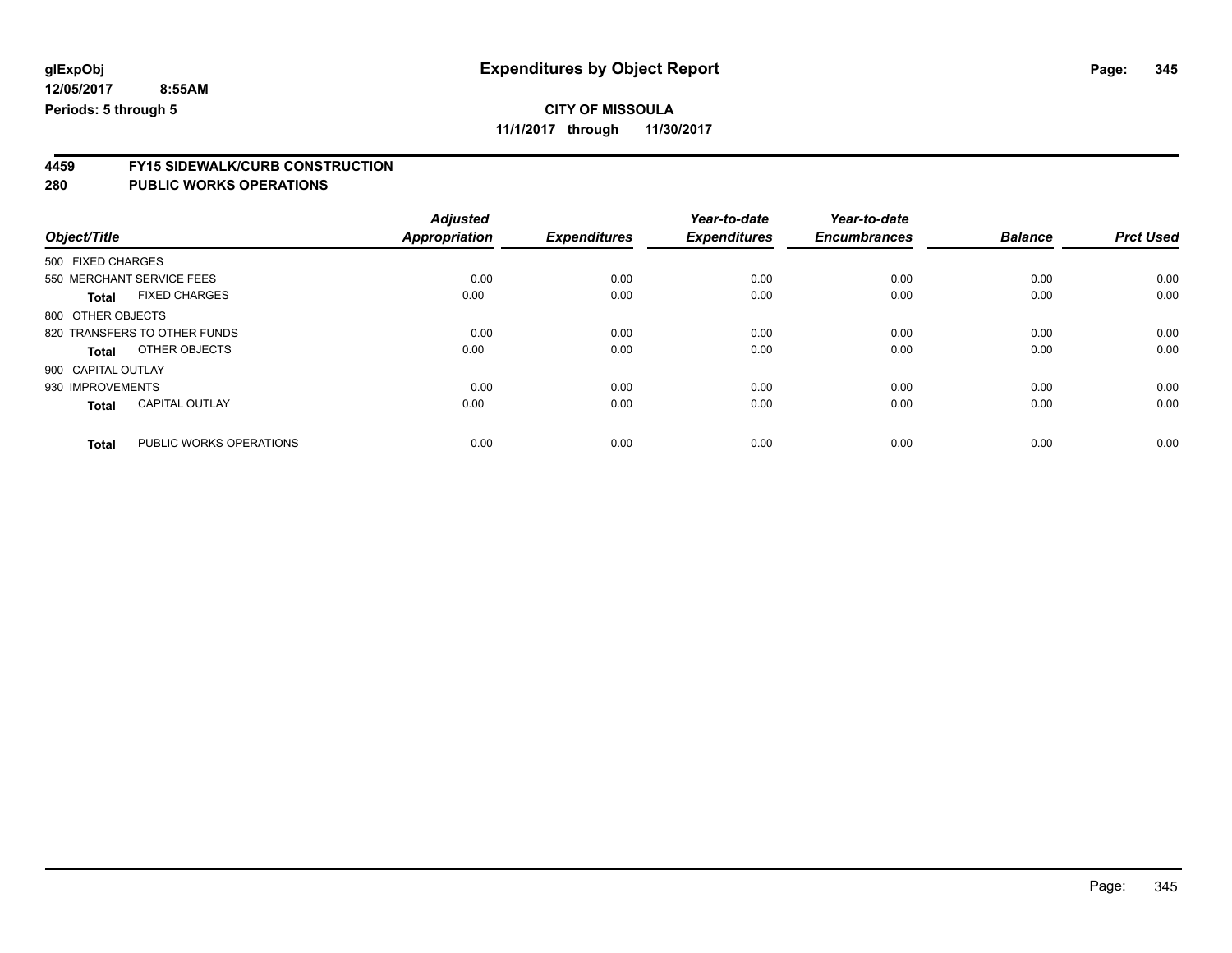### **CITY OF MISSOULA**

**11/1/2017 through 11/30/2017**

# **4459 FY15 SIDEWALK/CURB CONSTRUCTION**

| Object/Title       |                              | <b>Adjusted</b><br><b>Appropriation</b> | <b>Expenditures</b> | Year-to-date<br><b>Expenditures</b> | Year-to-date<br><b>Encumbrances</b> | <b>Balance</b> | <b>Prct Used</b> |
|--------------------|------------------------------|-----------------------------------------|---------------------|-------------------------------------|-------------------------------------|----------------|------------------|
| 500 FIXED CHARGES  |                              |                                         |                     |                                     |                                     |                |                  |
|                    | 550 MERCHANT SERVICE FEES    | 0.00                                    | 0.00                | 0.00                                | 0.00                                | 0.00           | 0.00             |
| <b>Total</b>       | <b>FIXED CHARGES</b>         | 0.00                                    | 0.00                | 0.00                                | 0.00                                | 0.00           | 0.00             |
| 800 OTHER OBJECTS  |                              |                                         |                     |                                     |                                     |                |                  |
|                    | 820 TRANSFERS TO OTHER FUNDS | 0.00                                    | 0.00                | 0.00                                | 0.00                                | 0.00           | 0.00             |
| Total              | OTHER OBJECTS                | 0.00                                    | 0.00                | 0.00                                | 0.00                                | 0.00           | 0.00             |
| 900 CAPITAL OUTLAY |                              |                                         |                     |                                     |                                     |                |                  |
| 930 IMPROVEMENTS   |                              | 0.00                                    | 0.00                | 0.00                                | 0.00                                | 0.00           | 0.00             |
| <b>Total</b>       | <b>CAPITAL OUTLAY</b>        | 0.00                                    | 0.00                | 0.00                                | 0.00                                | 0.00           | 0.00             |
|                    |                              |                                         |                     |                                     |                                     |                |                  |
| <b>Total</b>       | PUBLIC WORKS OPERATIONS      | 0.00                                    | 0.00                | 0.00                                | 0.00                                | 0.00           | 0.00             |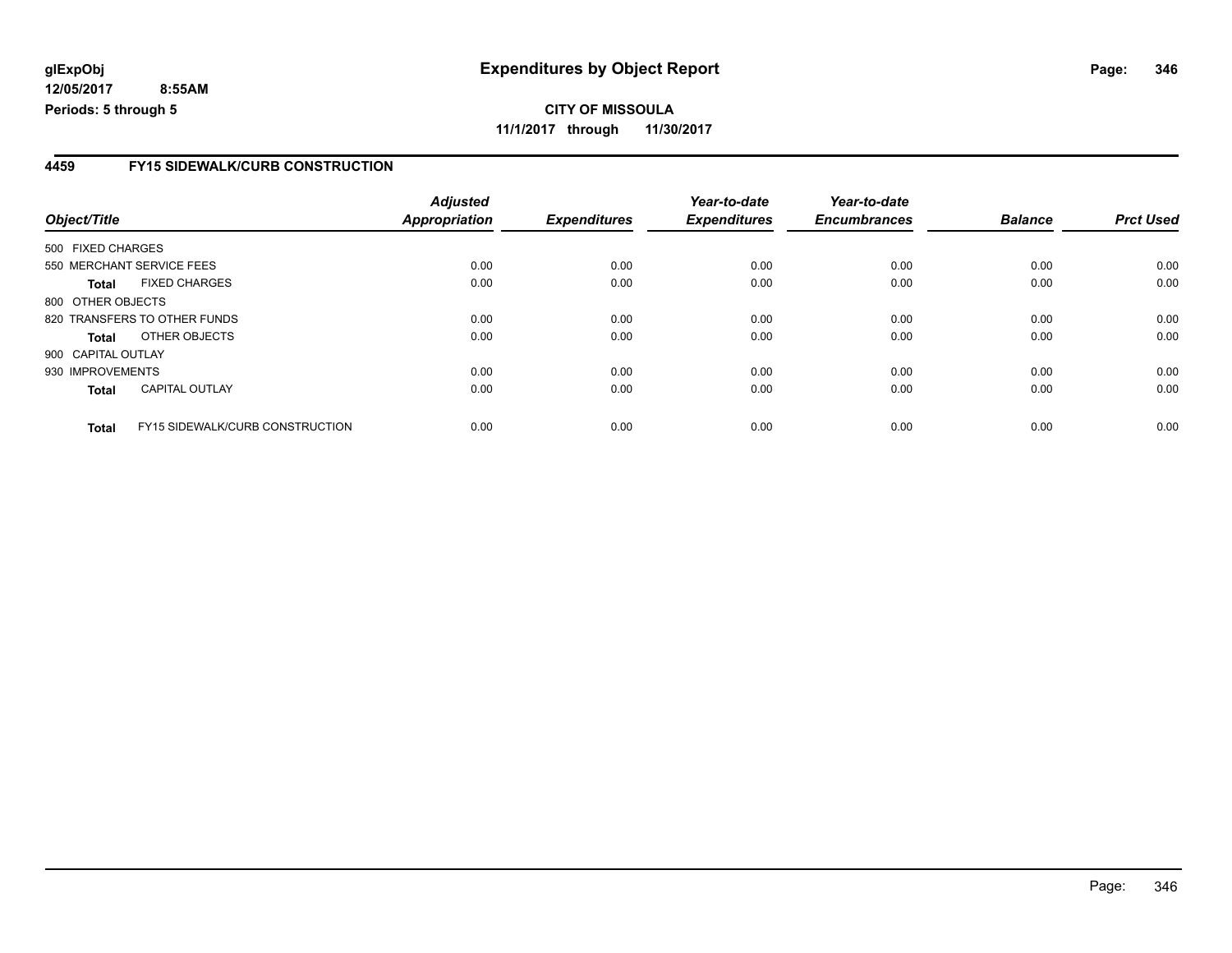### **4459 FY15 SIDEWALK/CURB CONSTRUCTION**

|                    |                                        | <b>Adjusted</b> |                     | Year-to-date        | Year-to-date        |                |                  |
|--------------------|----------------------------------------|-----------------|---------------------|---------------------|---------------------|----------------|------------------|
| Object/Title       |                                        | Appropriation   | <b>Expenditures</b> | <b>Expenditures</b> | <b>Encumbrances</b> | <b>Balance</b> | <b>Prct Used</b> |
| 500 FIXED CHARGES  |                                        |                 |                     |                     |                     |                |                  |
|                    | 550 MERCHANT SERVICE FEES              | 0.00            | 0.00                | 0.00                | 0.00                | 0.00           | 0.00             |
| <b>Total</b>       | <b>FIXED CHARGES</b>                   | 0.00            | 0.00                | 0.00                | 0.00                | 0.00           | 0.00             |
| 800 OTHER OBJECTS  |                                        |                 |                     |                     |                     |                |                  |
|                    | 820 TRANSFERS TO OTHER FUNDS           | 0.00            | 0.00                | 0.00                | 0.00                | 0.00           | 0.00             |
| <b>Total</b>       | OTHER OBJECTS                          | 0.00            | 0.00                | 0.00                | 0.00                | 0.00           | 0.00             |
| 900 CAPITAL OUTLAY |                                        |                 |                     |                     |                     |                |                  |
| 930 IMPROVEMENTS   |                                        | 0.00            | 0.00                | 0.00                | 0.00                | 0.00           | 0.00             |
| <b>Total</b>       | <b>CAPITAL OUTLAY</b>                  | 0.00            | 0.00                | 0.00                | 0.00                | 0.00           | 0.00             |
| <b>Total</b>       | <b>FY15 SIDEWALK/CURB CONSTRUCTION</b> | 0.00            | 0.00                | 0.00                | 0.00                | 0.00           | 0.00             |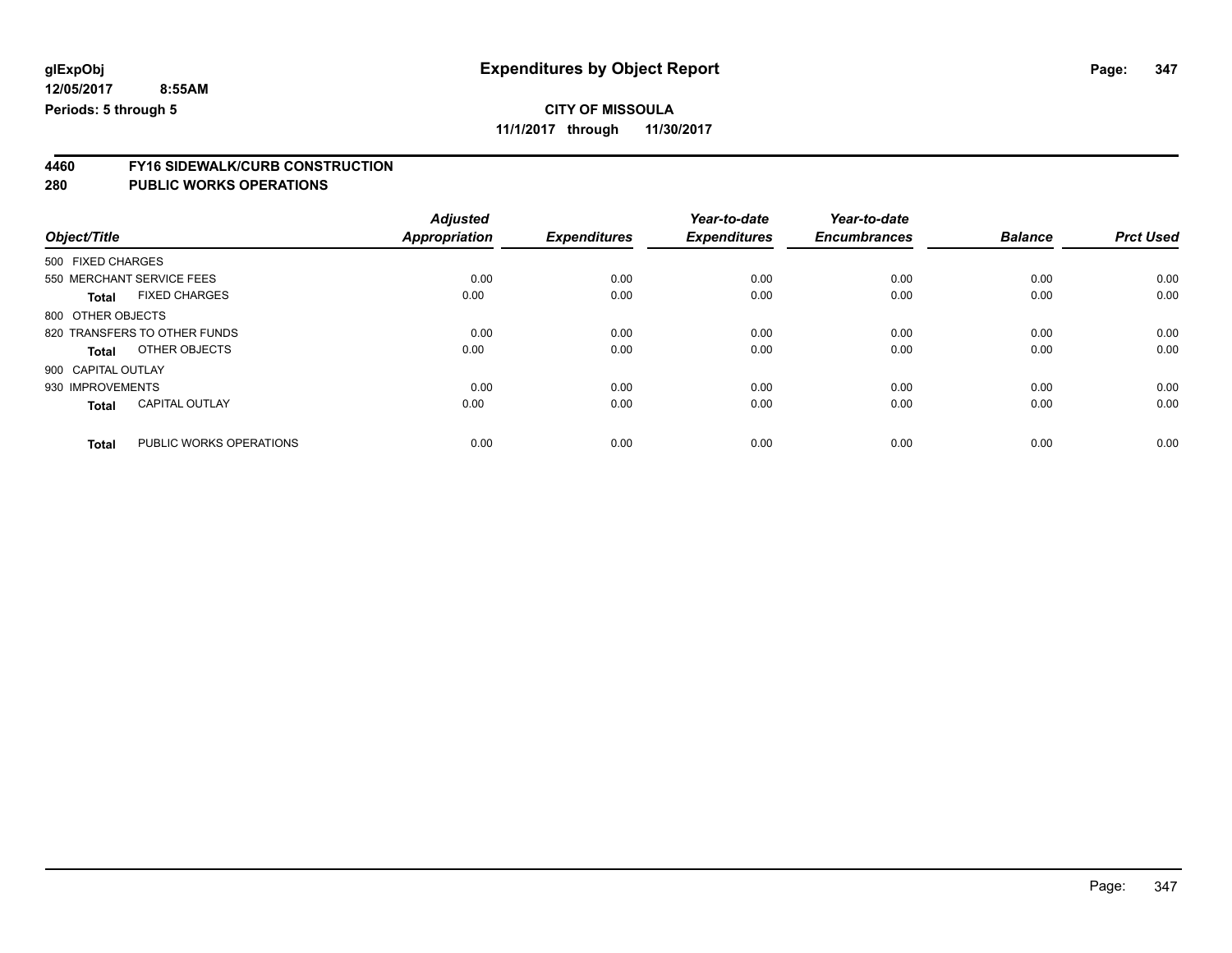### **CITY OF MISSOULA**

**11/1/2017 through 11/30/2017**

# **4460 FY16 SIDEWALK/CURB CONSTRUCTION**

| Object/Title       |                              | <b>Adjusted</b><br><b>Appropriation</b> | <b>Expenditures</b> | Year-to-date<br><b>Expenditures</b> | Year-to-date<br><b>Encumbrances</b> | <b>Balance</b> | <b>Prct Used</b> |
|--------------------|------------------------------|-----------------------------------------|---------------------|-------------------------------------|-------------------------------------|----------------|------------------|
| 500 FIXED CHARGES  |                              |                                         |                     |                                     |                                     |                |                  |
|                    | 550 MERCHANT SERVICE FEES    | 0.00                                    | 0.00                | 0.00                                | 0.00                                | 0.00           | 0.00             |
| <b>Total</b>       | <b>FIXED CHARGES</b>         | 0.00                                    | 0.00                | 0.00                                | 0.00                                | 0.00           | 0.00             |
| 800 OTHER OBJECTS  |                              |                                         |                     |                                     |                                     |                |                  |
|                    | 820 TRANSFERS TO OTHER FUNDS | 0.00                                    | 0.00                | 0.00                                | 0.00                                | 0.00           | 0.00             |
| Total              | OTHER OBJECTS                | 0.00                                    | 0.00                | 0.00                                | 0.00                                | 0.00           | 0.00             |
| 900 CAPITAL OUTLAY |                              |                                         |                     |                                     |                                     |                |                  |
| 930 IMPROVEMENTS   |                              | 0.00                                    | 0.00                | 0.00                                | 0.00                                | 0.00           | 0.00             |
| <b>Total</b>       | <b>CAPITAL OUTLAY</b>        | 0.00                                    | 0.00                | 0.00                                | 0.00                                | 0.00           | 0.00             |
| <b>Total</b>       | PUBLIC WORKS OPERATIONS      | 0.00                                    | 0.00                | 0.00                                | 0.00                                | 0.00           | 0.00             |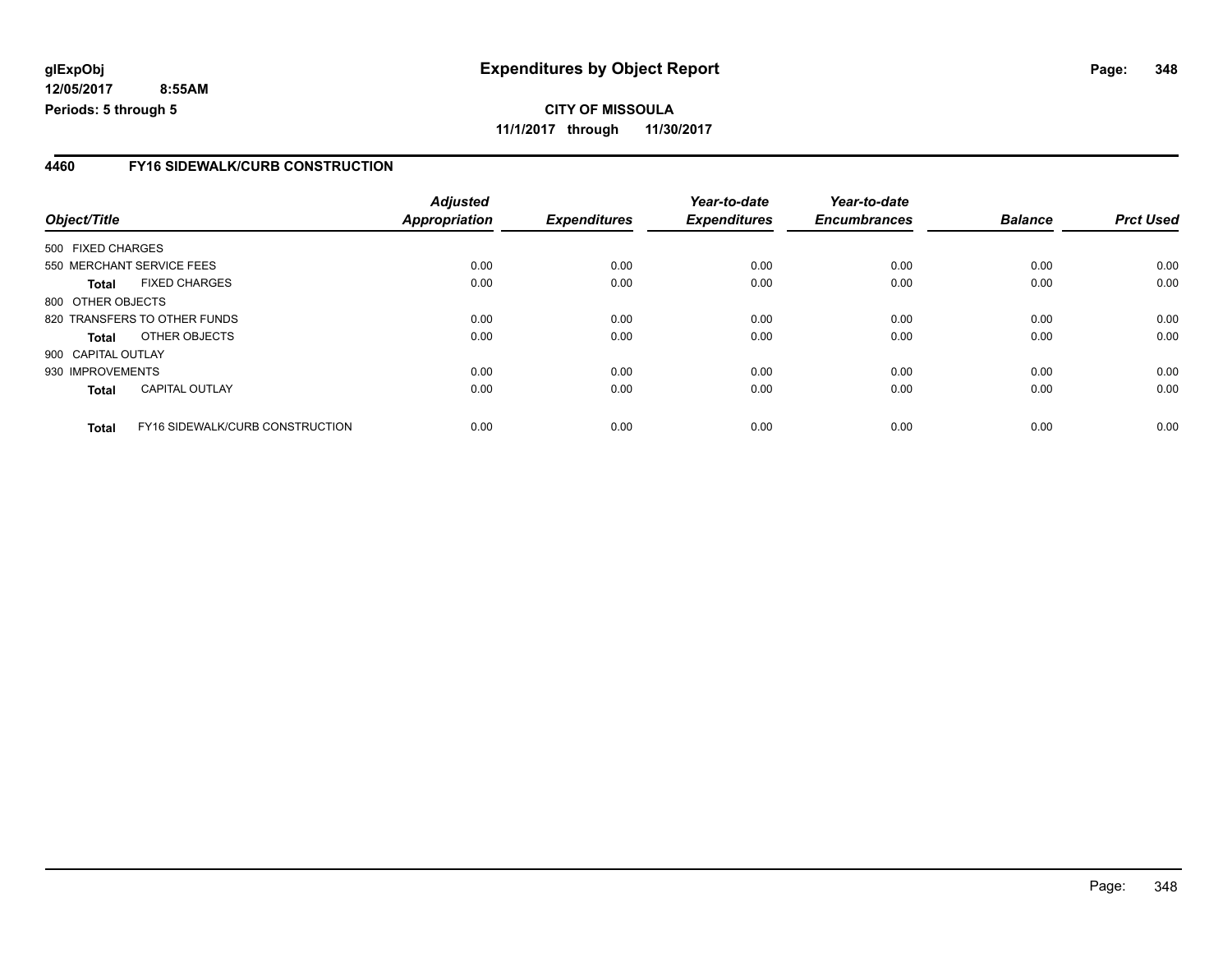### **4460 FY16 SIDEWALK/CURB CONSTRUCTION**

|                    |                                 | <b>Adjusted</b> |                     | Year-to-date        | Year-to-date<br><b>Encumbrances</b> | <b>Balance</b> | <b>Prct Used</b> |
|--------------------|---------------------------------|-----------------|---------------------|---------------------|-------------------------------------|----------------|------------------|
| Object/Title       |                                 | Appropriation   | <b>Expenditures</b> | <b>Expenditures</b> |                                     |                |                  |
| 500 FIXED CHARGES  |                                 |                 |                     |                     |                                     |                |                  |
|                    | 550 MERCHANT SERVICE FEES       | 0.00            | 0.00                | 0.00                | 0.00                                | 0.00           | 0.00             |
| Total              | <b>FIXED CHARGES</b>            | 0.00            | 0.00                | 0.00                | 0.00                                | 0.00           | 0.00             |
| 800 OTHER OBJECTS  |                                 |                 |                     |                     |                                     |                |                  |
|                    | 820 TRANSFERS TO OTHER FUNDS    | 0.00            | 0.00                | 0.00                | 0.00                                | 0.00           | 0.00             |
| <b>Total</b>       | OTHER OBJECTS                   | 0.00            | 0.00                | 0.00                | 0.00                                | 0.00           | 0.00             |
| 900 CAPITAL OUTLAY |                                 |                 |                     |                     |                                     |                |                  |
| 930 IMPROVEMENTS   |                                 | 0.00            | 0.00                | 0.00                | 0.00                                | 0.00           | 0.00             |
| <b>Total</b>       | <b>CAPITAL OUTLAY</b>           | 0.00            | 0.00                | 0.00                | 0.00                                | 0.00           | 0.00             |
| <b>Total</b>       | FY16 SIDEWALK/CURB CONSTRUCTION | 0.00            | 0.00                | 0.00                | 0.00                                | 0.00           | 0.00             |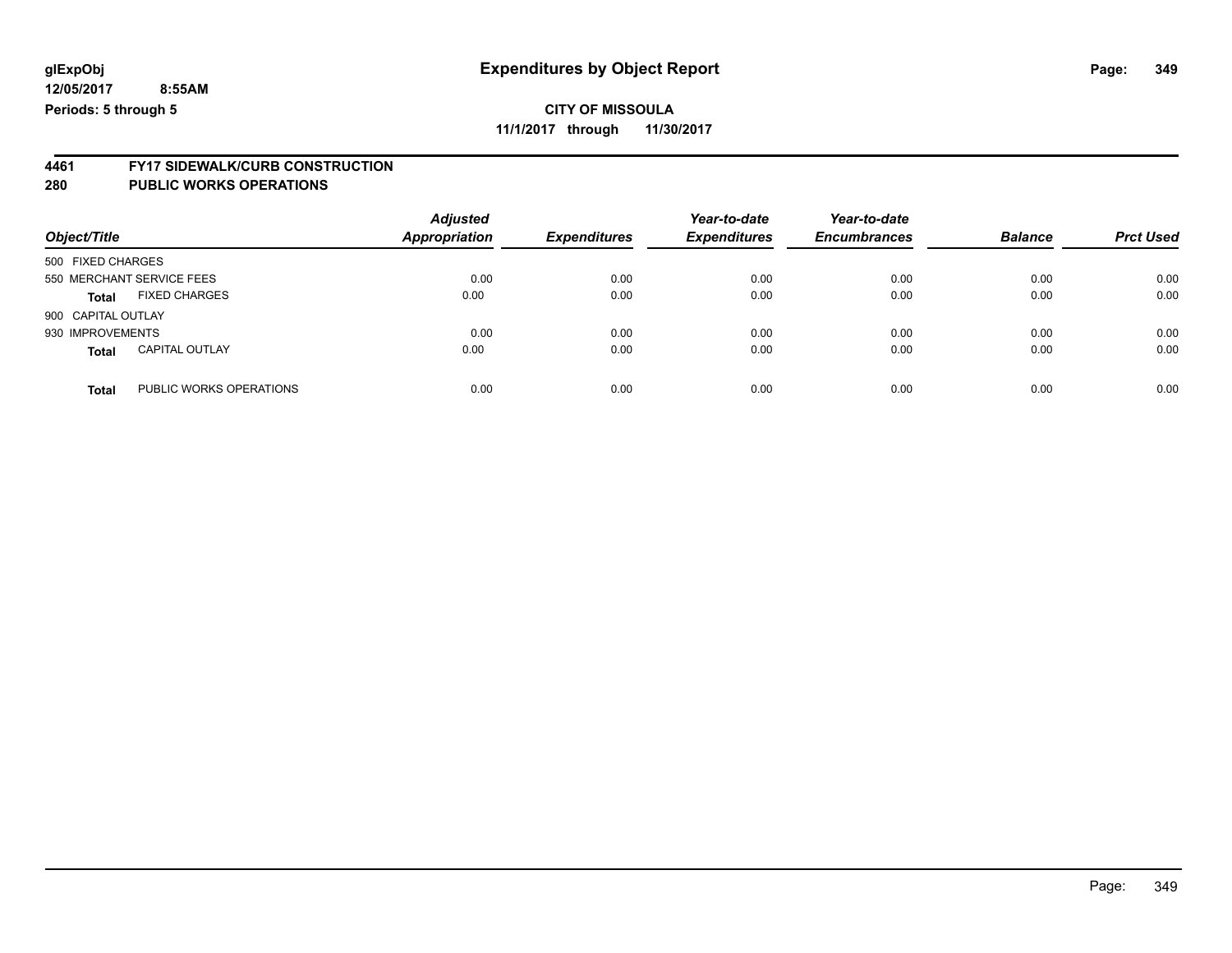**11/1/2017 through 11/30/2017**

# **4461 FY17 SIDEWALK/CURB CONSTRUCTION**

| Object/Title       |                           | <b>Adjusted</b><br><b>Appropriation</b> | <b>Expenditures</b> | Year-to-date<br><b>Expenditures</b> | Year-to-date<br><b>Encumbrances</b> | <b>Balance</b> | <b>Prct Used</b> |
|--------------------|---------------------------|-----------------------------------------|---------------------|-------------------------------------|-------------------------------------|----------------|------------------|
| 500 FIXED CHARGES  |                           |                                         |                     |                                     |                                     |                |                  |
|                    | 550 MERCHANT SERVICE FEES | 0.00                                    | 0.00                | 0.00                                | 0.00                                | 0.00           | 0.00             |
| <b>Total</b>       | <b>FIXED CHARGES</b>      | 0.00                                    | 0.00                | 0.00                                | 0.00                                | 0.00           | 0.00             |
| 900 CAPITAL OUTLAY |                           |                                         |                     |                                     |                                     |                |                  |
| 930 IMPROVEMENTS   |                           | 0.00                                    | 0.00                | 0.00                                | 0.00                                | 0.00           | 0.00             |
| <b>Total</b>       | <b>CAPITAL OUTLAY</b>     | 0.00                                    | 0.00                | 0.00                                | 0.00                                | 0.00           | 0.00             |
| <b>Total</b>       | PUBLIC WORKS OPERATIONS   | 0.00                                    | 0.00                | 0.00                                | 0.00                                | 0.00           | 0.00             |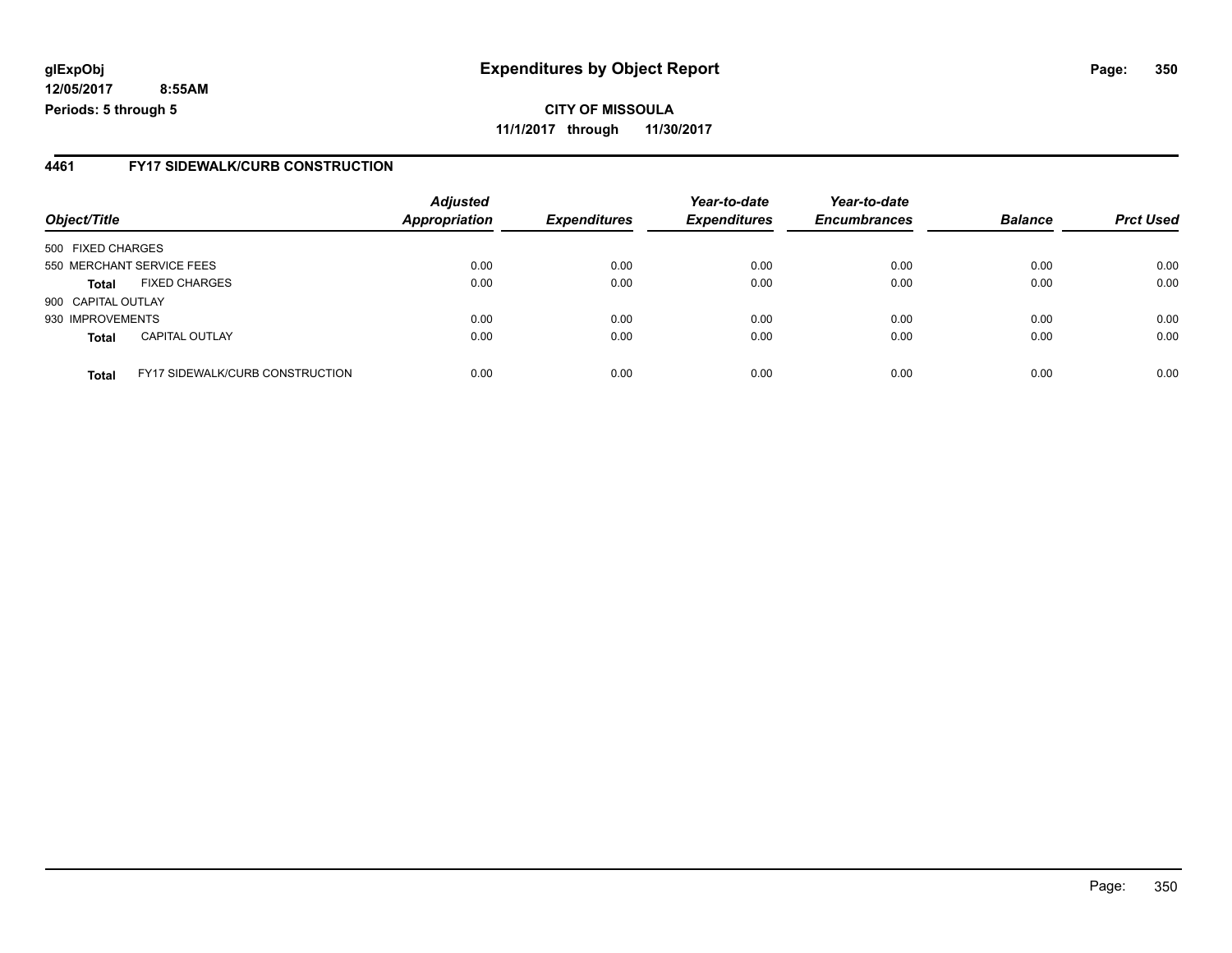**CITY OF MISSOULA 11/1/2017 through 11/30/2017**

### **4461 FY17 SIDEWALK/CURB CONSTRUCTION**

| Object/Title       |                                        | <b>Adjusted</b>      |                     | Year-to-date        | Year-to-date        | <b>Balance</b> |                  |
|--------------------|----------------------------------------|----------------------|---------------------|---------------------|---------------------|----------------|------------------|
|                    |                                        | <b>Appropriation</b> | <b>Expenditures</b> | <b>Expenditures</b> | <b>Encumbrances</b> |                | <b>Prct Used</b> |
| 500 FIXED CHARGES  |                                        |                      |                     |                     |                     |                |                  |
|                    | 550 MERCHANT SERVICE FEES              | 0.00                 | 0.00                | 0.00                | 0.00                | 0.00           | 0.00             |
| <b>Total</b>       | <b>FIXED CHARGES</b>                   | 0.00                 | 0.00                | 0.00                | 0.00                | 0.00           | 0.00             |
| 900 CAPITAL OUTLAY |                                        |                      |                     |                     |                     |                |                  |
| 930 IMPROVEMENTS   |                                        | 0.00                 | 0.00                | 0.00                | 0.00                | 0.00           | 0.00             |
| <b>Total</b>       | <b>CAPITAL OUTLAY</b>                  | 0.00                 | 0.00                | 0.00                | 0.00                | 0.00           | 0.00             |
| <b>Total</b>       | <b>FY17 SIDEWALK/CURB CONSTRUCTION</b> | 0.00                 | 0.00                | 0.00                | 0.00                | 0.00           | 0.00             |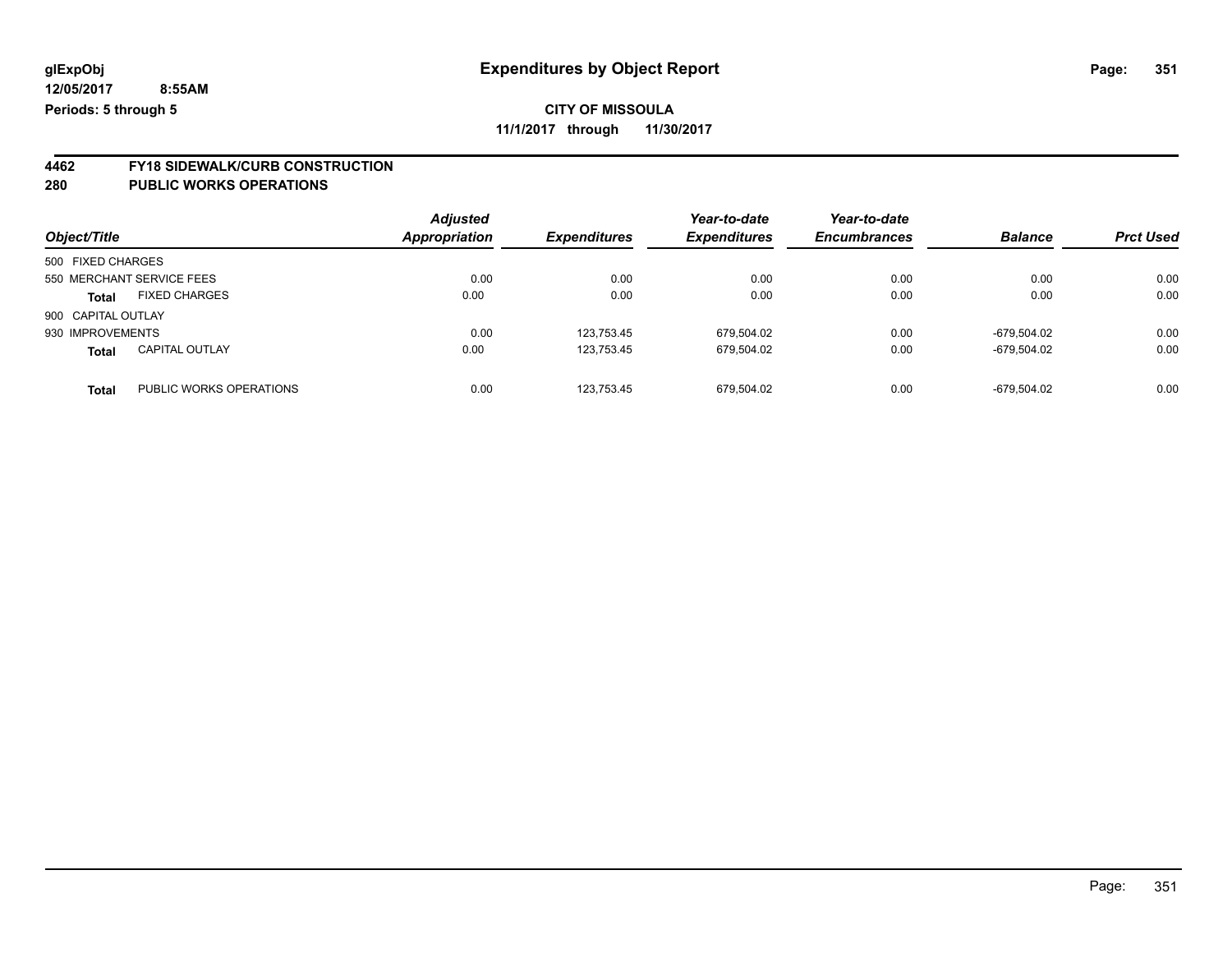**11/1/2017 through 11/30/2017**

# **4462 FY18 SIDEWALK/CURB CONSTRUCTION**

| Object/Title       |                           | <b>Adjusted</b><br><b>Appropriation</b> | <b>Expenditures</b> | Year-to-date<br><b>Expenditures</b> | Year-to-date<br><b>Encumbrances</b> | <b>Balance</b> | <b>Prct Used</b> |
|--------------------|---------------------------|-----------------------------------------|---------------------|-------------------------------------|-------------------------------------|----------------|------------------|
| 500 FIXED CHARGES  |                           |                                         |                     |                                     |                                     |                |                  |
|                    | 550 MERCHANT SERVICE FEES | 0.00                                    | 0.00                | 0.00                                | 0.00                                | 0.00           | 0.00             |
| <b>Total</b>       | <b>FIXED CHARGES</b>      | 0.00                                    | 0.00                | 0.00                                | 0.00                                | 0.00           | 0.00             |
| 900 CAPITAL OUTLAY |                           |                                         |                     |                                     |                                     |                |                  |
| 930 IMPROVEMENTS   |                           | 0.00                                    | 123.753.45          | 679,504.02                          | 0.00                                | -679.504.02    | 0.00             |
| <b>Total</b>       | <b>CAPITAL OUTLAY</b>     | 0.00                                    | 123.753.45          | 679.504.02                          | 0.00                                | -679.504.02    | 0.00             |
| <b>Total</b>       | PUBLIC WORKS OPERATIONS   | 0.00                                    | 123.753.45          | 679.504.02                          | 0.00                                | -679.504.02    | 0.00             |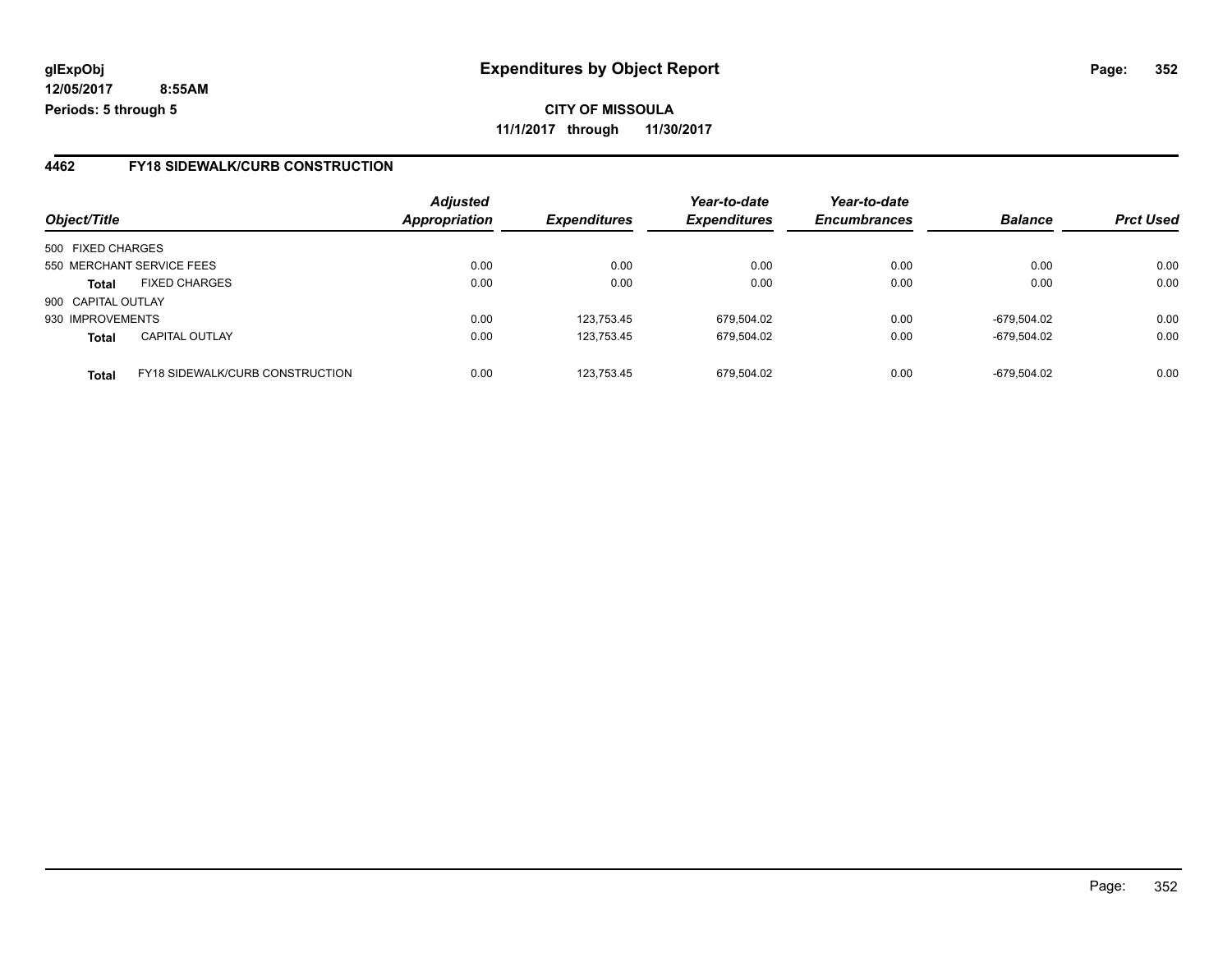**CITY OF MISSOULA 11/1/2017 through 11/30/2017**

### **4462 FY18 SIDEWALK/CURB CONSTRUCTION**

| Object/Title       |                                        | <b>Adjusted</b><br><b>Appropriation</b> | <b>Expenditures</b> | Year-to-date<br><b>Expenditures</b> | Year-to-date<br><b>Encumbrances</b> | <b>Balance</b> | <b>Prct Used</b> |
|--------------------|----------------------------------------|-----------------------------------------|---------------------|-------------------------------------|-------------------------------------|----------------|------------------|
|                    |                                        |                                         |                     |                                     |                                     |                |                  |
| 500 FIXED CHARGES  |                                        |                                         |                     |                                     |                                     |                |                  |
|                    | 550 MERCHANT SERVICE FEES              | 0.00                                    | 0.00                | 0.00                                | 0.00                                | 0.00           | 0.00             |
| <b>Total</b>       | <b>FIXED CHARGES</b>                   | 0.00                                    | 0.00                | 0.00                                | 0.00                                | 0.00           | 0.00             |
| 900 CAPITAL OUTLAY |                                        |                                         |                     |                                     |                                     |                |                  |
| 930 IMPROVEMENTS   |                                        | 0.00                                    | 123,753.45          | 679,504.02                          | 0.00                                | -679.504.02    | 0.00             |
| <b>Total</b>       | <b>CAPITAL OUTLAY</b>                  | 0.00                                    | 123,753.45          | 679,504.02                          | 0.00                                | -679,504.02    | 0.00             |
| <b>Total</b>       | <b>FY18 SIDEWALK/CURB CONSTRUCTION</b> | 0.00                                    | 123.753.45          | 679.504.02                          | 0.00                                | -679.504.02    | 0.00             |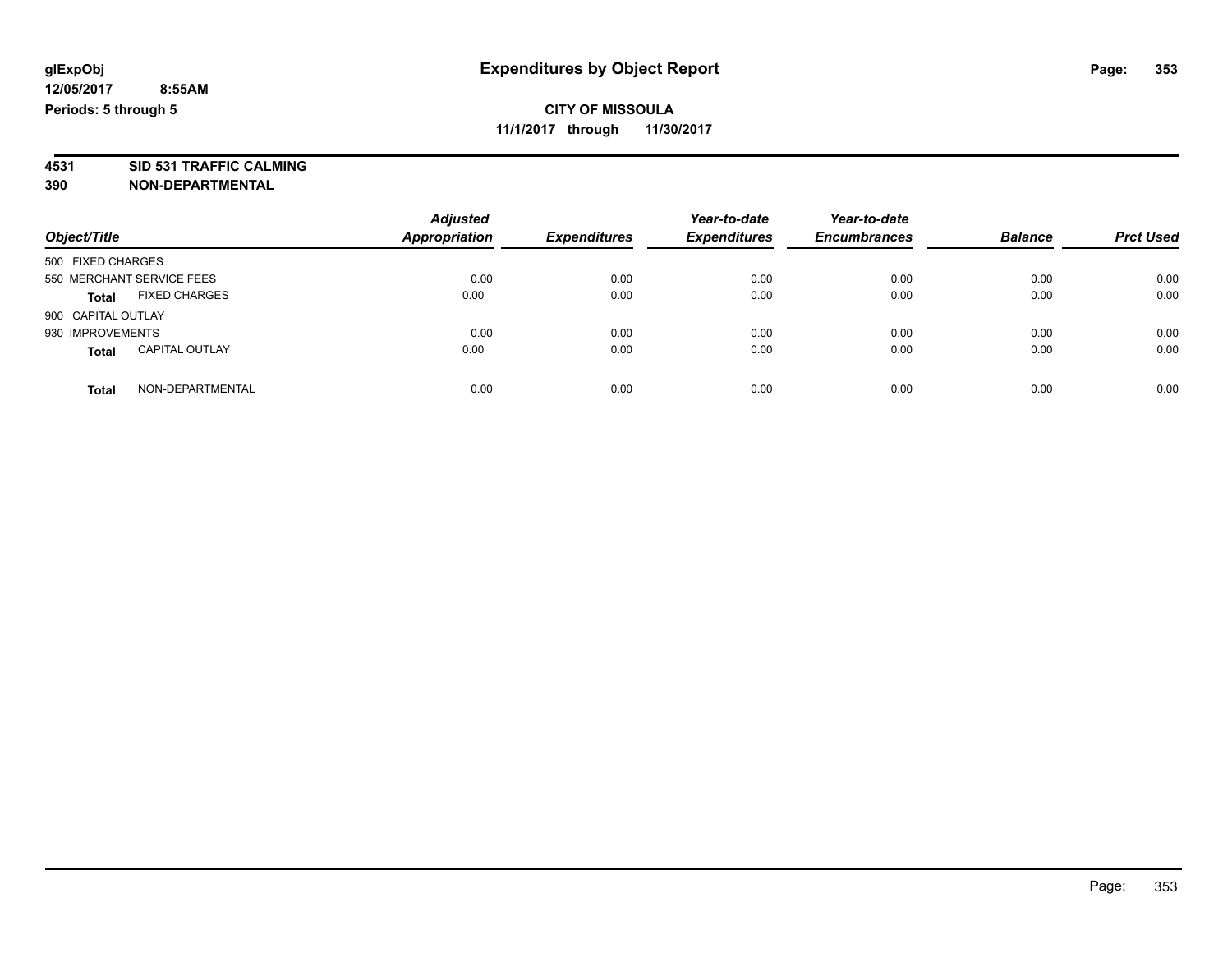**4531 SID 531 TRAFFIC CALMING 390 NON-DEPARTMENTAL**

*Object/Title Adjusted Appropriation Expenditures Year-to-date Expenditures Year-to-date Encumbrances Balance Prct Used* 500 FIXED CHARGES 550 MERCHANT SERVICE FEES 0.00 0.00 0.00 0.00 0.00 0.00 **Total** FIXED CHARGES 0.00 0.00 0.00 0.00 0.00 0.00 900 CAPITAL OUTLAY 930 IMPROVEMENTS 0.00 0.00 0.00 0.00 0.00 0.00 **Total** CAPITAL OUTLAY 0.00 0.00 0.00 0.00 0.00 0.00 **Total** NON-DEPARTMENTAL 0.00 0.00 0.00 0.00 0.00 0.00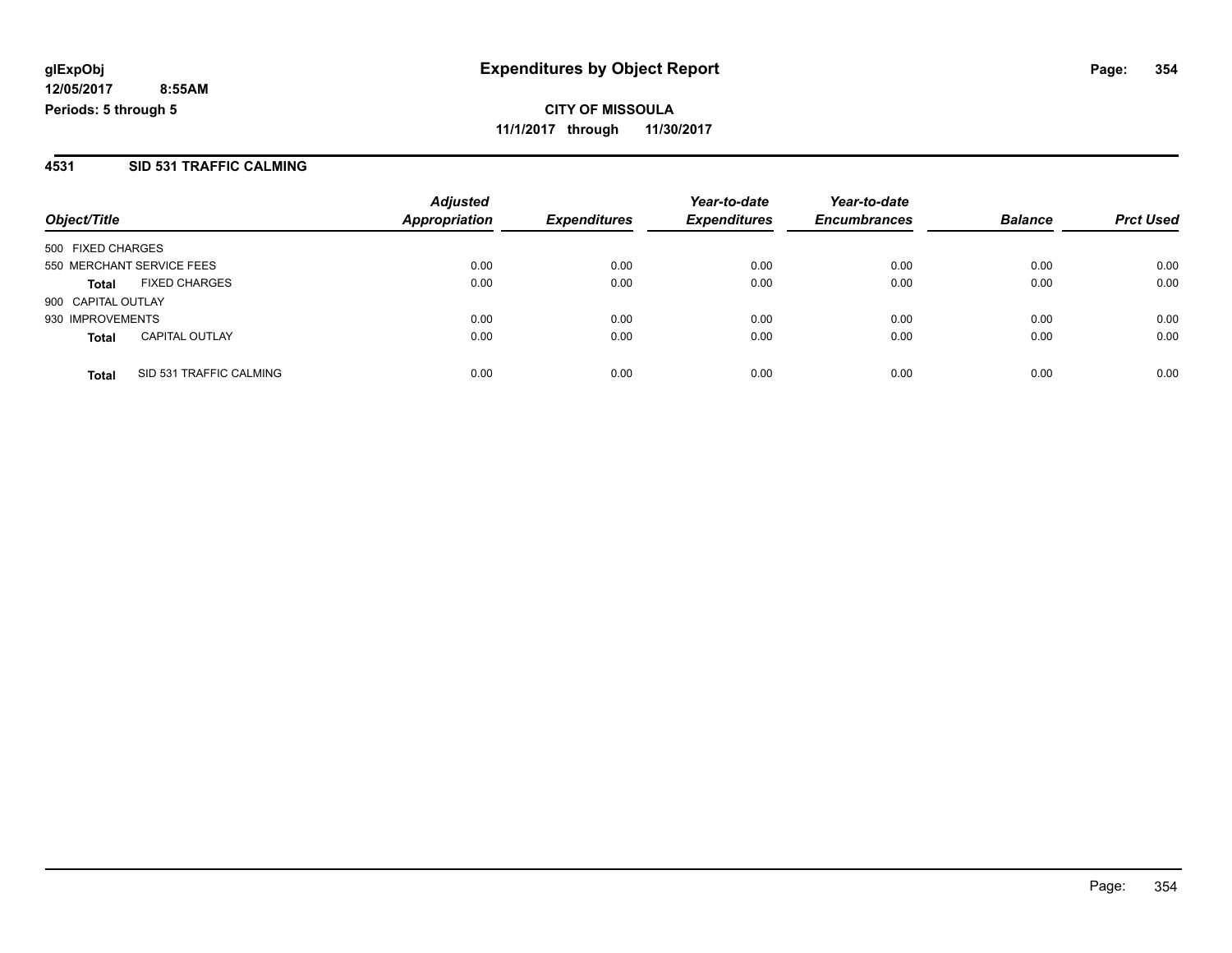**CITY OF MISSOULA 11/1/2017 through 11/30/2017**

### **4531 SID 531 TRAFFIC CALMING**

| Object/Title              |                         | <b>Adjusted</b>      |                     | Year-to-date        | Year-to-date        | <b>Balance</b> | <b>Prct Used</b> |
|---------------------------|-------------------------|----------------------|---------------------|---------------------|---------------------|----------------|------------------|
|                           |                         | <b>Appropriation</b> | <b>Expenditures</b> | <b>Expenditures</b> | <b>Encumbrances</b> |                |                  |
| 500 FIXED CHARGES         |                         |                      |                     |                     |                     |                |                  |
| 550 MERCHANT SERVICE FEES |                         | 0.00                 | 0.00                | 0.00                | 0.00                | 0.00           | 0.00             |
| <b>Total</b>              | <b>FIXED CHARGES</b>    | 0.00                 | 0.00                | 0.00                | 0.00                | 0.00           | 0.00             |
| 900 CAPITAL OUTLAY        |                         |                      |                     |                     |                     |                |                  |
| 930 IMPROVEMENTS          |                         | 0.00                 | 0.00                | 0.00                | 0.00                | 0.00           | 0.00             |
| <b>Total</b>              | <b>CAPITAL OUTLAY</b>   | 0.00                 | 0.00                | 0.00                | 0.00                | 0.00           | 0.00             |
| <b>Total</b>              | SID 531 TRAFFIC CALMING | 0.00                 | 0.00                | 0.00                | 0.00                | 0.00           | 0.00             |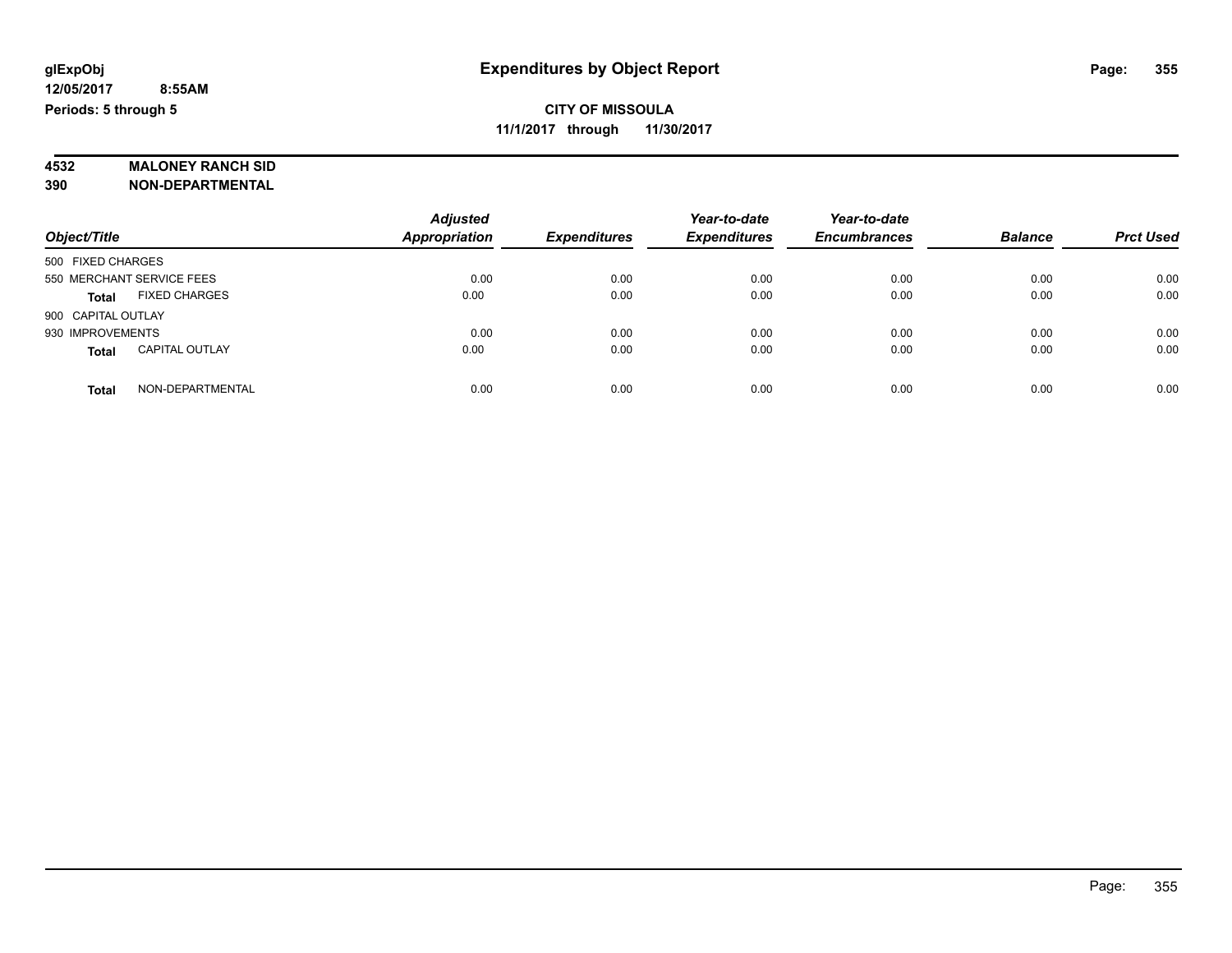# **4532 MALONEY RANCH SID**

**390 NON-DEPARTMENTAL**

| Object/Title                          | <b>Adjusted</b><br><b>Appropriation</b> | <b>Expenditures</b> | Year-to-date<br><b>Expenditures</b> | Year-to-date<br><b>Encumbrances</b> | <b>Balance</b> | <b>Prct Used</b> |
|---------------------------------------|-----------------------------------------|---------------------|-------------------------------------|-------------------------------------|----------------|------------------|
| 500 FIXED CHARGES                     |                                         |                     |                                     |                                     |                |                  |
| 550 MERCHANT SERVICE FEES             | 0.00                                    | 0.00                | 0.00                                | 0.00                                | 0.00           | 0.00             |
| <b>FIXED CHARGES</b><br><b>Total</b>  | 0.00                                    | 0.00                | 0.00                                | 0.00                                | 0.00           | 0.00             |
| 900 CAPITAL OUTLAY                    |                                         |                     |                                     |                                     |                |                  |
| 930 IMPROVEMENTS                      | 0.00                                    | 0.00                | 0.00                                | 0.00                                | 0.00           | 0.00             |
| <b>CAPITAL OUTLAY</b><br><b>Total</b> | 0.00                                    | 0.00                | 0.00                                | 0.00                                | 0.00           | 0.00             |
| NON-DEPARTMENTAL<br>Total             | 0.00                                    | 0.00                | 0.00                                | 0.00                                | 0.00           | 0.00             |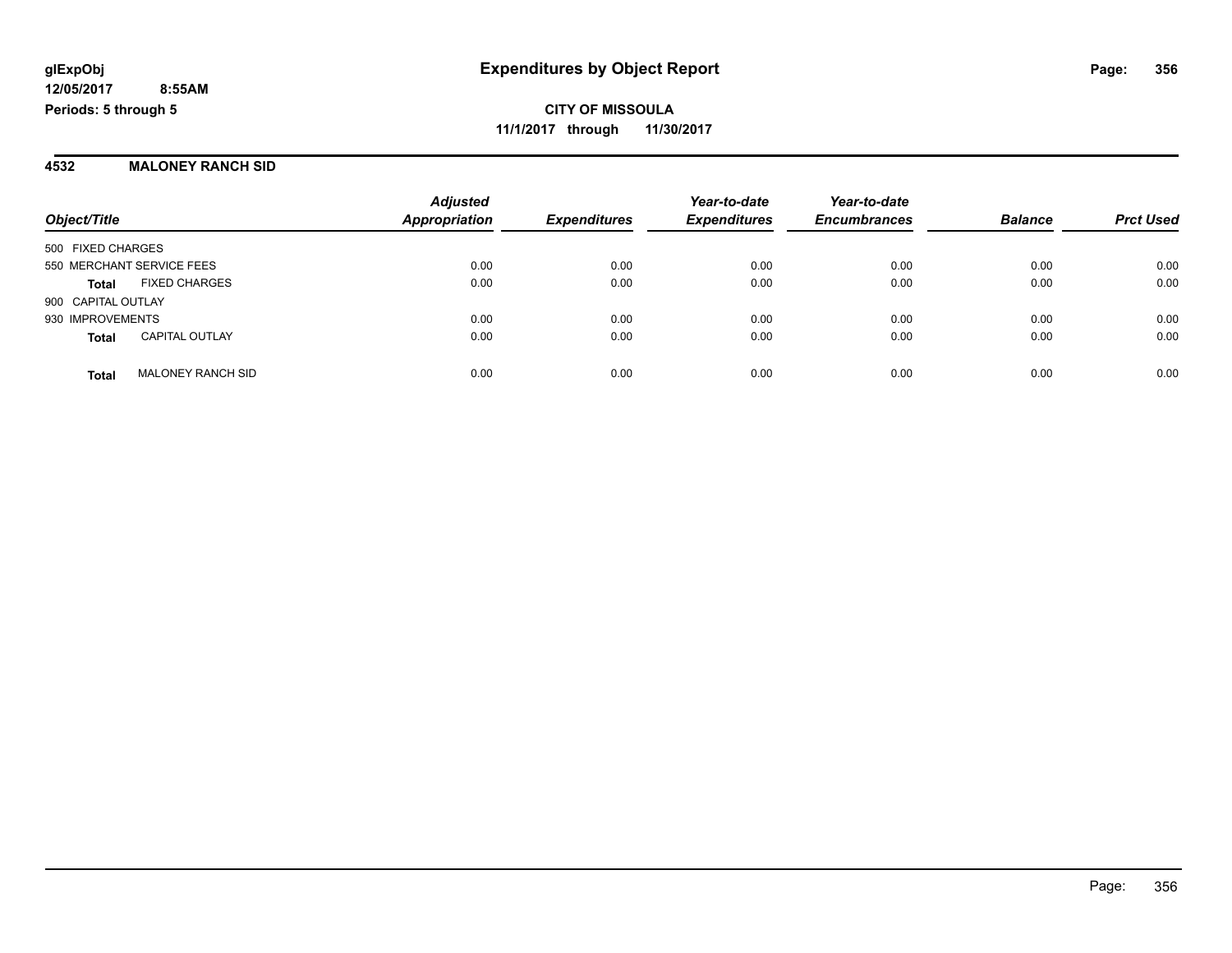#### **4532 MALONEY RANCH SID**

|                           |                          | <b>Adjusted</b>      |                     | Year-to-date        | Year-to-date<br><b>Encumbrances</b> | <b>Balance</b> | <b>Prct Used</b> |
|---------------------------|--------------------------|----------------------|---------------------|---------------------|-------------------------------------|----------------|------------------|
| Object/Title              |                          | <b>Appropriation</b> | <b>Expenditures</b> | <b>Expenditures</b> |                                     |                |                  |
| 500 FIXED CHARGES         |                          |                      |                     |                     |                                     |                |                  |
| 550 MERCHANT SERVICE FEES |                          | 0.00                 | 0.00                | 0.00                | 0.00                                | 0.00           | 0.00             |
| <b>Total</b>              | <b>FIXED CHARGES</b>     | 0.00                 | 0.00                | 0.00                | 0.00                                | 0.00           | 0.00             |
| 900 CAPITAL OUTLAY        |                          |                      |                     |                     |                                     |                |                  |
| 930 IMPROVEMENTS          |                          | 0.00                 | 0.00                | 0.00                | 0.00                                | 0.00           | 0.00             |
| <b>Total</b>              | <b>CAPITAL OUTLAY</b>    | 0.00                 | 0.00                | 0.00                | 0.00                                | 0.00           | 0.00             |
| <b>Total</b>              | <b>MALONEY RANCH SID</b> | 0.00                 | 0.00                | 0.00                | 0.00                                | 0.00           | 0.00             |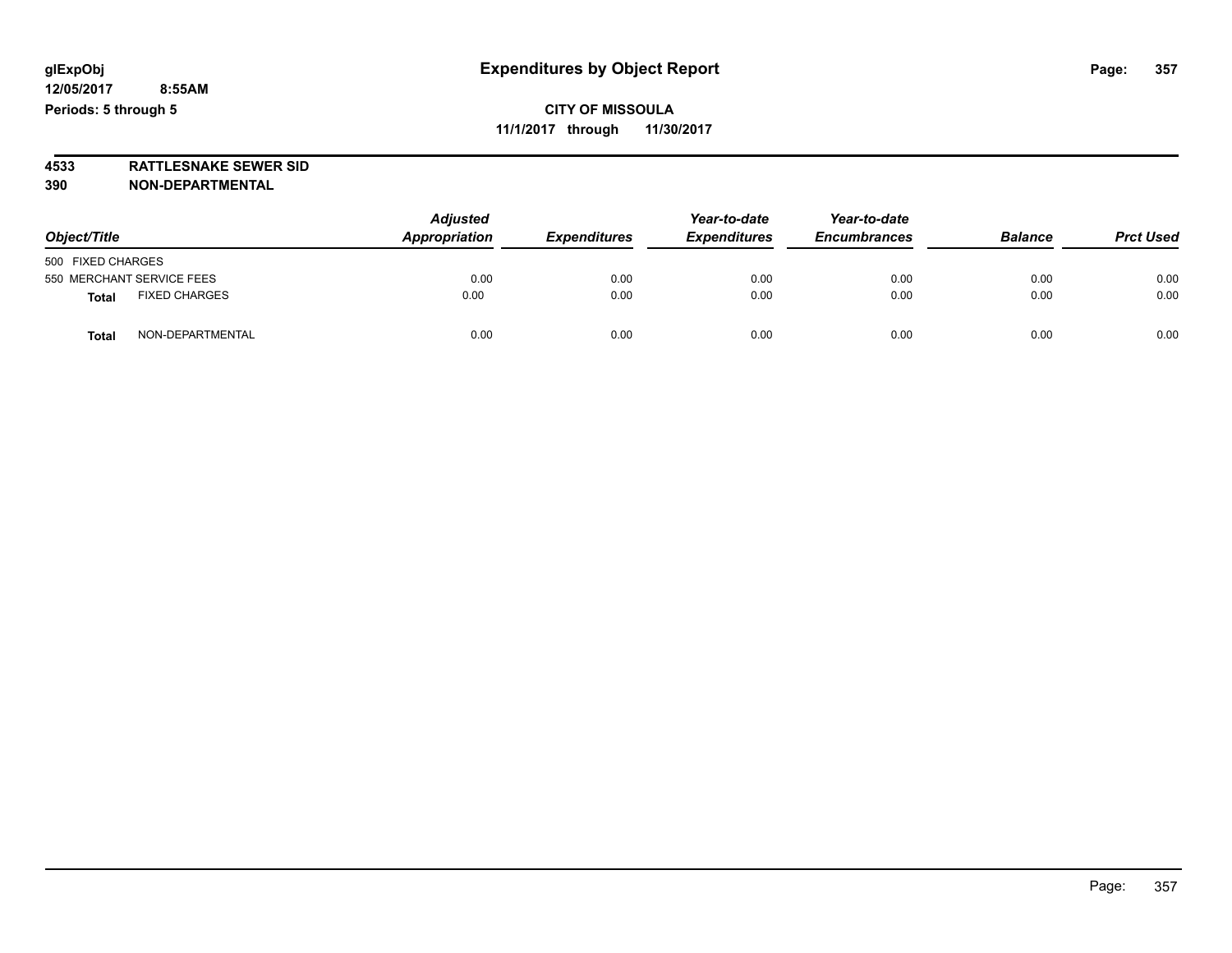**4533 RATTLESNAKE SEWER SID 390 NON-DEPARTMENTAL**

| Object/Title                         | <b>Adjusted</b><br>Appropriation | <b>Expenditures</b> | Year-to-date<br><b>Expenditures</b> | Year-to-date<br><b>Encumbrances</b> | <b>Balance</b> | <b>Prct Used</b> |
|--------------------------------------|----------------------------------|---------------------|-------------------------------------|-------------------------------------|----------------|------------------|
| 500 FIXED CHARGES                    |                                  |                     |                                     |                                     |                |                  |
| 550 MERCHANT SERVICE FEES            | 0.00                             | 0.00                | 0.00                                | 0.00                                | 0.00           | 0.00             |
| <b>FIXED CHARGES</b><br><b>Total</b> | 0.00                             | 0.00                | 0.00                                | 0.00                                | 0.00           | 0.00             |
| NON-DEPARTMENTAL<br><b>Total</b>     | 0.00                             | 0.00                | 0.00                                | 0.00                                | 0.00           | 0.00             |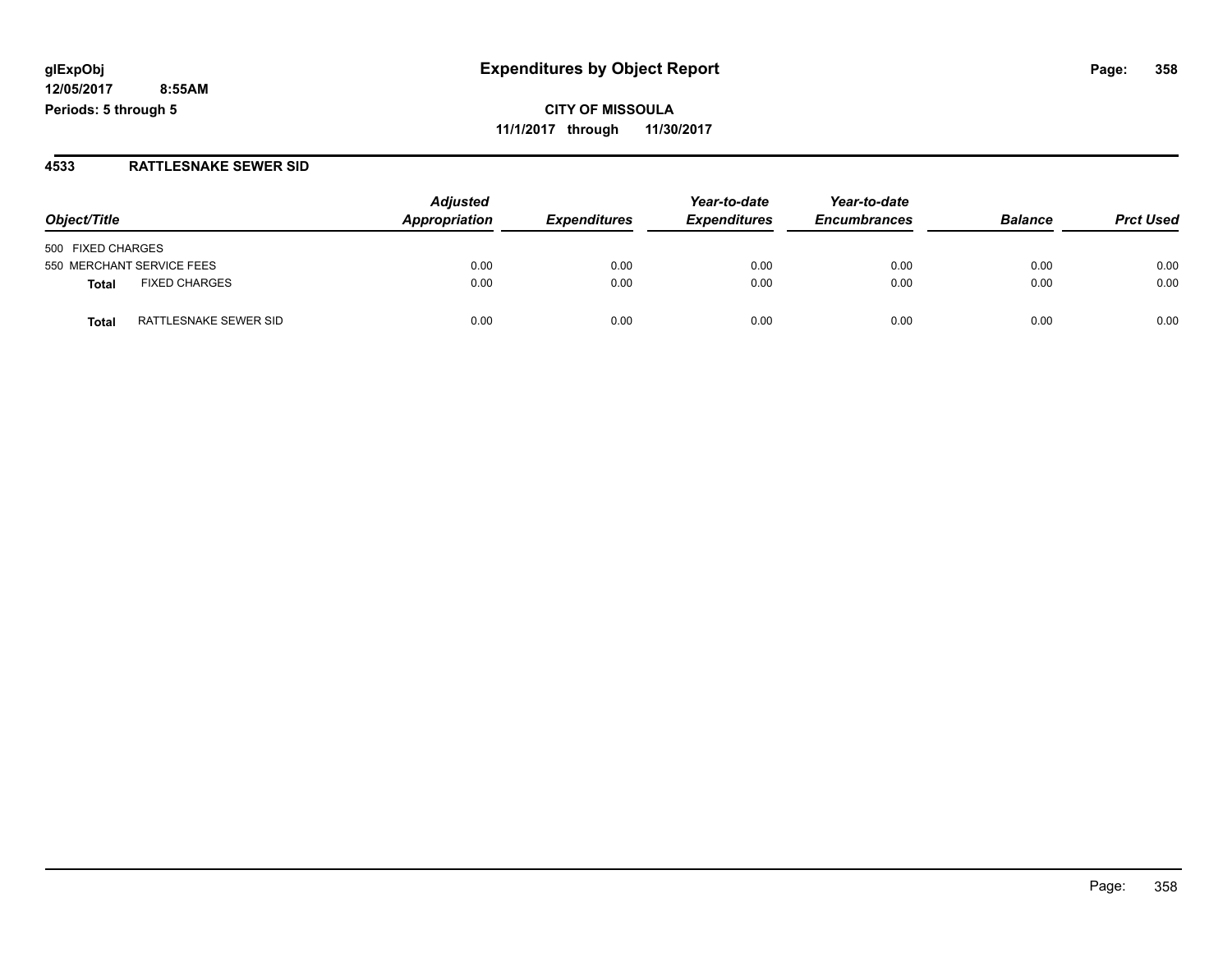**CITY OF MISSOULA 11/1/2017 through 11/30/2017**

#### **4533 RATTLESNAKE SEWER SID**

| Object/Title                   | <b>Adjusted</b><br>Appropriation | <b>Expenditures</b> | Year-to-date<br><b>Expenditures</b> | Year-to-date<br><b>Encumbrances</b> | <b>Balance</b> | <b>Prct Used</b> |
|--------------------------------|----------------------------------|---------------------|-------------------------------------|-------------------------------------|----------------|------------------|
|                                |                                  |                     |                                     |                                     |                |                  |
| 500 FIXED CHARGES              |                                  |                     |                                     |                                     |                |                  |
| 550 MERCHANT SERVICE FEES      | 0.00                             | 0.00                | 0.00                                | 0.00                                | 0.00           | 0.00             |
| <b>FIXED CHARGES</b><br>Total  | 0.00                             | 0.00                | 0.00                                | 0.00                                | 0.00           | 0.00             |
| RATTLESNAKE SEWER SID<br>Total | 0.00                             | 0.00                | 0.00                                | 0.00                                | 0.00           | 0.00             |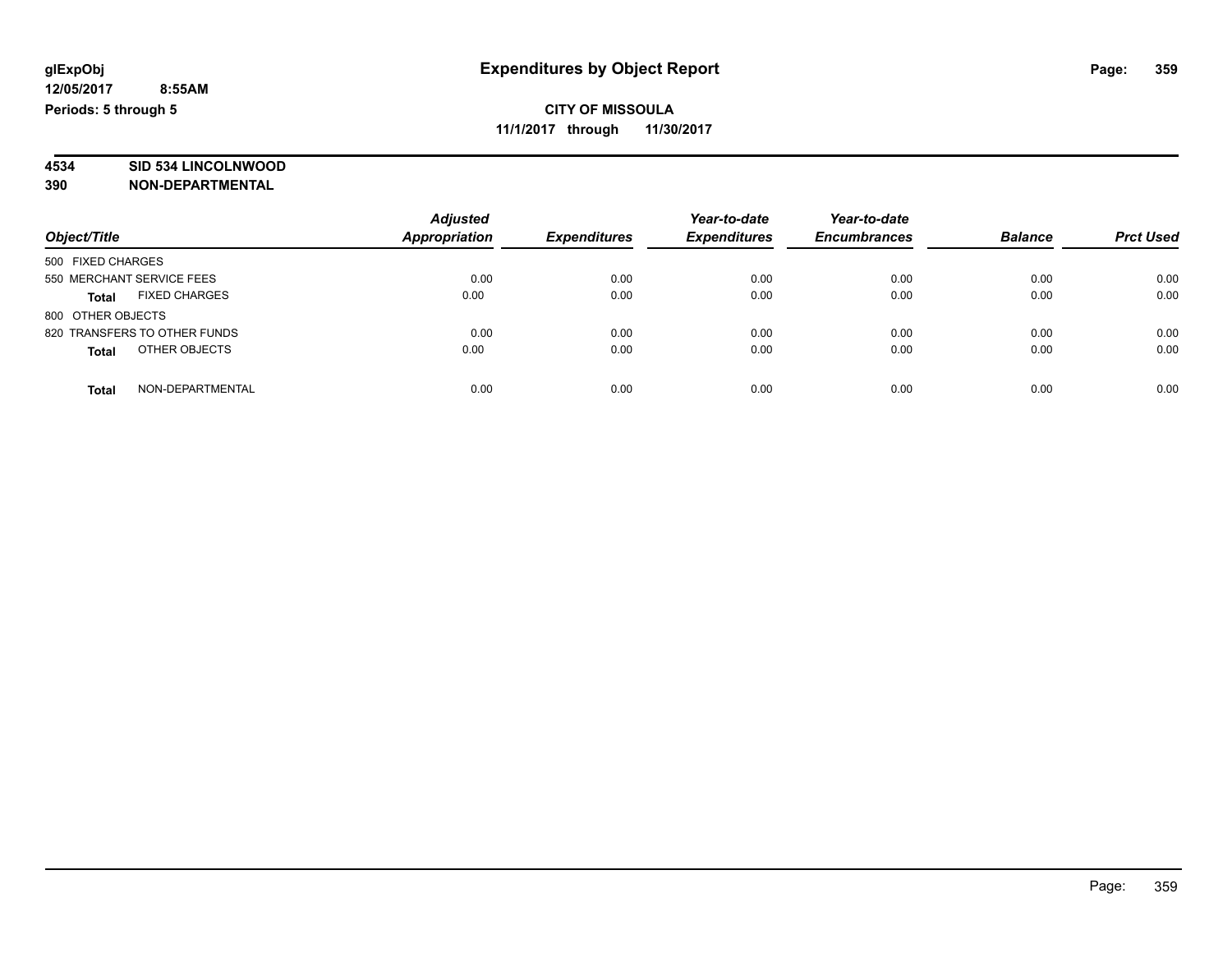# **4534 SID 534 LINCOLNWOOD**

**390 NON-DEPARTMENTAL**

|                                      | <b>Adjusted</b>      |                     | Year-to-date        | Year-to-date        |                |                  |
|--------------------------------------|----------------------|---------------------|---------------------|---------------------|----------------|------------------|
| Object/Title                         | <b>Appropriation</b> | <b>Expenditures</b> | <b>Expenditures</b> | <b>Encumbrances</b> | <b>Balance</b> | <b>Prct Used</b> |
| 500 FIXED CHARGES                    |                      |                     |                     |                     |                |                  |
| 550 MERCHANT SERVICE FEES            | 0.00                 | 0.00                | 0.00                | 0.00                | 0.00           | 0.00             |
| <b>FIXED CHARGES</b><br><b>Total</b> | 0.00                 | 0.00                | 0.00                | 0.00                | 0.00           | 0.00             |
| 800 OTHER OBJECTS                    |                      |                     |                     |                     |                |                  |
| 820 TRANSFERS TO OTHER FUNDS         | 0.00                 | 0.00                | 0.00                | 0.00                | 0.00           | 0.00             |
| OTHER OBJECTS<br><b>Total</b>        | 0.00                 | 0.00                | 0.00                | 0.00                | 0.00           | 0.00             |
| NON-DEPARTMENTAL<br>Total            | 0.00                 | 0.00                | 0.00                | 0.00                | 0.00           | 0.00             |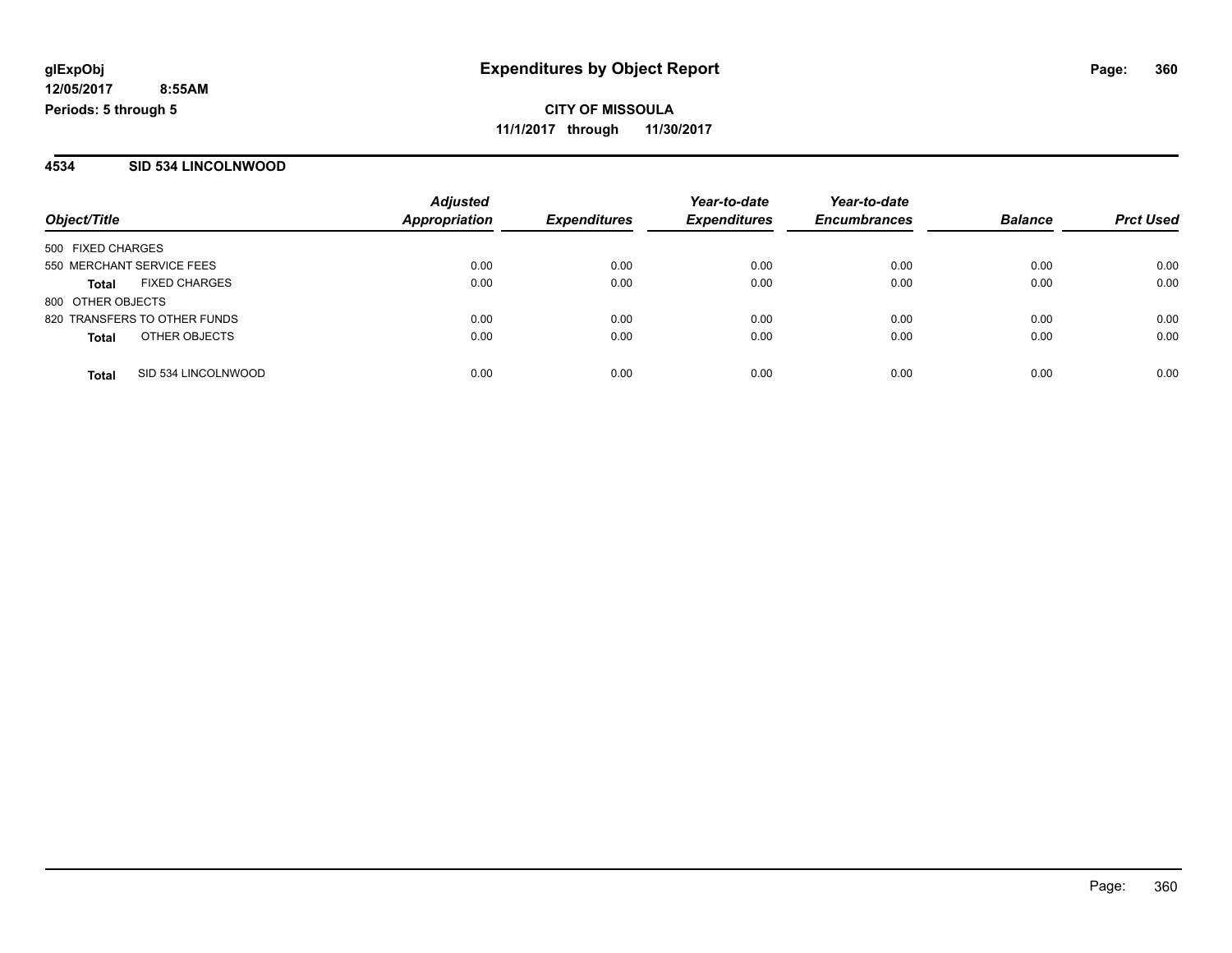### **4534 SID 534 LINCOLNWOOD**

| Object/Title              |                              | <b>Adjusted</b>      |                     | Year-to-date<br><b>Expenditures</b> | Year-to-date<br><b>Encumbrances</b> | <b>Balance</b> |                  |
|---------------------------|------------------------------|----------------------|---------------------|-------------------------------------|-------------------------------------|----------------|------------------|
|                           |                              | <b>Appropriation</b> | <b>Expenditures</b> |                                     |                                     |                | <b>Prct Used</b> |
| 500 FIXED CHARGES         |                              |                      |                     |                                     |                                     |                |                  |
| 550 MERCHANT SERVICE FEES |                              | 0.00                 | 0.00                | 0.00                                | 0.00                                | 0.00           | 0.00             |
| <b>Total</b>              | <b>FIXED CHARGES</b>         | 0.00                 | 0.00                | 0.00                                | 0.00                                | 0.00           | 0.00             |
| 800 OTHER OBJECTS         |                              |                      |                     |                                     |                                     |                |                  |
|                           | 820 TRANSFERS TO OTHER FUNDS | 0.00                 | 0.00                | 0.00                                | 0.00                                | 0.00           | 0.00             |
| <b>Total</b>              | OTHER OBJECTS                | 0.00                 | 0.00                | 0.00                                | 0.00                                | 0.00           | 0.00             |
| <b>Total</b>              | SID 534 LINCOLNWOOD          | 0.00                 | 0.00                | 0.00                                | 0.00                                | 0.00           | 0.00             |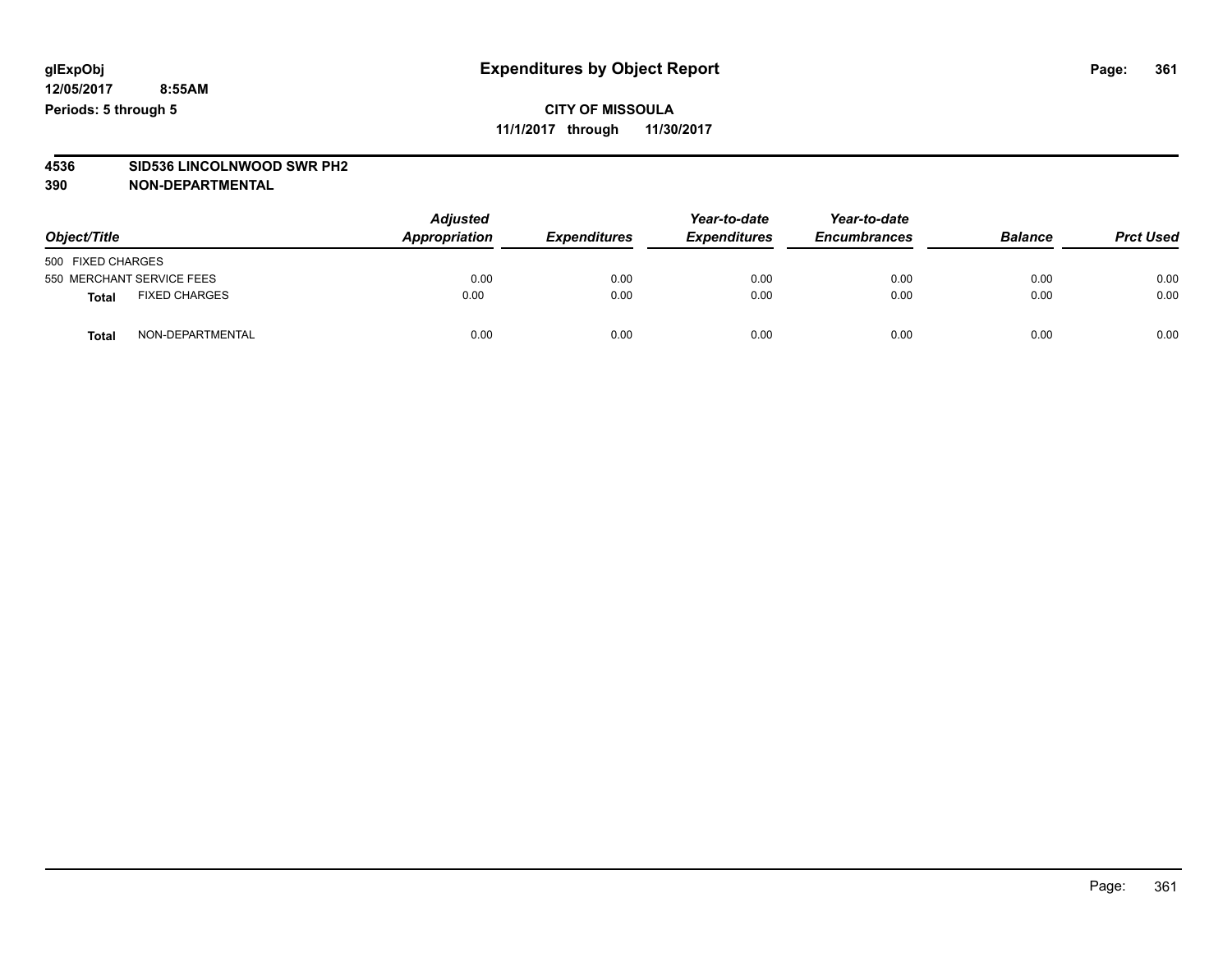## **CITY OF MISSOULA 11/1/2017 through 11/30/2017**

# **4536 SID536 LINCOLNWOOD SWR PH2**

| Object/Title              |                      | <b>Adjusted</b><br>Appropriation | <b>Expenditures</b> | Year-to-date<br><b>Expenditures</b> | Year-to-date<br><b>Encumbrances</b> | <b>Balance</b> | <b>Prct Used</b> |
|---------------------------|----------------------|----------------------------------|---------------------|-------------------------------------|-------------------------------------|----------------|------------------|
| 500 FIXED CHARGES         |                      |                                  |                     |                                     |                                     |                |                  |
| 550 MERCHANT SERVICE FEES |                      | 0.00                             | 0.00                | 0.00                                | 0.00                                | 0.00           | 0.00             |
| <b>Total</b>              | <b>FIXED CHARGES</b> | 0.00                             | 0.00                | 0.00                                | 0.00                                | 0.00           | 0.00             |
| <b>Total</b>              | NON-DEPARTMENTAL     | 0.00                             | 0.00                | 0.00                                | 0.00                                | 0.00           | 0.00             |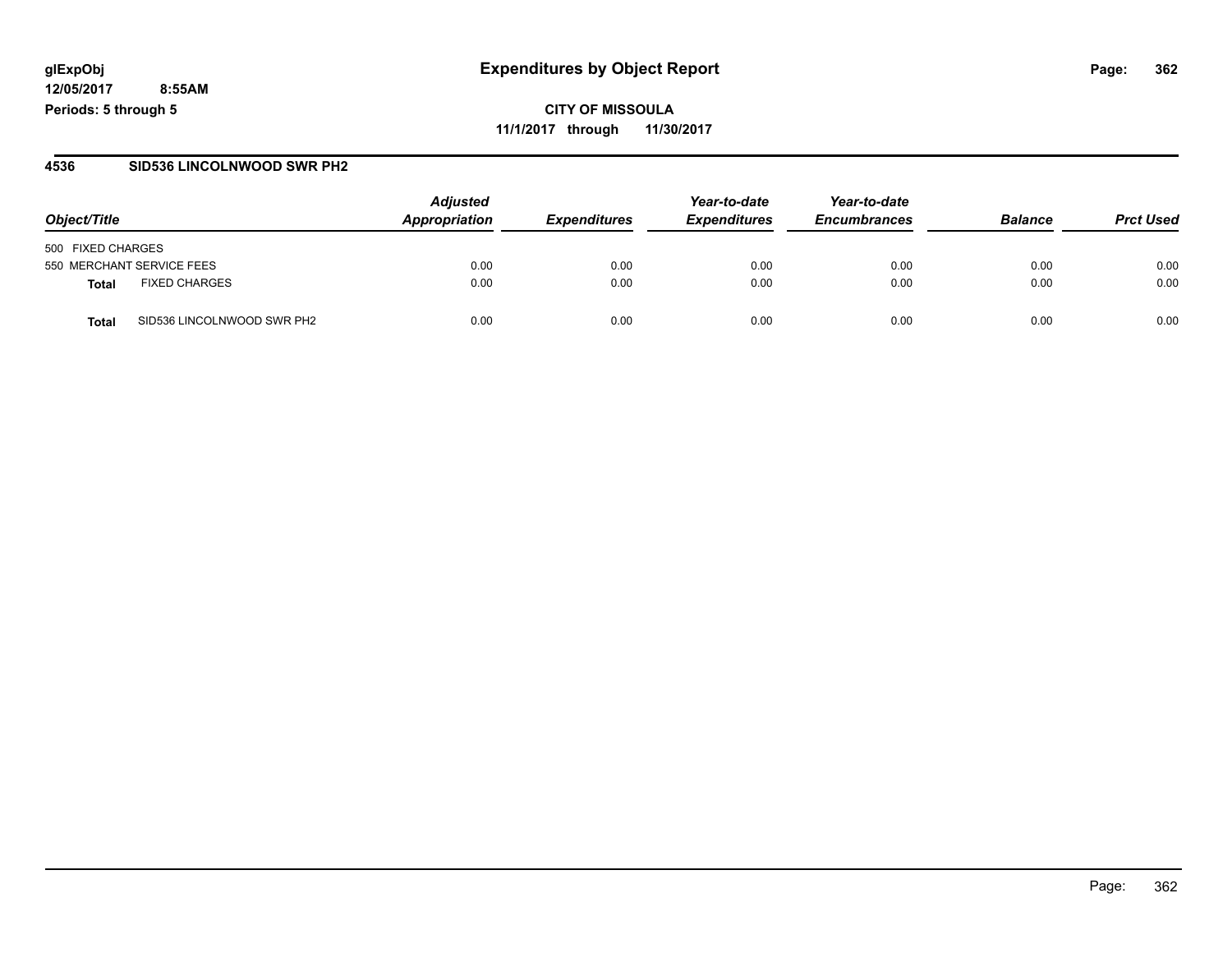**CITY OF MISSOULA 11/1/2017 through 11/30/2017**

### **4536 SID536 LINCOLNWOOD SWR PH2**

|                                      | <b>Adjusted</b> |                     | Year-to-date        | Year-to-date        |                |                  |
|--------------------------------------|-----------------|---------------------|---------------------|---------------------|----------------|------------------|
| Object/Title                         | Appropriation   | <b>Expenditures</b> | <b>Expenditures</b> | <b>Encumbrances</b> | <b>Balance</b> | <b>Prct Used</b> |
| 500 FIXED CHARGES                    |                 |                     |                     |                     |                |                  |
| 550 MERCHANT SERVICE FEES            | 0.00            | 0.00                | 0.00                | 0.00                | 0.00           | 0.00             |
| <b>FIXED CHARGES</b><br><b>Total</b> | 0.00            | 0.00                | 0.00                | 0.00                | 0.00           | 0.00             |
| SID536 LINCOLNWOOD SWR PH2<br>Total  | 0.00            | 0.00                | 0.00                | 0.00                | 0.00           | 0.00             |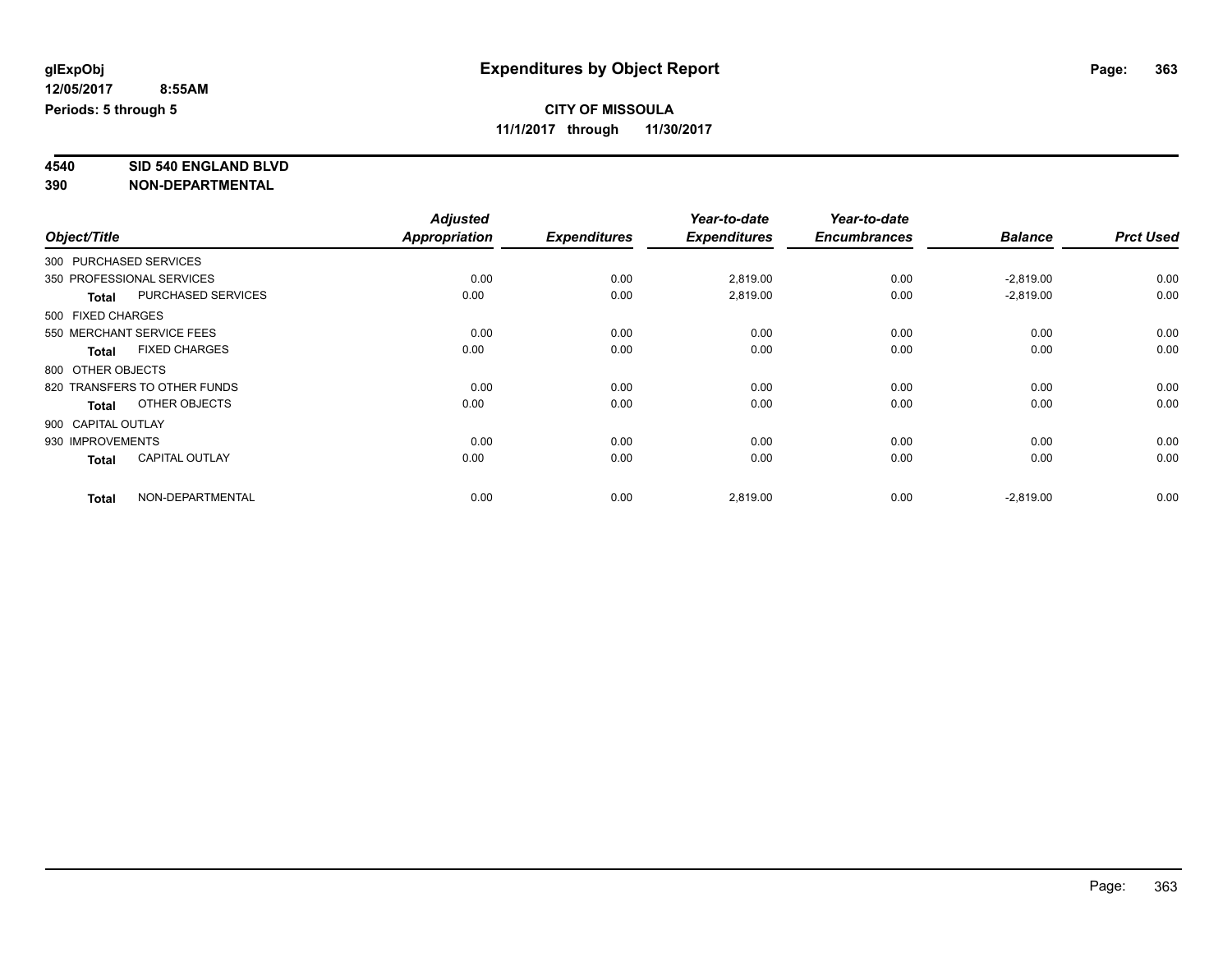**4540 SID 540 ENGLAND BLVD**

|                    |                              | <b>Adjusted</b>      |                     | Year-to-date        | Year-to-date        |                |                  |
|--------------------|------------------------------|----------------------|---------------------|---------------------|---------------------|----------------|------------------|
| Object/Title       |                              | <b>Appropriation</b> | <b>Expenditures</b> | <b>Expenditures</b> | <b>Encumbrances</b> | <b>Balance</b> | <b>Prct Used</b> |
|                    | 300 PURCHASED SERVICES       |                      |                     |                     |                     |                |                  |
|                    | 350 PROFESSIONAL SERVICES    | 0.00                 | 0.00                | 2,819.00            | 0.00                | $-2,819.00$    | 0.00             |
| <b>Total</b>       | PURCHASED SERVICES           | 0.00                 | 0.00                | 2,819.00            | 0.00                | $-2,819.00$    | 0.00             |
| 500 FIXED CHARGES  |                              |                      |                     |                     |                     |                |                  |
|                    | 550 MERCHANT SERVICE FEES    | 0.00                 | 0.00                | 0.00                | 0.00                | 0.00           | 0.00             |
| <b>Total</b>       | <b>FIXED CHARGES</b>         | 0.00                 | 0.00                | 0.00                | 0.00                | 0.00           | 0.00             |
| 800 OTHER OBJECTS  |                              |                      |                     |                     |                     |                |                  |
|                    | 820 TRANSFERS TO OTHER FUNDS | 0.00                 | 0.00                | 0.00                | 0.00                | 0.00           | 0.00             |
| <b>Total</b>       | OTHER OBJECTS                | 0.00                 | 0.00                | 0.00                | 0.00                | 0.00           | 0.00             |
| 900 CAPITAL OUTLAY |                              |                      |                     |                     |                     |                |                  |
| 930 IMPROVEMENTS   |                              | 0.00                 | 0.00                | 0.00                | 0.00                | 0.00           | 0.00             |
| <b>Total</b>       | <b>CAPITAL OUTLAY</b>        | 0.00                 | 0.00                | 0.00                | 0.00                | 0.00           | 0.00             |
| <b>Total</b>       | NON-DEPARTMENTAL             | 0.00                 | 0.00                | 2,819.00            | 0.00                | $-2,819.00$    | 0.00             |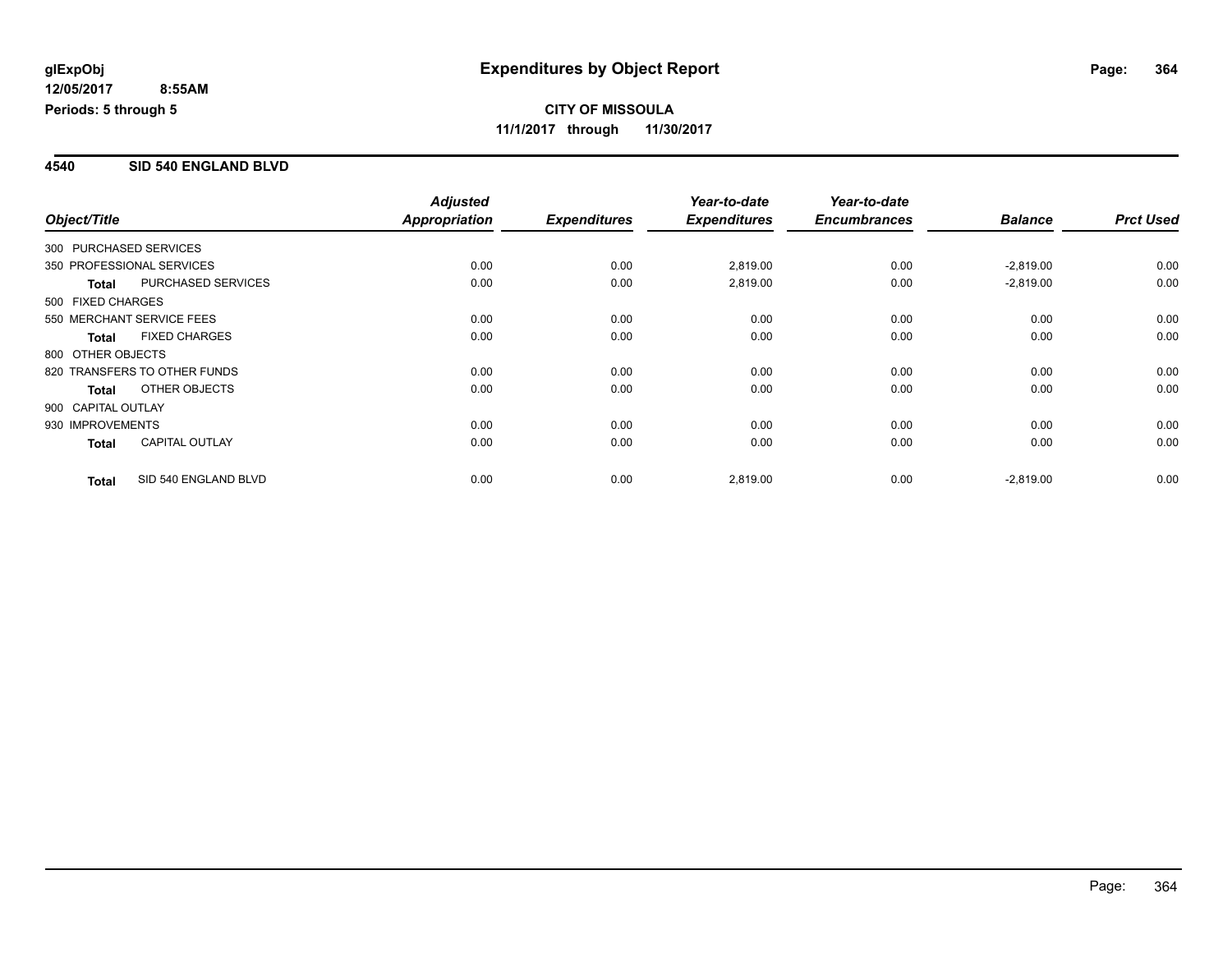### **4540 SID 540 ENGLAND BLVD**

|                        |                              | <b>Adjusted</b> |                     | Year-to-date        | Year-to-date        |                |                  |
|------------------------|------------------------------|-----------------|---------------------|---------------------|---------------------|----------------|------------------|
| Object/Title           |                              | Appropriation   | <b>Expenditures</b> | <b>Expenditures</b> | <b>Encumbrances</b> | <b>Balance</b> | <b>Prct Used</b> |
| 300 PURCHASED SERVICES |                              |                 |                     |                     |                     |                |                  |
|                        | 350 PROFESSIONAL SERVICES    | 0.00            | 0.00                | 2,819.00            | 0.00                | $-2,819.00$    | 0.00             |
| <b>Total</b>           | <b>PURCHASED SERVICES</b>    | 0.00            | 0.00                | 2,819.00            | 0.00                | $-2,819.00$    | 0.00             |
| 500 FIXED CHARGES      |                              |                 |                     |                     |                     |                |                  |
|                        | 550 MERCHANT SERVICE FEES    | 0.00            | 0.00                | 0.00                | 0.00                | 0.00           | 0.00             |
| <b>Total</b>           | <b>FIXED CHARGES</b>         | 0.00            | 0.00                | 0.00                | 0.00                | 0.00           | 0.00             |
| 800 OTHER OBJECTS      |                              |                 |                     |                     |                     |                |                  |
|                        | 820 TRANSFERS TO OTHER FUNDS | 0.00            | 0.00                | 0.00                | 0.00                | 0.00           | 0.00             |
| <b>Total</b>           | <b>OTHER OBJECTS</b>         | 0.00            | 0.00                | 0.00                | 0.00                | 0.00           | 0.00             |
| 900 CAPITAL OUTLAY     |                              |                 |                     |                     |                     |                |                  |
| 930 IMPROVEMENTS       |                              | 0.00            | 0.00                | 0.00                | 0.00                | 0.00           | 0.00             |
| <b>Total</b>           | <b>CAPITAL OUTLAY</b>        | 0.00            | 0.00                | 0.00                | 0.00                | 0.00           | 0.00             |
| <b>Total</b>           | SID 540 ENGLAND BLVD         | 0.00            | 0.00                | 2,819.00            | 0.00                | $-2,819.00$    | 0.00             |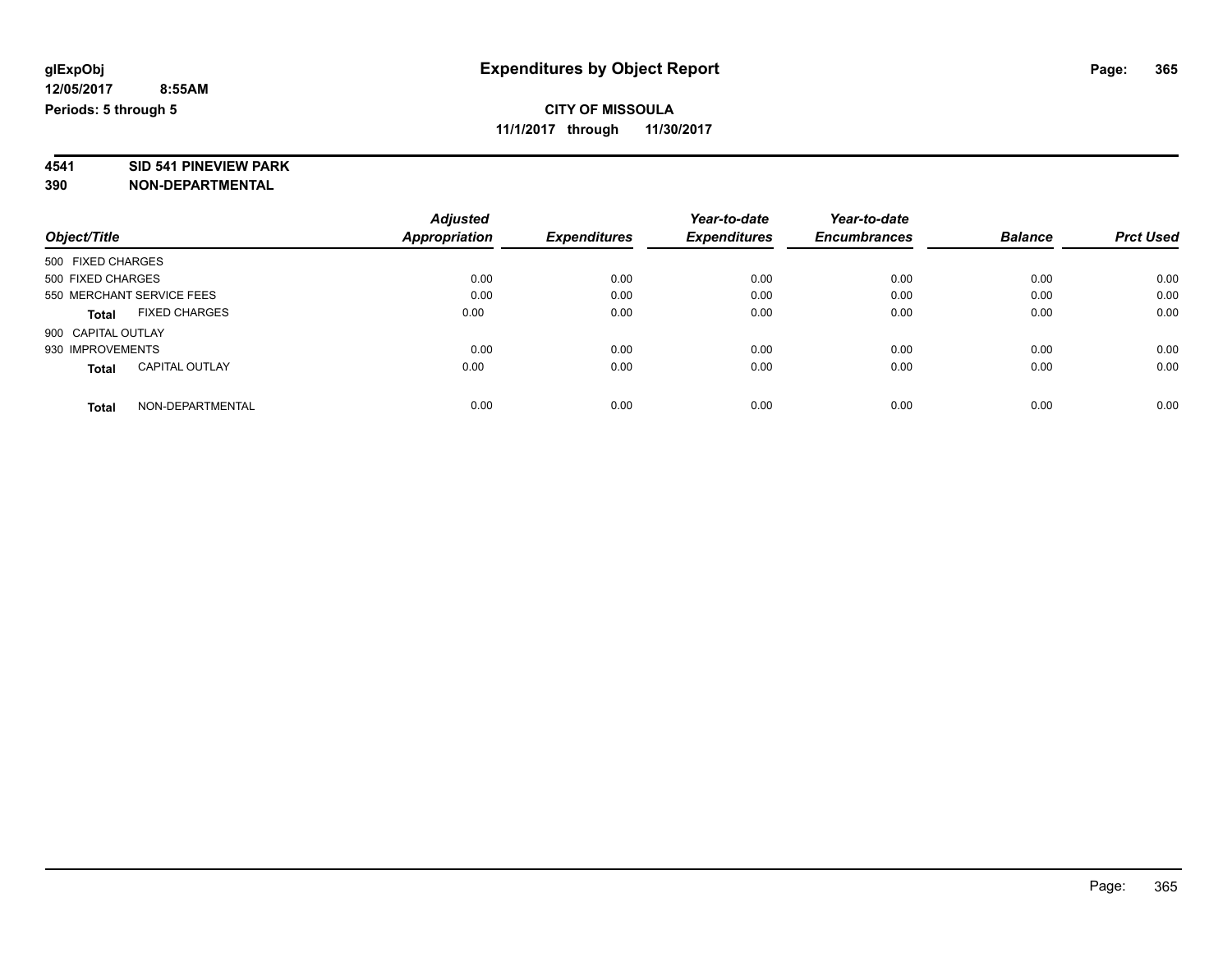# **4541 SID 541 PINEVIEW PARK**

|                                       | <b>Adjusted</b>      |                     | Year-to-date        | Year-to-date        |                |                  |
|---------------------------------------|----------------------|---------------------|---------------------|---------------------|----------------|------------------|
| Object/Title                          | <b>Appropriation</b> | <b>Expenditures</b> | <b>Expenditures</b> | <b>Encumbrances</b> | <b>Balance</b> | <b>Prct Used</b> |
| 500 FIXED CHARGES                     |                      |                     |                     |                     |                |                  |
| 500 FIXED CHARGES                     | 0.00                 | 0.00                | 0.00                | 0.00                | 0.00           | 0.00             |
| 550 MERCHANT SERVICE FEES             | 0.00                 | 0.00                | 0.00                | 0.00                | 0.00           | 0.00             |
| <b>FIXED CHARGES</b><br><b>Total</b>  | 0.00                 | 0.00                | 0.00                | 0.00                | 0.00           | 0.00             |
| 900 CAPITAL OUTLAY                    |                      |                     |                     |                     |                |                  |
| 930 IMPROVEMENTS                      | 0.00                 | 0.00                | 0.00                | 0.00                | 0.00           | 0.00             |
| <b>CAPITAL OUTLAY</b><br><b>Total</b> | 0.00                 | 0.00                | 0.00                | 0.00                | 0.00           | 0.00             |
| NON-DEPARTMENTAL<br><b>Total</b>      | 0.00                 | 0.00                | 0.00                | 0.00                | 0.00           | 0.00             |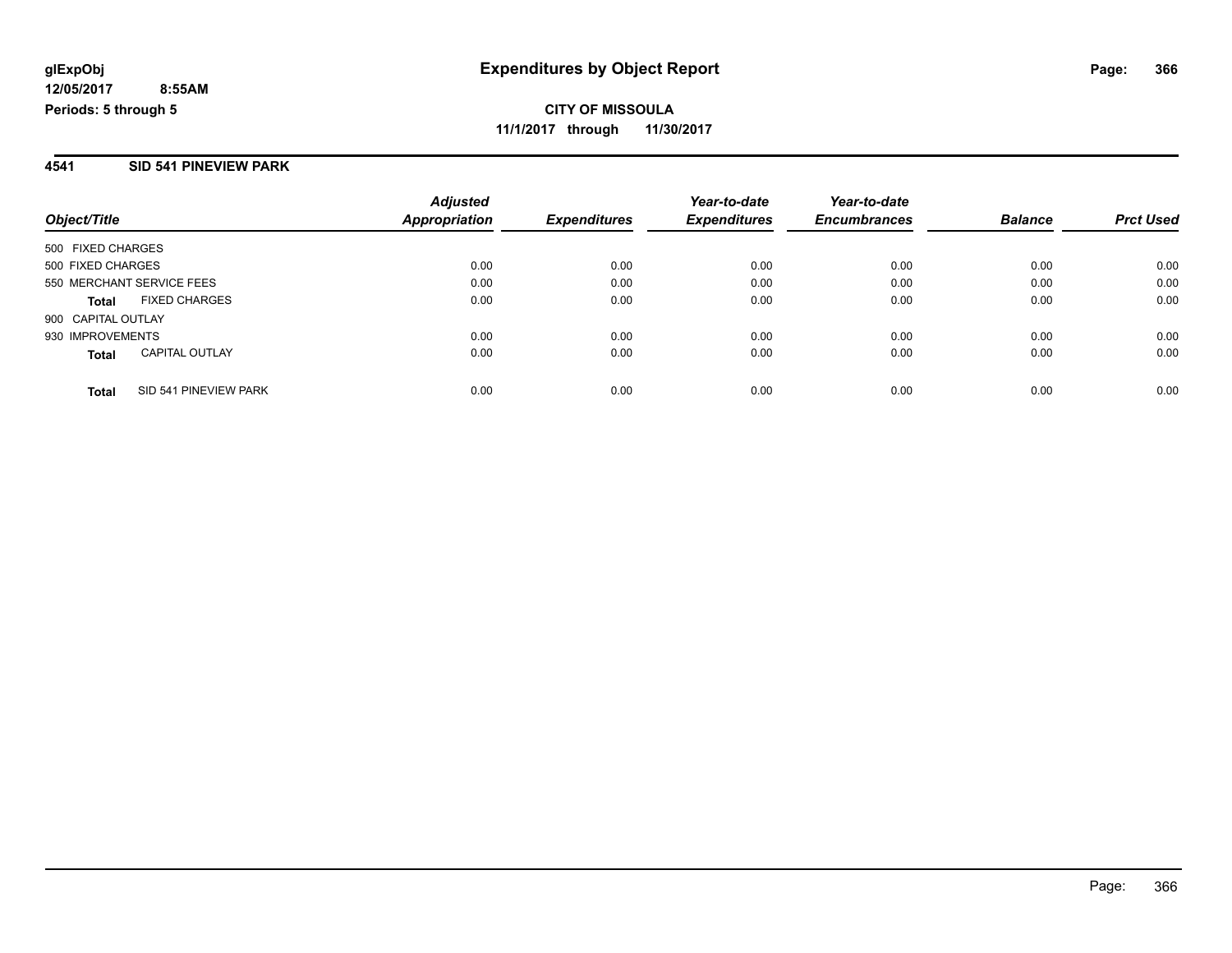### **4541 SID 541 PINEVIEW PARK**

| Object/Title                          | <b>Adjusted</b><br>Appropriation | <b>Expenditures</b> | Year-to-date<br><b>Expenditures</b> | Year-to-date<br><b>Encumbrances</b> | <b>Balance</b> | <b>Prct Used</b> |
|---------------------------------------|----------------------------------|---------------------|-------------------------------------|-------------------------------------|----------------|------------------|
| 500 FIXED CHARGES                     |                                  |                     |                                     |                                     |                |                  |
| 500 FIXED CHARGES                     | 0.00                             | 0.00                | 0.00                                | 0.00                                | 0.00           | 0.00             |
| 550 MERCHANT SERVICE FEES             | 0.00                             | 0.00                | 0.00                                | 0.00                                | 0.00           | 0.00             |
| <b>FIXED CHARGES</b><br><b>Total</b>  | 0.00                             | 0.00                | 0.00                                | 0.00                                | 0.00           | 0.00             |
| 900 CAPITAL OUTLAY                    |                                  |                     |                                     |                                     |                |                  |
| 930 IMPROVEMENTS                      | 0.00                             | 0.00                | 0.00                                | 0.00                                | 0.00           | 0.00             |
| <b>CAPITAL OUTLAY</b><br><b>Total</b> | 0.00                             | 0.00                | 0.00                                | 0.00                                | 0.00           | 0.00             |
| SID 541 PINEVIEW PARK<br><b>Total</b> | 0.00                             | 0.00                | 0.00                                | 0.00                                | 0.00           | 0.00             |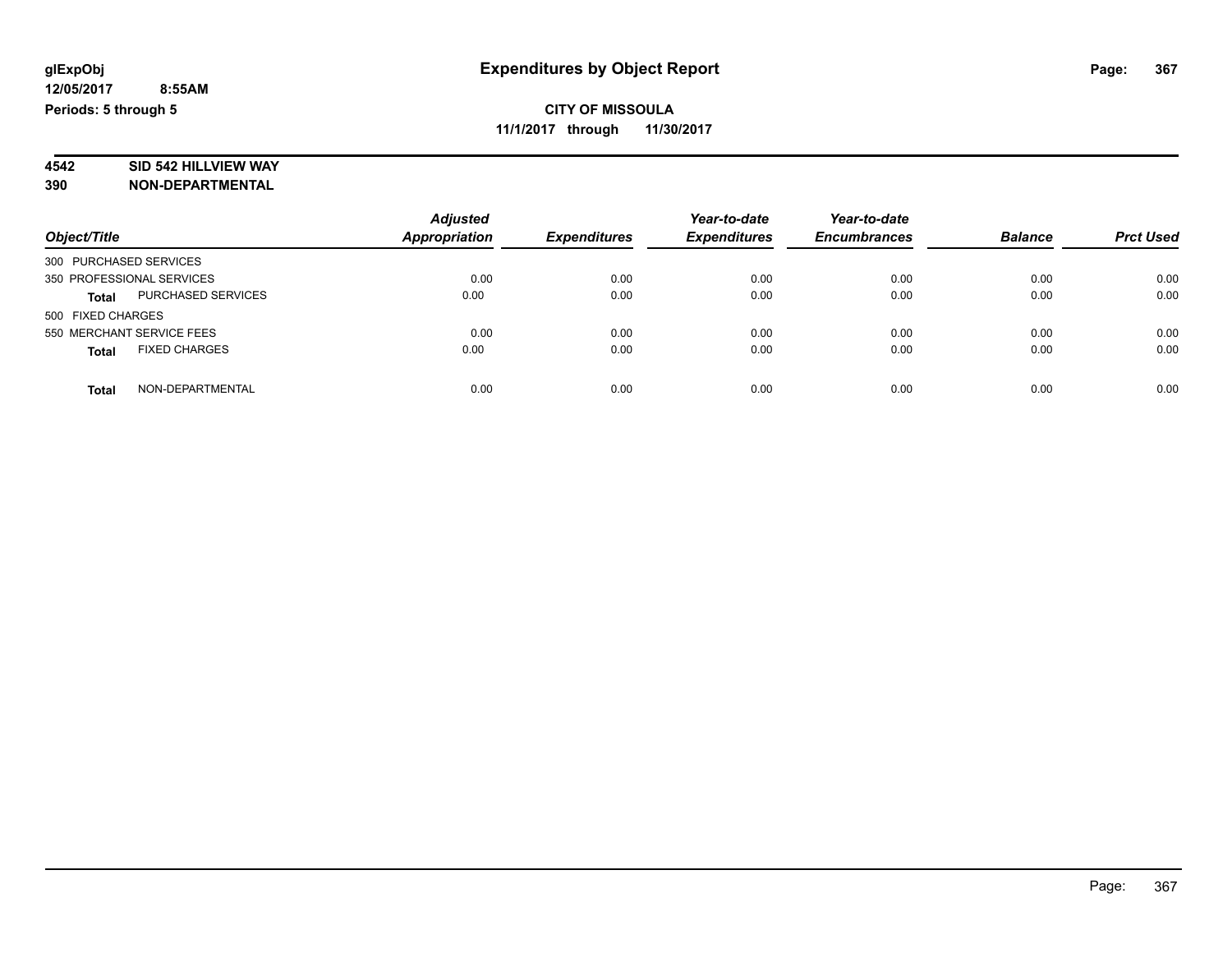# **4542 SID 542 HILLVIEW WAY**

|                                           | <b>Adjusted</b>      |                     | Year-to-date        | Year-to-date        |                |                  |
|-------------------------------------------|----------------------|---------------------|---------------------|---------------------|----------------|------------------|
| Object/Title                              | <b>Appropriation</b> | <b>Expenditures</b> | <b>Expenditures</b> | <b>Encumbrances</b> | <b>Balance</b> | <b>Prct Used</b> |
| 300 PURCHASED SERVICES                    |                      |                     |                     |                     |                |                  |
| 350 PROFESSIONAL SERVICES                 | 0.00                 | 0.00                | 0.00                | 0.00                | 0.00           | 0.00             |
| <b>PURCHASED SERVICES</b><br><b>Total</b> | 0.00                 | 0.00                | 0.00                | 0.00                | 0.00           | 0.00             |
| 500 FIXED CHARGES                         |                      |                     |                     |                     |                |                  |
| 550 MERCHANT SERVICE FEES                 | 0.00                 | 0.00                | 0.00                | 0.00                | 0.00           | 0.00             |
| <b>FIXED CHARGES</b><br><b>Total</b>      | 0.00                 | 0.00                | 0.00                | 0.00                | 0.00           | 0.00             |
| NON-DEPARTMENTAL<br><b>Total</b>          | 0.00                 | 0.00                | 0.00                | 0.00                | 0.00           | 0.00             |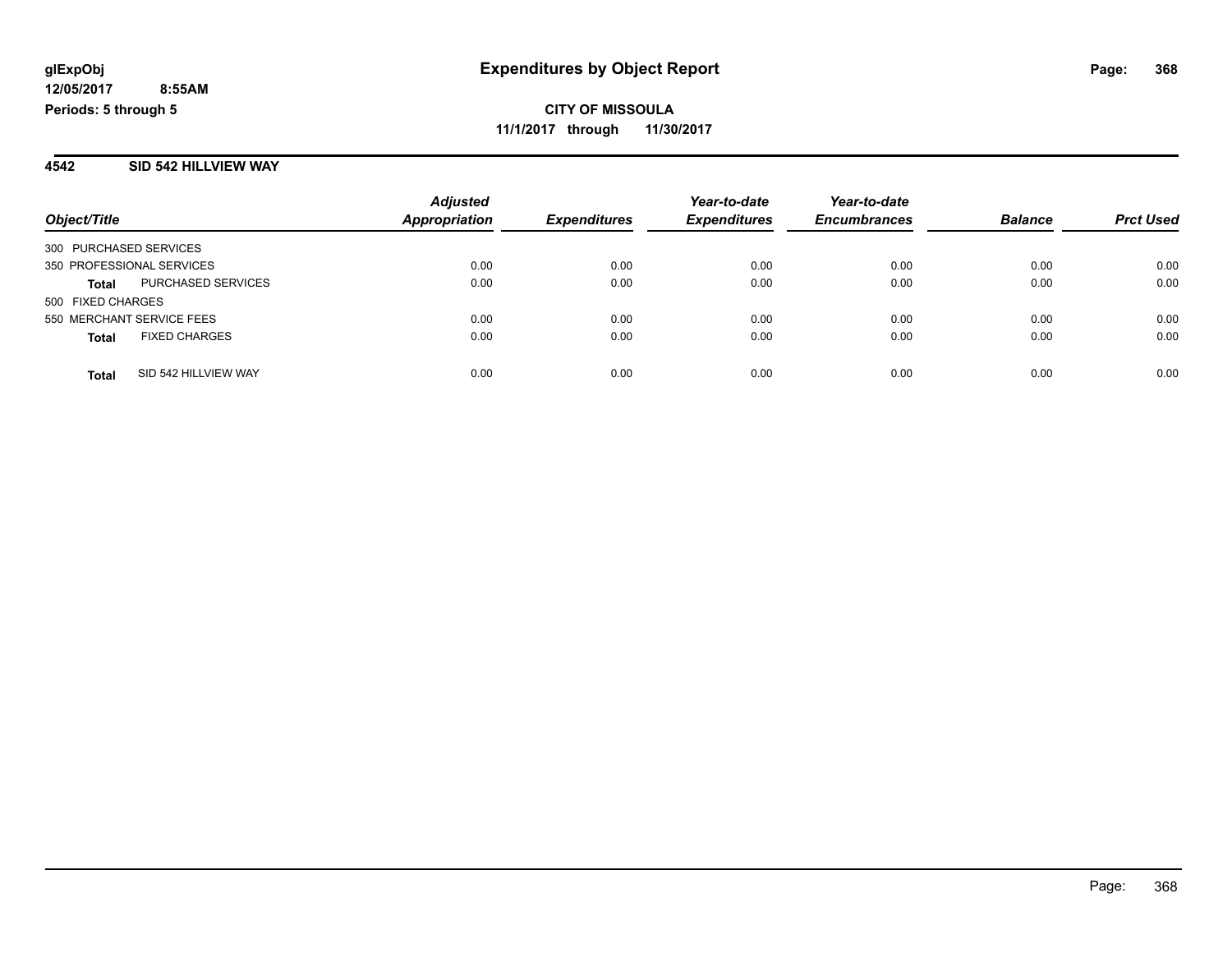### **4542 SID 542 HILLVIEW WAY**

|                           |                           | <b>Adjusted</b>      |                     | Year-to-date        | Year-to-date        |                |                  |
|---------------------------|---------------------------|----------------------|---------------------|---------------------|---------------------|----------------|------------------|
| Object/Title              |                           | <b>Appropriation</b> | <b>Expenditures</b> | <b>Expenditures</b> | <b>Encumbrances</b> | <b>Balance</b> | <b>Prct Used</b> |
| 300 PURCHASED SERVICES    |                           |                      |                     |                     |                     |                |                  |
| 350 PROFESSIONAL SERVICES |                           | 0.00                 | 0.00                | 0.00                | 0.00                | 0.00           | 0.00             |
| <b>Total</b>              | <b>PURCHASED SERVICES</b> | 0.00                 | 0.00                | 0.00                | 0.00                | 0.00           | 0.00             |
| 500 FIXED CHARGES         |                           |                      |                     |                     |                     |                |                  |
| 550 MERCHANT SERVICE FEES |                           | 0.00                 | 0.00                | 0.00                | 0.00                | 0.00           | 0.00             |
| <b>Total</b>              | <b>FIXED CHARGES</b>      | 0.00                 | 0.00                | 0.00                | 0.00                | 0.00           | 0.00             |
| <b>Total</b>              | SID 542 HILLVIEW WAY      | 0.00                 | 0.00                | 0.00                | 0.00                | 0.00           | 0.00             |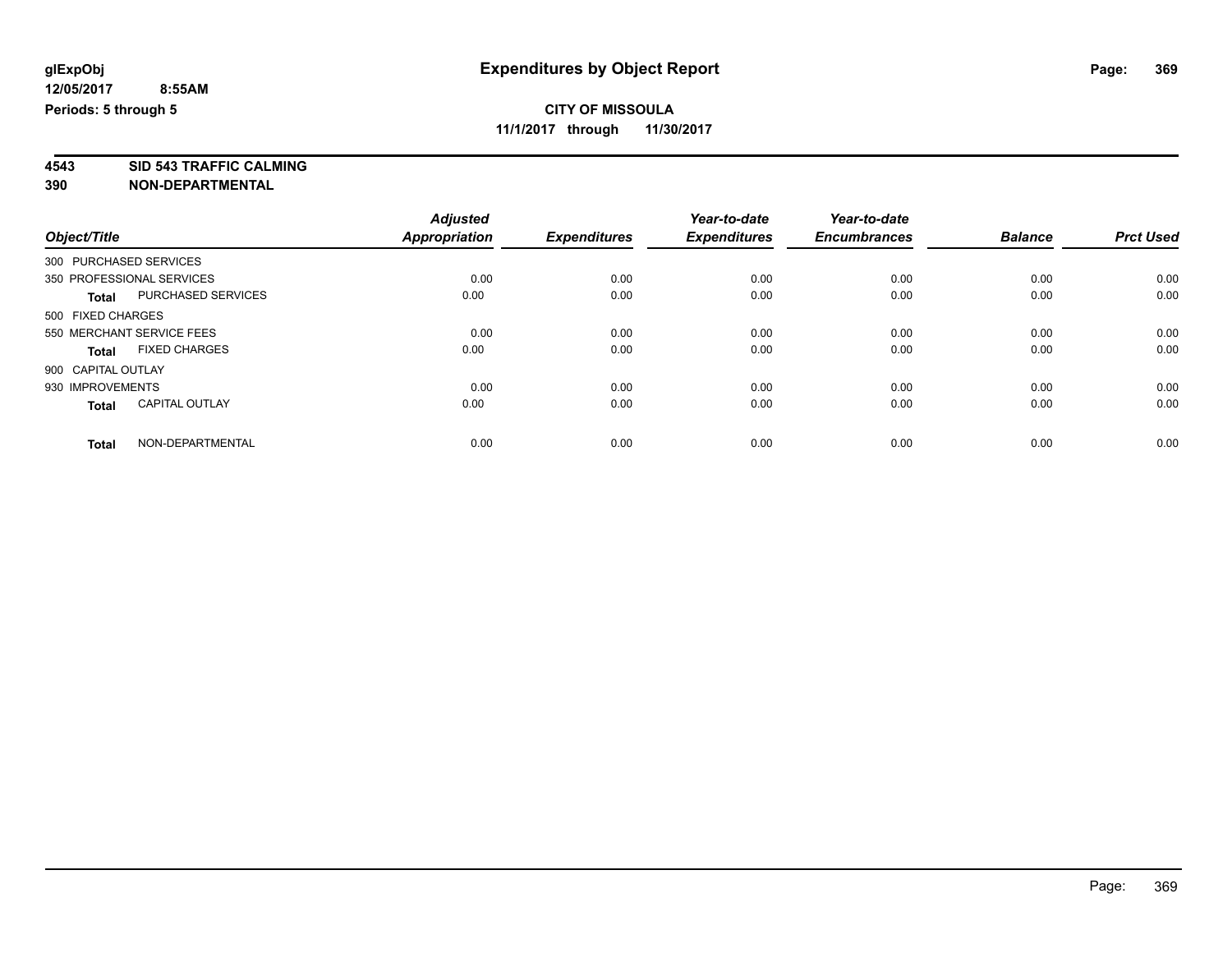**4543 SID 543 TRAFFIC CALMING 390 NON-DEPARTMENTAL**

|                        |                           | <b>Adjusted</b>      |                     | Year-to-date        | Year-to-date        |                |                  |
|------------------------|---------------------------|----------------------|---------------------|---------------------|---------------------|----------------|------------------|
| Object/Title           |                           | <b>Appropriation</b> | <b>Expenditures</b> | <b>Expenditures</b> | <b>Encumbrances</b> | <b>Balance</b> | <b>Prct Used</b> |
| 300 PURCHASED SERVICES |                           |                      |                     |                     |                     |                |                  |
|                        | 350 PROFESSIONAL SERVICES | 0.00                 | 0.00                | 0.00                | 0.00                | 0.00           | 0.00             |
| <b>Total</b>           | PURCHASED SERVICES        | 0.00                 | 0.00                | 0.00                | 0.00                | 0.00           | 0.00             |
| 500 FIXED CHARGES      |                           |                      |                     |                     |                     |                |                  |
|                        | 550 MERCHANT SERVICE FEES | 0.00                 | 0.00                | 0.00                | 0.00                | 0.00           | 0.00             |
| <b>Total</b>           | <b>FIXED CHARGES</b>      | 0.00                 | 0.00                | 0.00                | 0.00                | 0.00           | 0.00             |
| 900 CAPITAL OUTLAY     |                           |                      |                     |                     |                     |                |                  |
| 930 IMPROVEMENTS       |                           | 0.00                 | 0.00                | 0.00                | 0.00                | 0.00           | 0.00             |
| <b>Total</b>           | <b>CAPITAL OUTLAY</b>     | 0.00                 | 0.00                | 0.00                | 0.00                | 0.00           | 0.00             |
| <b>Total</b>           | NON-DEPARTMENTAL          | 0.00                 | 0.00                | 0.00                | 0.00                | 0.00           | 0.00             |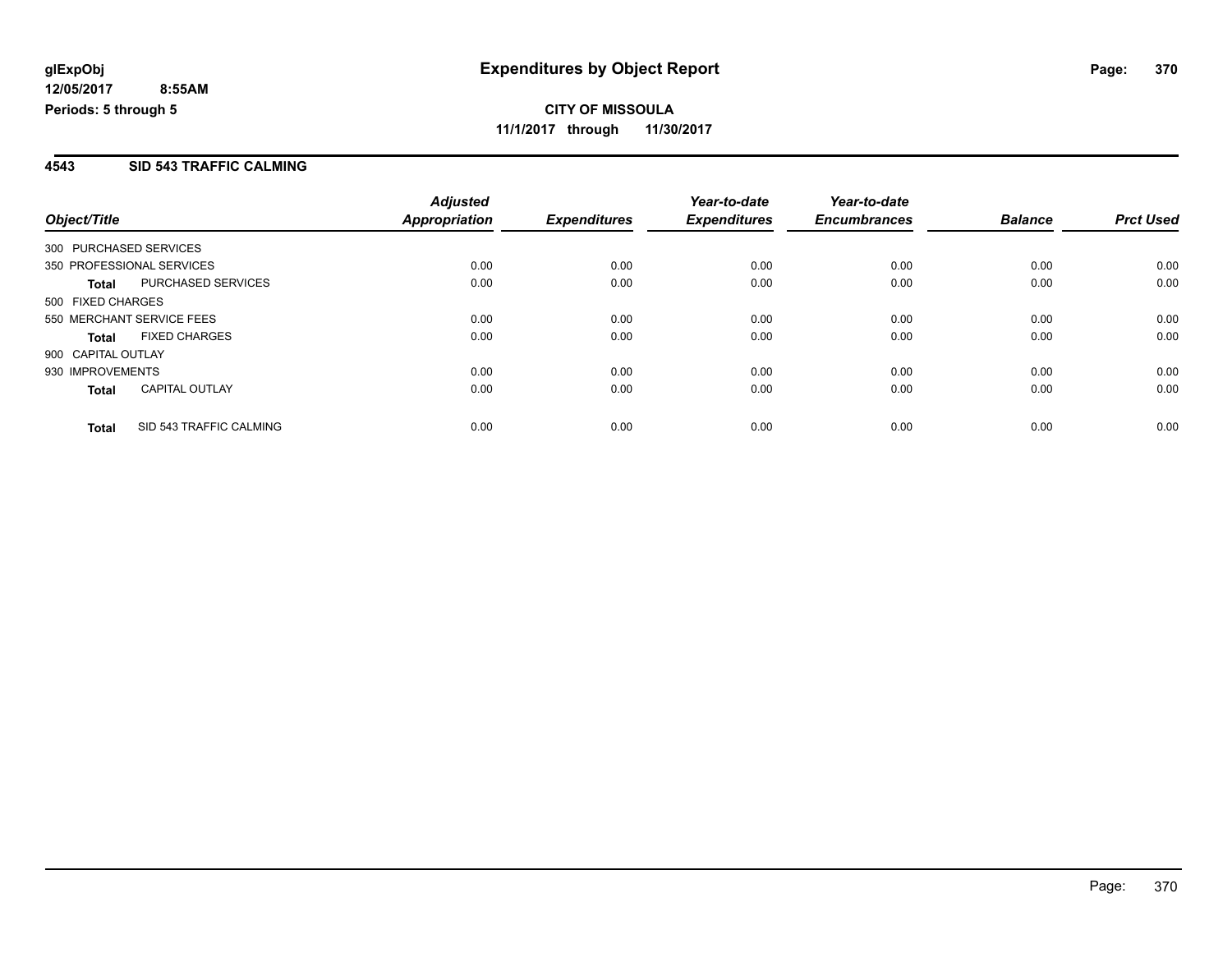### **4543 SID 543 TRAFFIC CALMING**

|                           |                         | <b>Adjusted</b> |                     | Year-to-date        | Year-to-date        |                |                  |
|---------------------------|-------------------------|-----------------|---------------------|---------------------|---------------------|----------------|------------------|
| Object/Title              |                         | Appropriation   | <b>Expenditures</b> | <b>Expenditures</b> | <b>Encumbrances</b> | <b>Balance</b> | <b>Prct Used</b> |
| 300 PURCHASED SERVICES    |                         |                 |                     |                     |                     |                |                  |
| 350 PROFESSIONAL SERVICES |                         | 0.00            | 0.00                | 0.00                | 0.00                | 0.00           | 0.00             |
| <b>Total</b>              | PURCHASED SERVICES      | 0.00            | 0.00                | 0.00                | 0.00                | 0.00           | 0.00             |
| 500 FIXED CHARGES         |                         |                 |                     |                     |                     |                |                  |
| 550 MERCHANT SERVICE FEES |                         | 0.00            | 0.00                | 0.00                | 0.00                | 0.00           | 0.00             |
| <b>Total</b>              | <b>FIXED CHARGES</b>    | 0.00            | 0.00                | 0.00                | 0.00                | 0.00           | 0.00             |
| 900 CAPITAL OUTLAY        |                         |                 |                     |                     |                     |                |                  |
| 930 IMPROVEMENTS          |                         | 0.00            | 0.00                | 0.00                | 0.00                | 0.00           | 0.00             |
| <b>Total</b>              | <b>CAPITAL OUTLAY</b>   | 0.00            | 0.00                | 0.00                | 0.00                | 0.00           | 0.00             |
| <b>Total</b>              | SID 543 TRAFFIC CALMING | 0.00            | 0.00                | 0.00                | 0.00                | 0.00           | 0.00             |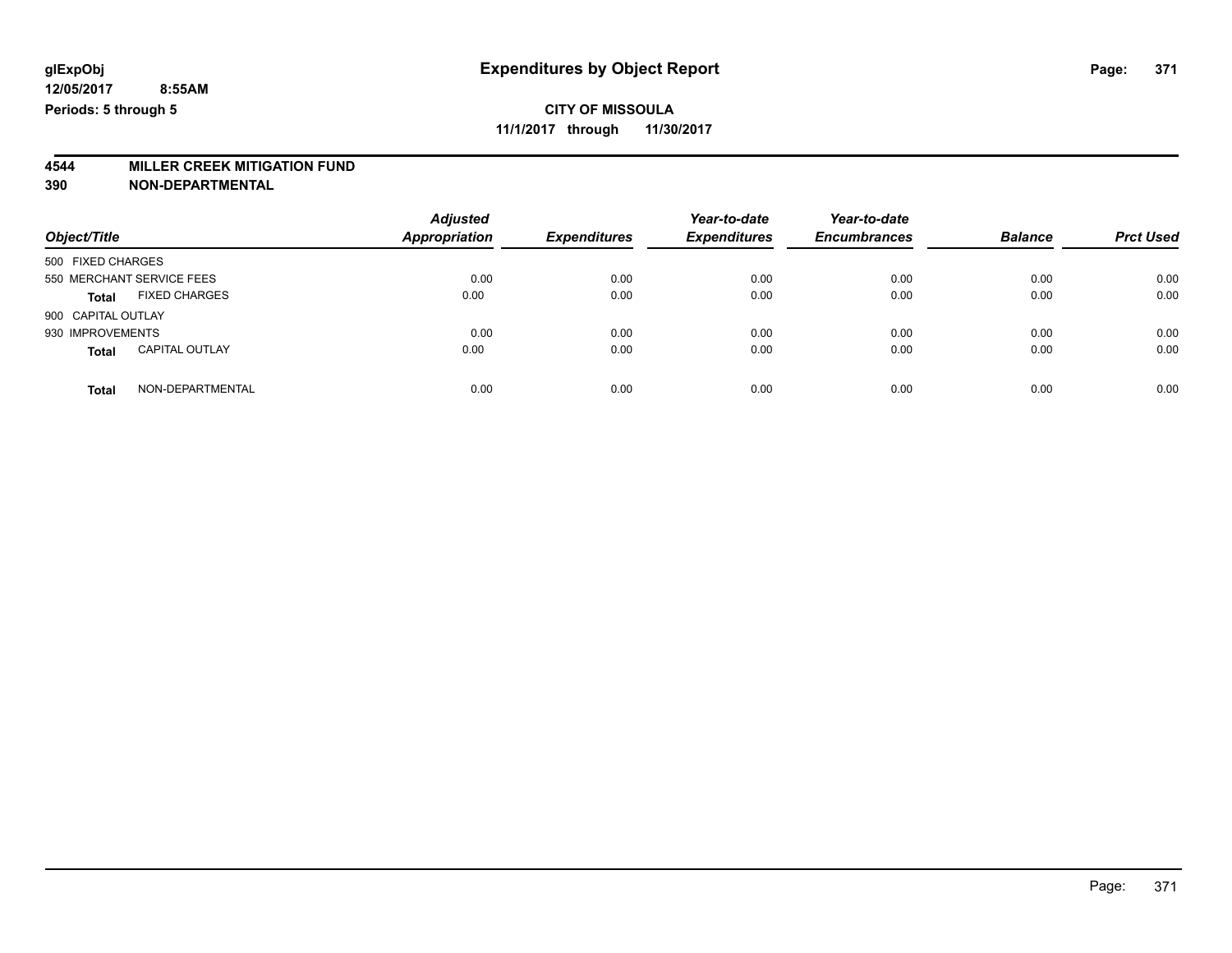# **4544 MILLER CREEK MITIGATION FUND**

| Object/Title                          | <b>Adjusted</b><br>Appropriation | <b>Expenditures</b> | Year-to-date<br><b>Expenditures</b> | Year-to-date<br><b>Encumbrances</b> | <b>Balance</b> | <b>Prct Used</b> |
|---------------------------------------|----------------------------------|---------------------|-------------------------------------|-------------------------------------|----------------|------------------|
| 500 FIXED CHARGES                     |                                  |                     |                                     |                                     |                |                  |
| 550 MERCHANT SERVICE FEES             | 0.00                             | 0.00                | 0.00                                | 0.00                                | 0.00           | 0.00             |
| <b>FIXED CHARGES</b><br><b>Total</b>  | 0.00                             | 0.00                | 0.00                                | 0.00                                | 0.00           | 0.00             |
| 900 CAPITAL OUTLAY                    |                                  |                     |                                     |                                     |                |                  |
| 930 IMPROVEMENTS                      | 0.00                             | 0.00                | 0.00                                | 0.00                                | 0.00           | 0.00             |
| <b>CAPITAL OUTLAY</b><br><b>Total</b> | 0.00                             | 0.00                | 0.00                                | 0.00                                | 0.00           | 0.00             |
| NON-DEPARTMENTAL<br><b>Total</b>      | 0.00                             | 0.00                | 0.00                                | 0.00                                | 0.00           | 0.00             |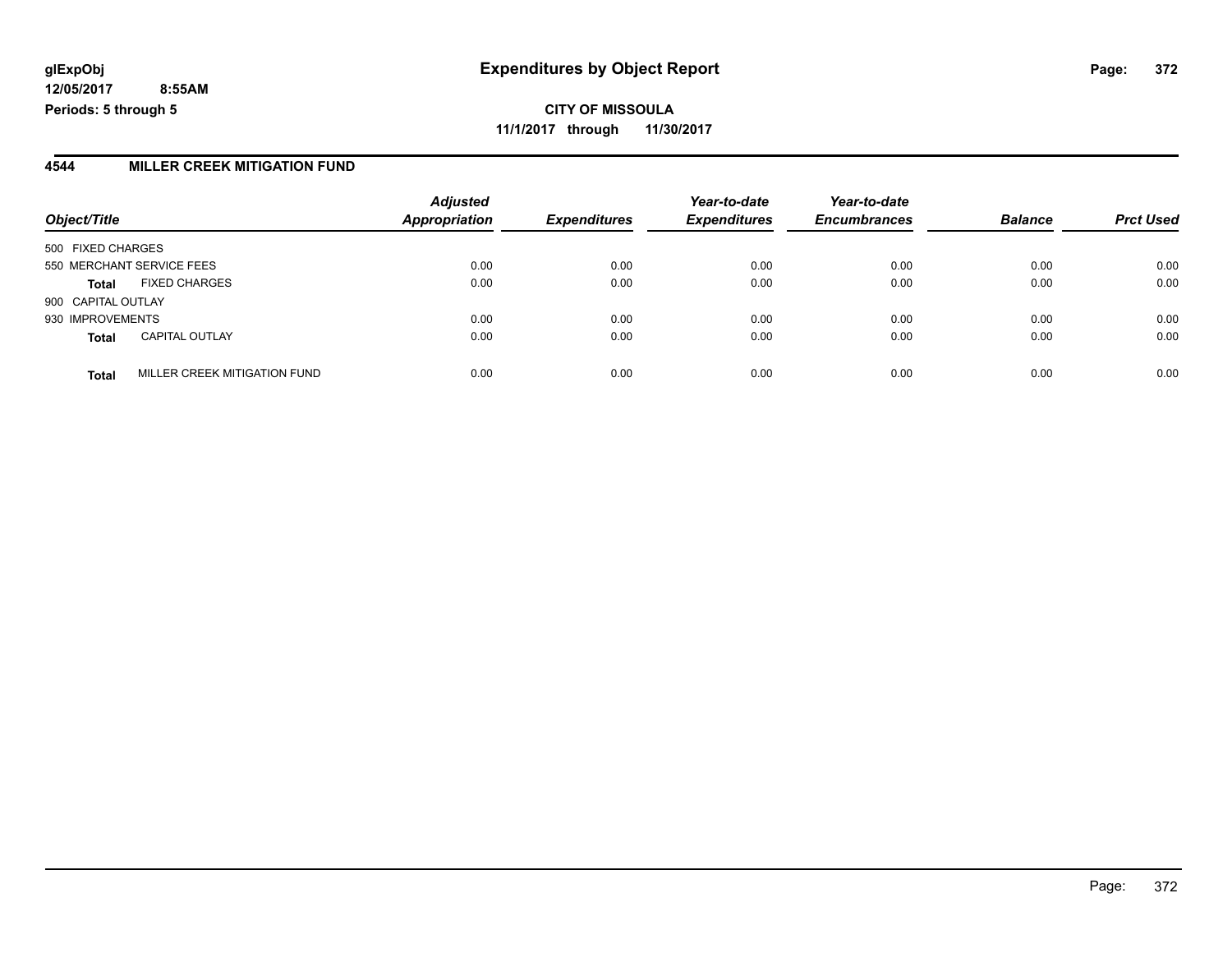**CITY OF MISSOULA 11/1/2017 through 11/30/2017**

### **4544 MILLER CREEK MITIGATION FUND**

|                    |                              | <b>Adjusted</b>      |                     | Year-to-date        | Year-to-date        |                |                  |
|--------------------|------------------------------|----------------------|---------------------|---------------------|---------------------|----------------|------------------|
| Object/Title       |                              | <b>Appropriation</b> | <b>Expenditures</b> | <b>Expenditures</b> | <b>Encumbrances</b> | <b>Balance</b> | <b>Prct Used</b> |
| 500 FIXED CHARGES  |                              |                      |                     |                     |                     |                |                  |
|                    | 550 MERCHANT SERVICE FEES    | 0.00                 | 0.00                | 0.00                | 0.00                | 0.00           | 0.00             |
| <b>Total</b>       | <b>FIXED CHARGES</b>         | 0.00                 | 0.00                | 0.00                | 0.00                | 0.00           | 0.00             |
| 900 CAPITAL OUTLAY |                              |                      |                     |                     |                     |                |                  |
| 930 IMPROVEMENTS   |                              | 0.00                 | 0.00                | 0.00                | 0.00                | 0.00           | 0.00             |
| <b>Total</b>       | <b>CAPITAL OUTLAY</b>        | 0.00                 | 0.00                | 0.00                | 0.00                | 0.00           | 0.00             |
| <b>Total</b>       | MILLER CREEK MITIGATION FUND | 0.00                 | 0.00                | 0.00                | 0.00                | 0.00           | 0.00             |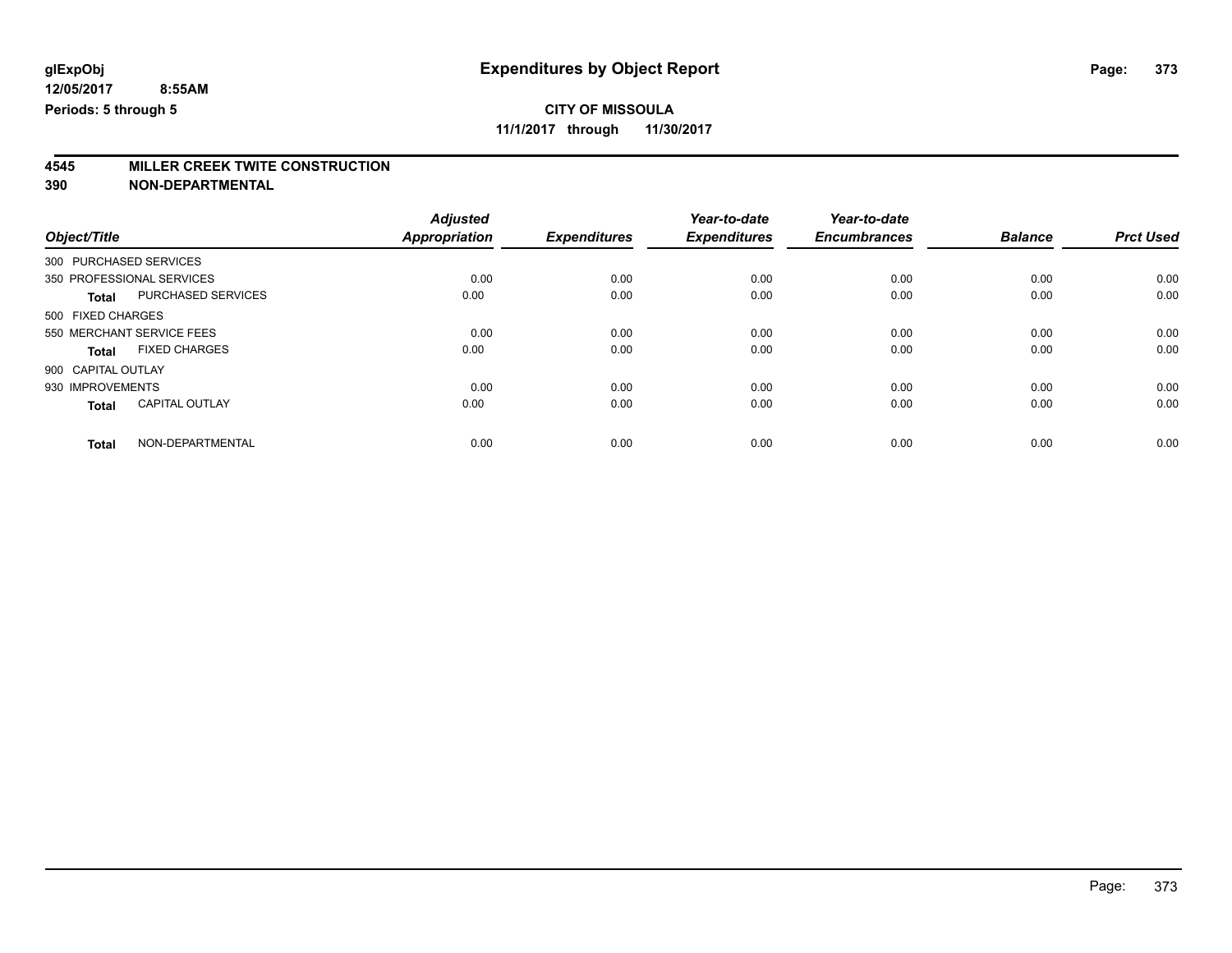**11/1/2017 through 11/30/2017**

# **4545 MILLER CREEK TWITE CONSTRUCTION**

|                        |                           | <b>Adjusted</b> |                     | Year-to-date        | Year-to-date        |                |                  |
|------------------------|---------------------------|-----------------|---------------------|---------------------|---------------------|----------------|------------------|
| Object/Title           |                           | Appropriation   | <b>Expenditures</b> | <b>Expenditures</b> | <b>Encumbrances</b> | <b>Balance</b> | <b>Prct Used</b> |
| 300 PURCHASED SERVICES |                           |                 |                     |                     |                     |                |                  |
|                        | 350 PROFESSIONAL SERVICES | 0.00            | 0.00                | 0.00                | 0.00                | 0.00           | 0.00             |
| <b>Total</b>           | PURCHASED SERVICES        | 0.00            | 0.00                | 0.00                | 0.00                | 0.00           | 0.00             |
| 500 FIXED CHARGES      |                           |                 |                     |                     |                     |                |                  |
|                        | 550 MERCHANT SERVICE FEES | 0.00            | 0.00                | 0.00                | 0.00                | 0.00           | 0.00             |
| <b>Total</b>           | <b>FIXED CHARGES</b>      | 0.00            | 0.00                | 0.00                | 0.00                | 0.00           | 0.00             |
| 900 CAPITAL OUTLAY     |                           |                 |                     |                     |                     |                |                  |
| 930 IMPROVEMENTS       |                           | 0.00            | 0.00                | 0.00                | 0.00                | 0.00           | 0.00             |
| <b>Total</b>           | <b>CAPITAL OUTLAY</b>     | 0.00            | 0.00                | 0.00                | 0.00                | 0.00           | 0.00             |
| <b>Total</b>           | NON-DEPARTMENTAL          | 0.00            | 0.00                | 0.00                | 0.00                | 0.00           | 0.00             |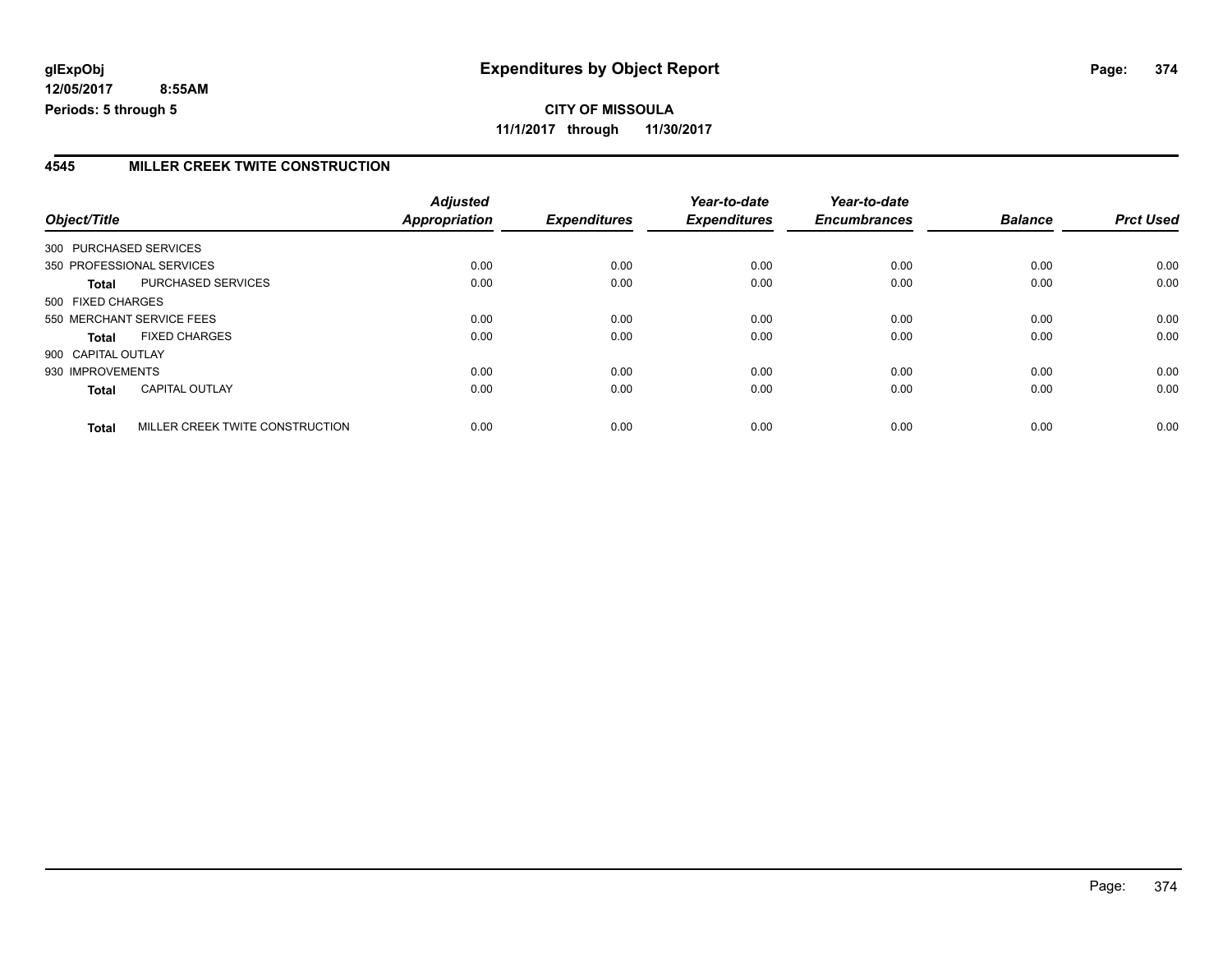**CITY OF MISSOULA 11/1/2017 through 11/30/2017**

### **4545 MILLER CREEK TWITE CONSTRUCTION**

|                           |                                 | <b>Adjusted</b> |                     | Year-to-date        | Year-to-date        |                |                  |
|---------------------------|---------------------------------|-----------------|---------------------|---------------------|---------------------|----------------|------------------|
| Object/Title              |                                 | Appropriation   | <b>Expenditures</b> | <b>Expenditures</b> | <b>Encumbrances</b> | <b>Balance</b> | <b>Prct Used</b> |
| 300 PURCHASED SERVICES    |                                 |                 |                     |                     |                     |                |                  |
| 350 PROFESSIONAL SERVICES |                                 | 0.00            | 0.00                | 0.00                | 0.00                | 0.00           | 0.00             |
| <b>Total</b>              | PURCHASED SERVICES              | 0.00            | 0.00                | 0.00                | 0.00                | 0.00           | 0.00             |
| 500 FIXED CHARGES         |                                 |                 |                     |                     |                     |                |                  |
| 550 MERCHANT SERVICE FEES |                                 | 0.00            | 0.00                | 0.00                | 0.00                | 0.00           | 0.00             |
| <b>Total</b>              | <b>FIXED CHARGES</b>            | 0.00            | 0.00                | 0.00                | 0.00                | 0.00           | 0.00             |
| 900 CAPITAL OUTLAY        |                                 |                 |                     |                     |                     |                |                  |
| 930 IMPROVEMENTS          |                                 | 0.00            | 0.00                | 0.00                | 0.00                | 0.00           | 0.00             |
| <b>Total</b>              | <b>CAPITAL OUTLAY</b>           | 0.00            | 0.00                | 0.00                | 0.00                | 0.00           | 0.00             |
| <b>Total</b>              | MILLER CREEK TWITE CONSTRUCTION | 0.00            | 0.00                | 0.00                | 0.00                | 0.00           | 0.00             |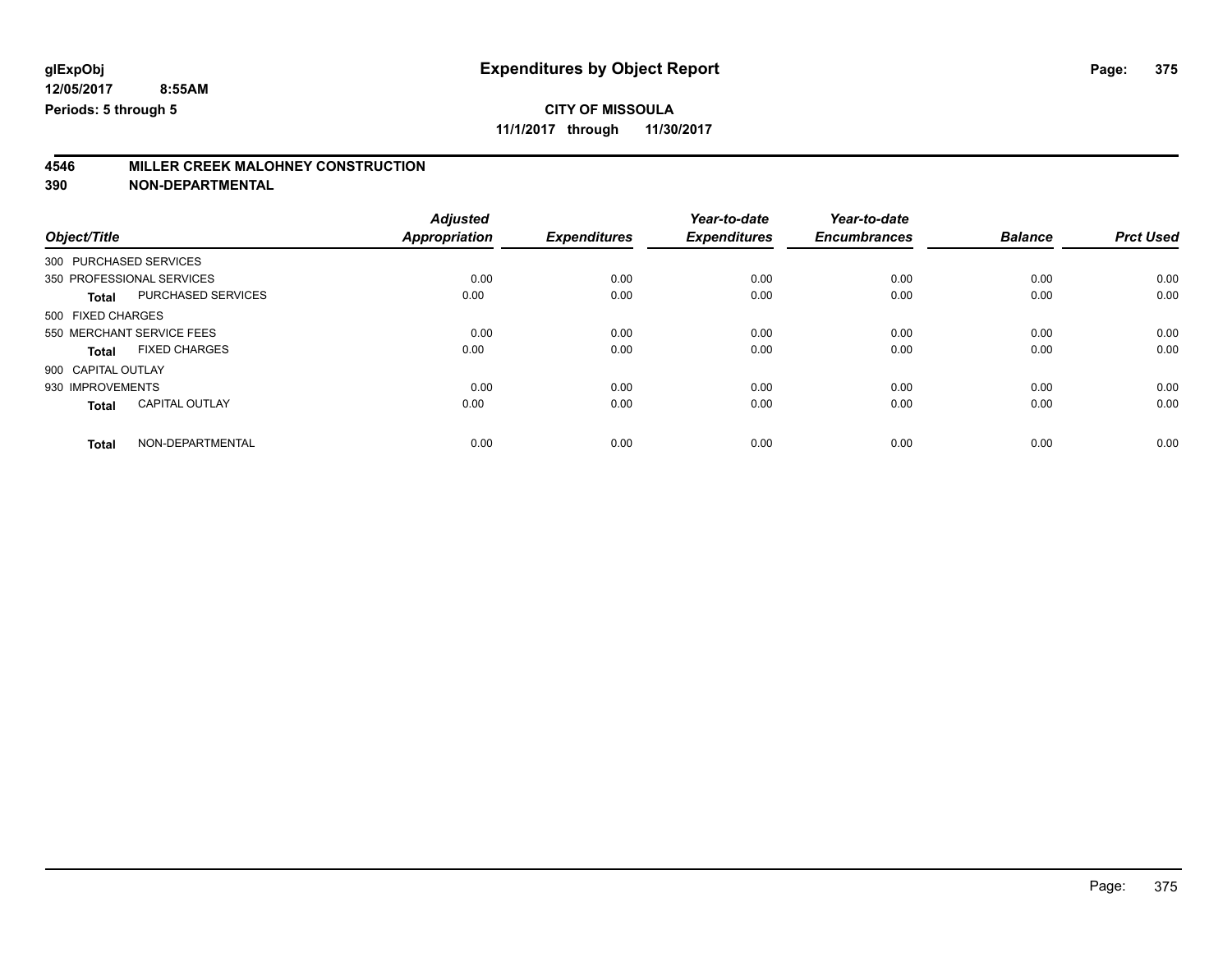**11/1/2017 through 11/30/2017**

# **4546 MILLER CREEK MALOHNEY CONSTRUCTION**

|                        |                           | <b>Adjusted</b>      |                     | Year-to-date        | Year-to-date        |                |                  |
|------------------------|---------------------------|----------------------|---------------------|---------------------|---------------------|----------------|------------------|
| Object/Title           |                           | <b>Appropriation</b> | <b>Expenditures</b> | <b>Expenditures</b> | <b>Encumbrances</b> | <b>Balance</b> | <b>Prct Used</b> |
| 300 PURCHASED SERVICES |                           |                      |                     |                     |                     |                |                  |
|                        | 350 PROFESSIONAL SERVICES | 0.00                 | 0.00                | 0.00                | 0.00                | 0.00           | 0.00             |
| <b>Total</b>           | PURCHASED SERVICES        | 0.00                 | 0.00                | 0.00                | 0.00                | 0.00           | 0.00             |
| 500 FIXED CHARGES      |                           |                      |                     |                     |                     |                |                  |
|                        | 550 MERCHANT SERVICE FEES | 0.00                 | 0.00                | 0.00                | 0.00                | 0.00           | 0.00             |
| <b>Total</b>           | <b>FIXED CHARGES</b>      | 0.00                 | 0.00                | 0.00                | 0.00                | 0.00           | 0.00             |
| 900 CAPITAL OUTLAY     |                           |                      |                     |                     |                     |                |                  |
| 930 IMPROVEMENTS       |                           | 0.00                 | 0.00                | 0.00                | 0.00                | 0.00           | 0.00             |
| <b>Total</b>           | <b>CAPITAL OUTLAY</b>     | 0.00                 | 0.00                | 0.00                | 0.00                | 0.00           | 0.00             |
| <b>Total</b>           | NON-DEPARTMENTAL          | 0.00                 | 0.00                | 0.00                | 0.00                | 0.00           | 0.00             |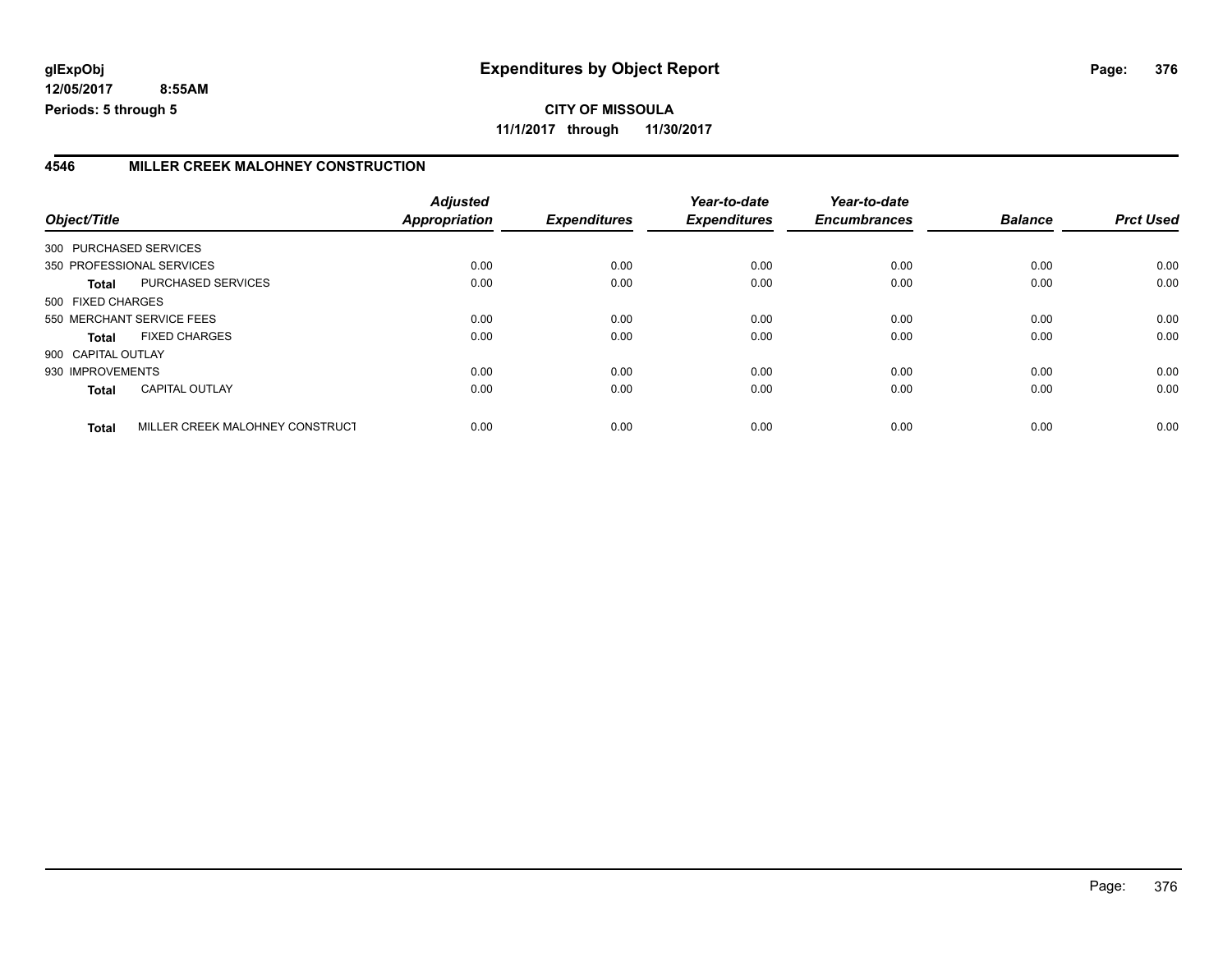### **4546 MILLER CREEK MALOHNEY CONSTRUCTION**

| Object/Title           |                                 | <b>Adjusted</b><br><b>Appropriation</b> | <b>Expenditures</b> | Year-to-date<br><b>Expenditures</b> | Year-to-date<br><b>Encumbrances</b> | <b>Balance</b> | <b>Prct Used</b> |
|------------------------|---------------------------------|-----------------------------------------|---------------------|-------------------------------------|-------------------------------------|----------------|------------------|
| 300 PURCHASED SERVICES |                                 |                                         |                     |                                     |                                     |                |                  |
|                        | 350 PROFESSIONAL SERVICES       | 0.00                                    | 0.00                | 0.00                                | 0.00                                | 0.00           | 0.00             |
| Total                  | PURCHASED SERVICES              | 0.00                                    | 0.00                | 0.00                                | 0.00                                | 0.00           | 0.00             |
| 500 FIXED CHARGES      |                                 |                                         |                     |                                     |                                     |                |                  |
|                        | 550 MERCHANT SERVICE FEES       | 0.00                                    | 0.00                | 0.00                                | 0.00                                | 0.00           | 0.00             |
| Total                  | <b>FIXED CHARGES</b>            | 0.00                                    | 0.00                | 0.00                                | 0.00                                | 0.00           | 0.00             |
| 900 CAPITAL OUTLAY     |                                 |                                         |                     |                                     |                                     |                |                  |
| 930 IMPROVEMENTS       |                                 | 0.00                                    | 0.00                | 0.00                                | 0.00                                | 0.00           | 0.00             |
| <b>Total</b>           | <b>CAPITAL OUTLAY</b>           | 0.00                                    | 0.00                | 0.00                                | 0.00                                | 0.00           | 0.00             |
| <b>Total</b>           | MILLER CREEK MALOHNEY CONSTRUCT | 0.00                                    | 0.00                | 0.00                                | 0.00                                | 0.00           | 0.00             |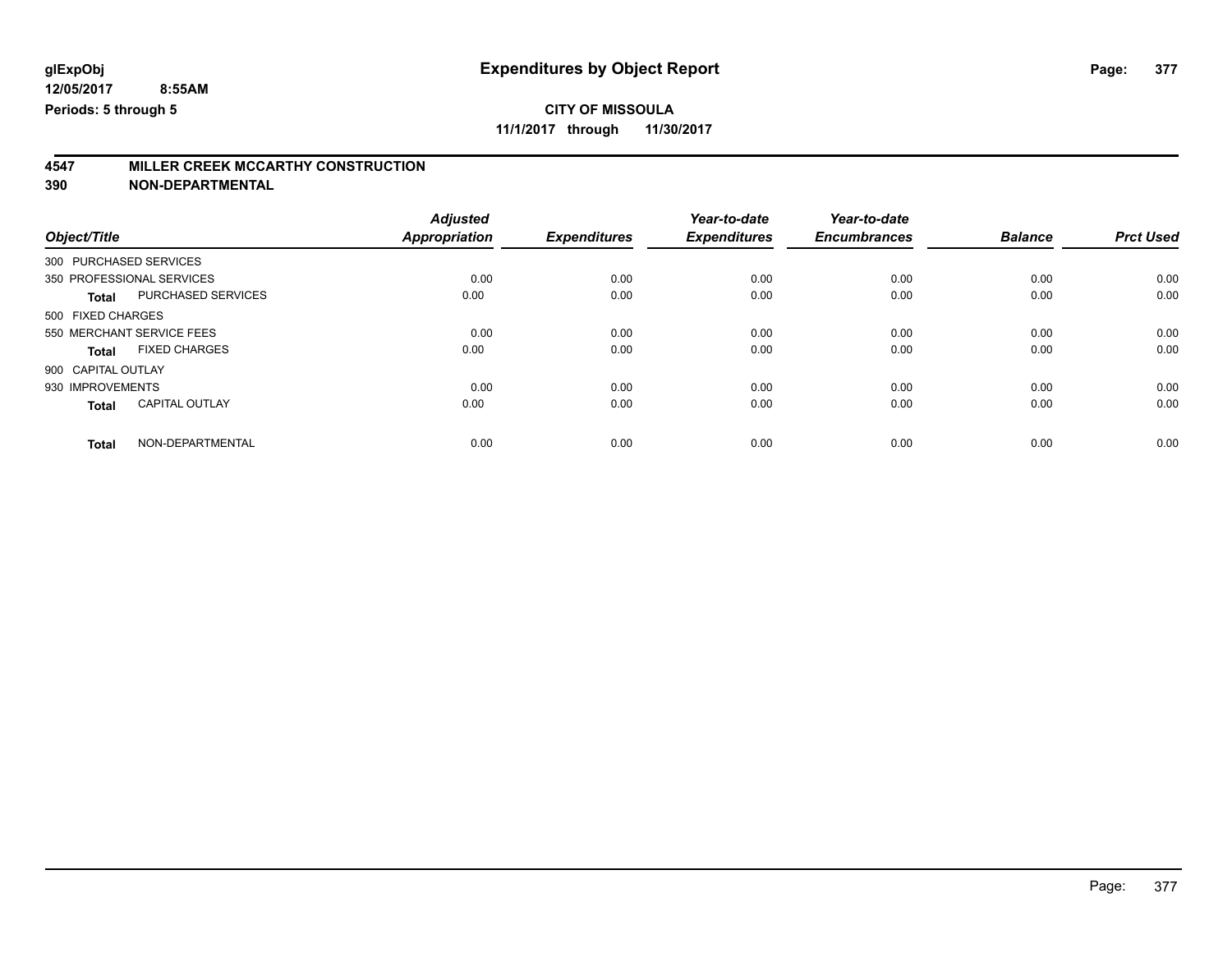**11/1/2017 through 11/30/2017**

# **4547 MILLER CREEK MCCARTHY CONSTRUCTION**

|                        |                           | <b>Adjusted</b> |                     | Year-to-date        | Year-to-date        |                |                  |
|------------------------|---------------------------|-----------------|---------------------|---------------------|---------------------|----------------|------------------|
| Object/Title           |                           | Appropriation   | <b>Expenditures</b> | <b>Expenditures</b> | <b>Encumbrances</b> | <b>Balance</b> | <b>Prct Used</b> |
| 300 PURCHASED SERVICES |                           |                 |                     |                     |                     |                |                  |
|                        | 350 PROFESSIONAL SERVICES | 0.00            | 0.00                | 0.00                | 0.00                | 0.00           | 0.00             |
| <b>Total</b>           | PURCHASED SERVICES        | 0.00            | 0.00                | 0.00                | 0.00                | 0.00           | 0.00             |
| 500 FIXED CHARGES      |                           |                 |                     |                     |                     |                |                  |
|                        | 550 MERCHANT SERVICE FEES | 0.00            | 0.00                | 0.00                | 0.00                | 0.00           | 0.00             |
| <b>Total</b>           | <b>FIXED CHARGES</b>      | 0.00            | 0.00                | 0.00                | 0.00                | 0.00           | 0.00             |
| 900 CAPITAL OUTLAY     |                           |                 |                     |                     |                     |                |                  |
| 930 IMPROVEMENTS       |                           | 0.00            | 0.00                | 0.00                | 0.00                | 0.00           | 0.00             |
| <b>Total</b>           | <b>CAPITAL OUTLAY</b>     | 0.00            | 0.00                | 0.00                | 0.00                | 0.00           | 0.00             |
| <b>Total</b>           | NON-DEPARTMENTAL          | 0.00            | 0.00                | 0.00                | 0.00                | 0.00           | 0.00             |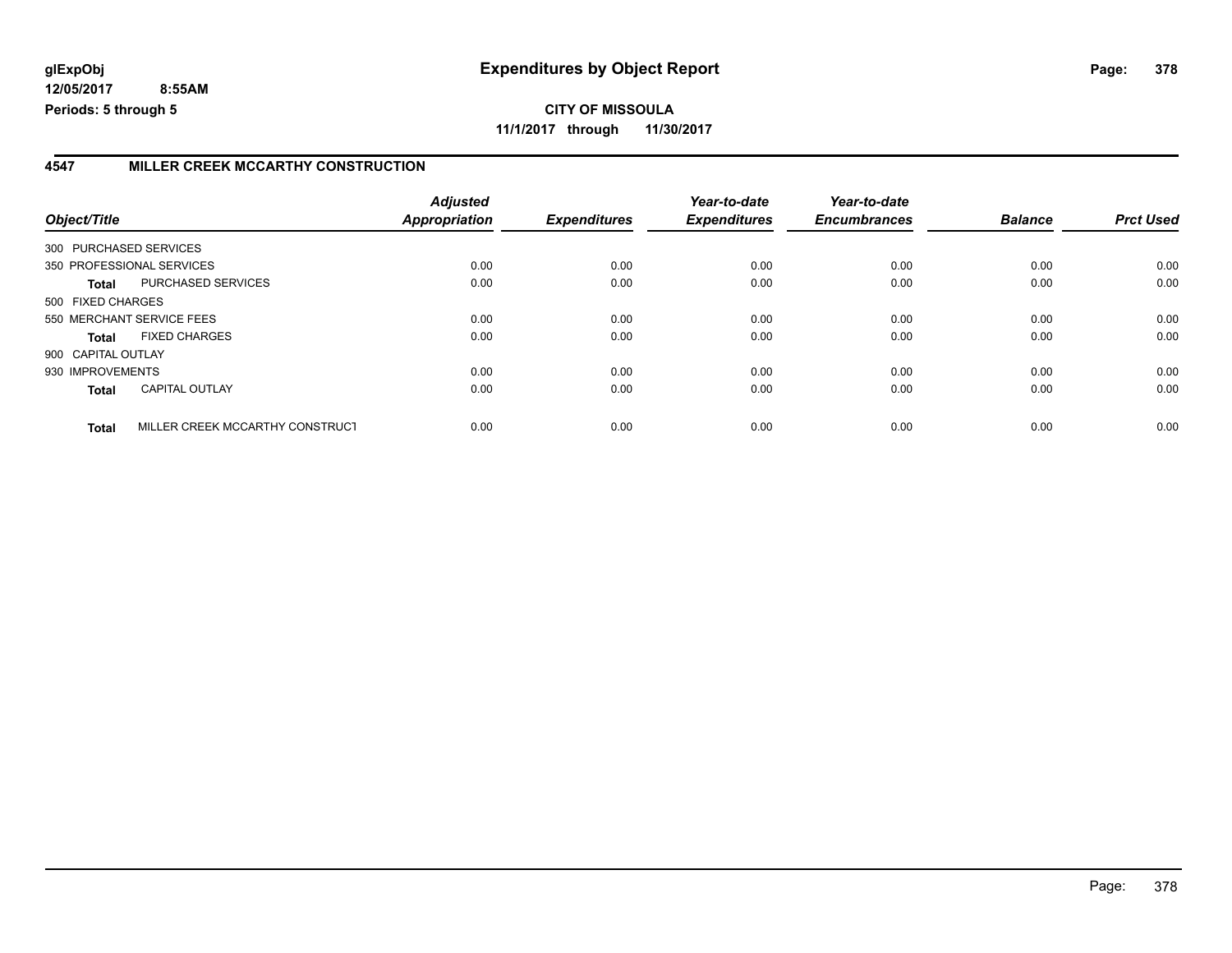### **4547 MILLER CREEK MCCARTHY CONSTRUCTION**

| Object/Title           |                                 | <b>Adjusted</b><br><b>Appropriation</b> | <b>Expenditures</b> | Year-to-date<br><b>Expenditures</b> | Year-to-date<br><b>Encumbrances</b> | <b>Balance</b> | <b>Prct Used</b> |
|------------------------|---------------------------------|-----------------------------------------|---------------------|-------------------------------------|-------------------------------------|----------------|------------------|
| 300 PURCHASED SERVICES |                                 |                                         |                     |                                     |                                     |                |                  |
|                        | 350 PROFESSIONAL SERVICES       | 0.00                                    | 0.00                | 0.00                                | 0.00                                | 0.00           | 0.00             |
|                        |                                 |                                         |                     |                                     |                                     |                |                  |
| Total                  | PURCHASED SERVICES              | 0.00                                    | 0.00                | 0.00                                | 0.00                                | 0.00           | 0.00             |
| 500 FIXED CHARGES      |                                 |                                         |                     |                                     |                                     |                |                  |
|                        | 550 MERCHANT SERVICE FEES       | 0.00                                    | 0.00                | 0.00                                | 0.00                                | 0.00           | 0.00             |
| <b>Total</b>           | <b>FIXED CHARGES</b>            | 0.00                                    | 0.00                | 0.00                                | 0.00                                | 0.00           | 0.00             |
| 900 CAPITAL OUTLAY     |                                 |                                         |                     |                                     |                                     |                |                  |
| 930 IMPROVEMENTS       |                                 | 0.00                                    | 0.00                | 0.00                                | 0.00                                | 0.00           | 0.00             |
| <b>Total</b>           | <b>CAPITAL OUTLAY</b>           | 0.00                                    | 0.00                | 0.00                                | 0.00                                | 0.00           | 0.00             |
| <b>Total</b>           | MILLER CREEK MCCARTHY CONSTRUCT | 0.00                                    | 0.00                | 0.00                                | 0.00                                | 0.00           | 0.00             |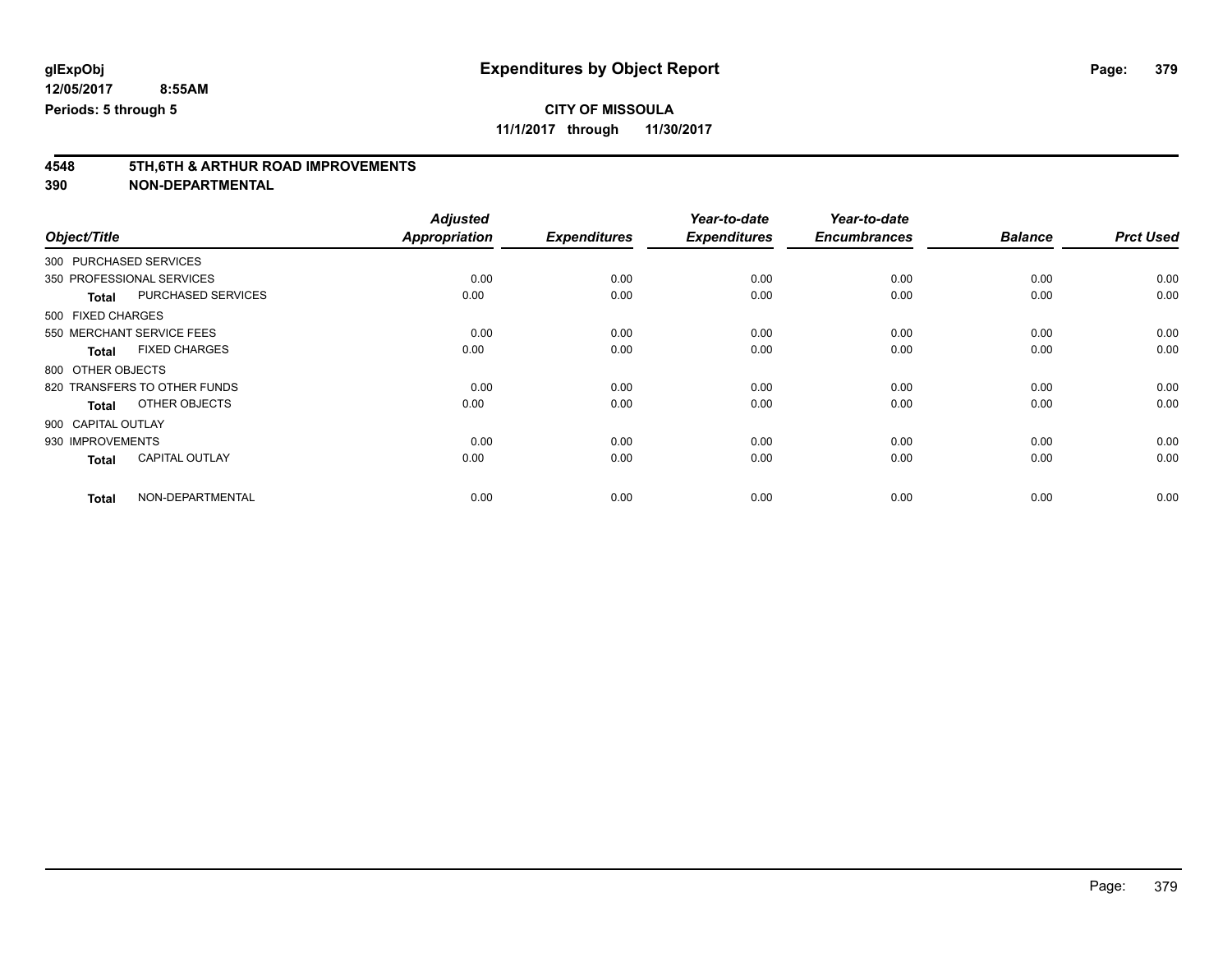**11/1/2017 through 11/30/2017**

# **4548 5TH,6TH & ARTHUR ROAD IMPROVEMENTS**

|                        |                              | <b>Adjusted</b>      |                     | Year-to-date        | Year-to-date        |                |                  |
|------------------------|------------------------------|----------------------|---------------------|---------------------|---------------------|----------------|------------------|
| Object/Title           |                              | <b>Appropriation</b> | <b>Expenditures</b> | <b>Expenditures</b> | <b>Encumbrances</b> | <b>Balance</b> | <b>Prct Used</b> |
| 300 PURCHASED SERVICES |                              |                      |                     |                     |                     |                |                  |
|                        | 350 PROFESSIONAL SERVICES    | 0.00                 | 0.00                | 0.00                | 0.00                | 0.00           | 0.00             |
| <b>Total</b>           | PURCHASED SERVICES           | 0.00                 | 0.00                | 0.00                | 0.00                | 0.00           | 0.00             |
| 500 FIXED CHARGES      |                              |                      |                     |                     |                     |                |                  |
|                        | 550 MERCHANT SERVICE FEES    | 0.00                 | 0.00                | 0.00                | 0.00                | 0.00           | 0.00             |
| <b>Total</b>           | <b>FIXED CHARGES</b>         | 0.00                 | 0.00                | 0.00                | 0.00                | 0.00           | 0.00             |
| 800 OTHER OBJECTS      |                              |                      |                     |                     |                     |                |                  |
|                        | 820 TRANSFERS TO OTHER FUNDS | 0.00                 | 0.00                | 0.00                | 0.00                | 0.00           | 0.00             |
| <b>Total</b>           | OTHER OBJECTS                | 0.00                 | 0.00                | 0.00                | 0.00                | 0.00           | 0.00             |
| 900 CAPITAL OUTLAY     |                              |                      |                     |                     |                     |                |                  |
| 930 IMPROVEMENTS       |                              | 0.00                 | 0.00                | 0.00                | 0.00                | 0.00           | 0.00             |
| <b>Total</b>           | <b>CAPITAL OUTLAY</b>        | 0.00                 | 0.00                | 0.00                | 0.00                | 0.00           | 0.00             |
| <b>Total</b>           | NON-DEPARTMENTAL             | 0.00                 | 0.00                | 0.00                | 0.00                | 0.00           | 0.00             |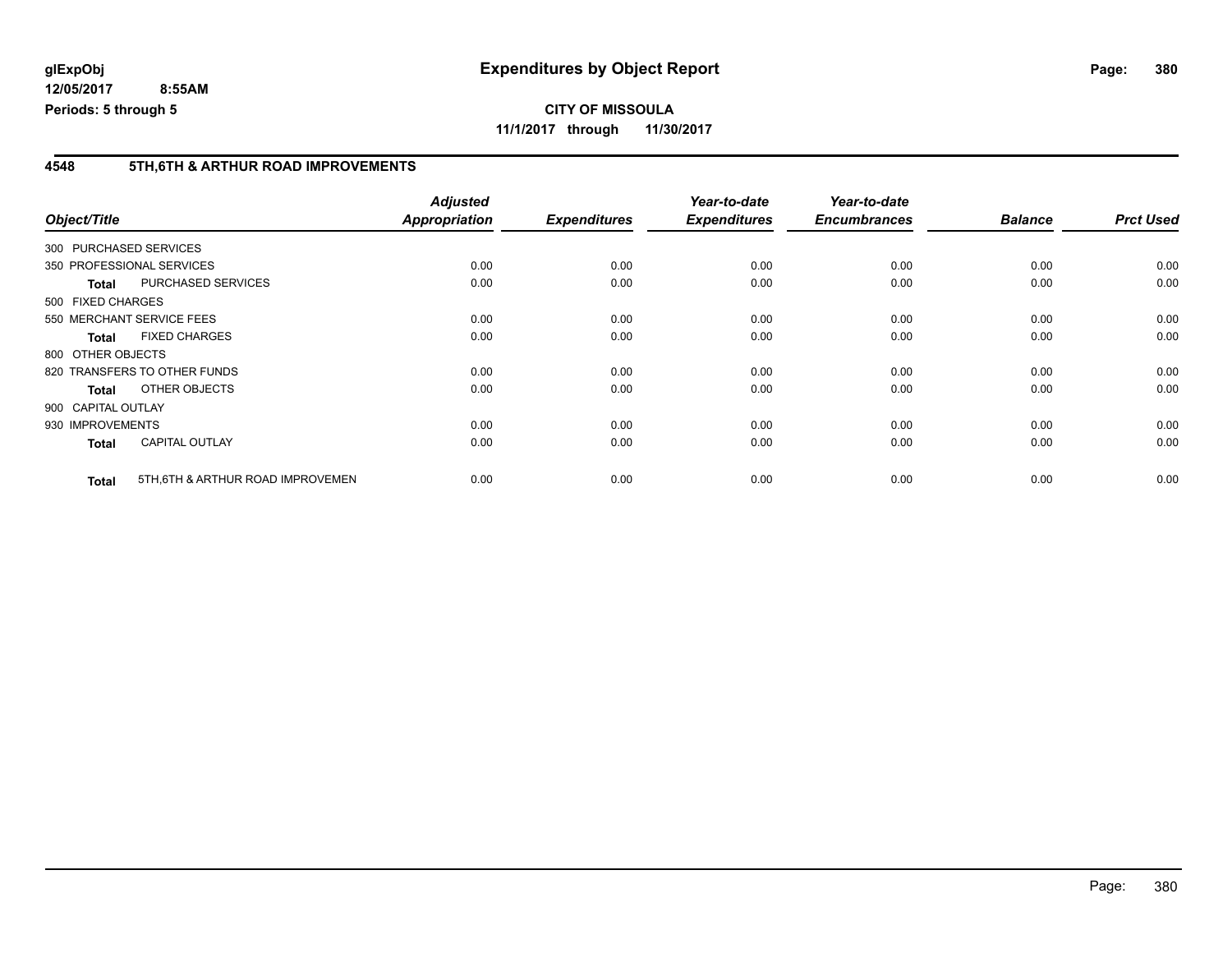#### **4548 5TH,6TH & ARTHUR ROAD IMPROVEMENTS**

| Object/Title |                                                   | <b>Adjusted</b><br><b>Appropriation</b> | <b>Expenditures</b> | Year-to-date<br><b>Expenditures</b> | Year-to-date<br><b>Encumbrances</b> | <b>Balance</b> | <b>Prct Used</b> |
|--------------|---------------------------------------------------|-----------------------------------------|---------------------|-------------------------------------|-------------------------------------|----------------|------------------|
|              |                                                   |                                         |                     |                                     |                                     |                |                  |
|              | 300 PURCHASED SERVICES                            |                                         |                     |                                     |                                     |                |                  |
|              | 350 PROFESSIONAL SERVICES                         | 0.00                                    | 0.00                | 0.00                                | 0.00                                | 0.00           | 0.00             |
|              | <b>PURCHASED SERVICES</b><br><b>Total</b>         | 0.00                                    | 0.00                | 0.00                                | 0.00                                | 0.00           | 0.00             |
|              | 500 FIXED CHARGES                                 |                                         |                     |                                     |                                     |                |                  |
|              | 550 MERCHANT SERVICE FEES                         | 0.00                                    | 0.00                | 0.00                                | 0.00                                | 0.00           | 0.00             |
|              | <b>FIXED CHARGES</b><br><b>Total</b>              | 0.00                                    | 0.00                | 0.00                                | 0.00                                | 0.00           | 0.00             |
|              | 800 OTHER OBJECTS                                 |                                         |                     |                                     |                                     |                |                  |
|              | 820 TRANSFERS TO OTHER FUNDS                      | 0.00                                    | 0.00                | 0.00                                | 0.00                                | 0.00           | 0.00             |
|              | OTHER OBJECTS<br><b>Total</b>                     | 0.00                                    | 0.00                | 0.00                                | 0.00                                | 0.00           | 0.00             |
|              | 900 CAPITAL OUTLAY                                |                                         |                     |                                     |                                     |                |                  |
|              | 930 IMPROVEMENTS                                  | 0.00                                    | 0.00                | 0.00                                | 0.00                                | 0.00           | 0.00             |
|              | <b>CAPITAL OUTLAY</b><br><b>Total</b>             | 0.00                                    | 0.00                | 0.00                                | 0.00                                | 0.00           | 0.00             |
|              | 5TH, 6TH & ARTHUR ROAD IMPROVEMEN<br><b>Total</b> | 0.00                                    | 0.00                | 0.00                                | 0.00                                | 0.00           | 0.00             |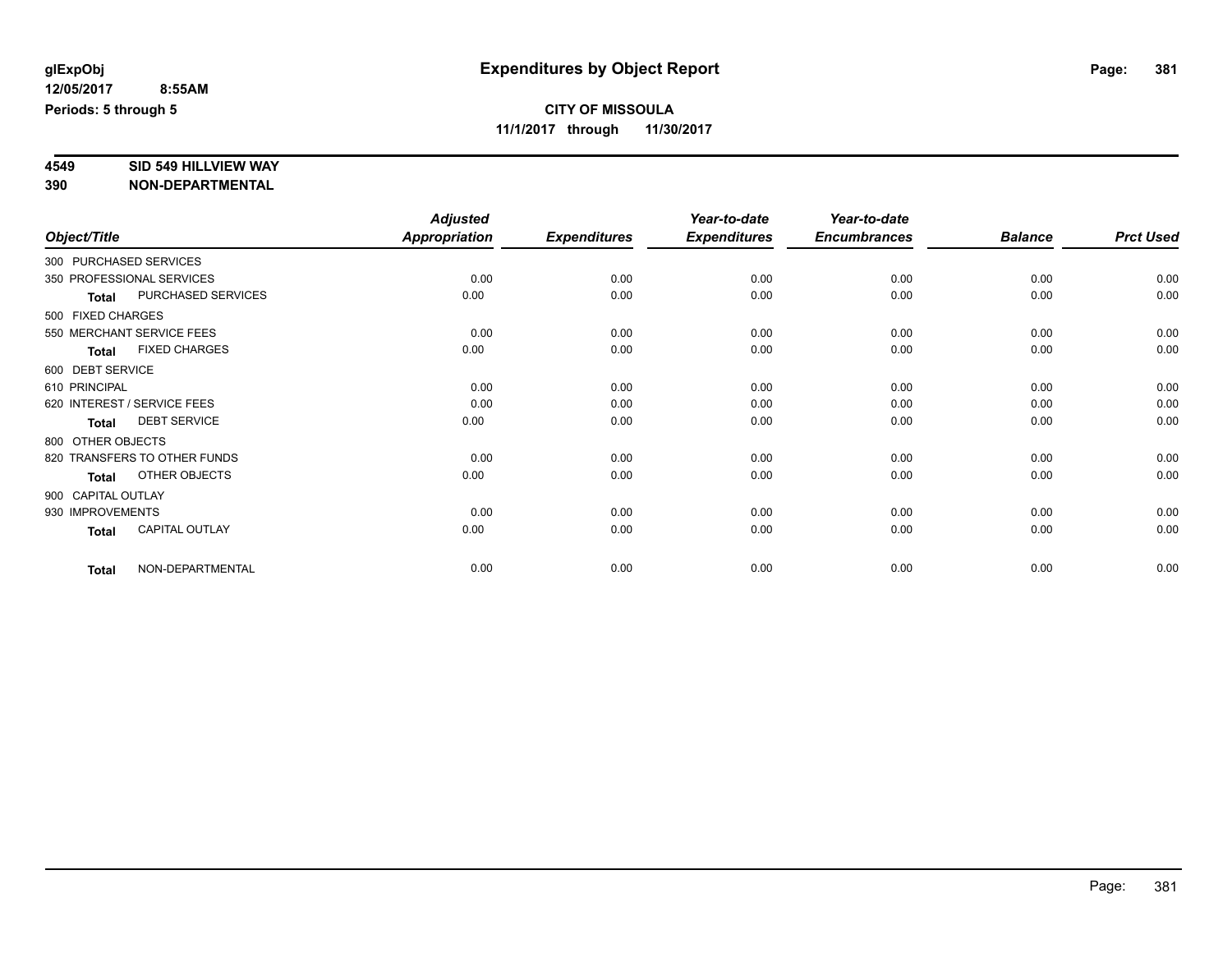# **4549 SID 549 HILLVIEW WAY**

|                    |                              | <b>Adjusted</b>      |                     | Year-to-date        | Year-to-date        |                |                  |
|--------------------|------------------------------|----------------------|---------------------|---------------------|---------------------|----------------|------------------|
| Object/Title       |                              | <b>Appropriation</b> | <b>Expenditures</b> | <b>Expenditures</b> | <b>Encumbrances</b> | <b>Balance</b> | <b>Prct Used</b> |
|                    | 300 PURCHASED SERVICES       |                      |                     |                     |                     |                |                  |
|                    | 350 PROFESSIONAL SERVICES    | 0.00                 | 0.00                | 0.00                | 0.00                | 0.00           | 0.00             |
| <b>Total</b>       | PURCHASED SERVICES           | 0.00                 | 0.00                | 0.00                | 0.00                | 0.00           | 0.00             |
| 500 FIXED CHARGES  |                              |                      |                     |                     |                     |                |                  |
|                    | 550 MERCHANT SERVICE FEES    | 0.00                 | 0.00                | 0.00                | 0.00                | 0.00           | 0.00             |
| <b>Total</b>       | <b>FIXED CHARGES</b>         | 0.00                 | 0.00                | 0.00                | 0.00                | 0.00           | 0.00             |
| 600 DEBT SERVICE   |                              |                      |                     |                     |                     |                |                  |
| 610 PRINCIPAL      |                              | 0.00                 | 0.00                | 0.00                | 0.00                | 0.00           | 0.00             |
|                    | 620 INTEREST / SERVICE FEES  | 0.00                 | 0.00                | 0.00                | 0.00                | 0.00           | 0.00             |
| <b>Total</b>       | <b>DEBT SERVICE</b>          | 0.00                 | 0.00                | 0.00                | 0.00                | 0.00           | 0.00             |
| 800 OTHER OBJECTS  |                              |                      |                     |                     |                     |                |                  |
|                    | 820 TRANSFERS TO OTHER FUNDS | 0.00                 | 0.00                | 0.00                | 0.00                | 0.00           | 0.00             |
| <b>Total</b>       | OTHER OBJECTS                | 0.00                 | 0.00                | 0.00                | 0.00                | 0.00           | 0.00             |
| 900 CAPITAL OUTLAY |                              |                      |                     |                     |                     |                |                  |
| 930 IMPROVEMENTS   |                              | 0.00                 | 0.00                | 0.00                | 0.00                | 0.00           | 0.00             |
| <b>Total</b>       | CAPITAL OUTLAY               | 0.00                 | 0.00                | 0.00                | 0.00                | 0.00           | 0.00             |
| <b>Total</b>       | NON-DEPARTMENTAL             | 0.00                 | 0.00                | 0.00                | 0.00                | 0.00           | 0.00             |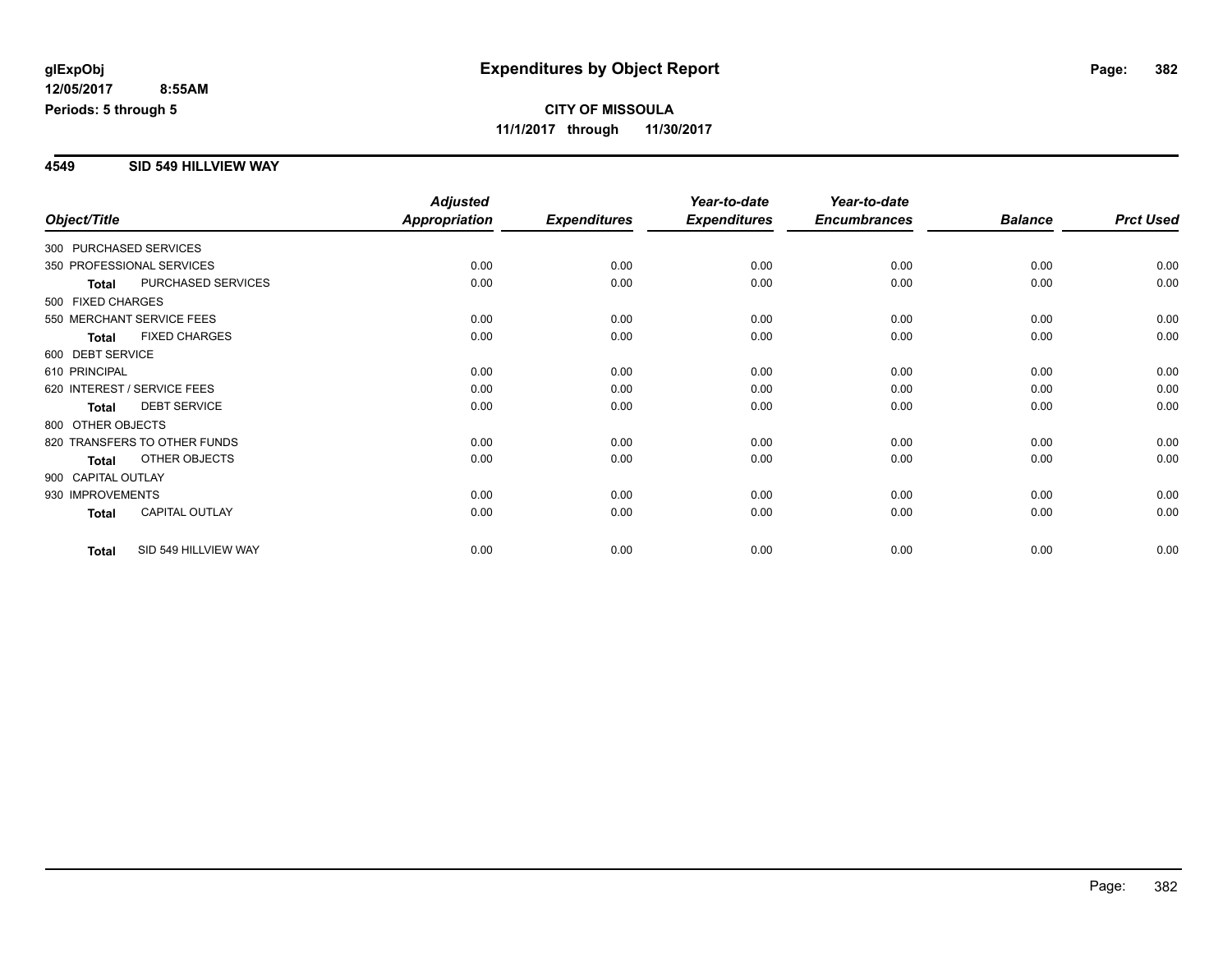### **4549 SID 549 HILLVIEW WAY**

|                        |                              | <b>Adjusted</b>      |                     | Year-to-date        | Year-to-date        |                |                  |
|------------------------|------------------------------|----------------------|---------------------|---------------------|---------------------|----------------|------------------|
| Object/Title           |                              | <b>Appropriation</b> | <b>Expenditures</b> | <b>Expenditures</b> | <b>Encumbrances</b> | <b>Balance</b> | <b>Prct Used</b> |
| 300 PURCHASED SERVICES |                              |                      |                     |                     |                     |                |                  |
|                        | 350 PROFESSIONAL SERVICES    | 0.00                 | 0.00                | 0.00                | 0.00                | 0.00           | 0.00             |
| <b>Total</b>           | PURCHASED SERVICES           | 0.00                 | 0.00                | 0.00                | 0.00                | 0.00           | 0.00             |
| 500 FIXED CHARGES      |                              |                      |                     |                     |                     |                |                  |
|                        | 550 MERCHANT SERVICE FEES    | 0.00                 | 0.00                | 0.00                | 0.00                | 0.00           | 0.00             |
| <b>Total</b>           | <b>FIXED CHARGES</b>         | 0.00                 | 0.00                | 0.00                | 0.00                | 0.00           | 0.00             |
| 600 DEBT SERVICE       |                              |                      |                     |                     |                     |                |                  |
| 610 PRINCIPAL          |                              | 0.00                 | 0.00                | 0.00                | 0.00                | 0.00           | 0.00             |
|                        | 620 INTEREST / SERVICE FEES  | 0.00                 | 0.00                | 0.00                | 0.00                | 0.00           | 0.00             |
| <b>Total</b>           | <b>DEBT SERVICE</b>          | 0.00                 | 0.00                | 0.00                | 0.00                | 0.00           | 0.00             |
| 800 OTHER OBJECTS      |                              |                      |                     |                     |                     |                |                  |
|                        | 820 TRANSFERS TO OTHER FUNDS | 0.00                 | 0.00                | 0.00                | 0.00                | 0.00           | 0.00             |
| <b>Total</b>           | OTHER OBJECTS                | 0.00                 | 0.00                | 0.00                | 0.00                | 0.00           | 0.00             |
| 900 CAPITAL OUTLAY     |                              |                      |                     |                     |                     |                |                  |
| 930 IMPROVEMENTS       |                              | 0.00                 | 0.00                | 0.00                | 0.00                | 0.00           | 0.00             |
| Total                  | <b>CAPITAL OUTLAY</b>        | 0.00                 | 0.00                | 0.00                | 0.00                | 0.00           | 0.00             |
| <b>Total</b>           | SID 549 HILLVIEW WAY         | 0.00                 | 0.00                | 0.00                | 0.00                | 0.00           | 0.00             |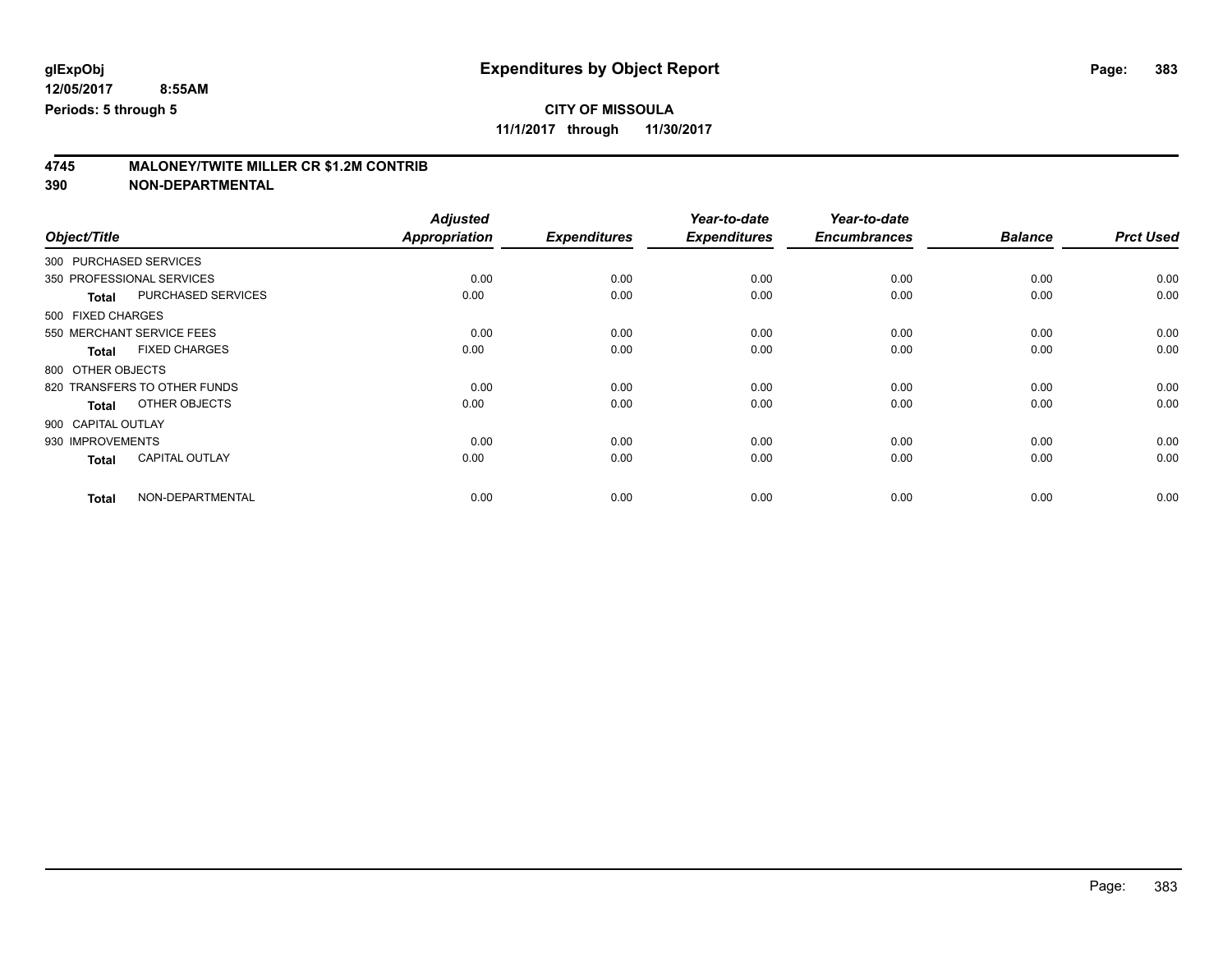**11/1/2017 through 11/30/2017**

# **4745 MALONEY/TWITE MILLER CR \$1.2M CONTRIB**

|                        |                              | <b>Adjusted</b>      |                     | Year-to-date        | Year-to-date        |                |                  |
|------------------------|------------------------------|----------------------|---------------------|---------------------|---------------------|----------------|------------------|
| Object/Title           |                              | <b>Appropriation</b> | <b>Expenditures</b> | <b>Expenditures</b> | <b>Encumbrances</b> | <b>Balance</b> | <b>Prct Used</b> |
| 300 PURCHASED SERVICES |                              |                      |                     |                     |                     |                |                  |
|                        | 350 PROFESSIONAL SERVICES    | 0.00                 | 0.00                | 0.00                | 0.00                | 0.00           | 0.00             |
| <b>Total</b>           | PURCHASED SERVICES           | 0.00                 | 0.00                | 0.00                | 0.00                | 0.00           | 0.00             |
| 500 FIXED CHARGES      |                              |                      |                     |                     |                     |                |                  |
|                        | 550 MERCHANT SERVICE FEES    | 0.00                 | 0.00                | 0.00                | 0.00                | 0.00           | 0.00             |
| <b>Total</b>           | <b>FIXED CHARGES</b>         | 0.00                 | 0.00                | 0.00                | 0.00                | 0.00           | 0.00             |
| 800 OTHER OBJECTS      |                              |                      |                     |                     |                     |                |                  |
|                        | 820 TRANSFERS TO OTHER FUNDS | 0.00                 | 0.00                | 0.00                | 0.00                | 0.00           | 0.00             |
| <b>Total</b>           | OTHER OBJECTS                | 0.00                 | 0.00                | 0.00                | 0.00                | 0.00           | 0.00             |
| 900 CAPITAL OUTLAY     |                              |                      |                     |                     |                     |                |                  |
| 930 IMPROVEMENTS       |                              | 0.00                 | 0.00                | 0.00                | 0.00                | 0.00           | 0.00             |
| <b>Total</b>           | <b>CAPITAL OUTLAY</b>        | 0.00                 | 0.00                | 0.00                | 0.00                | 0.00           | 0.00             |
| <b>Total</b>           | NON-DEPARTMENTAL             | 0.00                 | 0.00                | 0.00                | 0.00                | 0.00           | 0.00             |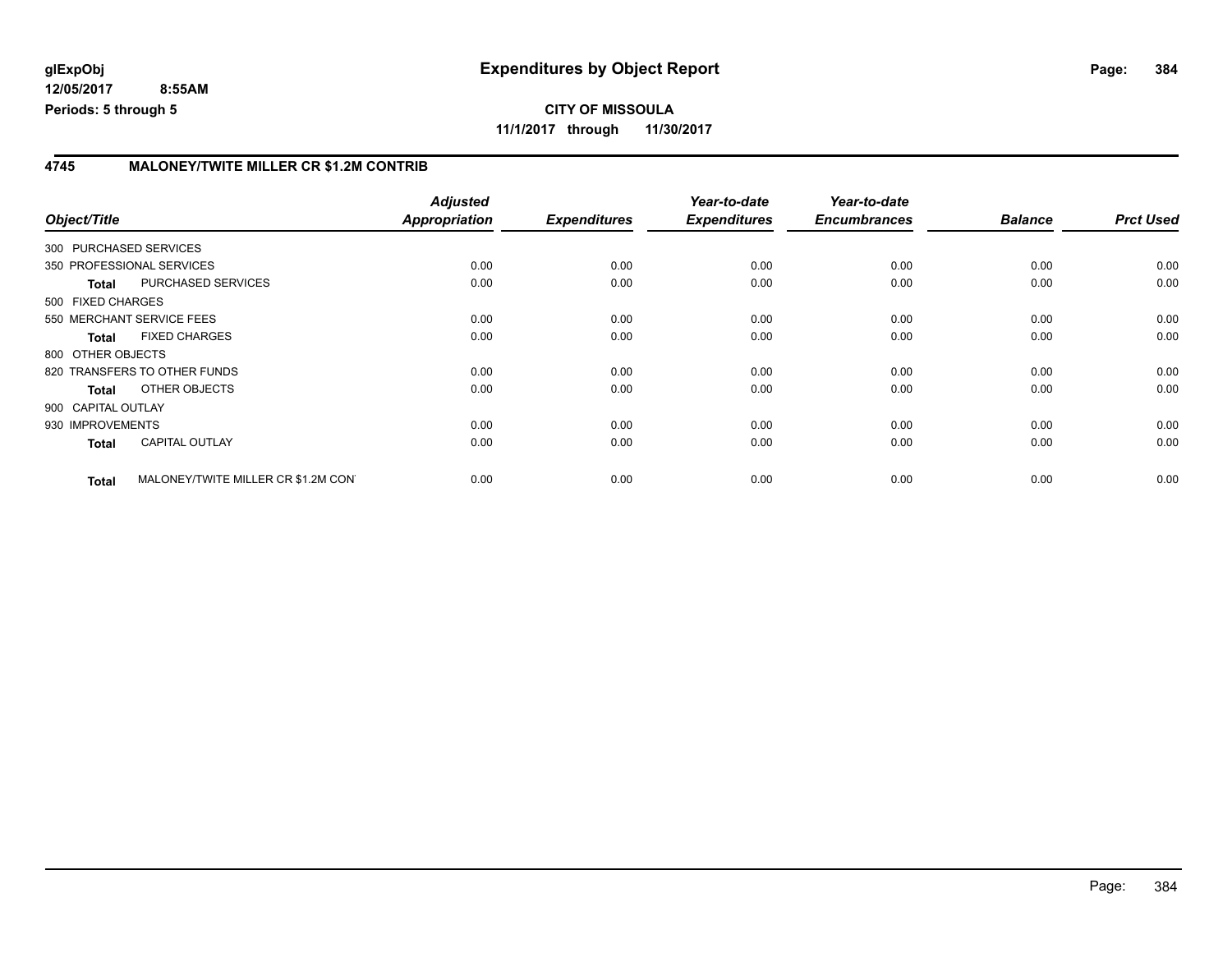### **4745 MALONEY/TWITE MILLER CR \$1.2M CONTRIB**

| Object/Title           |                                     | <b>Adjusted</b><br>Appropriation | <b>Expenditures</b> | Year-to-date<br><b>Expenditures</b> | Year-to-date<br><b>Encumbrances</b> | <b>Balance</b> | <b>Prct Used</b> |
|------------------------|-------------------------------------|----------------------------------|---------------------|-------------------------------------|-------------------------------------|----------------|------------------|
| 300 PURCHASED SERVICES |                                     |                                  |                     |                                     |                                     |                |                  |
|                        | 350 PROFESSIONAL SERVICES           | 0.00                             | 0.00                | 0.00                                | 0.00                                | 0.00           | 0.00             |
| <b>Total</b>           | PURCHASED SERVICES                  | 0.00                             | 0.00                | 0.00                                | 0.00                                | 0.00           | 0.00             |
| 500 FIXED CHARGES      |                                     |                                  |                     |                                     |                                     |                |                  |
|                        | 550 MERCHANT SERVICE FEES           | 0.00                             | 0.00                | 0.00                                | 0.00                                | 0.00           | 0.00             |
| <b>Total</b>           | <b>FIXED CHARGES</b>                | 0.00                             | 0.00                | 0.00                                | 0.00                                | 0.00           | 0.00             |
| 800 OTHER OBJECTS      |                                     |                                  |                     |                                     |                                     |                |                  |
|                        | 820 TRANSFERS TO OTHER FUNDS        | 0.00                             | 0.00                | 0.00                                | 0.00                                | 0.00           | 0.00             |
| <b>Total</b>           | OTHER OBJECTS                       | 0.00                             | 0.00                | 0.00                                | 0.00                                | 0.00           | 0.00             |
| 900 CAPITAL OUTLAY     |                                     |                                  |                     |                                     |                                     |                |                  |
| 930 IMPROVEMENTS       |                                     | 0.00                             | 0.00                | 0.00                                | 0.00                                | 0.00           | 0.00             |
| <b>Total</b>           | <b>CAPITAL OUTLAY</b>               | 0.00                             | 0.00                | 0.00                                | 0.00                                | 0.00           | 0.00             |
| <b>Total</b>           | MALONEY/TWITE MILLER CR \$1.2M CONT | 0.00                             | 0.00                | 0.00                                | 0.00                                | 0.00           | 0.00             |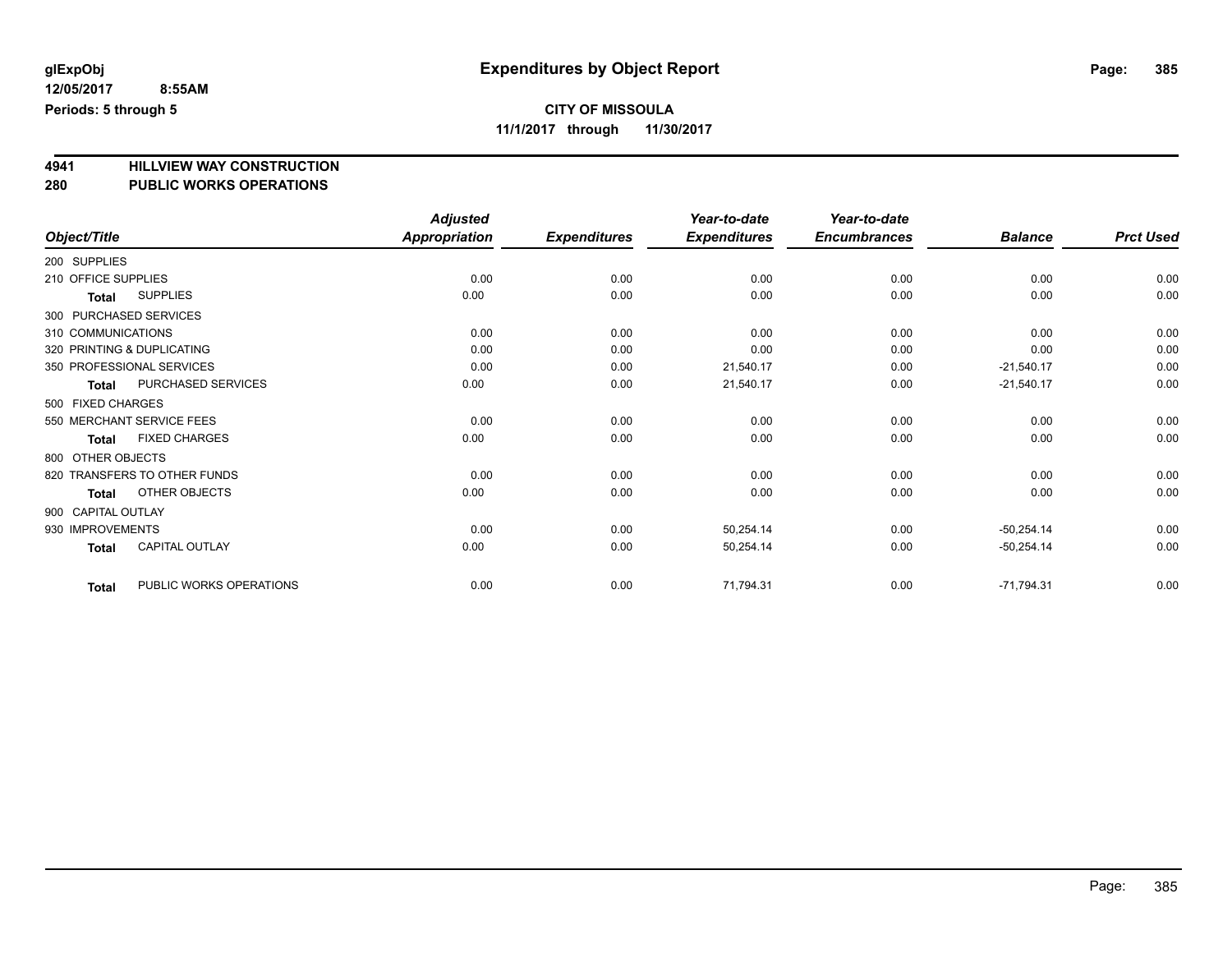# **CITY OF MISSOULA**

**11/1/2017 through 11/30/2017**

# **4941 HILLVIEW WAY CONSTRUCTION**

| 280                 | <b>PUBLIC WORKS OPERATIONS</b> |                           |                     |                                     |                                     |                |                  |
|---------------------|--------------------------------|---------------------------|---------------------|-------------------------------------|-------------------------------------|----------------|------------------|
| Object/Title        |                                | Adjusted<br>Appropriation | <b>Expenditures</b> | Year-to-date<br><b>Expenditures</b> | Year-to-date<br><b>Encumbrances</b> | <b>Balance</b> | <b>Prct Used</b> |
| 200 SUPPLIES        |                                |                           |                     |                                     |                                     |                |                  |
| 210 OFFICE SUPPLIES |                                | 0.00                      | 0.00                | 0.00                                | 0.00                                | 0.00           | 0.00             |
| <b>Total</b>        | <b>SUPPLIES</b>                | 0.00                      | 0.00                | 0.00                                | 0.00                                | 0.00           | 0.00             |
|                     | 300 PURCHASED SERVICES         |                           |                     |                                     |                                     |                |                  |
|                     | 310 COMMUNICATIONS             | 0.00                      | 0.00                | 0.00                                | 0.00                                | 0.00           | 0.00             |
|                     | 320 PRINTING & DUPLICATING     | 0.00                      | 0.00                | 0.00                                | 0.00                                | 0.00           | 0.00             |
|                     | 350 PROFESSIONAL SERVICES      | 0.00                      | 0.00                | 21,540.17                           | 0.00                                | $-21,540.17$   | 0.00             |
| <b>Total</b>        | PURCHASED SERVICES             | 0.00                      | 0.00                | 21,540.17                           | 0.00                                | $-21,540.17$   | 0.00             |
| 500 FIXED CHARGES   |                                |                           |                     |                                     |                                     |                |                  |
|                     | 550 MERCHANT SERVICE FEES      | 0.00                      | 0.00                | 0.00                                | 0.00                                | 0.00           | 0.00             |
| <b>Total</b>        | <b>FIXED CHARGES</b>           | 0.00                      | 0.00                | 0.00                                | 0.00                                | 0.00           | 0.00             |
| 800 OTHER OBJECTS   |                                |                           |                     |                                     |                                     |                |                  |
|                     | 820 TRANSFERS TO OTHER FUNDS   | 0.00                      | 0.00                | 0.00                                | 0.00                                | 0.00           | 0.00             |
| <b>Total</b>        | <b>OTHER OBJECTS</b>           | 0.00                      | 0.00                | 0.00                                | 0.00                                | 0.00           | 0.00             |
| 900 CAPITAL OUTLAY  |                                |                           |                     |                                     |                                     |                |                  |
| 930 IMPROVEMENTS    |                                | 0.00                      | 0.00                | 50,254.14                           | 0.00                                | $-50,254.14$   | 0.00             |
| <b>Total</b>        | <b>CAPITAL OUTLAY</b>          | 0.00                      | 0.00                | 50,254.14                           | 0.00                                | $-50,254.14$   | 0.00             |
| <b>Total</b>        | PUBLIC WORKS OPERATIONS        | 0.00                      | 0.00                | 71,794.31                           | 0.00                                | $-71,794.31$   | 0.00             |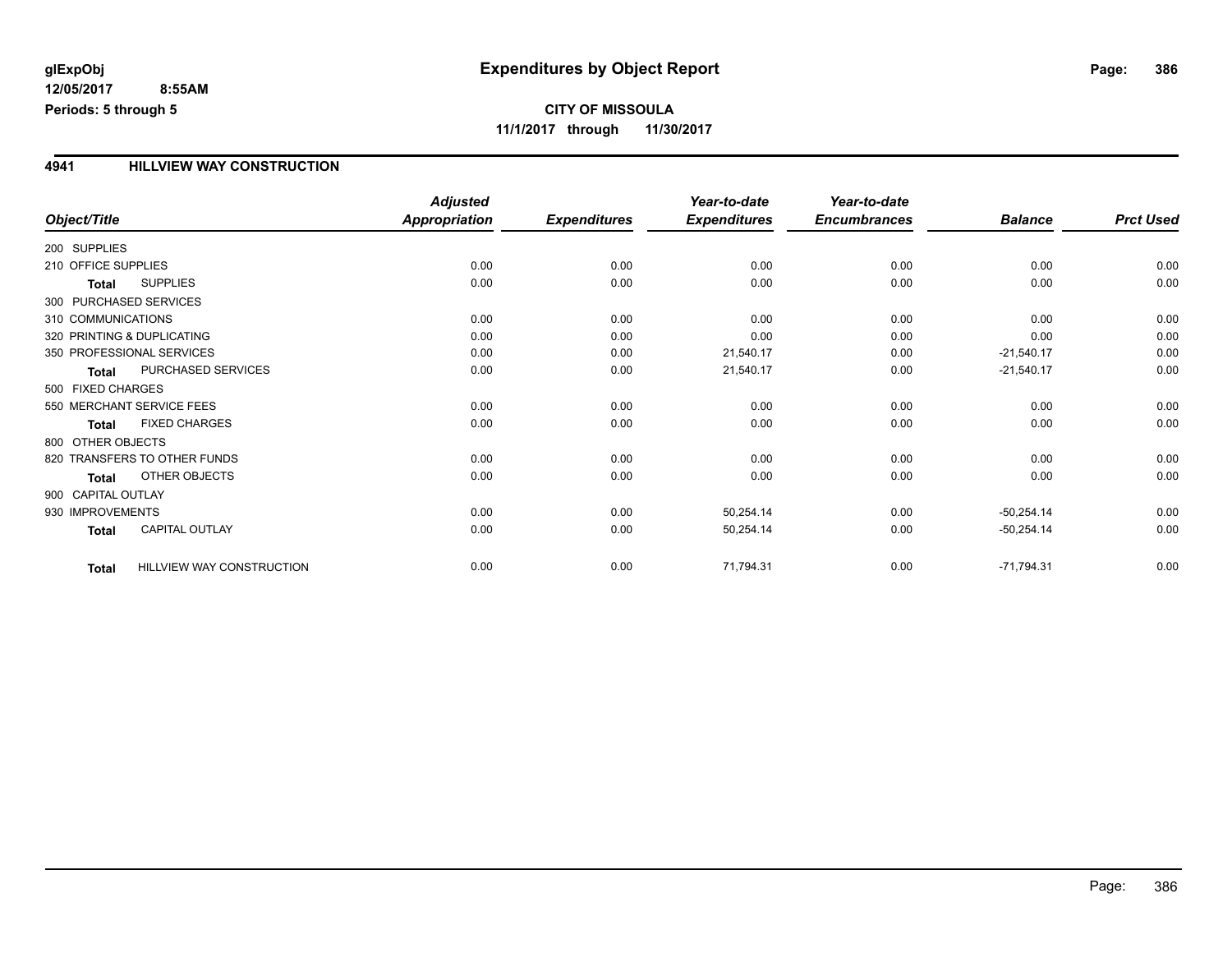## **CITY OF MISSOULA 11/1/2017 through 11/30/2017**

### **4941 HILLVIEW WAY CONSTRUCTION**

|                        |                              | <b>Adjusted</b>      |                     | Year-to-date        | Year-to-date        |                |                  |
|------------------------|------------------------------|----------------------|---------------------|---------------------|---------------------|----------------|------------------|
| Object/Title           |                              | <b>Appropriation</b> | <b>Expenditures</b> | <b>Expenditures</b> | <b>Encumbrances</b> | <b>Balance</b> | <b>Prct Used</b> |
| 200 SUPPLIES           |                              |                      |                     |                     |                     |                |                  |
| 210 OFFICE SUPPLIES    |                              | 0.00                 | 0.00                | 0.00                | 0.00                | 0.00           | 0.00             |
| <b>Total</b>           | <b>SUPPLIES</b>              | 0.00                 | 0.00                | 0.00                | 0.00                | 0.00           | 0.00             |
| 300 PURCHASED SERVICES |                              |                      |                     |                     |                     |                |                  |
| 310 COMMUNICATIONS     |                              | 0.00                 | 0.00                | 0.00                | 0.00                | 0.00           | 0.00             |
|                        | 320 PRINTING & DUPLICATING   | 0.00                 | 0.00                | 0.00                | 0.00                | 0.00           | 0.00             |
|                        | 350 PROFESSIONAL SERVICES    | 0.00                 | 0.00                | 21,540.17           | 0.00                | $-21,540.17$   | 0.00             |
| <b>Total</b>           | PURCHASED SERVICES           | 0.00                 | 0.00                | 21,540.17           | 0.00                | $-21,540.17$   | 0.00             |
| 500 FIXED CHARGES      |                              |                      |                     |                     |                     |                |                  |
|                        | 550 MERCHANT SERVICE FEES    | 0.00                 | 0.00                | 0.00                | 0.00                | 0.00           | 0.00             |
| <b>Total</b>           | <b>FIXED CHARGES</b>         | 0.00                 | 0.00                | 0.00                | 0.00                | 0.00           | 0.00             |
| 800 OTHER OBJECTS      |                              |                      |                     |                     |                     |                |                  |
|                        | 820 TRANSFERS TO OTHER FUNDS | 0.00                 | 0.00                | 0.00                | 0.00                | 0.00           | 0.00             |
| <b>Total</b>           | OTHER OBJECTS                | 0.00                 | 0.00                | 0.00                | 0.00                | 0.00           | 0.00             |
| 900 CAPITAL OUTLAY     |                              |                      |                     |                     |                     |                |                  |
| 930 IMPROVEMENTS       |                              | 0.00                 | 0.00                | 50,254.14           | 0.00                | $-50,254.14$   | 0.00             |
| <b>Total</b>           | CAPITAL OUTLAY               | 0.00                 | 0.00                | 50,254.14           | 0.00                | $-50,254.14$   | 0.00             |
| <b>Total</b>           | HILLVIEW WAY CONSTRUCTION    | 0.00                 | 0.00                | 71,794.31           | 0.00                | $-71,794.31$   | 0.00             |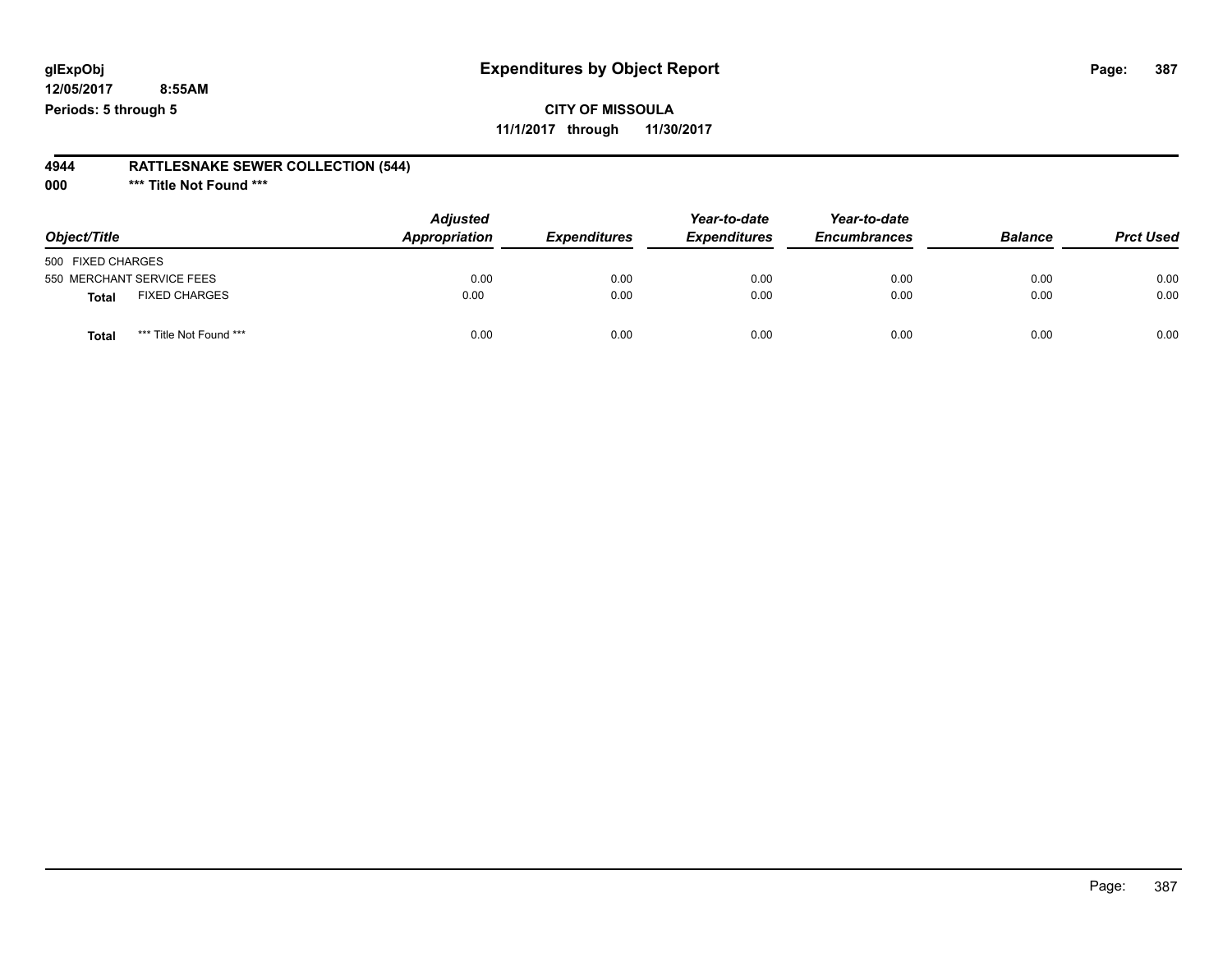## **CITY OF MISSOULA 11/1/2017 through 11/30/2017**

#### **4944 RATTLESNAKE SEWER COLLECTION (544)**

**000 \*\*\* Title Not Found \*\*\***

| Object/Title                         | <b>Adjusted</b><br>Appropriation | <b>Expenditures</b> | Year-to-date<br><b>Expenditures</b> | Year-to-date<br><b>Encumbrances</b> | <b>Balance</b> | <b>Prct Used</b> |
|--------------------------------------|----------------------------------|---------------------|-------------------------------------|-------------------------------------|----------------|------------------|
| 500 FIXED CHARGES                    |                                  |                     |                                     |                                     |                |                  |
| 550 MERCHANT SERVICE FEES            | 0.00                             | 0.00                | 0.00                                | 0.00                                | 0.00           | 0.00             |
| <b>FIXED CHARGES</b><br><b>Total</b> | 0.00                             | 0.00                | 0.00                                | 0.00                                | 0.00           | 0.00             |
| *** Title Not Found ***<br>Total     | 0.00                             | 0.00                | 0.00                                | 0.00                                | 0.00           | 0.00             |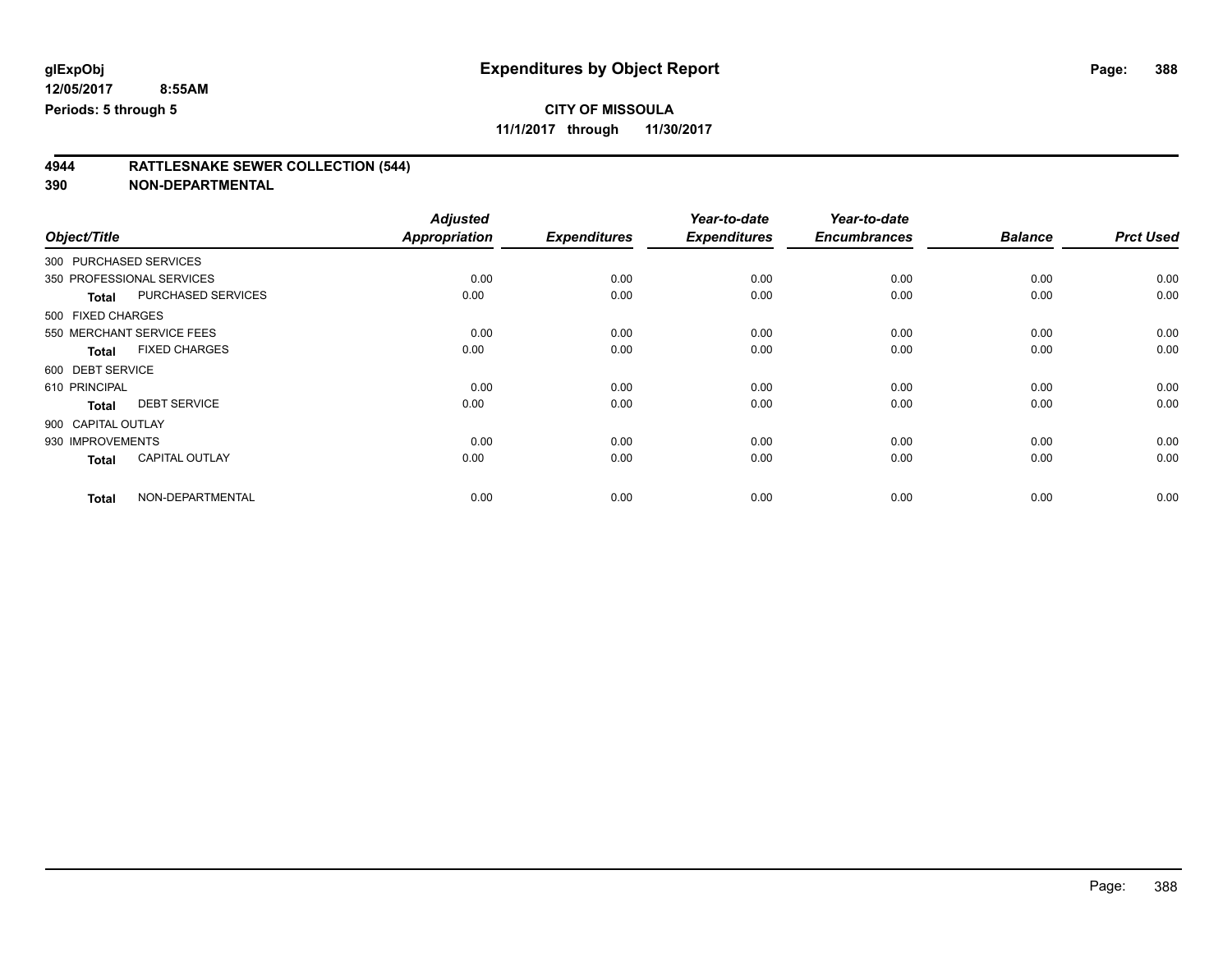**11/1/2017 through 11/30/2017**

# **4944 RATTLESNAKE SEWER COLLECTION (544)**

|                        |                           | <b>Adjusted</b>      |                     | Year-to-date        | Year-to-date        |                |                  |
|------------------------|---------------------------|----------------------|---------------------|---------------------|---------------------|----------------|------------------|
| Object/Title           |                           | <b>Appropriation</b> | <b>Expenditures</b> | <b>Expenditures</b> | <b>Encumbrances</b> | <b>Balance</b> | <b>Prct Used</b> |
| 300 PURCHASED SERVICES |                           |                      |                     |                     |                     |                |                  |
|                        | 350 PROFESSIONAL SERVICES | 0.00                 | 0.00                | 0.00                | 0.00                | 0.00           | 0.00             |
| <b>Total</b>           | PURCHASED SERVICES        | 0.00                 | 0.00                | 0.00                | 0.00                | 0.00           | 0.00             |
| 500 FIXED CHARGES      |                           |                      |                     |                     |                     |                |                  |
|                        | 550 MERCHANT SERVICE FEES | 0.00                 | 0.00                | 0.00                | 0.00                | 0.00           | 0.00             |
| <b>Total</b>           | <b>FIXED CHARGES</b>      | 0.00                 | 0.00                | 0.00                | 0.00                | 0.00           | 0.00             |
| 600 DEBT SERVICE       |                           |                      |                     |                     |                     |                |                  |
| 610 PRINCIPAL          |                           | 0.00                 | 0.00                | 0.00                | 0.00                | 0.00           | 0.00             |
| <b>Total</b>           | <b>DEBT SERVICE</b>       | 0.00                 | 0.00                | 0.00                | 0.00                | 0.00           | 0.00             |
| 900 CAPITAL OUTLAY     |                           |                      |                     |                     |                     |                |                  |
| 930 IMPROVEMENTS       |                           | 0.00                 | 0.00                | 0.00                | 0.00                | 0.00           | 0.00             |
| <b>Total</b>           | <b>CAPITAL OUTLAY</b>     | 0.00                 | 0.00                | 0.00                | 0.00                | 0.00           | 0.00             |
| <b>Total</b>           | NON-DEPARTMENTAL          | 0.00                 | 0.00                | 0.00                | 0.00                | 0.00           | 0.00             |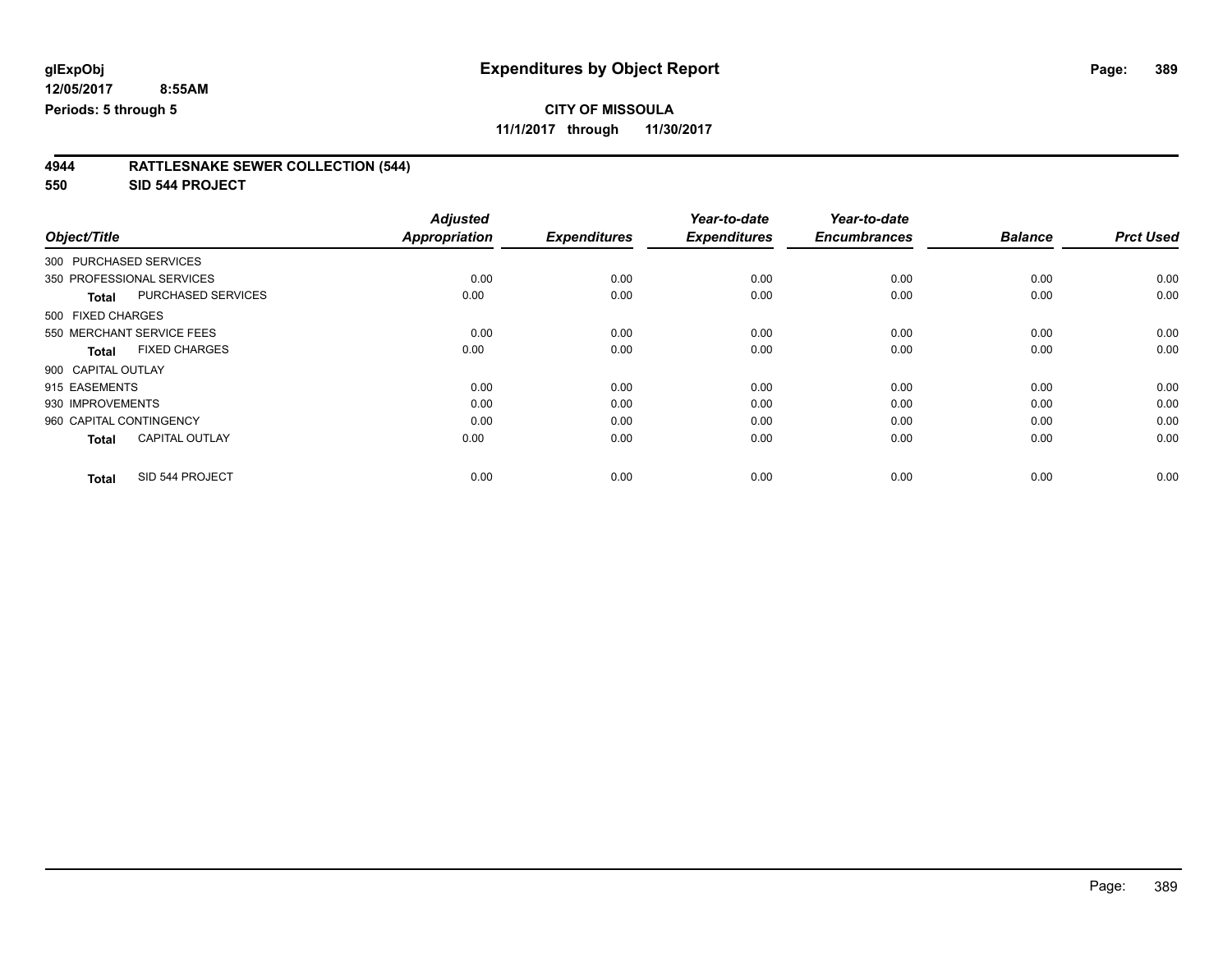**11/1/2017 through 11/30/2017**

| 4944 | <b>RATTLESNAKE SEWER COLLECTION (544)</b> |
|------|-------------------------------------------|
|      |                                           |

**550 SID 544 PROJECT**

| Object/Title            |                           | <b>Adjusted</b><br><b>Appropriation</b> | <b>Expenditures</b> | Year-to-date<br><b>Expenditures</b> | Year-to-date<br><b>Encumbrances</b> | <b>Balance</b> | <b>Prct Used</b> |
|-------------------------|---------------------------|-----------------------------------------|---------------------|-------------------------------------|-------------------------------------|----------------|------------------|
|                         |                           |                                         |                     |                                     |                                     |                |                  |
| 300 PURCHASED SERVICES  |                           |                                         |                     |                                     |                                     |                |                  |
|                         | 350 PROFESSIONAL SERVICES | 0.00                                    | 0.00                | 0.00                                | 0.00                                | 0.00           | 0.00             |
| <b>Total</b>            | PURCHASED SERVICES        | 0.00                                    | 0.00                | 0.00                                | 0.00                                | 0.00           | 0.00             |
| 500 FIXED CHARGES       |                           |                                         |                     |                                     |                                     |                |                  |
|                         | 550 MERCHANT SERVICE FEES | 0.00                                    | 0.00                | 0.00                                | 0.00                                | 0.00           | 0.00             |
| <b>Total</b>            | <b>FIXED CHARGES</b>      | 0.00                                    | 0.00                | 0.00                                | 0.00                                | 0.00           | 0.00             |
| 900 CAPITAL OUTLAY      |                           |                                         |                     |                                     |                                     |                |                  |
| 915 EASEMENTS           |                           | 0.00                                    | 0.00                | 0.00                                | 0.00                                | 0.00           | 0.00             |
| 930 IMPROVEMENTS        |                           | 0.00                                    | 0.00                | 0.00                                | 0.00                                | 0.00           | 0.00             |
| 960 CAPITAL CONTINGENCY |                           | 0.00                                    | 0.00                | 0.00                                | 0.00                                | 0.00           | 0.00             |
| <b>Total</b>            | <b>CAPITAL OUTLAY</b>     | 0.00                                    | 0.00                | 0.00                                | 0.00                                | 0.00           | 0.00             |
| <b>Total</b>            | SID 544 PROJECT           | 0.00                                    | 0.00                | 0.00                                | 0.00                                | 0.00           | 0.00             |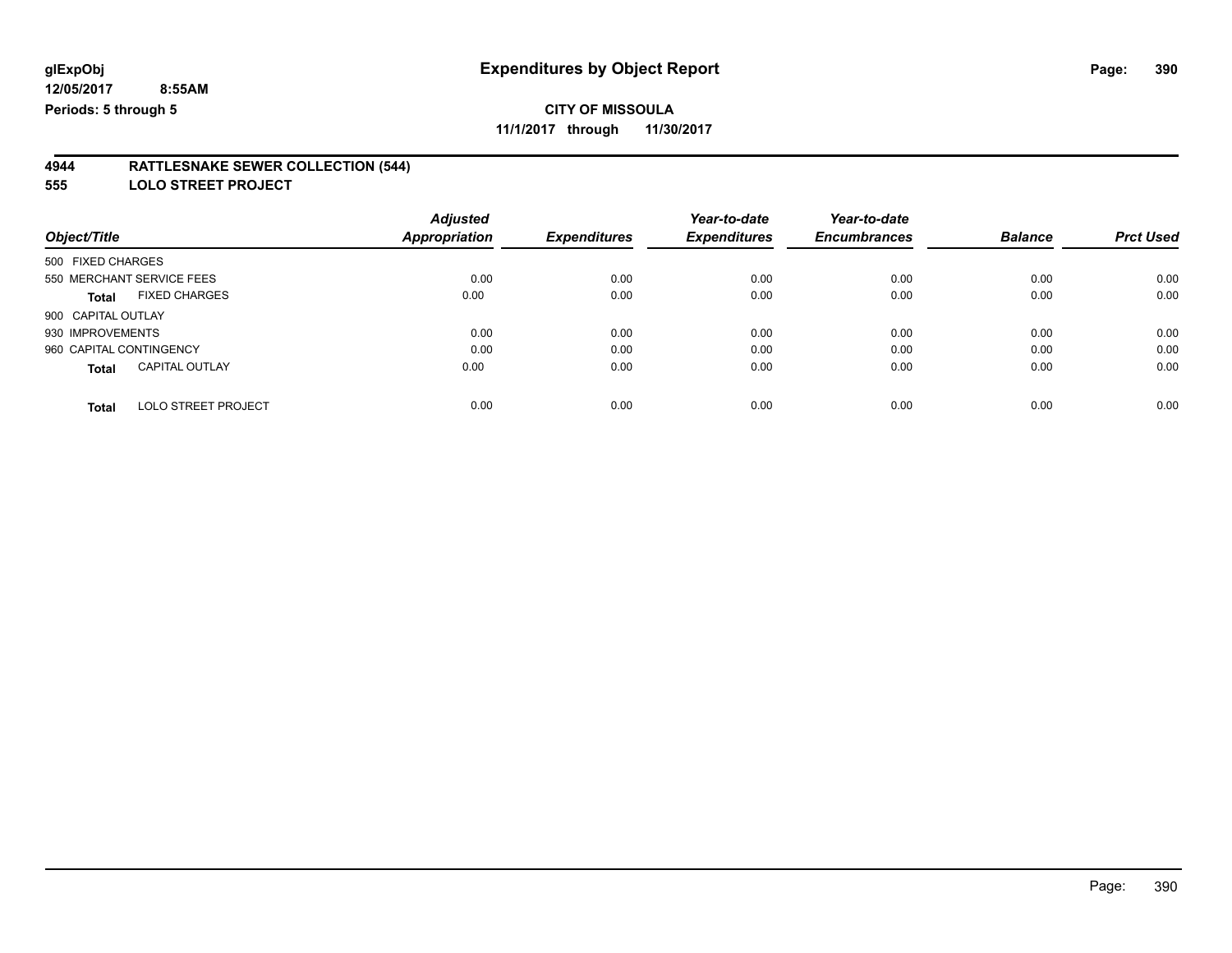# **CITY OF MISSOULA**

**11/1/2017 through 11/30/2017**

#### **4944 RATTLESNAKE SEWER COLLECTION (544)**

**555 LOLO STREET PROJECT**

|                                            | <b>Adjusted</b> |                     | Year-to-date        | Year-to-date        |                |                  |
|--------------------------------------------|-----------------|---------------------|---------------------|---------------------|----------------|------------------|
| Object/Title                               | Appropriation   | <b>Expenditures</b> | <b>Expenditures</b> | <b>Encumbrances</b> | <b>Balance</b> | <b>Prct Used</b> |
| 500 FIXED CHARGES                          |                 |                     |                     |                     |                |                  |
| 550 MERCHANT SERVICE FEES                  | 0.00            | 0.00                | 0.00                | 0.00                | 0.00           | 0.00             |
| <b>FIXED CHARGES</b><br><b>Total</b>       | 0.00            | 0.00                | 0.00                | 0.00                | 0.00           | 0.00             |
| 900 CAPITAL OUTLAY                         |                 |                     |                     |                     |                |                  |
| 930 IMPROVEMENTS                           | 0.00            | 0.00                | 0.00                | 0.00                | 0.00           | 0.00             |
| 960 CAPITAL CONTINGENCY                    | 0.00            | 0.00                | 0.00                | 0.00                | 0.00           | 0.00             |
| <b>CAPITAL OUTLAY</b><br><b>Total</b>      | 0.00            | 0.00                | 0.00                | 0.00                | 0.00           | 0.00             |
| <b>LOLO STREET PROJECT</b><br><b>Total</b> | 0.00            | 0.00                | 0.00                | 0.00                | 0.00           | 0.00             |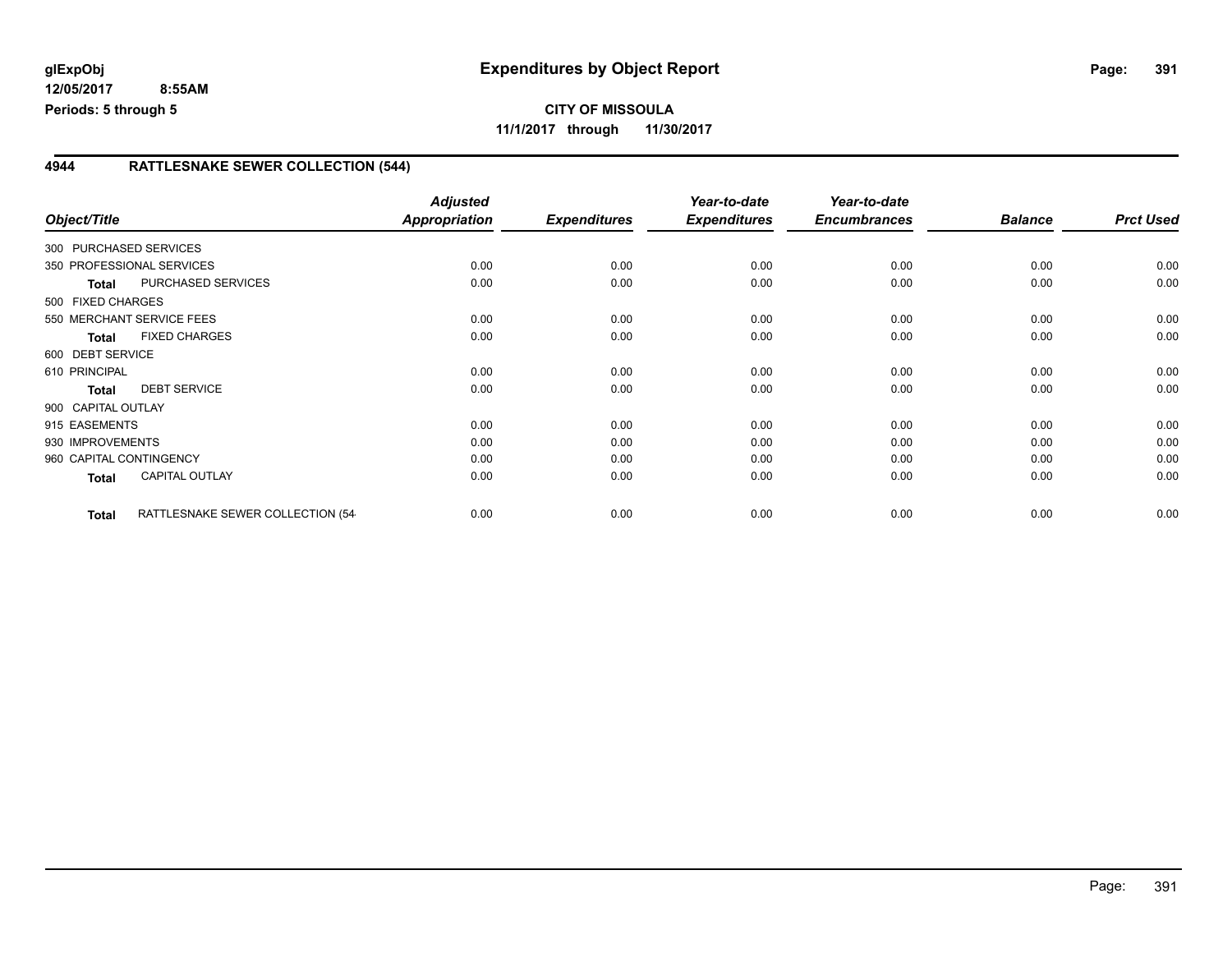**CITY OF MISSOULA 11/1/2017 through 11/30/2017**

## **4944 RATTLESNAKE SEWER COLLECTION (544)**

|                         |                                   | <b>Adjusted</b> |                     | Year-to-date        | Year-to-date        |                |                  |
|-------------------------|-----------------------------------|-----------------|---------------------|---------------------|---------------------|----------------|------------------|
| Object/Title            |                                   | Appropriation   | <b>Expenditures</b> | <b>Expenditures</b> | <b>Encumbrances</b> | <b>Balance</b> | <b>Prct Used</b> |
| 300 PURCHASED SERVICES  |                                   |                 |                     |                     |                     |                |                  |
|                         | 350 PROFESSIONAL SERVICES         | 0.00            | 0.00                | 0.00                | 0.00                | 0.00           | 0.00             |
| Total                   | PURCHASED SERVICES                | 0.00            | 0.00                | 0.00                | 0.00                | 0.00           | 0.00             |
| 500 FIXED CHARGES       |                                   |                 |                     |                     |                     |                |                  |
|                         | 550 MERCHANT SERVICE FEES         | 0.00            | 0.00                | 0.00                | 0.00                | 0.00           | 0.00             |
| <b>Total</b>            | <b>FIXED CHARGES</b>              | 0.00            | 0.00                | 0.00                | 0.00                | 0.00           | 0.00             |
| 600 DEBT SERVICE        |                                   |                 |                     |                     |                     |                |                  |
| 610 PRINCIPAL           |                                   | 0.00            | 0.00                | 0.00                | 0.00                | 0.00           | 0.00             |
| <b>Total</b>            | <b>DEBT SERVICE</b>               | 0.00            | 0.00                | 0.00                | 0.00                | 0.00           | 0.00             |
| 900 CAPITAL OUTLAY      |                                   |                 |                     |                     |                     |                |                  |
| 915 EASEMENTS           |                                   | 0.00            | 0.00                | 0.00                | 0.00                | 0.00           | 0.00             |
| 930 IMPROVEMENTS        |                                   | 0.00            | 0.00                | 0.00                | 0.00                | 0.00           | 0.00             |
| 960 CAPITAL CONTINGENCY |                                   | 0.00            | 0.00                | 0.00                | 0.00                | 0.00           | 0.00             |
| <b>Total</b>            | CAPITAL OUTLAY                    | 0.00            | 0.00                | 0.00                | 0.00                | 0.00           | 0.00             |
|                         |                                   |                 |                     |                     |                     |                |                  |
| <b>Total</b>            | RATTLESNAKE SEWER COLLECTION (54- | 0.00            | 0.00                | 0.00                | 0.00                | 0.00           | 0.00             |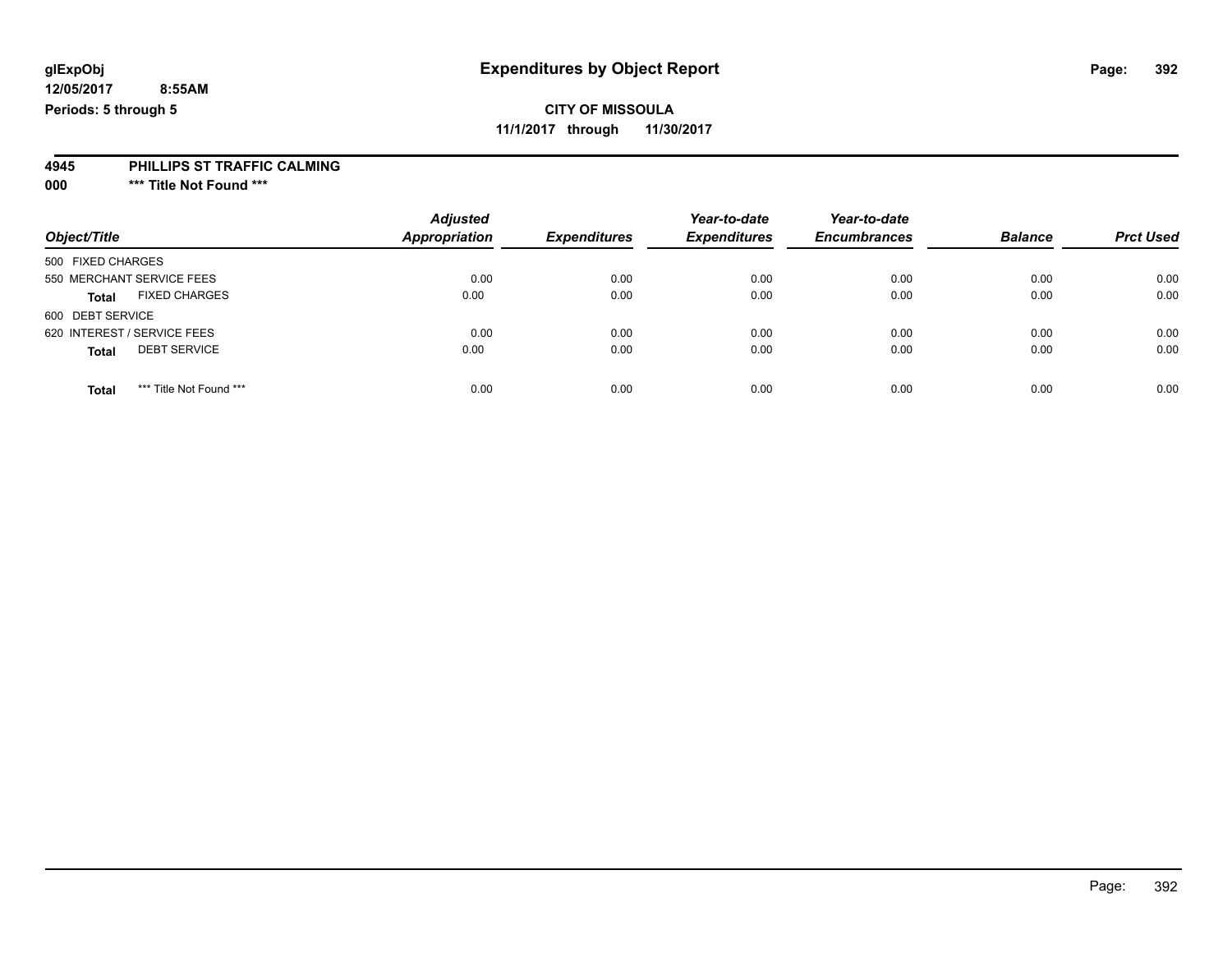# **CITY OF MISSOULA**

**11/1/2017 through 11/30/2017**

### **4945 PHILLIPS ST TRAFFIC CALMING**

**000 \*\*\* Title Not Found \*\*\***

| Object/Title                            | <b>Adjusted</b><br>Appropriation | <b>Expenditures</b> | Year-to-date<br><b>Expenditures</b> | Year-to-date<br><b>Encumbrances</b> | <b>Balance</b> | <b>Prct Used</b> |
|-----------------------------------------|----------------------------------|---------------------|-------------------------------------|-------------------------------------|----------------|------------------|
| 500 FIXED CHARGES                       |                                  |                     |                                     |                                     |                |                  |
| 550 MERCHANT SERVICE FEES               | 0.00                             | 0.00                | 0.00                                | 0.00                                | 0.00           | 0.00             |
| <b>FIXED CHARGES</b><br><b>Total</b>    | 0.00                             | 0.00                | 0.00                                | 0.00                                | 0.00           | 0.00             |
| 600 DEBT SERVICE                        |                                  |                     |                                     |                                     |                |                  |
| 620 INTEREST / SERVICE FEES             | 0.00                             | 0.00                | 0.00                                | 0.00                                | 0.00           | 0.00             |
| <b>DEBT SERVICE</b><br><b>Total</b>     | 0.00                             | 0.00                | 0.00                                | 0.00                                | 0.00           | 0.00             |
| *** Title Not Found ***<br><b>Total</b> | 0.00                             | 0.00                | 0.00                                | 0.00                                | 0.00           | 0.00             |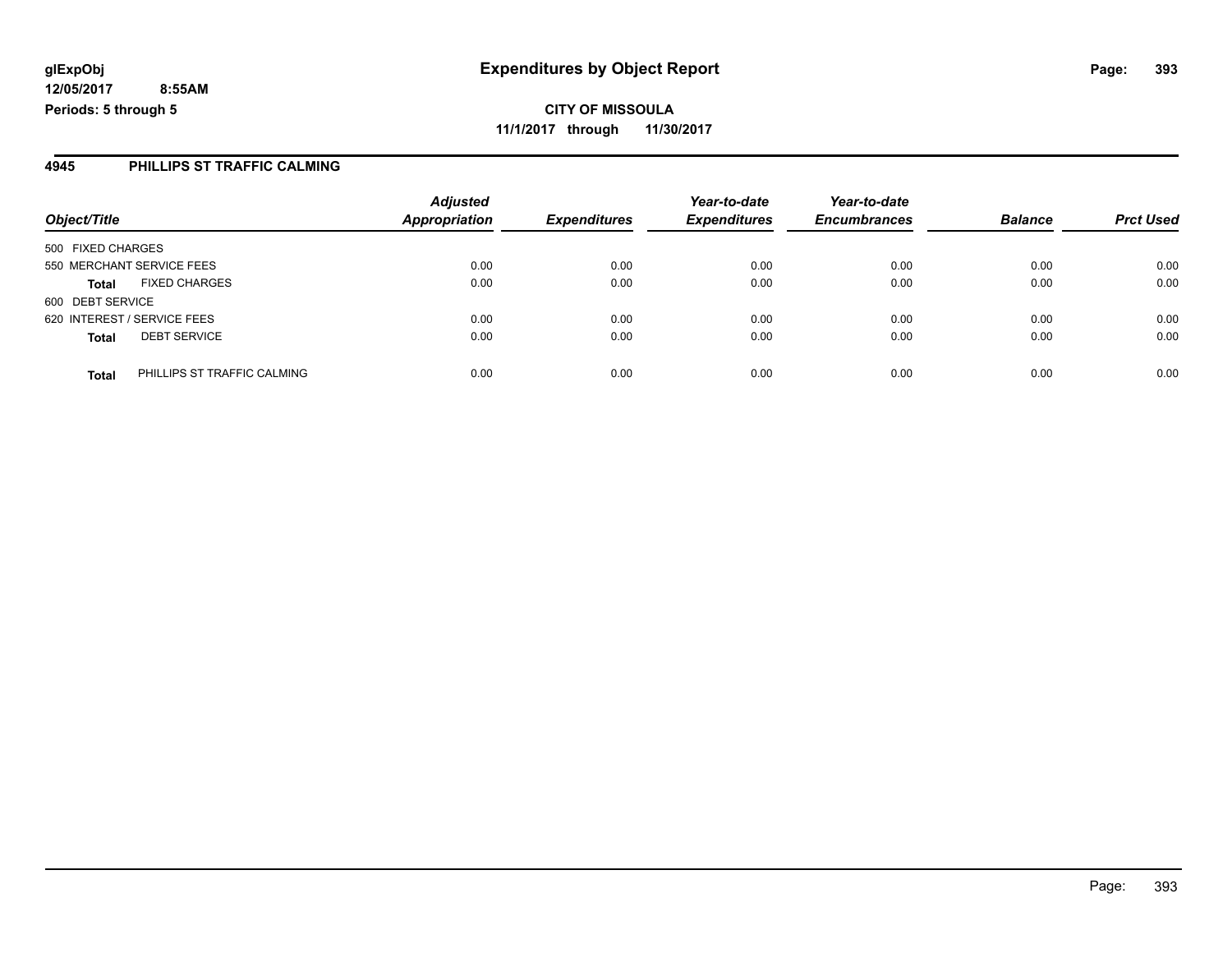### **4945 PHILLIPS ST TRAFFIC CALMING**

|                             |                             | <b>Adjusted</b>      |                     | Year-to-date        | Year-to-date        |                |                  |
|-----------------------------|-----------------------------|----------------------|---------------------|---------------------|---------------------|----------------|------------------|
| Object/Title                |                             | <b>Appropriation</b> | <b>Expenditures</b> | <b>Expenditures</b> | <b>Encumbrances</b> | <b>Balance</b> | <b>Prct Used</b> |
| 500 FIXED CHARGES           |                             |                      |                     |                     |                     |                |                  |
| 550 MERCHANT SERVICE FEES   |                             | 0.00                 | 0.00                | 0.00                | 0.00                | 0.00           | 0.00             |
| <b>Total</b>                | <b>FIXED CHARGES</b>        | 0.00                 | 0.00                | 0.00                | 0.00                | 0.00           | 0.00             |
| 600 DEBT SERVICE            |                             |                      |                     |                     |                     |                |                  |
| 620 INTEREST / SERVICE FEES |                             | 0.00                 | 0.00                | 0.00                | 0.00                | 0.00           | 0.00             |
| <b>Total</b>                | <b>DEBT SERVICE</b>         | 0.00                 | 0.00                | 0.00                | 0.00                | 0.00           | 0.00             |
| <b>Total</b>                | PHILLIPS ST TRAFFIC CALMING | 0.00                 | 0.00                | 0.00                | 0.00                | 0.00           | 0.00             |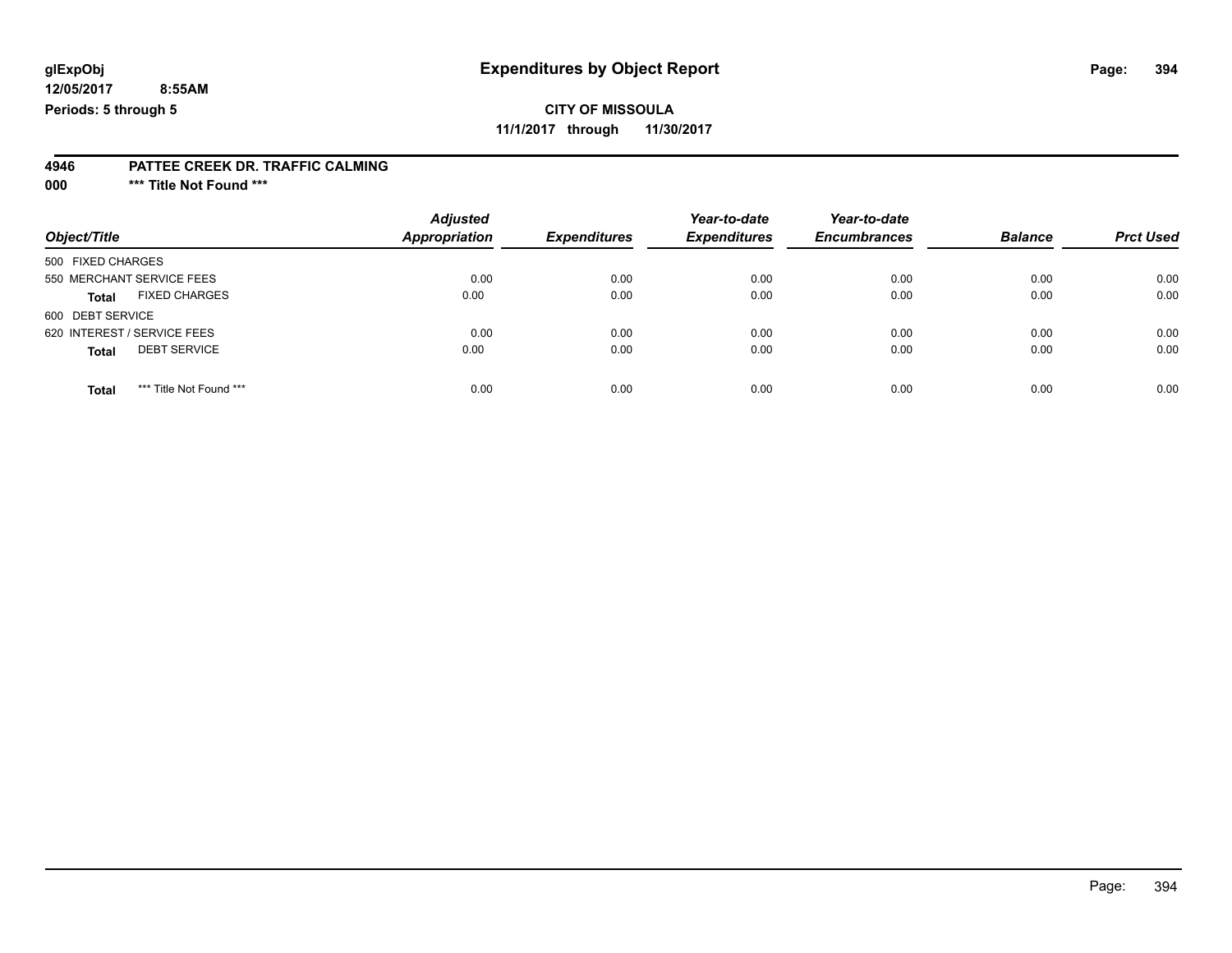# **CITY OF MISSOULA**

**11/1/2017 through 11/30/2017**

#### **4946 PATTEE CREEK DR. TRAFFIC CALMING**

**000 \*\*\* Title Not Found \*\*\***

| Object/Title                            | <b>Adjusted</b><br>Appropriation | <b>Expenditures</b> | Year-to-date<br><b>Expenditures</b> | Year-to-date<br><b>Encumbrances</b> | <b>Balance</b> | <b>Prct Used</b> |
|-----------------------------------------|----------------------------------|---------------------|-------------------------------------|-------------------------------------|----------------|------------------|
| 500 FIXED CHARGES                       |                                  |                     |                                     |                                     |                |                  |
| 550 MERCHANT SERVICE FEES               | 0.00                             | 0.00                | 0.00                                | 0.00                                | 0.00           | 0.00             |
| <b>FIXED CHARGES</b><br><b>Total</b>    | 0.00                             | 0.00                | 0.00                                | 0.00                                | 0.00           | 0.00             |
| 600 DEBT SERVICE                        |                                  |                     |                                     |                                     |                |                  |
| 620 INTEREST / SERVICE FEES             | 0.00                             | 0.00                | 0.00                                | 0.00                                | 0.00           | 0.00             |
| <b>DEBT SERVICE</b><br><b>Total</b>     | 0.00                             | 0.00                | 0.00                                | 0.00                                | 0.00           | 0.00             |
|                                         |                                  |                     |                                     |                                     |                |                  |
| *** Title Not Found ***<br><b>Total</b> | 0.00                             | 0.00                | 0.00                                | 0.00                                | 0.00           | 0.00             |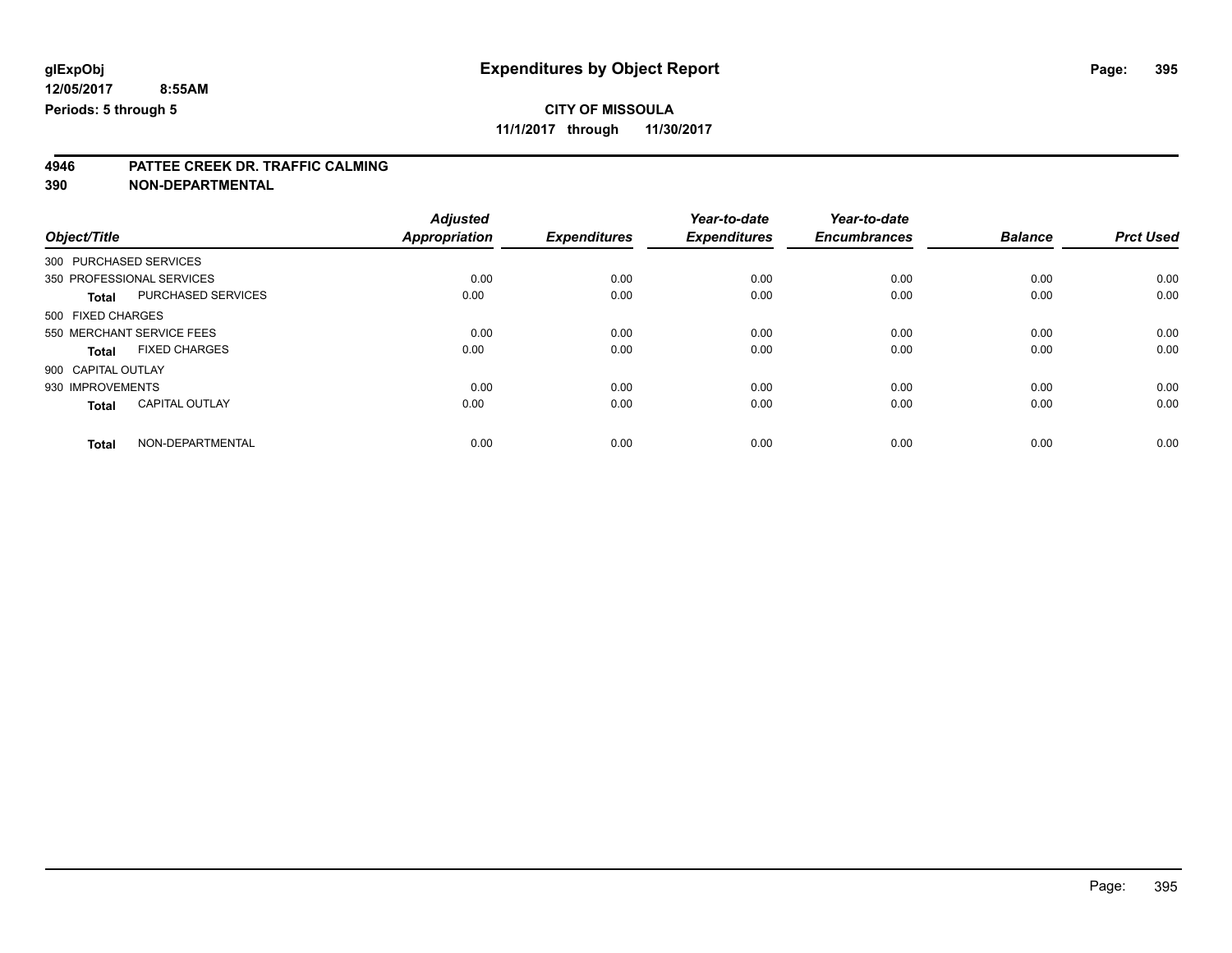**11/1/2017 through 11/30/2017**

# **4946 PATTEE CREEK DR. TRAFFIC CALMING**

|                        |                           | <b>Adjusted</b>      |                     | Year-to-date        | Year-to-date        |                |                  |
|------------------------|---------------------------|----------------------|---------------------|---------------------|---------------------|----------------|------------------|
| Object/Title           |                           | <b>Appropriation</b> | <b>Expenditures</b> | <b>Expenditures</b> | <b>Encumbrances</b> | <b>Balance</b> | <b>Prct Used</b> |
| 300 PURCHASED SERVICES |                           |                      |                     |                     |                     |                |                  |
|                        | 350 PROFESSIONAL SERVICES | 0.00                 | 0.00                | 0.00                | 0.00                | 0.00           | 0.00             |
| <b>Total</b>           | PURCHASED SERVICES        | 0.00                 | 0.00                | 0.00                | 0.00                | 0.00           | 0.00             |
| 500 FIXED CHARGES      |                           |                      |                     |                     |                     |                |                  |
|                        | 550 MERCHANT SERVICE FEES | 0.00                 | 0.00                | 0.00                | 0.00                | 0.00           | 0.00             |
| <b>Total</b>           | <b>FIXED CHARGES</b>      | 0.00                 | 0.00                | 0.00                | 0.00                | 0.00           | 0.00             |
| 900 CAPITAL OUTLAY     |                           |                      |                     |                     |                     |                |                  |
| 930 IMPROVEMENTS       |                           | 0.00                 | 0.00                | 0.00                | 0.00                | 0.00           | 0.00             |
| <b>Total</b>           | <b>CAPITAL OUTLAY</b>     | 0.00                 | 0.00                | 0.00                | 0.00                | 0.00           | 0.00             |
| <b>Total</b>           | NON-DEPARTMENTAL          | 0.00                 | 0.00                | 0.00                | 0.00                | 0.00           | 0.00             |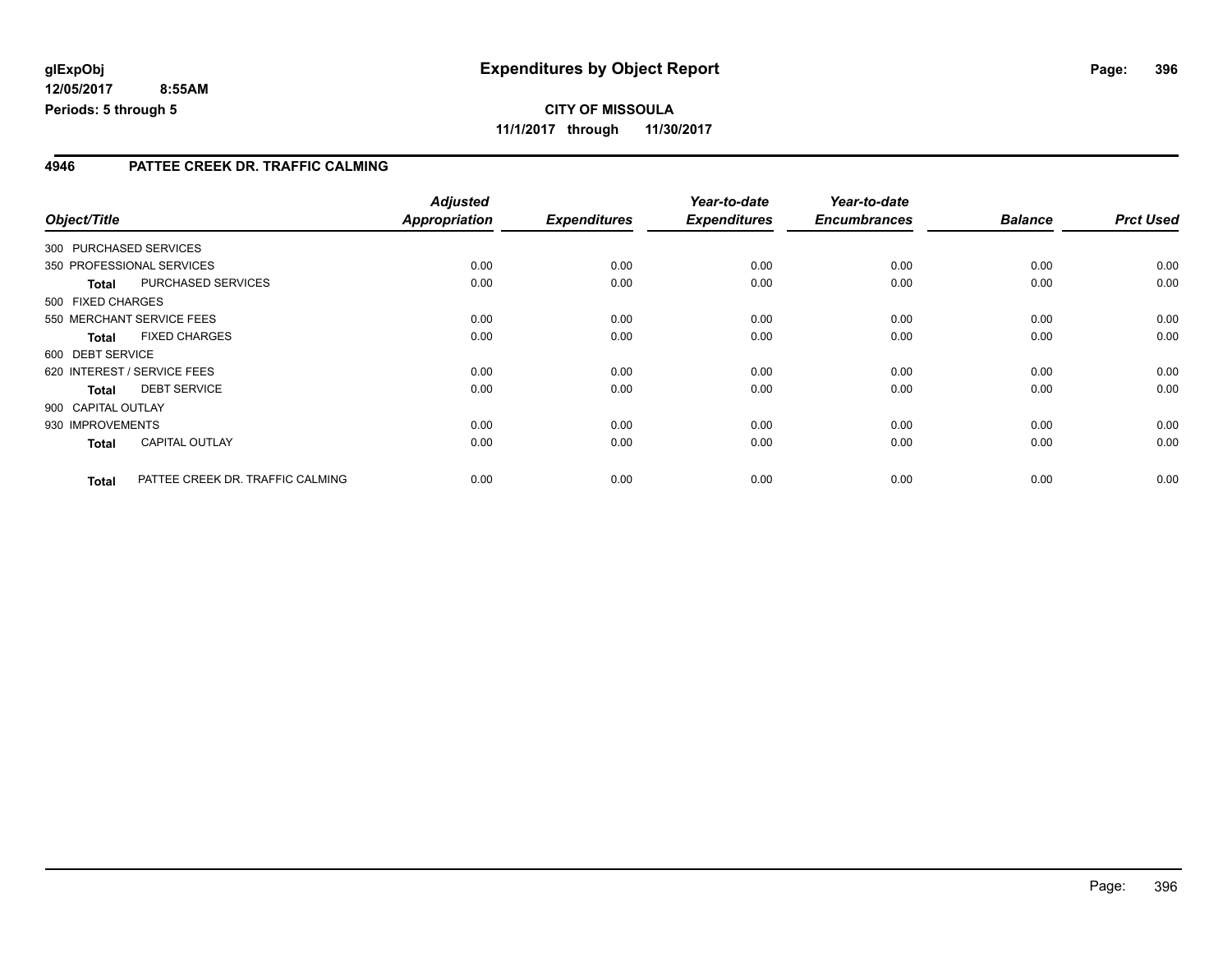### **4946 PATTEE CREEK DR. TRAFFIC CALMING**

|              |                           |                                  | <b>Adjusted</b>      |                     | Year-to-date        | Year-to-date        |                |                  |
|--------------|---------------------------|----------------------------------|----------------------|---------------------|---------------------|---------------------|----------------|------------------|
| Object/Title |                           |                                  | <b>Appropriation</b> | <b>Expenditures</b> | <b>Expenditures</b> | <b>Encumbrances</b> | <b>Balance</b> | <b>Prct Used</b> |
|              |                           | 300 PURCHASED SERVICES           |                      |                     |                     |                     |                |                  |
|              | 350 PROFESSIONAL SERVICES |                                  | 0.00                 | 0.00                | 0.00                | 0.00                | 0.00           | 0.00             |
|              | <b>Total</b>              | PURCHASED SERVICES               | 0.00                 | 0.00                | 0.00                | 0.00                | 0.00           | 0.00             |
|              | 500 FIXED CHARGES         |                                  |                      |                     |                     |                     |                |                  |
|              |                           | 550 MERCHANT SERVICE FEES        | 0.00                 | 0.00                | 0.00                | 0.00                | 0.00           | 0.00             |
|              | <b>Total</b>              | <b>FIXED CHARGES</b>             | 0.00                 | 0.00                | 0.00                | 0.00                | 0.00           | 0.00             |
|              | 600 DEBT SERVICE          |                                  |                      |                     |                     |                     |                |                  |
|              |                           | 620 INTEREST / SERVICE FEES      | 0.00                 | 0.00                | 0.00                | 0.00                | 0.00           | 0.00             |
|              | <b>Total</b>              | <b>DEBT SERVICE</b>              | 0.00                 | 0.00                | 0.00                | 0.00                | 0.00           | 0.00             |
|              | 900 CAPITAL OUTLAY        |                                  |                      |                     |                     |                     |                |                  |
|              | 930 IMPROVEMENTS          |                                  | 0.00                 | 0.00                | 0.00                | 0.00                | 0.00           | 0.00             |
|              | <b>Total</b>              | <b>CAPITAL OUTLAY</b>            | 0.00                 | 0.00                | 0.00                | 0.00                | 0.00           | 0.00             |
|              | <b>Total</b>              | PATTEE CREEK DR. TRAFFIC CALMING | 0.00                 | 0.00                | 0.00                | 0.00                | 0.00           | 0.00             |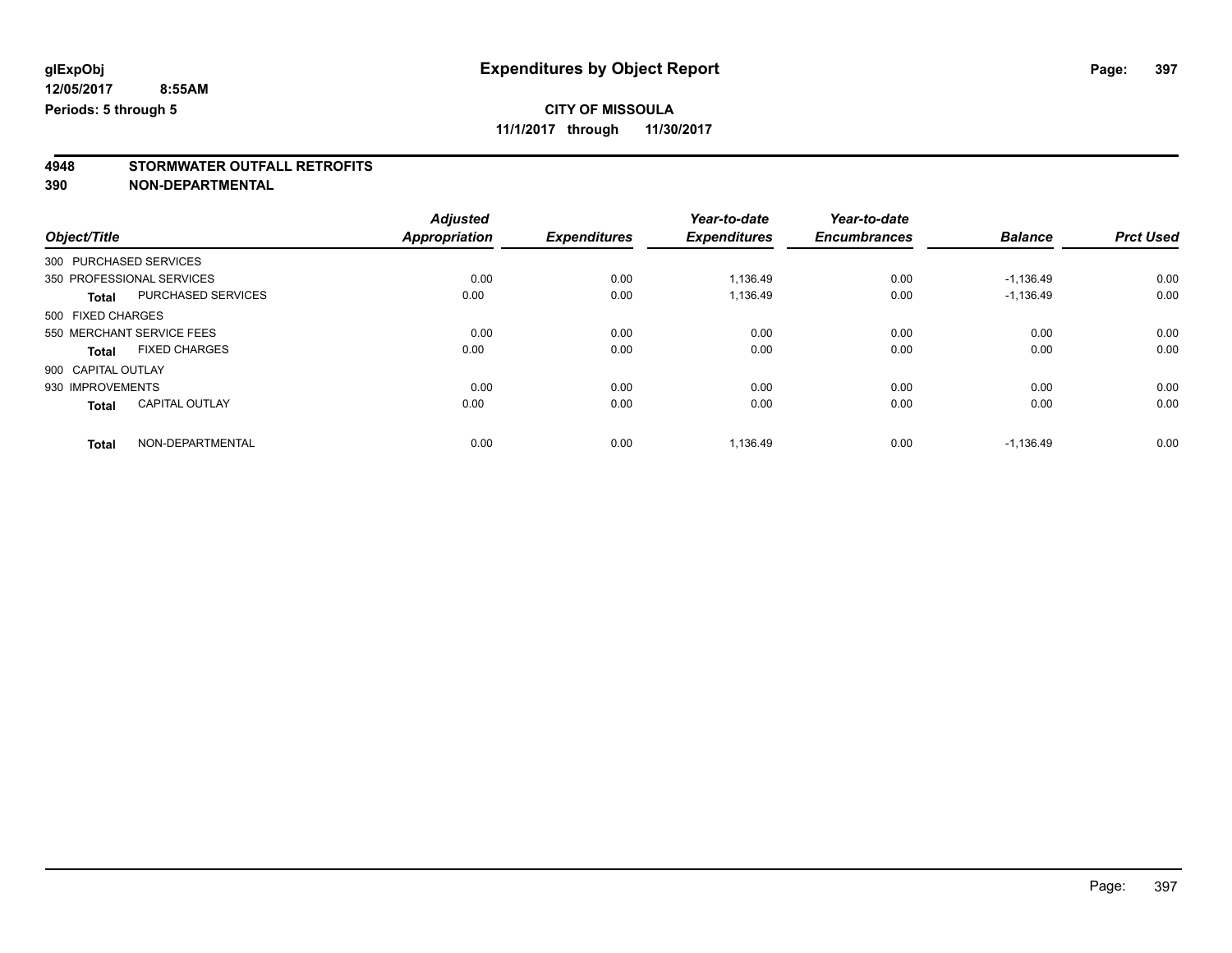### **CITY OF MISSOULA**

**11/1/2017 through 11/30/2017**

# **4948 STORMWATER OUTFALL RETROFITS**

**390 NON-DEPARTMENTAL**

|                    |                           | <b>Adjusted</b> |                     | Year-to-date        | Year-to-date        |                |                  |
|--------------------|---------------------------|-----------------|---------------------|---------------------|---------------------|----------------|------------------|
| Object/Title       |                           | Appropriation   | <b>Expenditures</b> | <b>Expenditures</b> | <b>Encumbrances</b> | <b>Balance</b> | <b>Prct Used</b> |
|                    | 300 PURCHASED SERVICES    |                 |                     |                     |                     |                |                  |
|                    | 350 PROFESSIONAL SERVICES | 0.00            | 0.00                | 1,136.49            | 0.00                | $-1,136.49$    | 0.00             |
| <b>Total</b>       | <b>PURCHASED SERVICES</b> | 0.00            | 0.00                | 1,136.49            | 0.00                | $-1,136.49$    | 0.00             |
| 500 FIXED CHARGES  |                           |                 |                     |                     |                     |                |                  |
|                    | 550 MERCHANT SERVICE FEES | 0.00            | 0.00                | 0.00                | 0.00                | 0.00           | 0.00             |
| Total              | <b>FIXED CHARGES</b>      | 0.00            | 0.00                | 0.00                | 0.00                | 0.00           | 0.00             |
| 900 CAPITAL OUTLAY |                           |                 |                     |                     |                     |                |                  |
| 930 IMPROVEMENTS   |                           | 0.00            | 0.00                | 0.00                | 0.00                | 0.00           | 0.00             |
| <b>Total</b>       | <b>CAPITAL OUTLAY</b>     | 0.00            | 0.00                | 0.00                | 0.00                | 0.00           | 0.00             |
| <b>Total</b>       | NON-DEPARTMENTAL          | 0.00            | 0.00                | 1,136.49            | 0.00                | $-1,136.49$    | 0.00             |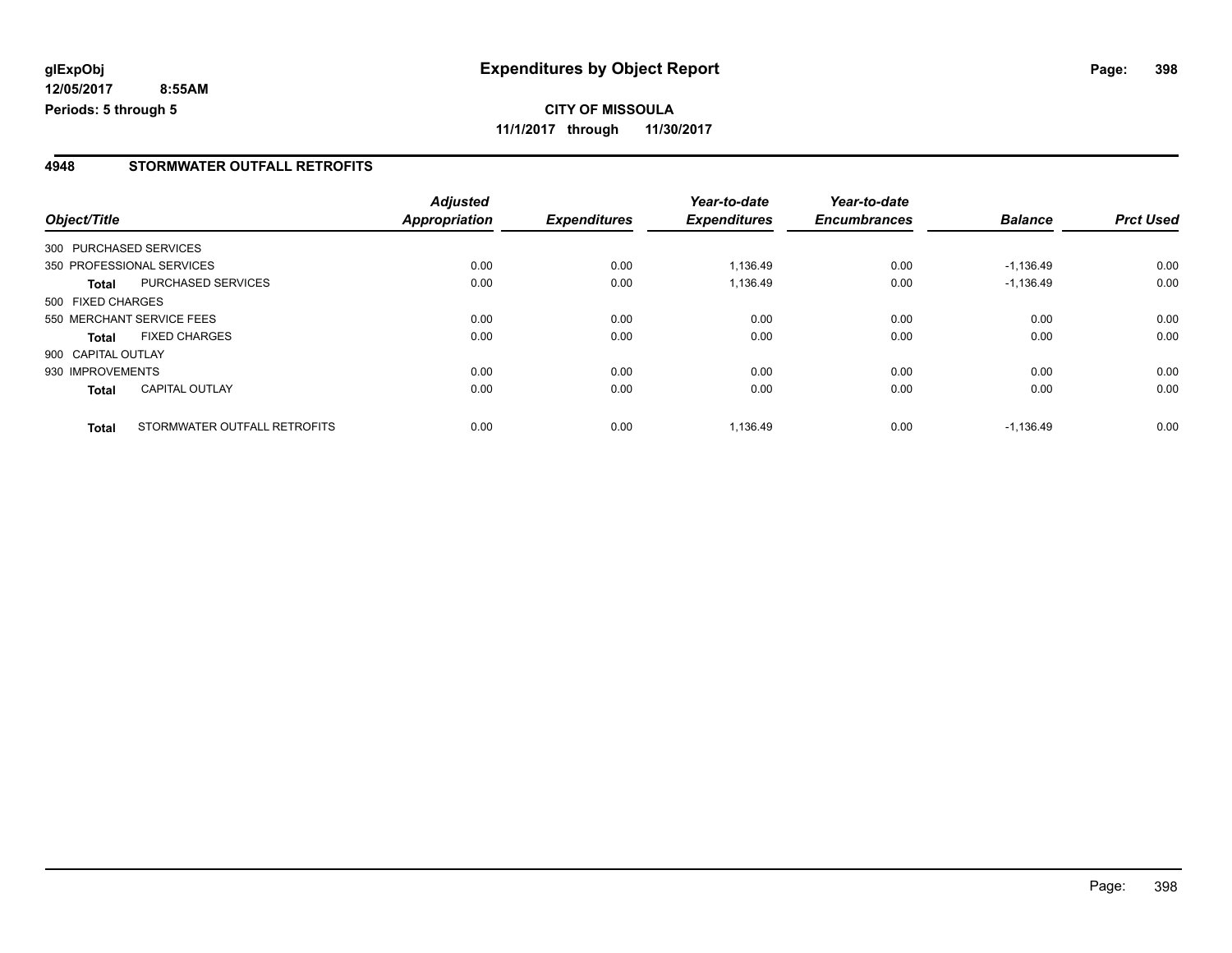**12/05/2017 8:55AM Periods: 5 through 5**

#### **4948 STORMWATER OUTFALL RETROFITS**

|                    |                              | <b>Adjusted</b>      |                     | Year-to-date        | Year-to-date        |                |                  |
|--------------------|------------------------------|----------------------|---------------------|---------------------|---------------------|----------------|------------------|
| Object/Title       |                              | <b>Appropriation</b> | <b>Expenditures</b> | <b>Expenditures</b> | <b>Encumbrances</b> | <b>Balance</b> | <b>Prct Used</b> |
|                    | 300 PURCHASED SERVICES       |                      |                     |                     |                     |                |                  |
|                    | 350 PROFESSIONAL SERVICES    | 0.00                 | 0.00                | 1.136.49            | 0.00                | $-1,136.49$    | 0.00             |
| Total              | PURCHASED SERVICES           | 0.00                 | 0.00                | 1,136.49            | 0.00                | $-1,136.49$    | 0.00             |
| 500 FIXED CHARGES  |                              |                      |                     |                     |                     |                |                  |
|                    | 550 MERCHANT SERVICE FEES    | 0.00                 | 0.00                | 0.00                | 0.00                | 0.00           | 0.00             |
| <b>Total</b>       | <b>FIXED CHARGES</b>         | 0.00                 | 0.00                | 0.00                | 0.00                | 0.00           | 0.00             |
| 900 CAPITAL OUTLAY |                              |                      |                     |                     |                     |                |                  |
| 930 IMPROVEMENTS   |                              | 0.00                 | 0.00                | 0.00                | 0.00                | 0.00           | 0.00             |
| <b>Total</b>       | <b>CAPITAL OUTLAY</b>        | 0.00                 | 0.00                | 0.00                | 0.00                | 0.00           | 0.00             |
| <b>Total</b>       | STORMWATER OUTFALL RETROFITS | 0.00                 | 0.00                | 1.136.49            | 0.00                | $-1.136.49$    | 0.00             |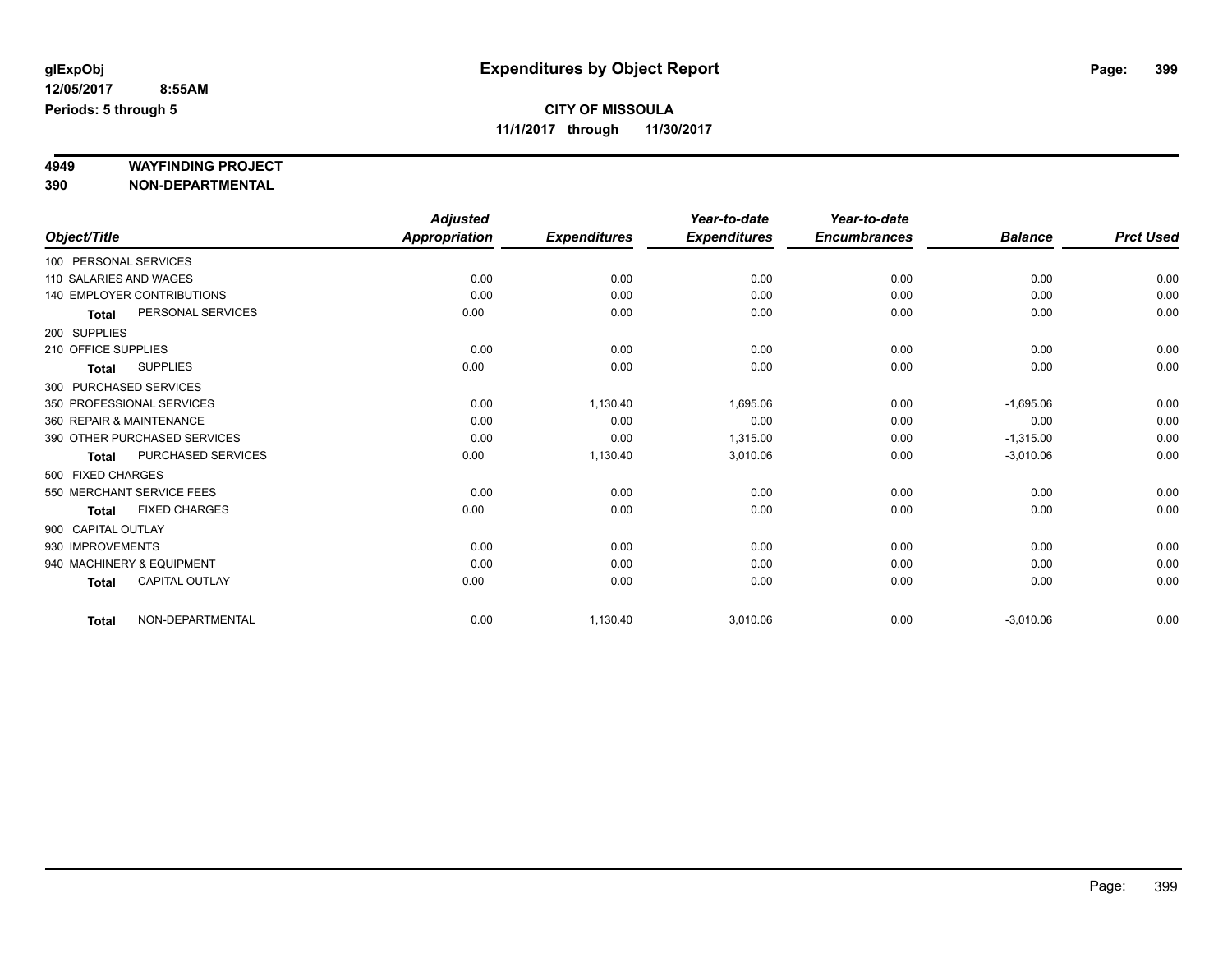# **4949 WAYFINDING PROJECT**

**390 NON-DEPARTMENTAL**

|                     |                                   | <b>Adjusted</b>      |                     | Year-to-date        | Year-to-date        |                |                  |
|---------------------|-----------------------------------|----------------------|---------------------|---------------------|---------------------|----------------|------------------|
| Object/Title        |                                   | <b>Appropriation</b> | <b>Expenditures</b> | <b>Expenditures</b> | <b>Encumbrances</b> | <b>Balance</b> | <b>Prct Used</b> |
|                     | 100 PERSONAL SERVICES             |                      |                     |                     |                     |                |                  |
|                     | 110 SALARIES AND WAGES            | 0.00                 | 0.00                | 0.00                | 0.00                | 0.00           | 0.00             |
|                     | <b>140 EMPLOYER CONTRIBUTIONS</b> | 0.00                 | 0.00                | 0.00                | 0.00                | 0.00           | 0.00             |
| <b>Total</b>        | PERSONAL SERVICES                 | 0.00                 | 0.00                | 0.00                | 0.00                | 0.00           | 0.00             |
| 200 SUPPLIES        |                                   |                      |                     |                     |                     |                |                  |
| 210 OFFICE SUPPLIES |                                   | 0.00                 | 0.00                | 0.00                | 0.00                | 0.00           | 0.00             |
| <b>Total</b>        | <b>SUPPLIES</b>                   | 0.00                 | 0.00                | 0.00                | 0.00                | 0.00           | 0.00             |
|                     | 300 PURCHASED SERVICES            |                      |                     |                     |                     |                |                  |
|                     | 350 PROFESSIONAL SERVICES         | 0.00                 | 1,130.40            | 1,695.06            | 0.00                | $-1,695.06$    | 0.00             |
|                     | 360 REPAIR & MAINTENANCE          | 0.00                 | 0.00                | 0.00                | 0.00                | 0.00           | 0.00             |
|                     | 390 OTHER PURCHASED SERVICES      | 0.00                 | 0.00                | 1,315.00            | 0.00                | $-1,315.00$    | 0.00             |
| <b>Total</b>        | <b>PURCHASED SERVICES</b>         | 0.00                 | 1,130.40            | 3,010.06            | 0.00                | $-3,010.06$    | 0.00             |
| 500 FIXED CHARGES   |                                   |                      |                     |                     |                     |                |                  |
|                     | 550 MERCHANT SERVICE FEES         | 0.00                 | 0.00                | 0.00                | 0.00                | 0.00           | 0.00             |
| <b>Total</b>        | <b>FIXED CHARGES</b>              | 0.00                 | 0.00                | 0.00                | 0.00                | 0.00           | 0.00             |
| 900 CAPITAL OUTLAY  |                                   |                      |                     |                     |                     |                |                  |
| 930 IMPROVEMENTS    |                                   | 0.00                 | 0.00                | 0.00                | 0.00                | 0.00           | 0.00             |
|                     | 940 MACHINERY & EQUIPMENT         | 0.00                 | 0.00                | 0.00                | 0.00                | 0.00           | 0.00             |
| <b>Total</b>        | <b>CAPITAL OUTLAY</b>             | 0.00                 | 0.00                | 0.00                | 0.00                | 0.00           | 0.00             |
| <b>Total</b>        | NON-DEPARTMENTAL                  | 0.00                 | 1,130.40            | 3,010.06            | 0.00                | $-3,010.06$    | 0.00             |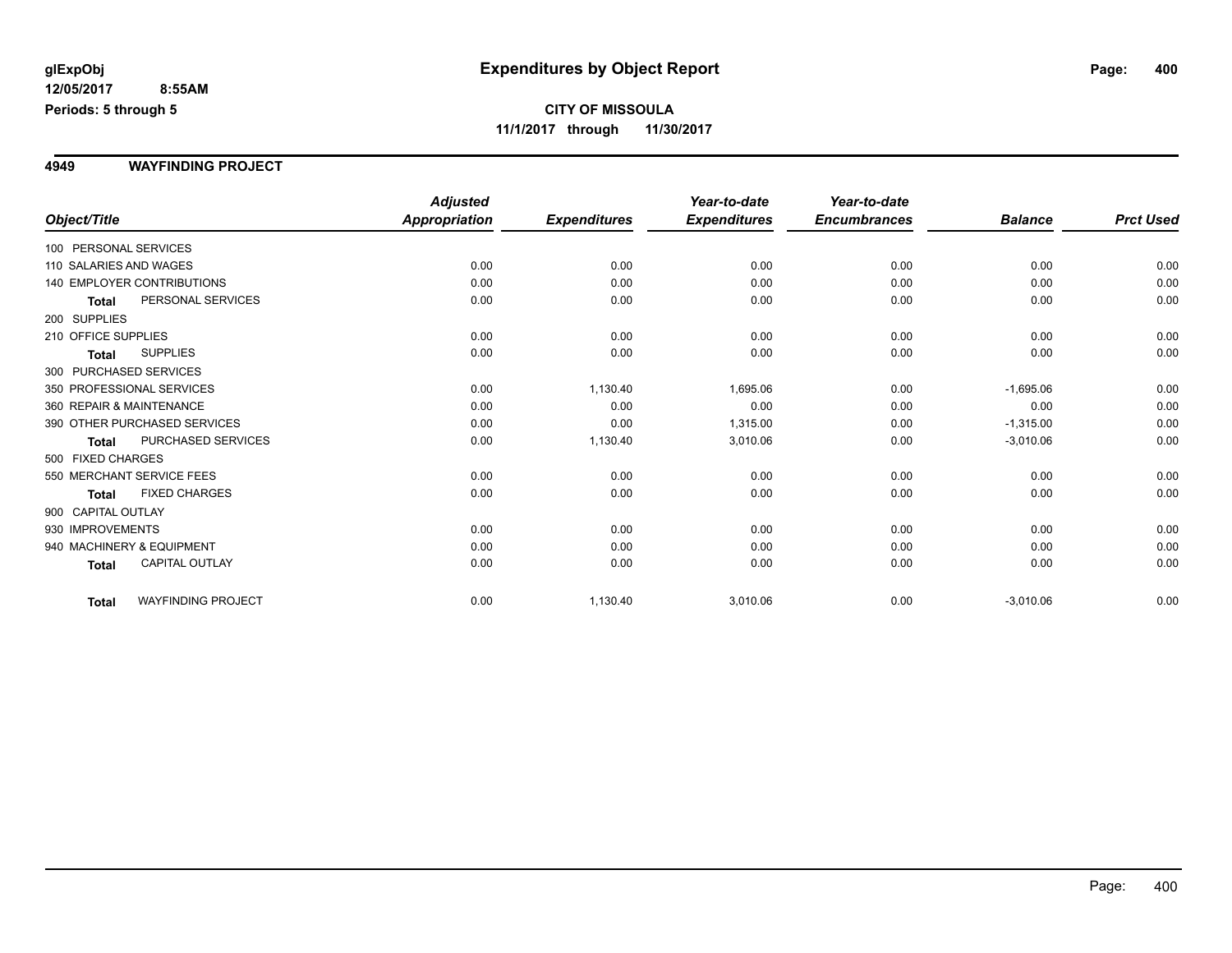#### **4949 WAYFINDING PROJECT**

|                                           | <b>Adjusted</b>      |                     | Year-to-date        | Year-to-date        |                |                  |
|-------------------------------------------|----------------------|---------------------|---------------------|---------------------|----------------|------------------|
| Object/Title                              | <b>Appropriation</b> | <b>Expenditures</b> | <b>Expenditures</b> | <b>Encumbrances</b> | <b>Balance</b> | <b>Prct Used</b> |
| 100 PERSONAL SERVICES                     |                      |                     |                     |                     |                |                  |
| 110 SALARIES AND WAGES                    | 0.00                 | 0.00                | 0.00                | 0.00                | 0.00           | 0.00             |
| <b>140 EMPLOYER CONTRIBUTIONS</b>         | 0.00                 | 0.00                | 0.00                | 0.00                | 0.00           | 0.00             |
| PERSONAL SERVICES<br><b>Total</b>         | 0.00                 | 0.00                | 0.00                | 0.00                | 0.00           | 0.00             |
| 200 SUPPLIES                              |                      |                     |                     |                     |                |                  |
| 210 OFFICE SUPPLIES                       | 0.00                 | 0.00                | 0.00                | 0.00                | 0.00           | 0.00             |
| <b>SUPPLIES</b><br>Total                  | 0.00                 | 0.00                | 0.00                | 0.00                | 0.00           | 0.00             |
| 300 PURCHASED SERVICES                    |                      |                     |                     |                     |                |                  |
| 350 PROFESSIONAL SERVICES                 | 0.00                 | 1,130.40            | 1,695.06            | 0.00                | $-1,695.06$    | 0.00             |
| 360 REPAIR & MAINTENANCE                  | 0.00                 | 0.00                | 0.00                | 0.00                | 0.00           | 0.00             |
| 390 OTHER PURCHASED SERVICES              | 0.00                 | 0.00                | 1,315.00            | 0.00                | $-1,315.00$    | 0.00             |
| PURCHASED SERVICES<br><b>Total</b>        | 0.00                 | 1,130.40            | 3,010.06            | 0.00                | $-3,010.06$    | 0.00             |
| 500 FIXED CHARGES                         |                      |                     |                     |                     |                |                  |
| 550 MERCHANT SERVICE FEES                 | 0.00                 | 0.00                | 0.00                | 0.00                | 0.00           | 0.00             |
| <b>FIXED CHARGES</b><br>Total             | 0.00                 | 0.00                | 0.00                | 0.00                | 0.00           | 0.00             |
| 900 CAPITAL OUTLAY                        |                      |                     |                     |                     |                |                  |
| 930 IMPROVEMENTS                          | 0.00                 | 0.00                | 0.00                | 0.00                | 0.00           | 0.00             |
| 940 MACHINERY & EQUIPMENT                 | 0.00                 | 0.00                | 0.00                | 0.00                | 0.00           | 0.00             |
| <b>CAPITAL OUTLAY</b><br><b>Total</b>     | 0.00                 | 0.00                | 0.00                | 0.00                | 0.00           | 0.00             |
| <b>WAYFINDING PROJECT</b><br><b>Total</b> | 0.00                 | 1,130.40            | 3,010.06            | 0.00                | $-3,010.06$    | 0.00             |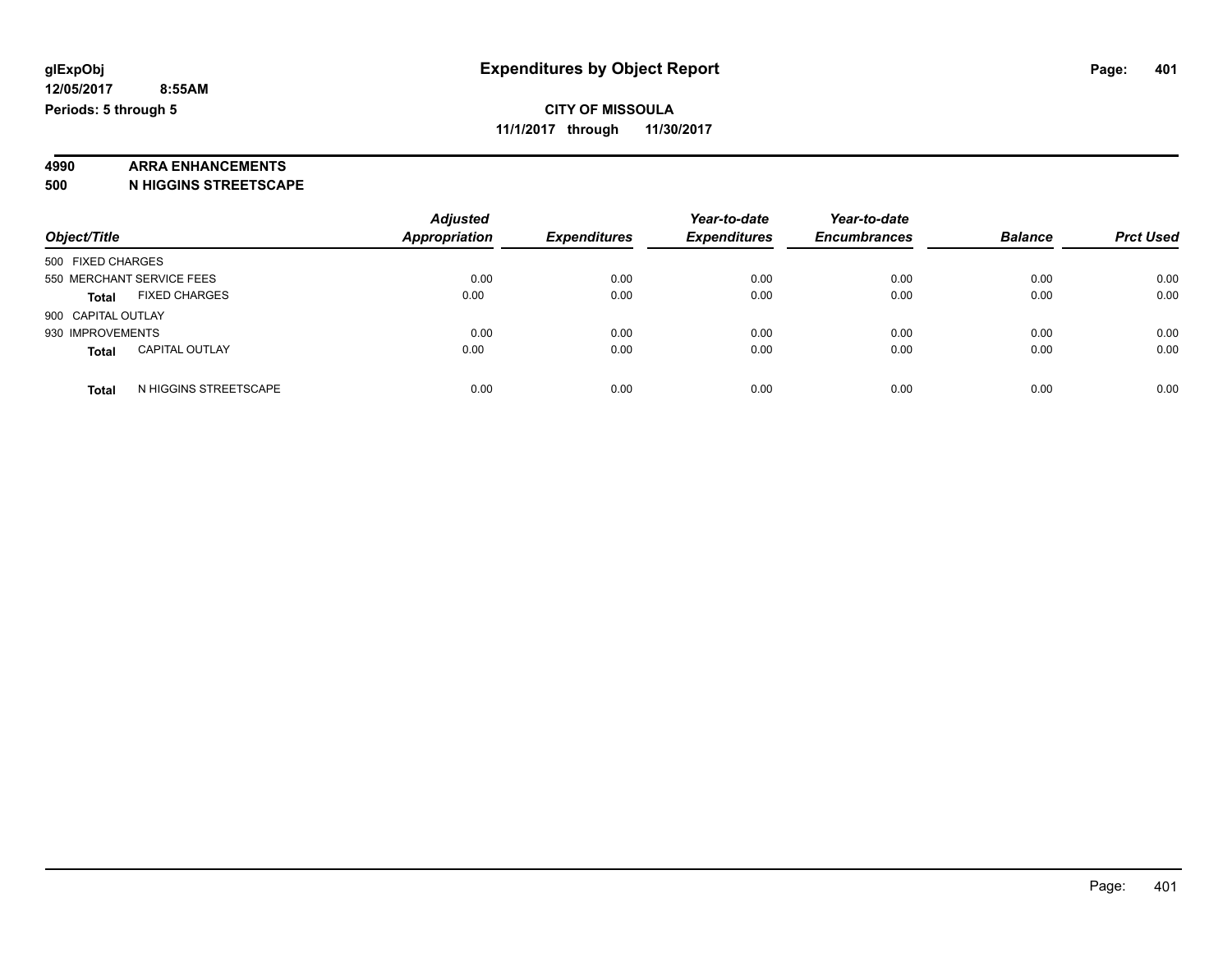#### **4990 ARRA ENHANCEMENTS**

**500 N HIGGINS STREETSCAPE**

| Object/Title                          | <b>Adjusted</b><br><b>Appropriation</b> | <b>Expenditures</b> | Year-to-date<br><b>Expenditures</b> | Year-to-date<br><b>Encumbrances</b> | <b>Balance</b> | <b>Prct Used</b> |
|---------------------------------------|-----------------------------------------|---------------------|-------------------------------------|-------------------------------------|----------------|------------------|
| 500 FIXED CHARGES                     |                                         |                     |                                     |                                     |                |                  |
| 550 MERCHANT SERVICE FEES             | 0.00                                    | 0.00                | 0.00                                | 0.00                                | 0.00           | 0.00             |
| <b>FIXED CHARGES</b><br><b>Total</b>  | 0.00                                    | 0.00                | 0.00                                | 0.00                                | 0.00           | 0.00             |
| 900 CAPITAL OUTLAY                    |                                         |                     |                                     |                                     |                |                  |
| 930 IMPROVEMENTS                      | 0.00                                    | 0.00                | 0.00                                | 0.00                                | 0.00           | 0.00             |
| <b>CAPITAL OUTLAY</b><br><b>Total</b> | 0.00                                    | 0.00                | 0.00                                | 0.00                                | 0.00           | 0.00             |
| N HIGGINS STREETSCAPE<br><b>Total</b> | 0.00                                    | 0.00                | 0.00                                | 0.00                                | 0.00           | 0.00             |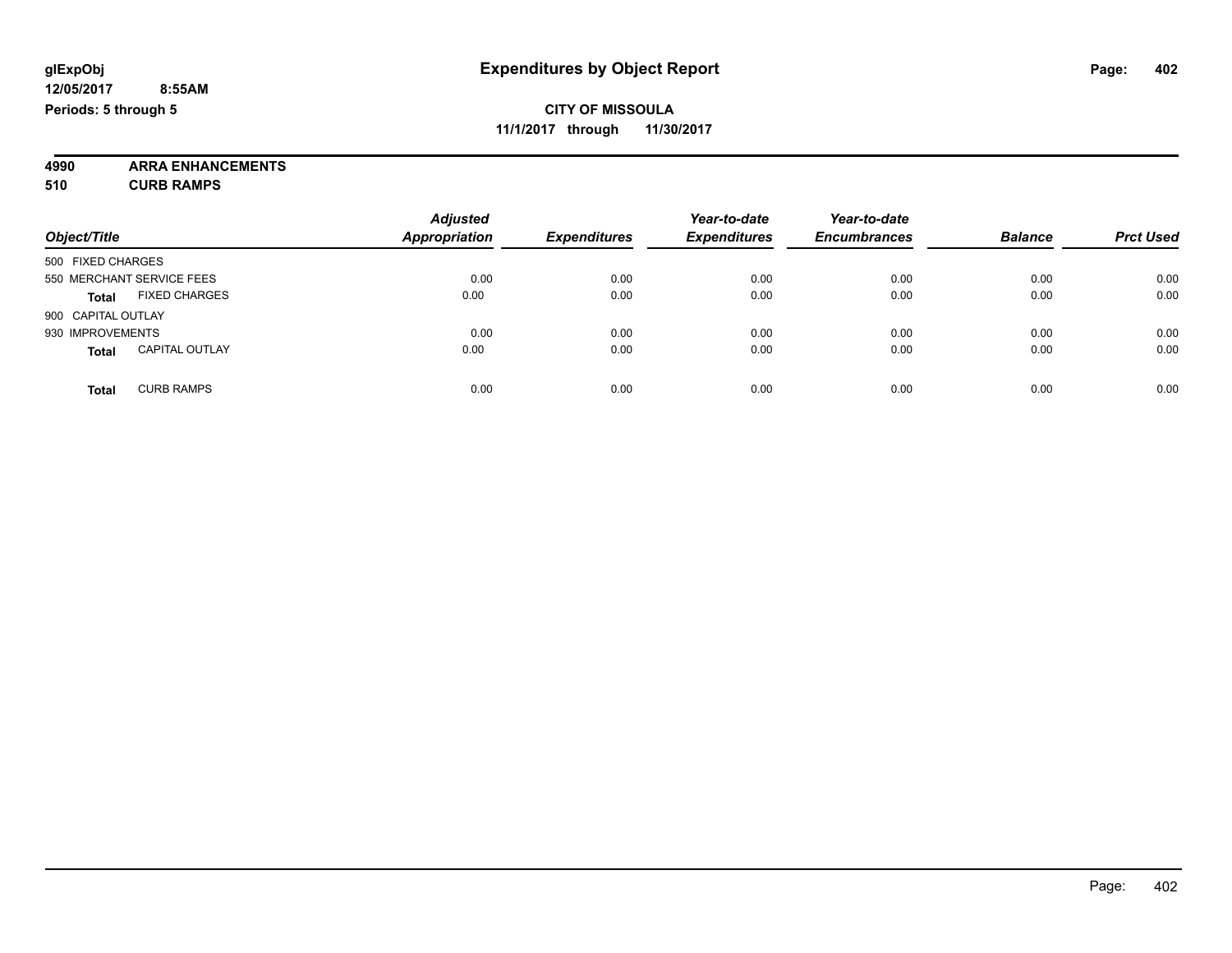**4990 ARRA ENHANCEMENTS 510 CURB RAMPS**

| Object/Title                          | <b>Adjusted</b><br><b>Appropriation</b> | <b>Expenditures</b> | Year-to-date<br><b>Expenditures</b> | Year-to-date<br><b>Encumbrances</b> | <b>Balance</b> | <b>Prct Used</b> |
|---------------------------------------|-----------------------------------------|---------------------|-------------------------------------|-------------------------------------|----------------|------------------|
| 500 FIXED CHARGES                     |                                         |                     |                                     |                                     |                |                  |
| 550 MERCHANT SERVICE FEES             | 0.00                                    | 0.00                | 0.00                                | 0.00                                | 0.00           | 0.00             |
| <b>FIXED CHARGES</b><br><b>Total</b>  | 0.00                                    | 0.00                | 0.00                                | 0.00                                | 0.00           | 0.00             |
| 900 CAPITAL OUTLAY                    |                                         |                     |                                     |                                     |                |                  |
| 930 IMPROVEMENTS                      | 0.00                                    | 0.00                | 0.00                                | 0.00                                | 0.00           | 0.00             |
| <b>CAPITAL OUTLAY</b><br><b>Total</b> | 0.00                                    | 0.00                | 0.00                                | 0.00                                | 0.00           | 0.00             |
| <b>CURB RAMPS</b><br><b>Total</b>     | 0.00                                    | 0.00                | 0.00                                | 0.00                                | 0.00           | 0.00             |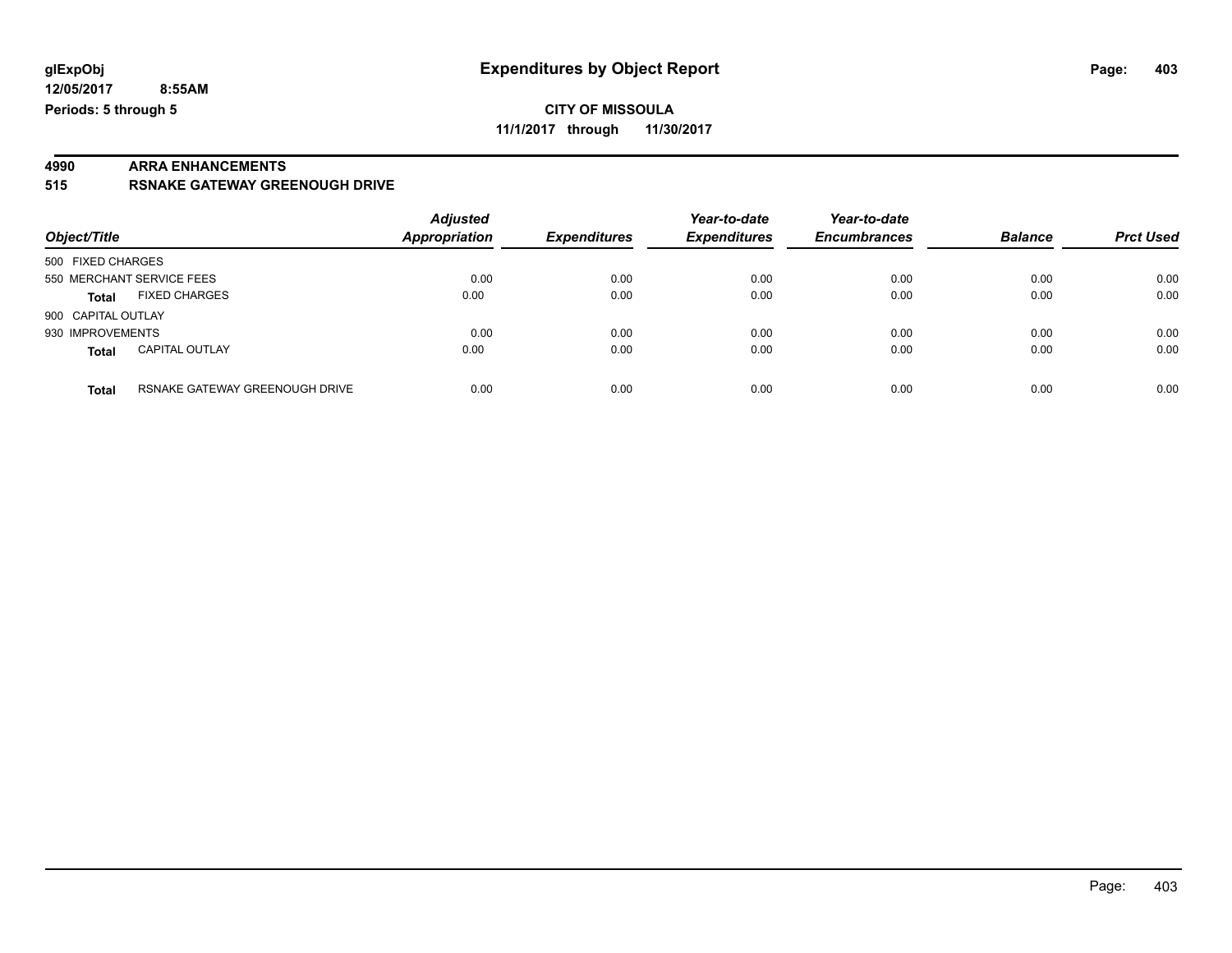**12/05/2017 8:55AM Periods: 5 through 5**

# **4990 ARRA ENHANCEMENTS**

**515 RSNAKE GATEWAY GREENOUGH DRIVE**

| Object/Title                          |                                | <b>Adjusted</b><br><b>Appropriation</b> | <b>Expenditures</b> | Year-to-date<br><b>Expenditures</b> | Year-to-date<br><b>Encumbrances</b> | <b>Balance</b> | <b>Prct Used</b> |
|---------------------------------------|--------------------------------|-----------------------------------------|---------------------|-------------------------------------|-------------------------------------|----------------|------------------|
| 500 FIXED CHARGES                     |                                |                                         |                     |                                     |                                     |                |                  |
| 550 MERCHANT SERVICE FEES             |                                | 0.00                                    | 0.00                | 0.00                                | 0.00                                | 0.00           | 0.00             |
| <b>FIXED CHARGES</b><br><b>Total</b>  |                                | 0.00                                    | 0.00                | 0.00                                | 0.00                                | 0.00           | 0.00             |
| 900 CAPITAL OUTLAY                    |                                |                                         |                     |                                     |                                     |                |                  |
| 930 IMPROVEMENTS                      |                                | 0.00                                    | 0.00                | 0.00                                | 0.00                                | 0.00           | 0.00             |
| <b>CAPITAL OUTLAY</b><br><b>Total</b> |                                | 0.00                                    | 0.00                | 0.00                                | 0.00                                | 0.00           | 0.00             |
| <b>Total</b>                          | RSNAKE GATEWAY GREENOUGH DRIVE | 0.00                                    | 0.00                | 0.00                                | 0.00                                | 0.00           | 0.00             |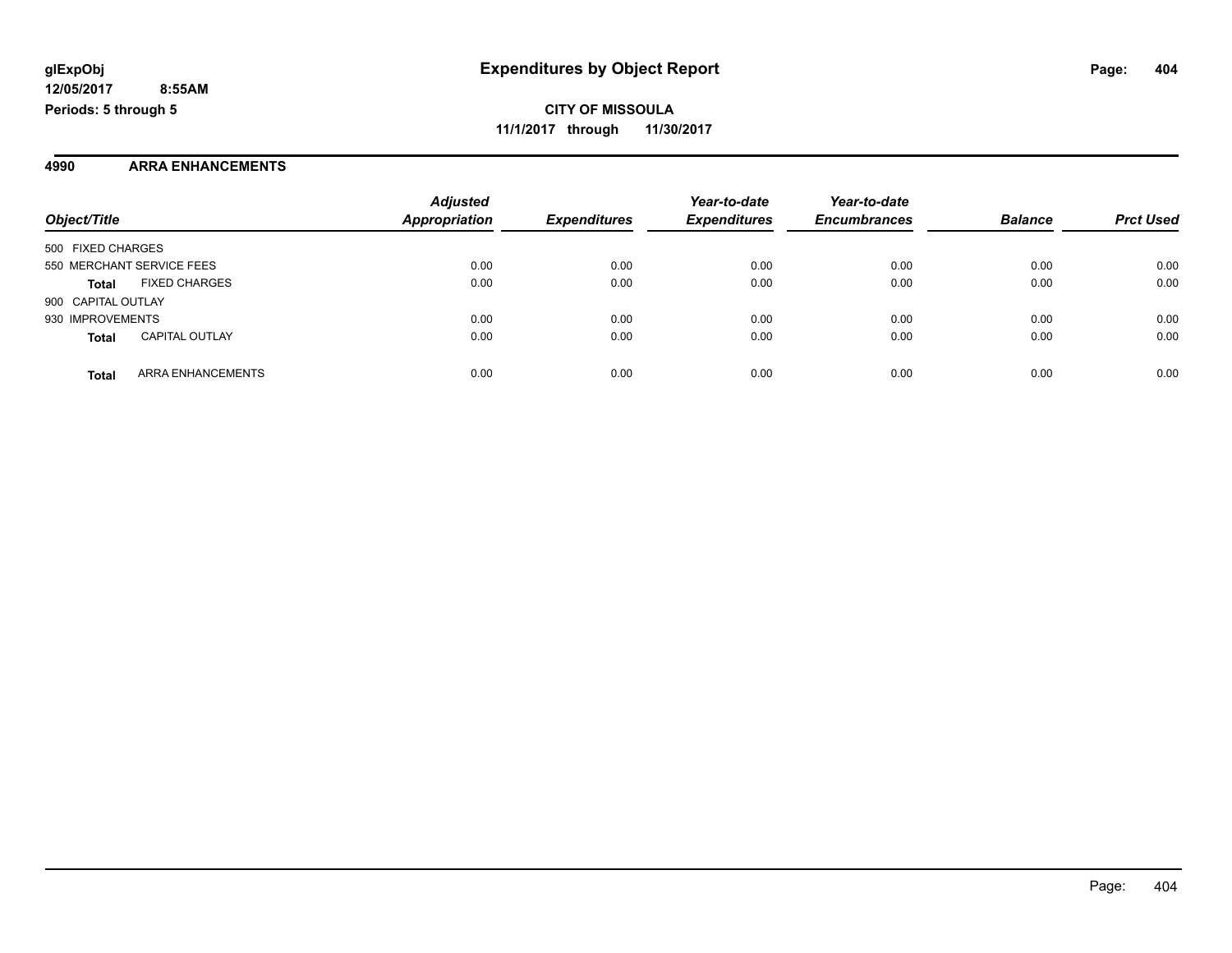#### **4990 ARRA ENHANCEMENTS**

| Object/Title       |                           | <b>Adjusted</b><br><b>Appropriation</b> | <b>Expenditures</b> | Year-to-date<br><b>Expenditures</b> | Year-to-date<br><b>Encumbrances</b> | <b>Balance</b> | <b>Prct Used</b> |
|--------------------|---------------------------|-----------------------------------------|---------------------|-------------------------------------|-------------------------------------|----------------|------------------|
|                    |                           |                                         |                     |                                     |                                     |                |                  |
| 500 FIXED CHARGES  |                           |                                         |                     |                                     |                                     |                |                  |
|                    | 550 MERCHANT SERVICE FEES | 0.00                                    | 0.00                | 0.00                                | 0.00                                | 0.00           | 0.00             |
| <b>Total</b>       | <b>FIXED CHARGES</b>      | 0.00                                    | 0.00                | 0.00                                | 0.00                                | 0.00           | 0.00             |
| 900 CAPITAL OUTLAY |                           |                                         |                     |                                     |                                     |                |                  |
| 930 IMPROVEMENTS   |                           | 0.00                                    | 0.00                | 0.00                                | 0.00                                | 0.00           | 0.00             |
| <b>Total</b>       | <b>CAPITAL OUTLAY</b>     | 0.00                                    | 0.00                | 0.00                                | 0.00                                | 0.00           | 0.00             |
| <b>Total</b>       | ARRA ENHANCEMENTS         | 0.00                                    | 0.00                | 0.00                                | 0.00                                | 0.00           | 0.00             |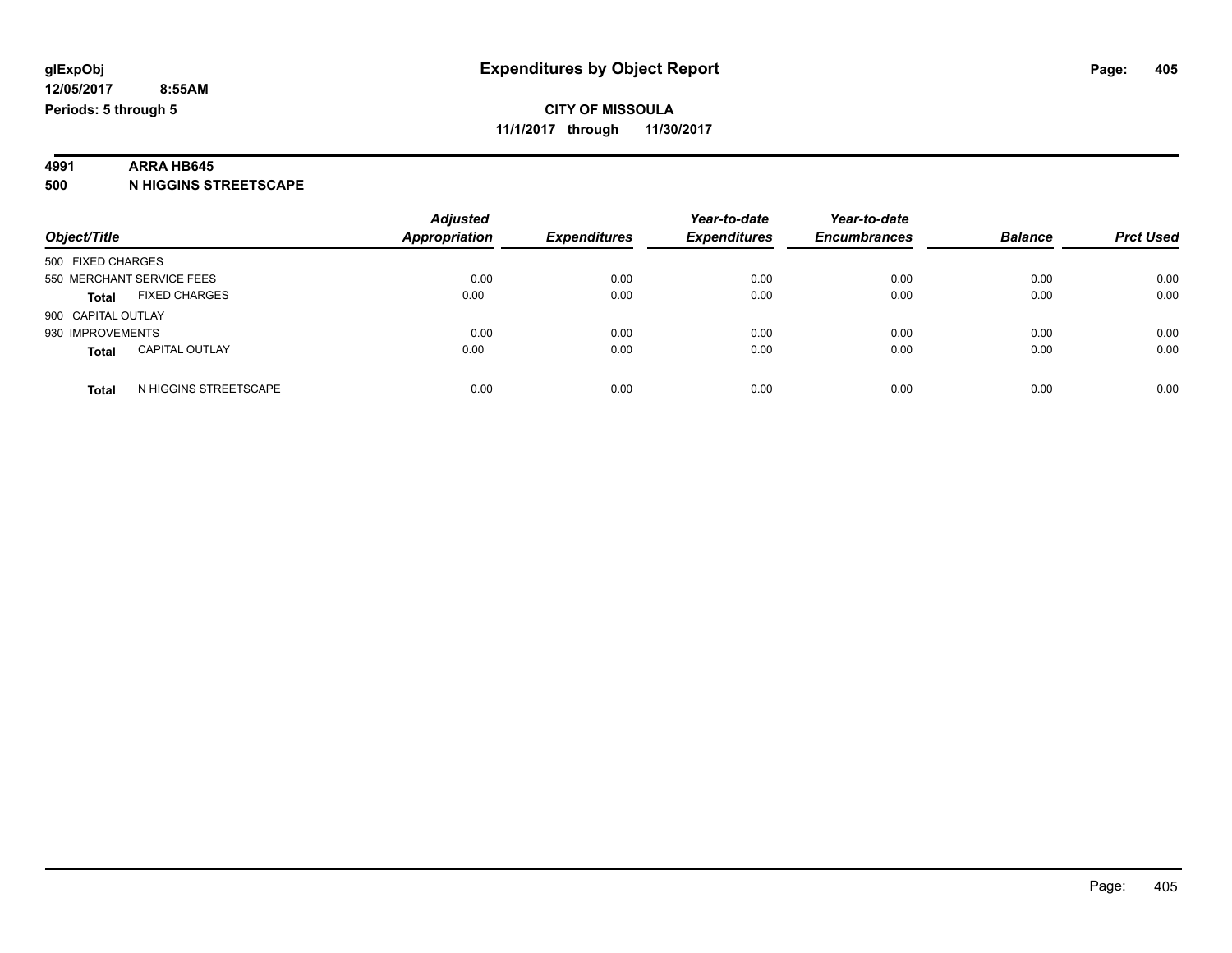### **4991 ARRA HB645**

**500 N HIGGINS STREETSCAPE**

| Object/Title                          | <b>Adjusted</b><br><b>Appropriation</b> | <b>Expenditures</b> | Year-to-date<br><b>Expenditures</b> | Year-to-date<br><b>Encumbrances</b> | <b>Balance</b> | <b>Prct Used</b> |
|---------------------------------------|-----------------------------------------|---------------------|-------------------------------------|-------------------------------------|----------------|------------------|
| 500 FIXED CHARGES                     |                                         |                     |                                     |                                     |                |                  |
| 550 MERCHANT SERVICE FEES             | 0.00                                    | 0.00                | 0.00                                | 0.00                                | 0.00           | 0.00             |
| <b>FIXED CHARGES</b><br><b>Total</b>  | 0.00                                    | 0.00                | 0.00                                | 0.00                                | 0.00           | 0.00             |
| 900 CAPITAL OUTLAY                    |                                         |                     |                                     |                                     |                |                  |
| 930 IMPROVEMENTS                      | 0.00                                    | 0.00                | 0.00                                | 0.00                                | 0.00           | 0.00             |
| <b>CAPITAL OUTLAY</b><br><b>Total</b> | 0.00                                    | 0.00                | 0.00                                | 0.00                                | 0.00           | 0.00             |
| N HIGGINS STREETSCAPE<br><b>Total</b> | 0.00                                    | 0.00                | 0.00                                | 0.00                                | 0.00           | 0.00             |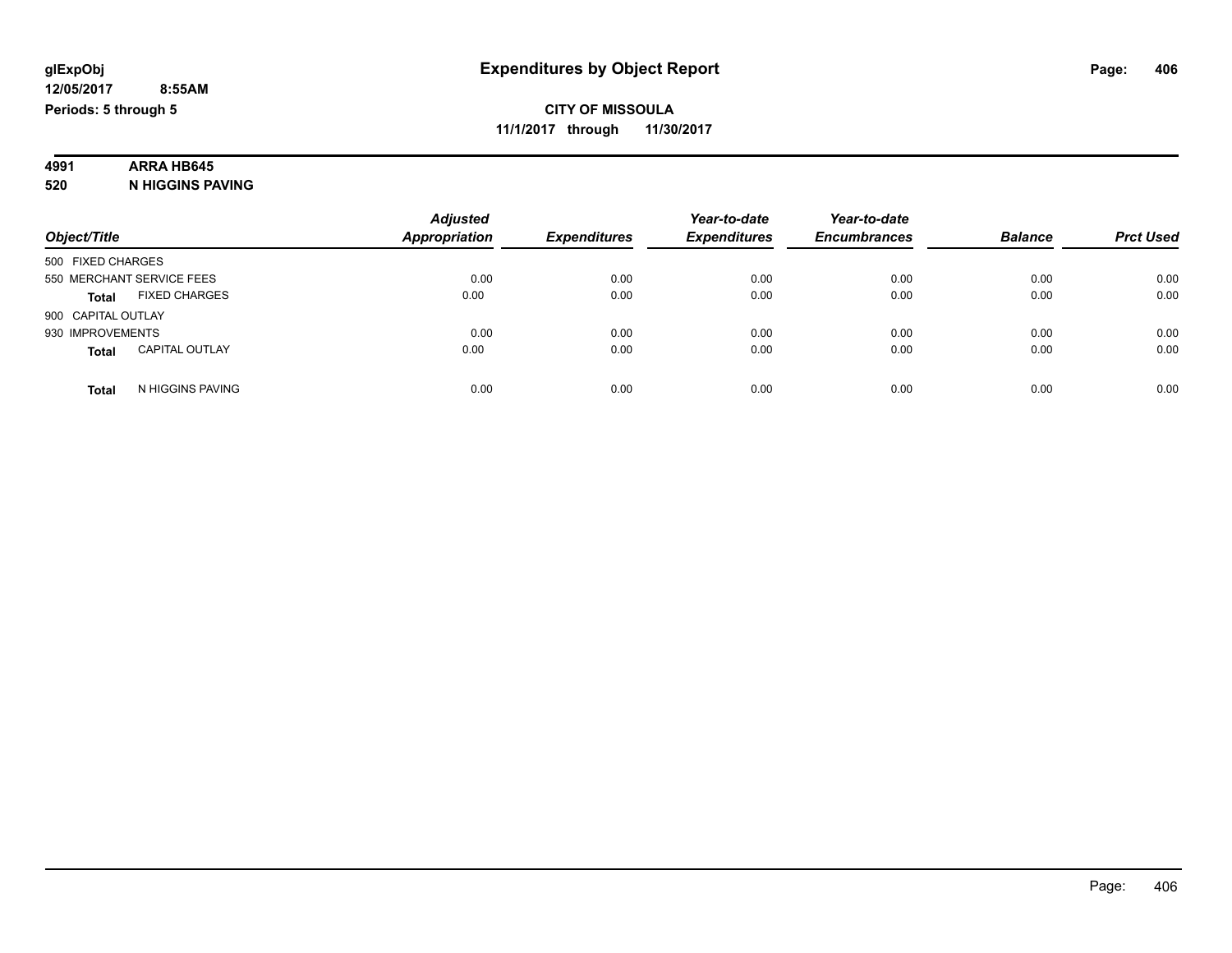### **4991 ARRA HB645**

**520 N HIGGINS PAVING**

|                                       | <b>Adjusted</b>      |                     | Year-to-date        | Year-to-date        |                |                  |
|---------------------------------------|----------------------|---------------------|---------------------|---------------------|----------------|------------------|
| Object/Title                          | <b>Appropriation</b> | <b>Expenditures</b> | <b>Expenditures</b> | <b>Encumbrances</b> | <b>Balance</b> | <b>Prct Used</b> |
| 500 FIXED CHARGES                     |                      |                     |                     |                     |                |                  |
| 550 MERCHANT SERVICE FEES             | 0.00                 | 0.00                | 0.00                | 0.00                | 0.00           | 0.00             |
| <b>FIXED CHARGES</b><br><b>Total</b>  | 0.00                 | 0.00                | 0.00                | 0.00                | 0.00           | 0.00             |
| 900 CAPITAL OUTLAY                    |                      |                     |                     |                     |                |                  |
| 930 IMPROVEMENTS                      | 0.00                 | 0.00                | 0.00                | 0.00                | 0.00           | 0.00             |
| <b>CAPITAL OUTLAY</b><br><b>Total</b> | 0.00                 | 0.00                | 0.00                | 0.00                | 0.00           | 0.00             |
| N HIGGINS PAVING<br><b>Total</b>      | 0.00                 | 0.00                | 0.00                | 0.00                | 0.00           | 0.00             |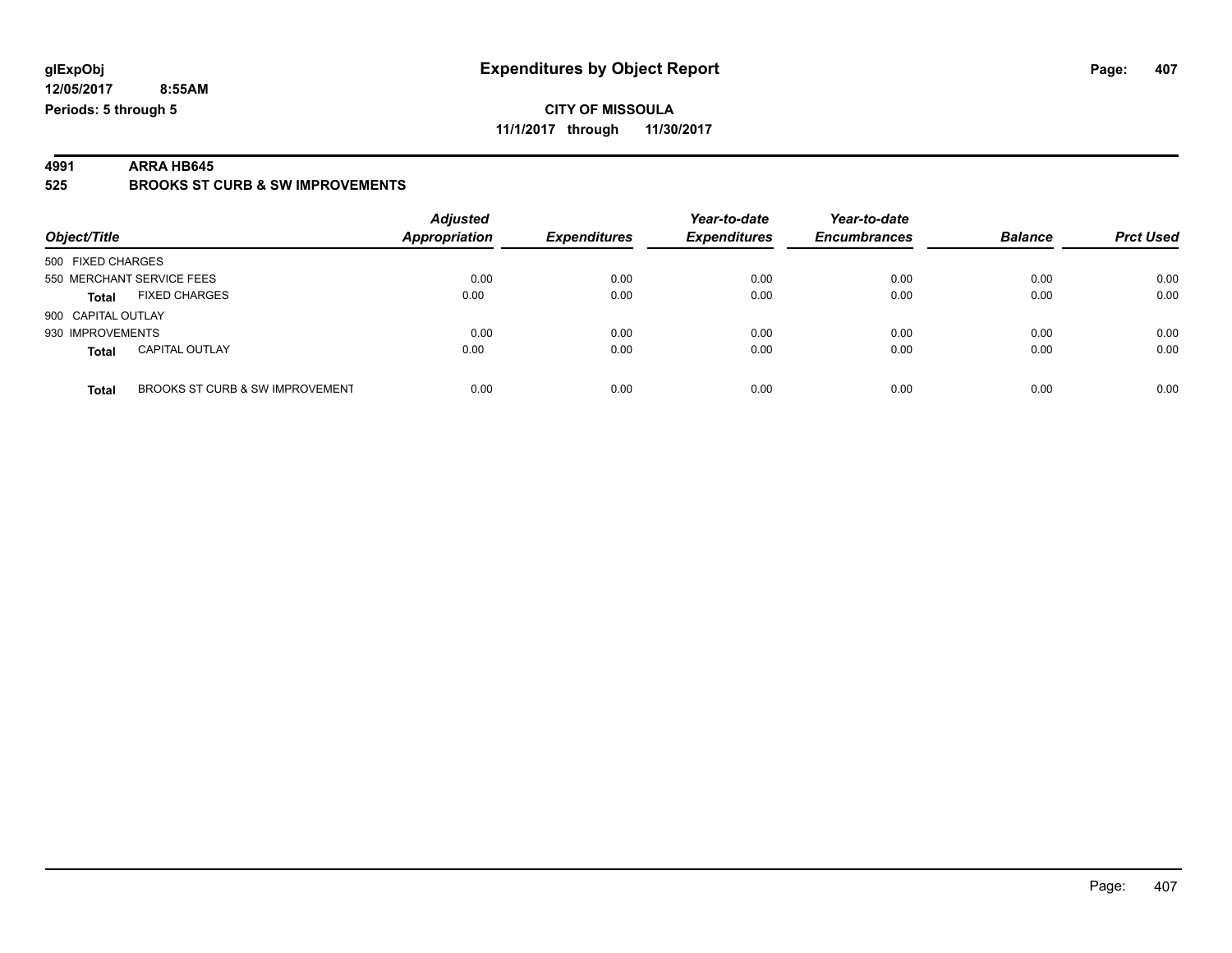**12/05/2017 8:55AM Periods: 5 through 5**

#### **CITY OF MISSOULA 11/1/2017 through 11/30/2017**

**4991 ARRA HB645 525 BROOKS ST CURB & SW IMPROVEMENTS**

| Object/Title                             | <b>Adjusted</b><br>Appropriation | <b>Expenditures</b> | Year-to-date<br><b>Expenditures</b> | Year-to-date<br><b>Encumbrances</b> | <b>Balance</b> | <b>Prct Used</b> |
|------------------------------------------|----------------------------------|---------------------|-------------------------------------|-------------------------------------|----------------|------------------|
| 500 FIXED CHARGES                        |                                  |                     |                                     |                                     |                |                  |
| 550 MERCHANT SERVICE FEES                | 0.00                             | 0.00                | 0.00                                | 0.00                                | 0.00           | 0.00             |
| <b>FIXED CHARGES</b><br><b>Total</b>     | 0.00                             | 0.00                | 0.00                                | 0.00                                | 0.00           | 0.00             |
| 900 CAPITAL OUTLAY                       |                                  |                     |                                     |                                     |                |                  |
| 930 IMPROVEMENTS                         | 0.00                             | 0.00                | 0.00                                | 0.00                                | 0.00           | 0.00             |
| <b>CAPITAL OUTLAY</b><br><b>Total</b>    | 0.00                             | 0.00                | 0.00                                | 0.00                                | 0.00           | 0.00             |
| BROOKS ST CURB & SW IMPROVEMENT<br>Total | 0.00                             | 0.00                | 0.00                                | 0.00                                | 0.00           | 0.00             |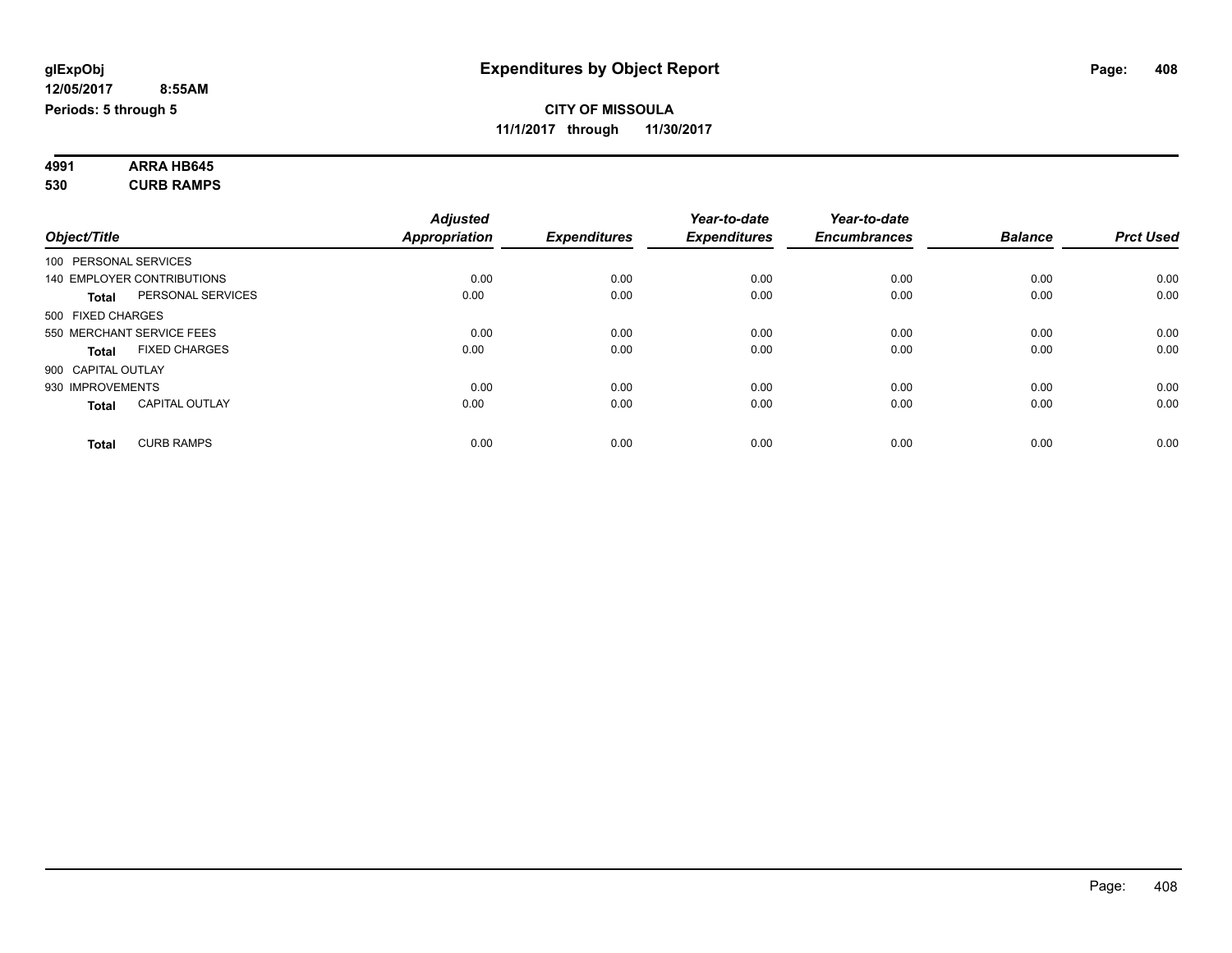| 4991 | <b>ARRA HB645</b> |  |
|------|-------------------|--|
| 530  | <b>CURB RAMPS</b> |  |

|                       |                            | <b>Adjusted</b> |                     | Year-to-date        | Year-to-date        |                |                  |
|-----------------------|----------------------------|-----------------|---------------------|---------------------|---------------------|----------------|------------------|
| Object/Title          |                            | Appropriation   | <b>Expenditures</b> | <b>Expenditures</b> | <b>Encumbrances</b> | <b>Balance</b> | <b>Prct Used</b> |
| 100 PERSONAL SERVICES |                            |                 |                     |                     |                     |                |                  |
|                       | 140 EMPLOYER CONTRIBUTIONS | 0.00            | 0.00                | 0.00                | 0.00                | 0.00           | 0.00             |
| <b>Total</b>          | PERSONAL SERVICES          | 0.00            | 0.00                | 0.00                | 0.00                | 0.00           | 0.00             |
| 500 FIXED CHARGES     |                            |                 |                     |                     |                     |                |                  |
|                       | 550 MERCHANT SERVICE FEES  | 0.00            | 0.00                | 0.00                | 0.00                | 0.00           | 0.00             |
| <b>Total</b>          | <b>FIXED CHARGES</b>       | 0.00            | 0.00                | 0.00                | 0.00                | 0.00           | 0.00             |
| 900 CAPITAL OUTLAY    |                            |                 |                     |                     |                     |                |                  |
| 930 IMPROVEMENTS      |                            | 0.00            | 0.00                | 0.00                | 0.00                | 0.00           | 0.00             |
| <b>Total</b>          | <b>CAPITAL OUTLAY</b>      | 0.00            | 0.00                | 0.00                | 0.00                | 0.00           | 0.00             |
|                       |                            |                 |                     |                     |                     |                |                  |
| <b>Total</b>          | <b>CURB RAMPS</b>          | 0.00            | 0.00                | 0.00                | 0.00                | 0.00           | 0.00             |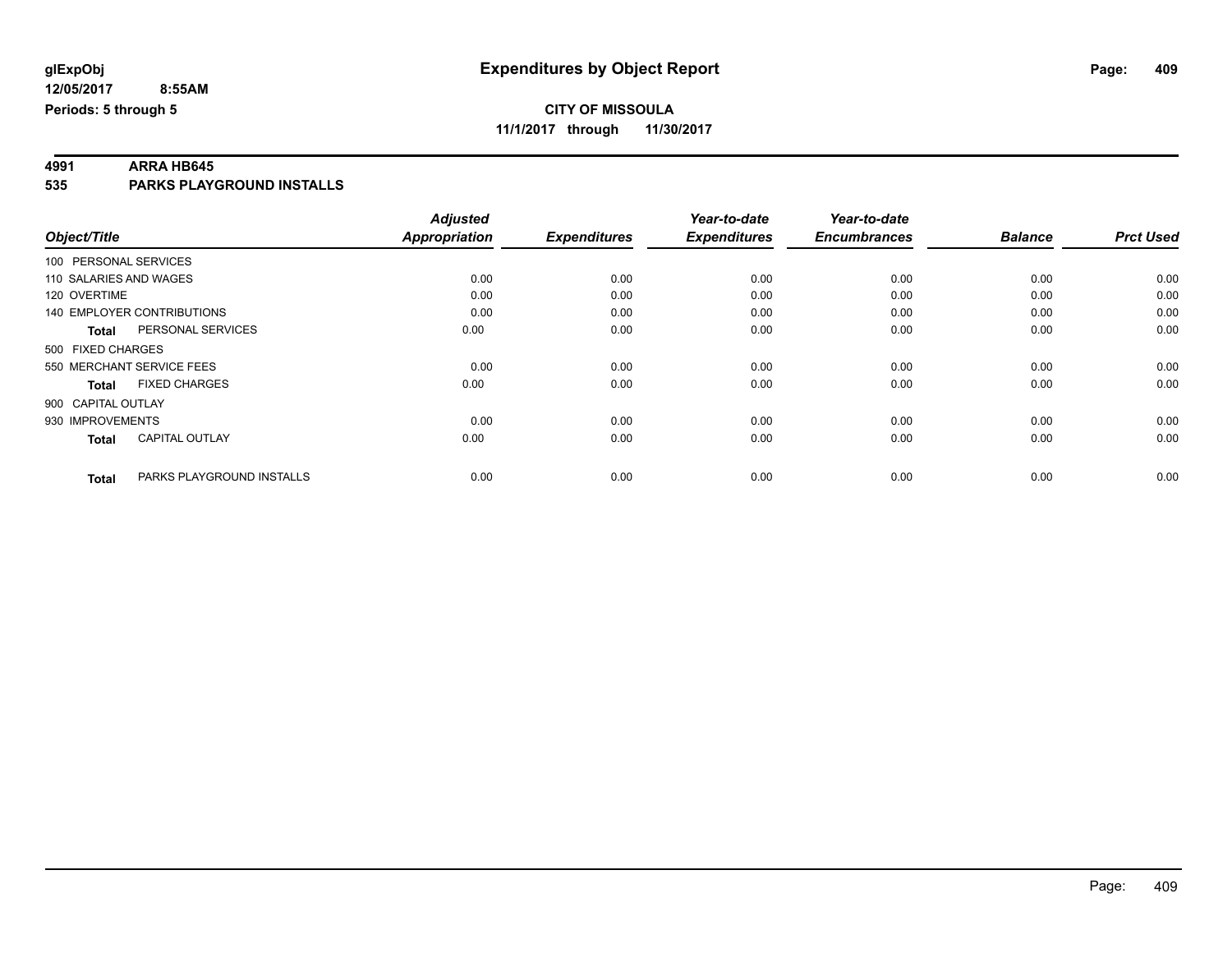# **4991 ARRA HB645**

**535 PARKS PLAYGROUND INSTALLS**

|                                       |                           | <b>Adjusted</b> |                     | Year-to-date        | Year-to-date        |                |                  |
|---------------------------------------|---------------------------|-----------------|---------------------|---------------------|---------------------|----------------|------------------|
| Object/Title                          |                           | Appropriation   | <b>Expenditures</b> | <b>Expenditures</b> | <b>Encumbrances</b> | <b>Balance</b> | <b>Prct Used</b> |
| 100 PERSONAL SERVICES                 |                           |                 |                     |                     |                     |                |                  |
| 110 SALARIES AND WAGES                |                           | 0.00            | 0.00                | 0.00                | 0.00                | 0.00           | 0.00             |
| 120 OVERTIME                          |                           | 0.00            | 0.00                | 0.00                | 0.00                | 0.00           | 0.00             |
| <b>140 EMPLOYER CONTRIBUTIONS</b>     |                           | 0.00            | 0.00                | 0.00                | 0.00                | 0.00           | 0.00             |
| PERSONAL SERVICES<br><b>Total</b>     |                           | 0.00            | 0.00                | 0.00                | 0.00                | 0.00           | 0.00             |
| 500 FIXED CHARGES                     |                           |                 |                     |                     |                     |                |                  |
| 550 MERCHANT SERVICE FEES             |                           | 0.00            | 0.00                | 0.00                | 0.00                | 0.00           | 0.00             |
| <b>FIXED CHARGES</b><br><b>Total</b>  |                           | 0.00            | 0.00                | 0.00                | 0.00                | 0.00           | 0.00             |
| 900 CAPITAL OUTLAY                    |                           |                 |                     |                     |                     |                |                  |
| 930 IMPROVEMENTS                      |                           | 0.00            | 0.00                | 0.00                | 0.00                | 0.00           | 0.00             |
| <b>CAPITAL OUTLAY</b><br><b>Total</b> |                           | 0.00            | 0.00                | 0.00                | 0.00                | 0.00           | 0.00             |
| <b>Total</b>                          | PARKS PLAYGROUND INSTALLS | 0.00            | 0.00                | 0.00                | 0.00                | 0.00           | 0.00             |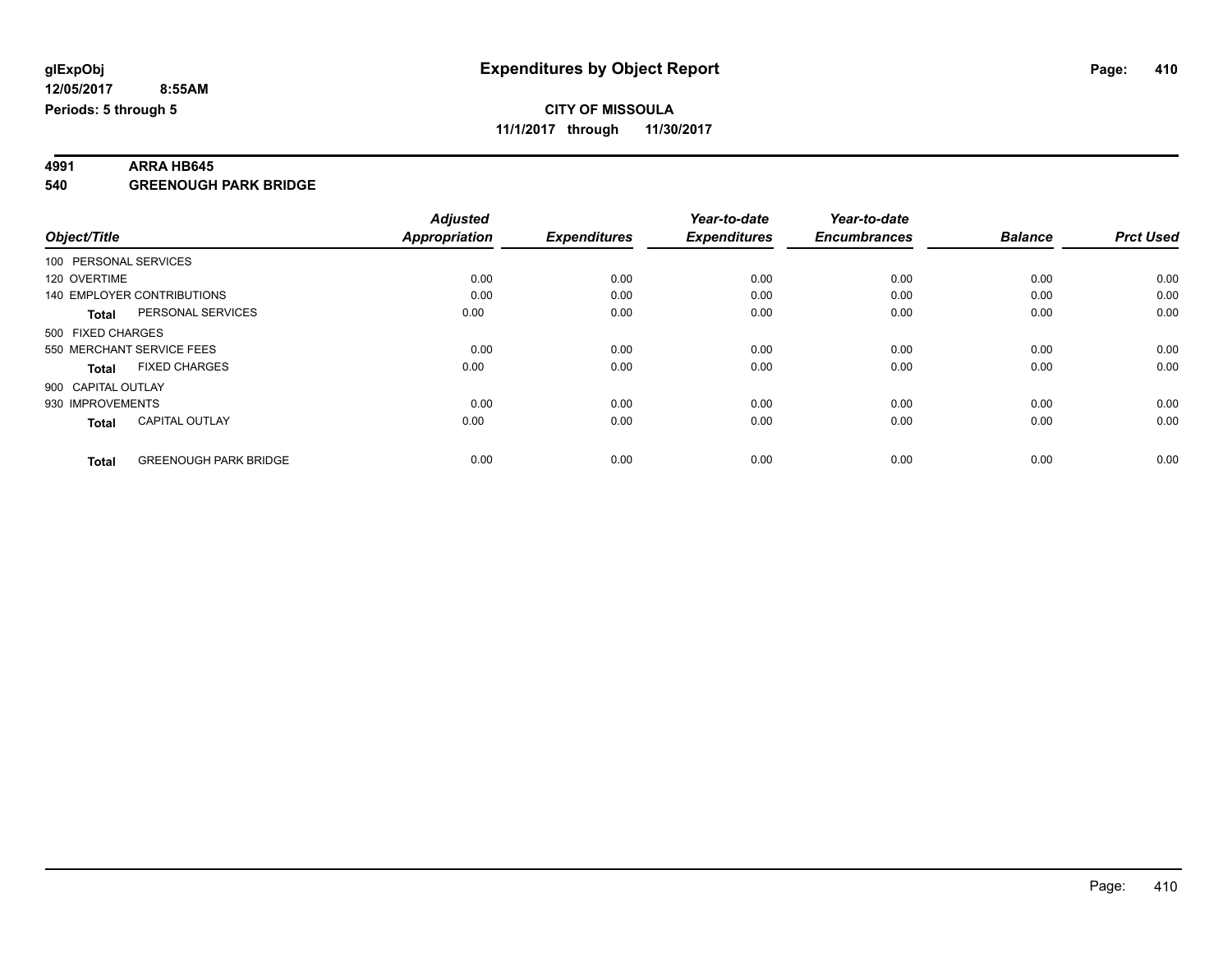# **4991 ARRA HB645**

**540 GREENOUGH PARK BRIDGE**

|                       |                              | <b>Adjusted</b>      |                     | Year-to-date        | Year-to-date        |                |                  |
|-----------------------|------------------------------|----------------------|---------------------|---------------------|---------------------|----------------|------------------|
| Object/Title          |                              | <b>Appropriation</b> | <b>Expenditures</b> | <b>Expenditures</b> | <b>Encumbrances</b> | <b>Balance</b> | <b>Prct Used</b> |
| 100 PERSONAL SERVICES |                              |                      |                     |                     |                     |                |                  |
| 120 OVERTIME          |                              | 0.00                 | 0.00                | 0.00                | 0.00                | 0.00           | 0.00             |
|                       | 140 EMPLOYER CONTRIBUTIONS   | 0.00                 | 0.00                | 0.00                | 0.00                | 0.00           | 0.00             |
| <b>Total</b>          | PERSONAL SERVICES            | 0.00                 | 0.00                | 0.00                | 0.00                | 0.00           | 0.00             |
| 500 FIXED CHARGES     |                              |                      |                     |                     |                     |                |                  |
|                       | 550 MERCHANT SERVICE FEES    | 0.00                 | 0.00                | 0.00                | 0.00                | 0.00           | 0.00             |
| <b>Total</b>          | <b>FIXED CHARGES</b>         | 0.00                 | 0.00                | 0.00                | 0.00                | 0.00           | 0.00             |
| 900 CAPITAL OUTLAY    |                              |                      |                     |                     |                     |                |                  |
| 930 IMPROVEMENTS      |                              | 0.00                 | 0.00                | 0.00                | 0.00                | 0.00           | 0.00             |
| <b>Total</b>          | <b>CAPITAL OUTLAY</b>        | 0.00                 | 0.00                | 0.00                | 0.00                | 0.00           | 0.00             |
|                       |                              |                      |                     |                     |                     |                |                  |
| <b>Total</b>          | <b>GREENOUGH PARK BRIDGE</b> | 0.00                 | 0.00                | 0.00                | 0.00                | 0.00           | 0.00             |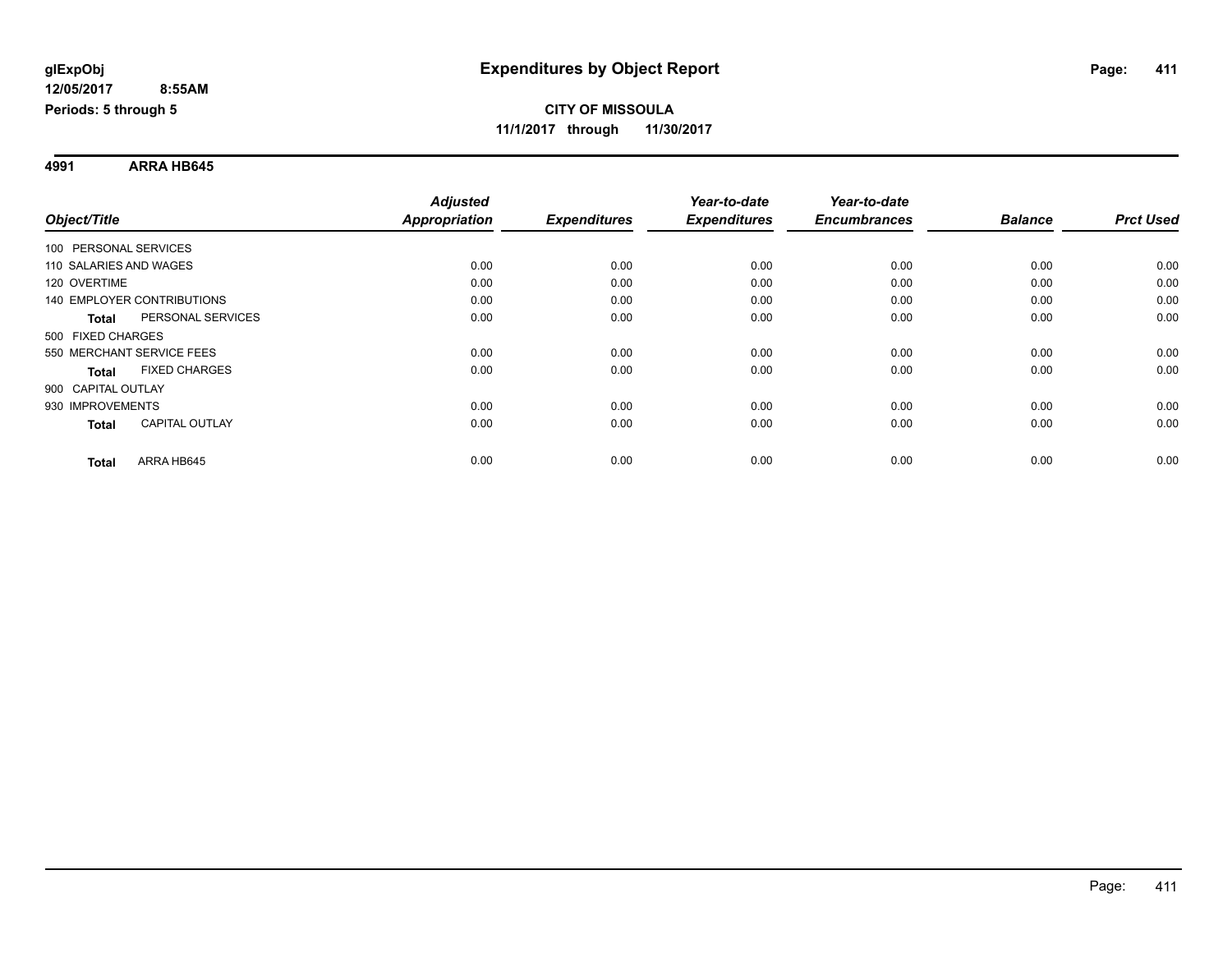**4991 ARRA HB645**

|                                       | <b>Adjusted</b>      |                     | Year-to-date        | Year-to-date        |                |                  |
|---------------------------------------|----------------------|---------------------|---------------------|---------------------|----------------|------------------|
| Object/Title                          | <b>Appropriation</b> | <b>Expenditures</b> | <b>Expenditures</b> | <b>Encumbrances</b> | <b>Balance</b> | <b>Prct Used</b> |
| 100 PERSONAL SERVICES                 |                      |                     |                     |                     |                |                  |
| 110 SALARIES AND WAGES                | 0.00                 | 0.00                | 0.00                | 0.00                | 0.00           | 0.00             |
| 120 OVERTIME                          | 0.00                 | 0.00                | 0.00                | 0.00                | 0.00           | 0.00             |
| <b>140 EMPLOYER CONTRIBUTIONS</b>     | 0.00                 | 0.00                | 0.00                | 0.00                | 0.00           | 0.00             |
| PERSONAL SERVICES<br><b>Total</b>     | 0.00                 | 0.00                | 0.00                | 0.00                | 0.00           | 0.00             |
| 500 FIXED CHARGES                     |                      |                     |                     |                     |                |                  |
| 550 MERCHANT SERVICE FEES             | 0.00                 | 0.00                | 0.00                | 0.00                | 0.00           | 0.00             |
| <b>FIXED CHARGES</b><br><b>Total</b>  | 0.00                 | 0.00                | 0.00                | 0.00                | 0.00           | 0.00             |
| 900 CAPITAL OUTLAY                    |                      |                     |                     |                     |                |                  |
| 930 IMPROVEMENTS                      | 0.00                 | 0.00                | 0.00                | 0.00                | 0.00           | 0.00             |
| <b>CAPITAL OUTLAY</b><br><b>Total</b> | 0.00                 | 0.00                | 0.00                | 0.00                | 0.00           | 0.00             |
| ARRA HB645<br><b>Total</b>            | 0.00                 | 0.00                | 0.00                | 0.00                | 0.00           | 0.00             |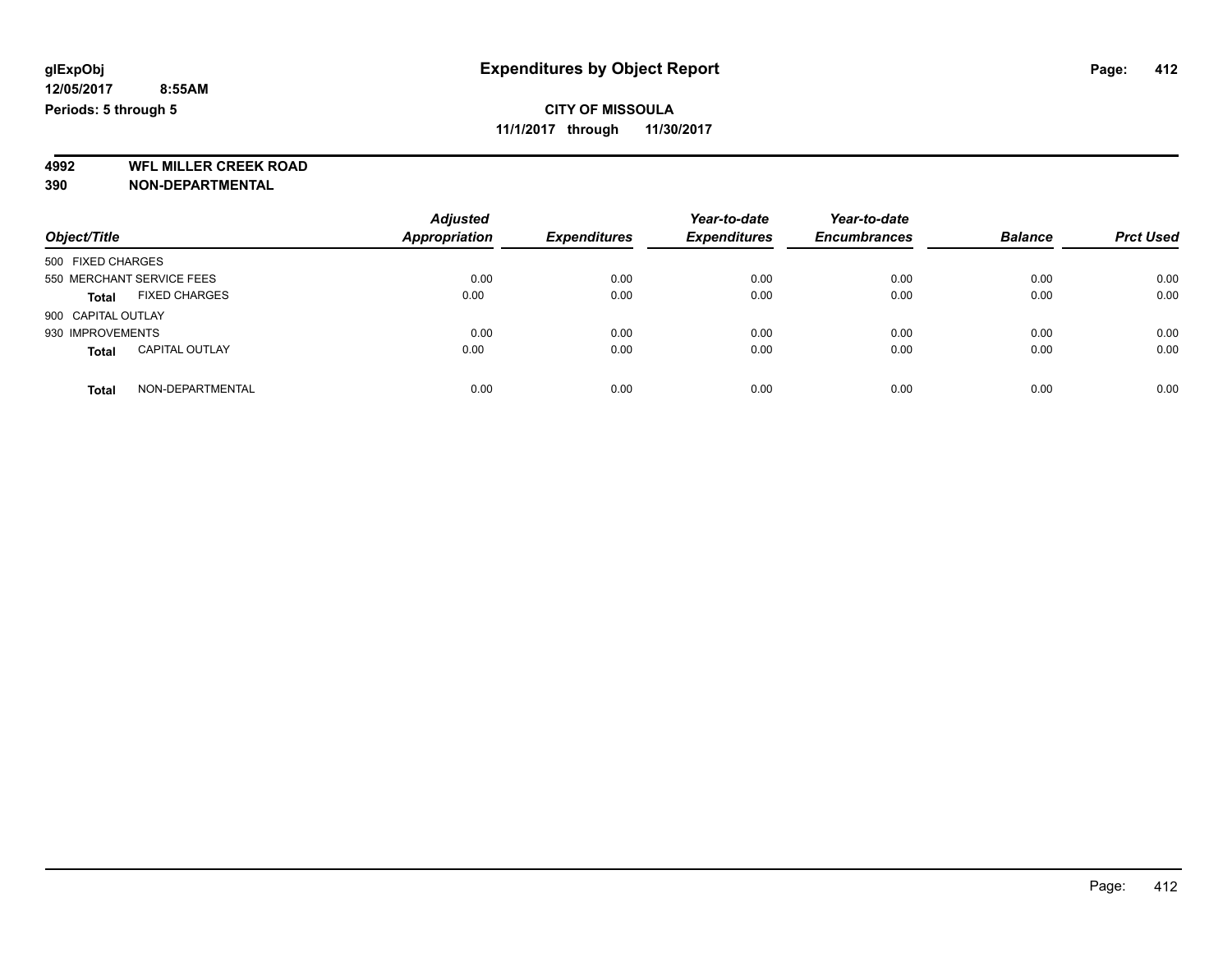**4992 WFL MILLER CREEK ROAD 390 NON-DEPARTMENTAL**

| Object/Title                          | <b>Adjusted</b><br><b>Appropriation</b> | <b>Expenditures</b> | Year-to-date<br><b>Expenditures</b> | Year-to-date<br><b>Encumbrances</b> | <b>Balance</b> | <b>Prct Used</b> |
|---------------------------------------|-----------------------------------------|---------------------|-------------------------------------|-------------------------------------|----------------|------------------|
| 500 FIXED CHARGES                     |                                         |                     |                                     |                                     |                |                  |
| 550 MERCHANT SERVICE FEES             | 0.00                                    | 0.00                | 0.00                                | 0.00                                | 0.00           | 0.00             |
| <b>FIXED CHARGES</b><br><b>Total</b>  | 0.00                                    | 0.00                | 0.00                                | 0.00                                | 0.00           | 0.00             |
| 900 CAPITAL OUTLAY                    |                                         |                     |                                     |                                     |                |                  |
| 930 IMPROVEMENTS                      | 0.00                                    | 0.00                | 0.00                                | 0.00                                | 0.00           | 0.00             |
| <b>CAPITAL OUTLAY</b><br><b>Total</b> | 0.00                                    | 0.00                | 0.00                                | 0.00                                | 0.00           | 0.00             |
| NON-DEPARTMENTAL<br>Total             | 0.00                                    | 0.00                | 0.00                                | 0.00                                | 0.00           | 0.00             |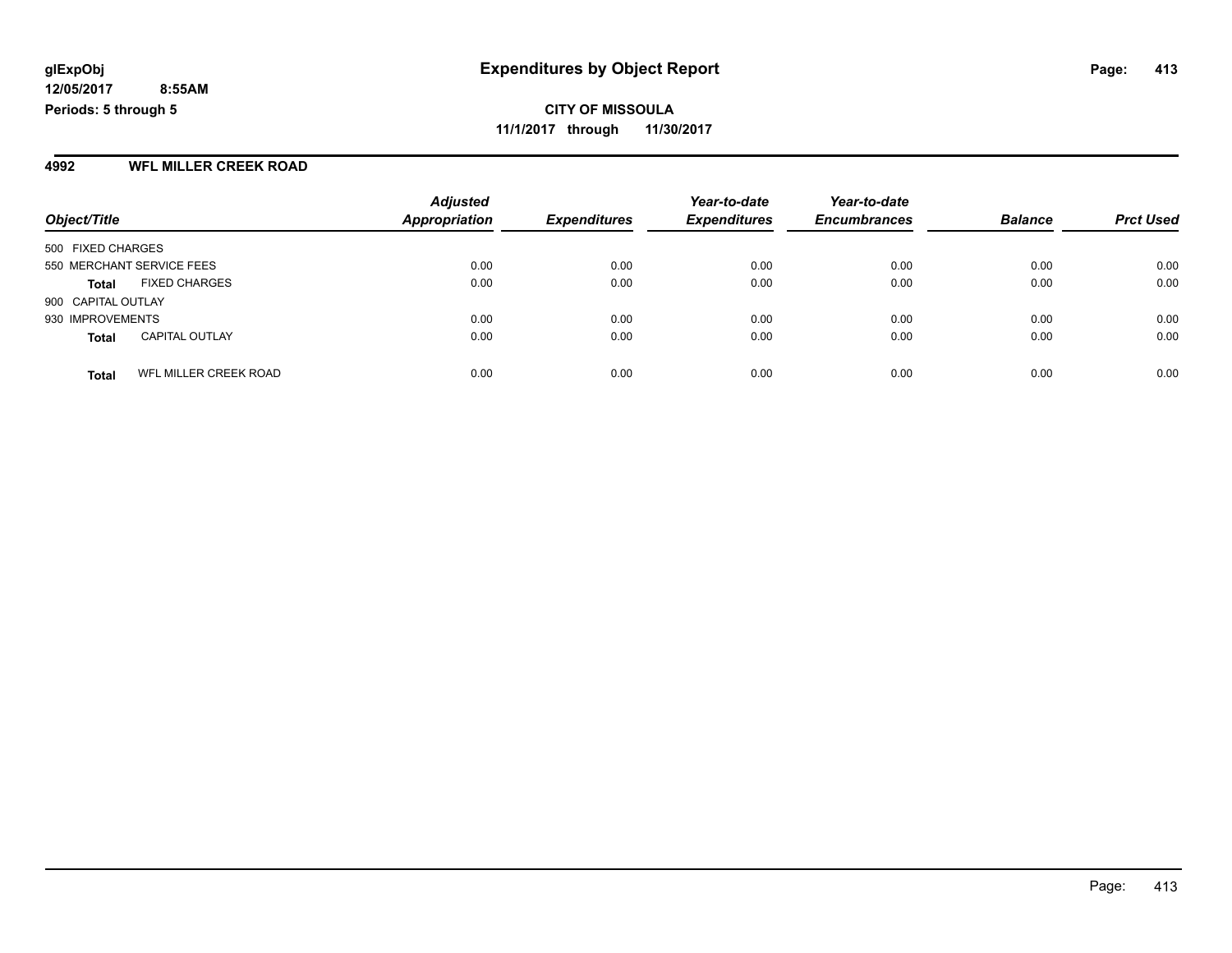**12/05/2017 8:55AM Periods: 5 through 5**

**CITY OF MISSOULA 11/1/2017 through 11/30/2017**

#### **4992 WFL MILLER CREEK ROAD**

|                           |                       | <b>Adjusted</b>      |                     | Year-to-date        | Year-to-date        |                |                  |
|---------------------------|-----------------------|----------------------|---------------------|---------------------|---------------------|----------------|------------------|
| Object/Title              |                       | <b>Appropriation</b> | <b>Expenditures</b> | <b>Expenditures</b> | <b>Encumbrances</b> | <b>Balance</b> | <b>Prct Used</b> |
| 500 FIXED CHARGES         |                       |                      |                     |                     |                     |                |                  |
| 550 MERCHANT SERVICE FEES |                       | 0.00                 | 0.00                | 0.00                | 0.00                | 0.00           | 0.00             |
| <b>Total</b>              | <b>FIXED CHARGES</b>  | 0.00                 | 0.00                | 0.00                | 0.00                | 0.00           | 0.00             |
| 900 CAPITAL OUTLAY        |                       |                      |                     |                     |                     |                |                  |
| 930 IMPROVEMENTS          |                       | 0.00                 | 0.00                | 0.00                | 0.00                | 0.00           | 0.00             |
| <b>Total</b>              | <b>CAPITAL OUTLAY</b> | 0.00                 | 0.00                | 0.00                | 0.00                | 0.00           | 0.00             |
| <b>Total</b>              | WFL MILLER CREEK ROAD | 0.00                 | 0.00                | 0.00                | 0.00                | 0.00           | 0.00             |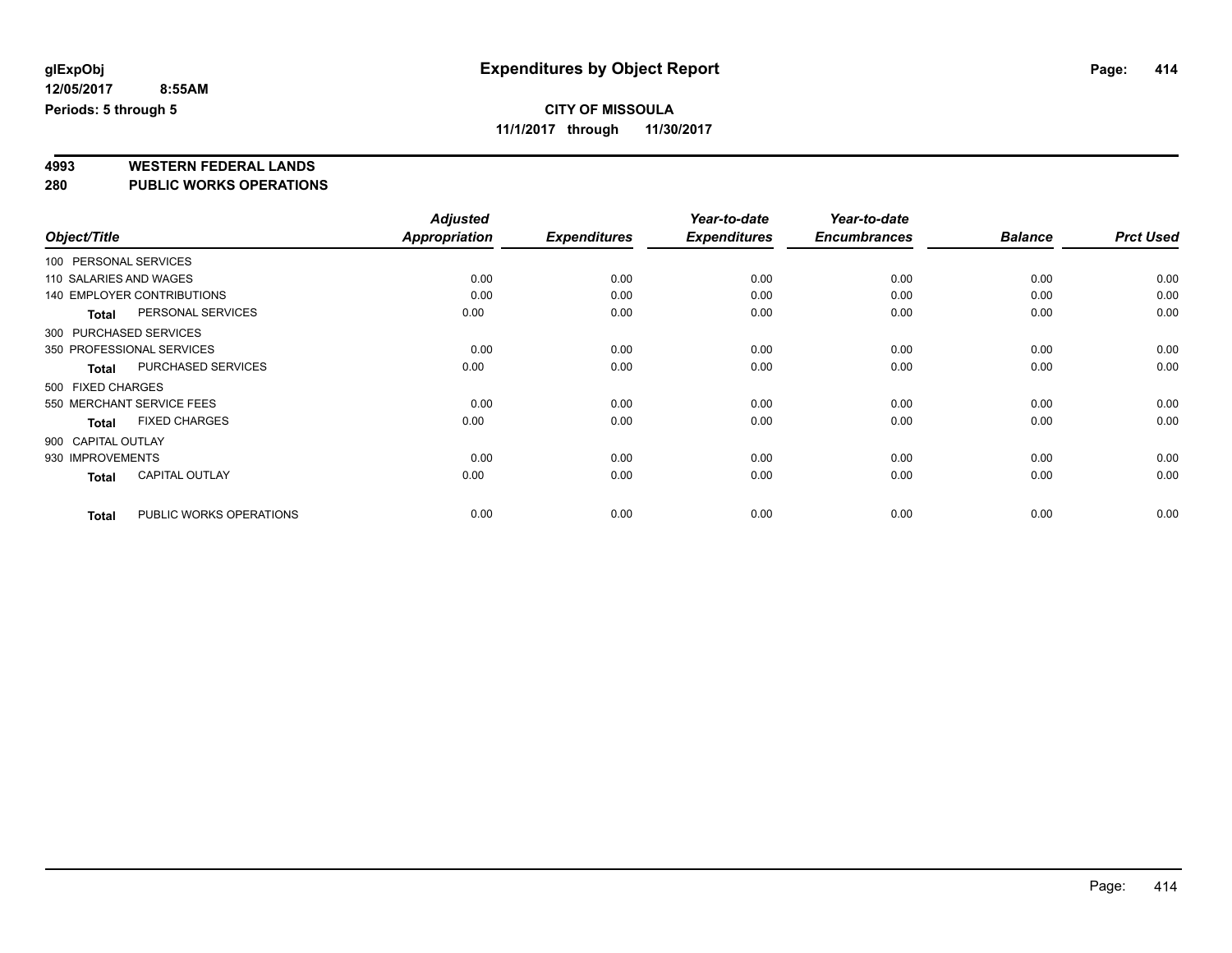### **CITY OF MISSOULA**

**11/1/2017 through 11/30/2017**

# **4993 WESTERN FEDERAL LANDS**

**280 PUBLIC WORKS OPERATIONS**

|                        |                                   | <b>Adjusted</b>      |                     | Year-to-date        | Year-to-date        |                |                  |
|------------------------|-----------------------------------|----------------------|---------------------|---------------------|---------------------|----------------|------------------|
| Object/Title           |                                   | <b>Appropriation</b> | <b>Expenditures</b> | <b>Expenditures</b> | <b>Encumbrances</b> | <b>Balance</b> | <b>Prct Used</b> |
| 100 PERSONAL SERVICES  |                                   |                      |                     |                     |                     |                |                  |
| 110 SALARIES AND WAGES |                                   | 0.00                 | 0.00                | 0.00                | 0.00                | 0.00           | 0.00             |
|                        | <b>140 EMPLOYER CONTRIBUTIONS</b> | 0.00                 | 0.00                | 0.00                | 0.00                | 0.00           | 0.00             |
| <b>Total</b>           | PERSONAL SERVICES                 | 0.00                 | 0.00                | 0.00                | 0.00                | 0.00           | 0.00             |
| 300 PURCHASED SERVICES |                                   |                      |                     |                     |                     |                |                  |
|                        | 350 PROFESSIONAL SERVICES         | 0.00                 | 0.00                | 0.00                | 0.00                | 0.00           | 0.00             |
| Total                  | PURCHASED SERVICES                | 0.00                 | 0.00                | 0.00                | 0.00                | 0.00           | 0.00             |
| 500 FIXED CHARGES      |                                   |                      |                     |                     |                     |                |                  |
|                        | 550 MERCHANT SERVICE FEES         | 0.00                 | 0.00                | 0.00                | 0.00                | 0.00           | 0.00             |
| <b>Total</b>           | <b>FIXED CHARGES</b>              | 0.00                 | 0.00                | 0.00                | 0.00                | 0.00           | 0.00             |
| 900 CAPITAL OUTLAY     |                                   |                      |                     |                     |                     |                |                  |
| 930 IMPROVEMENTS       |                                   | 0.00                 | 0.00                | 0.00                | 0.00                | 0.00           | 0.00             |
| <b>Total</b>           | <b>CAPITAL OUTLAY</b>             | 0.00                 | 0.00                | 0.00                | 0.00                | 0.00           | 0.00             |
| <b>Total</b>           | PUBLIC WORKS OPERATIONS           | 0.00                 | 0.00                | 0.00                | 0.00                | 0.00           | 0.00             |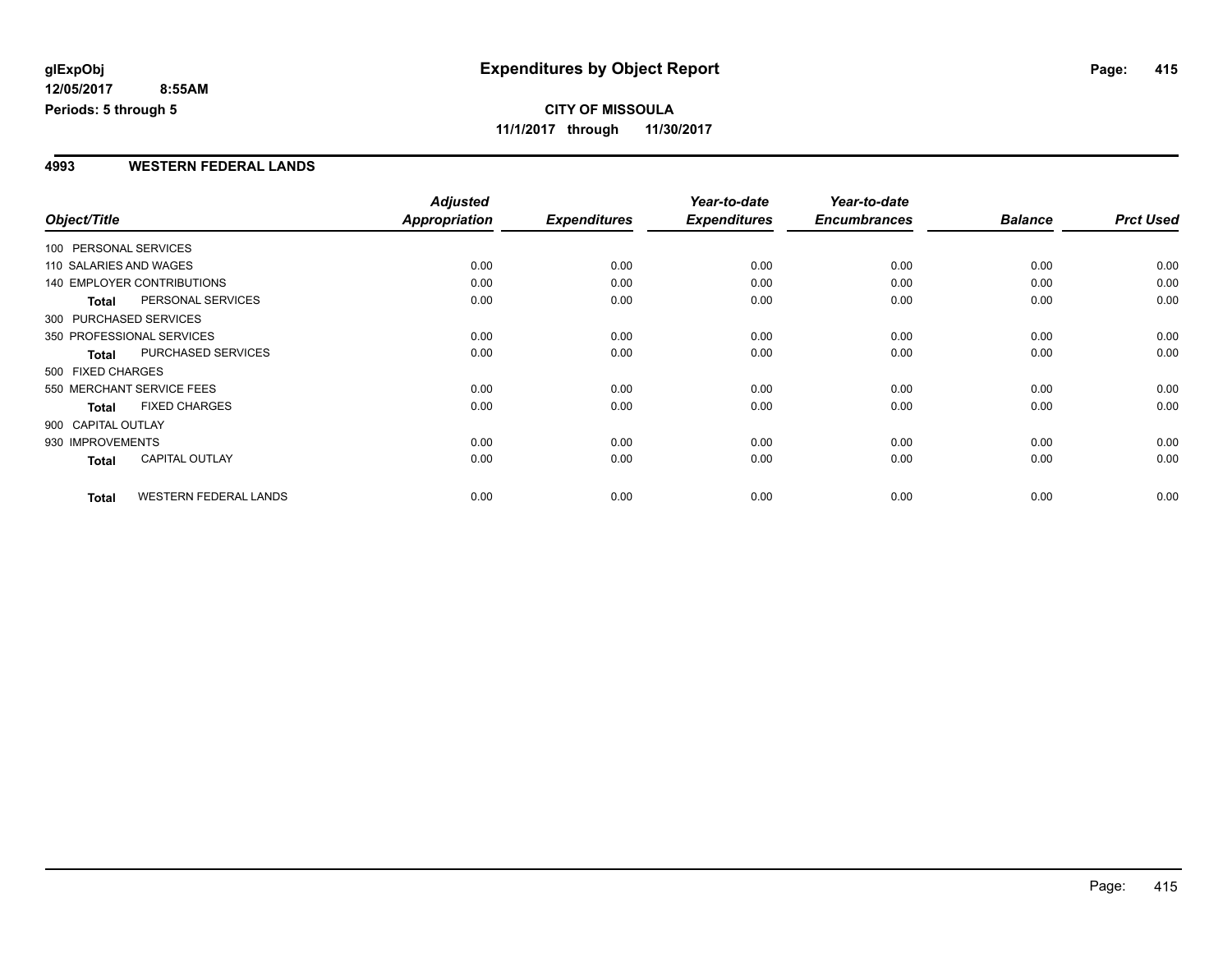#### **4993 WESTERN FEDERAL LANDS**

|                        |                              | <b>Adjusted</b>      |                     | Year-to-date        | Year-to-date        |                |                  |
|------------------------|------------------------------|----------------------|---------------------|---------------------|---------------------|----------------|------------------|
| Object/Title           |                              | <b>Appropriation</b> | <b>Expenditures</b> | <b>Expenditures</b> | <b>Encumbrances</b> | <b>Balance</b> | <b>Prct Used</b> |
| 100 PERSONAL SERVICES  |                              |                      |                     |                     |                     |                |                  |
| 110 SALARIES AND WAGES |                              | 0.00                 | 0.00                | 0.00                | 0.00                | 0.00           | 0.00             |
|                        | 140 EMPLOYER CONTRIBUTIONS   | 0.00                 | 0.00                | 0.00                | 0.00                | 0.00           | 0.00             |
| <b>Total</b>           | PERSONAL SERVICES            | 0.00                 | 0.00                | 0.00                | 0.00                | 0.00           | 0.00             |
|                        | 300 PURCHASED SERVICES       |                      |                     |                     |                     |                |                  |
|                        | 350 PROFESSIONAL SERVICES    | 0.00                 | 0.00                | 0.00                | 0.00                | 0.00           | 0.00             |
| <b>Total</b>           | PURCHASED SERVICES           | 0.00                 | 0.00                | 0.00                | 0.00                | 0.00           | 0.00             |
| 500 FIXED CHARGES      |                              |                      |                     |                     |                     |                |                  |
|                        | 550 MERCHANT SERVICE FEES    | 0.00                 | 0.00                | 0.00                | 0.00                | 0.00           | 0.00             |
| <b>Total</b>           | <b>FIXED CHARGES</b>         | 0.00                 | 0.00                | 0.00                | 0.00                | 0.00           | 0.00             |
| 900 CAPITAL OUTLAY     |                              |                      |                     |                     |                     |                |                  |
| 930 IMPROVEMENTS       |                              | 0.00                 | 0.00                | 0.00                | 0.00                | 0.00           | 0.00             |
| Total                  | <b>CAPITAL OUTLAY</b>        | 0.00                 | 0.00                | 0.00                | 0.00                | 0.00           | 0.00             |
| <b>Total</b>           | <b>WESTERN FEDERAL LANDS</b> | 0.00                 | 0.00                | 0.00                | 0.00                | 0.00           | 0.00             |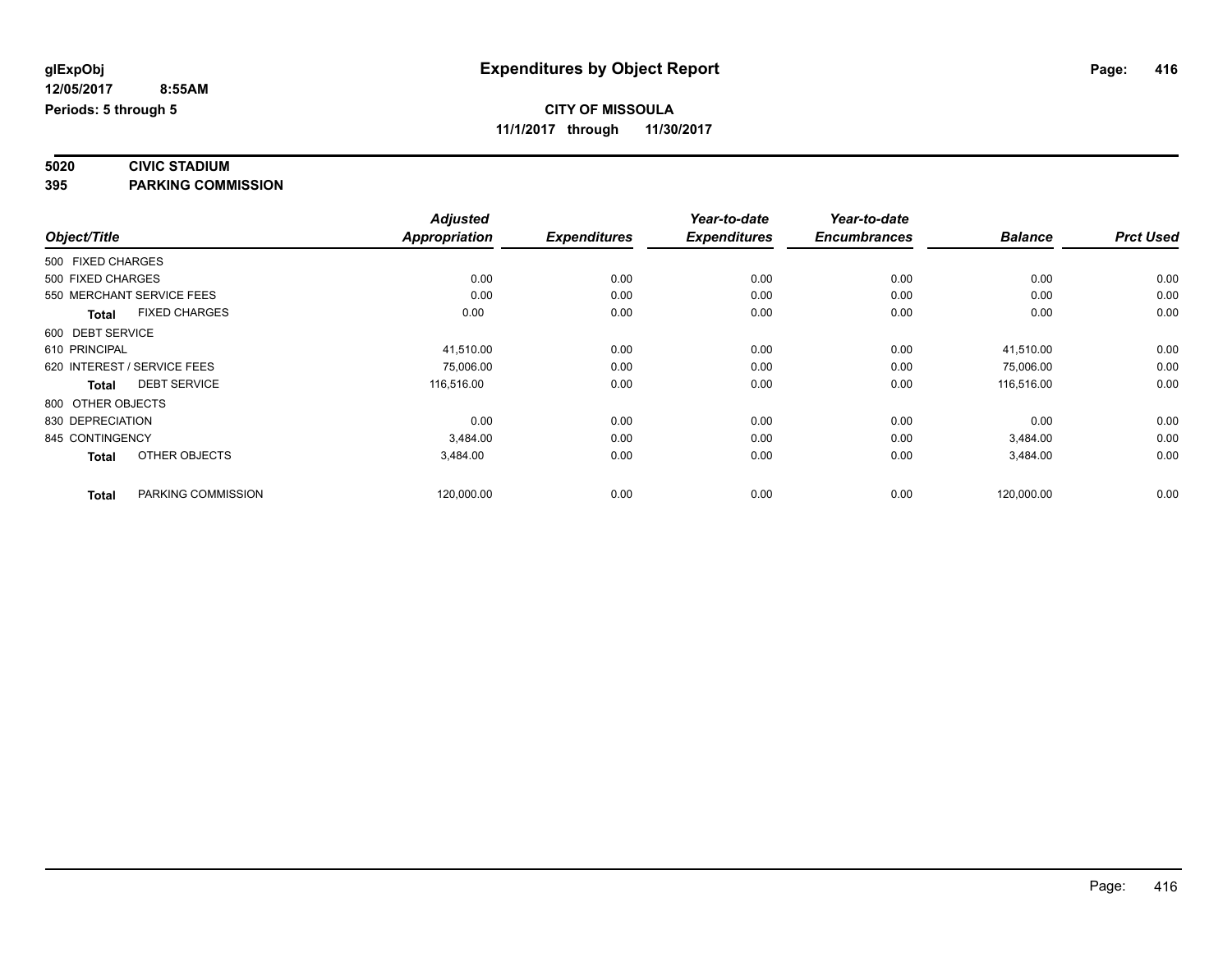#### **5020 CIVIC STADIUM 395 PARKING COMMISSION**

|                   |                             | <b>Adjusted</b>      |                     | Year-to-date        | Year-to-date        |                |                  |
|-------------------|-----------------------------|----------------------|---------------------|---------------------|---------------------|----------------|------------------|
| Object/Title      |                             | <b>Appropriation</b> | <b>Expenditures</b> | <b>Expenditures</b> | <b>Encumbrances</b> | <b>Balance</b> | <b>Prct Used</b> |
| 500 FIXED CHARGES |                             |                      |                     |                     |                     |                |                  |
| 500 FIXED CHARGES |                             | 0.00                 | 0.00                | 0.00                | 0.00                | 0.00           | 0.00             |
|                   | 550 MERCHANT SERVICE FEES   | 0.00                 | 0.00                | 0.00                | 0.00                | 0.00           | 0.00             |
| <b>Total</b>      | <b>FIXED CHARGES</b>        | 0.00                 | 0.00                | 0.00                | 0.00                | 0.00           | 0.00             |
| 600 DEBT SERVICE  |                             |                      |                     |                     |                     |                |                  |
| 610 PRINCIPAL     |                             | 41,510.00            | 0.00                | 0.00                | 0.00                | 41,510.00      | 0.00             |
|                   | 620 INTEREST / SERVICE FEES | 75,006.00            | 0.00                | 0.00                | 0.00                | 75,006.00      | 0.00             |
| Total             | <b>DEBT SERVICE</b>         | 116,516.00           | 0.00                | 0.00                | 0.00                | 116,516.00     | 0.00             |
| 800 OTHER OBJECTS |                             |                      |                     |                     |                     |                |                  |
| 830 DEPRECIATION  |                             | 0.00                 | 0.00                | 0.00                | 0.00                | 0.00           | 0.00             |
| 845 CONTINGENCY   |                             | 3,484.00             | 0.00                | 0.00                | 0.00                | 3,484.00       | 0.00             |
| <b>Total</b>      | OTHER OBJECTS               | 3,484.00             | 0.00                | 0.00                | 0.00                | 3,484.00       | 0.00             |
| <b>Total</b>      | PARKING COMMISSION          | 120,000.00           | 0.00                | 0.00                | 0.00                | 120,000.00     | 0.00             |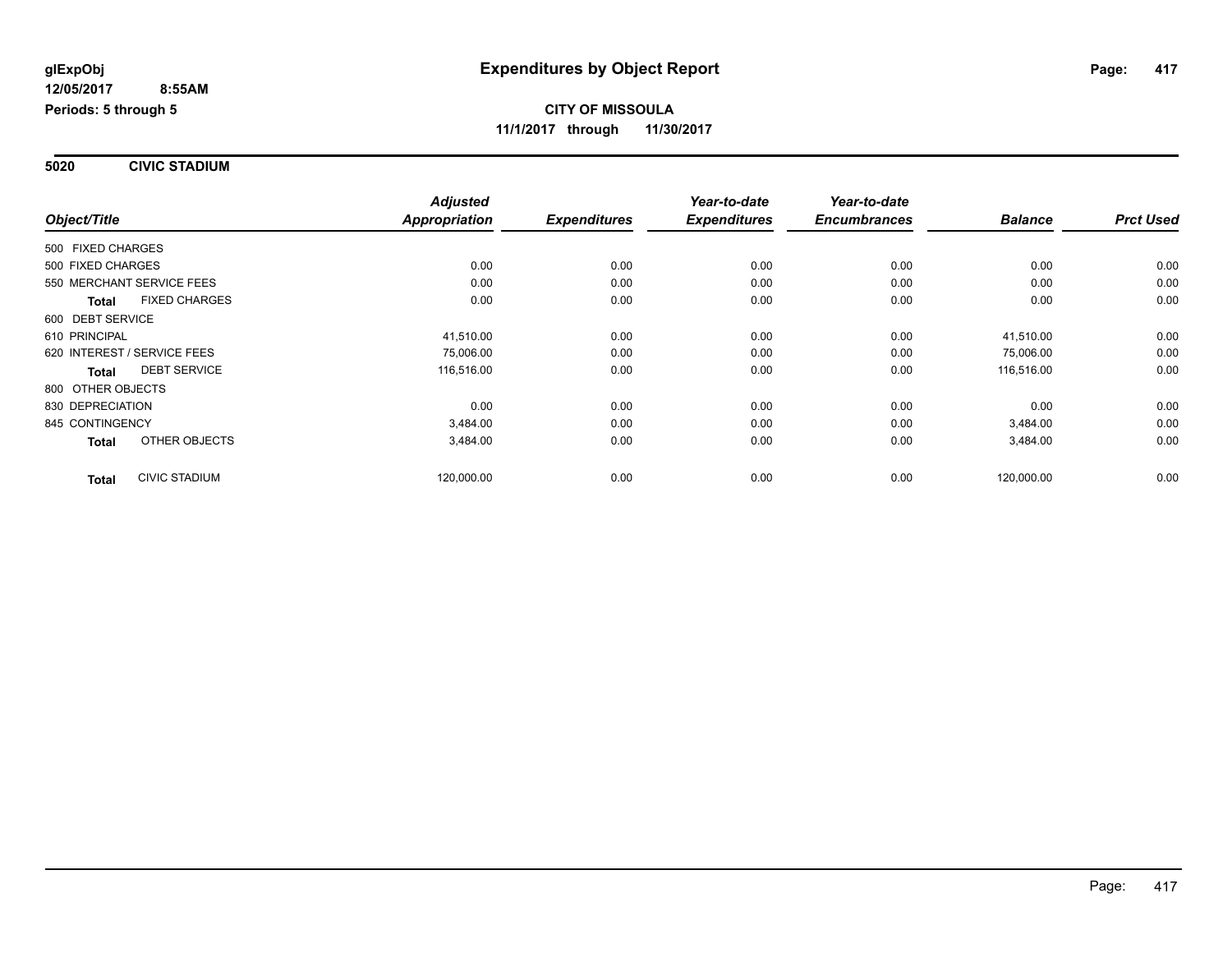**5020 CIVIC STADIUM**

|                                      | <b>Adjusted</b>      |                     | Year-to-date        | Year-to-date        |                |                  |
|--------------------------------------|----------------------|---------------------|---------------------|---------------------|----------------|------------------|
| Object/Title                         | <b>Appropriation</b> | <b>Expenditures</b> | <b>Expenditures</b> | <b>Encumbrances</b> | <b>Balance</b> | <b>Prct Used</b> |
| 500 FIXED CHARGES                    |                      |                     |                     |                     |                |                  |
| 500 FIXED CHARGES                    | 0.00                 | 0.00                | 0.00                | 0.00                | 0.00           | 0.00             |
| 550 MERCHANT SERVICE FEES            | 0.00                 | 0.00                | 0.00                | 0.00                | 0.00           | 0.00             |
| <b>FIXED CHARGES</b><br><b>Total</b> | 0.00                 | 0.00                | 0.00                | 0.00                | 0.00           | 0.00             |
| 600 DEBT SERVICE                     |                      |                     |                     |                     |                |                  |
| 610 PRINCIPAL                        | 41.510.00            | 0.00                | 0.00                | 0.00                | 41,510.00      | 0.00             |
| 620 INTEREST / SERVICE FEES          | 75,006.00            | 0.00                | 0.00                | 0.00                | 75,006.00      | 0.00             |
| <b>DEBT SERVICE</b><br><b>Total</b>  | 116,516.00           | 0.00                | 0.00                | 0.00                | 116,516.00     | 0.00             |
| 800 OTHER OBJECTS                    |                      |                     |                     |                     |                |                  |
| 830 DEPRECIATION                     | 0.00                 | 0.00                | 0.00                | 0.00                | 0.00           | 0.00             |
| 845 CONTINGENCY                      | 3,484.00             | 0.00                | 0.00                | 0.00                | 3,484.00       | 0.00             |
| OTHER OBJECTS<br><b>Total</b>        | 3,484.00             | 0.00                | 0.00                | 0.00                | 3,484.00       | 0.00             |
| <b>CIVIC STADIUM</b><br><b>Total</b> | 120,000.00           | 0.00                | 0.00                | 0.00                | 120,000.00     | 0.00             |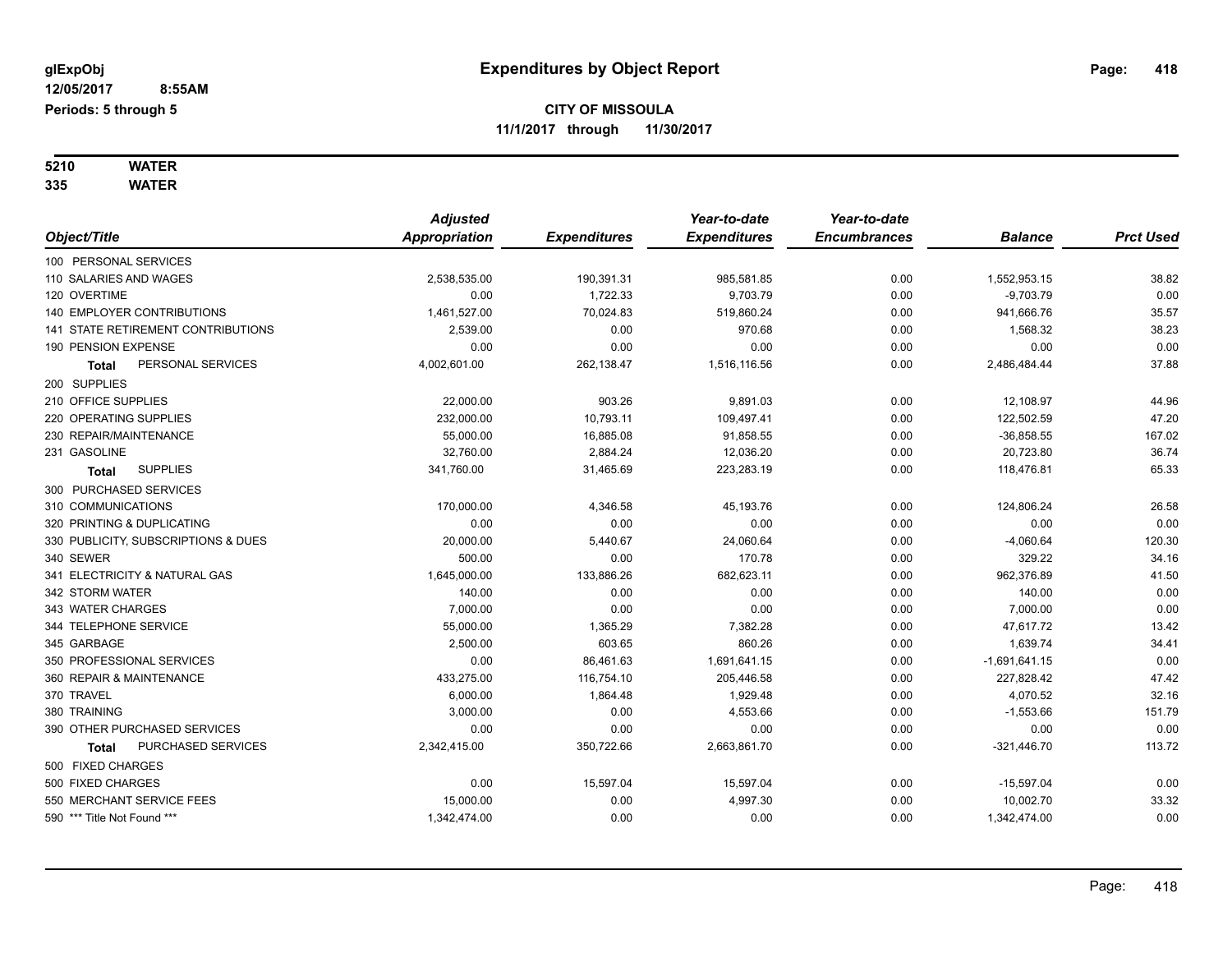# **5210 WATER**

**335 WATER**

|                                     | <b>Adjusted</b> |                     | Year-to-date        | Year-to-date        |                 |                  |
|-------------------------------------|-----------------|---------------------|---------------------|---------------------|-----------------|------------------|
| Object/Title                        | Appropriation   | <b>Expenditures</b> | <b>Expenditures</b> | <b>Encumbrances</b> | <b>Balance</b>  | <b>Prct Used</b> |
| 100 PERSONAL SERVICES               |                 |                     |                     |                     |                 |                  |
| 110 SALARIES AND WAGES              | 2,538,535.00    | 190,391.31          | 985,581.85          | 0.00                | 1,552,953.15    | 38.82            |
| 120 OVERTIME                        | 0.00            | 1,722.33            | 9,703.79            | 0.00                | $-9,703.79$     | 0.00             |
| 140 EMPLOYER CONTRIBUTIONS          | 1,461,527.00    | 70,024.83           | 519,860.24          | 0.00                | 941,666.76      | 35.57            |
| 141 STATE RETIREMENT CONTRIBUTIONS  | 2,539.00        | 0.00                | 970.68              | 0.00                | 1,568.32        | 38.23            |
| 190 PENSION EXPENSE                 | 0.00            | 0.00                | 0.00                | 0.00                | 0.00            | 0.00             |
| PERSONAL SERVICES<br>Total          | 4,002,601.00    | 262,138.47          | 1,516,116.56        | 0.00                | 2,486,484.44    | 37.88            |
| 200 SUPPLIES                        |                 |                     |                     |                     |                 |                  |
| 210 OFFICE SUPPLIES                 | 22,000.00       | 903.26              | 9,891.03            | 0.00                | 12,108.97       | 44.96            |
| 220 OPERATING SUPPLIES              | 232,000.00      | 10,793.11           | 109,497.41          | 0.00                | 122,502.59      | 47.20            |
| 230 REPAIR/MAINTENANCE              | 55,000.00       | 16,885.08           | 91,858.55           | 0.00                | $-36,858.55$    | 167.02           |
| 231 GASOLINE                        | 32,760.00       | 2,884.24            | 12,036.20           | 0.00                | 20,723.80       | 36.74            |
| <b>SUPPLIES</b><br>Total            | 341,760.00      | 31,465.69           | 223,283.19          | 0.00                | 118,476.81      | 65.33            |
| 300 PURCHASED SERVICES              |                 |                     |                     |                     |                 |                  |
| 310 COMMUNICATIONS                  | 170,000.00      | 4,346.58            | 45,193.76           | 0.00                | 124,806.24      | 26.58            |
| 320 PRINTING & DUPLICATING          | 0.00            | 0.00                | 0.00                | 0.00                | 0.00            | 0.00             |
| 330 PUBLICITY, SUBSCRIPTIONS & DUES | 20,000.00       | 5,440.67            | 24,060.64           | 0.00                | $-4,060.64$     | 120.30           |
| 340 SEWER                           | 500.00          | 0.00                | 170.78              | 0.00                | 329.22          | 34.16            |
| 341 ELECTRICITY & NATURAL GAS       | 1,645,000.00    | 133,886.26          | 682,623.11          | 0.00                | 962,376.89      | 41.50            |
| 342 STORM WATER                     | 140.00          | 0.00                | 0.00                | 0.00                | 140.00          | 0.00             |
| 343 WATER CHARGES                   | 7,000.00        | 0.00                | 0.00                | 0.00                | 7,000.00        | 0.00             |
| 344 TELEPHONE SERVICE               | 55,000.00       | 1,365.29            | 7,382.28            | 0.00                | 47,617.72       | 13.42            |
| 345 GARBAGE                         | 2,500.00        | 603.65              | 860.26              | 0.00                | 1,639.74        | 34.41            |
| 350 PROFESSIONAL SERVICES           | 0.00            | 86,461.63           | 1,691,641.15        | 0.00                | $-1,691,641.15$ | 0.00             |
| 360 REPAIR & MAINTENANCE            | 433,275.00      | 116,754.10          | 205,446.58          | 0.00                | 227,828.42      | 47.42            |
| 370 TRAVEL                          | 6,000.00        | 1,864.48            | 1,929.48            | 0.00                | 4,070.52        | 32.16            |
| 380 TRAINING                        | 3,000.00        | 0.00                | 4,553.66            | 0.00                | $-1,553.66$     | 151.79           |
| 390 OTHER PURCHASED SERVICES        | 0.00            | 0.00                | 0.00                | 0.00                | 0.00            | 0.00             |
| PURCHASED SERVICES<br><b>Total</b>  | 2,342,415.00    | 350,722.66          | 2,663,861.70        | 0.00                | $-321,446.70$   | 113.72           |
| 500 FIXED CHARGES                   |                 |                     |                     |                     |                 |                  |
| 500 FIXED CHARGES                   | 0.00            | 15,597.04           | 15,597.04           | 0.00                | $-15,597.04$    | 0.00             |
| 550 MERCHANT SERVICE FEES           | 15,000.00       | 0.00                | 4,997.30            | 0.00                | 10,002.70       | 33.32            |
| 590 *** Title Not Found ***         | 1,342,474.00    | 0.00                | 0.00                | 0.00                | 1,342,474.00    | 0.00             |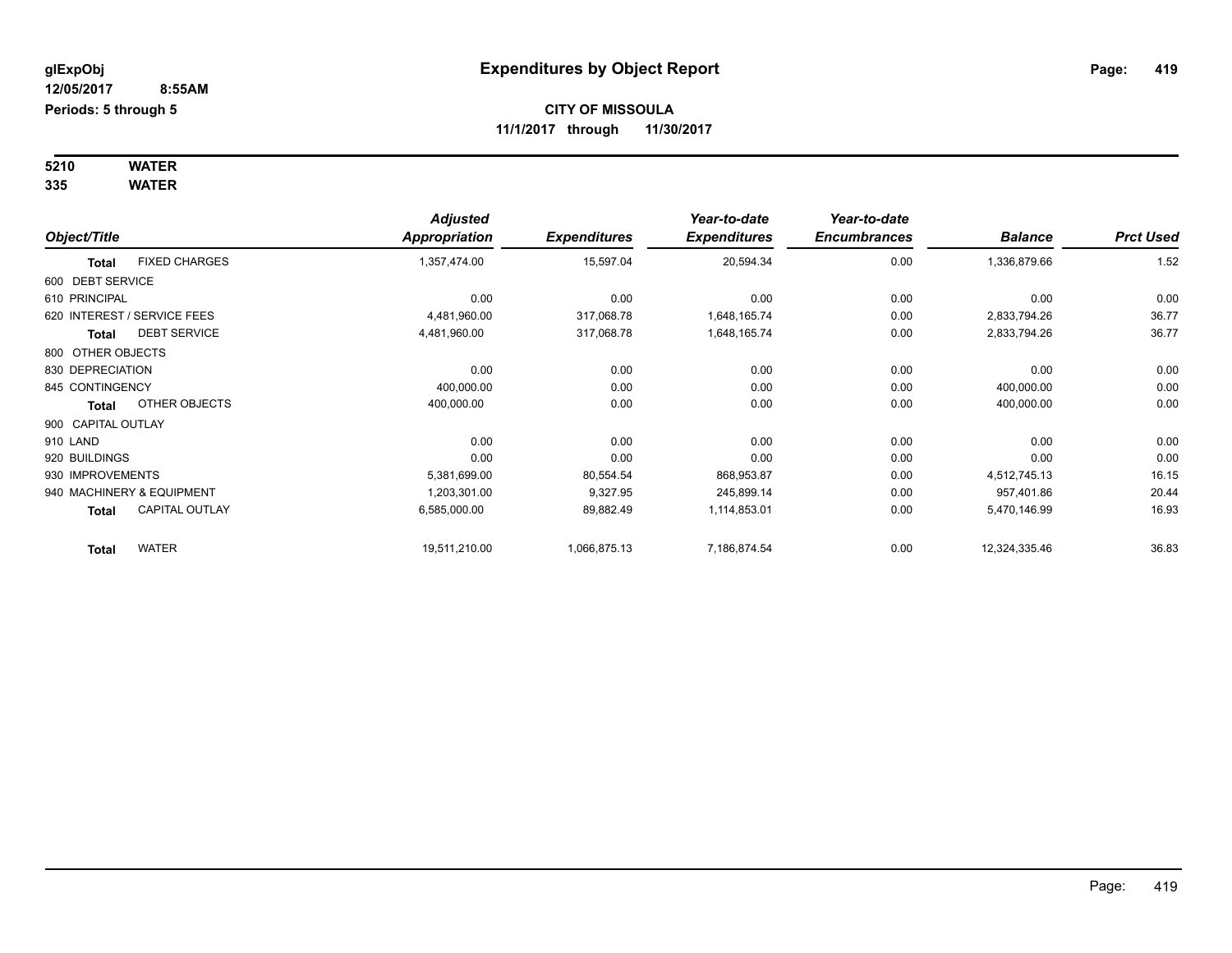#### **5210 WATER 335 WATER**

|                    |                             | <b>Adjusted</b>      |                     | Year-to-date        | Year-to-date        |                |                  |
|--------------------|-----------------------------|----------------------|---------------------|---------------------|---------------------|----------------|------------------|
| Object/Title       |                             | <b>Appropriation</b> | <b>Expenditures</b> | <b>Expenditures</b> | <b>Encumbrances</b> | <b>Balance</b> | <b>Prct Used</b> |
| <b>Total</b>       | <b>FIXED CHARGES</b>        | 1,357,474.00         | 15,597.04           | 20,594.34           | 0.00                | 1,336,879.66   | 1.52             |
| 600 DEBT SERVICE   |                             |                      |                     |                     |                     |                |                  |
| 610 PRINCIPAL      |                             | 0.00                 | 0.00                | 0.00                | 0.00                | 0.00           | 0.00             |
|                    | 620 INTEREST / SERVICE FEES | 4,481,960.00         | 317,068.78          | 1,648,165.74        | 0.00                | 2,833,794.26   | 36.77            |
| <b>Total</b>       | <b>DEBT SERVICE</b>         | 4,481,960.00         | 317,068.78          | 1,648,165.74        | 0.00                | 2,833,794.26   | 36.77            |
| 800 OTHER OBJECTS  |                             |                      |                     |                     |                     |                |                  |
| 830 DEPRECIATION   |                             | 0.00                 | 0.00                | 0.00                | 0.00                | 0.00           | 0.00             |
| 845 CONTINGENCY    |                             | 400,000.00           | 0.00                | 0.00                | 0.00                | 400,000.00     | 0.00             |
| Total              | OTHER OBJECTS               | 400,000.00           | 0.00                | 0.00                | 0.00                | 400,000.00     | 0.00             |
| 900 CAPITAL OUTLAY |                             |                      |                     |                     |                     |                |                  |
| 910 LAND           |                             | 0.00                 | 0.00                | 0.00                | 0.00                | 0.00           | 0.00             |
| 920 BUILDINGS      |                             | 0.00                 | 0.00                | 0.00                | 0.00                | 0.00           | 0.00             |
| 930 IMPROVEMENTS   |                             | 5,381,699.00         | 80,554.54           | 868,953.87          | 0.00                | 4,512,745.13   | 16.15            |
|                    | 940 MACHINERY & EQUIPMENT   | 1,203,301.00         | 9,327.95            | 245,899.14          | 0.00                | 957,401.86     | 20.44            |
| <b>Total</b>       | <b>CAPITAL OUTLAY</b>       | 6,585,000.00         | 89,882.49           | 1,114,853.01        | 0.00                | 5,470,146.99   | 16.93            |
| <b>Total</b>       | <b>WATER</b>                | 19,511,210.00        | 1,066,875.13        | 7,186,874.54        | 0.00                | 12,324,335.46  | 36.83            |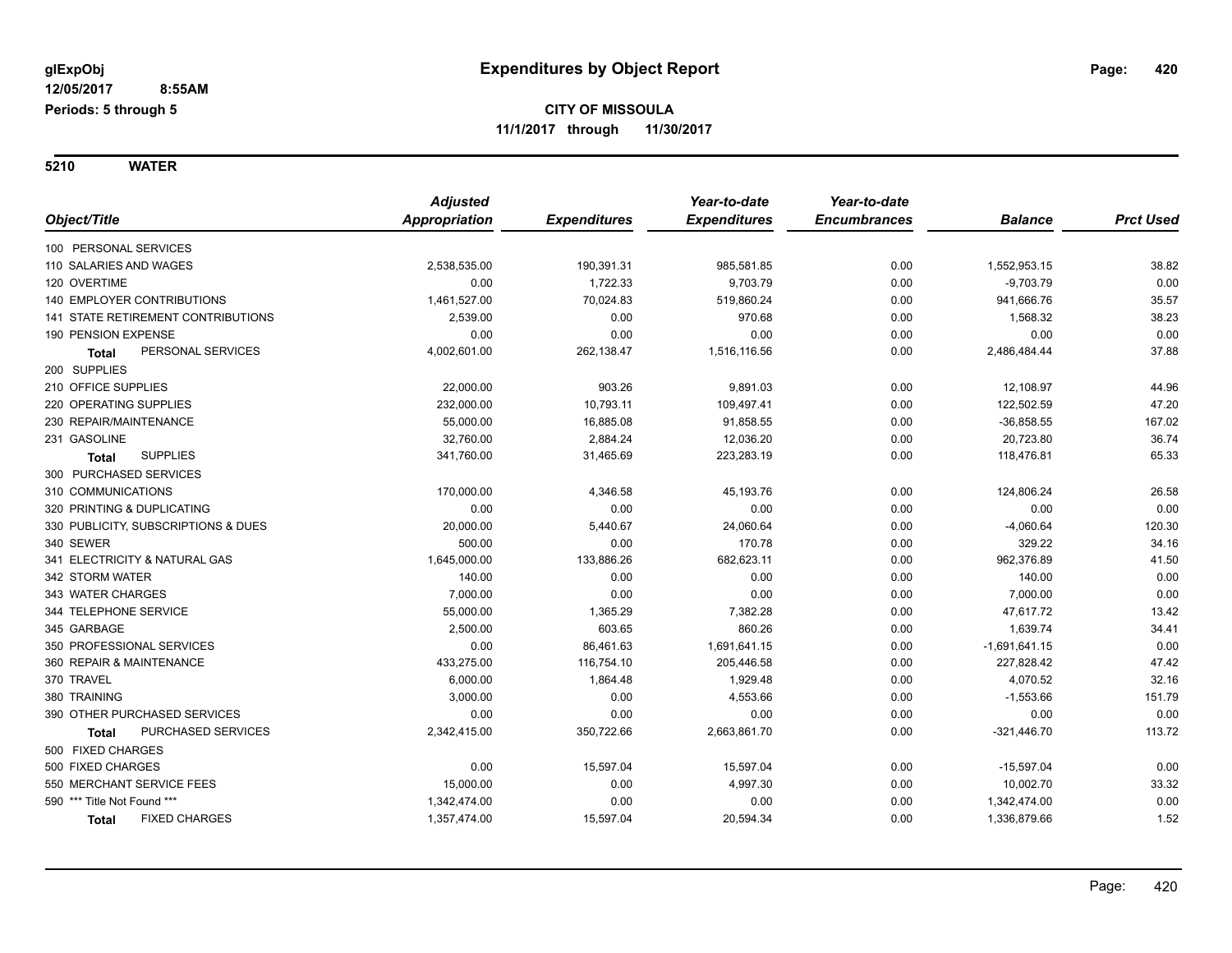**5210 WATER**

|                                           | <b>Adjusted</b> |                     | Year-to-date        | Year-to-date        |                 |                  |
|-------------------------------------------|-----------------|---------------------|---------------------|---------------------|-----------------|------------------|
| Object/Title                              | Appropriation   | <b>Expenditures</b> | <b>Expenditures</b> | <b>Encumbrances</b> | <b>Balance</b>  | <b>Prct Used</b> |
| 100 PERSONAL SERVICES                     |                 |                     |                     |                     |                 |                  |
| 110 SALARIES AND WAGES                    | 2,538,535.00    | 190,391.31          | 985,581.85          | 0.00                | 1,552,953.15    | 38.82            |
| 120 OVERTIME                              | 0.00            | 1,722.33            | 9,703.79            | 0.00                | $-9,703.79$     | 0.00             |
| <b>140 EMPLOYER CONTRIBUTIONS</b>         | 1,461,527.00    | 70,024.83           | 519,860.24          | 0.00                | 941,666.76      | 35.57            |
| <b>141 STATE RETIREMENT CONTRIBUTIONS</b> | 2,539.00        | 0.00                | 970.68              | 0.00                | 1,568.32        | 38.23            |
| 190 PENSION EXPENSE                       | 0.00            | 0.00                | 0.00                | 0.00                | 0.00            | 0.00             |
| PERSONAL SERVICES<br><b>Total</b>         | 4,002,601.00    | 262,138.47          | 1,516,116.56        | 0.00                | 2,486,484.44    | 37.88            |
| 200 SUPPLIES                              |                 |                     |                     |                     |                 |                  |
| 210 OFFICE SUPPLIES                       | 22,000.00       | 903.26              | 9,891.03            | 0.00                | 12,108.97       | 44.96            |
| 220 OPERATING SUPPLIES                    | 232,000.00      | 10,793.11           | 109,497.41          | 0.00                | 122,502.59      | 47.20            |
| 230 REPAIR/MAINTENANCE                    | 55,000.00       | 16,885.08           | 91,858.55           | 0.00                | $-36,858.55$    | 167.02           |
| 231 GASOLINE                              | 32,760.00       | 2,884.24            | 12,036.20           | 0.00                | 20,723.80       | 36.74            |
| <b>SUPPLIES</b><br><b>Total</b>           | 341,760.00      | 31,465.69           | 223,283.19          | 0.00                | 118,476.81      | 65.33            |
| 300 PURCHASED SERVICES                    |                 |                     |                     |                     |                 |                  |
| 310 COMMUNICATIONS                        | 170,000.00      | 4,346.58            | 45,193.76           | 0.00                | 124,806.24      | 26.58            |
| 320 PRINTING & DUPLICATING                | 0.00            | 0.00                | 0.00                | 0.00                | 0.00            | 0.00             |
| 330 PUBLICITY, SUBSCRIPTIONS & DUES       | 20,000.00       | 5,440.67            | 24,060.64           | 0.00                | $-4,060.64$     | 120.30           |
| 340 SEWER                                 | 500.00          | 0.00                | 170.78              | 0.00                | 329.22          | 34.16            |
| 341 ELECTRICITY & NATURAL GAS             | 1,645,000.00    | 133,886.26          | 682,623.11          | 0.00                | 962,376.89      | 41.50            |
| 342 STORM WATER                           | 140.00          | 0.00                | 0.00                | 0.00                | 140.00          | 0.00             |
| 343 WATER CHARGES                         | 7,000.00        | 0.00                | 0.00                | 0.00                | 7,000.00        | 0.00             |
| 344 TELEPHONE SERVICE                     | 55,000.00       | 1,365.29            | 7,382.28            | 0.00                | 47,617.72       | 13.42            |
| 345 GARBAGE                               | 2,500.00        | 603.65              | 860.26              | 0.00                | 1,639.74        | 34.41            |
| 350 PROFESSIONAL SERVICES                 | 0.00            | 86,461.63           | 1,691,641.15        | 0.00                | $-1,691,641.15$ | 0.00             |
| 360 REPAIR & MAINTENANCE                  | 433,275.00      | 116,754.10          | 205,446.58          | 0.00                | 227,828.42      | 47.42            |
| 370 TRAVEL                                | 6,000.00        | 1,864.48            | 1,929.48            | 0.00                | 4,070.52        | 32.16            |
| 380 TRAINING                              | 3,000.00        | 0.00                | 4,553.66            | 0.00                | $-1,553.66$     | 151.79           |
| 390 OTHER PURCHASED SERVICES              | 0.00            | 0.00                | 0.00                | 0.00                | 0.00            | 0.00             |
| <b>PURCHASED SERVICES</b><br>Total        | 2,342,415.00    | 350,722.66          | 2,663,861.70        | 0.00                | $-321,446.70$   | 113.72           |
| 500 FIXED CHARGES                         |                 |                     |                     |                     |                 |                  |
| 500 FIXED CHARGES                         | 0.00            | 15,597.04           | 15,597.04           | 0.00                | $-15,597.04$    | 0.00             |
| 550 MERCHANT SERVICE FEES                 | 15,000.00       | 0.00                | 4,997.30            | 0.00                | 10,002.70       | 33.32            |
| 590 *** Title Not Found ***               | 1,342,474.00    | 0.00                | 0.00                | 0.00                | 1,342,474.00    | 0.00             |
| <b>FIXED CHARGES</b><br>Total             | 1,357,474.00    | 15,597.04           | 20,594.34           | 0.00                | 1,336,879.66    | 1.52             |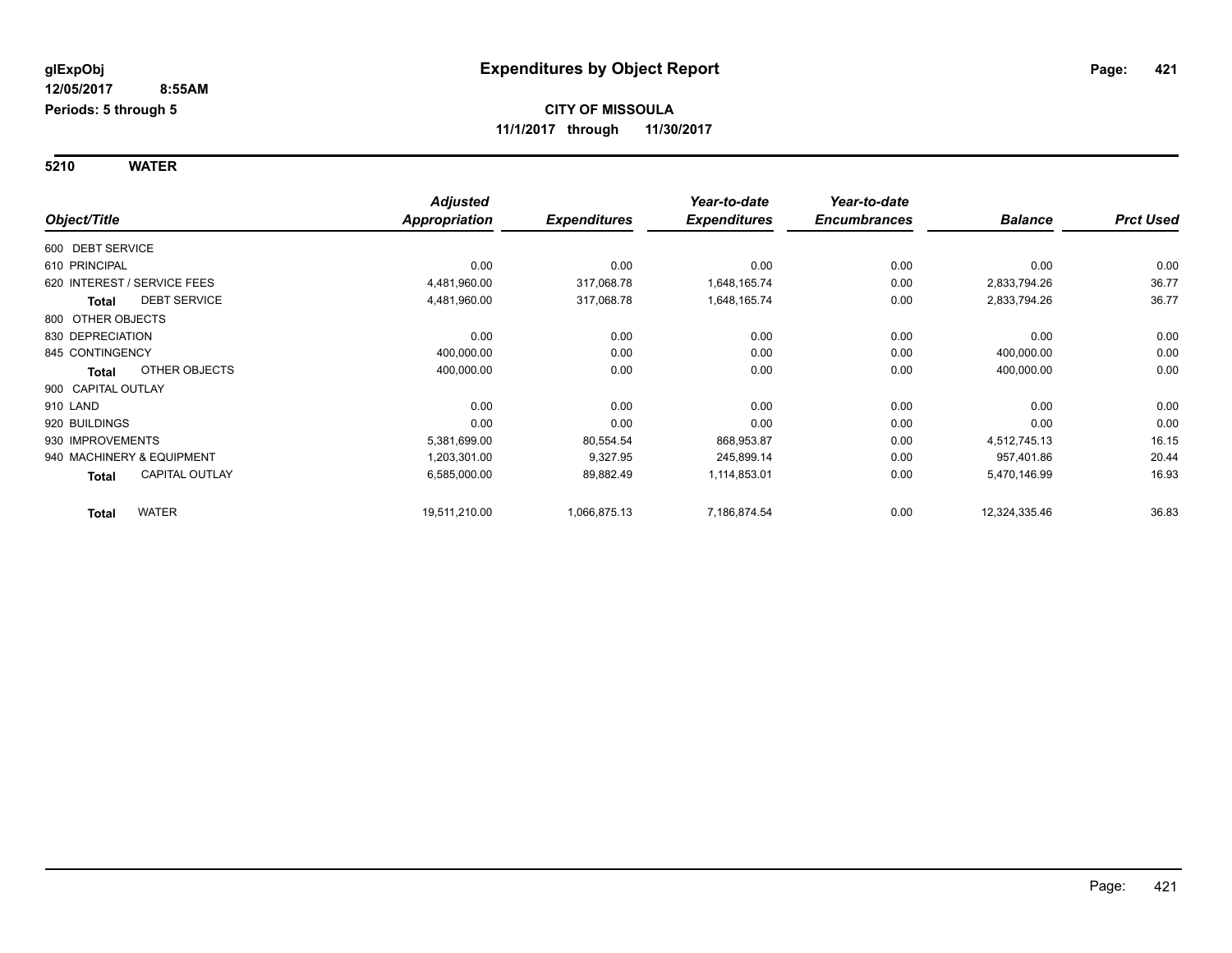**5210 WATER**

|                    |                             | <b>Adjusted</b> |                     | Year-to-date        | Year-to-date        |                |                  |
|--------------------|-----------------------------|-----------------|---------------------|---------------------|---------------------|----------------|------------------|
| Object/Title       |                             | Appropriation   | <b>Expenditures</b> | <b>Expenditures</b> | <b>Encumbrances</b> | <b>Balance</b> | <b>Prct Used</b> |
| 600 DEBT SERVICE   |                             |                 |                     |                     |                     |                |                  |
| 610 PRINCIPAL      |                             | 0.00            | 0.00                | 0.00                | 0.00                | 0.00           | 0.00             |
|                    | 620 INTEREST / SERVICE FEES | 4,481,960.00    | 317,068.78          | 1,648,165.74        | 0.00                | 2,833,794.26   | 36.77            |
| <b>Total</b>       | <b>DEBT SERVICE</b>         | 4,481,960.00    | 317,068.78          | 1,648,165.74        | 0.00                | 2,833,794.26   | 36.77            |
| 800 OTHER OBJECTS  |                             |                 |                     |                     |                     |                |                  |
| 830 DEPRECIATION   |                             | 0.00            | 0.00                | 0.00                | 0.00                | 0.00           | 0.00             |
| 845 CONTINGENCY    |                             | 400,000.00      | 0.00                | 0.00                | 0.00                | 400,000.00     | 0.00             |
| Total              | OTHER OBJECTS               | 400,000.00      | 0.00                | 0.00                | 0.00                | 400,000.00     | 0.00             |
| 900 CAPITAL OUTLAY |                             |                 |                     |                     |                     |                |                  |
| 910 LAND           |                             | 0.00            | 0.00                | 0.00                | 0.00                | 0.00           | 0.00             |
| 920 BUILDINGS      |                             | 0.00            | 0.00                | 0.00                | 0.00                | 0.00           | 0.00             |
| 930 IMPROVEMENTS   |                             | 5,381,699.00    | 80,554.54           | 868,953.87          | 0.00                | 4,512,745.13   | 16.15            |
|                    | 940 MACHINERY & EQUIPMENT   | 1,203,301.00    | 9,327.95            | 245,899.14          | 0.00                | 957,401.86     | 20.44            |
| <b>Total</b>       | CAPITAL OUTLAY              | 6,585,000.00    | 89,882.49           | 1,114,853.01        | 0.00                | 5,470,146.99   | 16.93            |
| <b>Total</b>       | <b>WATER</b>                | 19,511,210.00   | 1,066,875.13        | 7,186,874.54        | 0.00                | 12,324,335.46  | 36.83            |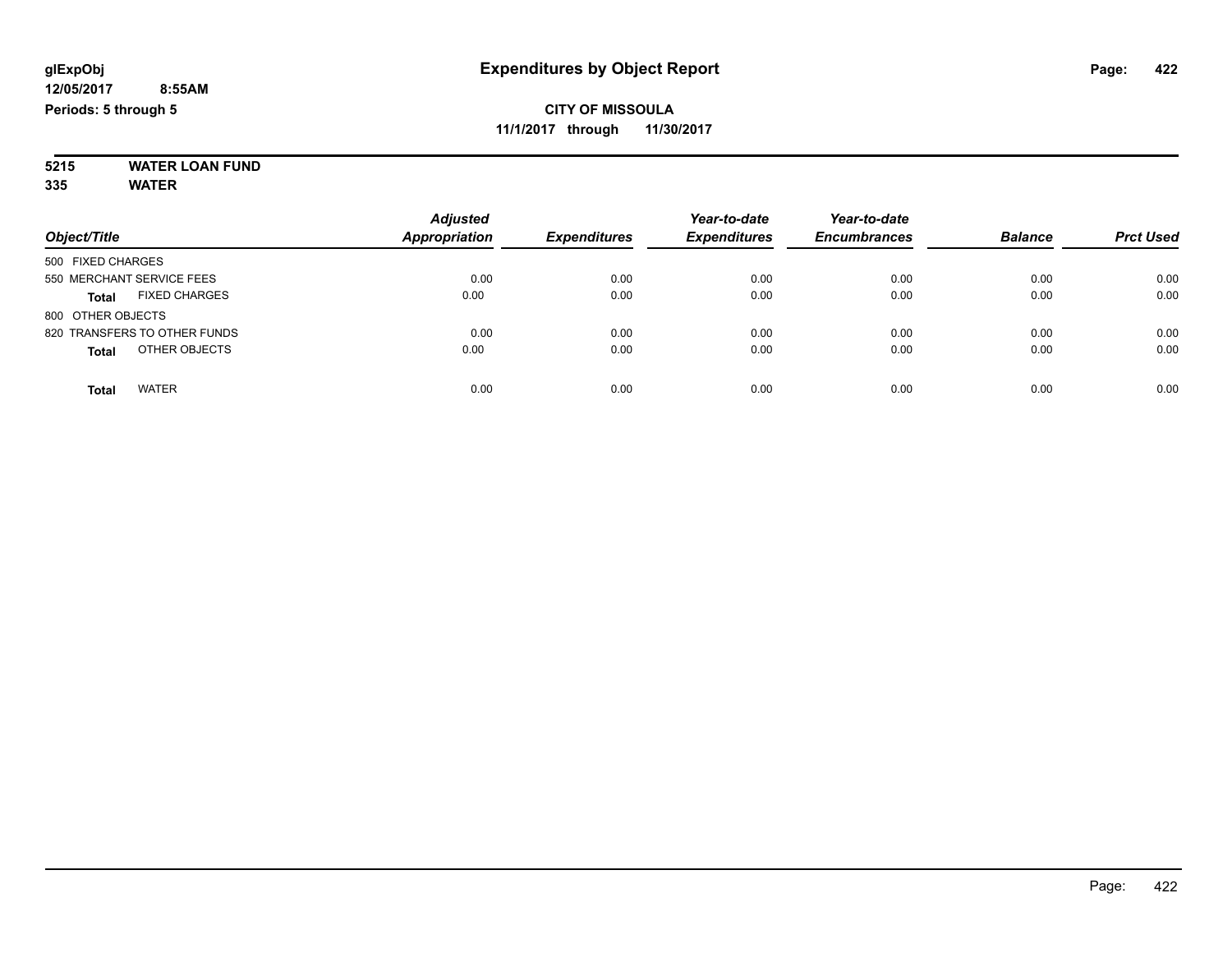#### **5215 WATER LOAN FUND 335 WATER**

| Object/Title                         | <b>Adjusted</b><br><b>Appropriation</b> | <b>Expenditures</b> | Year-to-date<br><b>Expenditures</b> | Year-to-date<br><b>Encumbrances</b> | <b>Balance</b> | <b>Prct Used</b> |
|--------------------------------------|-----------------------------------------|---------------------|-------------------------------------|-------------------------------------|----------------|------------------|
| 500 FIXED CHARGES                    |                                         |                     |                                     |                                     |                |                  |
| 550 MERCHANT SERVICE FEES            | 0.00                                    | 0.00                | 0.00                                | 0.00                                | 0.00           | 0.00             |
| <b>FIXED CHARGES</b><br><b>Total</b> | 0.00                                    | 0.00                | 0.00                                | 0.00                                | 0.00           | 0.00             |
| 800 OTHER OBJECTS                    |                                         |                     |                                     |                                     |                |                  |
| 820 TRANSFERS TO OTHER FUNDS         | 0.00                                    | 0.00                | 0.00                                | 0.00                                | 0.00           | 0.00             |
| OTHER OBJECTS<br><b>Total</b>        | 0.00                                    | 0.00                | 0.00                                | 0.00                                | 0.00           | 0.00             |
| <b>WATER</b><br>Total                | 0.00                                    | 0.00                | 0.00                                | 0.00                                | 0.00           | 0.00             |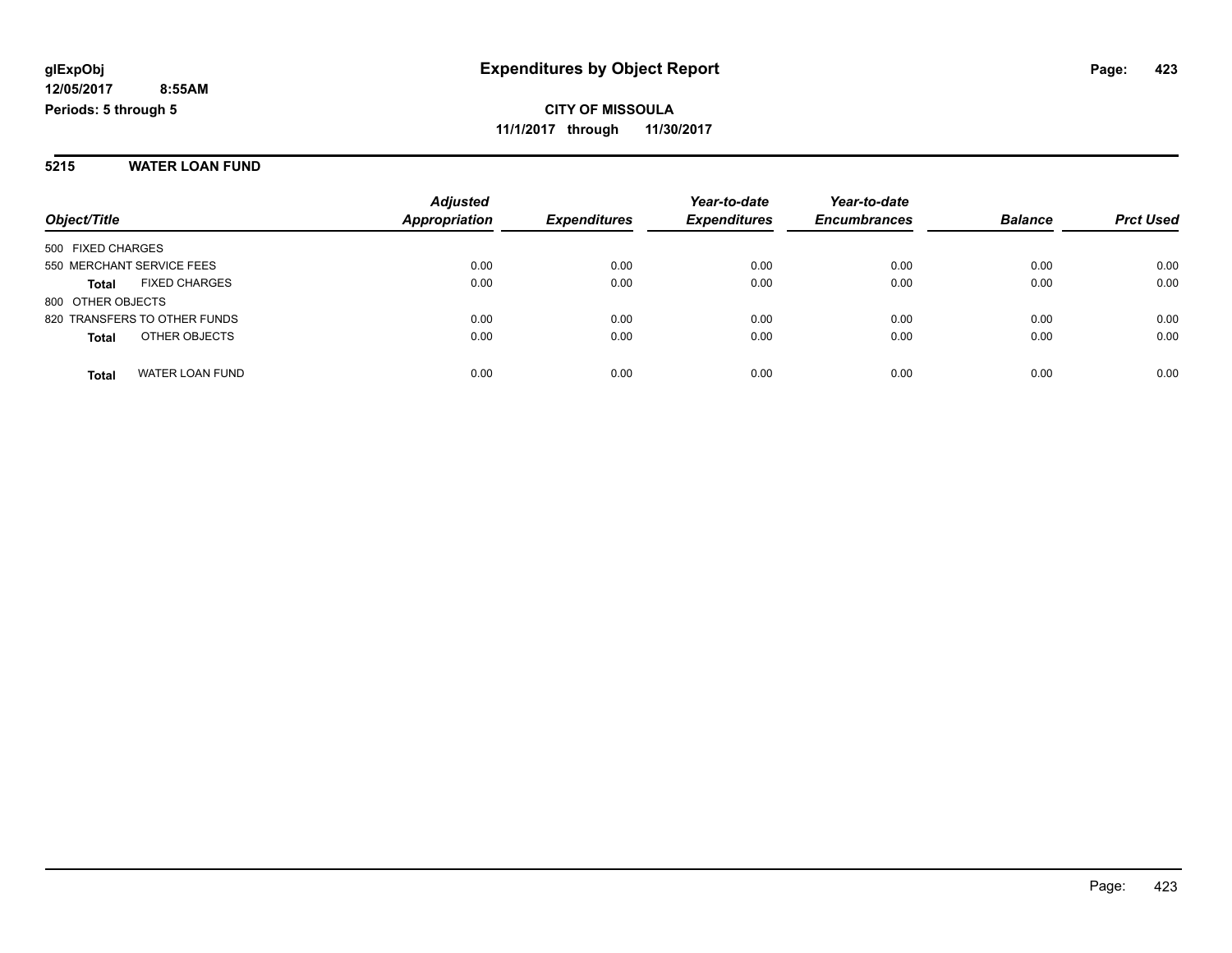#### **5215 WATER LOAN FUND**

|                                        | <b>Adjusted</b>      |                     | Year-to-date        | Year-to-date        |                |                  |
|----------------------------------------|----------------------|---------------------|---------------------|---------------------|----------------|------------------|
| Object/Title                           | <b>Appropriation</b> | <b>Expenditures</b> | <b>Expenditures</b> | <b>Encumbrances</b> | <b>Balance</b> | <b>Prct Used</b> |
| 500 FIXED CHARGES                      |                      |                     |                     |                     |                |                  |
| 550 MERCHANT SERVICE FEES              | 0.00                 | 0.00                | 0.00                | 0.00                | 0.00           | 0.00             |
| <b>FIXED CHARGES</b><br><b>Total</b>   | 0.00                 | 0.00                | 0.00                | 0.00                | 0.00           | 0.00             |
| 800 OTHER OBJECTS                      |                      |                     |                     |                     |                |                  |
| 820 TRANSFERS TO OTHER FUNDS           | 0.00                 | 0.00                | 0.00                | 0.00                | 0.00           | 0.00             |
| OTHER OBJECTS<br><b>Total</b>          | 0.00                 | 0.00                | 0.00                | 0.00                | 0.00           | 0.00             |
| <b>WATER LOAN FUND</b><br><b>Total</b> | 0.00                 | 0.00                | 0.00                | 0.00                | 0.00           | 0.00             |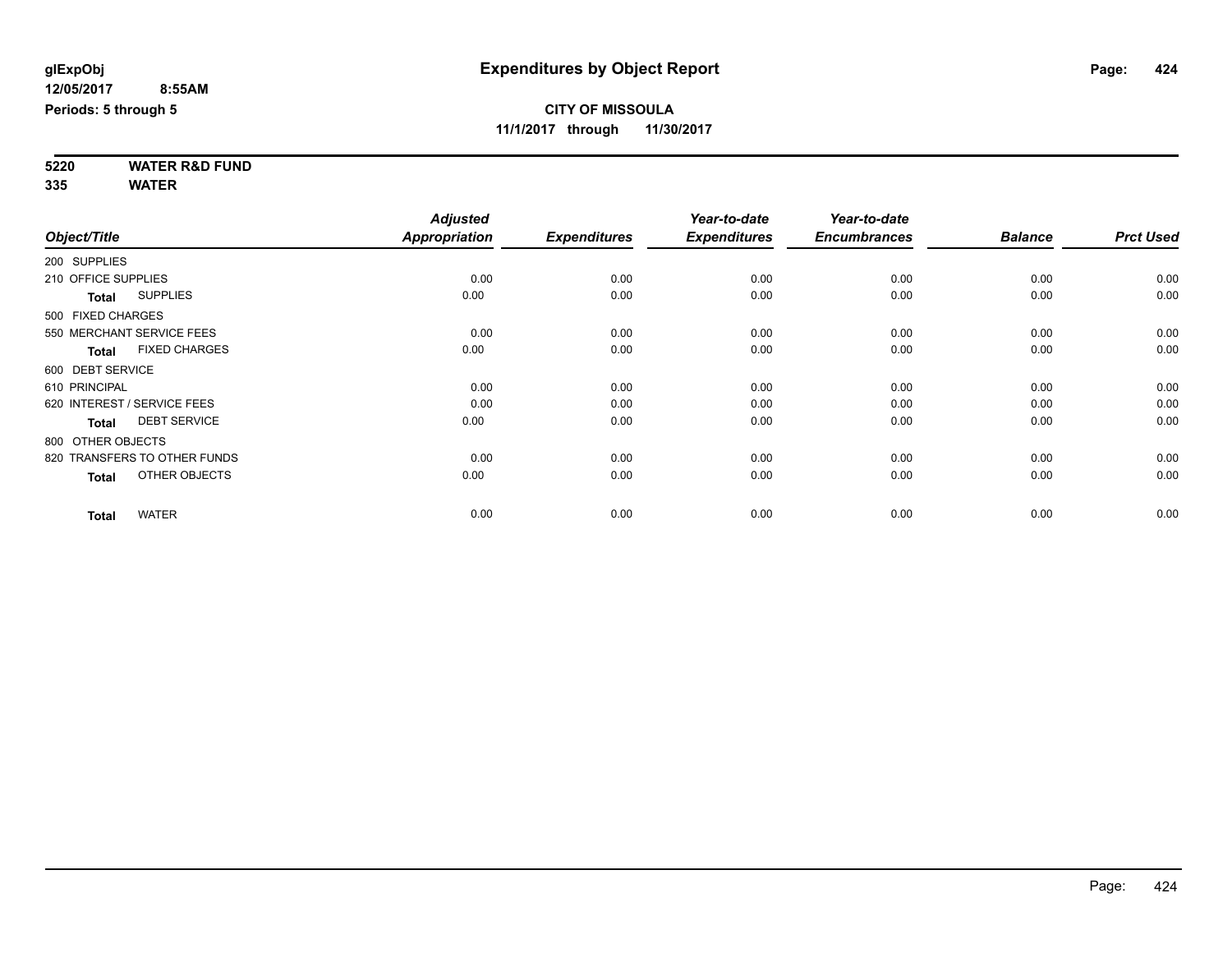**5220 WATER R&D FUND 335 WATER**

|                     |                              | <b>Adjusted</b> |                     | Year-to-date        | Year-to-date        |                |                  |
|---------------------|------------------------------|-----------------|---------------------|---------------------|---------------------|----------------|------------------|
| Object/Title        |                              | Appropriation   | <b>Expenditures</b> | <b>Expenditures</b> | <b>Encumbrances</b> | <b>Balance</b> | <b>Prct Used</b> |
| 200 SUPPLIES        |                              |                 |                     |                     |                     |                |                  |
| 210 OFFICE SUPPLIES |                              | 0.00            | 0.00                | 0.00                | 0.00                | 0.00           | 0.00             |
| <b>Total</b>        | <b>SUPPLIES</b>              | 0.00            | 0.00                | 0.00                | 0.00                | 0.00           | 0.00             |
| 500 FIXED CHARGES   |                              |                 |                     |                     |                     |                |                  |
|                     | 550 MERCHANT SERVICE FEES    | 0.00            | 0.00                | 0.00                | 0.00                | 0.00           | 0.00             |
| <b>Total</b>        | <b>FIXED CHARGES</b>         | 0.00            | 0.00                | 0.00                | 0.00                | 0.00           | 0.00             |
| 600 DEBT SERVICE    |                              |                 |                     |                     |                     |                |                  |
| 610 PRINCIPAL       |                              | 0.00            | 0.00                | 0.00                | 0.00                | 0.00           | 0.00             |
|                     | 620 INTEREST / SERVICE FEES  | 0.00            | 0.00                | 0.00                | 0.00                | 0.00           | 0.00             |
| <b>Total</b>        | <b>DEBT SERVICE</b>          | 0.00            | 0.00                | 0.00                | 0.00                | 0.00           | 0.00             |
| 800 OTHER OBJECTS   |                              |                 |                     |                     |                     |                |                  |
|                     | 820 TRANSFERS TO OTHER FUNDS | 0.00            | 0.00                | 0.00                | 0.00                | 0.00           | 0.00             |
| <b>Total</b>        | OTHER OBJECTS                | 0.00            | 0.00                | 0.00                | 0.00                | 0.00           | 0.00             |
| <b>Total</b>        | <b>WATER</b>                 | 0.00            | 0.00                | 0.00                | 0.00                | 0.00           | 0.00             |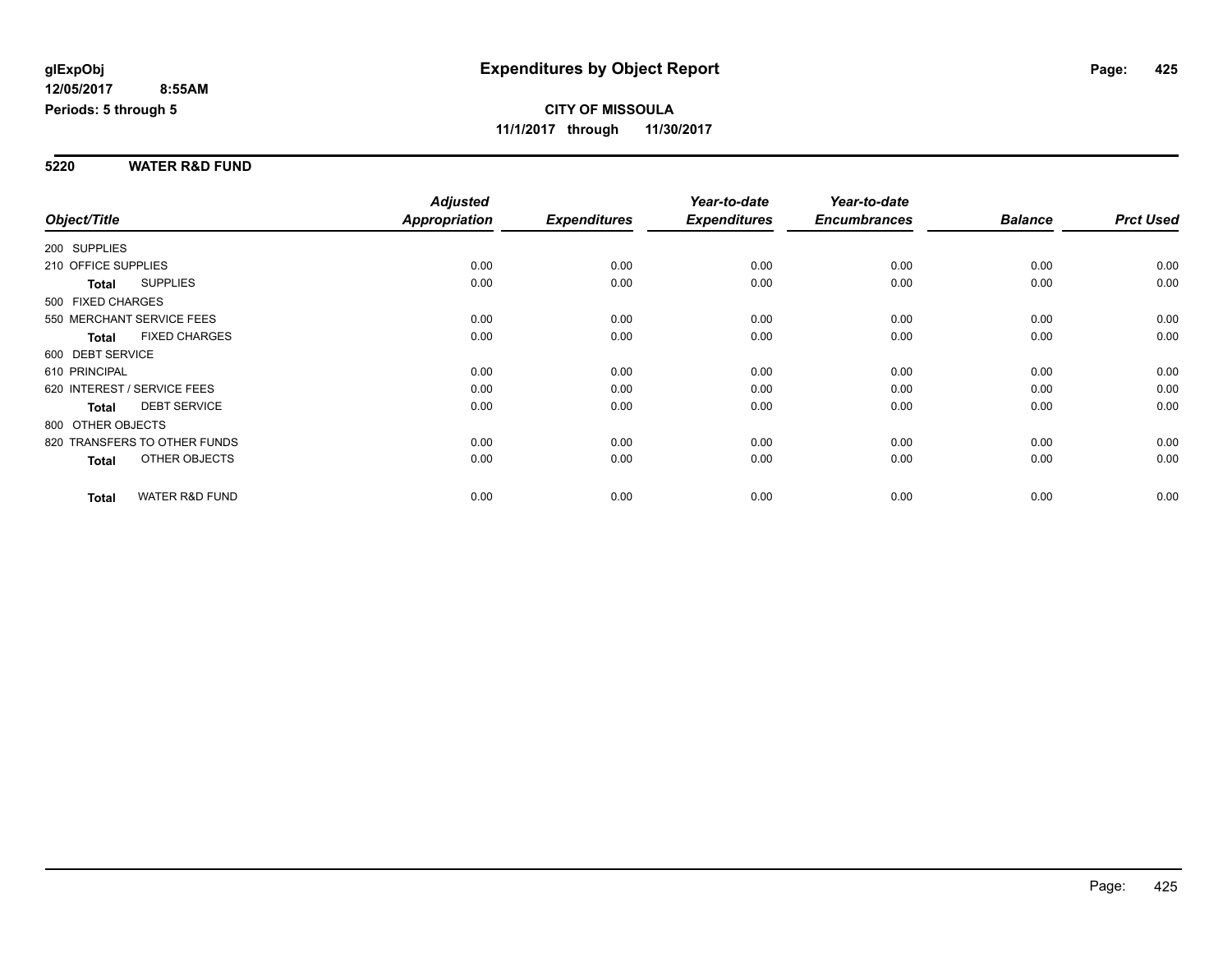#### **5220 WATER R&D FUND**

|                                           | <b>Adjusted</b> |                     | Year-to-date        | Year-to-date        |                |                  |
|-------------------------------------------|-----------------|---------------------|---------------------|---------------------|----------------|------------------|
| Object/Title                              | Appropriation   | <b>Expenditures</b> | <b>Expenditures</b> | <b>Encumbrances</b> | <b>Balance</b> | <b>Prct Used</b> |
| 200 SUPPLIES                              |                 |                     |                     |                     |                |                  |
| 210 OFFICE SUPPLIES                       | 0.00            | 0.00                | 0.00                | 0.00                | 0.00           | 0.00             |
| <b>SUPPLIES</b><br>Total                  | 0.00            | 0.00                | 0.00                | 0.00                | 0.00           | 0.00             |
| 500 FIXED CHARGES                         |                 |                     |                     |                     |                |                  |
| 550 MERCHANT SERVICE FEES                 | 0.00            | 0.00                | 0.00                | 0.00                | 0.00           | 0.00             |
| <b>FIXED CHARGES</b><br><b>Total</b>      | 0.00            | 0.00                | 0.00                | 0.00                | 0.00           | 0.00             |
| 600 DEBT SERVICE                          |                 |                     |                     |                     |                |                  |
| 610 PRINCIPAL                             | 0.00            | 0.00                | 0.00                | 0.00                | 0.00           | 0.00             |
| 620 INTEREST / SERVICE FEES               | 0.00            | 0.00                | 0.00                | 0.00                | 0.00           | 0.00             |
| <b>DEBT SERVICE</b><br><b>Total</b>       | 0.00            | 0.00                | 0.00                | 0.00                | 0.00           | 0.00             |
| 800 OTHER OBJECTS                         |                 |                     |                     |                     |                |                  |
| 820 TRANSFERS TO OTHER FUNDS              | 0.00            | 0.00                | 0.00                | 0.00                | 0.00           | 0.00             |
| OTHER OBJECTS<br>Total                    | 0.00            | 0.00                | 0.00                | 0.00                | 0.00           | 0.00             |
| <b>WATER R&amp;D FUND</b><br><b>Total</b> | 0.00            | 0.00                | 0.00                | 0.00                | 0.00           | 0.00             |
|                                           |                 |                     |                     |                     |                |                  |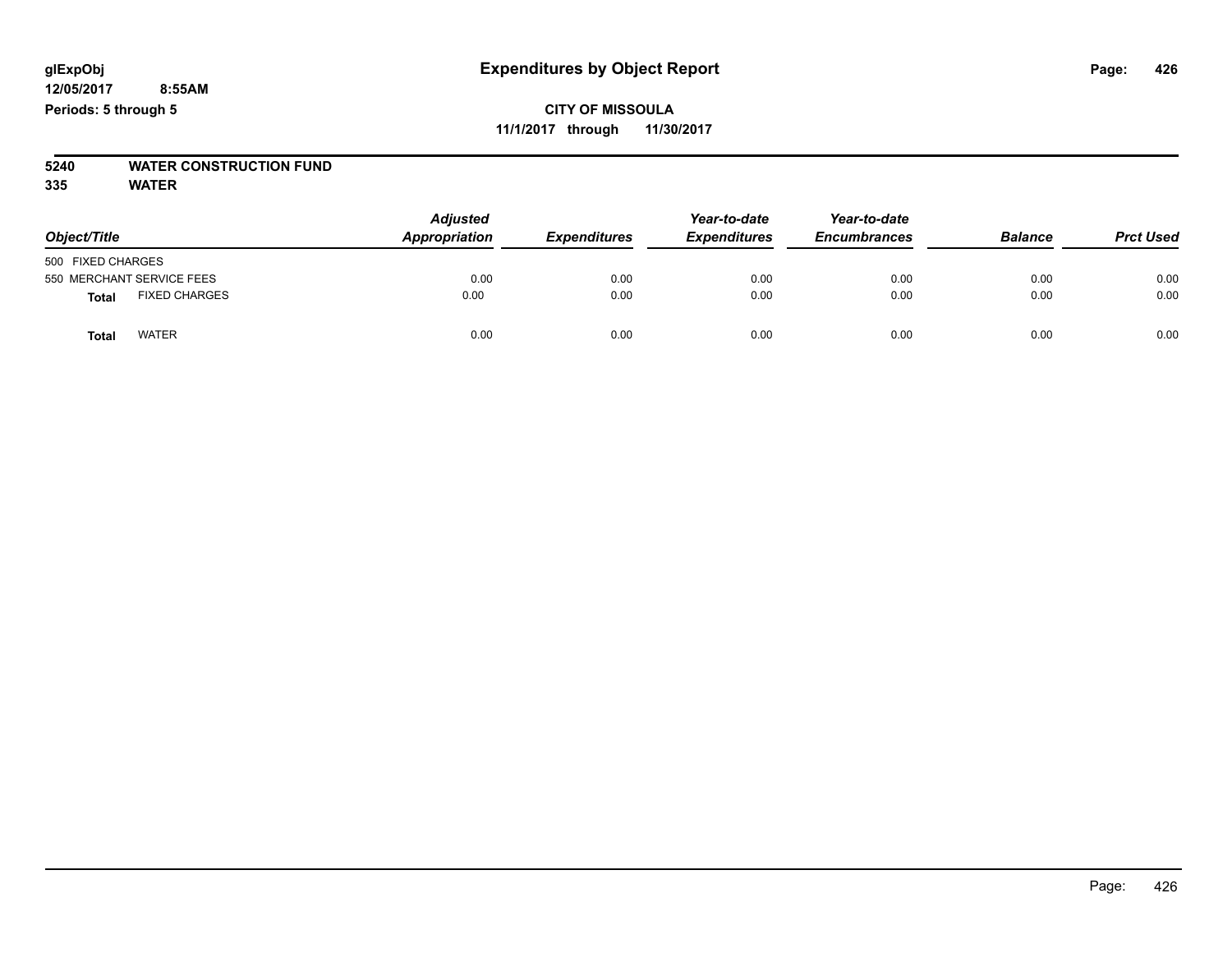# **5240 WATER CONSTRUCTION FUND**

**335 WATER**

| Object/Title                  | <b>Adjusted</b><br>Appropriation | <b>Expenditures</b> | Year-to-date<br><b>Expenditures</b> | Year-to-date<br><b>Encumbrances</b> | <b>Balance</b> | <b>Prct Used</b> |
|-------------------------------|----------------------------------|---------------------|-------------------------------------|-------------------------------------|----------------|------------------|
| 500 FIXED CHARGES             |                                  |                     |                                     |                                     |                |                  |
| 550 MERCHANT SERVICE FEES     | 0.00                             | 0.00                | 0.00                                | 0.00                                | 0.00           | 0.00             |
| <b>FIXED CHARGES</b><br>Total | 0.00                             | 0.00                | 0.00                                | 0.00                                | 0.00           | 0.00             |
| <b>WATER</b><br>Totai         | 0.00                             | 0.00                | 0.00                                | 0.00                                | 0.00           | 0.00             |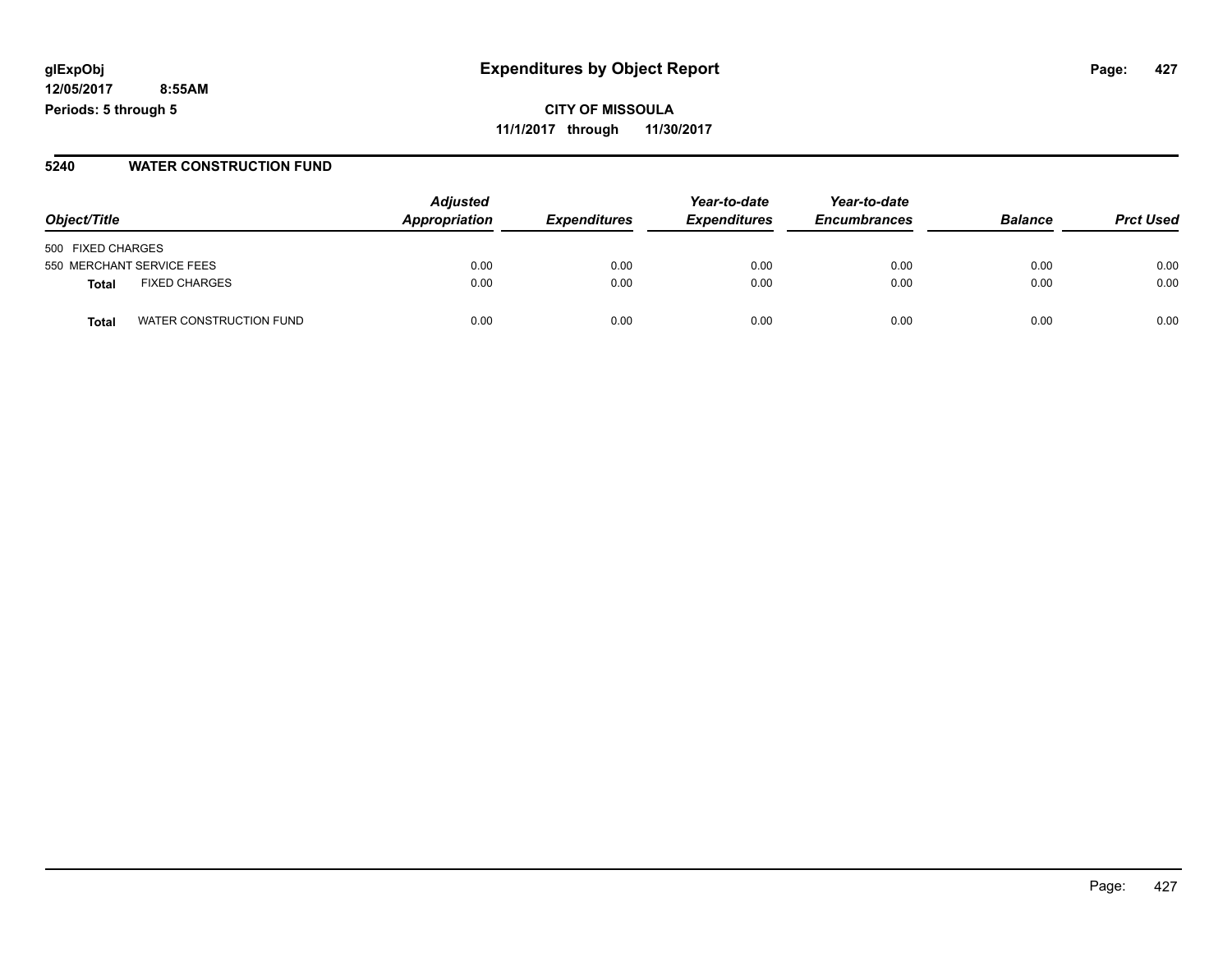**12/05/2017 8:55AM Periods: 5 through 5**

**CITY OF MISSOULA 11/1/2017 through 11/30/2017**

#### **5240 WATER CONSTRUCTION FUND**

| Object/Title                     | <b>Adjusted</b><br>Appropriation | <b>Expenditures</b> | Year-to-date<br><b>Expenditures</b> | Year-to-date<br><b>Encumbrances</b> | <b>Balance</b> | <b>Prct Used</b> |
|----------------------------------|----------------------------------|---------------------|-------------------------------------|-------------------------------------|----------------|------------------|
| 500 FIXED CHARGES                |                                  |                     |                                     |                                     |                |                  |
| 550 MERCHANT SERVICE FEES        | 0.00                             | 0.00                | 0.00                                | 0.00                                | 0.00           | 0.00             |
| <b>FIXED CHARGES</b><br>Total    | 0.00                             | 0.00                | 0.00                                | 0.00                                | 0.00           | 0.00             |
| WATER CONSTRUCTION FUND<br>Total | 0.00                             | 0.00                | 0.00                                | 0.00                                | 0.00           | 0.00             |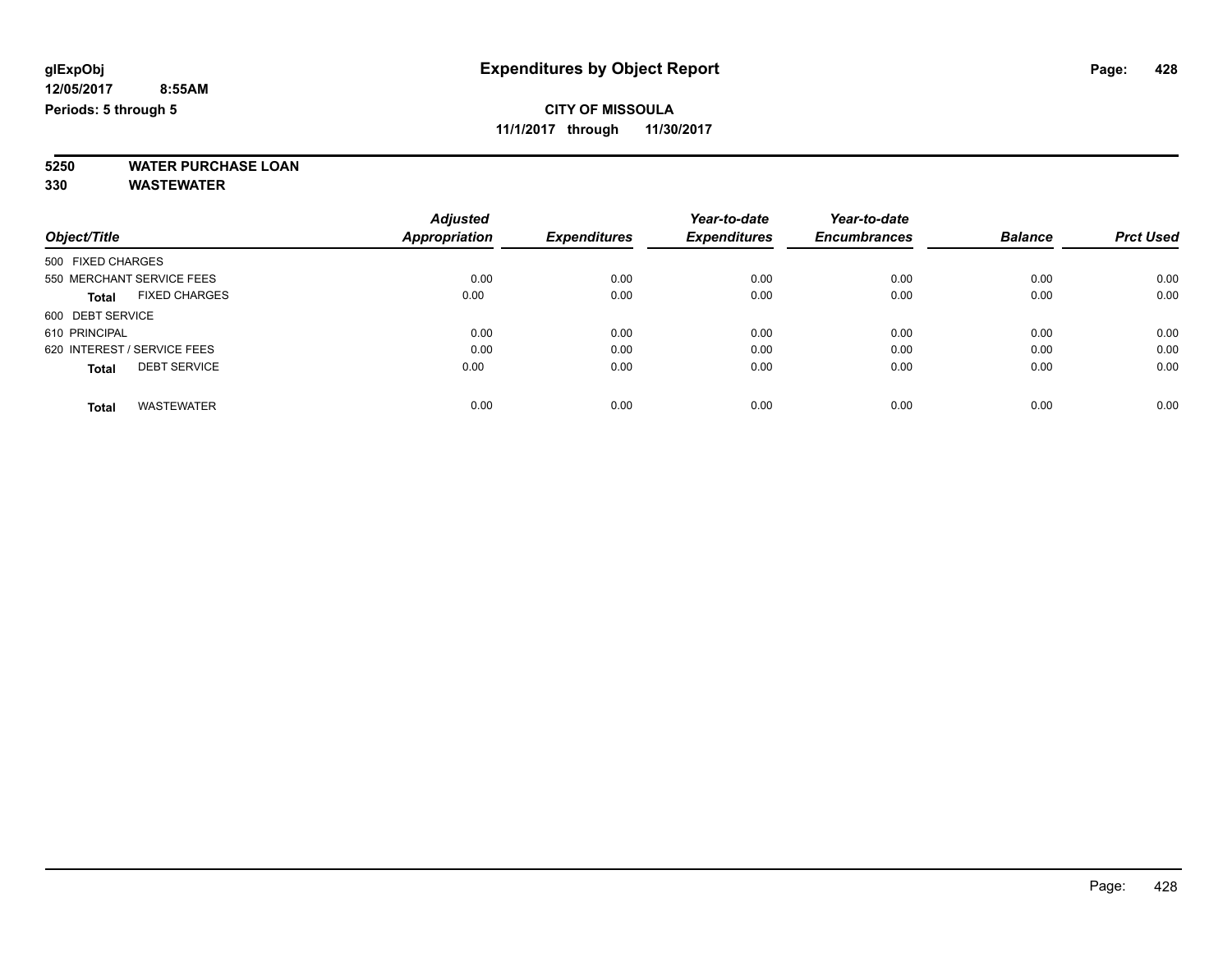### **CITY OF MISSOULA**

**11/1/2017 through 11/30/2017**

**5250 WATER PURCHASE LOAN**

**330 WASTEWATER**

|                                      | <b>Adjusted</b> |                     | Year-to-date        | Year-to-date        |                |                  |
|--------------------------------------|-----------------|---------------------|---------------------|---------------------|----------------|------------------|
| Object/Title                         | Appropriation   | <b>Expenditures</b> | <b>Expenditures</b> | <b>Encumbrances</b> | <b>Balance</b> | <b>Prct Used</b> |
| 500 FIXED CHARGES                    |                 |                     |                     |                     |                |                  |
| 550 MERCHANT SERVICE FEES            | 0.00            | 0.00                | 0.00                | 0.00                | 0.00           | 0.00             |
| <b>FIXED CHARGES</b><br><b>Total</b> | 0.00            | 0.00                | 0.00                | 0.00                | 0.00           | 0.00             |
| 600 DEBT SERVICE                     |                 |                     |                     |                     |                |                  |
| 610 PRINCIPAL                        | 0.00            | 0.00                | 0.00                | 0.00                | 0.00           | 0.00             |
| 620 INTEREST / SERVICE FEES          | 0.00            | 0.00                | 0.00                | 0.00                | 0.00           | 0.00             |
| <b>DEBT SERVICE</b><br><b>Total</b>  | 0.00            | 0.00                | 0.00                | 0.00                | 0.00           | 0.00             |
| <b>WASTEWATER</b><br><b>Total</b>    | 0.00            | 0.00                | 0.00                | 0.00                | 0.00           | 0.00             |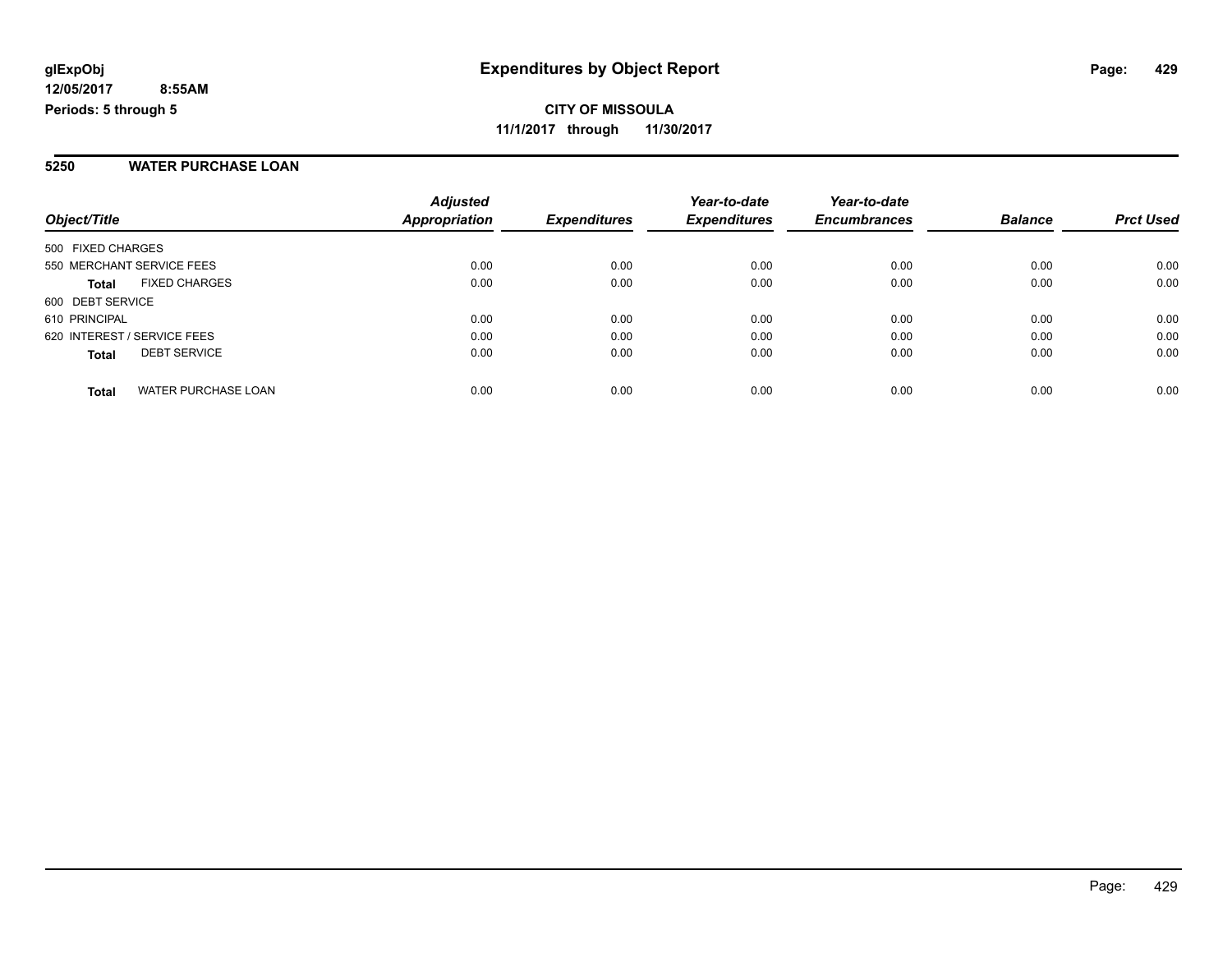#### **5250 WATER PURCHASE LOAN**

**12/05/2017**

**Periods: 5 through 5**

| Object/Title                               | <b>Adjusted</b><br><b>Appropriation</b> | <b>Expenditures</b> | Year-to-date<br><b>Expenditures</b> | Year-to-date<br><b>Encumbrances</b> | <b>Balance</b> | <b>Prct Used</b> |
|--------------------------------------------|-----------------------------------------|---------------------|-------------------------------------|-------------------------------------|----------------|------------------|
| 500 FIXED CHARGES                          |                                         |                     |                                     |                                     |                |                  |
| 550 MERCHANT SERVICE FEES                  | 0.00                                    | 0.00                | 0.00                                | 0.00                                | 0.00           | 0.00             |
| <b>FIXED CHARGES</b><br><b>Total</b>       | 0.00                                    | 0.00                | 0.00                                | 0.00                                | 0.00           | 0.00             |
| 600 DEBT SERVICE                           |                                         |                     |                                     |                                     |                |                  |
| 610 PRINCIPAL                              | 0.00                                    | 0.00                | 0.00                                | 0.00                                | 0.00           | 0.00             |
| 620 INTEREST / SERVICE FEES                | 0.00                                    | 0.00                | 0.00                                | 0.00                                | 0.00           | 0.00             |
| <b>DEBT SERVICE</b><br><b>Total</b>        | 0.00                                    | 0.00                | 0.00                                | 0.00                                | 0.00           | 0.00             |
| <b>WATER PURCHASE LOAN</b><br><b>Total</b> | 0.00                                    | 0.00                | 0.00                                | 0.00                                | 0.00           | 0.00             |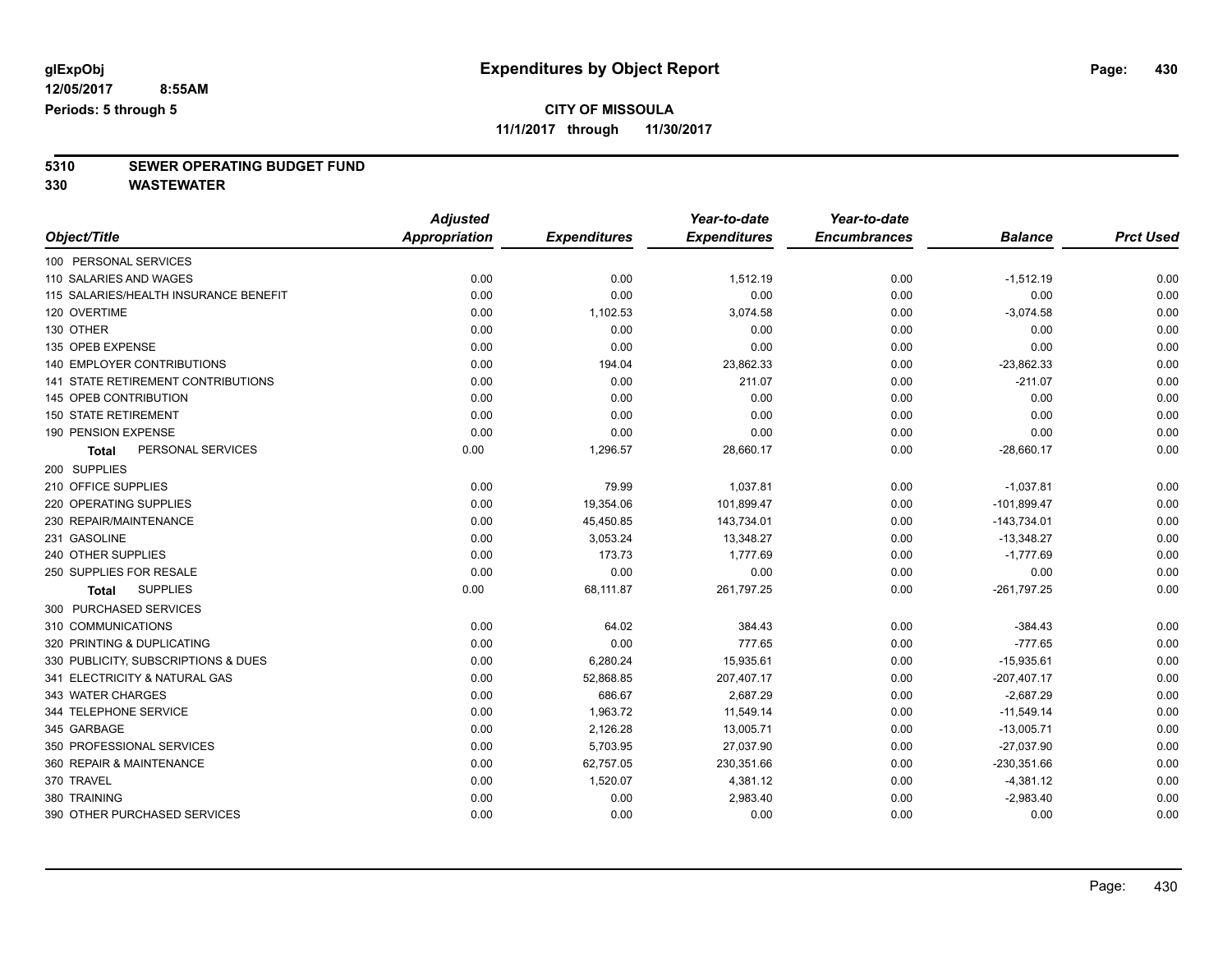### **CITY OF MISSOULA**

**11/1/2017 through 11/30/2017**

# **5310 SEWER OPERATING BUDGET FUND**

**330 WASTEWATER**

|                                       | <b>Adjusted</b>      |                     | Year-to-date        | Year-to-date        |                |                  |
|---------------------------------------|----------------------|---------------------|---------------------|---------------------|----------------|------------------|
| Object/Title                          | <b>Appropriation</b> | <b>Expenditures</b> | <b>Expenditures</b> | <b>Encumbrances</b> | <b>Balance</b> | <b>Prct Used</b> |
| 100 PERSONAL SERVICES                 |                      |                     |                     |                     |                |                  |
| 110 SALARIES AND WAGES                | 0.00                 | 0.00                | 1,512.19            | 0.00                | $-1,512.19$    | 0.00             |
| 115 SALARIES/HEALTH INSURANCE BENEFIT | 0.00                 | 0.00                | 0.00                | 0.00                | 0.00           | 0.00             |
| 120 OVERTIME                          | 0.00                 | 1,102.53            | 3,074.58            | 0.00                | $-3,074.58$    | 0.00             |
| 130 OTHER                             | 0.00                 | 0.00                | 0.00                | 0.00                | 0.00           | 0.00             |
| 135 OPEB EXPENSE                      | 0.00                 | 0.00                | 0.00                | 0.00                | 0.00           | 0.00             |
| 140 EMPLOYER CONTRIBUTIONS            | 0.00                 | 194.04              | 23,862.33           | 0.00                | $-23,862.33$   | 0.00             |
| 141 STATE RETIREMENT CONTRIBUTIONS    | 0.00                 | 0.00                | 211.07              | 0.00                | $-211.07$      | 0.00             |
| 145 OPEB CONTRIBUTION                 | 0.00                 | 0.00                | 0.00                | 0.00                | 0.00           | 0.00             |
| <b>150 STATE RETIREMENT</b>           | 0.00                 | 0.00                | 0.00                | 0.00                | 0.00           | 0.00             |
| 190 PENSION EXPENSE                   | 0.00                 | 0.00                | 0.00                | 0.00                | 0.00           | 0.00             |
| PERSONAL SERVICES<br><b>Total</b>     | 0.00                 | 1,296.57            | 28,660.17           | 0.00                | $-28,660.17$   | 0.00             |
| 200 SUPPLIES                          |                      |                     |                     |                     |                |                  |
| 210 OFFICE SUPPLIES                   | 0.00                 | 79.99               | 1,037.81            | 0.00                | $-1,037.81$    | 0.00             |
| 220 OPERATING SUPPLIES                | 0.00                 | 19,354.06           | 101,899.47          | 0.00                | $-101,899.47$  | 0.00             |
| 230 REPAIR/MAINTENANCE                | 0.00                 | 45,450.85           | 143,734.01          | 0.00                | $-143,734.01$  | 0.00             |
| 231 GASOLINE                          | 0.00                 | 3,053.24            | 13,348.27           | 0.00                | $-13,348.27$   | 0.00             |
| 240 OTHER SUPPLIES                    | 0.00                 | 173.73              | 1,777.69            | 0.00                | $-1,777.69$    | 0.00             |
| 250 SUPPLIES FOR RESALE               | 0.00                 | 0.00                | 0.00                | 0.00                | 0.00           | 0.00             |
| <b>SUPPLIES</b><br><b>Total</b>       | 0.00                 | 68,111.87           | 261,797.25          | 0.00                | $-261,797.25$  | 0.00             |
| 300 PURCHASED SERVICES                |                      |                     |                     |                     |                |                  |
| 310 COMMUNICATIONS                    | 0.00                 | 64.02               | 384.43              | 0.00                | $-384.43$      | 0.00             |
| 320 PRINTING & DUPLICATING            | 0.00                 | 0.00                | 777.65              | 0.00                | $-777.65$      | 0.00             |
| 330 PUBLICITY, SUBSCRIPTIONS & DUES   | 0.00                 | 6,280.24            | 15,935.61           | 0.00                | $-15,935.61$   | 0.00             |
| 341 ELECTRICITY & NATURAL GAS         | 0.00                 | 52,868.85           | 207,407.17          | 0.00                | $-207,407.17$  | 0.00             |
| 343 WATER CHARGES                     | 0.00                 | 686.67              | 2,687.29            | 0.00                | $-2,687.29$    | 0.00             |
| 344 TELEPHONE SERVICE                 | 0.00                 | 1,963.72            | 11,549.14           | 0.00                | $-11,549.14$   | 0.00             |
| 345 GARBAGE                           | 0.00                 | 2,126.28            | 13,005.71           | 0.00                | $-13,005.71$   | 0.00             |
| 350 PROFESSIONAL SERVICES             | 0.00                 | 5,703.95            | 27,037.90           | 0.00                | $-27,037.90$   | 0.00             |
| 360 REPAIR & MAINTENANCE              | 0.00                 | 62,757.05           | 230,351.66          | 0.00                | $-230,351.66$  | 0.00             |
| 370 TRAVEL                            | 0.00                 | 1,520.07            | 4,381.12            | 0.00                | $-4,381.12$    | 0.00             |
| 380 TRAINING                          | 0.00                 | 0.00                | 2,983.40            | 0.00                | $-2,983.40$    | 0.00             |
| 390 OTHER PURCHASED SERVICES          | 0.00                 | 0.00                | 0.00                | 0.00                | 0.00           | 0.00             |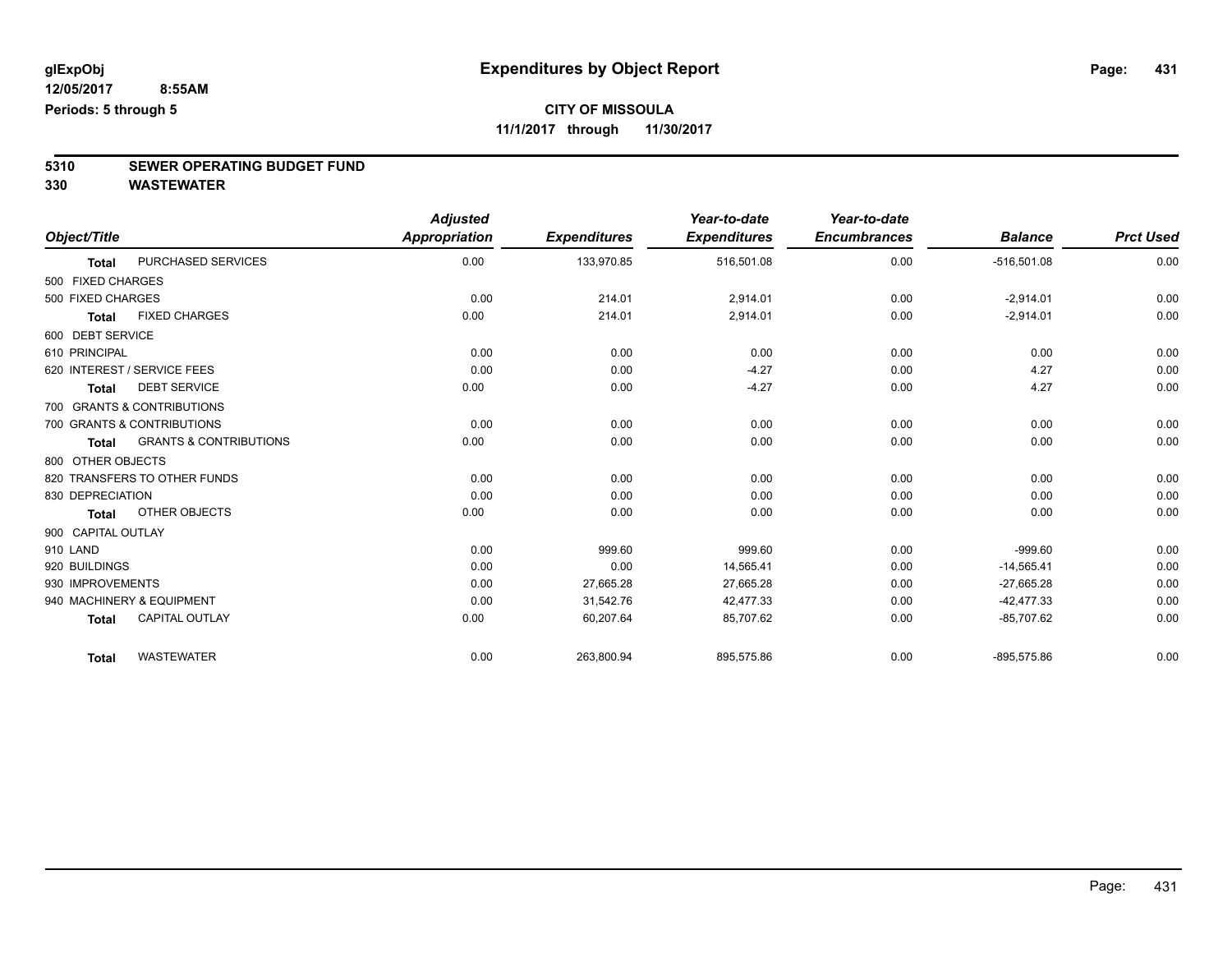# **5310 SEWER OPERATING BUDGET FUND**

**330 WASTEWATER**

|                    |                                   | <b>Adjusted</b>      |                     | Year-to-date        | Year-to-date        |                |                  |
|--------------------|-----------------------------------|----------------------|---------------------|---------------------|---------------------|----------------|------------------|
| Object/Title       |                                   | <b>Appropriation</b> | <b>Expenditures</b> | <b>Expenditures</b> | <b>Encumbrances</b> | <b>Balance</b> | <b>Prct Used</b> |
| <b>Total</b>       | <b>PURCHASED SERVICES</b>         | 0.00                 | 133,970.85          | 516,501.08          | 0.00                | $-516,501.08$  | 0.00             |
| 500 FIXED CHARGES  |                                   |                      |                     |                     |                     |                |                  |
| 500 FIXED CHARGES  |                                   | 0.00                 | 214.01              | 2,914.01            | 0.00                | $-2,914.01$    | 0.00             |
| <b>Total</b>       | <b>FIXED CHARGES</b>              | 0.00                 | 214.01              | 2,914.01            | 0.00                | $-2,914.01$    | 0.00             |
| 600 DEBT SERVICE   |                                   |                      |                     |                     |                     |                |                  |
| 610 PRINCIPAL      |                                   | 0.00                 | 0.00                | 0.00                | 0.00                | 0.00           | 0.00             |
|                    | 620 INTEREST / SERVICE FEES       | 0.00                 | 0.00                | $-4.27$             | 0.00                | 4.27           | 0.00             |
| <b>Total</b>       | <b>DEBT SERVICE</b>               | 0.00                 | 0.00                | $-4.27$             | 0.00                | 4.27           | 0.00             |
|                    | 700 GRANTS & CONTRIBUTIONS        |                      |                     |                     |                     |                |                  |
|                    | 700 GRANTS & CONTRIBUTIONS        | 0.00                 | 0.00                | 0.00                | 0.00                | 0.00           | 0.00             |
| <b>Total</b>       | <b>GRANTS &amp; CONTRIBUTIONS</b> | 0.00                 | 0.00                | 0.00                | 0.00                | 0.00           | 0.00             |
| 800 OTHER OBJECTS  |                                   |                      |                     |                     |                     |                |                  |
|                    | 820 TRANSFERS TO OTHER FUNDS      | 0.00                 | 0.00                | 0.00                | 0.00                | 0.00           | 0.00             |
| 830 DEPRECIATION   |                                   | 0.00                 | 0.00                | 0.00                | 0.00                | 0.00           | 0.00             |
| Total              | OTHER OBJECTS                     | 0.00                 | 0.00                | 0.00                | 0.00                | 0.00           | 0.00             |
| 900 CAPITAL OUTLAY |                                   |                      |                     |                     |                     |                |                  |
| 910 LAND           |                                   | 0.00                 | 999.60              | 999.60              | 0.00                | $-999.60$      | 0.00             |
| 920 BUILDINGS      |                                   | 0.00                 | 0.00                | 14,565.41           | 0.00                | $-14,565.41$   | 0.00             |
| 930 IMPROVEMENTS   |                                   | 0.00                 | 27,665.28           | 27,665.28           | 0.00                | $-27,665.28$   | 0.00             |
|                    | 940 MACHINERY & EQUIPMENT         | 0.00                 | 31,542.76           | 42,477.33           | 0.00                | $-42,477.33$   | 0.00             |
| <b>Total</b>       | <b>CAPITAL OUTLAY</b>             | 0.00                 | 60,207.64           | 85,707.62           | 0.00                | $-85,707.62$   | 0.00             |
| <b>Total</b>       | <b>WASTEWATER</b>                 | 0.00                 | 263,800.94          | 895,575.86          | 0.00                | $-895,575.86$  | 0.00             |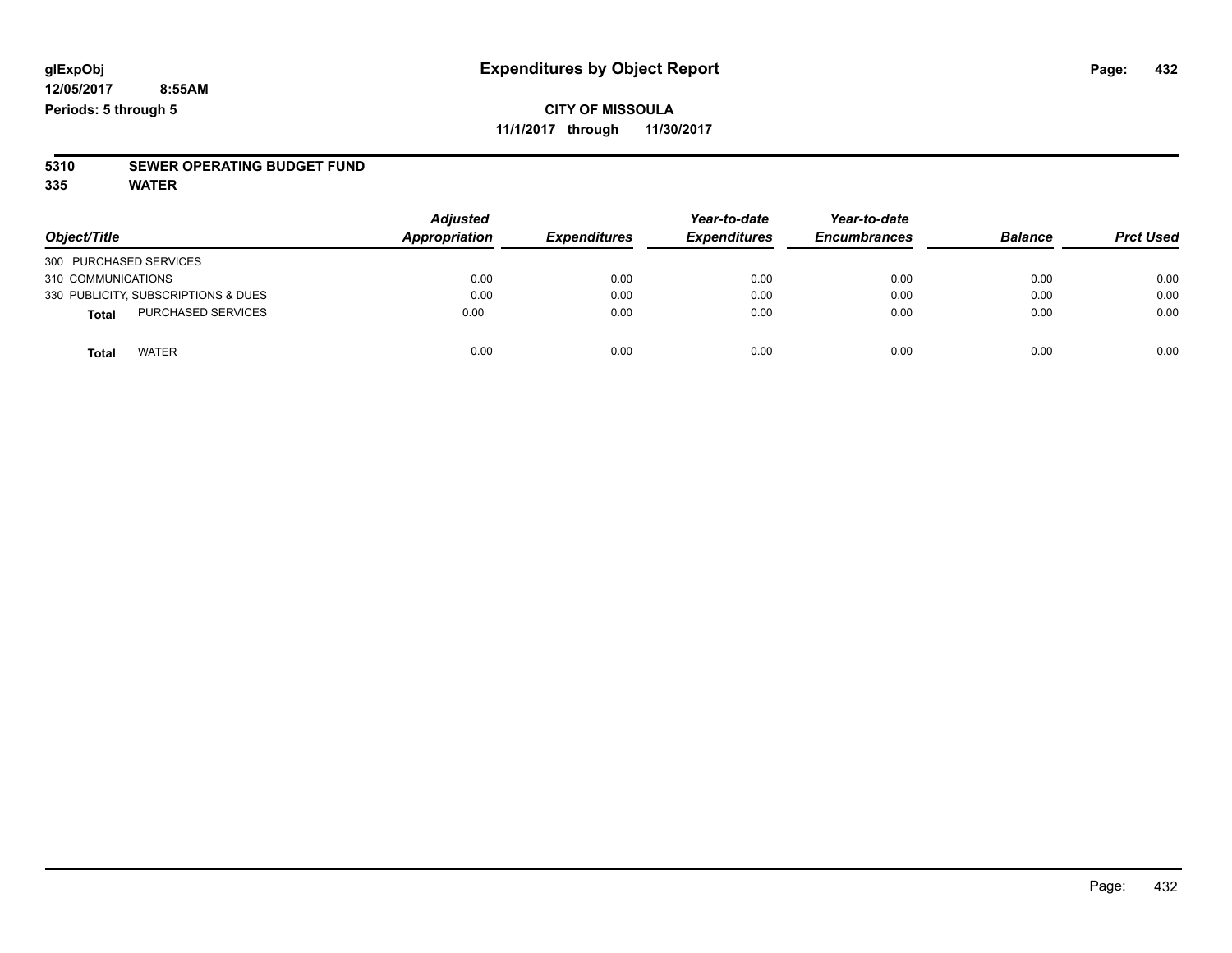# **5310 SEWER OPERATING BUDGET FUND**

**335 WATER**

| Object/Title                              | <b>Adjusted</b><br><b>Appropriation</b> | <b>Expenditures</b> | Year-to-date<br><b>Expenditures</b> | Year-to-date<br><b>Encumbrances</b> | <b>Balance</b> | <b>Prct Used</b> |
|-------------------------------------------|-----------------------------------------|---------------------|-------------------------------------|-------------------------------------|----------------|------------------|
| 300 PURCHASED SERVICES                    |                                         |                     |                                     |                                     |                |                  |
| 310 COMMUNICATIONS                        | 0.00                                    | 0.00                | 0.00                                | 0.00                                | 0.00           | 0.00             |
| 330 PUBLICITY, SUBSCRIPTIONS & DUES       | 0.00                                    | 0.00                | 0.00                                | 0.00                                | 0.00           | 0.00             |
| <b>PURCHASED SERVICES</b><br><b>Total</b> | 0.00                                    | 0.00                | 0.00                                | 0.00                                | 0.00           | 0.00             |
| <b>WATER</b><br>Total                     | 0.00                                    | 0.00                | 0.00                                | 0.00                                | 0.00           | 0.00             |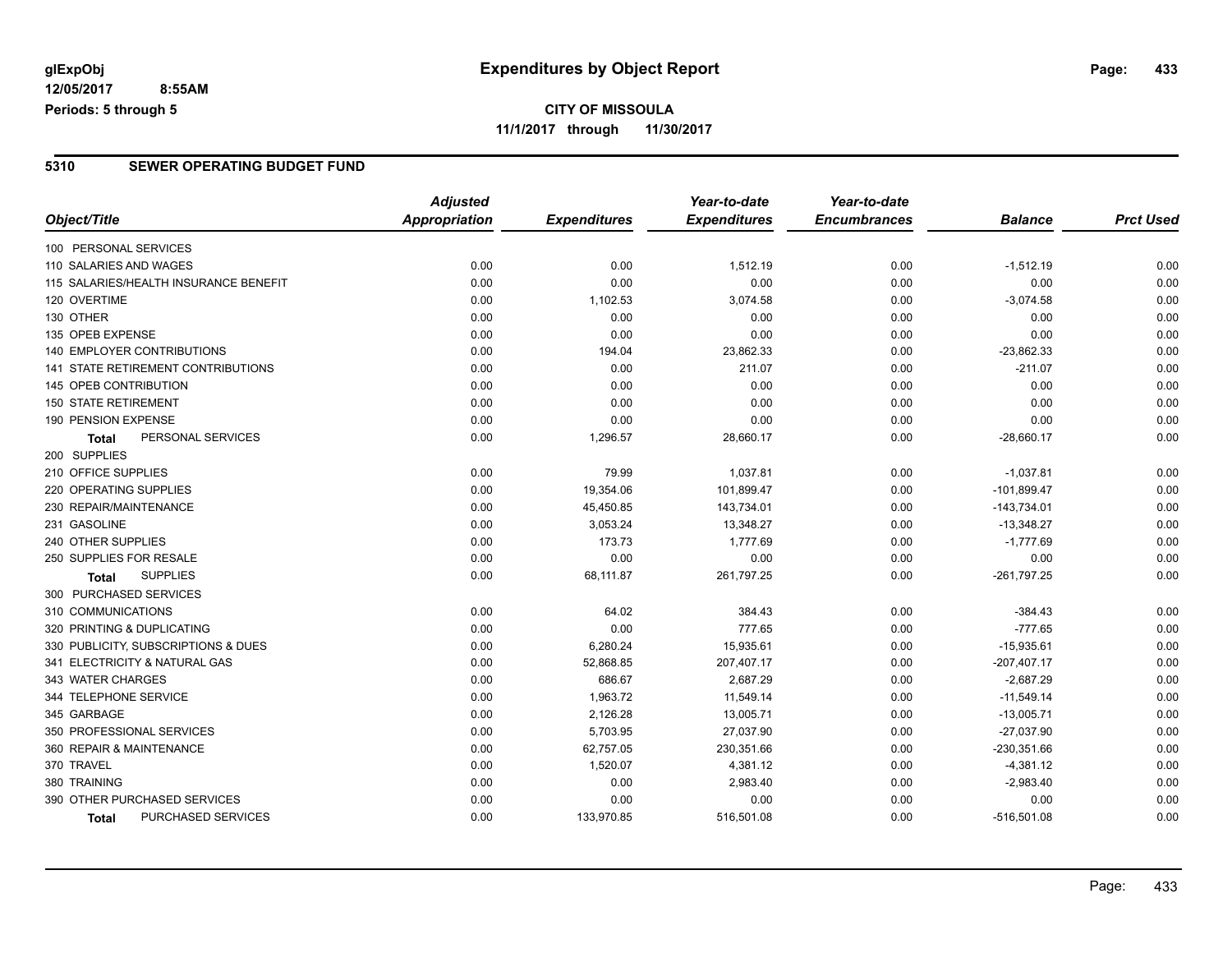## **CITY OF MISSOULA 11/1/2017 through 11/30/2017**

### **5310 SEWER OPERATING BUDGET FUND**

|                                       | <b>Adjusted</b>      |                     | Year-to-date        | Year-to-date        |                |                  |
|---------------------------------------|----------------------|---------------------|---------------------|---------------------|----------------|------------------|
| Object/Title                          | <b>Appropriation</b> | <b>Expenditures</b> | <b>Expenditures</b> | <b>Encumbrances</b> | <b>Balance</b> | <b>Prct Used</b> |
| 100 PERSONAL SERVICES                 |                      |                     |                     |                     |                |                  |
| 110 SALARIES AND WAGES                | 0.00                 | 0.00                | 1,512.19            | 0.00                | $-1,512.19$    | 0.00             |
| 115 SALARIES/HEALTH INSURANCE BENEFIT | 0.00                 | 0.00                | 0.00                | 0.00                | 0.00           | 0.00             |
| 120 OVERTIME                          | 0.00                 | 1,102.53            | 3,074.58            | 0.00                | $-3,074.58$    | 0.00             |
| 130 OTHER                             | 0.00                 | 0.00                | 0.00                | 0.00                | 0.00           | 0.00             |
| 135 OPEB EXPENSE                      | 0.00                 | 0.00                | 0.00                | 0.00                | 0.00           | 0.00             |
| 140 EMPLOYER CONTRIBUTIONS            | 0.00                 | 194.04              | 23,862.33           | 0.00                | $-23,862.33$   | 0.00             |
| 141 STATE RETIREMENT CONTRIBUTIONS    | 0.00                 | 0.00                | 211.07              | 0.00                | $-211.07$      | 0.00             |
| 145 OPEB CONTRIBUTION                 | 0.00                 | 0.00                | 0.00                | 0.00                | 0.00           | 0.00             |
| <b>150 STATE RETIREMENT</b>           | 0.00                 | 0.00                | 0.00                | 0.00                | 0.00           | 0.00             |
| 190 PENSION EXPENSE                   | 0.00                 | 0.00                | 0.00                | 0.00                | 0.00           | 0.00             |
| PERSONAL SERVICES<br>Total            | 0.00                 | 1,296.57            | 28,660.17           | 0.00                | $-28,660.17$   | 0.00             |
| 200 SUPPLIES                          |                      |                     |                     |                     |                |                  |
| 210 OFFICE SUPPLIES                   | 0.00                 | 79.99               | 1,037.81            | 0.00                | $-1,037.81$    | 0.00             |
| 220 OPERATING SUPPLIES                | 0.00                 | 19,354.06           | 101,899.47          | 0.00                | $-101,899.47$  | 0.00             |
| 230 REPAIR/MAINTENANCE                | 0.00                 | 45,450.85           | 143,734.01          | 0.00                | $-143,734.01$  | 0.00             |
| 231 GASOLINE                          | 0.00                 | 3,053.24            | 13,348.27           | 0.00                | $-13,348.27$   | 0.00             |
| 240 OTHER SUPPLIES                    | 0.00                 | 173.73              | 1,777.69            | 0.00                | $-1,777.69$    | 0.00             |
| 250 SUPPLIES FOR RESALE               | 0.00                 | 0.00                | 0.00                | 0.00                | 0.00           | 0.00             |
| <b>SUPPLIES</b><br><b>Total</b>       | 0.00                 | 68,111.87           | 261,797.25          | 0.00                | $-261,797.25$  | 0.00             |
| 300 PURCHASED SERVICES                |                      |                     |                     |                     |                |                  |
| 310 COMMUNICATIONS                    | 0.00                 | 64.02               | 384.43              | 0.00                | $-384.43$      | 0.00             |
| 320 PRINTING & DUPLICATING            | 0.00                 | 0.00                | 777.65              | 0.00                | $-777.65$      | 0.00             |
| 330 PUBLICITY, SUBSCRIPTIONS & DUES   | 0.00                 | 6,280.24            | 15,935.61           | 0.00                | $-15,935.61$   | 0.00             |
| 341 ELECTRICITY & NATURAL GAS         | 0.00                 | 52,868.85           | 207,407.17          | 0.00                | $-207,407.17$  | 0.00             |
| 343 WATER CHARGES                     | 0.00                 | 686.67              | 2,687.29            | 0.00                | $-2,687.29$    | 0.00             |
| 344 TELEPHONE SERVICE                 | 0.00                 | 1,963.72            | 11,549.14           | 0.00                | $-11,549.14$   | 0.00             |
| 345 GARBAGE                           | 0.00                 | 2,126.28            | 13,005.71           | 0.00                | $-13,005.71$   | 0.00             |
| 350 PROFESSIONAL SERVICES             | 0.00                 | 5,703.95            | 27,037.90           | 0.00                | $-27,037.90$   | 0.00             |
| 360 REPAIR & MAINTENANCE              | 0.00                 | 62,757.05           | 230,351.66          | 0.00                | $-230,351.66$  | 0.00             |
| 370 TRAVEL                            | 0.00                 | 1,520.07            | 4,381.12            | 0.00                | $-4,381.12$    | 0.00             |
| 380 TRAINING                          | 0.00                 | 0.00                | 2,983.40            | 0.00                | $-2,983.40$    | 0.00             |
| 390 OTHER PURCHASED SERVICES          | 0.00                 | 0.00                | 0.00                | 0.00                | 0.00           | 0.00             |
| PURCHASED SERVICES<br>Total           | 0.00                 | 133,970.85          | 516,501.08          | 0.00                | $-516,501.08$  | 0.00             |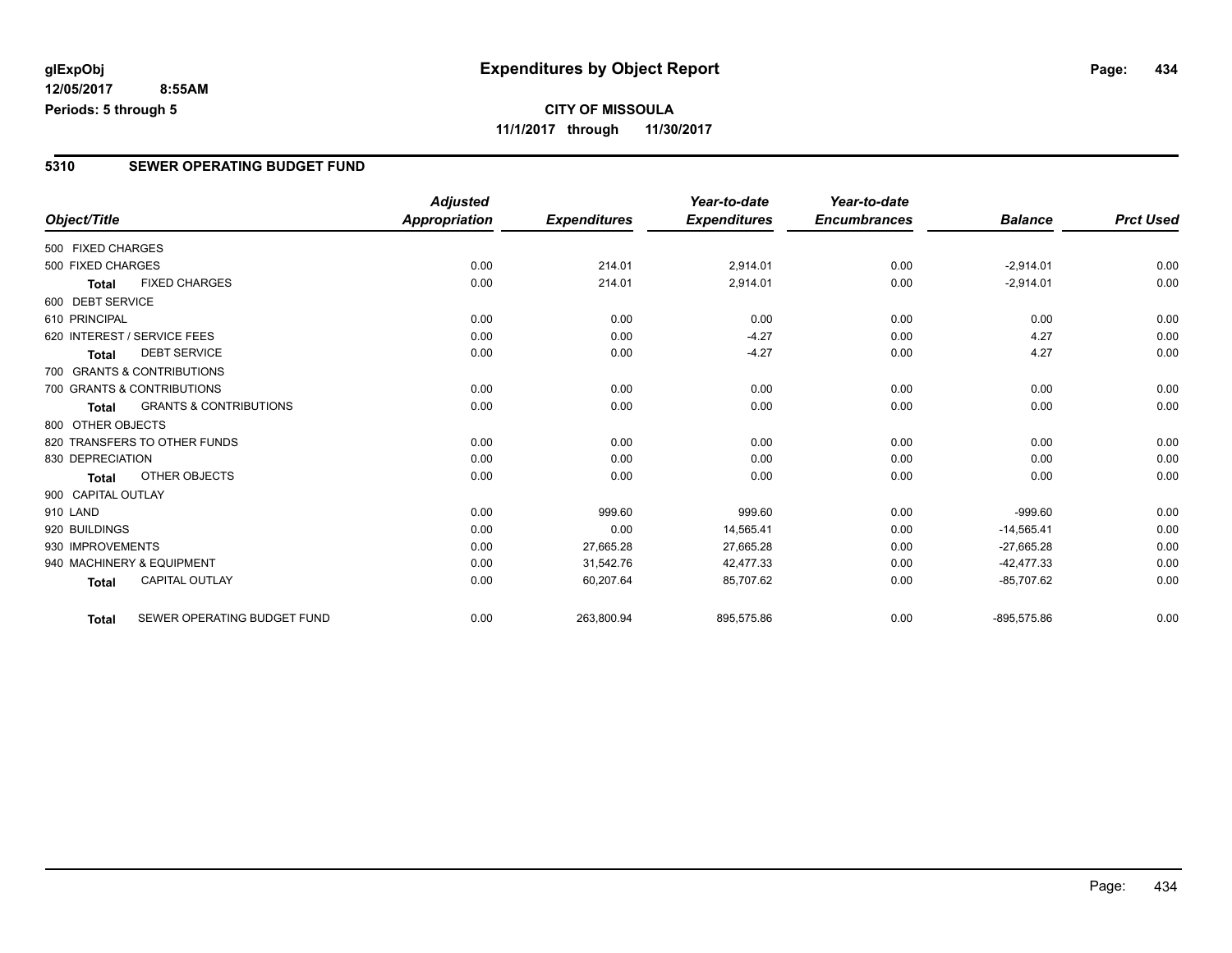## **CITY OF MISSOULA 11/1/2017 through 11/30/2017**

### **5310 SEWER OPERATING BUDGET FUND**

|                    |                                   | <b>Adjusted</b>      |                     | Year-to-date        | Year-to-date        |                |                  |
|--------------------|-----------------------------------|----------------------|---------------------|---------------------|---------------------|----------------|------------------|
| Object/Title       |                                   | <b>Appropriation</b> | <b>Expenditures</b> | <b>Expenditures</b> | <b>Encumbrances</b> | <b>Balance</b> | <b>Prct Used</b> |
| 500 FIXED CHARGES  |                                   |                      |                     |                     |                     |                |                  |
| 500 FIXED CHARGES  |                                   | 0.00                 | 214.01              | 2,914.01            | 0.00                | $-2,914.01$    | 0.00             |
| <b>Total</b>       | <b>FIXED CHARGES</b>              | 0.00                 | 214.01              | 2,914.01            | 0.00                | $-2,914.01$    | 0.00             |
| 600 DEBT SERVICE   |                                   |                      |                     |                     |                     |                |                  |
| 610 PRINCIPAL      |                                   | 0.00                 | 0.00                | 0.00                | 0.00                | 0.00           | 0.00             |
|                    | 620 INTEREST / SERVICE FEES       | 0.00                 | 0.00                | $-4.27$             | 0.00                | 4.27           | 0.00             |
| <b>Total</b>       | <b>DEBT SERVICE</b>               | 0.00                 | 0.00                | $-4.27$             | 0.00                | 4.27           | 0.00             |
|                    | 700 GRANTS & CONTRIBUTIONS        |                      |                     |                     |                     |                |                  |
|                    | 700 GRANTS & CONTRIBUTIONS        | 0.00                 | 0.00                | 0.00                | 0.00                | 0.00           | 0.00             |
| <b>Total</b>       | <b>GRANTS &amp; CONTRIBUTIONS</b> | 0.00                 | 0.00                | 0.00                | 0.00                | 0.00           | 0.00             |
| 800 OTHER OBJECTS  |                                   |                      |                     |                     |                     |                |                  |
|                    | 820 TRANSFERS TO OTHER FUNDS      | 0.00                 | 0.00                | 0.00                | 0.00                | 0.00           | 0.00             |
| 830 DEPRECIATION   |                                   | 0.00                 | 0.00                | 0.00                | 0.00                | 0.00           | 0.00             |
| Total              | OTHER OBJECTS                     | 0.00                 | 0.00                | 0.00                | 0.00                | 0.00           | 0.00             |
| 900 CAPITAL OUTLAY |                                   |                      |                     |                     |                     |                |                  |
| 910 LAND           |                                   | 0.00                 | 999.60              | 999.60              | 0.00                | $-999.60$      | 0.00             |
| 920 BUILDINGS      |                                   | 0.00                 | 0.00                | 14,565.41           | 0.00                | $-14,565.41$   | 0.00             |
| 930 IMPROVEMENTS   |                                   | 0.00                 | 27,665.28           | 27,665.28           | 0.00                | $-27,665.28$   | 0.00             |
|                    | 940 MACHINERY & EQUIPMENT         | 0.00                 | 31,542.76           | 42,477.33           | 0.00                | $-42,477.33$   | 0.00             |
| <b>Total</b>       | <b>CAPITAL OUTLAY</b>             | 0.00                 | 60,207.64           | 85,707.62           | 0.00                | $-85,707.62$   | 0.00             |
| Total              | SEWER OPERATING BUDGET FUND       | 0.00                 | 263,800.94          | 895,575.86          | 0.00                | $-895,575.86$  | 0.00             |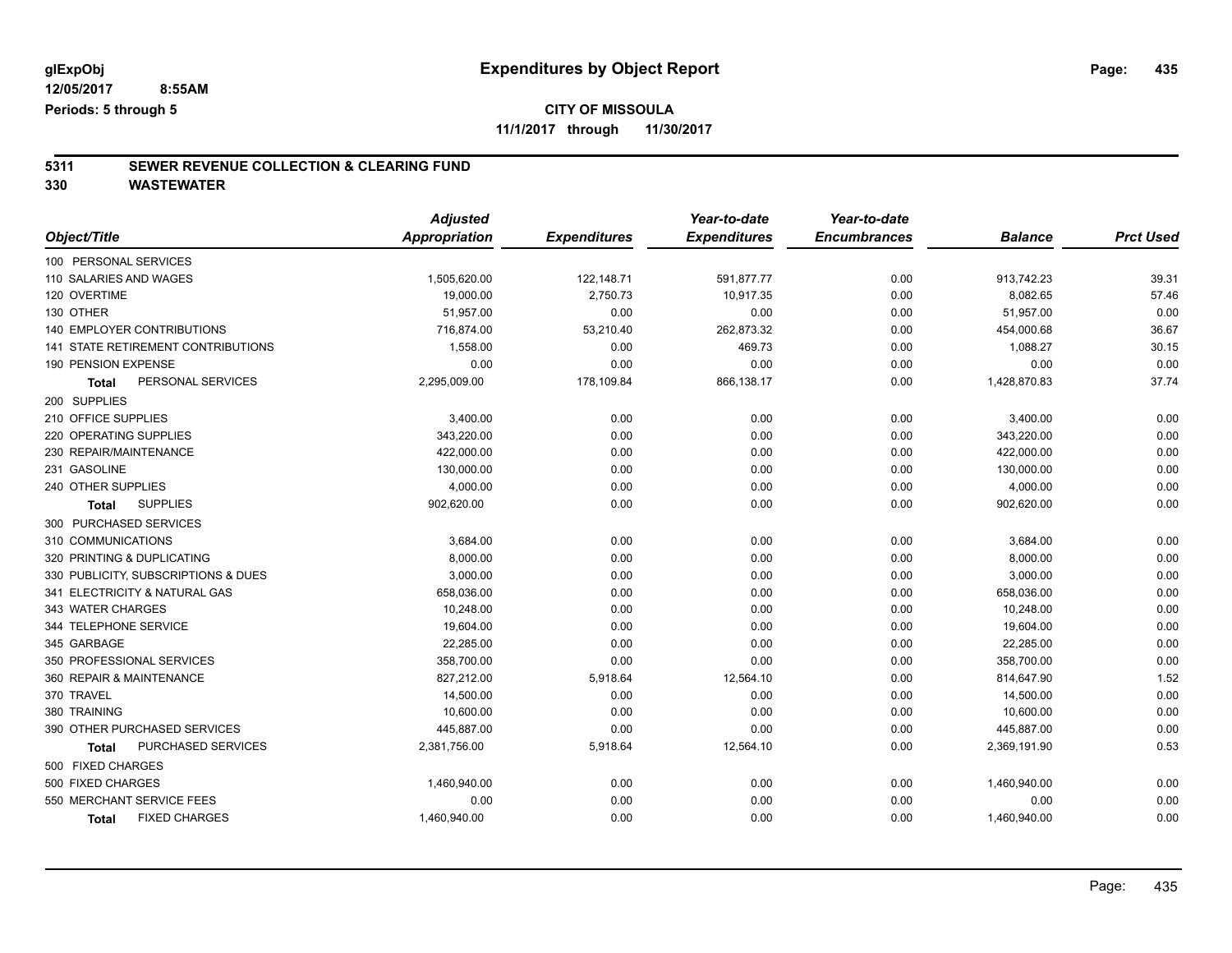**11/1/2017 through 11/30/2017**

# **5311 SEWER REVENUE COLLECTION & CLEARING FUND**

|                                     | <b>Adjusted</b> |                     | Year-to-date        | Year-to-date        |                |                  |
|-------------------------------------|-----------------|---------------------|---------------------|---------------------|----------------|------------------|
| Object/Title                        | Appropriation   | <b>Expenditures</b> | <b>Expenditures</b> | <b>Encumbrances</b> | <b>Balance</b> | <b>Prct Used</b> |
| 100 PERSONAL SERVICES               |                 |                     |                     |                     |                |                  |
| 110 SALARIES AND WAGES              | 1,505,620.00    | 122,148.71          | 591,877.77          | 0.00                | 913,742.23     | 39.31            |
| 120 OVERTIME                        | 19,000.00       | 2,750.73            | 10,917.35           | 0.00                | 8,082.65       | 57.46            |
| 130 OTHER                           | 51,957.00       | 0.00                | 0.00                | 0.00                | 51,957.00      | 0.00             |
| <b>140 EMPLOYER CONTRIBUTIONS</b>   | 716,874.00      | 53,210.40           | 262,873.32          | 0.00                | 454,000.68     | 36.67            |
| 141 STATE RETIREMENT CONTRIBUTIONS  | 1,558.00        | 0.00                | 469.73              | 0.00                | 1,088.27       | 30.15            |
| 190 PENSION EXPENSE                 | 0.00            | 0.00                | 0.00                | 0.00                | 0.00           | 0.00             |
| PERSONAL SERVICES<br>Total          | 2,295,009.00    | 178,109.84          | 866,138.17          | 0.00                | 1,428,870.83   | 37.74            |
| 200 SUPPLIES                        |                 |                     |                     |                     |                |                  |
| 210 OFFICE SUPPLIES                 | 3,400.00        | 0.00                | 0.00                | 0.00                | 3,400.00       | 0.00             |
| 220 OPERATING SUPPLIES              | 343,220.00      | 0.00                | 0.00                | 0.00                | 343,220.00     | 0.00             |
| 230 REPAIR/MAINTENANCE              | 422,000.00      | 0.00                | 0.00                | 0.00                | 422,000.00     | 0.00             |
| 231 GASOLINE                        | 130,000.00      | 0.00                | 0.00                | 0.00                | 130,000.00     | 0.00             |
| 240 OTHER SUPPLIES                  | 4,000.00        | 0.00                | 0.00                | 0.00                | 4,000.00       | 0.00             |
| <b>SUPPLIES</b><br><b>Total</b>     | 902,620.00      | 0.00                | 0.00                | 0.00                | 902,620.00     | 0.00             |
| 300 PURCHASED SERVICES              |                 |                     |                     |                     |                |                  |
| 310 COMMUNICATIONS                  | 3,684.00        | 0.00                | 0.00                | 0.00                | 3,684.00       | 0.00             |
| 320 PRINTING & DUPLICATING          | 8,000.00        | 0.00                | 0.00                | 0.00                | 8,000.00       | 0.00             |
| 330 PUBLICITY, SUBSCRIPTIONS & DUES | 3,000.00        | 0.00                | 0.00                | 0.00                | 3,000.00       | 0.00             |
| 341 ELECTRICITY & NATURAL GAS       | 658,036.00      | 0.00                | 0.00                | 0.00                | 658,036.00     | 0.00             |
| 343 WATER CHARGES                   | 10,248.00       | 0.00                | 0.00                | 0.00                | 10,248.00      | 0.00             |
| 344 TELEPHONE SERVICE               | 19,604.00       | 0.00                | 0.00                | 0.00                | 19,604.00      | 0.00             |
| 345 GARBAGE                         | 22,285.00       | 0.00                | 0.00                | 0.00                | 22,285.00      | 0.00             |
| 350 PROFESSIONAL SERVICES           | 358,700.00      | 0.00                | 0.00                | 0.00                | 358,700.00     | 0.00             |
| 360 REPAIR & MAINTENANCE            | 827,212.00      | 5,918.64            | 12,564.10           | 0.00                | 814,647.90     | 1.52             |
| 370 TRAVEL                          | 14,500.00       | 0.00                | 0.00                | 0.00                | 14,500.00      | 0.00             |
| 380 TRAINING                        | 10,600.00       | 0.00                | 0.00                | 0.00                | 10,600.00      | 0.00             |
| 390 OTHER PURCHASED SERVICES        | 445,887.00      | 0.00                | 0.00                | 0.00                | 445,887.00     | 0.00             |
| PURCHASED SERVICES<br>Total         | 2,381,756.00    | 5,918.64            | 12,564.10           | 0.00                | 2,369,191.90   | 0.53             |
| 500 FIXED CHARGES                   |                 |                     |                     |                     |                |                  |
| 500 FIXED CHARGES                   | 1,460,940.00    | 0.00                | 0.00                | 0.00                | 1,460,940.00   | 0.00             |
| 550 MERCHANT SERVICE FEES           | 0.00            | 0.00                | 0.00                | 0.00                | 0.00           | 0.00             |
| <b>FIXED CHARGES</b><br>Total       | 1,460,940.00    | 0.00                | 0.00                | 0.00                | 1,460,940.00   | 0.00             |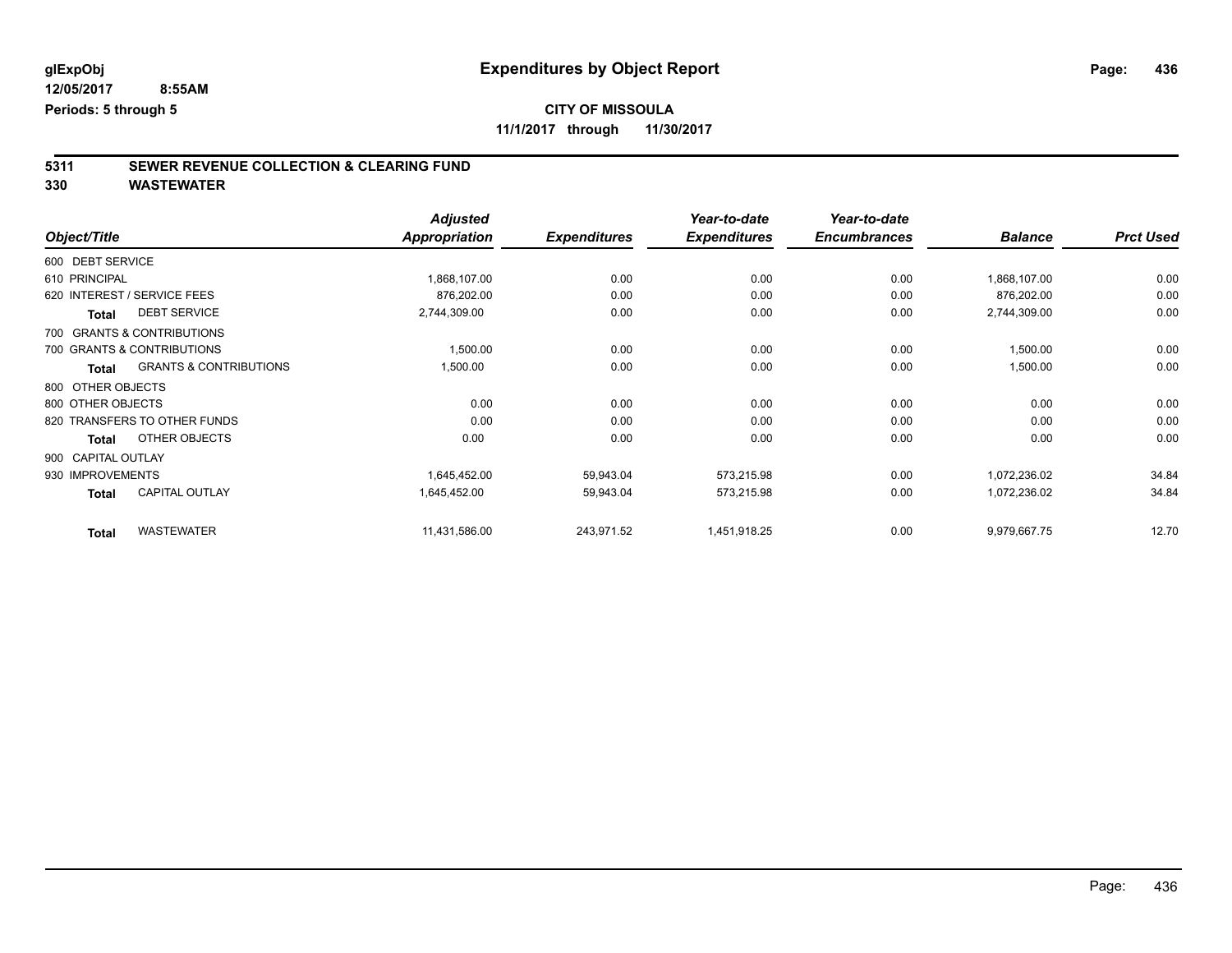**11/1/2017 through 11/30/2017**

# **5311 SEWER REVENUE COLLECTION & CLEARING FUND**

|                                            | <b>Adjusted</b>      |                     | Year-to-date        | Year-to-date        |                |                  |
|--------------------------------------------|----------------------|---------------------|---------------------|---------------------|----------------|------------------|
| Object/Title                               | <b>Appropriation</b> | <b>Expenditures</b> | <b>Expenditures</b> | <b>Encumbrances</b> | <b>Balance</b> | <b>Prct Used</b> |
| 600 DEBT SERVICE                           |                      |                     |                     |                     |                |                  |
| 610 PRINCIPAL                              | 1,868,107.00         | 0.00                | 0.00                | 0.00                | 1,868,107.00   | 0.00             |
| 620 INTEREST / SERVICE FEES                | 876,202.00           | 0.00                | 0.00                | 0.00                | 876,202.00     | 0.00             |
| <b>DEBT SERVICE</b><br><b>Total</b>        | 2,744,309.00         | 0.00                | 0.00                | 0.00                | 2,744,309.00   | 0.00             |
| 700 GRANTS & CONTRIBUTIONS                 |                      |                     |                     |                     |                |                  |
| 700 GRANTS & CONTRIBUTIONS                 | 1,500.00             | 0.00                | 0.00                | 0.00                | 1,500.00       | 0.00             |
| <b>GRANTS &amp; CONTRIBUTIONS</b><br>Total | 1,500.00             | 0.00                | 0.00                | 0.00                | 1,500.00       | 0.00             |
| 800 OTHER OBJECTS                          |                      |                     |                     |                     |                |                  |
| 800 OTHER OBJECTS                          | 0.00                 | 0.00                | 0.00                | 0.00                | 0.00           | 0.00             |
| 820 TRANSFERS TO OTHER FUNDS               | 0.00                 | 0.00                | 0.00                | 0.00                | 0.00           | 0.00             |
| OTHER OBJECTS<br>Total                     | 0.00                 | 0.00                | 0.00                | 0.00                | 0.00           | 0.00             |
| 900 CAPITAL OUTLAY                         |                      |                     |                     |                     |                |                  |
| 930 IMPROVEMENTS                           | 1,645,452.00         | 59,943.04           | 573,215.98          | 0.00                | 1,072,236.02   | 34.84            |
| <b>CAPITAL OUTLAY</b><br><b>Total</b>      | 1,645,452.00         | 59,943.04           | 573,215.98          | 0.00                | 1,072,236.02   | 34.84            |
| <b>WASTEWATER</b><br><b>Total</b>          | 11,431,586.00        | 243,971.52          | 1,451,918.25        | 0.00                | 9,979,667.75   | 12.70            |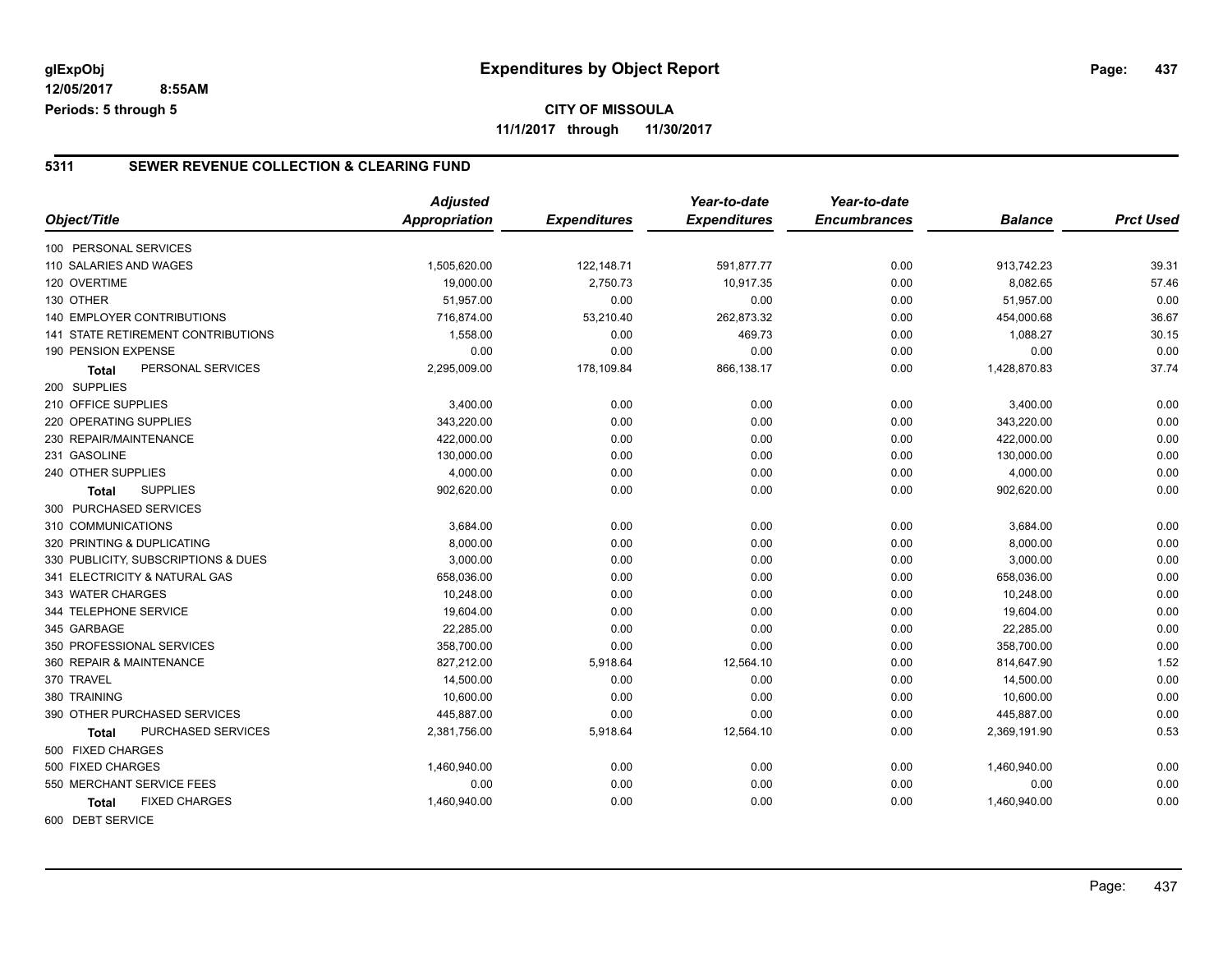## **CITY OF MISSOULA 11/1/2017 through 11/30/2017**

### **5311 SEWER REVENUE COLLECTION & CLEARING FUND**

|                                     | <b>Adjusted</b> |                     | Year-to-date        | Year-to-date        |                |                  |
|-------------------------------------|-----------------|---------------------|---------------------|---------------------|----------------|------------------|
| Object/Title                        | Appropriation   | <b>Expenditures</b> | <b>Expenditures</b> | <b>Encumbrances</b> | <b>Balance</b> | <b>Prct Used</b> |
| 100 PERSONAL SERVICES               |                 |                     |                     |                     |                |                  |
| 110 SALARIES AND WAGES              | 1,505,620.00    | 122,148.71          | 591,877.77          | 0.00                | 913,742.23     | 39.31            |
| 120 OVERTIME                        | 19,000.00       | 2,750.73            | 10,917.35           | 0.00                | 8,082.65       | 57.46            |
| 130 OTHER                           | 51,957.00       | 0.00                | 0.00                | 0.00                | 51,957.00      | 0.00             |
| 140 EMPLOYER CONTRIBUTIONS          | 716,874.00      | 53,210.40           | 262,873.32          | 0.00                | 454,000.68     | 36.67            |
| 141 STATE RETIREMENT CONTRIBUTIONS  | 1,558.00        | 0.00                | 469.73              | 0.00                | 1,088.27       | 30.15            |
| 190 PENSION EXPENSE                 | 0.00            | 0.00                | 0.00                | 0.00                | 0.00           | 0.00             |
| PERSONAL SERVICES<br><b>Total</b>   | 2,295,009.00    | 178,109.84          | 866,138.17          | 0.00                | 1,428,870.83   | 37.74            |
| 200 SUPPLIES                        |                 |                     |                     |                     |                |                  |
| 210 OFFICE SUPPLIES                 | 3,400.00        | 0.00                | 0.00                | 0.00                | 3,400.00       | 0.00             |
| <b>220 OPERATING SUPPLIES</b>       | 343,220.00      | 0.00                | 0.00                | 0.00                | 343,220.00     | 0.00             |
| 230 REPAIR/MAINTENANCE              | 422,000.00      | 0.00                | 0.00                | 0.00                | 422,000.00     | 0.00             |
| 231 GASOLINE                        | 130,000.00      | 0.00                | 0.00                | 0.00                | 130,000.00     | 0.00             |
| 240 OTHER SUPPLIES                  | 4,000.00        | 0.00                | 0.00                | 0.00                | 4,000.00       | 0.00             |
| <b>SUPPLIES</b><br><b>Total</b>     | 902,620.00      | 0.00                | 0.00                | 0.00                | 902,620.00     | 0.00             |
| 300 PURCHASED SERVICES              |                 |                     |                     |                     |                |                  |
| 310 COMMUNICATIONS                  | 3,684.00        | 0.00                | 0.00                | 0.00                | 3,684.00       | 0.00             |
| 320 PRINTING & DUPLICATING          | 8,000.00        | 0.00                | 0.00                | 0.00                | 8,000.00       | 0.00             |
| 330 PUBLICITY, SUBSCRIPTIONS & DUES | 3,000.00        | 0.00                | 0.00                | 0.00                | 3,000.00       | 0.00             |
| 341 ELECTRICITY & NATURAL GAS       | 658,036.00      | 0.00                | 0.00                | 0.00                | 658,036.00     | 0.00             |
| 343 WATER CHARGES                   | 10,248.00       | 0.00                | 0.00                | 0.00                | 10,248.00      | 0.00             |
| 344 TELEPHONE SERVICE               | 19,604.00       | 0.00                | 0.00                | 0.00                | 19,604.00      | 0.00             |
| 345 GARBAGE                         | 22.285.00       | 0.00                | 0.00                | 0.00                | 22.285.00      | 0.00             |
| 350 PROFESSIONAL SERVICES           | 358,700.00      | 0.00                | 0.00                | 0.00                | 358,700.00     | 0.00             |
| 360 REPAIR & MAINTENANCE            | 827,212.00      | 5,918.64            | 12,564.10           | 0.00                | 814,647.90     | 1.52             |
| 370 TRAVEL                          | 14,500.00       | 0.00                | 0.00                | 0.00                | 14,500.00      | 0.00             |
| 380 TRAINING                        | 10,600.00       | 0.00                | 0.00                | 0.00                | 10,600.00      | 0.00             |
| 390 OTHER PURCHASED SERVICES        | 445,887.00      | 0.00                | 0.00                | 0.00                | 445,887.00     | 0.00             |
| <b>PURCHASED SERVICES</b><br>Total  | 2,381,756.00    | 5,918.64            | 12,564.10           | 0.00                | 2,369,191.90   | 0.53             |
| 500 FIXED CHARGES                   |                 |                     |                     |                     |                |                  |
| 500 FIXED CHARGES                   | 1,460,940.00    | 0.00                | 0.00                | 0.00                | 1,460,940.00   | 0.00             |
| 550 MERCHANT SERVICE FEES           | 0.00            | 0.00                | 0.00                | 0.00                | 0.00           | 0.00             |
| <b>FIXED CHARGES</b><br>Total       | 1,460,940.00    | 0.00                | 0.00                | 0.00                | 1,460,940.00   | 0.00             |
| 600 DEBT SERVICE                    |                 |                     |                     |                     |                |                  |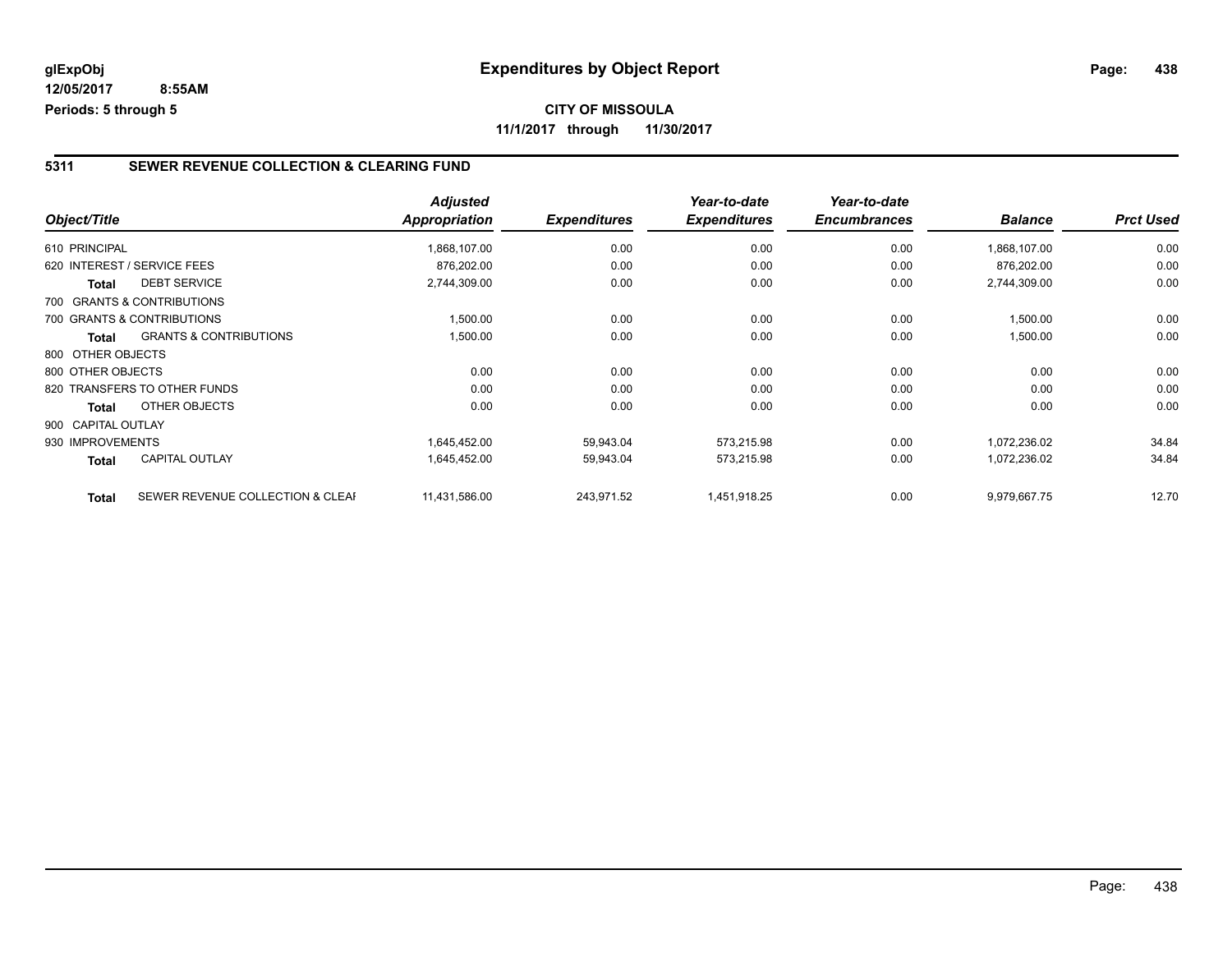### **CITY OF MISSOULA 11/1/2017 through 11/30/2017**

### **5311 SEWER REVENUE COLLECTION & CLEARING FUND**

|                    |                                   | <b>Adjusted</b> |                     | Year-to-date        | Year-to-date        |                |                  |
|--------------------|-----------------------------------|-----------------|---------------------|---------------------|---------------------|----------------|------------------|
| Object/Title       |                                   | Appropriation   | <b>Expenditures</b> | <b>Expenditures</b> | <b>Encumbrances</b> | <b>Balance</b> | <b>Prct Used</b> |
| 610 PRINCIPAL      |                                   | 1,868,107.00    | 0.00                | 0.00                | 0.00                | 1,868,107.00   | 0.00             |
|                    | 620 INTEREST / SERVICE FEES       | 876,202.00      | 0.00                | 0.00                | 0.00                | 876,202.00     | 0.00             |
| <b>Total</b>       | <b>DEBT SERVICE</b>               | 2,744,309.00    | 0.00                | 0.00                | 0.00                | 2,744,309.00   | 0.00             |
|                    | 700 GRANTS & CONTRIBUTIONS        |                 |                     |                     |                     |                |                  |
|                    | 700 GRANTS & CONTRIBUTIONS        | 1,500.00        | 0.00                | 0.00                | 0.00                | 1,500.00       | 0.00             |
| Total              | <b>GRANTS &amp; CONTRIBUTIONS</b> | 1,500.00        | 0.00                | 0.00                | 0.00                | 1,500.00       | 0.00             |
| 800 OTHER OBJECTS  |                                   |                 |                     |                     |                     |                |                  |
| 800 OTHER OBJECTS  |                                   | 0.00            | 0.00                | 0.00                | 0.00                | 0.00           | 0.00             |
|                    | 820 TRANSFERS TO OTHER FUNDS      | 0.00            | 0.00                | 0.00                | 0.00                | 0.00           | 0.00             |
| Total              | OTHER OBJECTS                     | 0.00            | 0.00                | 0.00                | 0.00                | 0.00           | 0.00             |
| 900 CAPITAL OUTLAY |                                   |                 |                     |                     |                     |                |                  |
| 930 IMPROVEMENTS   |                                   | 1,645,452.00    | 59,943.04           | 573,215.98          | 0.00                | 1,072,236.02   | 34.84            |
| Total              | <b>CAPITAL OUTLAY</b>             | 1,645,452.00    | 59,943.04           | 573,215.98          | 0.00                | 1,072,236.02   | 34.84            |
| <b>Total</b>       | SEWER REVENUE COLLECTION & CLEAF  | 11,431,586.00   | 243,971.52          | 1,451,918.25        | 0.00                | 9,979,667.75   | 12.70            |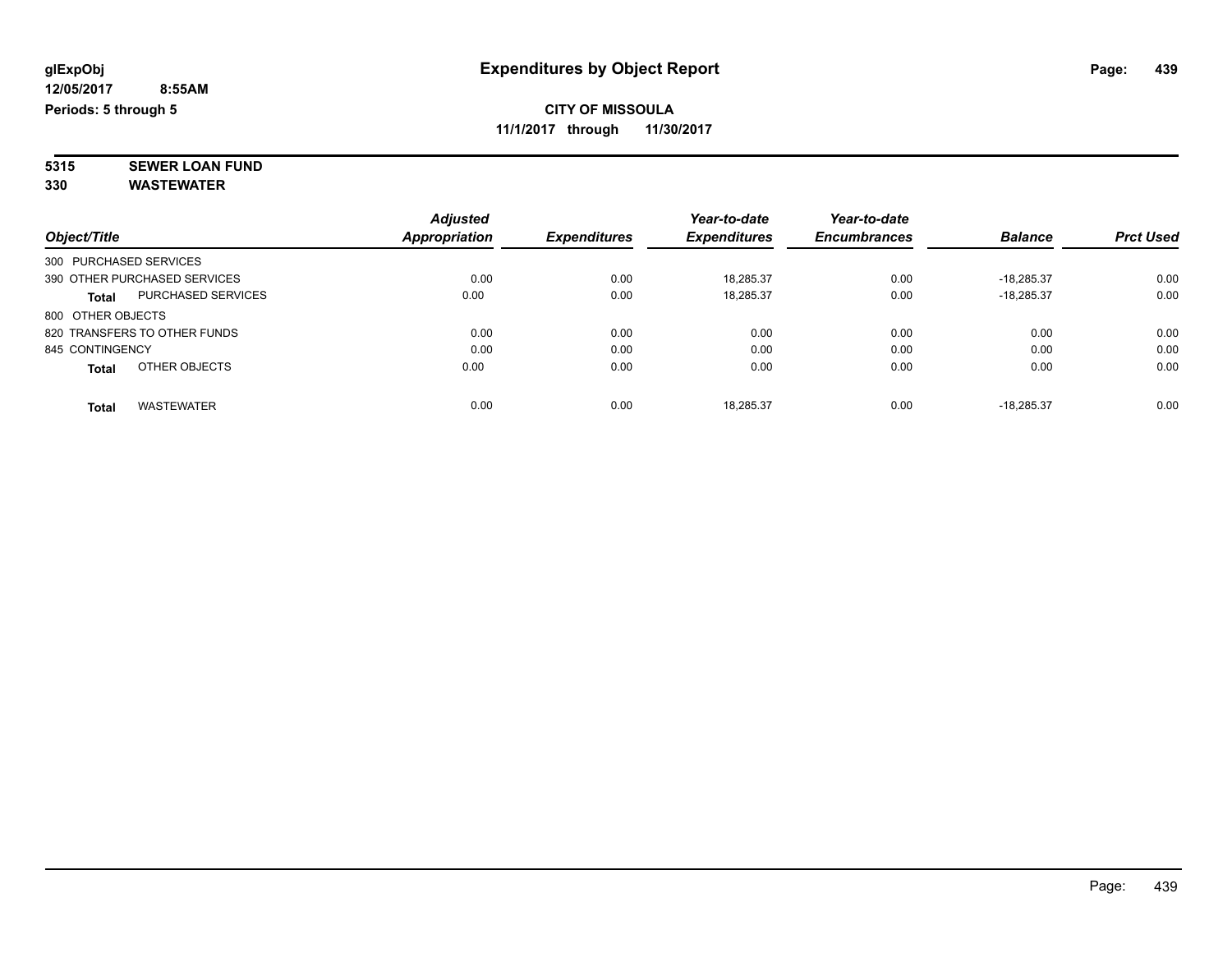### **CITY OF MISSOULA 11/1/2017 through 11/30/2017**

**5315 SEWER LOAN FUND 330 WASTEWATER**

| Object/Title           |                              | <b>Adjusted</b><br>Appropriation | <b>Expenditures</b> | Year-to-date<br><b>Expenditures</b> | Year-to-date<br><b>Encumbrances</b> | <b>Balance</b> | <b>Prct Used</b> |
|------------------------|------------------------------|----------------------------------|---------------------|-------------------------------------|-------------------------------------|----------------|------------------|
|                        |                              |                                  |                     |                                     |                                     |                |                  |
| 300 PURCHASED SERVICES |                              |                                  |                     |                                     |                                     |                |                  |
|                        | 390 OTHER PURCHASED SERVICES | 0.00                             | 0.00                | 18.285.37                           | 0.00                                | $-18.285.37$   | 0.00             |
| Total                  | PURCHASED SERVICES           | 0.00                             | 0.00                | 18,285.37                           | 0.00                                | $-18.285.37$   | 0.00             |
| 800 OTHER OBJECTS      |                              |                                  |                     |                                     |                                     |                |                  |
|                        | 820 TRANSFERS TO OTHER FUNDS | 0.00                             | 0.00                | 0.00                                | 0.00                                | 0.00           | 0.00             |
| 845 CONTINGENCY        |                              | 0.00                             | 0.00                | 0.00                                | 0.00                                | 0.00           | 0.00             |
| <b>Total</b>           | OTHER OBJECTS                | 0.00                             | 0.00                | 0.00                                | 0.00                                | 0.00           | 0.00             |
| <b>Total</b>           | <b>WASTEWATER</b>            | 0.00                             | 0.00                | 18.285.37                           | 0.00                                | $-18.285.37$   | 0.00             |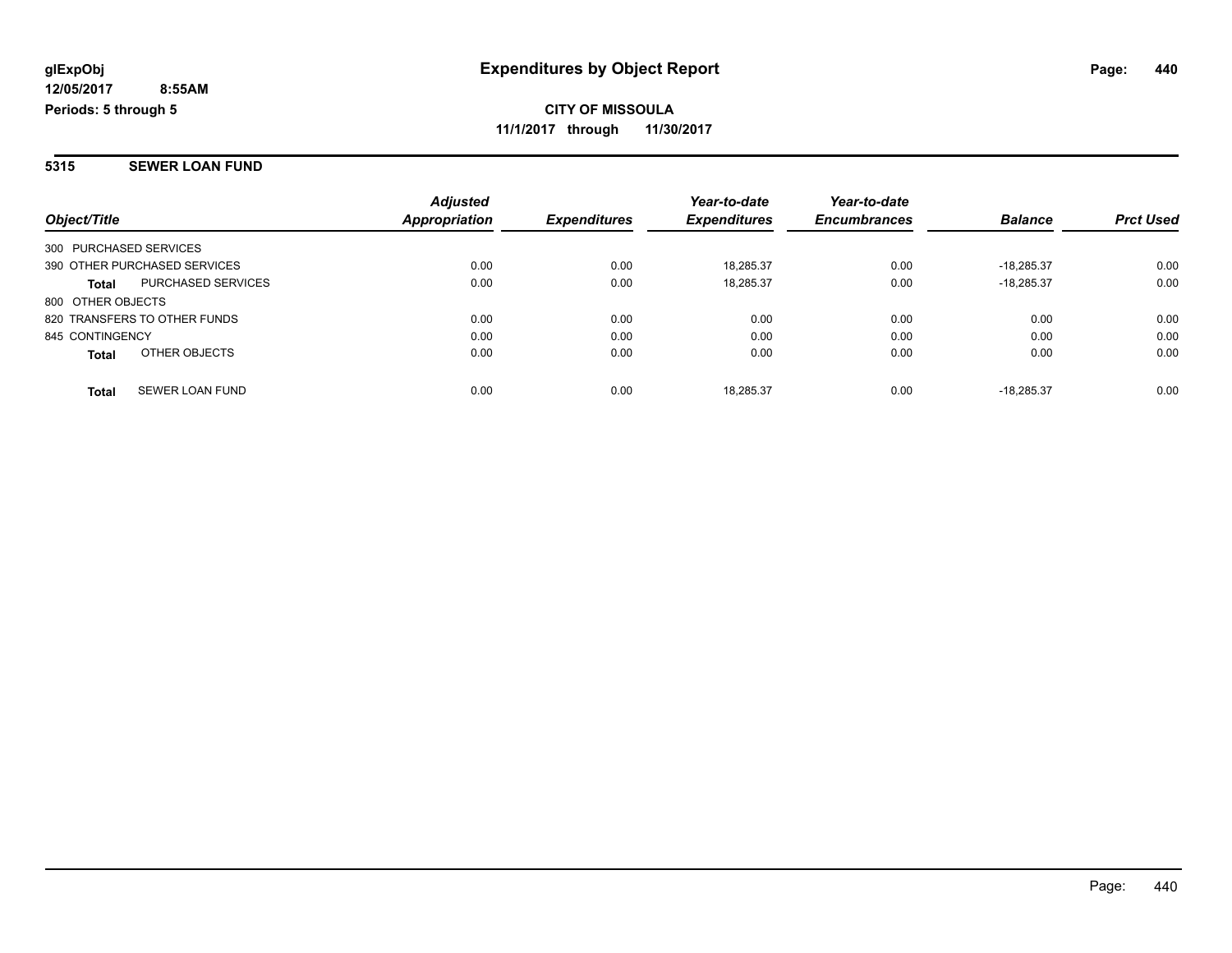**CITY OF MISSOULA 11/1/2017 through 11/30/2017**

#### **5315 SEWER LOAN FUND**

|                                        | <b>Adjusted</b> |                     | Year-to-date        | Year-to-date        |                |                  |
|----------------------------------------|-----------------|---------------------|---------------------|---------------------|----------------|------------------|
| Object/Title                           | Appropriation   | <b>Expenditures</b> | <b>Expenditures</b> | <b>Encumbrances</b> | <b>Balance</b> | <b>Prct Used</b> |
| 300 PURCHASED SERVICES                 |                 |                     |                     |                     |                |                  |
| 390 OTHER PURCHASED SERVICES           | 0.00            | 0.00                | 18.285.37           | 0.00                | $-18.285.37$   | 0.00             |
| PURCHASED SERVICES<br><b>Total</b>     | 0.00            | 0.00                | 18,285.37           | 0.00                | $-18.285.37$   | 0.00             |
| 800 OTHER OBJECTS                      |                 |                     |                     |                     |                |                  |
| 820 TRANSFERS TO OTHER FUNDS           | 0.00            | 0.00                | 0.00                | 0.00                | 0.00           | 0.00             |
| 845 CONTINGENCY                        | 0.00            | 0.00                | 0.00                | 0.00                | 0.00           | 0.00             |
| OTHER OBJECTS<br><b>Total</b>          | 0.00            | 0.00                | 0.00                | 0.00                | 0.00           | 0.00             |
| <b>SEWER LOAN FUND</b><br><b>Total</b> | 0.00            | 0.00                | 18.285.37           | 0.00                | $-18.285.37$   | 0.00             |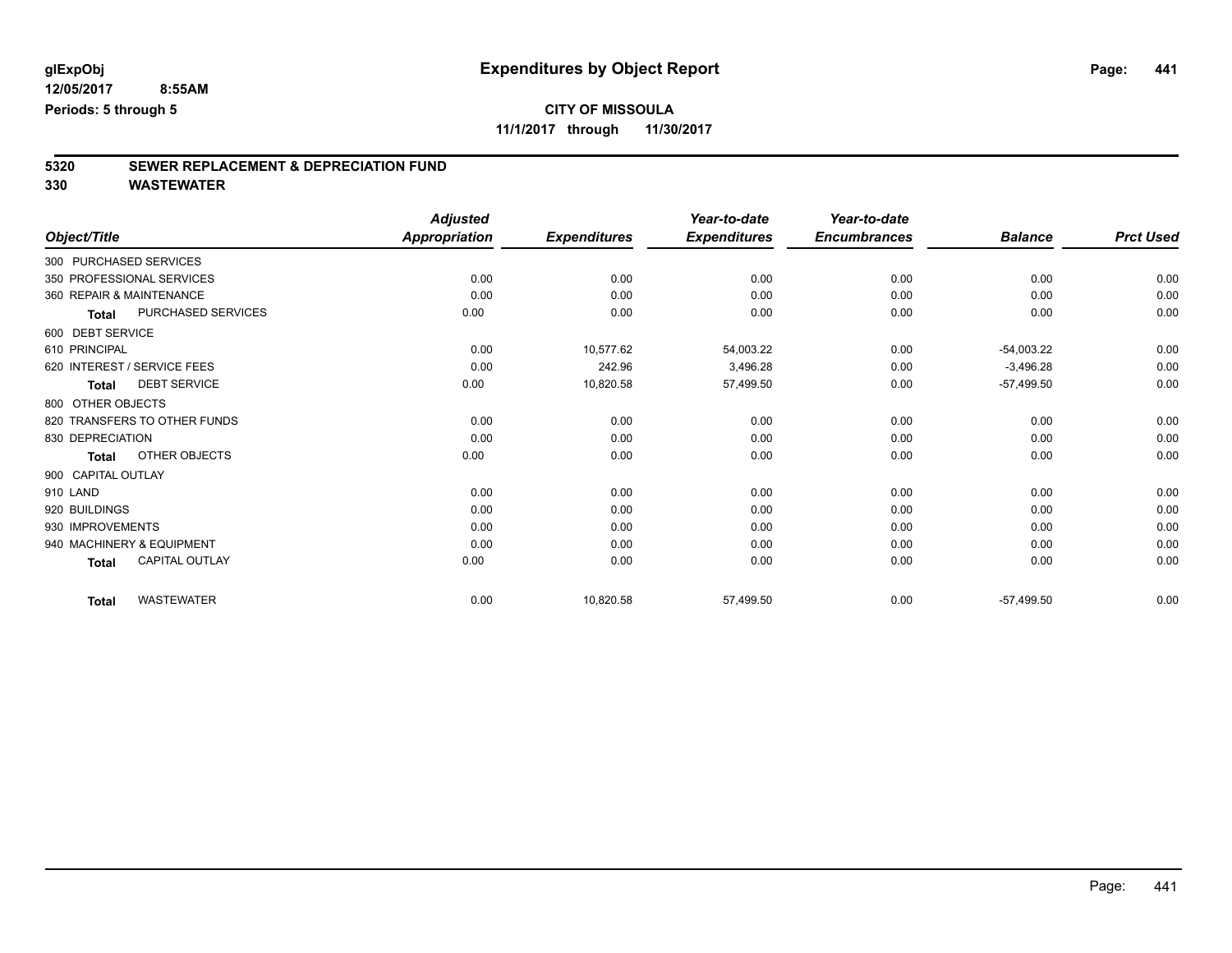**11/1/2017 through 11/30/2017**

# **5320 SEWER REPLACEMENT & DEPRECIATION FUND**

|                                     | <b>Adjusted</b>      |                     | Year-to-date        | Year-to-date        |                |                  |
|-------------------------------------|----------------------|---------------------|---------------------|---------------------|----------------|------------------|
| Object/Title                        | <b>Appropriation</b> | <b>Expenditures</b> | <b>Expenditures</b> | <b>Encumbrances</b> | <b>Balance</b> | <b>Prct Used</b> |
| 300 PURCHASED SERVICES              |                      |                     |                     |                     |                |                  |
| 350 PROFESSIONAL SERVICES           | 0.00                 | 0.00                | 0.00                | 0.00                | 0.00           | 0.00             |
| 360 REPAIR & MAINTENANCE            | 0.00                 | 0.00                | 0.00                | 0.00                | 0.00           | 0.00             |
| PURCHASED SERVICES<br><b>Total</b>  | 0.00                 | 0.00                | 0.00                | 0.00                | 0.00           | 0.00             |
| 600 DEBT SERVICE                    |                      |                     |                     |                     |                |                  |
| 610 PRINCIPAL                       | 0.00                 | 10,577.62           | 54,003.22           | 0.00                | $-54,003.22$   | 0.00             |
| 620 INTEREST / SERVICE FEES         | 0.00                 | 242.96              | 3,496.28            | 0.00                | $-3,496.28$    | 0.00             |
| <b>DEBT SERVICE</b><br><b>Total</b> | 0.00                 | 10,820.58           | 57,499.50           | 0.00                | $-57,499.50$   | 0.00             |
| 800 OTHER OBJECTS                   |                      |                     |                     |                     |                |                  |
| 820 TRANSFERS TO OTHER FUNDS        | 0.00                 | 0.00                | 0.00                | 0.00                | 0.00           | 0.00             |
| 830 DEPRECIATION                    | 0.00                 | 0.00                | 0.00                | 0.00                | 0.00           | 0.00             |
| OTHER OBJECTS<br><b>Total</b>       | 0.00                 | 0.00                | 0.00                | 0.00                | 0.00           | 0.00             |
| 900 CAPITAL OUTLAY                  |                      |                     |                     |                     |                |                  |
| 910 LAND                            | 0.00                 | 0.00                | 0.00                | 0.00                | 0.00           | 0.00             |
| 920 BUILDINGS                       | 0.00                 | 0.00                | 0.00                | 0.00                | 0.00           | 0.00             |
| 930 IMPROVEMENTS                    | 0.00                 | 0.00                | 0.00                | 0.00                | 0.00           | 0.00             |
| 940 MACHINERY & EQUIPMENT           | 0.00                 | 0.00                | 0.00                | 0.00                | 0.00           | 0.00             |
| CAPITAL OUTLAY<br><b>Total</b>      | 0.00                 | 0.00                | 0.00                | 0.00                | 0.00           | 0.00             |
| <b>WASTEWATER</b><br><b>Total</b>   | 0.00                 | 10,820.58           | 57,499.50           | 0.00                | $-57,499.50$   | 0.00             |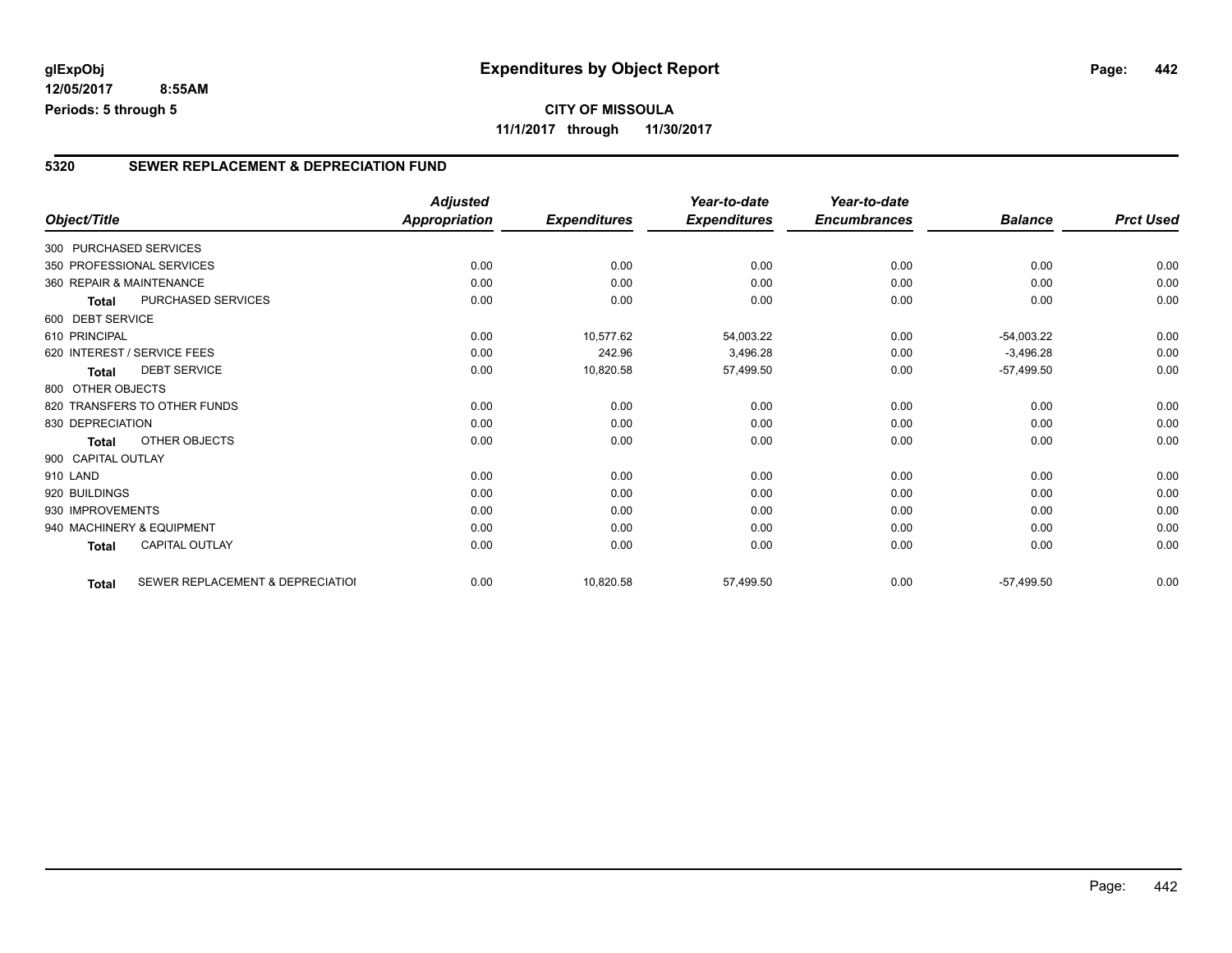### **5320 SEWER REPLACEMENT & DEPRECIATION FUND**

|                        |                                  | <b>Adjusted</b>      |                     | Year-to-date        | Year-to-date        |                |                  |
|------------------------|----------------------------------|----------------------|---------------------|---------------------|---------------------|----------------|------------------|
| Object/Title           |                                  | <b>Appropriation</b> | <b>Expenditures</b> | <b>Expenditures</b> | <b>Encumbrances</b> | <b>Balance</b> | <b>Prct Used</b> |
| 300 PURCHASED SERVICES |                                  |                      |                     |                     |                     |                |                  |
|                        | 350 PROFESSIONAL SERVICES        | 0.00                 | 0.00                | 0.00                | 0.00                | 0.00           | 0.00             |
|                        | 360 REPAIR & MAINTENANCE         | 0.00                 | 0.00                | 0.00                | 0.00                | 0.00           | 0.00             |
| <b>Total</b>           | PURCHASED SERVICES               | 0.00                 | 0.00                | 0.00                | 0.00                | 0.00           | 0.00             |
| 600 DEBT SERVICE       |                                  |                      |                     |                     |                     |                |                  |
| 610 PRINCIPAL          |                                  | 0.00                 | 10,577.62           | 54.003.22           | 0.00                | $-54,003.22$   | 0.00             |
|                        | 620 INTEREST / SERVICE FEES      | 0.00                 | 242.96              | 3,496.28            | 0.00                | $-3,496.28$    | 0.00             |
| Total                  | <b>DEBT SERVICE</b>              | 0.00                 | 10,820.58           | 57,499.50           | 0.00                | $-57,499.50$   | 0.00             |
| 800 OTHER OBJECTS      |                                  |                      |                     |                     |                     |                |                  |
|                        | 820 TRANSFERS TO OTHER FUNDS     | 0.00                 | 0.00                | 0.00                | 0.00                | 0.00           | 0.00             |
| 830 DEPRECIATION       |                                  | 0.00                 | 0.00                | 0.00                | 0.00                | 0.00           | 0.00             |
| Total                  | OTHER OBJECTS                    | 0.00                 | 0.00                | 0.00                | 0.00                | 0.00           | 0.00             |
| 900 CAPITAL OUTLAY     |                                  |                      |                     |                     |                     |                |                  |
| 910 LAND               |                                  | 0.00                 | 0.00                | 0.00                | 0.00                | 0.00           | 0.00             |
| 920 BUILDINGS          |                                  | 0.00                 | 0.00                | 0.00                | 0.00                | 0.00           | 0.00             |
| 930 IMPROVEMENTS       |                                  | 0.00                 | 0.00                | 0.00                | 0.00                | 0.00           | 0.00             |
|                        | 940 MACHINERY & EQUIPMENT        | 0.00                 | 0.00                | 0.00                | 0.00                | 0.00           | 0.00             |
| <b>Total</b>           | CAPITAL OUTLAY                   | 0.00                 | 0.00                | 0.00                | 0.00                | 0.00           | 0.00             |
| <b>Total</b>           | SEWER REPLACEMENT & DEPRECIATION | 0.00                 | 10,820.58           | 57,499.50           | 0.00                | $-57,499.50$   | 0.00             |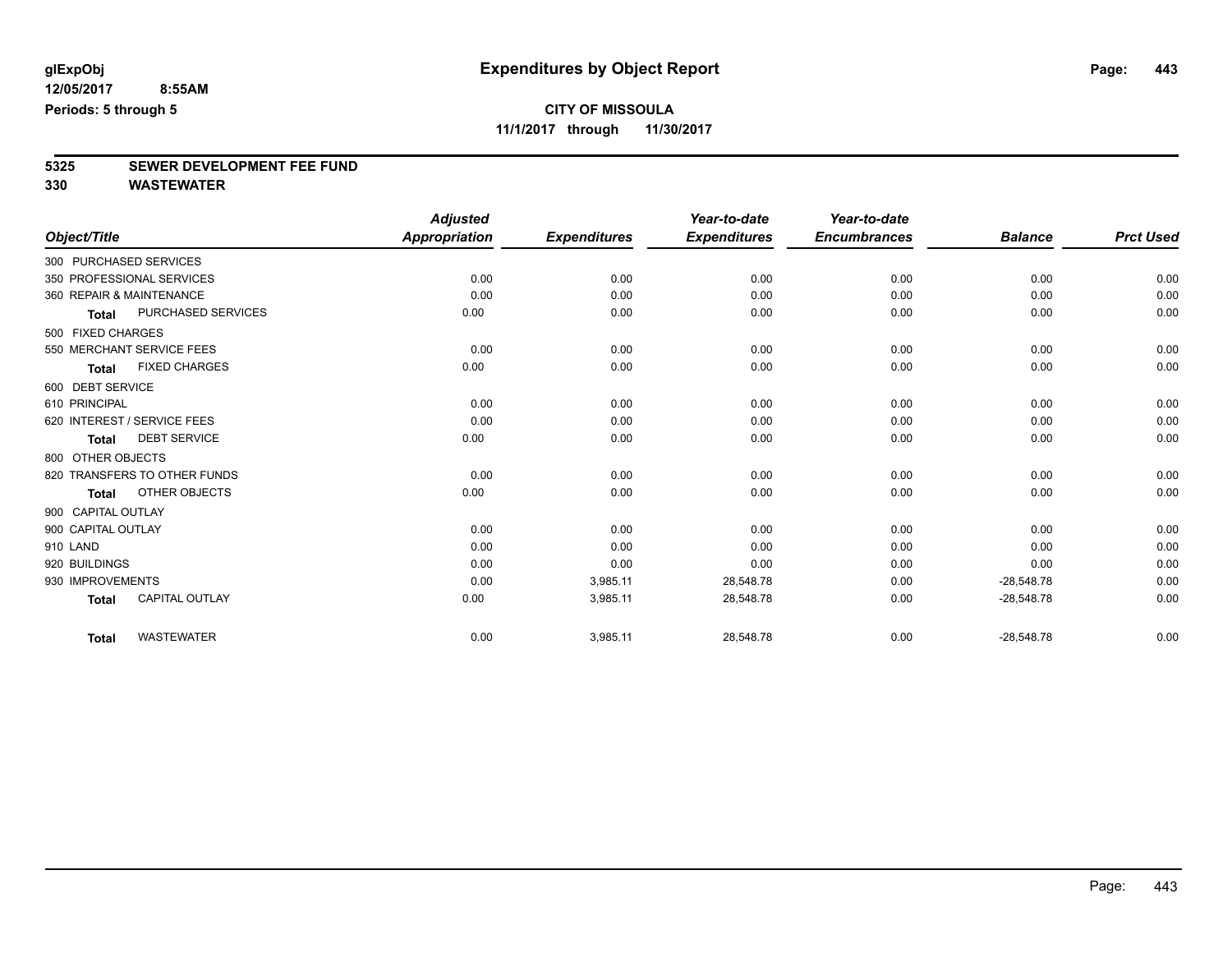**11/1/2017 through 11/30/2017**

# **5325 SEWER DEVELOPMENT FEE FUND**

|                          |                              | <b>Adjusted</b>      |                     | Year-to-date        | Year-to-date        |                |                  |
|--------------------------|------------------------------|----------------------|---------------------|---------------------|---------------------|----------------|------------------|
| Object/Title             |                              | <b>Appropriation</b> | <b>Expenditures</b> | <b>Expenditures</b> | <b>Encumbrances</b> | <b>Balance</b> | <b>Prct Used</b> |
| 300 PURCHASED SERVICES   |                              |                      |                     |                     |                     |                |                  |
|                          | 350 PROFESSIONAL SERVICES    | 0.00                 | 0.00                | 0.00                | 0.00                | 0.00           | 0.00             |
| 360 REPAIR & MAINTENANCE |                              | 0.00                 | 0.00                | 0.00                | 0.00                | 0.00           | 0.00             |
| <b>Total</b>             | <b>PURCHASED SERVICES</b>    | 0.00                 | 0.00                | 0.00                | 0.00                | 0.00           | 0.00             |
| 500 FIXED CHARGES        |                              |                      |                     |                     |                     |                |                  |
|                          | 550 MERCHANT SERVICE FEES    | 0.00                 | 0.00                | 0.00                | 0.00                | 0.00           | 0.00             |
| <b>Total</b>             | <b>FIXED CHARGES</b>         | 0.00                 | 0.00                | 0.00                | 0.00                | 0.00           | 0.00             |
| 600 DEBT SERVICE         |                              |                      |                     |                     |                     |                |                  |
| 610 PRINCIPAL            |                              | 0.00                 | 0.00                | 0.00                | 0.00                | 0.00           | 0.00             |
|                          | 620 INTEREST / SERVICE FEES  | 0.00                 | 0.00                | 0.00                | 0.00                | 0.00           | 0.00             |
| <b>Total</b>             | <b>DEBT SERVICE</b>          | 0.00                 | 0.00                | 0.00                | 0.00                | 0.00           | 0.00             |
| 800 OTHER OBJECTS        |                              |                      |                     |                     |                     |                |                  |
|                          | 820 TRANSFERS TO OTHER FUNDS | 0.00                 | 0.00                | 0.00                | 0.00                | 0.00           | 0.00             |
| <b>Total</b>             | OTHER OBJECTS                | 0.00                 | 0.00                | 0.00                | 0.00                | 0.00           | 0.00             |
| 900 CAPITAL OUTLAY       |                              |                      |                     |                     |                     |                |                  |
| 900 CAPITAL OUTLAY       |                              | 0.00                 | 0.00                | 0.00                | 0.00                | 0.00           | 0.00             |
| 910 LAND                 |                              | 0.00                 | 0.00                | 0.00                | 0.00                | 0.00           | 0.00             |
| 920 BUILDINGS            |                              | 0.00                 | 0.00                | 0.00                | 0.00                | 0.00           | 0.00             |
| 930 IMPROVEMENTS         |                              | 0.00                 | 3,985.11            | 28,548.78           | 0.00                | $-28,548.78$   | 0.00             |
| <b>Total</b>             | <b>CAPITAL OUTLAY</b>        | 0.00                 | 3,985.11            | 28,548.78           | 0.00                | $-28,548.78$   | 0.00             |
| <b>Total</b>             | <b>WASTEWATER</b>            | 0.00                 | 3,985.11            | 28,548.78           | 0.00                | $-28,548.78$   | 0.00             |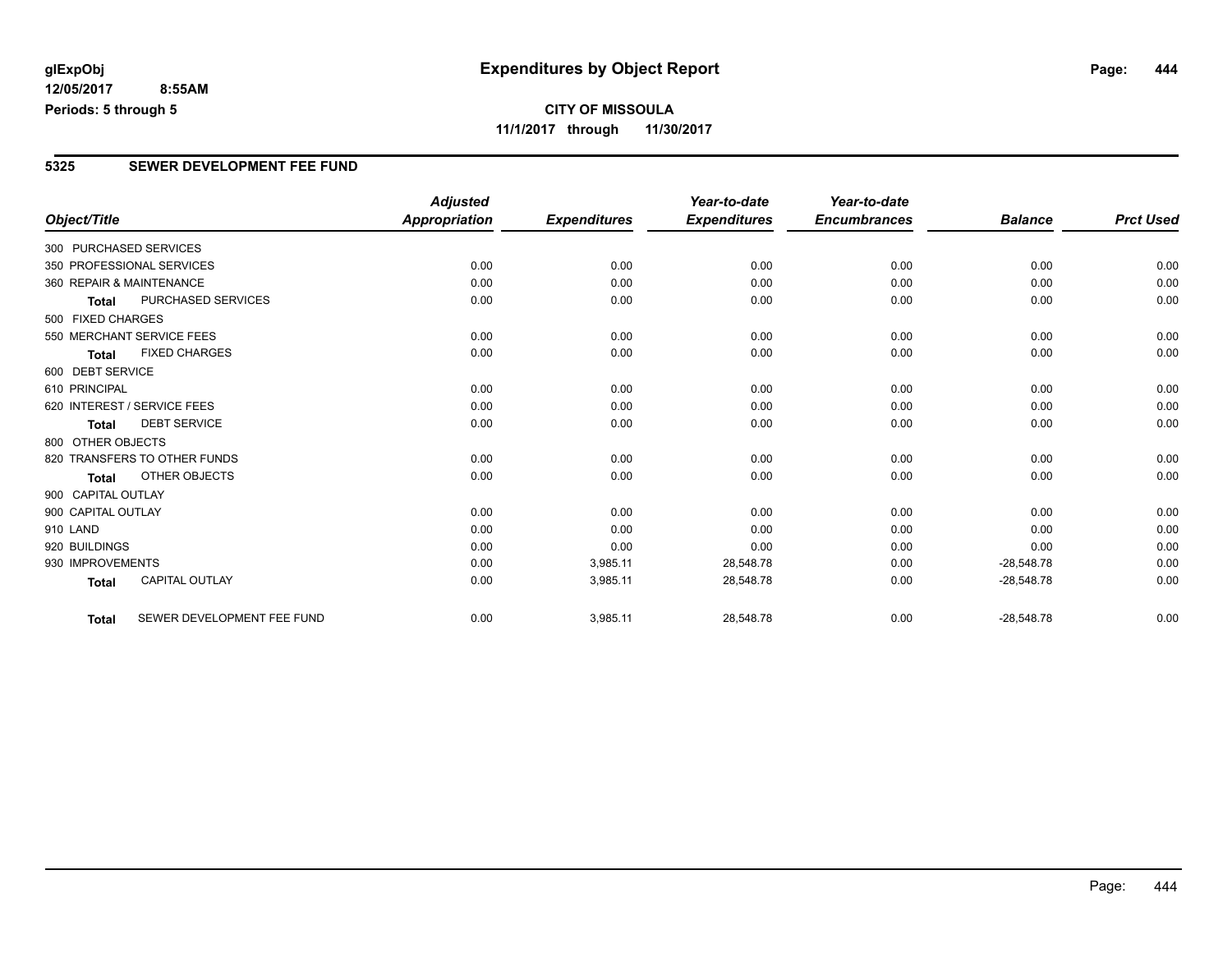## **CITY OF MISSOULA 11/1/2017 through 11/30/2017**

### **5325 SEWER DEVELOPMENT FEE FUND**

|                          |                              | <b>Adjusted</b> |                     | Year-to-date        | Year-to-date        |                |                  |
|--------------------------|------------------------------|-----------------|---------------------|---------------------|---------------------|----------------|------------------|
| Object/Title             |                              | Appropriation   | <b>Expenditures</b> | <b>Expenditures</b> | <b>Encumbrances</b> | <b>Balance</b> | <b>Prct Used</b> |
| 300 PURCHASED SERVICES   |                              |                 |                     |                     |                     |                |                  |
|                          | 350 PROFESSIONAL SERVICES    | 0.00            | 0.00                | 0.00                | 0.00                | 0.00           | 0.00             |
| 360 REPAIR & MAINTENANCE |                              | 0.00            | 0.00                | 0.00                | 0.00                | 0.00           | 0.00             |
| <b>Total</b>             | <b>PURCHASED SERVICES</b>    | 0.00            | 0.00                | 0.00                | 0.00                | 0.00           | 0.00             |
| 500 FIXED CHARGES        |                              |                 |                     |                     |                     |                |                  |
|                          | 550 MERCHANT SERVICE FEES    | 0.00            | 0.00                | 0.00                | 0.00                | 0.00           | 0.00             |
| <b>Total</b>             | <b>FIXED CHARGES</b>         | 0.00            | 0.00                | 0.00                | 0.00                | 0.00           | 0.00             |
| 600 DEBT SERVICE         |                              |                 |                     |                     |                     |                |                  |
| 610 PRINCIPAL            |                              | 0.00            | 0.00                | 0.00                | 0.00                | 0.00           | 0.00             |
|                          | 620 INTEREST / SERVICE FEES  | 0.00            | 0.00                | 0.00                | 0.00                | 0.00           | 0.00             |
| <b>Total</b>             | <b>DEBT SERVICE</b>          | 0.00            | 0.00                | 0.00                | 0.00                | 0.00           | 0.00             |
| 800 OTHER OBJECTS        |                              |                 |                     |                     |                     |                |                  |
|                          | 820 TRANSFERS TO OTHER FUNDS | 0.00            | 0.00                | 0.00                | 0.00                | 0.00           | 0.00             |
| <b>Total</b>             | OTHER OBJECTS                | 0.00            | 0.00                | 0.00                | 0.00                | 0.00           | 0.00             |
| 900 CAPITAL OUTLAY       |                              |                 |                     |                     |                     |                |                  |
| 900 CAPITAL OUTLAY       |                              | 0.00            | 0.00                | 0.00                | 0.00                | 0.00           | 0.00             |
| 910 LAND                 |                              | 0.00            | 0.00                | 0.00                | 0.00                | 0.00           | 0.00             |
| 920 BUILDINGS            |                              | 0.00            | 0.00                | 0.00                | 0.00                | 0.00           | 0.00             |
| 930 IMPROVEMENTS         |                              | 0.00            | 3,985.11            | 28,548.78           | 0.00                | $-28,548.78$   | 0.00             |
| <b>Total</b>             | <b>CAPITAL OUTLAY</b>        | 0.00            | 3,985.11            | 28,548.78           | 0.00                | $-28,548.78$   | 0.00             |
| <b>Total</b>             | SEWER DEVELOPMENT FEE FUND   | 0.00            | 3,985.11            | 28,548.78           | 0.00                | $-28,548.78$   | 0.00             |

Page: 444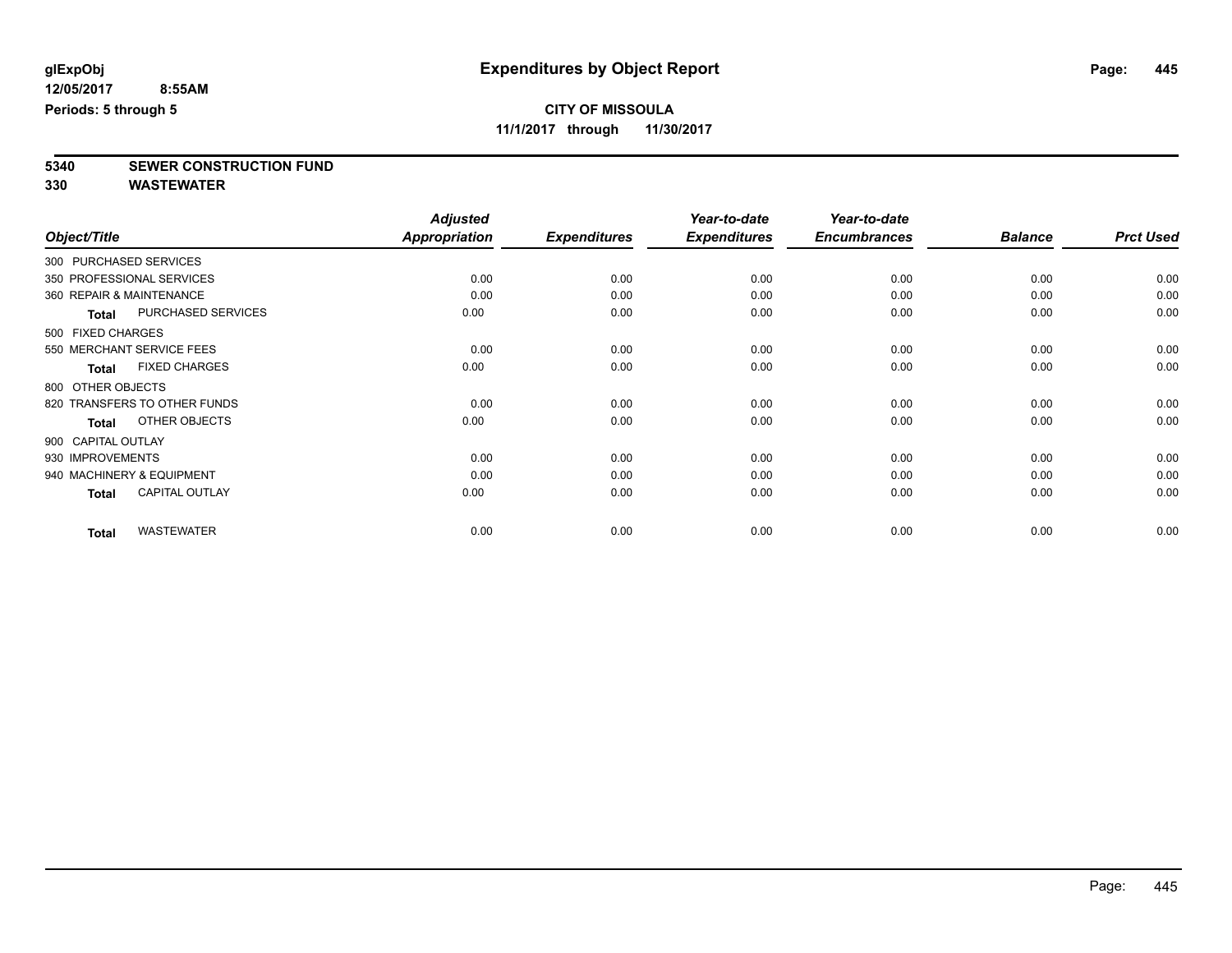**11/1/2017 through 11/30/2017**

**5340 SEWER CONSTRUCTION FUND**

|                          |                              | <b>Adjusted</b>      |                     | Year-to-date        | Year-to-date        |                |                  |
|--------------------------|------------------------------|----------------------|---------------------|---------------------|---------------------|----------------|------------------|
| Object/Title             |                              | <b>Appropriation</b> | <b>Expenditures</b> | <b>Expenditures</b> | <b>Encumbrances</b> | <b>Balance</b> | <b>Prct Used</b> |
| 300 PURCHASED SERVICES   |                              |                      |                     |                     |                     |                |                  |
|                          | 350 PROFESSIONAL SERVICES    | 0.00                 | 0.00                | 0.00                | 0.00                | 0.00           | 0.00             |
| 360 REPAIR & MAINTENANCE |                              | 0.00                 | 0.00                | 0.00                | 0.00                | 0.00           | 0.00             |
| Total                    | <b>PURCHASED SERVICES</b>    | 0.00                 | 0.00                | 0.00                | 0.00                | 0.00           | 0.00             |
| 500 FIXED CHARGES        |                              |                      |                     |                     |                     |                |                  |
|                          | 550 MERCHANT SERVICE FEES    | 0.00                 | 0.00                | 0.00                | 0.00                | 0.00           | 0.00             |
| <b>Total</b>             | <b>FIXED CHARGES</b>         | 0.00                 | 0.00                | 0.00                | 0.00                | 0.00           | 0.00             |
| 800 OTHER OBJECTS        |                              |                      |                     |                     |                     |                |                  |
|                          | 820 TRANSFERS TO OTHER FUNDS | 0.00                 | 0.00                | 0.00                | 0.00                | 0.00           | 0.00             |
| Total                    | OTHER OBJECTS                | 0.00                 | 0.00                | 0.00                | 0.00                | 0.00           | 0.00             |
| 900 CAPITAL OUTLAY       |                              |                      |                     |                     |                     |                |                  |
| 930 IMPROVEMENTS         |                              | 0.00                 | 0.00                | 0.00                | 0.00                | 0.00           | 0.00             |
|                          | 940 MACHINERY & EQUIPMENT    | 0.00                 | 0.00                | 0.00                | 0.00                | 0.00           | 0.00             |
| <b>Total</b>             | <b>CAPITAL OUTLAY</b>        | 0.00                 | 0.00                | 0.00                | 0.00                | 0.00           | 0.00             |
| <b>Total</b>             | <b>WASTEWATER</b>            | 0.00                 | 0.00                | 0.00                | 0.00                | 0.00           | 0.00             |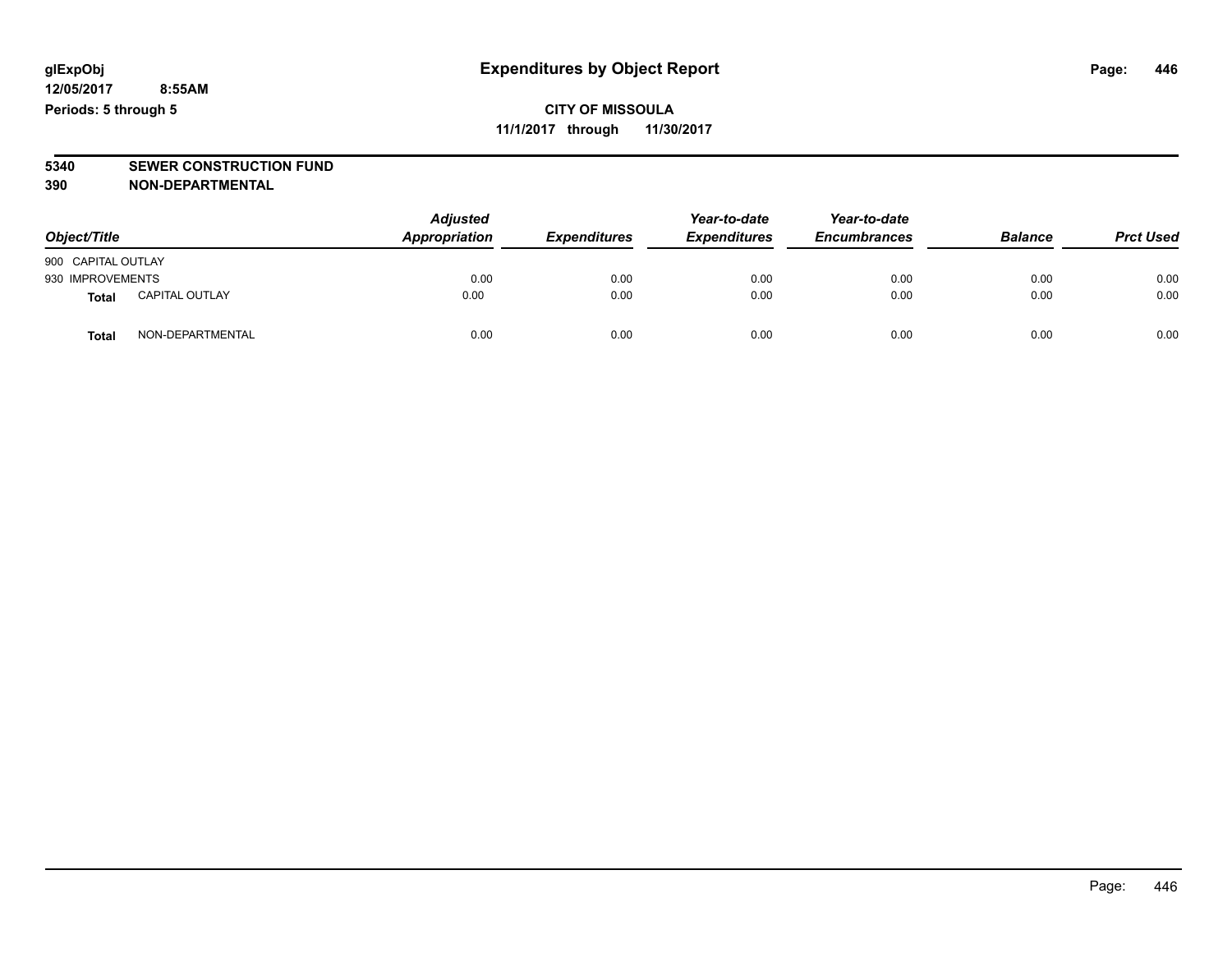### **CITY OF MISSOULA 11/1/2017 through 11/30/2017**

# **5340 SEWER CONSTRUCTION FUND**

**390 NON-DEPARTMENTAL**

| Object/Title       |                       | <b>Adjusted</b><br>Appropriation | <b>Expenditures</b> | Year-to-date<br><b>Expenditures</b> | Year-to-date<br><b>Encumbrances</b> | <b>Balance</b> | <b>Prct Used</b> |
|--------------------|-----------------------|----------------------------------|---------------------|-------------------------------------|-------------------------------------|----------------|------------------|
| 900 CAPITAL OUTLAY |                       |                                  |                     |                                     |                                     |                |                  |
| 930 IMPROVEMENTS   |                       | 0.00                             | 0.00                | 0.00                                | 0.00                                | 0.00           | 0.00             |
| <b>Total</b>       | <b>CAPITAL OUTLAY</b> | 0.00                             | 0.00                | 0.00                                | 0.00                                | 0.00           | 0.00             |
| <b>Total</b>       | NON-DEPARTMENTAL      | 0.00                             | 0.00                | 0.00                                | 0.00                                | 0.00           | 0.00             |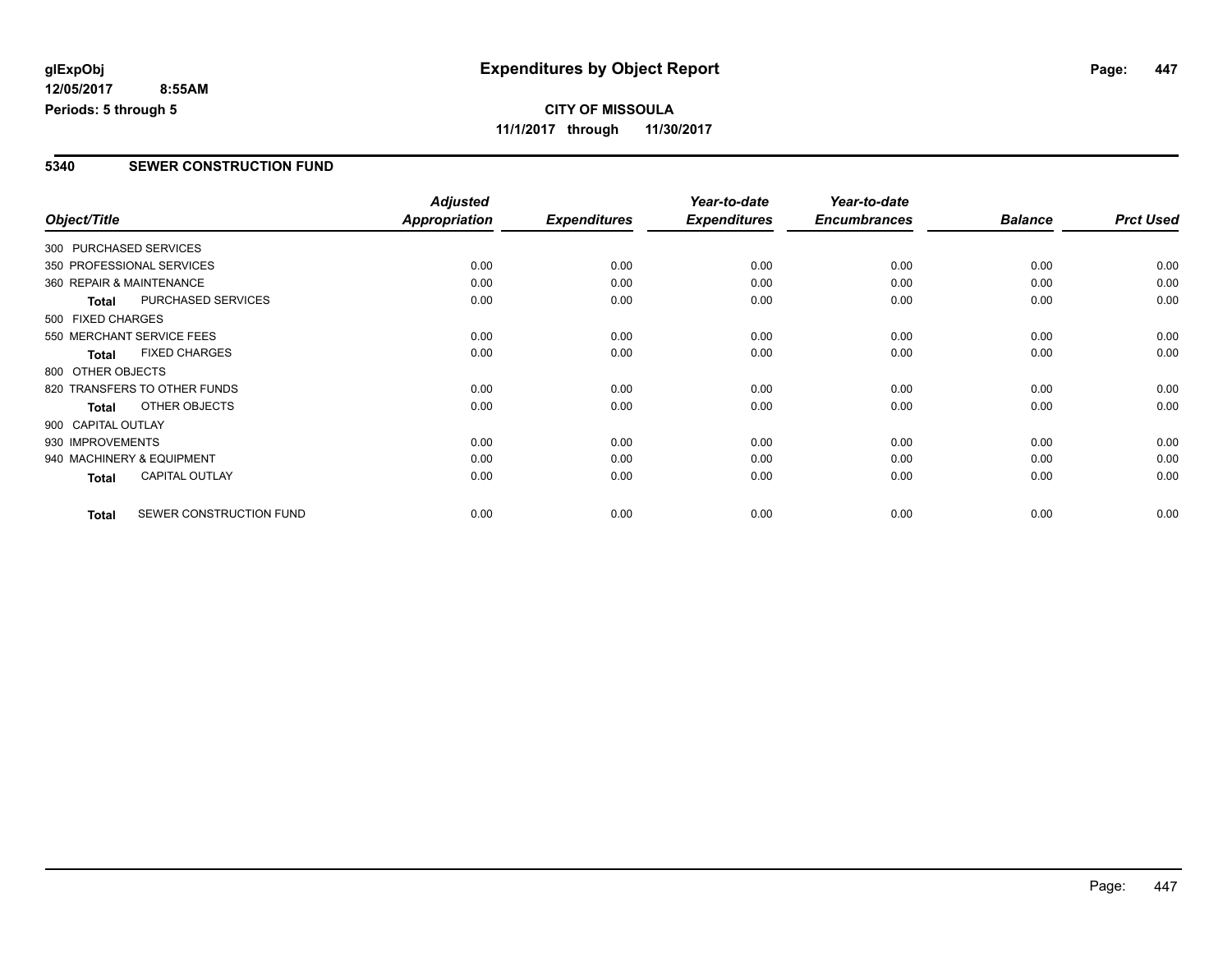### **5340 SEWER CONSTRUCTION FUND**

|                        |                              | <b>Adjusted</b>      |                     | Year-to-date        | Year-to-date        |                |                  |
|------------------------|------------------------------|----------------------|---------------------|---------------------|---------------------|----------------|------------------|
| Object/Title           |                              | <b>Appropriation</b> | <b>Expenditures</b> | <b>Expenditures</b> | <b>Encumbrances</b> | <b>Balance</b> | <b>Prct Used</b> |
| 300 PURCHASED SERVICES |                              |                      |                     |                     |                     |                |                  |
|                        | 350 PROFESSIONAL SERVICES    | 0.00                 | 0.00                | 0.00                | 0.00                | 0.00           | 0.00             |
|                        | 360 REPAIR & MAINTENANCE     | 0.00                 | 0.00                | 0.00                | 0.00                | 0.00           | 0.00             |
| <b>Total</b>           | PURCHASED SERVICES           | 0.00                 | 0.00                | 0.00                | 0.00                | 0.00           | 0.00             |
| 500 FIXED CHARGES      |                              |                      |                     |                     |                     |                |                  |
|                        | 550 MERCHANT SERVICE FEES    | 0.00                 | 0.00                | 0.00                | 0.00                | 0.00           | 0.00             |
| <b>Total</b>           | <b>FIXED CHARGES</b>         | 0.00                 | 0.00                | 0.00                | 0.00                | 0.00           | 0.00             |
| 800 OTHER OBJECTS      |                              |                      |                     |                     |                     |                |                  |
|                        | 820 TRANSFERS TO OTHER FUNDS | 0.00                 | 0.00                | 0.00                | 0.00                | 0.00           | 0.00             |
| Total                  | OTHER OBJECTS                | 0.00                 | 0.00                | 0.00                | 0.00                | 0.00           | 0.00             |
| 900 CAPITAL OUTLAY     |                              |                      |                     |                     |                     |                |                  |
| 930 IMPROVEMENTS       |                              | 0.00                 | 0.00                | 0.00                | 0.00                | 0.00           | 0.00             |
|                        | 940 MACHINERY & EQUIPMENT    | 0.00                 | 0.00                | 0.00                | 0.00                | 0.00           | 0.00             |
| Total                  | <b>CAPITAL OUTLAY</b>        | 0.00                 | 0.00                | 0.00                | 0.00                | 0.00           | 0.00             |
| <b>Total</b>           | SEWER CONSTRUCTION FUND      | 0.00                 | 0.00                | 0.00                | 0.00                | 0.00           | 0.00             |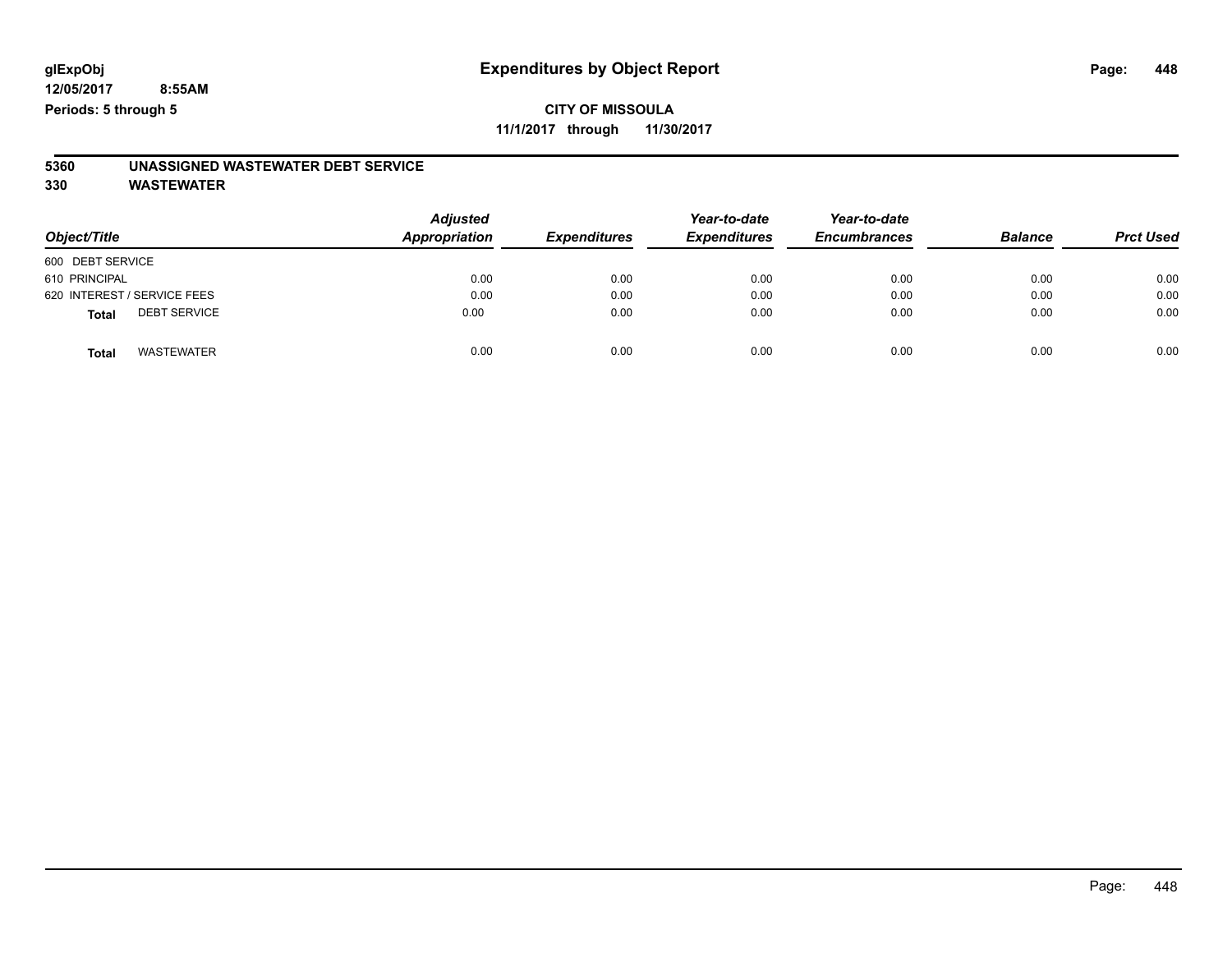**11/1/2017 through 11/30/2017**

# **5360 UNASSIGNED WASTEWATER DEBT SERVICE**

| Object/Title                        | <b>Adjusted</b><br><b>Appropriation</b> | <b>Expenditures</b> | Year-to-date<br><b>Expenditures</b> | Year-to-date<br><b>Encumbrances</b> | <b>Balance</b> | <b>Prct Used</b> |
|-------------------------------------|-----------------------------------------|---------------------|-------------------------------------|-------------------------------------|----------------|------------------|
| 600 DEBT SERVICE                    |                                         |                     |                                     |                                     |                |                  |
| 610 PRINCIPAL                       | 0.00                                    | 0.00                | 0.00                                | 0.00                                | 0.00           | 0.00             |
| 620 INTEREST / SERVICE FEES         | 0.00                                    | 0.00                | 0.00                                | 0.00                                | 0.00           | 0.00             |
| <b>DEBT SERVICE</b><br><b>Total</b> | 0.00                                    | 0.00                | 0.00                                | 0.00                                | 0.00           | 0.00             |
| <b>WASTEWATER</b><br><b>Total</b>   | 0.00                                    | 0.00                | 0.00                                | 0.00                                | 0.00           | 0.00             |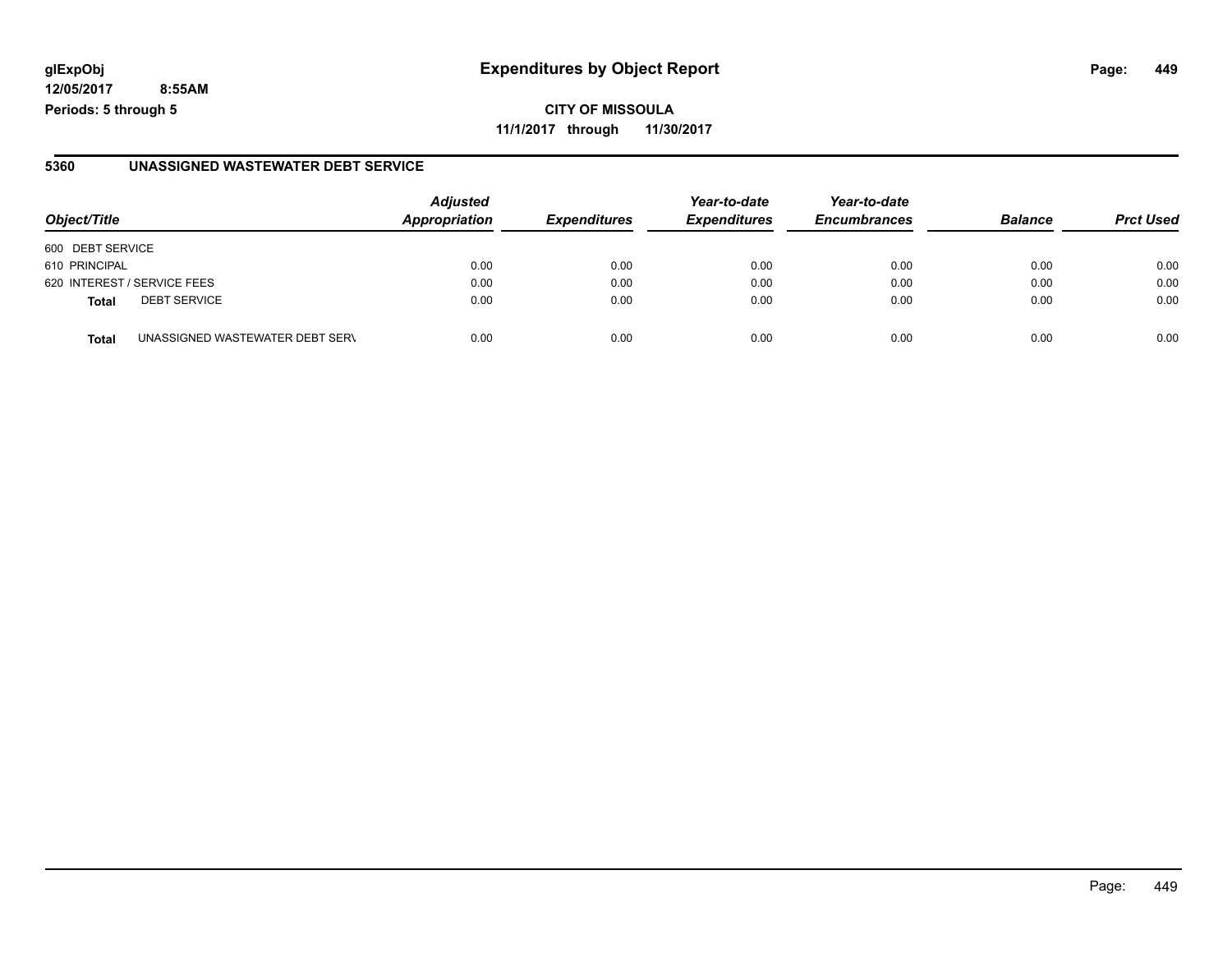### **glExpObj Expenditures by Object Report Page: 449**

**12/05/2017 8:55AM Periods: 5 through 5**

### **5360 UNASSIGNED WASTEWATER DEBT SERVICE**

| Object/Title                |                                 | <b>Adjusted</b><br><b>Appropriation</b> | <b>Expenditures</b> | Year-to-date<br><b>Expenditures</b> | Year-to-date<br><b>Encumbrances</b> | <b>Balance</b> | <b>Prct Used</b> |
|-----------------------------|---------------------------------|-----------------------------------------|---------------------|-------------------------------------|-------------------------------------|----------------|------------------|
| 600 DEBT SERVICE            |                                 |                                         |                     |                                     |                                     |                |                  |
| 610 PRINCIPAL               |                                 | 0.00                                    | 0.00                | 0.00                                | 0.00                                | 0.00           | 0.00             |
| 620 INTEREST / SERVICE FEES |                                 | 0.00                                    | 0.00                | 0.00                                | 0.00                                | 0.00           | 0.00             |
| <b>Total</b>                | <b>DEBT SERVICE</b>             | 0.00                                    | 0.00                | 0.00                                | 0.00                                | 0.00           | 0.00             |
| <b>Total</b>                | UNASSIGNED WASTEWATER DEBT SERV | 0.00                                    | 0.00                | 0.00                                | 0.00                                | 0.00           | 0.00             |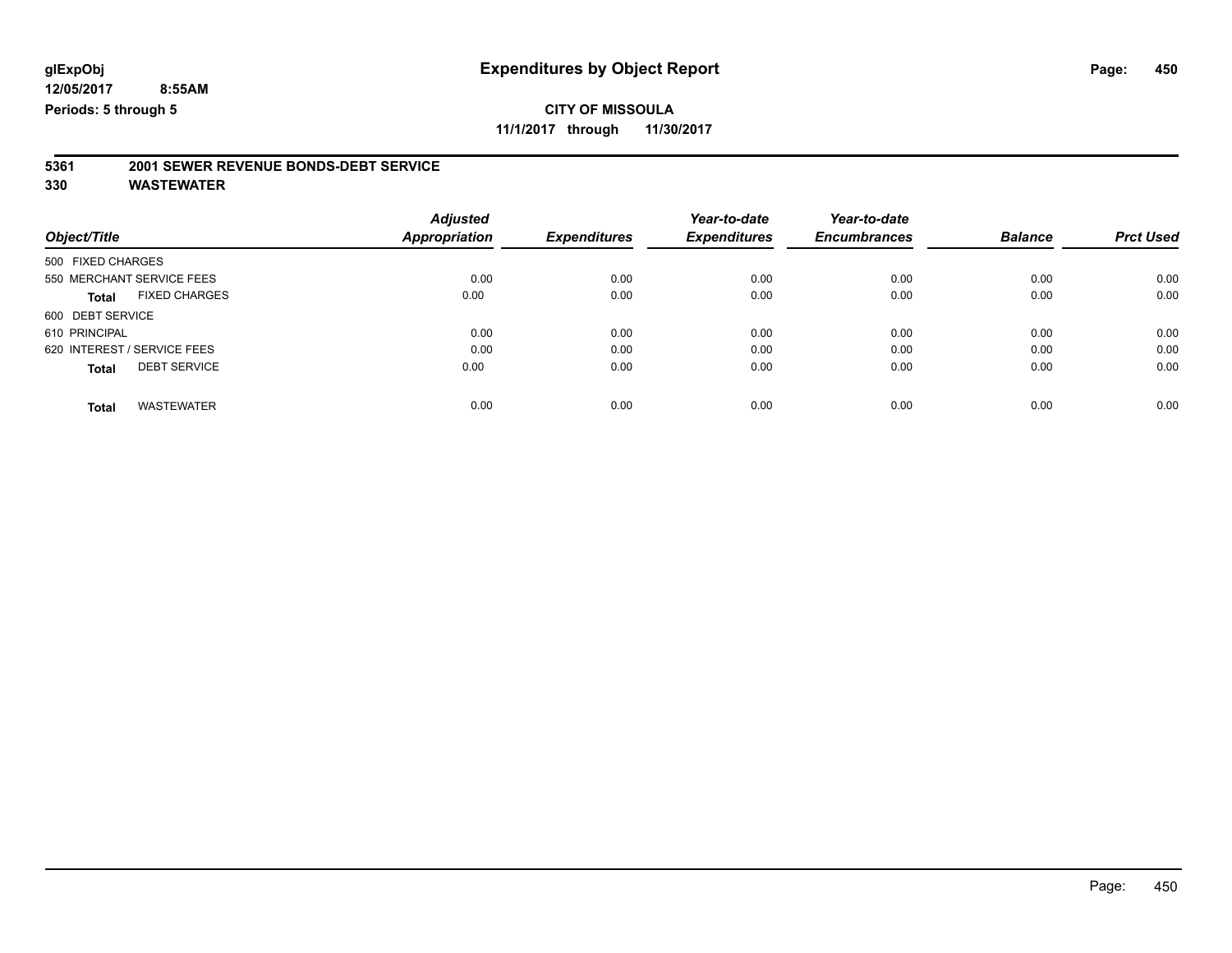**11/1/2017 through 11/30/2017**

# **5361 2001 SEWER REVENUE BONDS-DEBT SERVICE**

|                                      | <b>Adjusted</b> |                     | Year-to-date        | Year-to-date        |                |                  |
|--------------------------------------|-----------------|---------------------|---------------------|---------------------|----------------|------------------|
| Object/Title                         | Appropriation   | <b>Expenditures</b> | <b>Expenditures</b> | <b>Encumbrances</b> | <b>Balance</b> | <b>Prct Used</b> |
| 500 FIXED CHARGES                    |                 |                     |                     |                     |                |                  |
| 550 MERCHANT SERVICE FEES            | 0.00            | 0.00                | 0.00                | 0.00                | 0.00           | 0.00             |
| <b>FIXED CHARGES</b><br><b>Total</b> | 0.00            | 0.00                | 0.00                | 0.00                | 0.00           | 0.00             |
| 600 DEBT SERVICE                     |                 |                     |                     |                     |                |                  |
| 610 PRINCIPAL                        | 0.00            | 0.00                | 0.00                | 0.00                | 0.00           | 0.00             |
| 620 INTEREST / SERVICE FEES          | 0.00            | 0.00                | 0.00                | 0.00                | 0.00           | 0.00             |
| <b>DEBT SERVICE</b><br><b>Total</b>  | 0.00            | 0.00                | 0.00                | 0.00                | 0.00           | 0.00             |
|                                      |                 |                     |                     |                     |                |                  |
| <b>WASTEWATER</b><br>Total           | 0.00            | 0.00                | 0.00                | 0.00                | 0.00           | 0.00             |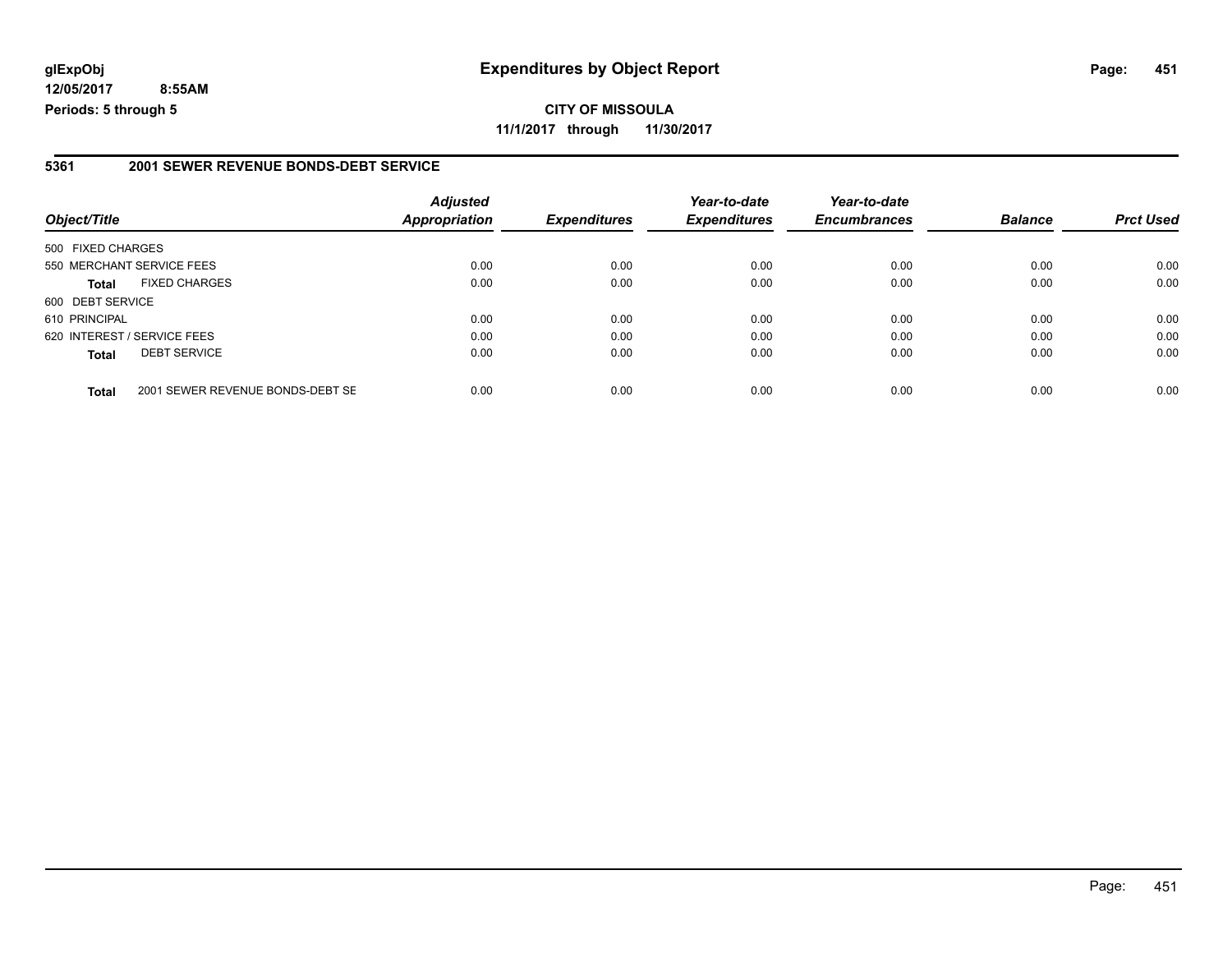### **5361 2001 SEWER REVENUE BONDS-DEBT SERVICE**

| Object/Title                |                                  | <b>Adjusted</b><br><b>Appropriation</b> | <b>Expenditures</b> | Year-to-date<br><b>Expenditures</b> | Year-to-date<br><b>Encumbrances</b> | <b>Balance</b> | <b>Prct Used</b> |
|-----------------------------|----------------------------------|-----------------------------------------|---------------------|-------------------------------------|-------------------------------------|----------------|------------------|
| 500 FIXED CHARGES           |                                  |                                         |                     |                                     |                                     |                |                  |
| 550 MERCHANT SERVICE FEES   |                                  | 0.00                                    | 0.00                | 0.00                                | 0.00                                | 0.00           | 0.00             |
| <b>Total</b>                | <b>FIXED CHARGES</b>             | 0.00                                    | 0.00                | 0.00                                | 0.00                                | 0.00           | 0.00             |
| 600 DEBT SERVICE            |                                  |                                         |                     |                                     |                                     |                |                  |
| 610 PRINCIPAL               |                                  | 0.00                                    | 0.00                | 0.00                                | 0.00                                | 0.00           | 0.00             |
| 620 INTEREST / SERVICE FEES |                                  | 0.00                                    | 0.00                | 0.00                                | 0.00                                | 0.00           | 0.00             |
| <b>Total</b>                | <b>DEBT SERVICE</b>              | 0.00                                    | 0.00                | 0.00                                | 0.00                                | 0.00           | 0.00             |
| <b>Total</b>                | 2001 SEWER REVENUE BONDS-DEBT SE | 0.00                                    | 0.00                | 0.00                                | 0.00                                | 0.00           | 0.00             |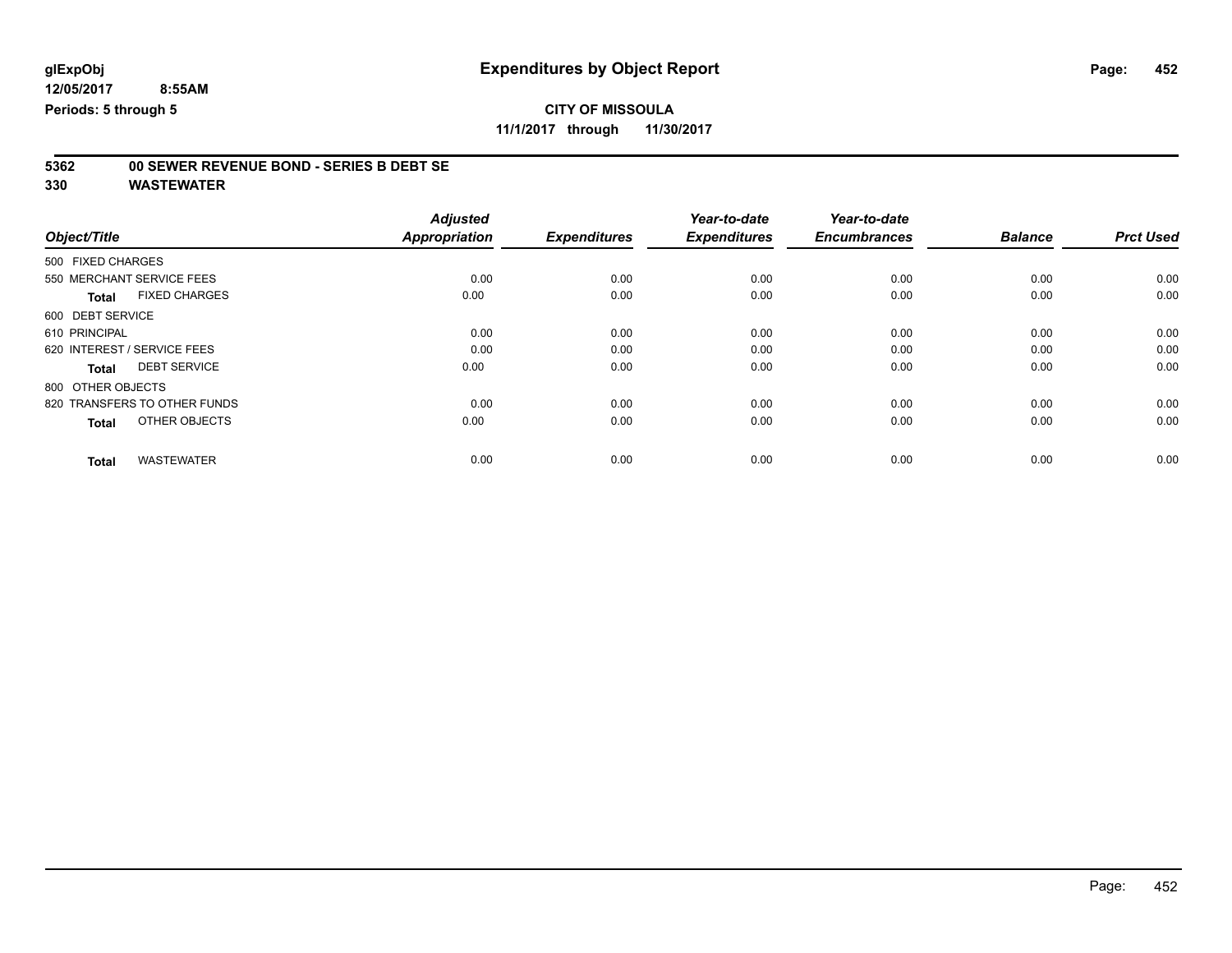**11/1/2017 through 11/30/2017**

# **5362 00 SEWER REVENUE BOND - SERIES B DEBT SE**

| Object/Title                         | <b>Adjusted</b><br>Appropriation | <b>Expenditures</b> | Year-to-date<br><b>Expenditures</b> | Year-to-date<br><b>Encumbrances</b> | <b>Balance</b> | <b>Prct Used</b> |
|--------------------------------------|----------------------------------|---------------------|-------------------------------------|-------------------------------------|----------------|------------------|
|                                      |                                  |                     |                                     |                                     |                |                  |
| 500 FIXED CHARGES                    |                                  |                     |                                     |                                     |                |                  |
| 550 MERCHANT SERVICE FEES            | 0.00                             | 0.00                | 0.00                                | 0.00                                | 0.00           | 0.00             |
| <b>FIXED CHARGES</b><br><b>Total</b> | 0.00                             | 0.00                | 0.00                                | 0.00                                | 0.00           | 0.00             |
| 600 DEBT SERVICE                     |                                  |                     |                                     |                                     |                |                  |
| 610 PRINCIPAL                        | 0.00                             | 0.00                | 0.00                                | 0.00                                | 0.00           | 0.00             |
| 620 INTEREST / SERVICE FEES          | 0.00                             | 0.00                | 0.00                                | 0.00                                | 0.00           | 0.00             |
| <b>DEBT SERVICE</b><br><b>Total</b>  | 0.00                             | 0.00                | 0.00                                | 0.00                                | 0.00           | 0.00             |
| 800 OTHER OBJECTS                    |                                  |                     |                                     |                                     |                |                  |
| 820 TRANSFERS TO OTHER FUNDS         | 0.00                             | 0.00                | 0.00                                | 0.00                                | 0.00           | 0.00             |
| OTHER OBJECTS<br><b>Total</b>        | 0.00                             | 0.00                | 0.00                                | 0.00                                | 0.00           | 0.00             |
|                                      |                                  |                     |                                     |                                     |                |                  |
| <b>WASTEWATER</b><br><b>Total</b>    | 0.00                             | 0.00                | 0.00                                | 0.00                                | 0.00           | 0.00             |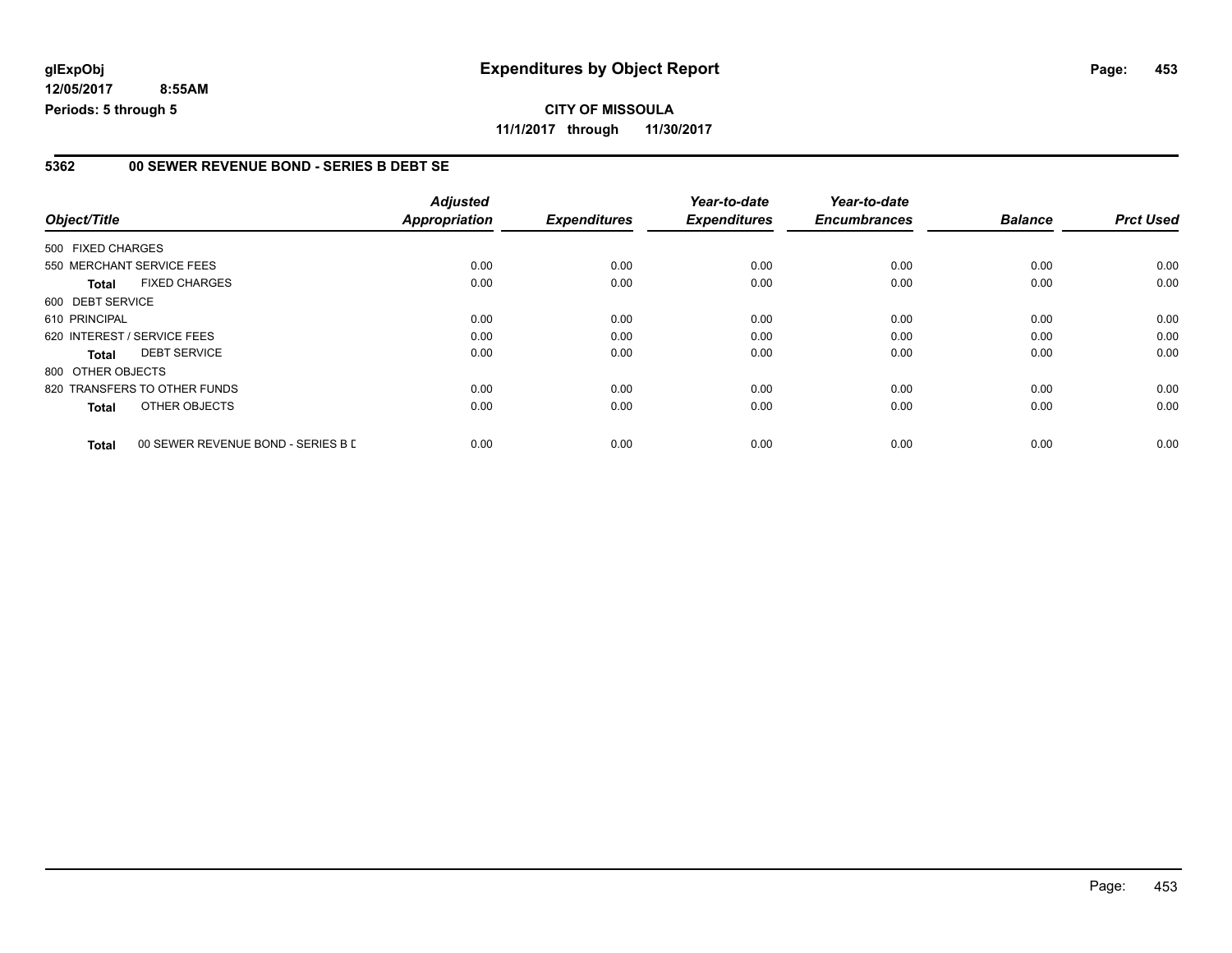### **5362 00 SEWER REVENUE BOND - SERIES B DEBT SE**

|                   |                                    | <b>Adjusted</b>      |                     | Year-to-date        | Year-to-date        |                |                  |
|-------------------|------------------------------------|----------------------|---------------------|---------------------|---------------------|----------------|------------------|
| Object/Title      |                                    | <b>Appropriation</b> | <b>Expenditures</b> | <b>Expenditures</b> | <b>Encumbrances</b> | <b>Balance</b> | <b>Prct Used</b> |
| 500 FIXED CHARGES |                                    |                      |                     |                     |                     |                |                  |
|                   | 550 MERCHANT SERVICE FEES          | 0.00                 | 0.00                | 0.00                | 0.00                | 0.00           | 0.00             |
| <b>Total</b>      | <b>FIXED CHARGES</b>               | 0.00                 | 0.00                | 0.00                | 0.00                | 0.00           | 0.00             |
| 600 DEBT SERVICE  |                                    |                      |                     |                     |                     |                |                  |
| 610 PRINCIPAL     |                                    | 0.00                 | 0.00                | 0.00                | 0.00                | 0.00           | 0.00             |
|                   | 620 INTEREST / SERVICE FEES        | 0.00                 | 0.00                | 0.00                | 0.00                | 0.00           | 0.00             |
| <b>Total</b>      | <b>DEBT SERVICE</b>                | 0.00                 | 0.00                | 0.00                | 0.00                | 0.00           | 0.00             |
| 800 OTHER OBJECTS |                                    |                      |                     |                     |                     |                |                  |
|                   | 820 TRANSFERS TO OTHER FUNDS       | 0.00                 | 0.00                | 0.00                | 0.00                | 0.00           | 0.00             |
| <b>Total</b>      | OTHER OBJECTS                      | 0.00                 | 0.00                | 0.00                | 0.00                | 0.00           | 0.00             |
| <b>Total</b>      | 00 SEWER REVENUE BOND - SERIES B L | 0.00                 | 0.00                | 0.00                | 0.00                | 0.00           | 0.00             |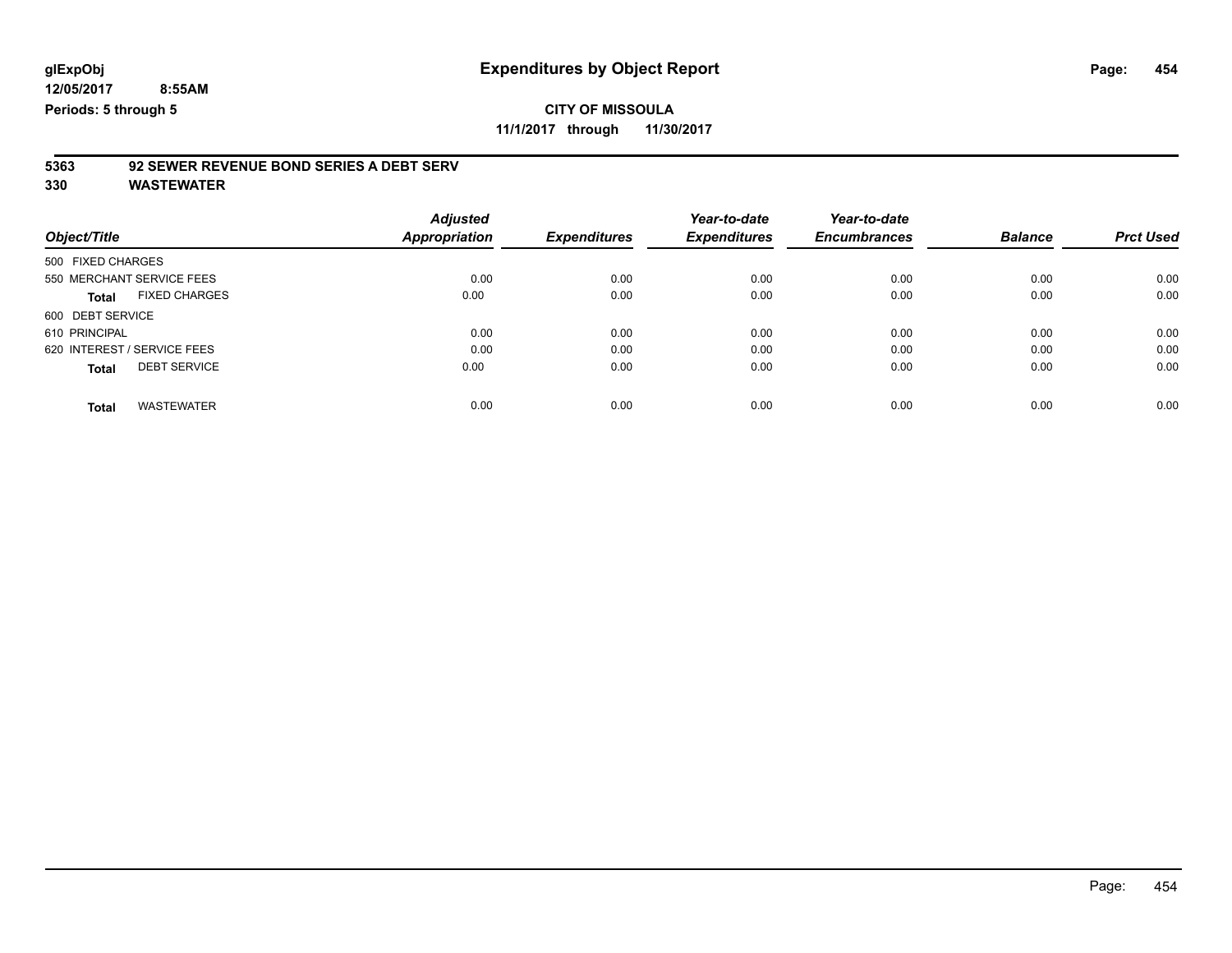**11/1/2017 through 11/30/2017**

# **5363 92 SEWER REVENUE BOND SERIES A DEBT SERV**

|                             |                      | <b>Adjusted</b> |                     | Year-to-date        | Year-to-date        |                |                  |
|-----------------------------|----------------------|-----------------|---------------------|---------------------|---------------------|----------------|------------------|
| Object/Title                |                      | Appropriation   | <b>Expenditures</b> | <b>Expenditures</b> | <b>Encumbrances</b> | <b>Balance</b> | <b>Prct Used</b> |
| 500 FIXED CHARGES           |                      |                 |                     |                     |                     |                |                  |
| 550 MERCHANT SERVICE FEES   |                      | 0.00            | 0.00                | 0.00                | 0.00                | 0.00           | 0.00             |
| <b>Total</b>                | <b>FIXED CHARGES</b> | 0.00            | 0.00                | 0.00                | 0.00                | 0.00           | 0.00             |
| 600 DEBT SERVICE            |                      |                 |                     |                     |                     |                |                  |
| 610 PRINCIPAL               |                      | 0.00            | 0.00                | 0.00                | 0.00                | 0.00           | 0.00             |
| 620 INTEREST / SERVICE FEES |                      | 0.00            | 0.00                | 0.00                | 0.00                | 0.00           | 0.00             |
| <b>Total</b>                | <b>DEBT SERVICE</b>  | 0.00            | 0.00                | 0.00                | 0.00                | 0.00           | 0.00             |
| <b>Total</b>                | <b>WASTEWATER</b>    | 0.00            | 0.00                | 0.00                | 0.00                | 0.00           | 0.00             |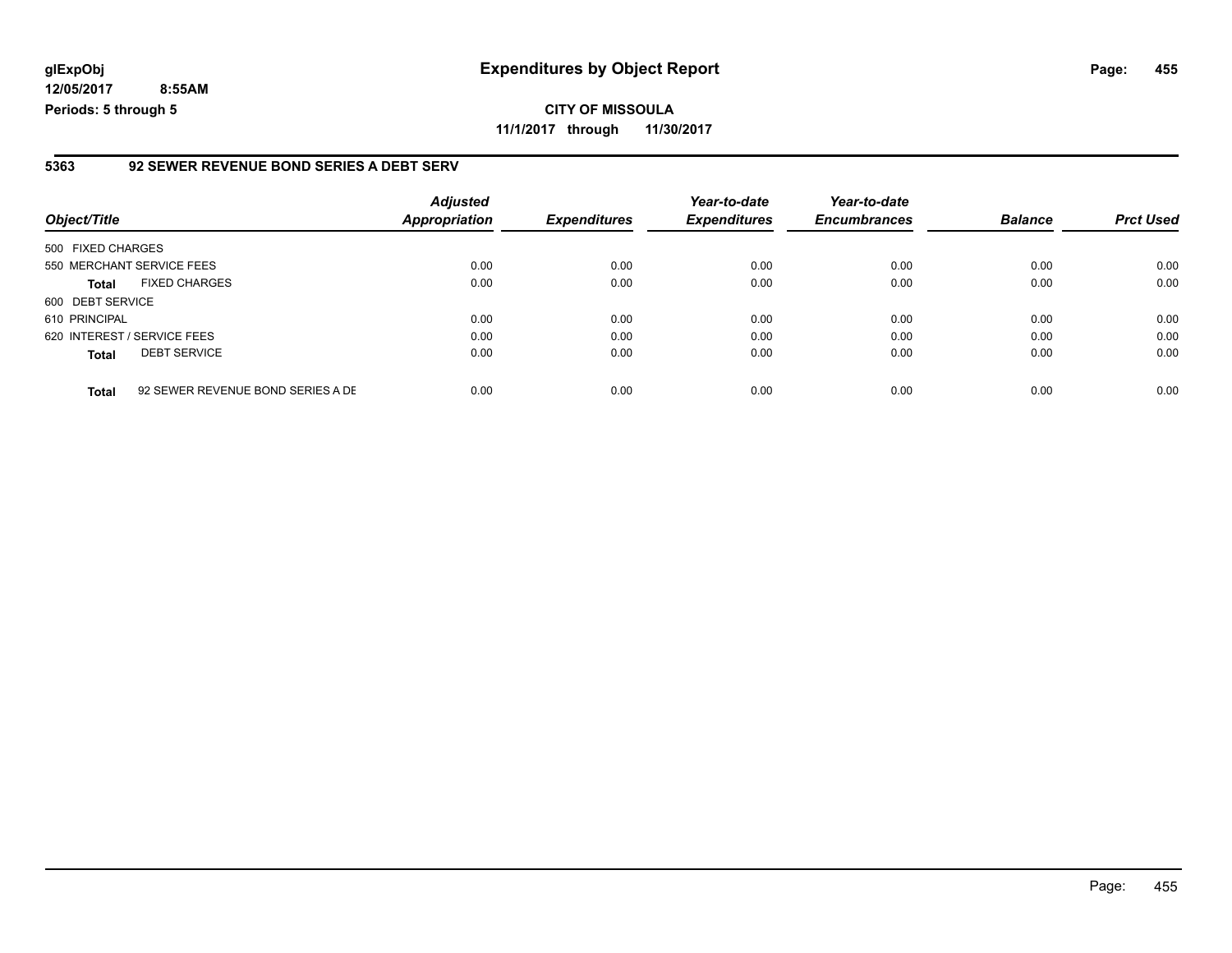### **glExpObj Expenditures by Object Report Page: 455**

**12/05/2017 8:55AM Periods: 5 through 5**

#### **5363 92 SEWER REVENUE BOND SERIES A DEBT SERV**

| Object/Title                                      | <b>Adjusted</b><br>Appropriation | <b>Expenditures</b> | Year-to-date<br><b>Expenditures</b> | Year-to-date<br><b>Encumbrances</b> | <b>Balance</b> | <b>Prct Used</b> |
|---------------------------------------------------|----------------------------------|---------------------|-------------------------------------|-------------------------------------|----------------|------------------|
| 500 FIXED CHARGES                                 |                                  |                     |                                     |                                     |                |                  |
| 550 MERCHANT SERVICE FEES                         | 0.00                             | 0.00                | 0.00                                | 0.00                                | 0.00           | 0.00             |
| <b>FIXED CHARGES</b><br><b>Total</b>              | 0.00                             | 0.00                | 0.00                                | 0.00                                | 0.00           | 0.00             |
| 600 DEBT SERVICE                                  |                                  |                     |                                     |                                     |                |                  |
| 610 PRINCIPAL                                     | 0.00                             | 0.00                | 0.00                                | 0.00                                | 0.00           | 0.00             |
| 620 INTEREST / SERVICE FEES                       | 0.00                             | 0.00                | 0.00                                | 0.00                                | 0.00           | 0.00             |
| <b>DEBT SERVICE</b><br><b>Total</b>               | 0.00                             | 0.00                | 0.00                                | 0.00                                | 0.00           | 0.00             |
| 92 SEWER REVENUE BOND SERIES A DE<br><b>Total</b> | 0.00                             | 0.00                | 0.00                                | 0.00                                | 0.00           | 0.00             |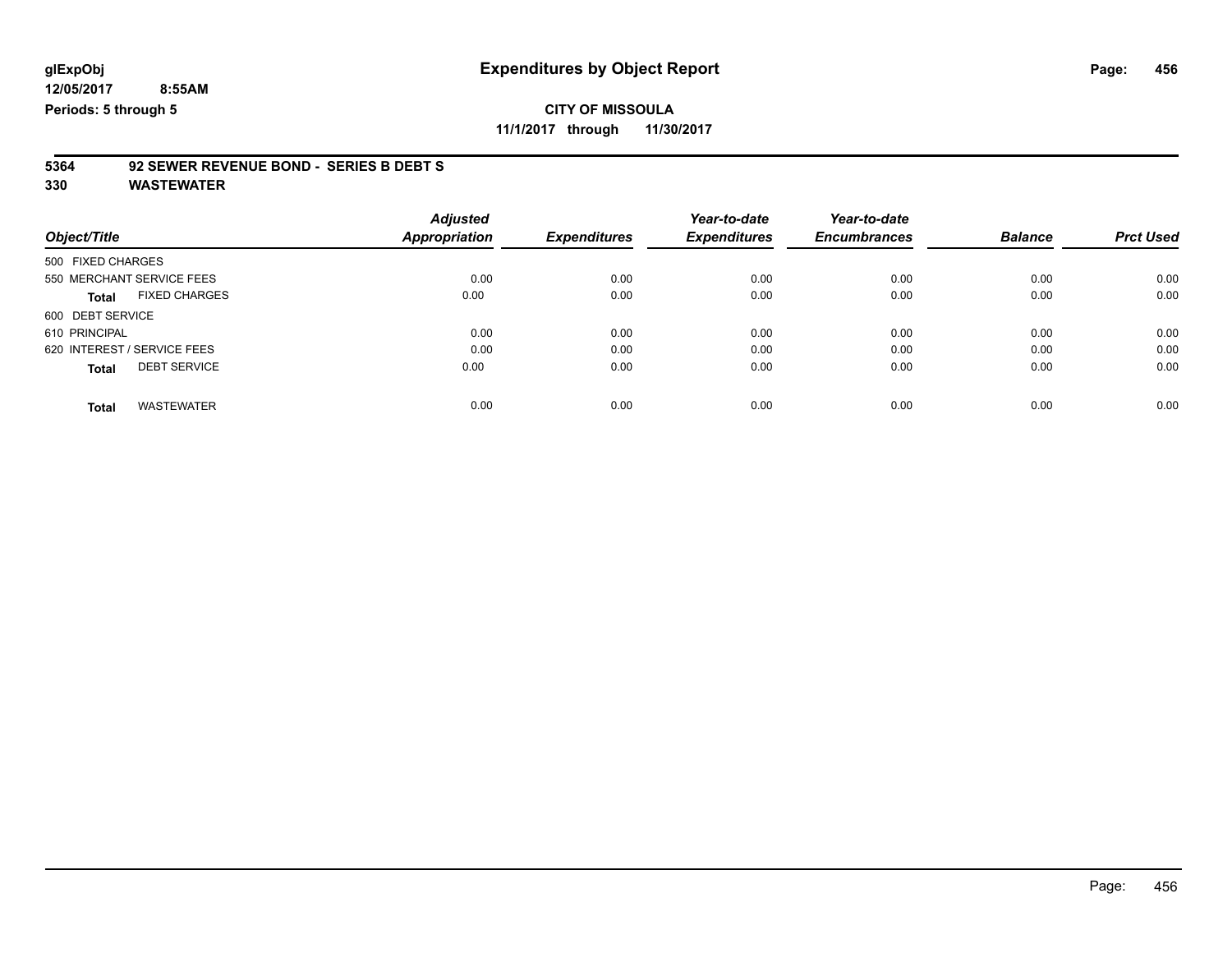## **CITY OF MISSOULA**

**11/1/2017 through 11/30/2017**

# **5364 92 SEWER REVENUE BOND - SERIES B DEBT S**

|                             |                      | <b>Adjusted</b> |                     | Year-to-date        | Year-to-date        |                |                  |
|-----------------------------|----------------------|-----------------|---------------------|---------------------|---------------------|----------------|------------------|
| Object/Title                |                      | Appropriation   | <b>Expenditures</b> | <b>Expenditures</b> | <b>Encumbrances</b> | <b>Balance</b> | <b>Prct Used</b> |
| 500 FIXED CHARGES           |                      |                 |                     |                     |                     |                |                  |
| 550 MERCHANT SERVICE FEES   |                      | 0.00            | 0.00                | 0.00                | 0.00                | 0.00           | 0.00             |
| <b>Total</b>                | <b>FIXED CHARGES</b> | 0.00            | 0.00                | 0.00                | 0.00                | 0.00           | 0.00             |
| 600 DEBT SERVICE            |                      |                 |                     |                     |                     |                |                  |
| 610 PRINCIPAL               |                      | 0.00            | 0.00                | 0.00                | 0.00                | 0.00           | 0.00             |
| 620 INTEREST / SERVICE FEES |                      | 0.00            | 0.00                | 0.00                | 0.00                | 0.00           | 0.00             |
| <b>Total</b>                | <b>DEBT SERVICE</b>  | 0.00            | 0.00                | 0.00                | 0.00                | 0.00           | 0.00             |
|                             |                      |                 |                     |                     |                     |                |                  |
| <b>Total</b>                | <b>WASTEWATER</b>    | 0.00            | 0.00                | 0.00                | 0.00                | 0.00           | 0.00             |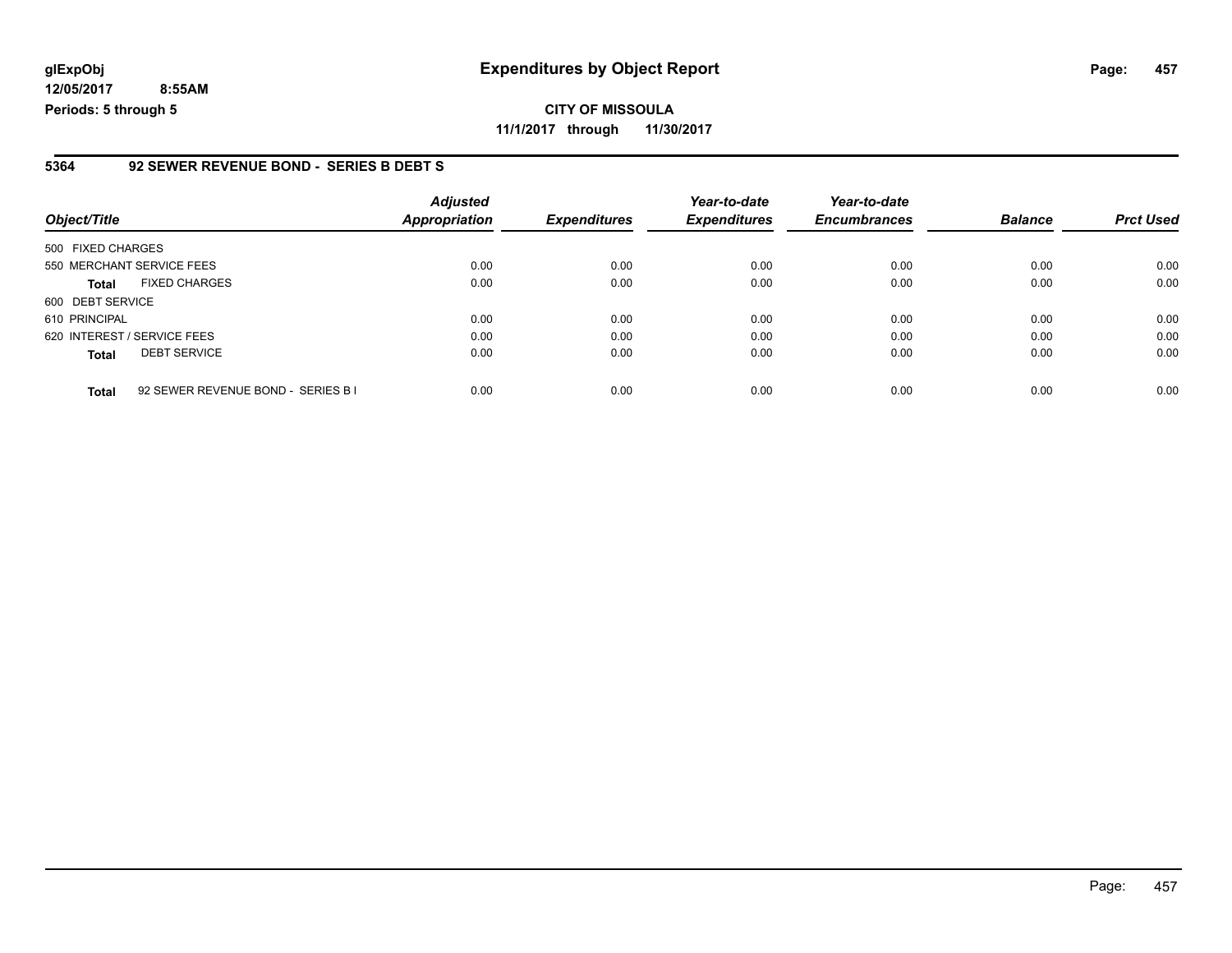**CITY OF MISSOULA 11/1/2017 through 11/30/2017**

#### **5364 92 SEWER REVENUE BOND - SERIES B DEBT S**

| Object/Title                                       | <b>Adjusted</b><br>Appropriation | <b>Expenditures</b> | Year-to-date<br><b>Expenditures</b> | Year-to-date<br><b>Encumbrances</b> | <b>Balance</b> | <b>Prct Used</b> |
|----------------------------------------------------|----------------------------------|---------------------|-------------------------------------|-------------------------------------|----------------|------------------|
| 500 FIXED CHARGES                                  |                                  |                     |                                     |                                     |                |                  |
| 550 MERCHANT SERVICE FEES                          | 0.00                             | 0.00                | 0.00                                | 0.00                                | 0.00           | 0.00             |
| <b>FIXED CHARGES</b><br><b>Total</b>               | 0.00                             | 0.00                | 0.00                                | 0.00                                | 0.00           | 0.00             |
| 600 DEBT SERVICE                                   |                                  |                     |                                     |                                     |                |                  |
| 610 PRINCIPAL                                      | 0.00                             | 0.00                | 0.00                                | 0.00                                | 0.00           | 0.00             |
| 620 INTEREST / SERVICE FEES                        | 0.00                             | 0.00                | 0.00                                | 0.00                                | 0.00           | 0.00             |
| <b>DEBT SERVICE</b><br><b>Total</b>                | 0.00                             | 0.00                | 0.00                                | 0.00                                | 0.00           | 0.00             |
| 92 SEWER REVENUE BOND - SERIES B I<br><b>Total</b> | 0.00                             | 0.00                | 0.00                                | 0.00                                | 0.00           | 0.00             |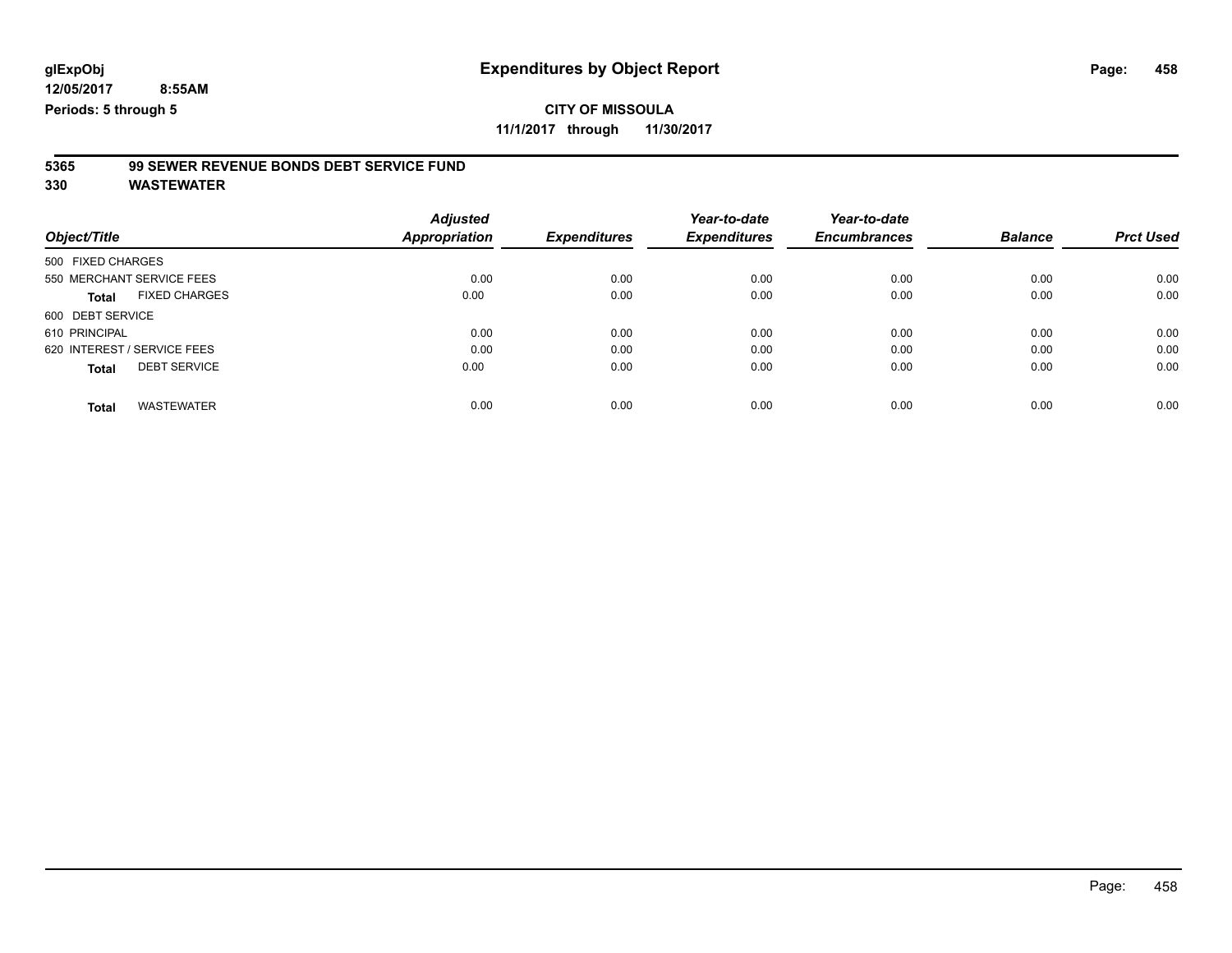## **CITY OF MISSOULA**

**11/1/2017 through 11/30/2017**

# **5365 99 SEWER REVENUE BONDS DEBT SERVICE FUND**

|                                      | <b>Adjusted</b> |                     | Year-to-date        | Year-to-date        |                |                  |
|--------------------------------------|-----------------|---------------------|---------------------|---------------------|----------------|------------------|
| Object/Title                         | Appropriation   | <b>Expenditures</b> | <b>Expenditures</b> | <b>Encumbrances</b> | <b>Balance</b> | <b>Prct Used</b> |
| 500 FIXED CHARGES                    |                 |                     |                     |                     |                |                  |
| 550 MERCHANT SERVICE FEES            | 0.00            | 0.00                | 0.00                | 0.00                | 0.00           | 0.00             |
| <b>FIXED CHARGES</b><br><b>Total</b> | 0.00            | 0.00                | 0.00                | 0.00                | 0.00           | 0.00             |
| 600 DEBT SERVICE                     |                 |                     |                     |                     |                |                  |
| 610 PRINCIPAL                        | 0.00            | 0.00                | 0.00                | 0.00                | 0.00           | 0.00             |
| 620 INTEREST / SERVICE FEES          | 0.00            | 0.00                | 0.00                | 0.00                | 0.00           | 0.00             |
| <b>DEBT SERVICE</b><br>Total         | 0.00            | 0.00                | 0.00                | 0.00                | 0.00           | 0.00             |
|                                      |                 |                     |                     |                     |                |                  |
| <b>WASTEWATER</b><br>Total           | 0.00            | 0.00                | 0.00                | 0.00                | 0.00           | 0.00             |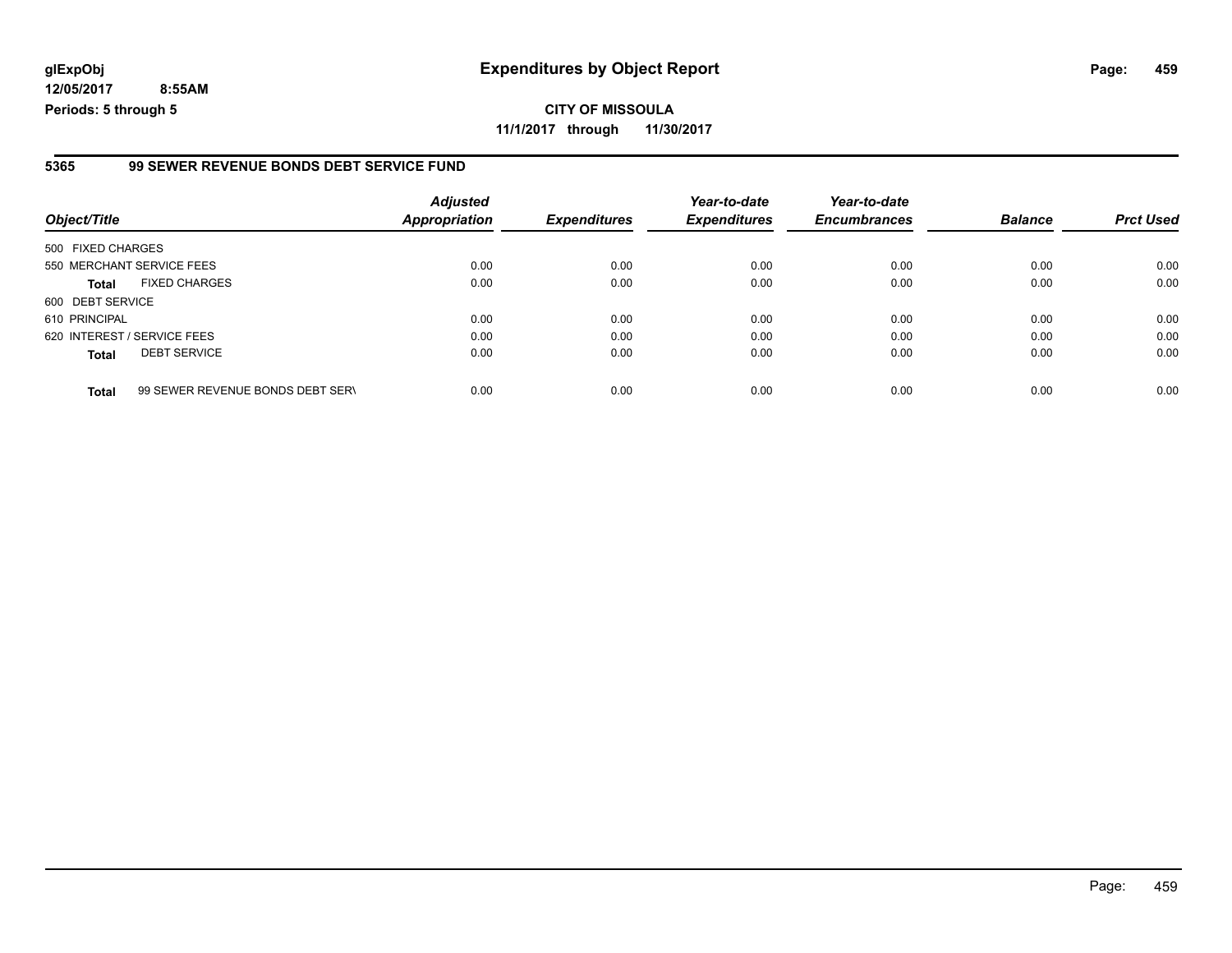### **glExpObj Expenditures by Object Report Page: 459**

**12/05/2017 8:55AM Periods: 5 through 5**

#### **5365 99 SEWER REVENUE BONDS DEBT SERVICE FUND**

| Object/Title                |                                  | <b>Adjusted</b><br><b>Appropriation</b> | <b>Expenditures</b> | Year-to-date<br><b>Expenditures</b> | Year-to-date<br><b>Encumbrances</b> | <b>Balance</b> | <b>Prct Used</b> |
|-----------------------------|----------------------------------|-----------------------------------------|---------------------|-------------------------------------|-------------------------------------|----------------|------------------|
| 500 FIXED CHARGES           |                                  |                                         |                     |                                     |                                     |                |                  |
| 550 MERCHANT SERVICE FEES   |                                  | 0.00                                    | 0.00                | 0.00                                | 0.00                                | 0.00           | 0.00             |
| Total                       | <b>FIXED CHARGES</b>             | 0.00                                    | 0.00                | 0.00                                | 0.00                                | 0.00           | 0.00             |
| 600 DEBT SERVICE            |                                  |                                         |                     |                                     |                                     |                |                  |
| 610 PRINCIPAL               |                                  | 0.00                                    | 0.00                | 0.00                                | 0.00                                | 0.00           | 0.00             |
| 620 INTEREST / SERVICE FEES |                                  | 0.00                                    | 0.00                | 0.00                                | 0.00                                | 0.00           | 0.00             |
| <b>Total</b>                | <b>DEBT SERVICE</b>              | 0.00                                    | 0.00                | 0.00                                | 0.00                                | 0.00           | 0.00             |
| <b>Total</b>                | 99 SEWER REVENUE BONDS DEBT SERN | 0.00                                    | 0.00                | 0.00                                | 0.00                                | 0.00           | 0.00             |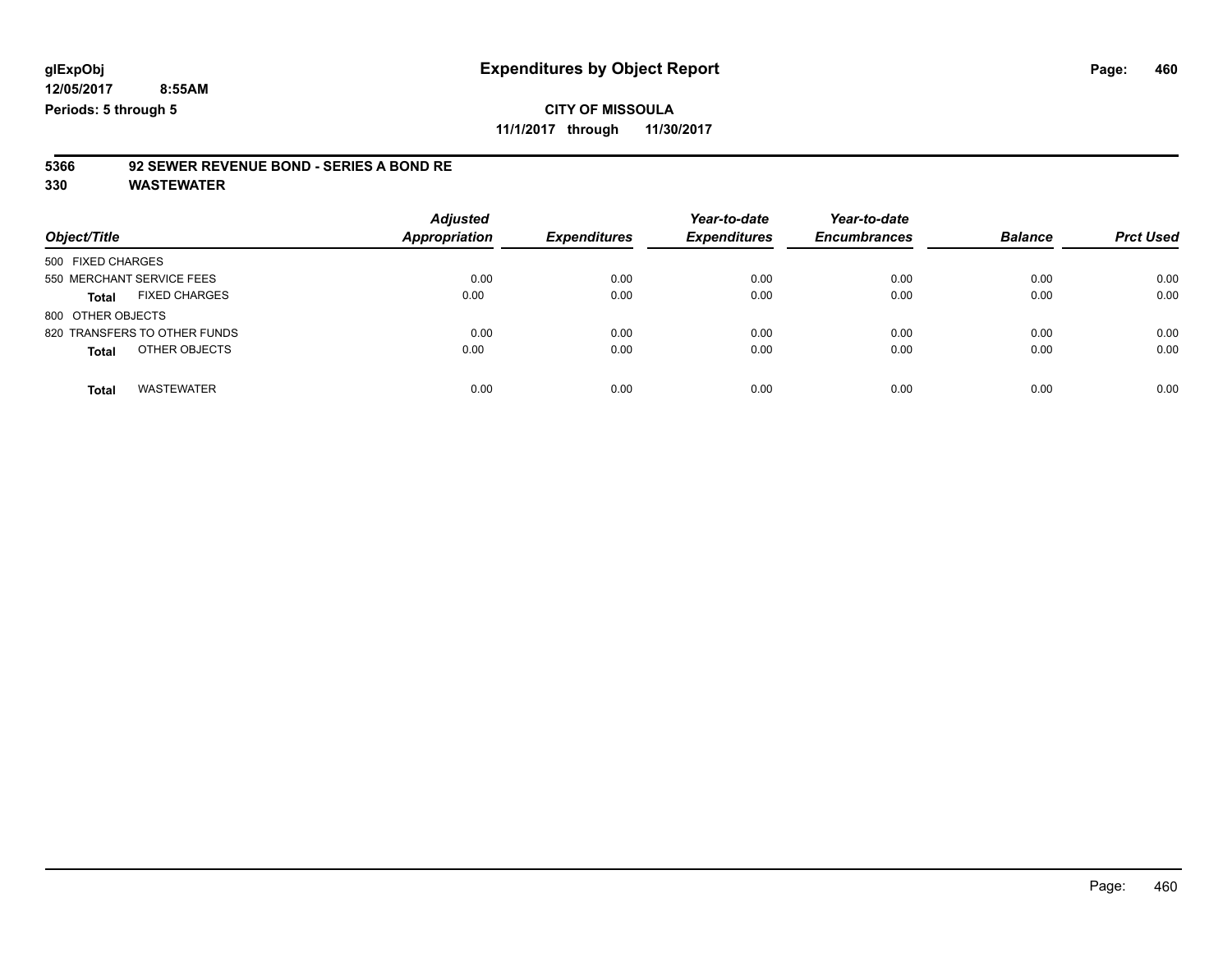## **CITY OF MISSOULA**

**11/1/2017 through 11/30/2017**

# **5366 92 SEWER REVENUE BOND - SERIES A BOND RE**

| Object/Title                      | <b>Adjusted</b><br><b>Appropriation</b> | <b>Expenditures</b> | Year-to-date<br><b>Expenditures</b> | Year-to-date<br><b>Encumbrances</b> | <b>Balance</b> | <b>Prct Used</b> |
|-----------------------------------|-----------------------------------------|---------------------|-------------------------------------|-------------------------------------|----------------|------------------|
| 500 FIXED CHARGES                 |                                         |                     |                                     |                                     |                |                  |
| 550 MERCHANT SERVICE FEES         | 0.00                                    | 0.00                | 0.00                                | 0.00                                | 0.00           | 0.00             |
| <b>FIXED CHARGES</b><br>Total     | 0.00                                    | 0.00                | 0.00                                | 0.00                                | 0.00           | 0.00             |
| 800 OTHER OBJECTS                 |                                         |                     |                                     |                                     |                |                  |
| 820 TRANSFERS TO OTHER FUNDS      | 0.00                                    | 0.00                | 0.00                                | 0.00                                | 0.00           | 0.00             |
| OTHER OBJECTS<br><b>Total</b>     | 0.00                                    | 0.00                | 0.00                                | 0.00                                | 0.00           | 0.00             |
| <b>WASTEWATER</b><br><b>Total</b> | 0.00                                    | 0.00                | 0.00                                | 0.00                                | 0.00           | 0.00             |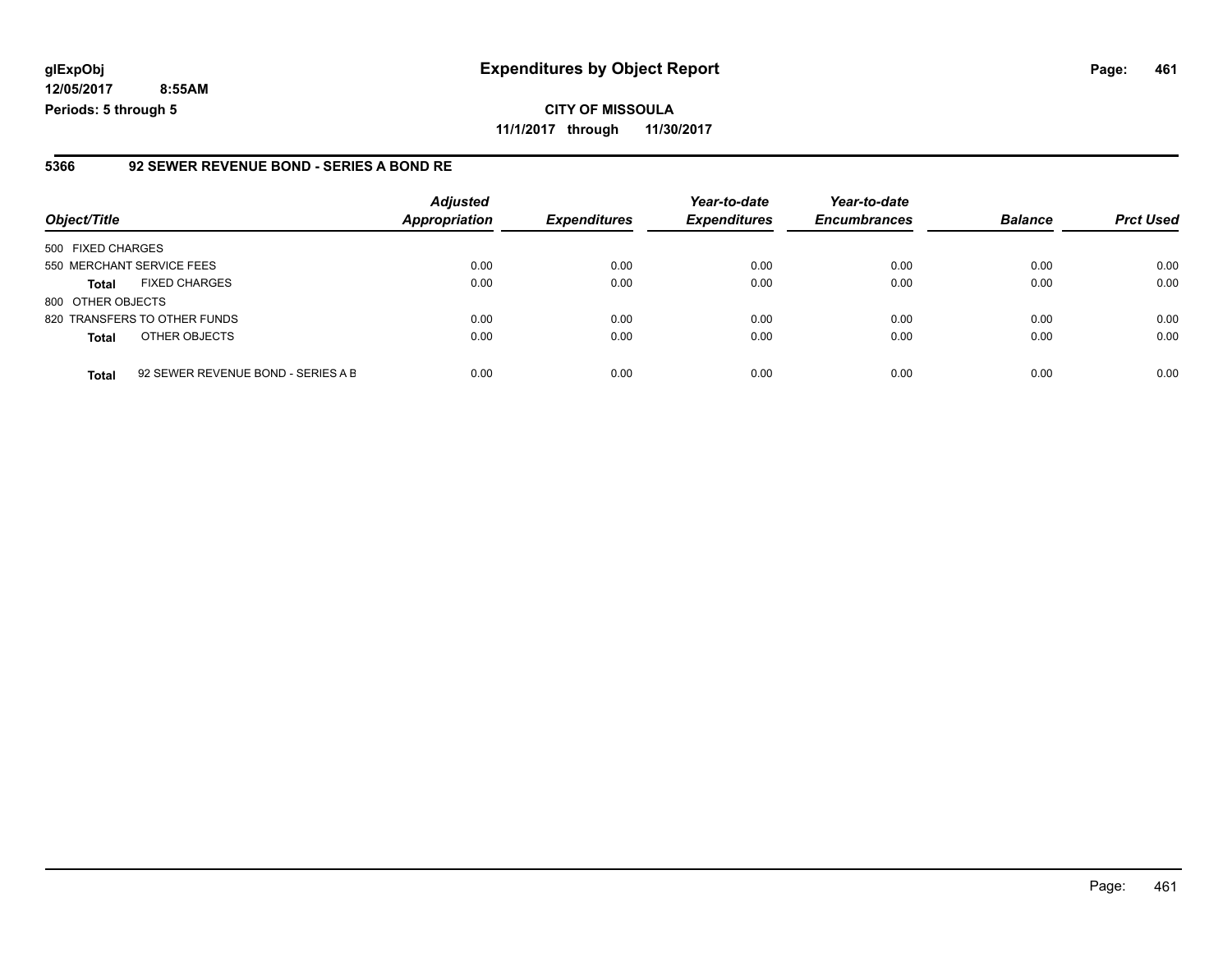### **glExpObj Expenditures by Object Report Page: 461**

**12/05/2017 8:55AM Periods: 5 through 5**

### **5366 92 SEWER REVENUE BOND - SERIES A BOND RE**

| Object/Title                 |                                    | <b>Adjusted</b><br><b>Appropriation</b> | <b>Expenditures</b> | Year-to-date<br><b>Expenditures</b> | Year-to-date<br><b>Encumbrances</b> | <b>Balance</b> | <b>Prct Used</b> |
|------------------------------|------------------------------------|-----------------------------------------|---------------------|-------------------------------------|-------------------------------------|----------------|------------------|
| 500 FIXED CHARGES            |                                    |                                         |                     |                                     |                                     |                |                  |
| 550 MERCHANT SERVICE FEES    |                                    | 0.00                                    | 0.00                | 0.00                                | 0.00                                | 0.00           | 0.00             |
| <b>Total</b>                 | <b>FIXED CHARGES</b>               | 0.00                                    | 0.00                | 0.00                                | 0.00                                | 0.00           | 0.00             |
| 800 OTHER OBJECTS            |                                    |                                         |                     |                                     |                                     |                |                  |
| 820 TRANSFERS TO OTHER FUNDS |                                    | 0.00                                    | 0.00                | 0.00                                | 0.00                                | 0.00           | 0.00             |
| <b>Total</b>                 | OTHER OBJECTS                      | 0.00                                    | 0.00                | 0.00                                | 0.00                                | 0.00           | 0.00             |
| <b>Total</b>                 | 92 SEWER REVENUE BOND - SERIES A B | 0.00                                    | 0.00                | 0.00                                | 0.00                                | 0.00           | 0.00             |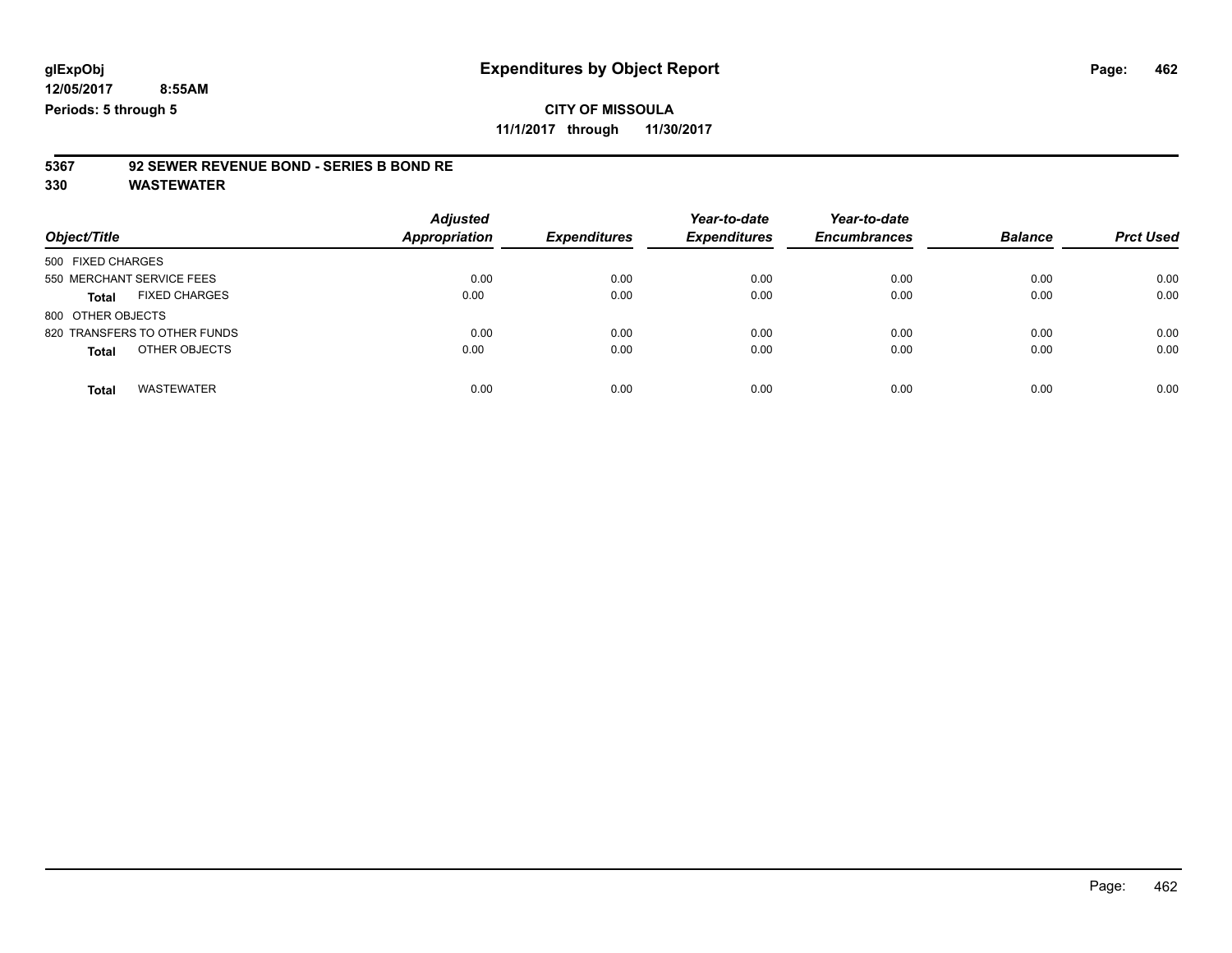**11/1/2017 through 11/30/2017**

# **5367 92 SEWER REVENUE BOND - SERIES B BOND RE**

| Object/Title                      | <b>Adjusted</b><br><b>Appropriation</b> | <b>Expenditures</b> | Year-to-date<br><b>Expenditures</b> | Year-to-date<br><b>Encumbrances</b> | <b>Balance</b> | <b>Prct Used</b> |
|-----------------------------------|-----------------------------------------|---------------------|-------------------------------------|-------------------------------------|----------------|------------------|
| 500 FIXED CHARGES                 |                                         |                     |                                     |                                     |                |                  |
| 550 MERCHANT SERVICE FEES         | 0.00                                    | 0.00                | 0.00                                | 0.00                                | 0.00           | 0.00             |
| <b>FIXED CHARGES</b><br>Total     | 0.00                                    | 0.00                | 0.00                                | 0.00                                | 0.00           | 0.00             |
| 800 OTHER OBJECTS                 |                                         |                     |                                     |                                     |                |                  |
| 820 TRANSFERS TO OTHER FUNDS      | 0.00                                    | 0.00                | 0.00                                | 0.00                                | 0.00           | 0.00             |
| OTHER OBJECTS<br><b>Total</b>     | 0.00                                    | 0.00                | 0.00                                | 0.00                                | 0.00           | 0.00             |
| <b>WASTEWATER</b><br><b>Total</b> | 0.00                                    | 0.00                | 0.00                                | 0.00                                | 0.00           | 0.00             |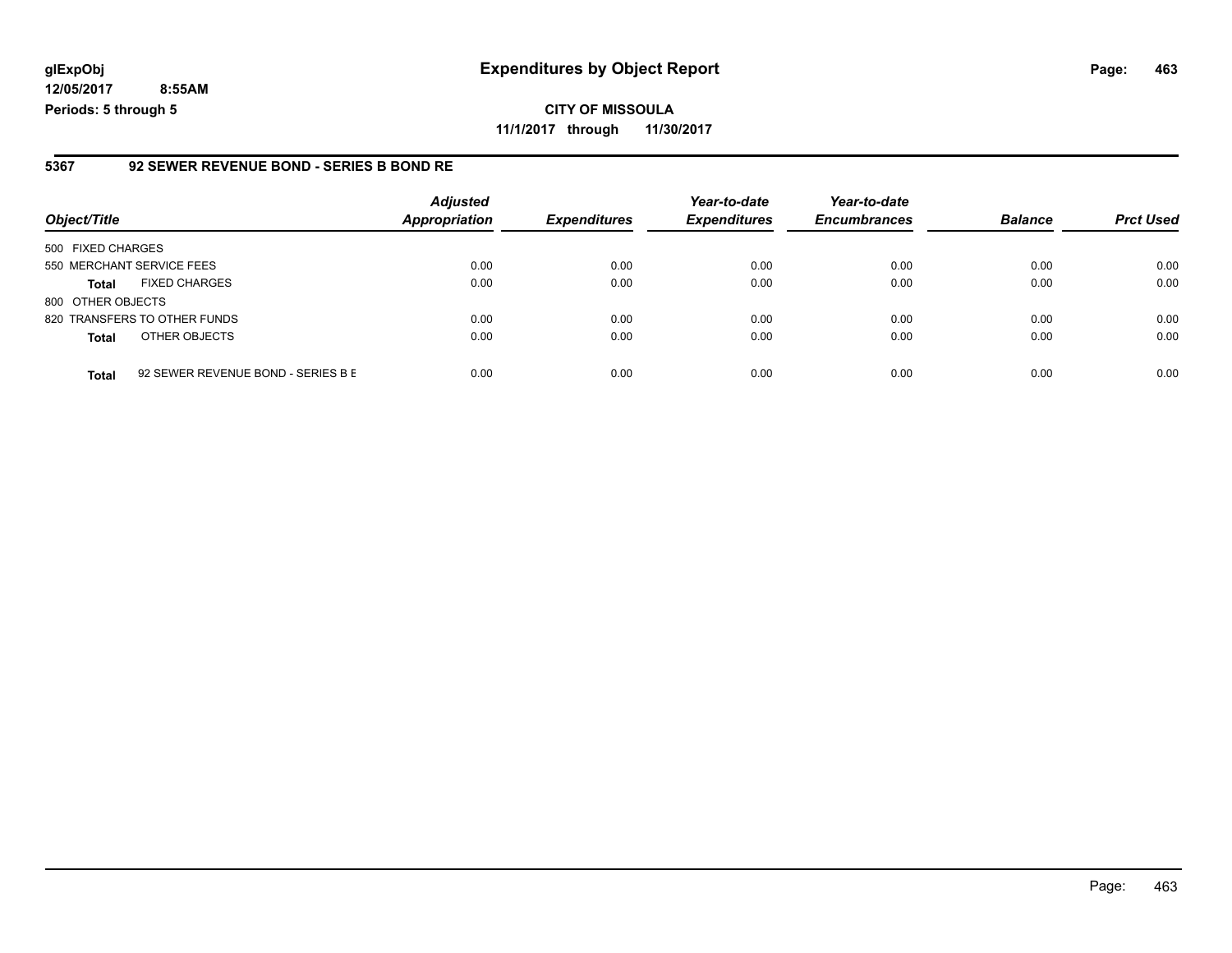**CITY OF MISSOULA 11/1/2017 through 11/30/2017**

#### **5367 92 SEWER REVENUE BOND - SERIES B BOND RE**

| Object/Title              |                                    | <b>Adjusted</b><br><b>Appropriation</b> | <b>Expenditures</b> | Year-to-date<br><b>Expenditures</b> | Year-to-date<br><b>Encumbrances</b> | <b>Balance</b> | <b>Prct Used</b> |
|---------------------------|------------------------------------|-----------------------------------------|---------------------|-------------------------------------|-------------------------------------|----------------|------------------|
| 500 FIXED CHARGES         |                                    |                                         |                     |                                     |                                     |                |                  |
| 550 MERCHANT SERVICE FEES |                                    | 0.00                                    | 0.00                | 0.00                                | 0.00                                | 0.00           | 0.00             |
| <b>Total</b>              | <b>FIXED CHARGES</b>               | 0.00                                    | 0.00                | 0.00                                | 0.00                                | 0.00           | 0.00             |
| 800 OTHER OBJECTS         |                                    |                                         |                     |                                     |                                     |                |                  |
|                           | 820 TRANSFERS TO OTHER FUNDS       | 0.00                                    | 0.00                | 0.00                                | 0.00                                | 0.00           | 0.00             |
| <b>Total</b>              | OTHER OBJECTS                      | 0.00                                    | 0.00                | 0.00                                | 0.00                                | 0.00           | 0.00             |
| <b>Total</b>              | 92 SEWER REVENUE BOND - SERIES B E | 0.00                                    | 0.00                | 0.00                                | 0.00                                | 0.00           | 0.00             |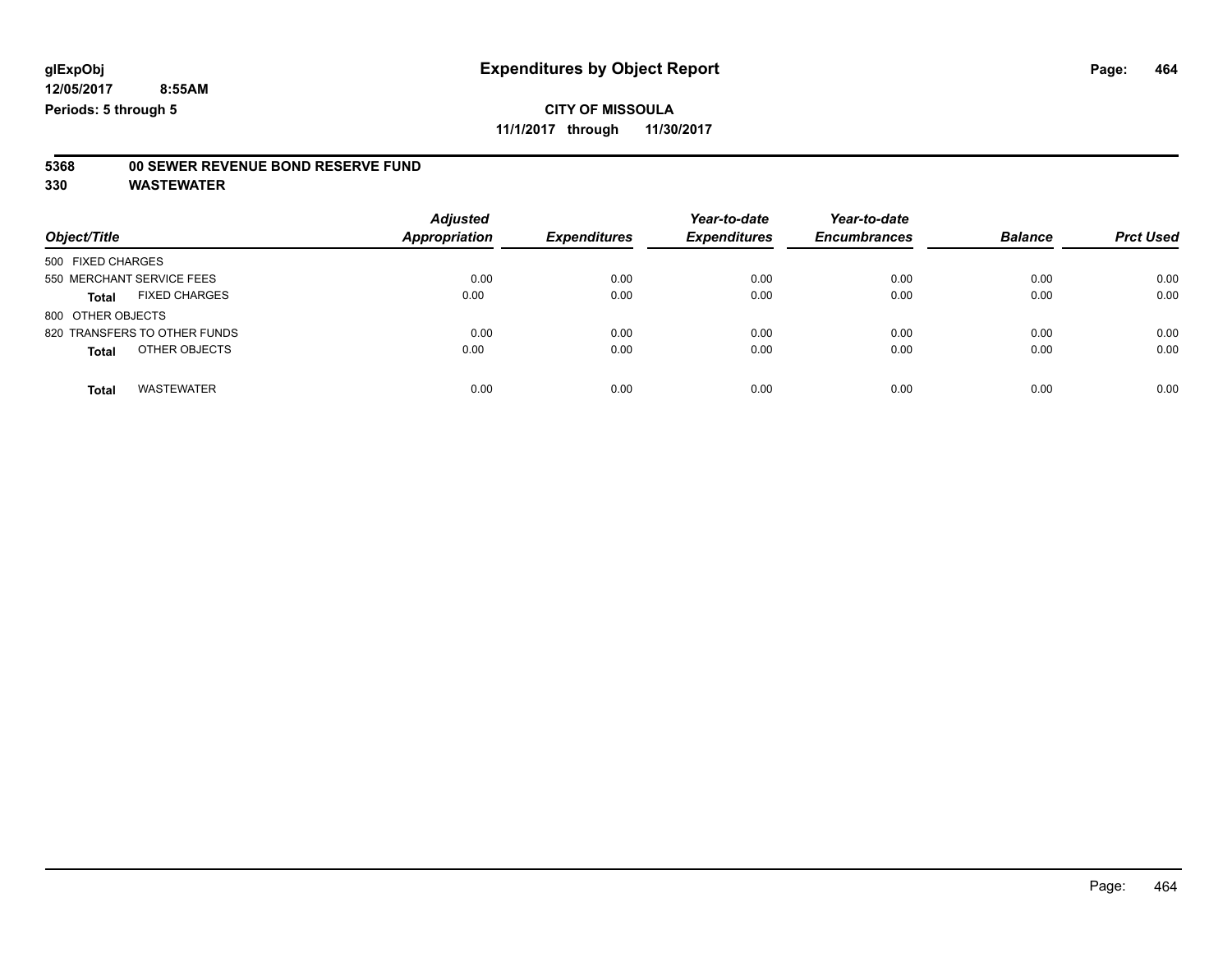**11/1/2017 through 11/30/2017**

# **5368 00 SEWER REVENUE BOND RESERVE FUND**

| Object/Title                      | <b>Adjusted</b><br><b>Appropriation</b> | <b>Expenditures</b> | Year-to-date<br><b>Expenditures</b> | Year-to-date<br><b>Encumbrances</b> | <b>Balance</b> | <b>Prct Used</b> |
|-----------------------------------|-----------------------------------------|---------------------|-------------------------------------|-------------------------------------|----------------|------------------|
| 500 FIXED CHARGES                 |                                         |                     |                                     |                                     |                |                  |
| 550 MERCHANT SERVICE FEES         | 0.00                                    | 0.00                | 0.00                                | 0.00                                | 0.00           | 0.00             |
| <b>FIXED CHARGES</b><br>Total     | 0.00                                    | 0.00                | 0.00                                | 0.00                                | 0.00           | 0.00             |
| 800 OTHER OBJECTS                 |                                         |                     |                                     |                                     |                |                  |
| 820 TRANSFERS TO OTHER FUNDS      | 0.00                                    | 0.00                | 0.00                                | 0.00                                | 0.00           | 0.00             |
| OTHER OBJECTS<br><b>Total</b>     | 0.00                                    | 0.00                | 0.00                                | 0.00                                | 0.00           | 0.00             |
| <b>WASTEWATER</b><br><b>Total</b> | 0.00                                    | 0.00                | 0.00                                | 0.00                                | 0.00           | 0.00             |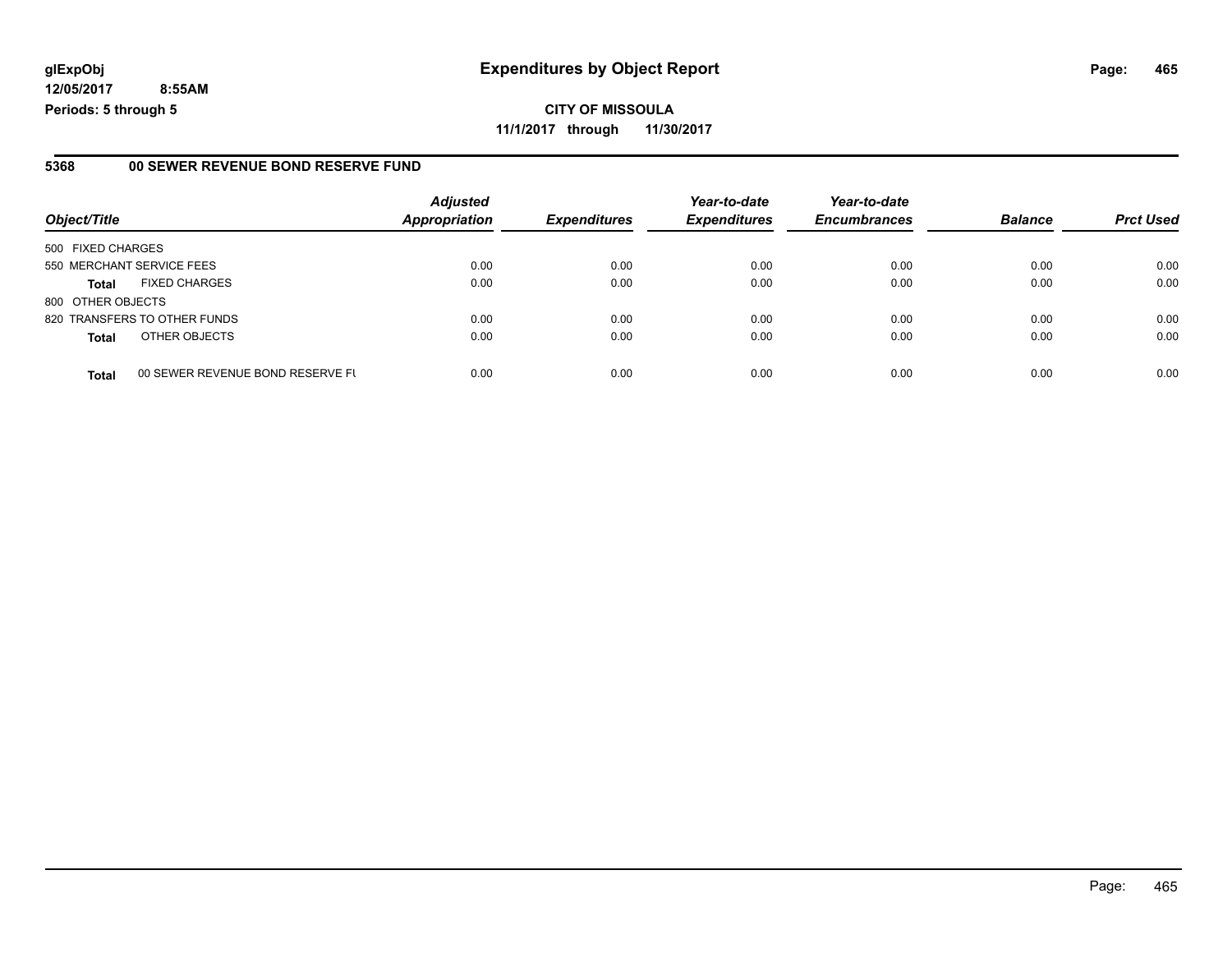#### **5368 00 SEWER REVENUE BOND RESERVE FUND**

| Object/Title              |                                  | <b>Adjusted</b><br><b>Appropriation</b> | <b>Expenditures</b> | Year-to-date<br><b>Expenditures</b> | Year-to-date<br><b>Encumbrances</b> | <b>Balance</b> | <b>Prct Used</b> |
|---------------------------|----------------------------------|-----------------------------------------|---------------------|-------------------------------------|-------------------------------------|----------------|------------------|
| 500 FIXED CHARGES         |                                  |                                         |                     |                                     |                                     |                |                  |
| 550 MERCHANT SERVICE FEES |                                  | 0.00                                    | 0.00                | 0.00                                | 0.00                                | 0.00           | 0.00             |
| <b>Total</b>              | <b>FIXED CHARGES</b>             | 0.00                                    | 0.00                | 0.00                                | 0.00                                | 0.00           | 0.00             |
| 800 OTHER OBJECTS         |                                  |                                         |                     |                                     |                                     |                |                  |
|                           | 820 TRANSFERS TO OTHER FUNDS     | 0.00                                    | 0.00                | 0.00                                | 0.00                                | 0.00           | 0.00             |
| <b>Total</b>              | OTHER OBJECTS                    | 0.00                                    | 0.00                | 0.00                                | 0.00                                | 0.00           | 0.00             |
| <b>Total</b>              | 00 SEWER REVENUE BOND RESERVE FL | 0.00                                    | 0.00                | 0.00                                | 0.00                                | 0.00           | 0.00             |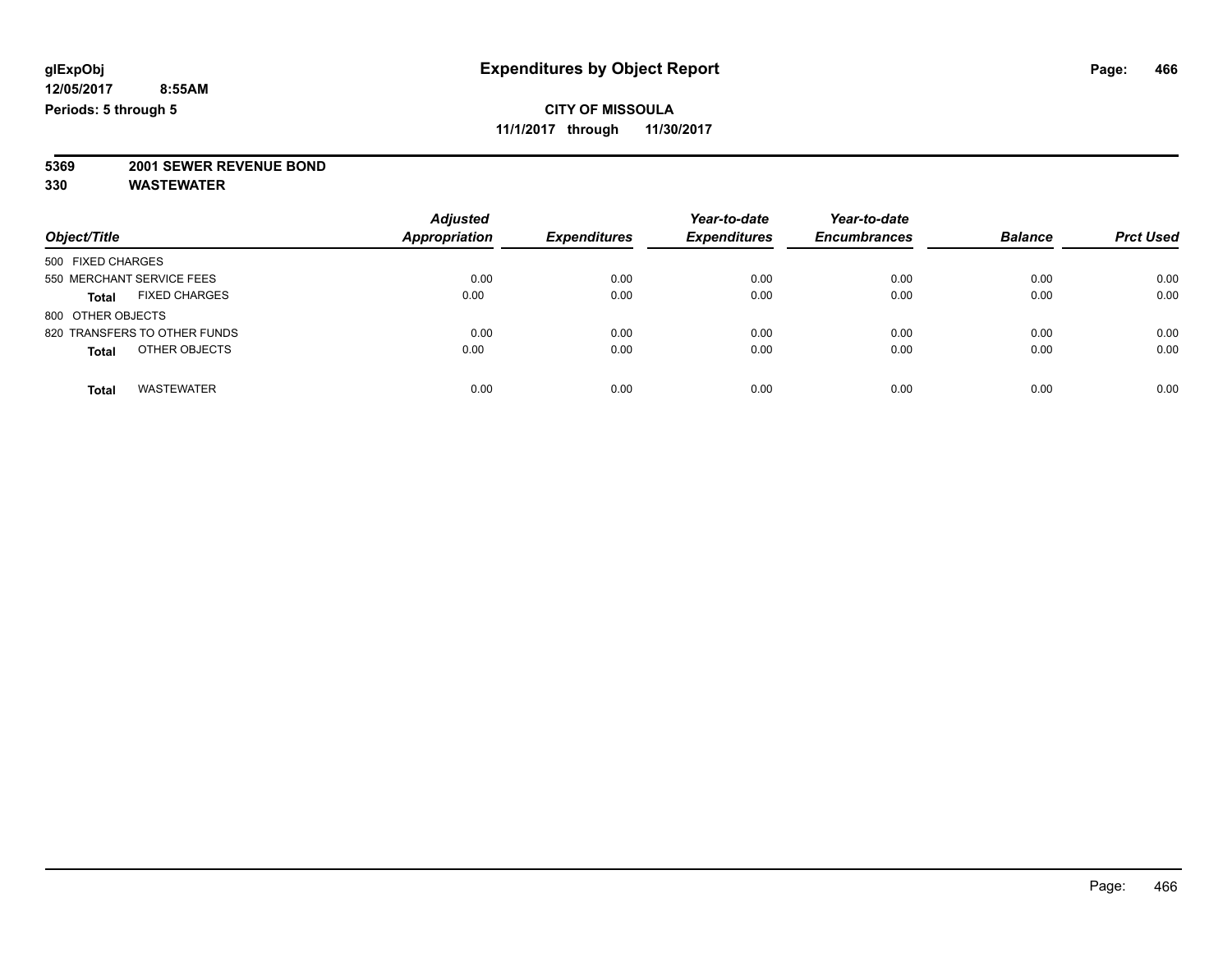**11/1/2017 through 11/30/2017**

# **5369 2001 SEWER REVENUE BOND**

|                                      | <b>Adjusted</b><br><b>Appropriation</b> | <b>Expenditures</b> | Year-to-date<br><b>Expenditures</b> | Year-to-date<br><b>Encumbrances</b> | <b>Balance</b> | <b>Prct Used</b> |
|--------------------------------------|-----------------------------------------|---------------------|-------------------------------------|-------------------------------------|----------------|------------------|
| Object/Title                         |                                         |                     |                                     |                                     |                |                  |
| 500 FIXED CHARGES                    |                                         |                     |                                     |                                     |                |                  |
| 550 MERCHANT SERVICE FEES            | 0.00                                    | 0.00                | 0.00                                | 0.00                                | 0.00           | 0.00             |
| <b>FIXED CHARGES</b><br><b>Total</b> | 0.00                                    | 0.00                | 0.00                                | 0.00                                | 0.00           | 0.00             |
| 800 OTHER OBJECTS                    |                                         |                     |                                     |                                     |                |                  |
| 820 TRANSFERS TO OTHER FUNDS         | 0.00                                    | 0.00                | 0.00                                | 0.00                                | 0.00           | 0.00             |
| OTHER OBJECTS<br><b>Total</b>        | 0.00                                    | 0.00                | 0.00                                | 0.00                                | 0.00           | 0.00             |
| <b>WASTEWATER</b><br><b>Total</b>    | 0.00                                    | 0.00                | 0.00                                | 0.00                                | 0.00           | 0.00             |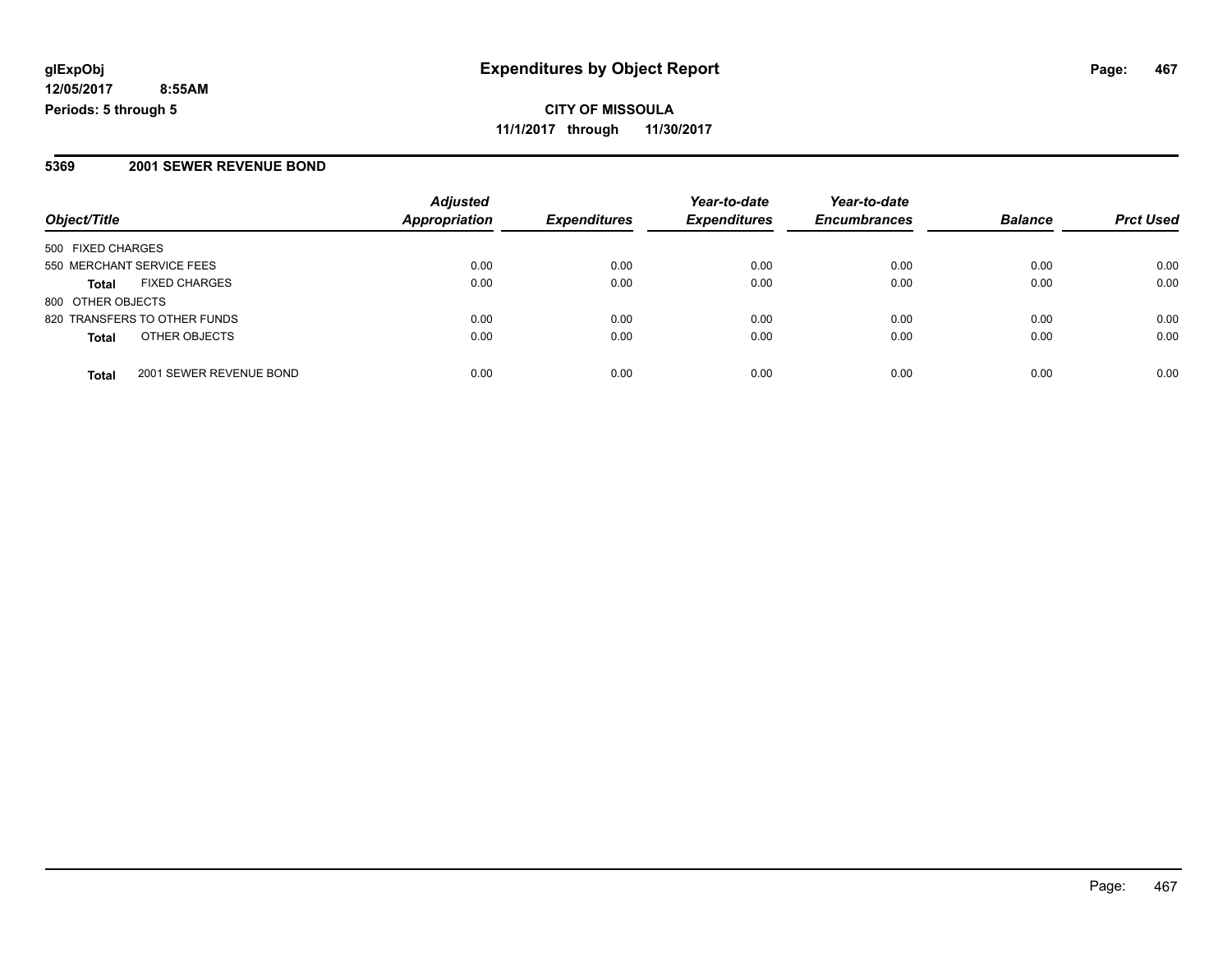**CITY OF MISSOULA 11/1/2017 through 11/30/2017**

### **5369 2001 SEWER REVENUE BOND**

|                                         | <b>Adjusted</b> |                     | Year-to-date        | Year-to-date        |                |                  |
|-----------------------------------------|-----------------|---------------------|---------------------|---------------------|----------------|------------------|
| Object/Title                            | Appropriation   | <b>Expenditures</b> | <b>Expenditures</b> | <b>Encumbrances</b> | <b>Balance</b> | <b>Prct Used</b> |
| 500 FIXED CHARGES                       |                 |                     |                     |                     |                |                  |
| 550 MERCHANT SERVICE FEES               | 0.00            | 0.00                | 0.00                | 0.00                | 0.00           | 0.00             |
| <b>FIXED CHARGES</b><br><b>Total</b>    | 0.00            | 0.00                | 0.00                | 0.00                | 0.00           | 0.00             |
| 800 OTHER OBJECTS                       |                 |                     |                     |                     |                |                  |
| 820 TRANSFERS TO OTHER FUNDS            | 0.00            | 0.00                | 0.00                | 0.00                | 0.00           | 0.00             |
| OTHER OBJECTS<br><b>Total</b>           | 0.00            | 0.00                | 0.00                | 0.00                | 0.00           | 0.00             |
| 2001 SEWER REVENUE BOND<br><b>Total</b> | 0.00            | 0.00                | 0.00                | 0.00                | 0.00           | 0.00             |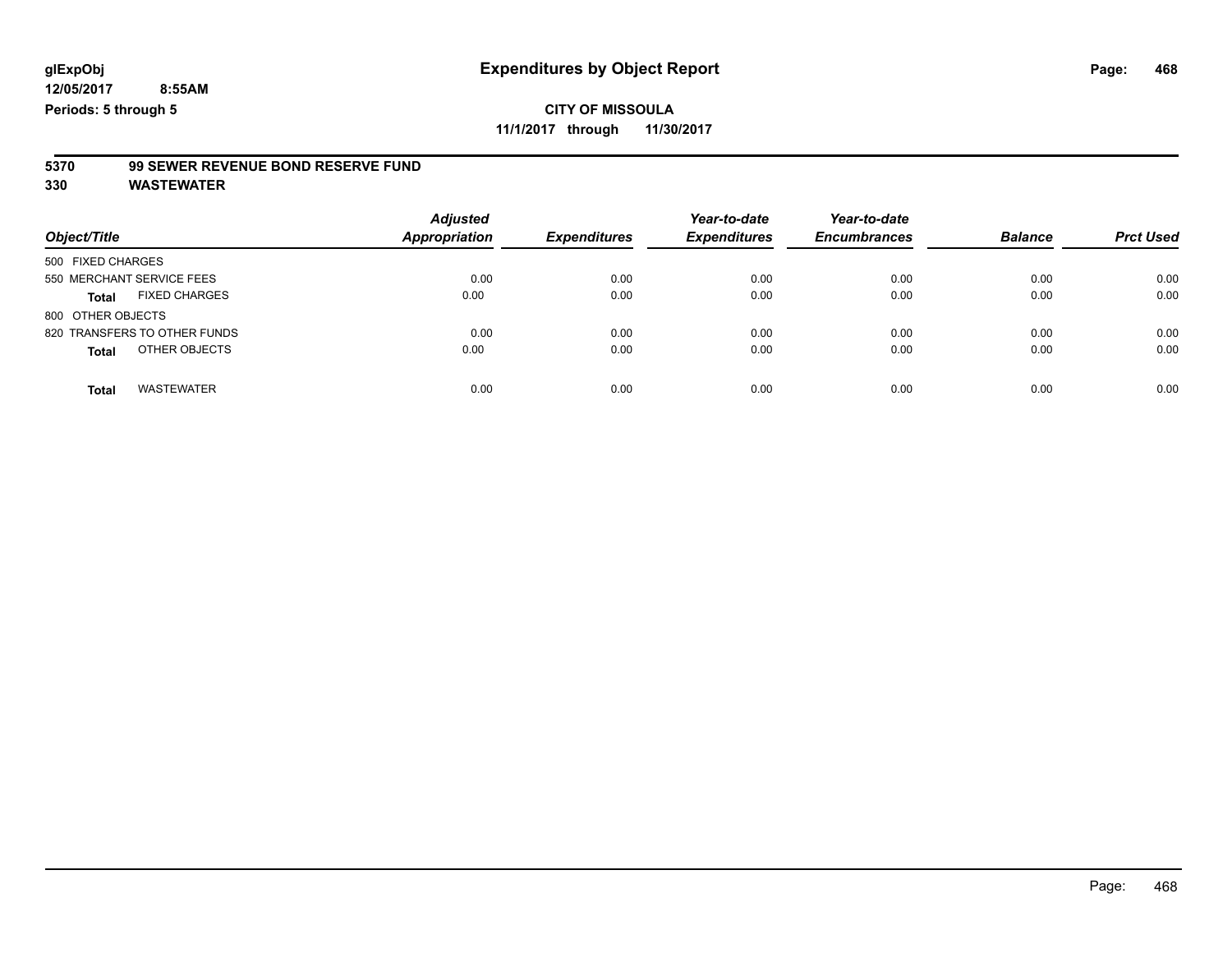**11/1/2017 through 11/30/2017**

# **5370 99 SEWER REVENUE BOND RESERVE FUND**

| Object/Title                         | <b>Adjusted</b><br>Appropriation | <b>Expenditures</b> | Year-to-date<br><b>Expenditures</b> | Year-to-date<br><b>Encumbrances</b> | <b>Balance</b> | <b>Prct Used</b> |
|--------------------------------------|----------------------------------|---------------------|-------------------------------------|-------------------------------------|----------------|------------------|
| 500 FIXED CHARGES                    |                                  |                     |                                     |                                     |                |                  |
| 550 MERCHANT SERVICE FEES            | 0.00                             | 0.00                | 0.00                                | 0.00                                | 0.00           | 0.00             |
| <b>FIXED CHARGES</b><br><b>Total</b> | 0.00                             | 0.00                | 0.00                                | 0.00                                | 0.00           | 0.00             |
| 800 OTHER OBJECTS                    |                                  |                     |                                     |                                     |                |                  |
| 820 TRANSFERS TO OTHER FUNDS         | 0.00                             | 0.00                | 0.00                                | 0.00                                | 0.00           | 0.00             |
| OTHER OBJECTS<br><b>Total</b>        | 0.00                             | 0.00                | 0.00                                | 0.00                                | 0.00           | 0.00             |
| <b>WASTEWATER</b><br><b>Total</b>    | 0.00                             | 0.00                | 0.00                                | 0.00                                | 0.00           | 0.00             |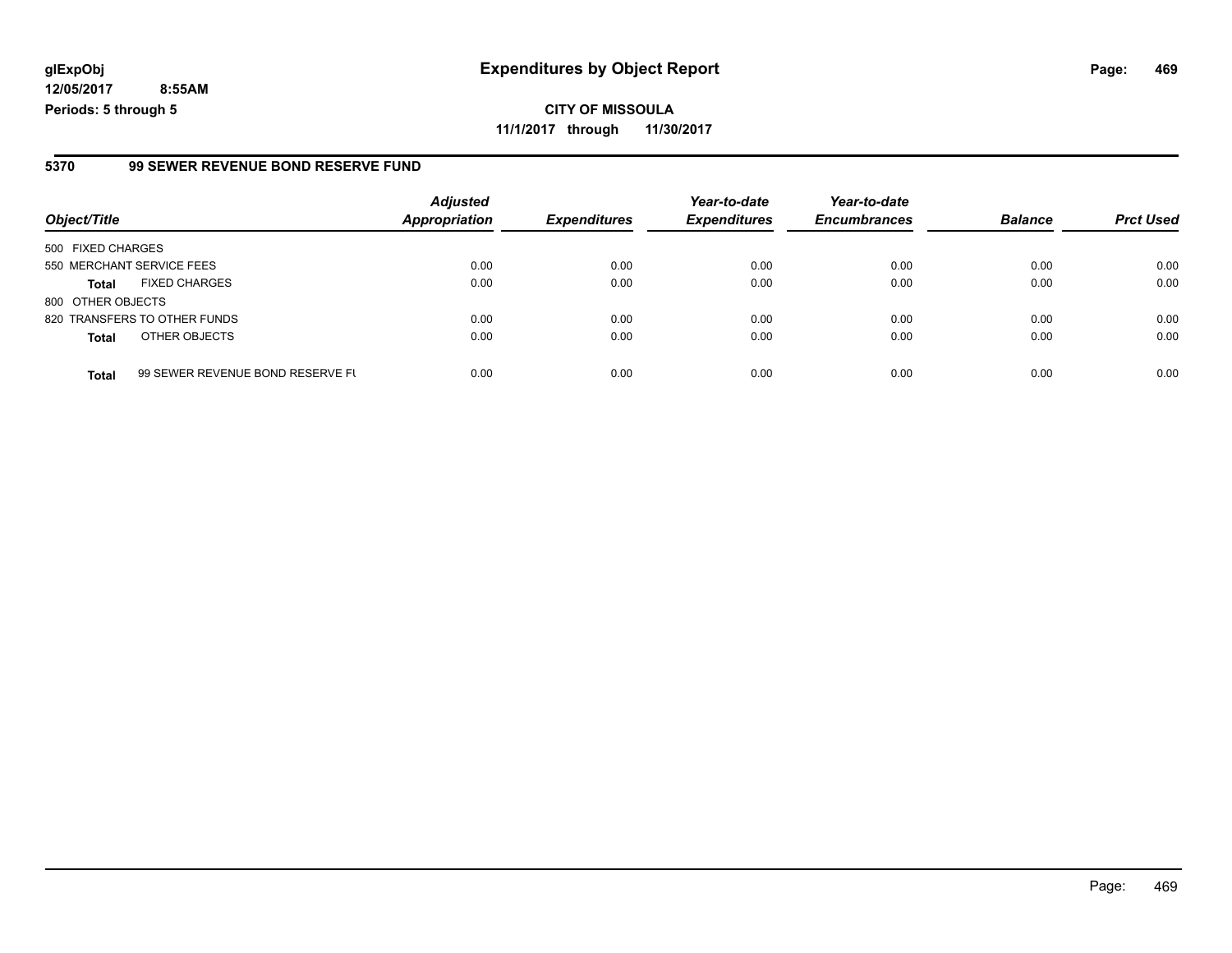**CITY OF MISSOULA 11/1/2017 through 11/30/2017**

#### **5370 99 SEWER REVENUE BOND RESERVE FUND**

| Object/Title              |                                  | <b>Adjusted</b>      | <b>Expenditures</b> | Year-to-date<br><b>Expenditures</b> | Year-to-date        | <b>Balance</b> | <b>Prct Used</b> |
|---------------------------|----------------------------------|----------------------|---------------------|-------------------------------------|---------------------|----------------|------------------|
|                           |                                  | <b>Appropriation</b> |                     |                                     | <b>Encumbrances</b> |                |                  |
| 500 FIXED CHARGES         |                                  |                      |                     |                                     |                     |                |                  |
| 550 MERCHANT SERVICE FEES |                                  | 0.00                 | 0.00                | 0.00                                | 0.00                | 0.00           | 0.00             |
| <b>Total</b>              | <b>FIXED CHARGES</b>             | 0.00                 | 0.00                | 0.00                                | 0.00                | 0.00           | 0.00             |
| 800 OTHER OBJECTS         |                                  |                      |                     |                                     |                     |                |                  |
|                           | 820 TRANSFERS TO OTHER FUNDS     | 0.00                 | 0.00                | 0.00                                | 0.00                | 0.00           | 0.00             |
| <b>Total</b>              | OTHER OBJECTS                    | 0.00                 | 0.00                | 0.00                                | 0.00                | 0.00           | 0.00             |
| <b>Total</b>              | 99 SEWER REVENUE BOND RESERVE FL | 0.00                 | 0.00                | 0.00                                | 0.00                | 0.00           | 0.00             |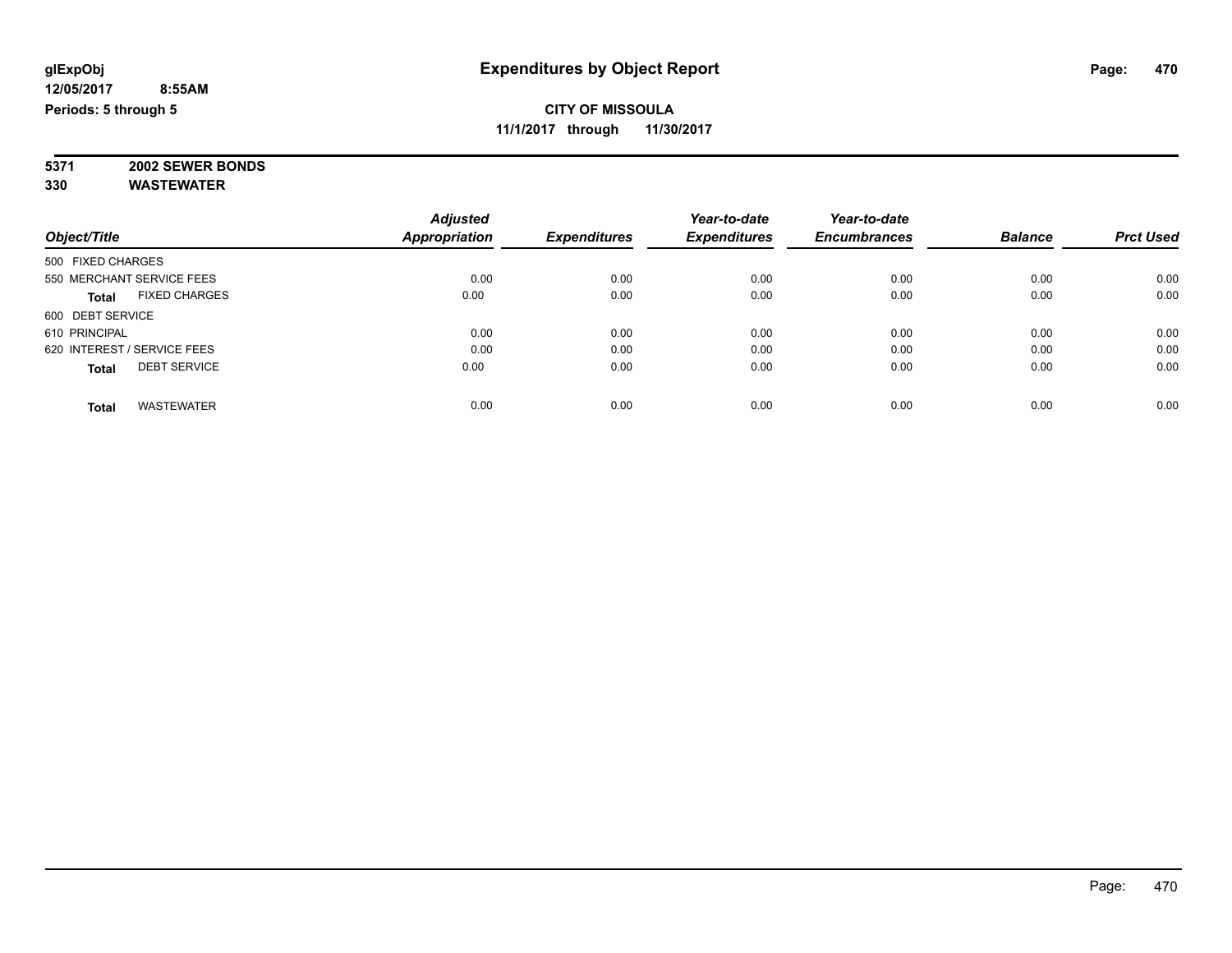#### **CITY OF MISSOULA 11/1/2017 through 11/30/2017**

**5371 2002 SEWER BONDS 330 WASTEWATER**

|                             |                      | <b>Adjusted</b> |                     | Year-to-date        | Year-to-date        |                |                  |
|-----------------------------|----------------------|-----------------|---------------------|---------------------|---------------------|----------------|------------------|
| Object/Title                |                      | Appropriation   | <b>Expenditures</b> | <b>Expenditures</b> | <b>Encumbrances</b> | <b>Balance</b> | <b>Prct Used</b> |
| 500 FIXED CHARGES           |                      |                 |                     |                     |                     |                |                  |
| 550 MERCHANT SERVICE FEES   |                      | 0.00            | 0.00                | 0.00                | 0.00                | 0.00           | 0.00             |
| Total                       | <b>FIXED CHARGES</b> | 0.00            | 0.00                | 0.00                | 0.00                | 0.00           | 0.00             |
| 600 DEBT SERVICE            |                      |                 |                     |                     |                     |                |                  |
| 610 PRINCIPAL               |                      | 0.00            | 0.00                | 0.00                | 0.00                | 0.00           | 0.00             |
| 620 INTEREST / SERVICE FEES |                      | 0.00            | 0.00                | 0.00                | 0.00                | 0.00           | 0.00             |
| <b>Total</b>                | <b>DEBT SERVICE</b>  | 0.00            | 0.00                | 0.00                | 0.00                | 0.00           | 0.00             |
| <b>Total</b>                | <b>WASTEWATER</b>    | 0.00            | 0.00                | 0.00                | 0.00                | 0.00           | 0.00             |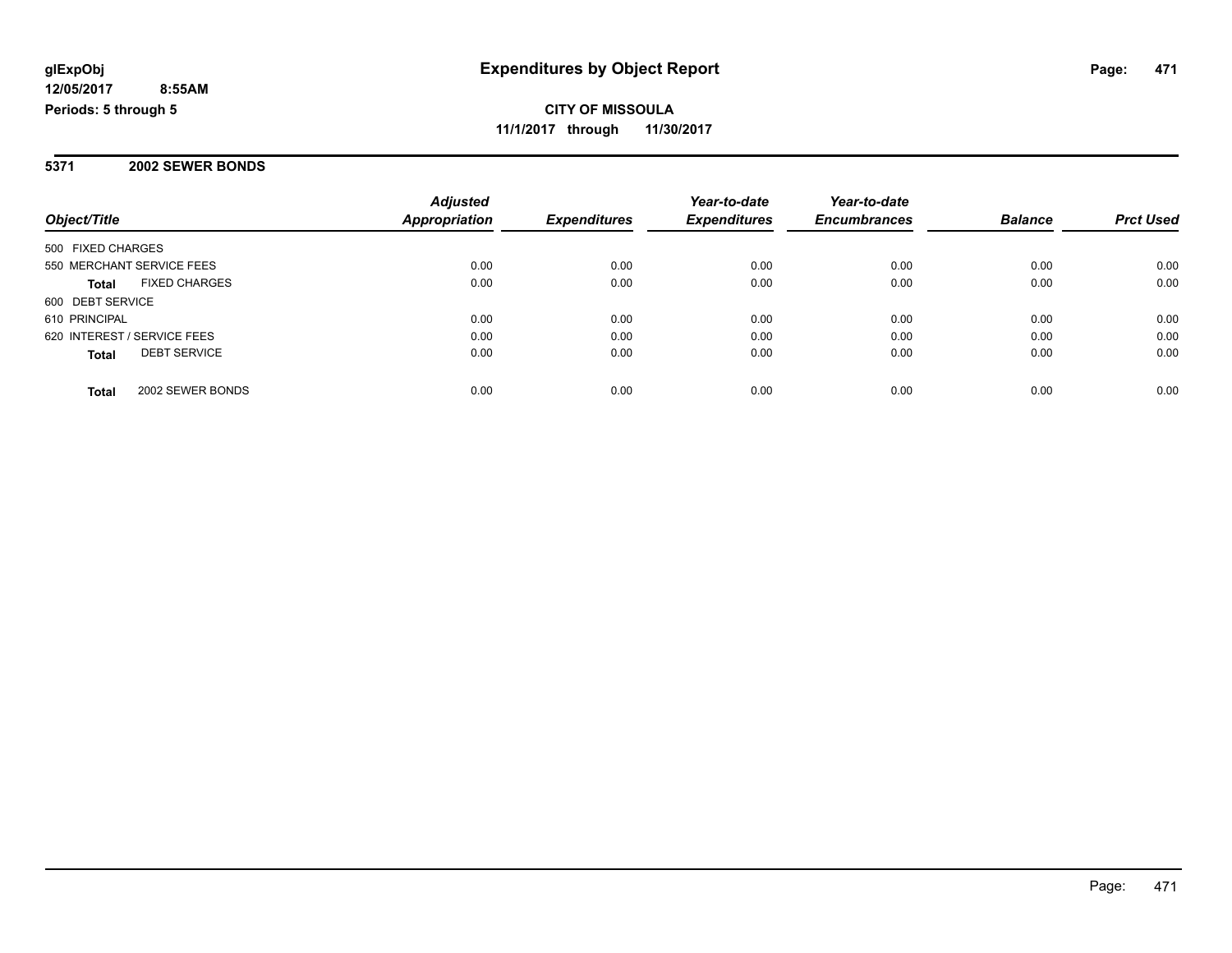**CITY OF MISSOULA 11/1/2017 through 11/30/2017**

#### **5371 2002 SEWER BONDS**

| Object/Title                         | <b>Adjusted</b><br><b>Appropriation</b> | <b>Expenditures</b> | Year-to-date<br><b>Expenditures</b> | Year-to-date<br><b>Encumbrances</b> | <b>Balance</b> | <b>Prct Used</b> |
|--------------------------------------|-----------------------------------------|---------------------|-------------------------------------|-------------------------------------|----------------|------------------|
|                                      |                                         |                     |                                     |                                     |                |                  |
| 500 FIXED CHARGES                    |                                         |                     |                                     |                                     |                |                  |
| 550 MERCHANT SERVICE FEES            | 0.00                                    | 0.00                | 0.00                                | 0.00                                | 0.00           | 0.00             |
| <b>FIXED CHARGES</b><br><b>Total</b> | 0.00                                    | 0.00                | 0.00                                | 0.00                                | 0.00           | 0.00             |
| 600 DEBT SERVICE                     |                                         |                     |                                     |                                     |                |                  |
| 610 PRINCIPAL                        | 0.00                                    | 0.00                | 0.00                                | 0.00                                | 0.00           | 0.00             |
| 620 INTEREST / SERVICE FEES          | 0.00                                    | 0.00                | 0.00                                | 0.00                                | 0.00           | 0.00             |
| <b>DEBT SERVICE</b><br><b>Total</b>  | 0.00                                    | 0.00                | 0.00                                | 0.00                                | 0.00           | 0.00             |
| 2002 SEWER BONDS<br>Total            | 0.00                                    | 0.00                | 0.00                                | 0.00                                | 0.00           | 0.00             |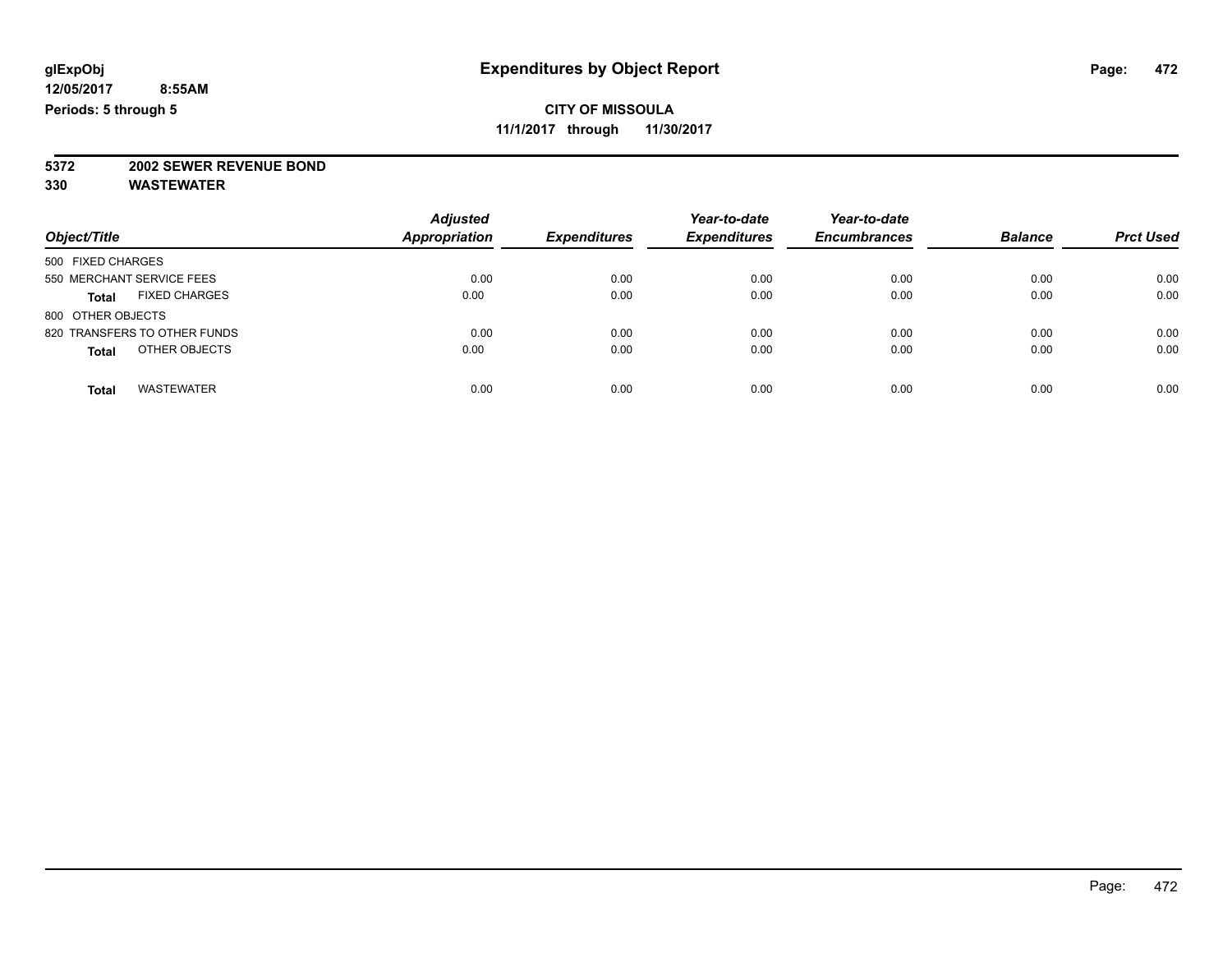**11/1/2017 through 11/30/2017**

# **5372 2002 SEWER REVENUE BOND**

| Object/Title                      | <b>Adjusted</b><br>Appropriation | <b>Expenditures</b> | Year-to-date<br><b>Expenditures</b> | Year-to-date<br><b>Encumbrances</b> | <b>Balance</b> | <b>Prct Used</b> |
|-----------------------------------|----------------------------------|---------------------|-------------------------------------|-------------------------------------|----------------|------------------|
| 500 FIXED CHARGES                 |                                  |                     |                                     |                                     |                |                  |
| 550 MERCHANT SERVICE FEES         | 0.00                             | 0.00                | 0.00                                | 0.00                                | 0.00           | 0.00             |
| <b>FIXED CHARGES</b><br>Total     | 0.00                             | 0.00                | 0.00                                | 0.00                                | 0.00           | 0.00             |
| 800 OTHER OBJECTS                 |                                  |                     |                                     |                                     |                |                  |
| 820 TRANSFERS TO OTHER FUNDS      | 0.00                             | 0.00                | 0.00                                | 0.00                                | 0.00           | 0.00             |
| OTHER OBJECTS<br><b>Total</b>     | 0.00                             | 0.00                | 0.00                                | 0.00                                | 0.00           | 0.00             |
| <b>WASTEWATER</b><br><b>Total</b> | 0.00                             | 0.00                | 0.00                                | 0.00                                | 0.00           | 0.00             |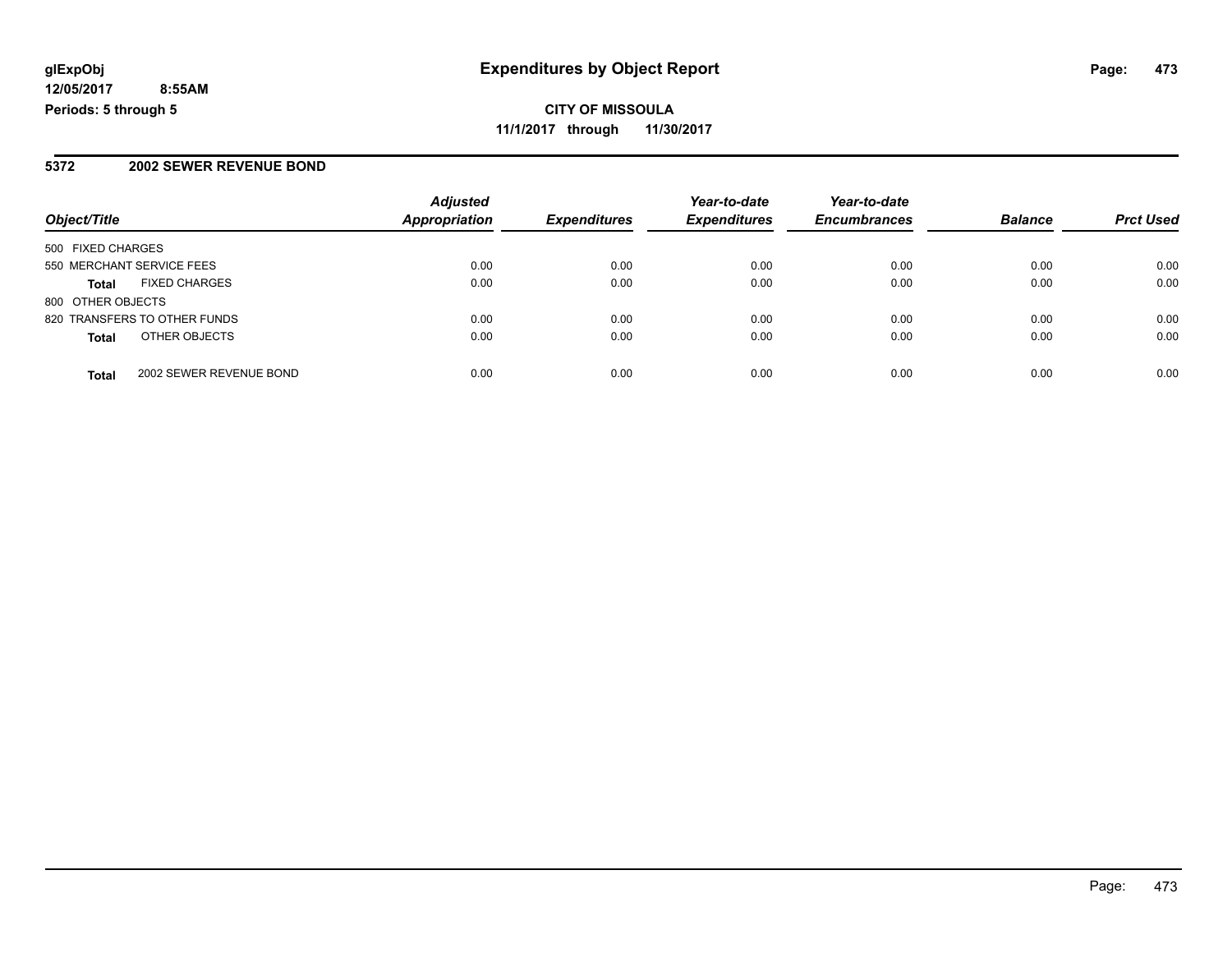#### **5372 2002 SEWER REVENUE BOND**

| Object/Title              |                              | <b>Adjusted</b><br><b>Appropriation</b> | <b>Expenditures</b> | Year-to-date<br><b>Expenditures</b> | Year-to-date        | <b>Balance</b> |                  |
|---------------------------|------------------------------|-----------------------------------------|---------------------|-------------------------------------|---------------------|----------------|------------------|
|                           |                              |                                         |                     |                                     | <b>Encumbrances</b> |                | <b>Prct Used</b> |
| 500 FIXED CHARGES         |                              |                                         |                     |                                     |                     |                |                  |
| 550 MERCHANT SERVICE FEES |                              | 0.00                                    | 0.00                | 0.00                                | 0.00                | 0.00           | 0.00             |
| <b>Total</b>              | <b>FIXED CHARGES</b>         | 0.00                                    | 0.00                | 0.00                                | 0.00                | 0.00           | 0.00             |
| 800 OTHER OBJECTS         |                              |                                         |                     |                                     |                     |                |                  |
|                           | 820 TRANSFERS TO OTHER FUNDS | 0.00                                    | 0.00                | 0.00                                | 0.00                | 0.00           | 0.00             |
| <b>Total</b>              | OTHER OBJECTS                | 0.00                                    | 0.00                | 0.00                                | 0.00                | 0.00           | 0.00             |
| <b>Total</b>              | 2002 SEWER REVENUE BOND      | 0.00                                    | 0.00                | 0.00                                | 0.00                | 0.00           | 0.00             |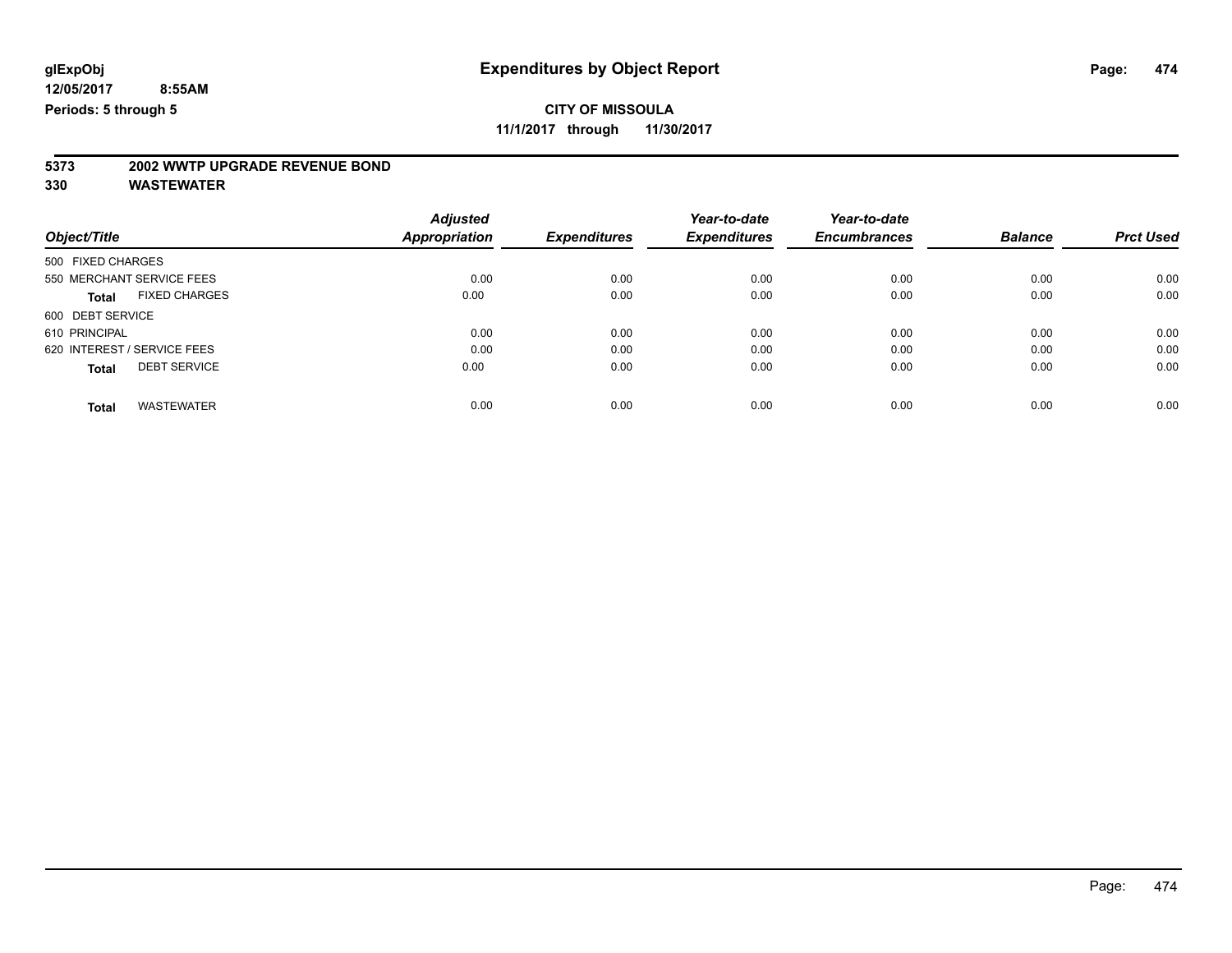**11/1/2017 through 11/30/2017**

# **5373 2002 WWTP UPGRADE REVENUE BOND**

|                                      | <b>Adjusted</b> |                     | Year-to-date        | Year-to-date        |                |                  |
|--------------------------------------|-----------------|---------------------|---------------------|---------------------|----------------|------------------|
| Object/Title                         | Appropriation   | <b>Expenditures</b> | <b>Expenditures</b> | <b>Encumbrances</b> | <b>Balance</b> | <b>Prct Used</b> |
| 500 FIXED CHARGES                    |                 |                     |                     |                     |                |                  |
| 550 MERCHANT SERVICE FEES            | 0.00            | 0.00                | 0.00                | 0.00                | 0.00           | 0.00             |
| <b>FIXED CHARGES</b><br><b>Total</b> | 0.00            | 0.00                | 0.00                | 0.00                | 0.00           | 0.00             |
| 600 DEBT SERVICE                     |                 |                     |                     |                     |                |                  |
| 610 PRINCIPAL                        | 0.00            | 0.00                | 0.00                | 0.00                | 0.00           | 0.00             |
| 620 INTEREST / SERVICE FEES          | 0.00            | 0.00                | 0.00                | 0.00                | 0.00           | 0.00             |
| <b>DEBT SERVICE</b><br><b>Total</b>  | 0.00            | 0.00                | 0.00                | 0.00                | 0.00           | 0.00             |
| <b>WASTEWATER</b><br><b>Total</b>    | 0.00            | 0.00                | 0.00                | 0.00                | 0.00           | 0.00             |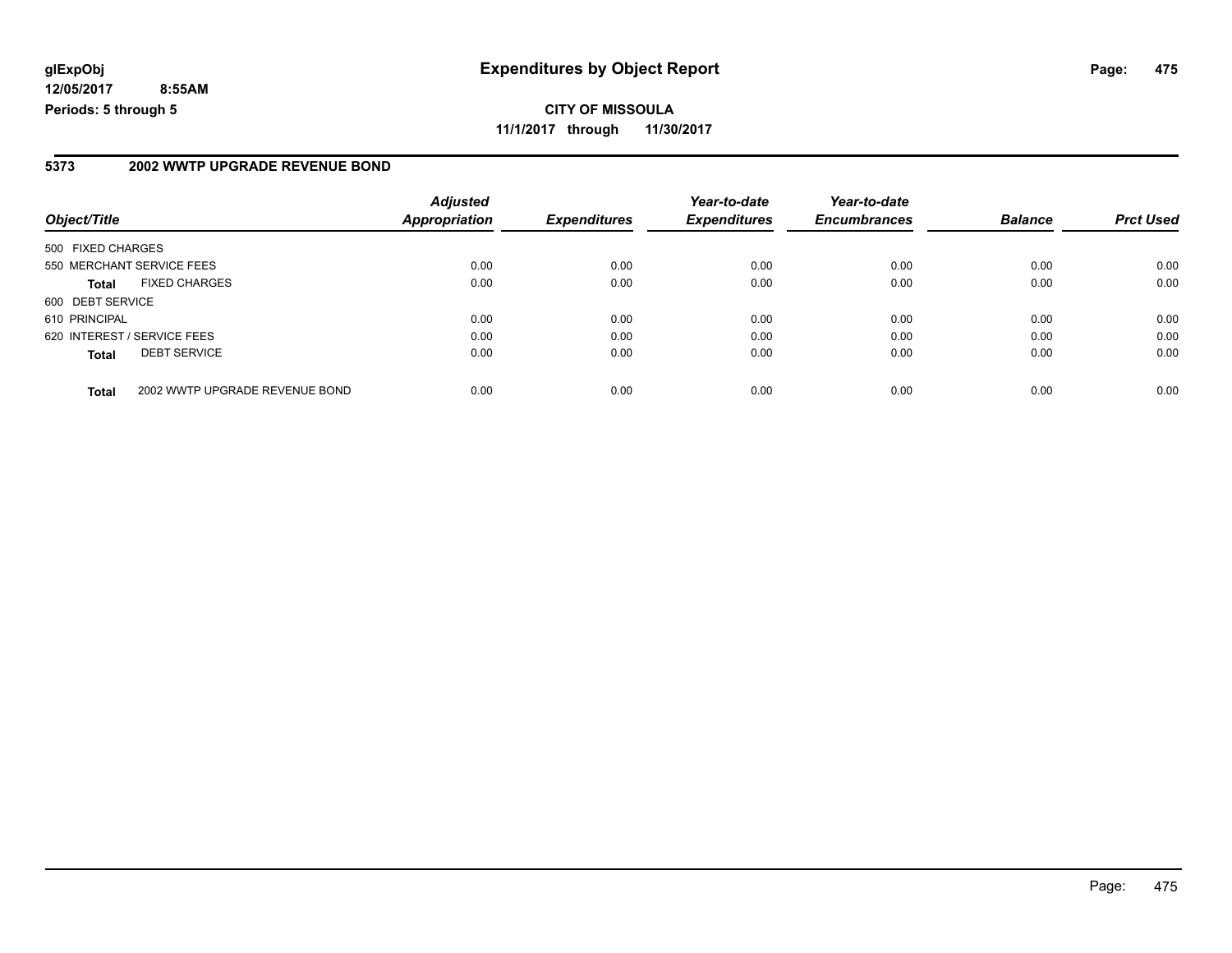**CITY OF MISSOULA 11/1/2017 through 11/30/2017**

#### **5373 2002 WWTP UPGRADE REVENUE BOND**

| Object/Title                |                                | <b>Adjusted</b><br><b>Appropriation</b> | <b>Expenditures</b> | Year-to-date<br><b>Expenditures</b> | Year-to-date<br><b>Encumbrances</b> | <b>Balance</b> | <b>Prct Used</b> |
|-----------------------------|--------------------------------|-----------------------------------------|---------------------|-------------------------------------|-------------------------------------|----------------|------------------|
|                             |                                |                                         |                     |                                     |                                     |                |                  |
| 500 FIXED CHARGES           |                                |                                         |                     |                                     |                                     |                |                  |
|                             | 550 MERCHANT SERVICE FEES      | 0.00                                    | 0.00                | 0.00                                | 0.00                                | 0.00           | 0.00             |
| <b>Total</b>                | <b>FIXED CHARGES</b>           | 0.00                                    | 0.00                | 0.00                                | 0.00                                | 0.00           | 0.00             |
| 600 DEBT SERVICE            |                                |                                         |                     |                                     |                                     |                |                  |
| 610 PRINCIPAL               |                                | 0.00                                    | 0.00                | 0.00                                | 0.00                                | 0.00           | 0.00             |
| 620 INTEREST / SERVICE FEES |                                | 0.00                                    | 0.00                | 0.00                                | 0.00                                | 0.00           | 0.00             |
| <b>Total</b>                | <b>DEBT SERVICE</b>            | 0.00                                    | 0.00                | 0.00                                | 0.00                                | 0.00           | 0.00             |
| <b>Total</b>                | 2002 WWTP UPGRADE REVENUE BOND | 0.00                                    | 0.00                | 0.00                                | 0.00                                | 0.00           | 0.00             |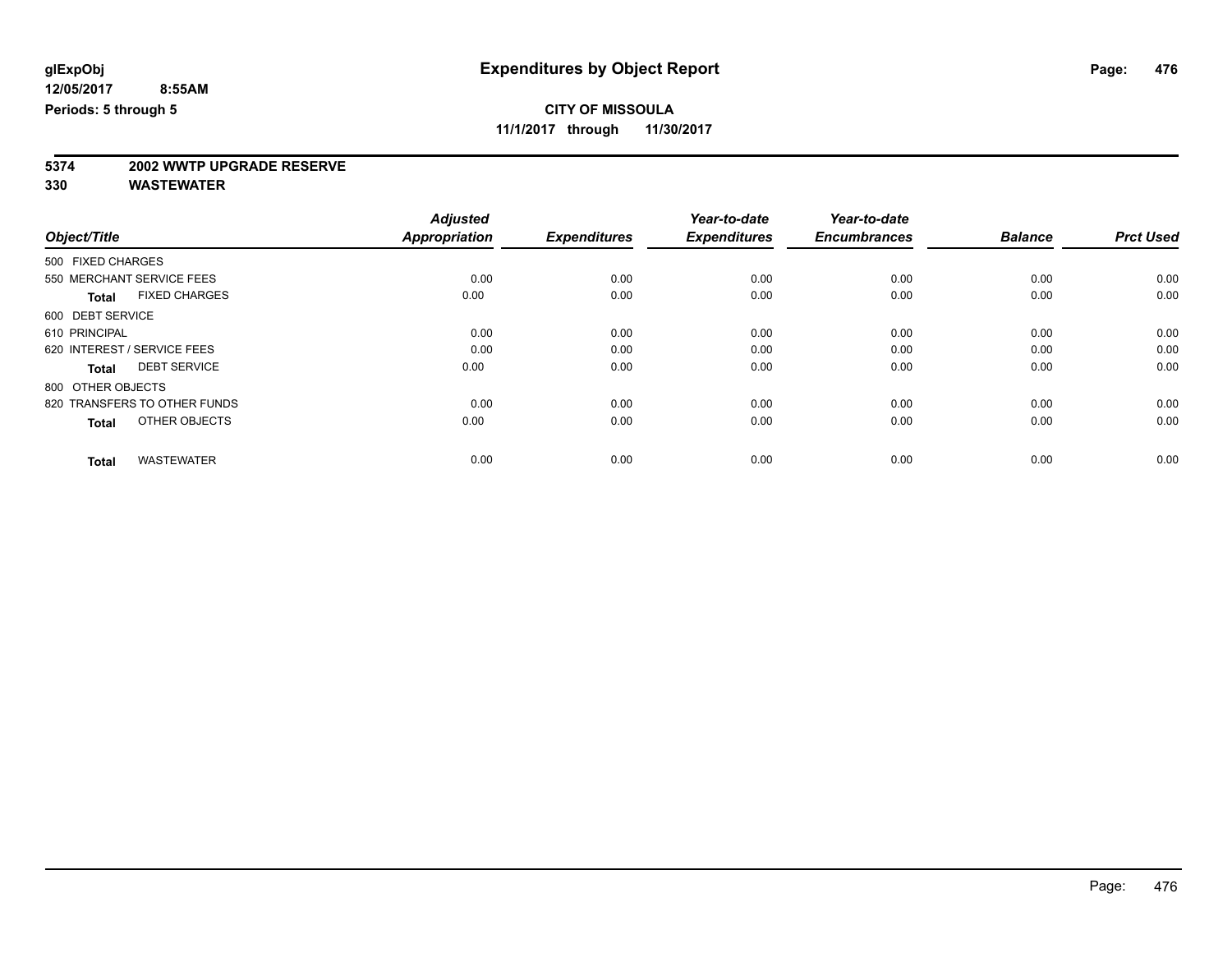**11/1/2017 through 11/30/2017**

# **5374 2002 WWTP UPGRADE RESERVE**

|                                      | <b>Adjusted</b><br>Appropriation | <b>Expenditures</b> | Year-to-date<br><b>Expenditures</b> | Year-to-date<br><b>Encumbrances</b> | <b>Balance</b> |                  |
|--------------------------------------|----------------------------------|---------------------|-------------------------------------|-------------------------------------|----------------|------------------|
| Object/Title                         |                                  |                     |                                     |                                     |                | <b>Prct Used</b> |
| 500 FIXED CHARGES                    |                                  |                     |                                     |                                     |                |                  |
| 550 MERCHANT SERVICE FEES            | 0.00                             | 0.00                | 0.00                                | 0.00                                | 0.00           | 0.00             |
| <b>FIXED CHARGES</b><br><b>Total</b> | 0.00                             | 0.00                | 0.00                                | 0.00                                | 0.00           | 0.00             |
| 600 DEBT SERVICE                     |                                  |                     |                                     |                                     |                |                  |
| 610 PRINCIPAL                        | 0.00                             | 0.00                | 0.00                                | 0.00                                | 0.00           | 0.00             |
| 620 INTEREST / SERVICE FEES          | 0.00                             | 0.00                | 0.00                                | 0.00                                | 0.00           | 0.00             |
| <b>DEBT SERVICE</b><br><b>Total</b>  | 0.00                             | 0.00                | 0.00                                | 0.00                                | 0.00           | 0.00             |
| 800 OTHER OBJECTS                    |                                  |                     |                                     |                                     |                |                  |
| 820 TRANSFERS TO OTHER FUNDS         | 0.00                             | 0.00                | 0.00                                | 0.00                                | 0.00           | 0.00             |
| OTHER OBJECTS<br><b>Total</b>        | 0.00                             | 0.00                | 0.00                                | 0.00                                | 0.00           | 0.00             |
|                                      |                                  |                     |                                     |                                     |                |                  |
| <b>WASTEWATER</b><br><b>Total</b>    | 0.00                             | 0.00                | 0.00                                | 0.00                                | 0.00           | 0.00             |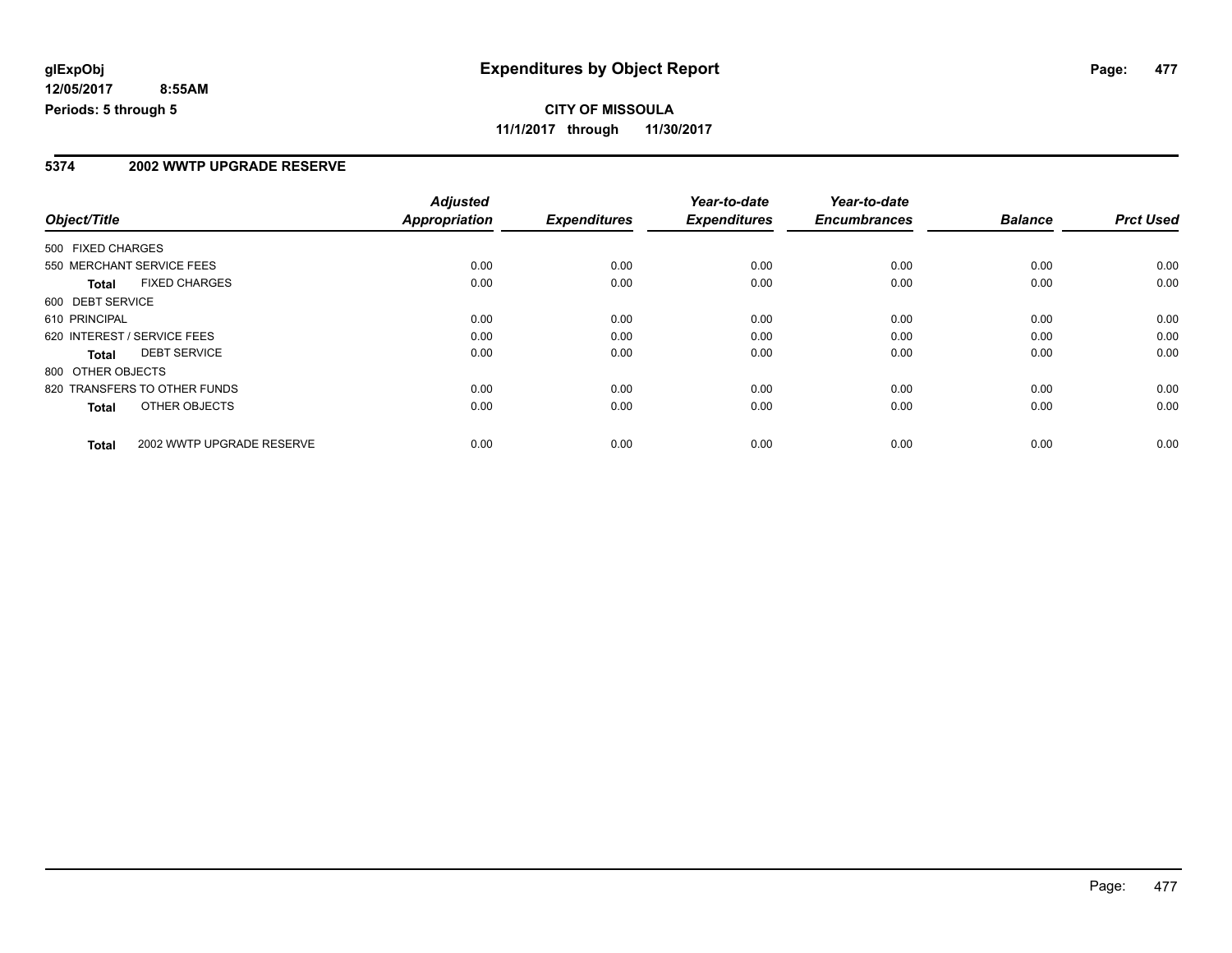#### **5374 2002 WWTP UPGRADE RESERVE**

|                                           | <b>Adjusted</b> |                     | Year-to-date        | Year-to-date        |                |                  |
|-------------------------------------------|-----------------|---------------------|---------------------|---------------------|----------------|------------------|
| Object/Title                              | Appropriation   | <b>Expenditures</b> | <b>Expenditures</b> | <b>Encumbrances</b> | <b>Balance</b> | <b>Prct Used</b> |
| 500 FIXED CHARGES                         |                 |                     |                     |                     |                |                  |
| 550 MERCHANT SERVICE FEES                 | 0.00            | 0.00                | 0.00                | 0.00                | 0.00           | 0.00             |
| <b>FIXED CHARGES</b><br><b>Total</b>      | 0.00            | 0.00                | 0.00                | 0.00                | 0.00           | 0.00             |
| 600 DEBT SERVICE                          |                 |                     |                     |                     |                |                  |
| 610 PRINCIPAL                             | 0.00            | 0.00                | 0.00                | 0.00                | 0.00           | 0.00             |
| 620 INTEREST / SERVICE FEES               | 0.00            | 0.00                | 0.00                | 0.00                | 0.00           | 0.00             |
| <b>DEBT SERVICE</b><br>Total              | 0.00            | 0.00                | 0.00                | 0.00                | 0.00           | 0.00             |
| 800 OTHER OBJECTS                         |                 |                     |                     |                     |                |                  |
| 820 TRANSFERS TO OTHER FUNDS              | 0.00            | 0.00                | 0.00                | 0.00                | 0.00           | 0.00             |
| OTHER OBJECTS<br><b>Total</b>             | 0.00            | 0.00                | 0.00                | 0.00                | 0.00           | 0.00             |
| 2002 WWTP UPGRADE RESERVE<br><b>Total</b> | 0.00            | 0.00                | 0.00                | 0.00                | 0.00           | 0.00             |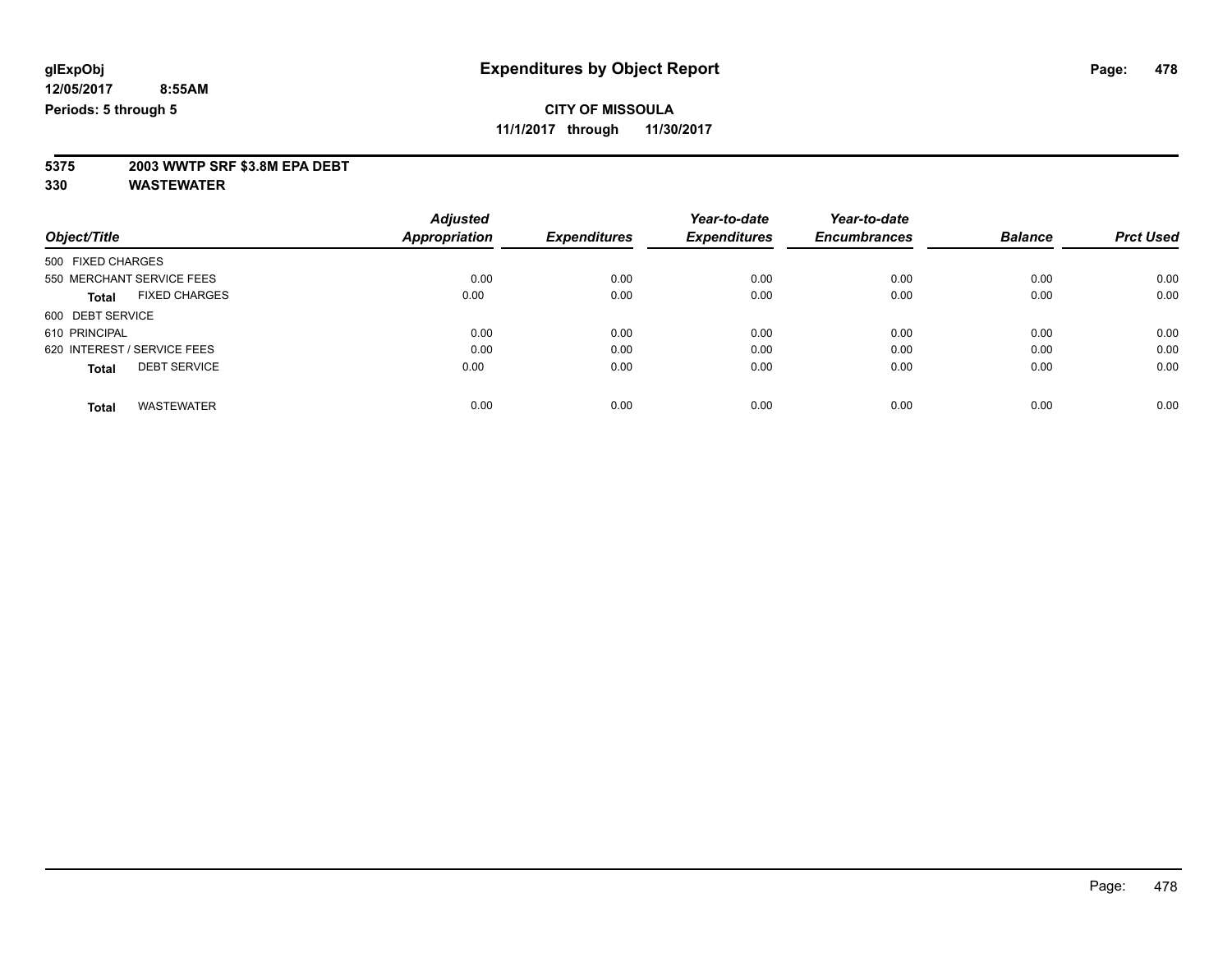**11/1/2017 through 11/30/2017**

# **5375 2003 WWTP SRF \$3.8M EPA DEBT**

|                                      | <b>Adjusted</b>      | <b>Expenditures</b> | Year-to-date<br><b>Expenditures</b> | Year-to-date<br><b>Encumbrances</b> | <b>Balance</b> | <b>Prct Used</b> |
|--------------------------------------|----------------------|---------------------|-------------------------------------|-------------------------------------|----------------|------------------|
| Object/Title                         | <b>Appropriation</b> |                     |                                     |                                     |                |                  |
| 500 FIXED CHARGES                    |                      |                     |                                     |                                     |                |                  |
| 550 MERCHANT SERVICE FEES            | 0.00                 | 0.00                | 0.00                                | 0.00                                | 0.00           | 0.00             |
| <b>FIXED CHARGES</b><br><b>Total</b> | 0.00                 | 0.00                | 0.00                                | 0.00                                | 0.00           | 0.00             |
| 600 DEBT SERVICE                     |                      |                     |                                     |                                     |                |                  |
| 610 PRINCIPAL                        | 0.00                 | 0.00                | 0.00                                | 0.00                                | 0.00           | 0.00             |
| 620 INTEREST / SERVICE FEES          | 0.00                 | 0.00                | 0.00                                | 0.00                                | 0.00           | 0.00             |
| <b>DEBT SERVICE</b><br><b>Total</b>  | 0.00                 | 0.00                | 0.00                                | 0.00                                | 0.00           | 0.00             |
| <b>WASTEWATER</b><br>Total           | 0.00                 | 0.00                | 0.00                                | 0.00                                | 0.00           | 0.00             |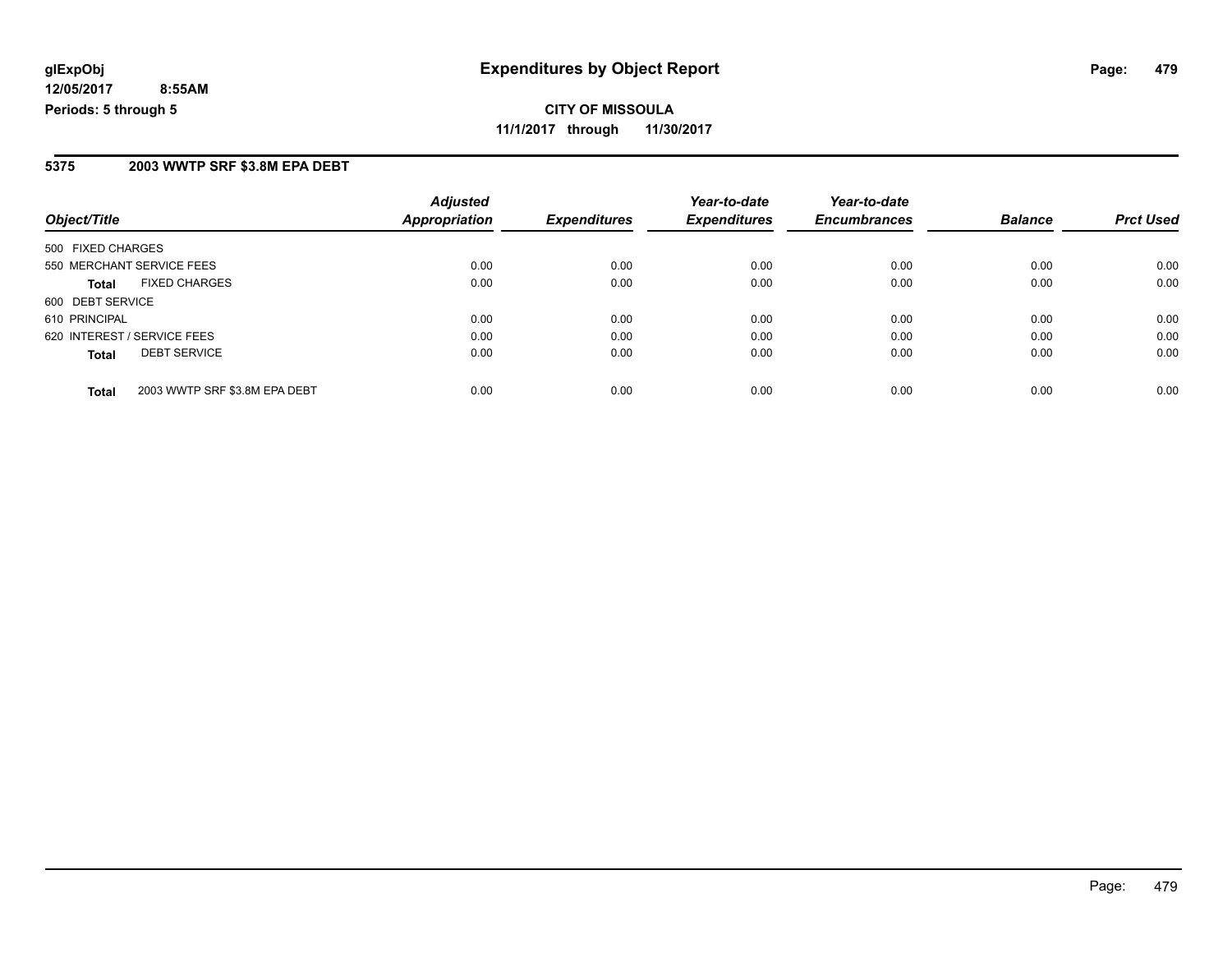**CITY OF MISSOULA 11/1/2017 through 11/30/2017**

#### **5375 2003 WWTP SRF \$3.8M EPA DEBT**

| Object/Title                                  | <b>Adjusted</b><br><b>Appropriation</b> | <b>Expenditures</b> | Year-to-date<br><b>Expenditures</b> | Year-to-date<br><b>Encumbrances</b> | <b>Balance</b> | <b>Prct Used</b> |
|-----------------------------------------------|-----------------------------------------|---------------------|-------------------------------------|-------------------------------------|----------------|------------------|
|                                               |                                         |                     |                                     |                                     |                |                  |
| 500 FIXED CHARGES                             |                                         |                     |                                     |                                     |                |                  |
| 550 MERCHANT SERVICE FEES                     | 0.00                                    | 0.00                | 0.00                                | 0.00                                | 0.00           | 0.00             |
| <b>FIXED CHARGES</b><br><b>Total</b>          | 0.00                                    | 0.00                | 0.00                                | 0.00                                | 0.00           | 0.00             |
| 600 DEBT SERVICE                              |                                         |                     |                                     |                                     |                |                  |
| 610 PRINCIPAL                                 | 0.00                                    | 0.00                | 0.00                                | 0.00                                | 0.00           | 0.00             |
| 620 INTEREST / SERVICE FEES                   | 0.00                                    | 0.00                | 0.00                                | 0.00                                | 0.00           | 0.00             |
| <b>DEBT SERVICE</b><br><b>Total</b>           | 0.00                                    | 0.00                | 0.00                                | 0.00                                | 0.00           | 0.00             |
| 2003 WWTP SRF \$3.8M EPA DEBT<br><b>Total</b> | 0.00                                    | 0.00                | 0.00                                | 0.00                                | 0.00           | 0.00             |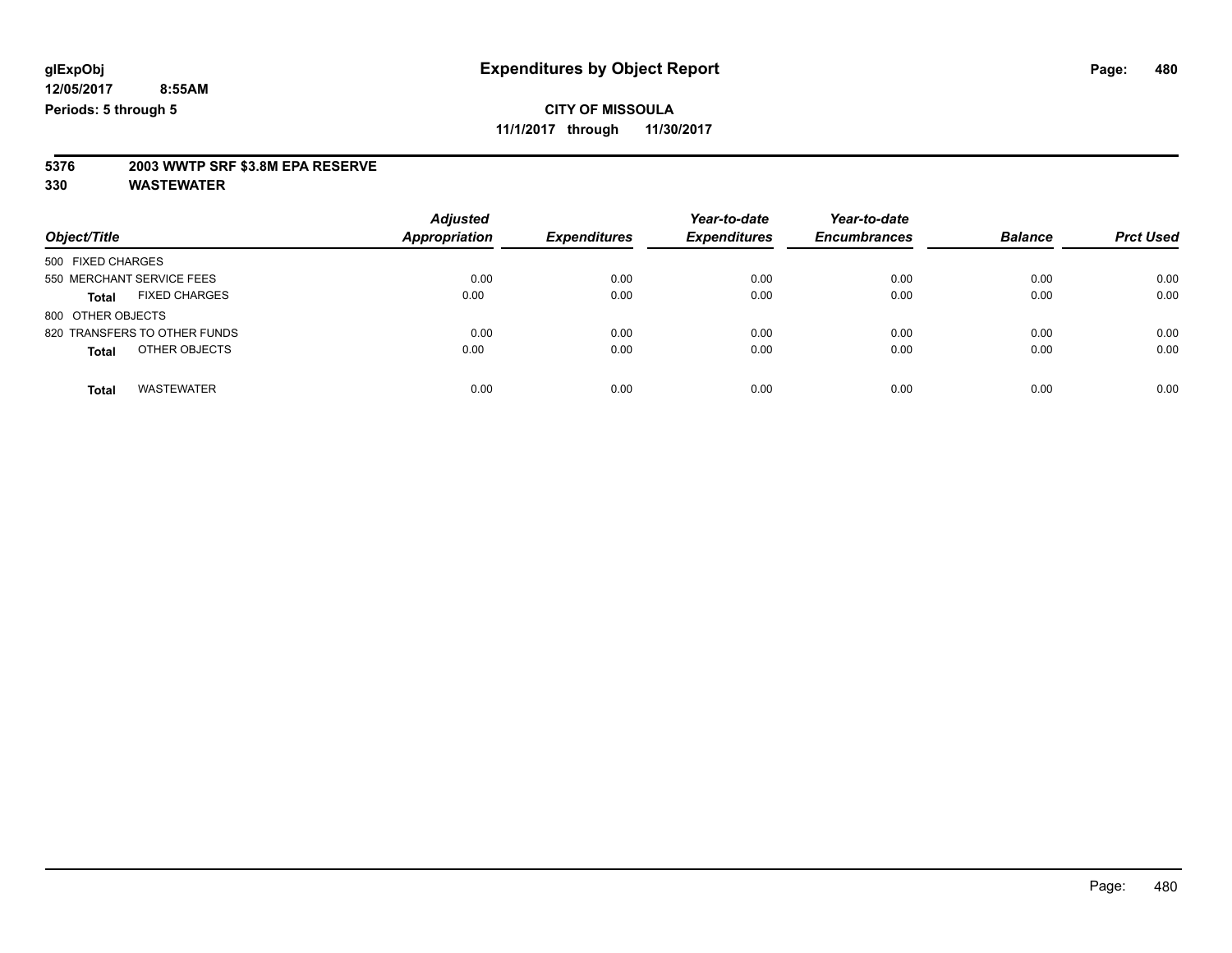**11/1/2017 through 11/30/2017**

# **5376 2003 WWTP SRF \$3.8M EPA RESERVE**

| Object/Title                      | <b>Adjusted</b><br>Appropriation | <b>Expenditures</b> | Year-to-date<br><b>Expenditures</b> | Year-to-date<br><b>Encumbrances</b> | <b>Balance</b> | <b>Prct Used</b> |
|-----------------------------------|----------------------------------|---------------------|-------------------------------------|-------------------------------------|----------------|------------------|
| 500 FIXED CHARGES                 |                                  |                     |                                     |                                     |                |                  |
| 550 MERCHANT SERVICE FEES         | 0.00                             | 0.00                | 0.00                                | 0.00                                | 0.00           | 0.00             |
| <b>FIXED CHARGES</b><br>Total     | 0.00                             | 0.00                | 0.00                                | 0.00                                | 0.00           | 0.00             |
| 800 OTHER OBJECTS                 |                                  |                     |                                     |                                     |                |                  |
| 820 TRANSFERS TO OTHER FUNDS      | 0.00                             | 0.00                | 0.00                                | 0.00                                | 0.00           | 0.00             |
| OTHER OBJECTS<br><b>Total</b>     | 0.00                             | 0.00                | 0.00                                | 0.00                                | 0.00           | 0.00             |
| <b>WASTEWATER</b><br><b>Total</b> | 0.00                             | 0.00                | 0.00                                | 0.00                                | 0.00           | 0.00             |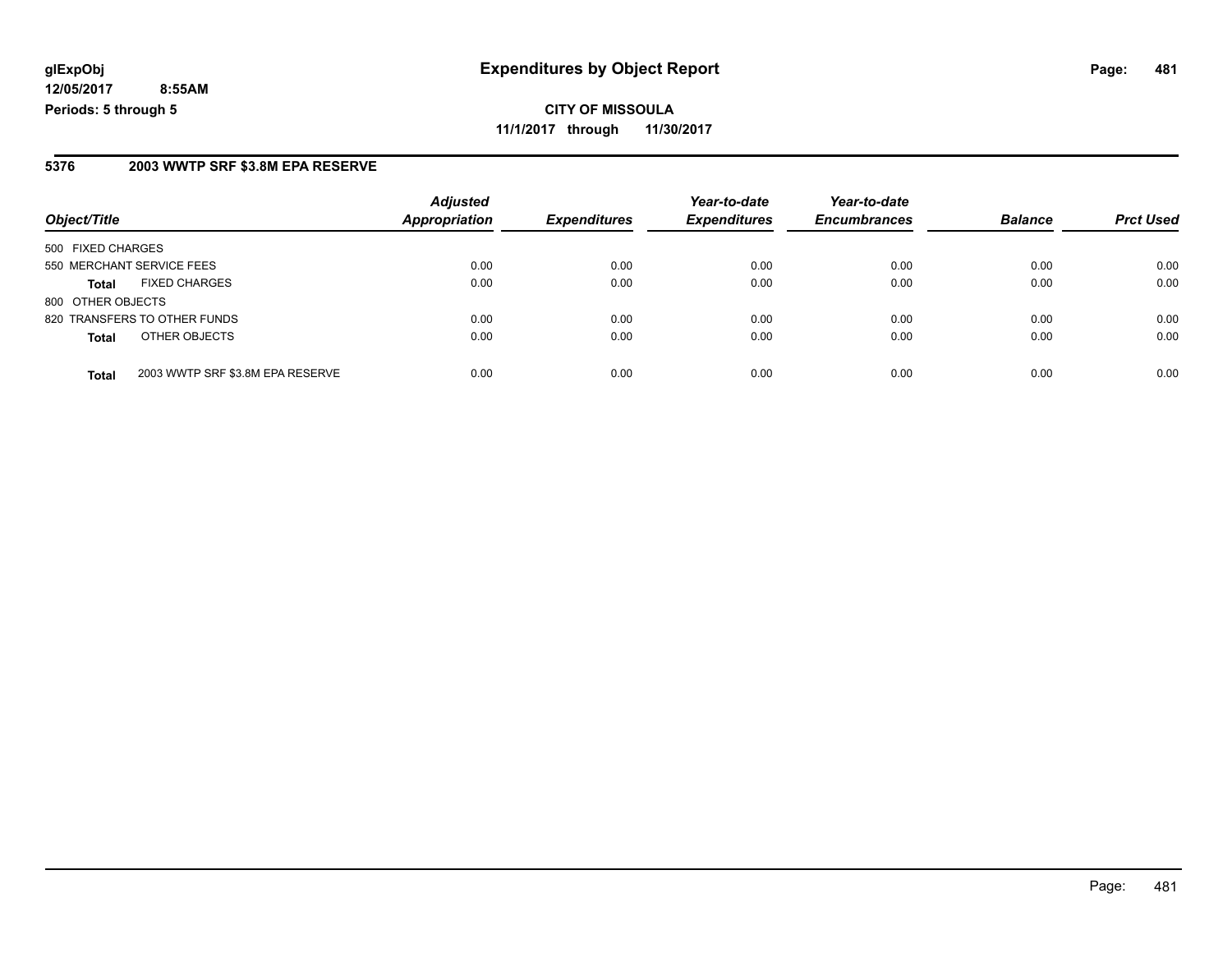**CITY OF MISSOULA 11/1/2017 through 11/30/2017**

#### **5376 2003 WWTP SRF \$3.8M EPA RESERVE**

| Object/Title              |                                  | <b>Adjusted</b><br><b>Appropriation</b> |                     | Year-to-date        | Year-to-date        | <b>Balance</b> | <b>Prct Used</b> |
|---------------------------|----------------------------------|-----------------------------------------|---------------------|---------------------|---------------------|----------------|------------------|
|                           |                                  |                                         | <b>Expenditures</b> | <b>Expenditures</b> | <b>Encumbrances</b> |                |                  |
| 500 FIXED CHARGES         |                                  |                                         |                     |                     |                     |                |                  |
| 550 MERCHANT SERVICE FEES |                                  | 0.00                                    | 0.00                | 0.00                | 0.00                | 0.00           | 0.00             |
| <b>Total</b>              | <b>FIXED CHARGES</b>             | 0.00                                    | 0.00                | 0.00                | 0.00                | 0.00           | 0.00             |
| 800 OTHER OBJECTS         |                                  |                                         |                     |                     |                     |                |                  |
|                           | 820 TRANSFERS TO OTHER FUNDS     | 0.00                                    | 0.00                | 0.00                | 0.00                | 0.00           | 0.00             |
| <b>Total</b>              | OTHER OBJECTS                    | 0.00                                    | 0.00                | 0.00                | 0.00                | 0.00           | 0.00             |
| <b>Total</b>              | 2003 WWTP SRF \$3.8M EPA RESERVE | 0.00                                    | 0.00                | 0.00                | 0.00                | 0.00           | 0.00             |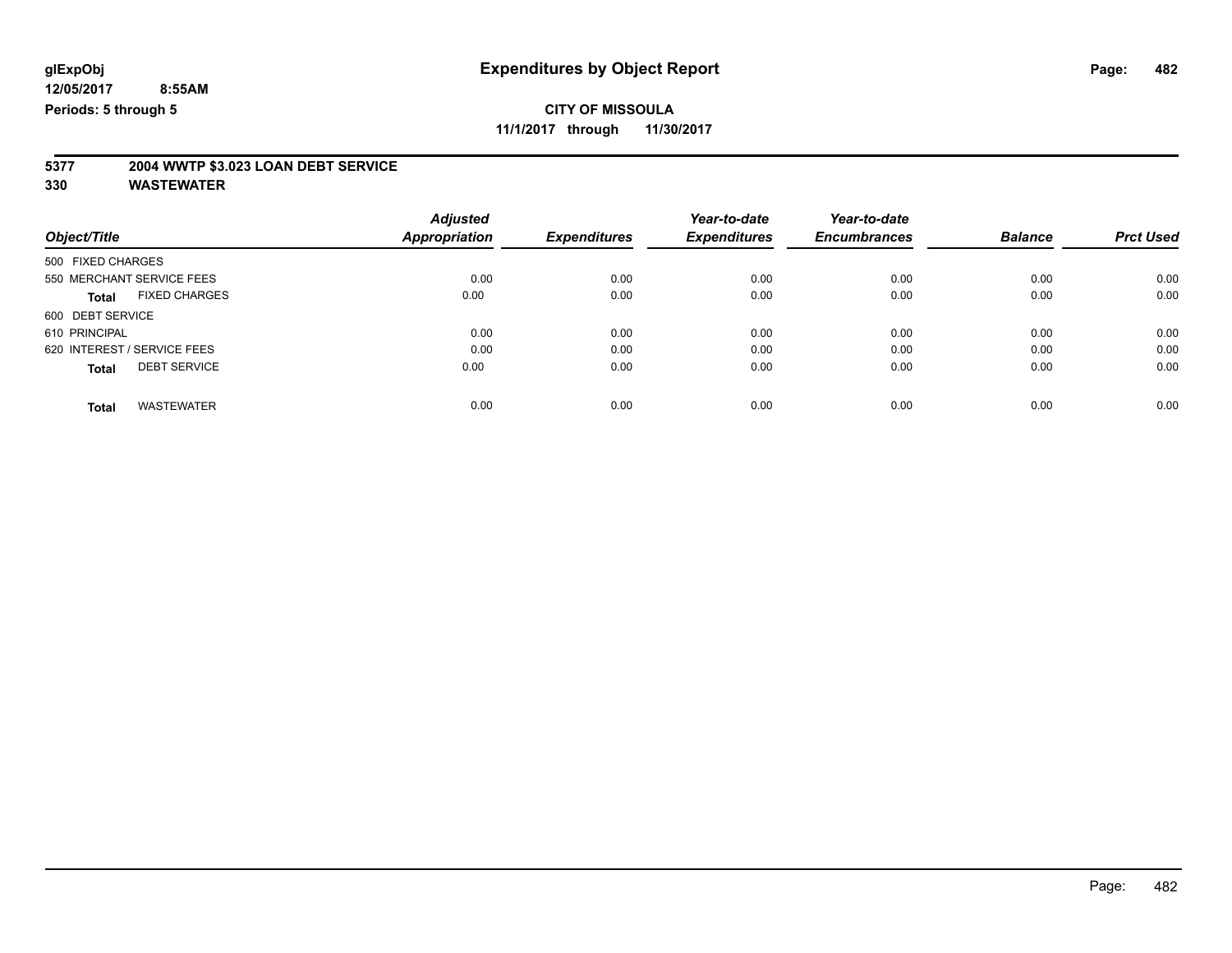**11/1/2017 through 11/30/2017**

# **5377 2004 WWTP \$3.023 LOAN DEBT SERVICE**

|                                      | <b>Adjusted</b> |                     | Year-to-date<br><b>Expenditures</b> | Year-to-date<br><b>Encumbrances</b> | <b>Balance</b> | <b>Prct Used</b> |
|--------------------------------------|-----------------|---------------------|-------------------------------------|-------------------------------------|----------------|------------------|
| Object/Title                         | Appropriation   | <b>Expenditures</b> |                                     |                                     |                |                  |
| 500 FIXED CHARGES                    |                 |                     |                                     |                                     |                |                  |
| 550 MERCHANT SERVICE FEES            | 0.00            | 0.00                | 0.00                                | 0.00                                | 0.00           | 0.00             |
| <b>FIXED CHARGES</b><br><b>Total</b> | 0.00            | 0.00                | 0.00                                | 0.00                                | 0.00           | 0.00             |
| 600 DEBT SERVICE                     |                 |                     |                                     |                                     |                |                  |
| 610 PRINCIPAL                        | 0.00            | 0.00                | 0.00                                | 0.00                                | 0.00           | 0.00             |
| 620 INTEREST / SERVICE FEES          | 0.00            | 0.00                | 0.00                                | 0.00                                | 0.00           | 0.00             |
| <b>DEBT SERVICE</b><br><b>Total</b>  | 0.00            | 0.00                | 0.00                                | 0.00                                | 0.00           | 0.00             |
| <b>WASTEWATER</b><br>Total           | 0.00            | 0.00                | 0.00                                | 0.00                                | 0.00           | 0.00             |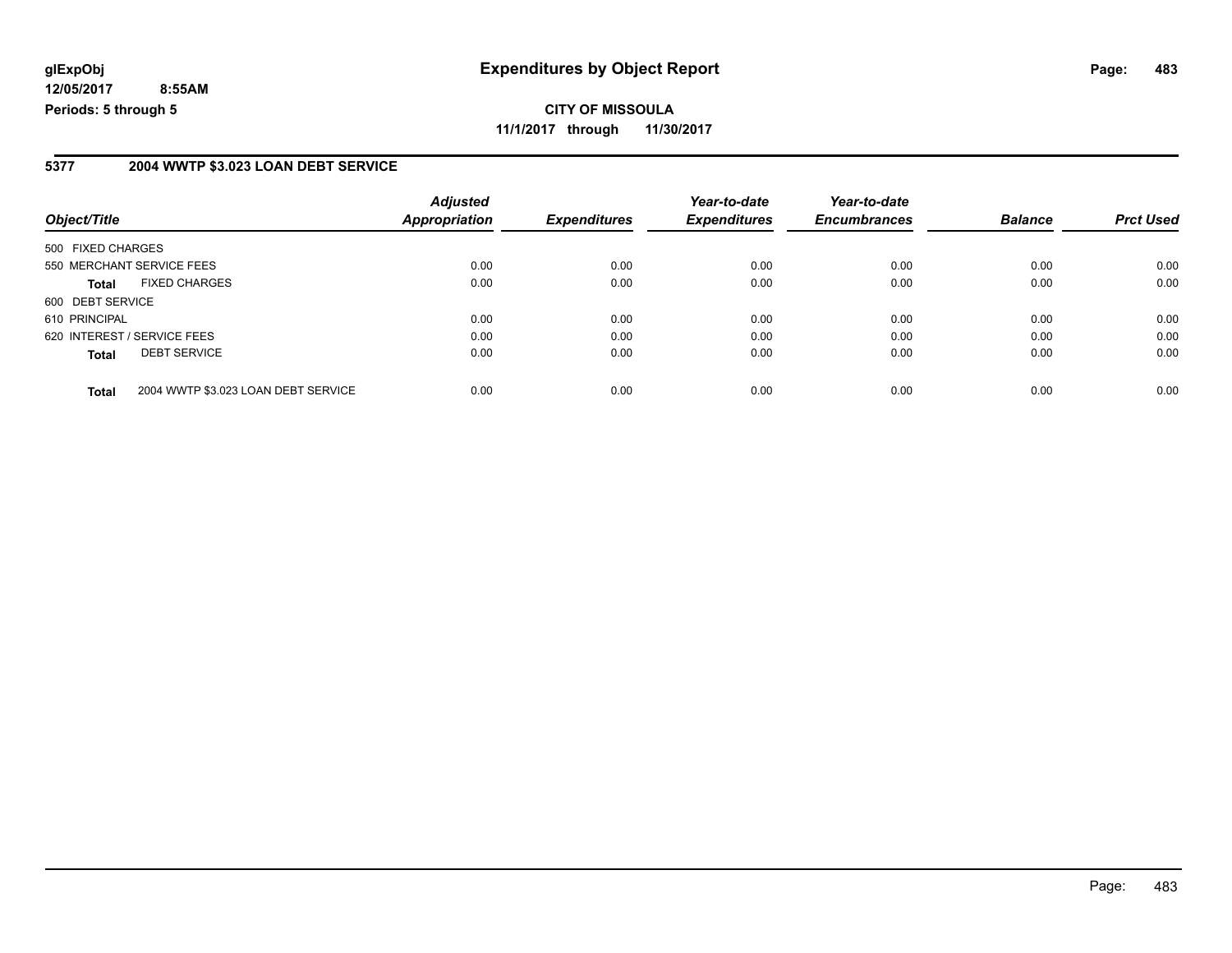**CITY OF MISSOULA 11/1/2017 through 11/30/2017**

#### **5377 2004 WWTP \$3.023 LOAN DEBT SERVICE**

| Object/Title                                        | <b>Adjusted</b><br><b>Appropriation</b> | <b>Expenditures</b> | Year-to-date<br><b>Expenditures</b> | Year-to-date<br><b>Encumbrances</b> | <b>Balance</b> | <b>Prct Used</b> |
|-----------------------------------------------------|-----------------------------------------|---------------------|-------------------------------------|-------------------------------------|----------------|------------------|
| 500 FIXED CHARGES                                   |                                         |                     |                                     |                                     |                |                  |
| 550 MERCHANT SERVICE FEES                           | 0.00                                    | 0.00                | 0.00                                | 0.00                                | 0.00           | 0.00             |
| <b>FIXED CHARGES</b><br><b>Total</b>                | 0.00                                    | 0.00                | 0.00                                | 0.00                                | 0.00           | 0.00             |
| 600 DEBT SERVICE                                    |                                         |                     |                                     |                                     |                |                  |
| 610 PRINCIPAL                                       | 0.00                                    | 0.00                | 0.00                                | 0.00                                | 0.00           | 0.00             |
| 620 INTEREST / SERVICE FEES                         | 0.00                                    | 0.00                | 0.00                                | 0.00                                | 0.00           | 0.00             |
| <b>DEBT SERVICE</b><br><b>Total</b>                 | 0.00                                    | 0.00                | 0.00                                | 0.00                                | 0.00           | 0.00             |
| 2004 WWTP \$3.023 LOAN DEBT SERVICE<br><b>Total</b> | 0.00                                    | 0.00                | 0.00                                | 0.00                                | 0.00           | 0.00             |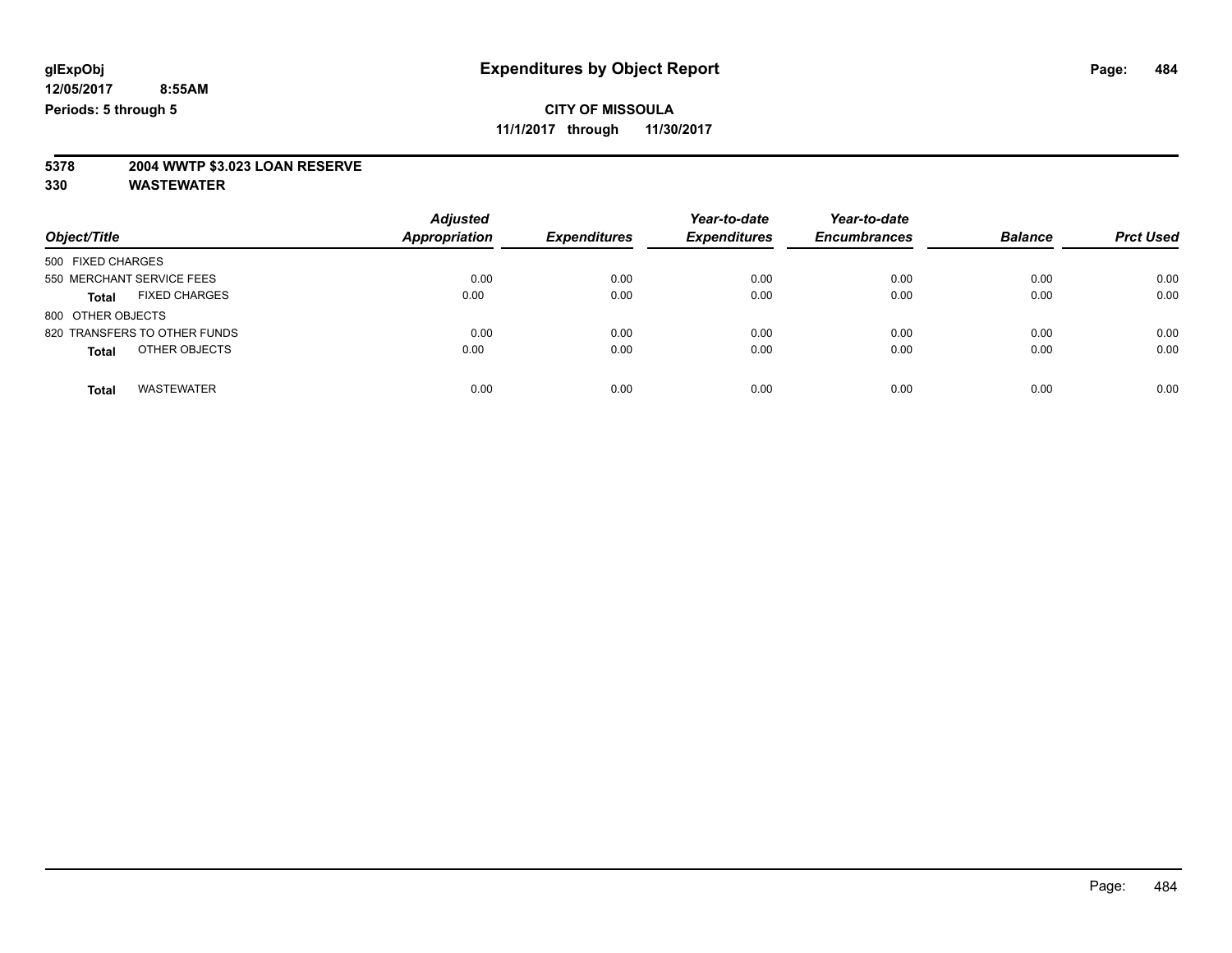**11/1/2017 through 11/30/2017**

# **5378 2004 WWTP \$3.023 LOAN RESERVE**

| Object/Title                         | <b>Adjusted</b><br>Appropriation | <b>Expenditures</b> | Year-to-date<br><b>Expenditures</b> | Year-to-date<br><b>Encumbrances</b> | <b>Balance</b> | <b>Prct Used</b> |
|--------------------------------------|----------------------------------|---------------------|-------------------------------------|-------------------------------------|----------------|------------------|
| 500 FIXED CHARGES                    |                                  |                     |                                     |                                     |                |                  |
| 550 MERCHANT SERVICE FEES            | 0.00                             | 0.00                | 0.00                                | 0.00                                | 0.00           | 0.00             |
| <b>FIXED CHARGES</b><br><b>Total</b> | 0.00                             | 0.00                | 0.00                                | 0.00                                | 0.00           | 0.00             |
| 800 OTHER OBJECTS                    |                                  |                     |                                     |                                     |                |                  |
| 820 TRANSFERS TO OTHER FUNDS         | 0.00                             | 0.00                | 0.00                                | 0.00                                | 0.00           | 0.00             |
| OTHER OBJECTS<br><b>Total</b>        | 0.00                             | 0.00                | 0.00                                | 0.00                                | 0.00           | 0.00             |
| <b>WASTEWATER</b><br><b>Total</b>    | 0.00                             | 0.00                | 0.00                                | 0.00                                | 0.00           | 0.00             |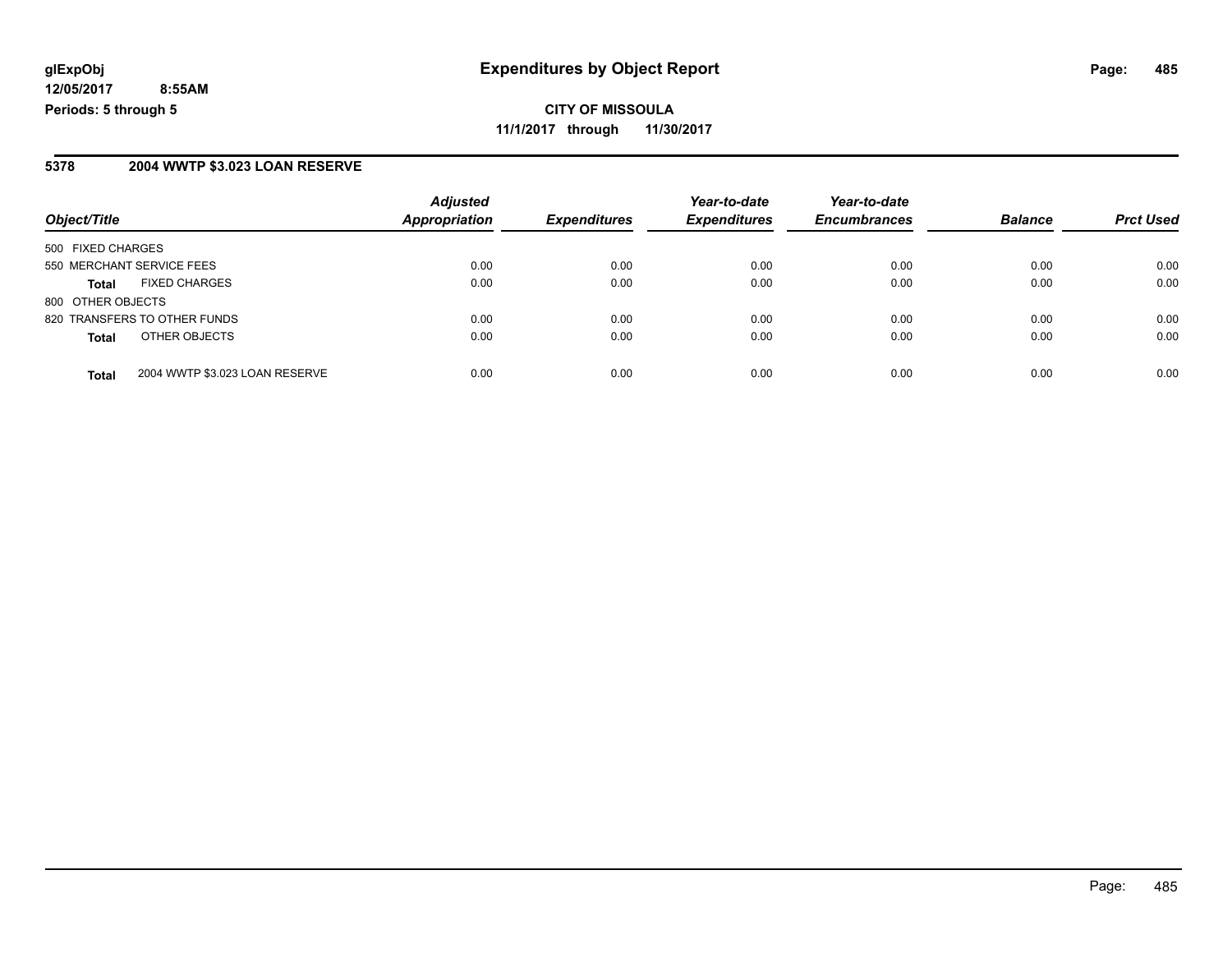**CITY OF MISSOULA 11/1/2017 through 11/30/2017**

#### **5378 2004 WWTP \$3.023 LOAN RESERVE**

| Object/Title              |                                | <b>Adjusted</b><br><b>Appropriation</b><br><b>Expenditures</b> | Year-to-date | Year-to-date        |                     |                |                  |
|---------------------------|--------------------------------|----------------------------------------------------------------|--------------|---------------------|---------------------|----------------|------------------|
|                           |                                |                                                                |              | <b>Expenditures</b> | <b>Encumbrances</b> | <b>Balance</b> | <b>Prct Used</b> |
| 500 FIXED CHARGES         |                                |                                                                |              |                     |                     |                |                  |
| 550 MERCHANT SERVICE FEES |                                | 0.00                                                           | 0.00         | 0.00                | 0.00                | 0.00           | 0.00             |
| Total                     | <b>FIXED CHARGES</b>           | 0.00                                                           | 0.00         | 0.00                | 0.00                | 0.00           | 0.00             |
| 800 OTHER OBJECTS         |                                |                                                                |              |                     |                     |                |                  |
|                           | 820 TRANSFERS TO OTHER FUNDS   | 0.00                                                           | 0.00         | 0.00                | 0.00                | 0.00           | 0.00             |
| <b>Total</b>              | OTHER OBJECTS                  | 0.00                                                           | 0.00         | 0.00                | 0.00                | 0.00           | 0.00             |
| <b>Total</b>              | 2004 WWTP \$3.023 LOAN RESERVE | 0.00                                                           | 0.00         | 0.00                | 0.00                | 0.00           | 0.00             |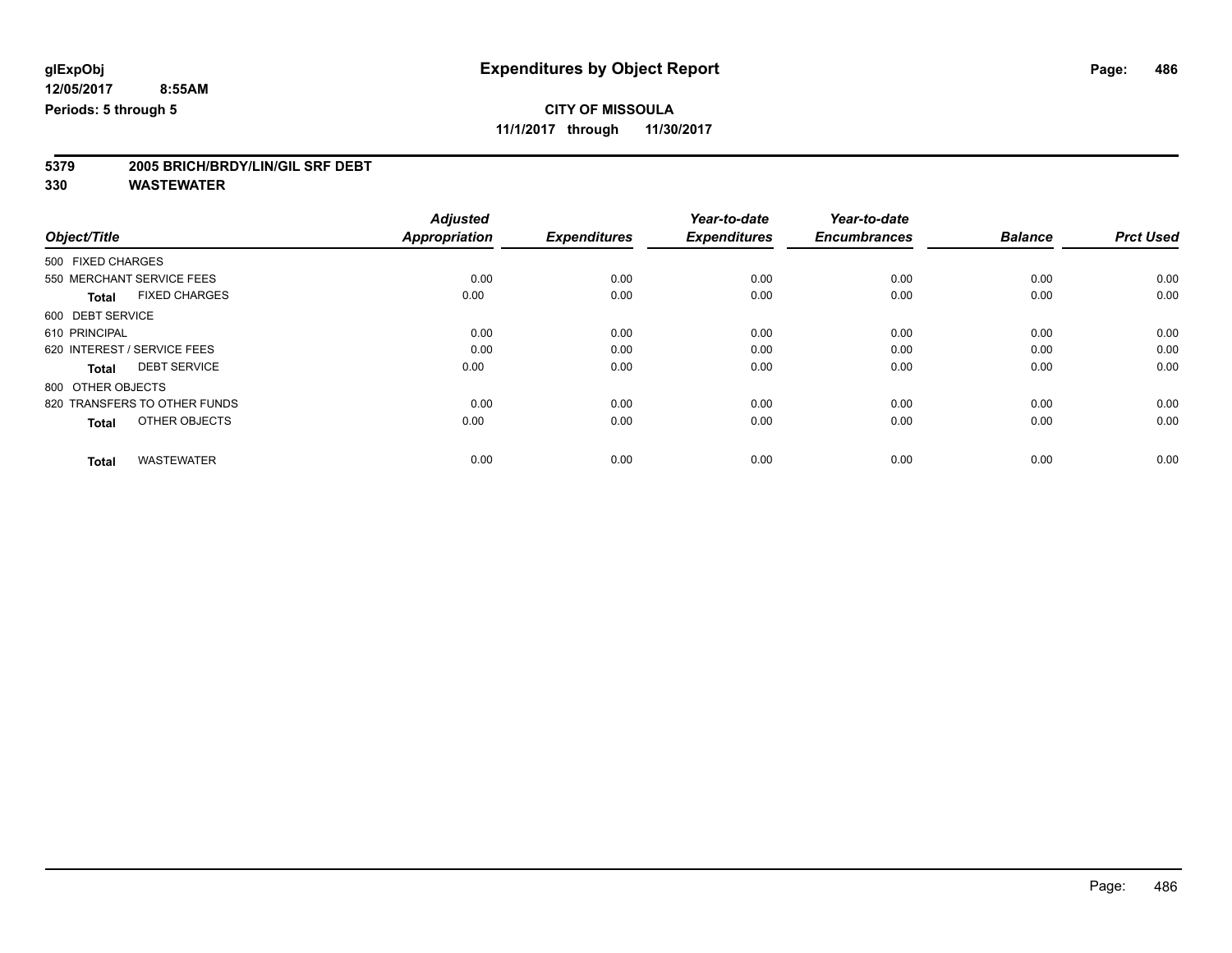**11/1/2017 through 11/30/2017**

# **5379 2005 BRICH/BRDY/LIN/GIL SRF DEBT**

|                                      | <b>Adjusted</b>      | <b>Expenditures</b> | Year-to-date<br><b>Expenditures</b> | Year-to-date<br><b>Encumbrances</b> | <b>Balance</b> | <b>Prct Used</b> |
|--------------------------------------|----------------------|---------------------|-------------------------------------|-------------------------------------|----------------|------------------|
| Object/Title                         | <b>Appropriation</b> |                     |                                     |                                     |                |                  |
| 500 FIXED CHARGES                    |                      |                     |                                     |                                     |                |                  |
| 550 MERCHANT SERVICE FEES            | 0.00                 | 0.00                | 0.00                                | 0.00                                | 0.00           | 0.00             |
| <b>FIXED CHARGES</b><br><b>Total</b> | 0.00                 | 0.00                | 0.00                                | 0.00                                | 0.00           | 0.00             |
| 600 DEBT SERVICE                     |                      |                     |                                     |                                     |                |                  |
| 610 PRINCIPAL                        | 0.00                 | 0.00                | 0.00                                | 0.00                                | 0.00           | 0.00             |
| 620 INTEREST / SERVICE FEES          | 0.00                 | 0.00                | 0.00                                | 0.00                                | 0.00           | 0.00             |
| <b>DEBT SERVICE</b><br><b>Total</b>  | 0.00                 | 0.00                | 0.00                                | 0.00                                | 0.00           | 0.00             |
| 800 OTHER OBJECTS                    |                      |                     |                                     |                                     |                |                  |
| 820 TRANSFERS TO OTHER FUNDS         | 0.00                 | 0.00                | 0.00                                | 0.00                                | 0.00           | 0.00             |
| OTHER OBJECTS<br><b>Total</b>        | 0.00                 | 0.00                | 0.00                                | 0.00                                | 0.00           | 0.00             |
|                                      |                      |                     |                                     |                                     |                |                  |
| <b>WASTEWATER</b><br><b>Total</b>    | 0.00                 | 0.00                | 0.00                                | 0.00                                | 0.00           | 0.00             |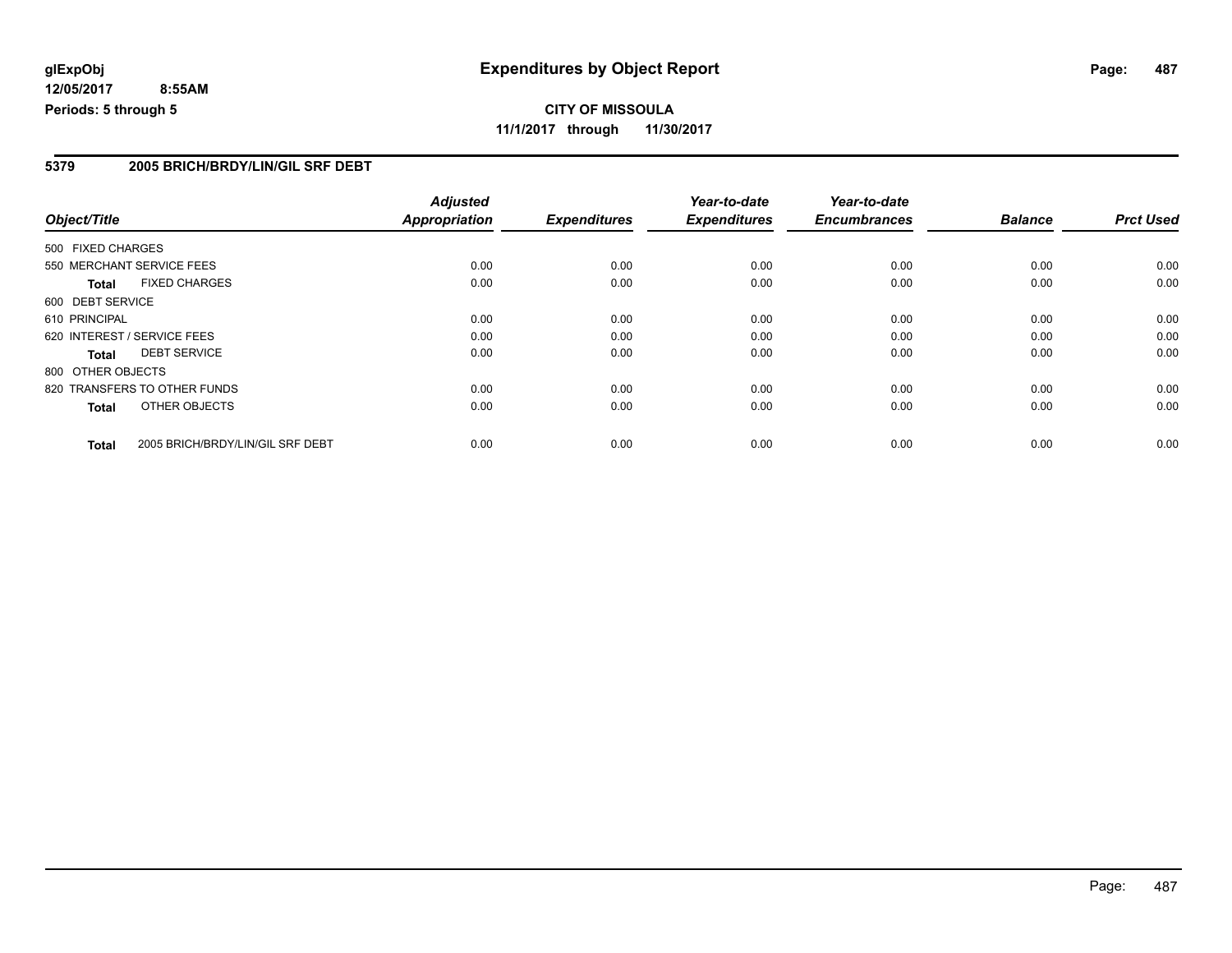#### **5379 2005 BRICH/BRDY/LIN/GIL SRF DEBT**

|                   |                                  | <b>Adjusted</b>      |                     | Year-to-date        | Year-to-date        |                |                  |
|-------------------|----------------------------------|----------------------|---------------------|---------------------|---------------------|----------------|------------------|
| Object/Title      |                                  | <b>Appropriation</b> | <b>Expenditures</b> | <b>Expenditures</b> | <b>Encumbrances</b> | <b>Balance</b> | <b>Prct Used</b> |
| 500 FIXED CHARGES |                                  |                      |                     |                     |                     |                |                  |
|                   | 550 MERCHANT SERVICE FEES        | 0.00                 | 0.00                | 0.00                | 0.00                | 0.00           | 0.00             |
| Total             | <b>FIXED CHARGES</b>             | 0.00                 | 0.00                | 0.00                | 0.00                | 0.00           | 0.00             |
| 600 DEBT SERVICE  |                                  |                      |                     |                     |                     |                |                  |
| 610 PRINCIPAL     |                                  | 0.00                 | 0.00                | 0.00                | 0.00                | 0.00           | 0.00             |
|                   | 620 INTEREST / SERVICE FEES      | 0.00                 | 0.00                | 0.00                | 0.00                | 0.00           | 0.00             |
| <b>Total</b>      | <b>DEBT SERVICE</b>              | 0.00                 | 0.00                | 0.00                | 0.00                | 0.00           | 0.00             |
| 800 OTHER OBJECTS |                                  |                      |                     |                     |                     |                |                  |
|                   | 820 TRANSFERS TO OTHER FUNDS     | 0.00                 | 0.00                | 0.00                | 0.00                | 0.00           | 0.00             |
| Total             | OTHER OBJECTS                    | 0.00                 | 0.00                | 0.00                | 0.00                | 0.00           | 0.00             |
| <b>Total</b>      | 2005 BRICH/BRDY/LIN/GIL SRF DEBT | 0.00                 | 0.00                | 0.00                | 0.00                | 0.00           | 0.00             |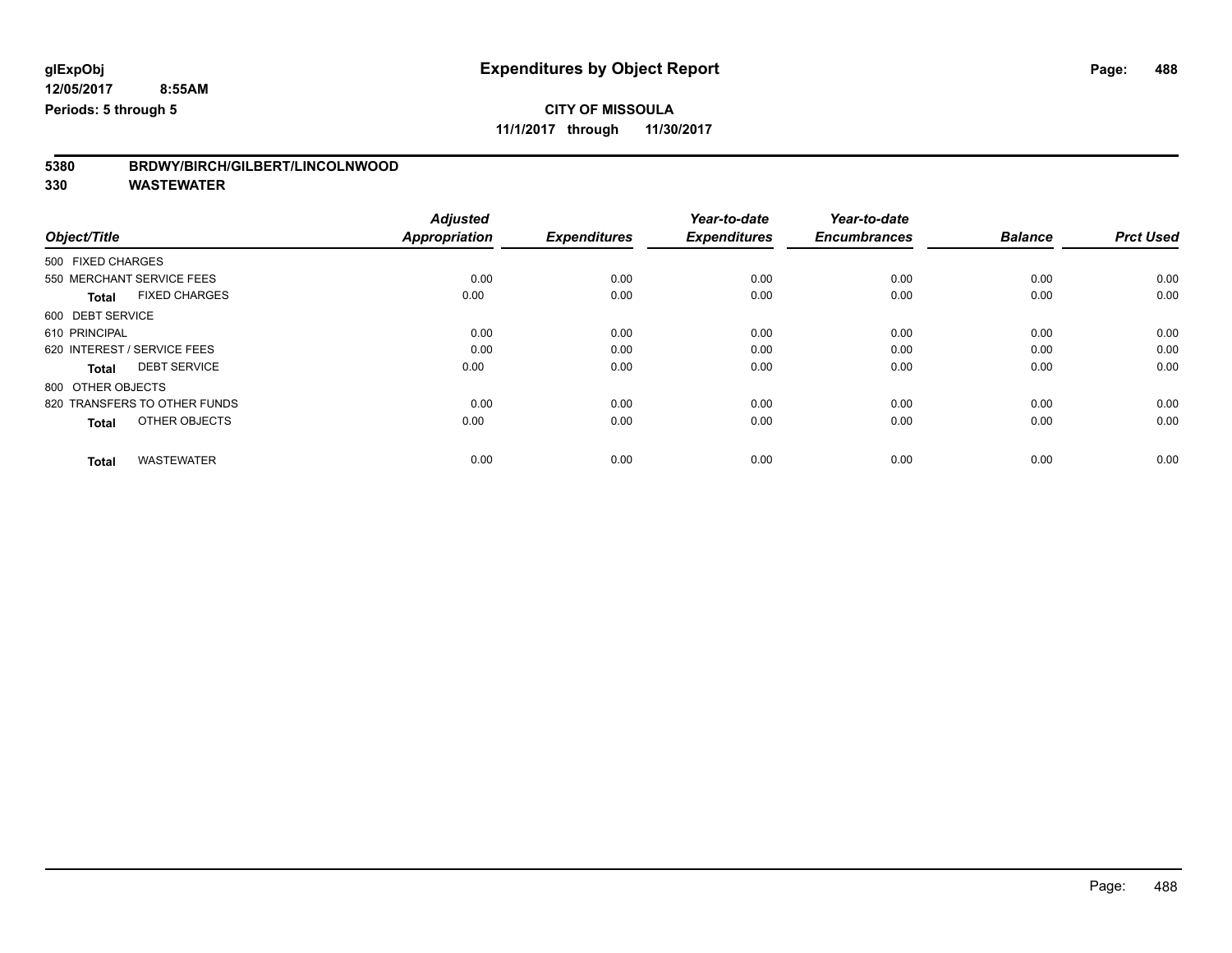**11/1/2017 through 11/30/2017**

| 5380 | BRDWY/BIRCH/GILBERT/LINCOLNWOOD |
|------|---------------------------------|
|      |                                 |

| Object/Title                         | <b>Adjusted</b><br><b>Appropriation</b> | <b>Expenditures</b> | Year-to-date<br><b>Expenditures</b> | Year-to-date<br><b>Encumbrances</b> | <b>Balance</b> | <b>Prct Used</b> |
|--------------------------------------|-----------------------------------------|---------------------|-------------------------------------|-------------------------------------|----------------|------------------|
| 500 FIXED CHARGES                    |                                         |                     |                                     |                                     |                |                  |
| 550 MERCHANT SERVICE FEES            | 0.00                                    | 0.00                | 0.00                                | 0.00                                | 0.00           | 0.00             |
| <b>FIXED CHARGES</b><br><b>Total</b> | 0.00                                    | 0.00                | 0.00                                | 0.00                                | 0.00           | 0.00             |
| 600 DEBT SERVICE                     |                                         |                     |                                     |                                     |                |                  |
| 610 PRINCIPAL                        | 0.00                                    | 0.00                | 0.00                                | 0.00                                | 0.00           | 0.00             |
| 620 INTEREST / SERVICE FEES          | 0.00                                    | 0.00                | 0.00                                | 0.00                                | 0.00           | 0.00             |
| <b>DEBT SERVICE</b><br><b>Total</b>  | 0.00                                    | 0.00                | 0.00                                | 0.00                                | 0.00           | 0.00             |
| 800 OTHER OBJECTS                    |                                         |                     |                                     |                                     |                |                  |
| 820 TRANSFERS TO OTHER FUNDS         | 0.00                                    | 0.00                | 0.00                                | 0.00                                | 0.00           | 0.00             |
| OTHER OBJECTS<br><b>Total</b>        | 0.00                                    | 0.00                | 0.00                                | 0.00                                | 0.00           | 0.00             |
|                                      |                                         |                     |                                     |                                     |                |                  |
| <b>WASTEWATER</b><br><b>Total</b>    | 0.00                                    | 0.00                | 0.00                                | 0.00                                | 0.00           | 0.00             |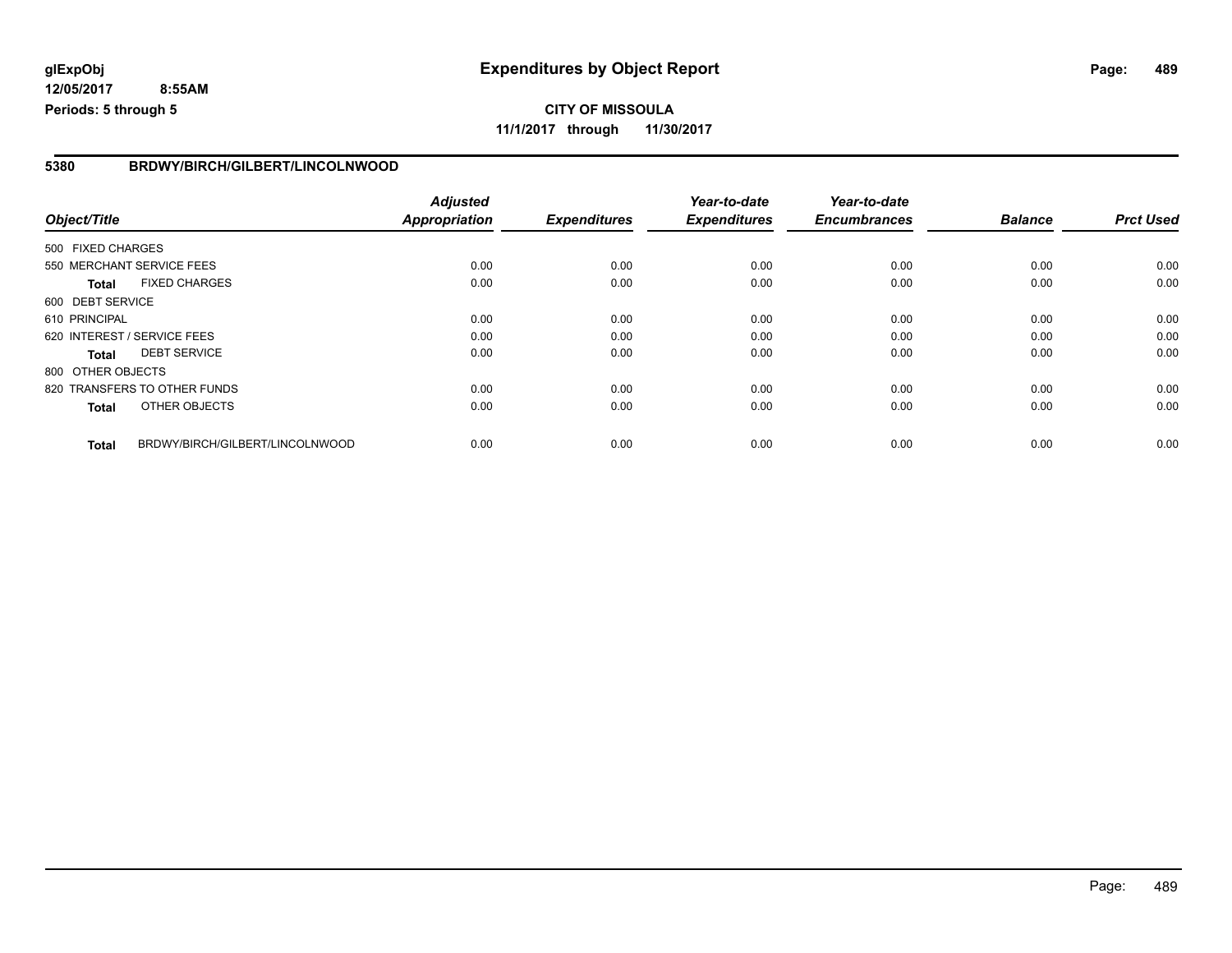#### **5380 BRDWY/BIRCH/GILBERT/LINCOLNWOOD**

|                   |                                 | <b>Adjusted</b>      |                     | Year-to-date        | Year-to-date        |                |                  |
|-------------------|---------------------------------|----------------------|---------------------|---------------------|---------------------|----------------|------------------|
| Object/Title      |                                 | <b>Appropriation</b> | <b>Expenditures</b> | <b>Expenditures</b> | <b>Encumbrances</b> | <b>Balance</b> | <b>Prct Used</b> |
| 500 FIXED CHARGES |                                 |                      |                     |                     |                     |                |                  |
|                   | 550 MERCHANT SERVICE FEES       | 0.00                 | 0.00                | 0.00                | 0.00                | 0.00           | 0.00             |
| <b>Total</b>      | <b>FIXED CHARGES</b>            | 0.00                 | 0.00                | 0.00                | 0.00                | 0.00           | 0.00             |
| 600 DEBT SERVICE  |                                 |                      |                     |                     |                     |                |                  |
| 610 PRINCIPAL     |                                 | 0.00                 | 0.00                | 0.00                | 0.00                | 0.00           | 0.00             |
|                   | 620 INTEREST / SERVICE FEES     | 0.00                 | 0.00                | 0.00                | 0.00                | 0.00           | 0.00             |
| <b>Total</b>      | <b>DEBT SERVICE</b>             | 0.00                 | 0.00                | 0.00                | 0.00                | 0.00           | 0.00             |
| 800 OTHER OBJECTS |                                 |                      |                     |                     |                     |                |                  |
|                   | 820 TRANSFERS TO OTHER FUNDS    | 0.00                 | 0.00                | 0.00                | 0.00                | 0.00           | 0.00             |
| <b>Total</b>      | OTHER OBJECTS                   | 0.00                 | 0.00                | 0.00                | 0.00                | 0.00           | 0.00             |
| <b>Total</b>      | BRDWY/BIRCH/GILBERT/LINCOLNWOOD | 0.00                 | 0.00                | 0.00                | 0.00                | 0.00           | 0.00             |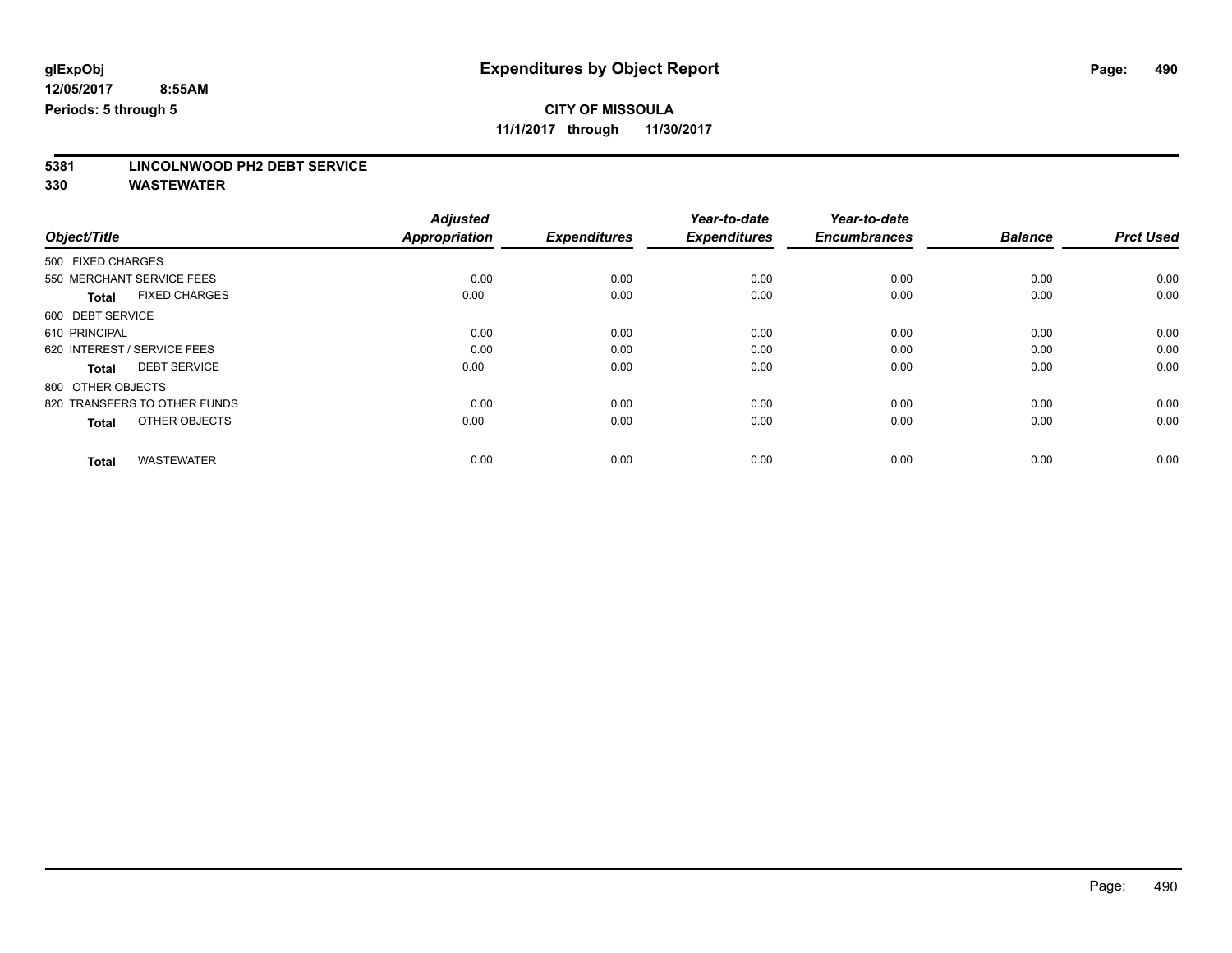**11/1/2017 through 11/30/2017**

# **5381 LINCOLNWOOD PH2 DEBT SERVICE**

|                                      | <b>Adjusted</b>      |                     | Year-to-date        | Year-to-date        |                |                  |
|--------------------------------------|----------------------|---------------------|---------------------|---------------------|----------------|------------------|
| Object/Title                         | <b>Appropriation</b> | <b>Expenditures</b> | <b>Expenditures</b> | <b>Encumbrances</b> | <b>Balance</b> | <b>Prct Used</b> |
| 500 FIXED CHARGES                    |                      |                     |                     |                     |                |                  |
| 550 MERCHANT SERVICE FEES            | 0.00                 | 0.00                | 0.00                | 0.00                | 0.00           | 0.00             |
| <b>FIXED CHARGES</b><br><b>Total</b> | 0.00                 | 0.00                | 0.00                | 0.00                | 0.00           | 0.00             |
| 600 DEBT SERVICE                     |                      |                     |                     |                     |                |                  |
| 610 PRINCIPAL                        | 0.00                 | 0.00                | 0.00                | 0.00                | 0.00           | 0.00             |
| 620 INTEREST / SERVICE FEES          | 0.00                 | 0.00                | 0.00                | 0.00                | 0.00           | 0.00             |
| <b>DEBT SERVICE</b><br><b>Total</b>  | 0.00                 | 0.00                | 0.00                | 0.00                | 0.00           | 0.00             |
| 800 OTHER OBJECTS                    |                      |                     |                     |                     |                |                  |
| 820 TRANSFERS TO OTHER FUNDS         | 0.00                 | 0.00                | 0.00                | 0.00                | 0.00           | 0.00             |
| OTHER OBJECTS<br><b>Total</b>        | 0.00                 | 0.00                | 0.00                | 0.00                | 0.00           | 0.00             |
|                                      |                      |                     |                     |                     |                |                  |
| <b>WASTEWATER</b><br><b>Total</b>    | 0.00                 | 0.00                | 0.00                | 0.00                | 0.00           | 0.00             |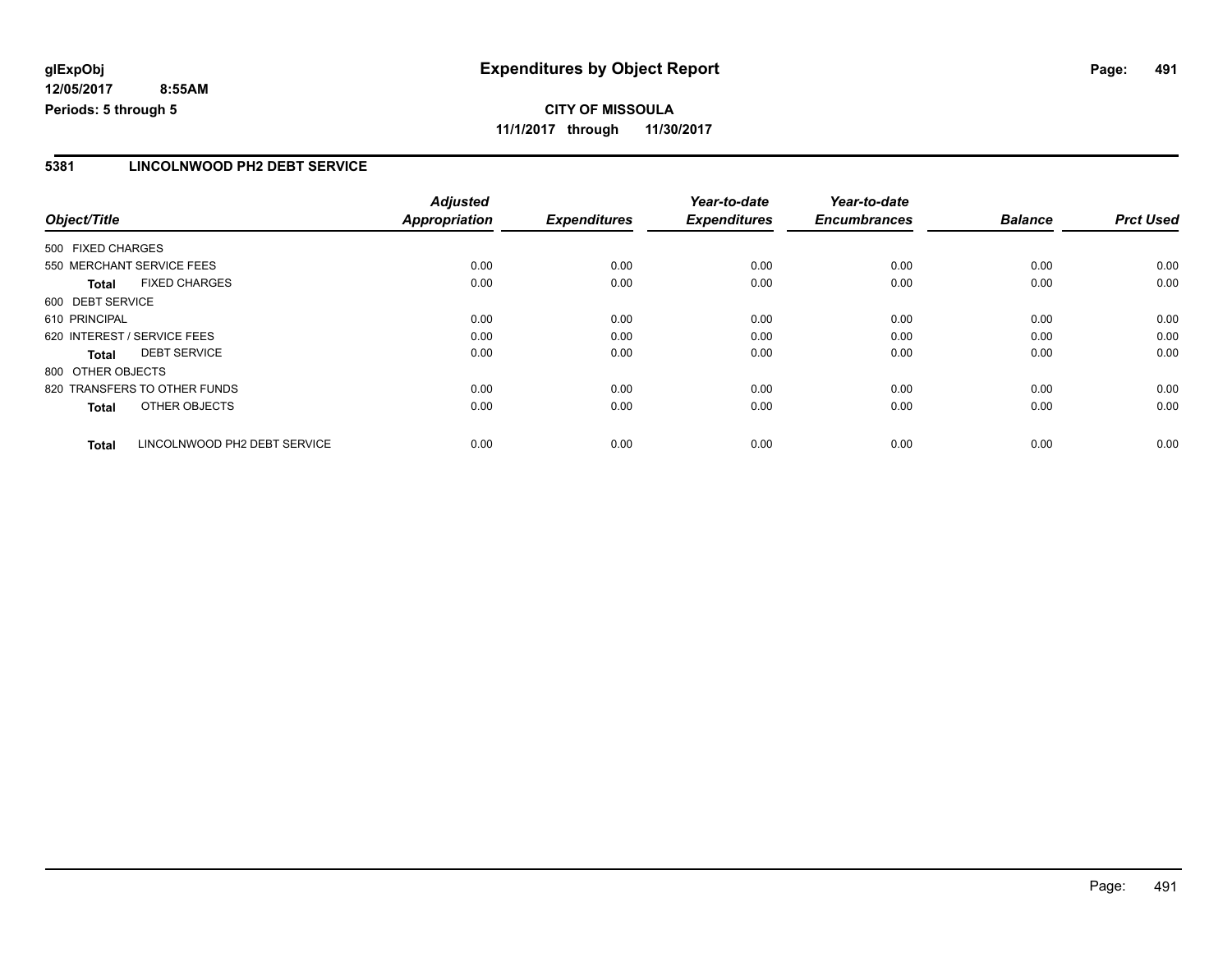**CITY OF MISSOULA 11/1/2017 through 11/30/2017**

#### **5381 LINCOLNWOOD PH2 DEBT SERVICE**

| Object/Title      |                              | <b>Adjusted</b>      |                     | Year-to-date        | Year-to-date        |                |                  |
|-------------------|------------------------------|----------------------|---------------------|---------------------|---------------------|----------------|------------------|
|                   |                              | <b>Appropriation</b> | <b>Expenditures</b> | <b>Expenditures</b> | <b>Encumbrances</b> | <b>Balance</b> | <b>Prct Used</b> |
| 500 FIXED CHARGES |                              |                      |                     |                     |                     |                |                  |
|                   | 550 MERCHANT SERVICE FEES    | 0.00                 | 0.00                | 0.00                | 0.00                | 0.00           | 0.00             |
| <b>Total</b>      | <b>FIXED CHARGES</b>         | 0.00                 | 0.00                | 0.00                | 0.00                | 0.00           | 0.00             |
| 600 DEBT SERVICE  |                              |                      |                     |                     |                     |                |                  |
| 610 PRINCIPAL     |                              | 0.00                 | 0.00                | 0.00                | 0.00                | 0.00           | 0.00             |
|                   | 620 INTEREST / SERVICE FEES  | 0.00                 | 0.00                | 0.00                | 0.00                | 0.00           | 0.00             |
| Total             | <b>DEBT SERVICE</b>          | 0.00                 | 0.00                | 0.00                | 0.00                | 0.00           | 0.00             |
| 800 OTHER OBJECTS |                              |                      |                     |                     |                     |                |                  |
|                   | 820 TRANSFERS TO OTHER FUNDS | 0.00                 | 0.00                | 0.00                | 0.00                | 0.00           | 0.00             |
| <b>Total</b>      | OTHER OBJECTS                | 0.00                 | 0.00                | 0.00                | 0.00                | 0.00           | 0.00             |
| <b>Total</b>      | LINCOLNWOOD PH2 DEBT SERVICE | 0.00                 | 0.00                | 0.00                | 0.00                | 0.00           | 0.00             |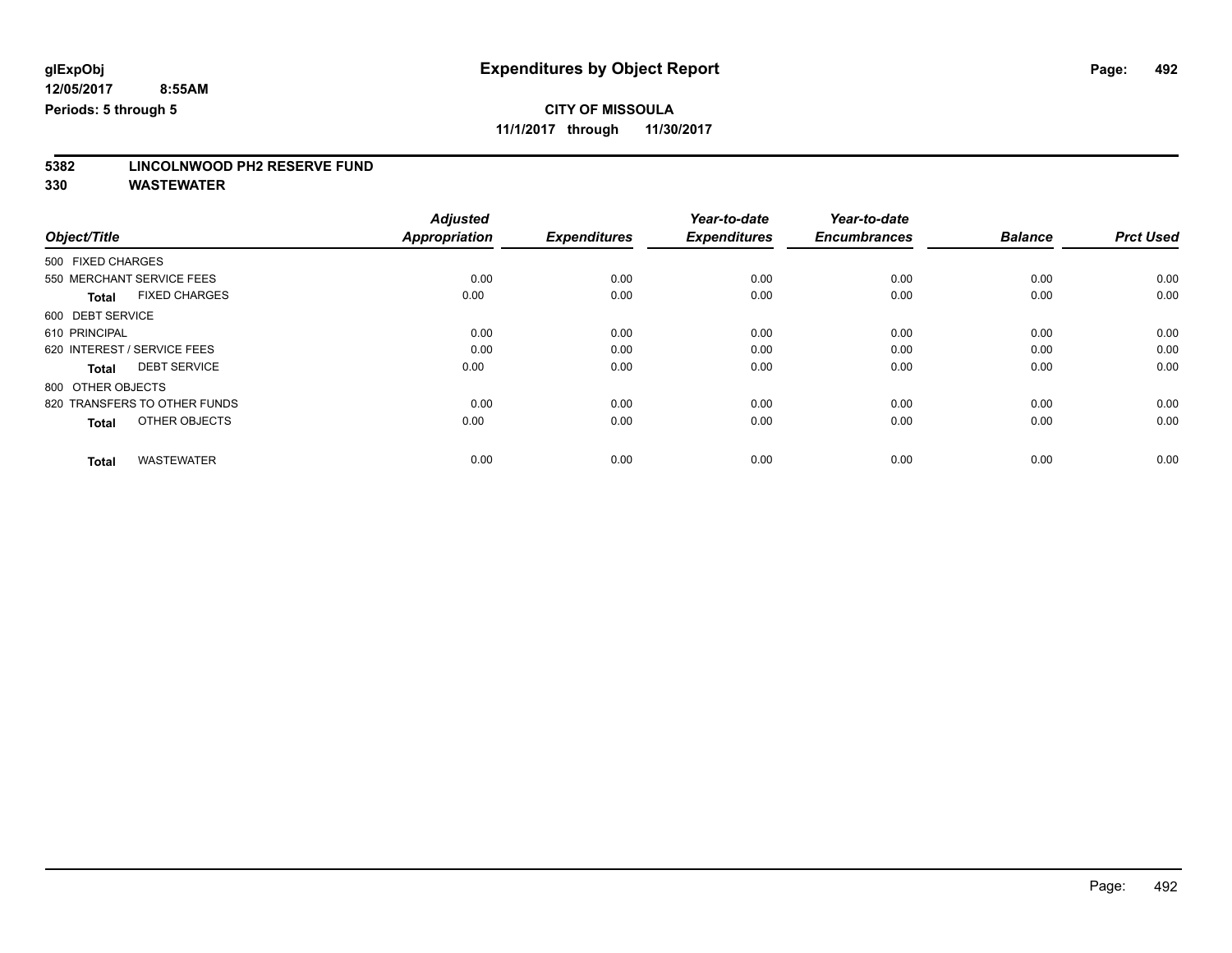**11/1/2017 through 11/30/2017**

# **5382 LINCOLNWOOD PH2 RESERVE FUND**

|                                      | <b>Adjusted</b>      |                     | Year-to-date        | Year-to-date        |                |                  |
|--------------------------------------|----------------------|---------------------|---------------------|---------------------|----------------|------------------|
| Object/Title                         | <b>Appropriation</b> | <b>Expenditures</b> | <b>Expenditures</b> | <b>Encumbrances</b> | <b>Balance</b> | <b>Prct Used</b> |
| 500 FIXED CHARGES                    |                      |                     |                     |                     |                |                  |
| 550 MERCHANT SERVICE FEES            | 0.00                 | 0.00                | 0.00                | 0.00                | 0.00           | 0.00             |
| <b>FIXED CHARGES</b><br><b>Total</b> | 0.00                 | 0.00                | 0.00                | 0.00                | 0.00           | 0.00             |
| 600 DEBT SERVICE                     |                      |                     |                     |                     |                |                  |
| 610 PRINCIPAL                        | 0.00                 | 0.00                | 0.00                | 0.00                | 0.00           | 0.00             |
| 620 INTEREST / SERVICE FEES          | 0.00                 | 0.00                | 0.00                | 0.00                | 0.00           | 0.00             |
| <b>DEBT SERVICE</b><br><b>Total</b>  | 0.00                 | 0.00                | 0.00                | 0.00                | 0.00           | 0.00             |
| 800 OTHER OBJECTS                    |                      |                     |                     |                     |                |                  |
| 820 TRANSFERS TO OTHER FUNDS         | 0.00                 | 0.00                | 0.00                | 0.00                | 0.00           | 0.00             |
| OTHER OBJECTS<br><b>Total</b>        | 0.00                 | 0.00                | 0.00                | 0.00                | 0.00           | 0.00             |
|                                      |                      |                     |                     |                     |                |                  |
| <b>WASTEWATER</b><br><b>Total</b>    | 0.00                 | 0.00                | 0.00                | 0.00                | 0.00           | 0.00             |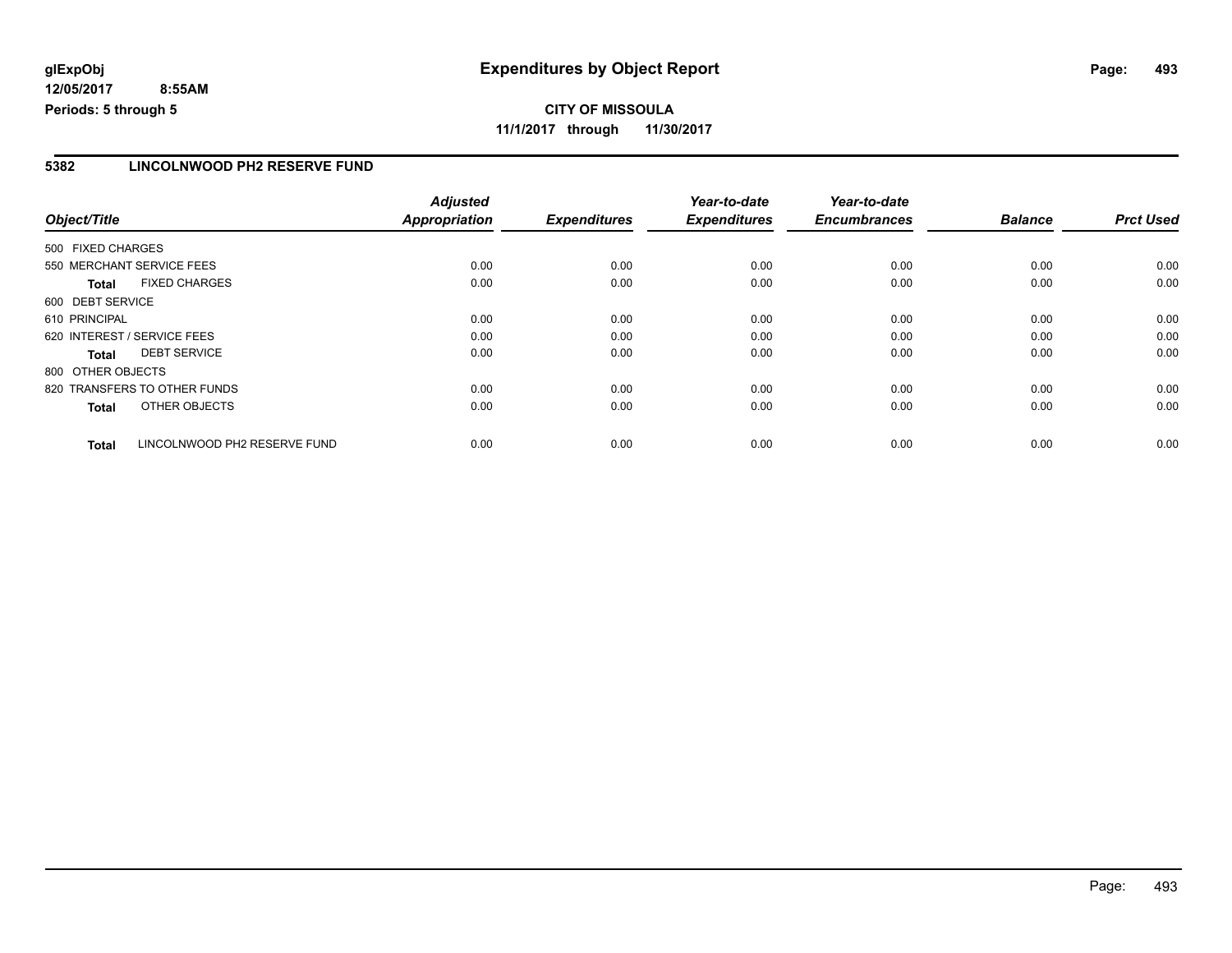#### **5382 LINCOLNWOOD PH2 RESERVE FUND**

|                              |                              | <b>Adjusted</b>      |                     | Year-to-date        | Year-to-date        |                |                  |
|------------------------------|------------------------------|----------------------|---------------------|---------------------|---------------------|----------------|------------------|
| Object/Title                 |                              | <b>Appropriation</b> | <b>Expenditures</b> | <b>Expenditures</b> | <b>Encumbrances</b> | <b>Balance</b> | <b>Prct Used</b> |
| 500 FIXED CHARGES            |                              |                      |                     |                     |                     |                |                  |
| 550 MERCHANT SERVICE FEES    |                              | 0.00                 | 0.00                | 0.00                | 0.00                | 0.00           | 0.00             |
| <b>Total</b>                 | <b>FIXED CHARGES</b>         | 0.00                 | 0.00                | 0.00                | 0.00                | 0.00           | 0.00             |
| 600 DEBT SERVICE             |                              |                      |                     |                     |                     |                |                  |
| 610 PRINCIPAL                |                              | 0.00                 | 0.00                | 0.00                | 0.00                | 0.00           | 0.00             |
| 620 INTEREST / SERVICE FEES  |                              | 0.00                 | 0.00                | 0.00                | 0.00                | 0.00           | 0.00             |
| Total                        | <b>DEBT SERVICE</b>          | 0.00                 | 0.00                | 0.00                | 0.00                | 0.00           | 0.00             |
| 800 OTHER OBJECTS            |                              |                      |                     |                     |                     |                |                  |
| 820 TRANSFERS TO OTHER FUNDS |                              | 0.00                 | 0.00                | 0.00                | 0.00                | 0.00           | 0.00             |
| <b>Total</b>                 | OTHER OBJECTS                | 0.00                 | 0.00                | 0.00                | 0.00                | 0.00           | 0.00             |
| <b>Total</b>                 | LINCOLNWOOD PH2 RESERVE FUND | 0.00                 | 0.00                | 0.00                | 0.00                | 0.00           | 0.00             |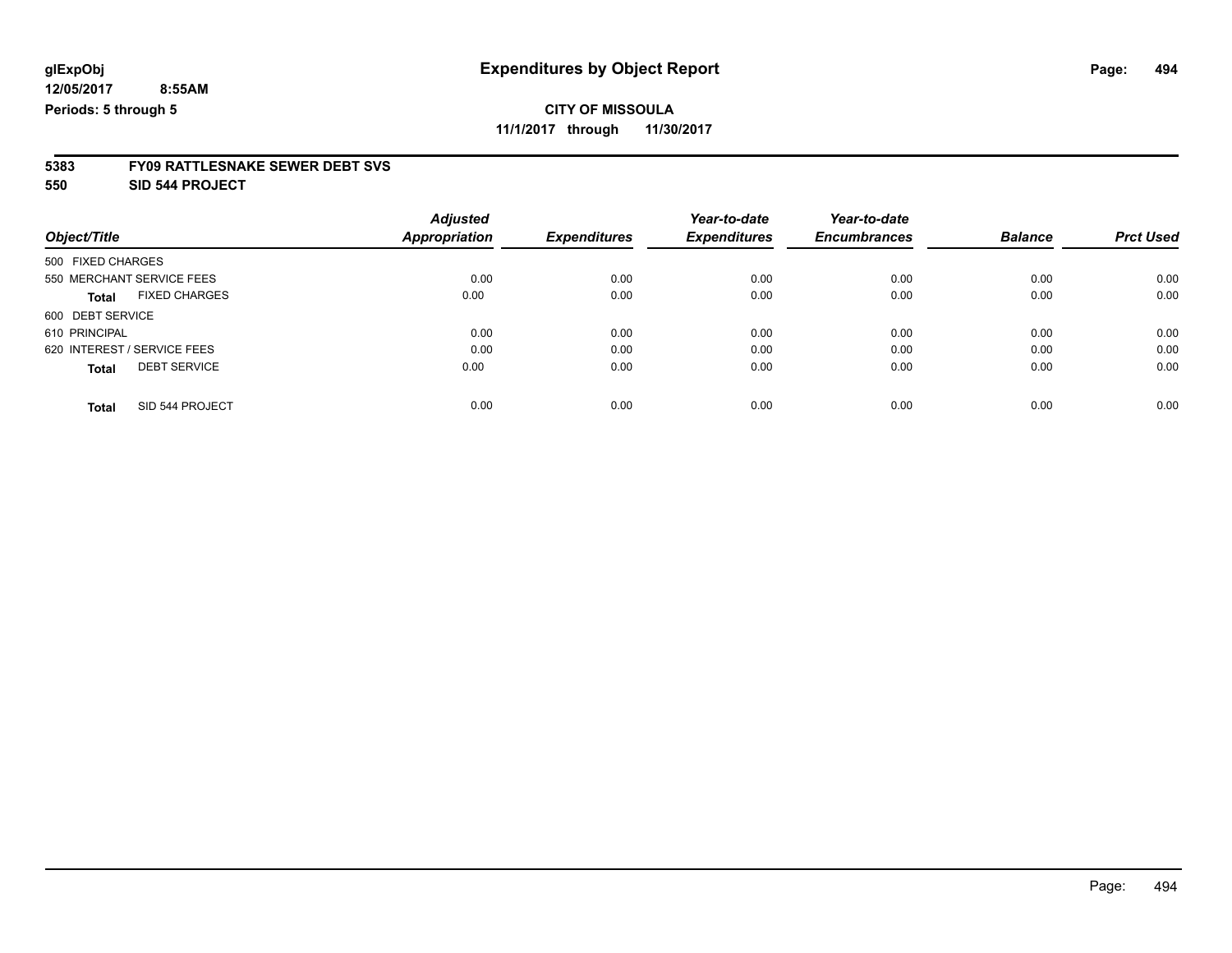**11/1/2017 through 11/30/2017**

# **5383 FY09 RATTLESNAKE SEWER DEBT SVS**

**550 SID 544 PROJECT**

|                                      | <b>Adjusted</b>      |                     | Year-to-date        | Year-to-date        |                |                  |
|--------------------------------------|----------------------|---------------------|---------------------|---------------------|----------------|------------------|
| Object/Title                         | <b>Appropriation</b> | <b>Expenditures</b> | <b>Expenditures</b> | <b>Encumbrances</b> | <b>Balance</b> | <b>Prct Used</b> |
| 500 FIXED CHARGES                    |                      |                     |                     |                     |                |                  |
| 550 MERCHANT SERVICE FEES            | 0.00                 | 0.00                | 0.00                | 0.00                | 0.00           | 0.00             |
| <b>FIXED CHARGES</b><br><b>Total</b> | 0.00                 | 0.00                | 0.00                | 0.00                | 0.00           | 0.00             |
| 600 DEBT SERVICE                     |                      |                     |                     |                     |                |                  |
| 610 PRINCIPAL                        | 0.00                 | 0.00                | 0.00                | 0.00                | 0.00           | 0.00             |
| 620 INTEREST / SERVICE FEES          | 0.00                 | 0.00                | 0.00                | 0.00                | 0.00           | 0.00             |
| <b>DEBT SERVICE</b><br><b>Total</b>  | 0.00                 | 0.00                | 0.00                | 0.00                | 0.00           | 0.00             |
| SID 544 PROJECT<br><b>Total</b>      | 0.00                 | 0.00                | 0.00                | 0.00                | 0.00           | 0.00             |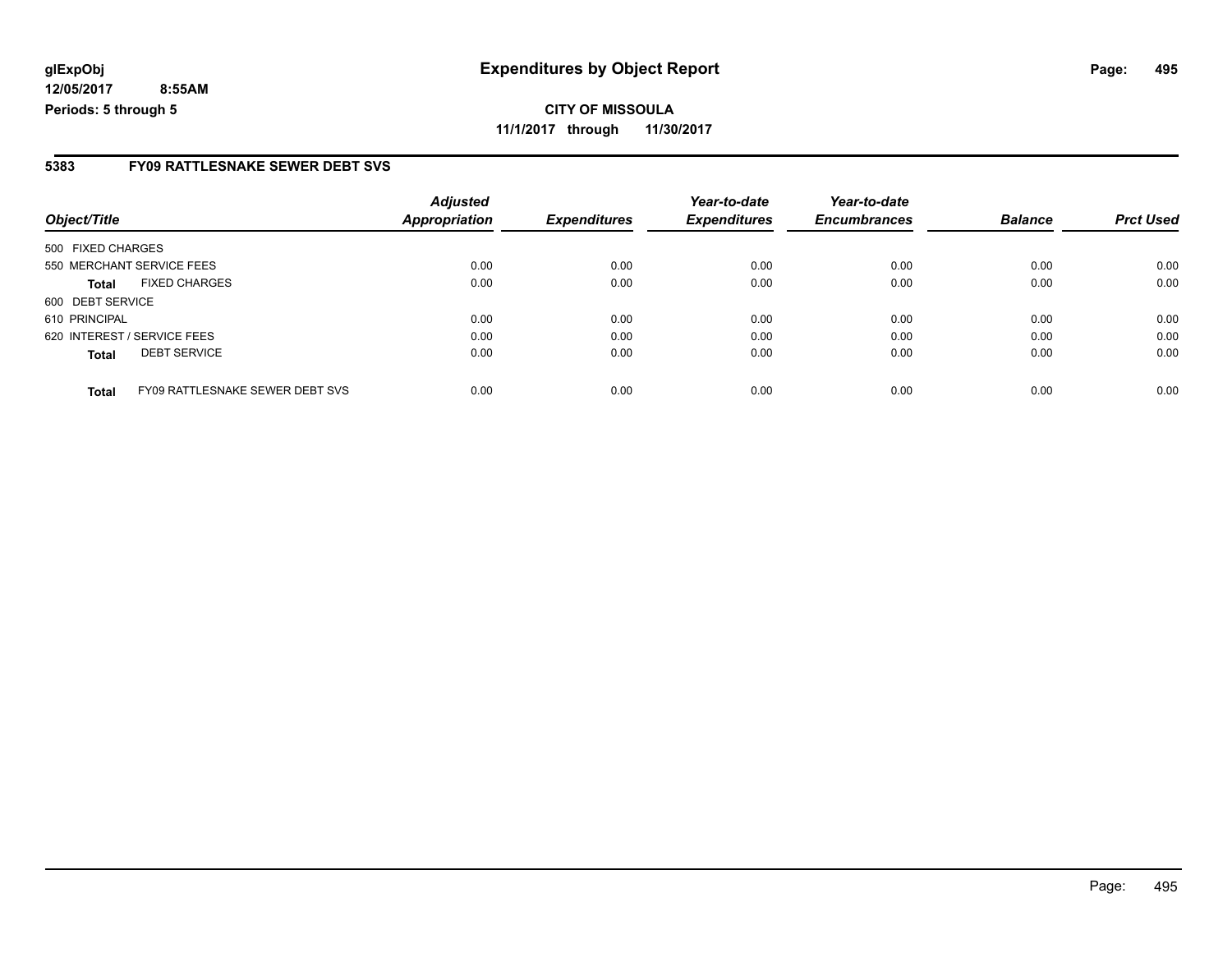#### **5383 FY09 RATTLESNAKE SEWER DEBT SVS**

| Object/Title                                    | <b>Adjusted</b><br><b>Appropriation</b> | <b>Expenditures</b> | Year-to-date<br><b>Expenditures</b> | Year-to-date<br><b>Encumbrances</b> | <b>Balance</b> | <b>Prct Used</b> |
|-------------------------------------------------|-----------------------------------------|---------------------|-------------------------------------|-------------------------------------|----------------|------------------|
| 500 FIXED CHARGES                               |                                         |                     |                                     |                                     |                |                  |
| 550 MERCHANT SERVICE FEES                       | 0.00                                    | 0.00                | 0.00                                | 0.00                                | 0.00           | 0.00             |
| <b>FIXED CHARGES</b><br><b>Total</b>            | 0.00                                    | 0.00                | 0.00                                | 0.00                                | 0.00           | 0.00             |
| 600 DEBT SERVICE                                |                                         |                     |                                     |                                     |                |                  |
| 610 PRINCIPAL                                   | 0.00                                    | 0.00                | 0.00                                | 0.00                                | 0.00           | 0.00             |
| 620 INTEREST / SERVICE FEES                     | 0.00                                    | 0.00                | 0.00                                | 0.00                                | 0.00           | 0.00             |
| <b>DEBT SERVICE</b><br><b>Total</b>             | 0.00                                    | 0.00                | 0.00                                | 0.00                                | 0.00           | 0.00             |
| FY09 RATTLESNAKE SEWER DEBT SVS<br><b>Total</b> | 0.00                                    | 0.00                | 0.00                                | 0.00                                | 0.00           | 0.00             |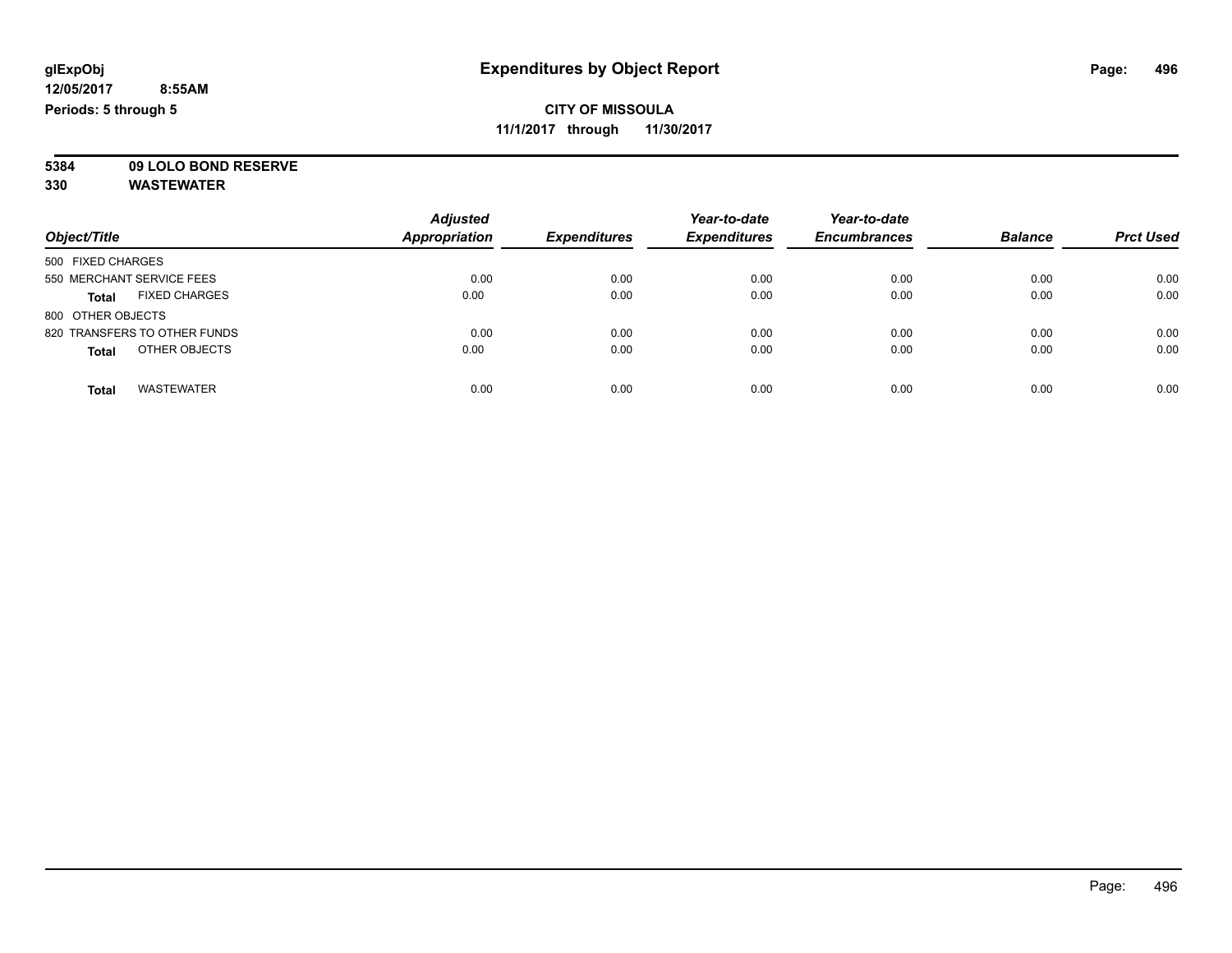**11/1/2017 through 11/30/2017**

**5384 09 LOLO BOND RESERVE**

|                                      | <b>Adjusted</b>      |                     | Year-to-date        | Year-to-date        |                |                  |
|--------------------------------------|----------------------|---------------------|---------------------|---------------------|----------------|------------------|
| Object/Title                         | <b>Appropriation</b> | <b>Expenditures</b> | <b>Expenditures</b> | <b>Encumbrances</b> | <b>Balance</b> | <b>Prct Used</b> |
| 500 FIXED CHARGES                    |                      |                     |                     |                     |                |                  |
| 550 MERCHANT SERVICE FEES            | 0.00                 | 0.00                | 0.00                | 0.00                | 0.00           | 0.00             |
| <b>FIXED CHARGES</b><br><b>Total</b> | 0.00                 | 0.00                | 0.00                | 0.00                | 0.00           | 0.00             |
| 800 OTHER OBJECTS                    |                      |                     |                     |                     |                |                  |
| 820 TRANSFERS TO OTHER FUNDS         | 0.00                 | 0.00                | 0.00                | 0.00                | 0.00           | 0.00             |
| OTHER OBJECTS<br><b>Total</b>        | 0.00                 | 0.00                | 0.00                | 0.00                | 0.00           | 0.00             |
| <b>WASTEWATER</b><br><b>Total</b>    | 0.00                 | 0.00                | 0.00                | 0.00                | 0.00           | 0.00             |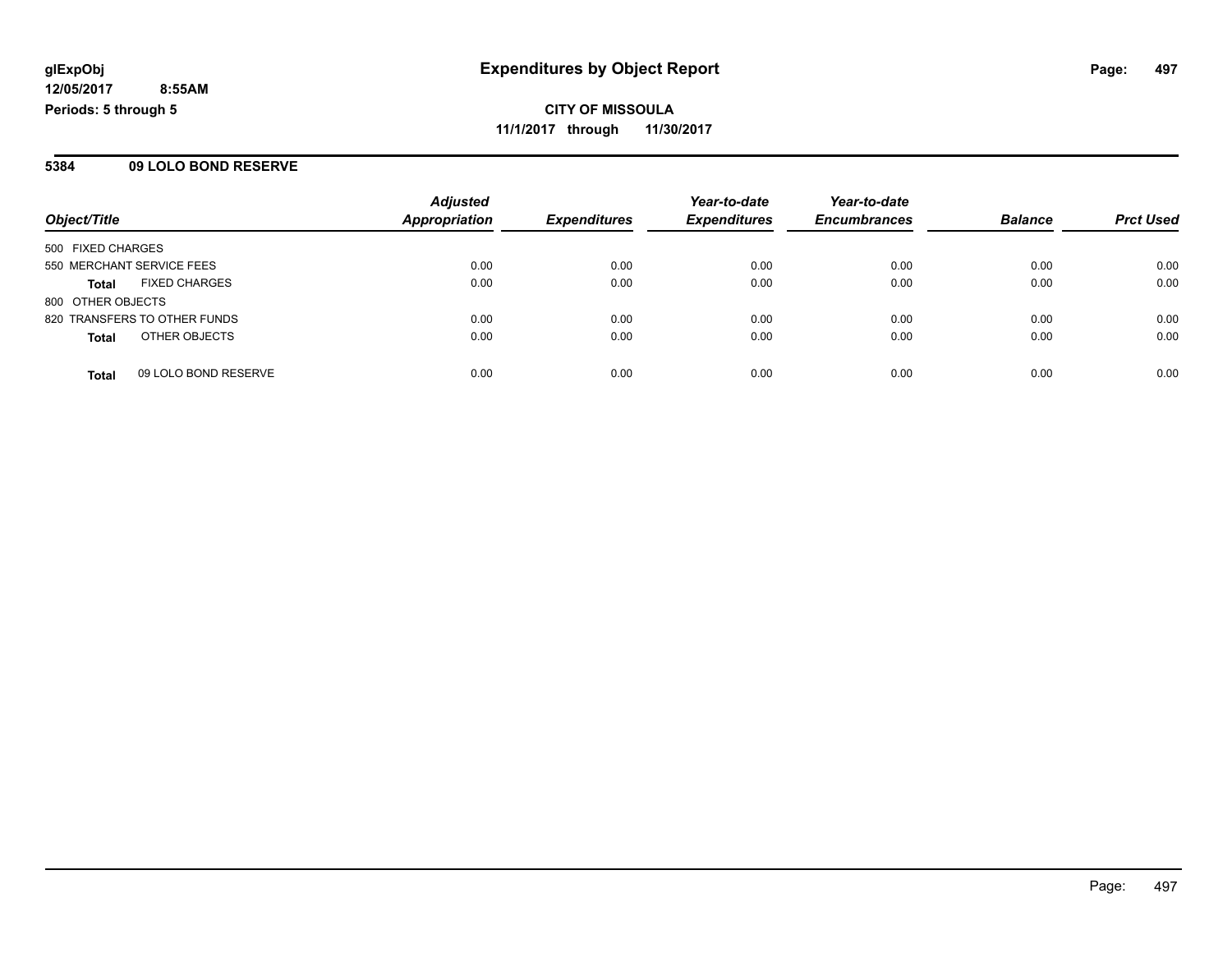**CITY OF MISSOULA 11/1/2017 through 11/30/2017**

#### **5384 09 LOLO BOND RESERVE**

|                                      | <b>Adjusted</b>      |                     | Year-to-date        | Year-to-date        |                |                  |
|--------------------------------------|----------------------|---------------------|---------------------|---------------------|----------------|------------------|
| Object/Title                         | <b>Appropriation</b> | <b>Expenditures</b> | <b>Expenditures</b> | <b>Encumbrances</b> | <b>Balance</b> | <b>Prct Used</b> |
| 500 FIXED CHARGES                    |                      |                     |                     |                     |                |                  |
| 550 MERCHANT SERVICE FEES            | 0.00                 | 0.00                | 0.00                | 0.00                | 0.00           | 0.00             |
| <b>FIXED CHARGES</b><br>Total        | 0.00                 | 0.00                | 0.00                | 0.00                | 0.00           | 0.00             |
| 800 OTHER OBJECTS                    |                      |                     |                     |                     |                |                  |
| 820 TRANSFERS TO OTHER FUNDS         | 0.00                 | 0.00                | 0.00                | 0.00                | 0.00           | 0.00             |
| OTHER OBJECTS<br><b>Total</b>        | 0.00                 | 0.00                | 0.00                | 0.00                | 0.00           | 0.00             |
| 09 LOLO BOND RESERVE<br><b>Total</b> | 0.00                 | 0.00                | 0.00                | 0.00                | 0.00           | 0.00             |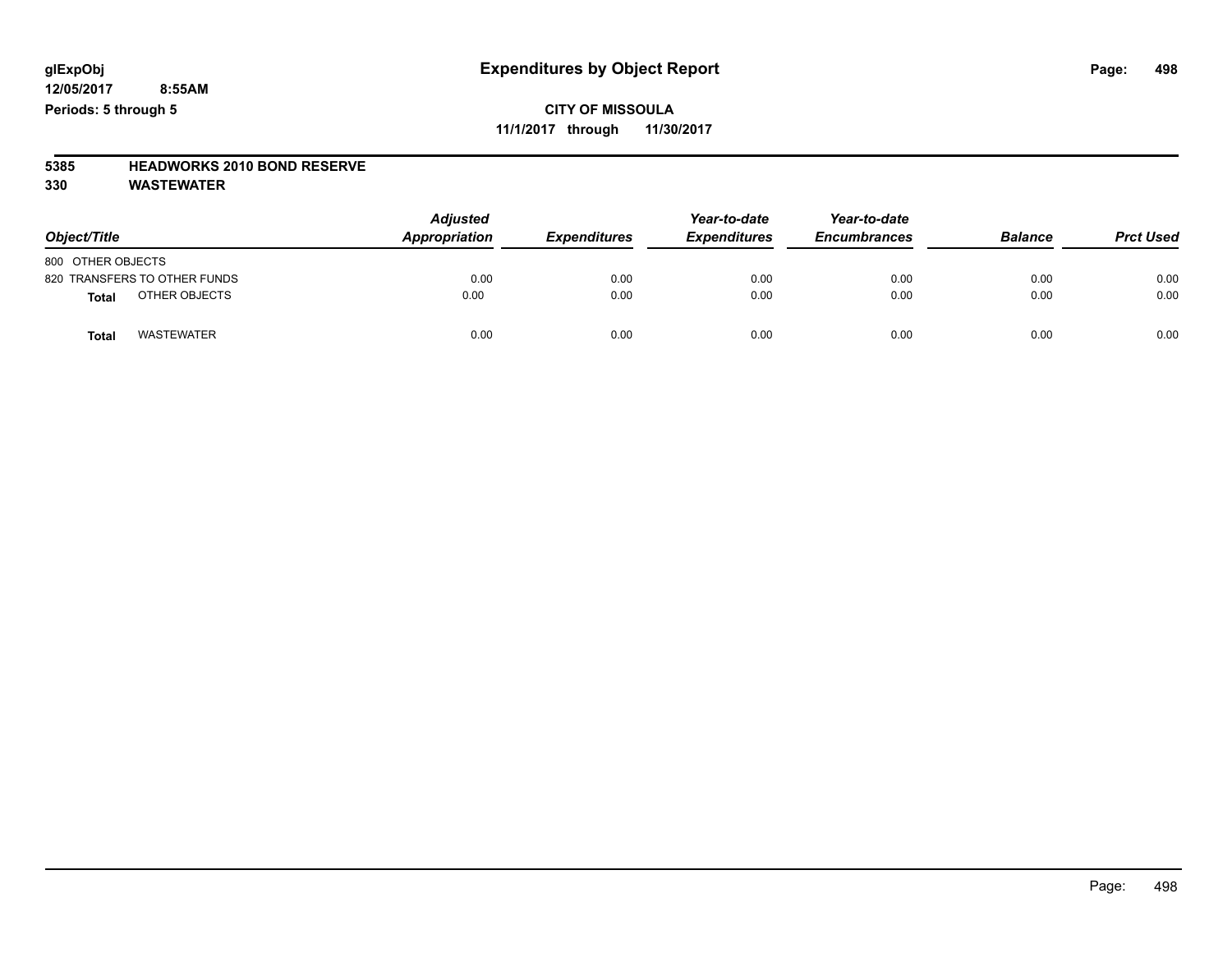#### **CITY OF MISSOULA 11/1/2017 through 11/30/2017**

## **5385 HEADWORKS 2010 BOND RESERVE**

| Object/Title                      | <b>Adjusted</b><br>Appropriation | <b>Expenditures</b> | Year-to-date<br><b>Expenditures</b> | Year-to-date<br><b>Encumbrances</b> | <b>Balance</b> | <b>Prct Used</b> |
|-----------------------------------|----------------------------------|---------------------|-------------------------------------|-------------------------------------|----------------|------------------|
| 800 OTHER OBJECTS                 |                                  |                     |                                     |                                     |                |                  |
| 820 TRANSFERS TO OTHER FUNDS      | 0.00                             | 0.00                | 0.00                                | 0.00                                | 0.00           | 0.00             |
| OTHER OBJECTS<br><b>Total</b>     | 0.00                             | 0.00                | 0.00                                | 0.00                                | 0.00           | 0.00             |
| <b>WASTEWATER</b><br><b>Total</b> | 0.00                             | 0.00                | 0.00                                | 0.00                                | 0.00           | 0.00             |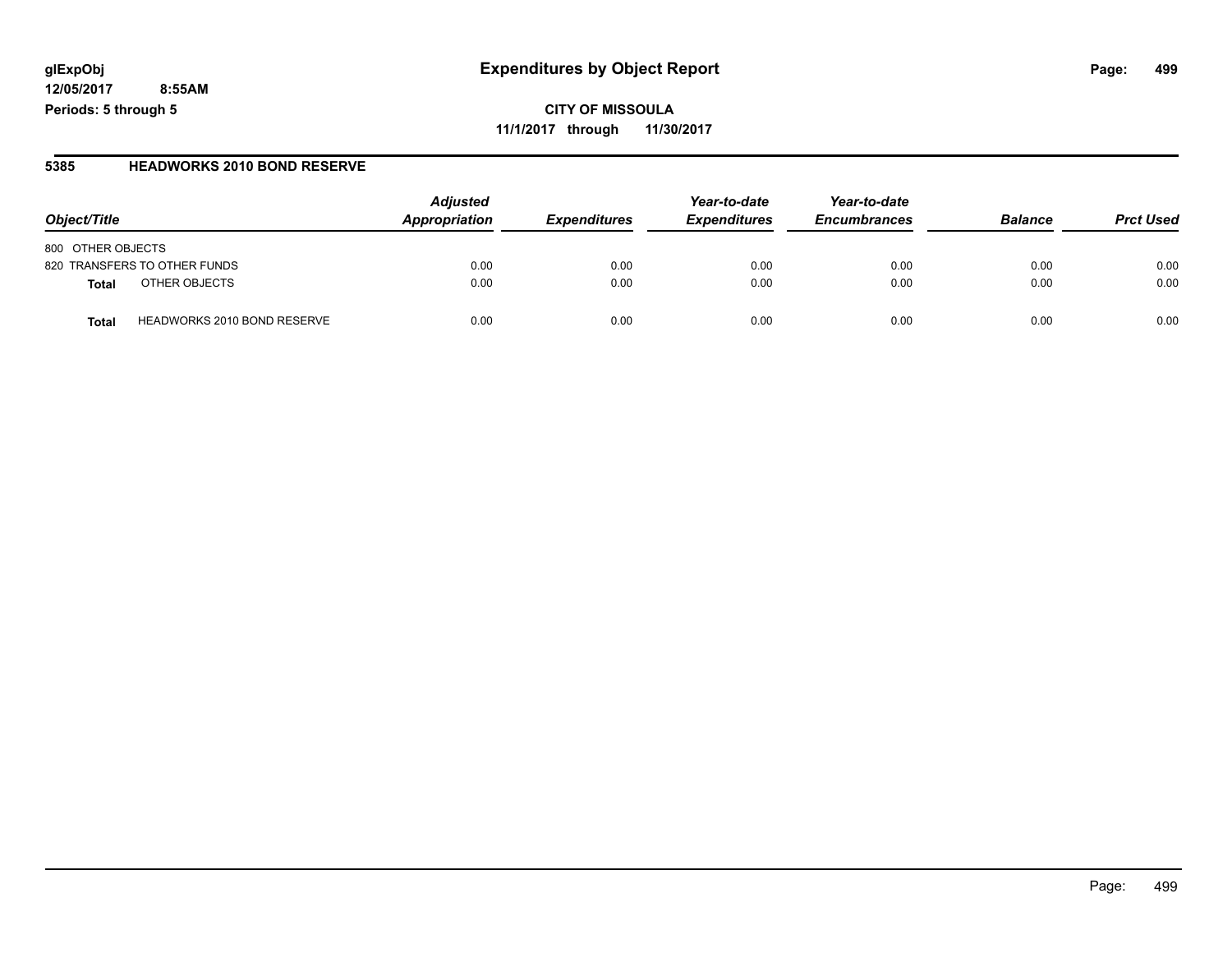**CITY OF MISSOULA 11/1/2017 through 11/30/2017**

#### **5385 HEADWORKS 2010 BOND RESERVE**

| Obiect/Title                                | <b>Adjusted</b><br>Appropriation | <b>Expenditures</b> | Year-to-date<br><b>Expenditures</b> | Year-to-date<br><b>Encumbrances</b> | <b>Balance</b> | <b>Prct Used</b> |
|---------------------------------------------|----------------------------------|---------------------|-------------------------------------|-------------------------------------|----------------|------------------|
| 800 OTHER OBJECTS                           |                                  |                     |                                     |                                     |                |                  |
| 820 TRANSFERS TO OTHER FUNDS                | 0.00                             | 0.00                | 0.00                                | 0.00                                | 0.00           | 0.00             |
| OTHER OBJECTS<br>Total                      | 0.00                             | 0.00                | 0.00                                | 0.00                                | 0.00           | 0.00             |
| <b>HEADWORKS 2010 BOND RESERVE</b><br>Total | 0.00                             | 0.00                | 0.00                                | 0.00                                | 0.00           | 0.00             |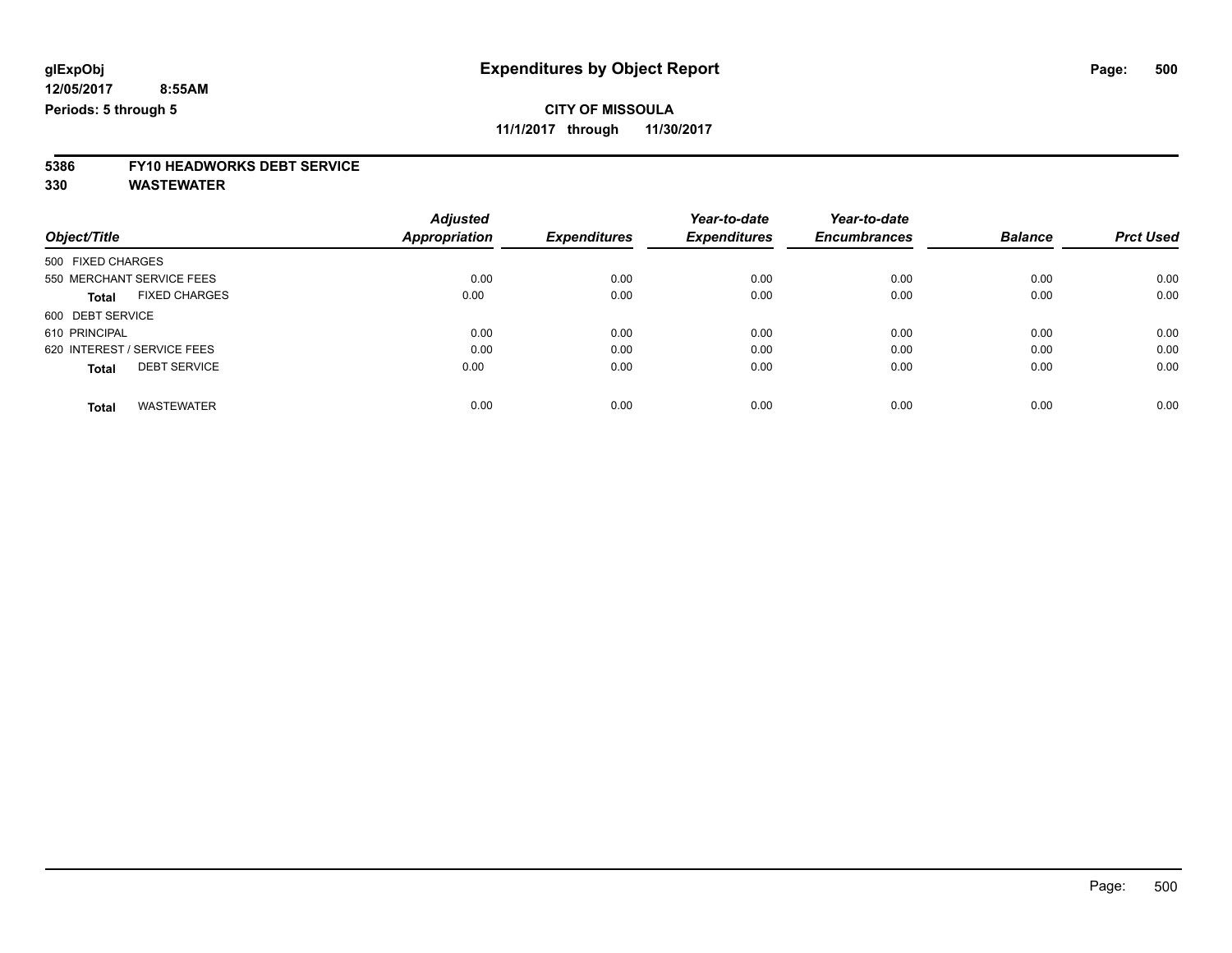**11/1/2017 through 11/30/2017**

# **5386 FY10 HEADWORKS DEBT SERVICE**

|                                      | <b>Adjusted</b>      |                     | Year-to-date<br><b>Expenditures</b> | Year-to-date<br><b>Encumbrances</b> | <b>Balance</b> | <b>Prct Used</b> |
|--------------------------------------|----------------------|---------------------|-------------------------------------|-------------------------------------|----------------|------------------|
| Object/Title                         | <b>Appropriation</b> | <b>Expenditures</b> |                                     |                                     |                |                  |
| 500 FIXED CHARGES                    |                      |                     |                                     |                                     |                |                  |
| 550 MERCHANT SERVICE FEES            | 0.00                 | 0.00                | 0.00                                | 0.00                                | 0.00           | 0.00             |
| <b>FIXED CHARGES</b><br><b>Total</b> | 0.00                 | 0.00                | 0.00                                | 0.00                                | 0.00           | 0.00             |
| 600 DEBT SERVICE                     |                      |                     |                                     |                                     |                |                  |
| 610 PRINCIPAL                        | 0.00                 | 0.00                | 0.00                                | 0.00                                | 0.00           | 0.00             |
| 620 INTEREST / SERVICE FEES          | 0.00                 | 0.00                | 0.00                                | 0.00                                | 0.00           | 0.00             |
| <b>DEBT SERVICE</b><br><b>Total</b>  | 0.00                 | 0.00                | 0.00                                | 0.00                                | 0.00           | 0.00             |
| <b>WASTEWATER</b><br><b>Total</b>    | 0.00                 | 0.00                | 0.00                                | 0.00                                | 0.00           | 0.00             |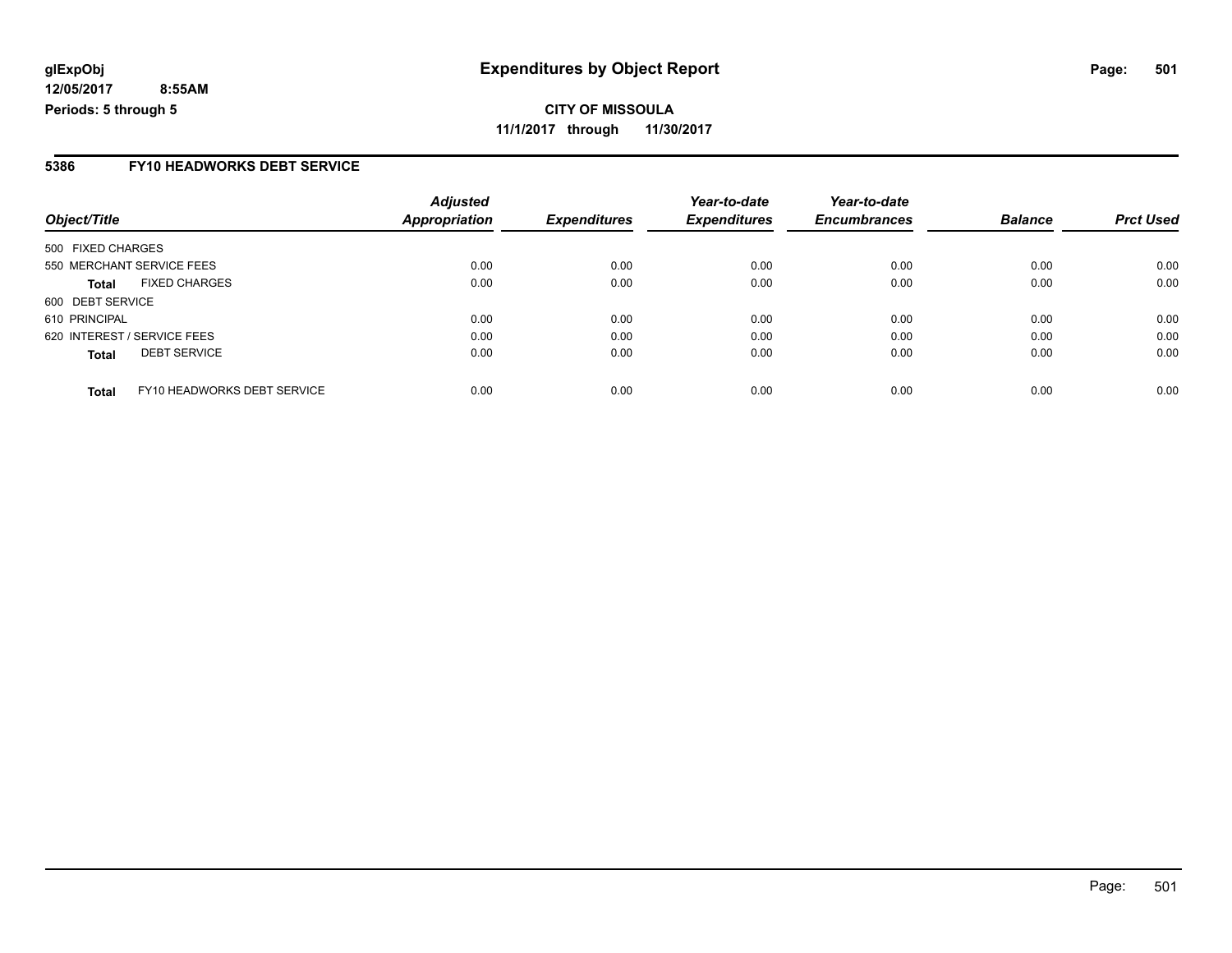#### **5386 FY10 HEADWORKS DEBT SERVICE**

| Object/Title                                | <b>Adjusted</b><br><b>Appropriation</b> | <b>Expenditures</b> | Year-to-date<br><b>Expenditures</b> | Year-to-date<br><b>Encumbrances</b> | <b>Balance</b> | <b>Prct Used</b> |
|---------------------------------------------|-----------------------------------------|---------------------|-------------------------------------|-------------------------------------|----------------|------------------|
| 500 FIXED CHARGES                           |                                         |                     |                                     |                                     |                |                  |
| 550 MERCHANT SERVICE FEES                   | 0.00                                    | 0.00                | 0.00                                | 0.00                                | 0.00           | 0.00             |
| <b>FIXED CHARGES</b><br><b>Total</b>        | 0.00                                    | 0.00                | 0.00                                | 0.00                                | 0.00           | 0.00             |
| 600 DEBT SERVICE                            |                                         |                     |                                     |                                     |                |                  |
| 610 PRINCIPAL                               | 0.00                                    | 0.00                | 0.00                                | 0.00                                | 0.00           | 0.00             |
| 620 INTEREST / SERVICE FEES                 | 0.00                                    | 0.00                | 0.00                                | 0.00                                | 0.00           | 0.00             |
| <b>DEBT SERVICE</b><br><b>Total</b>         | 0.00                                    | 0.00                | 0.00                                | 0.00                                | 0.00           | 0.00             |
| FY10 HEADWORKS DEBT SERVICE<br><b>Total</b> | 0.00                                    | 0.00                | 0.00                                | 0.00                                | 0.00           | 0.00             |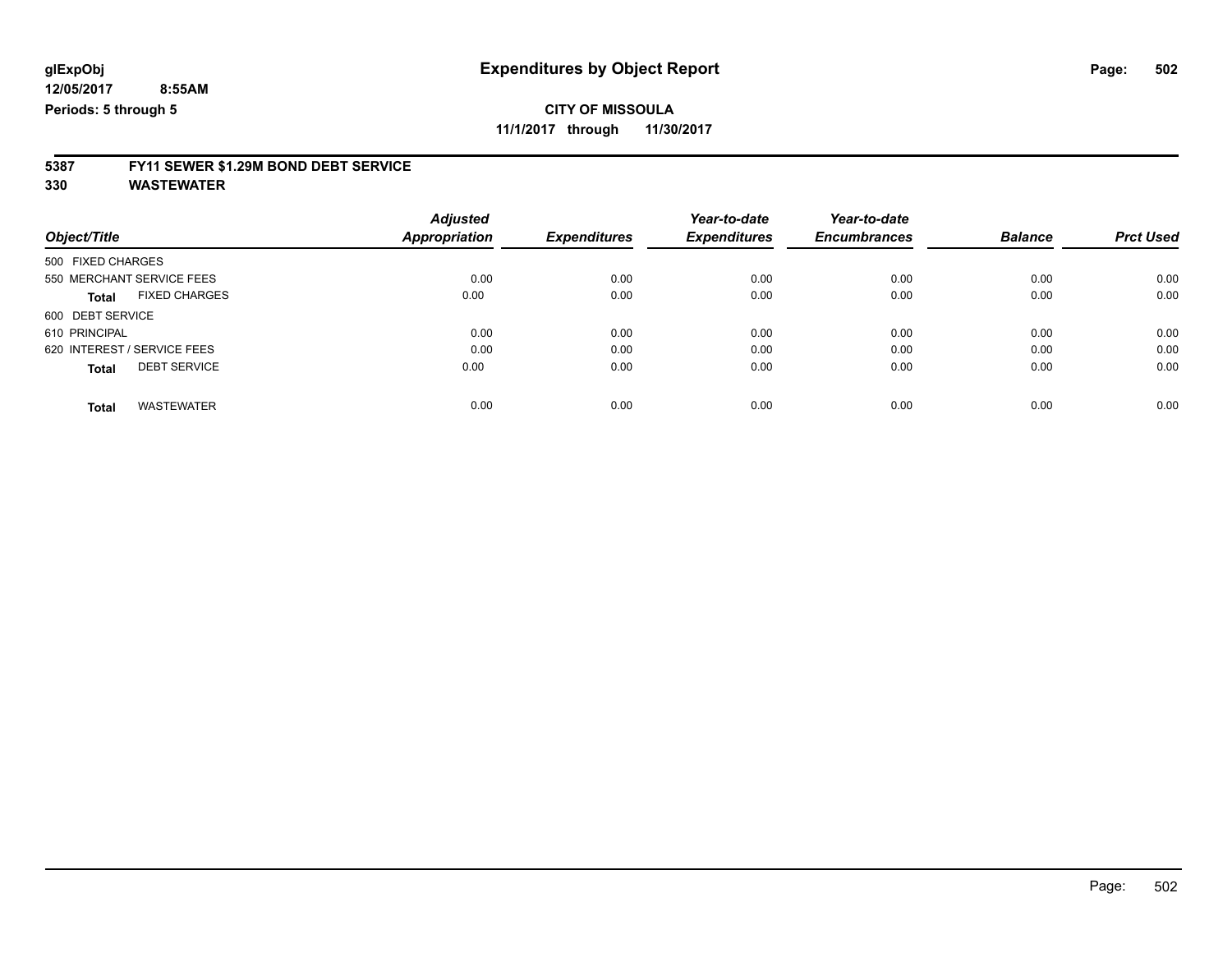**11/1/2017 through 11/30/2017**

## **5387 FY11 SEWER \$1.29M BOND DEBT SERVICE**

|                                      | <b>Adjusted</b>      |                     | Year-to-date        | Year-to-date        |                |                  |
|--------------------------------------|----------------------|---------------------|---------------------|---------------------|----------------|------------------|
| Object/Title                         | <b>Appropriation</b> | <b>Expenditures</b> | <b>Expenditures</b> | <b>Encumbrances</b> | <b>Balance</b> | <b>Prct Used</b> |
| 500 FIXED CHARGES                    |                      |                     |                     |                     |                |                  |
| 550 MERCHANT SERVICE FEES            | 0.00                 | 0.00                | 0.00                | 0.00                | 0.00           | 0.00             |
| <b>FIXED CHARGES</b><br><b>Total</b> | 0.00                 | 0.00                | 0.00                | 0.00                | 0.00           | 0.00             |
| 600 DEBT SERVICE                     |                      |                     |                     |                     |                |                  |
| 610 PRINCIPAL                        | 0.00                 | 0.00                | 0.00                | 0.00                | 0.00           | 0.00             |
| 620 INTEREST / SERVICE FEES          | 0.00                 | 0.00                | 0.00                | 0.00                | 0.00           | 0.00             |
| <b>DEBT SERVICE</b><br><b>Total</b>  | 0.00                 | 0.00                | 0.00                | 0.00                | 0.00           | 0.00             |
|                                      |                      |                     |                     |                     |                |                  |
| <b>WASTEWATER</b><br>Total           | 0.00                 | 0.00                | 0.00                | 0.00                | 0.00           | 0.00             |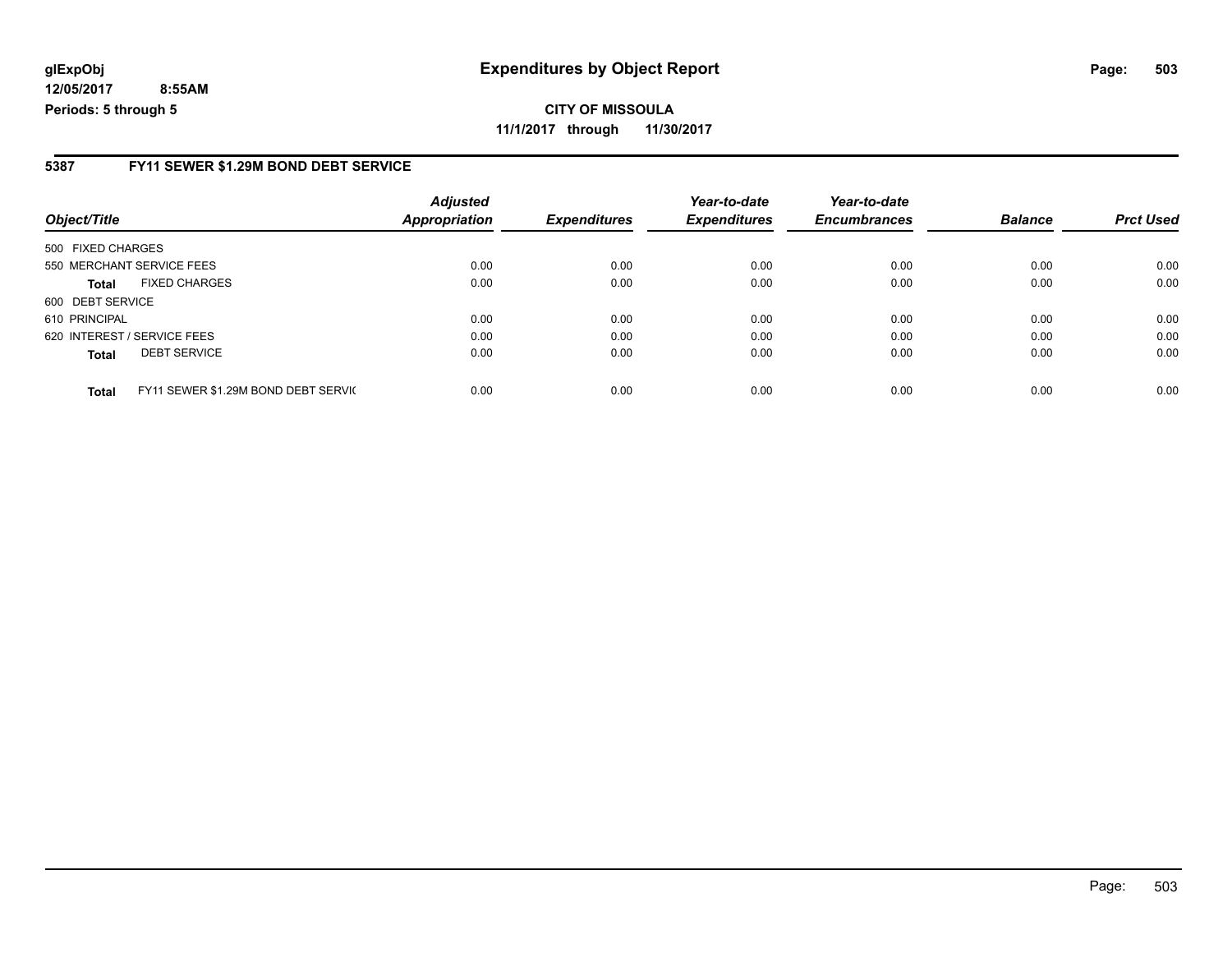#### **5387 FY11 SEWER \$1.29M BOND DEBT SERVICE**

| Object/Title      |                                     | <b>Adjusted</b><br><b>Appropriation</b> | <b>Expenditures</b> | Year-to-date<br><b>Expenditures</b> | Year-to-date<br><b>Encumbrances</b> | <b>Balance</b> | <b>Prct Used</b> |
|-------------------|-------------------------------------|-----------------------------------------|---------------------|-------------------------------------|-------------------------------------|----------------|------------------|
|                   |                                     |                                         |                     |                                     |                                     |                |                  |
| 500 FIXED CHARGES |                                     |                                         |                     |                                     |                                     |                |                  |
|                   | 550 MERCHANT SERVICE FEES           | 0.00                                    | 0.00                | 0.00                                | 0.00                                | 0.00           | 0.00             |
| Total             | <b>FIXED CHARGES</b>                | 0.00                                    | 0.00                | 0.00                                | 0.00                                | 0.00           | 0.00             |
| 600 DEBT SERVICE  |                                     |                                         |                     |                                     |                                     |                |                  |
| 610 PRINCIPAL     |                                     | 0.00                                    | 0.00                | 0.00                                | 0.00                                | 0.00           | 0.00             |
|                   | 620 INTEREST / SERVICE FEES         | 0.00                                    | 0.00                | 0.00                                | 0.00                                | 0.00           | 0.00             |
| <b>Total</b>      | <b>DEBT SERVICE</b>                 | 0.00                                    | 0.00                | 0.00                                | 0.00                                | 0.00           | 0.00             |
| <b>Total</b>      | FY11 SEWER \$1.29M BOND DEBT SERVIC | 0.00                                    | 0.00                | 0.00                                | 0.00                                | 0.00           | 0.00             |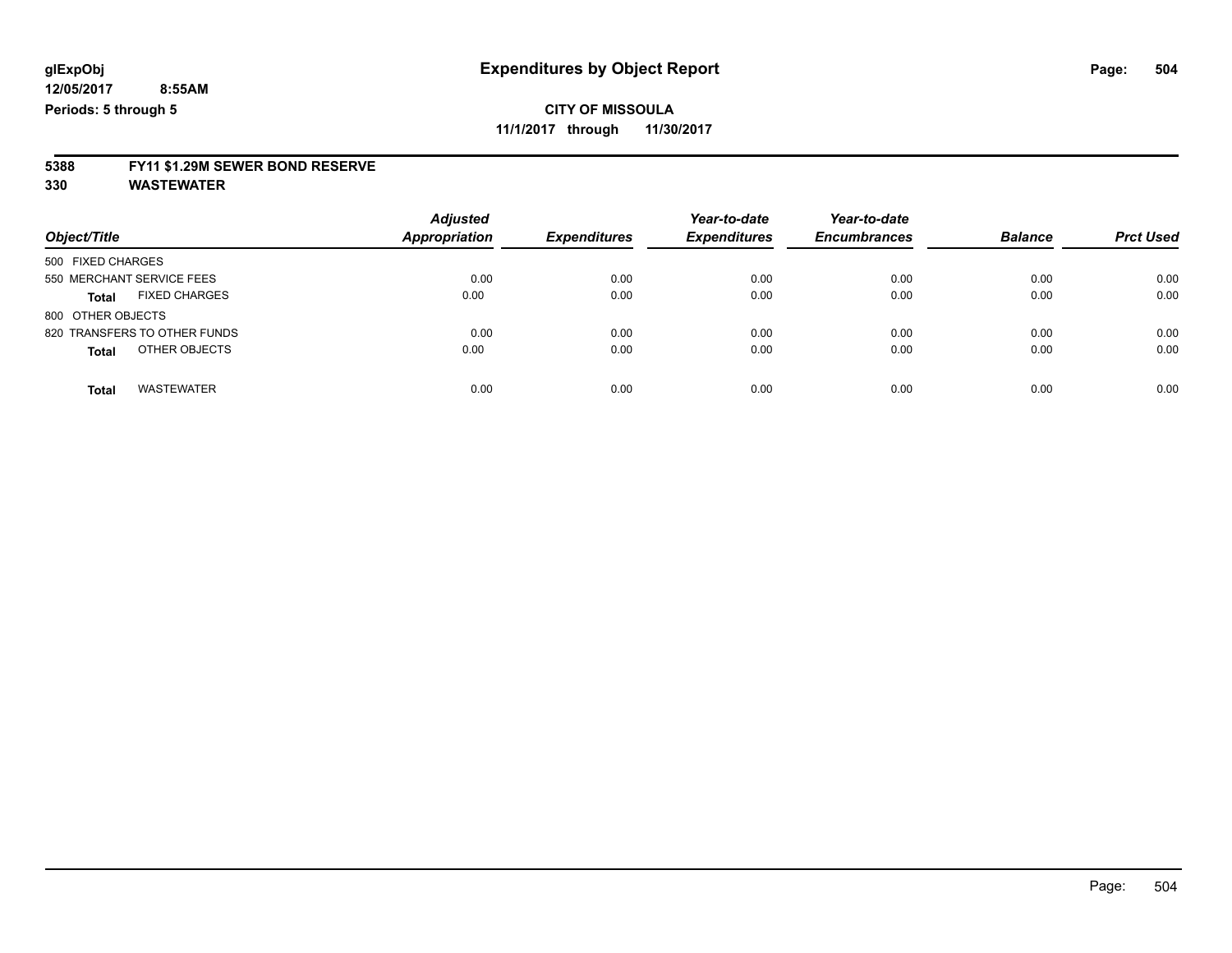**11/1/2017 through 11/30/2017**

## **5388 FY11 \$1.29M SEWER BOND RESERVE**

| Object/Title                         | <b>Adjusted</b><br><b>Appropriation</b> | <b>Expenditures</b> | Year-to-date<br><b>Expenditures</b> | Year-to-date<br><b>Encumbrances</b> | <b>Balance</b> | <b>Prct Used</b> |
|--------------------------------------|-----------------------------------------|---------------------|-------------------------------------|-------------------------------------|----------------|------------------|
| 500 FIXED CHARGES                    |                                         |                     |                                     |                                     |                |                  |
| 550 MERCHANT SERVICE FEES            | 0.00                                    | 0.00                | 0.00                                | 0.00                                | 0.00           | 0.00             |
| <b>FIXED CHARGES</b><br><b>Total</b> | 0.00                                    | 0.00                | 0.00                                | 0.00                                | 0.00           | 0.00             |
| 800 OTHER OBJECTS                    |                                         |                     |                                     |                                     |                |                  |
| 820 TRANSFERS TO OTHER FUNDS         | 0.00                                    | 0.00                | 0.00                                | 0.00                                | 0.00           | 0.00             |
| OTHER OBJECTS<br><b>Total</b>        | 0.00                                    | 0.00                | 0.00                                | 0.00                                | 0.00           | 0.00             |
| <b>WASTEWATER</b><br><b>Total</b>    | 0.00                                    | 0.00                | 0.00                                | 0.00                                | 0.00           | 0.00             |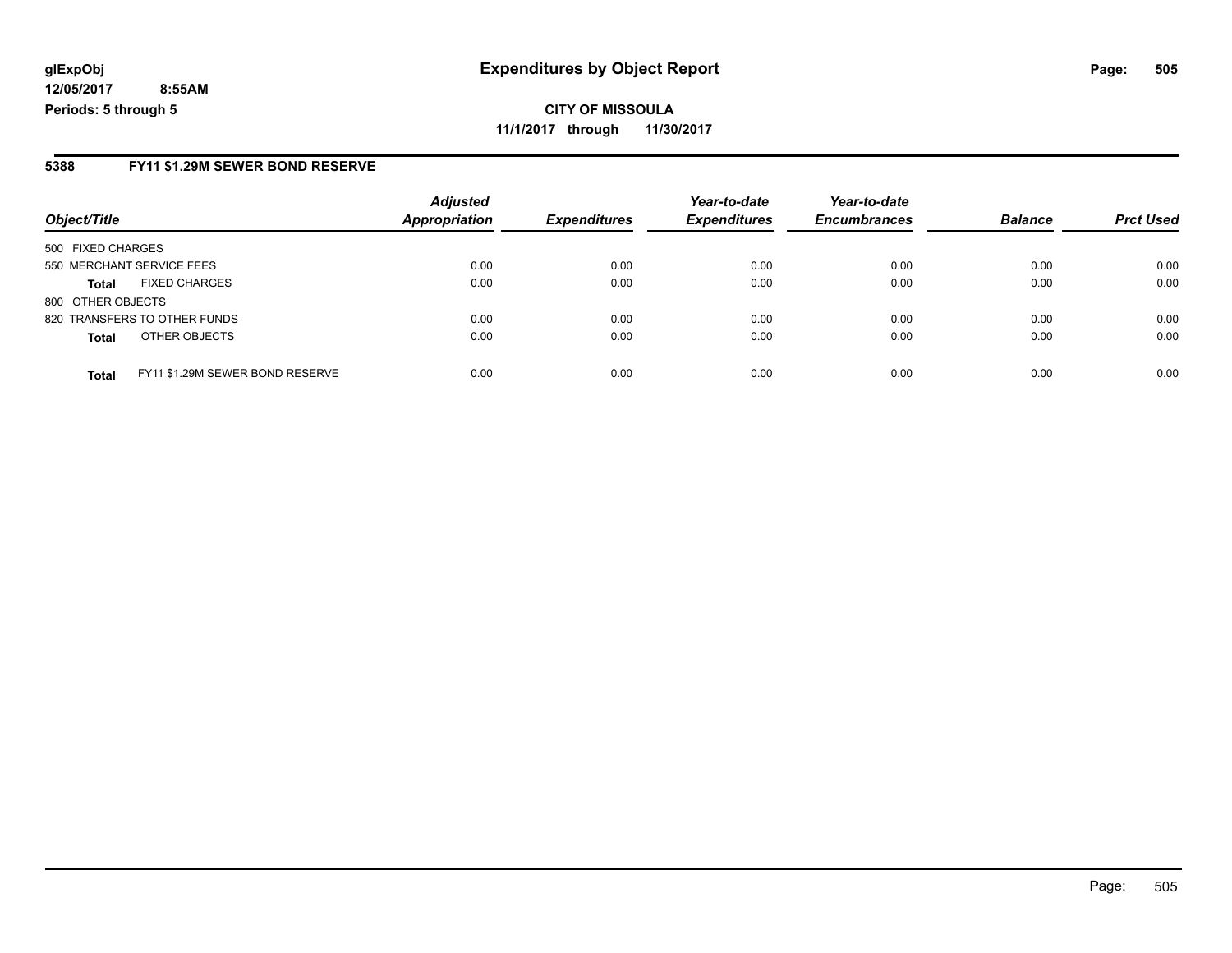**CITY OF MISSOULA 11/1/2017 through 11/30/2017**

#### **5388 FY11 \$1.29M SEWER BOND RESERVE**

|                                                 | <b>Adjusted</b> | <b>Expenditures</b> | Year-to-date<br><b>Expenditures</b> | Year-to-date        | <b>Balance</b> |                  |
|-------------------------------------------------|-----------------|---------------------|-------------------------------------|---------------------|----------------|------------------|
| Object/Title                                    | Appropriation   |                     |                                     | <b>Encumbrances</b> |                | <b>Prct Used</b> |
| 500 FIXED CHARGES                               |                 |                     |                                     |                     |                |                  |
| 550 MERCHANT SERVICE FEES                       | 0.00            | 0.00                | 0.00                                | 0.00                | 0.00           | 0.00             |
| <b>FIXED CHARGES</b><br><b>Total</b>            | 0.00            | 0.00                | 0.00                                | 0.00                | 0.00           | 0.00             |
| 800 OTHER OBJECTS                               |                 |                     |                                     |                     |                |                  |
| 820 TRANSFERS TO OTHER FUNDS                    | 0.00            | 0.00                | 0.00                                | 0.00                | 0.00           | 0.00             |
| OTHER OBJECTS<br><b>Total</b>                   | 0.00            | 0.00                | 0.00                                | 0.00                | 0.00           | 0.00             |
| FY11 \$1.29M SEWER BOND RESERVE<br><b>Total</b> | 0.00            | 0.00                | 0.00                                | 0.00                | 0.00           | 0.00             |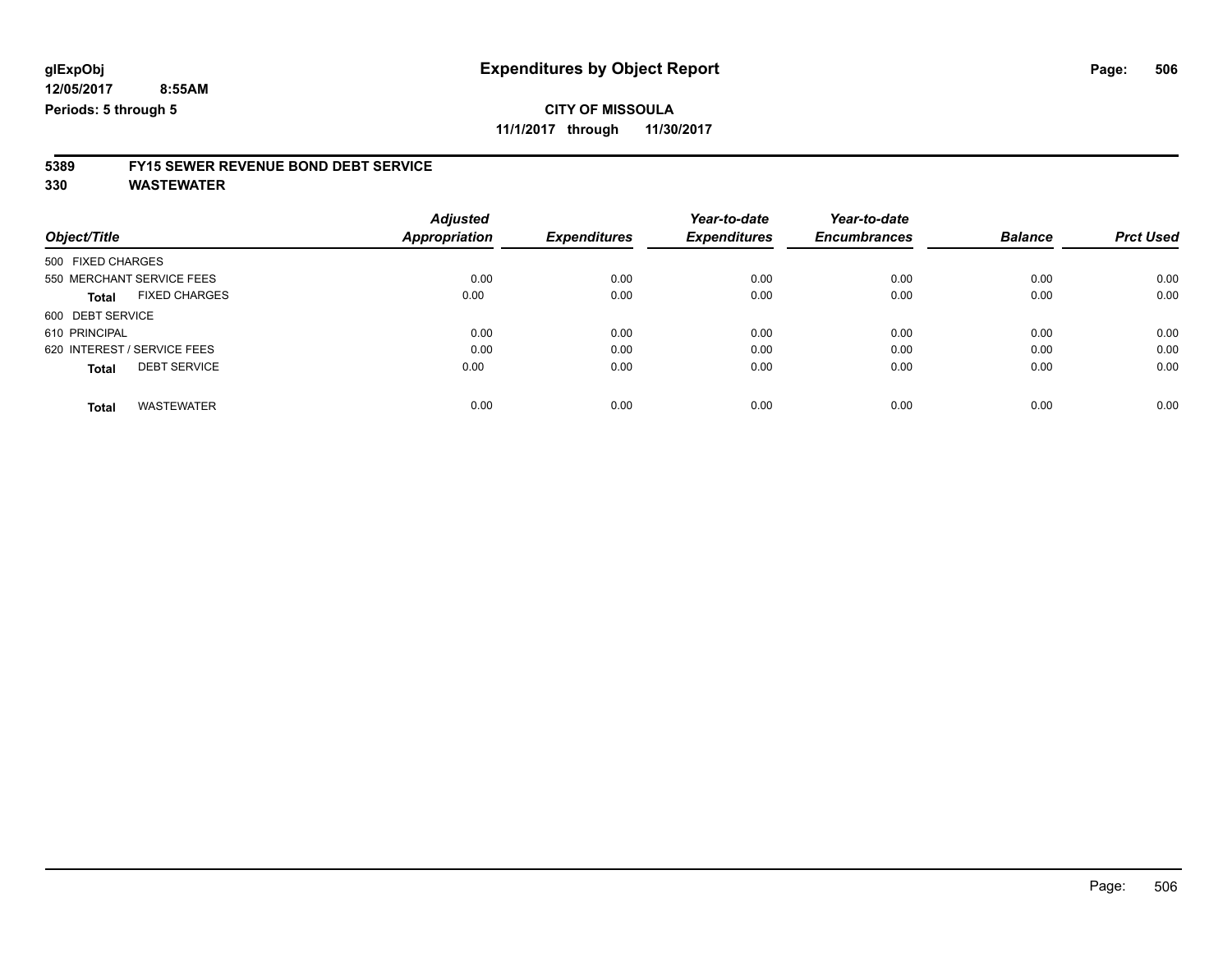**11/1/2017 through 11/30/2017**

# **5389 FY15 SEWER REVENUE BOND DEBT SERVICE**

**330 WASTEWATER**

|                                      | <b>Adjusted</b> |                     | Year-to-date        | Year-to-date        | <b>Balance</b> | <b>Prct Used</b> |
|--------------------------------------|-----------------|---------------------|---------------------|---------------------|----------------|------------------|
| Object/Title                         | Appropriation   | <b>Expenditures</b> | <b>Expenditures</b> | <b>Encumbrances</b> |                |                  |
| 500 FIXED CHARGES                    |                 |                     |                     |                     |                |                  |
| 550 MERCHANT SERVICE FEES            | 0.00            | 0.00                | 0.00                | 0.00                | 0.00           | 0.00             |
| <b>FIXED CHARGES</b><br><b>Total</b> | 0.00            | 0.00                | 0.00                | 0.00                | 0.00           | 0.00             |
| 600 DEBT SERVICE                     |                 |                     |                     |                     |                |                  |
| 610 PRINCIPAL                        | 0.00            | 0.00                | 0.00                | 0.00                | 0.00           | 0.00             |
| 620 INTEREST / SERVICE FEES          | 0.00            | 0.00                | 0.00                | 0.00                | 0.00           | 0.00             |
| <b>DEBT SERVICE</b><br><b>Total</b>  | 0.00            | 0.00                | 0.00                | 0.00                | 0.00           | 0.00             |
| <b>WASTEWATER</b><br><b>Total</b>    | 0.00            | 0.00                | 0.00                | 0.00                | 0.00           | 0.00             |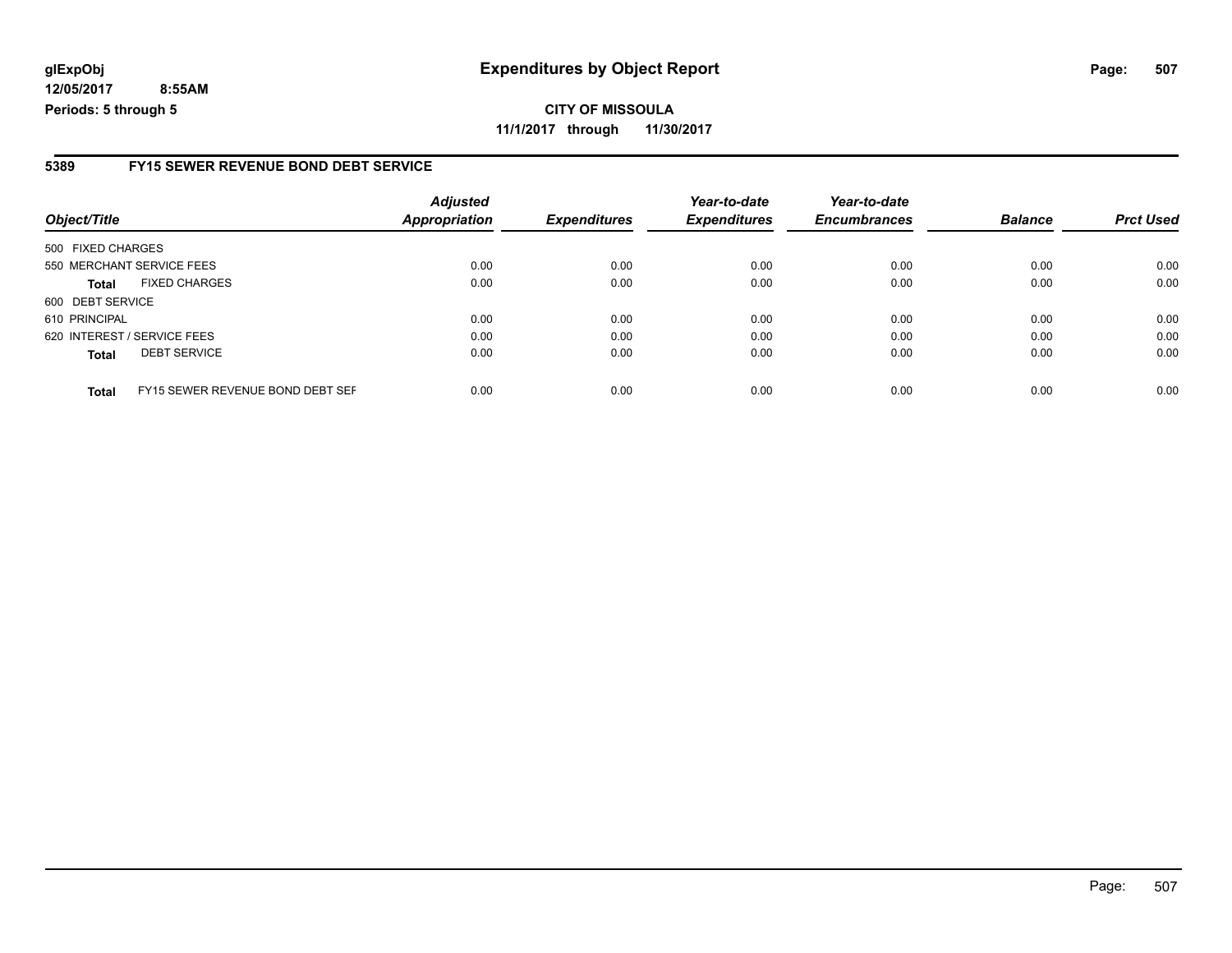#### **5389 FY15 SEWER REVENUE BOND DEBT SERVICE**

| Object/Title      |                                  | <b>Adjusted</b><br><b>Appropriation</b> | <b>Expenditures</b> | Year-to-date<br><b>Expenditures</b> | Year-to-date<br><b>Encumbrances</b> | <b>Balance</b> | <b>Prct Used</b> |
|-------------------|----------------------------------|-----------------------------------------|---------------------|-------------------------------------|-------------------------------------|----------------|------------------|
| 500 FIXED CHARGES |                                  |                                         |                     |                                     |                                     |                |                  |
|                   | 550 MERCHANT SERVICE FEES        | 0.00                                    | 0.00                | 0.00                                | 0.00                                | 0.00           | 0.00             |
| <b>Total</b>      | <b>FIXED CHARGES</b>             | 0.00                                    | 0.00                | 0.00                                | 0.00                                | 0.00           | 0.00             |
| 600 DEBT SERVICE  |                                  |                                         |                     |                                     |                                     |                |                  |
| 610 PRINCIPAL     |                                  | 0.00                                    | 0.00                | 0.00                                | 0.00                                | 0.00           | 0.00             |
|                   | 620 INTEREST / SERVICE FEES      | 0.00                                    | 0.00                | 0.00                                | 0.00                                | 0.00           | 0.00             |
| <b>Total</b>      | <b>DEBT SERVICE</b>              | 0.00                                    | 0.00                | 0.00                                | 0.00                                | 0.00           | 0.00             |
| <b>Total</b>      | FY15 SEWER REVENUE BOND DEBT SEF | 0.00                                    | 0.00                | 0.00                                | 0.00                                | 0.00           | 0.00             |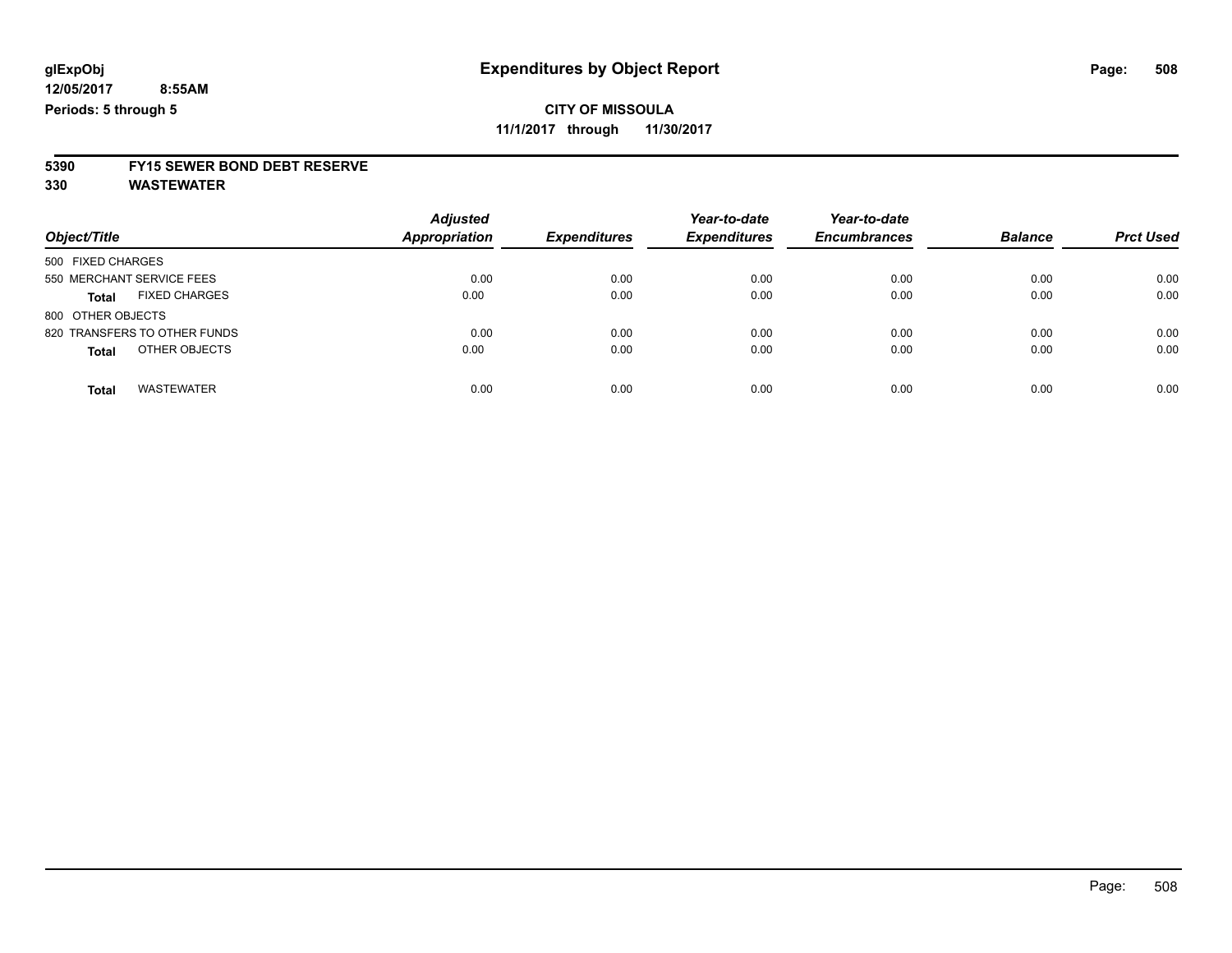**11/1/2017 through 11/30/2017**

# **5390 FY15 SEWER BOND DEBT RESERVE**

**330 WASTEWATER**

|                                      | <b>Adjusted</b>      | <b>Expenditures</b> | Year-to-date<br><b>Expenditures</b> | Year-to-date<br><b>Encumbrances</b> | <b>Balance</b> | <b>Prct Used</b> |
|--------------------------------------|----------------------|---------------------|-------------------------------------|-------------------------------------|----------------|------------------|
| Object/Title                         | <b>Appropriation</b> |                     |                                     |                                     |                |                  |
| 500 FIXED CHARGES                    |                      |                     |                                     |                                     |                |                  |
| 550 MERCHANT SERVICE FEES            | 0.00                 | 0.00                | 0.00                                | 0.00                                | 0.00           | 0.00             |
| <b>FIXED CHARGES</b><br><b>Total</b> | 0.00                 | 0.00                | 0.00                                | 0.00                                | 0.00           | 0.00             |
| 800 OTHER OBJECTS                    |                      |                     |                                     |                                     |                |                  |
| 820 TRANSFERS TO OTHER FUNDS         | 0.00                 | 0.00                | 0.00                                | 0.00                                | 0.00           | 0.00             |
| OTHER OBJECTS<br><b>Total</b>        | 0.00                 | 0.00                | 0.00                                | 0.00                                | 0.00           | 0.00             |
| <b>WASTEWATER</b><br><b>Total</b>    | 0.00                 | 0.00                | 0.00                                | 0.00                                | 0.00           | 0.00             |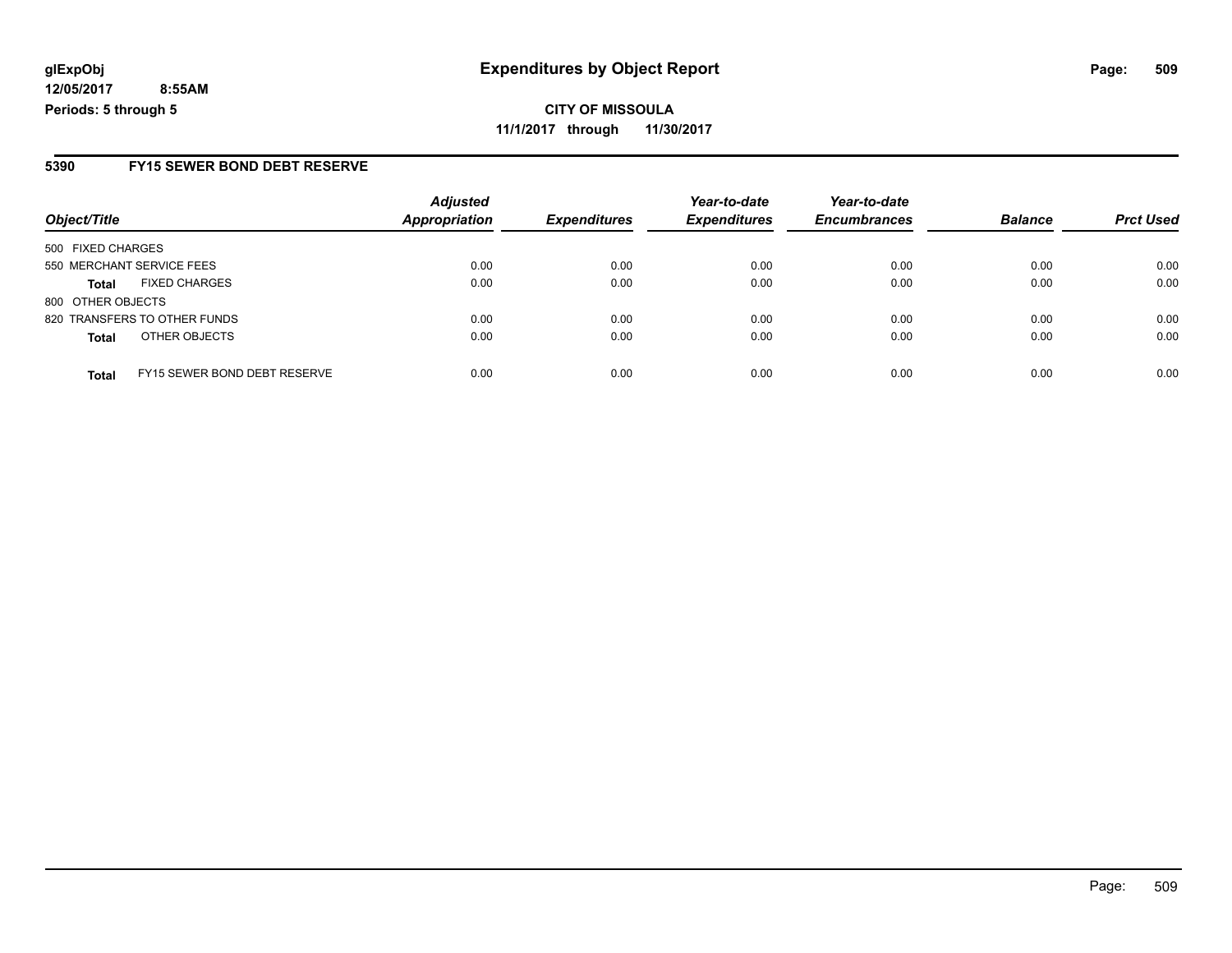**CITY OF MISSOULA 11/1/2017 through 11/30/2017**

#### **5390 FY15 SEWER BOND DEBT RESERVE**

|                                              | <b>Adjusted</b>      |                     | Year-to-date        | Year-to-date        |                |                  |
|----------------------------------------------|----------------------|---------------------|---------------------|---------------------|----------------|------------------|
| Object/Title                                 | <b>Appropriation</b> | <b>Expenditures</b> | <b>Expenditures</b> | <b>Encumbrances</b> | <b>Balance</b> | <b>Prct Used</b> |
| 500 FIXED CHARGES                            |                      |                     |                     |                     |                |                  |
| 550 MERCHANT SERVICE FEES                    | 0.00                 | 0.00                | 0.00                | 0.00                | 0.00           | 0.00             |
| <b>FIXED CHARGES</b><br><b>Total</b>         | 0.00                 | 0.00                | 0.00                | 0.00                | 0.00           | 0.00             |
| 800 OTHER OBJECTS                            |                      |                     |                     |                     |                |                  |
| 820 TRANSFERS TO OTHER FUNDS                 | 0.00                 | 0.00                | 0.00                | 0.00                | 0.00           | 0.00             |
| OTHER OBJECTS<br><b>Total</b>                | 0.00                 | 0.00                | 0.00                | 0.00                | 0.00           | 0.00             |
| FY15 SEWER BOND DEBT RESERVE<br><b>Total</b> | 0.00                 | 0.00                | 0.00                | 0.00                | 0.00           | 0.00             |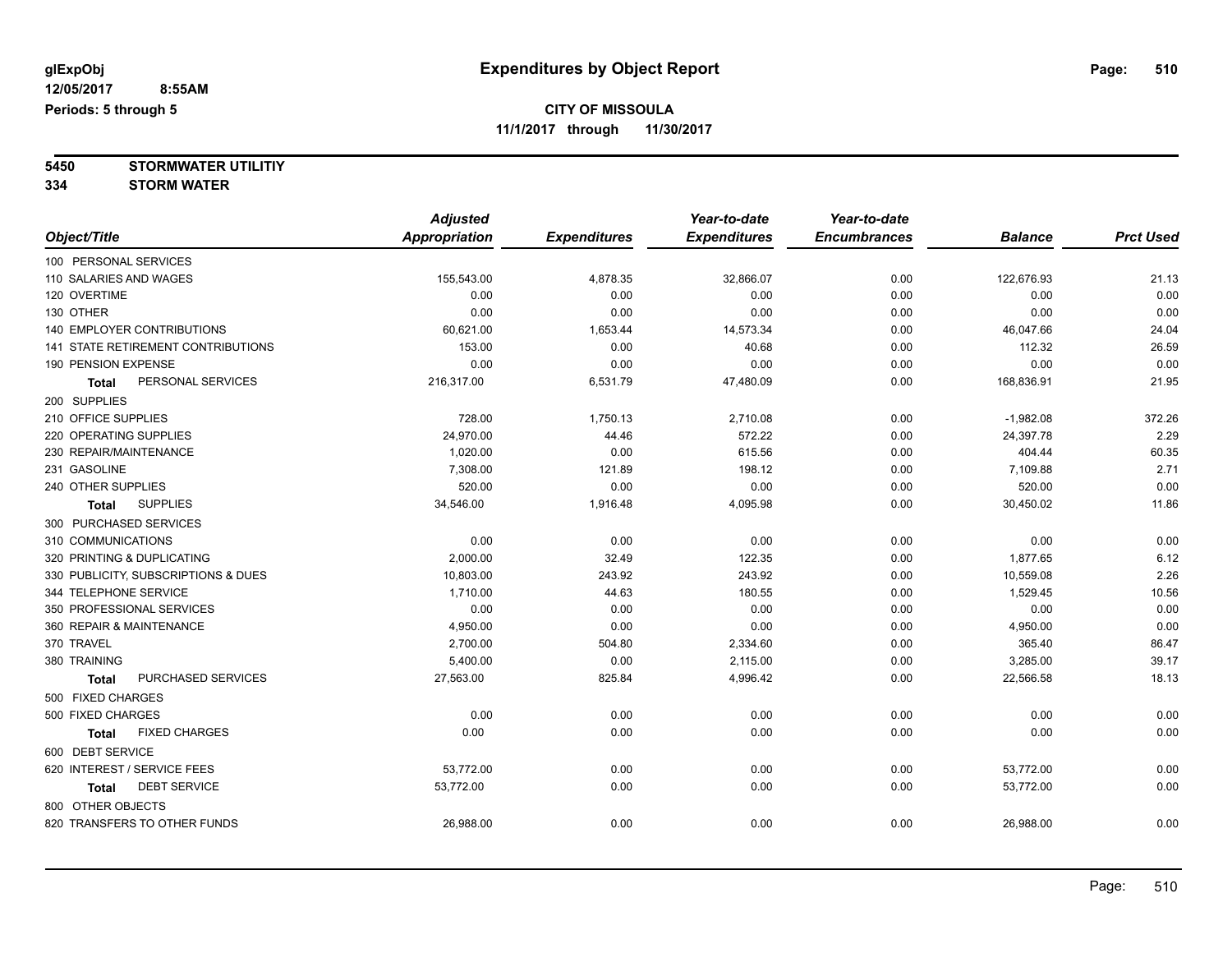**5450 STORMWATER UTILITIY**

**334 STORM WATER**

|                                           | <b>Adjusted</b>      |                     | Year-to-date        | Year-to-date        |                |                  |
|-------------------------------------------|----------------------|---------------------|---------------------|---------------------|----------------|------------------|
| Object/Title                              | <b>Appropriation</b> | <b>Expenditures</b> | <b>Expenditures</b> | <b>Encumbrances</b> | <b>Balance</b> | <b>Prct Used</b> |
| 100 PERSONAL SERVICES                     |                      |                     |                     |                     |                |                  |
| 110 SALARIES AND WAGES                    | 155,543.00           | 4,878.35            | 32,866.07           | 0.00                | 122,676.93     | 21.13            |
| 120 OVERTIME                              | 0.00                 | 0.00                | 0.00                | 0.00                | 0.00           | 0.00             |
| 130 OTHER                                 | 0.00                 | 0.00                | 0.00                | 0.00                | 0.00           | 0.00             |
| <b>140 EMPLOYER CONTRIBUTIONS</b>         | 60,621.00            | 1,653.44            | 14,573.34           | 0.00                | 46,047.66      | 24.04            |
| <b>141 STATE RETIREMENT CONTRIBUTIONS</b> | 153.00               | 0.00                | 40.68               | 0.00                | 112.32         | 26.59            |
| 190 PENSION EXPENSE                       | 0.00                 | 0.00                | 0.00                | 0.00                | 0.00           | 0.00             |
| PERSONAL SERVICES<br><b>Total</b>         | 216,317.00           | 6,531.79            | 47,480.09           | 0.00                | 168,836.91     | 21.95            |
| 200 SUPPLIES                              |                      |                     |                     |                     |                |                  |
| 210 OFFICE SUPPLIES                       | 728.00               | 1,750.13            | 2,710.08            | 0.00                | $-1,982.08$    | 372.26           |
| 220 OPERATING SUPPLIES                    | 24,970.00            | 44.46               | 572.22              | 0.00                | 24,397.78      | 2.29             |
| 230 REPAIR/MAINTENANCE                    | 1,020.00             | 0.00                | 615.56              | 0.00                | 404.44         | 60.35            |
| 231 GASOLINE                              | 7,308.00             | 121.89              | 198.12              | 0.00                | 7,109.88       | 2.71             |
| 240 OTHER SUPPLIES                        | 520.00               | 0.00                | 0.00                | 0.00                | 520.00         | 0.00             |
| <b>SUPPLIES</b><br><b>Total</b>           | 34,546.00            | 1,916.48            | 4,095.98            | 0.00                | 30,450.02      | 11.86            |
| 300 PURCHASED SERVICES                    |                      |                     |                     |                     |                |                  |
| 310 COMMUNICATIONS                        | 0.00                 | 0.00                | 0.00                | 0.00                | 0.00           | 0.00             |
| 320 PRINTING & DUPLICATING                | 2,000.00             | 32.49               | 122.35              | 0.00                | 1,877.65       | 6.12             |
| 330 PUBLICITY, SUBSCRIPTIONS & DUES       | 10,803.00            | 243.92              | 243.92              | 0.00                | 10,559.08      | 2.26             |
| 344 TELEPHONE SERVICE                     | 1,710.00             | 44.63               | 180.55              | 0.00                | 1,529.45       | 10.56            |
| 350 PROFESSIONAL SERVICES                 | 0.00                 | 0.00                | 0.00                | 0.00                | 0.00           | 0.00             |
| 360 REPAIR & MAINTENANCE                  | 4,950.00             | 0.00                | 0.00                | 0.00                | 4,950.00       | 0.00             |
| 370 TRAVEL                                | 2,700.00             | 504.80              | 2,334.60            | 0.00                | 365.40         | 86.47            |
| 380 TRAINING                              | 5,400.00             | 0.00                | 2,115.00            | 0.00                | 3,285.00       | 39.17            |
| PURCHASED SERVICES<br><b>Total</b>        | 27,563.00            | 825.84              | 4,996.42            | 0.00                | 22,566.58      | 18.13            |
| 500 FIXED CHARGES                         |                      |                     |                     |                     |                |                  |
| 500 FIXED CHARGES                         | 0.00                 | 0.00                | 0.00                | 0.00                | 0.00           | 0.00             |
| <b>FIXED CHARGES</b><br><b>Total</b>      | 0.00                 | 0.00                | 0.00                | 0.00                | 0.00           | 0.00             |
| 600 DEBT SERVICE                          |                      |                     |                     |                     |                |                  |
| 620 INTEREST / SERVICE FEES               | 53,772.00            | 0.00                | 0.00                | 0.00                | 53,772.00      | 0.00             |
| <b>DEBT SERVICE</b><br><b>Total</b>       | 53,772.00            | 0.00                | 0.00                | 0.00                | 53,772.00      | 0.00             |
| 800 OTHER OBJECTS                         |                      |                     |                     |                     |                |                  |
| 820 TRANSFERS TO OTHER FUNDS              | 26,988.00            | 0.00                | 0.00                | 0.00                | 26,988.00      | 0.00             |
|                                           |                      |                     |                     |                     |                |                  |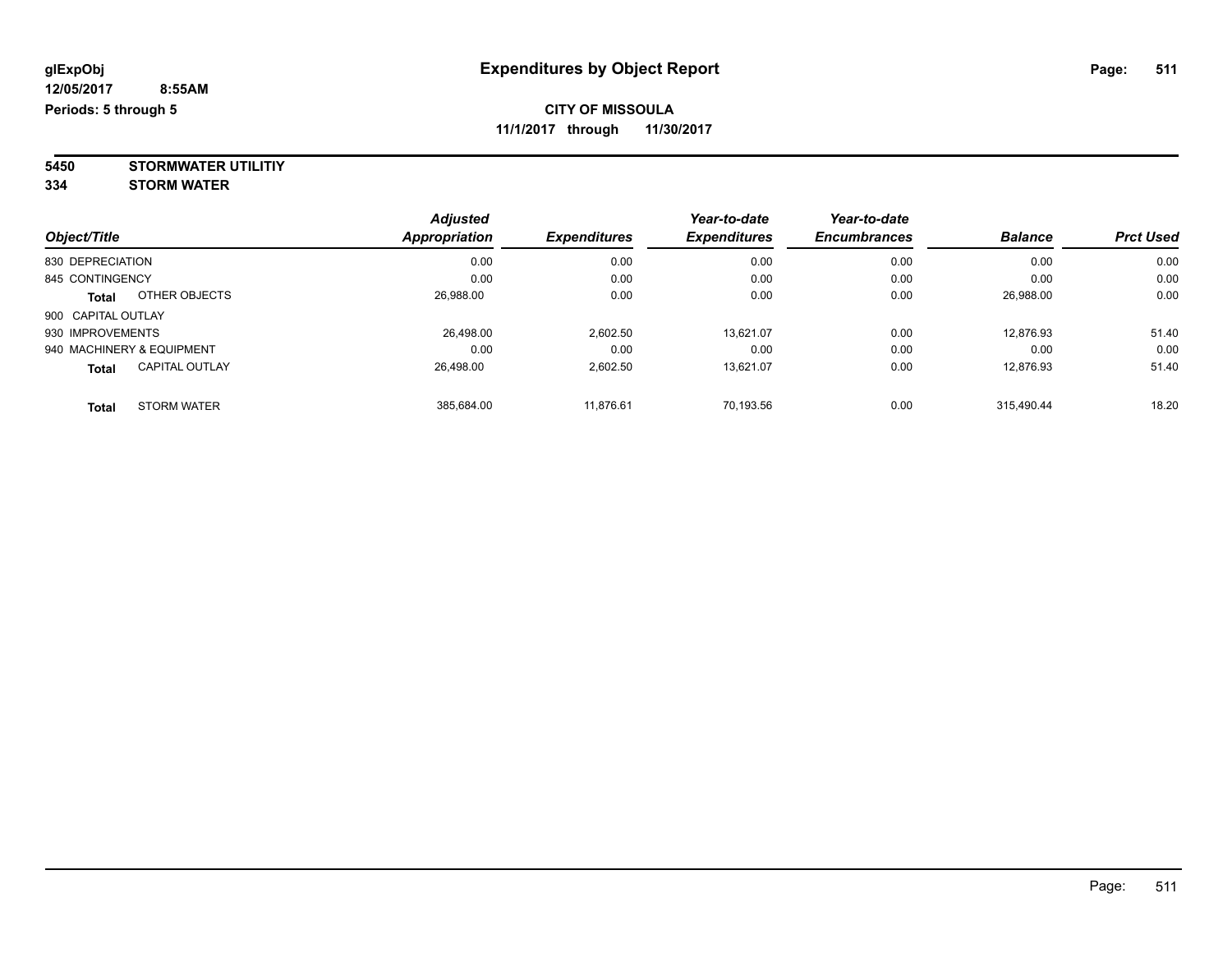**11/1/2017 through 11/30/2017**

**5450 STORMWATER UTILITIY 334 STORM WATER**

| Object/Title              |                       | <b>Adjusted</b><br><b>Appropriation</b> | <b>Expenditures</b> | Year-to-date<br><b>Expenditures</b> | Year-to-date<br><b>Encumbrances</b> | <b>Balance</b> | <b>Prct Used</b> |
|---------------------------|-----------------------|-----------------------------------------|---------------------|-------------------------------------|-------------------------------------|----------------|------------------|
| 830 DEPRECIATION          |                       | 0.00                                    | 0.00                | 0.00                                | 0.00                                | 0.00           | 0.00             |
| 845 CONTINGENCY           |                       | 0.00                                    | 0.00                | 0.00                                | 0.00                                | 0.00           | 0.00             |
| <b>Total</b>              | OTHER OBJECTS         | 26,988.00                               | 0.00                | 0.00                                | 0.00                                | 26,988.00      | 0.00             |
| 900 CAPITAL OUTLAY        |                       |                                         |                     |                                     |                                     |                |                  |
| 930 IMPROVEMENTS          |                       | 26.498.00                               | 2.602.50            | 13.621.07                           | 0.00                                | 12,876.93      | 51.40            |
| 940 MACHINERY & EQUIPMENT |                       | 0.00                                    | 0.00                | 0.00                                | 0.00                                | 0.00           | 0.00             |
| Total                     | <b>CAPITAL OUTLAY</b> | 26.498.00                               | 2,602.50            | 13.621.07                           | 0.00                                | 12,876.93      | 51.40            |
| Total                     | <b>STORM WATER</b>    | 385.684.00                              | 11.876.61           | 70.193.56                           | 0.00                                | 315.490.44     | 18.20            |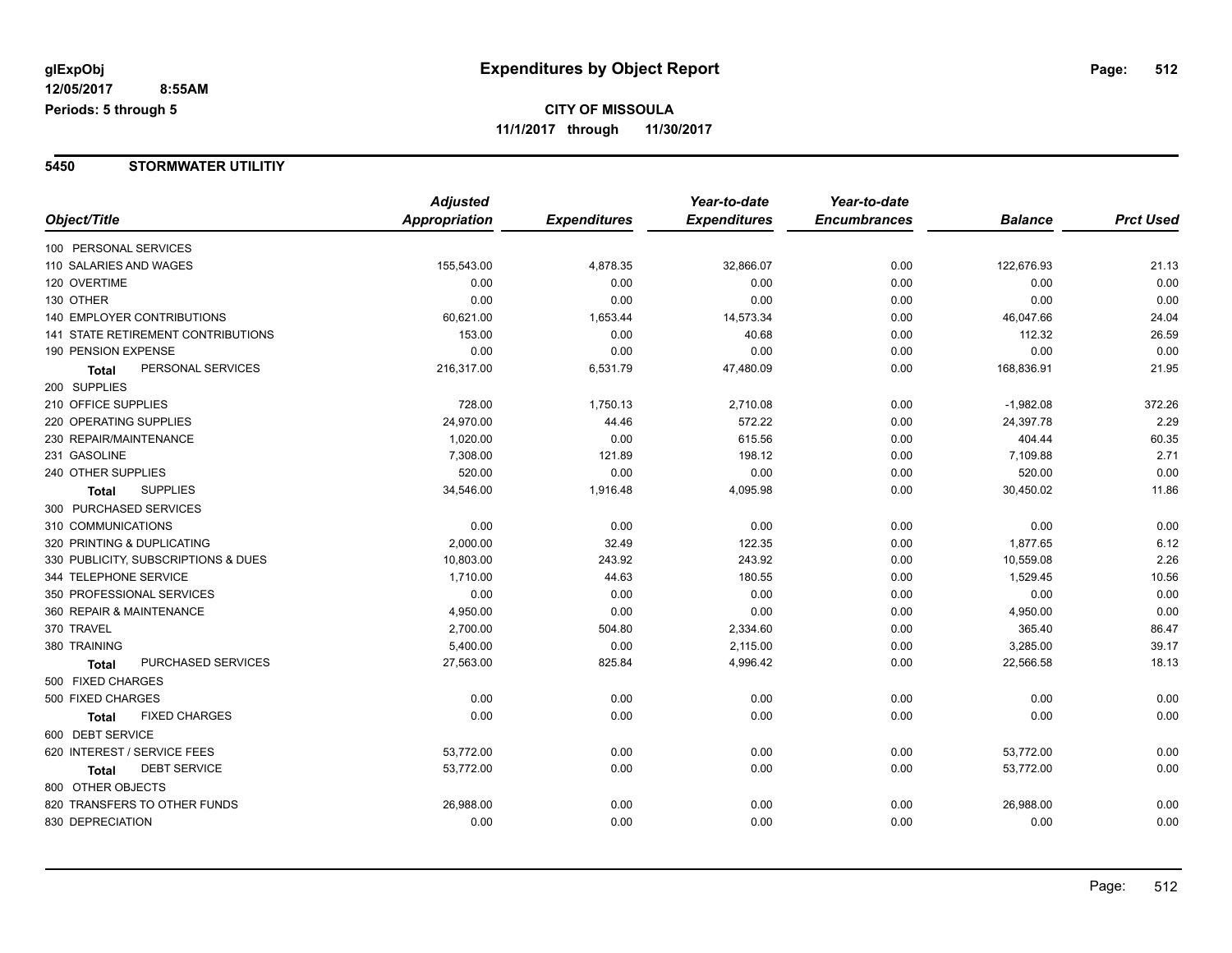#### **5450 STORMWATER UTILITIY**

|                                           | <b>Adjusted</b> |                     | Year-to-date        | Year-to-date        |                |                  |
|-------------------------------------------|-----------------|---------------------|---------------------|---------------------|----------------|------------------|
| Object/Title                              | Appropriation   | <b>Expenditures</b> | <b>Expenditures</b> | <b>Encumbrances</b> | <b>Balance</b> | <b>Prct Used</b> |
| 100 PERSONAL SERVICES                     |                 |                     |                     |                     |                |                  |
| 110 SALARIES AND WAGES                    | 155,543.00      | 4,878.35            | 32,866.07           | 0.00                | 122,676.93     | 21.13            |
| 120 OVERTIME                              | 0.00            | 0.00                | 0.00                | 0.00                | 0.00           | 0.00             |
| 130 OTHER                                 | 0.00            | 0.00                | 0.00                | 0.00                | 0.00           | 0.00             |
| <b>140 EMPLOYER CONTRIBUTIONS</b>         | 60,621.00       | 1,653.44            | 14,573.34           | 0.00                | 46,047.66      | 24.04            |
| <b>141 STATE RETIREMENT CONTRIBUTIONS</b> | 153.00          | 0.00                | 40.68               | 0.00                | 112.32         | 26.59            |
| 190 PENSION EXPENSE                       | 0.00            | 0.00                | 0.00                | 0.00                | 0.00           | 0.00             |
| PERSONAL SERVICES<br><b>Total</b>         | 216,317.00      | 6,531.79            | 47,480.09           | 0.00                | 168,836.91     | 21.95            |
| 200 SUPPLIES                              |                 |                     |                     |                     |                |                  |
| 210 OFFICE SUPPLIES                       | 728.00          | 1,750.13            | 2,710.08            | 0.00                | $-1,982.08$    | 372.26           |
| 220 OPERATING SUPPLIES                    | 24,970.00       | 44.46               | 572.22              | 0.00                | 24,397.78      | 2.29             |
| 230 REPAIR/MAINTENANCE                    | 1,020.00        | 0.00                | 615.56              | 0.00                | 404.44         | 60.35            |
| 231 GASOLINE                              | 7,308.00        | 121.89              | 198.12              | 0.00                | 7,109.88       | 2.71             |
| 240 OTHER SUPPLIES                        | 520.00          | 0.00                | 0.00                | 0.00                | 520.00         | 0.00             |
| <b>SUPPLIES</b><br><b>Total</b>           | 34,546.00       | 1,916.48            | 4,095.98            | 0.00                | 30,450.02      | 11.86            |
| 300 PURCHASED SERVICES                    |                 |                     |                     |                     |                |                  |
| 310 COMMUNICATIONS                        | 0.00            | 0.00                | 0.00                | 0.00                | 0.00           | 0.00             |
| 320 PRINTING & DUPLICATING                | 2,000.00        | 32.49               | 122.35              | 0.00                | 1,877.65       | 6.12             |
| 330 PUBLICITY, SUBSCRIPTIONS & DUES       | 10,803.00       | 243.92              | 243.92              | 0.00                | 10,559.08      | 2.26             |
| 344 TELEPHONE SERVICE                     | 1,710.00        | 44.63               | 180.55              | 0.00                | 1,529.45       | 10.56            |
| 350 PROFESSIONAL SERVICES                 | 0.00            | 0.00                | 0.00                | 0.00                | 0.00           | 0.00             |
| 360 REPAIR & MAINTENANCE                  | 4,950.00        | 0.00                | 0.00                | 0.00                | 4,950.00       | 0.00             |
| 370 TRAVEL                                | 2,700.00        | 504.80              | 2,334.60            | 0.00                | 365.40         | 86.47            |
| 380 TRAINING                              | 5,400.00        | 0.00                | 2,115.00            | 0.00                | 3,285.00       | 39.17            |
| PURCHASED SERVICES<br><b>Total</b>        | 27,563.00       | 825.84              | 4,996.42            | 0.00                | 22,566.58      | 18.13            |
| 500 FIXED CHARGES                         |                 |                     |                     |                     |                |                  |
| 500 FIXED CHARGES                         | 0.00            | 0.00                | 0.00                | 0.00                | 0.00           | 0.00             |
| <b>FIXED CHARGES</b><br>Total             | 0.00            | 0.00                | 0.00                | 0.00                | 0.00           | 0.00             |
| 600 DEBT SERVICE                          |                 |                     |                     |                     |                |                  |
| 620 INTEREST / SERVICE FEES               | 53,772.00       | 0.00                | 0.00                | 0.00                | 53,772.00      | 0.00             |
| <b>DEBT SERVICE</b><br><b>Total</b>       | 53,772.00       | 0.00                | 0.00                | 0.00                | 53,772.00      | 0.00             |
| 800 OTHER OBJECTS                         |                 |                     |                     |                     |                |                  |
| 820 TRANSFERS TO OTHER FUNDS              | 26,988.00       | 0.00                | 0.00                | 0.00                | 26,988.00      | 0.00             |
| 830 DEPRECIATION                          | 0.00            | 0.00                | 0.00                | 0.00                | 0.00           | 0.00             |
|                                           |                 |                     |                     |                     |                |                  |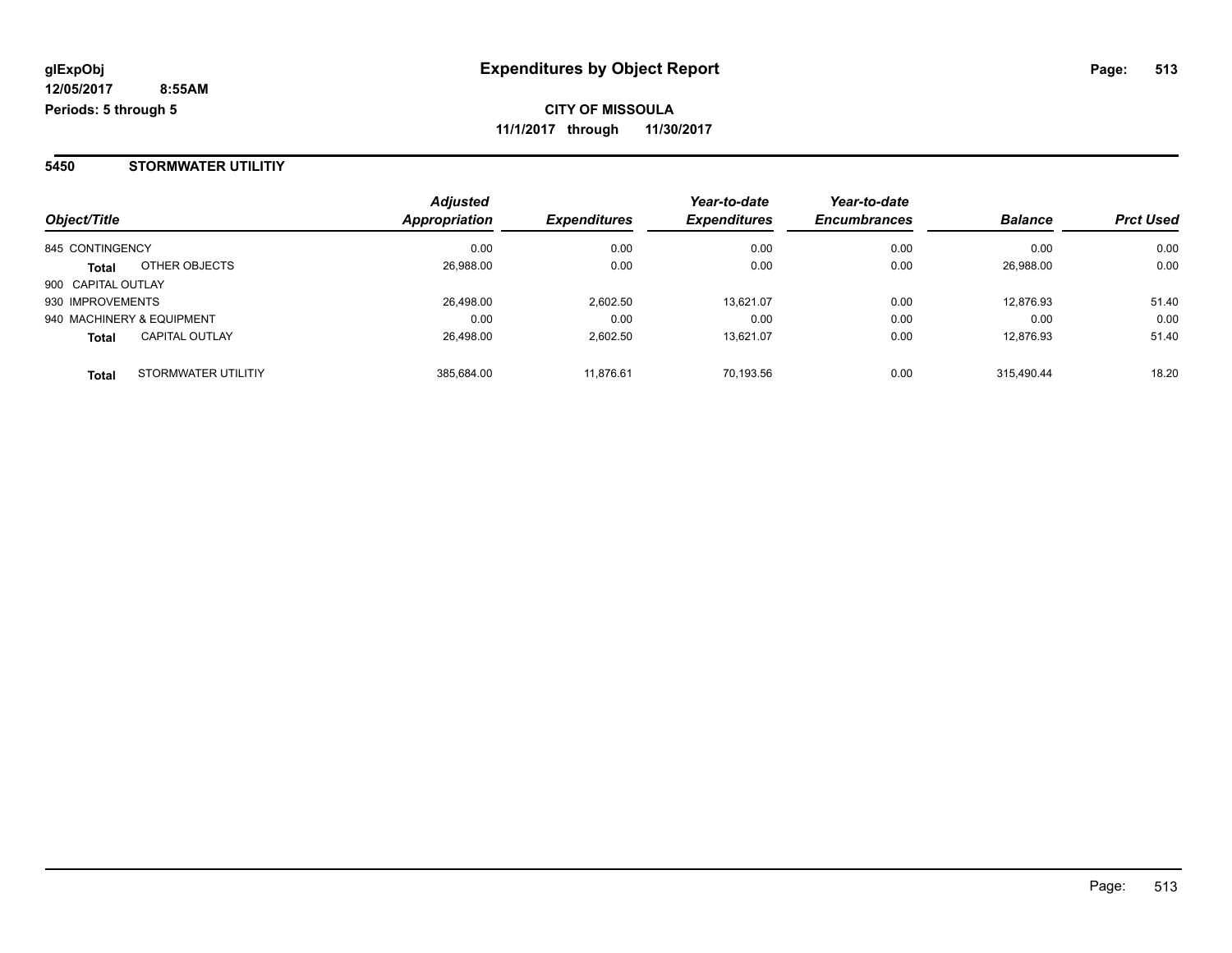#### **5450 STORMWATER UTILITIY**

| Object/Title                          | <b>Adjusted</b><br>Appropriation | <b>Expenditures</b> | Year-to-date<br><b>Expenditures</b> | Year-to-date<br><b>Encumbrances</b> | <b>Balance</b> | <b>Prct Used</b> |
|---------------------------------------|----------------------------------|---------------------|-------------------------------------|-------------------------------------|----------------|------------------|
| 845 CONTINGENCY                       | 0.00                             | 0.00                | 0.00                                | 0.00                                | 0.00           | 0.00             |
| OTHER OBJECTS<br><b>Total</b>         | 26,988.00                        | 0.00                | 0.00                                | 0.00                                | 26,988.00      | 0.00             |
| 900 CAPITAL OUTLAY                    |                                  |                     |                                     |                                     |                |                  |
| 930 IMPROVEMENTS                      | 26.498.00                        | 2,602.50            | 13.621.07                           | 0.00                                | 12,876.93      | 51.40            |
| 940 MACHINERY & EQUIPMENT             | 0.00                             | 0.00                | 0.00                                | 0.00                                | 0.00           | 0.00             |
| <b>CAPITAL OUTLAY</b><br><b>Total</b> | 26,498.00                        | 2.602.50            | 13.621.07                           | 0.00                                | 12.876.93      | 51.40            |
| STORMWATER UTILITIY<br><b>Total</b>   | 385,684.00                       | 11,876.61           | 70.193.56                           | 0.00                                | 315.490.44     | 18.20            |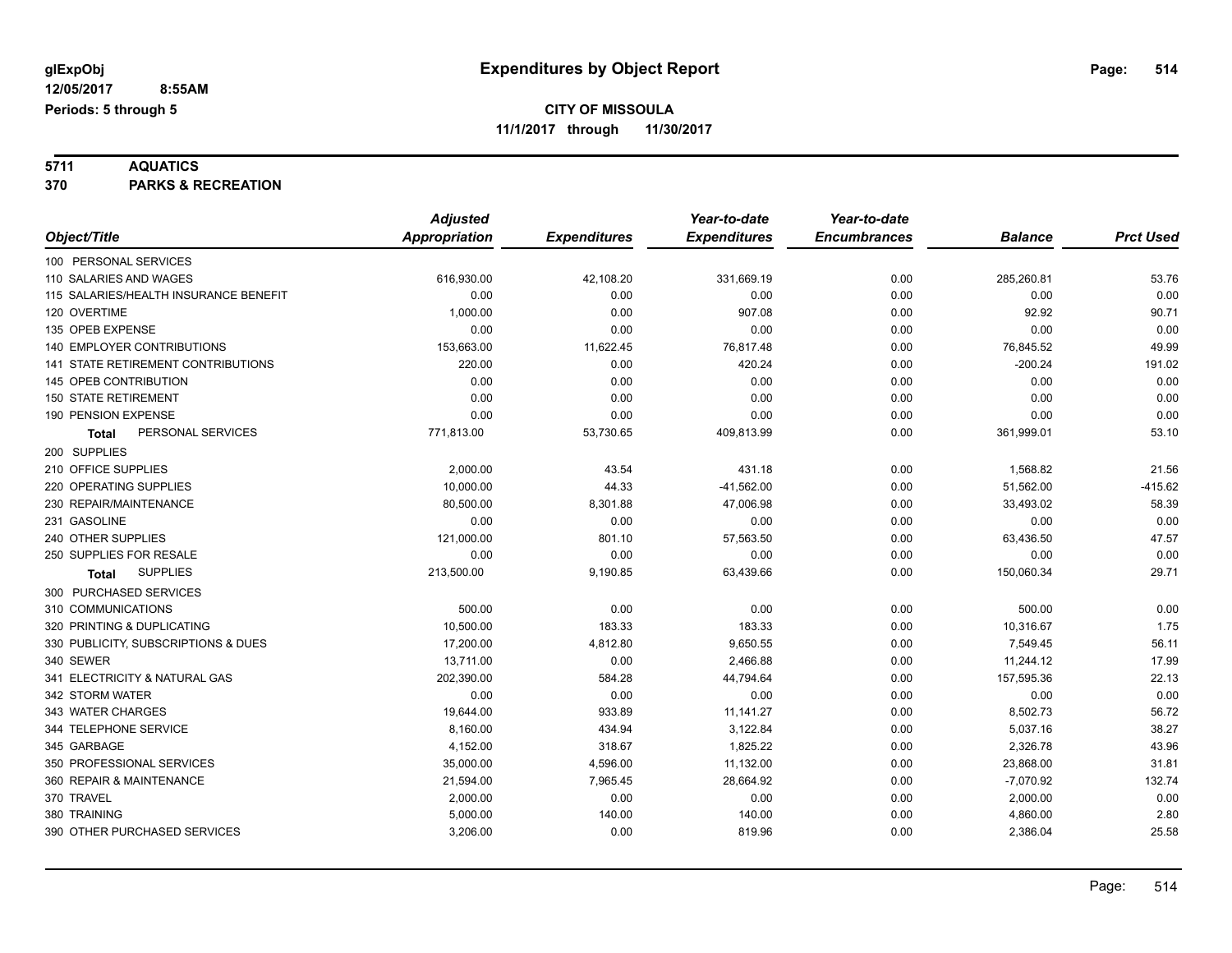**5711 AQUATICS 370 PARKS & RECREATION**

|                                       | <b>Adjusted</b>      |                     | Year-to-date        | Year-to-date        |                |                  |
|---------------------------------------|----------------------|---------------------|---------------------|---------------------|----------------|------------------|
| Object/Title                          | <b>Appropriation</b> | <b>Expenditures</b> | <b>Expenditures</b> | <b>Encumbrances</b> | <b>Balance</b> | <b>Prct Used</b> |
| 100 PERSONAL SERVICES                 |                      |                     |                     |                     |                |                  |
| 110 SALARIES AND WAGES                | 616,930.00           | 42,108.20           | 331,669.19          | 0.00                | 285,260.81     | 53.76            |
| 115 SALARIES/HEALTH INSURANCE BENEFIT | 0.00                 | 0.00                | 0.00                | 0.00                | 0.00           | 0.00             |
| 120 OVERTIME                          | 1,000.00             | 0.00                | 907.08              | 0.00                | 92.92          | 90.71            |
| 135 OPEB EXPENSE                      | 0.00                 | 0.00                | 0.00                | 0.00                | 0.00           | 0.00             |
| 140 EMPLOYER CONTRIBUTIONS            | 153,663.00           | 11,622.45           | 76,817.48           | 0.00                | 76,845.52      | 49.99            |
| 141 STATE RETIREMENT CONTRIBUTIONS    | 220.00               | 0.00                | 420.24              | 0.00                | $-200.24$      | 191.02           |
| 145 OPEB CONTRIBUTION                 | 0.00                 | 0.00                | 0.00                | 0.00                | 0.00           | 0.00             |
| <b>150 STATE RETIREMENT</b>           | 0.00                 | 0.00                | 0.00                | 0.00                | 0.00           | 0.00             |
| 190 PENSION EXPENSE                   | 0.00                 | 0.00                | 0.00                | 0.00                | 0.00           | 0.00             |
| PERSONAL SERVICES<br>Total            | 771,813.00           | 53,730.65           | 409,813.99          | 0.00                | 361,999.01     | 53.10            |
| 200 SUPPLIES                          |                      |                     |                     |                     |                |                  |
| 210 OFFICE SUPPLIES                   | 2,000.00             | 43.54               | 431.18              | 0.00                | 1,568.82       | 21.56            |
| 220 OPERATING SUPPLIES                | 10,000.00            | 44.33               | $-41,562.00$        | 0.00                | 51,562.00      | $-415.62$        |
| 230 REPAIR/MAINTENANCE                | 80,500.00            | 8,301.88            | 47,006.98           | 0.00                | 33,493.02      | 58.39            |
| 231 GASOLINE                          | 0.00                 | 0.00                | 0.00                | 0.00                | 0.00           | 0.00             |
| 240 OTHER SUPPLIES                    | 121,000.00           | 801.10              | 57,563.50           | 0.00                | 63,436.50      | 47.57            |
| 250 SUPPLIES FOR RESALE               | 0.00                 | 0.00                | 0.00                | 0.00                | 0.00           | 0.00             |
| <b>SUPPLIES</b><br>Total              | 213,500.00           | 9,190.85            | 63,439.66           | 0.00                | 150,060.34     | 29.71            |
| 300 PURCHASED SERVICES                |                      |                     |                     |                     |                |                  |
| 310 COMMUNICATIONS                    | 500.00               | 0.00                | 0.00                | 0.00                | 500.00         | 0.00             |
| 320 PRINTING & DUPLICATING            | 10,500.00            | 183.33              | 183.33              | 0.00                | 10,316.67      | 1.75             |
| 330 PUBLICITY, SUBSCRIPTIONS & DUES   | 17,200.00            | 4,812.80            | 9,650.55            | 0.00                | 7,549.45       | 56.11            |
| 340 SEWER                             | 13,711.00            | 0.00                | 2,466.88            | 0.00                | 11,244.12      | 17.99            |
| 341 ELECTRICITY & NATURAL GAS         | 202,390.00           | 584.28              | 44,794.64           | 0.00                | 157,595.36     | 22.13            |
| 342 STORM WATER                       | 0.00                 | 0.00                | 0.00                | 0.00                | 0.00           | 0.00             |
| 343 WATER CHARGES                     | 19,644.00            | 933.89              | 11,141.27           | 0.00                | 8,502.73       | 56.72            |
| 344 TELEPHONE SERVICE                 | 8,160.00             | 434.94              | 3,122.84            | 0.00                | 5,037.16       | 38.27            |
| 345 GARBAGE                           | 4,152.00             | 318.67              | 1,825.22            | 0.00                | 2,326.78       | 43.96            |
| 350 PROFESSIONAL SERVICES             | 35,000.00            | 4,596.00            | 11,132.00           | 0.00                | 23,868.00      | 31.81            |
| 360 REPAIR & MAINTENANCE              | 21,594.00            | 7,965.45            | 28,664.92           | 0.00                | $-7,070.92$    | 132.74           |
| 370 TRAVEL                            | 2,000.00             | 0.00                | 0.00                | 0.00                | 2,000.00       | 0.00             |
| 380 TRAINING                          | 5,000.00             | 140.00              | 140.00              | 0.00                | 4,860.00       | 2.80             |
| 390 OTHER PURCHASED SERVICES          | 3,206.00             | 0.00                | 819.96              | 0.00                | 2,386.04       | 25.58            |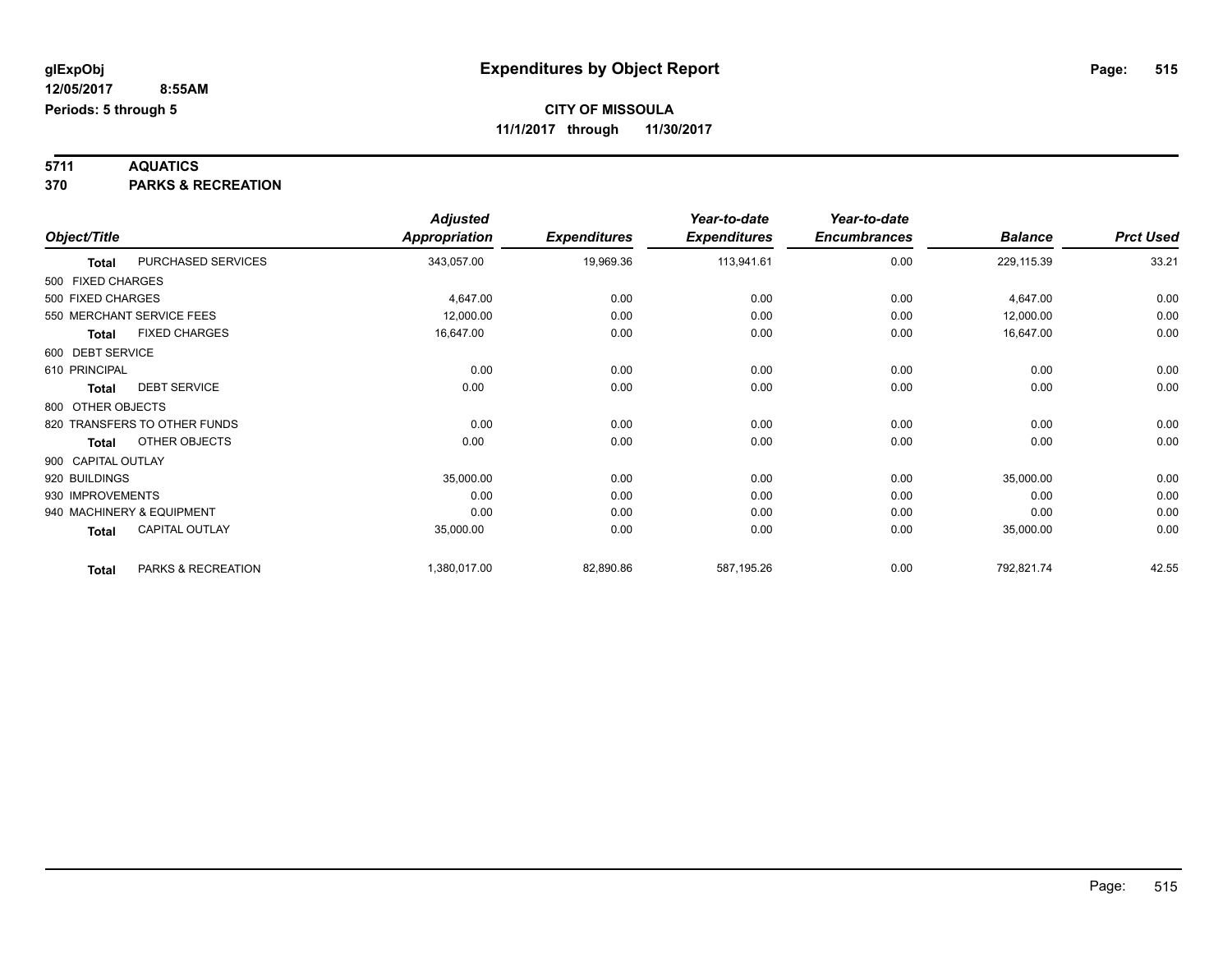# **5711 AQUATICS**

**370 PARKS & RECREATION**

|                    |                              | <b>Adjusted</b>      |                     | Year-to-date        | Year-to-date        |                |                  |
|--------------------|------------------------------|----------------------|---------------------|---------------------|---------------------|----------------|------------------|
| Object/Title       |                              | <b>Appropriation</b> | <b>Expenditures</b> | <b>Expenditures</b> | <b>Encumbrances</b> | <b>Balance</b> | <b>Prct Used</b> |
| <b>Total</b>       | PURCHASED SERVICES           | 343,057.00           | 19,969.36           | 113,941.61          | 0.00                | 229,115.39     | 33.21            |
| 500 FIXED CHARGES  |                              |                      |                     |                     |                     |                |                  |
| 500 FIXED CHARGES  |                              | 4,647.00             | 0.00                | 0.00                | 0.00                | 4,647.00       | 0.00             |
|                    | 550 MERCHANT SERVICE FEES    | 12,000.00            | 0.00                | 0.00                | 0.00                | 12,000.00      | 0.00             |
| <b>Total</b>       | <b>FIXED CHARGES</b>         | 16,647.00            | 0.00                | 0.00                | 0.00                | 16,647.00      | 0.00             |
| 600 DEBT SERVICE   |                              |                      |                     |                     |                     |                |                  |
| 610 PRINCIPAL      |                              | 0.00                 | 0.00                | 0.00                | 0.00                | 0.00           | 0.00             |
| <b>Total</b>       | <b>DEBT SERVICE</b>          | 0.00                 | 0.00                | 0.00                | 0.00                | 0.00           | 0.00             |
| 800 OTHER OBJECTS  |                              |                      |                     |                     |                     |                |                  |
|                    | 820 TRANSFERS TO OTHER FUNDS | 0.00                 | 0.00                | 0.00                | 0.00                | 0.00           | 0.00             |
| <b>Total</b>       | OTHER OBJECTS                | 0.00                 | 0.00                | 0.00                | 0.00                | 0.00           | 0.00             |
| 900 CAPITAL OUTLAY |                              |                      |                     |                     |                     |                |                  |
| 920 BUILDINGS      |                              | 35,000.00            | 0.00                | 0.00                | 0.00                | 35,000.00      | 0.00             |
| 930 IMPROVEMENTS   |                              | 0.00                 | 0.00                | 0.00                | 0.00                | 0.00           | 0.00             |
|                    | 940 MACHINERY & EQUIPMENT    | 0.00                 | 0.00                | 0.00                | 0.00                | 0.00           | 0.00             |
| <b>Total</b>       | CAPITAL OUTLAY               | 35,000.00            | 0.00                | 0.00                | 0.00                | 35,000.00      | 0.00             |
| <b>Total</b>       | PARKS & RECREATION           | 1,380,017.00         | 82,890.86           | 587,195.26          | 0.00                | 792,821.74     | 42.55            |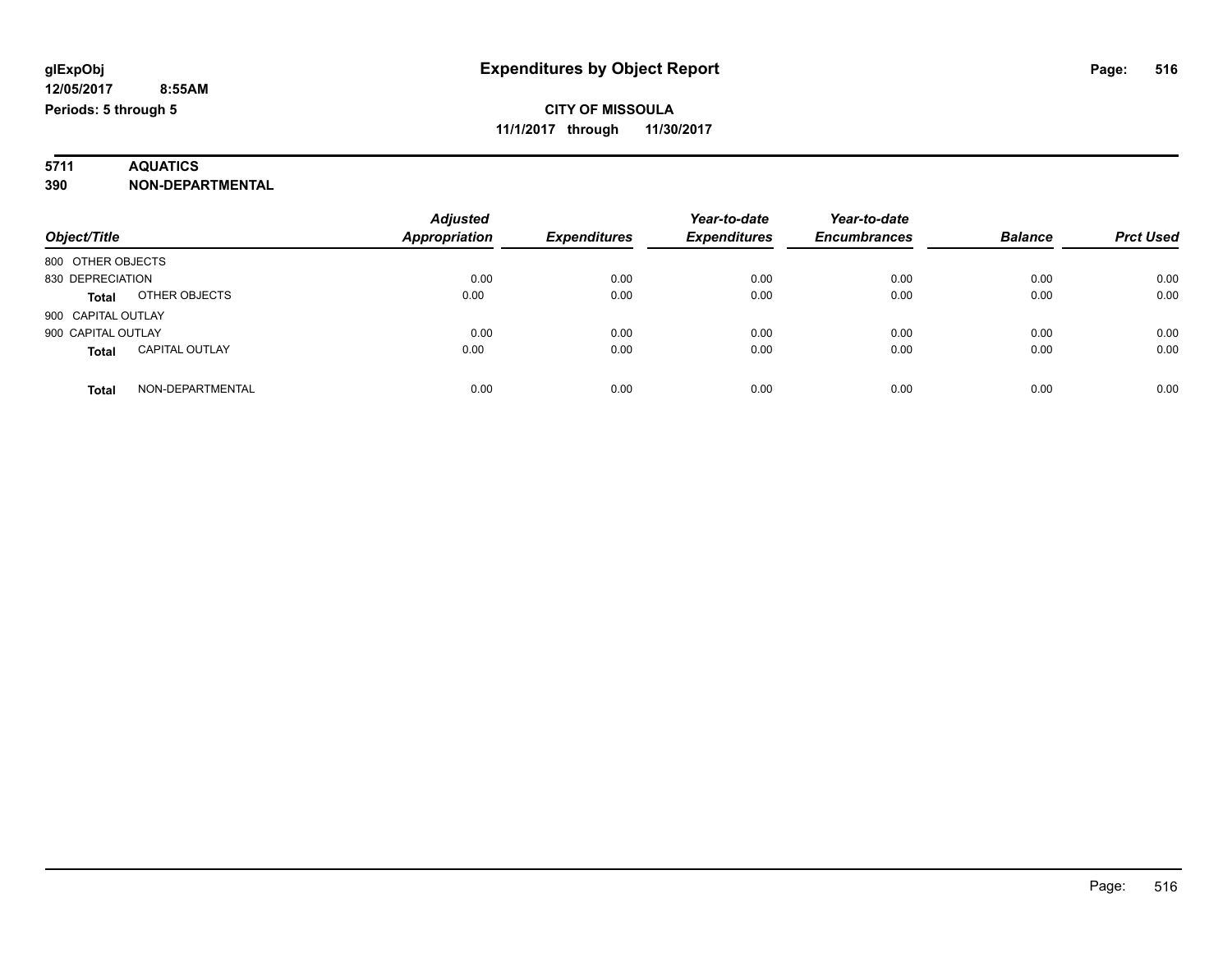# **5711 AQUATICS**

**390 NON-DEPARTMENTAL**

| Object/Title                          | <b>Adjusted</b><br><b>Appropriation</b> | <b>Expenditures</b> | Year-to-date<br><b>Expenditures</b> | Year-to-date<br><b>Encumbrances</b> | <b>Balance</b> | <b>Prct Used</b> |
|---------------------------------------|-----------------------------------------|---------------------|-------------------------------------|-------------------------------------|----------------|------------------|
|                                       |                                         |                     |                                     |                                     |                |                  |
| 800 OTHER OBJECTS                     |                                         |                     |                                     |                                     |                |                  |
| 830 DEPRECIATION                      | 0.00                                    | 0.00                | 0.00                                | 0.00                                | 0.00           | 0.00             |
| OTHER OBJECTS<br><b>Total</b>         | 0.00                                    | 0.00                | 0.00                                | 0.00                                | 0.00           | 0.00             |
| 900 CAPITAL OUTLAY                    |                                         |                     |                                     |                                     |                |                  |
| 900 CAPITAL OUTLAY                    | 0.00                                    | 0.00                | 0.00                                | 0.00                                | 0.00           | 0.00             |
| <b>CAPITAL OUTLAY</b><br><b>Total</b> | 0.00                                    | 0.00                | 0.00                                | 0.00                                | 0.00           | 0.00             |
| NON-DEPARTMENTAL<br>Total             | 0.00                                    | 0.00                | 0.00                                | 0.00                                | 0.00           | 0.00             |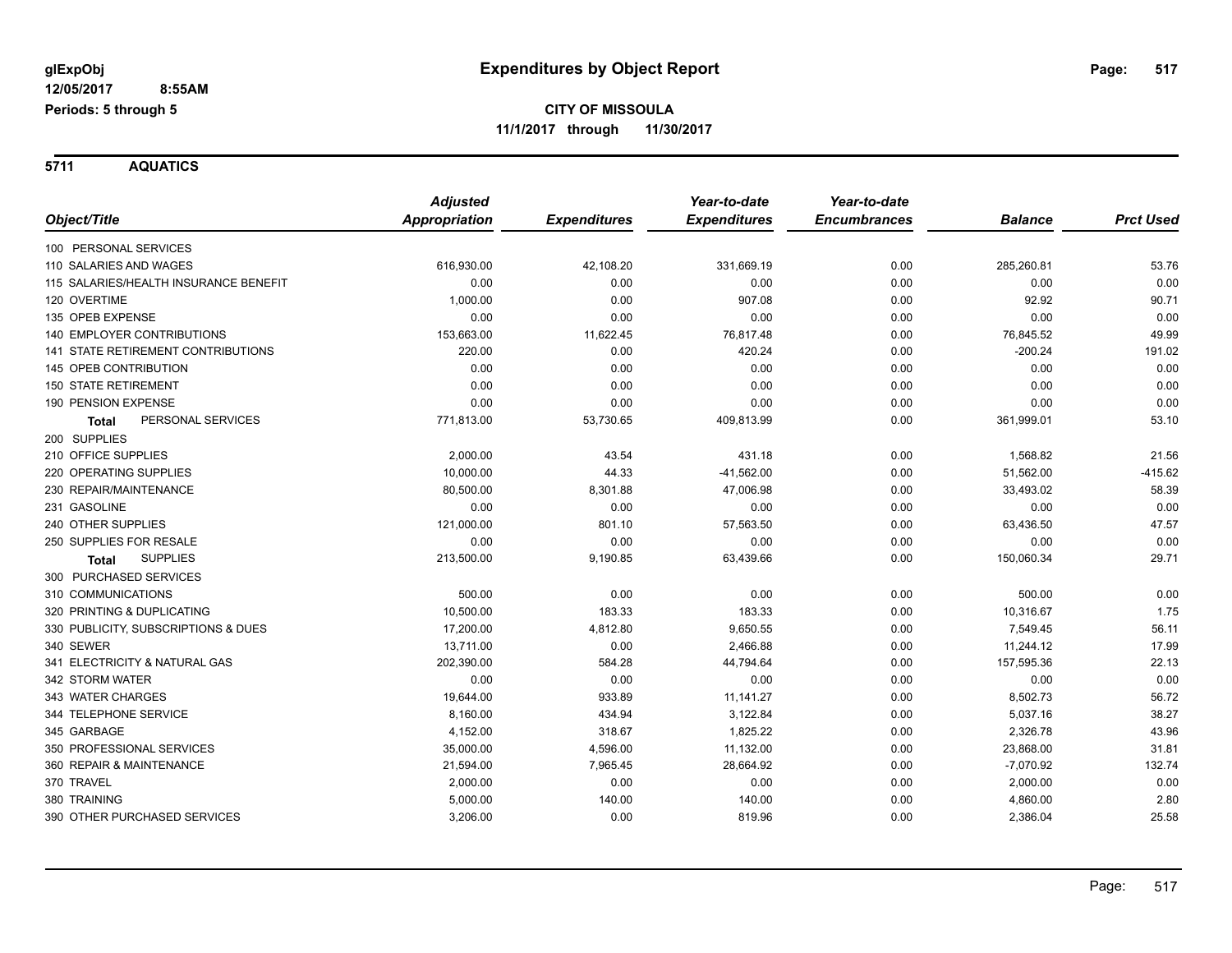**5711 AQUATICS**

|                                           | <b>Adjusted</b> |                     | Year-to-date        | Year-to-date        |                |                  |
|-------------------------------------------|-----------------|---------------------|---------------------|---------------------|----------------|------------------|
| Object/Title                              | Appropriation   | <b>Expenditures</b> | <b>Expenditures</b> | <b>Encumbrances</b> | <b>Balance</b> | <b>Prct Used</b> |
| 100 PERSONAL SERVICES                     |                 |                     |                     |                     |                |                  |
| 110 SALARIES AND WAGES                    | 616,930.00      | 42,108.20           | 331,669.19          | 0.00                | 285,260.81     | 53.76            |
| 115 SALARIES/HEALTH INSURANCE BENEFIT     | 0.00            | 0.00                | 0.00                | 0.00                | 0.00           | 0.00             |
| 120 OVERTIME                              | 1.000.00        | 0.00                | 907.08              | 0.00                | 92.92          | 90.71            |
| 135 OPEB EXPENSE                          | 0.00            | 0.00                | 0.00                | 0.00                | 0.00           | 0.00             |
| <b>140 EMPLOYER CONTRIBUTIONS</b>         | 153,663.00      | 11,622.45           | 76.817.48           | 0.00                | 76,845.52      | 49.99            |
| <b>141 STATE RETIREMENT CONTRIBUTIONS</b> | 220.00          | 0.00                | 420.24              | 0.00                | $-200.24$      | 191.02           |
| 145 OPEB CONTRIBUTION                     | 0.00            | 0.00                | 0.00                | 0.00                | 0.00           | 0.00             |
| <b>150 STATE RETIREMENT</b>               | 0.00            | 0.00                | 0.00                | 0.00                | 0.00           | 0.00             |
| 190 PENSION EXPENSE                       | 0.00            | 0.00                | 0.00                | 0.00                | 0.00           | 0.00             |
| PERSONAL SERVICES<br><b>Total</b>         | 771,813.00      | 53,730.65           | 409,813.99          | 0.00                | 361,999.01     | 53.10            |
| 200 SUPPLIES                              |                 |                     |                     |                     |                |                  |
| 210 OFFICE SUPPLIES                       | 2,000.00        | 43.54               | 431.18              | 0.00                | 1,568.82       | 21.56            |
| 220 OPERATING SUPPLIES                    | 10,000.00       | 44.33               | $-41,562.00$        | 0.00                | 51,562.00      | $-415.62$        |
| 230 REPAIR/MAINTENANCE                    | 80,500.00       | 8,301.88            | 47,006.98           | 0.00                | 33,493.02      | 58.39            |
| 231 GASOLINE                              | 0.00            | 0.00                | 0.00                | 0.00                | 0.00           | 0.00             |
| 240 OTHER SUPPLIES                        | 121,000.00      | 801.10              | 57,563.50           | 0.00                | 63,436.50      | 47.57            |
| 250 SUPPLIES FOR RESALE                   | 0.00            | 0.00                | 0.00                | 0.00                | 0.00           | 0.00             |
| <b>SUPPLIES</b><br><b>Total</b>           | 213,500.00      | 9,190.85            | 63,439.66           | 0.00                | 150,060.34     | 29.71            |
| 300 PURCHASED SERVICES                    |                 |                     |                     |                     |                |                  |
| 310 COMMUNICATIONS                        | 500.00          | 0.00                | 0.00                | 0.00                | 500.00         | 0.00             |
| 320 PRINTING & DUPLICATING                | 10,500.00       | 183.33              | 183.33              | 0.00                | 10,316.67      | 1.75             |
| 330 PUBLICITY, SUBSCRIPTIONS & DUES       | 17,200.00       | 4,812.80            | 9,650.55            | 0.00                | 7,549.45       | 56.11            |
| 340 SEWER                                 | 13,711.00       | 0.00                | 2,466.88            | 0.00                | 11,244.12      | 17.99            |
| 341 ELECTRICITY & NATURAL GAS             | 202,390.00      | 584.28              | 44,794.64           | 0.00                | 157,595.36     | 22.13            |
| 342 STORM WATER                           | 0.00            | 0.00                | 0.00                | 0.00                | 0.00           | 0.00             |
| 343 WATER CHARGES                         | 19,644.00       | 933.89              | 11,141.27           | 0.00                | 8,502.73       | 56.72            |
| 344 TELEPHONE SERVICE                     | 8,160.00        | 434.94              | 3,122.84            | 0.00                | 5,037.16       | 38.27            |
| 345 GARBAGE                               | 4,152.00        | 318.67              | 1,825.22            | 0.00                | 2,326.78       | 43.96            |
| 350 PROFESSIONAL SERVICES                 | 35,000.00       | 4,596.00            | 11,132.00           | 0.00                | 23,868.00      | 31.81            |
| 360 REPAIR & MAINTENANCE                  | 21,594.00       | 7,965.45            | 28,664.92           | 0.00                | $-7,070.92$    | 132.74           |
| 370 TRAVEL                                | 2,000.00        | 0.00                | 0.00                | 0.00                | 2,000.00       | 0.00             |
| 380 TRAINING                              | 5,000.00        | 140.00              | 140.00              | 0.00                | 4,860.00       | 2.80             |
| 390 OTHER PURCHASED SERVICES              | 3,206.00        | 0.00                | 819.96              | 0.00                | 2,386.04       | 25.58            |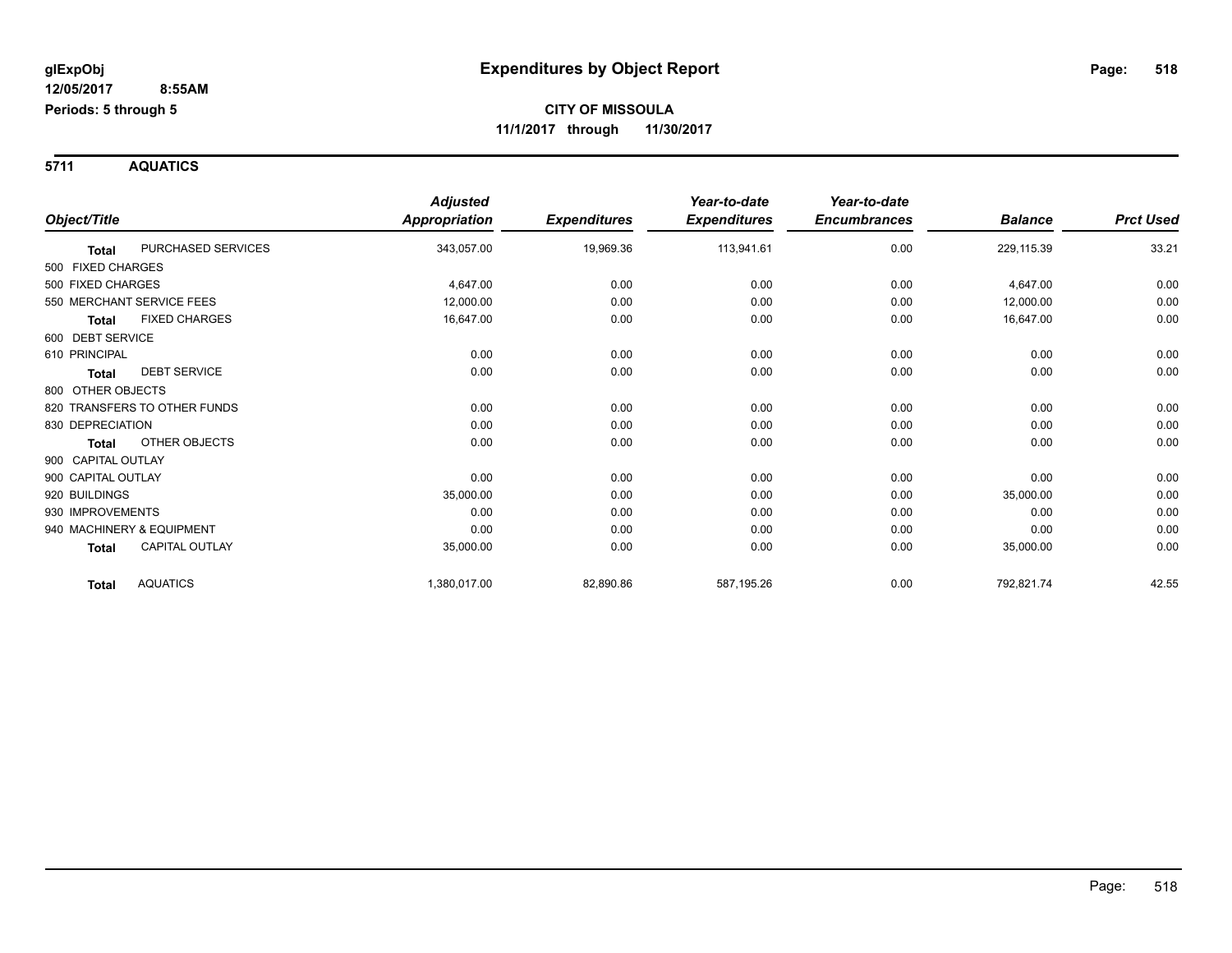**5711 AQUATICS**

|                                      | <b>Adjusted</b> |                     | Year-to-date        | Year-to-date        |                |                  |
|--------------------------------------|-----------------|---------------------|---------------------|---------------------|----------------|------------------|
| Object/Title                         | Appropriation   | <b>Expenditures</b> | <b>Expenditures</b> | <b>Encumbrances</b> | <b>Balance</b> | <b>Prct Used</b> |
| PURCHASED SERVICES<br><b>Total</b>   | 343,057.00      | 19,969.36           | 113,941.61          | 0.00                | 229,115.39     | 33.21            |
| 500 FIXED CHARGES                    |                 |                     |                     |                     |                |                  |
| 500 FIXED CHARGES                    | 4,647.00        | 0.00                | 0.00                | 0.00                | 4,647.00       | 0.00             |
| 550 MERCHANT SERVICE FEES            | 12,000.00       | 0.00                | 0.00                | 0.00                | 12,000.00      | 0.00             |
| <b>FIXED CHARGES</b><br><b>Total</b> | 16,647.00       | 0.00                | 0.00                | 0.00                | 16,647.00      | 0.00             |
| 600 DEBT SERVICE                     |                 |                     |                     |                     |                |                  |
| 610 PRINCIPAL                        | 0.00            | 0.00                | 0.00                | 0.00                | 0.00           | 0.00             |
| <b>DEBT SERVICE</b><br>Total         | 0.00            | 0.00                | 0.00                | 0.00                | 0.00           | 0.00             |
| 800 OTHER OBJECTS                    |                 |                     |                     |                     |                |                  |
| 820 TRANSFERS TO OTHER FUNDS         | 0.00            | 0.00                | 0.00                | 0.00                | 0.00           | 0.00             |
| 830 DEPRECIATION                     | 0.00            | 0.00                | 0.00                | 0.00                | 0.00           | 0.00             |
| OTHER OBJECTS<br><b>Total</b>        | 0.00            | 0.00                | 0.00                | 0.00                | 0.00           | 0.00             |
| 900 CAPITAL OUTLAY                   |                 |                     |                     |                     |                |                  |
| 900 CAPITAL OUTLAY                   | 0.00            | 0.00                | 0.00                | 0.00                | 0.00           | 0.00             |
| 920 BUILDINGS                        | 35,000.00       | 0.00                | 0.00                | 0.00                | 35,000.00      | 0.00             |
| 930 IMPROVEMENTS                     | 0.00            | 0.00                | 0.00                | 0.00                | 0.00           | 0.00             |
| 940 MACHINERY & EQUIPMENT            | 0.00            | 0.00                | 0.00                | 0.00                | 0.00           | 0.00             |
| CAPITAL OUTLAY<br><b>Total</b>       | 35,000.00       | 0.00                | 0.00                | 0.00                | 35,000.00      | 0.00             |
| <b>AQUATICS</b><br><b>Total</b>      | 1,380,017.00    | 82,890.86           | 587,195.26          | 0.00                | 792,821.74     | 42.55            |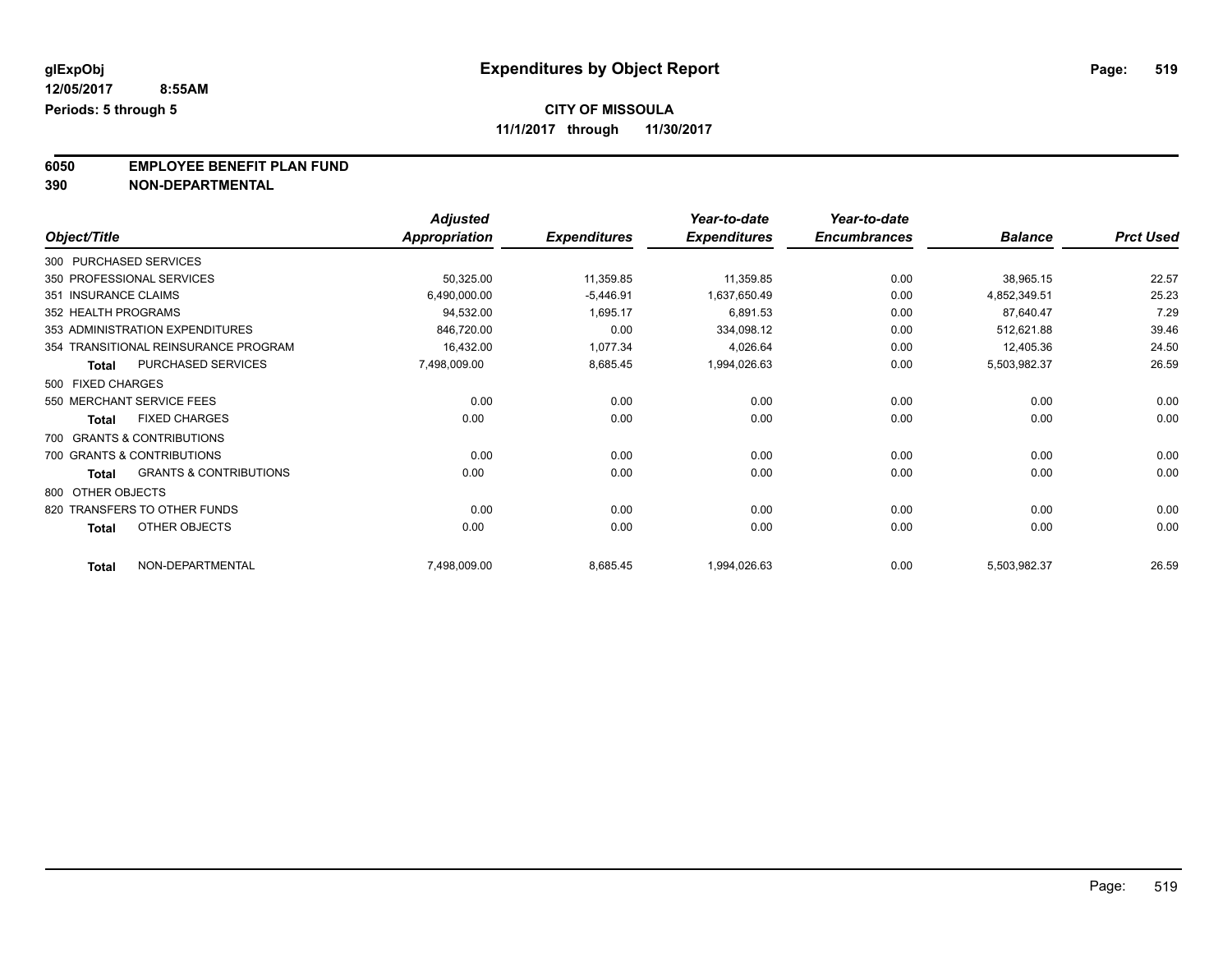**11/1/2017 through 11/30/2017**

**6050 EMPLOYEE BENEFIT PLAN FUND**<br>390 NON-DEPARTMENTAL

**390 NON-DEPARTMENTAL**

|                        |                                      | <b>Adjusted</b>      |                     | Year-to-date        | Year-to-date        |                |                  |
|------------------------|--------------------------------------|----------------------|---------------------|---------------------|---------------------|----------------|------------------|
| Object/Title           |                                      | <b>Appropriation</b> | <b>Expenditures</b> | <b>Expenditures</b> | <b>Encumbrances</b> | <b>Balance</b> | <b>Prct Used</b> |
| 300 PURCHASED SERVICES |                                      |                      |                     |                     |                     |                |                  |
|                        | 350 PROFESSIONAL SERVICES            | 50,325.00            | 11,359.85           | 11,359.85           | 0.00                | 38,965.15      | 22.57            |
| 351 INSURANCE CLAIMS   |                                      | 6,490,000.00         | $-5,446.91$         | 1,637,650.49        | 0.00                | 4,852,349.51   | 25.23            |
| 352 HEALTH PROGRAMS    |                                      | 94,532.00            | 1,695.17            | 6,891.53            | 0.00                | 87,640.47      | 7.29             |
|                        | 353 ADMINISTRATION EXPENDITURES      | 846,720.00           | 0.00                | 334,098.12          | 0.00                | 512,621.88     | 39.46            |
|                        | 354 TRANSITIONAL REINSURANCE PROGRAM | 16,432.00            | 1,077.34            | 4,026.64            | 0.00                | 12,405.36      | 24.50            |
| <b>Total</b>           | PURCHASED SERVICES                   | 7,498,009.00         | 8,685.45            | 1,994,026.63        | 0.00                | 5,503,982.37   | 26.59            |
| 500 FIXED CHARGES      |                                      |                      |                     |                     |                     |                |                  |
|                        | 550 MERCHANT SERVICE FEES            | 0.00                 | 0.00                | 0.00                | 0.00                | 0.00           | 0.00             |
| <b>Total</b>           | <b>FIXED CHARGES</b>                 | 0.00                 | 0.00                | 0.00                | 0.00                | 0.00           | 0.00             |
|                        | 700 GRANTS & CONTRIBUTIONS           |                      |                     |                     |                     |                |                  |
|                        | 700 GRANTS & CONTRIBUTIONS           | 0.00                 | 0.00                | 0.00                | 0.00                | 0.00           | 0.00             |
| <b>Total</b>           | <b>GRANTS &amp; CONTRIBUTIONS</b>    | 0.00                 | 0.00                | 0.00                | 0.00                | 0.00           | 0.00             |
| 800 OTHER OBJECTS      |                                      |                      |                     |                     |                     |                |                  |
|                        | 820 TRANSFERS TO OTHER FUNDS         | 0.00                 | 0.00                | 0.00                | 0.00                | 0.00           | 0.00             |
| <b>Total</b>           | OTHER OBJECTS                        | 0.00                 | 0.00                | 0.00                | 0.00                | 0.00           | 0.00             |
| <b>Total</b>           | NON-DEPARTMENTAL                     | 7,498,009.00         | 8,685.45            | 1,994,026.63        | 0.00                | 5,503,982.37   | 26.59            |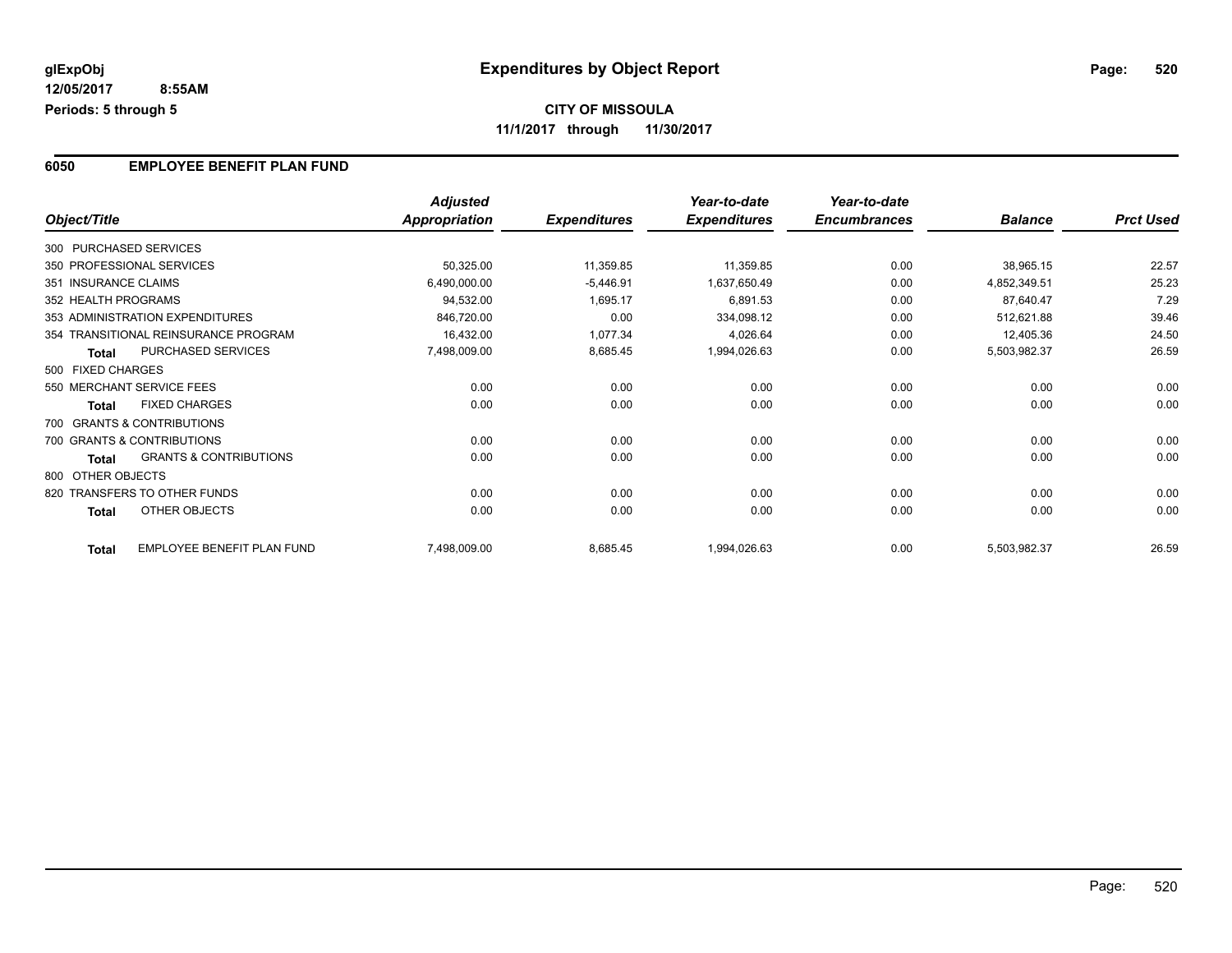#### **6050 EMPLOYEE BENEFIT PLAN FUND**

|                      |                                      | <b>Adjusted</b> |                     | Year-to-date        | Year-to-date        |                |                  |
|----------------------|--------------------------------------|-----------------|---------------------|---------------------|---------------------|----------------|------------------|
| Object/Title         |                                      | Appropriation   | <b>Expenditures</b> | <b>Expenditures</b> | <b>Encumbrances</b> | <b>Balance</b> | <b>Prct Used</b> |
|                      | 300 PURCHASED SERVICES               |                 |                     |                     |                     |                |                  |
|                      | 350 PROFESSIONAL SERVICES            | 50,325.00       | 11,359.85           | 11,359.85           | 0.00                | 38,965.15      | 22.57            |
| 351 INSURANCE CLAIMS |                                      | 6,490,000.00    | $-5,446.91$         | 1,637,650.49        | 0.00                | 4,852,349.51   | 25.23            |
| 352 HEALTH PROGRAMS  |                                      | 94,532.00       | 1,695.17            | 6,891.53            | 0.00                | 87,640.47      | 7.29             |
|                      | 353 ADMINISTRATION EXPENDITURES      | 846,720.00      | 0.00                | 334,098.12          | 0.00                | 512,621.88     | 39.46            |
|                      | 354 TRANSITIONAL REINSURANCE PROGRAM | 16,432.00       | 1,077.34            | 4,026.64            | 0.00                | 12,405.36      | 24.50            |
| <b>Total</b>         | PURCHASED SERVICES                   | 7,498,009.00    | 8,685.45            | 1,994,026.63        | 0.00                | 5,503,982.37   | 26.59            |
| 500 FIXED CHARGES    |                                      |                 |                     |                     |                     |                |                  |
|                      | 550 MERCHANT SERVICE FEES            | 0.00            | 0.00                | 0.00                | 0.00                | 0.00           | 0.00             |
| <b>Total</b>         | <b>FIXED CHARGES</b>                 | 0.00            | 0.00                | 0.00                | 0.00                | 0.00           | 0.00             |
|                      | 700 GRANTS & CONTRIBUTIONS           |                 |                     |                     |                     |                |                  |
|                      | 700 GRANTS & CONTRIBUTIONS           | 0.00            | 0.00                | 0.00                | 0.00                | 0.00           | 0.00             |
| Total                | <b>GRANTS &amp; CONTRIBUTIONS</b>    | 0.00            | 0.00                | 0.00                | 0.00                | 0.00           | 0.00             |
| 800 OTHER OBJECTS    |                                      |                 |                     |                     |                     |                |                  |
|                      | 820 TRANSFERS TO OTHER FUNDS         | 0.00            | 0.00                | 0.00                | 0.00                | 0.00           | 0.00             |
| Total                | OTHER OBJECTS                        | 0.00            | 0.00                | 0.00                | 0.00                | 0.00           | 0.00             |
| <b>Total</b>         | EMPLOYEE BENEFIT PLAN FUND           | 7,498,009.00    | 8,685.45            | 1,994,026.63        | 0.00                | 5,503,982.37   | 26.59            |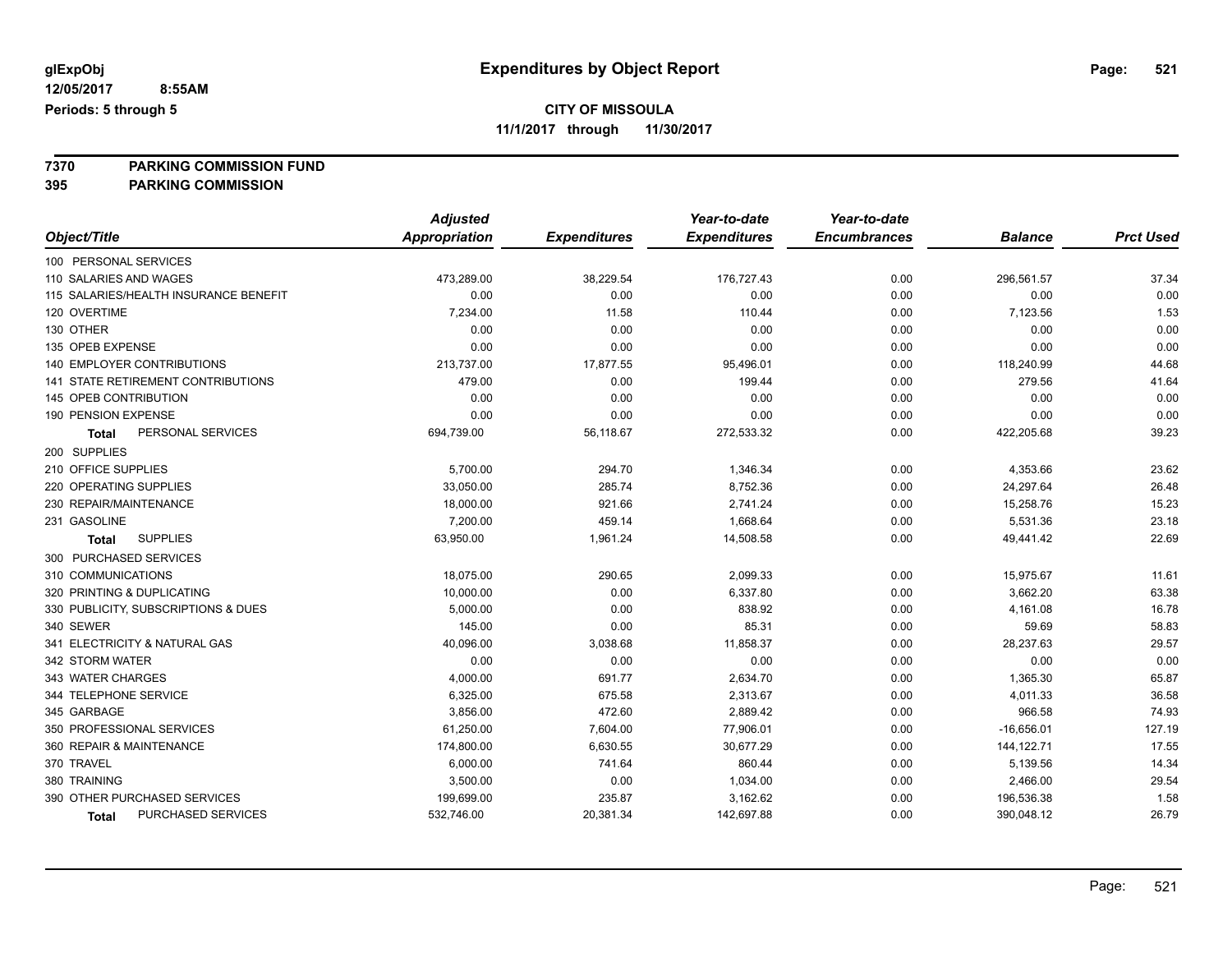**11/1/2017 through 11/30/2017**

**7370 PARKING COMMISSION FUND**

**395 PARKING COMMISSION**

|                                           | <b>Adjusted</b>      |                     | Year-to-date        | Year-to-date        |                |                  |
|-------------------------------------------|----------------------|---------------------|---------------------|---------------------|----------------|------------------|
| Object/Title                              | <b>Appropriation</b> | <b>Expenditures</b> | <b>Expenditures</b> | <b>Encumbrances</b> | <b>Balance</b> | <b>Prct Used</b> |
| 100 PERSONAL SERVICES                     |                      |                     |                     |                     |                |                  |
| 110 SALARIES AND WAGES                    | 473,289.00           | 38,229.54           | 176,727.43          | 0.00                | 296,561.57     | 37.34            |
| 115 SALARIES/HEALTH INSURANCE BENEFIT     | 0.00                 | 0.00                | 0.00                | 0.00                | 0.00           | 0.00             |
| 120 OVERTIME                              | 7,234.00             | 11.58               | 110.44              | 0.00                | 7,123.56       | 1.53             |
| 130 OTHER                                 | 0.00                 | 0.00                | 0.00                | 0.00                | 0.00           | 0.00             |
| 135 OPEB EXPENSE                          | 0.00                 | 0.00                | 0.00                | 0.00                | 0.00           | 0.00             |
| 140 EMPLOYER CONTRIBUTIONS                | 213,737.00           | 17,877.55           | 95,496.01           | 0.00                | 118,240.99     | 44.68            |
| <b>141 STATE RETIREMENT CONTRIBUTIONS</b> | 479.00               | 0.00                | 199.44              | 0.00                | 279.56         | 41.64            |
| <b>145 OPEB CONTRIBUTION</b>              | 0.00                 | 0.00                | 0.00                | 0.00                | 0.00           | 0.00             |
| 190 PENSION EXPENSE                       | 0.00                 | 0.00                | 0.00                | 0.00                | 0.00           | 0.00             |
| PERSONAL SERVICES<br><b>Total</b>         | 694,739.00           | 56,118.67           | 272,533.32          | 0.00                | 422,205.68     | 39.23            |
| 200 SUPPLIES                              |                      |                     |                     |                     |                |                  |
| 210 OFFICE SUPPLIES                       | 5,700.00             | 294.70              | 1,346.34            | 0.00                | 4,353.66       | 23.62            |
| 220 OPERATING SUPPLIES                    | 33,050.00            | 285.74              | 8,752.36            | 0.00                | 24,297.64      | 26.48            |
| 230 REPAIR/MAINTENANCE                    | 18,000.00            | 921.66              | 2,741.24            | 0.00                | 15,258.76      | 15.23            |
| 231 GASOLINE                              | 7,200.00             | 459.14              | 1,668.64            | 0.00                | 5,531.36       | 23.18            |
| <b>SUPPLIES</b><br>Total                  | 63,950.00            | 1,961.24            | 14,508.58           | 0.00                | 49,441.42      | 22.69            |
| 300 PURCHASED SERVICES                    |                      |                     |                     |                     |                |                  |
| 310 COMMUNICATIONS                        | 18,075.00            | 290.65              | 2,099.33            | 0.00                | 15,975.67      | 11.61            |
| 320 PRINTING & DUPLICATING                | 10,000.00            | 0.00                | 6,337.80            | 0.00                | 3,662.20       | 63.38            |
| 330 PUBLICITY, SUBSCRIPTIONS & DUES       | 5,000.00             | 0.00                | 838.92              | 0.00                | 4,161.08       | 16.78            |
| 340 SEWER                                 | 145.00               | 0.00                | 85.31               | 0.00                | 59.69          | 58.83            |
| 341 ELECTRICITY & NATURAL GAS             | 40,096.00            | 3,038.68            | 11,858.37           | 0.00                | 28,237.63      | 29.57            |
| 342 STORM WATER                           | 0.00                 | 0.00                | 0.00                | 0.00                | 0.00           | 0.00             |
| 343 WATER CHARGES                         | 4,000.00             | 691.77              | 2,634.70            | 0.00                | 1,365.30       | 65.87            |
| 344 TELEPHONE SERVICE                     | 6,325.00             | 675.58              | 2,313.67            | 0.00                | 4,011.33       | 36.58            |
| 345 GARBAGE                               | 3,856.00             | 472.60              | 2,889.42            | 0.00                | 966.58         | 74.93            |
| 350 PROFESSIONAL SERVICES                 | 61,250.00            | 7,604.00            | 77,906.01           | 0.00                | $-16,656.01$   | 127.19           |
| 360 REPAIR & MAINTENANCE                  | 174,800.00           | 6,630.55            | 30,677.29           | 0.00                | 144,122.71     | 17.55            |
| 370 TRAVEL                                | 6,000.00             | 741.64              | 860.44              | 0.00                | 5,139.56       | 14.34            |
| 380 TRAINING                              | 3,500.00             | 0.00                | 1,034.00            | 0.00                | 2,466.00       | 29.54            |
| 390 OTHER PURCHASED SERVICES              | 199,699.00           | 235.87              | 3,162.62            | 0.00                | 196,536.38     | 1.58             |
| PURCHASED SERVICES<br>Total               | 532,746.00           | 20,381.34           | 142,697.88          | 0.00                | 390,048.12     | 26.79            |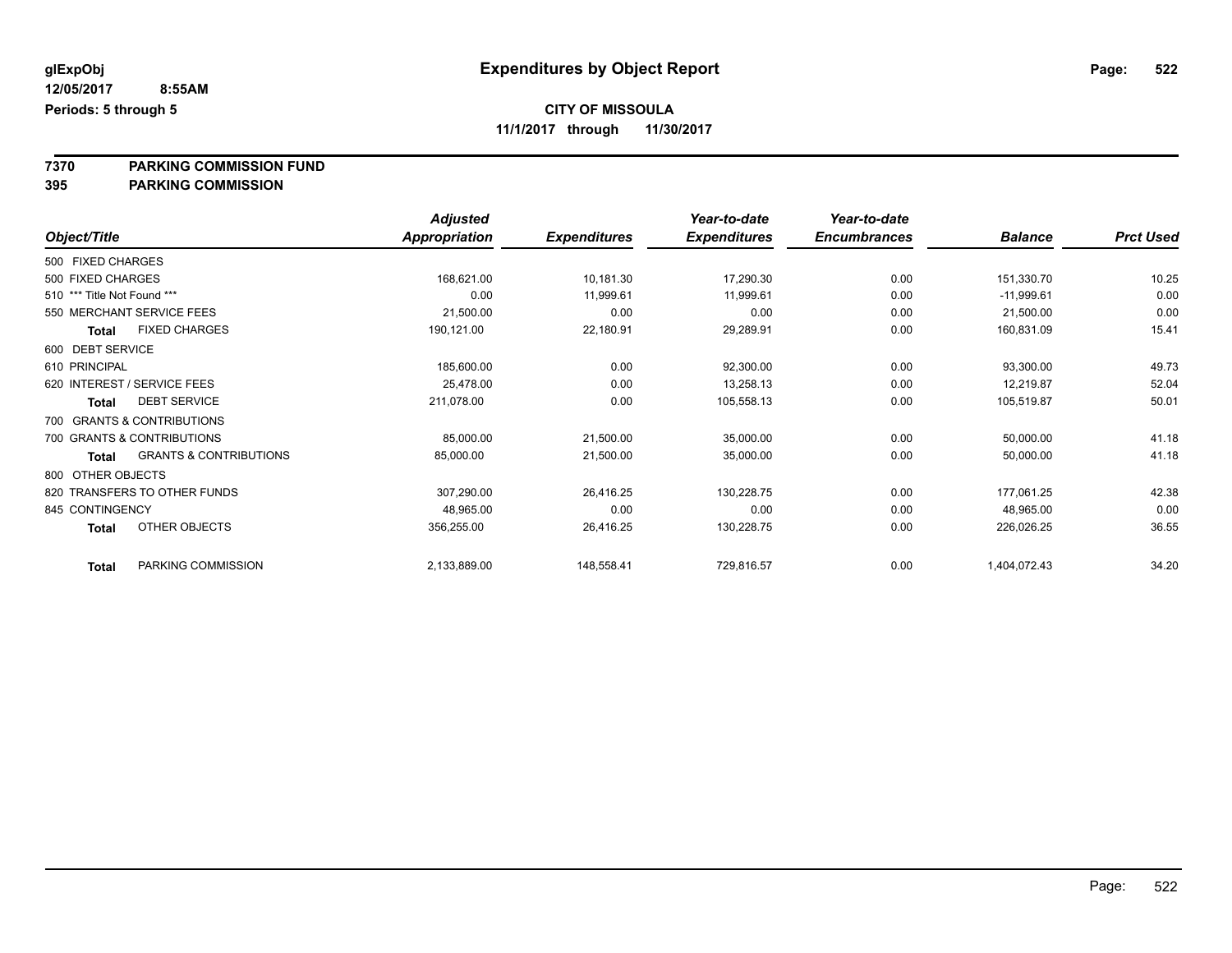**11/1/2017 through 11/30/2017**

**7370 PARKING COMMISSION FUND**

**395 PARKING COMMISSION**

|                             |                                   | <b>Adjusted</b> |                     | Year-to-date        | Year-to-date        |                |                  |
|-----------------------------|-----------------------------------|-----------------|---------------------|---------------------|---------------------|----------------|------------------|
| Object/Title                |                                   | Appropriation   | <b>Expenditures</b> | <b>Expenditures</b> | <b>Encumbrances</b> | <b>Balance</b> | <b>Prct Used</b> |
| 500 FIXED CHARGES           |                                   |                 |                     |                     |                     |                |                  |
| 500 FIXED CHARGES           |                                   | 168,621.00      | 10,181.30           | 17,290.30           | 0.00                | 151,330.70     | 10.25            |
| 510 *** Title Not Found *** |                                   | 0.00            | 11,999.61           | 11,999.61           | 0.00                | $-11,999.61$   | 0.00             |
|                             | 550 MERCHANT SERVICE FEES         | 21,500.00       | 0.00                | 0.00                | 0.00                | 21,500.00      | 0.00             |
| <b>Total</b>                | <b>FIXED CHARGES</b>              | 190,121.00      | 22,180.91           | 29,289.91           | 0.00                | 160,831.09     | 15.41            |
| 600 DEBT SERVICE            |                                   |                 |                     |                     |                     |                |                  |
| 610 PRINCIPAL               |                                   | 185,600.00      | 0.00                | 92,300.00           | 0.00                | 93,300.00      | 49.73            |
|                             | 620 INTEREST / SERVICE FEES       | 25,478.00       | 0.00                | 13,258.13           | 0.00                | 12,219.87      | 52.04            |
| Total                       | <b>DEBT SERVICE</b>               | 211,078.00      | 0.00                | 105,558.13          | 0.00                | 105,519.87     | 50.01            |
|                             | 700 GRANTS & CONTRIBUTIONS        |                 |                     |                     |                     |                |                  |
|                             | 700 GRANTS & CONTRIBUTIONS        | 85,000.00       | 21,500.00           | 35,000.00           | 0.00                | 50,000.00      | 41.18            |
| Total                       | <b>GRANTS &amp; CONTRIBUTIONS</b> | 85,000.00       | 21,500.00           | 35,000.00           | 0.00                | 50,000.00      | 41.18            |
| 800 OTHER OBJECTS           |                                   |                 |                     |                     |                     |                |                  |
|                             | 820 TRANSFERS TO OTHER FUNDS      | 307,290.00      | 26,416.25           | 130,228.75          | 0.00                | 177,061.25     | 42.38            |
| 845 CONTINGENCY             |                                   | 48,965.00       | 0.00                | 0.00                | 0.00                | 48,965.00      | 0.00             |
| Total                       | OTHER OBJECTS                     | 356,255.00      | 26,416.25           | 130,228.75          | 0.00                | 226,026.25     | 36.55            |
| <b>Total</b>                | PARKING COMMISSION                | 2,133,889.00    | 148,558.41          | 729,816.57          | 0.00                | 1,404,072.43   | 34.20            |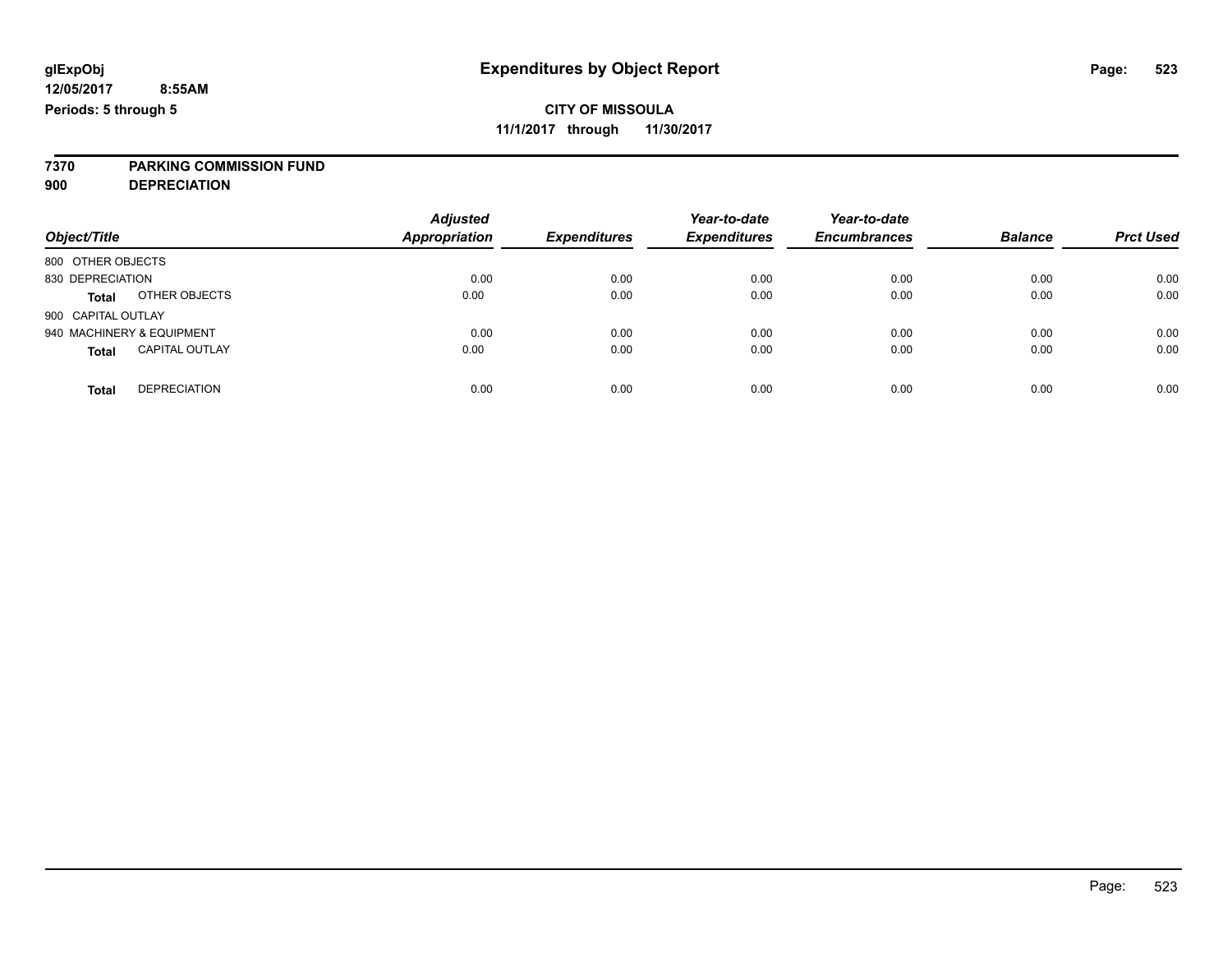**7370 PARKING COMMISSION FUND**

**900 DEPRECIATION**

| Object/Title                          | <b>Adjusted</b><br><b>Appropriation</b> | <b>Expenditures</b> | Year-to-date<br><b>Expenditures</b> | Year-to-date<br><b>Encumbrances</b> | <b>Balance</b> | <b>Prct Used</b> |
|---------------------------------------|-----------------------------------------|---------------------|-------------------------------------|-------------------------------------|----------------|------------------|
| 800 OTHER OBJECTS                     |                                         |                     |                                     |                                     |                |                  |
| 830 DEPRECIATION                      | 0.00                                    | 0.00                | 0.00                                | 0.00                                | 0.00           | 0.00             |
| OTHER OBJECTS<br><b>Total</b>         | 0.00                                    | 0.00                | 0.00                                | 0.00                                | 0.00           | 0.00             |
| 900 CAPITAL OUTLAY                    |                                         |                     |                                     |                                     |                |                  |
| 940 MACHINERY & EQUIPMENT             | 0.00                                    | 0.00                | 0.00                                | 0.00                                | 0.00           | 0.00             |
| <b>CAPITAL OUTLAY</b><br><b>Total</b> | 0.00                                    | 0.00                | 0.00                                | 0.00                                | 0.00           | 0.00             |
| <b>DEPRECIATION</b><br><b>Total</b>   | 0.00                                    | 0.00                | 0.00                                | 0.00                                | 0.00           | 0.00             |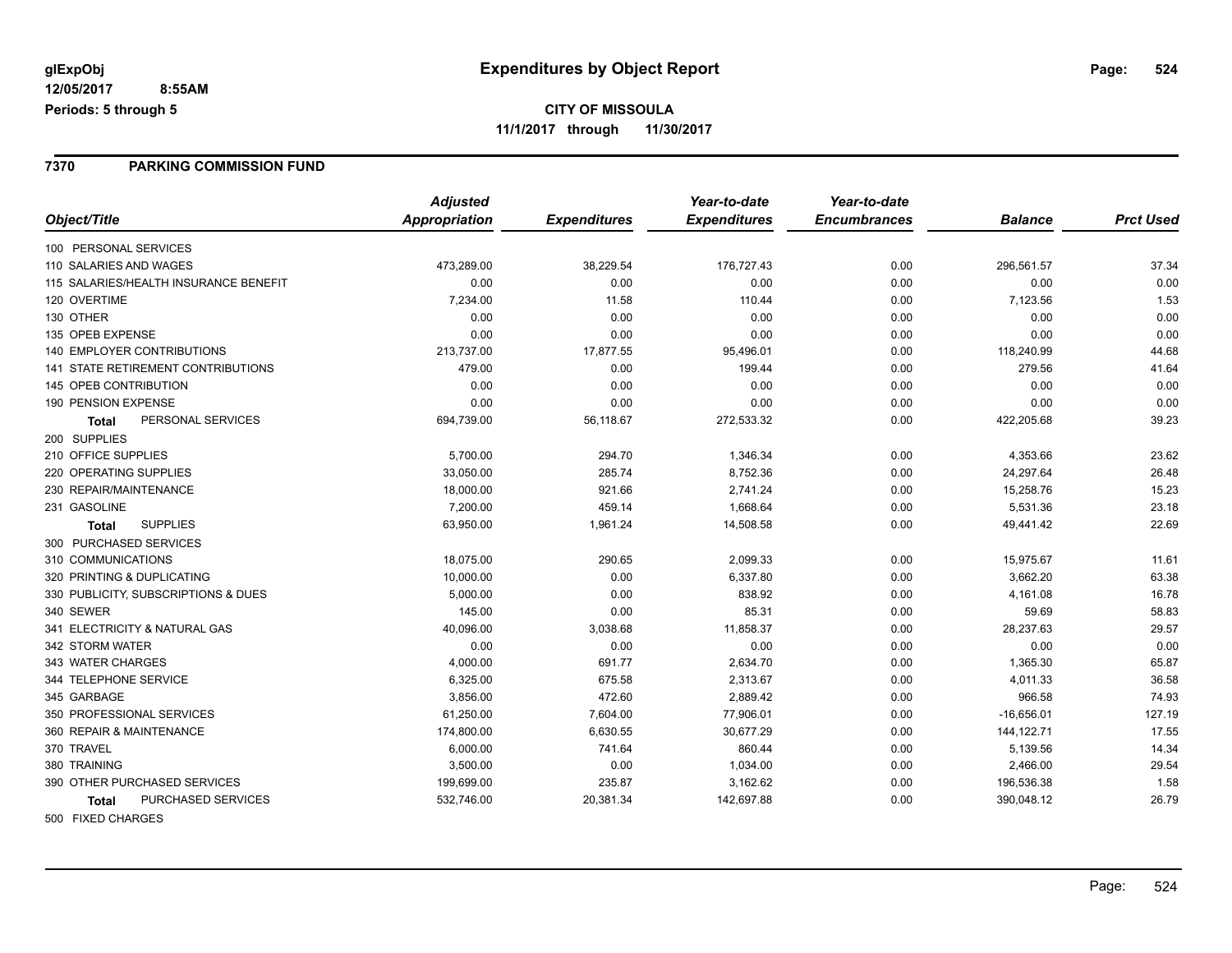#### **7370 PARKING COMMISSION FUND**

|                                           | <b>Adjusted</b> |                     | Year-to-date        | Year-to-date        |                |                  |
|-------------------------------------------|-----------------|---------------------|---------------------|---------------------|----------------|------------------|
| Object/Title                              | Appropriation   | <b>Expenditures</b> | <b>Expenditures</b> | <b>Encumbrances</b> | <b>Balance</b> | <b>Prct Used</b> |
| 100 PERSONAL SERVICES                     |                 |                     |                     |                     |                |                  |
| 110 SALARIES AND WAGES                    | 473,289.00      | 38,229.54           | 176,727.43          | 0.00                | 296,561.57     | 37.34            |
| 115 SALARIES/HEALTH INSURANCE BENEFIT     | 0.00            | 0.00                | 0.00                | 0.00                | 0.00           | 0.00             |
| 120 OVERTIME                              | 7,234.00        | 11.58               | 110.44              | 0.00                | 7,123.56       | 1.53             |
| 130 OTHER                                 | 0.00            | 0.00                | 0.00                | 0.00                | 0.00           | 0.00             |
| 135 OPEB EXPENSE                          | 0.00            | 0.00                | 0.00                | 0.00                | 0.00           | 0.00             |
| <b>140 EMPLOYER CONTRIBUTIONS</b>         | 213,737.00      | 17,877.55           | 95,496.01           | 0.00                | 118,240.99     | 44.68            |
| <b>141 STATE RETIREMENT CONTRIBUTIONS</b> | 479.00          | 0.00                | 199.44              | 0.00                | 279.56         | 41.64            |
| 145 OPEB CONTRIBUTION                     | 0.00            | 0.00                | 0.00                | 0.00                | 0.00           | 0.00             |
| 190 PENSION EXPENSE                       | 0.00            | 0.00                | 0.00                | 0.00                | 0.00           | 0.00             |
| PERSONAL SERVICES<br><b>Total</b>         | 694,739.00      | 56,118.67           | 272,533.32          | 0.00                | 422,205.68     | 39.23            |
| 200 SUPPLIES                              |                 |                     |                     |                     |                |                  |
| 210 OFFICE SUPPLIES                       | 5,700.00        | 294.70              | 1,346.34            | 0.00                | 4,353.66       | 23.62            |
| 220 OPERATING SUPPLIES                    | 33,050.00       | 285.74              | 8,752.36            | 0.00                | 24,297.64      | 26.48            |
| 230 REPAIR/MAINTENANCE                    | 18,000.00       | 921.66              | 2,741.24            | 0.00                | 15,258.76      | 15.23            |
| 231 GASOLINE                              | 7,200.00        | 459.14              | 1,668.64            | 0.00                | 5,531.36       | 23.18            |
| <b>SUPPLIES</b><br><b>Total</b>           | 63,950.00       | 1,961.24            | 14,508.58           | 0.00                | 49,441.42      | 22.69            |
| 300 PURCHASED SERVICES                    |                 |                     |                     |                     |                |                  |
| 310 COMMUNICATIONS                        | 18,075.00       | 290.65              | 2,099.33            | 0.00                | 15,975.67      | 11.61            |
| 320 PRINTING & DUPLICATING                | 10,000.00       | 0.00                | 6,337.80            | 0.00                | 3,662.20       | 63.38            |
| 330 PUBLICITY, SUBSCRIPTIONS & DUES       | 5,000.00        | 0.00                | 838.92              | 0.00                | 4,161.08       | 16.78            |
| 340 SEWER                                 | 145.00          | 0.00                | 85.31               | 0.00                | 59.69          | 58.83            |
| 341 ELECTRICITY & NATURAL GAS             | 40,096.00       | 3,038.68            | 11,858.37           | 0.00                | 28,237.63      | 29.57            |
| 342 STORM WATER                           | 0.00            | 0.00                | 0.00                | 0.00                | 0.00           | 0.00             |
| 343 WATER CHARGES                         | 4,000.00        | 691.77              | 2,634.70            | 0.00                | 1,365.30       | 65.87            |
| 344 TELEPHONE SERVICE                     | 6,325.00        | 675.58              | 2,313.67            | 0.00                | 4,011.33       | 36.58            |
| 345 GARBAGE                               | 3,856.00        | 472.60              | 2,889.42            | 0.00                | 966.58         | 74.93            |
| 350 PROFESSIONAL SERVICES                 | 61,250.00       | 7,604.00            | 77,906.01           | 0.00                | $-16,656.01$   | 127.19           |
| 360 REPAIR & MAINTENANCE                  | 174,800.00      | 6,630.55            | 30,677.29           | 0.00                | 144, 122. 71   | 17.55            |
| 370 TRAVEL                                | 6,000.00        | 741.64              | 860.44              | 0.00                | 5,139.56       | 14.34            |
| 380 TRAINING                              | 3,500.00        | 0.00                | 1,034.00            | 0.00                | 2,466.00       | 29.54            |
| 390 OTHER PURCHASED SERVICES              | 199,699.00      | 235.87              | 3,162.62            | 0.00                | 196,536.38     | 1.58             |
| <b>PURCHASED SERVICES</b><br><b>Total</b> | 532,746.00      | 20,381.34           | 142,697.88          | 0.00                | 390,048.12     | 26.79            |
|                                           |                 |                     |                     |                     |                |                  |

500 FIXED CHARGES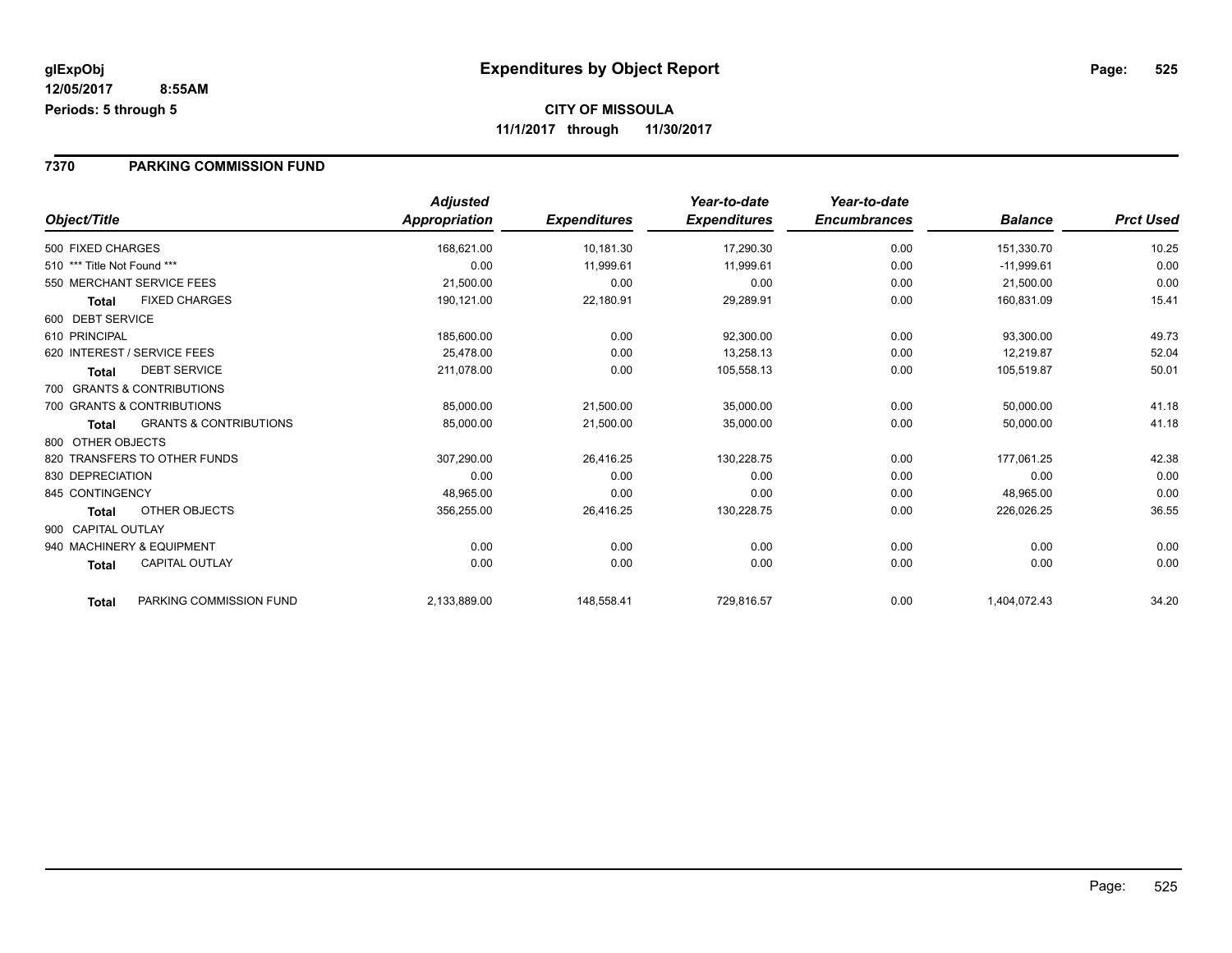#### **7370 PARKING COMMISSION FUND**

| Object/Title                               | <b>Adjusted</b><br>Appropriation | <b>Expenditures</b> | Year-to-date<br><b>Expenditures</b> | Year-to-date<br><b>Encumbrances</b> | <b>Balance</b> | <b>Prct Used</b> |
|--------------------------------------------|----------------------------------|---------------------|-------------------------------------|-------------------------------------|----------------|------------------|
| 500 FIXED CHARGES                          | 168,621.00                       | 10,181.30           | 17,290.30                           | 0.00                                | 151,330.70     | 10.25            |
| 510 *** Title Not Found ***                | 0.00                             | 11,999.61           | 11,999.61                           | 0.00                                | $-11,999.61$   | 0.00             |
| 550 MERCHANT SERVICE FEES                  | 21,500.00                        | 0.00                | 0.00                                | 0.00                                | 21,500.00      | 0.00             |
| <b>FIXED CHARGES</b><br>Total              | 190,121.00                       | 22,180.91           | 29,289.91                           | 0.00                                | 160,831.09     | 15.41            |
| 600 DEBT SERVICE                           |                                  |                     |                                     |                                     |                |                  |
| 610 PRINCIPAL                              | 185,600.00                       | 0.00                | 92,300.00                           | 0.00                                | 93,300.00      | 49.73            |
| 620 INTEREST / SERVICE FEES                | 25.478.00                        | 0.00                | 13,258.13                           | 0.00                                | 12,219.87      | 52.04            |
| <b>DEBT SERVICE</b><br>Total               | 211,078.00                       | 0.00                | 105,558.13                          | 0.00                                | 105,519.87     | 50.01            |
| 700 GRANTS & CONTRIBUTIONS                 |                                  |                     |                                     |                                     |                |                  |
| 700 GRANTS & CONTRIBUTIONS                 | 85,000.00                        | 21,500.00           | 35,000.00                           | 0.00                                | 50,000.00      | 41.18            |
| <b>GRANTS &amp; CONTRIBUTIONS</b><br>Total | 85,000.00                        | 21,500.00           | 35,000.00                           | 0.00                                | 50,000.00      | 41.18            |
| 800 OTHER OBJECTS                          |                                  |                     |                                     |                                     |                |                  |
| 820 TRANSFERS TO OTHER FUNDS               | 307,290.00                       | 26,416.25           | 130,228.75                          | 0.00                                | 177,061.25     | 42.38            |
| 830 DEPRECIATION                           | 0.00                             | 0.00                | 0.00                                | 0.00                                | 0.00           | 0.00             |
| 845 CONTINGENCY                            | 48,965.00                        | 0.00                | 0.00                                | 0.00                                | 48,965.00      | 0.00             |
| OTHER OBJECTS<br>Total                     | 356,255.00                       | 26,416.25           | 130,228.75                          | 0.00                                | 226,026.25     | 36.55            |
| 900 CAPITAL OUTLAY                         |                                  |                     |                                     |                                     |                |                  |
| 940 MACHINERY & EQUIPMENT                  | 0.00                             | 0.00                | 0.00                                | 0.00                                | 0.00           | 0.00             |
| <b>CAPITAL OUTLAY</b><br><b>Total</b>      | 0.00                             | 0.00                | 0.00                                | 0.00                                | 0.00           | 0.00             |
| PARKING COMMISSION FUND<br><b>Total</b>    | 2,133,889.00                     | 148,558.41          | 729,816.57                          | 0.00                                | 1,404,072.43   | 34.20            |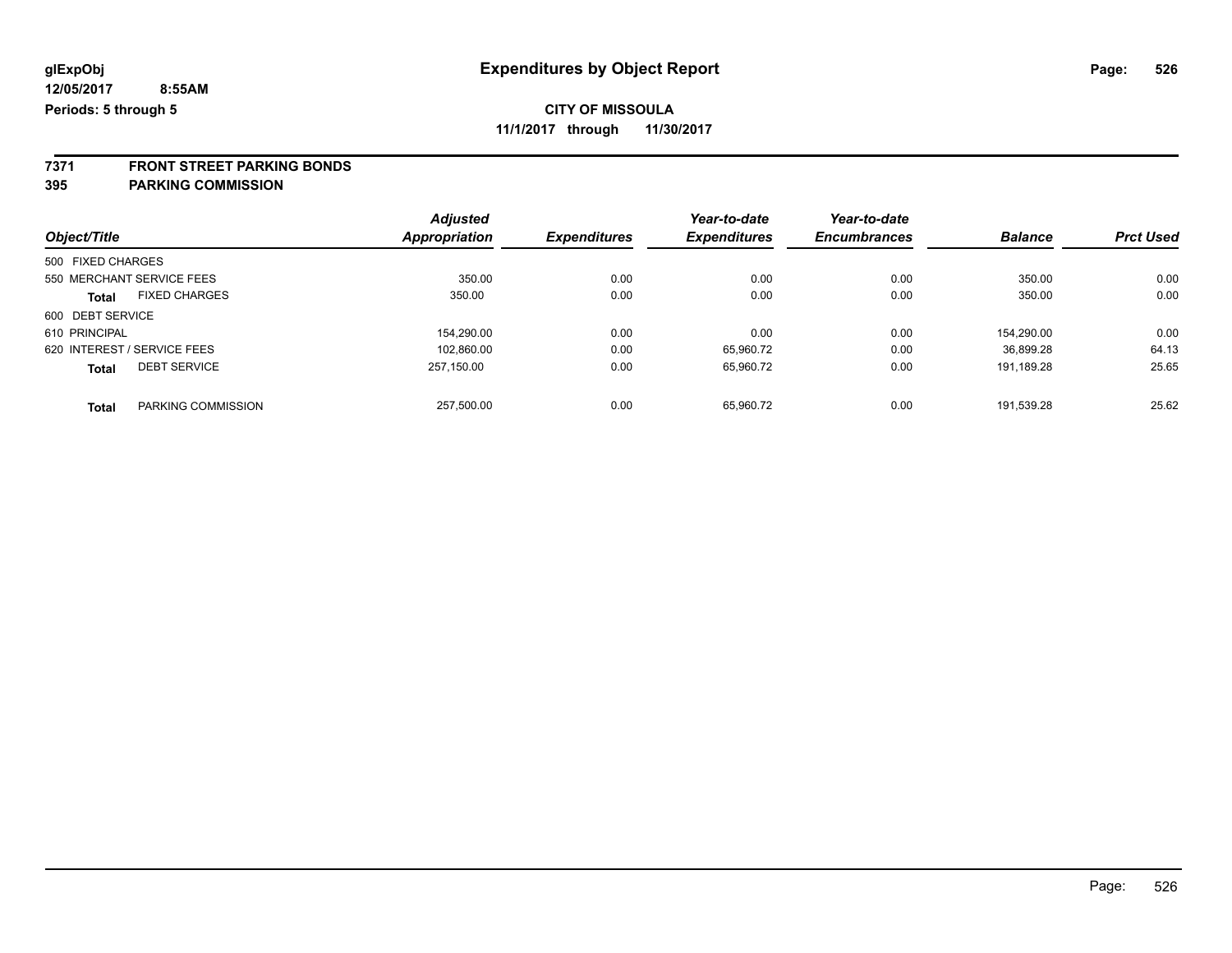**11/1/2017 through 11/30/2017**

**7371 FRONT STREET PARKING BONDS**

**395 PARKING COMMISSION**

|                   |                             | <b>Adjusted</b> |                     | Year-to-date        | Year-to-date        |                |                  |
|-------------------|-----------------------------|-----------------|---------------------|---------------------|---------------------|----------------|------------------|
| Object/Title      |                             | Appropriation   | <b>Expenditures</b> | <b>Expenditures</b> | <b>Encumbrances</b> | <b>Balance</b> | <b>Prct Used</b> |
| 500 FIXED CHARGES |                             |                 |                     |                     |                     |                |                  |
|                   | 550 MERCHANT SERVICE FEES   | 350.00          | 0.00                | 0.00                | 0.00                | 350.00         | 0.00             |
| <b>Total</b>      | <b>FIXED CHARGES</b>        | 350.00          | 0.00                | 0.00                | 0.00                | 350.00         | 0.00             |
| 600 DEBT SERVICE  |                             |                 |                     |                     |                     |                |                  |
| 610 PRINCIPAL     |                             | 154.290.00      | 0.00                | 0.00                | 0.00                | 154.290.00     | 0.00             |
|                   | 620 INTEREST / SERVICE FEES | 102.860.00      | 0.00                | 65,960.72           | 0.00                | 36.899.28      | 64.13            |
| <b>Total</b>      | <b>DEBT SERVICE</b>         | 257.150.00      | 0.00                | 65,960.72           | 0.00                | 191.189.28     | 25.65            |
| <b>Total</b>      | PARKING COMMISSION          | 257.500.00      | 0.00                | 65.960.72           | 0.00                | 191.539.28     | 25.62            |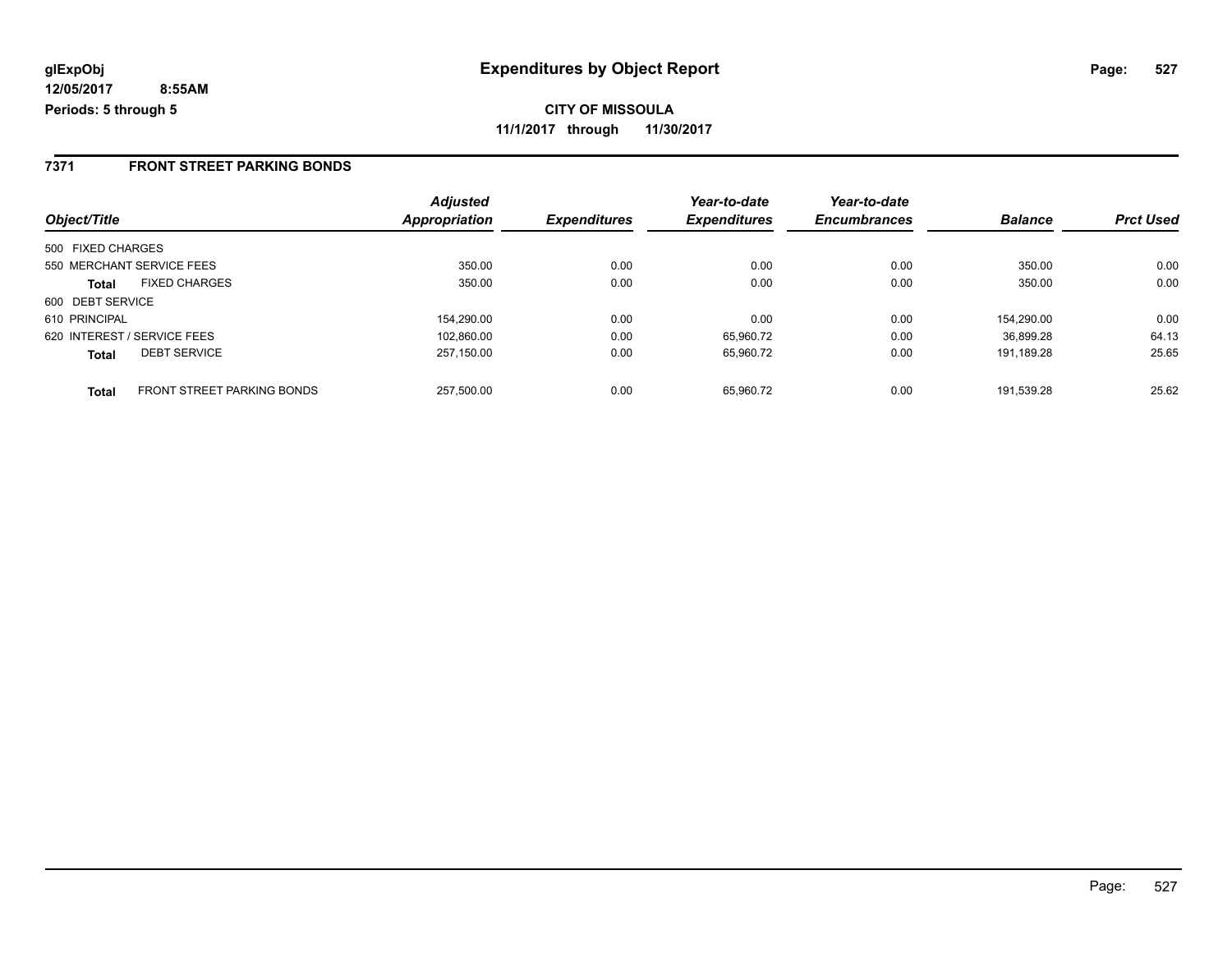#### **7371 FRONT STREET PARKING BONDS**

|                             |                                   | <b>Adjusted</b> |                     | Year-to-date        | Year-to-date        |                |                  |
|-----------------------------|-----------------------------------|-----------------|---------------------|---------------------|---------------------|----------------|------------------|
| Object/Title                |                                   | Appropriation   | <b>Expenditures</b> | <b>Expenditures</b> | <b>Encumbrances</b> | <b>Balance</b> | <b>Prct Used</b> |
| 500 FIXED CHARGES           |                                   |                 |                     |                     |                     |                |                  |
| 550 MERCHANT SERVICE FEES   |                                   | 350.00          | 0.00                | 0.00                | 0.00                | 350.00         | 0.00             |
| <b>Total</b>                | <b>FIXED CHARGES</b>              | 350.00          | 0.00                | 0.00                | 0.00                | 350.00         | 0.00             |
| 600 DEBT SERVICE            |                                   |                 |                     |                     |                     |                |                  |
| 610 PRINCIPAL               |                                   | 154.290.00      | 0.00                | 0.00                | 0.00                | 154.290.00     | 0.00             |
| 620 INTEREST / SERVICE FEES |                                   | 102.860.00      | 0.00                | 65.960.72           | 0.00                | 36.899.28      | 64.13            |
| <b>Total</b>                | <b>DEBT SERVICE</b>               | 257.150.00      | 0.00                | 65.960.72           | 0.00                | 191.189.28     | 25.65            |
| <b>Total</b>                | <b>FRONT STREET PARKING BONDS</b> | 257.500.00      | 0.00                | 65.960.72           | 0.00                | 191.539.28     | 25.62            |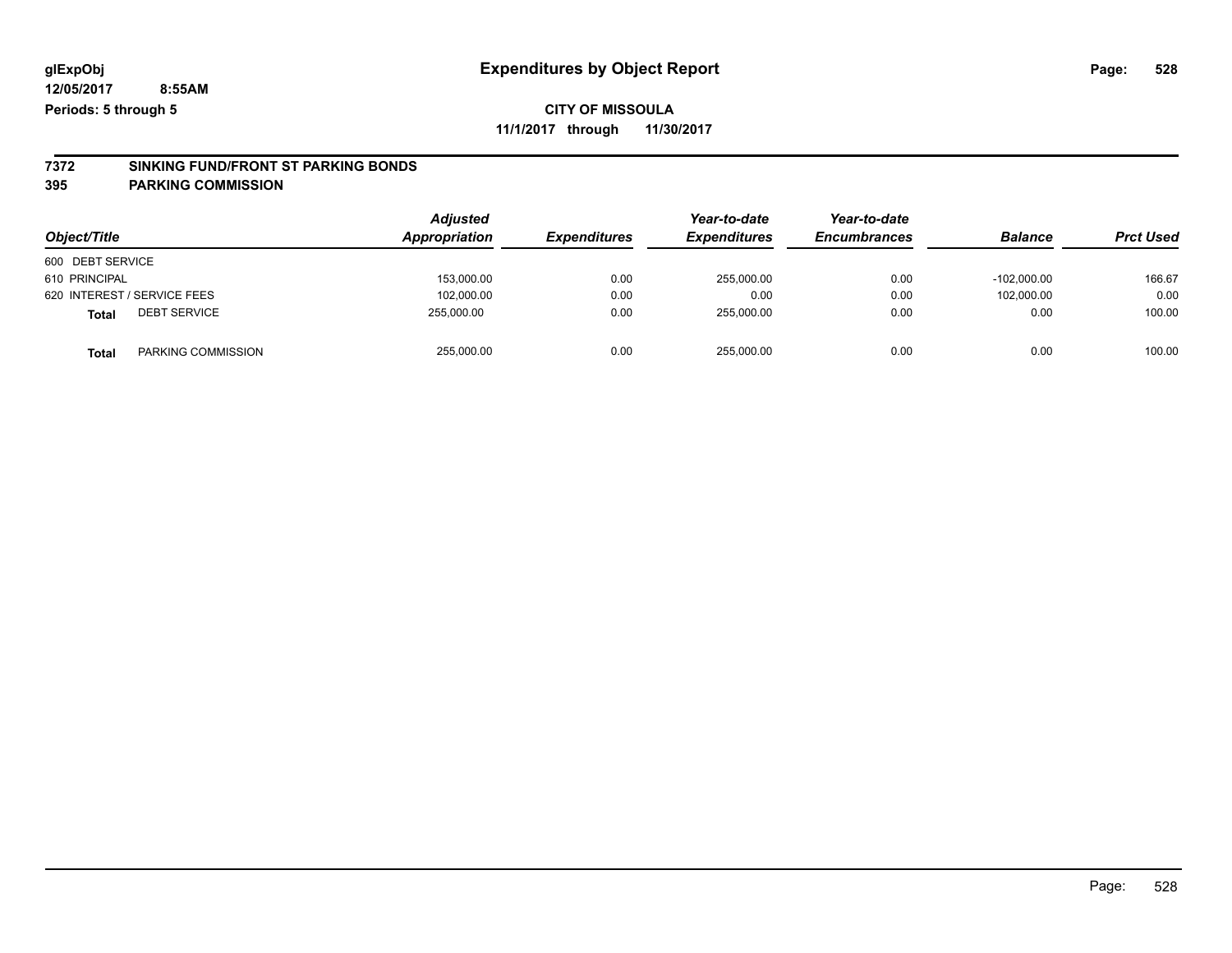**11/1/2017 through 11/30/2017**

# **7372 SINKING FUND/FRONT ST PARKING BONDS**

**395 PARKING COMMISSION**

|                              | <b>Adjusted</b><br>Appropriation |                     | Year-to-date        | Year-to-date        |                |                  |
|------------------------------|----------------------------------|---------------------|---------------------|---------------------|----------------|------------------|
| Object/Title                 |                                  | <b>Expenditures</b> | <b>Expenditures</b> | <b>Encumbrances</b> | <b>Balance</b> | <b>Prct Used</b> |
| 600 DEBT SERVICE             |                                  |                     |                     |                     |                |                  |
| 610 PRINCIPAL                | 153,000.00                       | 0.00                | 255,000.00          | 0.00                | $-102.000.00$  | 166.67           |
| 620 INTEREST / SERVICE FEES  | 102,000.00                       | 0.00                | 0.00                | 0.00                | 102.000.00     | 0.00             |
| <b>DEBT SERVICE</b><br>Total | 255.000.00                       | 0.00                | 255.000.00          | 0.00                | 0.00           | 100.00           |
| PARKING COMMISSION<br>Total  | 255,000.00                       | 0.00                | 255,000.00          | 0.00                | 0.00           | 100.00           |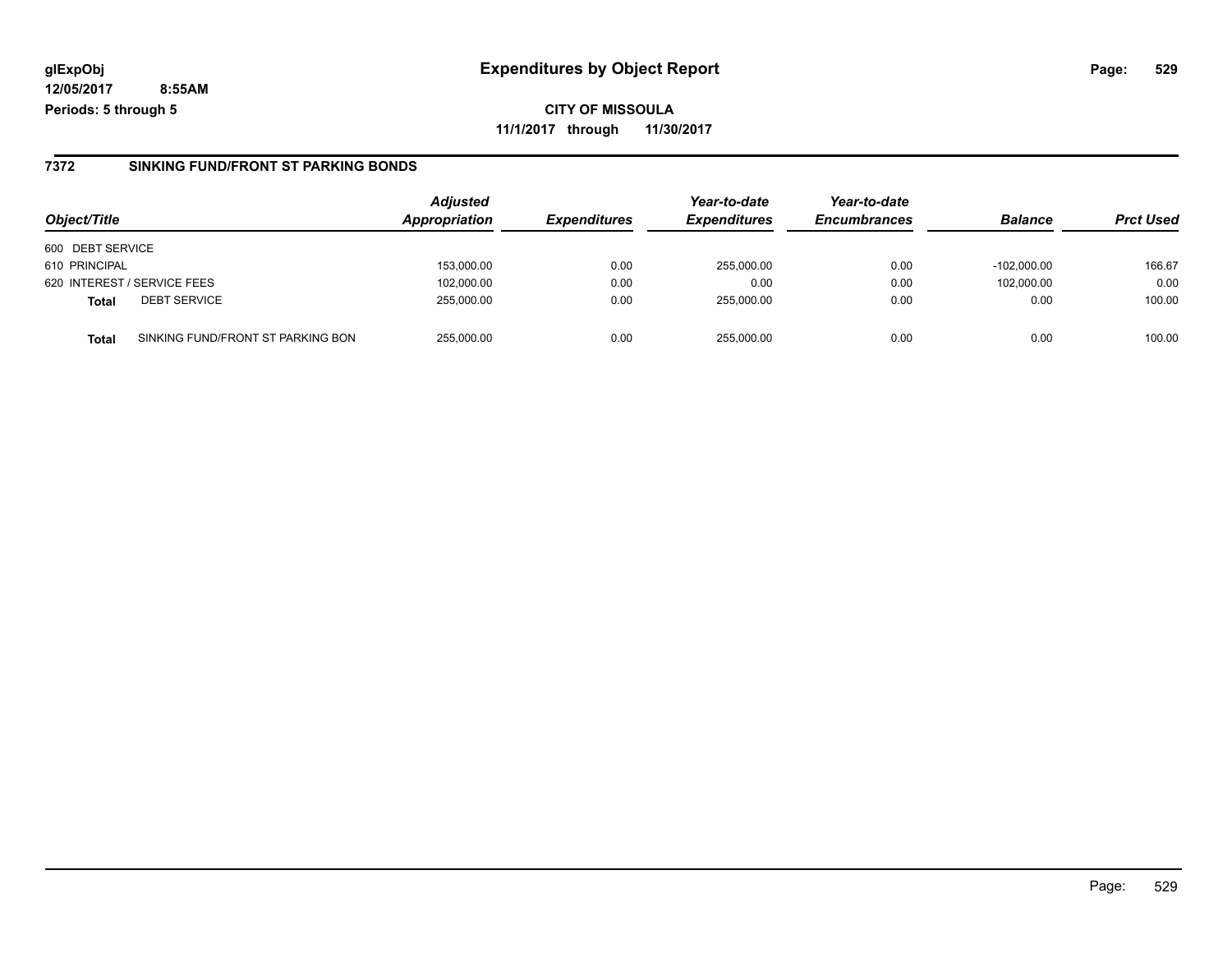**CITY OF MISSOULA 11/1/2017 through 11/30/2017**

#### **7372 SINKING FUND/FRONT ST PARKING BONDS**

| Object/Title                                      | <b>Adjusted</b><br><b>Appropriation</b> | <b>Expenditures</b> | Year-to-date<br><b>Expenditures</b> | Year-to-date<br><b>Encumbrances</b> | <b>Balance</b> | <b>Prct Used</b> |
|---------------------------------------------------|-----------------------------------------|---------------------|-------------------------------------|-------------------------------------|----------------|------------------|
| 600 DEBT SERVICE                                  |                                         |                     |                                     |                                     |                |                  |
| 610 PRINCIPAL                                     | 153,000.00                              | 0.00                | 255,000.00                          | 0.00                                | $-102.000.00$  | 166.67           |
| 620 INTEREST / SERVICE FEES                       | 102,000.00                              | 0.00                | 0.00                                | 0.00                                | 102,000.00     | 0.00             |
| <b>DEBT SERVICE</b><br><b>Total</b>               | 255.000.00                              | 0.00                | 255.000.00                          | 0.00                                | 0.00           | 100.00           |
| SINKING FUND/FRONT ST PARKING BON<br><b>Total</b> | 255.000.00                              | 0.00                | 255.000.00                          | 0.00                                | 0.00           | 100.00           |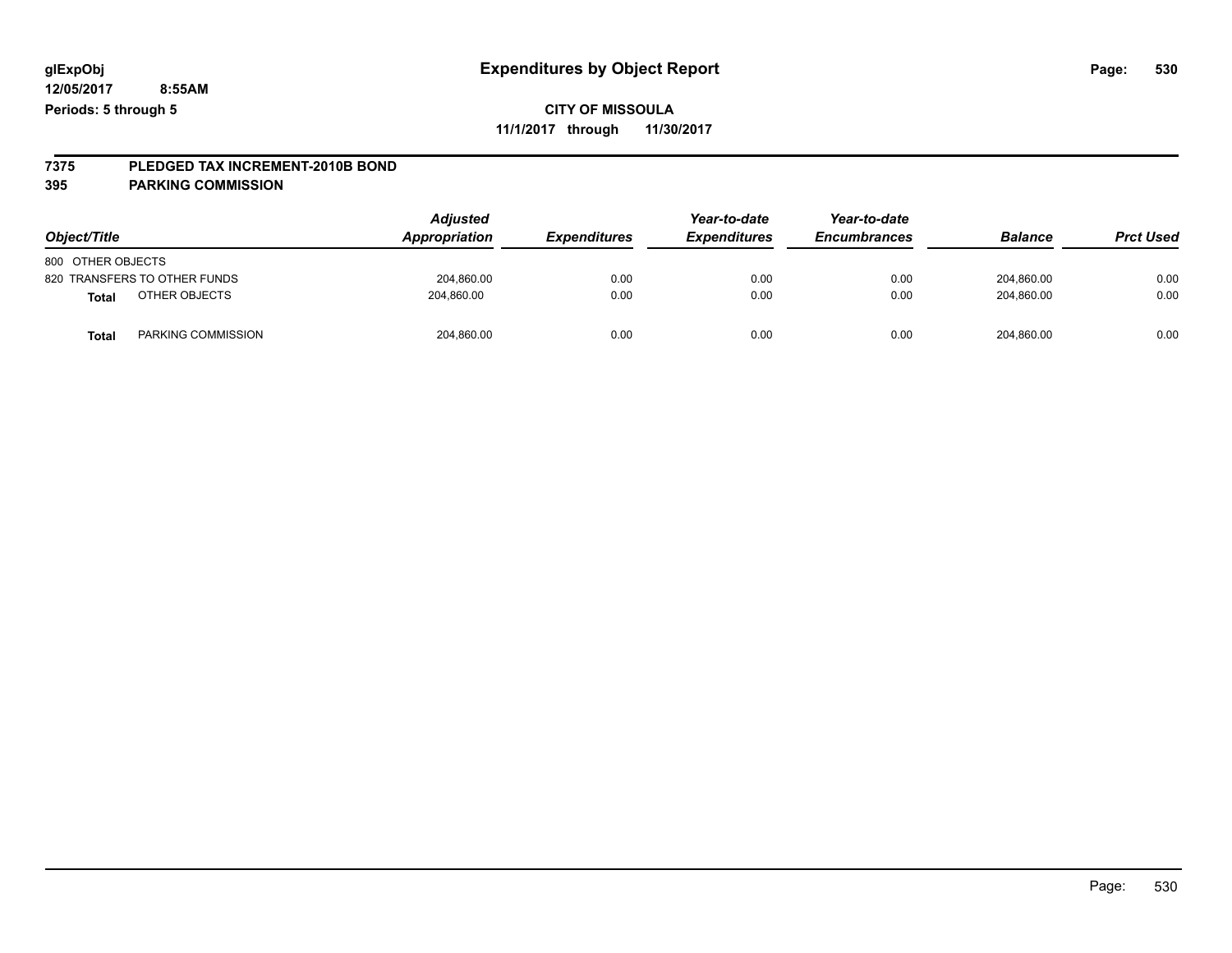### **CITY OF MISSOULA**

**11/1/2017 through 11/30/2017**

# **7375 PLEDGED TAX INCREMENT-2010B BOND**

**395 PARKING COMMISSION**

| Object/Title                 | <b>Adjusted</b><br>Appropriation | <b>Expenditures</b> | Year-to-date<br><i><b>Expenditures</b></i> | Year-to-date<br><b>Encumbrances</b> | <b>Balance</b> | <b>Prct Used</b> |
|------------------------------|----------------------------------|---------------------|--------------------------------------------|-------------------------------------|----------------|------------------|
| 800 OTHER OBJECTS            |                                  |                     |                                            |                                     |                |                  |
| 820 TRANSFERS TO OTHER FUNDS | 204,860.00                       | 0.00                | 0.00                                       | 0.00                                | 204,860.00     | 0.00             |
| OTHER OBJECTS<br>Total       | 204.860.00                       | 0.00                | 0.00                                       | 0.00                                | 204.860.00     | 0.00             |
| PARKING COMMISSION<br>Total  | 204,860.00                       | 0.00                | 0.00                                       | 0.00                                | 204,860.00     | 0.00             |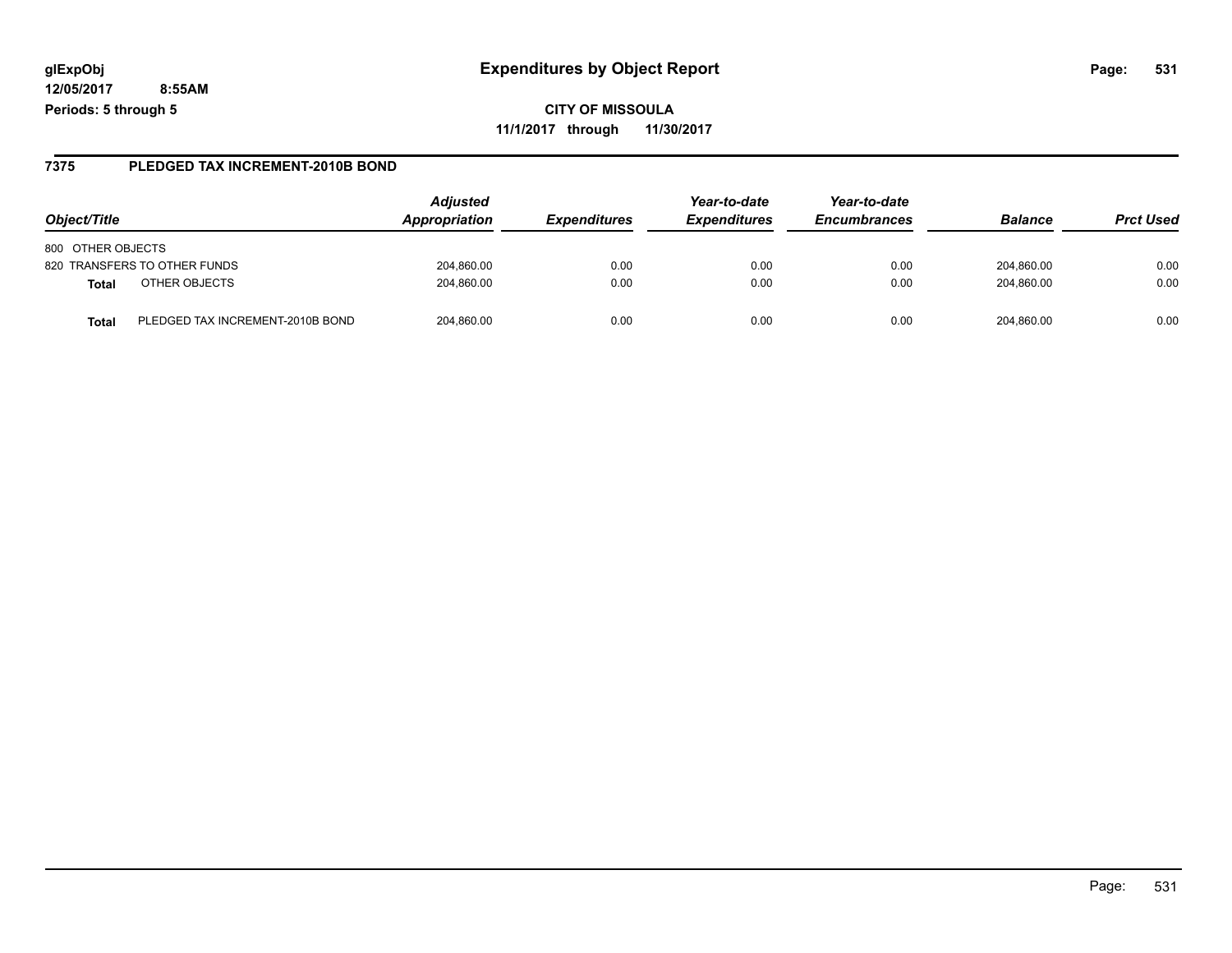**CITY OF MISSOULA 11/1/2017 through 11/30/2017**

#### **7375 PLEDGED TAX INCREMENT-2010B BOND**

| Object/Title                              | <b>Adjusted</b><br>Appropriation | <i><b>Expenditures</b></i> | Year-to-date<br><b>Expenditures</b> | Year-to-date<br><b>Encumbrances</b> | <b>Balance</b> | <b>Prct Used</b> |
|-------------------------------------------|----------------------------------|----------------------------|-------------------------------------|-------------------------------------|----------------|------------------|
| 800 OTHER OBJECTS                         |                                  |                            |                                     |                                     |                |                  |
| 820 TRANSFERS TO OTHER FUNDS              | 204,860.00                       | 0.00                       | 0.00                                | 0.00                                | 204.860.00     | 0.00             |
| OTHER OBJECTS<br><b>Total</b>             | 204.860.00                       | 0.00                       | 0.00                                | 0.00                                | 204.860.00     | 0.00             |
| PLEDGED TAX INCREMENT-2010B BOND<br>Total | 204.860.00                       | 0.00                       | 0.00                                | 0.00                                | 204.860.00     | 0.00             |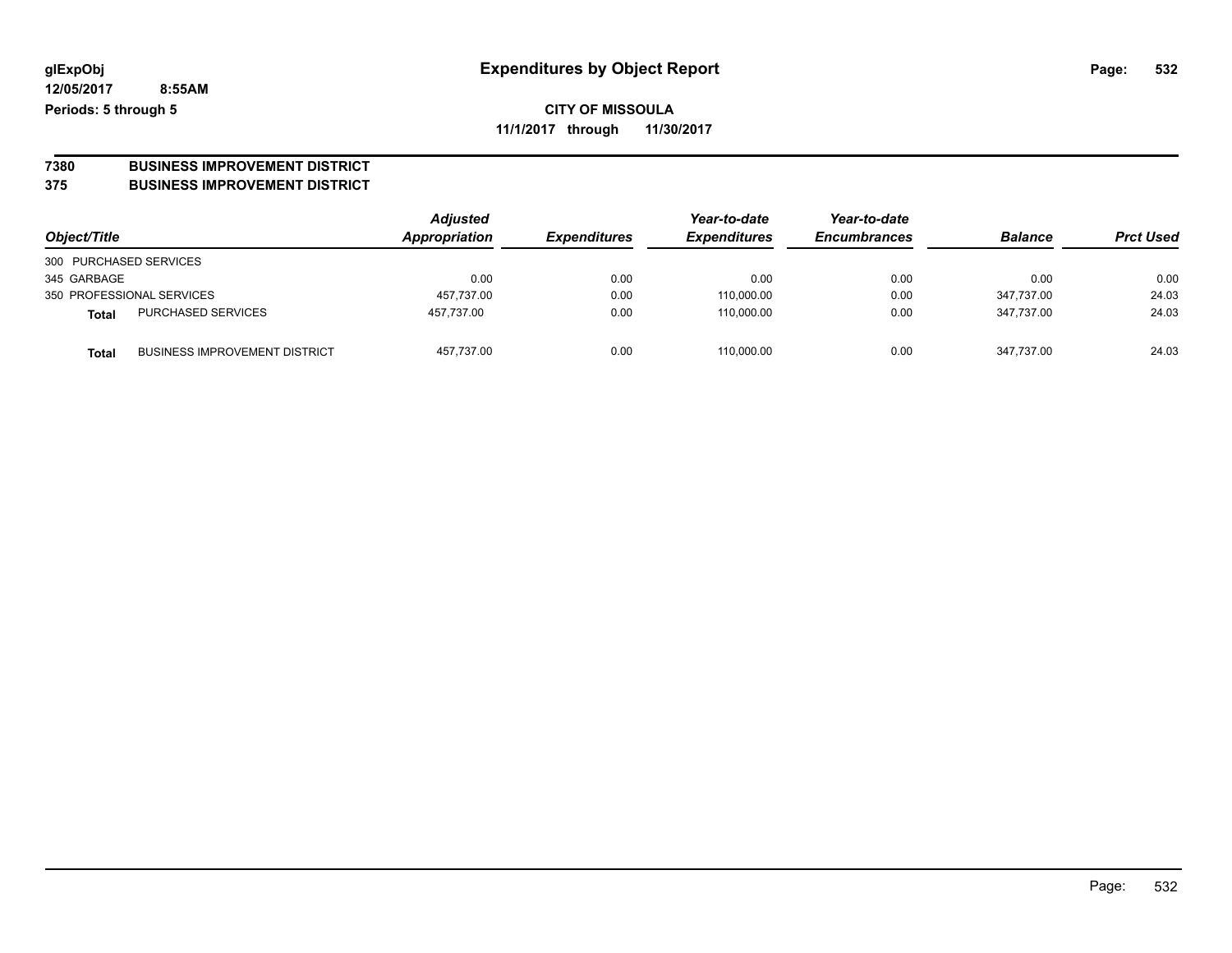# **7380 BUSINESS IMPROVEMENT DISTRICT**

#### **375 BUSINESS IMPROVEMENT DISTRICT**

| Object/Title           |                                      | <b>Adjusted</b><br>Appropriation | <b>Expenditures</b> | Year-to-date<br><b>Expenditures</b> | Year-to-date<br><b>Encumbrances</b> | <b>Balance</b> | <b>Prct Used</b> |
|------------------------|--------------------------------------|----------------------------------|---------------------|-------------------------------------|-------------------------------------|----------------|------------------|
| 300 PURCHASED SERVICES |                                      |                                  |                     |                                     |                                     |                |                  |
| 345 GARBAGE            |                                      | 0.00                             | 0.00                | 0.00                                | 0.00                                | 0.00           | 0.00             |
|                        | 350 PROFESSIONAL SERVICES            | 457,737.00                       | 0.00                | 110,000.00                          | 0.00                                | 347.737.00     | 24.03            |
| <b>Total</b>           | <b>PURCHASED SERVICES</b>            | 457.737.00                       | 0.00                | 110,000.00                          | 0.00                                | 347.737.00     | 24.03            |
| <b>Total</b>           | <b>BUSINESS IMPROVEMENT DISTRICT</b> | 457,737.00                       | 0.00                | 110,000.00                          | 0.00                                | 347.737.00     | 24.03            |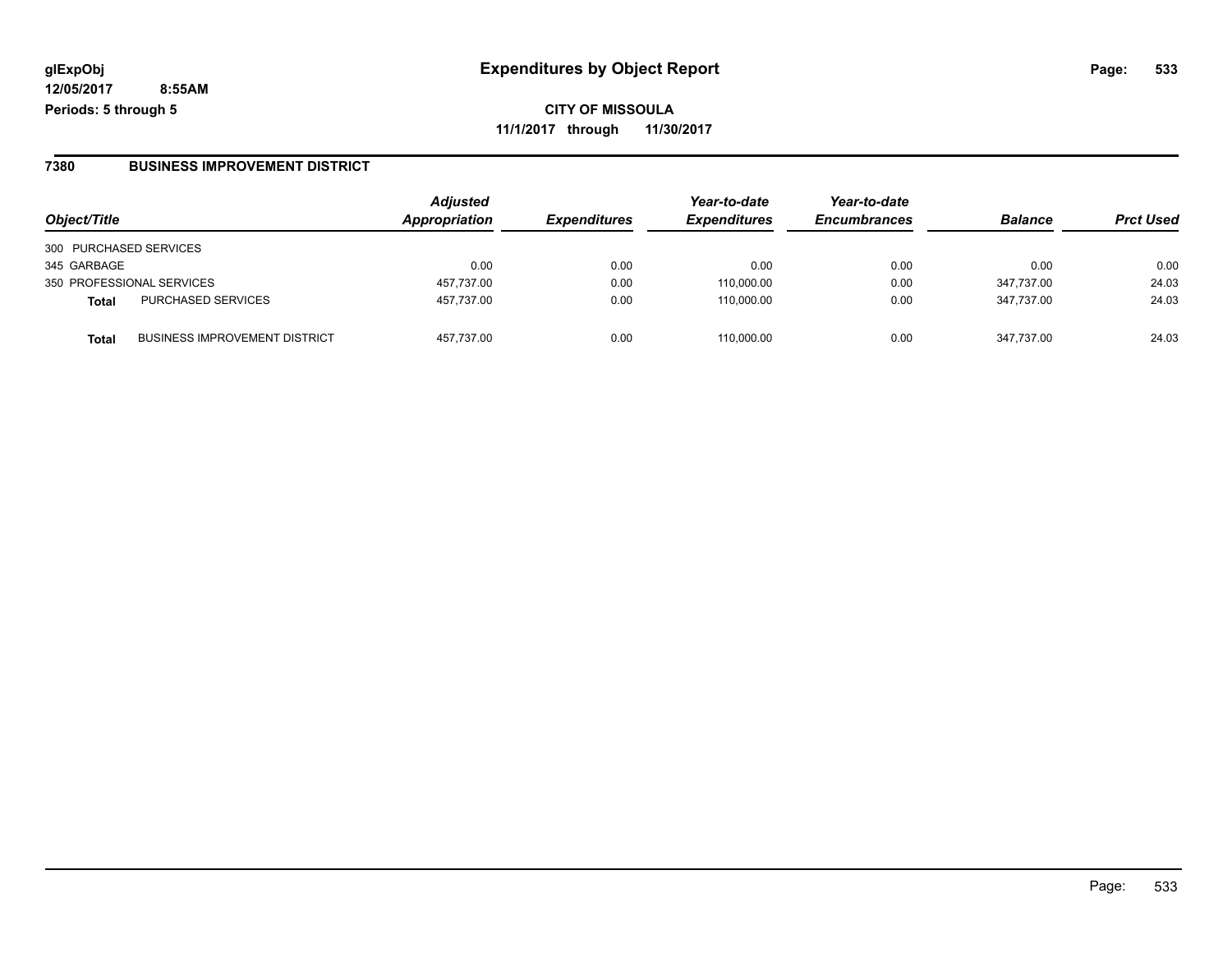**CITY OF MISSOULA 11/1/2017 through 11/30/2017**

#### **7380 BUSINESS IMPROVEMENT DISTRICT**

| Object/Title              |                                      | <b>Adjusted</b><br>Appropriation | <b>Expenditures</b> | Year-to-date<br><b>Expenditures</b> | Year-to-date<br><b>Encumbrances</b> | <b>Balance</b> | <b>Prct Used</b> |
|---------------------------|--------------------------------------|----------------------------------|---------------------|-------------------------------------|-------------------------------------|----------------|------------------|
| 300 PURCHASED SERVICES    |                                      |                                  |                     |                                     |                                     |                |                  |
| 345 GARBAGE               |                                      | 0.00                             | 0.00                | 0.00                                | 0.00                                | 0.00           | 0.00             |
| 350 PROFESSIONAL SERVICES |                                      | 457.737.00                       | 0.00                | 110.000.00                          | 0.00                                | 347.737.00     | 24.03            |
| <b>Total</b>              | <b>PURCHASED SERVICES</b>            | 457,737.00                       | 0.00                | 110.000.00                          | 0.00                                | 347.737.00     | 24.03            |
| <b>Total</b>              | <b>BUSINESS IMPROVEMENT DISTRICT</b> | 457.737.00                       | 0.00                | 110.000.00                          | 0.00                                | 347.737.00     | 24.03            |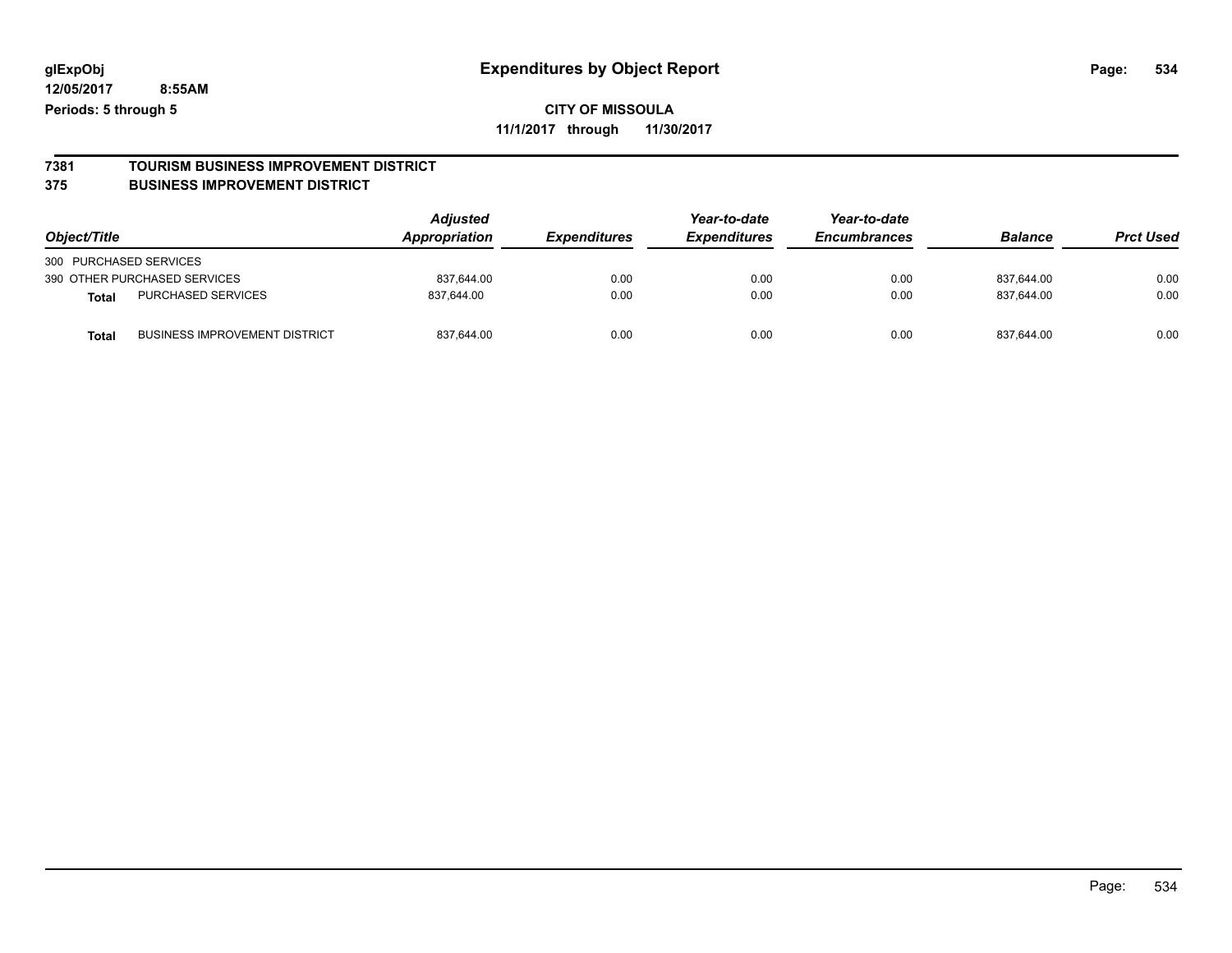# **7381 TOURISM BUSINESS IMPROVEMENT DISTRICT**

#### **375 BUSINESS IMPROVEMENT DISTRICT**

| Object/Title                                         | Adjusted<br>Appropriation | <b>Expenditures</b> | Year-to-date<br><b>Expenditures</b> | Year-to-date<br><b>Encumbrances</b> | <b>Balance</b> | <b>Prct Used</b> |
|------------------------------------------------------|---------------------------|---------------------|-------------------------------------|-------------------------------------|----------------|------------------|
| 300 PURCHASED SERVICES                               |                           |                     |                                     |                                     |                |                  |
| 390 OTHER PURCHASED SERVICES                         | 837,644.00                | 0.00                | 0.00                                | 0.00                                | 837.644.00     | 0.00             |
| <b>PURCHASED SERVICES</b><br><b>Total</b>            | 837.644.00                | 0.00                | 0.00                                | 0.00                                | 837.644.00     | 0.00             |
| <b>BUSINESS IMPROVEMENT DISTRICT</b><br><b>Total</b> | 837,644.00                | 0.00                | 0.00                                | 0.00                                | 837.644.00     | 0.00             |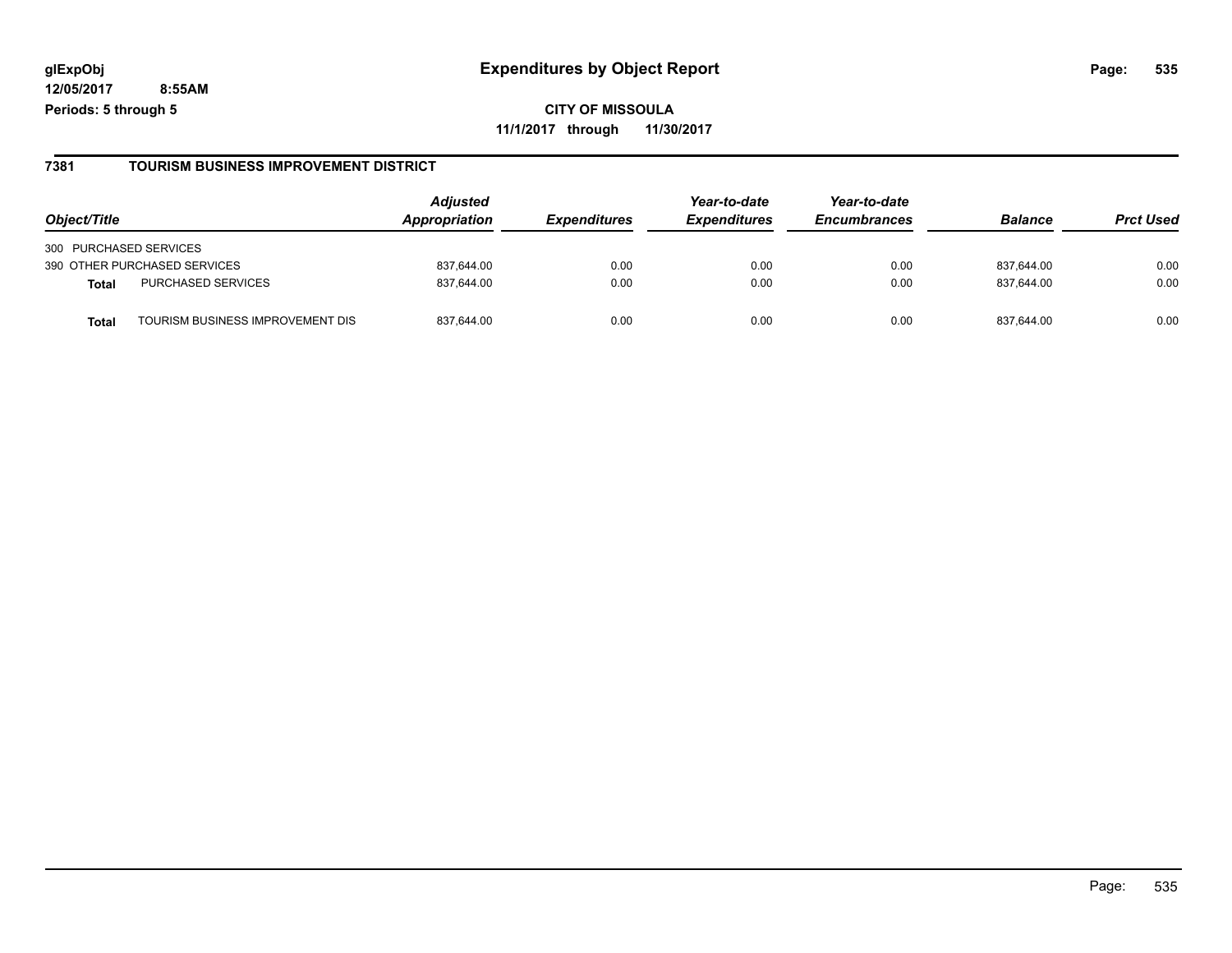**CITY OF MISSOULA 11/1/2017 through 11/30/2017**

#### **7381 TOURISM BUSINESS IMPROVEMENT DISTRICT**

| Object/Title                             | <b>Adjusted</b><br>Appropriation | <i><b>Expenditures</b></i> | Year-to-date<br><b>Expenditures</b> | Year-to-date<br><b>Encumbrances</b> | <b>Balance</b> | <b>Prct Used</b> |
|------------------------------------------|----------------------------------|----------------------------|-------------------------------------|-------------------------------------|----------------|------------------|
| 300 PURCHASED SERVICES                   |                                  |                            |                                     |                                     |                |                  |
| 390 OTHER PURCHASED SERVICES             | 837.644.00                       | 0.00                       | 0.00                                | 0.00                                | 837.644.00     | 0.00             |
| PURCHASED SERVICES<br><b>Total</b>       | 837.644.00                       | 0.00                       | 0.00                                | 0.00                                | 837.644.00     | 0.00             |
| TOURISM BUSINESS IMPROVEMENT DIS<br>Tota | 837.644.00                       | 0.00                       | 0.00                                | 0.00                                | 837.644.00     | 0.00             |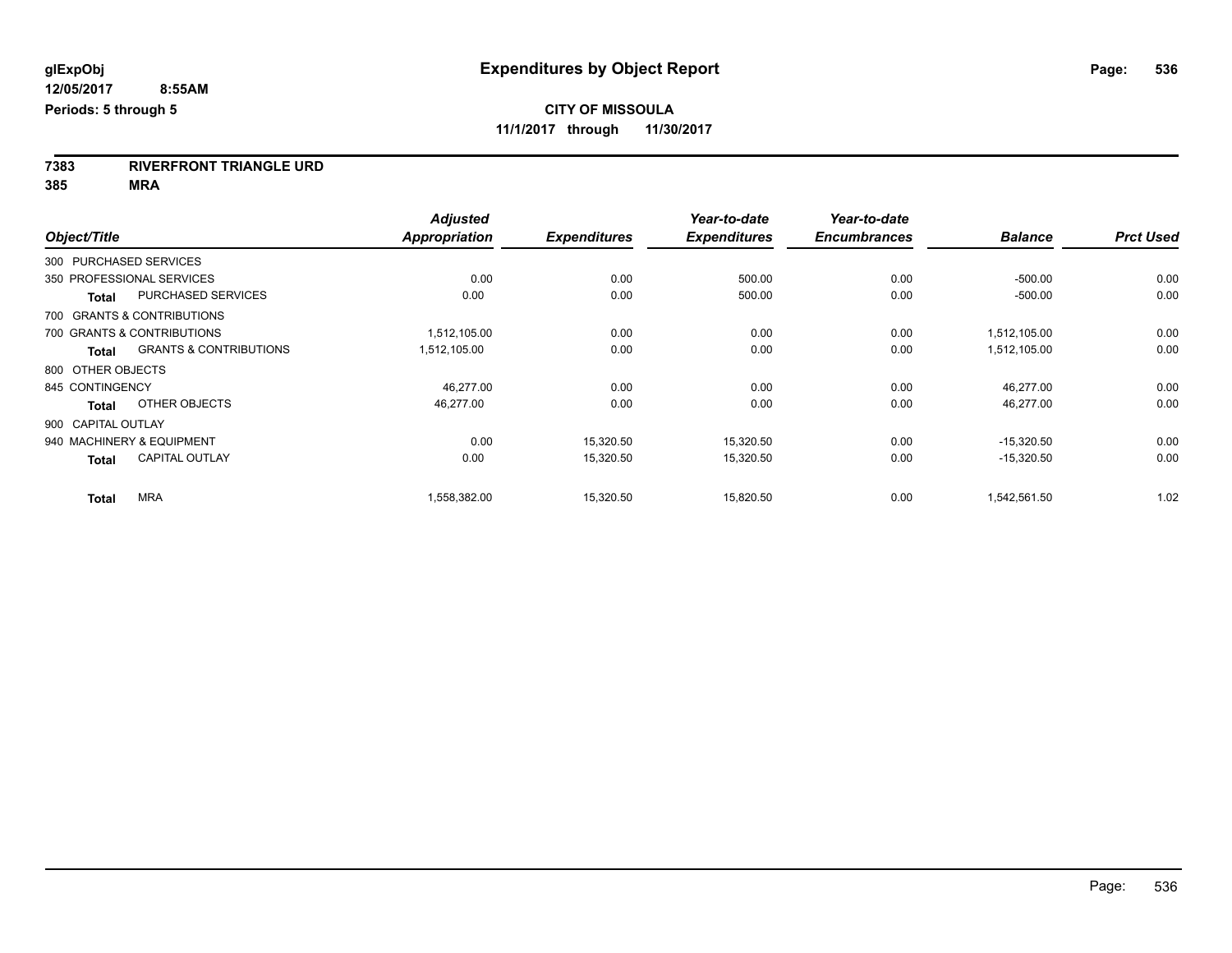**7383 RIVERFRONT TRIANGLE URD**

**385 MRA**

|                    |                                   | <b>Adjusted</b>      |                     | Year-to-date        | Year-to-date        |                |                  |
|--------------------|-----------------------------------|----------------------|---------------------|---------------------|---------------------|----------------|------------------|
| Object/Title       |                                   | <b>Appropriation</b> | <b>Expenditures</b> | <b>Expenditures</b> | <b>Encumbrances</b> | <b>Balance</b> | <b>Prct Used</b> |
|                    | 300 PURCHASED SERVICES            |                      |                     |                     |                     |                |                  |
|                    | 350 PROFESSIONAL SERVICES         | 0.00                 | 0.00                | 500.00              | 0.00                | $-500.00$      | 0.00             |
| <b>Total</b>       | <b>PURCHASED SERVICES</b>         | 0.00                 | 0.00                | 500.00              | 0.00                | $-500.00$      | 0.00             |
|                    | 700 GRANTS & CONTRIBUTIONS        |                      |                     |                     |                     |                |                  |
|                    | 700 GRANTS & CONTRIBUTIONS        | 1,512,105.00         | 0.00                | 0.00                | 0.00                | 1,512,105.00   | 0.00             |
| <b>Total</b>       | <b>GRANTS &amp; CONTRIBUTIONS</b> | 1,512,105.00         | 0.00                | 0.00                | 0.00                | 1,512,105.00   | 0.00             |
| 800 OTHER OBJECTS  |                                   |                      |                     |                     |                     |                |                  |
| 845 CONTINGENCY    |                                   | 46.277.00            | 0.00                | 0.00                | 0.00                | 46,277.00      | 0.00             |
| <b>Total</b>       | OTHER OBJECTS                     | 46,277.00            | 0.00                | 0.00                | 0.00                | 46,277.00      | 0.00             |
| 900 CAPITAL OUTLAY |                                   |                      |                     |                     |                     |                |                  |
|                    | 940 MACHINERY & EQUIPMENT         | 0.00                 | 15,320.50           | 15,320.50           | 0.00                | $-15,320.50$   | 0.00             |
| <b>Total</b>       | <b>CAPITAL OUTLAY</b>             | 0.00                 | 15,320.50           | 15,320.50           | 0.00                | $-15,320.50$   | 0.00             |
| <b>Total</b>       | <b>MRA</b>                        | 1,558,382.00         | 15,320.50           | 15.820.50           | 0.00                | 1,542,561.50   | 1.02             |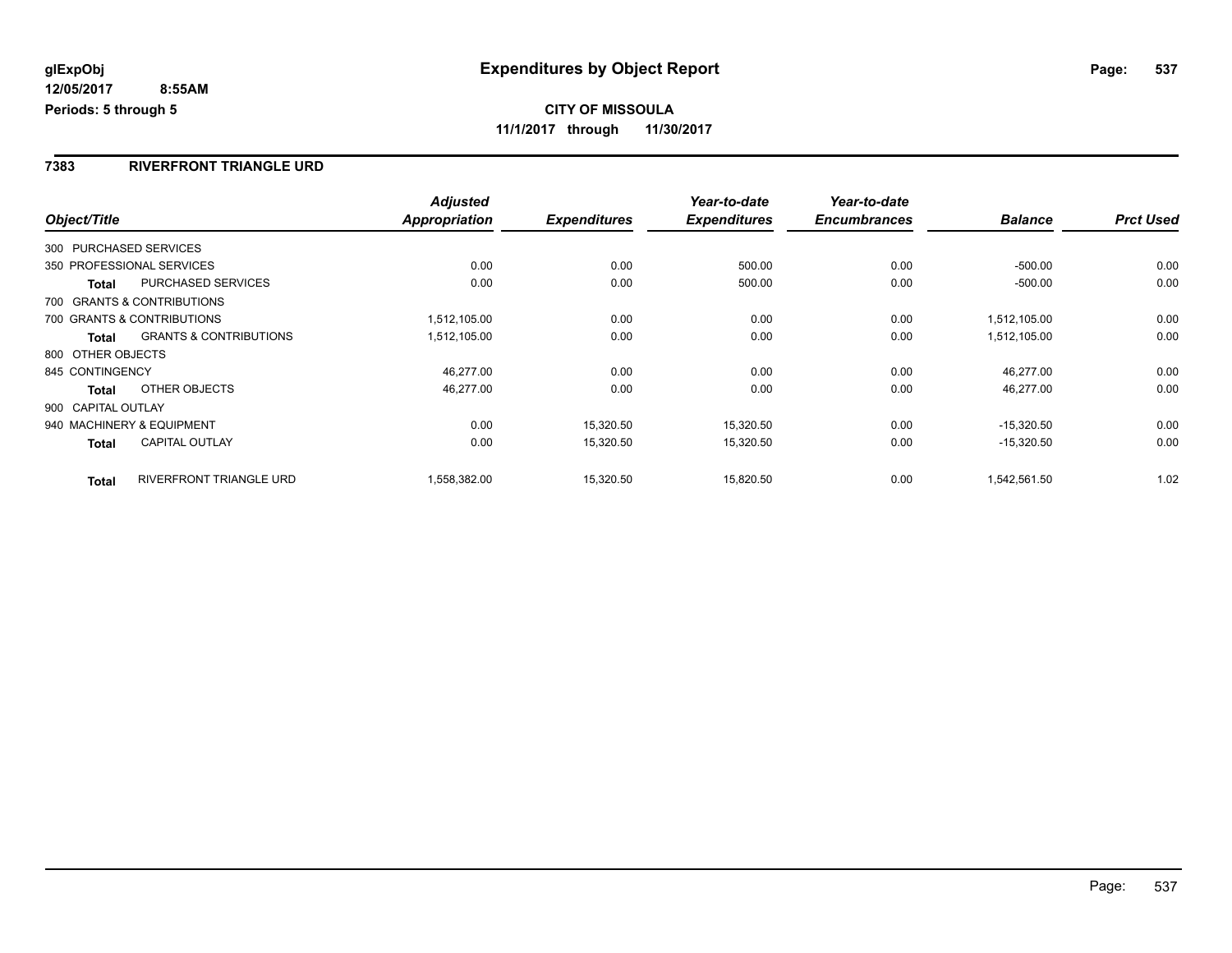#### **7383 RIVERFRONT TRIANGLE URD**

|                    |                                   | <b>Adjusted</b> |                     | Year-to-date        | Year-to-date        |                |                  |
|--------------------|-----------------------------------|-----------------|---------------------|---------------------|---------------------|----------------|------------------|
| Object/Title       |                                   | Appropriation   | <b>Expenditures</b> | <b>Expenditures</b> | <b>Encumbrances</b> | <b>Balance</b> | <b>Prct Used</b> |
|                    | 300 PURCHASED SERVICES            |                 |                     |                     |                     |                |                  |
|                    | 350 PROFESSIONAL SERVICES         | 0.00            | 0.00                | 500.00              | 0.00                | $-500.00$      | 0.00             |
| Total              | PURCHASED SERVICES                | 0.00            | 0.00                | 500.00              | 0.00                | $-500.00$      | 0.00             |
|                    | 700 GRANTS & CONTRIBUTIONS        |                 |                     |                     |                     |                |                  |
|                    | 700 GRANTS & CONTRIBUTIONS        | 1,512,105.00    | 0.00                | 0.00                | 0.00                | 1.512.105.00   | 0.00             |
| <b>Total</b>       | <b>GRANTS &amp; CONTRIBUTIONS</b> | 1,512,105.00    | 0.00                | 0.00                | 0.00                | 1,512,105.00   | 0.00             |
| 800 OTHER OBJECTS  |                                   |                 |                     |                     |                     |                |                  |
| 845 CONTINGENCY    |                                   | 46,277.00       | 0.00                | 0.00                | 0.00                | 46,277.00      | 0.00             |
| Total              | OTHER OBJECTS                     | 46,277.00       | 0.00                | 0.00                | 0.00                | 46,277.00      | 0.00             |
| 900 CAPITAL OUTLAY |                                   |                 |                     |                     |                     |                |                  |
|                    | 940 MACHINERY & EQUIPMENT         | 0.00            | 15,320.50           | 15,320.50           | 0.00                | $-15.320.50$   | 0.00             |
| Total              | <b>CAPITAL OUTLAY</b>             | 0.00            | 15,320.50           | 15,320.50           | 0.00                | $-15,320.50$   | 0.00             |
| <b>Total</b>       | <b>RIVERFRONT TRIANGLE URD</b>    | 1,558,382.00    | 15,320.50           | 15,820.50           | 0.00                | 1,542,561.50   | 1.02             |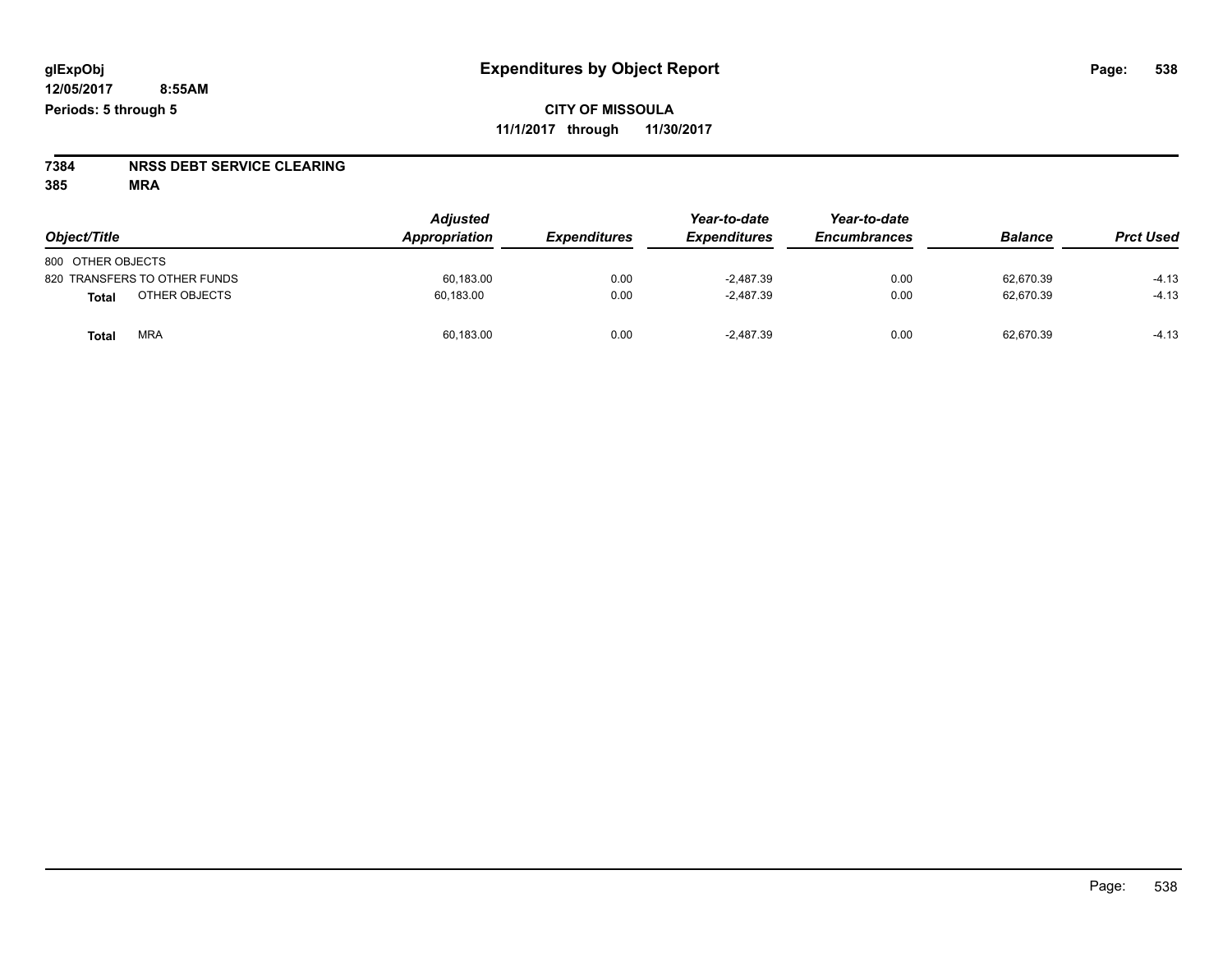# **7384 NRSS DEBT SERVICE CLEARING**

**385 MRA**

| Object/Title                  | <b>Adjusted</b><br>Appropriation | <b>Expenditures</b> | Year-to-date<br><b>Expenditures</b> | Year-to-date<br><b>Encumbrances</b> | <b>Balance</b> | <b>Prct Used</b> |
|-------------------------------|----------------------------------|---------------------|-------------------------------------|-------------------------------------|----------------|------------------|
| 800 OTHER OBJECTS             |                                  |                     |                                     |                                     |                |                  |
| 820 TRANSFERS TO OTHER FUNDS  | 60,183.00                        | 0.00                | $-2.487.39$                         | 0.00                                | 62.670.39      | $-4.13$          |
| OTHER OBJECTS<br><b>Total</b> | 60,183.00                        | 0.00                | $-2.487.39$                         | 0.00                                | 62.670.39      | $-4.13$          |
| <b>MRA</b><br><b>Total</b>    | 60,183.00                        | 0.00                | $-2.487.39$                         | 0.00                                | 62,670.39      | $-4.13$          |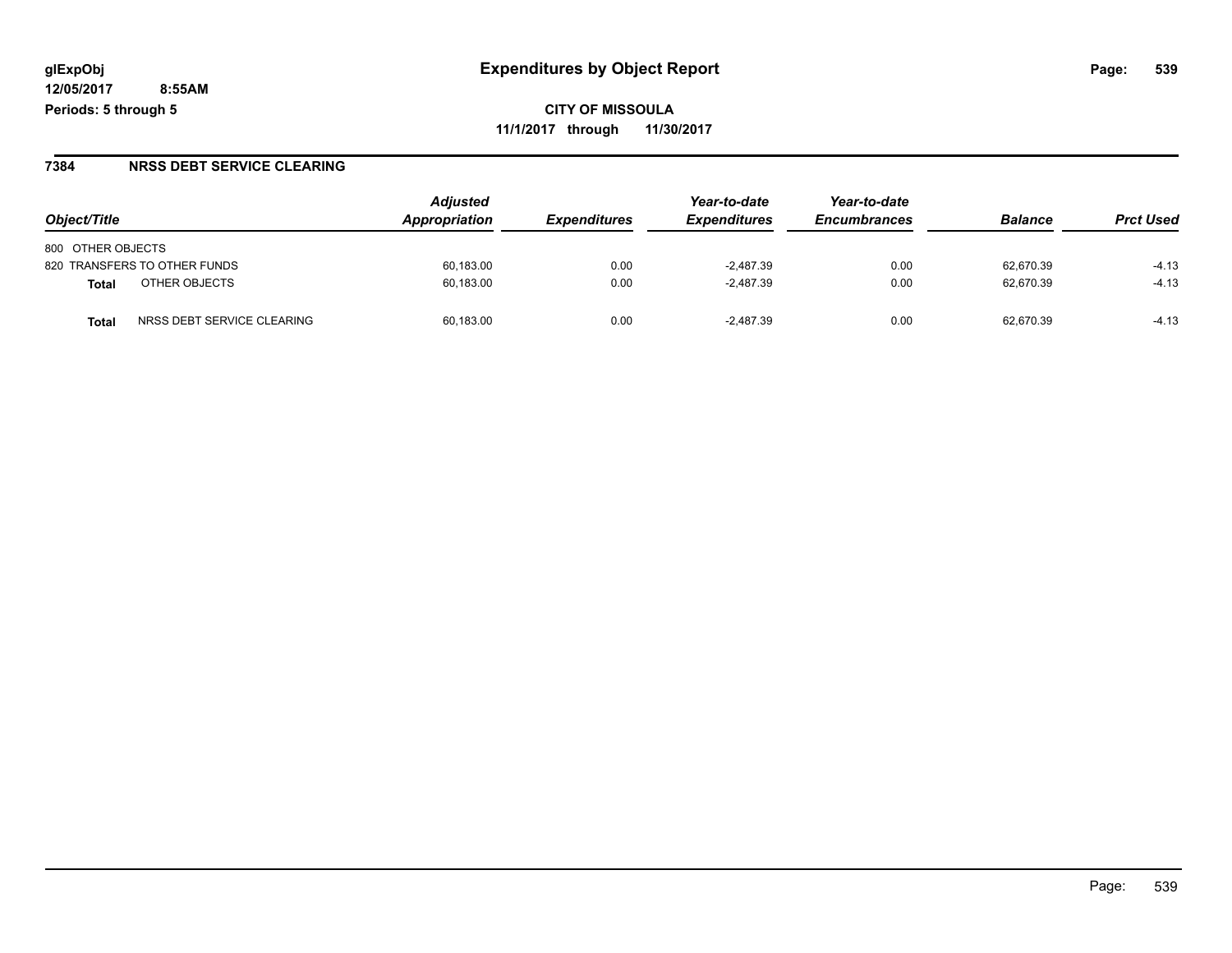**CITY OF MISSOULA 11/1/2017 through 11/30/2017**

#### **7384 NRSS DEBT SERVICE CLEARING**

|                                     | <b>Adjusted</b> |                     | Year-to-date        | Year-to-date        |                |                  |
|-------------------------------------|-----------------|---------------------|---------------------|---------------------|----------------|------------------|
| Object/Title                        | Appropriation   | <b>Expenditures</b> | <b>Expenditures</b> | <b>Encumbrances</b> | <b>Balance</b> | <b>Prct Used</b> |
| 800 OTHER OBJECTS                   |                 |                     |                     |                     |                |                  |
| 820 TRANSFERS TO OTHER FUNDS        | 60.183.00       | 0.00                | $-2.487.39$         | 0.00                | 62.670.39      | $-4.13$          |
| OTHER OBJECTS<br>Total              | 60,183.00       | 0.00                | $-2,487.39$         | 0.00                | 62.670.39      | $-4.13$          |
| NRSS DEBT SERVICE CLEARING<br>Total | 60.183.00       | 0.00                | $-2.487.39$         | 0.00                | 62.670.39      | $-4.13$          |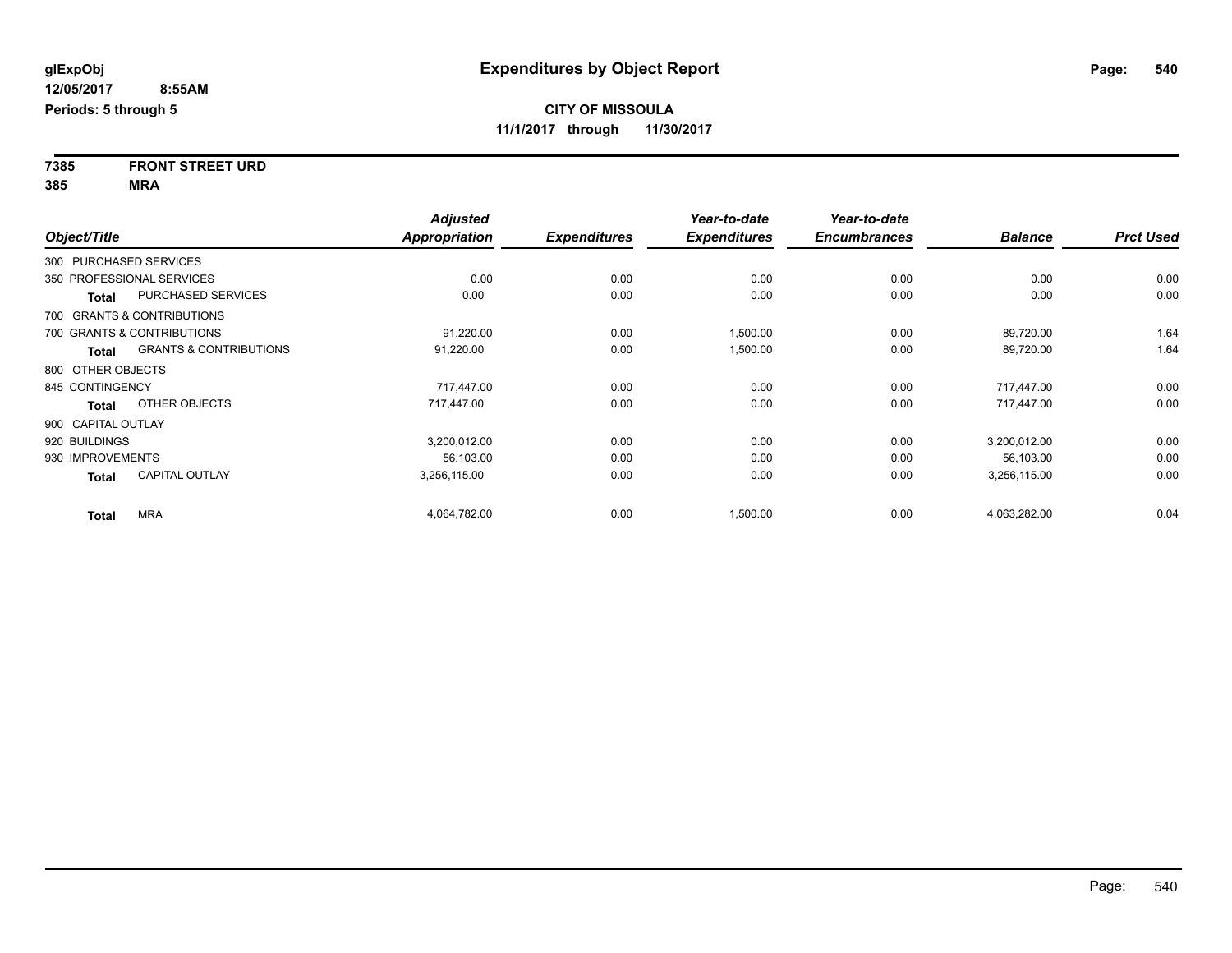**7385 FRONT STREET URD 385 MRA**

|                        |                                   | <b>Adjusted</b>      |                     | Year-to-date        | Year-to-date        |                |                  |
|------------------------|-----------------------------------|----------------------|---------------------|---------------------|---------------------|----------------|------------------|
| Object/Title           |                                   | <b>Appropriation</b> | <b>Expenditures</b> | <b>Expenditures</b> | <b>Encumbrances</b> | <b>Balance</b> | <b>Prct Used</b> |
| 300 PURCHASED SERVICES |                                   |                      |                     |                     |                     |                |                  |
|                        | 350 PROFESSIONAL SERVICES         | 0.00                 | 0.00                | 0.00                | 0.00                | 0.00           | 0.00             |
| <b>Total</b>           | <b>PURCHASED SERVICES</b>         | 0.00                 | 0.00                | 0.00                | 0.00                | 0.00           | 0.00             |
|                        | 700 GRANTS & CONTRIBUTIONS        |                      |                     |                     |                     |                |                  |
|                        | 700 GRANTS & CONTRIBUTIONS        | 91,220.00            | 0.00                | 1,500.00            | 0.00                | 89,720.00      | 1.64             |
| Total                  | <b>GRANTS &amp; CONTRIBUTIONS</b> | 91,220.00            | 0.00                | 1,500.00            | 0.00                | 89,720.00      | 1.64             |
| 800 OTHER OBJECTS      |                                   |                      |                     |                     |                     |                |                  |
| 845 CONTINGENCY        |                                   | 717,447.00           | 0.00                | 0.00                | 0.00                | 717,447.00     | 0.00             |
| <b>Total</b>           | OTHER OBJECTS                     | 717,447.00           | 0.00                | 0.00                | 0.00                | 717,447.00     | 0.00             |
| 900 CAPITAL OUTLAY     |                                   |                      |                     |                     |                     |                |                  |
| 920 BUILDINGS          |                                   | 3,200,012.00         | 0.00                | 0.00                | 0.00                | 3,200,012.00   | 0.00             |
| 930 IMPROVEMENTS       |                                   | 56,103.00            | 0.00                | 0.00                | 0.00                | 56,103.00      | 0.00             |
| <b>Total</b>           | <b>CAPITAL OUTLAY</b>             | 3,256,115.00         | 0.00                | 0.00                | 0.00                | 3,256,115.00   | 0.00             |
| <b>Total</b>           | <b>MRA</b>                        | 4,064,782.00         | 0.00                | 1,500.00            | 0.00                | 4,063,282.00   | 0.04             |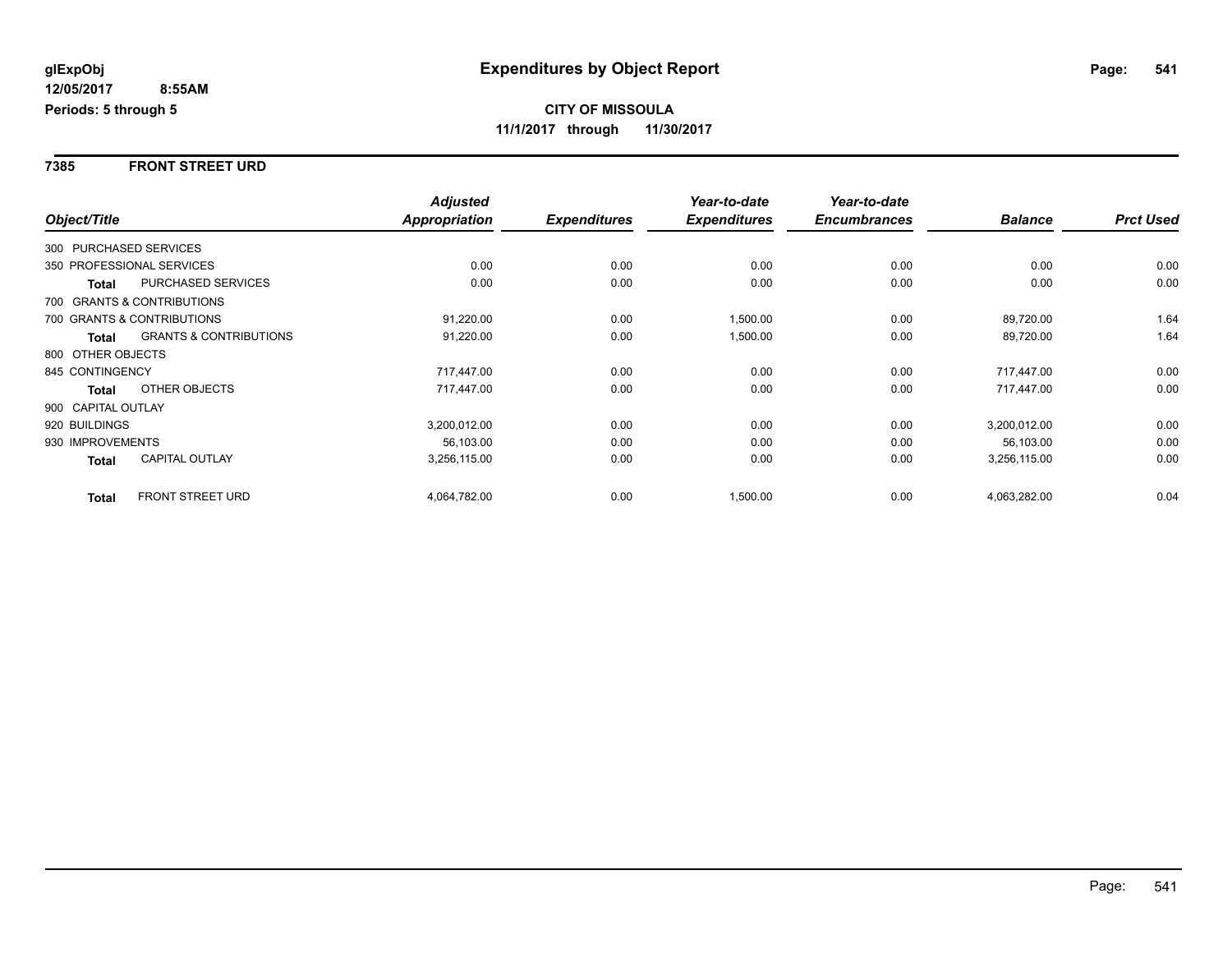### **7385 FRONT STREET URD**

|                        |                                   | <b>Adjusted</b>      |                     | Year-to-date        | Year-to-date        |                |                  |
|------------------------|-----------------------------------|----------------------|---------------------|---------------------|---------------------|----------------|------------------|
| Object/Title           |                                   | <b>Appropriation</b> | <b>Expenditures</b> | <b>Expenditures</b> | <b>Encumbrances</b> | <b>Balance</b> | <b>Prct Used</b> |
| 300 PURCHASED SERVICES |                                   |                      |                     |                     |                     |                |                  |
|                        | 350 PROFESSIONAL SERVICES         | 0.00                 | 0.00                | 0.00                | 0.00                | 0.00           | 0.00             |
| Total                  | <b>PURCHASED SERVICES</b>         | 0.00                 | 0.00                | 0.00                | 0.00                | 0.00           | 0.00             |
|                        | 700 GRANTS & CONTRIBUTIONS        |                      |                     |                     |                     |                |                  |
|                        | 700 GRANTS & CONTRIBUTIONS        | 91,220.00            | 0.00                | 1,500.00            | 0.00                | 89,720.00      | 1.64             |
| <b>Total</b>           | <b>GRANTS &amp; CONTRIBUTIONS</b> | 91,220.00            | 0.00                | 1,500.00            | 0.00                | 89,720.00      | 1.64             |
| 800 OTHER OBJECTS      |                                   |                      |                     |                     |                     |                |                  |
| 845 CONTINGENCY        |                                   | 717,447.00           | 0.00                | 0.00                | 0.00                | 717,447.00     | 0.00             |
| Total                  | OTHER OBJECTS                     | 717,447.00           | 0.00                | 0.00                | 0.00                | 717,447.00     | 0.00             |
| 900 CAPITAL OUTLAY     |                                   |                      |                     |                     |                     |                |                  |
| 920 BUILDINGS          |                                   | 3,200,012.00         | 0.00                | 0.00                | 0.00                | 3,200,012.00   | 0.00             |
| 930 IMPROVEMENTS       |                                   | 56.103.00            | 0.00                | 0.00                | 0.00                | 56.103.00      | 0.00             |
| Total                  | <b>CAPITAL OUTLAY</b>             | 3,256,115.00         | 0.00                | 0.00                | 0.00                | 3,256,115.00   | 0.00             |
| <b>Total</b>           | <b>FRONT STREET URD</b>           | 4,064,782.00         | 0.00                | 1,500.00            | 0.00                | 4,063,282.00   | 0.04             |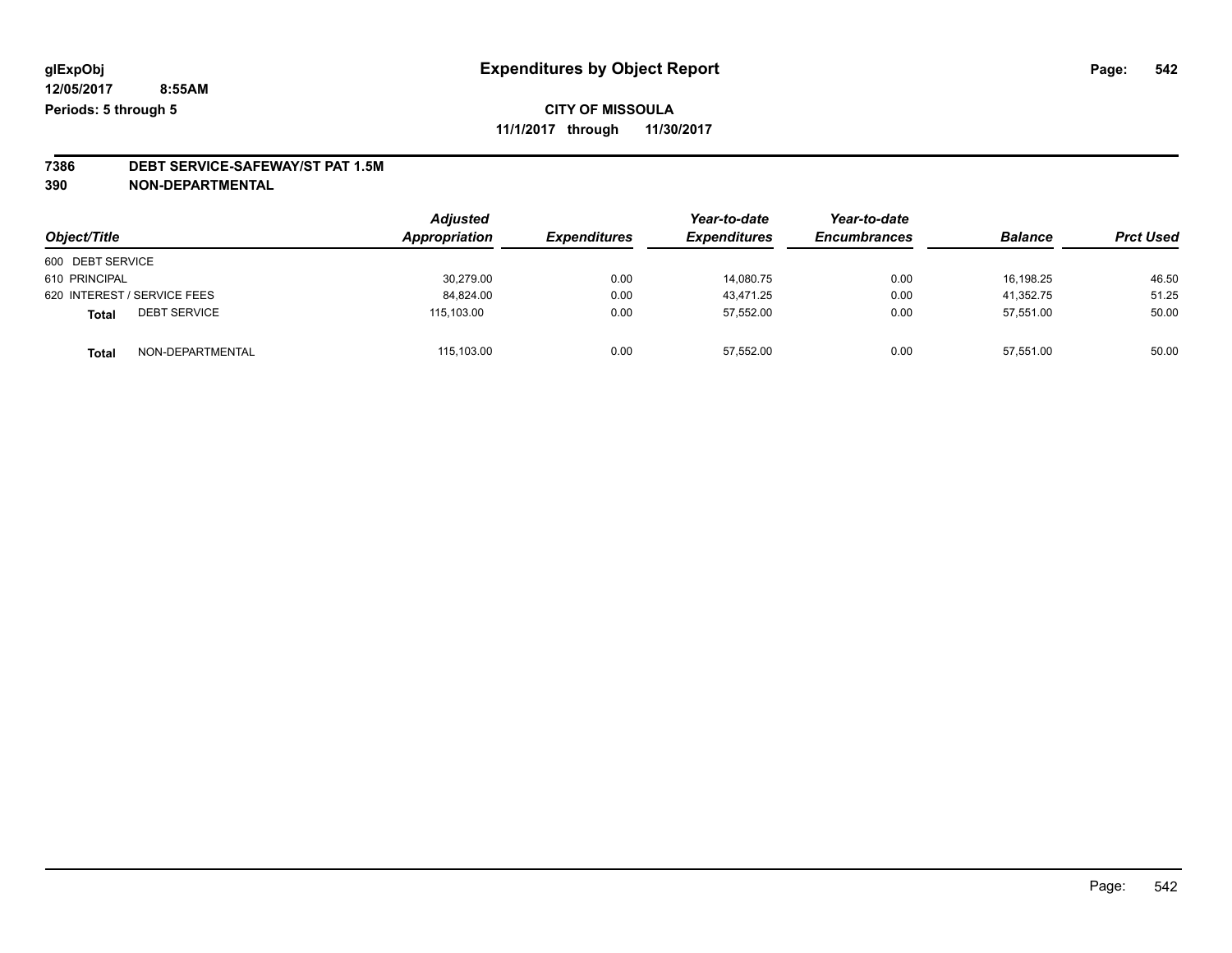# **7386 DEBT SERVICE-SAFEWAY/ST PAT 1.5M**

**390 NON-DEPARTMENTAL**

| Object/Title                        | <b>Adjusted</b><br>Appropriation | <b>Expenditures</b> | Year-to-date<br><b>Expenditures</b> | Year-to-date<br><b>Encumbrances</b> | <b>Balance</b> | <b>Prct Used</b> |
|-------------------------------------|----------------------------------|---------------------|-------------------------------------|-------------------------------------|----------------|------------------|
| 600 DEBT SERVICE                    |                                  |                     |                                     |                                     |                |                  |
| 610 PRINCIPAL                       | 30.279.00                        | 0.00                | 14.080.75                           | 0.00                                | 16.198.25      | 46.50            |
| 620 INTEREST / SERVICE FEES         | 84,824.00                        | 0.00                | 43.471.25                           | 0.00                                | 41,352.75      | 51.25            |
| <b>DEBT SERVICE</b><br><b>Total</b> | 115.103.00                       | 0.00                | 57,552.00                           | 0.00                                | 57.551.00      | 50.00            |
| NON-DEPARTMENTAL<br><b>Total</b>    | 115,103.00                       | 0.00                | 57,552.00                           | 0.00                                | 57,551.00      | 50.00            |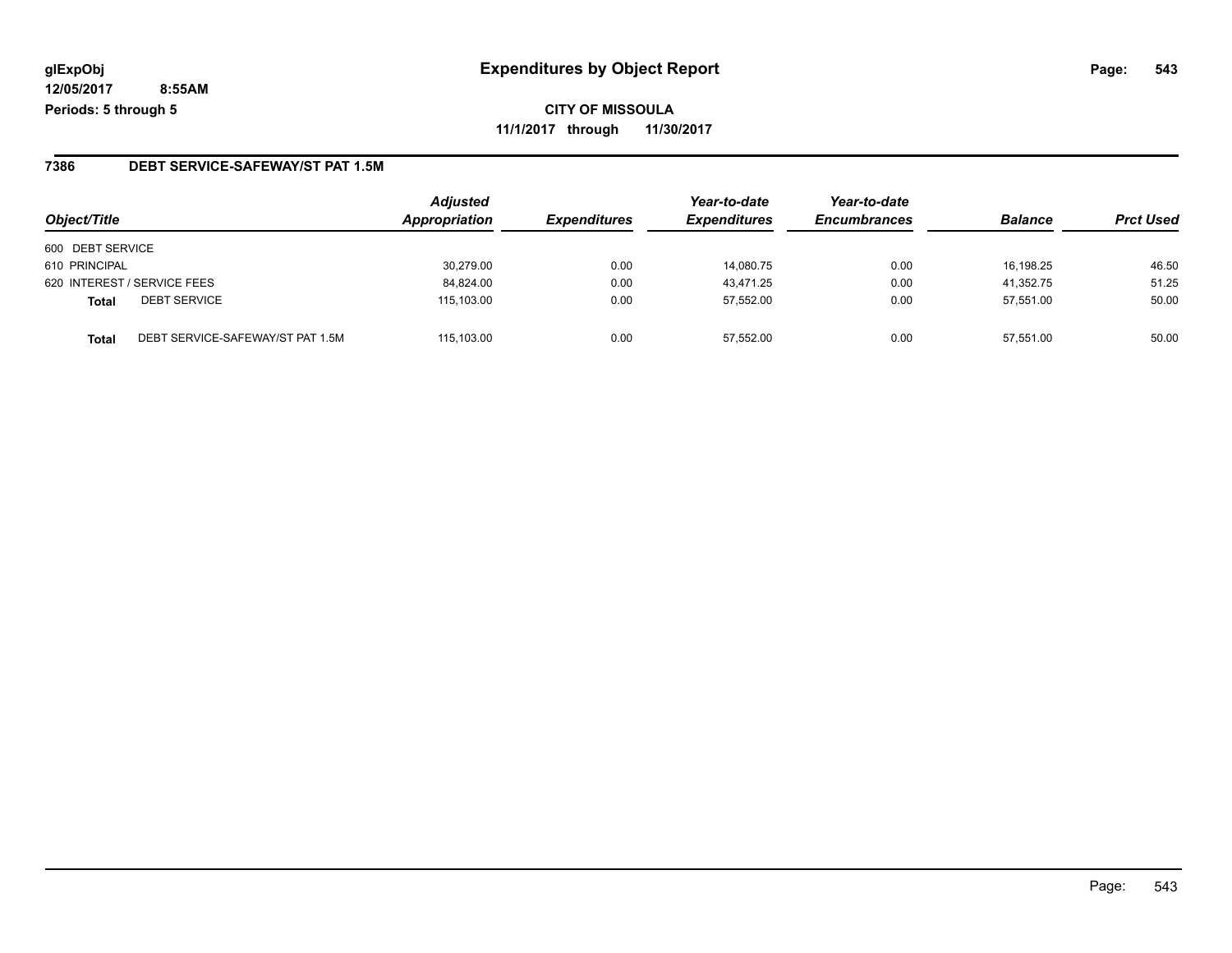**CITY OF MISSOULA 11/1/2017 through 11/30/2017**

### **7386 DEBT SERVICE-SAFEWAY/ST PAT 1.5M**

| Object/Title                              | <b>Adjusted</b><br>Appropriation | <b>Expenditures</b> | Year-to-date<br><b>Expenditures</b> | Year-to-date<br><b>Encumbrances</b> | <b>Balance</b> | <b>Prct Used</b> |
|-------------------------------------------|----------------------------------|---------------------|-------------------------------------|-------------------------------------|----------------|------------------|
| 600 DEBT SERVICE                          |                                  |                     |                                     |                                     |                |                  |
| 610 PRINCIPAL                             | 30,279.00                        | 0.00                | 14,080.75                           | 0.00                                | 16.198.25      | 46.50            |
| 620 INTEREST / SERVICE FEES               | 84,824.00                        | 0.00                | 43.471.25                           | 0.00                                | 41.352.75      | 51.25            |
| <b>DEBT SERVICE</b><br>Total              | 115,103.00                       | 0.00                | 57.552.00                           | 0.00                                | 57,551.00      | 50.00            |
| DEBT SERVICE-SAFEWAY/ST PAT 1.5M<br>Total | 115.103.00                       | 0.00                | 57.552.00                           | 0.00                                | 57.551.00      | 50.00            |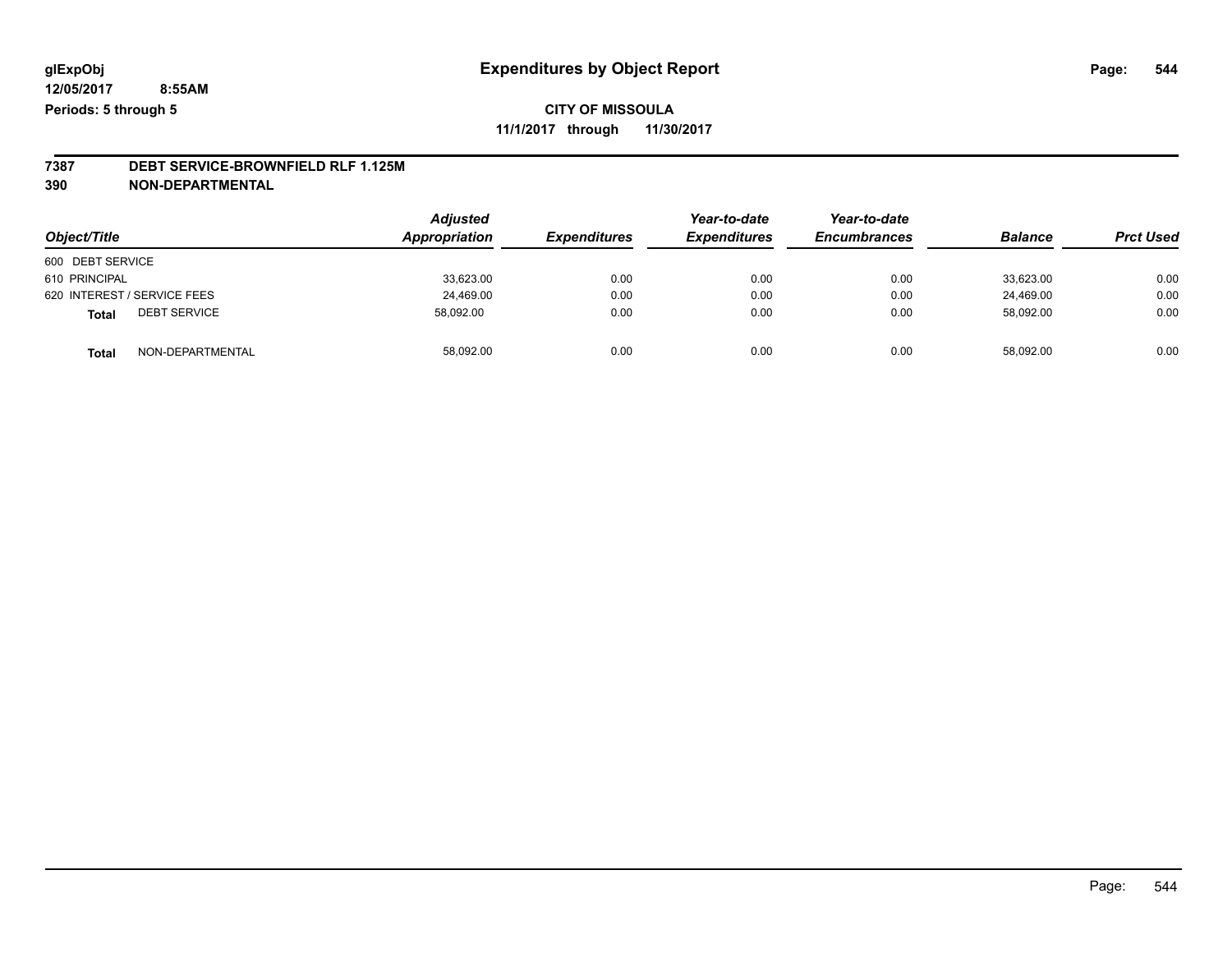## **CITY OF MISSOULA 11/1/2017 through 11/30/2017**

**7387 DEBT SERVICE-BROWNFIELD RLF 1.125M**

**390 NON-DEPARTMENTAL**

| Object/Title                |                     | <b>Adjusted</b><br>Appropriation | <b>Expenditures</b> | Year-to-date<br><b>Expenditures</b> | Year-to-date<br><b>Encumbrances</b> | <b>Balance</b> | <b>Prct Used</b> |
|-----------------------------|---------------------|----------------------------------|---------------------|-------------------------------------|-------------------------------------|----------------|------------------|
| 600 DEBT SERVICE            |                     |                                  |                     |                                     |                                     |                |                  |
| 610 PRINCIPAL               |                     | 33,623.00                        | 0.00                | 0.00                                | 0.00                                | 33.623.00      | 0.00             |
| 620 INTEREST / SERVICE FEES |                     | 24,469.00                        | 0.00                | 0.00                                | 0.00                                | 24.469.00      | 0.00             |
| <b>Total</b>                | <b>DEBT SERVICE</b> | 58,092.00                        | 0.00                | 0.00                                | 0.00                                | 58,092.00      | 0.00             |
| <b>Total</b>                | NON-DEPARTMENTAL    | 58,092.00                        | 0.00                | 0.00                                | 0.00                                | 58,092.00      | 0.00             |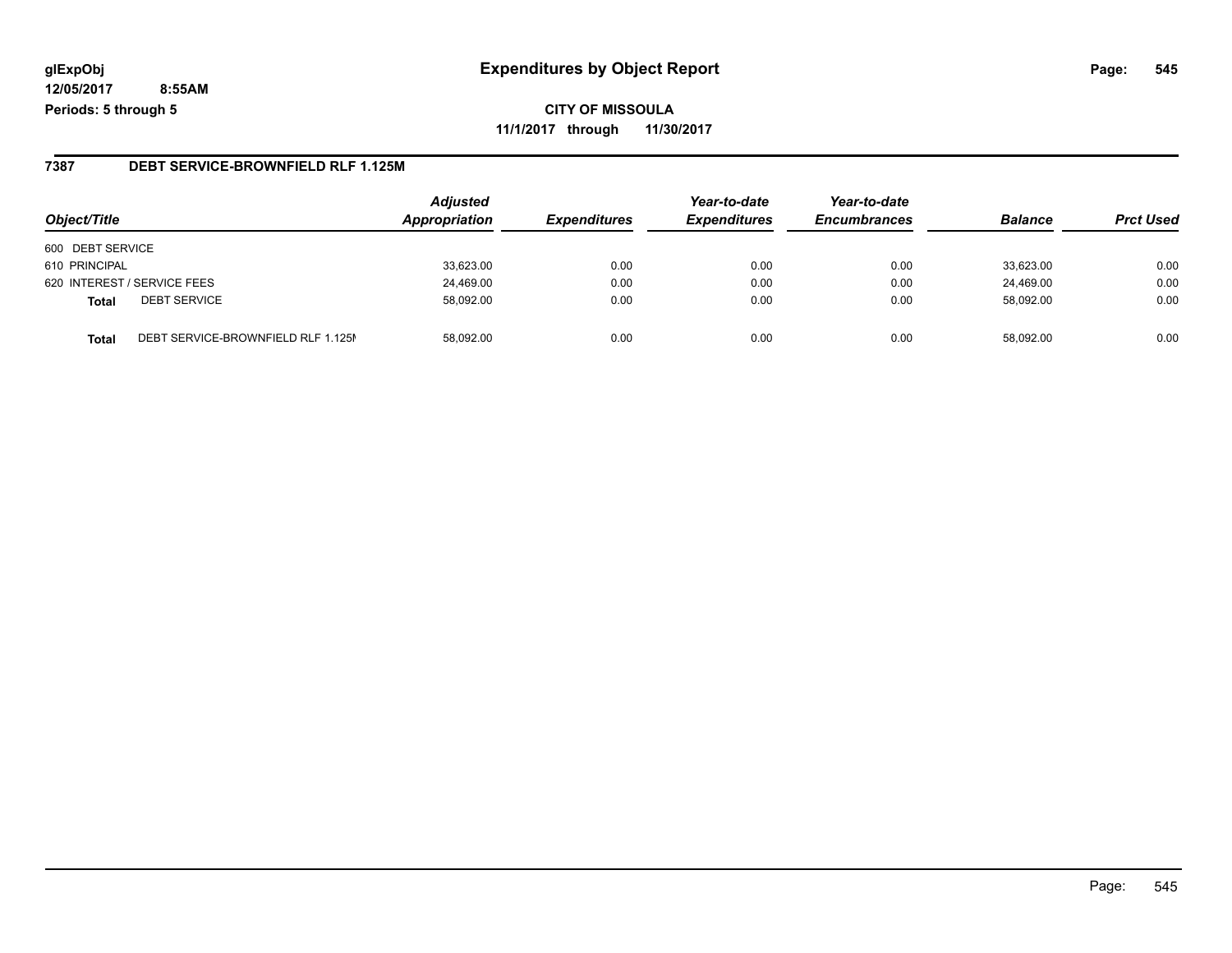# **glExpObj Expenditures by Object Report Page: 545**

**12/05/2017 8:55AM Periods: 5 through 5**

### **7387 DEBT SERVICE-BROWNFIELD RLF 1.125M**

| Object/Title                                       | <b>Adjusted</b><br>Appropriation | <b>Expenditures</b> | Year-to-date<br><b>Expenditures</b> | Year-to-date<br><b>Encumbrances</b> | <b>Balance</b> | <b>Prct Used</b> |
|----------------------------------------------------|----------------------------------|---------------------|-------------------------------------|-------------------------------------|----------------|------------------|
| 600 DEBT SERVICE                                   |                                  |                     |                                     |                                     |                |                  |
| 610 PRINCIPAL                                      | 33,623.00                        | 0.00                | 0.00                                | 0.00                                | 33,623.00      | 0.00             |
| 620 INTEREST / SERVICE FEES                        | 24,469.00                        | 0.00                | 0.00                                | 0.00                                | 24,469.00      | 0.00             |
| <b>DEBT SERVICE</b><br><b>Total</b>                | 58,092.00                        | 0.00                | 0.00                                | 0.00                                | 58.092.00      | 0.00             |
| DEBT SERVICE-BROWNFIELD RLF 1.125M<br><b>Total</b> | 58.092.00                        | 0.00                | 0.00                                | 0.00                                | 58.092.00      | 0.00             |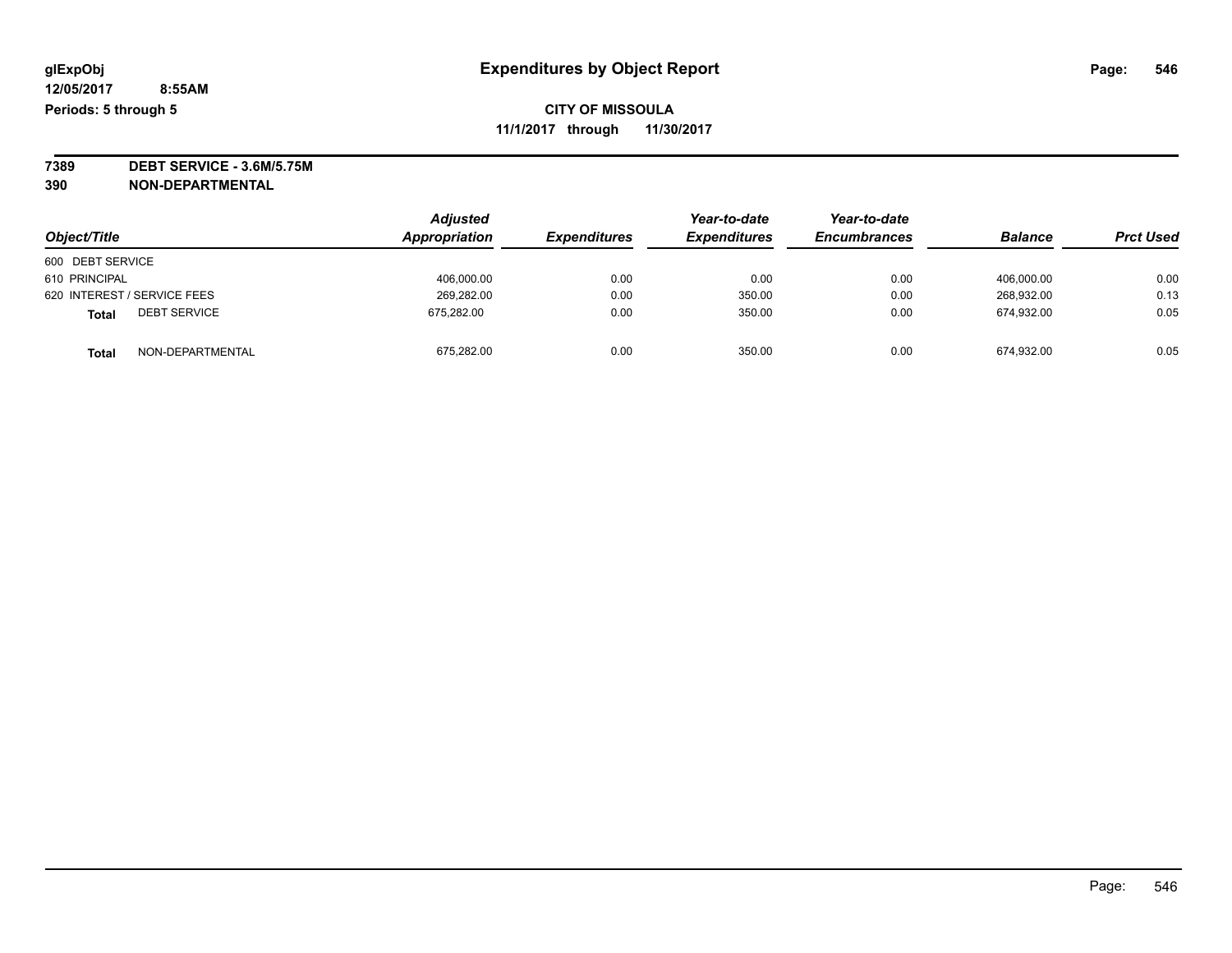**7389 DEBT SERVICE - 3.6M/5.75M 390 NON-DEPARTMENTAL**

|                                     | <b>Adjusted</b> |                     | Year-to-date        | Year-to-date        |                |                  |
|-------------------------------------|-----------------|---------------------|---------------------|---------------------|----------------|------------------|
| Object/Title                        | Appropriation   | <b>Expenditures</b> | <b>Expenditures</b> | <b>Encumbrances</b> | <b>Balance</b> | <b>Prct Used</b> |
| 600 DEBT SERVICE                    |                 |                     |                     |                     |                |                  |
| 610 PRINCIPAL                       | 406.000.00      | 0.00                | 0.00                | 0.00                | 406.000.00     | 0.00             |
| 620 INTEREST / SERVICE FEES         | 269.282.00      | 0.00                | 350.00              | 0.00                | 268.932.00     | 0.13             |
| <b>DEBT SERVICE</b><br><b>Total</b> | 675,282.00      | 0.00                | 350.00              | 0.00                | 674,932.00     | 0.05             |
| NON-DEPARTMENTAL<br><b>Total</b>    | 675,282.00      | 0.00                | 350.00              | 0.00                | 674,932.00     | 0.05             |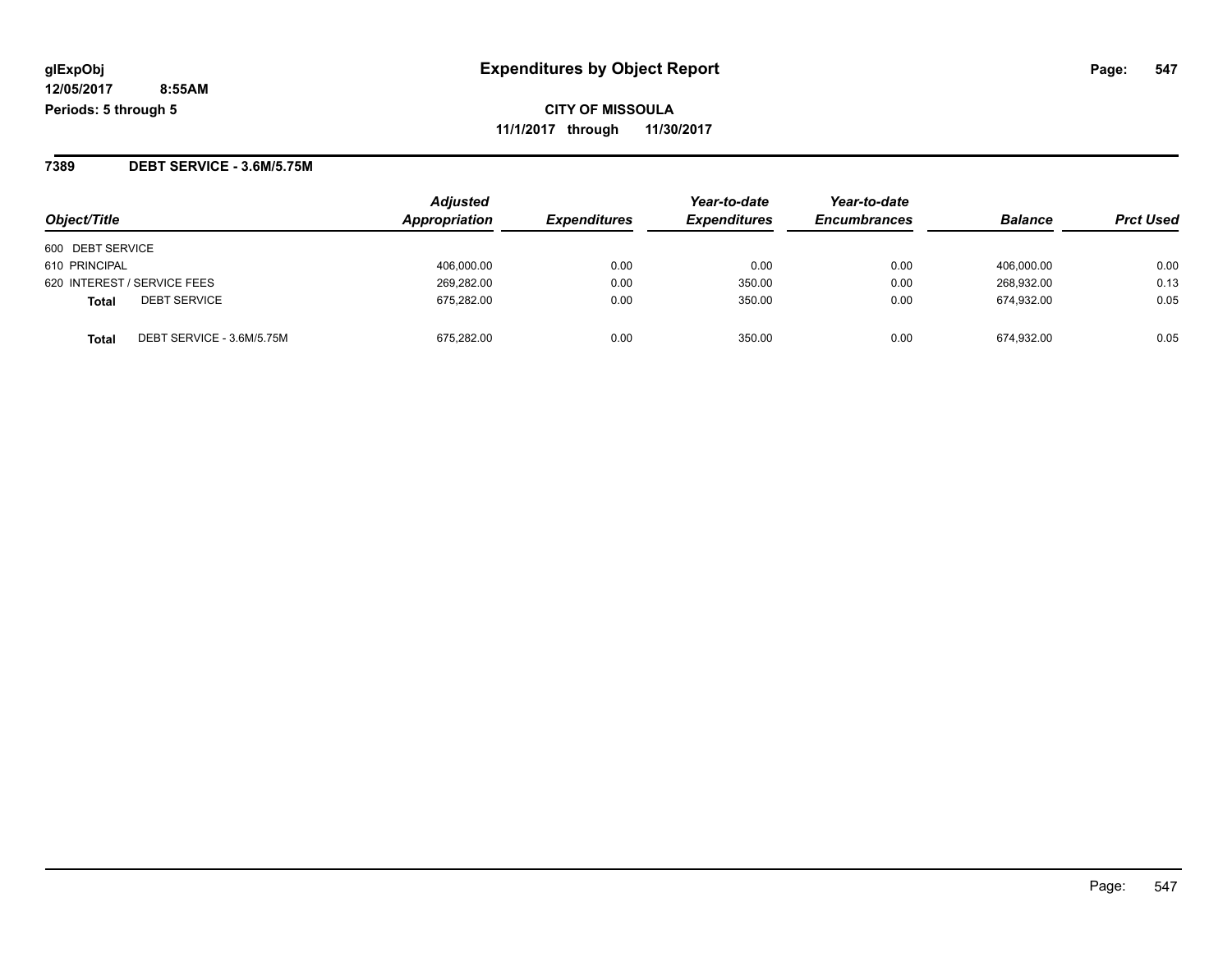**CITY OF MISSOULA 11/1/2017 through 11/30/2017**

**7389 DEBT SERVICE - 3.6M/5.75M**

| Object/Title                              | <b>Adjusted</b><br>Appropriation | <b>Expenditures</b> | Year-to-date<br><b>Expenditures</b> | Year-to-date<br><b>Encumbrances</b> | <b>Balance</b> | <b>Prct Used</b> |
|-------------------------------------------|----------------------------------|---------------------|-------------------------------------|-------------------------------------|----------------|------------------|
| 600 DEBT SERVICE                          |                                  |                     |                                     |                                     |                |                  |
| 610 PRINCIPAL                             | 406,000.00                       | 0.00                | 0.00                                | 0.00                                | 406,000.00     | 0.00             |
| 620 INTEREST / SERVICE FEES               | 269,282.00                       | 0.00                | 350.00                              | 0.00                                | 268,932.00     | 0.13             |
| <b>DEBT SERVICE</b><br><b>Total</b>       | 675,282.00                       | 0.00                | 350.00                              | 0.00                                | 674,932.00     | 0.05             |
| DEBT SERVICE - 3.6M/5.75M<br><b>Total</b> | 675.282.00                       | 0.00                | 350.00                              | 0.00                                | 674.932.00     | 0.05             |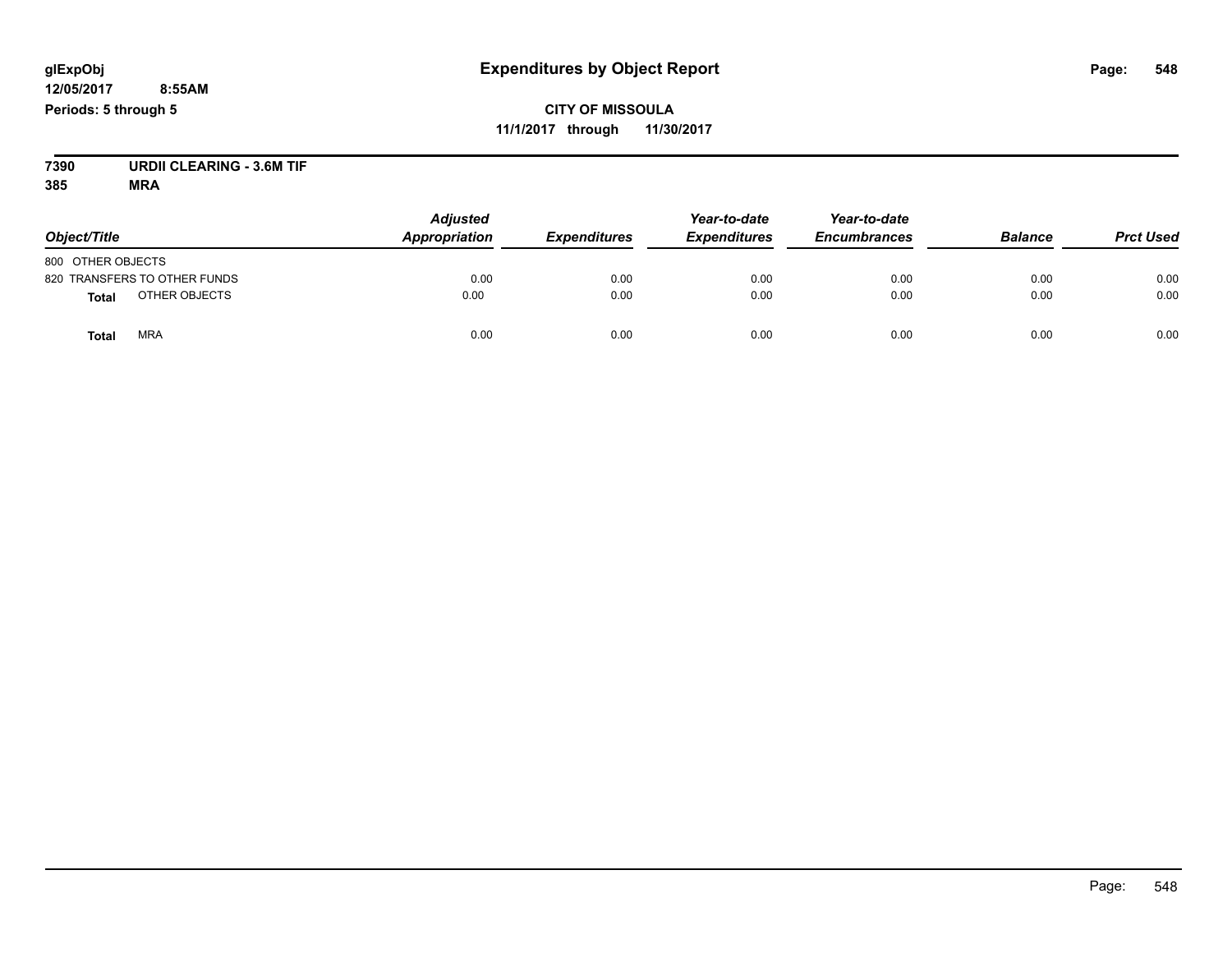**CITY OF MISSOULA 11/1/2017 through 11/30/2017**

**7390 URDII CLEARING - 3.6M TIF**

| Object/Title                  | <b>Adjusted</b><br>Appropriation | <b>Expenditures</b> | Year-to-date<br><b>Expenditures</b> | Year-to-date<br><b>Encumbrances</b> | <b>Balance</b> | <b>Prct Used</b> |
|-------------------------------|----------------------------------|---------------------|-------------------------------------|-------------------------------------|----------------|------------------|
| 800 OTHER OBJECTS             |                                  |                     |                                     |                                     |                |                  |
| 820 TRANSFERS TO OTHER FUNDS  | 0.00                             | 0.00                | 0.00                                | 0.00                                | 0.00           | 0.00             |
| OTHER OBJECTS<br><b>Total</b> | 0.00                             | 0.00                | 0.00                                | 0.00                                | 0.00           | 0.00             |
| <b>MRA</b><br><b>Total</b>    | 0.00                             | 0.00                | 0.00                                | 0.00                                | 0.00           | 0.00             |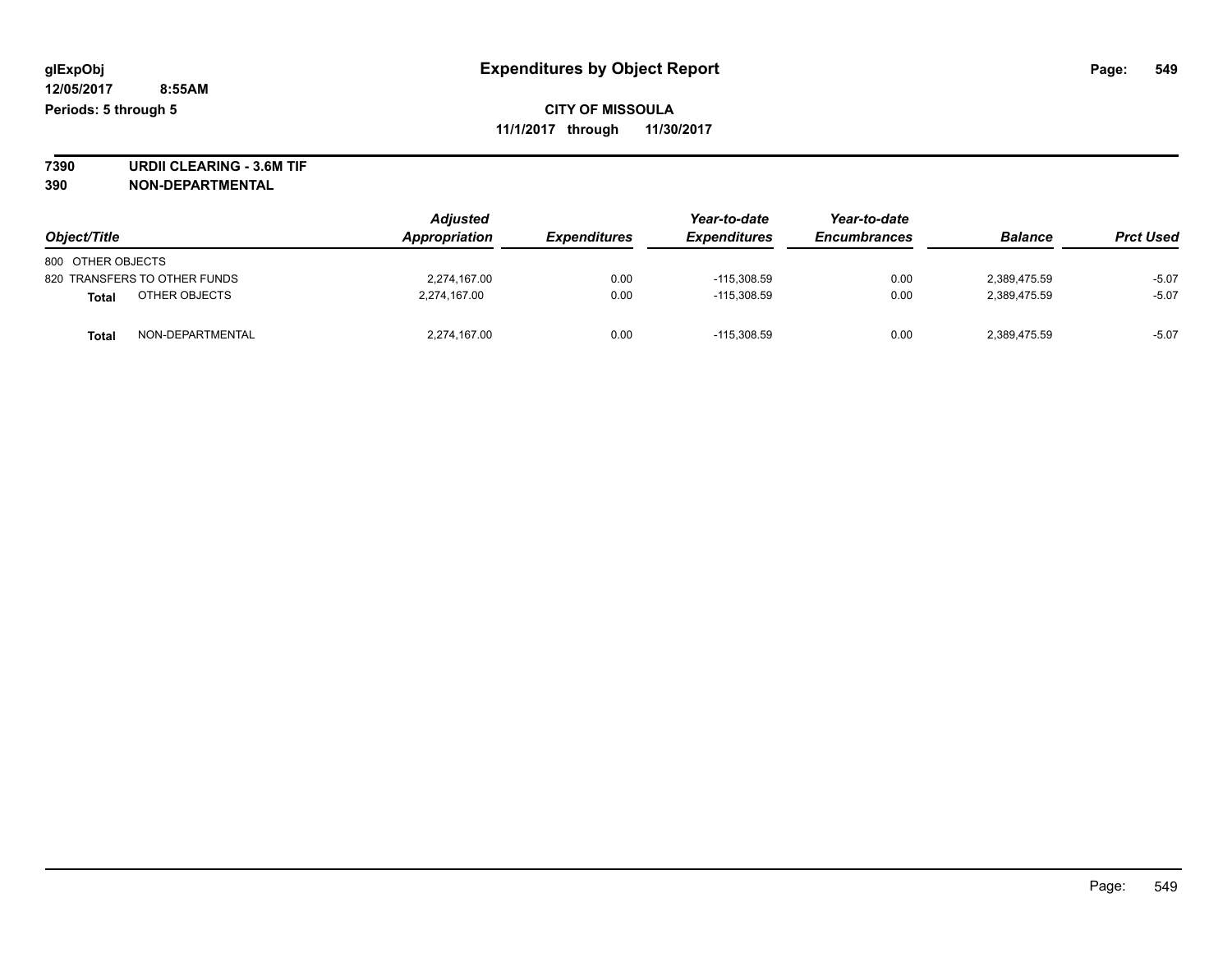**7390 URDII CLEARING - 3.6M TIF 390 NON-DEPARTMENTAL**

| Object/Title                     | <b>Adjusted</b><br>Appropriation | <b>Expenditures</b> | Year-to-date<br><b>Expenditures</b> | Year-to-date<br><b>Encumbrances</b> | <b>Balance</b> | <b>Prct Used</b> |
|----------------------------------|----------------------------------|---------------------|-------------------------------------|-------------------------------------|----------------|------------------|
| 800 OTHER OBJECTS                |                                  |                     |                                     |                                     |                |                  |
| 820 TRANSFERS TO OTHER FUNDS     | 2,274,167.00                     | 0.00                | $-115,308.59$                       | 0.00                                | 2,389,475.59   | $-5.07$          |
| OTHER OBJECTS<br><b>Total</b>    | 2,274,167.00                     | 0.00                | $-115.308.59$                       | 0.00                                | 2.389.475.59   | $-5.07$          |
| NON-DEPARTMENTAL<br><b>Total</b> | 2,274,167.00                     | 0.00                | $-115,308.59$                       | 0.00                                | 2,389,475.59   | $-5.07$          |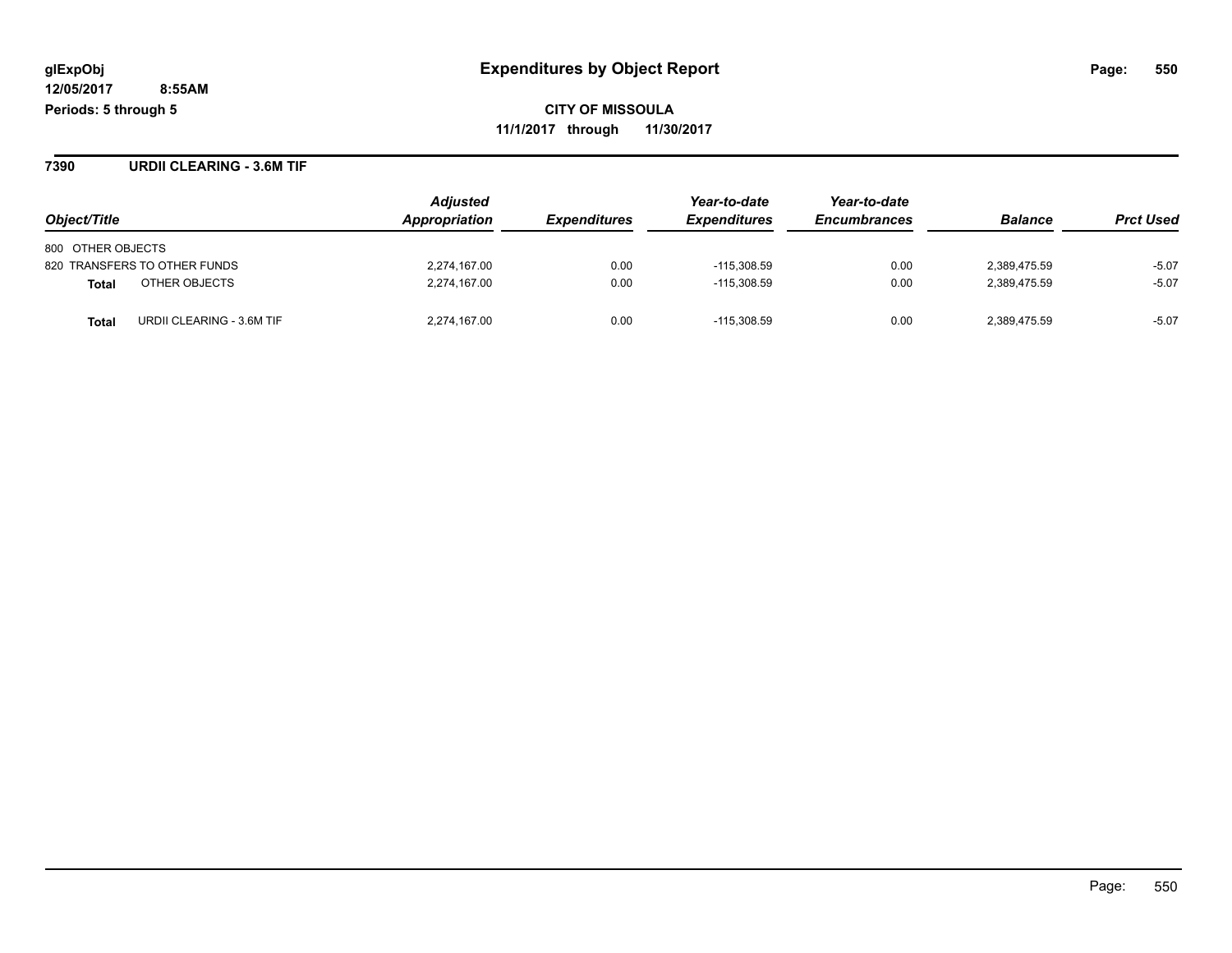**CITY OF MISSOULA 11/1/2017 through 11/30/2017**

**7390 URDII CLEARING - 3.6M TIF**

|                                    | <b>Adjusted</b>      |                     | Year-to-date        | Year-to-date        |                |                  |
|------------------------------------|----------------------|---------------------|---------------------|---------------------|----------------|------------------|
| Object/Title                       | <b>Appropriation</b> | <b>Expenditures</b> | <b>Expenditures</b> | <b>Encumbrances</b> | <b>Balance</b> | <b>Prct Used</b> |
| 800 OTHER OBJECTS                  |                      |                     |                     |                     |                |                  |
| 820 TRANSFERS TO OTHER FUNDS       | 2,274,167.00         | 0.00                | $-115,308.59$       | 0.00                | 2,389,475.59   | $-5.07$          |
| OTHER OBJECTS<br>Total             | 2,274,167.00         | 0.00                | $-115.308.59$       | 0.00                | 2,389,475.59   | $-5.07$          |
| URDII CLEARING - 3.6M TIF<br>Total | 2,274,167.00         | 0.00                | $-115.308.59$       | 0.00                | 2,389,475.59   | $-5.07$          |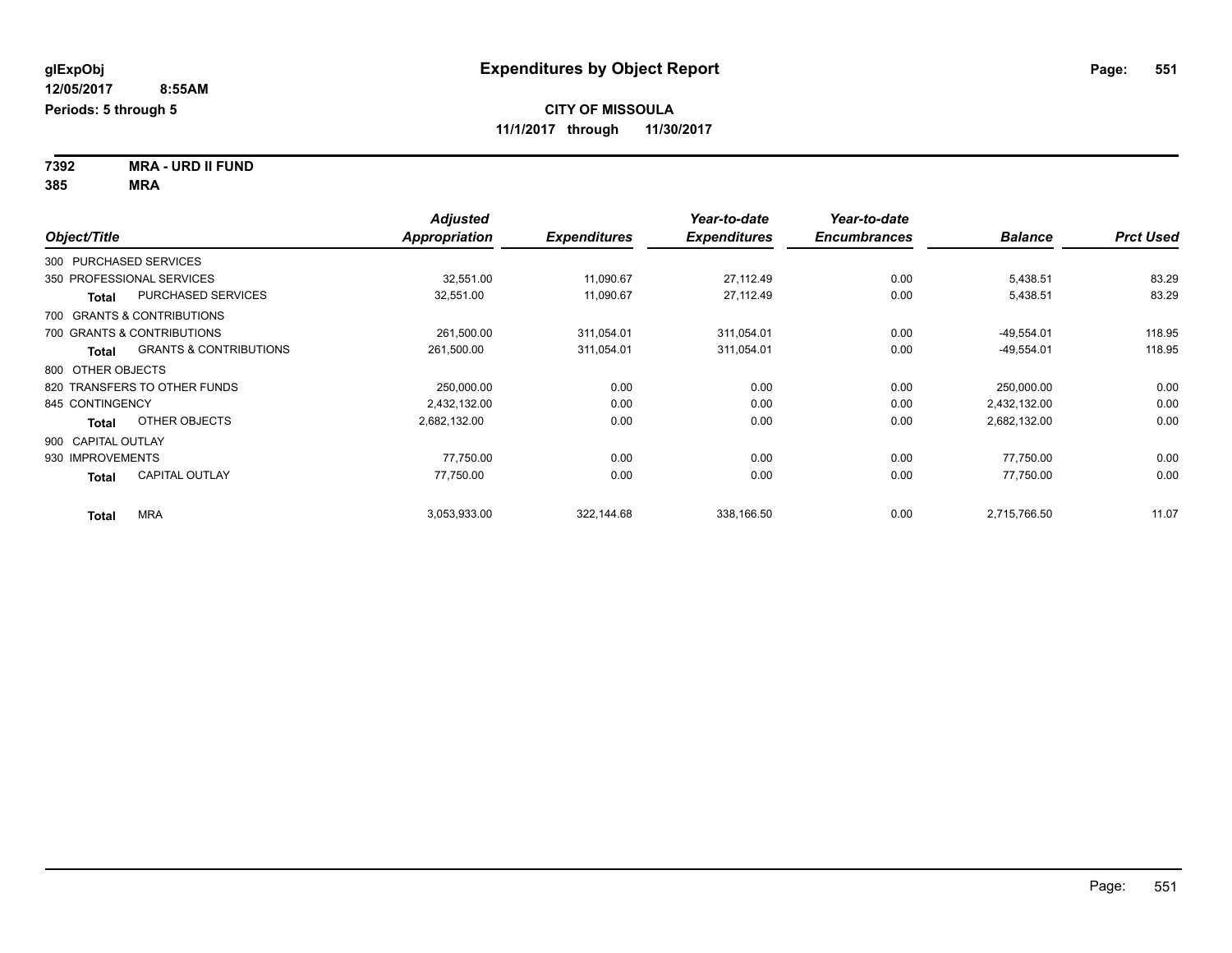**7392 MRA - URD II FUND 385 MRA**

| Object/Title                                      | <b>Adjusted</b><br><b>Appropriation</b> | <b>Expenditures</b> | Year-to-date<br><b>Expenditures</b> | Year-to-date<br><b>Encumbrances</b> | <b>Balance</b> | <b>Prct Used</b> |
|---------------------------------------------------|-----------------------------------------|---------------------|-------------------------------------|-------------------------------------|----------------|------------------|
| 300 PURCHASED SERVICES                            |                                         |                     |                                     |                                     |                |                  |
| 350 PROFESSIONAL SERVICES                         | 32,551.00                               | 11,090.67           | 27,112.49                           | 0.00                                | 5,438.51       | 83.29            |
| <b>PURCHASED SERVICES</b><br><b>Total</b>         | 32,551.00                               | 11,090.67           | 27,112.49                           | 0.00                                | 5,438.51       | 83.29            |
| 700 GRANTS & CONTRIBUTIONS                        |                                         |                     |                                     |                                     |                |                  |
| 700 GRANTS & CONTRIBUTIONS                        | 261,500.00                              | 311,054.01          | 311,054.01                          | 0.00                                | $-49,554.01$   | 118.95           |
| <b>GRANTS &amp; CONTRIBUTIONS</b><br><b>Total</b> | 261,500.00                              | 311,054.01          | 311,054.01                          | 0.00                                | $-49,554.01$   | 118.95           |
| 800 OTHER OBJECTS                                 |                                         |                     |                                     |                                     |                |                  |
| 820 TRANSFERS TO OTHER FUNDS                      | 250,000.00                              | 0.00                | 0.00                                | 0.00                                | 250,000.00     | 0.00             |
| 845 CONTINGENCY                                   | 2.432.132.00                            | 0.00                | 0.00                                | 0.00                                | 2.432.132.00   | 0.00             |
| OTHER OBJECTS<br><b>Total</b>                     | 2,682,132.00                            | 0.00                | 0.00                                | 0.00                                | 2,682,132.00   | 0.00             |
| 900 CAPITAL OUTLAY                                |                                         |                     |                                     |                                     |                |                  |
| 930 IMPROVEMENTS                                  | 77,750.00                               | 0.00                | 0.00                                | 0.00                                | 77,750.00      | 0.00             |
| <b>CAPITAL OUTLAY</b><br><b>Total</b>             | 77,750.00                               | 0.00                | 0.00                                | 0.00                                | 77,750.00      | 0.00             |
| <b>MRA</b><br><b>Total</b>                        | 3,053,933.00                            | 322,144.68          | 338,166.50                          | 0.00                                | 2,715,766.50   | 11.07            |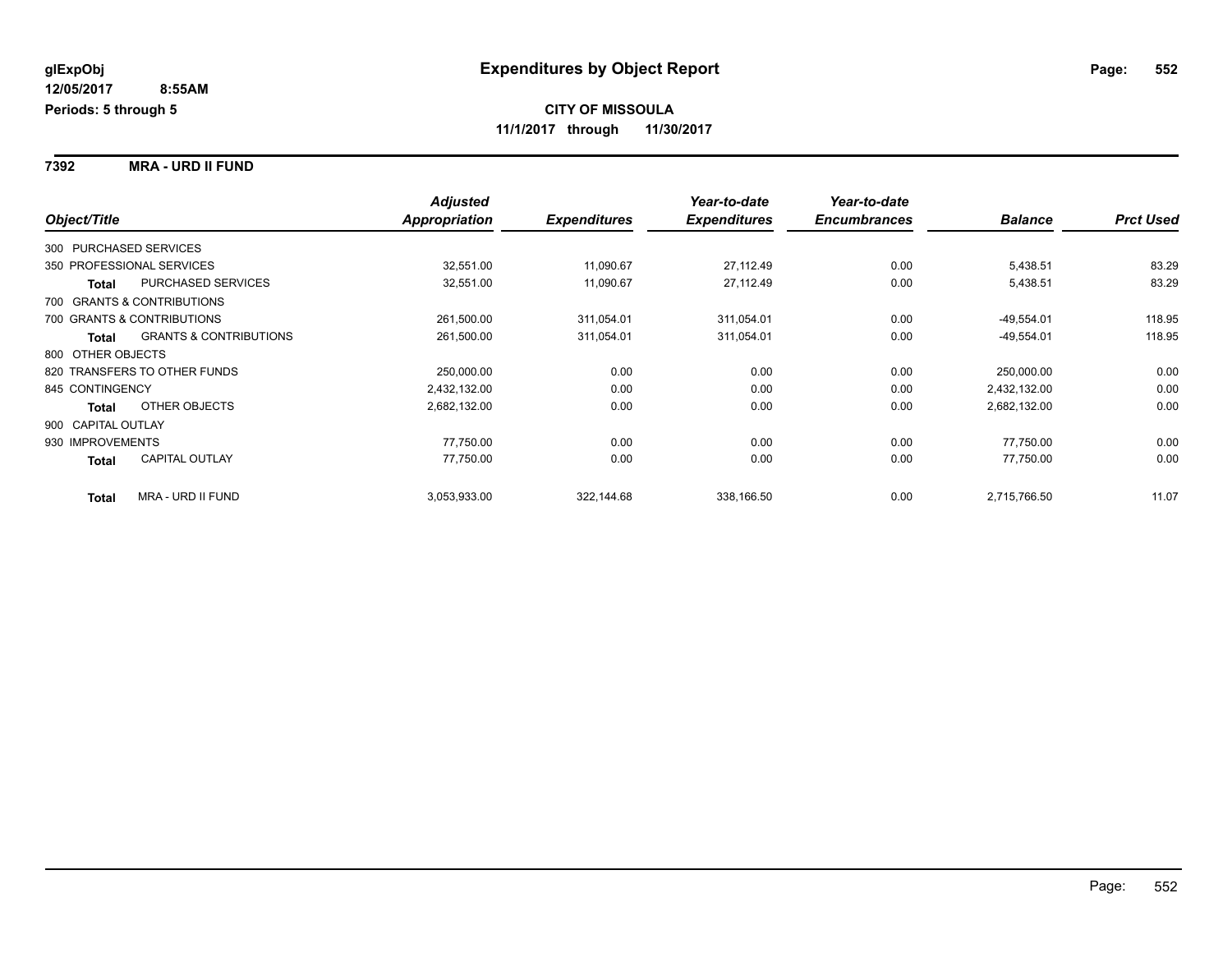**7392 MRA - URD II FUND**

|                        |                                   | <b>Adjusted</b> |                     | Year-to-date        | Year-to-date        |                |                  |
|------------------------|-----------------------------------|-----------------|---------------------|---------------------|---------------------|----------------|------------------|
| Object/Title           |                                   | Appropriation   | <b>Expenditures</b> | <b>Expenditures</b> | <b>Encumbrances</b> | <b>Balance</b> | <b>Prct Used</b> |
| 300 PURCHASED SERVICES |                                   |                 |                     |                     |                     |                |                  |
|                        | 350 PROFESSIONAL SERVICES         | 32,551.00       | 11,090.67           | 27,112.49           | 0.00                | 5,438.51       | 83.29            |
| Total                  | <b>PURCHASED SERVICES</b>         | 32,551.00       | 11,090.67           | 27,112.49           | 0.00                | 5,438.51       | 83.29            |
|                        | 700 GRANTS & CONTRIBUTIONS        |                 |                     |                     |                     |                |                  |
|                        | 700 GRANTS & CONTRIBUTIONS        | 261,500.00      | 311,054.01          | 311,054.01          | 0.00                | $-49,554.01$   | 118.95           |
| <b>Total</b>           | <b>GRANTS &amp; CONTRIBUTIONS</b> | 261,500.00      | 311,054.01          | 311,054.01          | 0.00                | $-49,554.01$   | 118.95           |
| 800 OTHER OBJECTS      |                                   |                 |                     |                     |                     |                |                  |
|                        | 820 TRANSFERS TO OTHER FUNDS      | 250,000.00      | 0.00                | 0.00                | 0.00                | 250,000.00     | 0.00             |
| 845 CONTINGENCY        |                                   | 2,432,132.00    | 0.00                | 0.00                | 0.00                | 2,432,132.00   | 0.00             |
| <b>Total</b>           | OTHER OBJECTS                     | 2,682,132.00    | 0.00                | 0.00                | 0.00                | 2,682,132.00   | 0.00             |
| 900 CAPITAL OUTLAY     |                                   |                 |                     |                     |                     |                |                  |
| 930 IMPROVEMENTS       |                                   | 77,750.00       | 0.00                | 0.00                | 0.00                | 77,750.00      | 0.00             |
| Total                  | <b>CAPITAL OUTLAY</b>             | 77,750.00       | 0.00                | 0.00                | 0.00                | 77,750.00      | 0.00             |
| <b>Total</b>           | <b>MRA - URD II FUND</b>          | 3,053,933.00    | 322,144.68          | 338,166.50          | 0.00                | 2,715,766.50   | 11.07            |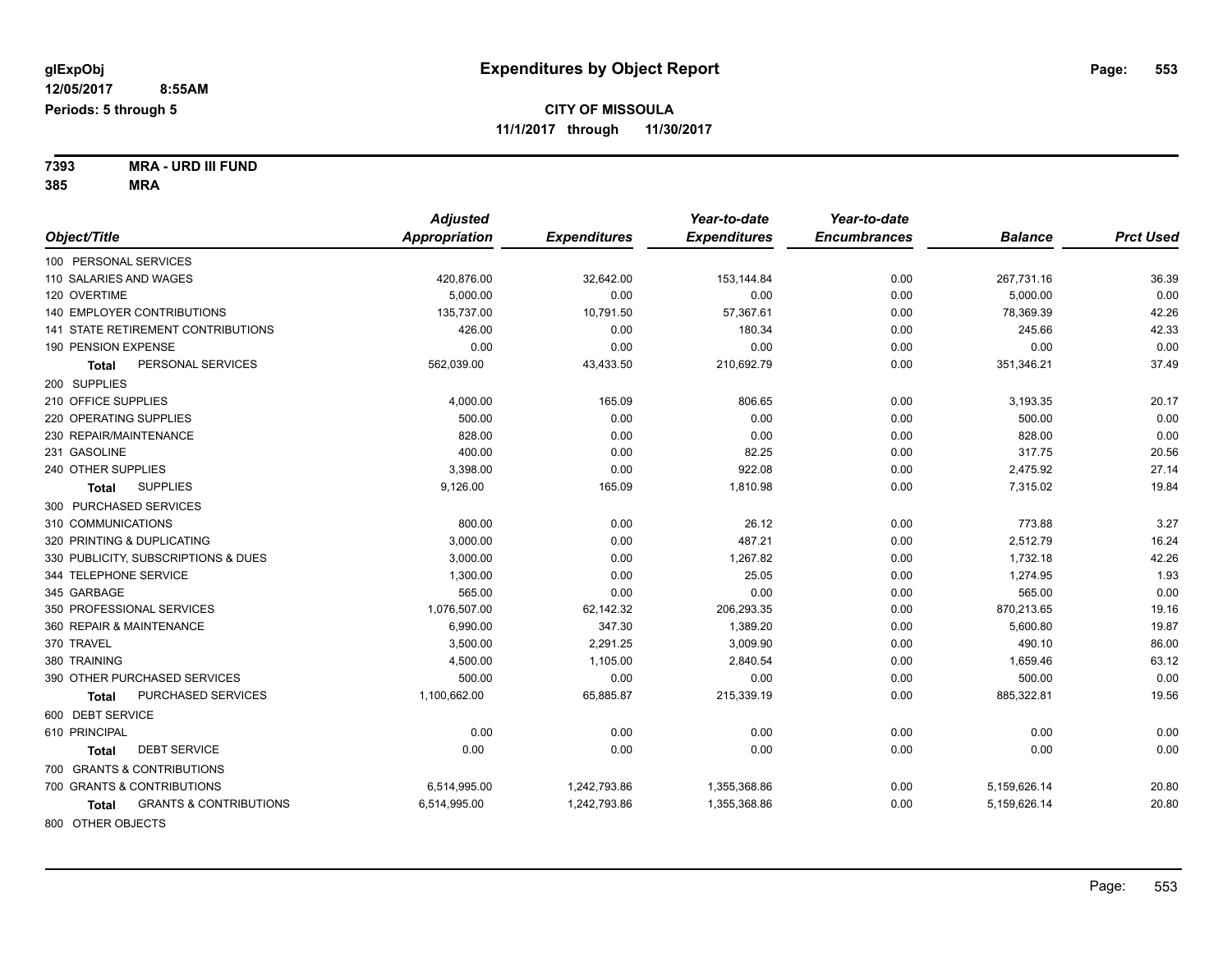**7393 MRA - URD III FUND 385 MRA**

|                                            | <b>Adjusted</b> |                     | Year-to-date        | Year-to-date        |                |                  |
|--------------------------------------------|-----------------|---------------------|---------------------|---------------------|----------------|------------------|
| Object/Title                               | Appropriation   | <b>Expenditures</b> | <b>Expenditures</b> | <b>Encumbrances</b> | <b>Balance</b> | <b>Prct Used</b> |
| 100 PERSONAL SERVICES                      |                 |                     |                     |                     |                |                  |
| 110 SALARIES AND WAGES                     | 420,876.00      | 32,642.00           | 153,144.84          | 0.00                | 267,731.16     | 36.39            |
| 120 OVERTIME                               | 5.000.00        | 0.00                | 0.00                | 0.00                | 5,000.00       | 0.00             |
| 140 EMPLOYER CONTRIBUTIONS                 | 135,737.00      | 10,791.50           | 57,367.61           | 0.00                | 78,369.39      | 42.26            |
| 141 STATE RETIREMENT CONTRIBUTIONS         | 426.00          | 0.00                | 180.34              | 0.00                | 245.66         | 42.33            |
| 190 PENSION EXPENSE                        | 0.00            | 0.00                | 0.00                | 0.00                | 0.00           | 0.00             |
| PERSONAL SERVICES<br>Total                 | 562,039.00      | 43,433.50           | 210,692.79          | 0.00                | 351,346.21     | 37.49            |
| 200 SUPPLIES                               |                 |                     |                     |                     |                |                  |
| 210 OFFICE SUPPLIES                        | 4,000.00        | 165.09              | 806.65              | 0.00                | 3,193.35       | 20.17            |
| 220 OPERATING SUPPLIES                     | 500.00          | 0.00                | 0.00                | 0.00                | 500.00         | 0.00             |
| 230 REPAIR/MAINTENANCE                     | 828.00          | 0.00                | 0.00                | 0.00                | 828.00         | 0.00             |
| 231 GASOLINE                               | 400.00          | 0.00                | 82.25               | 0.00                | 317.75         | 20.56            |
| 240 OTHER SUPPLIES                         | 3,398.00        | 0.00                | 922.08              | 0.00                | 2,475.92       | 27.14            |
| <b>SUPPLIES</b><br>Total                   | 9,126.00        | 165.09              | 1,810.98            | 0.00                | 7,315.02       | 19.84            |
| 300 PURCHASED SERVICES                     |                 |                     |                     |                     |                |                  |
| 310 COMMUNICATIONS                         | 800.00          | 0.00                | 26.12               | 0.00                | 773.88         | 3.27             |
| 320 PRINTING & DUPLICATING                 | 3,000.00        | 0.00                | 487.21              | 0.00                | 2,512.79       | 16.24            |
| 330 PUBLICITY, SUBSCRIPTIONS & DUES        | 3,000.00        | 0.00                | 1,267.82            | 0.00                | 1,732.18       | 42.26            |
| 344 TELEPHONE SERVICE                      | 1,300.00        | 0.00                | 25.05               | 0.00                | 1,274.95       | 1.93             |
| 345 GARBAGE                                | 565.00          | 0.00                | 0.00                | 0.00                | 565.00         | 0.00             |
| 350 PROFESSIONAL SERVICES                  | 1,076,507.00    | 62,142.32           | 206,293.35          | 0.00                | 870,213.65     | 19.16            |
| 360 REPAIR & MAINTENANCE                   | 6,990.00        | 347.30              | 1,389.20            | 0.00                | 5,600.80       | 19.87            |
| 370 TRAVEL                                 | 3,500.00        | 2,291.25            | 3,009.90            | 0.00                | 490.10         | 86.00            |
| 380 TRAINING                               | 4,500.00        | 1,105.00            | 2,840.54            | 0.00                | 1,659.46       | 63.12            |
| 390 OTHER PURCHASED SERVICES               | 500.00          | 0.00                | 0.00                | 0.00                | 500.00         | 0.00             |
| PURCHASED SERVICES<br><b>Total</b>         | 1,100,662.00    | 65,885.87           | 215,339.19          | 0.00                | 885,322.81     | 19.56            |
| 600 DEBT SERVICE                           |                 |                     |                     |                     |                |                  |
| 610 PRINCIPAL                              | 0.00            | 0.00                | 0.00                | 0.00                | 0.00           | 0.00             |
| <b>DEBT SERVICE</b><br>Total               | 0.00            | 0.00                | 0.00                | 0.00                | 0.00           | 0.00             |
| 700 GRANTS & CONTRIBUTIONS                 |                 |                     |                     |                     |                |                  |
| 700 GRANTS & CONTRIBUTIONS                 | 6,514,995.00    | 1,242,793.86        | 1,355,368.86        | 0.00                | 5,159,626.14   | 20.80            |
| <b>GRANTS &amp; CONTRIBUTIONS</b><br>Total | 6,514,995.00    | 1,242,793.86        | 1,355,368.86        | 0.00                | 5,159,626.14   | 20.80            |
| 800 OTHER OBJECTS                          |                 |                     |                     |                     |                |                  |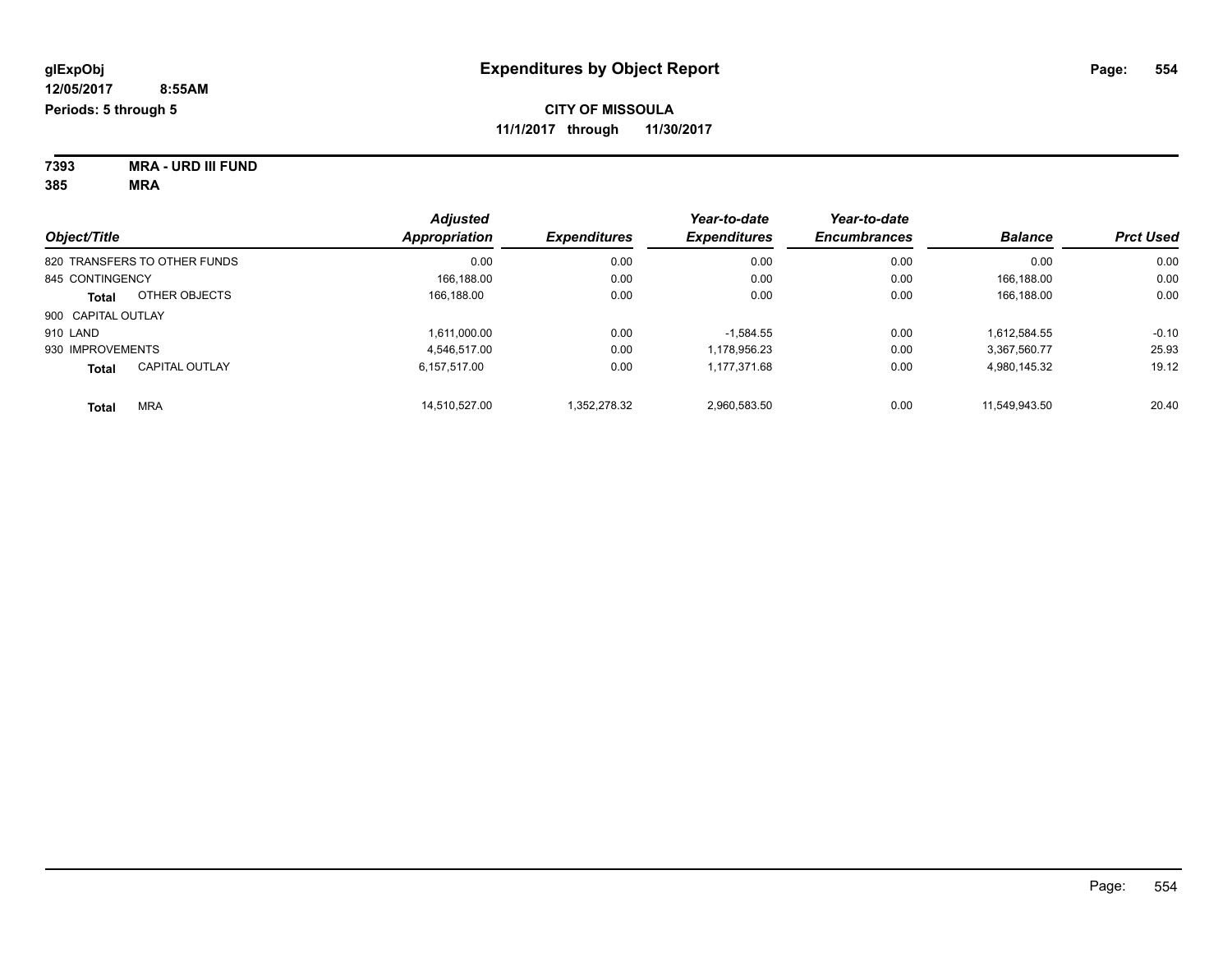| 7393 | <b>MRA - URD III FUND</b> |
|------|---------------------------|
| 385  | MRA                       |

|                    |                              | <b>Adjusted</b> | Year-to-date        | Year-to-date        |                     |                |                  |
|--------------------|------------------------------|-----------------|---------------------|---------------------|---------------------|----------------|------------------|
| Object/Title       |                              | Appropriation   | <b>Expenditures</b> | <b>Expenditures</b> | <b>Encumbrances</b> | <b>Balance</b> | <b>Prct Used</b> |
|                    | 820 TRANSFERS TO OTHER FUNDS | 0.00            | 0.00                | 0.00                | 0.00                | 0.00           | 0.00             |
| 845 CONTINGENCY    |                              | 166.188.00      | 0.00                | 0.00                | 0.00                | 166.188.00     | 0.00             |
| Total              | OTHER OBJECTS                | 166.188.00      | 0.00                | 0.00                | 0.00                | 166,188.00     | 0.00             |
| 900 CAPITAL OUTLAY |                              |                 |                     |                     |                     |                |                  |
| 910 LAND           |                              | 1,611,000.00    | 0.00                | $-1.584.55$         | 0.00                | 1.612.584.55   | $-0.10$          |
| 930 IMPROVEMENTS   |                              | 4.546.517.00    | 0.00                | 1.178.956.23        | 0.00                | 3.367.560.77   | 25.93            |
| Total              | <b>CAPITAL OUTLAY</b>        | 6.157.517.00    | 0.00                | 1,177,371.68        | 0.00                | 4,980,145.32   | 19.12            |
| <b>Total</b>       | <b>MRA</b>                   | 14.510.527.00   | 1.352.278.32        | 2.960.583.50        | 0.00                | 11.549.943.50  | 20.40            |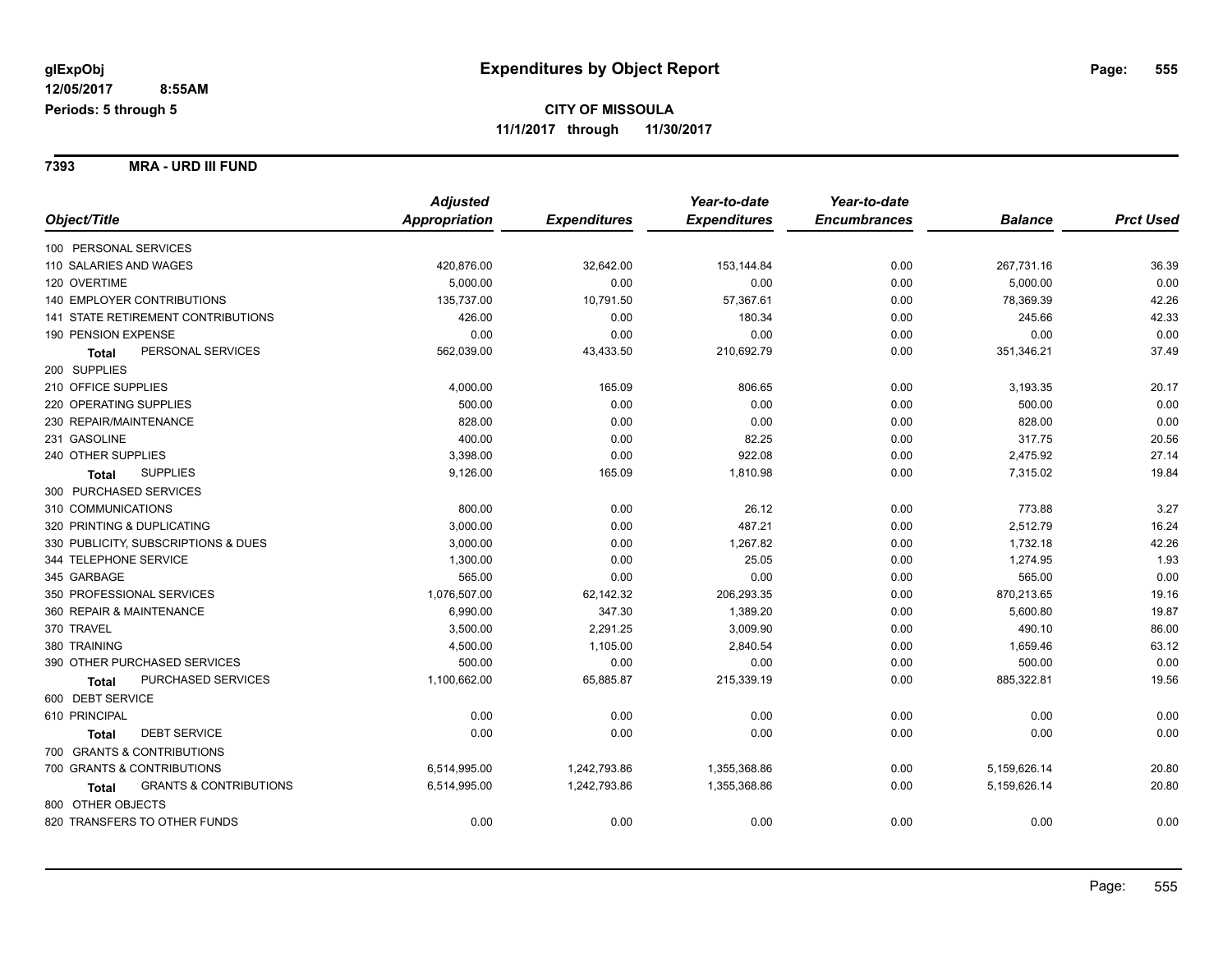**7393 MRA - URD III FUND**

|                                            | <b>Adjusted</b> |                     | Year-to-date        | Year-to-date        |                |                  |
|--------------------------------------------|-----------------|---------------------|---------------------|---------------------|----------------|------------------|
| Object/Title                               | Appropriation   | <b>Expenditures</b> | <b>Expenditures</b> | <b>Encumbrances</b> | <b>Balance</b> | <b>Prct Used</b> |
| 100 PERSONAL SERVICES                      |                 |                     |                     |                     |                |                  |
| 110 SALARIES AND WAGES                     | 420,876.00      | 32,642.00           | 153,144.84          | 0.00                | 267,731.16     | 36.39            |
| 120 OVERTIME                               | 5.000.00        | 0.00                | 0.00                | 0.00                | 5,000.00       | 0.00             |
| 140 EMPLOYER CONTRIBUTIONS                 | 135,737.00      | 10,791.50           | 57,367.61           | 0.00                | 78,369.39      | 42.26            |
| <b>141 STATE RETIREMENT CONTRIBUTIONS</b>  | 426.00          | 0.00                | 180.34              | 0.00                | 245.66         | 42.33            |
| 190 PENSION EXPENSE                        | 0.00            | 0.00                | 0.00                | 0.00                | 0.00           | 0.00             |
| PERSONAL SERVICES<br><b>Total</b>          | 562,039.00      | 43,433.50           | 210,692.79          | 0.00                | 351,346.21     | 37.49            |
| 200 SUPPLIES                               |                 |                     |                     |                     |                |                  |
| 210 OFFICE SUPPLIES                        | 4,000.00        | 165.09              | 806.65              | 0.00                | 3,193.35       | 20.17            |
| 220 OPERATING SUPPLIES                     | 500.00          | 0.00                | 0.00                | 0.00                | 500.00         | 0.00             |
| 230 REPAIR/MAINTENANCE                     | 828.00          | 0.00                | 0.00                | 0.00                | 828.00         | 0.00             |
| 231 GASOLINE                               | 400.00          | 0.00                | 82.25               | 0.00                | 317.75         | 20.56            |
| 240 OTHER SUPPLIES                         | 3,398.00        | 0.00                | 922.08              | 0.00                | 2,475.92       | 27.14            |
| <b>SUPPLIES</b><br>Total                   | 9,126.00        | 165.09              | 1,810.98            | 0.00                | 7,315.02       | 19.84            |
| 300 PURCHASED SERVICES                     |                 |                     |                     |                     |                |                  |
| 310 COMMUNICATIONS                         | 800.00          | 0.00                | 26.12               | 0.00                | 773.88         | 3.27             |
| 320 PRINTING & DUPLICATING                 | 3,000.00        | 0.00                | 487.21              | 0.00                | 2,512.79       | 16.24            |
| 330 PUBLICITY, SUBSCRIPTIONS & DUES        | 3,000.00        | 0.00                | 1,267.82            | 0.00                | 1,732.18       | 42.26            |
| 344 TELEPHONE SERVICE                      | 1,300.00        | 0.00                | 25.05               | 0.00                | 1,274.95       | 1.93             |
| 345 GARBAGE                                | 565.00          | 0.00                | 0.00                | 0.00                | 565.00         | 0.00             |
| 350 PROFESSIONAL SERVICES                  | 1,076,507.00    | 62,142.32           | 206,293.35          | 0.00                | 870,213.65     | 19.16            |
| 360 REPAIR & MAINTENANCE                   | 6,990.00        | 347.30              | 1,389.20            | 0.00                | 5,600.80       | 19.87            |
| 370 TRAVEL                                 | 3,500.00        | 2,291.25            | 3,009.90            | 0.00                | 490.10         | 86.00            |
| 380 TRAINING                               | 4,500.00        | 1,105.00            | 2,840.54            | 0.00                | 1,659.46       | 63.12            |
| 390 OTHER PURCHASED SERVICES               | 500.00          | 0.00                | 0.00                | 0.00                | 500.00         | 0.00             |
| PURCHASED SERVICES<br>Total                | 1,100,662.00    | 65,885.87           | 215,339.19          | 0.00                | 885,322.81     | 19.56            |
| 600 DEBT SERVICE                           |                 |                     |                     |                     |                |                  |
| 610 PRINCIPAL                              | 0.00            | 0.00                | 0.00                | 0.00                | 0.00           | 0.00             |
| <b>DEBT SERVICE</b><br>Total               | 0.00            | 0.00                | 0.00                | 0.00                | 0.00           | 0.00             |
| 700 GRANTS & CONTRIBUTIONS                 |                 |                     |                     |                     |                |                  |
| 700 GRANTS & CONTRIBUTIONS                 | 6,514,995.00    | 1,242,793.86        | 1,355,368.86        | 0.00                | 5,159,626.14   | 20.80            |
| <b>GRANTS &amp; CONTRIBUTIONS</b><br>Total | 6,514,995.00    | 1,242,793.86        | 1,355,368.86        | 0.00                | 5,159,626.14   | 20.80            |
| 800 OTHER OBJECTS                          |                 |                     |                     |                     |                |                  |
| 820 TRANSFERS TO OTHER FUNDS               | 0.00            | 0.00                | 0.00                | 0.00                | 0.00           | 0.00             |
|                                            |                 |                     |                     |                     |                |                  |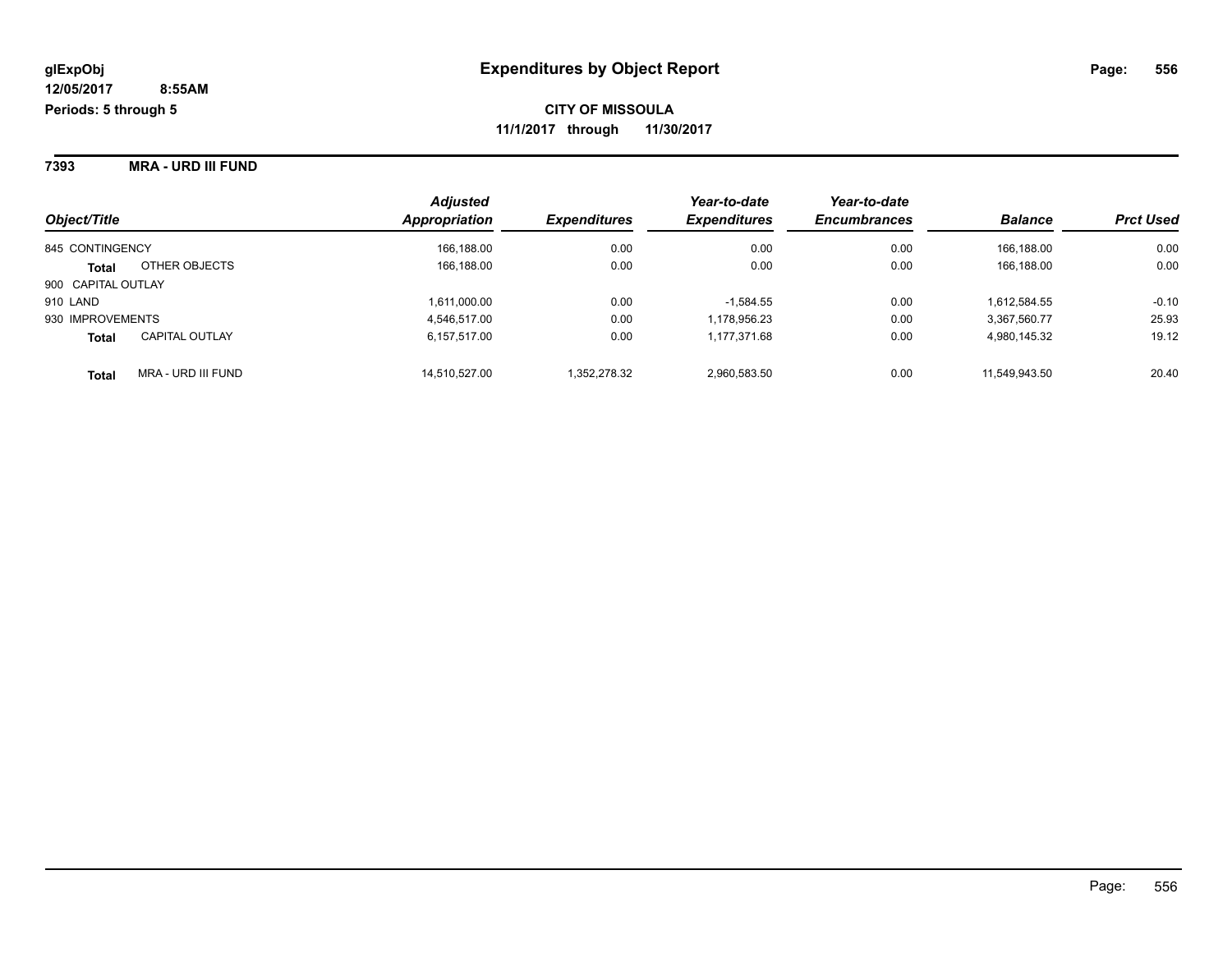**7393 MRA - URD III FUND**

| Object/Title       |                           | <b>Adjusted</b><br><b>Appropriation</b> | <b>Expenditures</b> | Year-to-date<br><b>Expenditures</b> | Year-to-date<br><b>Encumbrances</b> | <b>Balance</b> | <b>Prct Used</b> |
|--------------------|---------------------------|-----------------------------------------|---------------------|-------------------------------------|-------------------------------------|----------------|------------------|
| 845 CONTINGENCY    |                           | 166,188.00                              | 0.00                | 0.00                                | 0.00                                | 166.188.00     | 0.00             |
| <b>Total</b>       | OTHER OBJECTS             | 166,188.00                              | 0.00                | 0.00                                | 0.00                                | 166.188.00     | 0.00             |
| 900 CAPITAL OUTLAY |                           |                                         |                     |                                     |                                     |                |                  |
| 910 LAND           |                           | 1,611,000.00                            | 0.00                | $-1,584.55$                         | 0.00                                | 1,612,584.55   | $-0.10$          |
| 930 IMPROVEMENTS   |                           | 4,546,517.00                            | 0.00                | 1,178,956.23                        | 0.00                                | 3,367,560.77   | 25.93            |
| <b>Total</b>       | <b>CAPITAL OUTLAY</b>     | 6,157,517.00                            | 0.00                | 1,177,371.68                        | 0.00                                | 4,980,145.32   | 19.12            |
| <b>Total</b>       | <b>MRA - URD III FUND</b> | 14,510,527.00                           | 1,352,278.32        | 2,960,583.50                        | 0.00                                | 11,549,943.50  | 20.40            |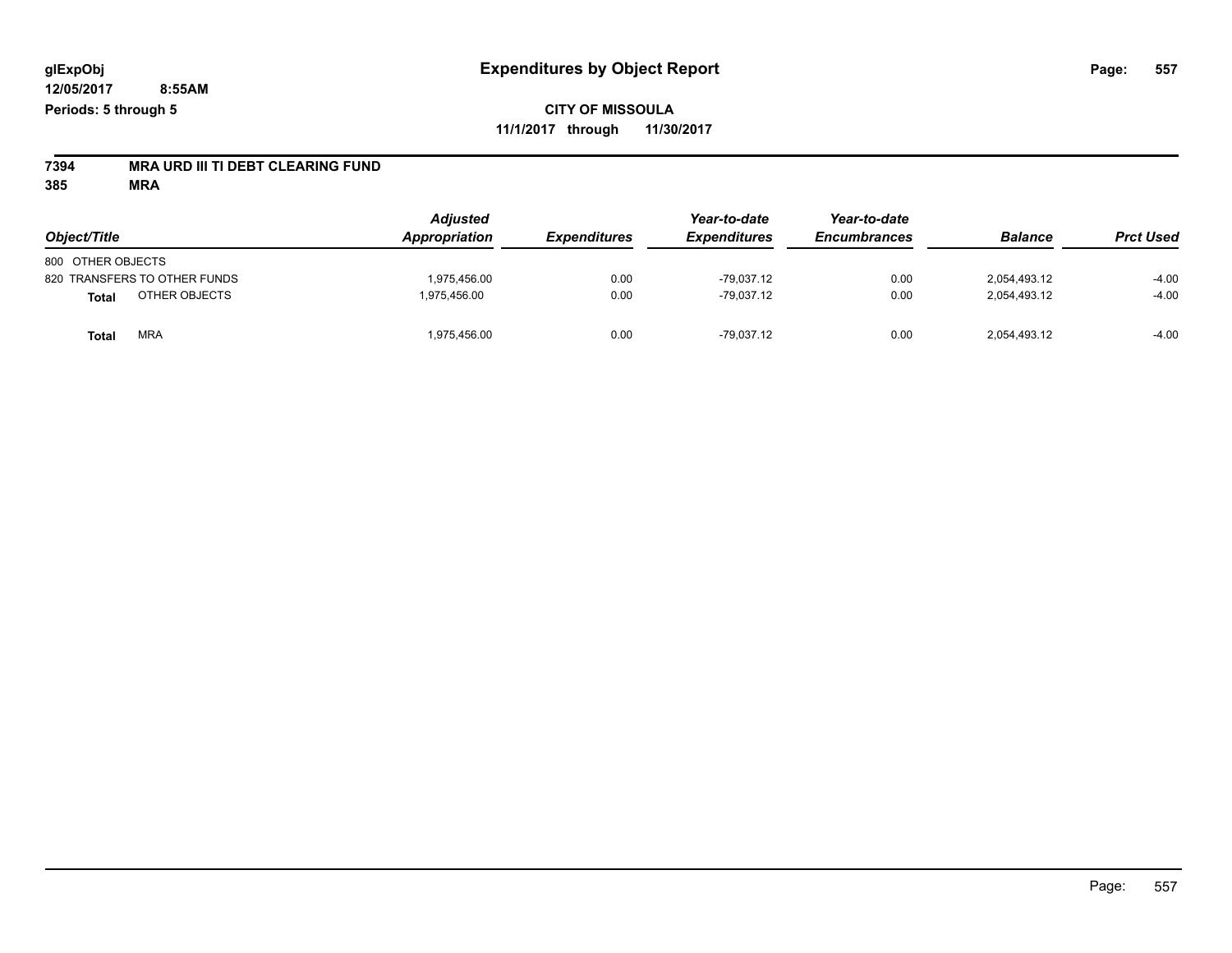# **7394 MRA URD III TI DEBT CLEARING FUND**

| Object/Title                  | <b>Adjusted</b><br><b>Appropriation</b> | <b>Expenditures</b> | Year-to-date<br><b>Expenditures</b> | Year-to-date<br><b>Encumbrances</b> | <b>Balance</b> | <b>Prct Used</b> |
|-------------------------------|-----------------------------------------|---------------------|-------------------------------------|-------------------------------------|----------------|------------------|
| 800 OTHER OBJECTS             |                                         |                     |                                     |                                     |                |                  |
| 820 TRANSFERS TO OTHER FUNDS  | 1.975.456.00                            | 0.00                | $-79.037.12$                        | 0.00                                | 2.054.493.12   | $-4.00$          |
| OTHER OBJECTS<br><b>Total</b> | 1.975.456.00                            | 0.00                | $-79,037.12$                        | 0.00                                | 2,054,493.12   | $-4.00$          |
| <b>MRA</b><br><b>Total</b>    | 975,456.00                              | 0.00                | $-79.037.12$                        | 0.00                                | 2,054,493.12   | $-4.00$          |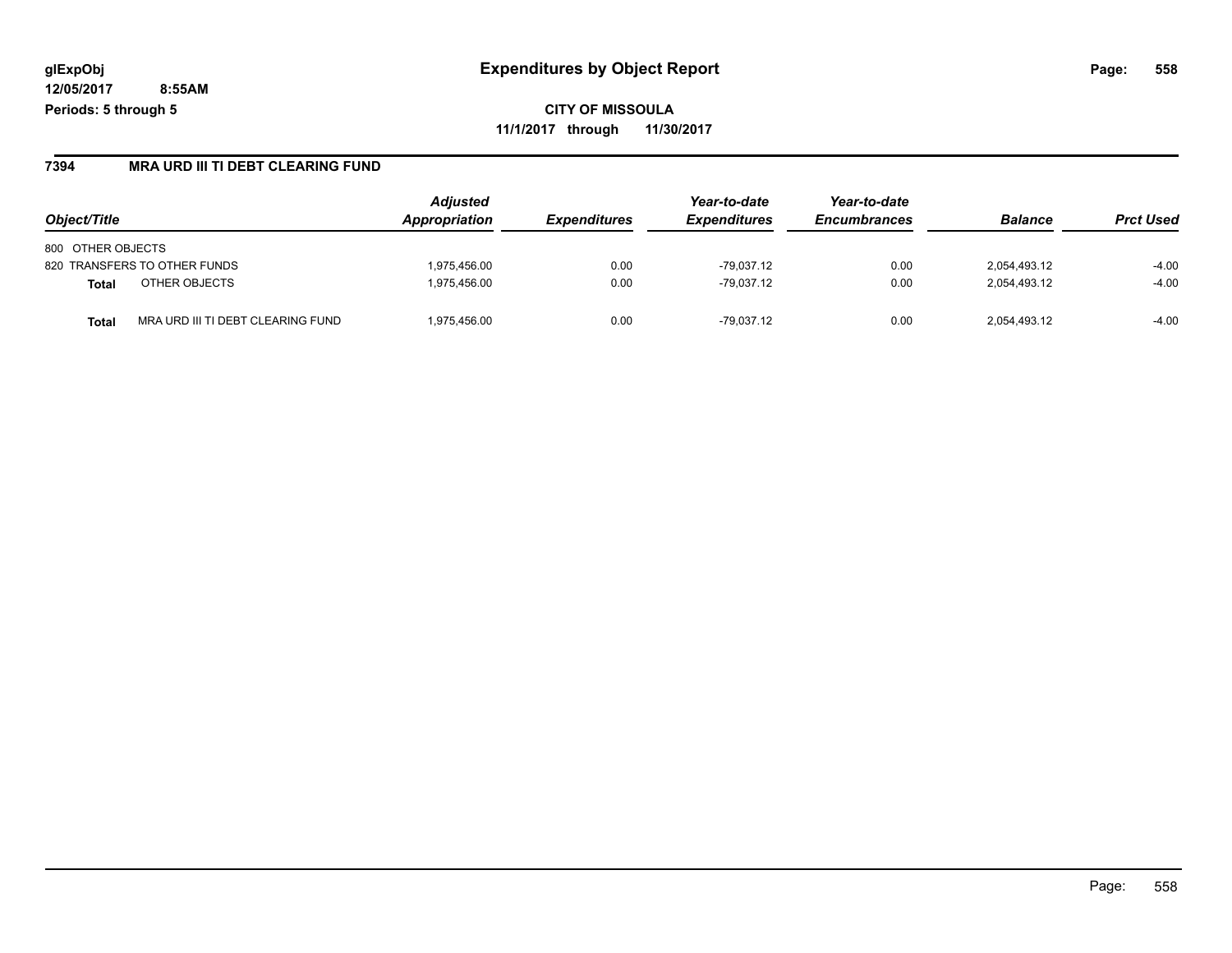**CITY OF MISSOULA 11/1/2017 through 11/30/2017**

### **7394 MRA URD III TI DEBT CLEARING FUND**

| Object/Title                               | <b>Adjusted</b><br>Appropriation | <b>Expenditures</b> | Year-to-date<br><b>Expenditures</b> | Year-to-date<br><b>Encumbrances</b> | <b>Balance</b> | <b>Prct Used</b> |
|--------------------------------------------|----------------------------------|---------------------|-------------------------------------|-------------------------------------|----------------|------------------|
| 800 OTHER OBJECTS                          |                                  |                     |                                     |                                     |                |                  |
| 820 TRANSFERS TO OTHER FUNDS               | 1.975.456.00                     | 0.00                | $-79.037.12$                        | 0.00                                | 2,054,493.12   | $-4.00$          |
| OTHER OBJECTS<br><b>Total</b>              | 1.975.456.00                     | 0.00                | $-79.037.12$                        | 0.00                                | 2,054,493.12   | $-4.00$          |
| MRA URD III TI DEBT CLEARING FUND<br>Total | 1.975.456.00                     | 0.00                | $-79.037.12$                        | 0.00                                | 2,054,493.12   | $-4.00$          |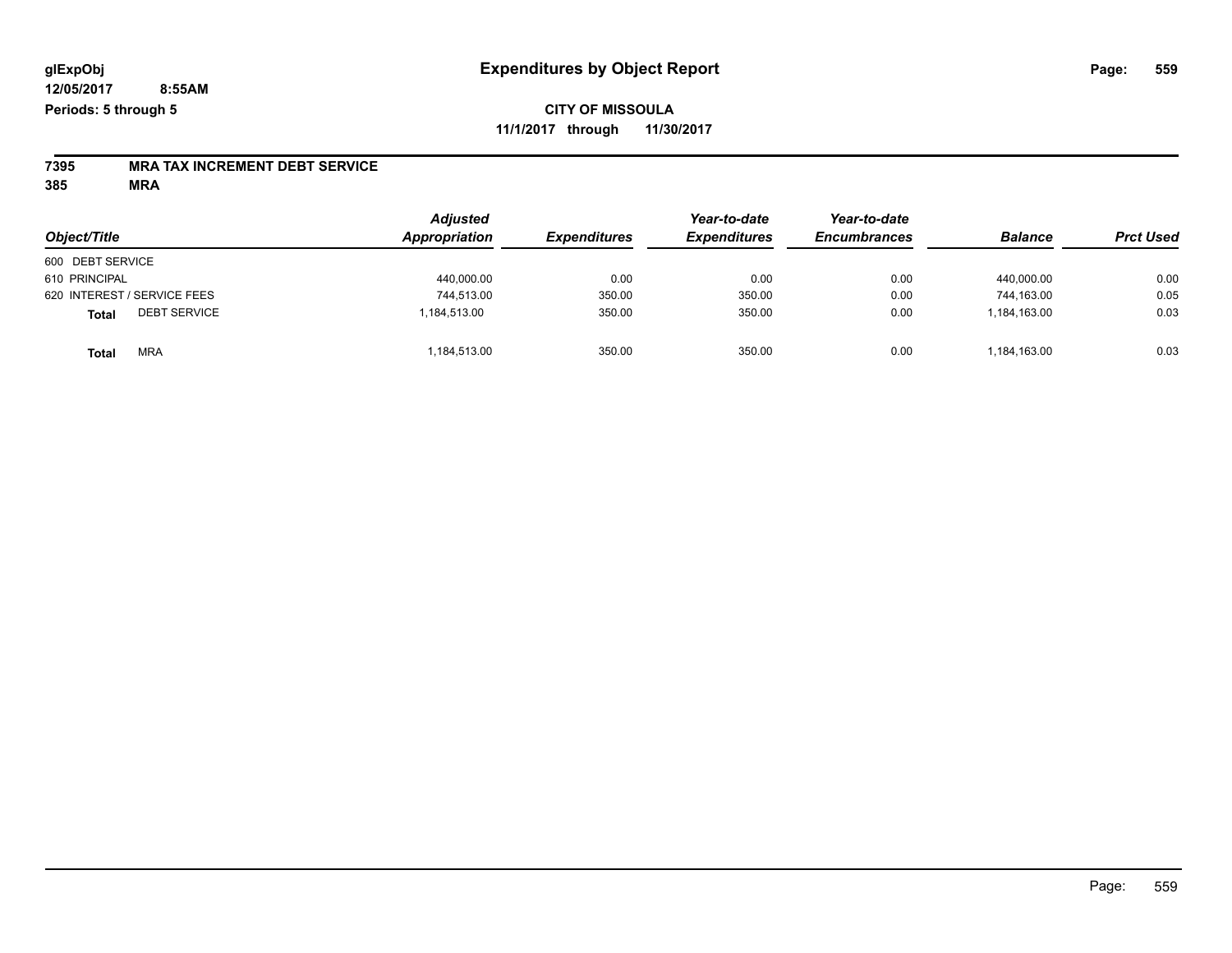# **7395 MRA TAX INCREMENT DEBT SERVICE**

|                                     | <b>Adjusted</b> | Appropriation<br><b>Expenditures</b> | Year-to-date        | Year-to-date<br><b>Encumbrances</b> | <b>Balance</b> |                  |
|-------------------------------------|-----------------|--------------------------------------|---------------------|-------------------------------------|----------------|------------------|
| Object/Title                        |                 |                                      | <b>Expenditures</b> |                                     |                | <b>Prct Used</b> |
| 600 DEBT SERVICE                    |                 |                                      |                     |                                     |                |                  |
| 610 PRINCIPAL                       | 440,000.00      | 0.00                                 | 0.00                | 0.00                                | 440.000.00     | 0.00             |
| 620 INTEREST / SERVICE FEES         | 744.513.00      | 350.00                               | 350.00              | 0.00                                | 744.163.00     | 0.05             |
| <b>DEBT SERVICE</b><br><b>Total</b> | 1,184,513.00    | 350.00                               | 350.00              | 0.00                                | 1,184,163.00   | 0.03             |
| <b>MRA</b><br><b>Total</b>          | 184,513.00      | 350.00                               | 350.00              | 0.00                                | 1,184,163.00   | 0.03             |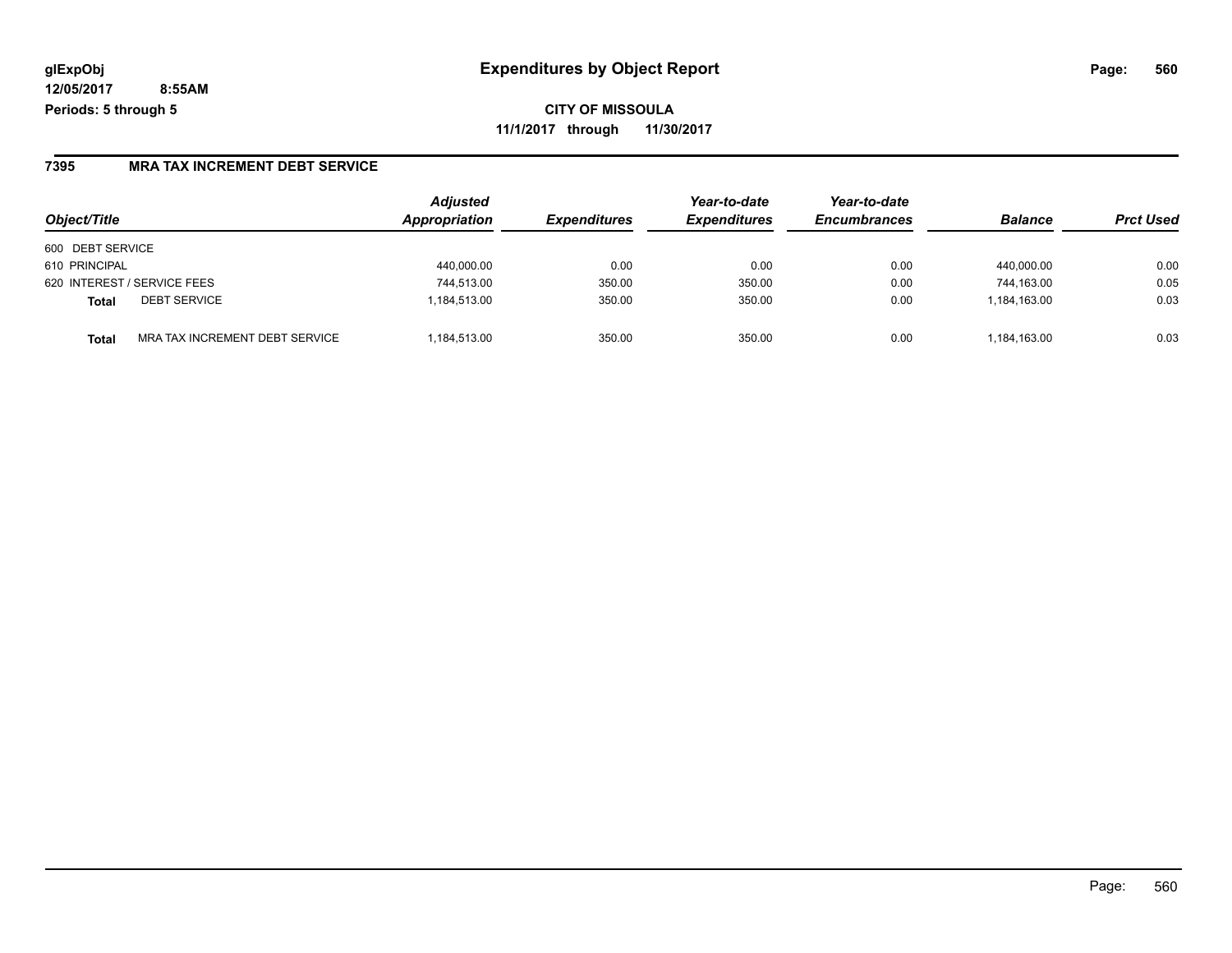**CITY OF MISSOULA 11/1/2017 through 11/30/2017**

### **7395 MRA TAX INCREMENT DEBT SERVICE**

| Object/Title                            | <b>Adjusted</b><br>Appropriation | <b>Expenditures</b> | Year-to-date<br><b>Expenditures</b> | Year-to-date<br><b>Encumbrances</b> | <b>Balance</b> | <b>Prct Used</b> |
|-----------------------------------------|----------------------------------|---------------------|-------------------------------------|-------------------------------------|----------------|------------------|
| 600 DEBT SERVICE                        |                                  |                     |                                     |                                     |                |                  |
| 610 PRINCIPAL                           | 440,000.00                       | 0.00                | 0.00                                | 0.00                                | 440.000.00     | 0.00             |
| 620 INTEREST / SERVICE FEES             | 744,513.00                       | 350.00              | 350.00                              | 0.00                                | 744.163.00     | 0.05             |
| <b>DEBT SERVICE</b><br>Total            | 1.184.513.00                     | 350.00              | 350.00                              | 0.00                                | 1.184.163.00   | 0.03             |
| MRA TAX INCREMENT DEBT SERVICE<br>Total | 1.184.513.00                     | 350.00              | 350.00                              | 0.00                                | 1.184.163.00   | 0.03             |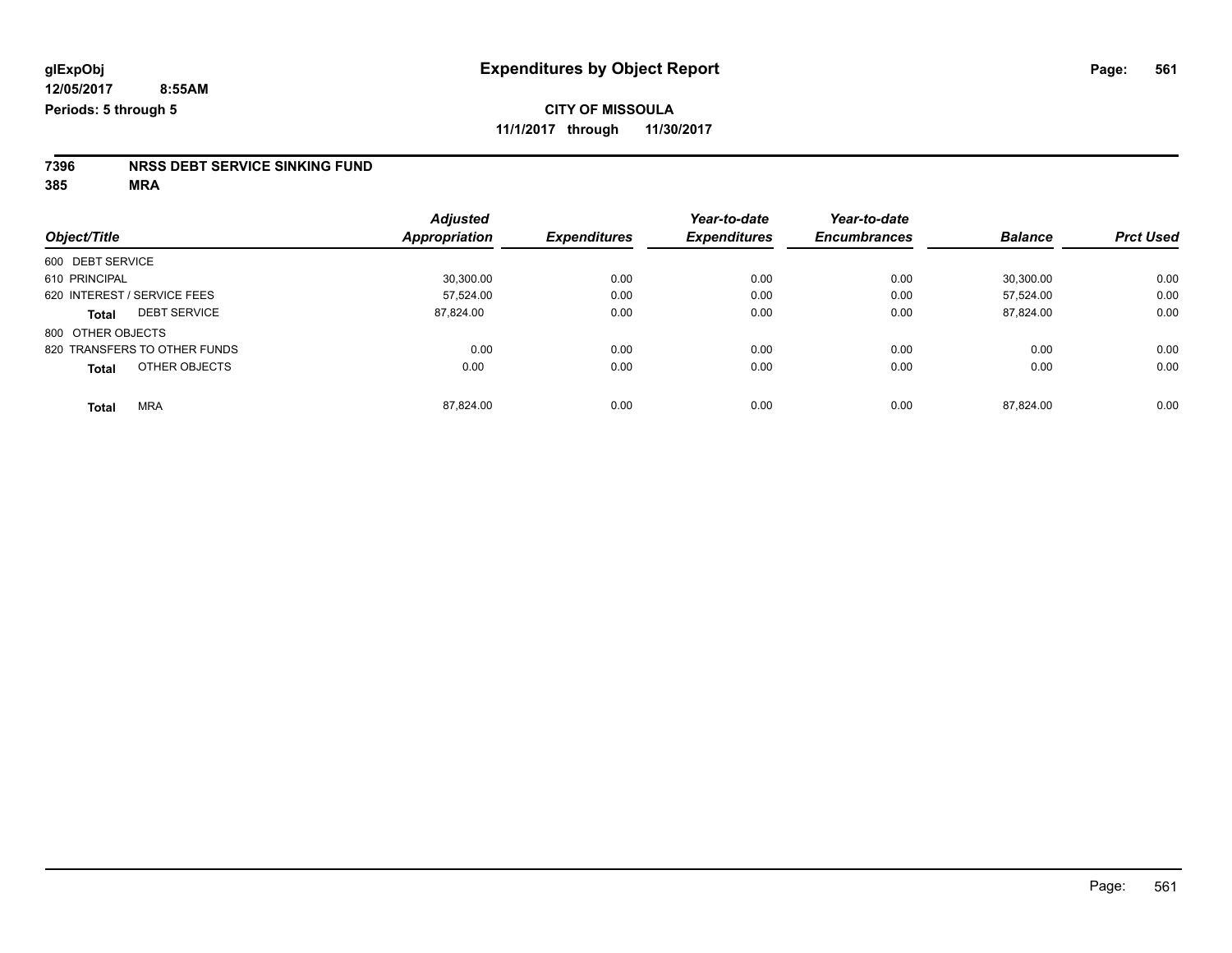# **7396 NRSS DEBT SERVICE SINKING FUND**

|                               | <b>Adjusted</b>      |                     | Year-to-date        | Year-to-date<br><b>Encumbrances</b> | <b>Balance</b> | <b>Prct Used</b> |
|-------------------------------|----------------------|---------------------|---------------------|-------------------------------------|----------------|------------------|
| Object/Title                  | <b>Appropriation</b> | <b>Expenditures</b> | <b>Expenditures</b> |                                     |                |                  |
| 600 DEBT SERVICE              |                      |                     |                     |                                     |                |                  |
| 610 PRINCIPAL                 | 30.300.00            | 0.00                | 0.00                | 0.00                                | 30.300.00      | 0.00             |
| 620 INTEREST / SERVICE FEES   | 57.524.00            | 0.00                | 0.00                | 0.00                                | 57.524.00      | 0.00             |
| <b>DEBT SERVICE</b><br>Total  | 87,824.00            | 0.00                | 0.00                | 0.00                                | 87,824.00      | 0.00             |
| 800 OTHER OBJECTS             |                      |                     |                     |                                     |                |                  |
| 820 TRANSFERS TO OTHER FUNDS  | 0.00                 | 0.00                | 0.00                | 0.00                                | 0.00           | 0.00             |
| OTHER OBJECTS<br><b>Total</b> | 0.00                 | 0.00                | 0.00                | 0.00                                | 0.00           | 0.00             |
| <b>MRA</b><br><b>Total</b>    | 87.824.00            | 0.00                | 0.00                | 0.00                                | 87.824.00      | 0.00             |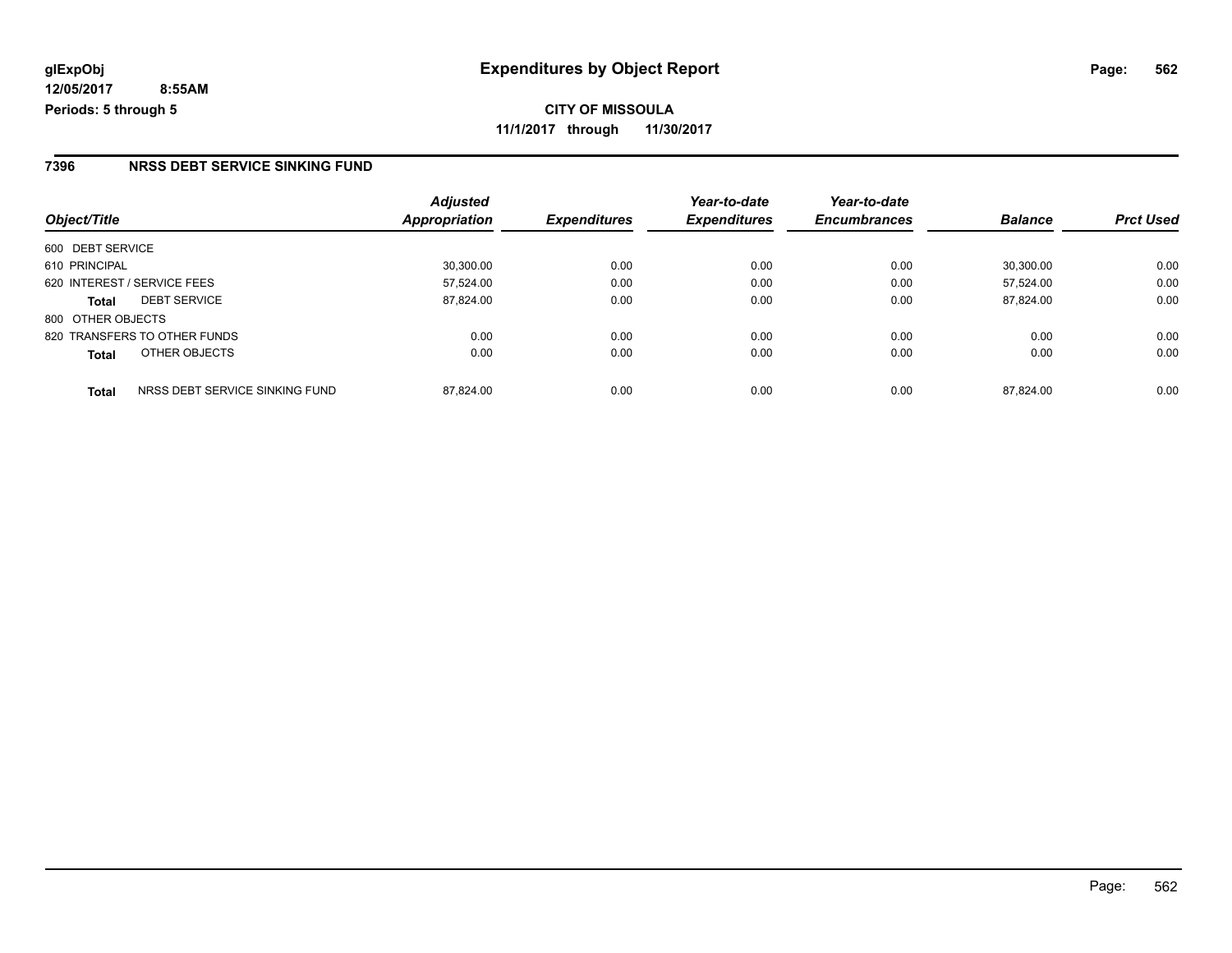**CITY OF MISSOULA 11/1/2017 through 11/30/2017**

#### **7396 NRSS DEBT SERVICE SINKING FUND**

| Object/Title                                   | <b>Adjusted</b><br>Appropriation | <b>Expenditures</b> | Year-to-date<br><b>Expenditures</b> | Year-to-date<br><b>Encumbrances</b> | <b>Balance</b> | <b>Prct Used</b> |
|------------------------------------------------|----------------------------------|---------------------|-------------------------------------|-------------------------------------|----------------|------------------|
|                                                |                                  |                     |                                     |                                     |                |                  |
| 600 DEBT SERVICE                               |                                  |                     |                                     |                                     |                |                  |
| 610 PRINCIPAL                                  | 30,300.00                        | 0.00                | 0.00                                | 0.00                                | 30.300.00      | 0.00             |
| 620 INTEREST / SERVICE FEES                    | 57.524.00                        | 0.00                | 0.00                                | 0.00                                | 57.524.00      | 0.00             |
| <b>DEBT SERVICE</b><br><b>Total</b>            | 87,824.00                        | 0.00                | 0.00                                | 0.00                                | 87.824.00      | 0.00             |
| 800 OTHER OBJECTS                              |                                  |                     |                                     |                                     |                |                  |
| 820 TRANSFERS TO OTHER FUNDS                   | 0.00                             | 0.00                | 0.00                                | 0.00                                | 0.00           | 0.00             |
| OTHER OBJECTS<br><b>Total</b>                  | 0.00                             | 0.00                | 0.00                                | 0.00                                | 0.00           | 0.00             |
| NRSS DEBT SERVICE SINKING FUND<br><b>Total</b> | 87.824.00                        | 0.00                | 0.00                                | 0.00                                | 87.824.00      | 0.00             |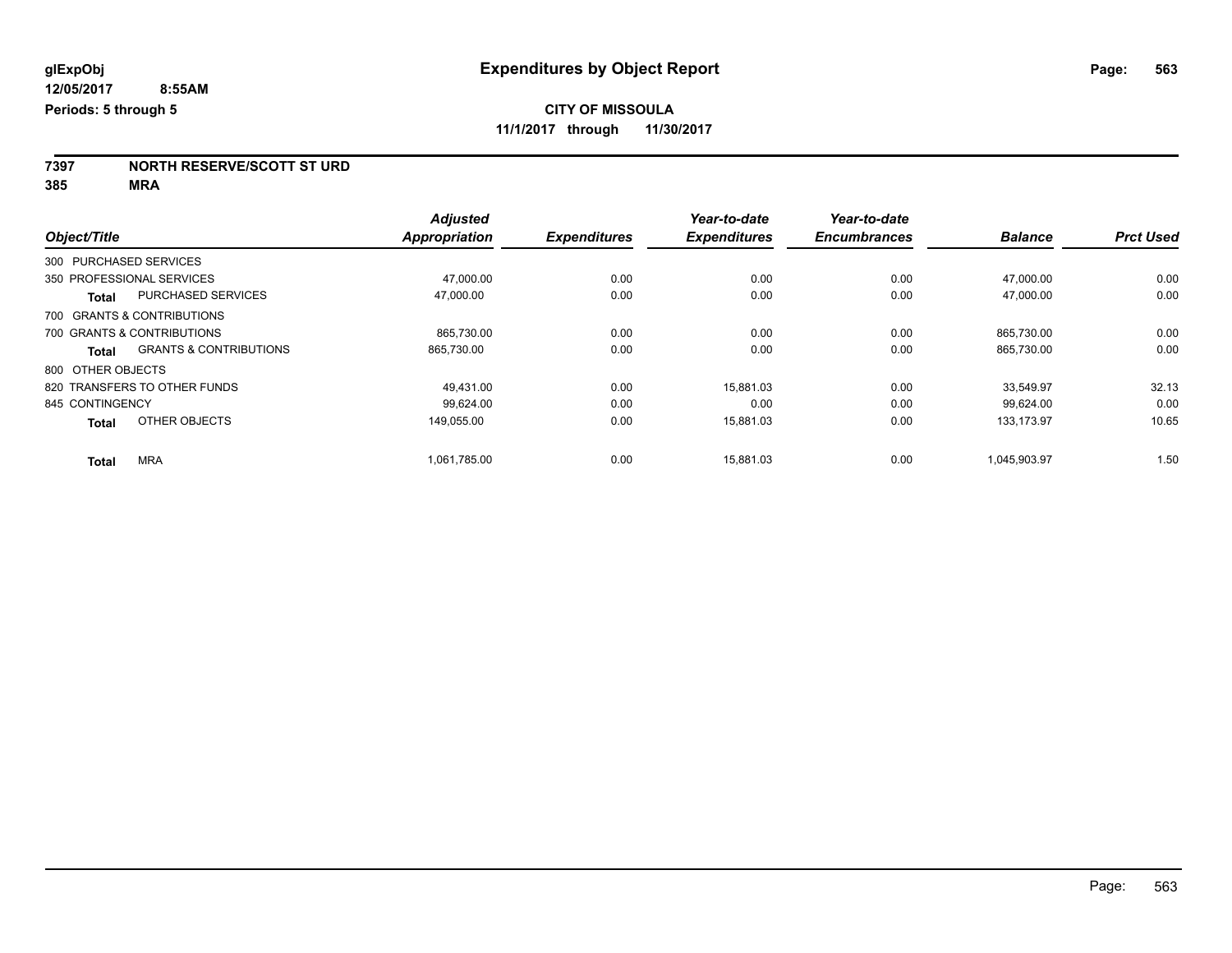**7397 NORTH RESERVE/SCOTT ST URD**

|                              |                                   | <b>Adjusted</b>      |                     | Year-to-date        | Year-to-date        |                |                  |
|------------------------------|-----------------------------------|----------------------|---------------------|---------------------|---------------------|----------------|------------------|
| Object/Title                 |                                   | <b>Appropriation</b> | <b>Expenditures</b> | <b>Expenditures</b> | <b>Encumbrances</b> | <b>Balance</b> | <b>Prct Used</b> |
| 300 PURCHASED SERVICES       |                                   |                      |                     |                     |                     |                |                  |
| 350 PROFESSIONAL SERVICES    |                                   | 47.000.00            | 0.00                | 0.00                | 0.00                | 47,000.00      | 0.00             |
| <b>Total</b>                 | <b>PURCHASED SERVICES</b>         | 47,000.00            | 0.00                | 0.00                | 0.00                | 47,000.00      | 0.00             |
| 700 GRANTS & CONTRIBUTIONS   |                                   |                      |                     |                     |                     |                |                  |
| 700 GRANTS & CONTRIBUTIONS   |                                   | 865,730.00           | 0.00                | 0.00                | 0.00                | 865,730.00     | 0.00             |
| Total                        | <b>GRANTS &amp; CONTRIBUTIONS</b> | 865,730.00           | 0.00                | 0.00                | 0.00                | 865,730.00     | 0.00             |
| 800 OTHER OBJECTS            |                                   |                      |                     |                     |                     |                |                  |
| 820 TRANSFERS TO OTHER FUNDS |                                   | 49.431.00            | 0.00                | 15.881.03           | 0.00                | 33.549.97      | 32.13            |
| 845 CONTINGENCY              |                                   | 99,624.00            | 0.00                | 0.00                | 0.00                | 99.624.00      | 0.00             |
| <b>Total</b>                 | OTHER OBJECTS                     | 149.055.00           | 0.00                | 15.881.03           | 0.00                | 133.173.97     | 10.65            |
| <b>MRA</b><br><b>Total</b>   |                                   | 1,061,785.00         | 0.00                | 15,881.03           | 0.00                | 1,045,903.97   | 1.50             |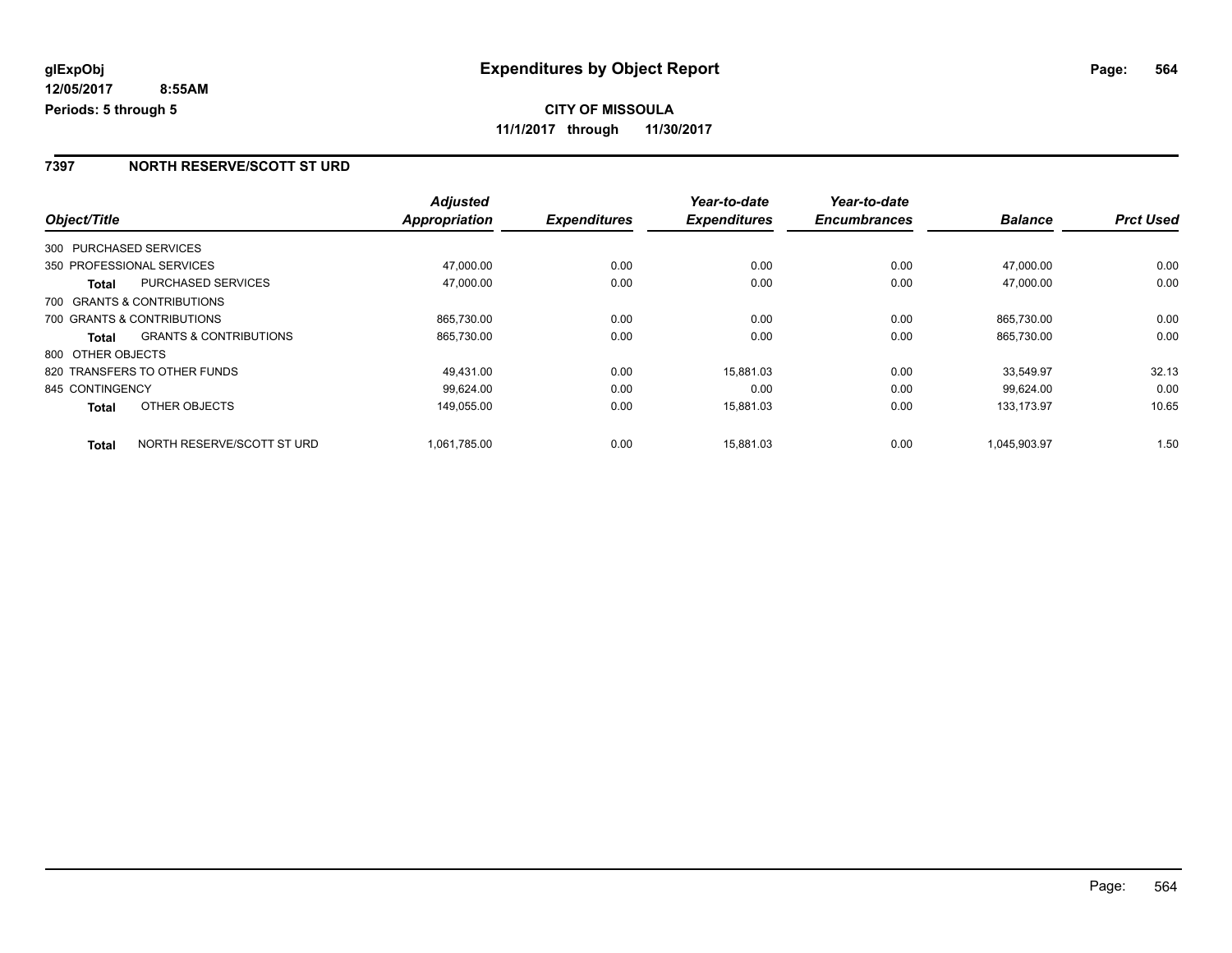### **7397 NORTH RESERVE/SCOTT ST URD**

|                        |                                   | <b>Adjusted</b> |                     | Year-to-date        | Year-to-date        |                |                  |
|------------------------|-----------------------------------|-----------------|---------------------|---------------------|---------------------|----------------|------------------|
| Object/Title           |                                   | Appropriation   | <b>Expenditures</b> | <b>Expenditures</b> | <b>Encumbrances</b> | <b>Balance</b> | <b>Prct Used</b> |
| 300 PURCHASED SERVICES |                                   |                 |                     |                     |                     |                |                  |
|                        | 350 PROFESSIONAL SERVICES         | 47,000.00       | 0.00                | 0.00                | 0.00                | 47.000.00      | 0.00             |
| Total                  | PURCHASED SERVICES                | 47,000.00       | 0.00                | 0.00                | 0.00                | 47,000.00      | 0.00             |
|                        | 700 GRANTS & CONTRIBUTIONS        |                 |                     |                     |                     |                |                  |
|                        | 700 GRANTS & CONTRIBUTIONS        | 865,730.00      | 0.00                | 0.00                | 0.00                | 865.730.00     | 0.00             |
| Total                  | <b>GRANTS &amp; CONTRIBUTIONS</b> | 865,730.00      | 0.00                | 0.00                | 0.00                | 865,730.00     | 0.00             |
| 800 OTHER OBJECTS      |                                   |                 |                     |                     |                     |                |                  |
|                        | 820 TRANSFERS TO OTHER FUNDS      | 49,431.00       | 0.00                | 15,881.03           | 0.00                | 33,549.97      | 32.13            |
| 845 CONTINGENCY        |                                   | 99.624.00       | 0.00                | 0.00                | 0.00                | 99.624.00      | 0.00             |
| <b>Total</b>           | OTHER OBJECTS                     | 149,055.00      | 0.00                | 15,881.03           | 0.00                | 133.173.97     | 10.65            |
| <b>Total</b>           | NORTH RESERVE/SCOTT ST URD        | 1.061.785.00    | 0.00                | 15.881.03           | 0.00                | 1.045.903.97   | 1.50             |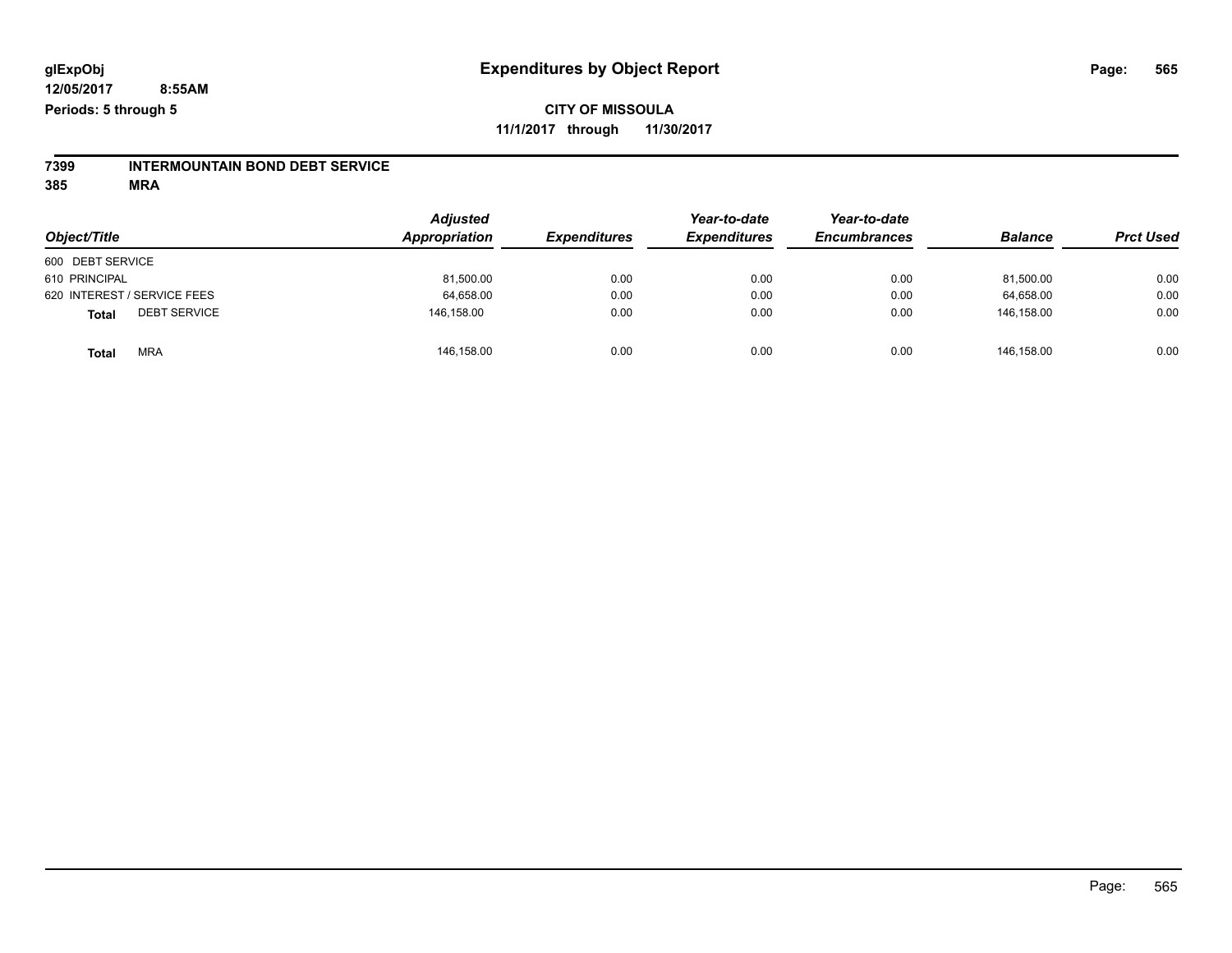# **7399 INTERMOUNTAIN BOND DEBT SERVICE**

|                                     | <b>Adjusted</b><br>Appropriation |                     | Year-to-date        | Year-to-date        |                |                  |
|-------------------------------------|----------------------------------|---------------------|---------------------|---------------------|----------------|------------------|
| Object/Title                        |                                  | <b>Expenditures</b> | <b>Expenditures</b> | <b>Encumbrances</b> | <b>Balance</b> | <b>Prct Used</b> |
| 600 DEBT SERVICE                    |                                  |                     |                     |                     |                |                  |
| 610 PRINCIPAL                       | 81,500.00                        | 0.00                | 0.00                | 0.00                | 81,500.00      | 0.00             |
| 620 INTEREST / SERVICE FEES         | 64,658.00                        | 0.00                | 0.00                | 0.00                | 64,658.00      | 0.00             |
| <b>DEBT SERVICE</b><br><b>Total</b> | 146.158.00                       | 0.00                | 0.00                | 0.00                | 146.158.00     | 0.00             |
| <b>MRA</b><br><b>Total</b>          | 146,158.00                       | 0.00                | 0.00                | 0.00                | 146.158.00     | 0.00             |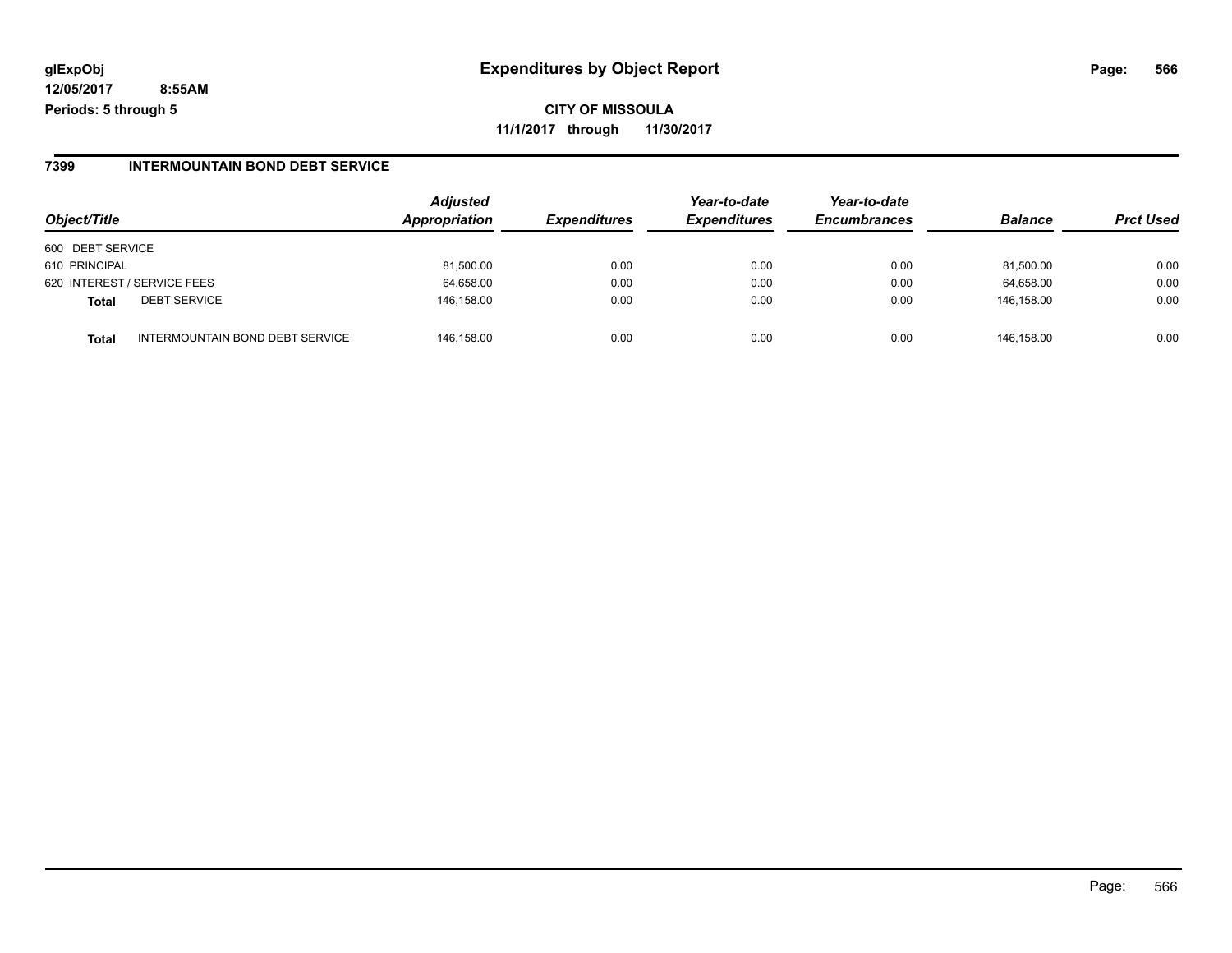**CITY OF MISSOULA 11/1/2017 through 11/30/2017**

### **7399 INTERMOUNTAIN BOND DEBT SERVICE**

| Object/Title                             | <b>Adjusted</b><br>Appropriation | <b>Expenditures</b> | Year-to-date<br><b>Expenditures</b> | Year-to-date<br><b>Encumbrances</b> | <b>Balance</b> | <b>Prct Used</b> |
|------------------------------------------|----------------------------------|---------------------|-------------------------------------|-------------------------------------|----------------|------------------|
| 600 DEBT SERVICE                         |                                  |                     |                                     |                                     |                |                  |
| 610 PRINCIPAL                            | 81,500.00                        | 0.00                | 0.00                                | 0.00                                | 81,500.00      | 0.00             |
| 620 INTEREST / SERVICE FEES              | 64,658.00                        | 0.00                | 0.00                                | 0.00                                | 64,658.00      | 0.00             |
| <b>DEBT SERVICE</b><br><b>Total</b>      | 146,158.00                       | 0.00                | 0.00                                | 0.00                                | 146.158.00     | 0.00             |
| INTERMOUNTAIN BOND DEBT SERVICE<br>Total | 146.158.00                       | 0.00                | 0.00                                | 0.00                                | 146.158.00     | 0.00             |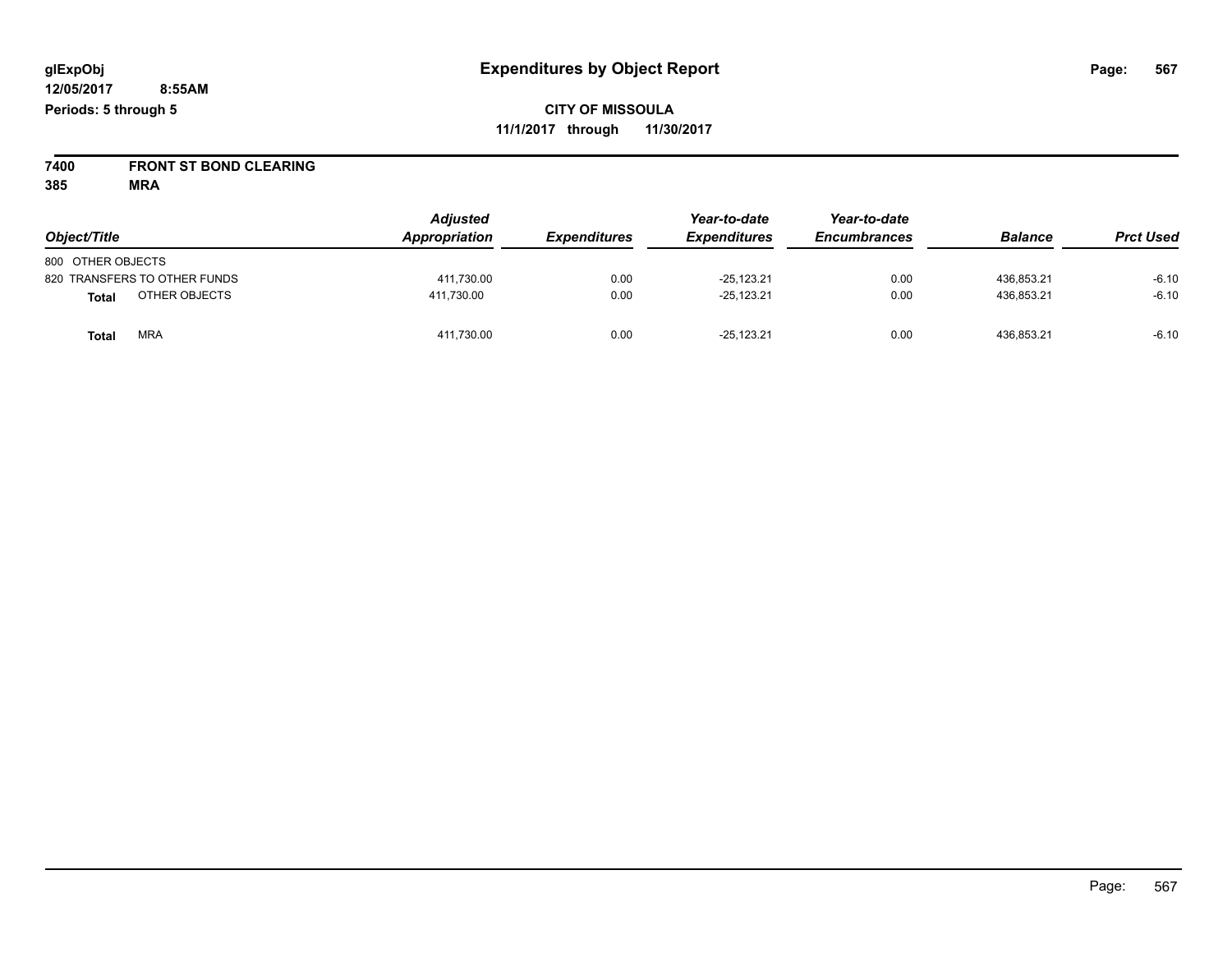**7400 FRONT ST BOND CLEARING**

| Object/Title                  | <b>Adjusted</b><br>Appropriation | <b>Expenditures</b> | Year-to-date<br><b>Expenditures</b> | Year-to-date<br><b>Encumbrances</b> | <b>Balance</b> | <b>Prct Used</b> |
|-------------------------------|----------------------------------|---------------------|-------------------------------------|-------------------------------------|----------------|------------------|
| 800 OTHER OBJECTS             |                                  |                     |                                     |                                     |                |                  |
| 820 TRANSFERS TO OTHER FUNDS  | 411.730.00                       | 0.00                | $-25.123.21$                        | 0.00                                | 436.853.21     | $-6.10$          |
| OTHER OBJECTS<br><b>Total</b> | 411.730.00                       | 0.00                | $-25,123.21$                        | 0.00                                | 436,853.21     | $-6.10$          |
| <b>MRA</b><br><b>Total</b>    | 411,730.00                       | 0.00                | $-25.123.21$                        | 0.00                                | 436,853.21     | $-6.10$          |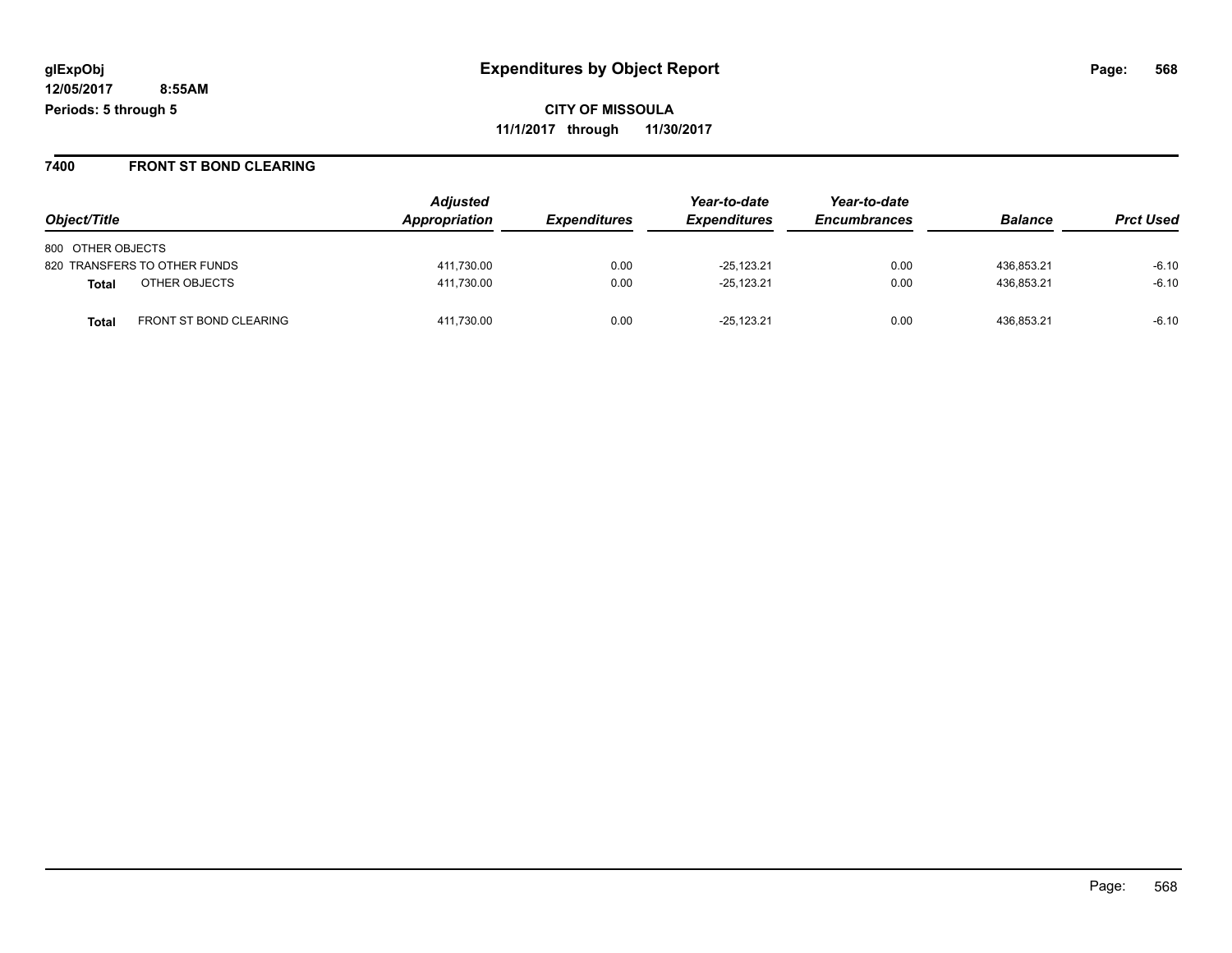**CITY OF MISSOULA 11/1/2017 through 11/30/2017**

#### **7400 FRONT ST BOND CLEARING**

|                                        | <b>Adjusted</b><br>Appropriation |                     | Year-to-date        | Year-to-date<br><b>Encumbrances</b> | <b>Balance</b> |                  |
|----------------------------------------|----------------------------------|---------------------|---------------------|-------------------------------------|----------------|------------------|
| Object/Title                           |                                  | <b>Expenditures</b> | <b>Expenditures</b> |                                     |                | <b>Prct Used</b> |
| 800 OTHER OBJECTS                      |                                  |                     |                     |                                     |                |                  |
| 820 TRANSFERS TO OTHER FUNDS           | 411,730.00                       | 0.00                | $-25,123.21$        | 0.00                                | 436.853.21     | $-6.10$          |
| OTHER OBJECTS<br>Total                 | 411,730.00                       | 0.00                | $-25,123.21$        | 0.00                                | 436,853.21     | $-6.10$          |
| FRONT ST BOND CLEARING<br><b>Total</b> | 411,730.00                       | 0.00                | $-25,123.21$        | 0.00                                | 436,853.21     | $-6.10$          |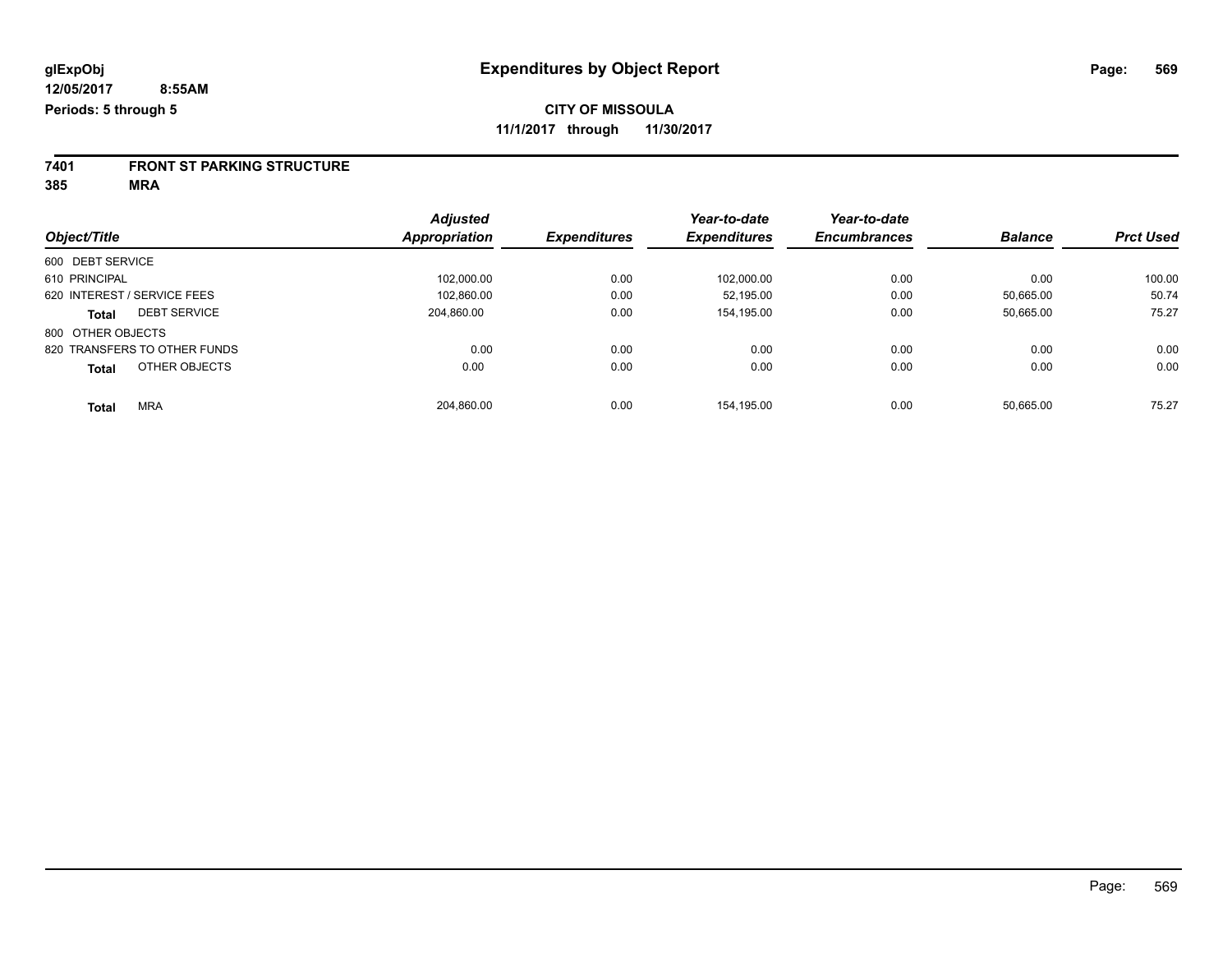# **7401 FRONT ST PARKING STRUCTURE**

|                               | <b>Adjusted</b>      |                     | Year-to-date        | Year-to-date        |                |                  |
|-------------------------------|----------------------|---------------------|---------------------|---------------------|----------------|------------------|
| Object/Title                  | <b>Appropriation</b> | <b>Expenditures</b> | <b>Expenditures</b> | <b>Encumbrances</b> | <b>Balance</b> | <b>Prct Used</b> |
| 600 DEBT SERVICE              |                      |                     |                     |                     |                |                  |
| 610 PRINCIPAL                 | 102.000.00           | 0.00                | 102.000.00          | 0.00                | 0.00           | 100.00           |
| 620 INTEREST / SERVICE FEES   | 102.860.00           | 0.00                | 52.195.00           | 0.00                | 50.665.00      | 50.74            |
| <b>DEBT SERVICE</b><br>Total  | 204.860.00           | 0.00                | 154.195.00          | 0.00                | 50,665.00      | 75.27            |
| 800 OTHER OBJECTS             |                      |                     |                     |                     |                |                  |
| 820 TRANSFERS TO OTHER FUNDS  | 0.00                 | 0.00                | 0.00                | 0.00                | 0.00           | 0.00             |
| OTHER OBJECTS<br><b>Total</b> | 0.00                 | 0.00                | 0.00                | 0.00                | 0.00           | 0.00             |
| <b>MRA</b><br><b>Total</b>    | 204,860.00           | 0.00                | 154.195.00          | 0.00                | 50.665.00      | 75.27            |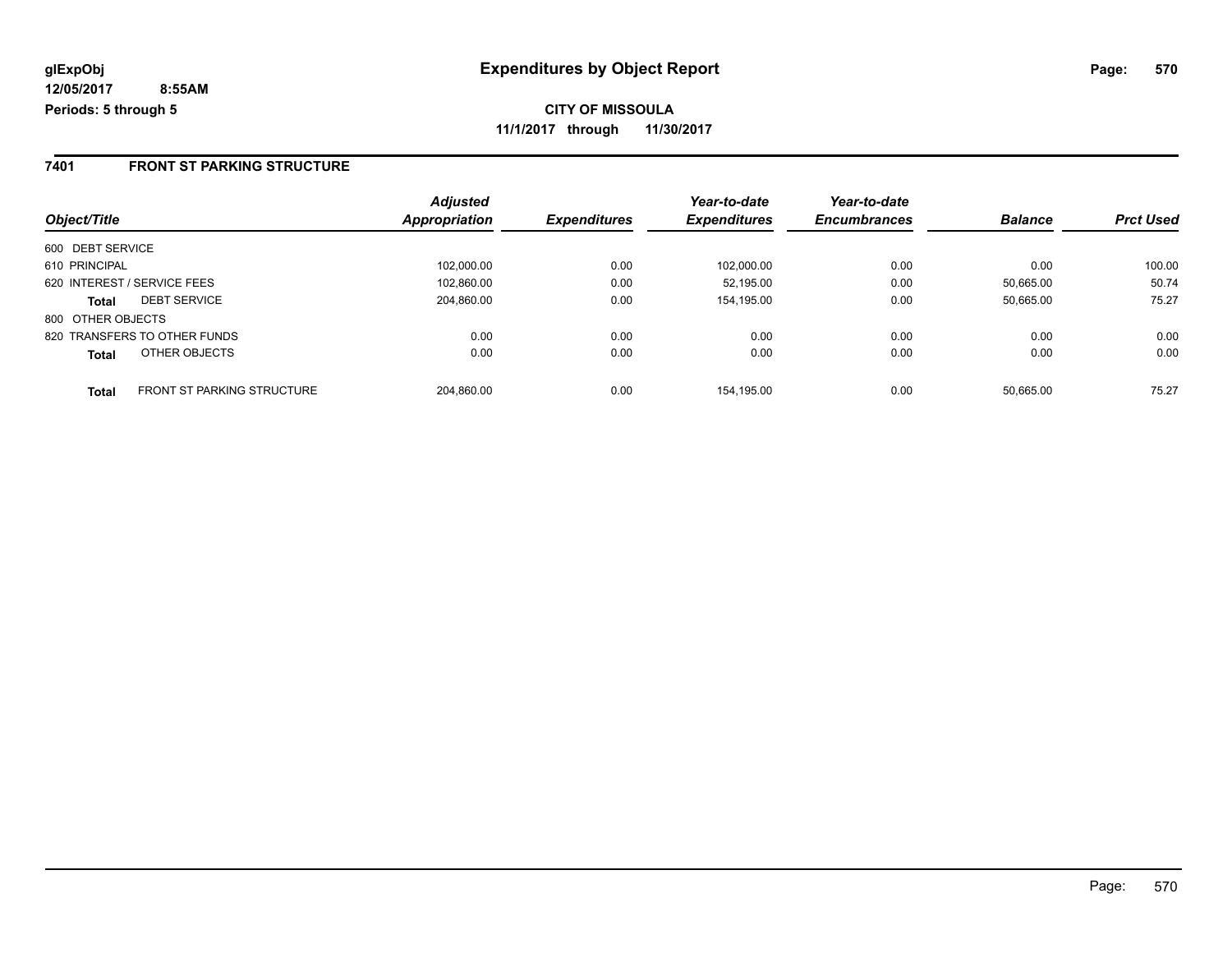### **7401 FRONT ST PARKING STRUCTURE**

|                                                   | <b>Adjusted</b> |                     | Year-to-date        | Year-to-date        |                |                  |
|---------------------------------------------------|-----------------|---------------------|---------------------|---------------------|----------------|------------------|
| Object/Title                                      | Appropriation   | <b>Expenditures</b> | <b>Expenditures</b> | <b>Encumbrances</b> | <b>Balance</b> | <b>Prct Used</b> |
| 600 DEBT SERVICE                                  |                 |                     |                     |                     |                |                  |
| 610 PRINCIPAL                                     | 102,000.00      | 0.00                | 102.000.00          | 0.00                | 0.00           | 100.00           |
| 620 INTEREST / SERVICE FEES                       | 102,860.00      | 0.00                | 52.195.00           | 0.00                | 50,665.00      | 50.74            |
| <b>DEBT SERVICE</b><br><b>Total</b>               | 204,860.00      | 0.00                | 154,195.00          | 0.00                | 50.665.00      | 75.27            |
| 800 OTHER OBJECTS                                 |                 |                     |                     |                     |                |                  |
| 820 TRANSFERS TO OTHER FUNDS                      | 0.00            | 0.00                | 0.00                | 0.00                | 0.00           | 0.00             |
| OTHER OBJECTS<br><b>Total</b>                     | 0.00            | 0.00                | 0.00                | 0.00                | 0.00           | 0.00             |
| <b>FRONT ST PARKING STRUCTURE</b><br><b>Total</b> | 204.860.00      | 0.00                | 154.195.00          | 0.00                | 50.665.00      | 75.27            |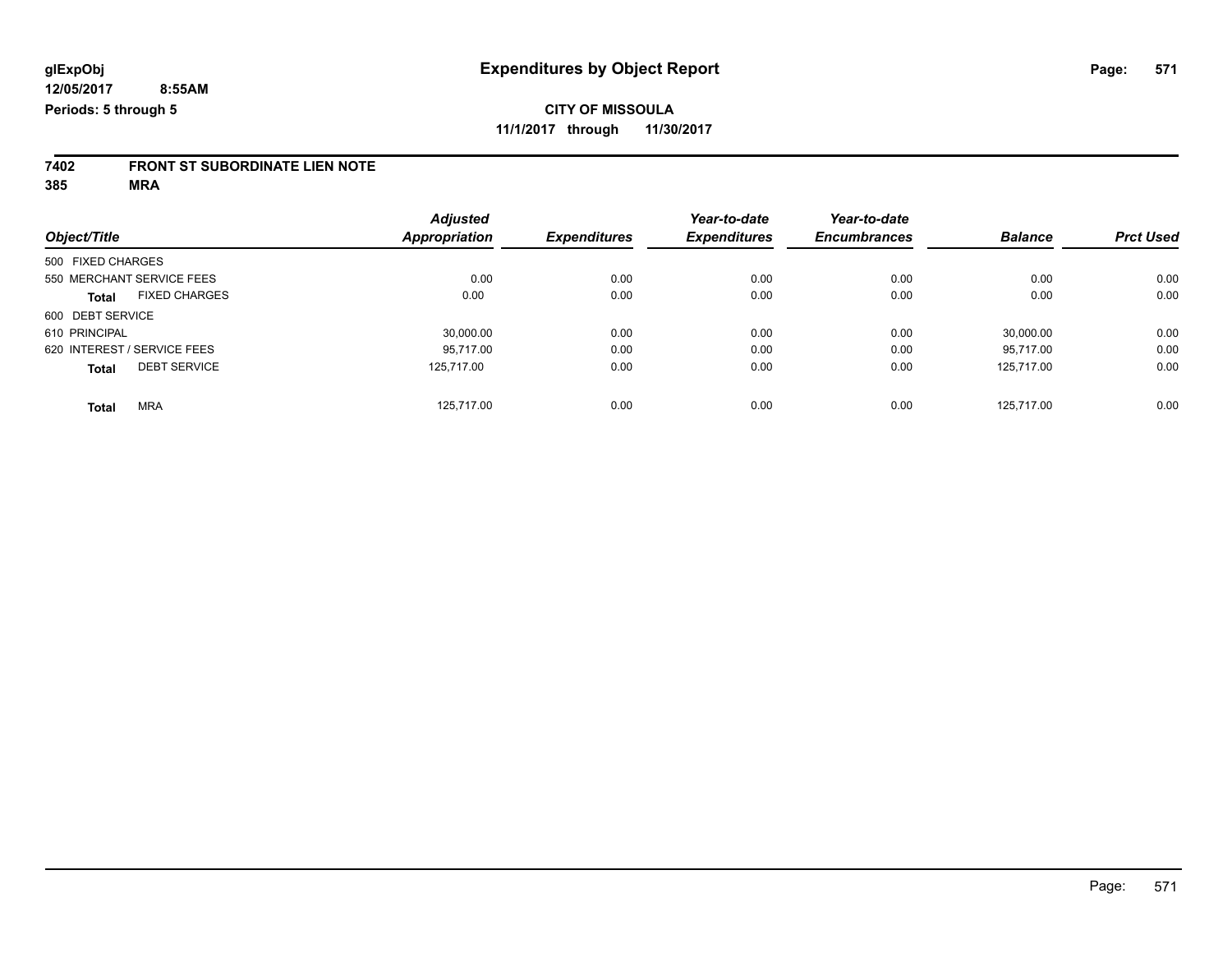# **7402 FRONT ST SUBORDINATE LIEN NOTE**

|                                      | <b>Adjusted</b> |                     | Year-to-date        | Year-to-date        |                |                  |
|--------------------------------------|-----------------|---------------------|---------------------|---------------------|----------------|------------------|
| Object/Title                         | Appropriation   | <b>Expenditures</b> | <b>Expenditures</b> | <b>Encumbrances</b> | <b>Balance</b> | <b>Prct Used</b> |
| 500 FIXED CHARGES                    |                 |                     |                     |                     |                |                  |
| 550 MERCHANT SERVICE FEES            | 0.00            | 0.00                | 0.00                | 0.00                | 0.00           | 0.00             |
| <b>FIXED CHARGES</b><br><b>Total</b> | 0.00            | 0.00                | 0.00                | 0.00                | 0.00           | 0.00             |
| 600 DEBT SERVICE                     |                 |                     |                     |                     |                |                  |
| 610 PRINCIPAL                        | 30,000.00       | 0.00                | 0.00                | 0.00                | 30.000.00      | 0.00             |
| 620 INTEREST / SERVICE FEES          | 95.717.00       | 0.00                | 0.00                | 0.00                | 95.717.00      | 0.00             |
| <b>DEBT SERVICE</b><br><b>Total</b>  | 125.717.00      | 0.00                | 0.00                | 0.00                | 125.717.00     | 0.00             |
| <b>MRA</b><br><b>Total</b>           | 125.717.00      | 0.00                | 0.00                | 0.00                | 125.717.00     | 0.00             |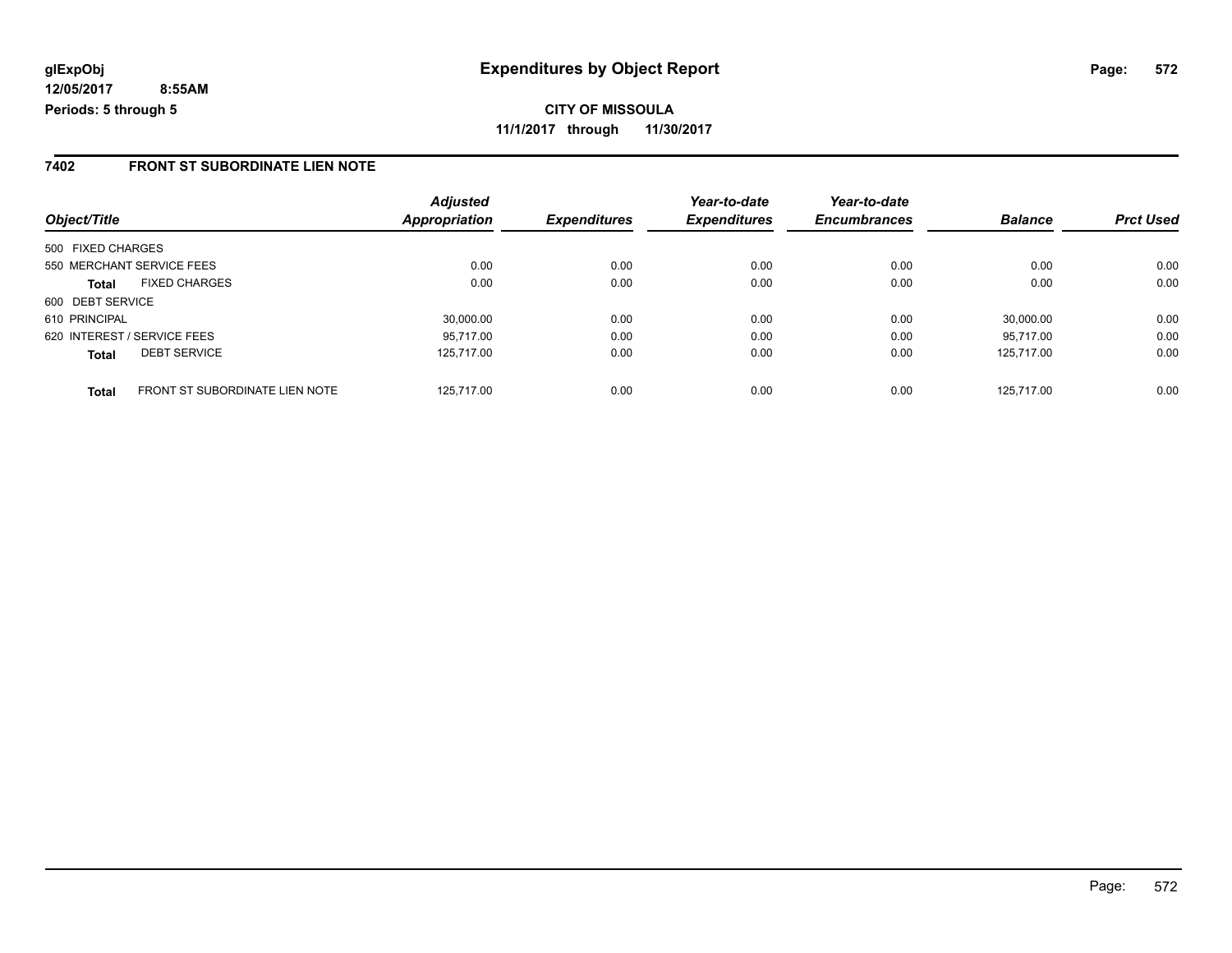**CITY OF MISSOULA 11/1/2017 through 11/30/2017**

### **7402 FRONT ST SUBORDINATE LIEN NOTE**

| Object/Title      |                                | <b>Adjusted</b><br>Appropriation | <b>Expenditures</b> | Year-to-date<br><b>Expenditures</b> | Year-to-date<br><b>Encumbrances</b> | <b>Balance</b> | <b>Prct Used</b> |
|-------------------|--------------------------------|----------------------------------|---------------------|-------------------------------------|-------------------------------------|----------------|------------------|
|                   |                                |                                  |                     |                                     |                                     |                |                  |
| 500 FIXED CHARGES |                                |                                  |                     |                                     |                                     |                |                  |
|                   | 550 MERCHANT SERVICE FEES      | 0.00                             | 0.00                | 0.00                                | 0.00                                | 0.00           | 0.00             |
| <b>Total</b>      | <b>FIXED CHARGES</b>           | 0.00                             | 0.00                | 0.00                                | 0.00                                | 0.00           | 0.00             |
| 600 DEBT SERVICE  |                                |                                  |                     |                                     |                                     |                |                  |
| 610 PRINCIPAL     |                                | 30.000.00                        | 0.00                | 0.00                                | 0.00                                | 30.000.00      | 0.00             |
|                   | 620 INTEREST / SERVICE FEES    | 95.717.00                        | 0.00                | 0.00                                | 0.00                                | 95.717.00      | 0.00             |
| <b>Total</b>      | <b>DEBT SERVICE</b>            | 125.717.00                       | 0.00                | 0.00                                | 0.00                                | 125.717.00     | 0.00             |
| <b>Total</b>      | FRONT ST SUBORDINATE LIEN NOTE | 125.717.00                       | 0.00                | 0.00                                | 0.00                                | 125.717.00     | 0.00             |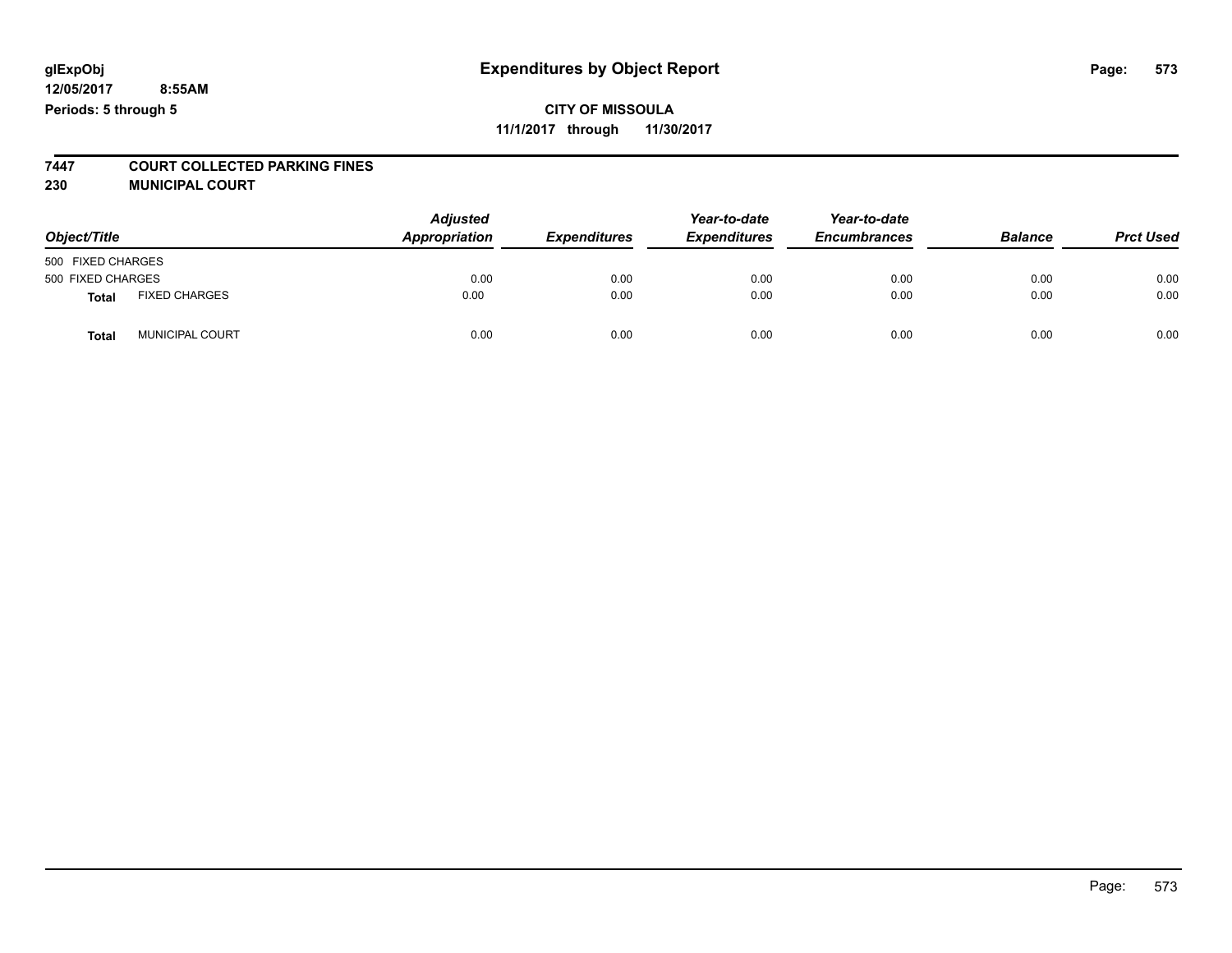**7447 COURT COLLECTED PARKING FINES**

**230 MUNICIPAL COURT**

| Object/Title      |                      | <b>Adjusted</b><br>Appropriation | <b>Expenditures</b> | Year-to-date<br><b>Expenditures</b> | Year-to-date<br><b>Encumbrances</b> | <b>Balance</b> | <b>Prct Used</b> |
|-------------------|----------------------|----------------------------------|---------------------|-------------------------------------|-------------------------------------|----------------|------------------|
| 500 FIXED CHARGES |                      |                                  |                     |                                     |                                     |                |                  |
| 500 FIXED CHARGES |                      | 0.00                             | 0.00                | 0.00                                | 0.00                                | 0.00           | 0.00             |
| <b>Total</b>      | <b>FIXED CHARGES</b> | 0.00                             | 0.00                | 0.00                                | 0.00                                | 0.00           | 0.00             |
| Total             | MUNICIPAL COURT      | 0.00                             | 0.00                | 0.00                                | 0.00                                | 0.00           | 0.00             |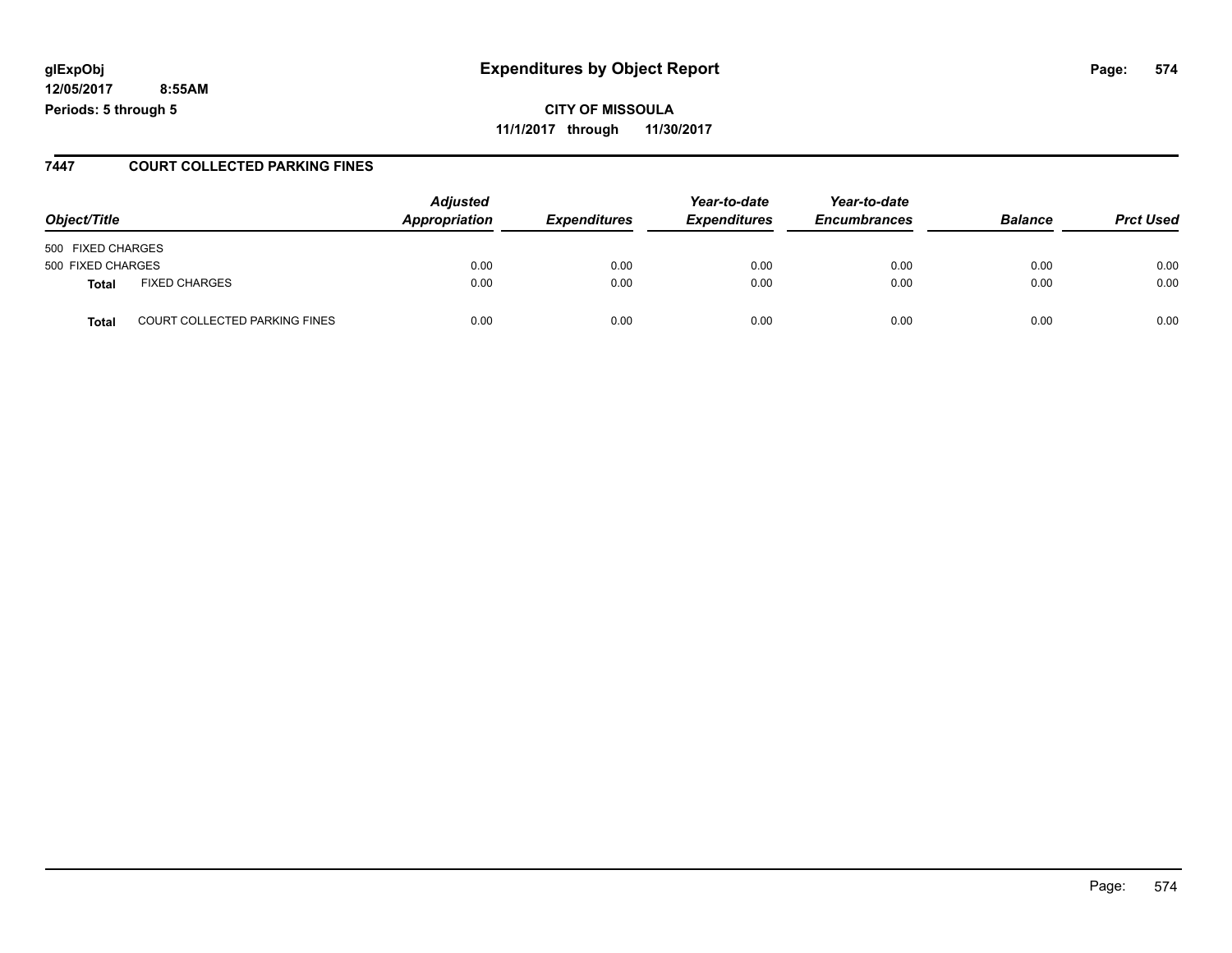## **glExpObj Expenditures by Object Report Page: 574**

**12/05/2017 8:55AM Periods: 5 through 5**

#### **7447 COURT COLLECTED PARKING FINES**

| Object/Title      |                                      | <b>Adjusted</b><br>Appropriation | <b>Expenditures</b> | Year-to-date<br><b>Expenditures</b> | Year-to-date<br><b>Encumbrances</b> | <b>Balance</b> | <b>Prct Used</b> |
|-------------------|--------------------------------------|----------------------------------|---------------------|-------------------------------------|-------------------------------------|----------------|------------------|
| 500 FIXED CHARGES |                                      |                                  |                     |                                     |                                     |                |                  |
| 500 FIXED CHARGES |                                      | 0.00                             | 0.00                | 0.00                                | 0.00                                | 0.00           | 0.00             |
| Total             | <b>FIXED CHARGES</b>                 | 0.00                             | 0.00                | 0.00                                | 0.00                                | 0.00           | 0.00             |
| <b>Total</b>      | <b>COURT COLLECTED PARKING FINES</b> | 0.00                             | 0.00                | 0.00                                | 0.00                                | 0.00           | 0.00             |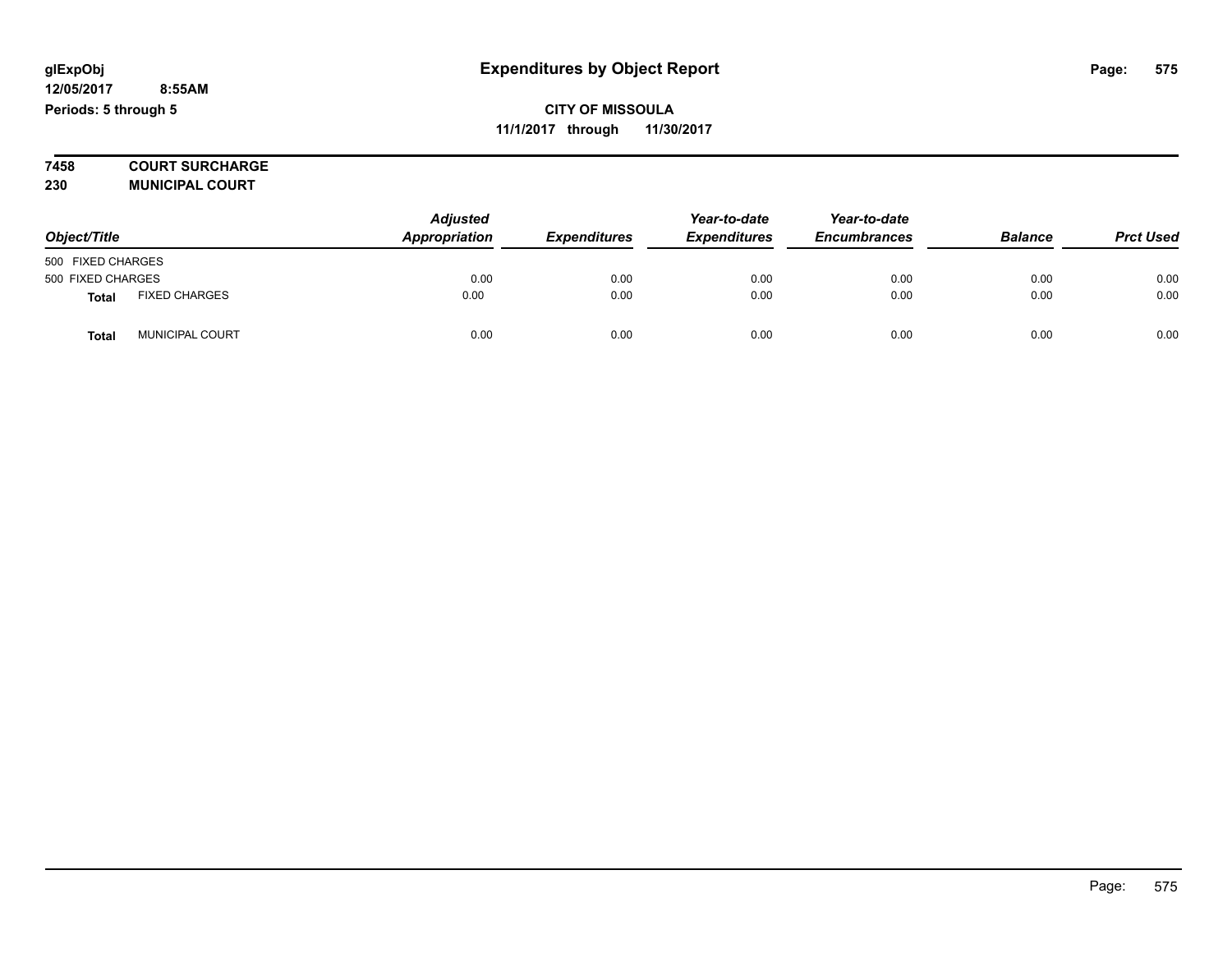**7458 COURT SURCHARGE 230 MUNICIPAL COURT**

*Object/Title Adjusted Appropriation Expenditures Year-to-date Expenditures Year-to-date Encumbrances Balance Prct Used* 500 FIXED CHARGES 500 FIXED CHARGES 0.00 0.00 0.00 0.00 0.00 0.00 **Total** FIXED CHARGES 0.00 0.00 0.00 0.00 0.00 0.00 **Total** MUNICIPAL COURT 0.00 0.00 0.00 0.00 0.00 0.00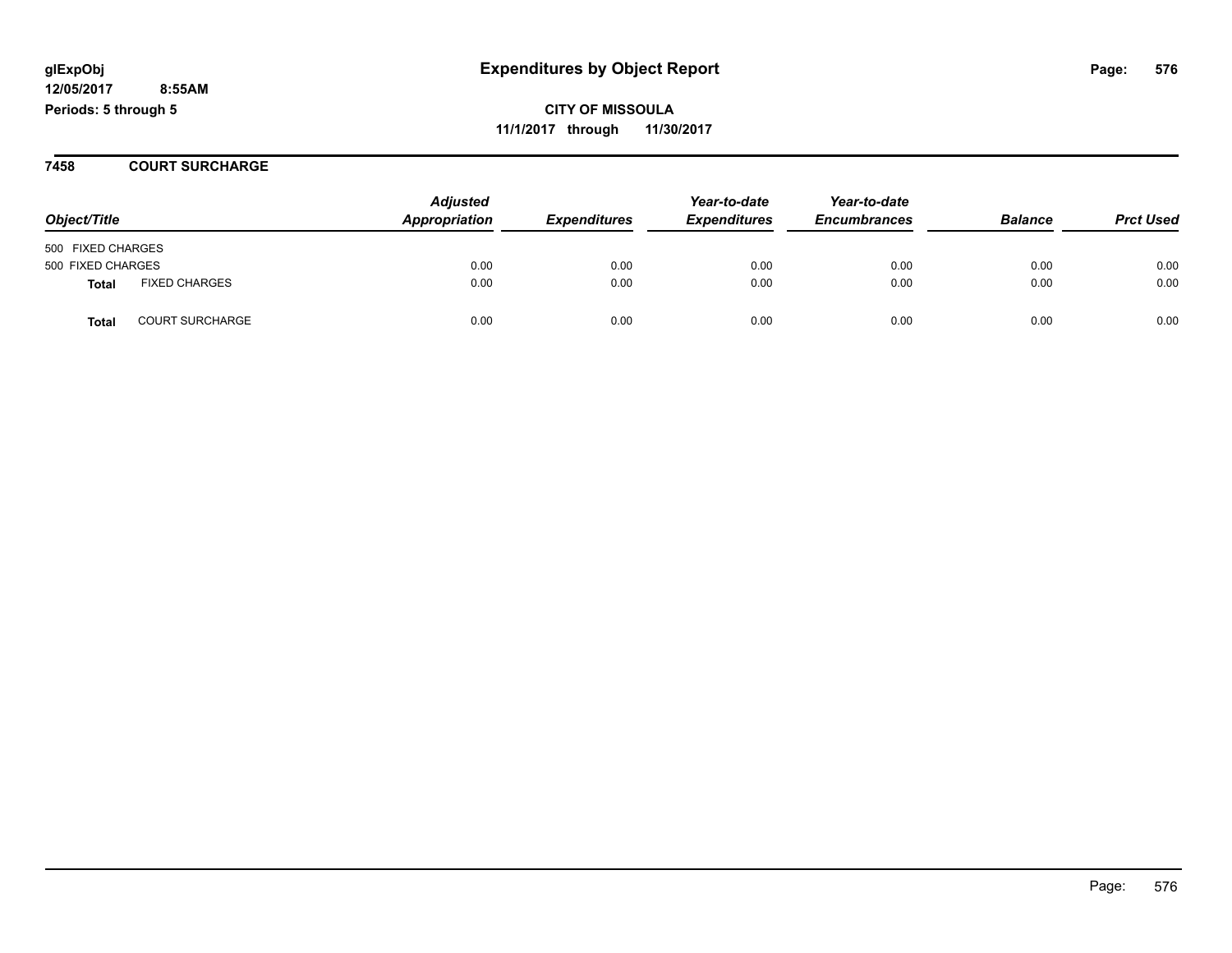**CITY OF MISSOULA 11/1/2017 through 11/30/2017**

**7458 COURT SURCHARGE**

|                                        | <b>Adjusted</b> |                     | Year-to-date        | Year-to-date        |                |                  |
|----------------------------------------|-----------------|---------------------|---------------------|---------------------|----------------|------------------|
| Object/Title                           | Appropriation   | <b>Expenditures</b> | <b>Expenditures</b> | <b>Encumbrances</b> | <b>Balance</b> | <b>Prct Used</b> |
| 500 FIXED CHARGES                      |                 |                     |                     |                     |                |                  |
| 500 FIXED CHARGES                      | 0.00            | 0.00                | 0.00                | 0.00                | 0.00           | 0.00             |
| <b>FIXED CHARGES</b><br><b>Total</b>   | 0.00            | 0.00                | 0.00                | 0.00                | 0.00           | 0.00             |
| <b>COURT SURCHARGE</b><br><b>Total</b> | 0.00            | 0.00                | 0.00                | 0.00                | 0.00           | 0.00             |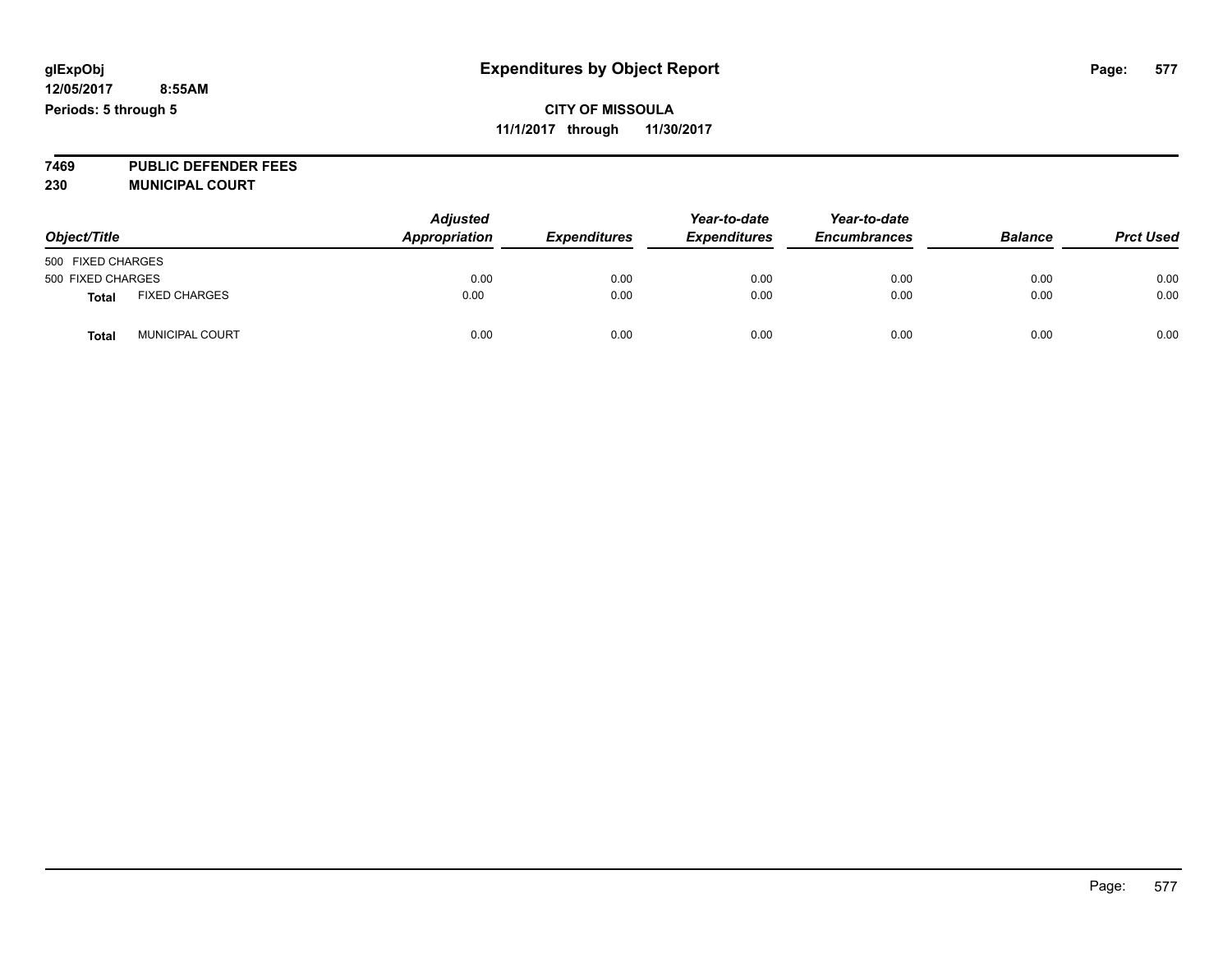**7469 PUBLIC DEFENDER FEES 230 MUNICIPAL COURT**

| Object/Title      |                        | <b>Adjusted</b><br>Appropriation | <b>Expenditures</b> | Year-to-date<br><b>Expenditures</b> | Year-to-date<br><b>Encumbrances</b> | <b>Balance</b> | <b>Prct Used</b> |
|-------------------|------------------------|----------------------------------|---------------------|-------------------------------------|-------------------------------------|----------------|------------------|
| 500 FIXED CHARGES |                        |                                  |                     |                                     |                                     |                |                  |
| 500 FIXED CHARGES |                        | 0.00                             | 0.00                | 0.00                                | 0.00                                | 0.00           | 0.00             |
| <b>Total</b>      | <b>FIXED CHARGES</b>   | 0.00                             | 0.00                | 0.00                                | 0.00                                | 0.00           | 0.00             |
| <b>Total</b>      | <b>MUNICIPAL COURT</b> | 0.00                             | 0.00                | 0.00                                | 0.00                                | 0.00           | 0.00             |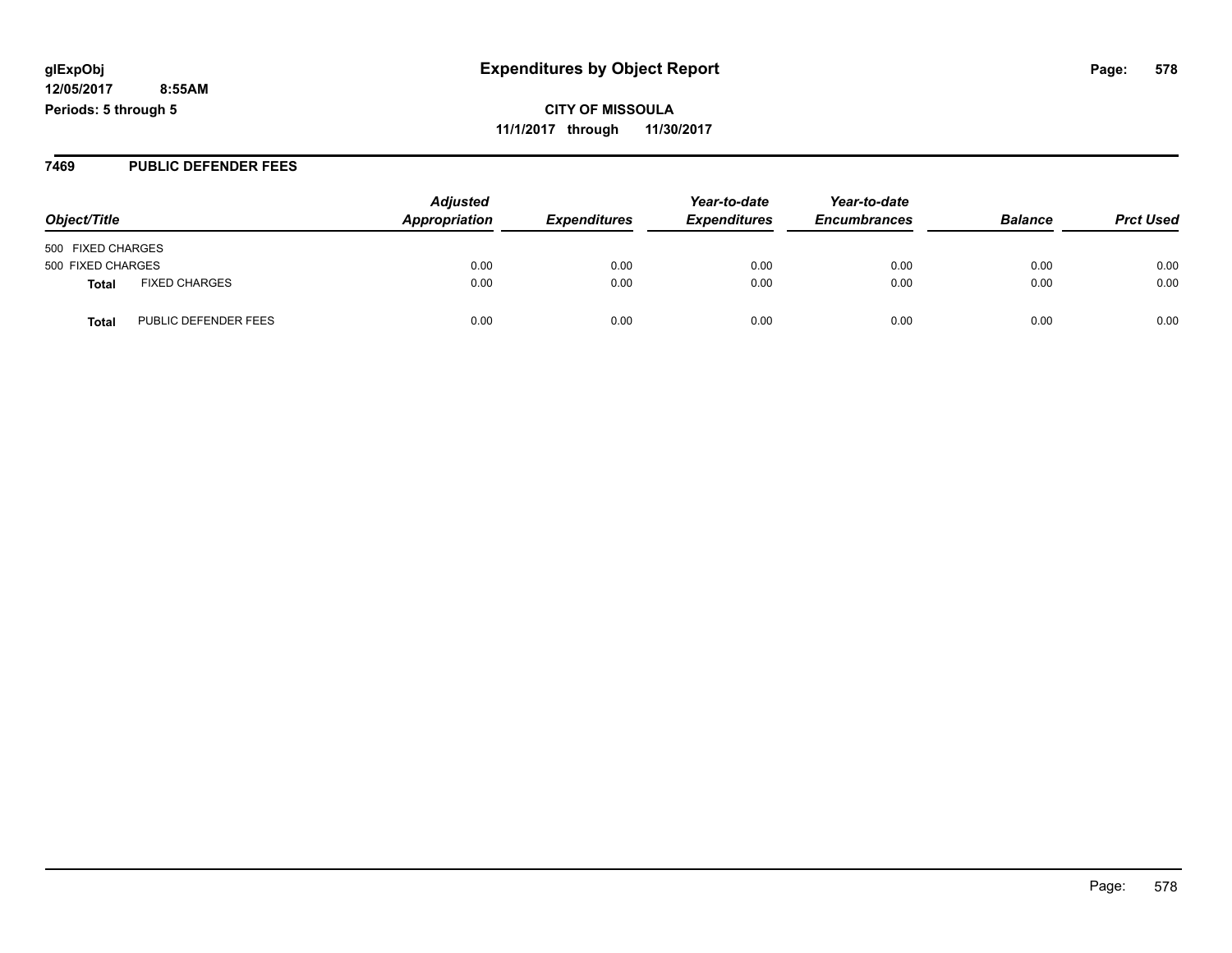**CITY OF MISSOULA 11/1/2017 through 11/30/2017**

#### **7469 PUBLIC DEFENDER FEES**

| Object/Title                         | <b>Adjusted</b><br>Appropriation | <b>Expenditures</b> | Year-to-date<br><b>Expenditures</b> | Year-to-date<br><b>Encumbrances</b> | <b>Balance</b> | <b>Prct Used</b> |
|--------------------------------------|----------------------------------|---------------------|-------------------------------------|-------------------------------------|----------------|------------------|
| 500 FIXED CHARGES                    |                                  |                     |                                     |                                     |                |                  |
| 500 FIXED CHARGES                    | 0.00                             | 0.00                | 0.00                                | 0.00                                | 0.00           | 0.00             |
| <b>FIXED CHARGES</b><br>Total        | 0.00                             | 0.00                | 0.00                                | 0.00                                | 0.00           | 0.00             |
| PUBLIC DEFENDER FEES<br><b>Total</b> | 0.00                             | 0.00                | 0.00                                | 0.00                                | 0.00           | 0.00             |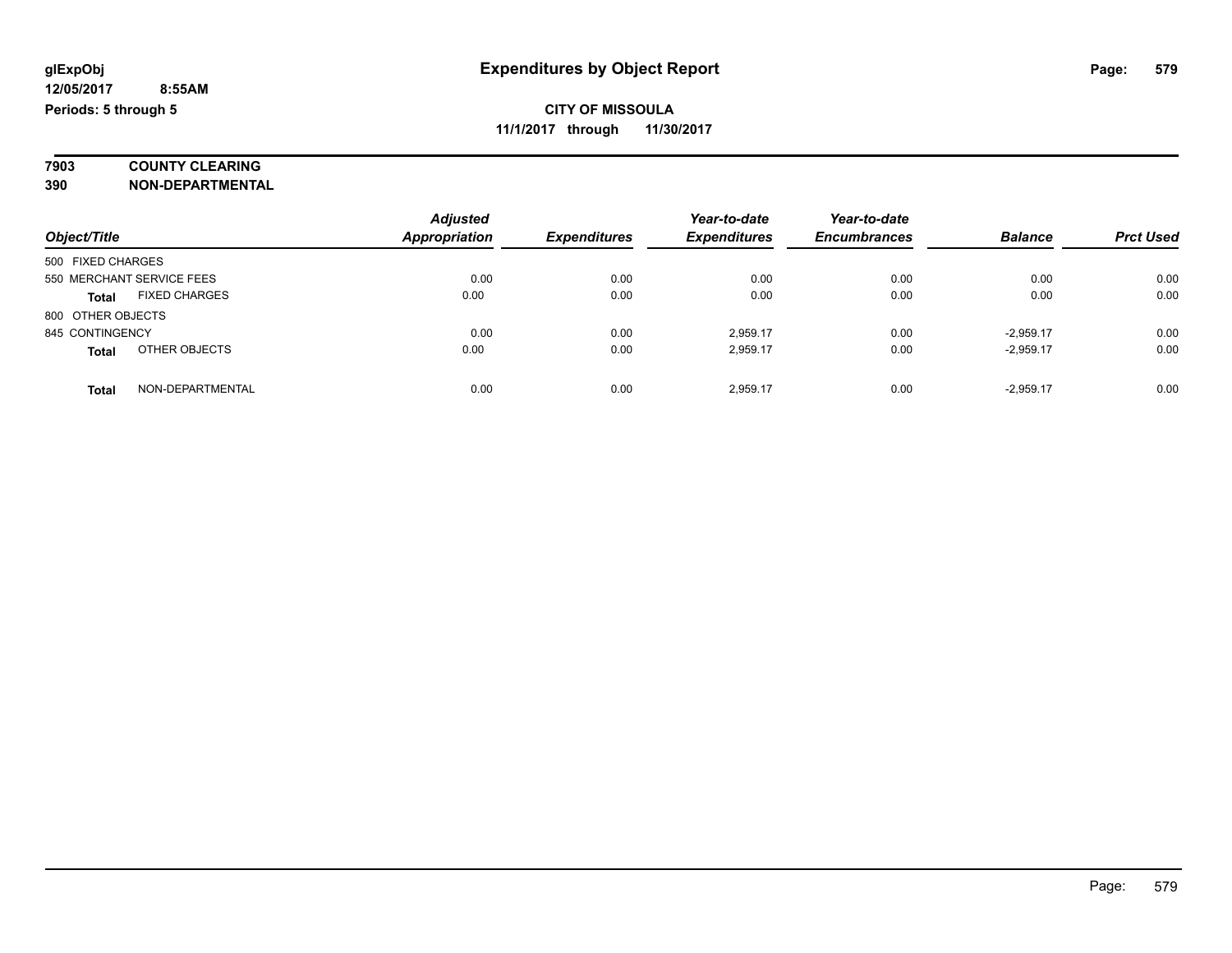# **7903 COUNTY CLEARING**

**390 NON-DEPARTMENTAL**

|                           |                      | <b>Adjusted</b>      |                     | Year-to-date        | Year-to-date        |                |                  |
|---------------------------|----------------------|----------------------|---------------------|---------------------|---------------------|----------------|------------------|
| Object/Title              |                      | <b>Appropriation</b> | <b>Expenditures</b> | <b>Expenditures</b> | <b>Encumbrances</b> | <b>Balance</b> | <b>Prct Used</b> |
| 500 FIXED CHARGES         |                      |                      |                     |                     |                     |                |                  |
| 550 MERCHANT SERVICE FEES |                      | 0.00                 | 0.00                | 0.00                | 0.00                | 0.00           | 0.00             |
| <b>Total</b>              | <b>FIXED CHARGES</b> | 0.00                 | 0.00                | 0.00                | 0.00                | 0.00           | 0.00             |
| 800 OTHER OBJECTS         |                      |                      |                     |                     |                     |                |                  |
| 845 CONTINGENCY           |                      | 0.00                 | 0.00                | 2,959.17            | 0.00                | $-2.959.17$    | 0.00             |
| <b>Total</b>              | OTHER OBJECTS        | 0.00                 | 0.00                | 2,959.17            | 0.00                | $-2.959.17$    | 0.00             |
| Total                     | NON-DEPARTMENTAL     | 0.00                 | 0.00                | 2.959.17            | 0.00                | $-2.959.17$    | 0.00             |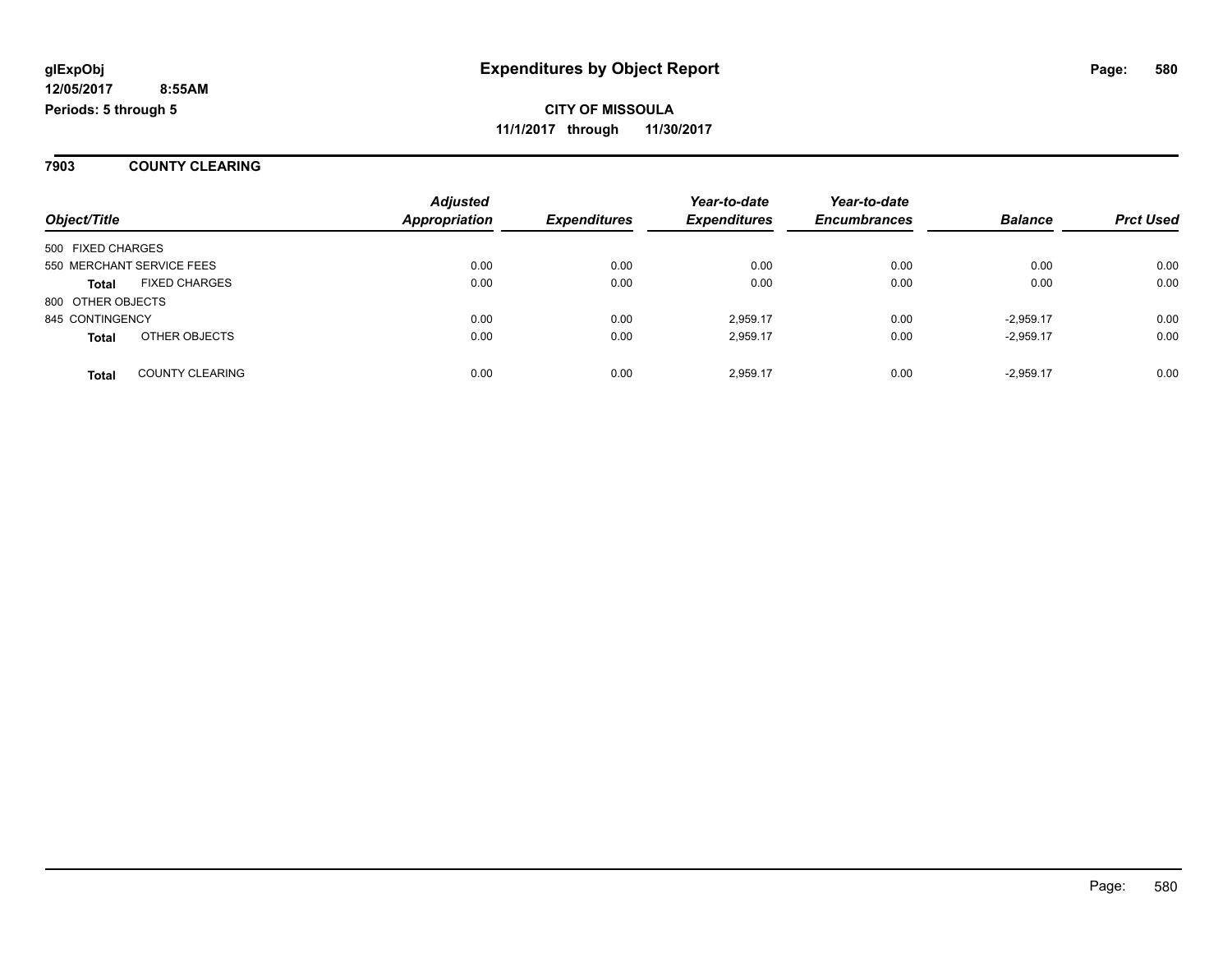**7903 COUNTY CLEARING**

|                           |                        | <b>Adjusted</b>      |                     | Year-to-date        | Year-to-date        |                |                  |
|---------------------------|------------------------|----------------------|---------------------|---------------------|---------------------|----------------|------------------|
| Object/Title              |                        | <b>Appropriation</b> | <b>Expenditures</b> | <b>Expenditures</b> | <b>Encumbrances</b> | <b>Balance</b> | <b>Prct Used</b> |
| 500 FIXED CHARGES         |                        |                      |                     |                     |                     |                |                  |
| 550 MERCHANT SERVICE FEES |                        | 0.00                 | 0.00                | 0.00                | 0.00                | 0.00           | 0.00             |
| <b>Total</b>              | <b>FIXED CHARGES</b>   | 0.00                 | 0.00                | 0.00                | 0.00                | 0.00           | 0.00             |
| 800 OTHER OBJECTS         |                        |                      |                     |                     |                     |                |                  |
| 845 CONTINGENCY           |                        | 0.00                 | 0.00                | 2.959.17            | 0.00                | $-2,959.17$    | 0.00             |
| <b>Total</b>              | OTHER OBJECTS          | 0.00                 | 0.00                | 2,959.17            | 0.00                | $-2,959.17$    | 0.00             |
| <b>Total</b>              | <b>COUNTY CLEARING</b> | 0.00                 | 0.00                | 2.959.17            | 0.00                | $-2.959.17$    | 0.00             |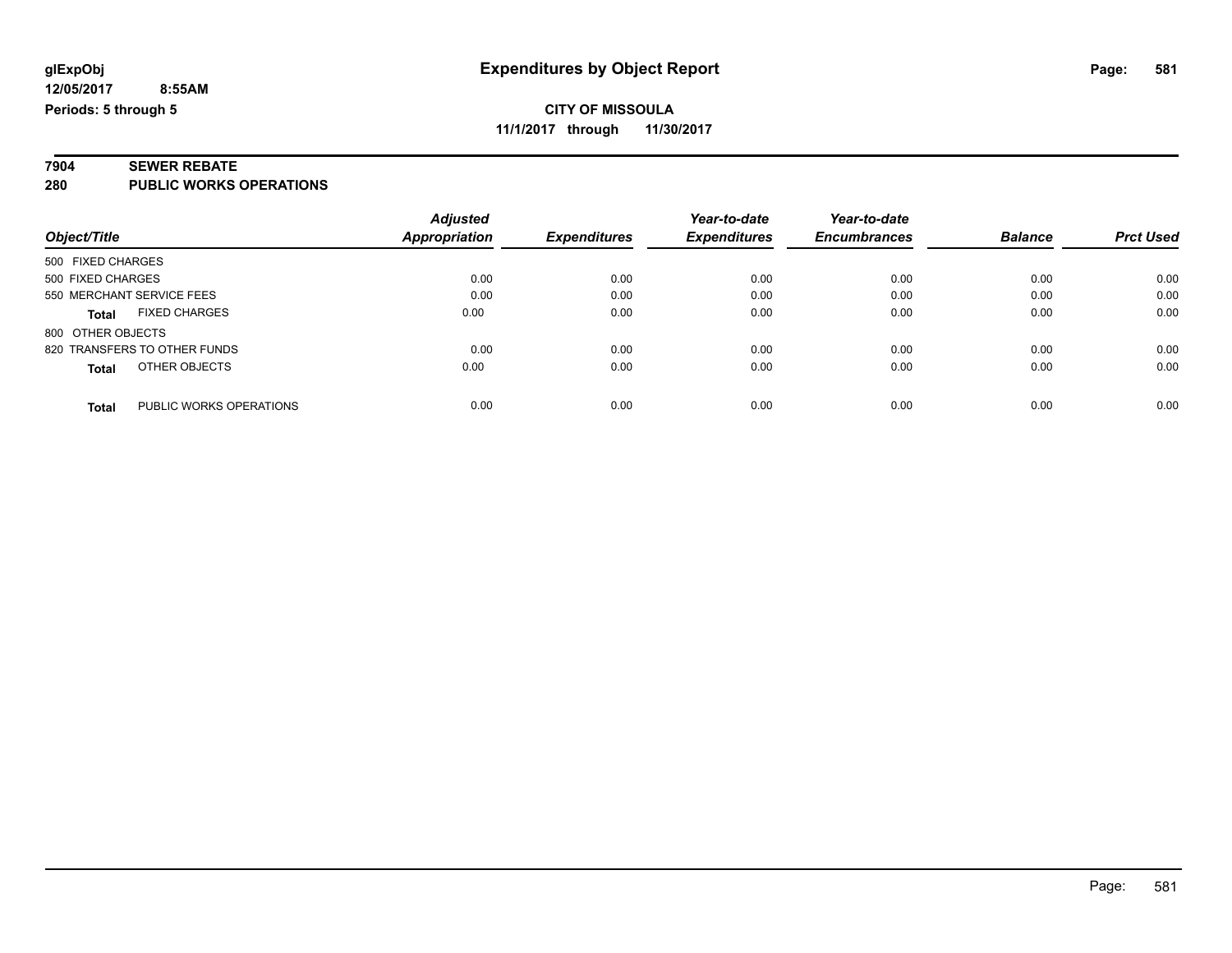#### **7904 SEWER REBATE 280 PUBLIC WORKS OPERATIONS**

| Object/Title                            | <b>Adjusted</b><br><b>Appropriation</b> | <b>Expenditures</b> | Year-to-date<br><b>Expenditures</b> | Year-to-date<br><b>Encumbrances</b> | <b>Balance</b> | <b>Prct Used</b> |
|-----------------------------------------|-----------------------------------------|---------------------|-------------------------------------|-------------------------------------|----------------|------------------|
| 500 FIXED CHARGES                       |                                         |                     |                                     |                                     |                |                  |
| 500 FIXED CHARGES                       | 0.00                                    | 0.00                | 0.00                                | 0.00                                | 0.00           | 0.00             |
| 550 MERCHANT SERVICE FEES               | 0.00                                    | 0.00                | 0.00                                | 0.00                                | 0.00           | 0.00             |
| <b>FIXED CHARGES</b><br><b>Total</b>    | 0.00                                    | 0.00                | 0.00                                | 0.00                                | 0.00           | 0.00             |
| 800 OTHER OBJECTS                       |                                         |                     |                                     |                                     |                |                  |
| 820 TRANSFERS TO OTHER FUNDS            | 0.00                                    | 0.00                | 0.00                                | 0.00                                | 0.00           | 0.00             |
| OTHER OBJECTS<br><b>Total</b>           | 0.00                                    | 0.00                | 0.00                                | 0.00                                | 0.00           | 0.00             |
| PUBLIC WORKS OPERATIONS<br><b>Total</b> | 0.00                                    | 0.00                | 0.00                                | 0.00                                | 0.00           | 0.00             |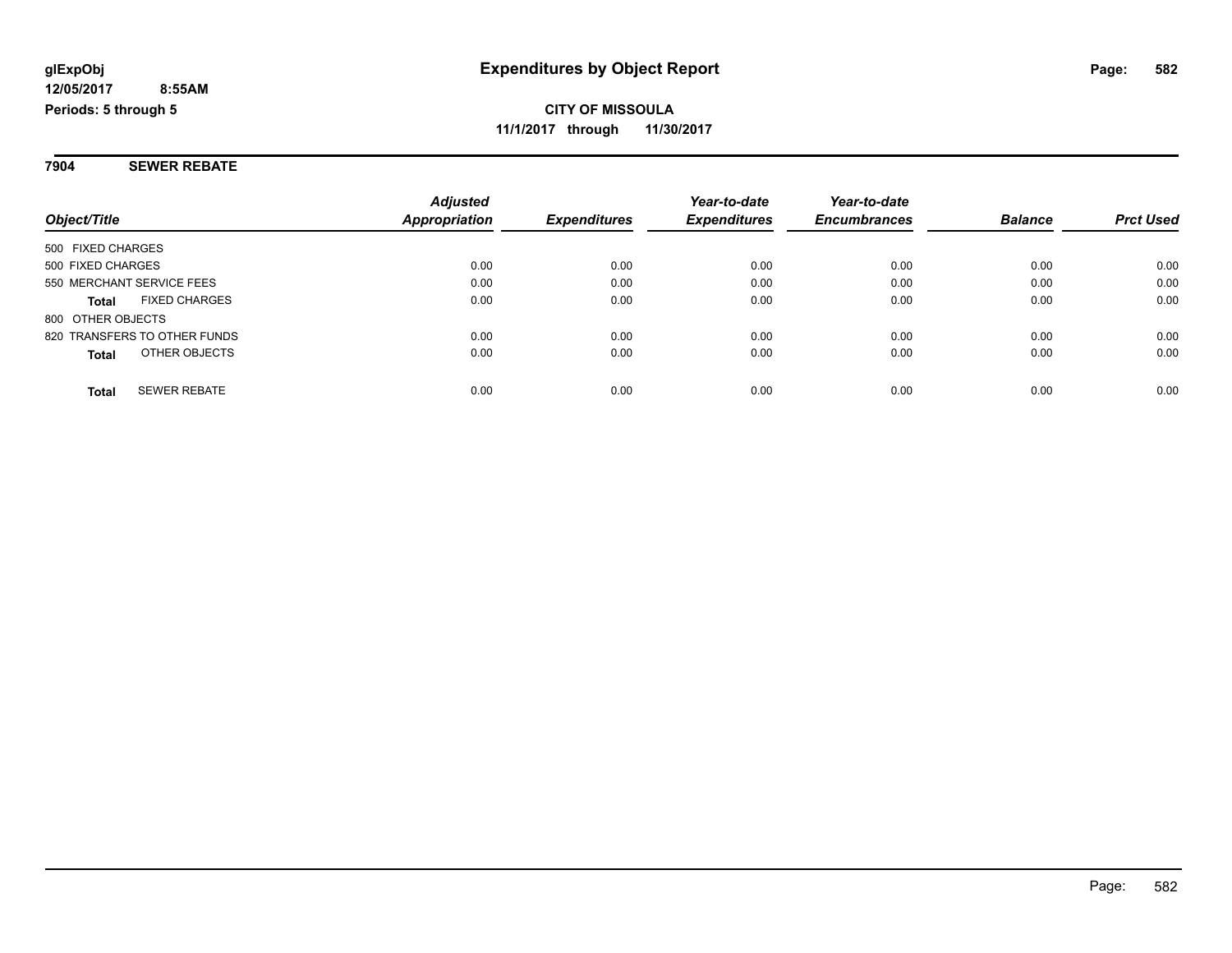**7904 SEWER REBATE**

|                                      | <b>Adjusted</b> |                     | Year-to-date        | Year-to-date        |                |                  |
|--------------------------------------|-----------------|---------------------|---------------------|---------------------|----------------|------------------|
| Object/Title                         | Appropriation   | <b>Expenditures</b> | <b>Expenditures</b> | <b>Encumbrances</b> | <b>Balance</b> | <b>Prct Used</b> |
| 500 FIXED CHARGES                    |                 |                     |                     |                     |                |                  |
| 500 FIXED CHARGES                    | 0.00            | 0.00                | 0.00                | 0.00                | 0.00           | 0.00             |
| 550 MERCHANT SERVICE FEES            | 0.00            | 0.00                | 0.00                | 0.00                | 0.00           | 0.00             |
| <b>FIXED CHARGES</b><br><b>Total</b> | 0.00            | 0.00                | 0.00                | 0.00                | 0.00           | 0.00             |
| 800 OTHER OBJECTS                    |                 |                     |                     |                     |                |                  |
| 820 TRANSFERS TO OTHER FUNDS         | 0.00            | 0.00                | 0.00                | 0.00                | 0.00           | 0.00             |
| OTHER OBJECTS<br><b>Total</b>        | 0.00            | 0.00                | 0.00                | 0.00                | 0.00           | 0.00             |
| <b>SEWER REBATE</b><br><b>Total</b>  | 0.00            | 0.00                | 0.00                | 0.00                | 0.00           | 0.00             |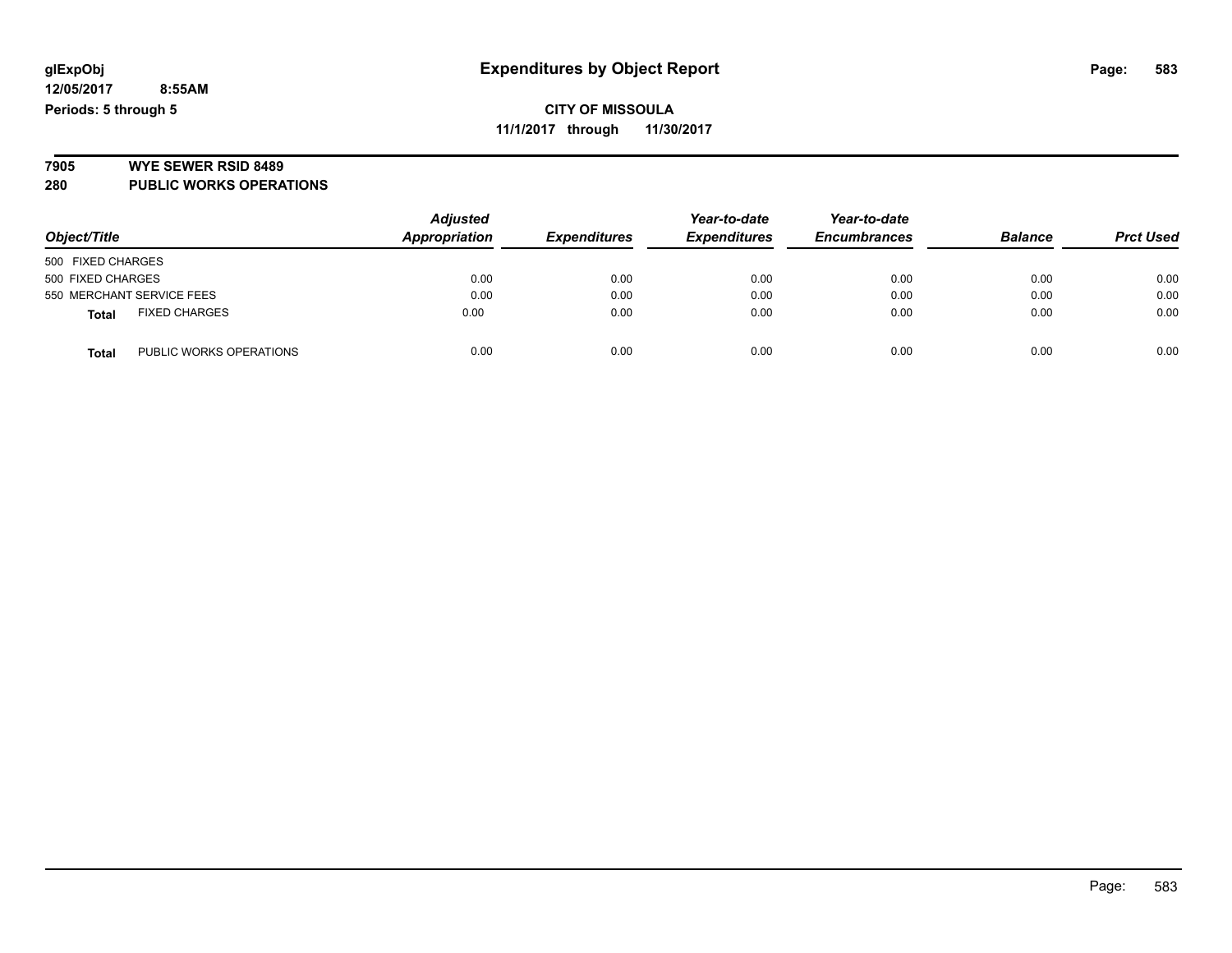### **CITY OF MISSOULA 11/1/2017 through 11/30/2017**

# **7905 WYE SEWER RSID 8489**

**280 PUBLIC WORKS OPERATIONS**

| Object/Title                            | <b>Adjusted</b><br>Appropriation | <b>Expenditures</b> | Year-to-date<br><b>Expenditures</b> | Year-to-date<br><b>Encumbrances</b> | <b>Balance</b> | <b>Prct Used</b> |
|-----------------------------------------|----------------------------------|---------------------|-------------------------------------|-------------------------------------|----------------|------------------|
| 500 FIXED CHARGES                       |                                  |                     |                                     |                                     |                |                  |
| 500 FIXED CHARGES                       | 0.00                             | 0.00                | 0.00                                | 0.00                                | 0.00           | 0.00             |
| 550 MERCHANT SERVICE FEES               | 0.00                             | 0.00                | 0.00                                | 0.00                                | 0.00           | 0.00             |
| <b>FIXED CHARGES</b><br><b>Total</b>    | 0.00                             | 0.00                | 0.00                                | 0.00                                | 0.00           | 0.00             |
| PUBLIC WORKS OPERATIONS<br><b>Total</b> | 0.00                             | 0.00                | 0.00                                | 0.00                                | 0.00           | 0.00             |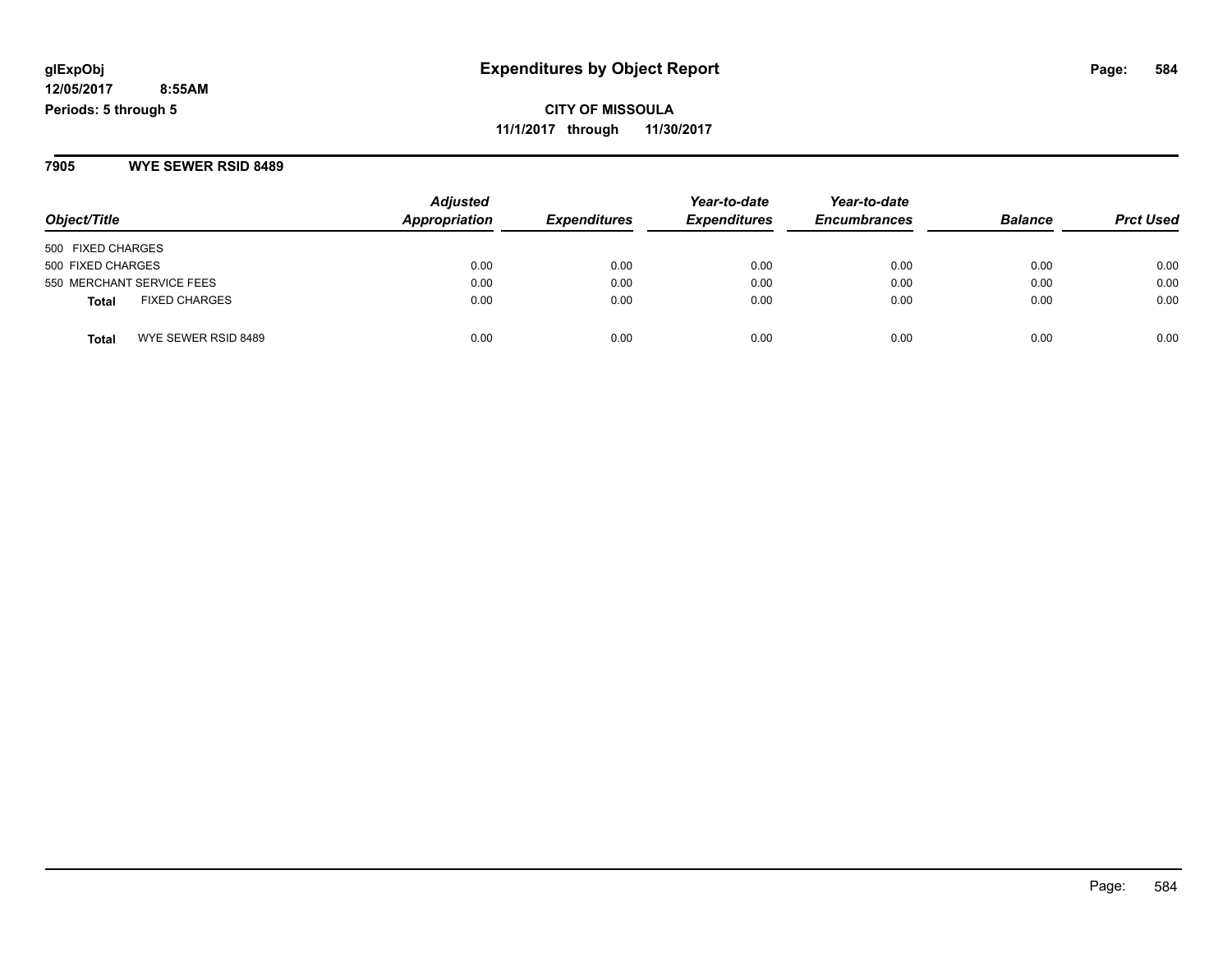**CITY OF MISSOULA 11/1/2017 through 11/30/2017**

**7905 WYE SEWER RSID 8489**

| Object/Title                         | <b>Adjusted</b><br>Appropriation | <b>Expenditures</b> | Year-to-date<br><b>Expenditures</b> | Year-to-date<br><b>Encumbrances</b> | <b>Balance</b> | <b>Prct Used</b> |
|--------------------------------------|----------------------------------|---------------------|-------------------------------------|-------------------------------------|----------------|------------------|
| 500 FIXED CHARGES                    |                                  |                     |                                     |                                     |                |                  |
| 500 FIXED CHARGES                    | 0.00                             | 0.00                | 0.00                                | 0.00                                | 0.00           | 0.00             |
| 550 MERCHANT SERVICE FEES            | 0.00                             | 0.00                | 0.00                                | 0.00                                | 0.00           | 0.00             |
| <b>FIXED CHARGES</b><br><b>Total</b> | 0.00                             | 0.00                | 0.00                                | 0.00                                | 0.00           | 0.00             |
| WYE SEWER RSID 8489<br><b>Total</b>  | 0.00                             | 0.00                | 0.00                                | 0.00                                | 0.00           | 0.00             |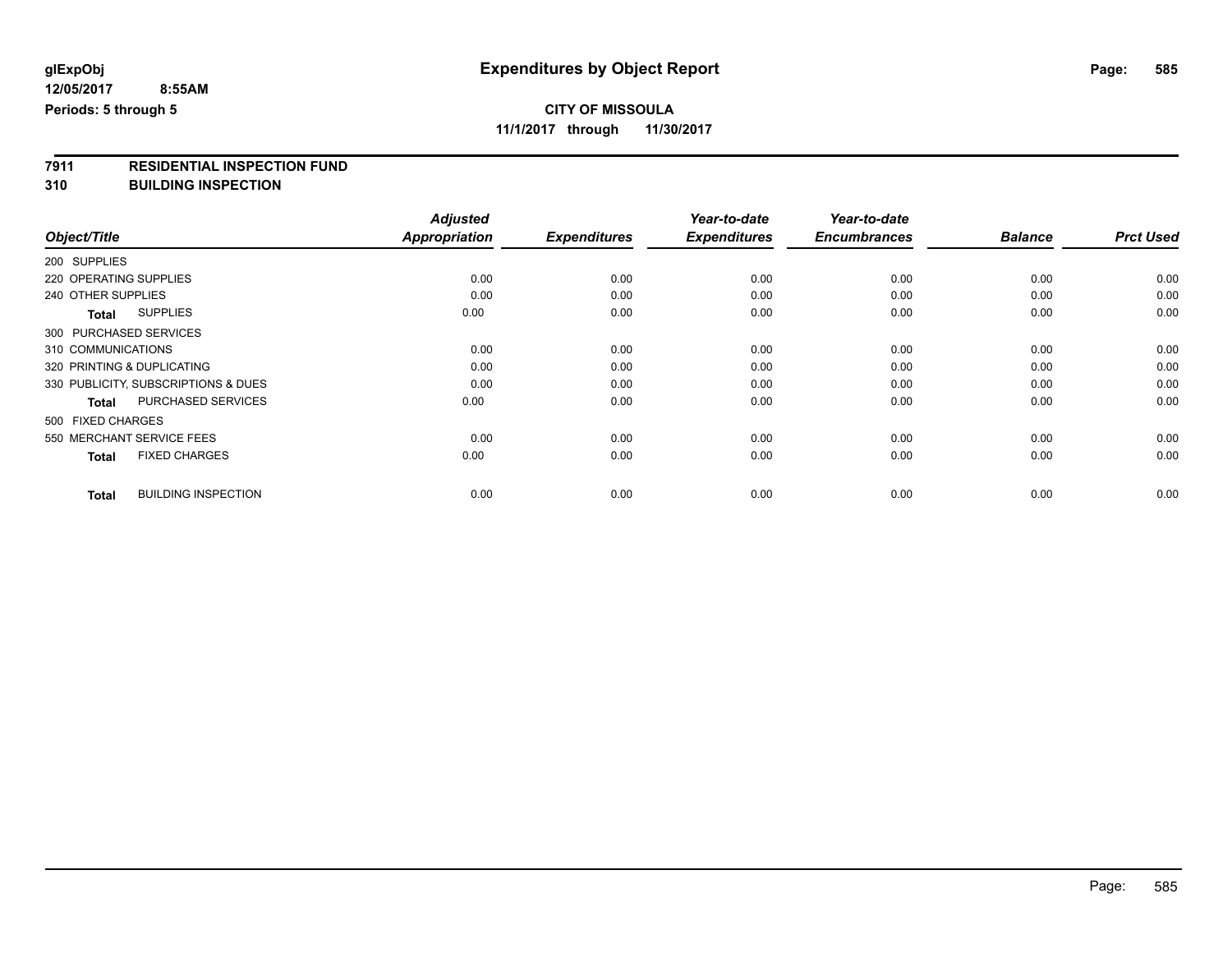# **CITY OF MISSOULA**

**11/1/2017 through 11/30/2017**

# **7911 RESIDENTIAL INSPECTION FUND**

**310 BUILDING INSPECTION**

|                                            | <b>Adjusted</b>      |                     | Year-to-date        | Year-to-date        |                |                  |
|--------------------------------------------|----------------------|---------------------|---------------------|---------------------|----------------|------------------|
| Object/Title                               | <b>Appropriation</b> | <b>Expenditures</b> | <b>Expenditures</b> | <b>Encumbrances</b> | <b>Balance</b> | <b>Prct Used</b> |
| 200 SUPPLIES                               |                      |                     |                     |                     |                |                  |
| 220 OPERATING SUPPLIES                     | 0.00                 | 0.00                | 0.00                | 0.00                | 0.00           | 0.00             |
| 240 OTHER SUPPLIES                         | 0.00                 | 0.00                | 0.00                | 0.00                | 0.00           | 0.00             |
| <b>SUPPLIES</b><br><b>Total</b>            | 0.00                 | 0.00                | 0.00                | 0.00                | 0.00           | 0.00             |
| 300 PURCHASED SERVICES                     |                      |                     |                     |                     |                |                  |
| 310 COMMUNICATIONS                         | 0.00                 | 0.00                | 0.00                | 0.00                | 0.00           | 0.00             |
| 320 PRINTING & DUPLICATING                 | 0.00                 | 0.00                | 0.00                | 0.00                | 0.00           | 0.00             |
| 330 PUBLICITY, SUBSCRIPTIONS & DUES        | 0.00                 | 0.00                | 0.00                | 0.00                | 0.00           | 0.00             |
| <b>PURCHASED SERVICES</b><br><b>Total</b>  | 0.00                 | 0.00                | 0.00                | 0.00                | 0.00           | 0.00             |
| 500 FIXED CHARGES                          |                      |                     |                     |                     |                |                  |
| 550 MERCHANT SERVICE FEES                  | 0.00                 | 0.00                | 0.00                | 0.00                | 0.00           | 0.00             |
| <b>FIXED CHARGES</b><br><b>Total</b>       | 0.00                 | 0.00                | 0.00                | 0.00                | 0.00           | 0.00             |
| <b>BUILDING INSPECTION</b><br><b>Total</b> | 0.00                 | 0.00                | 0.00                | 0.00                | 0.00           | 0.00             |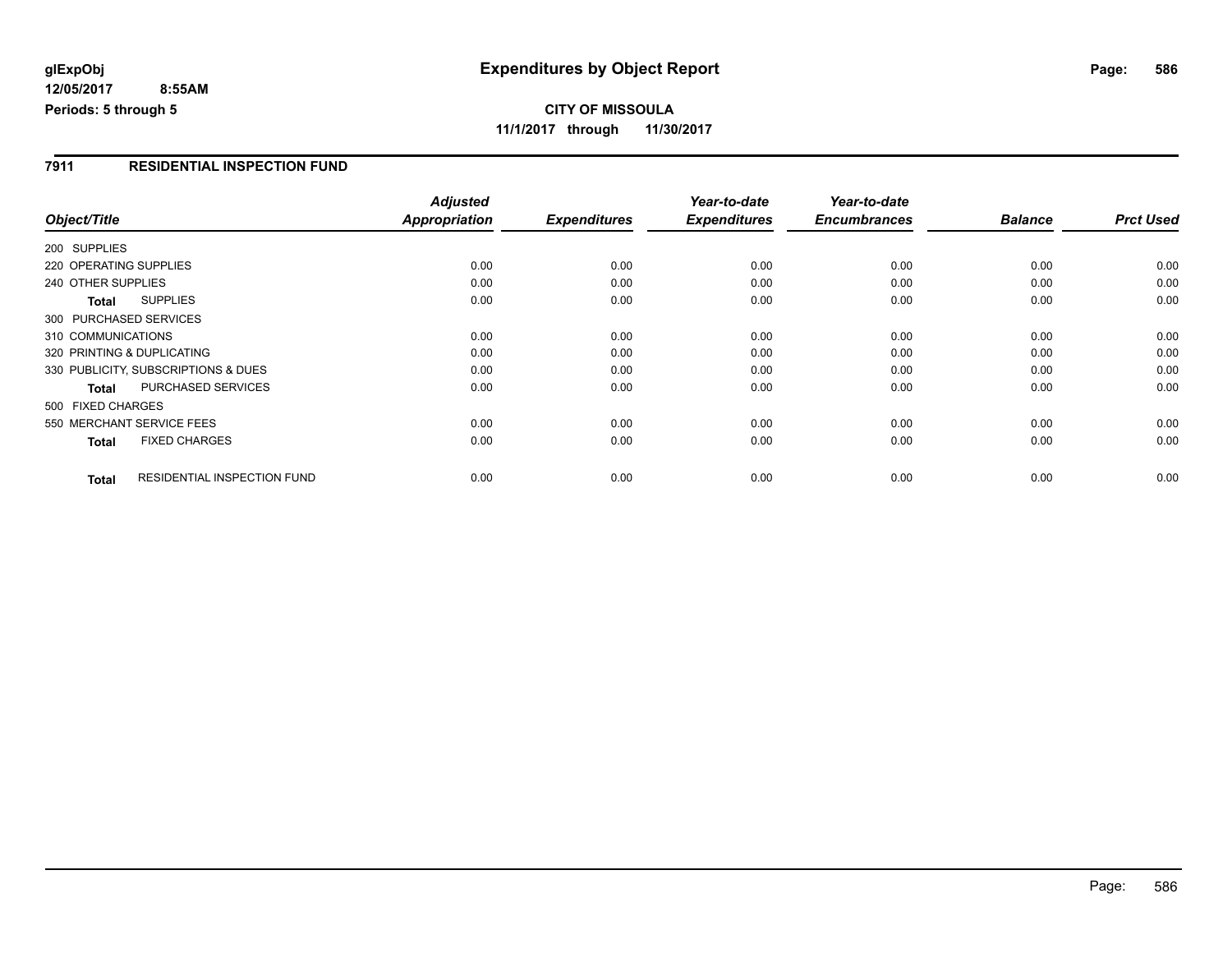**CITY OF MISSOULA 11/1/2017 through 11/30/2017**

#### **7911 RESIDENTIAL INSPECTION FUND**

|                            |                                     | <b>Adjusted</b> |                     | Year-to-date        | Year-to-date        |                |                  |
|----------------------------|-------------------------------------|-----------------|---------------------|---------------------|---------------------|----------------|------------------|
| Object/Title               |                                     | Appropriation   | <b>Expenditures</b> | <b>Expenditures</b> | <b>Encumbrances</b> | <b>Balance</b> | <b>Prct Used</b> |
| 200 SUPPLIES               |                                     |                 |                     |                     |                     |                |                  |
| 220 OPERATING SUPPLIES     |                                     | 0.00            | 0.00                | 0.00                | 0.00                | 0.00           | 0.00             |
| 240 OTHER SUPPLIES         |                                     | 0.00            | 0.00                | 0.00                | 0.00                | 0.00           | 0.00             |
| Total                      | <b>SUPPLIES</b>                     | 0.00            | 0.00                | 0.00                | 0.00                | 0.00           | 0.00             |
| 300 PURCHASED SERVICES     |                                     |                 |                     |                     |                     |                |                  |
| 310 COMMUNICATIONS         |                                     | 0.00            | 0.00                | 0.00                | 0.00                | 0.00           | 0.00             |
| 320 PRINTING & DUPLICATING |                                     | 0.00            | 0.00                | 0.00                | 0.00                | 0.00           | 0.00             |
|                            | 330 PUBLICITY, SUBSCRIPTIONS & DUES | 0.00            | 0.00                | 0.00                | 0.00                | 0.00           | 0.00             |
| <b>Total</b>               | PURCHASED SERVICES                  | 0.00            | 0.00                | 0.00                | 0.00                | 0.00           | 0.00             |
| 500 FIXED CHARGES          |                                     |                 |                     |                     |                     |                |                  |
| 550 MERCHANT SERVICE FEES  |                                     | 0.00            | 0.00                | 0.00                | 0.00                | 0.00           | 0.00             |
| <b>Total</b>               | <b>FIXED CHARGES</b>                | 0.00            | 0.00                | 0.00                | 0.00                | 0.00           | 0.00             |
| <b>Total</b>               | RESIDENTIAL INSPECTION FUND         | 0.00            | 0.00                | 0.00                | 0.00                | 0.00           | 0.00             |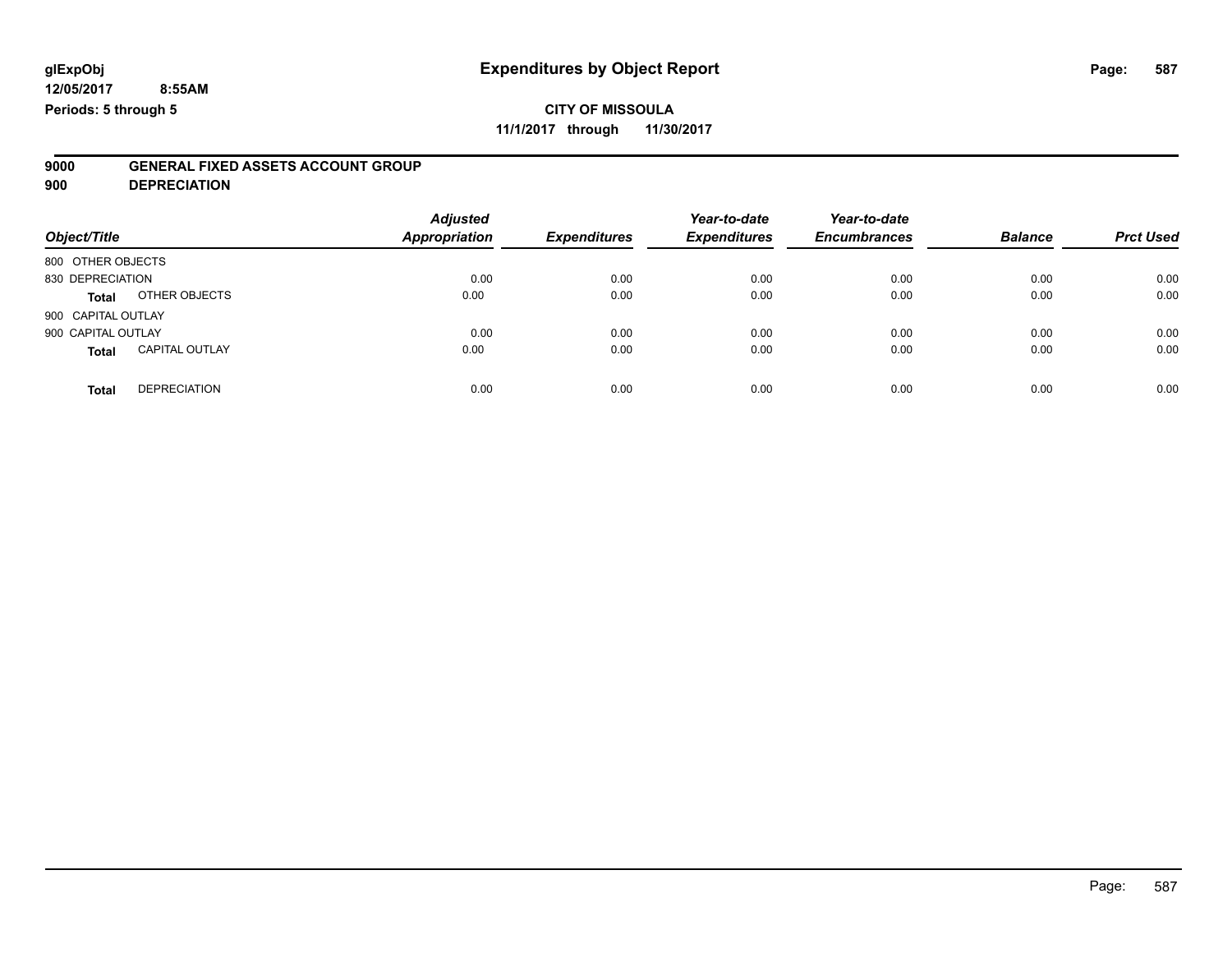## **CITY OF MISSOULA**

**11/1/2017 through 11/30/2017**

# **9000 GENERAL FIXED ASSETS ACCOUNT GROUP**

**900 DEPRECIATION**

| Object/Title       |                       | <b>Adjusted</b><br>Appropriation | <b>Expenditures</b> | Year-to-date<br><b>Expenditures</b> | Year-to-date<br><b>Encumbrances</b> | <b>Balance</b> | <b>Prct Used</b> |
|--------------------|-----------------------|----------------------------------|---------------------|-------------------------------------|-------------------------------------|----------------|------------------|
| 800 OTHER OBJECTS  |                       |                                  |                     |                                     |                                     |                |                  |
| 830 DEPRECIATION   |                       | 0.00                             | 0.00                | 0.00                                | 0.00                                | 0.00           | 0.00             |
| <b>Total</b>       | OTHER OBJECTS         | 0.00                             | 0.00                | 0.00                                | 0.00                                | 0.00           | 0.00             |
| 900 CAPITAL OUTLAY |                       |                                  |                     |                                     |                                     |                |                  |
| 900 CAPITAL OUTLAY |                       | 0.00                             | 0.00                | 0.00                                | 0.00                                | 0.00           | 0.00             |
| <b>Total</b>       | <b>CAPITAL OUTLAY</b> | 0.00                             | 0.00                | 0.00                                | 0.00                                | 0.00           | 0.00             |
| <b>Total</b>       | <b>DEPRECIATION</b>   | 0.00                             | 0.00                | 0.00                                | 0.00                                | 0.00           | 0.00             |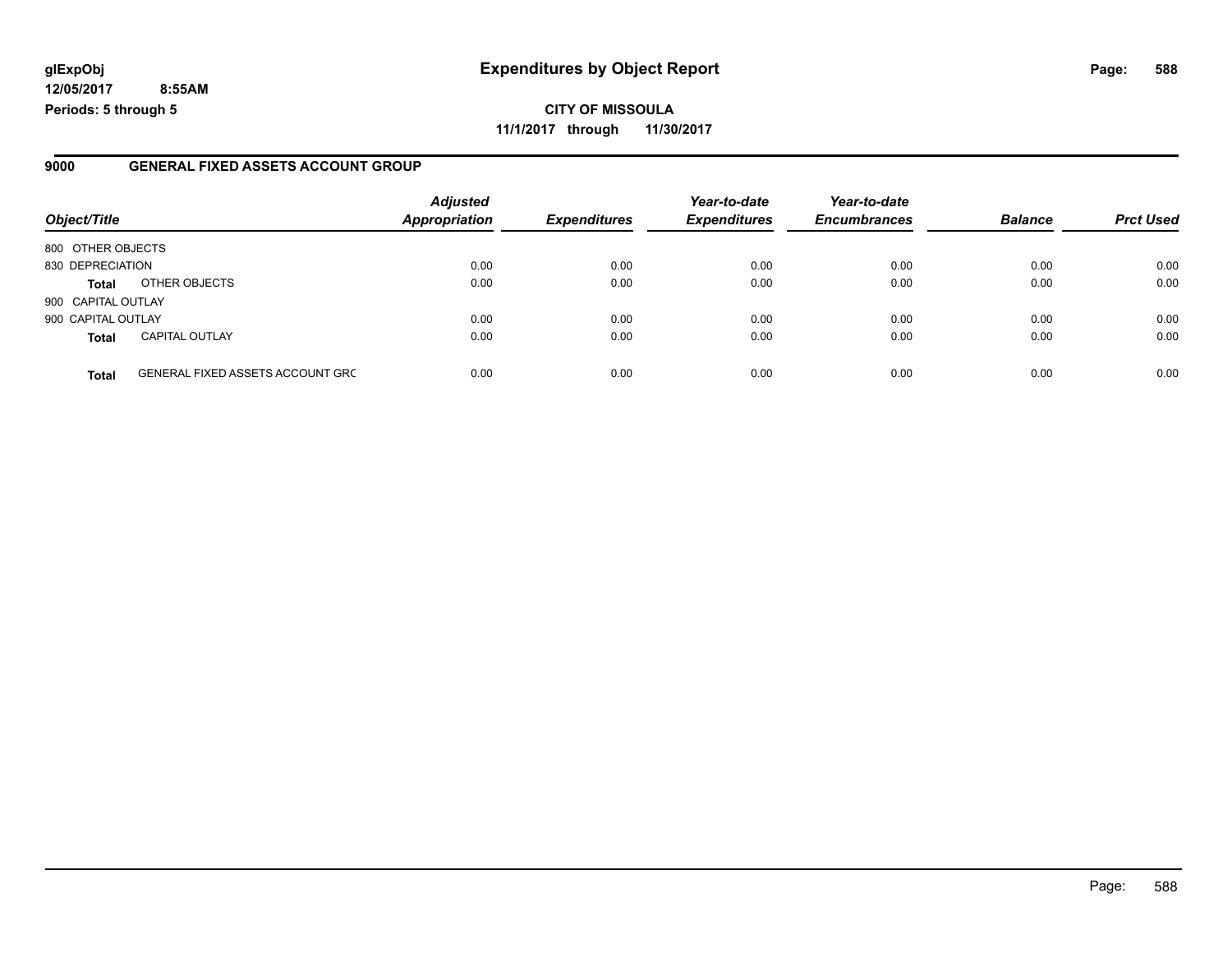### **glExpObj Expenditures by Object Report Page: 588**

**12/05/2017 8:55AM Periods: 5 through 5**

#### **9000 GENERAL FIXED ASSETS ACCOUNT GROUP**

| Object/Title       |                                         | <b>Adjusted</b><br><b>Appropriation</b> | <b>Expenditures</b> | Year-to-date<br><b>Expenditures</b> | Year-to-date<br><b>Encumbrances</b> | <b>Balance</b> | <b>Prct Used</b> |
|--------------------|-----------------------------------------|-----------------------------------------|---------------------|-------------------------------------|-------------------------------------|----------------|------------------|
| 800 OTHER OBJECTS  |                                         |                                         |                     |                                     |                                     |                |                  |
| 830 DEPRECIATION   |                                         | 0.00                                    | 0.00                | 0.00                                | 0.00                                | 0.00           | 0.00             |
| <b>Total</b>       | OTHER OBJECTS                           | 0.00                                    | 0.00                | 0.00                                | 0.00                                | 0.00           | 0.00             |
| 900 CAPITAL OUTLAY |                                         |                                         |                     |                                     |                                     |                |                  |
| 900 CAPITAL OUTLAY |                                         | 0.00                                    | 0.00                | 0.00                                | 0.00                                | 0.00           | 0.00             |
| <b>Total</b>       | <b>CAPITAL OUTLAY</b>                   | 0.00                                    | 0.00                | 0.00                                | 0.00                                | 0.00           | 0.00             |
| <b>Total</b>       | <b>GENERAL FIXED ASSETS ACCOUNT GRC</b> | 0.00                                    | 0.00                | 0.00                                | 0.00                                | 0.00           | 0.00             |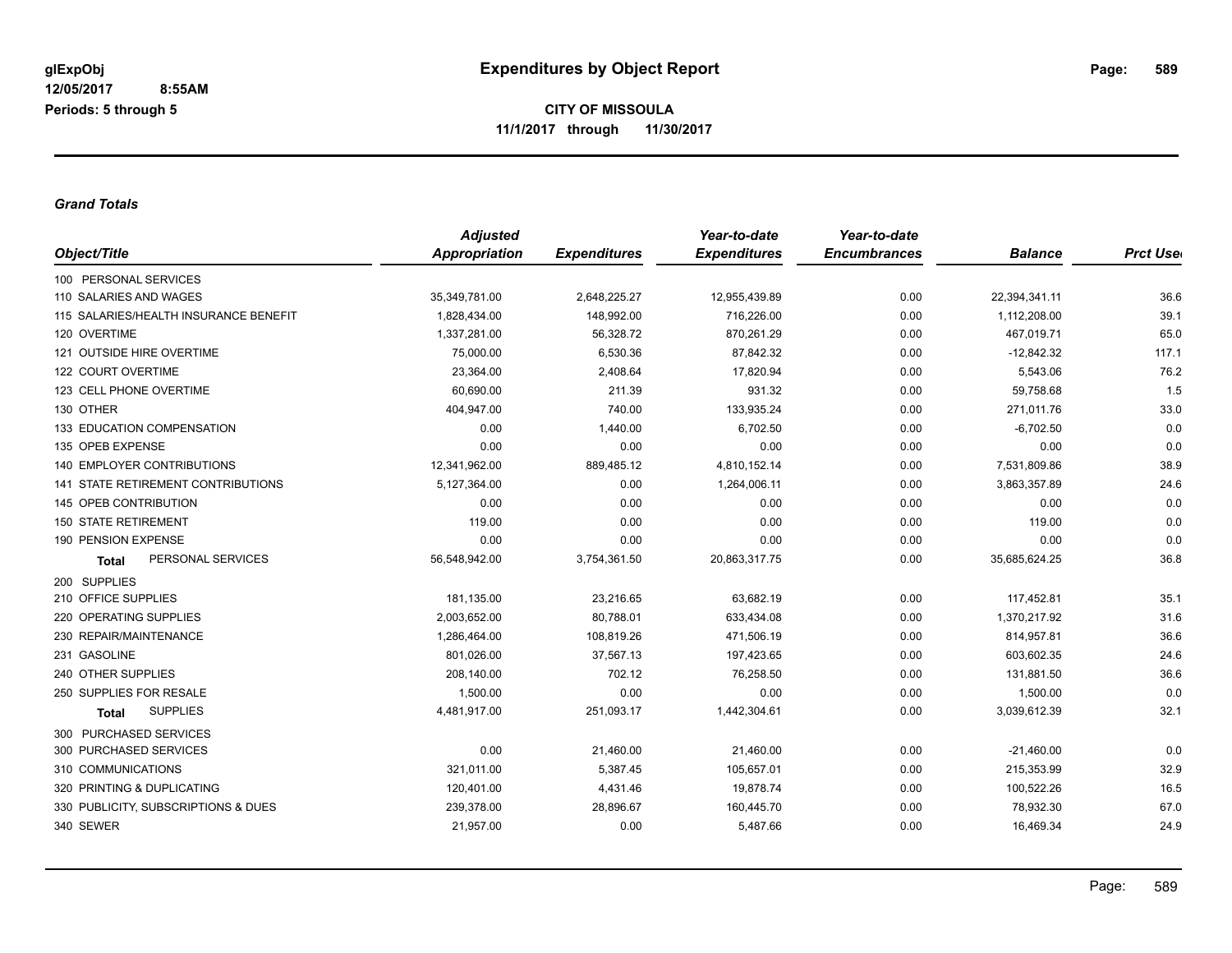*Grand Totals*

| Object/Title                          | <b>Adjusted</b>      |                     | Year-to-date        | Year-to-date        |                |                  |
|---------------------------------------|----------------------|---------------------|---------------------|---------------------|----------------|------------------|
|                                       | <b>Appropriation</b> | <b>Expenditures</b> | <b>Expenditures</b> | <b>Encumbrances</b> | <b>Balance</b> | <b>Prct Uset</b> |
| 100 PERSONAL SERVICES                 |                      |                     |                     |                     |                |                  |
| 110 SALARIES AND WAGES                | 35,349,781.00        | 2,648,225.27        | 12,955,439.89       | 0.00                | 22,394,341.11  | 36.6             |
| 115 SALARIES/HEALTH INSURANCE BENEFIT | 1,828,434.00         | 148,992.00          | 716,226.00          | 0.00                | 1,112,208.00   | 39.1             |
| 120 OVERTIME                          | 1,337,281.00         | 56,328.72           | 870,261.29          | 0.00                | 467,019.71     | 65.0             |
| 121 OUTSIDE HIRE OVERTIME             | 75,000.00            | 6,530.36            | 87,842.32           | 0.00                | $-12,842.32$   | 117.1            |
| 122 COURT OVERTIME                    | 23,364.00            | 2,408.64            | 17,820.94           | 0.00                | 5,543.06       | 76.2             |
| 123 CELL PHONE OVERTIME               | 60,690.00            | 211.39              | 931.32              | 0.00                | 59,758.68      | 1.5              |
| 130 OTHER                             | 404,947.00           | 740.00              | 133,935.24          | 0.00                | 271,011.76     | 33.0             |
| 133 EDUCATION COMPENSATION            | 0.00                 | 1,440.00            | 6,702.50            | 0.00                | $-6,702.50$    | 0.0              |
| 135 OPEB EXPENSE                      | 0.00                 | 0.00                | 0.00                | 0.00                | 0.00           | 0.0              |
| <b>140 EMPLOYER CONTRIBUTIONS</b>     | 12,341,962.00        | 889,485.12          | 4,810,152.14        | 0.00                | 7,531,809.86   | 38.9             |
| 141 STATE RETIREMENT CONTRIBUTIONS    | 5,127,364.00         | 0.00                | 1,264,006.11        | 0.00                | 3,863,357.89   | 24.6             |
| 145 OPEB CONTRIBUTION                 | 0.00                 | 0.00                | 0.00                | 0.00                | 0.00           | 0.0              |
| <b>150 STATE RETIREMENT</b>           | 119.00               | 0.00                | 0.00                | 0.00                | 119.00         | 0.0              |
| 190 PENSION EXPENSE                   | 0.00                 | 0.00                | 0.00                | 0.00                | 0.00           | 0.0              |
| PERSONAL SERVICES<br><b>Total</b>     | 56,548,942.00        | 3,754,361.50        | 20,863,317.75       | 0.00                | 35,685,624.25  | 36.8             |
| 200 SUPPLIES                          |                      |                     |                     |                     |                |                  |
| 210 OFFICE SUPPLIES                   | 181,135.00           | 23,216.65           | 63,682.19           | 0.00                | 117,452.81     | 35.1             |
| 220 OPERATING SUPPLIES                | 2,003,652.00         | 80,788.01           | 633,434.08          | 0.00                | 1,370,217.92   | 31.6             |
| 230 REPAIR/MAINTENANCE                | 1,286,464.00         | 108,819.26          | 471,506.19          | 0.00                | 814,957.81     | 36.6             |
| 231 GASOLINE                          | 801,026.00           | 37,567.13           | 197,423.65          | 0.00                | 603,602.35     | 24.6             |
| 240 OTHER SUPPLIES                    | 208,140.00           | 702.12              | 76,258.50           | 0.00                | 131,881.50     | 36.6             |
| 250 SUPPLIES FOR RESALE               | 1,500.00             | 0.00                | 0.00                | 0.00                | 1,500.00       | 0.0              |
| <b>SUPPLIES</b><br>Total              | 4,481,917.00         | 251,093.17          | 1,442,304.61        | 0.00                | 3,039,612.39   | 32.1             |
| 300 PURCHASED SERVICES                |                      |                     |                     |                     |                |                  |
| 300 PURCHASED SERVICES                | 0.00                 | 21,460.00           | 21,460.00           | 0.00                | $-21,460.00$   | 0.0              |
| 310 COMMUNICATIONS                    | 321,011.00           | 5,387.45            | 105,657.01          | 0.00                | 215,353.99     | 32.9             |
| 320 PRINTING & DUPLICATING            | 120,401.00           | 4,431.46            | 19,878.74           | 0.00                | 100,522.26     | 16.5             |
| 330 PUBLICITY, SUBSCRIPTIONS & DUES   | 239,378.00           | 28,896.67           | 160,445.70          | 0.00                | 78,932.30      | 67.0             |
| 340 SEWER                             | 21,957.00            | 0.00                | 5,487.66            | 0.00                | 16,469.34      | 24.9             |
|                                       |                      |                     |                     |                     |                |                  |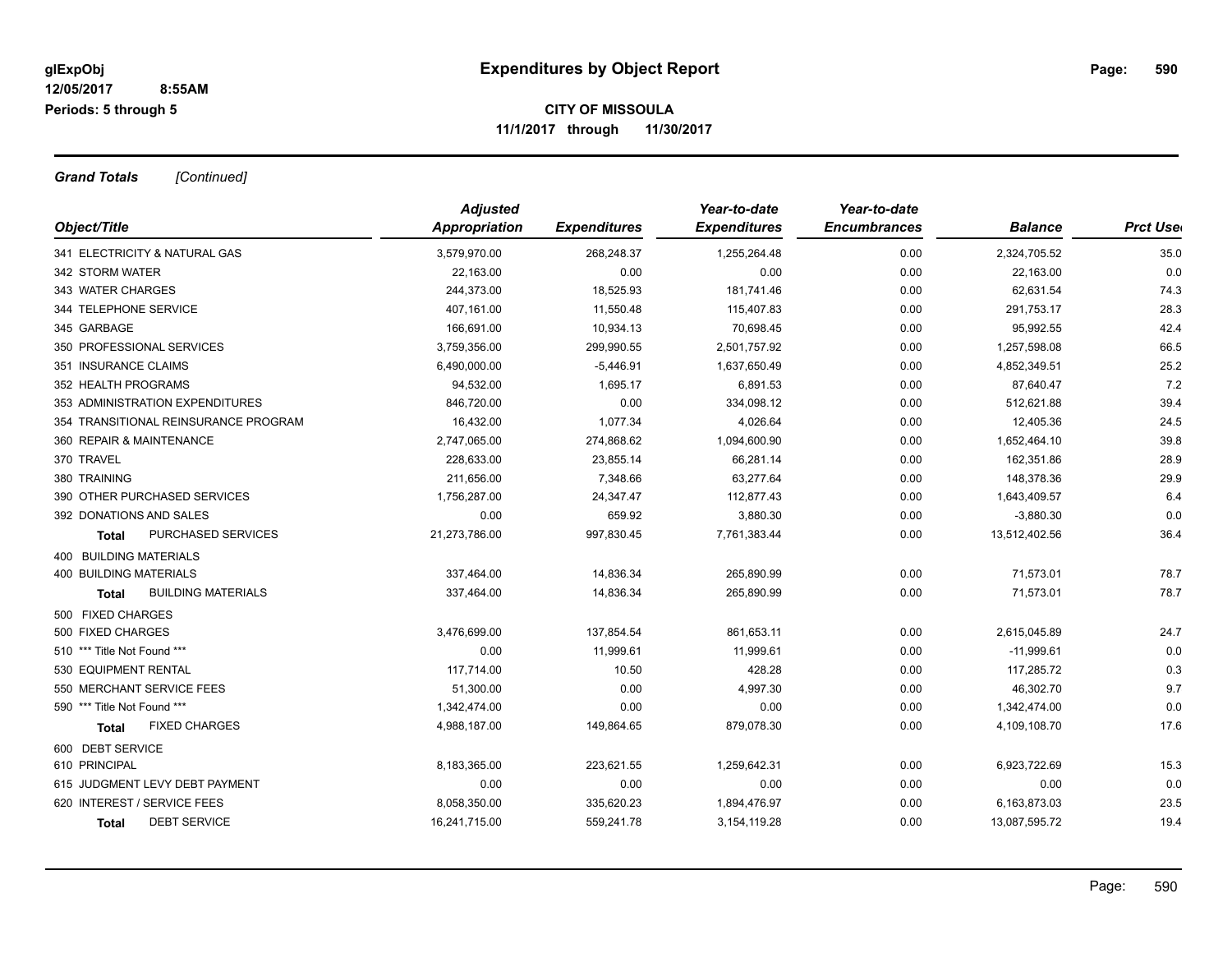*Grand Totals [Continued]*

| Object/Title                         | <b>Adjusted</b> |                     | Year-to-date        | Year-to-date        |                |                  |
|--------------------------------------|-----------------|---------------------|---------------------|---------------------|----------------|------------------|
|                                      | Appropriation   | <b>Expenditures</b> | <b>Expenditures</b> | <b>Encumbrances</b> | <b>Balance</b> | <b>Prct Uset</b> |
| 341 ELECTRICITY & NATURAL GAS        | 3,579,970.00    | 268,248.37          | 1,255,264.48        | 0.00                | 2,324,705.52   | 35.0             |
| 342 STORM WATER                      | 22,163.00       | 0.00                | 0.00                | 0.00                | 22,163.00      | 0.0              |
| 343 WATER CHARGES                    | 244,373.00      | 18,525.93           | 181,741.46          | 0.00                | 62,631.54      | 74.3             |
| 344 TELEPHONE SERVICE                | 407,161.00      | 11,550.48           | 115,407.83          | 0.00                | 291,753.17     | 28.3             |
| 345 GARBAGE                          | 166,691.00      | 10,934.13           | 70,698.45           | 0.00                | 95,992.55      | 42.4             |
| 350 PROFESSIONAL SERVICES            | 3,759,356.00    | 299,990.55          | 2,501,757.92        | 0.00                | 1,257,598.08   | 66.5             |
| 351 INSURANCE CLAIMS                 | 6,490,000.00    | $-5,446.91$         | 1,637,650.49        | 0.00                | 4,852,349.51   | 25.2             |
| 352 HEALTH PROGRAMS                  | 94,532.00       | 1,695.17            | 6,891.53            | 0.00                | 87,640.47      | 7.2              |
| 353 ADMINISTRATION EXPENDITURES      | 846,720.00      | 0.00                | 334,098.12          | 0.00                | 512,621.88     | 39.4             |
| 354 TRANSITIONAL REINSURANCE PROGRAM | 16,432.00       | 1,077.34            | 4,026.64            | 0.00                | 12,405.36      | 24.5             |
| 360 REPAIR & MAINTENANCE             | 2,747,065.00    | 274,868.62          | 1,094,600.90        | 0.00                | 1,652,464.10   | 39.8             |
| 370 TRAVEL                           | 228,633.00      | 23,855.14           | 66,281.14           | 0.00                | 162,351.86     | 28.9             |
| 380 TRAINING                         | 211,656.00      | 7,348.66            | 63,277.64           | 0.00                | 148,378.36     | 29.9             |
| 390 OTHER PURCHASED SERVICES         | 1,756,287.00    | 24,347.47           | 112,877.43          | 0.00                | 1,643,409.57   | 6.4              |
| 392 DONATIONS AND SALES              | 0.00            | 659.92              | 3,880.30            | 0.00                | $-3,880.30$    | 0.0              |
| PURCHASED SERVICES<br>Total          | 21,273,786.00   | 997,830.45          | 7,761,383.44        | 0.00                | 13,512,402.56  | 36.4             |
| 400 BUILDING MATERIALS               |                 |                     |                     |                     |                |                  |
| <b>400 BUILDING MATERIALS</b>        | 337,464.00      | 14,836.34           | 265,890.99          | 0.00                | 71,573.01      | 78.7             |
| <b>BUILDING MATERIALS</b><br>Total   | 337,464.00      | 14,836.34           | 265,890.99          | 0.00                | 71,573.01      | 78.7             |
| 500 FIXED CHARGES                    |                 |                     |                     |                     |                |                  |
| 500 FIXED CHARGES                    | 3,476,699.00    | 137,854.54          | 861,653.11          | 0.00                | 2,615,045.89   | 24.7             |
| 510 *** Title Not Found ***          | 0.00            | 11,999.61           | 11,999.61           | 0.00                | $-11,999.61$   | 0.0              |
| 530 EQUIPMENT RENTAL                 | 117,714.00      | 10.50               | 428.28              | 0.00                | 117,285.72     | 0.3              |
| 550 MERCHANT SERVICE FEES            | 51,300.00       | 0.00                | 4,997.30            | 0.00                | 46,302.70      | 9.7              |
| 590 *** Title Not Found ***          | 1,342,474.00    | 0.00                | 0.00                | 0.00                | 1,342,474.00   | 0.0              |
| <b>FIXED CHARGES</b><br><b>Total</b> | 4,988,187.00    | 149,864.65          | 879,078.30          | 0.00                | 4,109,108.70   | 17.6             |
| 600 DEBT SERVICE                     |                 |                     |                     |                     |                |                  |
| 610 PRINCIPAL                        | 8,183,365.00    | 223,621.55          | 1,259,642.31        | 0.00                | 6,923,722.69   | 15.3             |
| 615 JUDGMENT LEVY DEBT PAYMENT       | 0.00            | 0.00                | 0.00                | 0.00                | 0.00           | 0.0              |
| 620 INTEREST / SERVICE FEES          | 8,058,350.00    | 335,620.23          | 1,894,476.97        | 0.00                | 6,163,873.03   | 23.5             |
| <b>DEBT SERVICE</b><br><b>Total</b>  | 16,241,715.00   | 559,241.78          | 3, 154, 119. 28     | 0.00                | 13,087,595.72  | 19.4             |